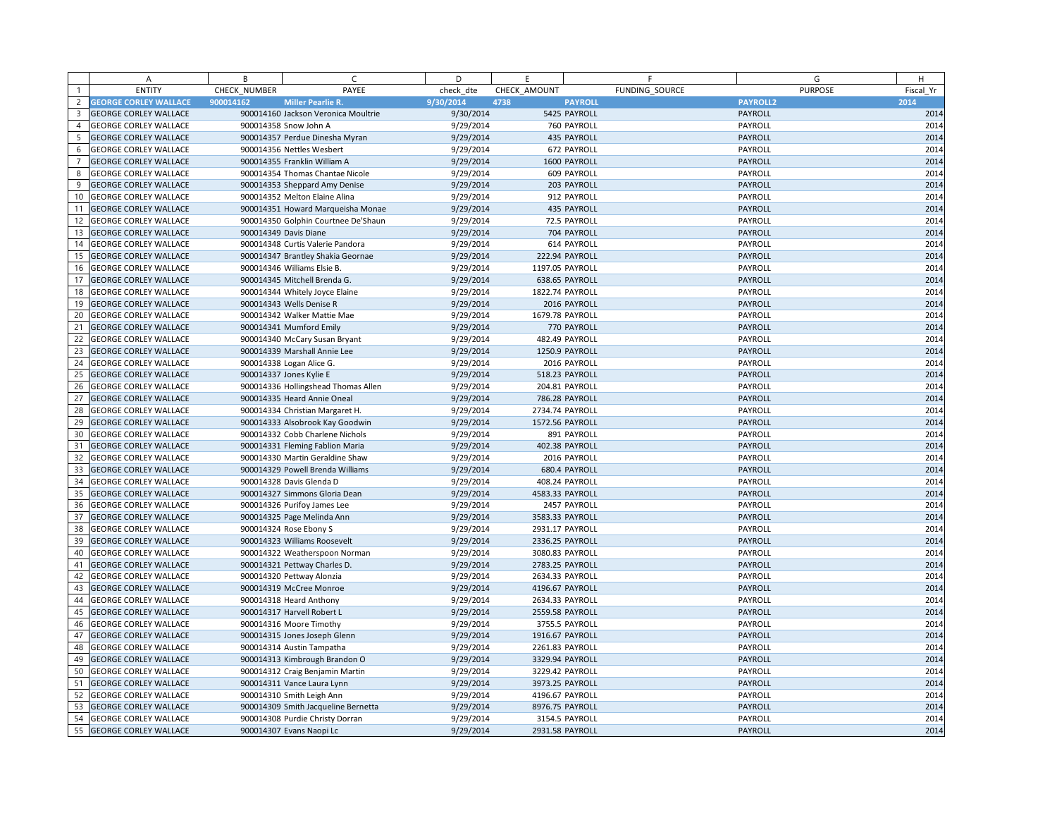|                | A                            | B            | $\mathsf{C}$                        | D         | E               | F              | G               | H         |
|----------------|------------------------------|--------------|-------------------------------------|-----------|-----------------|----------------|-----------------|-----------|
| $\overline{1}$ | <b>ENTITY</b>                | CHECK NUMBER | PAYEE                               | check dte | CHECK AMOUNT    | FUNDING SOURCE | <b>PURPOSE</b>  | Fiscal Yr |
| $\overline{c}$ | <b>GEORGE CORLEY WALLACE</b> | 900014162    | <b>Miller Pearlie R.</b>            | 9/30/2014 | 4738            | <b>PAYROLL</b> | <b>PAYROLL2</b> | 2014      |
| 3              | <b>GEORGE CORLEY WALLACE</b> |              | 900014160 Jackson Veronica Moultrie | 9/30/2014 |                 | 5425 PAYROLL   | PAYROLL         | 2014      |
| $\overline{4}$ | <b>GEORGE CORLEY WALLACE</b> |              | 900014358 Snow John A               | 9/29/2014 |                 | 760 PAYROLL    | PAYROLL         | 2014      |
| 5              | <b>GEORGE CORLEY WALLACE</b> |              | 900014357 Perdue Dinesha Myran      | 9/29/2014 |                 | 435 PAYROLL    | PAYROLL         | 2014      |
| 6              | <b>GEORGE CORLEY WALLACE</b> |              | 900014356 Nettles Wesbert           | 9/29/2014 |                 | 672 PAYROLL    | PAYROLL         | 2014      |
|                | <b>GEORGE CORLEY WALLACE</b> |              | 900014355 Franklin William A        | 9/29/2014 |                 | 1600 PAYROLL   | <b>PAYROLL</b>  | 2014      |
| 8              | <b>GEORGE CORLEY WALLACE</b> |              | 900014354 Thomas Chantae Nicole     | 9/29/2014 |                 | 609 PAYROLL    | PAYROLL         | 2014      |
| 9              | <b>GEORGE CORLEY WALLACE</b> |              | 900014353 Sheppard Amy Denise       | 9/29/2014 |                 | 203 PAYROLL    | PAYROLL         | 2014      |
| 10             | <b>GEORGE CORLEY WALLACE</b> |              | 900014352 Melton Elaine Alina       | 9/29/2014 |                 | 912 PAYROLL    | PAYROLL         | 2014      |
| 11             | <b>GEORGE CORLEY WALLACE</b> |              | 900014351 Howard Marqueisha Monae   | 9/29/2014 |                 | 435 PAYROLL    | PAYROLL         | 2014      |
| 12             | <b>GEORGE CORLEY WALLACE</b> |              | 900014350 Golphin Courtnee De'Shaun | 9/29/2014 |                 | 72.5 PAYROLL   | PAYROLL         | 2014      |
| 13             | <b>GEORGE CORLEY WALLACE</b> |              | 900014349 Davis Diane               | 9/29/2014 |                 | 704 PAYROLL    | <b>PAYROLL</b>  | 2014      |
| 14             | <b>GEORGE CORLEY WALLACE</b> |              | 900014348 Curtis Valerie Pandora    | 9/29/2014 |                 | 614 PAYROLL    | PAYROLL         | 2014      |
| 15             | <b>GEORGE CORLEY WALLACE</b> |              | 900014347 Brantley Shakia Geornae   | 9/29/2014 |                 | 222.94 PAYROLL | PAYROLL         | 2014      |
| 16             | <b>GEORGE CORLEY WALLACE</b> |              | 900014346 Williams Elsie B.         | 9/29/2014 | 1197.05 PAYROLL |                | PAYROLL         | 2014      |
| 17             | <b>GEORGE CORLEY WALLACE</b> |              | 900014345 Mitchell Brenda G.        | 9/29/2014 |                 | 638.65 PAYROLL | PAYROLL         | 2014      |
| 18             | <b>GEORGE CORLEY WALLACE</b> |              | 900014344 Whitely Joyce Elaine      | 9/29/2014 | 1822.74 PAYROLL |                | PAYROLL         | 2014      |
| 19             | <b>GEORGE CORLEY WALLACE</b> |              | 900014343 Wells Denise R            | 9/29/2014 |                 | 2016 PAYROLL   | <b>PAYROLL</b>  | 2014      |
| 20             | <b>GEORGE CORLEY WALLACE</b> |              | 900014342 Walker Mattie Mae         | 9/29/2014 | 1679.78 PAYROLL |                | PAYROLL         | 2014      |
| 21             | <b>GEORGE CORLEY WALLACE</b> |              | 900014341 Mumford Emily             | 9/29/2014 |                 | 770 PAYROLL    | PAYROLL         | 2014      |
| 22             | <b>GEORGE CORLEY WALLACE</b> |              | 900014340 McCary Susan Bryant       | 9/29/2014 |                 | 482.49 PAYROLL | PAYROLL         | 2014      |
| 23             | <b>GEORGE CORLEY WALLACE</b> |              | 900014339 Marshall Annie Lee        | 9/29/2014 |                 | 1250.9 PAYROLL | PAYROLL         | 2014      |
| 24             | <b>GEORGE CORLEY WALLACE</b> |              | 900014338 Logan Alice G.            | 9/29/2014 |                 | 2016 PAYROLL   | PAYROLL         | 2014      |
| 25             | <b>GEORGE CORLEY WALLACE</b> |              | 900014337 Jones Kylie E             | 9/29/2014 |                 | 518.23 PAYROLL | PAYROLL         | 2014      |
| 26             | <b>GEORGE CORLEY WALLACE</b> |              | 900014336 Hollingshead Thomas Allen | 9/29/2014 |                 | 204.81 PAYROLL | PAYROLL         | 2014      |
| 27             | <b>GEORGE CORLEY WALLACE</b> |              | 900014335 Heard Annie Oneal         | 9/29/2014 |                 | 786.28 PAYROLL | <b>PAYROLL</b>  | 2014      |
| 28             | <b>GEORGE CORLEY WALLACE</b> |              | 900014334 Christian Margaret H.     | 9/29/2014 | 2734.74 PAYROLL |                | PAYROLL         | 2014      |
| 29             | <b>GEORGE CORLEY WALLACE</b> |              | 900014333 Alsobrook Kay Goodwin     | 9/29/2014 | 1572.56 PAYROLL |                | <b>PAYROLL</b>  | 2014      |
| 30             | <b>GEORGE CORLEY WALLACE</b> |              | 900014332 Cobb Charlene Nichols     | 9/29/2014 |                 | 891 PAYROLL    | PAYROLL         | 2014      |
| 31             | <b>GEORGE CORLEY WALLACE</b> |              | 900014331 Fleming Fablion Maria     | 9/29/2014 |                 | 402.38 PAYROLL | PAYROLL         | 2014      |
| 32             | <b>GEORGE CORLEY WALLACE</b> |              | 900014330 Martin Geraldine Shaw     | 9/29/2014 |                 | 2016 PAYROLL   | PAYROLL         | 2014      |
| 33             | <b>GEORGE CORLEY WALLACE</b> |              | 900014329 Powell Brenda Williams    | 9/29/2014 |                 | 680.4 PAYROLL  | <b>PAYROLL</b>  | 2014      |
| 34             | <b>GEORGE CORLEY WALLACE</b> |              | 900014328 Davis Glenda D            | 9/29/2014 |                 | 408.24 PAYROLL | PAYROLL         | 2014      |
| 35             | <b>GEORGE CORLEY WALLACE</b> |              | 900014327 Simmons Gloria Dean       | 9/29/2014 | 4583.33 PAYROLL |                | PAYROLL         | 2014      |
| 36             | <b>GEORGE CORLEY WALLACE</b> |              | 900014326 Purifoy James Lee         | 9/29/2014 |                 | 2457 PAYROLL   | PAYROLL         | 2014      |
| 37             | <b>GEORGE CORLEY WALLACE</b> |              | 900014325 Page Melinda Ann          | 9/29/2014 | 3583.33 PAYROLL |                | PAYROLL         | 2014      |
| 38             | <b>GEORGE CORLEY WALLACE</b> |              | 900014324 Rose Ebony S              | 9/29/2014 | 2931.17 PAYROLL |                | PAYROLL         | 2014      |
| 39             | <b>GEORGE CORLEY WALLACE</b> |              | 900014323 Williams Roosevelt        | 9/29/2014 | 2336.25 PAYROLL |                | <b>PAYROLL</b>  | 2014      |
| 40             | <b>GEORGE CORLEY WALLACE</b> |              | 900014322 Weatherspoon Norman       | 9/29/2014 | 3080.83 PAYROLL |                | PAYROLL         | 2014      |
| 41             | <b>GEORGE CORLEY WALLACE</b> |              | 900014321 Pettway Charles D.        | 9/29/2014 | 2783.25 PAYROLL |                | PAYROLL         | 2014      |
| 42             | <b>GEORGE CORLEY WALLACE</b> |              | 900014320 Pettway Alonzia           | 9/29/2014 | 2634.33 PAYROLL |                | PAYROLL         | 2014      |
| 43             | <b>GEORGE CORLEY WALLACE</b> |              | 900014319 McCree Monroe             | 9/29/2014 | 4196.67 PAYROLL |                | PAYROLL         | 2014      |
| 44             | <b>GEORGE CORLEY WALLACE</b> |              | 900014318 Heard Anthony             | 9/29/2014 | 2634.33 PAYROLL |                | PAYROLL         | 2014      |
| 45             | <b>GEORGE CORLEY WALLACE</b> |              | 900014317 Harvell Robert L          | 9/29/2014 | 2559.58 PAYROLL |                | PAYROLL         | 2014      |
| 46             | <b>GEORGE CORLEY WALLACE</b> |              | 900014316 Moore Timothy             | 9/29/2014 |                 | 3755.5 PAYROLL | PAYROLL         | 2014      |
| 47             | <b>GEORGE CORLEY WALLACE</b> |              | 900014315 Jones Joseph Glenn        | 9/29/2014 | 1916.67 PAYROLL |                | <b>PAYROLL</b>  | 2014      |
| 48             | <b>GEORGE CORLEY WALLACE</b> |              | 900014314 Austin Tampatha           | 9/29/2014 | 2261.83 PAYROLL |                | PAYROLL         | 2014      |
| 49             | <b>GEORGE CORLEY WALLACE</b> |              | 900014313 Kimbrough Brandon O       | 9/29/2014 | 3329.94 PAYROLL |                | <b>PAYROLL</b>  | 2014      |
| 50             | <b>GEORGE CORLEY WALLACE</b> |              | 900014312 Craig Benjamin Martin     | 9/29/2014 | 3229.42 PAYROLL |                | PAYROLL         | 2014      |
| 51             | <b>GEORGE CORLEY WALLACE</b> |              | 900014311 Vance Laura Lynn          | 9/29/2014 | 3973.25 PAYROLL |                | PAYROLL         | 2014      |
| 52             | <b>GEORGE CORLEY WALLACE</b> |              | 900014310 Smith Leigh Ann           | 9/29/2014 | 4196.67 PAYROLL |                | PAYROLL         | 2014      |
| 53             | <b>GEORGE CORLEY WALLACE</b> |              | 900014309 Smith Jacqueline Bernetta | 9/29/2014 | 8976.75 PAYROLL |                | PAYROLL         | 2014      |
| 54             | <b>GEORGE CORLEY WALLACE</b> |              | 900014308 Purdie Christy Dorran     | 9/29/2014 |                 | 3154.5 PAYROLL | PAYROLL         | 2014      |
|                | 55 GEORGE CORLEY WALLACE     |              | 900014307 Evans Naopi Lc            | 9/29/2014 | 2931.58 PAYROLL |                | PAYROLL         | 2014      |
|                |                              |              |                                     |           |                 |                |                 |           |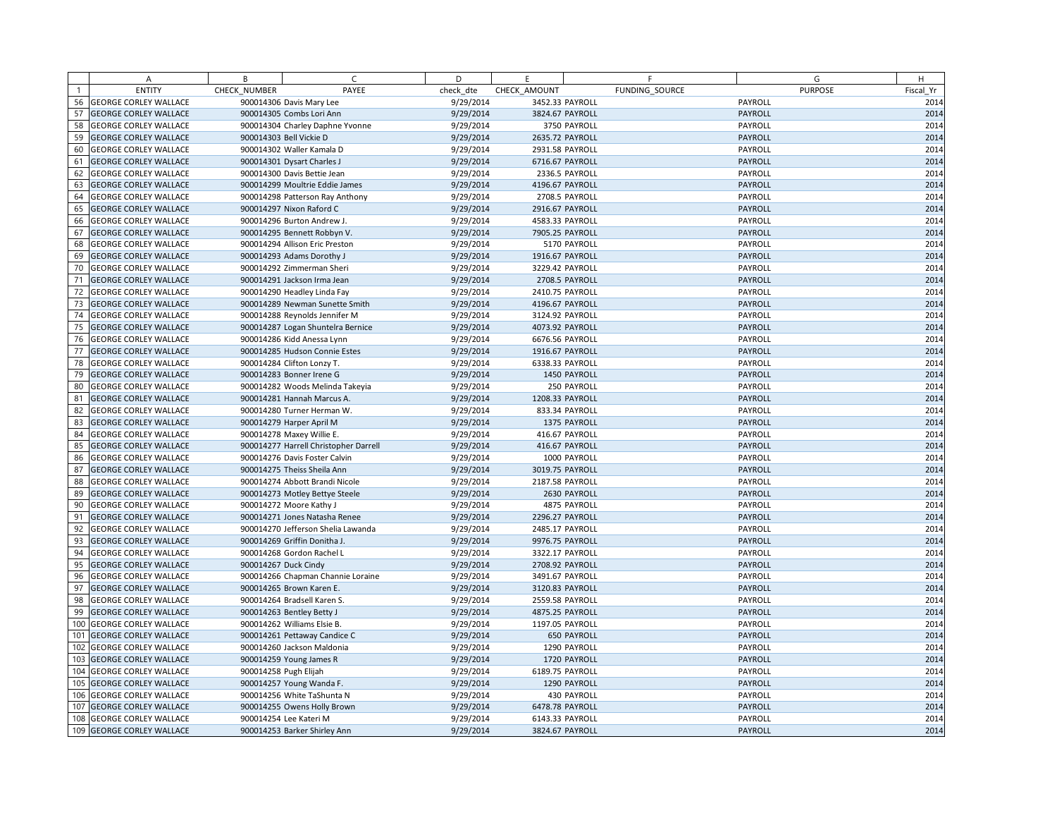|              | A                            | B            | $\epsilon$                            | D         | E.              | F                  | G              | H         |
|--------------|------------------------------|--------------|---------------------------------------|-----------|-----------------|--------------------|----------------|-----------|
| $\mathbf{1}$ | <b>ENTITY</b>                | CHECK NUMBER | PAYEE                                 | check dte | CHECK AMOUNT    | FUNDING SOURCE     | <b>PURPOSE</b> | Fiscal Yr |
| 56           | <b>GEORGE CORLEY WALLACE</b> |              | 900014306 Davis Mary Lee              | 9/29/2014 | 3452.33 PAYROLL |                    | PAYROLL        | 2014      |
| 57           | <b>GEORGE CORLEY WALLACE</b> |              | 900014305 Combs Lori Ann              | 9/29/2014 | 3824.67 PAYROLL |                    | PAYROLL        | 2014      |
| 58           | <b>GEORGE CORLEY WALLACE</b> |              | 900014304 Charley Daphne Yvonne       | 9/29/2014 |                 | 3750 PAYROLL       | PAYROLL        | 2014      |
| 59           | <b>GEORGE CORLEY WALLACE</b> |              | 900014303 Bell Vickie D               | 9/29/2014 | 2635.72 PAYROLL |                    | PAYROLL        | 2014      |
| 60           | <b>GEORGE CORLEY WALLACE</b> |              | 900014302 Waller Kamala D             | 9/29/2014 | 2931.58 PAYROLL |                    | PAYROLL        | 2014      |
| 61           | <b>GEORGE CORLEY WALLACE</b> |              | 900014301 Dysart Charles J            | 9/29/2014 |                 | 6716.67 PAYROLL    | PAYROLL        | 2014      |
| 62           | <b>GEORGE CORLEY WALLACE</b> |              | 900014300 Davis Bettie Jean           | 9/29/2014 |                 | 2336.5 PAYROLL     | PAYROLL        | 2014      |
| 63           | <b>GEORGE CORLEY WALLACE</b> |              | 900014299 Moultrie Eddie James        | 9/29/2014 | 4196.67 PAYROLL |                    | PAYROLL        | 2014      |
| 64           | <b>GEORGE CORLEY WALLACE</b> |              | 900014298 Patterson Ray Anthony       | 9/29/2014 |                 | 2708.5 PAYROLL     | PAYROLL        | 2014      |
| 65           | <b>GEORGE CORLEY WALLACE</b> |              | 900014297 Nixon Raford C              | 9/29/2014 | 2916.67 PAYROLL |                    | PAYROLL        | 2014      |
| 66           | <b>GEORGE CORLEY WALLACE</b> |              | 900014296 Burton Andrew J.            | 9/29/2014 | 4583.33 PAYROLL |                    | PAYROLL        | 2014      |
| 67           | <b>GEORGE CORLEY WALLACE</b> |              | 900014295 Bennett Robbyn V.           | 9/29/2014 |                 | 7905.25 PAYROLL    | PAYROLL        | 2014      |
| 68           | <b>GEORGE CORLEY WALLACE</b> |              | 900014294 Allison Eric Preston        | 9/29/2014 |                 | 5170 PAYROLL       | PAYROLL        | 2014      |
| 69           | <b>GEORGE CORLEY WALLACE</b> |              | 900014293 Adams Dorothy J             | 9/29/2014 | 1916.67 PAYROLL |                    | PAYROLL        | 2014      |
| 70           | <b>GEORGE CORLEY WALLACE</b> |              | 900014292 Zimmerman Sheri             | 9/29/2014 | 3229.42 PAYROLL |                    | PAYROLL        | 2014      |
| 71           | <b>GEORGE CORLEY WALLACE</b> |              | 900014291 Jackson Irma Jean           | 9/29/2014 |                 | 2708.5 PAYROLL     | PAYROLL        | 2014      |
| 72           | <b>GEORGE CORLEY WALLACE</b> |              | 900014290 Headley Linda Fay           | 9/29/2014 | 2410.75 PAYROLL |                    | PAYROLL        | 2014      |
| 73           | <b>GEORGE CORLEY WALLACE</b> |              | 900014289 Newman Sunette Smith        | 9/29/2014 |                 | 4196.67 PAYROLL    | PAYROLL        | 2014      |
| 74           | <b>GEORGE CORLEY WALLACE</b> |              | 900014288 Reynolds Jennifer M         | 9/29/2014 | 3124.92 PAYROLL |                    | PAYROLL        | 2014      |
| 75           | <b>GEORGE CORLEY WALLACE</b> |              | 900014287 Logan Shuntelra Bernice     | 9/29/2014 | 4073.92 PAYROLL |                    | PAYROLL        | 2014      |
| 76           | <b>GEORGE CORLEY WALLACE</b> |              | 900014286 Kidd Anessa Lynn            | 9/29/2014 | 6676.56 PAYROLL |                    | PAYROLL        | 2014      |
| 77           | <b>GEORGE CORLEY WALLACE</b> |              | 900014285 Hudson Connie Estes         | 9/29/2014 | 1916.67 PAYROLL |                    | PAYROLL        | 2014      |
| 78           | <b>GEORGE CORLEY WALLACE</b> |              | 900014284 Clifton Lonzy T.            | 9/29/2014 | 6338.33 PAYROLL |                    | PAYROLL        | 2014      |
| 79           | <b>GEORGE CORLEY WALLACE</b> |              | 900014283 Bonner Irene G              | 9/29/2014 |                 | 1450 PAYROLL       | PAYROLL        | 2014      |
| 80           | <b>GEORGE CORLEY WALLACE</b> |              | 900014282 Woods Melinda Takeyia       | 9/29/2014 |                 | 250 PAYROLL        | PAYROLL        | 2014      |
| 81           | <b>GEORGE CORLEY WALLACE</b> |              | 900014281 Hannah Marcus A.            | 9/29/2014 | 1208.33 PAYROLL |                    | PAYROLL        | 2014      |
| 82           | <b>GEORGE CORLEY WALLACE</b> |              | 900014280 Turner Herman W.            | 9/29/2014 |                 | 833.34 PAYROLL     | PAYROLL        | 2014      |
| 83           | <b>GEORGE CORLEY WALLACE</b> |              | 900014279 Harper April M              | 9/29/2014 |                 | 1375 PAYROLL       | PAYROLL        | 2014      |
| 84           | <b>GEORGE CORLEY WALLACE</b> |              | 900014278 Maxey Willie E.             | 9/29/2014 |                 | 416.67 PAYROLL     | PAYROLL        | 2014      |
| 85           | <b>GEORGE CORLEY WALLACE</b> |              | 900014277 Harrell Christopher Darrell | 9/29/2014 |                 | 416.67 PAYROLL     | PAYROLL        | 2014      |
| 86           | <b>GEORGE CORLEY WALLACE</b> |              | 900014276 Davis Foster Calvin         | 9/29/2014 |                 | 1000 PAYROLL       | PAYROLL        | 2014      |
| 87           | <b>GEORGE CORLEY WALLACE</b> |              | 900014275 Theiss Sheila Ann           | 9/29/2014 | 3019.75 PAYROLL |                    | PAYROLL        | 2014      |
| 88           | <b>GEORGE CORLEY WALLACE</b> |              | 900014274 Abbott Brandi Nicole        | 9/29/2014 | 2187.58 PAYROLL |                    | PAYROLL        | 2014      |
| 89           | <b>GEORGE CORLEY WALLACE</b> |              | 900014273 Motley Bettye Steele        | 9/29/2014 |                 | 2630 PAYROLL       | PAYROLL        | 2014      |
| 90           | <b>GEORGE CORLEY WALLACE</b> |              | 900014272 Moore Kathy J               | 9/29/2014 |                 | 4875 PAYROLL       | PAYROLL        | 2014      |
| 91           | <b>GEORGE CORLEY WALLACE</b> |              | 900014271 Jones Natasha Renee         | 9/29/2014 |                 | 2296.27 PAYROLL    | PAYROLL        | 2014      |
| 92           | <b>GEORGE CORLEY WALLACE</b> |              | 900014270 Jefferson Shelia Lawanda    | 9/29/2014 | 2485.17 PAYROLL |                    | PAYROLL        | 2014      |
| 93           | <b>GEORGE CORLEY WALLACE</b> |              | 900014269 Griffin Donitha J.          | 9/29/2014 |                 | 9976.75 PAYROLL    | PAYROLL        | 2014      |
| 94           | <b>GEORGE CORLEY WALLACE</b> |              | 900014268 Gordon Rachel L             | 9/29/2014 | 3322.17 PAYROLL |                    | PAYROLL        | 2014      |
| 95           | <b>GEORGE CORLEY WALLACE</b> |              | 900014267 Duck Cindy                  | 9/29/2014 | 2708.92 PAYROLL |                    | PAYROLL        | 2014      |
| 96           | <b>GEORGE CORLEY WALLACE</b> |              | 900014266 Chapman Channie Loraine     | 9/29/2014 | 3491.67 PAYROLL |                    | PAYROLL        | 2014      |
| 97           | <b>GEORGE CORLEY WALLACE</b> |              | 900014265 Brown Karen E.              | 9/29/2014 |                 | 3120.83 PAYROLL    | PAYROLL        | 2014      |
| 98           | <b>GEORGE CORLEY WALLACE</b> |              | 900014264 Bradsell Karen S.           | 9/29/2014 | 2559.58 PAYROLL |                    | PAYROLL        | 2014      |
| 99           | <b>GEORGE CORLEY WALLACE</b> |              | 900014263 Bentley Betty J             | 9/29/2014 | 4875.25 PAYROLL |                    | PAYROLL        | 2014      |
|              | 100 GEORGE CORLEY WALLACE    |              | 900014262 Williams Elsie B.           | 9/29/2014 | 1197.05 PAYROLL |                    | PAYROLL        | 2014      |
| 101          | <b>GEORGE CORLEY WALLACE</b> |              | 900014261 Pettaway Candice C          | 9/29/2014 |                 | <b>650 PAYROLL</b> | PAYROLL        | 2014      |
| 102          | <b>GEORGE CORLEY WALLACE</b> |              | 900014260 Jackson Maldonia            | 9/29/2014 |                 | 1290 PAYROLL       | PAYROLL        | 2014      |
| 103          | <b>GEORGE CORLEY WALLACE</b> |              | 900014259 Young James R               | 9/29/2014 |                 | 1720 PAYROLL       | PAYROLL        | 2014      |
|              | 104 GEORGE CORLEY WALLACE    |              | 900014258 Pugh Elijah                 | 9/29/2014 | 6189.75 PAYROLL |                    | PAYROLL        | 2014      |
| 105          | <b>GEORGE CORLEY WALLACE</b> |              | 900014257 Young Wanda F.              | 9/29/2014 |                 | 1290 PAYROLL       | PAYROLL        | 2014      |
|              | 106 GEORGE CORLEY WALLACE    |              | 900014256 White TaShunta N            | 9/29/2014 |                 | 430 PAYROLL        | PAYROLL        | 2014      |
| 107          | <b>GEORGE CORLEY WALLACE</b> |              | 900014255 Owens Holly Brown           | 9/29/2014 | 6478.78 PAYROLL |                    | PAYROLL        | 2014      |
| 108          | <b>GEORGE CORLEY WALLACE</b> |              | 900014254 Lee Kateri M                | 9/29/2014 | 6143.33 PAYROLL |                    | PAYROLL        | 2014      |
|              | 109 GEORGE CORLEY WALLACE    |              | 900014253 Barker Shirley Ann          | 9/29/2014 | 3824.67 PAYROLL |                    | PAYROLL        | 2014      |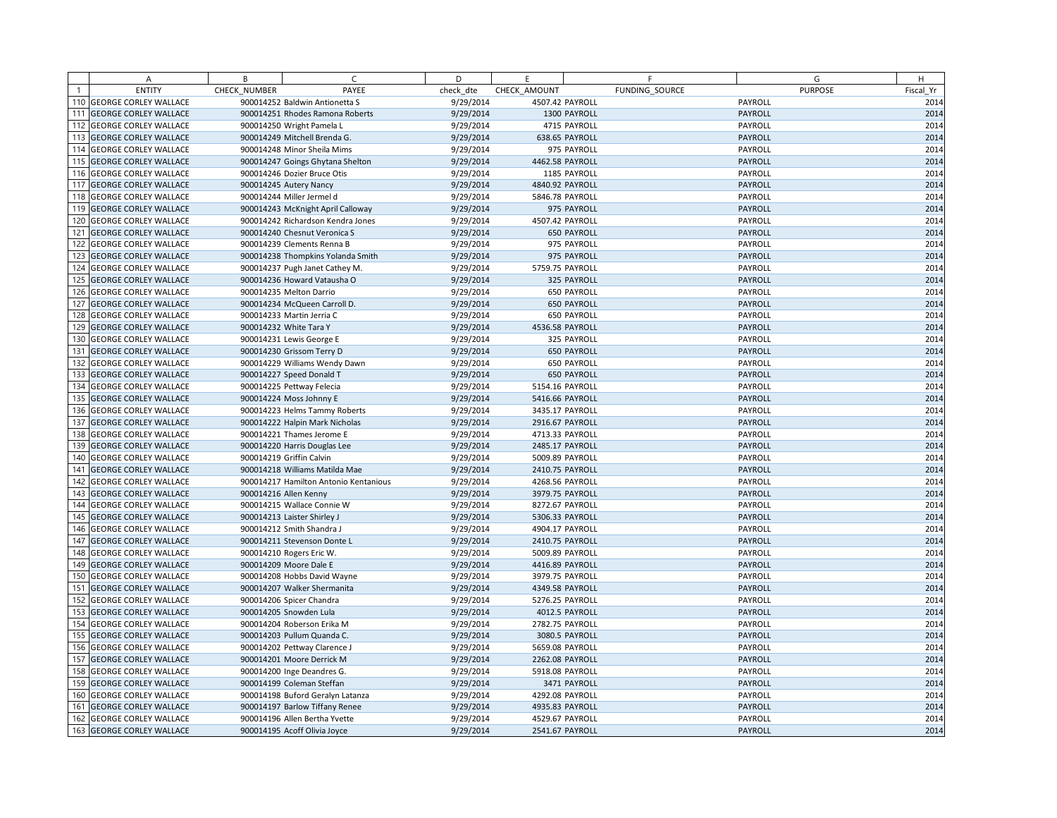|     | A                            | B            | C                                     | D         | E               | F                  | G              | H         |
|-----|------------------------------|--------------|---------------------------------------|-----------|-----------------|--------------------|----------------|-----------|
|     | <b>ENTITY</b>                | CHECK NUMBER | PAYEE                                 | check dte | CHECK AMOUNT    | FUNDING SOURCE     | <b>PURPOSE</b> | Fiscal Yr |
|     | 110 GEORGE CORLEY WALLACE    |              | 900014252 Baldwin Antionetta S        | 9/29/2014 | 4507.42 PAYROLL |                    | PAYROLL        | 2014      |
| 111 | <b>GEORGE CORLEY WALLACE</b> |              | 900014251 Rhodes Ramona Roberts       | 9/29/2014 |                 | 1300 PAYROLL       | PAYROLL        | 2014      |
|     | <b>GEORGE CORLEY WALLACE</b> |              | 900014250 Wright Pamela L             | 9/29/2014 |                 | 4715 PAYROLL       | PAYROLL        | 2014      |
| 113 | <b>GEORGE CORLEY WALLACE</b> |              | 900014249 Mitchell Brenda G.          | 9/29/2014 |                 | 638.65 PAYROLL     | PAYROLL        | 2014      |
| 114 | <b>GEORGE CORLEY WALLACE</b> |              | 900014248 Minor Sheila Mims           | 9/29/2014 |                 | 975 PAYROLL        | PAYROLL        | 2014      |
| 115 | <b>GEORGE CORLEY WALLACE</b> |              | 900014247 Goings Ghytana Shelton      | 9/29/2014 | 4462.58 PAYROLL |                    | PAYROLL        | 2014      |
| 116 | <b>GEORGE CORLEY WALLACE</b> |              | 900014246 Dozier Bruce Otis           | 9/29/2014 |                 | 1185 PAYROLL       | PAYROLL        | 2014      |
| 117 | <b>GEORGE CORLEY WALLACE</b> |              | 900014245 Autery Nancy                | 9/29/2014 | 4840.92 PAYROLL |                    | PAYROLL        | 2014      |
|     | <b>GEORGE CORLEY WALLACE</b> |              | 900014244 Miller Jermel d             | 9/29/2014 | 5846.78 PAYROLL |                    | PAYROLL        | 2014      |
| 119 | <b>GEORGE CORLEY WALLACE</b> |              | 900014243 McKnight April Calloway     | 9/29/2014 |                 | 975 PAYROLL        | PAYROLL        | 2014      |
| 120 | <b>GEORGE CORLEY WALLACE</b> |              | 900014242 Richardson Kendra Jones     | 9/29/2014 | 4507.42 PAYROLL |                    | PAYROLL        | 2014      |
|     | 121 GEORGE CORLEY WALLACE    |              | 900014240 Chesnut Veronica S          | 9/29/2014 |                 | <b>650 PAYROLL</b> | PAYROLL        | 2014      |
| 122 | <b>GEORGE CORLEY WALLACE</b> |              | 900014239 Clements Renna B            | 9/29/2014 |                 | 975 PAYROLL        | PAYROLL        | 2014      |
| 123 | <b>GEORGE CORLEY WALLACE</b> |              | 900014238 Thompkins Yolanda Smith     | 9/29/2014 |                 | 975 PAYROLL        | PAYROLL        | 2014      |
| 124 | <b>GEORGE CORLEY WALLACE</b> |              | 900014237 Pugh Janet Cathey M.        | 9/29/2014 | 5759.75 PAYROLL |                    | PAYROLL        | 2014      |
| 125 | <b>GEORGE CORLEY WALLACE</b> |              | 900014236 Howard Vatausha O           | 9/29/2014 |                 | 325 PAYROLL        | PAYROLL        | 2014      |
| 126 | <b>GEORGE CORLEY WALLACE</b> |              | 900014235 Melton Darrio               | 9/29/2014 |                 | 650 PAYROLL        | PAYROLL        | 2014      |
| 127 | <b>GEORGE CORLEY WALLACE</b> |              | 900014234 McQueen Carroll D.          | 9/29/2014 |                 | <b>650 PAYROLL</b> | PAYROLL        | 2014      |
| 128 | <b>GEORGE CORLEY WALLACE</b> |              | 900014233 Martin Jerria C             | 9/29/2014 |                 | 650 PAYROLL        | PAYROLL        | 2014      |
| 129 | <b>GEORGE CORLEY WALLACE</b> |              | 900014232 White Tara Y                | 9/29/2014 | 4536.58 PAYROLL |                    | PAYROLL        | 2014      |
| 130 | <b>GEORGE CORLEY WALLACE</b> |              | 900014231 Lewis George E              | 9/29/2014 |                 | 325 PAYROLL        | PAYROLL        | 2014      |
|     | 131 GEORGE CORLEY WALLACE    |              | 900014230 Grissom Terry D             | 9/29/2014 |                 | <b>650 PAYROLL</b> | PAYROLL        | 2014      |
| 132 | <b>GEORGE CORLEY WALLACE</b> |              | 900014229 Williams Wendy Dawn         | 9/29/2014 |                 | 650 PAYROLL        | PAYROLL        | 2014      |
| 133 | <b>GEORGE CORLEY WALLACE</b> |              | 900014227 Speed Donald T              | 9/29/2014 |                 | 650 PAYROLL        | PAYROLL        | 2014      |
| 134 | <b>GEORGE CORLEY WALLACE</b> |              | 900014225 Pettway Felecia             | 9/29/2014 | 5154.16 PAYROLL |                    | PAYROLL        | 2014      |
| 135 | <b>GEORGE CORLEY WALLACE</b> |              | 900014224 Moss Johnny E               | 9/29/2014 | 5416.66 PAYROLL |                    | PAYROLL        | 2014      |
| 136 | <b>GEORGE CORLEY WALLACE</b> |              | 900014223 Helms Tammy Roberts         | 9/29/2014 | 3435.17 PAYROLL |                    | PAYROLL        | 2014      |
|     | 137 GEORGE CORLEY WALLACE    |              | 900014222 Halpin Mark Nicholas        | 9/29/2014 | 2916.67 PAYROLL |                    | PAYROLL        | 2014      |
| 138 | <b>GEORGE CORLEY WALLACE</b> |              | 900014221 Thames Jerome E             | 9/29/2014 | 4713.33 PAYROLL |                    | PAYROLL        | 2014      |
| 139 | <b>GEORGE CORLEY WALLACE</b> |              | 900014220 Harris Douglas Lee          | 9/29/2014 | 2485.17 PAYROLL |                    | PAYROLL        | 2014      |
| 140 | <b>GEORGE CORLEY WALLACE</b> |              | 900014219 Griffin Calvin              | 9/29/2014 | 5009.89 PAYROLL |                    | PAYROLL        | 2014      |
| 141 | <b>GEORGE CORLEY WALLACE</b> |              | 900014218 Williams Matilda Mae        | 9/29/2014 | 2410.75 PAYROLL |                    | PAYROLL        | 2014      |
| 142 | <b>GEORGE CORLEY WALLACE</b> |              | 900014217 Hamilton Antonio Kentanious | 9/29/2014 | 4268.56 PAYROLL |                    | PAYROLL        | 2014      |
|     | 143 GEORGE CORLEY WALLACE    |              | 900014216 Allen Kenny                 | 9/29/2014 | 3979.75 PAYROLL |                    | PAYROLL        | 2014      |
|     | 144 GEORGE CORLEY WALLACE    |              | 900014215 Wallace Connie W            | 9/29/2014 | 8272.67 PAYROLL |                    | PAYROLL        | 2014      |
| 145 | <b>GEORGE CORLEY WALLACE</b> |              | 900014213 Laister Shirley J           | 9/29/2014 | 5306.33 PAYROLL |                    | PAYROLL        | 2014      |
| 146 | <b>GEORGE CORLEY WALLACE</b> |              | 900014212 Smith Shandra J             | 9/29/2014 | 4904.17 PAYROLL |                    | PAYROLL        | 2014      |
| 147 | <b>GEORGE CORLEY WALLACE</b> |              | 900014211 Stevenson Donte L           | 9/29/2014 | 2410.75 PAYROLL |                    | PAYROLL        | 2014      |
| 148 | <b>GEORGE CORLEY WALLACE</b> |              | 900014210 Rogers Eric W.              | 9/29/2014 | 5009.89 PAYROLL |                    | PAYROLL        | 2014      |
| 149 | <b>GEORGE CORLEY WALLACE</b> |              | 900014209 Moore Dale E                | 9/29/2014 | 4416.89 PAYROLL |                    | PAYROLL        | 2014      |
| 150 | <b>GEORGE CORLEY WALLACE</b> |              | 900014208 Hobbs David Wayne           | 9/29/2014 | 3979.75 PAYROLL |                    | PAYROLL        | 2014      |
| 151 | <b>GEORGE CORLEY WALLACE</b> |              | 900014207 Walker Shermanita           | 9/29/2014 | 4349.58 PAYROLL |                    | PAYROLL        | 2014      |
| 152 | <b>GEORGE CORLEY WALLACE</b> |              | 900014206 Spicer Chandra              | 9/29/2014 | 5276.25 PAYROLL |                    | PAYROLL        | 2014      |
| 153 | <b>GEORGE CORLEY WALLACE</b> |              | 900014205 Snowden Lula                | 9/29/2014 | 4012.5 PAYROLL  |                    | PAYROLL        | 2014      |
| 154 | <b>GEORGE CORLEY WALLACE</b> |              | 900014204 Roberson Erika M            | 9/29/2014 | 2782.75 PAYROLL |                    | PAYROLL        | 2014      |
| 155 | <b>GEORGE CORLEY WALLACE</b> |              | 900014203 Pullum Quanda C.            | 9/29/2014 | 3080.5 PAYROLL  |                    | PAYROLL        | 2014      |
|     | 156 GEORGE CORLEY WALLACE    |              | 900014202 Pettway Clarence J          | 9/29/2014 | 5659.08 PAYROLL |                    | PAYROLL        | 2014      |
| 157 | <b>GEORGE CORLEY WALLACE</b> |              | 900014201 Moore Derrick M             | 9/29/2014 | 2262.08 PAYROLL |                    | PAYROLL        | 2014      |
| 158 | <b>GEORGE CORLEY WALLACE</b> |              | 900014200 Inge Deandres G.            | 9/29/2014 | 5918.08 PAYROLL |                    | PAYROLL        | 2014      |
| 159 | <b>GEORGE CORLEY WALLACE</b> |              | 900014199 Coleman Steffan             | 9/29/2014 |                 | 3471 PAYROLL       | PAYROLL        | 2014      |
| 160 | <b>GEORGE CORLEY WALLACE</b> |              | 900014198 Buford Geralyn Latanza      | 9/29/2014 | 4292.08 PAYROLL |                    | PAYROLL        | 2014      |
| 161 | <b>GEORGE CORLEY WALLACE</b> |              | 900014197 Barlow Tiffany Renee        | 9/29/2014 | 4935.83 PAYROLL |                    | PAYROLL        | 2014      |
| 162 | <b>GEORGE CORLEY WALLACE</b> |              | 900014196 Allen Bertha Yvette         | 9/29/2014 | 4529.67 PAYROLL |                    | PAYROLL        | 2014      |
|     | 163 GEORGE CORLEY WALLACE    |              | 900014195 Acoff Olivia Joyce          | 9/29/2014 | 2541.67 PAYROLL |                    | PAYROLL        | 2014      |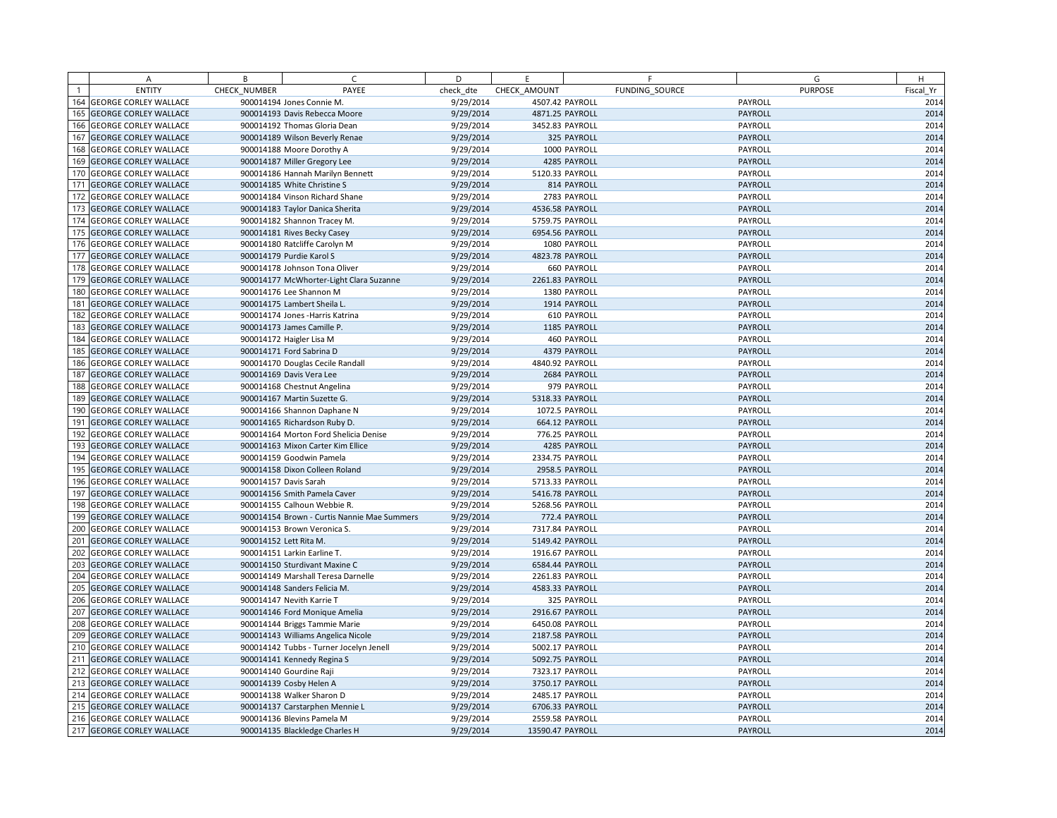|                | A                            | B            | C                                           | D         | E.               | F                  | G              | H         |
|----------------|------------------------------|--------------|---------------------------------------------|-----------|------------------|--------------------|----------------|-----------|
| $\overline{1}$ | <b>ENTITY</b>                | CHECK NUMBER | PAYEE                                       | check dte | CHECK AMOUNT     | FUNDING SOURCE     | <b>PURPOSE</b> | Fiscal Yr |
|                | 164 GEORGE CORLEY WALLACE    |              | 900014194 Jones Connie M.                   | 9/29/2014 | 4507.42 PAYROLL  |                    | PAYROLL        | 2014      |
| 165            | <b>GEORGE CORLEY WALLACE</b> |              | 900014193 Davis Rebecca Moore               | 9/29/2014 | 4871.25 PAYROLL  |                    | PAYROLL        | 2014      |
| 166            | <b>GEORGE CORLEY WALLACE</b> |              | 900014192 Thomas Gloria Dean                | 9/29/2014 | 3452.83 PAYROLL  |                    | PAYROLL        | 2014      |
| 167            | <b>GEORGE CORLEY WALLACE</b> |              | 900014189 Wilson Beverly Renae              | 9/29/2014 |                  | 325 PAYROLL        | PAYROLL        | 2014      |
| 168            | <b>GEORGE CORLEY WALLACE</b> |              | 900014188 Moore Dorothy A                   | 9/29/2014 |                  | 1000 PAYROLL       | PAYROLL        | 2014      |
| 169            | <b>GEORGE CORLEY WALLACE</b> |              | 900014187 Miller Gregory Lee                | 9/29/2014 |                  | 4285 PAYROLL       | PAYROLL        | 2014      |
| 170            | <b>GEORGE CORLEY WALLACE</b> |              | 900014186 Hannah Marilyn Bennett            | 9/29/2014 | 5120.33 PAYROLL  |                    | PAYROLL        | 2014      |
| 171            | <b>GEORGE CORLEY WALLACE</b> |              | 900014185 White Christine S                 | 9/29/2014 |                  | 814 PAYROLL        | PAYROLL        | 2014      |
|                | 172 GEORGE CORLEY WALLACE    |              | 900014184 Vinson Richard Shane              | 9/29/2014 |                  | 2783 PAYROLL       | PAYROLL        | 2014      |
| 173            | <b>GEORGE CORLEY WALLACE</b> |              | 900014183 Taylor Danica Sherita             | 9/29/2014 | 4536.58 PAYROLL  |                    | PAYROLL        | 2014      |
|                | 174 GEORGE CORLEY WALLACE    |              | 900014182 Shannon Tracey M.                 | 9/29/2014 | 5759.75 PAYROLL  |                    | PAYROLL        | 2014      |
| 175            | <b>GEORGE CORLEY WALLACE</b> |              | 900014181 Rives Becky Casey                 | 9/29/2014 | 6954.56 PAYROLL  |                    | PAYROLL        | 2014      |
| 176            | <b>GEORGE CORLEY WALLACE</b> |              | 900014180 Ratcliffe Carolyn M               | 9/29/2014 |                  | 1080 PAYROLL       | PAYROLL        | 2014      |
| 177            | <b>GEORGE CORLEY WALLACE</b> |              | 900014179 Purdie Karol S                    | 9/29/2014 | 4823.78 PAYROLL  |                    | PAYROLL        | 2014      |
|                | 178 GEORGE CORLEY WALLACE    |              | 900014178 Johnson Tona Oliver               | 9/29/2014 |                  | <b>660 PAYROLL</b> | PAYROLL        | 2014      |
| 179            | <b>GEORGE CORLEY WALLACE</b> |              | 900014177 McWhorter-Light Clara Suzanne     | 9/29/2014 | 2261.83 PAYROLL  |                    | PAYROLL        | 2014      |
| 180            | <b>GEORGE CORLEY WALLACE</b> |              | 900014176 Lee Shannon M                     | 9/29/2014 |                  | 1380 PAYROLL       | PAYROLL        | 2014      |
| 181            | <b>GEORGE CORLEY WALLACE</b> |              | 900014175 Lambert Sheila L.                 | 9/29/2014 |                  | 1914 PAYROLL       | PAYROLL        | 2014      |
| 182            | <b>GEORGE CORLEY WALLACE</b> |              | 900014174 Jones - Harris Katrina            | 9/29/2014 |                  | 610 PAYROLL        | PAYROLL        | 2014      |
| 183            | <b>GEORGE CORLEY WALLACE</b> |              | 900014173 James Camille P.                  | 9/29/2014 |                  | 1185 PAYROLL       | PAYROLL        | 2014      |
| 184            | <b>GEORGE CORLEY WALLACE</b> |              | 900014172 Haigler Lisa M                    | 9/29/2014 |                  | 460 PAYROLL        | PAYROLL        | 2014      |
| 185            | <b>GEORGE CORLEY WALLACE</b> |              | 900014171 Ford Sabrina D                    | 9/29/2014 |                  | 4379 PAYROLL       | PAYROLL        | 2014      |
| 186            | <b>GEORGE CORLEY WALLACE</b> |              | 900014170 Douglas Cecile Randall            | 9/29/2014 | 4840.92 PAYROLL  |                    | PAYROLL        | 2014      |
| 187            | <b>GEORGE CORLEY WALLACE</b> |              | 900014169 Davis Vera Lee                    | 9/29/2014 |                  | 2684 PAYROLL       | PAYROLL        | 2014      |
| 188            | <b>GEORGE CORLEY WALLACE</b> |              | 900014168 Chestnut Angelina                 | 9/29/2014 |                  | 979 PAYROLL        | PAYROLL        | 2014      |
| 189            | <b>GEORGE CORLEY WALLACE</b> |              | 900014167 Martin Suzette G.                 | 9/29/2014 | 5318.33 PAYROLL  |                    | PAYROLL        | 2014      |
|                | 190 GEORGE CORLEY WALLACE    |              | 900014166 Shannon Daphane N                 | 9/29/2014 |                  | 1072.5 PAYROLL     | PAYROLL        | 2014      |
| 191            | <b>GEORGE CORLEY WALLACE</b> |              | 900014165 Richardson Ruby D.                | 9/29/2014 |                  | 664.12 PAYROLL     | PAYROLL        | 2014      |
| 192            | <b>GEORGE CORLEY WALLACE</b> |              | 900014164 Morton Ford Shelicia Denise       | 9/29/2014 |                  | 776.25 PAYROLL     | PAYROLL        | 2014      |
| 193            | <b>GEORGE CORLEY WALLACE</b> |              | 900014163 Mixon Carter Kim Ellice           | 9/29/2014 |                  | 4285 PAYROLL       | PAYROLL        | 2014      |
|                | 194 GEORGE CORLEY WALLACE    |              | 900014159 Goodwin Pamela                    | 9/29/2014 | 2334.75 PAYROLL  |                    | PAYROLL        | 2014      |
| 195            | <b>GEORGE CORLEY WALLACE</b> |              | 900014158 Dixon Colleen Roland              | 9/29/2014 |                  | 2958.5 PAYROLL     | PAYROLL        | 2014      |
|                | 196 GEORGE CORLEY WALLACE    |              | 900014157 Davis Sarah                       | 9/29/2014 | 5713.33 PAYROLL  |                    | PAYROLL        | 2014      |
| 197            | <b>GEORGE CORLEY WALLACE</b> |              | 900014156 Smith Pamela Caver                | 9/29/2014 | 5416.78 PAYROLL  |                    | PAYROLL        | 2014      |
| 198            | <b>GEORGE CORLEY WALLACE</b> |              | 900014155 Calhoun Webbie R.                 | 9/29/2014 | 5268.56 PAYROLL  |                    | PAYROLL        | 2014      |
| 199            | <b>GEORGE CORLEY WALLACE</b> |              | 900014154 Brown - Curtis Nannie Mae Summers | 9/29/2014 |                  | 772.4 PAYROLL      | PAYROLL        | 2014      |
| 200            | <b>GEORGE CORLEY WALLACE</b> |              | 900014153 Brown Veronica S.                 | 9/29/2014 | 7317.84 PAYROLL  |                    | PAYROLL        | 2014      |
| 201            | <b>GEORGE CORLEY WALLACE</b> |              | 900014152 Lett Rita M.                      | 9/29/2014 | 5149.42 PAYROLL  |                    | PAYROLL        | 2014      |
|                | 202 GEORGE CORLEY WALLACE    |              | 900014151 Larkin Earline T.                 | 9/29/2014 | 1916.67 PAYROLL  |                    | PAYROLL        | 2014      |
| 203            | <b>GEORGE CORLEY WALLACE</b> |              | 900014150 Sturdivant Maxine C               | 9/29/2014 | 6584.44 PAYROLL  |                    | PAYROLL        | 2014      |
| 204            | <b>GEORGE CORLEY WALLACE</b> |              | 900014149 Marshall Teresa Darnelle          | 9/29/2014 | 2261.83 PAYROLL  |                    | PAYROLL        | 2014      |
| 205            | <b>GEORGE CORLEY WALLACE</b> |              | 900014148 Sanders Felicia M.                | 9/29/2014 | 4583.33 PAYROLL  |                    | PAYROLL        | 2014      |
| 206            | <b>GEORGE CORLEY WALLACE</b> |              | 900014147 Nevith Karrie T                   | 9/29/2014 |                  | 325 PAYROLL        | PAYROLL        | 2014      |
| 207            | <b>GEORGE CORLEY WALLACE</b> |              | 900014146 Ford Monique Amelia               | 9/29/2014 | 2916.67 PAYROLL  |                    | PAYROLL        | 2014      |
|                | 208 GEORGE CORLEY WALLACE    |              | 900014144 Briggs Tammie Marie               | 9/29/2014 | 6450.08 PAYROLL  |                    | PAYROLL        | 2014      |
| 209            | <b>GEORGE CORLEY WALLACE</b> |              | 900014143 Williams Angelica Nicole          | 9/29/2014 | 2187.58 PAYROLL  |                    | PAYROLL        | 2014      |
|                | 210 GEORGE CORLEY WALLACE    |              | 900014142 Tubbs - Turner Jocelyn Jenell     | 9/29/2014 | 5002.17 PAYROLL  |                    | PAYROLL        | 2014      |
| 211            | <b>GEORGE CORLEY WALLACE</b> |              | 900014141 Kennedy Regina S                  | 9/29/2014 | 5092.75 PAYROLL  |                    | PAYROLL        | 2014      |
|                | 212 GEORGE CORLEY WALLACE    |              | 900014140 Gourdine Raji                     | 9/29/2014 | 7323.17 PAYROLL  |                    | PAYROLL        | 2014      |
| 213            | <b>GEORGE CORLEY WALLACE</b> |              | 900014139 Cosby Helen A                     | 9/29/2014 | 3750.17 PAYROLL  |                    | PAYROLL        | 2014      |
|                | 214 GEORGE CORLEY WALLACE    |              | 900014138 Walker Sharon D                   | 9/29/2014 | 2485.17 PAYROLL  |                    | PAYROLL        | 2014      |
| 215            | <b>GEORGE CORLEY WALLACE</b> |              | 900014137 Carstarphen Mennie L              | 9/29/2014 | 6706.33 PAYROLL  |                    | PAYROLL        | 2014      |
|                | 216 GEORGE CORLEY WALLACE    |              | 900014136 Blevins Pamela M                  | 9/29/2014 | 2559.58 PAYROLL  |                    | PAYROLL        | 2014      |
|                | 217 GEORGE CORLEY WALLACE    |              | 900014135 Blackledge Charles H              | 9/29/2014 | 13590.47 PAYROLL |                    | PAYROLL        | 2014      |
|                |                              |              |                                             |           |                  |                    |                |           |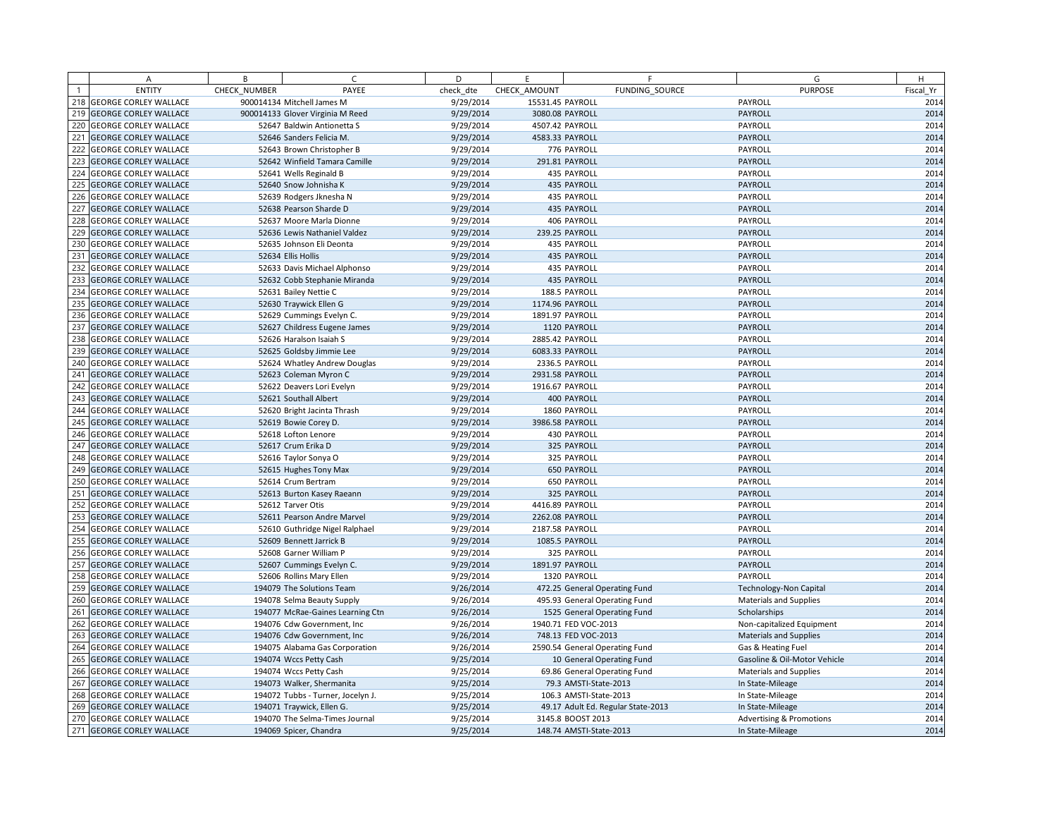|                 | A                            | B            | C.                                | D         | E                | F.                                 | G                                   | H         |
|-----------------|------------------------------|--------------|-----------------------------------|-----------|------------------|------------------------------------|-------------------------------------|-----------|
|                 | <b>ENTITY</b>                | CHECK NUMBER | PAYEE                             | check dte | CHECK AMOUNT     | FUNDING SOURCE                     | <b>PURPOSE</b>                      | Fiscal Yr |
| 218             | <b>GEORGE CORLEY WALLACE</b> |              | 900014134 Mitchell James M        | 9/29/2014 | 15531.45 PAYROLL |                                    | PAYROLL                             | 2014      |
|                 | 219 GEORGE CORLEY WALLACE    |              | 900014133 Glover Virginia M Reed  | 9/29/2014 | 3080.08 PAYROLL  |                                    | <b>PAYROLL</b>                      | 2014      |
| 220             | <b>GEORGE CORLEY WALLACE</b> |              | 52647 Baldwin Antionetta S        | 9/29/2014 | 4507.42 PAYROLL  |                                    | PAYROLL                             | 2014      |
| 221             | <b>GEORGE CORLEY WALLACE</b> |              | 52646 Sanders Felicia M.          | 9/29/2014 | 4583.33 PAYROLL  |                                    | PAYROLL                             | 2014      |
| 222             | <b>GEORGE CORLEY WALLACE</b> |              | 52643 Brown Christopher B         | 9/29/2014 |                  | 776 PAYROLL                        | PAYROLL                             | 2014      |
| 223             | <b>GEORGE CORLEY WALLACE</b> |              | 52642 Winfield Tamara Camille     | 9/29/2014 |                  | 291.81 PAYROLL                     | PAYROLL                             | 2014      |
| 224             | <b>GEORGE CORLEY WALLACE</b> |              | 52641 Wells Reginald B            | 9/29/2014 |                  | 435 PAYROLL                        | PAYROLL                             | 2014      |
| 225             | <b>GEORGE CORLEY WALLACE</b> |              | 52640 Snow Johnisha K             | 9/29/2014 |                  | 435 PAYROLL                        | <b>PAYROLL</b>                      | 2014      |
| 226             | <b>GEORGE CORLEY WALLACE</b> |              | 52639 Rodgers Jknesha N           | 9/29/2014 |                  | 435 PAYROLL                        | PAYROLL                             | 2014      |
| 227             | <b>GEORGE CORLEY WALLACE</b> |              | 52638 Pearson Sharde D            | 9/29/2014 |                  | 435 PAYROLL                        | PAYROLL                             | 2014      |
| 228             | <b>GEORGE CORLEY WALLACE</b> |              | 52637 Moore Marla Dionne          | 9/29/2014 |                  | 406 PAYROLL                        | PAYROLL                             | 2014      |
| 229             | <b>GEORGE CORLEY WALLACE</b> |              | 52636 Lewis Nathaniel Valdez      | 9/29/2014 |                  | 239.25 PAYROLL                     | PAYROLL                             | 2014      |
| 230             | <b>GEORGE CORLEY WALLACE</b> |              | 52635 Johnson Eli Deonta          | 9/29/2014 |                  | 435 PAYROLL                        | PAYROLL                             | 2014      |
| 23 <sup>1</sup> | <b>GEORGE CORLEY WALLACE</b> |              | 52634 Ellis Hollis                | 9/29/2014 |                  | 435 PAYROLL                        | PAYROLL                             | 2014      |
| 232             | <b>GEORGE CORLEY WALLACE</b> |              | 52633 Davis Michael Alphonso      | 9/29/2014 |                  | 435 PAYROLL                        | PAYROLL                             | 2014      |
| 233             | <b>GEORGE CORLEY WALLACE</b> |              | 52632 Cobb Stephanie Miranda      | 9/29/2014 |                  | 435 PAYROLL                        | PAYROLL                             | 2014      |
| 234             | <b>GEORGE CORLEY WALLACE</b> |              | 52631 Bailey Nettie C             | 9/29/2014 |                  | 188.5 PAYROLL                      | PAYROLL                             | 2014      |
| 235             | <b>GEORGE CORLEY WALLACE</b> |              | 52630 Traywick Ellen G            | 9/29/2014 | 1174.96 PAYROLL  |                                    | PAYROLL                             | 2014      |
| 236             | <b>GEORGE CORLEY WALLACE</b> |              | 52629 Cummings Evelyn C.          | 9/29/2014 | 1891.97 PAYROLL  |                                    | PAYROLL                             | 2014      |
| 237             | <b>GEORGE CORLEY WALLACE</b> |              | 52627 Childress Eugene James      | 9/29/2014 |                  | 1120 PAYROLL                       | PAYROLL                             | 2014      |
| 238             | <b>GEORGE CORLEY WALLACE</b> |              | 52626 Haralson Isaiah S           | 9/29/2014 | 2885.42 PAYROLL  |                                    | PAYROLL                             | 2014      |
| 239             | <b>GEORGE CORLEY WALLACE</b> |              | 52625 Goldsby Jimmie Lee          | 9/29/2014 | 6083.33 PAYROLL  |                                    | PAYROLL                             | 2014      |
| 240             | <b>GEORGE CORLEY WALLACE</b> |              | 52624 Whatley Andrew Douglas      | 9/29/2014 |                  | 2336.5 PAYROLL                     | PAYROLL                             | 2014      |
| 241             | <b>GEORGE CORLEY WALLACE</b> |              | 52623 Coleman Myron C             | 9/29/2014 | 2931.58 PAYROLL  |                                    | PAYROLL                             | 2014      |
| 242             | <b>GEORGE CORLEY WALLACE</b> |              | 52622 Deavers Lori Evelyn         | 9/29/2014 | 1916.67 PAYROLL  |                                    | PAYROLL                             | 2014      |
| 243             | <b>GEORGE CORLEY WALLACE</b> |              | 52621 Southall Albert             | 9/29/2014 |                  | 400 PAYROLL                        | PAYROLL                             | 2014      |
| 244             | <b>GEORGE CORLEY WALLACE</b> |              | 52620 Bright Jacinta Thrash       | 9/29/2014 |                  | 1860 PAYROLL                       | PAYROLL                             | 2014      |
| 245             | <b>GEORGE CORLEY WALLACE</b> |              | 52619 Bowie Corey D.              | 9/29/2014 | 3986.58 PAYROLL  |                                    | PAYROLL                             | 2014      |
| 246             | <b>GEORGE CORLEY WALLACE</b> |              | 52618 Lofton Lenore               | 9/29/2014 |                  | 430 PAYROLL                        | PAYROLL                             | 2014      |
| 247             | <b>GEORGE CORLEY WALLACE</b> |              | 52617 Crum Erika D                | 9/29/2014 |                  | 325 PAYROLL                        | PAYROLL                             | 2014      |
| 248             | <b>GEORGE CORLEY WALLACE</b> |              | 52616 Taylor Sonya O              | 9/29/2014 |                  | 325 PAYROLL                        | PAYROLL                             | 2014      |
| 249             | <b>GEORGE CORLEY WALLACE</b> |              | 52615 Hughes Tony Max             | 9/29/2014 |                  | 650 PAYROLL                        | PAYROLL                             | 2014      |
| 250             | <b>GEORGE CORLEY WALLACE</b> |              | 52614 Crum Bertram                | 9/29/2014 |                  | <b>650 PAYROLL</b>                 | PAYROLL                             | 2014      |
| 251             | <b>GEORGE CORLEY WALLACE</b> |              | 52613 Burton Kasey Raeann         | 9/29/2014 |                  | 325 PAYROLL                        | PAYROLL                             | 2014      |
| 252             | <b>GEORGE CORLEY WALLACE</b> |              | 52612 Tarver Otis                 | 9/29/2014 | 4416.89 PAYROLL  |                                    | PAYROLL                             | 2014      |
| 253             | <b>GEORGE CORLEY WALLACE</b> |              | 52611 Pearson Andre Marvel        | 9/29/2014 | 2262.08 PAYROLL  |                                    | PAYROLL                             | 2014      |
| 254             | <b>GEORGE CORLEY WALLACE</b> |              | 52610 Guthridge Nigel Ralphael    | 9/29/2014 | 2187.58 PAYROLL  |                                    | PAYROLL                             | 2014      |
| 255             | <b>GEORGE CORLEY WALLACE</b> |              | 52609 Bennett Jarrick B           | 9/29/2014 |                  | 1085.5 PAYROLL                     | PAYROLL                             | 2014      |
| 256             | <b>GEORGE CORLEY WALLACE</b> |              | 52608 Garner William P            | 9/29/2014 |                  | 325 PAYROLL                        | PAYROLL                             | 2014      |
| 257             | <b>GEORGE CORLEY WALLACE</b> |              | 52607 Cummings Evelyn C.          | 9/29/2014 | 1891.97 PAYROLL  |                                    | PAYROLL                             | 2014      |
| 258             | <b>GEORGE CORLEY WALLACE</b> |              | 52606 Rollins Mary Ellen          | 9/29/2014 |                  | 1320 PAYROLL                       | PAYROLL                             | 2014      |
| 259             | <b>GEORGE CORLEY WALLACE</b> |              | 194079 The Solutions Team         | 9/26/2014 |                  | 472.25 General Operating Fund      | <b>Technology-Non Capital</b>       | 2014      |
| 260             | <b>GEORGE CORLEY WALLACE</b> |              | 194078 Selma Beauty Supply        | 9/26/2014 |                  | 495.93 General Operating Fund      | <b>Materials and Supplies</b>       | 2014      |
| 261             | <b>GEORGE CORLEY WALLACE</b> |              | 194077 McRae-Gaines Learning Ctn  | 9/26/2014 |                  | 1525 General Operating Fund        | Scholarships                        | 2014      |
| 262             | <b>GEORGE CORLEY WALLACE</b> |              | 194076 Cdw Government, Inc.       | 9/26/2014 |                  | 1940.71 FED VOC-2013               | Non-capitalized Equipment           | 2014      |
| 263             | <b>GEORGE CORLEY WALLACE</b> |              | 194076 Cdw Government, Inc.       | 9/26/2014 |                  | 748.13 FED VOC-2013                | <b>Materials and Supplies</b>       | 2014      |
| 264             | <b>GEORGE CORLEY WALLACE</b> |              | 194075 Alabama Gas Corporation    | 9/26/2014 |                  | 2590.54 General Operating Fund     | Gas & Heating Fuel                  | 2014      |
| 265             | <b>GEORGE CORLEY WALLACE</b> |              | 194074 Wccs Petty Cash            | 9/25/2014 |                  | 10 General Operating Fund          | Gasoline & Oil-Motor Vehicle        | 2014      |
| 266             | <b>GEORGE CORLEY WALLACE</b> |              | 194074 Wccs Petty Cash            | 9/25/2014 |                  | 69.86 General Operating Fund       | <b>Materials and Supplies</b>       | 2014      |
| 267             | <b>GEORGE CORLEY WALLACE</b> |              | 194073 Walker, Shermanita         | 9/25/2014 |                  | 79.3 AMSTI-State-2013              | In State-Mileage                    | 2014      |
| 268             | <b>GEORGE CORLEY WALLACE</b> |              | 194072 Tubbs - Turner, Jocelyn J. | 9/25/2014 |                  | 106.3 AMSTI-State-2013             | In State-Mileage                    | 2014      |
| 269             | <b>GEORGE CORLEY WALLACE</b> |              | 194071 Traywick, Ellen G.         | 9/25/2014 |                  | 49.17 Adult Ed. Regular State-2013 | In State-Mileage                    | 2014      |
| 270             | <b>GEORGE CORLEY WALLACE</b> |              | 194070 The Selma-Times Journal    | 9/25/2014 |                  | 3145.8 BOOST 2013                  | <b>Advertising &amp; Promotions</b> | 2014      |
|                 | 271 GEORGE CORLEY WALLACE    |              | 194069 Spicer, Chandra            | 9/25/2014 |                  | 148.74 AMSTI-State-2013            | In State-Mileage                    | 2014      |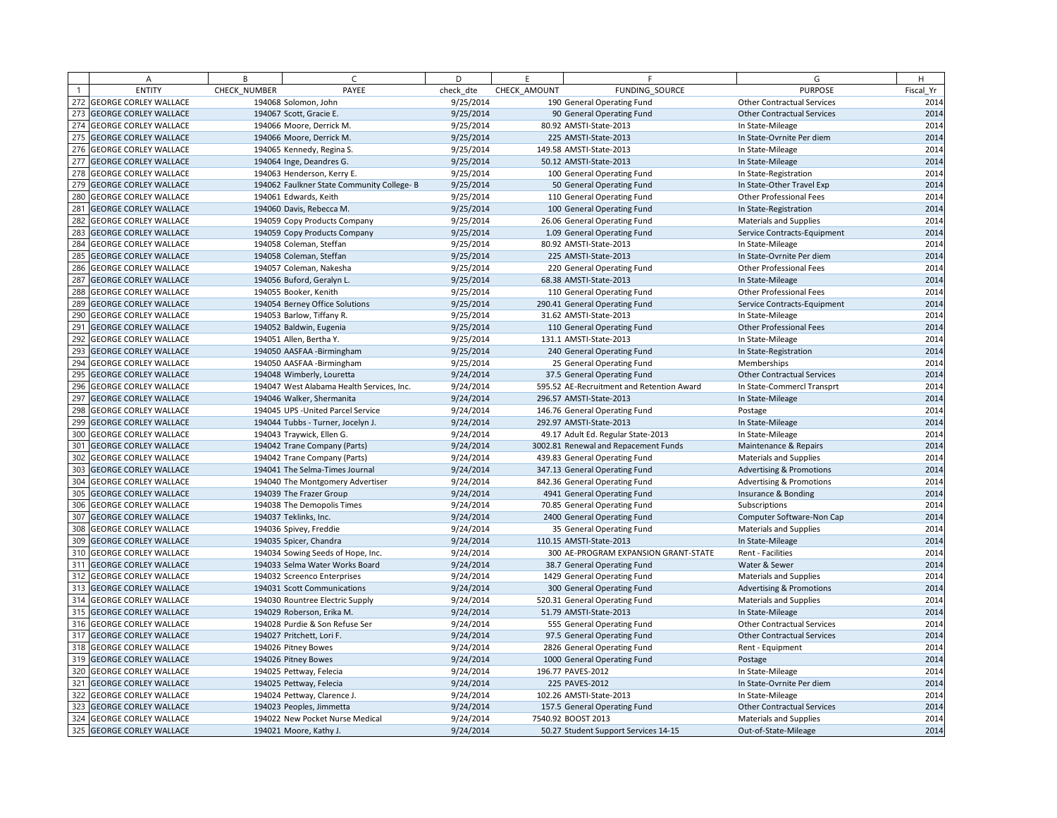|     | Α                            | B            | $\epsilon$                                 | D         | E            | F                                         | G                                   | H         |
|-----|------------------------------|--------------|--------------------------------------------|-----------|--------------|-------------------------------------------|-------------------------------------|-----------|
|     | <b>ENTITY</b>                | CHECK_NUMBER | PAYEE                                      | check dte | CHECK AMOUNT | FUNDING SOURCE                            | <b>PURPOSE</b>                      | Fiscal Yr |
| 272 | <b>GEORGE CORLEY WALLACE</b> |              | 194068 Solomon, John                       | 9/25/2014 |              | 190 General Operating Fund                | <b>Other Contractual Services</b>   | 2014      |
| 273 | <b>GEORGE CORLEY WALLACE</b> |              | 194067 Scott, Gracie E.                    | 9/25/2014 |              | 90 General Operating Fund                 | <b>Other Contractual Services</b>   | 2014      |
|     | 274 GEORGE CORLEY WALLACE    |              | 194066 Moore, Derrick M.                   | 9/25/2014 |              | 80.92 AMSTI-State-2013                    | In State-Mileage                    | 2014      |
| 275 | <b>GEORGE CORLEY WALLACE</b> |              | 194066 Moore, Derrick M.                   | 9/25/2014 |              | 225 AMSTI-State-2013                      | In State-Ovrnite Per diem           | 2014      |
|     | 276 GEORGE CORLEY WALLACE    |              | 194065 Kennedy, Regina S.                  | 9/25/2014 |              | 149.58 AMSTI-State-2013                   | In State-Mileage                    | 2014      |
| 277 | <b>GEORGE CORLEY WALLACE</b> |              | 194064 Inge, Deandres G.                   | 9/25/2014 |              | 50.12 AMSTI-State-2013                    | In State-Mileage                    | 2014      |
| 278 | <b>GEORGE CORLEY WALLACE</b> |              | 194063 Henderson, Kerry E.                 | 9/25/2014 |              | 100 General Operating Fund                | In State-Registration               | 2014      |
| 279 | <b>GEORGE CORLEY WALLACE</b> |              | 194062 Faulkner State Community College- B | 9/25/2014 |              | 50 General Operating Fund                 | In State-Other Travel Exp           | 2014      |
|     | 280 GEORGE CORLEY WALLACE    |              | 194061 Edwards, Keith                      | 9/25/2014 |              | 110 General Operating Fund                | Other Professional Fees             | 2014      |
| 281 | <b>GEORGE CORLEY WALLACE</b> |              | 194060 Davis, Rebecca M.                   | 9/25/2014 |              | 100 General Operating Fund                | In State-Registration               | 2014      |
| 282 | <b>GEORGE CORLEY WALLACE</b> |              | 194059 Copy Products Company               | 9/25/2014 |              | 26.06 General Operating Fund              | <b>Materials and Supplies</b>       | 2014      |
| 283 | <b>GEORGE CORLEY WALLACE</b> |              | 194059 Copy Products Company               | 9/25/2014 |              | 1.09 General Operating Fund               | Service Contracts-Equipment         | 2014      |
| 284 | <b>GEORGE CORLEY WALLACE</b> |              | 194058 Coleman, Steffan                    | 9/25/2014 |              | 80.92 AMSTI-State-2013                    | In State-Mileage                    | 2014      |
| 285 | <b>GEORGE CORLEY WALLACE</b> |              | 194058 Coleman, Steffan                    | 9/25/2014 |              | 225 AMSTI-State-2013                      | In State-Ovrnite Per diem           | 2014      |
|     | 286 GEORGE CORLEY WALLACE    |              | 194057 Coleman, Nakesha                    | 9/25/2014 |              | 220 General Operating Fund                | Other Professional Fees             | 2014      |
| 287 | <b>GEORGE CORLEY WALLACE</b> |              | 194056 Buford, Geralyn L.                  | 9/25/2014 |              | 68.38 AMSTI-State-2013                    | In State-Mileage                    | 2014      |
| 288 | <b>GEORGE CORLEY WALLACE</b> |              | 194055 Booker, Kenith                      | 9/25/2014 |              | 110 General Operating Fund                | Other Professional Fees             | 2014      |
| 289 | <b>GEORGE CORLEY WALLACE</b> |              | 194054 Berney Office Solutions             | 9/25/2014 |              | 290.41 General Operating Fund             | Service Contracts-Equipment         | 2014      |
| 290 | <b>GEORGE CORLEY WALLACE</b> |              | 194053 Barlow, Tiffany R.                  | 9/25/2014 |              | 31.62 AMSTI-State-2013                    | In State-Mileage                    | 2014      |
| 291 | <b>GEORGE CORLEY WALLACE</b> |              | 194052 Baldwin, Eugenia                    | 9/25/2014 |              | 110 General Operating Fund                | Other Professional Fees             | 2014      |
|     | 292 GEORGE CORLEY WALLACE    |              | 194051 Allen, Bertha Y.                    | 9/25/2014 |              | 131.1 AMSTI-State-2013                    | In State-Mileage                    | 2014      |
| 293 | <b>GEORGE CORLEY WALLACE</b> |              | 194050 AASFAA - Birmingham                 | 9/25/2014 |              | 240 General Operating Fund                | In State-Registration               | 2014      |
|     | 294 GEORGE CORLEY WALLACE    |              | 194050 AASFAA - Birmingham                 | 9/25/2014 |              | 25 General Operating Fund                 | Memberships                         | 2014      |
| 295 | <b>GEORGE CORLEY WALLACE</b> |              | 194048 Wimberly, Louretta                  | 9/24/2014 |              | 37.5 General Operating Fund               | <b>Other Contractual Services</b>   | 2014      |
|     | 296 GEORGE CORLEY WALLACE    |              | 194047 West Alabama Health Services, Inc.  | 9/24/2014 |              | 595.52 AE-Recruitment and Retention Award | In State-Commercl Transprt          | 2014      |
| 297 | <b>GEORGE CORLEY WALLACE</b> |              | 194046 Walker, Shermanita                  | 9/24/2014 |              | 296.57 AMSTI-State-2013                   | In State-Mileage                    | 2014      |
|     | 298 GEORGE CORLEY WALLACE    |              | 194045 UPS - United Parcel Service         | 9/24/2014 |              | 146.76 General Operating Fund             | Postage                             | 2014      |
| 299 | <b>GEORGE CORLEY WALLACE</b> |              | 194044 Tubbs - Turner, Jocelyn J.          | 9/24/2014 |              | 292.97 AMSTI-State-2013                   | In State-Mileage                    | 2014      |
| 300 | <b>GEORGE CORLEY WALLACE</b> |              | 194043 Traywick, Ellen G.                  | 9/24/2014 |              | 49.17 Adult Ed. Regular State-2013        | In State-Mileage                    | 2014      |
| 301 | <b>GEORGE CORLEY WALLACE</b> |              | 194042 Trane Company (Parts)               | 9/24/2014 |              | 3002.81 Renewal and Repacement Funds      | Maintenance & Repairs               | 2014      |
| 302 | <b>GEORGE CORLEY WALLACE</b> |              | 194042 Trane Company (Parts)               | 9/24/2014 |              | 439.83 General Operating Fund             | <b>Materials and Supplies</b>       | 2014      |
| 303 | <b>GEORGE CORLEY WALLACE</b> |              | 194041 The Selma-Times Journal             | 9/24/2014 |              | 347.13 General Operating Fund             | <b>Advertising &amp; Promotions</b> | 2014      |
|     | 304 GEORGE CORLEY WALLACE    |              | 194040 The Montgomery Advertiser           | 9/24/2014 |              | 842.36 General Operating Fund             | <b>Advertising &amp; Promotions</b> | 2014      |
| 305 | <b>GEORGE CORLEY WALLACE</b> |              | 194039 The Frazer Group                    | 9/24/2014 |              | 4941 General Operating Fund               | Insurance & Bonding                 | 2014      |
|     | 306 GEORGE CORLEY WALLACE    |              | 194038 The Demopolis Times                 | 9/24/2014 |              | 70.85 General Operating Fund              | Subscriptions                       | 2014      |
| 307 | <b>GEORGE CORLEY WALLACE</b> |              | 194037 Teklinks, Inc.                      | 9/24/2014 |              | 2400 General Operating Fund               | Computer Software-Non Cap           | 2014      |
| 308 | <b>GEORGE CORLEY WALLACE</b> |              | 194036 Spivey, Freddie                     | 9/24/2014 |              | 35 General Operating Fund                 | <b>Materials and Supplies</b>       | 2014      |
| 309 | <b>GEORGE CORLEY WALLACE</b> |              | 194035 Spicer, Chandra                     | 9/24/2014 |              | 110.15 AMSTI-State-2013                   | In State-Mileage                    | 2014      |
|     | 310 GEORGE CORLEY WALLACE    |              | 194034 Sowing Seeds of Hope, Inc.          | 9/24/2014 |              | 300 AE-PROGRAM EXPANSION GRANT-STATE      | Rent - Facilities                   | 2014      |
| 311 | <b>GEORGE CORLEY WALLACE</b> |              | 194033 Selma Water Works Board             | 9/24/2014 |              | 38.7 General Operating Fund               | Water & Sewer                       | 2014      |
|     | 312 GEORGE CORLEY WALLACE    |              | 194032 Screenco Enterprises                | 9/24/2014 |              | 1429 General Operating Fund               | <b>Materials and Supplies</b>       | 2014      |
| 313 | <b>GEORGE CORLEY WALLACE</b> |              | 194031 Scott Communications                | 9/24/2014 |              | 300 General Operating Fund                | <b>Advertising &amp; Promotions</b> | 2014      |
|     | 314 GEORGE CORLEY WALLACE    |              | 194030 Rountree Electric Supply            | 9/24/2014 |              | 520.31 General Operating Fund             | Materials and Supplies              | 2014      |
|     | 315 GEORGE CORLEY WALLACE    |              | 194029 Roberson, Erika M.                  | 9/24/2014 |              | 51.79 AMSTI-State-2013                    | In State-Mileage                    | 2014      |
|     | 316 GEORGE CORLEY WALLACE    |              | 194028 Purdie & Son Refuse Ser             | 9/24/2014 |              | 555 General Operating Fund                | <b>Other Contractual Services</b>   | 2014      |
| 317 | <b>GEORGE CORLEY WALLACE</b> |              | 194027 Pritchett, Lori F.                  | 9/24/2014 |              | 97.5 General Operating Fund               | <b>Other Contractual Services</b>   | 2014      |
|     | 318 GEORGE CORLEY WALLACE    |              | 194026 Pitney Bowes                        | 9/24/2014 |              | 2826 General Operating Fund               | Rent - Equipment                    | 2014      |
|     | 319 GEORGE CORLEY WALLACE    |              | 194026 Pitney Bowes                        | 9/24/2014 |              | 1000 General Operating Fund               | Postage                             | 2014      |
| 320 | <b>GEORGE CORLEY WALLACE</b> |              | 194025 Pettway, Felecia                    | 9/24/2014 |              | 196.77 PAVES-2012                         | In State-Mileage                    | 2014      |
| 321 | <b>GEORGE CORLEY WALLACE</b> |              | 194025 Pettway, Felecia                    | 9/24/2014 |              | 225 PAVES-2012                            | In State-Ovrnite Per diem           | 2014      |
|     | 322 GEORGE CORLEY WALLACE    |              | 194024 Pettway, Clarence J.                | 9/24/2014 |              | 102.26 AMSTI-State-2013                   | In State-Mileage                    | 2014      |
| 323 | <b>GEORGE CORLEY WALLACE</b> |              | 194023 Peoples, Jimmetta                   | 9/24/2014 |              | 157.5 General Operating Fund              | <b>Other Contractual Services</b>   | 2014      |
|     | 324 GEORGE CORLEY WALLACE    |              | 194022 New Pocket Nurse Medical            | 9/24/2014 |              | 7540.92 BOOST 2013                        | <b>Materials and Supplies</b>       | 2014      |
|     | 325 GEORGE CORLEY WALLACE    |              | 194021 Moore, Kathy J.                     | 9/24/2014 |              | 50.27 Student Support Services 14-15      | Out-of-State-Mileage                | 2014      |
|     |                              |              |                                            |           |              |                                           |                                     |           |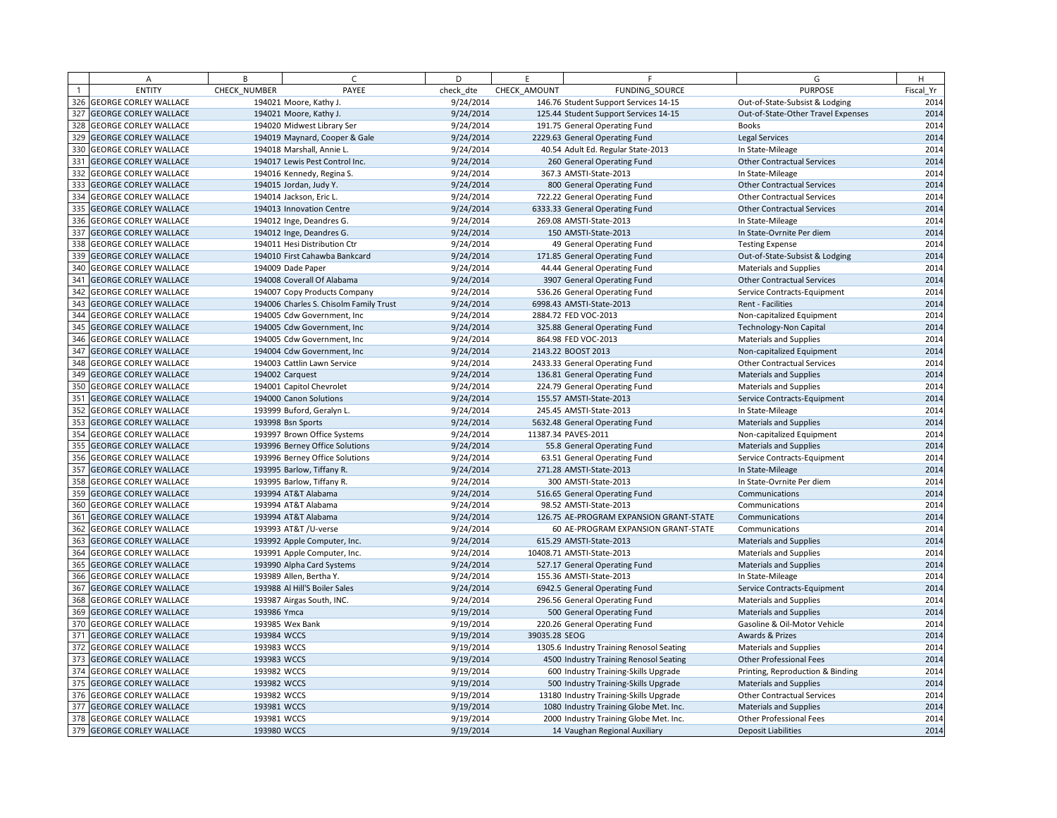|     | Α                            | B            | $\epsilon$                             | D         | E             | F                                        | G                                  | H         |
|-----|------------------------------|--------------|----------------------------------------|-----------|---------------|------------------------------------------|------------------------------------|-----------|
|     | <b>ENTITY</b>                | CHECK NUMBER | PAYEE                                  | check dte | CHECK AMOUNT  | FUNDING SOURCE                           | <b>PURPOSE</b>                     | Fiscal Yr |
|     | 326 GEORGE CORLEY WALLACE    |              | 194021 Moore, Kathy J.                 | 9/24/2014 |               | 146.76 Student Support Services 14-15    | Out-of-State-Subsist & Lodging     | 2014      |
| 327 | <b>GEORGE CORLEY WALLACE</b> |              | 194021 Moore, Kathy J.                 | 9/24/2014 |               | 125.44 Student Support Services 14-15    | Out-of-State-Other Travel Expenses | 2014      |
|     | 328 GEORGE CORLEY WALLACE    |              | 194020 Midwest Library Ser             | 9/24/2014 |               | 191.75 General Operating Fund            | <b>Books</b>                       | 2014      |
| 329 | <b>GEORGE CORLEY WALLACE</b> |              | 194019 Maynard, Cooper & Gale          | 9/24/2014 |               | 2229.63 General Operating Fund           | <b>Legal Services</b>              | 2014      |
|     | 330 GEORGE CORLEY WALLACE    |              | 194018 Marshall, Annie L.              | 9/24/2014 |               | 40.54 Adult Ed. Regular State-2013       | In State-Mileage                   | 2014      |
| 331 | <b>GEORGE CORLEY WALLACE</b> |              | 194017 Lewis Pest Control Inc.         | 9/24/2014 |               | 260 General Operating Fund               | <b>Other Contractual Services</b>  | 2014      |
| 332 | <b>GEORGE CORLEY WALLACE</b> |              | 194016 Kennedy, Regina S.              | 9/24/2014 |               | 367.3 AMSTI-State-2013                   | In State-Mileage                   | 2014      |
| 333 | <b>GEORGE CORLEY WALLACE</b> |              | 194015 Jordan, Judy Y.                 | 9/24/2014 |               | 800 General Operating Fund               | <b>Other Contractual Services</b>  | 2014      |
|     | 334 GEORGE CORLEY WALLACE    |              | 194014 Jackson, Eric L.                | 9/24/2014 |               | 722.22 General Operating Fund            | <b>Other Contractual Services</b>  | 2014      |
| 335 | <b>GEORGE CORLEY WALLACE</b> |              | 194013 Innovation Centre               | 9/24/2014 |               | 6333.33 General Operating Fund           | <b>Other Contractual Services</b>  | 2014      |
|     | 336 GEORGE CORLEY WALLACE    |              | 194012 Inge, Deandres G.               | 9/24/2014 |               | 269.08 AMSTI-State-2013                  | In State-Mileage                   | 2014      |
| 337 | <b>GEORGE CORLEY WALLACE</b> |              | 194012 Inge, Deandres G.               | 9/24/2014 |               | 150 AMSTI-State-2013                     | In State-Ovrnite Per diem          | 2014      |
| 338 | <b>GEORGE CORLEY WALLACE</b> |              | 194011 Hesi Distribution Ctr           | 9/24/2014 |               | 49 General Operating Fund                | <b>Testing Expense</b>             | 2014      |
| 339 | <b>GEORGE CORLEY WALLACE</b> |              | 194010 First Cahawba Bankcard          | 9/24/2014 |               | 171.85 General Operating Fund            | Out-of-State-Subsist & Lodging     | 2014      |
|     | 340 GEORGE CORLEY WALLACE    |              | 194009 Dade Paper                      | 9/24/2014 |               | 44.44 General Operating Fund             | Materials and Supplies             | 2014      |
| 341 | <b>GEORGE CORLEY WALLACE</b> |              | 194008 Coverall Of Alabama             | 9/24/2014 |               | 3907 General Operating Fund              | <b>Other Contractual Services</b>  | 2014      |
|     | 342 GEORGE CORLEY WALLACE    |              | 194007 Copy Products Company           | 9/24/2014 |               | 536.26 General Operating Fund            | Service Contracts-Equipment        | 2014      |
| 343 | <b>GEORGE CORLEY WALLACE</b> |              | 194006 Charles S. Chisolm Family Trust | 9/24/2014 |               | 6998.43 AMSTI-State-2013                 | Rent - Facilities                  | 2014      |
| 344 | <b>GEORGE CORLEY WALLACE</b> |              | 194005 Cdw Government, Inc.            | 9/24/2014 |               | 2884.72 FED VOC-2013                     | Non-capitalized Equipment          | 2014      |
| 345 | <b>GEORGE CORLEY WALLACE</b> |              | 194005 Cdw Government, Inc             | 9/24/2014 |               | 325.88 General Operating Fund            | Technology-Non Capital             | 2014      |
|     | 346 GEORGE CORLEY WALLACE    |              | 194005 Cdw Government, Inc.            | 9/24/2014 |               | 864.98 FED VOC-2013                      | <b>Materials and Supplies</b>      | 2014      |
| 347 | <b>GEORGE CORLEY WALLACE</b> |              | 194004 Cdw Government, Inc.            | 9/24/2014 |               | 2143.22 BOOST 2013                       | Non-capitalized Equipment          | 2014      |
|     | 348 GEORGE CORLEY WALLACE    |              | 194003 Cattlin Lawn Service            | 9/24/2014 |               | 2433.33 General Operating Fund           | <b>Other Contractual Services</b>  | 2014      |
| 349 | <b>GEORGE CORLEY WALLACE</b> |              | 194002 Carquest                        | 9/24/2014 |               | 136.81 General Operating Fund            | <b>Materials and Supplies</b>      | 2014      |
| 350 | <b>GEORGE CORLEY WALLACE</b> |              | 194001 Capitol Chevrolet               | 9/24/2014 |               | 224.79 General Operating Fund            | <b>Materials and Supplies</b>      | 2014      |
| 351 | <b>GEORGE CORLEY WALLACE</b> |              | 194000 Canon Solutions                 | 9/24/2014 |               | 155.57 AMSTI-State-2013                  | Service Contracts-Equipment        | 2014      |
|     | 352 GEORGE CORLEY WALLACE    |              | 193999 Buford, Geralyn L.              | 9/24/2014 |               | 245.45 AMSTI-State-2013                  | In State-Mileage                   | 2014      |
| 353 | <b>GEORGE CORLEY WALLACE</b> |              | 193998 Bsn Sports                      | 9/24/2014 |               | 5632.48 General Operating Fund           | <b>Materials and Supplies</b>      | 2014      |
|     | 354 GEORGE CORLEY WALLACE    |              | 193997 Brown Office Systems            | 9/24/2014 |               | 11387.34 PAVES-2011                      | Non-capitalized Equipment          | 2014      |
| 355 | <b>GEORGE CORLEY WALLACE</b> |              | 193996 Berney Office Solutions         | 9/24/2014 |               | 55.8 General Operating Fund              | <b>Materials and Supplies</b>      | 2014      |
|     | 356 GEORGE CORLEY WALLACE    |              | 193996 Berney Office Solutions         | 9/24/2014 |               | 63.51 General Operating Fund             | Service Contracts-Equipment        | 2014      |
| 357 | <b>GEORGE CORLEY WALLACE</b> |              | 193995 Barlow, Tiffany R.              | 9/24/2014 |               | 271.28 AMSTI-State-2013                  | In State-Mileage                   | 2014      |
|     | 358 GEORGE CORLEY WALLACE    |              | 193995 Barlow, Tiffany R.              | 9/24/2014 |               | 300 AMSTI-State-2013                     | In State-Ovrnite Per diem          | 2014      |
| 359 | <b>GEORGE CORLEY WALLACE</b> |              | 193994 AT&T Alabama                    | 9/24/2014 |               | 516.65 General Operating Fund            | Communications                     | 2014      |
|     | 360 GEORGE CORLEY WALLACE    |              | 193994 AT&T Alabama                    | 9/24/2014 |               | 98.52 AMSTI-State-2013                   | Communications                     | 2014      |
| 361 | <b>GEORGE CORLEY WALLACE</b> |              | 193994 AT&T Alabama                    | 9/24/2014 |               | 126.75 AE-PROGRAM EXPANSION GRANT-STATE  | Communications                     | 2014      |
| 362 | <b>GEORGE CORLEY WALLACE</b> |              | 193993 AT&T /U-verse                   | 9/24/2014 |               | 60 AE-PROGRAM EXPANSION GRANT-STATE      | Communications                     | 2014      |
| 363 | <b>GEORGE CORLEY WALLACE</b> |              | 193992 Apple Computer, Inc.            | 9/24/2014 |               | 615.29 AMSTI-State-2013                  | <b>Materials and Supplies</b>      | 2014      |
|     | 364 GEORGE CORLEY WALLACE    |              | 193991 Apple Computer, Inc.            | 9/24/2014 |               | 10408.71 AMSTI-State-2013                | <b>Materials and Supplies</b>      | 2014      |
| 365 | <b>GEORGE CORLEY WALLACE</b> |              | 193990 Alpha Card Systems              | 9/24/2014 |               | 527.17 General Operating Fund            | <b>Materials and Supplies</b>      | 2014      |
|     | 366 GEORGE CORLEY WALLACE    |              | 193989 Allen, Bertha Y.                | 9/24/2014 |               | 155.36 AMSTI-State-2013                  | In State-Mileage                   | 2014      |
| 367 | <b>GEORGE CORLEY WALLACE</b> |              | 193988 Al Hill'S Boiler Sales          | 9/24/2014 |               | 6942.5 General Operating Fund            | Service Contracts-Equipment        | 2014      |
| 368 | <b>GEORGE CORLEY WALLACE</b> |              | 193987 Airgas South, INC.              | 9/24/2014 |               | 296.56 General Operating Fund            | <b>Materials and Supplies</b>      | 2014      |
| 369 | <b>GEORGE CORLEY WALLACE</b> | 193986 Ymca  |                                        | 9/19/2014 |               | 500 General Operating Fund               | <b>Materials and Supplies</b>      | 2014      |
|     | 370 GEORGE CORLEY WALLACE    |              | 193985 Wex Bank                        | 9/19/2014 |               | 220.26 General Operating Fund            | Gasoline & Oil-Motor Vehicle       | 2014      |
| 371 | <b>GEORGE CORLEY WALLACE</b> | 193984 WCCS  |                                        | 9/19/2014 | 39035.28 SEOG |                                          | Awards & Prizes                    | 2014      |
|     | 372 GEORGE CORLEY WALLACE    | 193983 WCCS  |                                        | 9/19/2014 |               | 1305.6 Industry Training Renosol Seating | Materials and Supplies             | 2014      |
| 373 | <b>GEORGE CORLEY WALLACE</b> | 193983 WCCS  |                                        | 9/19/2014 |               | 4500 Industry Training Renosol Seating   | <b>Other Professional Fees</b>     | 2014      |
|     | 374 GEORGE CORLEY WALLACE    | 193982 WCCS  |                                        | 9/19/2014 |               | 600 Industry Training-Skills Upgrade     | Printing, Reproduction & Binding   | 2014      |
| 375 | <b>GEORGE CORLEY WALLACE</b> | 193982 WCCS  |                                        | 9/19/2014 |               | 500 Industry Training-Skills Upgrade     | <b>Materials and Supplies</b>      | 2014      |
|     | 376 GEORGE CORLEY WALLACE    | 193982 WCCS  |                                        | 9/19/2014 |               | 13180 Industry Training-Skills Upgrade   | <b>Other Contractual Services</b>  | 2014      |
| 377 | <b>GEORGE CORLEY WALLACE</b> | 193981 WCCS  |                                        | 9/19/2014 |               | 1080 Industry Training Globe Met. Inc.   | <b>Materials and Supplies</b>      | 2014      |
|     | 378 GEORGE CORLEY WALLACE    | 193981 WCCS  |                                        | 9/19/2014 |               |                                          | <b>Other Professional Fees</b>     | 2014      |
|     | 379 GEORGE CORLEY WALLACE    | 193980 WCCS  |                                        |           |               | 2000 Industry Training Globe Met. Inc.   | <b>Deposit Liabilities</b>         | 2014      |
|     |                              |              |                                        | 9/19/2014 |               | 14 Vaughan Regional Auxiliary            |                                    |           |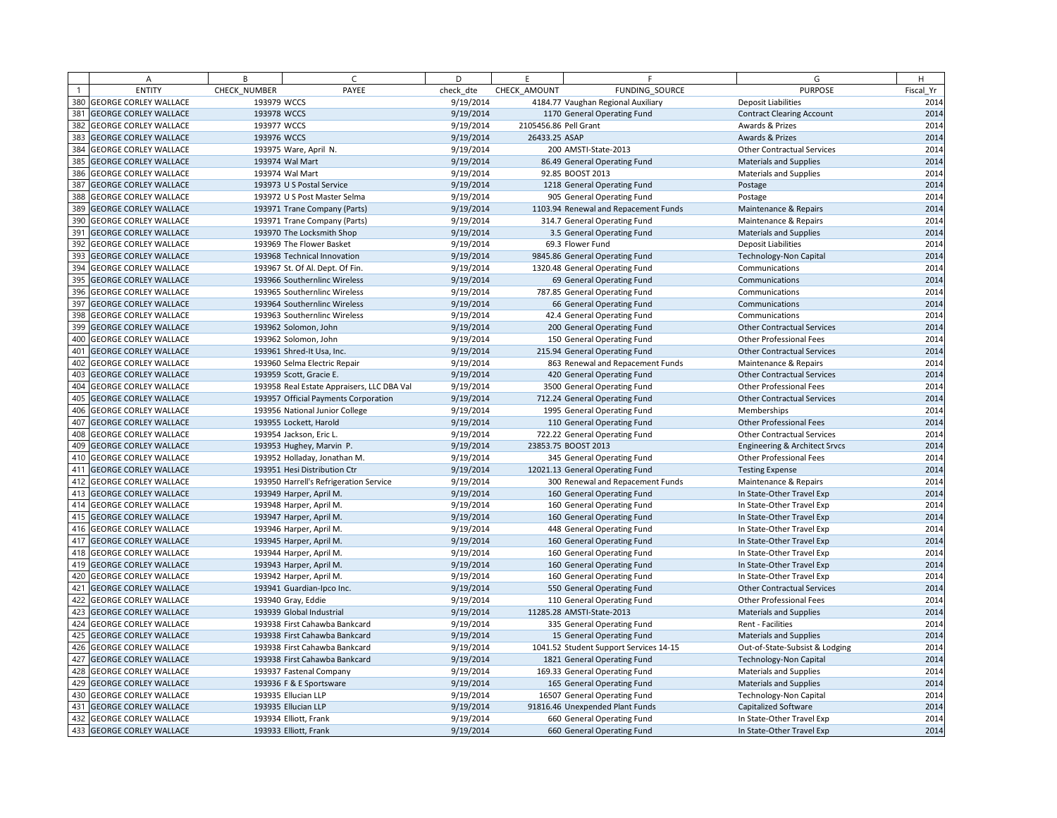|     | Α                            | B            | $\epsilon$                                 | D         | E                     | F                                      | G                                 | H         |
|-----|------------------------------|--------------|--------------------------------------------|-----------|-----------------------|----------------------------------------|-----------------------------------|-----------|
|     | <b>ENTITY</b>                | CHECK NUMBER | PAYEE                                      | check dte | CHECK AMOUNT          | FUNDING SOURCE                         | <b>PURPOSE</b>                    | Fiscal Yr |
|     | 380 GEORGE CORLEY WALLACE    | 193979 WCCS  |                                            | 9/19/2014 |                       | 4184.77 Vaughan Regional Auxiliary     | <b>Deposit Liabilities</b>        | 2014      |
| 381 | <b>GEORGE CORLEY WALLACE</b> | 193978 WCCS  |                                            | 9/19/2014 |                       | 1170 General Operating Fund            | <b>Contract Clearing Account</b>  | 2014      |
|     | 382 GEORGE CORLEY WALLACE    | 193977 WCCS  |                                            | 9/19/2014 | 2105456.86 Pell Grant |                                        | Awards & Prizes                   | 2014      |
| 383 | <b>GEORGE CORLEY WALLACE</b> | 193976 WCCS  |                                            | 9/19/2014 | 26433.25 ASAP         |                                        | Awards & Prizes                   | 2014      |
|     | 384 GEORGE CORLEY WALLACE    |              | 193975 Ware, April N.                      | 9/19/2014 |                       | 200 AMSTI-State-2013                   | <b>Other Contractual Services</b> | 2014      |
| 385 | <b>GEORGE CORLEY WALLACE</b> |              | 193974 Wal Mart                            | 9/19/2014 |                       | 86.49 General Operating Fund           | <b>Materials and Supplies</b>     | 2014      |
| 386 | <b>GEORGE CORLEY WALLACE</b> |              | 193974 Wal Mart                            | 9/19/2014 |                       | 92.85 BOOST 2013                       | <b>Materials and Supplies</b>     | 2014      |
| 387 | <b>GEORGE CORLEY WALLACE</b> |              | 193973 U S Postal Service                  | 9/19/2014 |                       | 1218 General Operating Fund            | Postage                           | 2014      |
|     | 388 GEORGE CORLEY WALLACE    |              | 193972 U S Post Master Selma               | 9/19/2014 |                       | 905 General Operating Fund             | Postage                           | 2014      |
| 389 | <b>GEORGE CORLEY WALLACE</b> |              | 193971 Trane Company (Parts)               | 9/19/2014 |                       | 1103.94 Renewal and Repacement Funds   | Maintenance & Repairs             | 2014      |
| 390 | <b>GEORGE CORLEY WALLACE</b> |              | 193971 Trane Company (Parts)               | 9/19/2014 |                       | 314.7 General Operating Fund           | Maintenance & Repairs             | 2014      |
| 391 | <b>GEORGE CORLEY WALLACE</b> |              | 193970 The Locksmith Shop                  | 9/19/2014 |                       | 3.5 General Operating Fund             | Materials and Supplies            | 2014      |
| 392 | <b>GEORGE CORLEY WALLACE</b> |              | 193969 The Flower Basket                   | 9/19/2014 |                       | 69.3 Flower Fund                       | <b>Deposit Liabilities</b>        | 2014      |
| 393 | <b>GEORGE CORLEY WALLACE</b> |              | 193968 Technical Innovation                | 9/19/2014 |                       | 9845.86 General Operating Fund         | <b>Technology-Non Capital</b>     | 2014      |
|     | 394 GEORGE CORLEY WALLACE    |              | 193967 St. Of Al. Dept. Of Fin.            | 9/19/2014 |                       | 1320.48 General Operating Fund         | Communications                    | 2014      |
| 395 | <b>GEORGE CORLEY WALLACE</b> |              | 193966 Southernlinc Wireless               | 9/19/2014 |                       | 69 General Operating Fund              | Communications                    | 2014      |
|     | 396 GEORGE CORLEY WALLACE    |              | 193965 Southernlinc Wireless               | 9/19/2014 |                       | 787.85 General Operating Fund          | Communications                    | 2014      |
| 397 | <b>GEORGE CORLEY WALLACE</b> |              | 193964 Southernlinc Wireless               | 9/19/2014 |                       | 66 General Operating Fund              | Communications                    | 2014      |
| 398 | <b>GEORGE CORLEY WALLACE</b> |              | 193963 Southernlinc Wireless               | 9/19/2014 |                       | 42.4 General Operating Fund            | Communications                    | 2014      |
| 399 | <b>GEORGE CORLEY WALLACE</b> |              | 193962 Solomon, John                       | 9/19/2014 |                       | 200 General Operating Fund             | <b>Other Contractual Services</b> | 2014      |
|     | 400 GEORGE CORLEY WALLACE    |              | 193962 Solomon, John                       | 9/19/2014 |                       | 150 General Operating Fund             | <b>Other Professional Fees</b>    | 2014      |
| 401 | <b>GEORGE CORLEY WALLACE</b> |              | 193961 Shred-It Usa, Inc.                  | 9/19/2014 |                       | 215.94 General Operating Fund          | <b>Other Contractual Services</b> | 2014      |
| 402 | <b>GEORGE CORLEY WALLACE</b> |              | 193960 Selma Electric Repair               | 9/19/2014 |                       | 863 Renewal and Repacement Funds       | Maintenance & Repairs             | 2014      |
| 403 | <b>GEORGE CORLEY WALLACE</b> |              | 193959 Scott, Gracie E.                    | 9/19/2014 |                       | 420 General Operating Fund             | <b>Other Contractual Services</b> | 2014      |
| 404 | <b>GEORGE CORLEY WALLACE</b> |              | 193958 Real Estate Appraisers, LLC DBA Val | 9/19/2014 |                       | 3500 General Operating Fund            | <b>Other Professional Fees</b>    | 2014      |
| 405 | <b>GEORGE CORLEY WALLACE</b> |              | 193957 Official Payments Corporation       | 9/19/2014 |                       | 712.24 General Operating Fund          | <b>Other Contractual Services</b> | 2014      |
|     | 406 GEORGE CORLEY WALLACE    |              | 193956 National Junior College             | 9/19/2014 |                       | 1995 General Operating Fund            | Memberships                       | 2014      |
| 407 | <b>GEORGE CORLEY WALLACE</b> |              | 193955 Lockett, Harold                     | 9/19/2014 |                       | 110 General Operating Fund             | <b>Other Professional Fees</b>    | 2014      |
| 408 | <b>GEORGE CORLEY WALLACE</b> |              | 193954 Jackson, Eric L                     | 9/19/2014 |                       | 722.22 General Operating Fund          | <b>Other Contractual Services</b> | 2014      |
| 409 | <b>GEORGE CORLEY WALLACE</b> |              | 193953 Hughey, Marvin P.                   | 9/19/2014 |                       | 23853.75 BOOST 2013                    | Engineering & Architect Srvcs     | 2014      |
| 410 | <b>GEORGE CORLEY WALLACE</b> |              | 193952 Holladay, Jonathan M.               | 9/19/2014 |                       | 345 General Operating Fund             | <b>Other Professional Fees</b>    | 2014      |
| 411 | <b>GEORGE CORLEY WALLACE</b> |              | 193951 Hesi Distribution Ctr               | 9/19/2014 |                       | 12021.13 General Operating Fund        | <b>Testing Expense</b>            | 2014      |
|     | 412 GEORGE CORLEY WALLACE    |              | 193950 Harrell's Refrigeration Service     | 9/19/2014 |                       | 300 Renewal and Repacement Funds       | Maintenance & Repairs             | 2014      |
| 413 | <b>GEORGE CORLEY WALLACE</b> |              | 193949 Harper, April M.                    | 9/19/2014 |                       | 160 General Operating Fund             | In State-Other Travel Exp         | 2014      |
|     | 414 GEORGE CORLEY WALLACE    |              | 193948 Harper, April M.                    | 9/19/2014 |                       | 160 General Operating Fund             | In State-Other Travel Exp         | 2014      |
| 415 | <b>GEORGE CORLEY WALLACE</b> |              | 193947 Harper, April M.                    | 9/19/2014 |                       | 160 General Operating Fund             | In State-Other Travel Exp         | 2014      |
|     | 416 GEORGE CORLEY WALLACE    |              | 193946 Harper, April M.                    | 9/19/2014 |                       | 448 General Operating Fund             | In State-Other Travel Exp         | 2014      |
| 417 | <b>GEORGE CORLEY WALLACE</b> |              | 193945 Harper, April M.                    | 9/19/2014 |                       | 160 General Operating Fund             | In State-Other Travel Exp         | 2014      |
|     | 418 GEORGE CORLEY WALLACE    |              | 193944 Harper, April M.                    | 9/19/2014 |                       | 160 General Operating Fund             | In State-Other Travel Exp         | 2014      |
| 419 | <b>GEORGE CORLEY WALLACE</b> |              | 193943 Harper, April M.                    | 9/19/2014 |                       | 160 General Operating Fund             | In State-Other Travel Exp         | 2014      |
| 420 | <b>GEORGE CORLEY WALLACE</b> |              | 193942 Harper, April M.                    | 9/19/2014 |                       | 160 General Operating Fund             | In State-Other Travel Exp         | 2014      |
| 421 | <b>GEORGE CORLEY WALLACE</b> |              | 193941 Guardian-Ipco Inc.                  | 9/19/2014 |                       | 550 General Operating Fund             | <b>Other Contractual Services</b> | 2014      |
| 422 | <b>GEORGE CORLEY WALLACE</b> |              | 193940 Gray, Eddie                         | 9/19/2014 |                       | 110 General Operating Fund             | <b>Other Professional Fees</b>    | 2014      |
| 423 | <b>GEORGE CORLEY WALLACE</b> |              | 193939 Global Industrial                   | 9/19/2014 |                       | 11285.28 AMSTI-State-2013              | <b>Materials and Supplies</b>     | 2014      |
| 424 | <b>GEORGE CORLEY WALLACE</b> |              | 193938 First Cahawba Bankcard              | 9/19/2014 |                       | 335 General Operating Fund             | Rent - Facilities                 | 2014      |
| 425 | <b>GEORGE CORLEY WALLACE</b> |              | 193938 First Cahawba Bankcard              | 9/19/2014 |                       | 15 General Operating Fund              | Materials and Supplies            | 2014      |
| 426 | <b>GEORGE CORLEY WALLACE</b> |              | 193938 First Cahawba Bankcard              | 9/19/2014 |                       | 1041.52 Student Support Services 14-15 | Out-of-State-Subsist & Lodging    | 2014      |
| 427 | <b>GEORGE CORLEY WALLACE</b> |              | 193938 First Cahawba Bankcard              | 9/19/2014 |                       | 1821 General Operating Fund            | <b>Technology-Non Capital</b>     | 2014      |
| 428 | <b>GEORGE CORLEY WALLACE</b> |              | 193937 Fastenal Company                    | 9/19/2014 |                       | 169.33 General Operating Fund          | <b>Materials and Supplies</b>     | 2014      |
| 429 | <b>GEORGE CORLEY WALLACE</b> |              | 193936 F & E Sportsware                    | 9/19/2014 |                       | 165 General Operating Fund             | <b>Materials and Supplies</b>     | 2014      |
|     | 430 GEORGE CORLEY WALLACE    |              | 193935 Ellucian LLP                        | 9/19/2014 |                       | 16507 General Operating Fund           | <b>Technology-Non Capital</b>     | 2014      |
| 431 | <b>GEORGE CORLEY WALLACE</b> |              | 193935 Ellucian LLP                        | 9/19/2014 |                       | 91816.46 Unexpended Plant Funds        | Capitalized Software              | 2014      |
| 432 | <b>GEORGE CORLEY WALLACE</b> |              | 193934 Elliott, Frank                      | 9/19/2014 |                       | 660 General Operating Fund             | In State-Other Travel Exp         | 2014      |
|     | 433 GEORGE CORLEY WALLACE    |              | 193933 Elliott, Frank                      | 9/19/2014 |                       | 660 General Operating Fund             | In State-Other Travel Exp         | 2014      |
|     |                              |              |                                            |           |                       |                                        |                                   |           |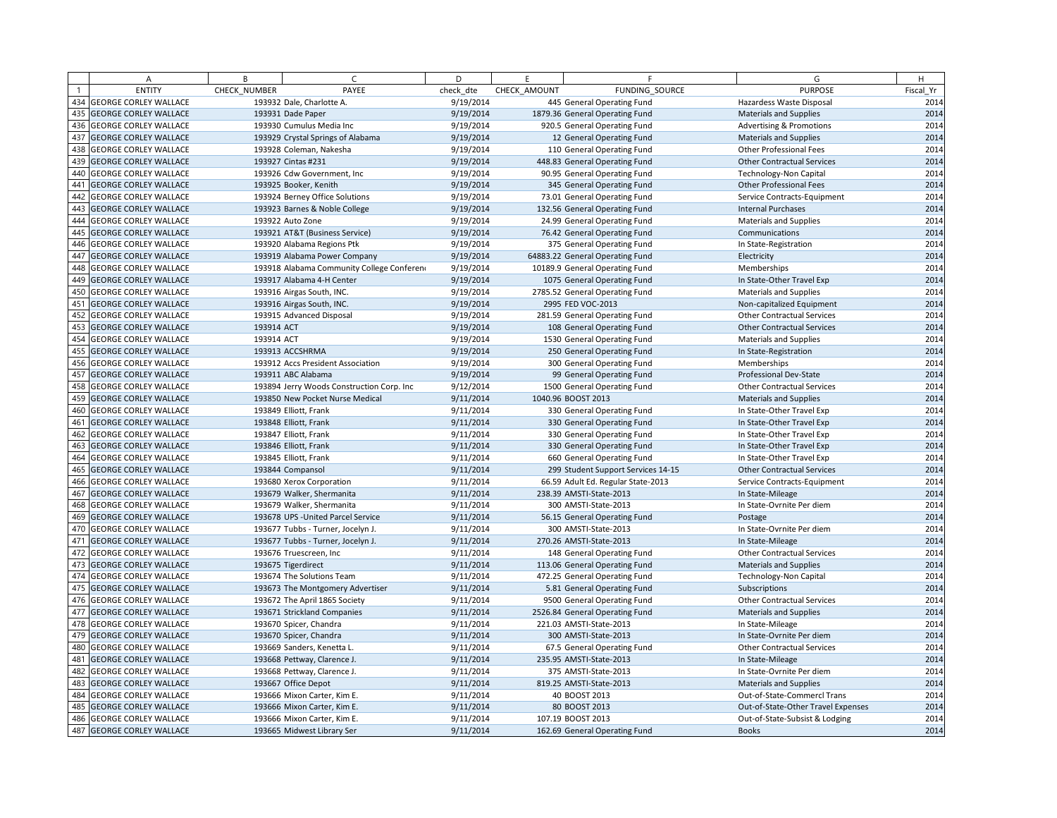|     | $\overline{A}$               | B            | $\epsilon$                                | D         | F            | F                                  | G                                   | H         |
|-----|------------------------------|--------------|-------------------------------------------|-----------|--------------|------------------------------------|-------------------------------------|-----------|
|     | <b>ENTITY</b>                | CHECK_NUMBER | PAYEE                                     | check dte | CHECK AMOUNT | FUNDING SOURCE                     | <b>PURPOSE</b>                      | Fiscal Yr |
| 434 | <b>GEORGE CORLEY WALLACE</b> |              | 193932 Dale, Charlotte A.                 | 9/19/2014 |              | 445 General Operating Fund         | Hazardess Waste Disposal            | 2014      |
| 435 | <b>GEORGE CORLEY WALLACE</b> |              | 193931 Dade Paper                         | 9/19/2014 |              | 1879.36 General Operating Fund     | <b>Materials and Supplies</b>       | 2014      |
| 436 | <b>GEORGE CORLEY WALLACE</b> |              | 193930 Cumulus Media Inc                  | 9/19/2014 |              | 920.5 General Operating Fund       | <b>Advertising &amp; Promotions</b> | 2014      |
| 437 | <b>GEORGE CORLEY WALLACE</b> |              | 193929 Crystal Springs of Alabama         | 9/19/2014 |              | 12 General Operating Fund          | <b>Materials and Supplies</b>       | 2014      |
| 438 | <b>GEORGE CORLEY WALLACE</b> |              | 193928 Coleman, Nakesha                   | 9/19/2014 |              | 110 General Operating Fund         | Other Professional Fees             | 2014      |
| 439 | <b>GEORGE CORLEY WALLACE</b> |              | 193927 Cintas #231                        | 9/19/2014 |              | 448.83 General Operating Fund      | <b>Other Contractual Services</b>   | 2014      |
| 440 | <b>GEORGE CORLEY WALLACE</b> |              | 193926 Cdw Government, Inc.               | 9/19/2014 |              | 90.95 General Operating Fund       | <b>Technology-Non Capital</b>       | 2014      |
| 441 | <b>GEORGE CORLEY WALLACE</b> |              | 193925 Booker, Kenith                     | 9/19/2014 |              | 345 General Operating Fund         | Other Professional Fees             | 2014      |
| 442 | <b>GEORGE CORLEY WALLACE</b> |              | 193924 Berney Office Solutions            | 9/19/2014 |              | 73.01 General Operating Fund       | Service Contracts-Equipment         | 2014      |
| 443 | <b>GEORGE CORLEY WALLACE</b> |              | 193923 Barnes & Noble College             | 9/19/2014 |              | 132.56 General Operating Fund      | <b>Internal Purchases</b>           | 2014      |
| 444 | <b>GEORGE CORLEY WALLACE</b> |              | 193922 Auto Zone                          | 9/19/2014 |              | 24.99 General Operating Fund       | <b>Materials and Supplies</b>       | 2014      |
| 445 | <b>GEORGE CORLEY WALLACE</b> |              | 193921 AT&T (Business Service)            | 9/19/2014 |              | 76.42 General Operating Fund       | Communications                      | 2014      |
| 446 | <b>GEORGE CORLEY WALLACE</b> |              | 193920 Alabama Regions Ptk                | 9/19/2014 |              | 375 General Operating Fund         | In State-Registration               | 2014      |
| 447 | <b>GEORGE CORLEY WALLACE</b> |              | 193919 Alabama Power Company              | 9/19/2014 |              | 64883.22 General Operating Fund    | Electricity                         | 2014      |
| 448 | <b>GEORGE CORLEY WALLACE</b> |              | 193918 Alabama Community College Conferen | 9/19/2014 |              | 10189.9 General Operating Fund     | Memberships                         | 2014      |
| 449 | <b>GEORGE CORLEY WALLACE</b> |              | 193917 Alabama 4-H Center                 | 9/19/2014 |              | 1075 General Operating Fund        | In State-Other Travel Exp           | 2014      |
| 450 | <b>GEORGE CORLEY WALLACE</b> |              | 193916 Airgas South, INC.                 | 9/19/2014 |              | 2785.52 General Operating Fund     | <b>Materials and Supplies</b>       | 2014      |
| 451 | <b>GEORGE CORLEY WALLACE</b> |              | 193916 Airgas South, INC.                 | 9/19/2014 |              | 2995 FED VOC-2013                  | Non-capitalized Equipment           | 2014      |
| 452 | <b>GEORGE CORLEY WALLACE</b> |              | 193915 Advanced Disposal                  | 9/19/2014 |              | 281.59 General Operating Fund      | <b>Other Contractual Services</b>   | 2014      |
| 453 | <b>GEORGE CORLEY WALLACE</b> | 193914 ACT   |                                           | 9/19/2014 |              | 108 General Operating Fund         | <b>Other Contractual Services</b>   | 2014      |
| 454 | <b>GEORGE CORLEY WALLACE</b> | 193914 ACT   |                                           | 9/19/2014 |              | 1530 General Operating Fund        | <b>Materials and Supplies</b>       | 2014      |
| 455 | <b>GEORGE CORLEY WALLACE</b> |              | 193913 ACCSHRMA                           | 9/19/2014 |              | 250 General Operating Fund         | In State-Registration               | 2014      |
| 456 | <b>GEORGE CORLEY WALLACE</b> |              | 193912 Accs President Association         | 9/19/2014 |              | 300 General Operating Fund         | Memberships                         | 2014      |
| 457 | <b>GEORGE CORLEY WALLACE</b> |              | 193911 ABC Alabama                        | 9/19/2014 |              | 99 General Operating Fund          | Professional Dev-State              | 2014      |
| 458 | <b>GEORGE CORLEY WALLACE</b> |              | 193894 Jerry Woods Construction Corp. Inc | 9/12/2014 |              | 1500 General Operating Fund        | <b>Other Contractual Services</b>   | 2014      |
| 459 | <b>GEORGE CORLEY WALLACE</b> |              | 193850 New Pocket Nurse Medical           | 9/11/2014 |              | 1040.96 BOOST 2013                 | <b>Materials and Supplies</b>       | 2014      |
| 460 | <b>GEORGE CORLEY WALLACE</b> |              | 193849 Elliott, Frank                     | 9/11/2014 |              | 330 General Operating Fund         | In State-Other Travel Exp           | 2014      |
| 461 | <b>GEORGE CORLEY WALLACE</b> |              | 193848 Elliott, Frank                     | 9/11/2014 |              | 330 General Operating Fund         | In State-Other Travel Exp           | 2014      |
| 462 | <b>GEORGE CORLEY WALLACE</b> |              | 193847 Elliott, Frank                     | 9/11/2014 |              | 330 General Operating Fund         | In State-Other Travel Exp           | 2014      |
| 463 | <b>GEORGE CORLEY WALLACE</b> |              | 193846 Elliott, Frank                     | 9/11/2014 |              | 330 General Operating Fund         | In State-Other Travel Exp           | 2014      |
| 464 | <b>GEORGE CORLEY WALLACE</b> |              | 193845 Elliott, Frank                     | 9/11/2014 |              | 660 General Operating Fund         | In State-Other Travel Exp           | 2014      |
| 465 | <b>GEORGE CORLEY WALLACE</b> |              | 193844 Compansol                          | 9/11/2014 |              | 299 Student Support Services 14-15 | <b>Other Contractual Services</b>   | 2014      |
| 466 | <b>GEORGE CORLEY WALLACE</b> |              | 193680 Xerox Corporation                  | 9/11/2014 |              | 66.59 Adult Ed. Regular State-2013 | Service Contracts-Equipment         | 2014      |
| 467 | <b>GEORGE CORLEY WALLACE</b> |              | 193679 Walker, Shermanita                 | 9/11/2014 |              | 238.39 AMSTI-State-2013            | In State-Mileage                    | 2014      |
| 468 | <b>GEORGE CORLEY WALLACE</b> |              | 193679 Walker, Shermanita                 | 9/11/2014 |              | 300 AMSTI-State-2013               | In State-Ovrnite Per diem           | 2014      |
| 469 | <b>GEORGE CORLEY WALLACE</b> |              | 193678 UPS - United Parcel Service        | 9/11/2014 |              | 56.15 General Operating Fund       | Postage                             | 2014      |
| 470 | <b>GEORGE CORLEY WALLACE</b> |              | 193677 Tubbs - Turner, Jocelyn J.         | 9/11/2014 |              | 300 AMSTI-State-2013               | In State-Ovrnite Per diem           | 2014      |
| 471 | <b>GEORGE CORLEY WALLACE</b> |              | 193677 Tubbs - Turner, Jocelyn J.         | 9/11/2014 |              | 270.26 AMSTI-State-2013            | In State-Mileage                    | 2014      |
| 472 | <b>GEORGE CORLEY WALLACE</b> |              | 193676 Truescreen, Inc                    | 9/11/2014 |              | 148 General Operating Fund         | <b>Other Contractual Services</b>   | 2014      |
| 473 | <b>GEORGE CORLEY WALLACE</b> |              | 193675 Tigerdirect                        | 9/11/2014 |              | 113.06 General Operating Fund      | <b>Materials and Supplies</b>       | 2014      |
| 474 | <b>GEORGE CORLEY WALLACE</b> |              | 193674 The Solutions Team                 | 9/11/2014 |              | 472.25 General Operating Fund      | <b>Technology-Non Capital</b>       | 2014      |
| 475 | <b>GEORGE CORLEY WALLACE</b> |              | 193673 The Montgomery Advertiser          | 9/11/2014 |              | 5.81 General Operating Fund        | Subscriptions                       | 2014      |
| 476 | <b>GEORGE CORLEY WALLACE</b> |              | 193672 The April 1865 Society             | 9/11/2014 |              | 9500 General Operating Fund        | <b>Other Contractual Services</b>   | 2014      |
| 477 | <b>GEORGE CORLEY WALLACE</b> |              | 193671 Strickland Companies               | 9/11/2014 |              | 2526.84 General Operating Fund     | <b>Materials and Supplies</b>       | 2014      |
| 478 | <b>GEORGE CORLEY WALLACE</b> |              | 193670 Spicer, Chandra                    | 9/11/2014 |              | 221.03 AMSTI-State-2013            | In State-Mileage                    | 2014      |
| 479 | <b>GEORGE CORLEY WALLACE</b> |              | 193670 Spicer, Chandra                    | 9/11/2014 |              | 300 AMSTI-State-2013               | In State-Ovrnite Per diem           | 2014      |
| 480 | <b>GEORGE CORLEY WALLACE</b> |              | 193669 Sanders, Kenetta L.                | 9/11/2014 |              | 67.5 General Operating Fund        | <b>Other Contractual Services</b>   | 2014      |
| 481 | <b>GEORGE CORLEY WALLACE</b> |              | 193668 Pettway, Clarence J.               | 9/11/2014 |              | 235.95 AMSTI-State-2013            | In State-Mileage                    | 2014      |
| 482 | <b>GEORGE CORLEY WALLACE</b> |              | 193668 Pettway, Clarence J.               | 9/11/2014 |              | 375 AMSTI-State-2013               | In State-Ovrnite Per diem           | 2014      |
| 483 | <b>GEORGE CORLEY WALLACE</b> |              | 193667 Office Depot                       | 9/11/2014 |              | 819.25 AMSTI-State-2013            | <b>Materials and Supplies</b>       | 2014      |
| 484 | <b>GEORGE CORLEY WALLACE</b> |              | 193666 Mixon Carter, Kim E.               | 9/11/2014 |              | 40 BOOST 2013                      | Out-of-State-Commercl Trans         | 2014      |
| 485 | <b>GEORGE CORLEY WALLACE</b> |              | 193666 Mixon Carter, Kim E.               | 9/11/2014 |              | 80 BOOST 2013                      | Out-of-State-Other Travel Expenses  | 2014      |
| 486 | <b>GEORGE CORLEY WALLACE</b> |              | 193666 Mixon Carter, Kim E.               | 9/11/2014 |              | 107.19 BOOST 2013                  | Out-of-State-Subsist & Lodging      | 2014      |
|     | 487 GEORGE CORLEY WALLACE    |              | 193665 Midwest Library Ser                | 9/11/2014 |              | 162.69 General Operating Fund      | <b>Books</b>                        | 2014      |
|     |                              |              |                                           |           |              |                                    |                                     |           |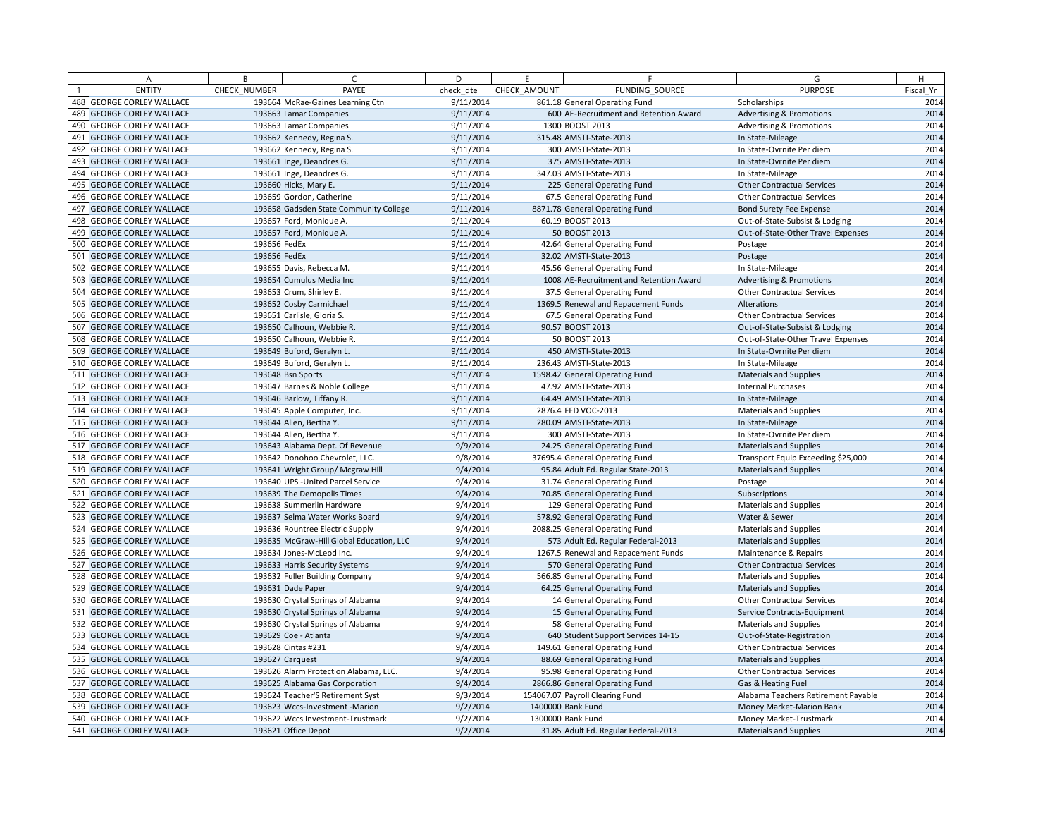|     | Α                            | B            | $\sqrt{ }$                               | D         | E            | F                                       | G                                   | H         |
|-----|------------------------------|--------------|------------------------------------------|-----------|--------------|-----------------------------------------|-------------------------------------|-----------|
|     | <b>ENTITY</b>                | CHECK NUMBER | PAYEE                                    | check dte | CHECK AMOUNT | FUNDING SOURCE                          | <b>PURPOSE</b>                      | Fiscal Yr |
| 488 | <b>GEORGE CORLEY WALLACE</b> |              | 193664 McRae-Gaines Learning Ctn         | 9/11/2014 |              | 861.18 General Operating Fund           | Scholarships                        | 2014      |
| 489 | <b>GEORGE CORLEY WALLACE</b> |              | 193663 Lamar Companies                   | 9/11/2014 |              | 600 AE-Recruitment and Retention Award  | <b>Advertising &amp; Promotions</b> | 2014      |
|     | 490 GEORGE CORLEY WALLACE    |              | 193663 Lamar Companies                   | 9/11/2014 |              | 1300 BOOST 2013                         | <b>Advertising &amp; Promotions</b> | 2014      |
| 491 | <b>GEORGE CORLEY WALLACE</b> |              | 193662 Kennedy, Regina S.                | 9/11/2014 |              | 315.48 AMSTI-State-2013                 | In State-Mileage                    | 2014      |
| 492 | <b>GEORGE CORLEY WALLACE</b> |              | 193662 Kennedy, Regina S.                | 9/11/2014 |              | 300 AMSTI-State-2013                    | In State-Ovrnite Per diem           | 2014      |
| 493 | <b>GEORGE CORLEY WALLACE</b> |              | 193661 Inge, Deandres G.                 | 9/11/2014 |              | 375 AMSTI-State-2013                    | In State-Ovrnite Per diem           | 2014      |
| 494 | <b>GEORGE CORLEY WALLACE</b> |              | 193661 Inge, Deandres G.                 | 9/11/2014 |              | 347.03 AMSTI-State-2013                 | In State-Mileage                    | 2014      |
| 495 | <b>GEORGE CORLEY WALLACE</b> |              | 193660 Hicks, Mary E.                    | 9/11/2014 |              | 225 General Operating Fund              | <b>Other Contractual Services</b>   | 2014      |
| 496 | <b>GEORGE CORLEY WALLACE</b> |              | 193659 Gordon, Catherine                 | 9/11/2014 |              | 67.5 General Operating Fund             | <b>Other Contractual Services</b>   | 2014      |
| 497 | <b>GEORGE CORLEY WALLACE</b> |              | 193658 Gadsden State Community College   | 9/11/2014 |              | 8871.78 General Operating Fund          | Bond Surety Fee Expense             | 2014      |
| 498 | <b>GEORGE CORLEY WALLACE</b> |              | 193657 Ford, Monique A.                  | 9/11/2014 |              | 60.19 BOOST 2013                        | Out-of-State-Subsist & Lodging      | 2014      |
| 499 | <b>GEORGE CORLEY WALLACE</b> |              | 193657 Ford, Monique A.                  | 9/11/2014 |              | 50 BOOST 2013                           | Out-of-State-Other Travel Expenses  | 2014      |
| 500 | <b>GEORGE CORLEY WALLACE</b> | 193656 FedEx |                                          | 9/11/2014 |              | 42.64 General Operating Fund            | Postage                             | 2014      |
| 501 | <b>GEORGE CORLEY WALLACE</b> | 193656 FedEx |                                          | 9/11/2014 |              | 32.02 AMSTI-State-2013                  | Postage                             | 2014      |
|     | 502 GEORGE CORLEY WALLACE    |              | 193655 Davis, Rebecca M.                 | 9/11/2014 |              | 45.56 General Operating Fund            | In State-Mileage                    | 2014      |
| 503 | <b>GEORGE CORLEY WALLACE</b> |              | 193654 Cumulus Media Inc                 | 9/11/2014 |              | 1008 AE-Recruitment and Retention Award | <b>Advertising &amp; Promotions</b> | 2014      |
|     | 504 GEORGE CORLEY WALLACE    |              | 193653 Crum, Shirley E.                  | 9/11/2014 |              | 37.5 General Operating Fund             | <b>Other Contractual Services</b>   | 2014      |
| 505 | <b>GEORGE CORLEY WALLACE</b> |              | 193652 Cosby Carmichael                  | 9/11/2014 |              | 1369.5 Renewal and Repacement Funds     | Alterations                         | 2014      |
| 506 | <b>GEORGE CORLEY WALLACE</b> |              | 193651 Carlisle, Gloria S.               | 9/11/2014 |              | 67.5 General Operating Fund             | <b>Other Contractual Services</b>   | 2014      |
| 507 | <b>GEORGE CORLEY WALLACE</b> |              | 193650 Calhoun, Webbie R.                | 9/11/2014 |              | 90.57 BOOST 2013                        | Out-of-State-Subsist & Lodging      | 2014      |
|     | 508 GEORGE CORLEY WALLACE    |              | 193650 Calhoun, Webbie R.                | 9/11/2014 |              | 50 BOOST 2013                           | Out-of-State-Other Travel Expenses  | 2014      |
| 509 | <b>GEORGE CORLEY WALLACE</b> |              | 193649 Buford, Geralyn L.                | 9/11/2014 |              | 450 AMSTI-State-2013                    | In State-Ovrnite Per diem           | 2014      |
|     | 510 GEORGE CORLEY WALLACE    |              | 193649 Buford, Geralyn L.                | 9/11/2014 |              | 236.43 AMSTI-State-2013                 | In State-Mileage                    | 2014      |
| 511 | <b>GEORGE CORLEY WALLACE</b> |              | 193648 Bsn Sports                        | 9/11/2014 |              | 1598.42 General Operating Fund          | Materials and Supplies              | 2014      |
| 512 | <b>GEORGE CORLEY WALLACE</b> |              | 193647 Barnes & Noble College            | 9/11/2014 |              | 47.92 AMSTI-State-2013                  | <b>Internal Purchases</b>           | 2014      |
|     | 513 GEORGE CORLEY WALLACE    |              | 193646 Barlow, Tiffany R.                | 9/11/2014 |              | 64.49 AMSTI-State-2013                  | In State-Mileage                    | 2014      |
|     | 514 GEORGE CORLEY WALLACE    |              | 193645 Apple Computer, Inc.              | 9/11/2014 |              | 2876.4 FED VOC-2013                     | <b>Materials and Supplies</b>       | 2014      |
| 515 | <b>GEORGE CORLEY WALLACE</b> |              | 193644 Allen, Bertha Y.                  | 9/11/2014 |              | 280.09 AMSTI-State-2013                 | In State-Mileage                    | 2014      |
|     | 516 GEORGE CORLEY WALLACE    |              | 193644 Allen, Bertha Y.                  | 9/11/2014 |              | 300 AMSTI-State-2013                    | In State-Ovrnite Per diem           | 2014      |
| 517 | <b>GEORGE CORLEY WALLACE</b> |              | 193643 Alabama Dept. Of Revenue          | 9/9/2014  |              | 24.25 General Operating Fund            | Materials and Supplies              | 2014      |
|     | 518 GEORGE CORLEY WALLACE    |              | 193642 Donohoo Chevrolet, LLC.           | 9/8/2014  |              | 37695.4 General Operating Fund          | Transport Equip Exceeding \$25,000  | 2014      |
| 519 | <b>GEORGE CORLEY WALLACE</b> |              | 193641 Wright Group/ Mcgraw Hill         | 9/4/2014  |              | 95.84 Adult Ed. Regular State-2013      | <b>Materials and Supplies</b>       | 2014      |
|     | 520 GEORGE CORLEY WALLACE    |              | 193640 UPS - United Parcel Service       | 9/4/2014  |              | 31.74 General Operating Fund            | Postage                             | 2014      |
| 521 | <b>GEORGE CORLEY WALLACE</b> |              | 193639 The Demopolis Times               | 9/4/2014  |              | 70.85 General Operating Fund            | Subscriptions                       | 2014      |
| 522 | <b>GEORGE CORLEY WALLACE</b> |              | 193638 Summerlin Hardware                | 9/4/2014  |              | 129 General Operating Fund              | Materials and Supplies              | 2014      |
| 523 | <b>GEORGE CORLEY WALLACE</b> |              | 193637 Selma Water Works Board           | 9/4/2014  |              | 578.92 General Operating Fund           | Water & Sewer                       | 2014      |
|     | 524 GEORGE CORLEY WALLACE    |              | 193636 Rountree Electric Supply          | 9/4/2014  |              | 2088.25 General Operating Fund          | Materials and Supplies              | 2014      |
| 525 | <b>GEORGE CORLEY WALLACE</b> |              | 193635 McGraw-Hill Global Education, LLC | 9/4/2014  |              | 573 Adult Ed. Regular Federal-2013      | <b>Materials and Supplies</b>       | 2014      |
|     | 526 GEORGE CORLEY WALLACE    |              | 193634 Jones-McLeod Inc.                 | 9/4/2014  |              | 1267.5 Renewal and Repacement Funds     | Maintenance & Repairs               | 2014      |
| 527 | <b>GEORGE CORLEY WALLACE</b> |              | 193633 Harris Security Systems           | 9/4/2014  |              | 570 General Operating Fund              | <b>Other Contractual Services</b>   | 2014      |
|     | 528 GEORGE CORLEY WALLACE    |              | 193632 Fuller Building Company           | 9/4/2014  |              | 566.85 General Operating Fund           | <b>Materials and Supplies</b>       | 2014      |
| 529 | <b>GEORGE CORLEY WALLACE</b> |              | 193631 Dade Paper                        | 9/4/2014  |              | 64.25 General Operating Fund            | <b>Materials and Supplies</b>       | 2014      |
|     | 530 GEORGE CORLEY WALLACE    |              | 193630 Crystal Springs of Alabama        | 9/4/2014  |              | 14 General Operating Fund               | <b>Other Contractual Services</b>   | 2014      |
| 531 | <b>GEORGE CORLEY WALLACE</b> |              | 193630 Crystal Springs of Alabama        | 9/4/2014  |              | 15 General Operating Fund               | Service Contracts-Equipment         | 2014      |
|     | 532 GEORGE CORLEY WALLACE    |              | 193630 Crystal Springs of Alabama        | 9/4/2014  |              | 58 General Operating Fund               | Materials and Supplies              | 2014      |
| 533 | <b>GEORGE CORLEY WALLACE</b> |              | 193629 Coe - Atlanta                     | 9/4/2014  |              | 640 Student Support Services 14-15      | Out-of-State-Registration           | 2014      |
|     | 534 GEORGE CORLEY WALLACE    |              | 193628 Cintas #231                       | 9/4/2014  |              | 149.61 General Operating Fund           | <b>Other Contractual Services</b>   | 2014      |
| 535 | <b>GEORGE CORLEY WALLACE</b> |              | 193627 Carquest                          | 9/4/2014  |              | 88.69 General Operating Fund            | <b>Materials and Supplies</b>       | 2014      |
| 536 | <b>GEORGE CORLEY WALLACE</b> |              | 193626 Alarm Protection Alabama, LLC.    | 9/4/2014  |              | 95.98 General Operating Fund            | <b>Other Contractual Services</b>   | 2014      |
| 537 | <b>GEORGE CORLEY WALLACE</b> |              | 193625 Alabama Gas Corporation           | 9/4/2014  |              | 2866.86 General Operating Fund          | Gas & Heating Fuel                  | 2014      |
|     | 538 GEORGE CORLEY WALLACE    |              | 193624 Teacher'S Retirement Syst         | 9/3/2014  |              | 154067.07 Payroll Clearing Fund         | Alabama Teachers Retirement Payable | 2014      |
| 539 | <b>GEORGE CORLEY WALLACE</b> |              | 193623 Wccs-Investment -Marion           | 9/2/2014  |              | 1400000 Bank Fund                       | Money Market-Marion Bank            | 2014      |
|     | 540 GEORGE CORLEY WALLACE    |              | 193622 Wccs Investment-Trustmark         | 9/2/2014  |              | 1300000 Bank Fund                       | Money Market-Trustmark              | 2014      |
|     | 541 GEORGE CORLEY WALLACE    |              | 193621 Office Depot                      | 9/2/2014  |              | 31.85 Adult Ed. Regular Federal-2013    | <b>Materials and Supplies</b>       | 2014      |
|     |                              |              |                                          |           |              |                                         |                                     |           |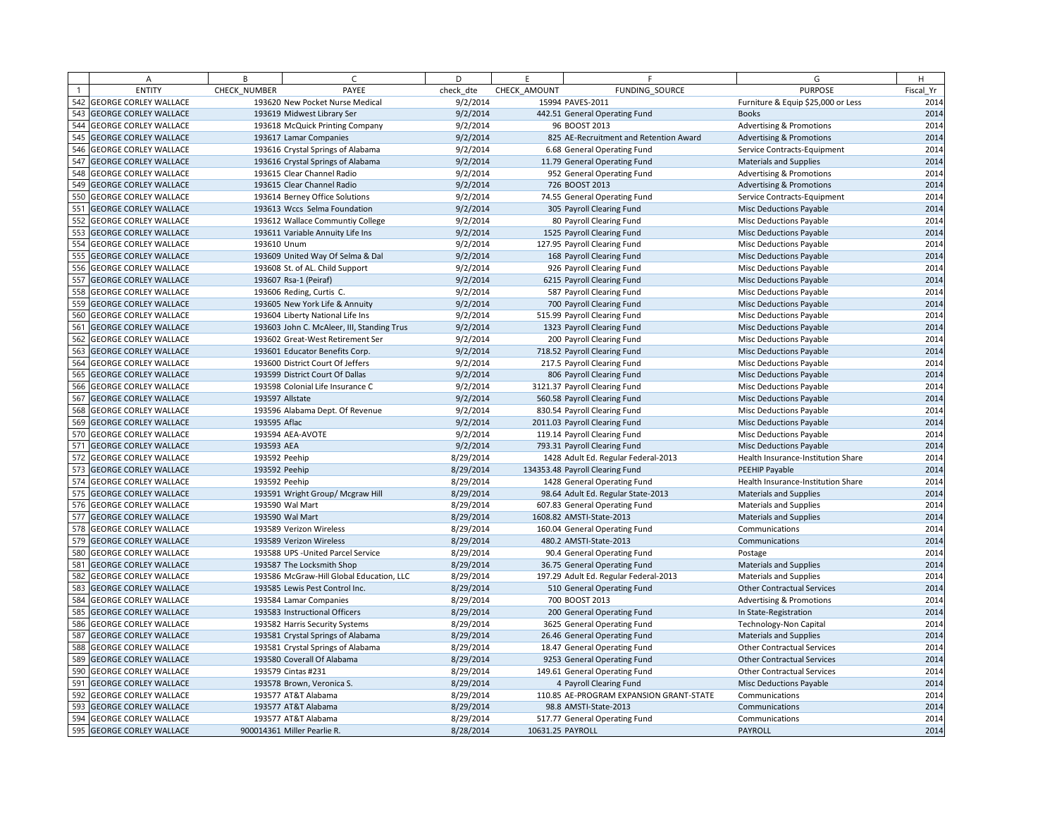| <b>ENTITY</b><br>PAYEE<br>CHECK AMOUNT<br>FUNDING SOURCE<br><b>PURPOSE</b><br>Fiscal Yr<br>CHECK NUMBER<br>check dte<br>542<br>9/2/2014<br>15994 PAVES-2011<br><b>GEORGE CORLEY WALLACE</b><br>193620 New Pocket Nurse Medical<br>Furniture & Equip \$25,000 or Less<br>543<br><b>GEORGE CORLEY WALLACE</b><br>193619 Midwest Library Ser<br>9/2/2014<br>442.51 General Operating Fund<br><b>Books</b><br>544<br>2014<br><b>GEORGE CORLEY WALLACE</b><br>9/2/2014<br><b>Advertising &amp; Promotions</b><br>193618 McQuick Printing Company<br>96 BOOST 2013<br>545<br><b>GEORGE CORLEY WALLACE</b><br>193617 Lamar Companies<br>9/2/2014<br>825 AE-Recruitment and Retention Award<br><b>Advertising &amp; Promotions</b><br>546<br><b>GEORGE CORLEY WALLACE</b><br>9/2/2014<br>193616 Crystal Springs of Alabama<br>6.68 General Operating Fund<br>Service Contracts-Equipment<br>2014<br>547<br><b>GEORGE CORLEY WALLACE</b><br>193616 Crystal Springs of Alabama<br>9/2/2014<br>11.79 General Operating Fund<br>Materials and Supplies<br>548<br>9/2/2014<br><b>GEORGE CORLEY WALLACE</b><br>193615 Clear Channel Radio<br>952 General Operating Fund<br><b>Advertising &amp; Promotions</b><br>549<br><b>GEORGE CORLEY WALLACE</b><br>193615 Clear Channel Radio<br>9/2/2014<br>726 BOOST 2013<br><b>Advertising &amp; Promotions</b><br>2014<br>550<br><b>GEORGE CORLEY WALLACE</b><br>9/2/2014<br>193614 Berney Office Solutions<br>74.55 General Operating Fund<br>Service Contracts-Equipment<br>551<br><b>GEORGE CORLEY WALLACE</b><br>193613 Wccs Selma Foundation<br>9/2/2014<br>305 Payroll Clearing Fund<br><b>Misc Deductions Payable</b><br>552<br><b>GEORGE CORLEY WALLACE</b><br>9/2/2014<br>193612 Wallace Communtiy College<br>80 Payroll Clearing Fund<br><b>Misc Deductions Payable</b><br>553<br>2014<br><b>GEORGE CORLEY WALLACE</b><br>193611 Variable Annuity Life Ins<br>9/2/2014<br>1525 Payroll Clearing Fund<br>Misc Deductions Payable<br>554<br><b>GEORGE CORLEY WALLACE</b><br>193610 Unum<br>9/2/2014<br>127.95 Payroll Clearing Fund<br><b>Misc Deductions Payable</b><br>555<br><b>GEORGE CORLEY WALLACE</b><br>193609 United Way Of Selma & Dal<br>9/2/2014<br>168 Payroll Clearing Fund<br><b>Misc Deductions Payable</b><br>2014<br>556<br><b>GEORGE CORLEY WALLACE</b><br>193608 St. of AL. Child Support<br>9/2/2014<br>926 Payroll Clearing Fund<br>Misc Deductions Payable<br>557<br><b>GEORGE CORLEY WALLACE</b><br>193607 Rsa-1 (Peiraf)<br>9/2/2014<br>6215 Payroll Clearing Fund<br><b>Misc Deductions Payable</b><br>558<br><b>GEORGE CORLEY WALLACE</b><br>193606 Reding, Curtis C.<br>9/2/2014<br>587 Payroll Clearing Fund<br>Misc Deductions Payable<br>2014<br>559 GEORGE CORLEY WALLACE<br>193605 New York Life & Annuity<br>9/2/2014<br>700 Payroll Clearing Fund<br><b>Misc Deductions Payable</b><br>560<br><b>GEORGE CORLEY WALLACE</b><br>193604 Liberty National Life Ins<br>9/2/2014<br>515.99 Payroll Clearing Fund<br><b>Misc Deductions Payable</b><br>561<br><b>GEORGE CORLEY WALLACE</b><br>9/2/2014<br>1323 Payroll Clearing Fund<br>193603 John C. McAleer, III, Standing Trus<br><b>Misc Deductions Payable</b><br>562<br>2014<br><b>GEORGE CORLEY WALLACE</b><br>9/2/2014<br>200 Payroll Clearing Fund<br>193602 Great-West Retirement Ser<br>Misc Deductions Payable<br>563<br><b>GEORGE CORLEY WALLACE</b><br>9/2/2014<br>718.52 Payroll Clearing Fund<br>193601 Educator Benefits Corp.<br><b>Misc Deductions Payable</b><br>564<br>2014<br><b>GEORGE CORLEY WALLACE</b><br>193600 District Court Of Jeffers<br>9/2/2014<br>217.5 Payroll Clearing Fund<br><b>Misc Deductions Payable</b><br>565<br>9/2/2014<br><b>GEORGE CORLEY WALLACE</b><br>193599 District Court Of Dallas<br>806 Payroll Clearing Fund<br><b>Misc Deductions Payable</b><br>566<br><b>GEORGE CORLEY WALLACE</b><br>193598 Colonial Life Insurance C<br>9/2/2014<br>3121.37 Payroll Clearing Fund<br><b>Misc Deductions Payable</b><br>567<br><b>GEORGE CORLEY WALLACE</b><br>193597 Allstate<br>9/2/2014<br>560.58 Payroll Clearing Fund<br>2014<br><b>Misc Deductions Payable</b><br>568<br>2014<br><b>GEORGE CORLEY WALLACE</b><br>193596 Alabama Dept. Of Revenue<br>9/2/2014<br>830.54 Payroll Clearing Fund<br>Misc Deductions Payable<br>569<br><b>GEORGE CORLEY WALLACE</b><br>193595 Aflac<br>9/2/2014<br>2011.03 Payroll Clearing Fund<br><b>Misc Deductions Payable</b><br>2014<br>570<br><b>GEORGE CORLEY WALLACE</b><br>193594 AEA-AVOTE<br>9/2/2014<br>119.14 Payroll Clearing Fund<br>Misc Deductions Payable<br>571<br>9/2/2014<br>2014<br><b>GEORGE CORLEY WALLACE</b><br>193593 AEA<br>793.31 Payroll Clearing Fund<br><b>Misc Deductions Payable</b><br>572<br><b>GEORGE CORLEY WALLACE</b><br>193592 Peehip<br>8/29/2014<br>1428 Adult Ed. Regular Federal-2013<br>Health Insurance-Institution Share<br>573<br><b>GEORGE CORLEY WALLACE</b><br>193592 Peehip<br>8/29/2014<br>134353.48 Payroll Clearing Fund<br>PEEHIP Payable<br>574<br>2014<br><b>GEORGE CORLEY WALLACE</b><br>8/29/2014<br>193592 Peehip<br>1428 General Operating Fund<br>Health Insurance-Institution Share<br>575<br><b>GEORGE CORLEY WALLACE</b><br>193591 Wright Group/ Mcgraw Hill<br>8/29/2014<br>98.64 Adult Ed. Regular State-2013<br><b>Materials and Supplies</b><br>2014<br>576<br><b>GEORGE CORLEY WALLACE</b><br>193590 Wal Mart<br>8/29/2014<br>607.83 General Operating Fund<br><b>Materials and Supplies</b><br>577<br>8/29/2014<br>2014<br><b>GEORGE CORLEY WALLACE</b><br>193590 Wal Mart<br>1608.82 AMSTI-State-2013<br><b>Materials and Supplies</b><br>578<br><b>GEORGE CORLEY WALLACE</b><br>8/29/2014<br>193589 Verizon Wireless<br>160.04 General Operating Fund<br>Communications<br>579<br><b>GEORGE CORLEY WALLACE</b><br>8/29/2014<br>480.2 AMSTI-State-2013<br>Communications<br>193589 Verizon Wireless<br>580<br>2014<br><b>GEORGE CORLEY WALLACE</b><br>8/29/2014<br>193588 UPS - United Parcel Service<br>90.4 General Operating Fund<br>Postage<br>581<br><b>GEORGE CORLEY WALLACE</b><br>193587 The Locksmith Shop<br>8/29/2014<br>36.75 General Operating Fund<br><b>Materials and Supplies</b><br>582<br><b>GEORGE CORLEY WALLACE</b><br>8/29/2014<br>193586 McGraw-Hill Global Education, LLC<br>197.29 Adult Ed. Regular Federal-2013<br><b>Materials and Supplies</b><br>583<br>2014<br><b>GEORGE CORLEY WALLACE</b><br>193585 Lewis Pest Control Inc.<br>8/29/2014<br>510 General Operating Fund<br><b>Other Contractual Services</b><br>584<br><b>GEORGE CORLEY WALLACE</b><br>8/29/2014<br>700 BOOST 2013<br>193584 Lamar Companies<br><b>Advertising &amp; Promotions</b><br>585<br><b>GEORGE CORLEY WALLACE</b><br>193583 Instructional Officers<br>8/29/2014<br>200 General Operating Fund<br>In State-Registration<br>586<br>2014<br><b>GEORGE CORLEY WALLACE</b><br>8/29/2014<br>3625 General Operating Fund<br>193582 Harris Security Systems<br><b>Technology-Non Capital</b><br>587<br><b>GEORGE CORLEY WALLACE</b><br>193581 Crystal Springs of Alabama<br>8/29/2014<br>26.46 General Operating Fund<br><b>Materials and Supplies</b><br>588<br><b>GEORGE CORLEY WALLACE</b><br>8/29/2014<br>193581 Crystal Springs of Alabama<br>18.47 General Operating Fund<br><b>Other Contractual Services</b><br>589<br>2014<br><b>GEORGE CORLEY WALLACE</b><br>193580 Coverall Of Alabama<br>8/29/2014<br>9253 General Operating Fund<br><b>Other Contractual Services</b><br>590<br>2014<br><b>GEORGE CORLEY WALLACE</b><br>193579 Cintas #231<br>8/29/2014<br>149.61 General Operating Fund<br><b>Other Contractual Services</b><br>591<br><b>GEORGE CORLEY WALLACE</b><br>8/29/2014<br>193578 Brown, Veronica S.<br>4 Payroll Clearing Fund<br><b>Misc Deductions Payable</b><br>592<br>2014<br><b>GEORGE CORLEY WALLACE</b><br>8/29/2014<br>110.85 AE-PROGRAM EXPANSION GRANT-STATE<br>193577 AT&T Alabama<br>Communications<br>593<br><b>GEORGE CORLEY WALLACE</b><br>193577 AT&T Alabama<br>8/29/2014<br>98.8 AMSTI-State-2013<br>Communications<br>594<br><b>GEORGE CORLEY WALLACE</b><br>8/29/2014<br>193577 AT&T Alabama<br>517.77 General Operating Fund<br>Communications<br>595 GEORGE CORLEY WALLACE<br>2014<br>900014361 Miller Pearlie R.<br>8/28/2014<br>10631.25 PAYROLL<br>PAYROLL | $\overline{A}$ | B | $\epsilon$ | D | F | F | G | H    |
|----------------------------------------------------------------------------------------------------------------------------------------------------------------------------------------------------------------------------------------------------------------------------------------------------------------------------------------------------------------------------------------------------------------------------------------------------------------------------------------------------------------------------------------------------------------------------------------------------------------------------------------------------------------------------------------------------------------------------------------------------------------------------------------------------------------------------------------------------------------------------------------------------------------------------------------------------------------------------------------------------------------------------------------------------------------------------------------------------------------------------------------------------------------------------------------------------------------------------------------------------------------------------------------------------------------------------------------------------------------------------------------------------------------------------------------------------------------------------------------------------------------------------------------------------------------------------------------------------------------------------------------------------------------------------------------------------------------------------------------------------------------------------------------------------------------------------------------------------------------------------------------------------------------------------------------------------------------------------------------------------------------------------------------------------------------------------------------------------------------------------------------------------------------------------------------------------------------------------------------------------------------------------------------------------------------------------------------------------------------------------------------------------------------------------------------------------------------------------------------------------------------------------------------------------------------------------------------------------------------------------------------------------------------------------------------------------------------------------------------------------------------------------------------------------------------------------------------------------------------------------------------------------------------------------------------------------------------------------------------------------------------------------------------------------------------------------------------------------------------------------------------------------------------------------------------------------------------------------------------------------------------------------------------------------------------------------------------------------------------------------------------------------------------------------------------------------------------------------------------------------------------------------------------------------------------------------------------------------------------------------------------------------------------------------------------------------------------------------------------------------------------------------------------------------------------------------------------------------------------------------------------------------------------------------------------------------------------------------------------------------------------------------------------------------------------------------------------------------------------------------------------------------------------------------------------------------------------------------------------------------------------------------------------------------------------------------------------------------------------------------------------------------------------------------------------------------------------------------------------------------------------------------------------------------------------------------------------------------------------------------------------------------------------------------------------------------------------------------------------------------------------------------------------------------------------------------------------------------------------------------------------------------------------------------------------------------------------------------------------------------------------------------------------------------------------------------------------------------------------------------------------------------------------------------------------------------------------------------------------------------------------------------------------------------------------------------------------------------------------------------------------------------------------------------------------------------------------------------------------------------------------------------------------------------------------------------------------------------------------------------------------------------------------------------------------------------------------------------------------------------------------------------------------------------------------------------------------------------------------------------------------------------------------------------------------------------------------------------------------------------------------------------------------------------------------------------------------------------------------------------------------------------------------------------------------------------------------------------------------------------------------------------------------------------------------------------------------------------------------------------------------------------------------------------------------------------------------------------------------------------------------------------------------------------------------------------------------------------------------------------------------------------------------------------------------------------------------------------------------------------------------------------------------------------------------------------------------------------------------------------------------------------------------------------------------------------------------------------------------------------------------------------------------------------------------------------------------------------------------------------------------------------------------------------------------------------------------------------------------------------------------------------------------------------------------------------------------------------------------------------------------------------------------------------------------------------------------------------------------------------------------------------------------------------------------------------------------------------------------------------------------------------------------------------------------------------------------------------------------------------------------------------------------------------------------------------------------------------------------------------------------------------------------------------------------------------------------------------------------------------------------------------------------------------------------------------------------------------------------------------------------------------------------------------------------------------------------------------------------------------------------------------------------|----------------|---|------------|---|---|---|---|------|
|                                                                                                                                                                                                                                                                                                                                                                                                                                                                                                                                                                                                                                                                                                                                                                                                                                                                                                                                                                                                                                                                                                                                                                                                                                                                                                                                                                                                                                                                                                                                                                                                                                                                                                                                                                                                                                                                                                                                                                                                                                                                                                                                                                                                                                                                                                                                                                                                                                                                                                                                                                                                                                                                                                                                                                                                                                                                                                                                                                                                                                                                                                                                                                                                                                                                                                                                                                                                                                                                                                                                                                                                                                                                                                                                                                                                                                                                                                                                                                                                                                                                                                                                                                                                                                                                                                                                                                                                                                                                                                                                                                                                                                                                                                                                                                                                                                                                                                                                                                                                                                                                                                                                                                                                                                                                                                                                                                                                                                                                                                                                                                                                                                                                                                                                                                                                                                                                                                                                                                                                                                                                                                                                                                                                                                                                                                                                                                                                                                                                                                                                                                                                                                                                                                                                                                                                                                                                                                                                                                                                                                                                                                                                                                                                                                                                                                                                                                                                                                                                                                                                                                                                                                                                                                                                                                                                                                                                                                                                                                                                                                                                                                                                                                                                                                                                                        |                |   |            |   |   |   |   |      |
|                                                                                                                                                                                                                                                                                                                                                                                                                                                                                                                                                                                                                                                                                                                                                                                                                                                                                                                                                                                                                                                                                                                                                                                                                                                                                                                                                                                                                                                                                                                                                                                                                                                                                                                                                                                                                                                                                                                                                                                                                                                                                                                                                                                                                                                                                                                                                                                                                                                                                                                                                                                                                                                                                                                                                                                                                                                                                                                                                                                                                                                                                                                                                                                                                                                                                                                                                                                                                                                                                                                                                                                                                                                                                                                                                                                                                                                                                                                                                                                                                                                                                                                                                                                                                                                                                                                                                                                                                                                                                                                                                                                                                                                                                                                                                                                                                                                                                                                                                                                                                                                                                                                                                                                                                                                                                                                                                                                                                                                                                                                                                                                                                                                                                                                                                                                                                                                                                                                                                                                                                                                                                                                                                                                                                                                                                                                                                                                                                                                                                                                                                                                                                                                                                                                                                                                                                                                                                                                                                                                                                                                                                                                                                                                                                                                                                                                                                                                                                                                                                                                                                                                                                                                                                                                                                                                                                                                                                                                                                                                                                                                                                                                                                                                                                                                                                        |                |   |            |   |   |   |   | 2014 |
|                                                                                                                                                                                                                                                                                                                                                                                                                                                                                                                                                                                                                                                                                                                                                                                                                                                                                                                                                                                                                                                                                                                                                                                                                                                                                                                                                                                                                                                                                                                                                                                                                                                                                                                                                                                                                                                                                                                                                                                                                                                                                                                                                                                                                                                                                                                                                                                                                                                                                                                                                                                                                                                                                                                                                                                                                                                                                                                                                                                                                                                                                                                                                                                                                                                                                                                                                                                                                                                                                                                                                                                                                                                                                                                                                                                                                                                                                                                                                                                                                                                                                                                                                                                                                                                                                                                                                                                                                                                                                                                                                                                                                                                                                                                                                                                                                                                                                                                                                                                                                                                                                                                                                                                                                                                                                                                                                                                                                                                                                                                                                                                                                                                                                                                                                                                                                                                                                                                                                                                                                                                                                                                                                                                                                                                                                                                                                                                                                                                                                                                                                                                                                                                                                                                                                                                                                                                                                                                                                                                                                                                                                                                                                                                                                                                                                                                                                                                                                                                                                                                                                                                                                                                                                                                                                                                                                                                                                                                                                                                                                                                                                                                                                                                                                                                                                        |                |   |            |   |   |   |   | 2014 |
|                                                                                                                                                                                                                                                                                                                                                                                                                                                                                                                                                                                                                                                                                                                                                                                                                                                                                                                                                                                                                                                                                                                                                                                                                                                                                                                                                                                                                                                                                                                                                                                                                                                                                                                                                                                                                                                                                                                                                                                                                                                                                                                                                                                                                                                                                                                                                                                                                                                                                                                                                                                                                                                                                                                                                                                                                                                                                                                                                                                                                                                                                                                                                                                                                                                                                                                                                                                                                                                                                                                                                                                                                                                                                                                                                                                                                                                                                                                                                                                                                                                                                                                                                                                                                                                                                                                                                                                                                                                                                                                                                                                                                                                                                                                                                                                                                                                                                                                                                                                                                                                                                                                                                                                                                                                                                                                                                                                                                                                                                                                                                                                                                                                                                                                                                                                                                                                                                                                                                                                                                                                                                                                                                                                                                                                                                                                                                                                                                                                                                                                                                                                                                                                                                                                                                                                                                                                                                                                                                                                                                                                                                                                                                                                                                                                                                                                                                                                                                                                                                                                                                                                                                                                                                                                                                                                                                                                                                                                                                                                                                                                                                                                                                                                                                                                                                        |                |   |            |   |   |   |   |      |
|                                                                                                                                                                                                                                                                                                                                                                                                                                                                                                                                                                                                                                                                                                                                                                                                                                                                                                                                                                                                                                                                                                                                                                                                                                                                                                                                                                                                                                                                                                                                                                                                                                                                                                                                                                                                                                                                                                                                                                                                                                                                                                                                                                                                                                                                                                                                                                                                                                                                                                                                                                                                                                                                                                                                                                                                                                                                                                                                                                                                                                                                                                                                                                                                                                                                                                                                                                                                                                                                                                                                                                                                                                                                                                                                                                                                                                                                                                                                                                                                                                                                                                                                                                                                                                                                                                                                                                                                                                                                                                                                                                                                                                                                                                                                                                                                                                                                                                                                                                                                                                                                                                                                                                                                                                                                                                                                                                                                                                                                                                                                                                                                                                                                                                                                                                                                                                                                                                                                                                                                                                                                                                                                                                                                                                                                                                                                                                                                                                                                                                                                                                                                                                                                                                                                                                                                                                                                                                                                                                                                                                                                                                                                                                                                                                                                                                                                                                                                                                                                                                                                                                                                                                                                                                                                                                                                                                                                                                                                                                                                                                                                                                                                                                                                                                                                                        |                |   |            |   |   |   |   | 2014 |
|                                                                                                                                                                                                                                                                                                                                                                                                                                                                                                                                                                                                                                                                                                                                                                                                                                                                                                                                                                                                                                                                                                                                                                                                                                                                                                                                                                                                                                                                                                                                                                                                                                                                                                                                                                                                                                                                                                                                                                                                                                                                                                                                                                                                                                                                                                                                                                                                                                                                                                                                                                                                                                                                                                                                                                                                                                                                                                                                                                                                                                                                                                                                                                                                                                                                                                                                                                                                                                                                                                                                                                                                                                                                                                                                                                                                                                                                                                                                                                                                                                                                                                                                                                                                                                                                                                                                                                                                                                                                                                                                                                                                                                                                                                                                                                                                                                                                                                                                                                                                                                                                                                                                                                                                                                                                                                                                                                                                                                                                                                                                                                                                                                                                                                                                                                                                                                                                                                                                                                                                                                                                                                                                                                                                                                                                                                                                                                                                                                                                                                                                                                                                                                                                                                                                                                                                                                                                                                                                                                                                                                                                                                                                                                                                                                                                                                                                                                                                                                                                                                                                                                                                                                                                                                                                                                                                                                                                                                                                                                                                                                                                                                                                                                                                                                                                                        |                |   |            |   |   |   |   | 2014 |
|                                                                                                                                                                                                                                                                                                                                                                                                                                                                                                                                                                                                                                                                                                                                                                                                                                                                                                                                                                                                                                                                                                                                                                                                                                                                                                                                                                                                                                                                                                                                                                                                                                                                                                                                                                                                                                                                                                                                                                                                                                                                                                                                                                                                                                                                                                                                                                                                                                                                                                                                                                                                                                                                                                                                                                                                                                                                                                                                                                                                                                                                                                                                                                                                                                                                                                                                                                                                                                                                                                                                                                                                                                                                                                                                                                                                                                                                                                                                                                                                                                                                                                                                                                                                                                                                                                                                                                                                                                                                                                                                                                                                                                                                                                                                                                                                                                                                                                                                                                                                                                                                                                                                                                                                                                                                                                                                                                                                                                                                                                                                                                                                                                                                                                                                                                                                                                                                                                                                                                                                                                                                                                                                                                                                                                                                                                                                                                                                                                                                                                                                                                                                                                                                                                                                                                                                                                                                                                                                                                                                                                                                                                                                                                                                                                                                                                                                                                                                                                                                                                                                                                                                                                                                                                                                                                                                                                                                                                                                                                                                                                                                                                                                                                                                                                                                                        |                |   |            |   |   |   |   |      |
|                                                                                                                                                                                                                                                                                                                                                                                                                                                                                                                                                                                                                                                                                                                                                                                                                                                                                                                                                                                                                                                                                                                                                                                                                                                                                                                                                                                                                                                                                                                                                                                                                                                                                                                                                                                                                                                                                                                                                                                                                                                                                                                                                                                                                                                                                                                                                                                                                                                                                                                                                                                                                                                                                                                                                                                                                                                                                                                                                                                                                                                                                                                                                                                                                                                                                                                                                                                                                                                                                                                                                                                                                                                                                                                                                                                                                                                                                                                                                                                                                                                                                                                                                                                                                                                                                                                                                                                                                                                                                                                                                                                                                                                                                                                                                                                                                                                                                                                                                                                                                                                                                                                                                                                                                                                                                                                                                                                                                                                                                                                                                                                                                                                                                                                                                                                                                                                                                                                                                                                                                                                                                                                                                                                                                                                                                                                                                                                                                                                                                                                                                                                                                                                                                                                                                                                                                                                                                                                                                                                                                                                                                                                                                                                                                                                                                                                                                                                                                                                                                                                                                                                                                                                                                                                                                                                                                                                                                                                                                                                                                                                                                                                                                                                                                                                                                        |                |   |            |   |   |   |   | 2014 |
|                                                                                                                                                                                                                                                                                                                                                                                                                                                                                                                                                                                                                                                                                                                                                                                                                                                                                                                                                                                                                                                                                                                                                                                                                                                                                                                                                                                                                                                                                                                                                                                                                                                                                                                                                                                                                                                                                                                                                                                                                                                                                                                                                                                                                                                                                                                                                                                                                                                                                                                                                                                                                                                                                                                                                                                                                                                                                                                                                                                                                                                                                                                                                                                                                                                                                                                                                                                                                                                                                                                                                                                                                                                                                                                                                                                                                                                                                                                                                                                                                                                                                                                                                                                                                                                                                                                                                                                                                                                                                                                                                                                                                                                                                                                                                                                                                                                                                                                                                                                                                                                                                                                                                                                                                                                                                                                                                                                                                                                                                                                                                                                                                                                                                                                                                                                                                                                                                                                                                                                                                                                                                                                                                                                                                                                                                                                                                                                                                                                                                                                                                                                                                                                                                                                                                                                                                                                                                                                                                                                                                                                                                                                                                                                                                                                                                                                                                                                                                                                                                                                                                                                                                                                                                                                                                                                                                                                                                                                                                                                                                                                                                                                                                                                                                                                                                        |                |   |            |   |   |   |   | 2014 |
|                                                                                                                                                                                                                                                                                                                                                                                                                                                                                                                                                                                                                                                                                                                                                                                                                                                                                                                                                                                                                                                                                                                                                                                                                                                                                                                                                                                                                                                                                                                                                                                                                                                                                                                                                                                                                                                                                                                                                                                                                                                                                                                                                                                                                                                                                                                                                                                                                                                                                                                                                                                                                                                                                                                                                                                                                                                                                                                                                                                                                                                                                                                                                                                                                                                                                                                                                                                                                                                                                                                                                                                                                                                                                                                                                                                                                                                                                                                                                                                                                                                                                                                                                                                                                                                                                                                                                                                                                                                                                                                                                                                                                                                                                                                                                                                                                                                                                                                                                                                                                                                                                                                                                                                                                                                                                                                                                                                                                                                                                                                                                                                                                                                                                                                                                                                                                                                                                                                                                                                                                                                                                                                                                                                                                                                                                                                                                                                                                                                                                                                                                                                                                                                                                                                                                                                                                                                                                                                                                                                                                                                                                                                                                                                                                                                                                                                                                                                                                                                                                                                                                                                                                                                                                                                                                                                                                                                                                                                                                                                                                                                                                                                                                                                                                                                                                        |                |   |            |   |   |   |   |      |
|                                                                                                                                                                                                                                                                                                                                                                                                                                                                                                                                                                                                                                                                                                                                                                                                                                                                                                                                                                                                                                                                                                                                                                                                                                                                                                                                                                                                                                                                                                                                                                                                                                                                                                                                                                                                                                                                                                                                                                                                                                                                                                                                                                                                                                                                                                                                                                                                                                                                                                                                                                                                                                                                                                                                                                                                                                                                                                                                                                                                                                                                                                                                                                                                                                                                                                                                                                                                                                                                                                                                                                                                                                                                                                                                                                                                                                                                                                                                                                                                                                                                                                                                                                                                                                                                                                                                                                                                                                                                                                                                                                                                                                                                                                                                                                                                                                                                                                                                                                                                                                                                                                                                                                                                                                                                                                                                                                                                                                                                                                                                                                                                                                                                                                                                                                                                                                                                                                                                                                                                                                                                                                                                                                                                                                                                                                                                                                                                                                                                                                                                                                                                                                                                                                                                                                                                                                                                                                                                                                                                                                                                                                                                                                                                                                                                                                                                                                                                                                                                                                                                                                                                                                                                                                                                                                                                                                                                                                                                                                                                                                                                                                                                                                                                                                                                                        |                |   |            |   |   |   |   | 2014 |
|                                                                                                                                                                                                                                                                                                                                                                                                                                                                                                                                                                                                                                                                                                                                                                                                                                                                                                                                                                                                                                                                                                                                                                                                                                                                                                                                                                                                                                                                                                                                                                                                                                                                                                                                                                                                                                                                                                                                                                                                                                                                                                                                                                                                                                                                                                                                                                                                                                                                                                                                                                                                                                                                                                                                                                                                                                                                                                                                                                                                                                                                                                                                                                                                                                                                                                                                                                                                                                                                                                                                                                                                                                                                                                                                                                                                                                                                                                                                                                                                                                                                                                                                                                                                                                                                                                                                                                                                                                                                                                                                                                                                                                                                                                                                                                                                                                                                                                                                                                                                                                                                                                                                                                                                                                                                                                                                                                                                                                                                                                                                                                                                                                                                                                                                                                                                                                                                                                                                                                                                                                                                                                                                                                                                                                                                                                                                                                                                                                                                                                                                                                                                                                                                                                                                                                                                                                                                                                                                                                                                                                                                                                                                                                                                                                                                                                                                                                                                                                                                                                                                                                                                                                                                                                                                                                                                                                                                                                                                                                                                                                                                                                                                                                                                                                                                                        |                |   |            |   |   |   |   | 2014 |
|                                                                                                                                                                                                                                                                                                                                                                                                                                                                                                                                                                                                                                                                                                                                                                                                                                                                                                                                                                                                                                                                                                                                                                                                                                                                                                                                                                                                                                                                                                                                                                                                                                                                                                                                                                                                                                                                                                                                                                                                                                                                                                                                                                                                                                                                                                                                                                                                                                                                                                                                                                                                                                                                                                                                                                                                                                                                                                                                                                                                                                                                                                                                                                                                                                                                                                                                                                                                                                                                                                                                                                                                                                                                                                                                                                                                                                                                                                                                                                                                                                                                                                                                                                                                                                                                                                                                                                                                                                                                                                                                                                                                                                                                                                                                                                                                                                                                                                                                                                                                                                                                                                                                                                                                                                                                                                                                                                                                                                                                                                                                                                                                                                                                                                                                                                                                                                                                                                                                                                                                                                                                                                                                                                                                                                                                                                                                                                                                                                                                                                                                                                                                                                                                                                                                                                                                                                                                                                                                                                                                                                                                                                                                                                                                                                                                                                                                                                                                                                                                                                                                                                                                                                                                                                                                                                                                                                                                                                                                                                                                                                                                                                                                                                                                                                                                                        |                |   |            |   |   |   |   |      |
|                                                                                                                                                                                                                                                                                                                                                                                                                                                                                                                                                                                                                                                                                                                                                                                                                                                                                                                                                                                                                                                                                                                                                                                                                                                                                                                                                                                                                                                                                                                                                                                                                                                                                                                                                                                                                                                                                                                                                                                                                                                                                                                                                                                                                                                                                                                                                                                                                                                                                                                                                                                                                                                                                                                                                                                                                                                                                                                                                                                                                                                                                                                                                                                                                                                                                                                                                                                                                                                                                                                                                                                                                                                                                                                                                                                                                                                                                                                                                                                                                                                                                                                                                                                                                                                                                                                                                                                                                                                                                                                                                                                                                                                                                                                                                                                                                                                                                                                                                                                                                                                                                                                                                                                                                                                                                                                                                                                                                                                                                                                                                                                                                                                                                                                                                                                                                                                                                                                                                                                                                                                                                                                                                                                                                                                                                                                                                                                                                                                                                                                                                                                                                                                                                                                                                                                                                                                                                                                                                                                                                                                                                                                                                                                                                                                                                                                                                                                                                                                                                                                                                                                                                                                                                                                                                                                                                                                                                                                                                                                                                                                                                                                                                                                                                                                                                        |                |   |            |   |   |   |   | 2014 |
|                                                                                                                                                                                                                                                                                                                                                                                                                                                                                                                                                                                                                                                                                                                                                                                                                                                                                                                                                                                                                                                                                                                                                                                                                                                                                                                                                                                                                                                                                                                                                                                                                                                                                                                                                                                                                                                                                                                                                                                                                                                                                                                                                                                                                                                                                                                                                                                                                                                                                                                                                                                                                                                                                                                                                                                                                                                                                                                                                                                                                                                                                                                                                                                                                                                                                                                                                                                                                                                                                                                                                                                                                                                                                                                                                                                                                                                                                                                                                                                                                                                                                                                                                                                                                                                                                                                                                                                                                                                                                                                                                                                                                                                                                                                                                                                                                                                                                                                                                                                                                                                                                                                                                                                                                                                                                                                                                                                                                                                                                                                                                                                                                                                                                                                                                                                                                                                                                                                                                                                                                                                                                                                                                                                                                                                                                                                                                                                                                                                                                                                                                                                                                                                                                                                                                                                                                                                                                                                                                                                                                                                                                                                                                                                                                                                                                                                                                                                                                                                                                                                                                                                                                                                                                                                                                                                                                                                                                                                                                                                                                                                                                                                                                                                                                                                                                        |                |   |            |   |   |   |   | 2014 |
|                                                                                                                                                                                                                                                                                                                                                                                                                                                                                                                                                                                                                                                                                                                                                                                                                                                                                                                                                                                                                                                                                                                                                                                                                                                                                                                                                                                                                                                                                                                                                                                                                                                                                                                                                                                                                                                                                                                                                                                                                                                                                                                                                                                                                                                                                                                                                                                                                                                                                                                                                                                                                                                                                                                                                                                                                                                                                                                                                                                                                                                                                                                                                                                                                                                                                                                                                                                                                                                                                                                                                                                                                                                                                                                                                                                                                                                                                                                                                                                                                                                                                                                                                                                                                                                                                                                                                                                                                                                                                                                                                                                                                                                                                                                                                                                                                                                                                                                                                                                                                                                                                                                                                                                                                                                                                                                                                                                                                                                                                                                                                                                                                                                                                                                                                                                                                                                                                                                                                                                                                                                                                                                                                                                                                                                                                                                                                                                                                                                                                                                                                                                                                                                                                                                                                                                                                                                                                                                                                                                                                                                                                                                                                                                                                                                                                                                                                                                                                                                                                                                                                                                                                                                                                                                                                                                                                                                                                                                                                                                                                                                                                                                                                                                                                                                                                        |                |   |            |   |   |   |   |      |
|                                                                                                                                                                                                                                                                                                                                                                                                                                                                                                                                                                                                                                                                                                                                                                                                                                                                                                                                                                                                                                                                                                                                                                                                                                                                                                                                                                                                                                                                                                                                                                                                                                                                                                                                                                                                                                                                                                                                                                                                                                                                                                                                                                                                                                                                                                                                                                                                                                                                                                                                                                                                                                                                                                                                                                                                                                                                                                                                                                                                                                                                                                                                                                                                                                                                                                                                                                                                                                                                                                                                                                                                                                                                                                                                                                                                                                                                                                                                                                                                                                                                                                                                                                                                                                                                                                                                                                                                                                                                                                                                                                                                                                                                                                                                                                                                                                                                                                                                                                                                                                                                                                                                                                                                                                                                                                                                                                                                                                                                                                                                                                                                                                                                                                                                                                                                                                                                                                                                                                                                                                                                                                                                                                                                                                                                                                                                                                                                                                                                                                                                                                                                                                                                                                                                                                                                                                                                                                                                                                                                                                                                                                                                                                                                                                                                                                                                                                                                                                                                                                                                                                                                                                                                                                                                                                                                                                                                                                                                                                                                                                                                                                                                                                                                                                                                                        |                |   |            |   |   |   |   | 2014 |
|                                                                                                                                                                                                                                                                                                                                                                                                                                                                                                                                                                                                                                                                                                                                                                                                                                                                                                                                                                                                                                                                                                                                                                                                                                                                                                                                                                                                                                                                                                                                                                                                                                                                                                                                                                                                                                                                                                                                                                                                                                                                                                                                                                                                                                                                                                                                                                                                                                                                                                                                                                                                                                                                                                                                                                                                                                                                                                                                                                                                                                                                                                                                                                                                                                                                                                                                                                                                                                                                                                                                                                                                                                                                                                                                                                                                                                                                                                                                                                                                                                                                                                                                                                                                                                                                                                                                                                                                                                                                                                                                                                                                                                                                                                                                                                                                                                                                                                                                                                                                                                                                                                                                                                                                                                                                                                                                                                                                                                                                                                                                                                                                                                                                                                                                                                                                                                                                                                                                                                                                                                                                                                                                                                                                                                                                                                                                                                                                                                                                                                                                                                                                                                                                                                                                                                                                                                                                                                                                                                                                                                                                                                                                                                                                                                                                                                                                                                                                                                                                                                                                                                                                                                                                                                                                                                                                                                                                                                                                                                                                                                                                                                                                                                                                                                                                                        |                |   |            |   |   |   |   | 2014 |
|                                                                                                                                                                                                                                                                                                                                                                                                                                                                                                                                                                                                                                                                                                                                                                                                                                                                                                                                                                                                                                                                                                                                                                                                                                                                                                                                                                                                                                                                                                                                                                                                                                                                                                                                                                                                                                                                                                                                                                                                                                                                                                                                                                                                                                                                                                                                                                                                                                                                                                                                                                                                                                                                                                                                                                                                                                                                                                                                                                                                                                                                                                                                                                                                                                                                                                                                                                                                                                                                                                                                                                                                                                                                                                                                                                                                                                                                                                                                                                                                                                                                                                                                                                                                                                                                                                                                                                                                                                                                                                                                                                                                                                                                                                                                                                                                                                                                                                                                                                                                                                                                                                                                                                                                                                                                                                                                                                                                                                                                                                                                                                                                                                                                                                                                                                                                                                                                                                                                                                                                                                                                                                                                                                                                                                                                                                                                                                                                                                                                                                                                                                                                                                                                                                                                                                                                                                                                                                                                                                                                                                                                                                                                                                                                                                                                                                                                                                                                                                                                                                                                                                                                                                                                                                                                                                                                                                                                                                                                                                                                                                                                                                                                                                                                                                                                                        |                |   |            |   |   |   |   |      |
|                                                                                                                                                                                                                                                                                                                                                                                                                                                                                                                                                                                                                                                                                                                                                                                                                                                                                                                                                                                                                                                                                                                                                                                                                                                                                                                                                                                                                                                                                                                                                                                                                                                                                                                                                                                                                                                                                                                                                                                                                                                                                                                                                                                                                                                                                                                                                                                                                                                                                                                                                                                                                                                                                                                                                                                                                                                                                                                                                                                                                                                                                                                                                                                                                                                                                                                                                                                                                                                                                                                                                                                                                                                                                                                                                                                                                                                                                                                                                                                                                                                                                                                                                                                                                                                                                                                                                                                                                                                                                                                                                                                                                                                                                                                                                                                                                                                                                                                                                                                                                                                                                                                                                                                                                                                                                                                                                                                                                                                                                                                                                                                                                                                                                                                                                                                                                                                                                                                                                                                                                                                                                                                                                                                                                                                                                                                                                                                                                                                                                                                                                                                                                                                                                                                                                                                                                                                                                                                                                                                                                                                                                                                                                                                                                                                                                                                                                                                                                                                                                                                                                                                                                                                                                                                                                                                                                                                                                                                                                                                                                                                                                                                                                                                                                                                                                        |                |   |            |   |   |   |   | 2014 |
|                                                                                                                                                                                                                                                                                                                                                                                                                                                                                                                                                                                                                                                                                                                                                                                                                                                                                                                                                                                                                                                                                                                                                                                                                                                                                                                                                                                                                                                                                                                                                                                                                                                                                                                                                                                                                                                                                                                                                                                                                                                                                                                                                                                                                                                                                                                                                                                                                                                                                                                                                                                                                                                                                                                                                                                                                                                                                                                                                                                                                                                                                                                                                                                                                                                                                                                                                                                                                                                                                                                                                                                                                                                                                                                                                                                                                                                                                                                                                                                                                                                                                                                                                                                                                                                                                                                                                                                                                                                                                                                                                                                                                                                                                                                                                                                                                                                                                                                                                                                                                                                                                                                                                                                                                                                                                                                                                                                                                                                                                                                                                                                                                                                                                                                                                                                                                                                                                                                                                                                                                                                                                                                                                                                                                                                                                                                                                                                                                                                                                                                                                                                                                                                                                                                                                                                                                                                                                                                                                                                                                                                                                                                                                                                                                                                                                                                                                                                                                                                                                                                                                                                                                                                                                                                                                                                                                                                                                                                                                                                                                                                                                                                                                                                                                                                                                        |                |   |            |   |   |   |   | 2014 |
|                                                                                                                                                                                                                                                                                                                                                                                                                                                                                                                                                                                                                                                                                                                                                                                                                                                                                                                                                                                                                                                                                                                                                                                                                                                                                                                                                                                                                                                                                                                                                                                                                                                                                                                                                                                                                                                                                                                                                                                                                                                                                                                                                                                                                                                                                                                                                                                                                                                                                                                                                                                                                                                                                                                                                                                                                                                                                                                                                                                                                                                                                                                                                                                                                                                                                                                                                                                                                                                                                                                                                                                                                                                                                                                                                                                                                                                                                                                                                                                                                                                                                                                                                                                                                                                                                                                                                                                                                                                                                                                                                                                                                                                                                                                                                                                                                                                                                                                                                                                                                                                                                                                                                                                                                                                                                                                                                                                                                                                                                                                                                                                                                                                                                                                                                                                                                                                                                                                                                                                                                                                                                                                                                                                                                                                                                                                                                                                                                                                                                                                                                                                                                                                                                                                                                                                                                                                                                                                                                                                                                                                                                                                                                                                                                                                                                                                                                                                                                                                                                                                                                                                                                                                                                                                                                                                                                                                                                                                                                                                                                                                                                                                                                                                                                                                                                        |                |   |            |   |   |   |   |      |
|                                                                                                                                                                                                                                                                                                                                                                                                                                                                                                                                                                                                                                                                                                                                                                                                                                                                                                                                                                                                                                                                                                                                                                                                                                                                                                                                                                                                                                                                                                                                                                                                                                                                                                                                                                                                                                                                                                                                                                                                                                                                                                                                                                                                                                                                                                                                                                                                                                                                                                                                                                                                                                                                                                                                                                                                                                                                                                                                                                                                                                                                                                                                                                                                                                                                                                                                                                                                                                                                                                                                                                                                                                                                                                                                                                                                                                                                                                                                                                                                                                                                                                                                                                                                                                                                                                                                                                                                                                                                                                                                                                                                                                                                                                                                                                                                                                                                                                                                                                                                                                                                                                                                                                                                                                                                                                                                                                                                                                                                                                                                                                                                                                                                                                                                                                                                                                                                                                                                                                                                                                                                                                                                                                                                                                                                                                                                                                                                                                                                                                                                                                                                                                                                                                                                                                                                                                                                                                                                                                                                                                                                                                                                                                                                                                                                                                                                                                                                                                                                                                                                                                                                                                                                                                                                                                                                                                                                                                                                                                                                                                                                                                                                                                                                                                                                                        |                |   |            |   |   |   |   | 2014 |
|                                                                                                                                                                                                                                                                                                                                                                                                                                                                                                                                                                                                                                                                                                                                                                                                                                                                                                                                                                                                                                                                                                                                                                                                                                                                                                                                                                                                                                                                                                                                                                                                                                                                                                                                                                                                                                                                                                                                                                                                                                                                                                                                                                                                                                                                                                                                                                                                                                                                                                                                                                                                                                                                                                                                                                                                                                                                                                                                                                                                                                                                                                                                                                                                                                                                                                                                                                                                                                                                                                                                                                                                                                                                                                                                                                                                                                                                                                                                                                                                                                                                                                                                                                                                                                                                                                                                                                                                                                                                                                                                                                                                                                                                                                                                                                                                                                                                                                                                                                                                                                                                                                                                                                                                                                                                                                                                                                                                                                                                                                                                                                                                                                                                                                                                                                                                                                                                                                                                                                                                                                                                                                                                                                                                                                                                                                                                                                                                                                                                                                                                                                                                                                                                                                                                                                                                                                                                                                                                                                                                                                                                                                                                                                                                                                                                                                                                                                                                                                                                                                                                                                                                                                                                                                                                                                                                                                                                                                                                                                                                                                                                                                                                                                                                                                                                                        |                |   |            |   |   |   |   |      |
|                                                                                                                                                                                                                                                                                                                                                                                                                                                                                                                                                                                                                                                                                                                                                                                                                                                                                                                                                                                                                                                                                                                                                                                                                                                                                                                                                                                                                                                                                                                                                                                                                                                                                                                                                                                                                                                                                                                                                                                                                                                                                                                                                                                                                                                                                                                                                                                                                                                                                                                                                                                                                                                                                                                                                                                                                                                                                                                                                                                                                                                                                                                                                                                                                                                                                                                                                                                                                                                                                                                                                                                                                                                                                                                                                                                                                                                                                                                                                                                                                                                                                                                                                                                                                                                                                                                                                                                                                                                                                                                                                                                                                                                                                                                                                                                                                                                                                                                                                                                                                                                                                                                                                                                                                                                                                                                                                                                                                                                                                                                                                                                                                                                                                                                                                                                                                                                                                                                                                                                                                                                                                                                                                                                                                                                                                                                                                                                                                                                                                                                                                                                                                                                                                                                                                                                                                                                                                                                                                                                                                                                                                                                                                                                                                                                                                                                                                                                                                                                                                                                                                                                                                                                                                                                                                                                                                                                                                                                                                                                                                                                                                                                                                                                                                                                                                        |                |   |            |   |   |   |   | 2014 |
|                                                                                                                                                                                                                                                                                                                                                                                                                                                                                                                                                                                                                                                                                                                                                                                                                                                                                                                                                                                                                                                                                                                                                                                                                                                                                                                                                                                                                                                                                                                                                                                                                                                                                                                                                                                                                                                                                                                                                                                                                                                                                                                                                                                                                                                                                                                                                                                                                                                                                                                                                                                                                                                                                                                                                                                                                                                                                                                                                                                                                                                                                                                                                                                                                                                                                                                                                                                                                                                                                                                                                                                                                                                                                                                                                                                                                                                                                                                                                                                                                                                                                                                                                                                                                                                                                                                                                                                                                                                                                                                                                                                                                                                                                                                                                                                                                                                                                                                                                                                                                                                                                                                                                                                                                                                                                                                                                                                                                                                                                                                                                                                                                                                                                                                                                                                                                                                                                                                                                                                                                                                                                                                                                                                                                                                                                                                                                                                                                                                                                                                                                                                                                                                                                                                                                                                                                                                                                                                                                                                                                                                                                                                                                                                                                                                                                                                                                                                                                                                                                                                                                                                                                                                                                                                                                                                                                                                                                                                                                                                                                                                                                                                                                                                                                                                                                        |                |   |            |   |   |   |   | 2014 |
|                                                                                                                                                                                                                                                                                                                                                                                                                                                                                                                                                                                                                                                                                                                                                                                                                                                                                                                                                                                                                                                                                                                                                                                                                                                                                                                                                                                                                                                                                                                                                                                                                                                                                                                                                                                                                                                                                                                                                                                                                                                                                                                                                                                                                                                                                                                                                                                                                                                                                                                                                                                                                                                                                                                                                                                                                                                                                                                                                                                                                                                                                                                                                                                                                                                                                                                                                                                                                                                                                                                                                                                                                                                                                                                                                                                                                                                                                                                                                                                                                                                                                                                                                                                                                                                                                                                                                                                                                                                                                                                                                                                                                                                                                                                                                                                                                                                                                                                                                                                                                                                                                                                                                                                                                                                                                                                                                                                                                                                                                                                                                                                                                                                                                                                                                                                                                                                                                                                                                                                                                                                                                                                                                                                                                                                                                                                                                                                                                                                                                                                                                                                                                                                                                                                                                                                                                                                                                                                                                                                                                                                                                                                                                                                                                                                                                                                                                                                                                                                                                                                                                                                                                                                                                                                                                                                                                                                                                                                                                                                                                                                                                                                                                                                                                                                                                        |                |   |            |   |   |   |   |      |
|                                                                                                                                                                                                                                                                                                                                                                                                                                                                                                                                                                                                                                                                                                                                                                                                                                                                                                                                                                                                                                                                                                                                                                                                                                                                                                                                                                                                                                                                                                                                                                                                                                                                                                                                                                                                                                                                                                                                                                                                                                                                                                                                                                                                                                                                                                                                                                                                                                                                                                                                                                                                                                                                                                                                                                                                                                                                                                                                                                                                                                                                                                                                                                                                                                                                                                                                                                                                                                                                                                                                                                                                                                                                                                                                                                                                                                                                                                                                                                                                                                                                                                                                                                                                                                                                                                                                                                                                                                                                                                                                                                                                                                                                                                                                                                                                                                                                                                                                                                                                                                                                                                                                                                                                                                                                                                                                                                                                                                                                                                                                                                                                                                                                                                                                                                                                                                                                                                                                                                                                                                                                                                                                                                                                                                                                                                                                                                                                                                                                                                                                                                                                                                                                                                                                                                                                                                                                                                                                                                                                                                                                                                                                                                                                                                                                                                                                                                                                                                                                                                                                                                                                                                                                                                                                                                                                                                                                                                                                                                                                                                                                                                                                                                                                                                                                                        |                |   |            |   |   |   |   |      |
|                                                                                                                                                                                                                                                                                                                                                                                                                                                                                                                                                                                                                                                                                                                                                                                                                                                                                                                                                                                                                                                                                                                                                                                                                                                                                                                                                                                                                                                                                                                                                                                                                                                                                                                                                                                                                                                                                                                                                                                                                                                                                                                                                                                                                                                                                                                                                                                                                                                                                                                                                                                                                                                                                                                                                                                                                                                                                                                                                                                                                                                                                                                                                                                                                                                                                                                                                                                                                                                                                                                                                                                                                                                                                                                                                                                                                                                                                                                                                                                                                                                                                                                                                                                                                                                                                                                                                                                                                                                                                                                                                                                                                                                                                                                                                                                                                                                                                                                                                                                                                                                                                                                                                                                                                                                                                                                                                                                                                                                                                                                                                                                                                                                                                                                                                                                                                                                                                                                                                                                                                                                                                                                                                                                                                                                                                                                                                                                                                                                                                                                                                                                                                                                                                                                                                                                                                                                                                                                                                                                                                                                                                                                                                                                                                                                                                                                                                                                                                                                                                                                                                                                                                                                                                                                                                                                                                                                                                                                                                                                                                                                                                                                                                                                                                                                                                        |                |   |            |   |   |   |   | 2014 |
|                                                                                                                                                                                                                                                                                                                                                                                                                                                                                                                                                                                                                                                                                                                                                                                                                                                                                                                                                                                                                                                                                                                                                                                                                                                                                                                                                                                                                                                                                                                                                                                                                                                                                                                                                                                                                                                                                                                                                                                                                                                                                                                                                                                                                                                                                                                                                                                                                                                                                                                                                                                                                                                                                                                                                                                                                                                                                                                                                                                                                                                                                                                                                                                                                                                                                                                                                                                                                                                                                                                                                                                                                                                                                                                                                                                                                                                                                                                                                                                                                                                                                                                                                                                                                                                                                                                                                                                                                                                                                                                                                                                                                                                                                                                                                                                                                                                                                                                                                                                                                                                                                                                                                                                                                                                                                                                                                                                                                                                                                                                                                                                                                                                                                                                                                                                                                                                                                                                                                                                                                                                                                                                                                                                                                                                                                                                                                                                                                                                                                                                                                                                                                                                                                                                                                                                                                                                                                                                                                                                                                                                                                                                                                                                                                                                                                                                                                                                                                                                                                                                                                                                                                                                                                                                                                                                                                                                                                                                                                                                                                                                                                                                                                                                                                                                                                        |                |   |            |   |   |   |   |      |
|                                                                                                                                                                                                                                                                                                                                                                                                                                                                                                                                                                                                                                                                                                                                                                                                                                                                                                                                                                                                                                                                                                                                                                                                                                                                                                                                                                                                                                                                                                                                                                                                                                                                                                                                                                                                                                                                                                                                                                                                                                                                                                                                                                                                                                                                                                                                                                                                                                                                                                                                                                                                                                                                                                                                                                                                                                                                                                                                                                                                                                                                                                                                                                                                                                                                                                                                                                                                                                                                                                                                                                                                                                                                                                                                                                                                                                                                                                                                                                                                                                                                                                                                                                                                                                                                                                                                                                                                                                                                                                                                                                                                                                                                                                                                                                                                                                                                                                                                                                                                                                                                                                                                                                                                                                                                                                                                                                                                                                                                                                                                                                                                                                                                                                                                                                                                                                                                                                                                                                                                                                                                                                                                                                                                                                                                                                                                                                                                                                                                                                                                                                                                                                                                                                                                                                                                                                                                                                                                                                                                                                                                                                                                                                                                                                                                                                                                                                                                                                                                                                                                                                                                                                                                                                                                                                                                                                                                                                                                                                                                                                                                                                                                                                                                                                                                                        |                |   |            |   |   |   |   |      |
|                                                                                                                                                                                                                                                                                                                                                                                                                                                                                                                                                                                                                                                                                                                                                                                                                                                                                                                                                                                                                                                                                                                                                                                                                                                                                                                                                                                                                                                                                                                                                                                                                                                                                                                                                                                                                                                                                                                                                                                                                                                                                                                                                                                                                                                                                                                                                                                                                                                                                                                                                                                                                                                                                                                                                                                                                                                                                                                                                                                                                                                                                                                                                                                                                                                                                                                                                                                                                                                                                                                                                                                                                                                                                                                                                                                                                                                                                                                                                                                                                                                                                                                                                                                                                                                                                                                                                                                                                                                                                                                                                                                                                                                                                                                                                                                                                                                                                                                                                                                                                                                                                                                                                                                                                                                                                                                                                                                                                                                                                                                                                                                                                                                                                                                                                                                                                                                                                                                                                                                                                                                                                                                                                                                                                                                                                                                                                                                                                                                                                                                                                                                                                                                                                                                                                                                                                                                                                                                                                                                                                                                                                                                                                                                                                                                                                                                                                                                                                                                                                                                                                                                                                                                                                                                                                                                                                                                                                                                                                                                                                                                                                                                                                                                                                                                                                        |                |   |            |   |   |   |   | 2014 |
|                                                                                                                                                                                                                                                                                                                                                                                                                                                                                                                                                                                                                                                                                                                                                                                                                                                                                                                                                                                                                                                                                                                                                                                                                                                                                                                                                                                                                                                                                                                                                                                                                                                                                                                                                                                                                                                                                                                                                                                                                                                                                                                                                                                                                                                                                                                                                                                                                                                                                                                                                                                                                                                                                                                                                                                                                                                                                                                                                                                                                                                                                                                                                                                                                                                                                                                                                                                                                                                                                                                                                                                                                                                                                                                                                                                                                                                                                                                                                                                                                                                                                                                                                                                                                                                                                                                                                                                                                                                                                                                                                                                                                                                                                                                                                                                                                                                                                                                                                                                                                                                                                                                                                                                                                                                                                                                                                                                                                                                                                                                                                                                                                                                                                                                                                                                                                                                                                                                                                                                                                                                                                                                                                                                                                                                                                                                                                                                                                                                                                                                                                                                                                                                                                                                                                                                                                                                                                                                                                                                                                                                                                                                                                                                                                                                                                                                                                                                                                                                                                                                                                                                                                                                                                                                                                                                                                                                                                                                                                                                                                                                                                                                                                                                                                                                                                        |                |   |            |   |   |   |   | 2014 |
|                                                                                                                                                                                                                                                                                                                                                                                                                                                                                                                                                                                                                                                                                                                                                                                                                                                                                                                                                                                                                                                                                                                                                                                                                                                                                                                                                                                                                                                                                                                                                                                                                                                                                                                                                                                                                                                                                                                                                                                                                                                                                                                                                                                                                                                                                                                                                                                                                                                                                                                                                                                                                                                                                                                                                                                                                                                                                                                                                                                                                                                                                                                                                                                                                                                                                                                                                                                                                                                                                                                                                                                                                                                                                                                                                                                                                                                                                                                                                                                                                                                                                                                                                                                                                                                                                                                                                                                                                                                                                                                                                                                                                                                                                                                                                                                                                                                                                                                                                                                                                                                                                                                                                                                                                                                                                                                                                                                                                                                                                                                                                                                                                                                                                                                                                                                                                                                                                                                                                                                                                                                                                                                                                                                                                                                                                                                                                                                                                                                                                                                                                                                                                                                                                                                                                                                                                                                                                                                                                                                                                                                                                                                                                                                                                                                                                                                                                                                                                                                                                                                                                                                                                                                                                                                                                                                                                                                                                                                                                                                                                                                                                                                                                                                                                                                                                        |                |   |            |   |   |   |   |      |
|                                                                                                                                                                                                                                                                                                                                                                                                                                                                                                                                                                                                                                                                                                                                                                                                                                                                                                                                                                                                                                                                                                                                                                                                                                                                                                                                                                                                                                                                                                                                                                                                                                                                                                                                                                                                                                                                                                                                                                                                                                                                                                                                                                                                                                                                                                                                                                                                                                                                                                                                                                                                                                                                                                                                                                                                                                                                                                                                                                                                                                                                                                                                                                                                                                                                                                                                                                                                                                                                                                                                                                                                                                                                                                                                                                                                                                                                                                                                                                                                                                                                                                                                                                                                                                                                                                                                                                                                                                                                                                                                                                                                                                                                                                                                                                                                                                                                                                                                                                                                                                                                                                                                                                                                                                                                                                                                                                                                                                                                                                                                                                                                                                                                                                                                                                                                                                                                                                                                                                                                                                                                                                                                                                                                                                                                                                                                                                                                                                                                                                                                                                                                                                                                                                                                                                                                                                                                                                                                                                                                                                                                                                                                                                                                                                                                                                                                                                                                                                                                                                                                                                                                                                                                                                                                                                                                                                                                                                                                                                                                                                                                                                                                                                                                                                                                                        |                |   |            |   |   |   |   | 2014 |
|                                                                                                                                                                                                                                                                                                                                                                                                                                                                                                                                                                                                                                                                                                                                                                                                                                                                                                                                                                                                                                                                                                                                                                                                                                                                                                                                                                                                                                                                                                                                                                                                                                                                                                                                                                                                                                                                                                                                                                                                                                                                                                                                                                                                                                                                                                                                                                                                                                                                                                                                                                                                                                                                                                                                                                                                                                                                                                                                                                                                                                                                                                                                                                                                                                                                                                                                                                                                                                                                                                                                                                                                                                                                                                                                                                                                                                                                                                                                                                                                                                                                                                                                                                                                                                                                                                                                                                                                                                                                                                                                                                                                                                                                                                                                                                                                                                                                                                                                                                                                                                                                                                                                                                                                                                                                                                                                                                                                                                                                                                                                                                                                                                                                                                                                                                                                                                                                                                                                                                                                                                                                                                                                                                                                                                                                                                                                                                                                                                                                                                                                                                                                                                                                                                                                                                                                                                                                                                                                                                                                                                                                                                                                                                                                                                                                                                                                                                                                                                                                                                                                                                                                                                                                                                                                                                                                                                                                                                                                                                                                                                                                                                                                                                                                                                                                                        |                |   |            |   |   |   |   |      |
|                                                                                                                                                                                                                                                                                                                                                                                                                                                                                                                                                                                                                                                                                                                                                                                                                                                                                                                                                                                                                                                                                                                                                                                                                                                                                                                                                                                                                                                                                                                                                                                                                                                                                                                                                                                                                                                                                                                                                                                                                                                                                                                                                                                                                                                                                                                                                                                                                                                                                                                                                                                                                                                                                                                                                                                                                                                                                                                                                                                                                                                                                                                                                                                                                                                                                                                                                                                                                                                                                                                                                                                                                                                                                                                                                                                                                                                                                                                                                                                                                                                                                                                                                                                                                                                                                                                                                                                                                                                                                                                                                                                                                                                                                                                                                                                                                                                                                                                                                                                                                                                                                                                                                                                                                                                                                                                                                                                                                                                                                                                                                                                                                                                                                                                                                                                                                                                                                                                                                                                                                                                                                                                                                                                                                                                                                                                                                                                                                                                                                                                                                                                                                                                                                                                                                                                                                                                                                                                                                                                                                                                                                                                                                                                                                                                                                                                                                                                                                                                                                                                                                                                                                                                                                                                                                                                                                                                                                                                                                                                                                                                                                                                                                                                                                                                                                        |                |   |            |   |   |   |   |      |
|                                                                                                                                                                                                                                                                                                                                                                                                                                                                                                                                                                                                                                                                                                                                                                                                                                                                                                                                                                                                                                                                                                                                                                                                                                                                                                                                                                                                                                                                                                                                                                                                                                                                                                                                                                                                                                                                                                                                                                                                                                                                                                                                                                                                                                                                                                                                                                                                                                                                                                                                                                                                                                                                                                                                                                                                                                                                                                                                                                                                                                                                                                                                                                                                                                                                                                                                                                                                                                                                                                                                                                                                                                                                                                                                                                                                                                                                                                                                                                                                                                                                                                                                                                                                                                                                                                                                                                                                                                                                                                                                                                                                                                                                                                                                                                                                                                                                                                                                                                                                                                                                                                                                                                                                                                                                                                                                                                                                                                                                                                                                                                                                                                                                                                                                                                                                                                                                                                                                                                                                                                                                                                                                                                                                                                                                                                                                                                                                                                                                                                                                                                                                                                                                                                                                                                                                                                                                                                                                                                                                                                                                                                                                                                                                                                                                                                                                                                                                                                                                                                                                                                                                                                                                                                                                                                                                                                                                                                                                                                                                                                                                                                                                                                                                                                                                                        |                |   |            |   |   |   |   | 2014 |
|                                                                                                                                                                                                                                                                                                                                                                                                                                                                                                                                                                                                                                                                                                                                                                                                                                                                                                                                                                                                                                                                                                                                                                                                                                                                                                                                                                                                                                                                                                                                                                                                                                                                                                                                                                                                                                                                                                                                                                                                                                                                                                                                                                                                                                                                                                                                                                                                                                                                                                                                                                                                                                                                                                                                                                                                                                                                                                                                                                                                                                                                                                                                                                                                                                                                                                                                                                                                                                                                                                                                                                                                                                                                                                                                                                                                                                                                                                                                                                                                                                                                                                                                                                                                                                                                                                                                                                                                                                                                                                                                                                                                                                                                                                                                                                                                                                                                                                                                                                                                                                                                                                                                                                                                                                                                                                                                                                                                                                                                                                                                                                                                                                                                                                                                                                                                                                                                                                                                                                                                                                                                                                                                                                                                                                                                                                                                                                                                                                                                                                                                                                                                                                                                                                                                                                                                                                                                                                                                                                                                                                                                                                                                                                                                                                                                                                                                                                                                                                                                                                                                                                                                                                                                                                                                                                                                                                                                                                                                                                                                                                                                                                                                                                                                                                                                                        |                |   |            |   |   |   |   | 2014 |
|                                                                                                                                                                                                                                                                                                                                                                                                                                                                                                                                                                                                                                                                                                                                                                                                                                                                                                                                                                                                                                                                                                                                                                                                                                                                                                                                                                                                                                                                                                                                                                                                                                                                                                                                                                                                                                                                                                                                                                                                                                                                                                                                                                                                                                                                                                                                                                                                                                                                                                                                                                                                                                                                                                                                                                                                                                                                                                                                                                                                                                                                                                                                                                                                                                                                                                                                                                                                                                                                                                                                                                                                                                                                                                                                                                                                                                                                                                                                                                                                                                                                                                                                                                                                                                                                                                                                                                                                                                                                                                                                                                                                                                                                                                                                                                                                                                                                                                                                                                                                                                                                                                                                                                                                                                                                                                                                                                                                                                                                                                                                                                                                                                                                                                                                                                                                                                                                                                                                                                                                                                                                                                                                                                                                                                                                                                                                                                                                                                                                                                                                                                                                                                                                                                                                                                                                                                                                                                                                                                                                                                                                                                                                                                                                                                                                                                                                                                                                                                                                                                                                                                                                                                                                                                                                                                                                                                                                                                                                                                                                                                                                                                                                                                                                                                                                                        |                |   |            |   |   |   |   |      |
|                                                                                                                                                                                                                                                                                                                                                                                                                                                                                                                                                                                                                                                                                                                                                                                                                                                                                                                                                                                                                                                                                                                                                                                                                                                                                                                                                                                                                                                                                                                                                                                                                                                                                                                                                                                                                                                                                                                                                                                                                                                                                                                                                                                                                                                                                                                                                                                                                                                                                                                                                                                                                                                                                                                                                                                                                                                                                                                                                                                                                                                                                                                                                                                                                                                                                                                                                                                                                                                                                                                                                                                                                                                                                                                                                                                                                                                                                                                                                                                                                                                                                                                                                                                                                                                                                                                                                                                                                                                                                                                                                                                                                                                                                                                                                                                                                                                                                                                                                                                                                                                                                                                                                                                                                                                                                                                                                                                                                                                                                                                                                                                                                                                                                                                                                                                                                                                                                                                                                                                                                                                                                                                                                                                                                                                                                                                                                                                                                                                                                                                                                                                                                                                                                                                                                                                                                                                                                                                                                                                                                                                                                                                                                                                                                                                                                                                                                                                                                                                                                                                                                                                                                                                                                                                                                                                                                                                                                                                                                                                                                                                                                                                                                                                                                                                                                        |                |   |            |   |   |   |   | 2014 |
|                                                                                                                                                                                                                                                                                                                                                                                                                                                                                                                                                                                                                                                                                                                                                                                                                                                                                                                                                                                                                                                                                                                                                                                                                                                                                                                                                                                                                                                                                                                                                                                                                                                                                                                                                                                                                                                                                                                                                                                                                                                                                                                                                                                                                                                                                                                                                                                                                                                                                                                                                                                                                                                                                                                                                                                                                                                                                                                                                                                                                                                                                                                                                                                                                                                                                                                                                                                                                                                                                                                                                                                                                                                                                                                                                                                                                                                                                                                                                                                                                                                                                                                                                                                                                                                                                                                                                                                                                                                                                                                                                                                                                                                                                                                                                                                                                                                                                                                                                                                                                                                                                                                                                                                                                                                                                                                                                                                                                                                                                                                                                                                                                                                                                                                                                                                                                                                                                                                                                                                                                                                                                                                                                                                                                                                                                                                                                                                                                                                                                                                                                                                                                                                                                                                                                                                                                                                                                                                                                                                                                                                                                                                                                                                                                                                                                                                                                                                                                                                                                                                                                                                                                                                                                                                                                                                                                                                                                                                                                                                                                                                                                                                                                                                                                                                                                        |                |   |            |   |   |   |   | 2014 |
|                                                                                                                                                                                                                                                                                                                                                                                                                                                                                                                                                                                                                                                                                                                                                                                                                                                                                                                                                                                                                                                                                                                                                                                                                                                                                                                                                                                                                                                                                                                                                                                                                                                                                                                                                                                                                                                                                                                                                                                                                                                                                                                                                                                                                                                                                                                                                                                                                                                                                                                                                                                                                                                                                                                                                                                                                                                                                                                                                                                                                                                                                                                                                                                                                                                                                                                                                                                                                                                                                                                                                                                                                                                                                                                                                                                                                                                                                                                                                                                                                                                                                                                                                                                                                                                                                                                                                                                                                                                                                                                                                                                                                                                                                                                                                                                                                                                                                                                                                                                                                                                                                                                                                                                                                                                                                                                                                                                                                                                                                                                                                                                                                                                                                                                                                                                                                                                                                                                                                                                                                                                                                                                                                                                                                                                                                                                                                                                                                                                                                                                                                                                                                                                                                                                                                                                                                                                                                                                                                                                                                                                                                                                                                                                                                                                                                                                                                                                                                                                                                                                                                                                                                                                                                                                                                                                                                                                                                                                                                                                                                                                                                                                                                                                                                                                                                        |                |   |            |   |   |   |   |      |
|                                                                                                                                                                                                                                                                                                                                                                                                                                                                                                                                                                                                                                                                                                                                                                                                                                                                                                                                                                                                                                                                                                                                                                                                                                                                                                                                                                                                                                                                                                                                                                                                                                                                                                                                                                                                                                                                                                                                                                                                                                                                                                                                                                                                                                                                                                                                                                                                                                                                                                                                                                                                                                                                                                                                                                                                                                                                                                                                                                                                                                                                                                                                                                                                                                                                                                                                                                                                                                                                                                                                                                                                                                                                                                                                                                                                                                                                                                                                                                                                                                                                                                                                                                                                                                                                                                                                                                                                                                                                                                                                                                                                                                                                                                                                                                                                                                                                                                                                                                                                                                                                                                                                                                                                                                                                                                                                                                                                                                                                                                                                                                                                                                                                                                                                                                                                                                                                                                                                                                                                                                                                                                                                                                                                                                                                                                                                                                                                                                                                                                                                                                                                                                                                                                                                                                                                                                                                                                                                                                                                                                                                                                                                                                                                                                                                                                                                                                                                                                                                                                                                                                                                                                                                                                                                                                                                                                                                                                                                                                                                                                                                                                                                                                                                                                                                                        |                |   |            |   |   |   |   | 2014 |
|                                                                                                                                                                                                                                                                                                                                                                                                                                                                                                                                                                                                                                                                                                                                                                                                                                                                                                                                                                                                                                                                                                                                                                                                                                                                                                                                                                                                                                                                                                                                                                                                                                                                                                                                                                                                                                                                                                                                                                                                                                                                                                                                                                                                                                                                                                                                                                                                                                                                                                                                                                                                                                                                                                                                                                                                                                                                                                                                                                                                                                                                                                                                                                                                                                                                                                                                                                                                                                                                                                                                                                                                                                                                                                                                                                                                                                                                                                                                                                                                                                                                                                                                                                                                                                                                                                                                                                                                                                                                                                                                                                                                                                                                                                                                                                                                                                                                                                                                                                                                                                                                                                                                                                                                                                                                                                                                                                                                                                                                                                                                                                                                                                                                                                                                                                                                                                                                                                                                                                                                                                                                                                                                                                                                                                                                                                                                                                                                                                                                                                                                                                                                                                                                                                                                                                                                                                                                                                                                                                                                                                                                                                                                                                                                                                                                                                                                                                                                                                                                                                                                                                                                                                                                                                                                                                                                                                                                                                                                                                                                                                                                                                                                                                                                                                                                                        |                |   |            |   |   |   |   | 2014 |
|                                                                                                                                                                                                                                                                                                                                                                                                                                                                                                                                                                                                                                                                                                                                                                                                                                                                                                                                                                                                                                                                                                                                                                                                                                                                                                                                                                                                                                                                                                                                                                                                                                                                                                                                                                                                                                                                                                                                                                                                                                                                                                                                                                                                                                                                                                                                                                                                                                                                                                                                                                                                                                                                                                                                                                                                                                                                                                                                                                                                                                                                                                                                                                                                                                                                                                                                                                                                                                                                                                                                                                                                                                                                                                                                                                                                                                                                                                                                                                                                                                                                                                                                                                                                                                                                                                                                                                                                                                                                                                                                                                                                                                                                                                                                                                                                                                                                                                                                                                                                                                                                                                                                                                                                                                                                                                                                                                                                                                                                                                                                                                                                                                                                                                                                                                                                                                                                                                                                                                                                                                                                                                                                                                                                                                                                                                                                                                                                                                                                                                                                                                                                                                                                                                                                                                                                                                                                                                                                                                                                                                                                                                                                                                                                                                                                                                                                                                                                                                                                                                                                                                                                                                                                                                                                                                                                                                                                                                                                                                                                                                                                                                                                                                                                                                                                                        |                |   |            |   |   |   |   |      |
|                                                                                                                                                                                                                                                                                                                                                                                                                                                                                                                                                                                                                                                                                                                                                                                                                                                                                                                                                                                                                                                                                                                                                                                                                                                                                                                                                                                                                                                                                                                                                                                                                                                                                                                                                                                                                                                                                                                                                                                                                                                                                                                                                                                                                                                                                                                                                                                                                                                                                                                                                                                                                                                                                                                                                                                                                                                                                                                                                                                                                                                                                                                                                                                                                                                                                                                                                                                                                                                                                                                                                                                                                                                                                                                                                                                                                                                                                                                                                                                                                                                                                                                                                                                                                                                                                                                                                                                                                                                                                                                                                                                                                                                                                                                                                                                                                                                                                                                                                                                                                                                                                                                                                                                                                                                                                                                                                                                                                                                                                                                                                                                                                                                                                                                                                                                                                                                                                                                                                                                                                                                                                                                                                                                                                                                                                                                                                                                                                                                                                                                                                                                                                                                                                                                                                                                                                                                                                                                                                                                                                                                                                                                                                                                                                                                                                                                                                                                                                                                                                                                                                                                                                                                                                                                                                                                                                                                                                                                                                                                                                                                                                                                                                                                                                                                                                        |                |   |            |   |   |   |   | 2014 |
|                                                                                                                                                                                                                                                                                                                                                                                                                                                                                                                                                                                                                                                                                                                                                                                                                                                                                                                                                                                                                                                                                                                                                                                                                                                                                                                                                                                                                                                                                                                                                                                                                                                                                                                                                                                                                                                                                                                                                                                                                                                                                                                                                                                                                                                                                                                                                                                                                                                                                                                                                                                                                                                                                                                                                                                                                                                                                                                                                                                                                                                                                                                                                                                                                                                                                                                                                                                                                                                                                                                                                                                                                                                                                                                                                                                                                                                                                                                                                                                                                                                                                                                                                                                                                                                                                                                                                                                                                                                                                                                                                                                                                                                                                                                                                                                                                                                                                                                                                                                                                                                                                                                                                                                                                                                                                                                                                                                                                                                                                                                                                                                                                                                                                                                                                                                                                                                                                                                                                                                                                                                                                                                                                                                                                                                                                                                                                                                                                                                                                                                                                                                                                                                                                                                                                                                                                                                                                                                                                                                                                                                                                                                                                                                                                                                                                                                                                                                                                                                                                                                                                                                                                                                                                                                                                                                                                                                                                                                                                                                                                                                                                                                                                                                                                                                                                        |                |   |            |   |   |   |   | 2014 |
|                                                                                                                                                                                                                                                                                                                                                                                                                                                                                                                                                                                                                                                                                                                                                                                                                                                                                                                                                                                                                                                                                                                                                                                                                                                                                                                                                                                                                                                                                                                                                                                                                                                                                                                                                                                                                                                                                                                                                                                                                                                                                                                                                                                                                                                                                                                                                                                                                                                                                                                                                                                                                                                                                                                                                                                                                                                                                                                                                                                                                                                                                                                                                                                                                                                                                                                                                                                                                                                                                                                                                                                                                                                                                                                                                                                                                                                                                                                                                                                                                                                                                                                                                                                                                                                                                                                                                                                                                                                                                                                                                                                                                                                                                                                                                                                                                                                                                                                                                                                                                                                                                                                                                                                                                                                                                                                                                                                                                                                                                                                                                                                                                                                                                                                                                                                                                                                                                                                                                                                                                                                                                                                                                                                                                                                                                                                                                                                                                                                                                                                                                                                                                                                                                                                                                                                                                                                                                                                                                                                                                                                                                                                                                                                                                                                                                                                                                                                                                                                                                                                                                                                                                                                                                                                                                                                                                                                                                                                                                                                                                                                                                                                                                                                                                                                                                        |                |   |            |   |   |   |   |      |
|                                                                                                                                                                                                                                                                                                                                                                                                                                                                                                                                                                                                                                                                                                                                                                                                                                                                                                                                                                                                                                                                                                                                                                                                                                                                                                                                                                                                                                                                                                                                                                                                                                                                                                                                                                                                                                                                                                                                                                                                                                                                                                                                                                                                                                                                                                                                                                                                                                                                                                                                                                                                                                                                                                                                                                                                                                                                                                                                                                                                                                                                                                                                                                                                                                                                                                                                                                                                                                                                                                                                                                                                                                                                                                                                                                                                                                                                                                                                                                                                                                                                                                                                                                                                                                                                                                                                                                                                                                                                                                                                                                                                                                                                                                                                                                                                                                                                                                                                                                                                                                                                                                                                                                                                                                                                                                                                                                                                                                                                                                                                                                                                                                                                                                                                                                                                                                                                                                                                                                                                                                                                                                                                                                                                                                                                                                                                                                                                                                                                                                                                                                                                                                                                                                                                                                                                                                                                                                                                                                                                                                                                                                                                                                                                                                                                                                                                                                                                                                                                                                                                                                                                                                                                                                                                                                                                                                                                                                                                                                                                                                                                                                                                                                                                                                                                                        |                |   |            |   |   |   |   |      |
|                                                                                                                                                                                                                                                                                                                                                                                                                                                                                                                                                                                                                                                                                                                                                                                                                                                                                                                                                                                                                                                                                                                                                                                                                                                                                                                                                                                                                                                                                                                                                                                                                                                                                                                                                                                                                                                                                                                                                                                                                                                                                                                                                                                                                                                                                                                                                                                                                                                                                                                                                                                                                                                                                                                                                                                                                                                                                                                                                                                                                                                                                                                                                                                                                                                                                                                                                                                                                                                                                                                                                                                                                                                                                                                                                                                                                                                                                                                                                                                                                                                                                                                                                                                                                                                                                                                                                                                                                                                                                                                                                                                                                                                                                                                                                                                                                                                                                                                                                                                                                                                                                                                                                                                                                                                                                                                                                                                                                                                                                                                                                                                                                                                                                                                                                                                                                                                                                                                                                                                                                                                                                                                                                                                                                                                                                                                                                                                                                                                                                                                                                                                                                                                                                                                                                                                                                                                                                                                                                                                                                                                                                                                                                                                                                                                                                                                                                                                                                                                                                                                                                                                                                                                                                                                                                                                                                                                                                                                                                                                                                                                                                                                                                                                                                                                                                        |                |   |            |   |   |   |   | 2014 |
|                                                                                                                                                                                                                                                                                                                                                                                                                                                                                                                                                                                                                                                                                                                                                                                                                                                                                                                                                                                                                                                                                                                                                                                                                                                                                                                                                                                                                                                                                                                                                                                                                                                                                                                                                                                                                                                                                                                                                                                                                                                                                                                                                                                                                                                                                                                                                                                                                                                                                                                                                                                                                                                                                                                                                                                                                                                                                                                                                                                                                                                                                                                                                                                                                                                                                                                                                                                                                                                                                                                                                                                                                                                                                                                                                                                                                                                                                                                                                                                                                                                                                                                                                                                                                                                                                                                                                                                                                                                                                                                                                                                                                                                                                                                                                                                                                                                                                                                                                                                                                                                                                                                                                                                                                                                                                                                                                                                                                                                                                                                                                                                                                                                                                                                                                                                                                                                                                                                                                                                                                                                                                                                                                                                                                                                                                                                                                                                                                                                                                                                                                                                                                                                                                                                                                                                                                                                                                                                                                                                                                                                                                                                                                                                                                                                                                                                                                                                                                                                                                                                                                                                                                                                                                                                                                                                                                                                                                                                                                                                                                                                                                                                                                                                                                                                                                        |                |   |            |   |   |   |   |      |
|                                                                                                                                                                                                                                                                                                                                                                                                                                                                                                                                                                                                                                                                                                                                                                                                                                                                                                                                                                                                                                                                                                                                                                                                                                                                                                                                                                                                                                                                                                                                                                                                                                                                                                                                                                                                                                                                                                                                                                                                                                                                                                                                                                                                                                                                                                                                                                                                                                                                                                                                                                                                                                                                                                                                                                                                                                                                                                                                                                                                                                                                                                                                                                                                                                                                                                                                                                                                                                                                                                                                                                                                                                                                                                                                                                                                                                                                                                                                                                                                                                                                                                                                                                                                                                                                                                                                                                                                                                                                                                                                                                                                                                                                                                                                                                                                                                                                                                                                                                                                                                                                                                                                                                                                                                                                                                                                                                                                                                                                                                                                                                                                                                                                                                                                                                                                                                                                                                                                                                                                                                                                                                                                                                                                                                                                                                                                                                                                                                                                                                                                                                                                                                                                                                                                                                                                                                                                                                                                                                                                                                                                                                                                                                                                                                                                                                                                                                                                                                                                                                                                                                                                                                                                                                                                                                                                                                                                                                                                                                                                                                                                                                                                                                                                                                                                                        |                |   |            |   |   |   |   | 2014 |
|                                                                                                                                                                                                                                                                                                                                                                                                                                                                                                                                                                                                                                                                                                                                                                                                                                                                                                                                                                                                                                                                                                                                                                                                                                                                                                                                                                                                                                                                                                                                                                                                                                                                                                                                                                                                                                                                                                                                                                                                                                                                                                                                                                                                                                                                                                                                                                                                                                                                                                                                                                                                                                                                                                                                                                                                                                                                                                                                                                                                                                                                                                                                                                                                                                                                                                                                                                                                                                                                                                                                                                                                                                                                                                                                                                                                                                                                                                                                                                                                                                                                                                                                                                                                                                                                                                                                                                                                                                                                                                                                                                                                                                                                                                                                                                                                                                                                                                                                                                                                                                                                                                                                                                                                                                                                                                                                                                                                                                                                                                                                                                                                                                                                                                                                                                                                                                                                                                                                                                                                                                                                                                                                                                                                                                                                                                                                                                                                                                                                                                                                                                                                                                                                                                                                                                                                                                                                                                                                                                                                                                                                                                                                                                                                                                                                                                                                                                                                                                                                                                                                                                                                                                                                                                                                                                                                                                                                                                                                                                                                                                                                                                                                                                                                                                                                                        |                |   |            |   |   |   |   | 2014 |
|                                                                                                                                                                                                                                                                                                                                                                                                                                                                                                                                                                                                                                                                                                                                                                                                                                                                                                                                                                                                                                                                                                                                                                                                                                                                                                                                                                                                                                                                                                                                                                                                                                                                                                                                                                                                                                                                                                                                                                                                                                                                                                                                                                                                                                                                                                                                                                                                                                                                                                                                                                                                                                                                                                                                                                                                                                                                                                                                                                                                                                                                                                                                                                                                                                                                                                                                                                                                                                                                                                                                                                                                                                                                                                                                                                                                                                                                                                                                                                                                                                                                                                                                                                                                                                                                                                                                                                                                                                                                                                                                                                                                                                                                                                                                                                                                                                                                                                                                                                                                                                                                                                                                                                                                                                                                                                                                                                                                                                                                                                                                                                                                                                                                                                                                                                                                                                                                                                                                                                                                                                                                                                                                                                                                                                                                                                                                                                                                                                                                                                                                                                                                                                                                                                                                                                                                                                                                                                                                                                                                                                                                                                                                                                                                                                                                                                                                                                                                                                                                                                                                                                                                                                                                                                                                                                                                                                                                                                                                                                                                                                                                                                                                                                                                                                                                                        |                |   |            |   |   |   |   |      |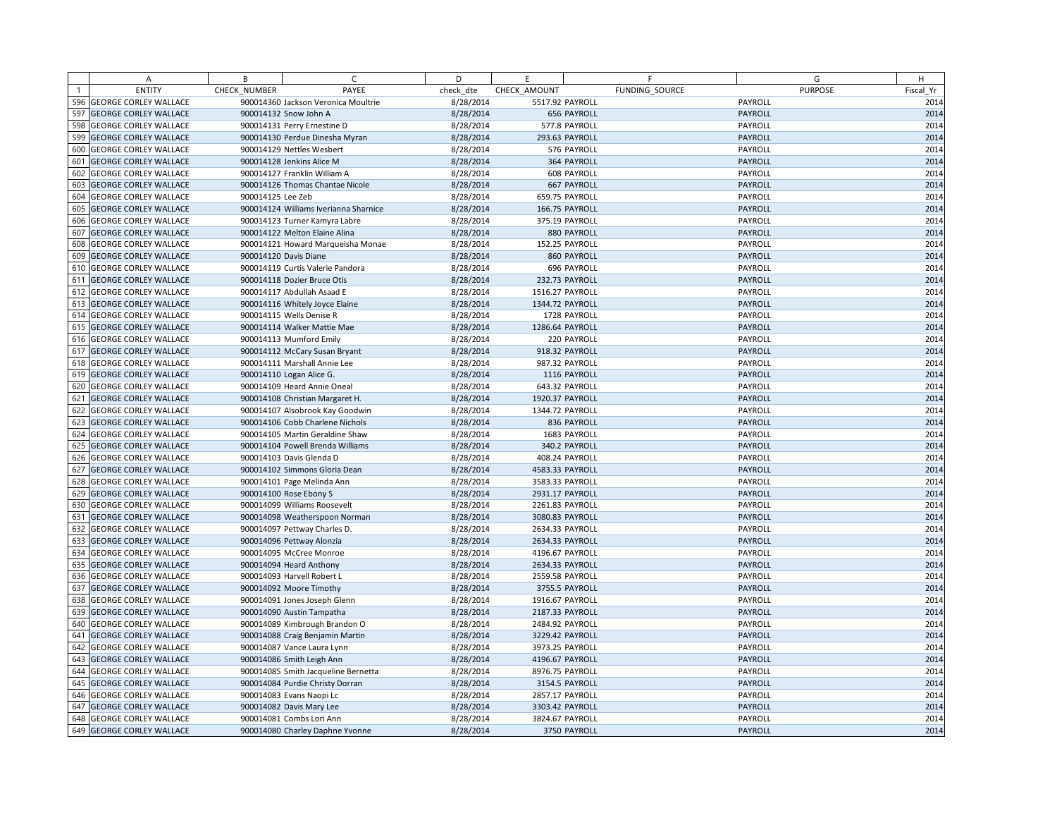|                | A                            | B                 | C                                     | D         | E.              |                    | F              | G              | H         |
|----------------|------------------------------|-------------------|---------------------------------------|-----------|-----------------|--------------------|----------------|----------------|-----------|
| $\overline{1}$ | <b>ENTITY</b>                | CHECK NUMBER      | PAYEE                                 | check dte | CHECK AMOUNT    |                    | FUNDING SOURCE | <b>PURPOSE</b> | Fiscal Yr |
| 596            | <b>GEORGE CORLEY WALLACE</b> |                   | 900014360 Jackson Veronica Moultrie   | 8/28/2014 | 5517.92 PAYROLL |                    |                | PAYROLL        | 2014      |
| 597            | <b>GEORGE CORLEY WALLACE</b> |                   | 900014132 Snow John A                 | 8/28/2014 |                 | 656 PAYROLL        |                | PAYROLL        | 2014      |
| 598            | <b>GEORGE CORLEY WALLACE</b> |                   | 900014131 Perry Ernestine D           | 8/28/2014 |                 | 577.8 PAYROLL      |                | PAYROLL        | 2014      |
| 599            | <b>GEORGE CORLEY WALLACE</b> |                   | 900014130 Perdue Dinesha Myran        | 8/28/2014 |                 | 293.63 PAYROLL     |                | PAYROLL        | 2014      |
| 600            | <b>GEORGE CORLEY WALLACE</b> |                   | 900014129 Nettles Wesbert             | 8/28/2014 |                 | 576 PAYROLL        |                | PAYROLL        | 2014      |
| 601            | <b>GEORGE CORLEY WALLACE</b> |                   | 900014128 Jenkins Alice M             | 8/28/2014 |                 | 364 PAYROLL        |                | PAYROLL        | 2014      |
| 602            | <b>GEORGE CORLEY WALLACE</b> |                   | 900014127 Franklin William A          | 8/28/2014 |                 | 608 PAYROLL        |                | PAYROLL        | 2014      |
| 603            | <b>GEORGE CORLEY WALLACE</b> |                   | 900014126 Thomas Chantae Nicole       | 8/28/2014 |                 | <b>667 PAYROLL</b> |                | PAYROLL        | 2014      |
| 604            | <b>GEORGE CORLEY WALLACE</b> | 900014125 Lee Zeb |                                       | 8/28/2014 |                 | 659.75 PAYROLL     |                | PAYROLL        | 2014      |
| 605            | <b>GEORGE CORLEY WALLACE</b> |                   | 900014124 Williams Iverianna Sharnice | 8/28/2014 |                 | 166.75 PAYROLL     |                | PAYROLL        | 2014      |
|                | 606 GEORGE CORLEY WALLACE    |                   | 900014123 Turner Kamyra Labre         | 8/28/2014 |                 | 375.19 PAYROLL     |                | PAYROLL        | 2014      |
| 607            | <b>GEORGE CORLEY WALLACE</b> |                   | 900014122 Melton Elaine Alina         | 8/28/2014 |                 | 880 PAYROLL        |                | PAYROLL        | 2014      |
| 608            | <b>GEORGE CORLEY WALLACE</b> |                   | 900014121 Howard Marqueisha Monae     | 8/28/2014 |                 | 152.25 PAYROLL     |                | PAYROLL        | 2014      |
| 609            | <b>GEORGE CORLEY WALLACE</b> |                   | 900014120 Davis Diane                 | 8/28/2014 |                 | 860 PAYROLL        |                | PAYROLL        | 2014      |
|                | 610 GEORGE CORLEY WALLACE    |                   | 900014119 Curtis Valerie Pandora      | 8/28/2014 |                 | 696 PAYROLL        |                | PAYROLL        | 2014      |
| 611            | <b>GEORGE CORLEY WALLACE</b> |                   | 900014118 Dozier Bruce Otis           | 8/28/2014 |                 | 232.73 PAYROLL     |                | PAYROLL        | 2014      |
| 612            | <b>GEORGE CORLEY WALLACE</b> |                   | 900014117 Abdullah Asaad E            | 8/28/2014 | 1516.27 PAYROLL |                    |                | PAYROLL        | 2014      |
| 613            | <b>GEORGE CORLEY WALLACE</b> |                   | 900014116 Whitely Joyce Elaine        | 8/28/2014 | 1344.72 PAYROLL |                    |                | PAYROLL        | 2014      |
| 614            | <b>GEORGE CORLEY WALLACE</b> |                   | 900014115 Wells Denise R              | 8/28/2014 |                 | 1728 PAYROLL       |                | PAYROLL        | 2014      |
| 615            | <b>GEORGE CORLEY WALLACE</b> |                   | 900014114 Walker Mattie Mae           | 8/28/2014 | 1286.64 PAYROLL |                    |                | PAYROLL        | 2014      |
|                | 616 GEORGE CORLEY WALLACE    |                   | 900014113 Mumford Emily               | 8/28/2014 |                 | 220 PAYROLL        |                | PAYROLL        | 2014      |
| 617            | <b>GEORGE CORLEY WALLACE</b> |                   | 900014112 McCary Susan Bryant         | 8/28/2014 |                 | 918.32 PAYROLL     |                | PAYROLL        | 2014      |
| 618            | <b>GEORGE CORLEY WALLACE</b> |                   | 900014111 Marshall Annie Lee          | 8/28/2014 |                 | 987.32 PAYROLL     |                | PAYROLL        | 2014      |
| 619            | <b>GEORGE CORLEY WALLACE</b> |                   | 900014110 Logan Alice G.              | 8/28/2014 |                 | 1116 PAYROLL       |                | PAYROLL        | 2014      |
| 620            | <b>GEORGE CORLEY WALLACE</b> |                   | 900014109 Heard Annie Oneal           | 8/28/2014 |                 | 643.32 PAYROLL     |                | PAYROLL        | 2014      |
| 621            | <b>GEORGE CORLEY WALLACE</b> |                   | 900014108 Christian Margaret H.       | 8/28/2014 | 1920.37 PAYROLL |                    |                | PAYROLL        | 2014      |
| 622            | <b>GEORGE CORLEY WALLACE</b> |                   | 900014107 Alsobrook Kay Goodwin       | 8/28/2014 | 1344.72 PAYROLL |                    |                | PAYROLL        | 2014      |
| 623            | <b>GEORGE CORLEY WALLACE</b> |                   | 900014106 Cobb Charlene Nichols       | 8/28/2014 |                 | 836 PAYROLL        |                | PAYROLL        | 2014      |
| 624            | <b>GEORGE CORLEY WALLACE</b> |                   | 900014105 Martin Geraldine Shaw       | 8/28/2014 |                 | 1683 PAYROLL       |                | PAYROLL        | 2014      |
| 625            | <b>GEORGE CORLEY WALLACE</b> |                   | 900014104 Powell Brenda Williams      | 8/28/2014 |                 | 340.2 PAYROLL      |                | PAYROLL        | 2014      |
|                | 626 GEORGE CORLEY WALLACE    |                   | 900014103 Davis Glenda D              | 8/28/2014 |                 | 408.24 PAYROLL     |                | PAYROLL        | 2014      |
| 627            | <b>GEORGE CORLEY WALLACE</b> |                   | 900014102 Simmons Gloria Dean         | 8/28/2014 | 4583.33 PAYROLL |                    |                | PAYROLL        | 2014      |
|                | 628 GEORGE CORLEY WALLACE    |                   | 900014101 Page Melinda Ann            | 8/28/2014 | 3583.33 PAYROLL |                    |                | PAYROLL        | 2014      |
| 629            | <b>GEORGE CORLEY WALLACE</b> |                   | 900014100 Rose Ebony S                | 8/28/2014 | 2931.17 PAYROLL |                    |                | PAYROLL        | 2014      |
| 630            | <b>GEORGE CORLEY WALLACE</b> |                   | 900014099 Williams Roosevelt          | 8/28/2014 | 2261.83 PAYROLL |                    |                | PAYROLL        | 2014      |
| 631            | <b>GEORGE CORLEY WALLACE</b> |                   | 900014098 Weatherspoon Norman         | 8/28/2014 | 3080.83 PAYROLL |                    |                | PAYROLL        | 2014      |
| 632            | <b>GEORGE CORLEY WALLACE</b> |                   | 900014097 Pettway Charles D.          | 8/28/2014 | 2634.33 PAYROLL |                    |                | PAYROLL        | 2014      |
| 633            | <b>GEORGE CORLEY WALLACE</b> |                   | 900014096 Pettway Alonzia             | 8/28/2014 | 2634.33 PAYROLL |                    |                | PAYROLL        | 2014      |
|                | 634 GEORGE CORLEY WALLACE    |                   | 900014095 McCree Monroe               | 8/28/2014 | 4196.67 PAYROLL |                    |                | PAYROLL        | 2014      |
| 635            | <b>GEORGE CORLEY WALLACE</b> |                   | 900014094 Heard Anthony               | 8/28/2014 | 2634.33 PAYROLL |                    |                | PAYROLL        | 2014      |
|                | 636 GEORGE CORLEY WALLACE    |                   | 900014093 Harvell Robert L            | 8/28/2014 | 2559.58 PAYROLL |                    |                | PAYROLL        | 2014      |
| 637            | <b>GEORGE CORLEY WALLACE</b> |                   | 900014092 Moore Timothy               | 8/28/2014 |                 | 3755.5 PAYROLL     |                | PAYROLL        | 2014      |
| 638            | <b>GEORGE CORLEY WALLACE</b> |                   | 900014091 Jones Joseph Glenn          | 8/28/2014 | 1916.67 PAYROLL |                    |                | PAYROLL        | 2014      |
| 639            | <b>GEORGE CORLEY WALLACE</b> |                   | 900014090 Austin Tampatha             | 8/28/2014 | 2187.33 PAYROLL |                    |                | PAYROLL        | 2014      |
|                | 640 GEORGE CORLEY WALLACE    |                   | 900014089 Kimbrough Brandon O         | 8/28/2014 | 2484.92 PAYROLL |                    |                | PAYROLL        | 2014      |
| 641            | <b>GEORGE CORLEY WALLACE</b> |                   | 900014088 Craig Benjamin Martin       | 8/28/2014 | 3229.42 PAYROLL |                    |                | PAYROLL        | 2014      |
| 642            | <b>GEORGE CORLEY WALLACE</b> |                   | 900014087 Vance Laura Lynn            | 8/28/2014 | 3973.25 PAYROLL |                    |                | PAYROLL        | 2014      |
| 643            | <b>GEORGE CORLEY WALLACE</b> |                   | 900014086 Smith Leigh Ann             | 8/28/2014 | 4196.67 PAYROLL |                    |                | PAYROLL        | 2014      |
| 644            | <b>GEORGE CORLEY WALLACE</b> |                   | 900014085 Smith Jacqueline Bernetta   | 8/28/2014 | 8976.75 PAYROLL |                    |                | PAYROLL        | 2014      |
| 645            | <b>GEORGE CORLEY WALLACE</b> |                   | 900014084 Purdie Christy Dorran       | 8/28/2014 |                 | 3154.5 PAYROLL     |                | PAYROLL        | 2014      |
|                | 646 GEORGE CORLEY WALLACE    |                   | 900014083 Evans Naopi Lc              | 8/28/2014 | 2857.17 PAYROLL |                    |                | PAYROLL        | 2014      |
| 647            | <b>GEORGE CORLEY WALLACE</b> |                   | 900014082 Davis Mary Lee              | 8/28/2014 | 3303.42 PAYROLL |                    |                | PAYROLL        | 2014      |
|                | 648 GEORGE CORLEY WALLACE    |                   | 900014081 Combs Lori Ann              | 8/28/2014 | 3824.67 PAYROLL |                    |                | PAYROLL        | 2014      |
|                | 649 GEORGE CORLEY WALLACE    |                   | 900014080 Charley Daphne Yvonne       | 8/28/2014 |                 | 3750 PAYROLL       |                | PAYROLL        | 2014      |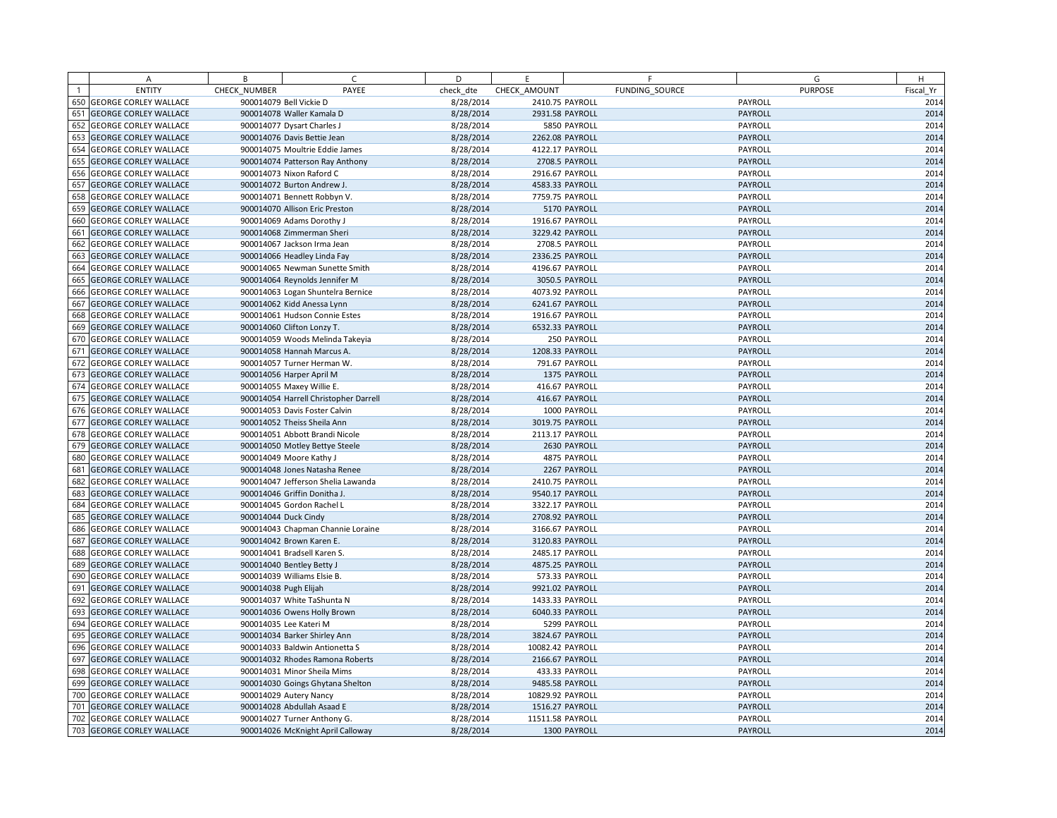|                | A                            | B            | C                                     | D         | E.               | F               | G              | H         |
|----------------|------------------------------|--------------|---------------------------------------|-----------|------------------|-----------------|----------------|-----------|
| $\overline{1}$ | <b>ENTITY</b>                | CHECK NUMBER | PAYEE                                 | check dte | CHECK AMOUNT     | FUNDING SOURCE  | <b>PURPOSE</b> | Fiscal Yr |
|                | 650 GEORGE CORLEY WALLACE    |              | 900014079 Bell Vickie D               | 8/28/2014 | 2410.75 PAYROLL  |                 | PAYROLL        | 2014      |
| 651            | <b>GEORGE CORLEY WALLACE</b> |              | 900014078 Waller Kamala D             | 8/28/2014 | 2931.58 PAYROLL  |                 | PAYROLL        | 2014      |
| 652            | <b>GEORGE CORLEY WALLACE</b> |              | 900014077 Dysart Charles J            | 8/28/2014 |                  | 5850 PAYROLL    | PAYROLL        | 2014      |
| 653            | <b>GEORGE CORLEY WALLACE</b> |              | 900014076 Davis Bettie Jean           | 8/28/2014 | 2262.08 PAYROLL  |                 | PAYROLL        | 2014      |
| 654            | <b>GEORGE CORLEY WALLACE</b> |              | 900014075 Moultrie Eddie James        | 8/28/2014 | 4122.17 PAYROLL  |                 | PAYROLL        | 2014      |
| 655            | <b>GEORGE CORLEY WALLACE</b> |              | 900014074 Patterson Ray Anthony       | 8/28/2014 |                  | 2708.5 PAYROLL  | PAYROLL        | 2014      |
| 656            | <b>GEORGE CORLEY WALLACE</b> |              | 900014073 Nixon Raford C              | 8/28/2014 | 2916.67 PAYROLL  |                 | PAYROLL        | 2014      |
| 657            | <b>GEORGE CORLEY WALLACE</b> |              | 900014072 Burton Andrew J.            | 8/28/2014 | 4583.33 PAYROLL  |                 | PAYROLL        | 2014      |
| 658            | <b>GEORGE CORLEY WALLACE</b> |              | 900014071 Bennett Robbyn V.           | 8/28/2014 |                  | 7759.75 PAYROLL | PAYROLL        | 2014      |
| 659            | <b>GEORGE CORLEY WALLACE</b> |              | 900014070 Allison Eric Preston        | 8/28/2014 |                  | 5170 PAYROLL    | PAYROLL        | 2014      |
| 660            | <b>GEORGE CORLEY WALLACE</b> |              | 900014069 Adams Dorothy J             | 8/28/2014 | 1916.67 PAYROLL  |                 | PAYROLL        | 2014      |
| 661            | <b>GEORGE CORLEY WALLACE</b> |              | 900014068 Zimmerman Sheri             | 8/28/2014 |                  | 3229.42 PAYROLL | PAYROLL        | 2014      |
| 662            | <b>GEORGE CORLEY WALLACE</b> |              | 900014067 Jackson Irma Jean           | 8/28/2014 |                  | 2708.5 PAYROLL  | PAYROLL        | 2014      |
| 663            | <b>GEORGE CORLEY WALLACE</b> |              | 900014066 Headley Linda Fay           | 8/28/2014 | 2336.25 PAYROLL  |                 | PAYROLL        | 2014      |
|                | 664 GEORGE CORLEY WALLACE    |              | 900014065 Newman Sunette Smith        | 8/28/2014 | 4196.67 PAYROLL  |                 | PAYROLL        | 2014      |
| 665            | <b>GEORGE CORLEY WALLACE</b> |              | 900014064 Reynolds Jennifer M         | 8/28/2014 |                  | 3050.5 PAYROLL  | PAYROLL        | 2014      |
| 666            | <b>GEORGE CORLEY WALLACE</b> |              | 900014063 Logan Shuntelra Bernice     | 8/28/2014 | 4073.92 PAYROLL  |                 | PAYROLL        | 2014      |
| 667            | <b>GEORGE CORLEY WALLACE</b> |              | 900014062 Kidd Anessa Lynn            | 8/28/2014 |                  | 6241.67 PAYROLL | PAYROLL        | 2014      |
| 668            | <b>GEORGE CORLEY WALLACE</b> |              | 900014061 Hudson Connie Estes         | 8/28/2014 | 1916.67 PAYROLL  |                 | PAYROLL        | 2014      |
| 669            | <b>GEORGE CORLEY WALLACE</b> |              | 900014060 Clifton Lonzy T.            | 8/28/2014 | 6532.33 PAYROLL  |                 | PAYROLL        | 2014      |
| 670            | <b>GEORGE CORLEY WALLACE</b> |              | 900014059 Woods Melinda Takeyia       | 8/28/2014 |                  | 250 PAYROLL     | PAYROLL        | 2014      |
| 671            | <b>GEORGE CORLEY WALLACE</b> |              | 900014058 Hannah Marcus A.            | 8/28/2014 | 1208.33 PAYROLL  |                 | PAYROLL        | 2014      |
| 672            | <b>GEORGE CORLEY WALLACE</b> |              | 900014057 Turner Herman W.            | 8/28/2014 |                  | 791.67 PAYROLL  | PAYROLL        | 2014      |
| 673            | <b>GEORGE CORLEY WALLACE</b> |              | 900014056 Harper April M              | 8/28/2014 |                  | 1375 PAYROLL    | PAYROLL        | 2014      |
| 674            | <b>GEORGE CORLEY WALLACE</b> |              | 900014055 Maxey Willie E.             | 8/28/2014 |                  | 416.67 PAYROLL  | PAYROLL        | 2014      |
| 675            | <b>GEORGE CORLEY WALLACE</b> |              | 900014054 Harrell Christopher Darrell | 8/28/2014 |                  | 416.67 PAYROLL  | PAYROLL        | 2014      |
|                | 676 GEORGE CORLEY WALLACE    |              | 900014053 Davis Foster Calvin         | 8/28/2014 |                  | 1000 PAYROLL    | PAYROLL        | 2014      |
| 677            | <b>GEORGE CORLEY WALLACE</b> |              | 900014052 Theiss Sheila Ann           | 8/28/2014 | 3019.75 PAYROLL  |                 | PAYROLL        | 2014      |
| 678            | <b>GEORGE CORLEY WALLACE</b> |              | 900014051 Abbott Brandi Nicole        | 8/28/2014 | 2113.17 PAYROLL  |                 | PAYROLL        | 2014      |
| 679            | <b>GEORGE CORLEY WALLACE</b> |              | 900014050 Motley Bettye Steele        | 8/28/2014 |                  | 2630 PAYROLL    | PAYROLL        | 2014      |
| 680            | <b>GEORGE CORLEY WALLACE</b> |              | 900014049 Moore Kathy J               | 8/28/2014 |                  | 4875 PAYROLL    | PAYROLL        | 2014      |
| 681            | <b>GEORGE CORLEY WALLACE</b> |              | 900014048 Jones Natasha Renee         | 8/28/2014 |                  | 2267 PAYROLL    | PAYROLL        | 2014      |
|                | 682 GEORGE CORLEY WALLACE    |              | 900014047 Jefferson Shelia Lawanda    | 8/28/2014 | 2410.75 PAYROLL  |                 | PAYROLL        | 2014      |
| 683            | <b>GEORGE CORLEY WALLACE</b> |              | 900014046 Griffin Donitha J.          | 8/28/2014 | 9540.17 PAYROLL  |                 | PAYROLL        | 2014      |
| 684            | <b>GEORGE CORLEY WALLACE</b> |              | 900014045 Gordon Rachel L             | 8/28/2014 | 3322.17 PAYROLL  |                 | PAYROLL        | 2014      |
| 685            | <b>GEORGE CORLEY WALLACE</b> |              | 900014044 Duck Cindy                  | 8/28/2014 |                  | 2708.92 PAYROLL | PAYROLL        | 2014      |
| 686            | <b>GEORGE CORLEY WALLACE</b> |              | 900014043 Chapman Channie Loraine     | 8/28/2014 | 3166.67 PAYROLL  |                 | PAYROLL        | 2014      |
| 687            | <b>GEORGE CORLEY WALLACE</b> |              | 900014042 Brown Karen E.              | 8/28/2014 | 3120.83 PAYROLL  |                 | PAYROLL        | 2014      |
|                | 688 GEORGE CORLEY WALLACE    |              | 900014041 Bradsell Karen S.           | 8/28/2014 | 2485.17 PAYROLL  |                 | PAYROLL        | 2014      |
| 689            | <b>GEORGE CORLEY WALLACE</b> |              | 900014040 Bentley Betty J             | 8/28/2014 | 4875.25 PAYROLL  |                 | PAYROLL        | 2014      |
| 690            | <b>GEORGE CORLEY WALLACE</b> |              | 900014039 Williams Elsie B.           | 8/28/2014 |                  | 573.33 PAYROLL  | PAYROLL        | 2014      |
| 691            | <b>GEORGE CORLEY WALLACE</b> |              | 900014038 Pugh Elijah                 | 8/28/2014 |                  | 9921.02 PAYROLL | PAYROLL        | 2014      |
| 692            | <b>GEORGE CORLEY WALLACE</b> |              | 900014037 White TaShunta N            | 8/28/2014 | 1433.33 PAYROLL  |                 | PAYROLL        | 2014      |
| 693            | <b>GEORGE CORLEY WALLACE</b> |              | 900014036 Owens Holly Brown           | 8/28/2014 | 6040.33 PAYROLL  |                 | PAYROLL        | 2014      |
| 694            | <b>GEORGE CORLEY WALLACE</b> |              | 900014035 Lee Kateri M                | 8/28/2014 |                  | 5299 PAYROLL    | PAYROLL        | 2014      |
| 695            | <b>GEORGE CORLEY WALLACE</b> |              | 900014034 Barker Shirley Ann          | 8/28/2014 |                  | 3824.67 PAYROLL | PAYROLL        | 2014      |
| 696            | <b>GEORGE CORLEY WALLACE</b> |              | 900014033 Baldwin Antionetta S        | 8/28/2014 | 10082.42 PAYROLL |                 | PAYROLL        | 2014      |
| 697            | <b>GEORGE CORLEY WALLACE</b> |              | 900014032 Rhodes Ramona Roberts       | 8/28/2014 |                  | 2166.67 PAYROLL | PAYROLL        | 2014      |
| 698            | <b>GEORGE CORLEY WALLACE</b> |              | 900014031 Minor Sheila Mims           | 8/28/2014 |                  | 433.33 PAYROLL  | PAYROLL        | 2014      |
| 699            | <b>GEORGE CORLEY WALLACE</b> |              | 900014030 Goings Ghytana Shelton      | 8/28/2014 | 9485.58 PAYROLL  |                 | PAYROLL        | 2014      |
|                | 700 GEORGE CORLEY WALLACE    |              | 900014029 Autery Nancy                | 8/28/2014 | 10829.92 PAYROLL |                 | PAYROLL        | 2014      |
| 701            | <b>GEORGE CORLEY WALLACE</b> |              | 900014028 Abdullah Asaad E            | 8/28/2014 | 1516.27 PAYROLL  |                 | PAYROLL        | 2014      |
| 702            | <b>GEORGE CORLEY WALLACE</b> |              | 900014027 Turner Anthony G.           | 8/28/2014 | 11511.58 PAYROLL |                 | PAYROLL        | 2014      |
|                | 703 GEORGE CORLEY WALLACE    |              | 900014026 McKnight April Calloway     | 8/28/2014 |                  | 1300 PAYROLL    | PAYROLL        | 2014      |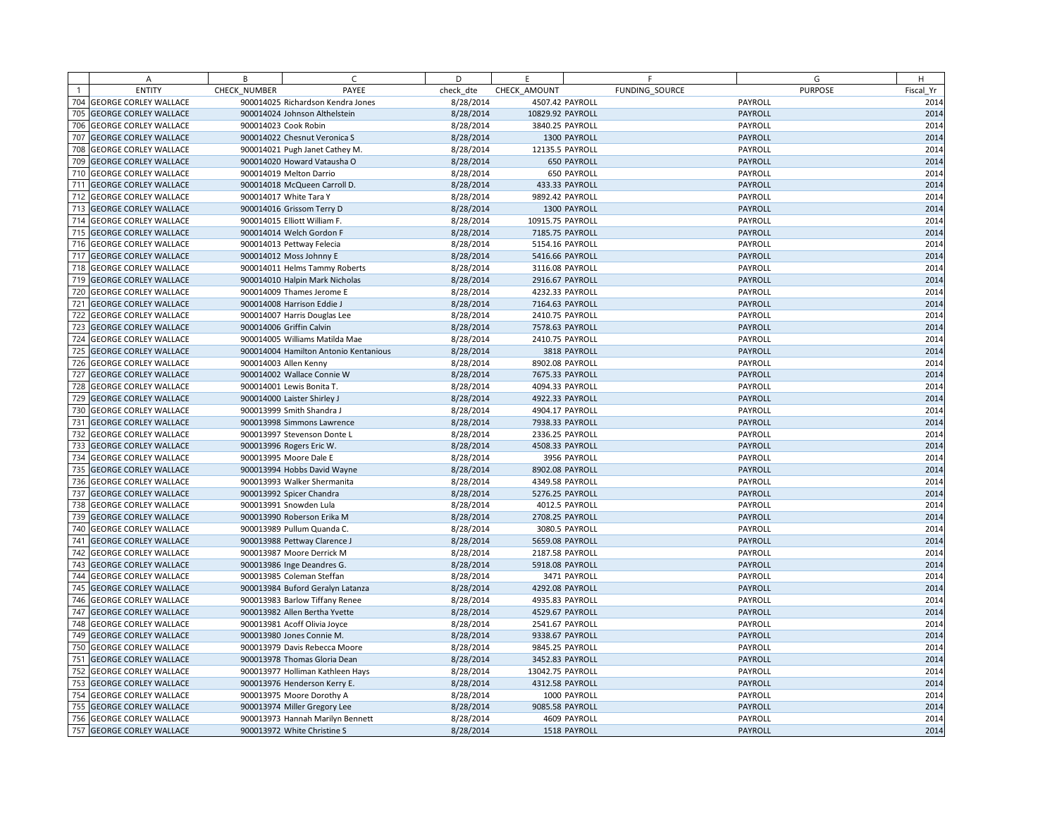|     | A                            | B            | $\subset$                             | D         | E                |                | F              | G              | H         |
|-----|------------------------------|--------------|---------------------------------------|-----------|------------------|----------------|----------------|----------------|-----------|
|     | <b>ENTITY</b>                | CHECK NUMBER | PAYEE                                 | check dte | CHECK AMOUNT     |                | FUNDING SOURCE | <b>PURPOSE</b> | Fiscal Yr |
| 704 | <b>GEORGE CORLEY WALLACE</b> |              | 900014025 Richardson Kendra Jones     | 8/28/2014 | 4507.42 PAYROLL  |                |                | PAYROLL        | 2014      |
| 705 | <b>GEORGE CORLEY WALLACE</b> |              | 900014024 Johnson Althelstein         | 8/28/2014 | 10829.92 PAYROLL |                |                | PAYROLL        | 2014      |
| 706 | <b>GEORGE CORLEY WALLACE</b> |              | 900014023 Cook Robin                  | 8/28/2014 | 3840.25 PAYROLL  |                |                | PAYROLL        | 2014      |
| 707 | <b>GEORGE CORLEY WALLACE</b> |              | 900014022 Chesnut Veronica S          | 8/28/2014 |                  | 1300 PAYROLL   |                | PAYROLL        | 2014      |
| 708 | <b>GEORGE CORLEY WALLACE</b> |              | 900014021 Pugh Janet Cathey M.        | 8/28/2014 | 12135.5 PAYROLL  |                |                | PAYROLL        | 2014      |
| 709 | <b>GEORGE CORLEY WALLACE</b> |              | 900014020 Howard Vatausha O           | 8/28/2014 |                  | 650 PAYROLL    |                | PAYROLL        | 2014      |
| 710 | <b>GEORGE CORLEY WALLACE</b> |              | 900014019 Melton Darrio               | 8/28/2014 |                  | 650 PAYROLL    |                | PAYROLL        | 2014      |
| 711 | <b>GEORGE CORLEY WALLACE</b> |              | 900014018 McQueen Carroll D.          | 8/28/2014 |                  | 433.33 PAYROLL |                | PAYROLL        | 2014      |
| 712 | <b>GEORGE CORLEY WALLACE</b> |              | 900014017 White Tara Y                | 8/28/2014 | 9892.42 PAYROLL  |                |                | PAYROLL        | 2014      |
| 713 | <b>GEORGE CORLEY WALLACE</b> |              | 900014016 Grissom Terry D             | 8/28/2014 |                  | 1300 PAYROLL   |                | PAYROLL        | 2014      |
| 714 | <b>GEORGE CORLEY WALLACE</b> |              | 900014015 Elliott William F.          | 8/28/2014 | 10915.75 PAYROLL |                |                | PAYROLL        | 2014      |
| 715 | <b>GEORGE CORLEY WALLACE</b> |              | 900014014 Welch Gordon F              | 8/28/2014 | 7185.75 PAYROLL  |                |                | PAYROLL        | 2014      |
| 716 | <b>GEORGE CORLEY WALLACE</b> |              | 900014013 Pettway Felecia             | 8/28/2014 | 5154.16 PAYROLL  |                |                | PAYROLL        | 2014      |
| 717 | <b>GEORGE CORLEY WALLACE</b> |              | 900014012 Moss Johnny E               | 8/28/2014 | 5416.66 PAYROLL  |                |                | PAYROLL        | 2014      |
| 718 | <b>GEORGE CORLEY WALLACE</b> |              | 900014011 Helms Tammy Roberts         | 8/28/2014 | 3116.08 PAYROLL  |                |                | PAYROLL        | 2014      |
| 719 | <b>GEORGE CORLEY WALLACE</b> |              | 900014010 Halpin Mark Nicholas        | 8/28/2014 | 2916.67 PAYROLL  |                |                | PAYROLL        | 2014      |
| 720 | <b>GEORGE CORLEY WALLACE</b> |              | 900014009 Thames Jerome E             | 8/28/2014 | 4232.33 PAYROLL  |                |                | PAYROLL        | 2014      |
| 721 | <b>GEORGE CORLEY WALLACE</b> |              | 900014008 Harrison Eddie J            | 8/28/2014 | 7164.63 PAYROLL  |                |                | PAYROLL        | 2014      |
| 722 | <b>GEORGE CORLEY WALLACE</b> |              | 900014007 Harris Douglas Lee          | 8/28/2014 | 2410.75 PAYROLL  |                |                | PAYROLL        | 2014      |
| 723 | <b>GEORGE CORLEY WALLACE</b> |              | 900014006 Griffin Calvin              | 8/28/2014 | 7578.63 PAYROLL  |                |                | PAYROLL        | 2014      |
| 724 | <b>GEORGE CORLEY WALLACE</b> |              | 900014005 Williams Matilda Mae        | 8/28/2014 | 2410.75 PAYROLL  |                |                | PAYROLL        | 2014      |
| 725 | <b>GEORGE CORLEY WALLACE</b> |              | 900014004 Hamilton Antonio Kentanious | 8/28/2014 |                  | 3818 PAYROLL   |                | PAYROLL        | 2014      |
| 726 | <b>GEORGE CORLEY WALLACE</b> |              | 900014003 Allen Kenny                 | 8/28/2014 | 8902.08 PAYROLL  |                |                | PAYROLL        | 2014      |
| 727 | <b>GEORGE CORLEY WALLACE</b> |              | 900014002 Wallace Connie W            | 8/28/2014 | 7675.33 PAYROLL  |                |                | PAYROLL        | 2014      |
| 728 | <b>GEORGE CORLEY WALLACE</b> |              | 900014001 Lewis Bonita T.             | 8/28/2014 | 4094.33 PAYROLL  |                |                | PAYROLL        | 2014      |
| 729 | <b>GEORGE CORLEY WALLACE</b> |              | 900014000 Laister Shirley J           | 8/28/2014 | 4922.33 PAYROLL  |                |                | PAYROLL        | 2014      |
| 730 | <b>GEORGE CORLEY WALLACE</b> |              | 900013999 Smith Shandra J             | 8/28/2014 | 4904.17 PAYROLL  |                |                | PAYROLL        | 2014      |
|     | 731 GEORGE CORLEY WALLACE    |              | 900013998 Simmons Lawrence            | 8/28/2014 | 7938.33 PAYROLL  |                |                | PAYROLL        | 2014      |
| 732 | <b>GEORGE CORLEY WALLACE</b> |              | 900013997 Stevenson Donte L           | 8/28/2014 | 2336.25 PAYROLL  |                |                | PAYROLL        | 2014      |
| 733 | <b>GEORGE CORLEY WALLACE</b> |              | 900013996 Rogers Eric W.              | 8/28/2014 | 4508.33 PAYROLL  |                |                | PAYROLL        | 2014      |
|     | 734 GEORGE CORLEY WALLACE    |              | 900013995 Moore Dale E                | 8/28/2014 |                  | 3956 PAYROLL   |                | PAYROLL        | 2014      |
| 735 | <b>GEORGE CORLEY WALLACE</b> |              | 900013994 Hobbs David Wayne           | 8/28/2014 | 8902.08 PAYROLL  |                |                | PAYROLL        | 2014      |
| 736 | <b>GEORGE CORLEY WALLACE</b> |              | 900013993 Walker Shermanita           | 8/28/2014 | 4349.58 PAYROLL  |                |                | PAYROLL        | 2014      |
| 737 | <b>GEORGE CORLEY WALLACE</b> |              | 900013992 Spicer Chandra              | 8/28/2014 | 5276.25 PAYROLL  |                |                | PAYROLL        | 2014      |
| 738 | <b>GEORGE CORLEY WALLACE</b> |              | 900013991 Snowden Lula                | 8/28/2014 |                  | 4012.5 PAYROLL |                | PAYROLL        | 2014      |
| 739 | <b>GEORGE CORLEY WALLACE</b> |              | 900013990 Roberson Erika M            | 8/28/2014 | 2708.25 PAYROLL  |                |                | PAYROLL        | 2014      |
| 740 | <b>GEORGE CORLEY WALLACE</b> |              | 900013989 Pullum Quanda C.            | 8/28/2014 |                  | 3080.5 PAYROLL |                | PAYROLL        | 2014      |
| 741 | <b>GEORGE CORLEY WALLACE</b> |              | 900013988 Pettway Clarence J          | 8/28/2014 | 5659.08 PAYROLL  |                |                | PAYROLL        | 2014      |
| 742 | <b>GEORGE CORLEY WALLACE</b> |              | 900013987 Moore Derrick M             | 8/28/2014 | 2187.58 PAYROLL  |                |                | PAYROLL        | 2014      |
| 743 | <b>GEORGE CORLEY WALLACE</b> |              | 900013986 Inge Deandres G.            | 8/28/2014 | 5918.08 PAYROLL  |                |                | PAYROLL        | 2014      |
|     | 744 GEORGE CORLEY WALLACE    |              | 900013985 Coleman Steffan             | 8/28/2014 |                  | 3471 PAYROLL   |                | PAYROLL        | 2014      |
| 745 | <b>GEORGE CORLEY WALLACE</b> |              | 900013984 Buford Geralyn Latanza      | 8/28/2014 | 4292.08 PAYROLL  |                |                | PAYROLL        | 2014      |
| 746 | <b>GEORGE CORLEY WALLACE</b> |              | 900013983 Barlow Tiffany Renee        | 8/28/2014 | 4935.83 PAYROLL  |                |                | PAYROLL        | 2014      |
| 747 | <b>GEORGE CORLEY WALLACE</b> |              | 900013982 Allen Bertha Yvette         | 8/28/2014 | 4529.67 PAYROLL  |                |                | PAYROLL        | 2014      |
| 748 | <b>GEORGE CORLEY WALLACE</b> |              | 900013981 Acoff Olivia Joyce          | 8/28/2014 | 2541.67 PAYROLL  |                |                | PAYROLL        | 2014      |
| 749 | <b>GEORGE CORLEY WALLACE</b> |              | 900013980 Jones Connie M.             | 8/28/2014 | 9338.67 PAYROLL  |                |                | PAYROLL        | 2014      |
| 750 | <b>GEORGE CORLEY WALLACE</b> |              | 900013979 Davis Rebecca Moore         | 8/28/2014 | 9845.25 PAYROLL  |                |                | PAYROLL        | 2014      |
| 751 | <b>GEORGE CORLEY WALLACE</b> |              | 900013978 Thomas Gloria Dean          | 8/28/2014 | 3452.83 PAYROLL  |                |                | PAYROLL        | 2014      |
| 752 | <b>GEORGE CORLEY WALLACE</b> |              | 900013977 Holliman Kathleen Hays      | 8/28/2014 | 13042.75 PAYROLL |                |                | PAYROLL        | 2014      |
| 753 | <b>GEORGE CORLEY WALLACE</b> |              | 900013976 Henderson Kerry E.          | 8/28/2014 | 4312.58 PAYROLL  |                |                | PAYROLL        | 2014      |
| 754 | <b>GEORGE CORLEY WALLACE</b> |              | 900013975 Moore Dorothy A             | 8/28/2014 |                  | 1000 PAYROLL   |                | PAYROLL        | 2014      |
| 755 | <b>GEORGE CORLEY WALLACE</b> |              | 900013974 Miller Gregory Lee          | 8/28/2014 | 9085.58 PAYROLL  |                |                | PAYROLL        | 2014      |
|     | 756 GEORGE CORLEY WALLACE    |              | 900013973 Hannah Marilyn Bennett      | 8/28/2014 |                  | 4609 PAYROLL   |                | PAYROLL        | 2014      |
|     | 757 GEORGE CORLEY WALLACE    |              | 900013972 White Christine S           | 8/28/2014 |                  | 1518 PAYROLL   |                | PAYROLL        | 2014      |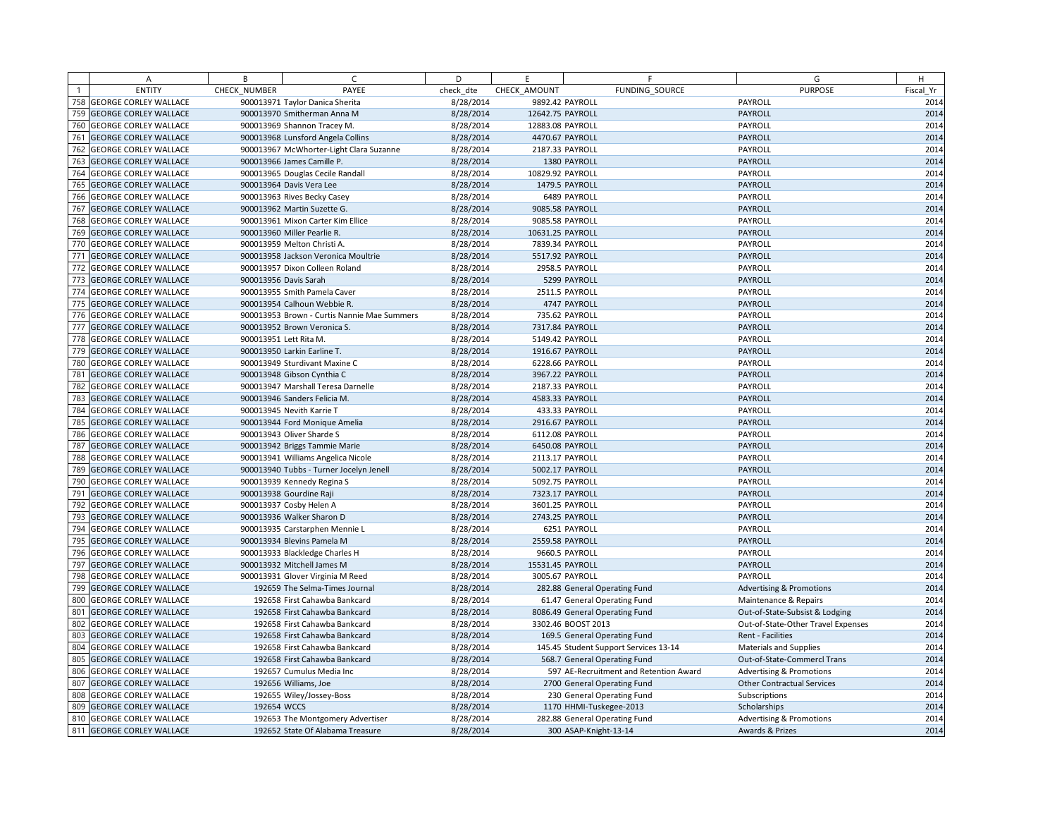|                | A                            | B            | C                                           | D         | E.               | F                                      | G                                   | H         |
|----------------|------------------------------|--------------|---------------------------------------------|-----------|------------------|----------------------------------------|-------------------------------------|-----------|
| $\overline{1}$ | <b>ENTITY</b>                | CHECK NUMBER | PAYEE                                       | check dte | CHECK AMOUNT     | FUNDING SOURCE                         | <b>PURPOSE</b>                      | Fiscal Yr |
| 758            | <b>GEORGE CORLEY WALLACE</b> |              | 900013971 Taylor Danica Sherita             | 8/28/2014 |                  | 9892.42 PAYROLL                        | PAYROLL                             | 2014      |
| 759            | <b>GEORGE CORLEY WALLACE</b> |              | 900013970 Smitherman Anna M                 | 8/28/2014 | 12642.75 PAYROLL |                                        | PAYROLL                             | 2014      |
| 760            | <b>GEORGE CORLEY WALLACE</b> |              | 900013969 Shannon Tracey M.                 | 8/28/2014 | 12883.08 PAYROLL |                                        | PAYROLL                             | 2014      |
| 761            | <b>GEORGE CORLEY WALLACE</b> |              | 900013968 Lunsford Angela Collins           | 8/28/2014 |                  | 4470.67 PAYROLL                        | PAYROLL                             | 2014      |
| 762            | <b>GEORGE CORLEY WALLACE</b> |              | 900013967 McWhorter-Light Clara Suzanne     | 8/28/2014 | 2187.33 PAYROLL  |                                        | PAYROLL                             | 2014      |
| 763            | <b>GEORGE CORLEY WALLACE</b> |              | 900013966 James Camille P.                  | 8/28/2014 |                  | 1380 PAYROLL                           | PAYROLL                             | 2014      |
| 764            | <b>GEORGE CORLEY WALLACE</b> |              | 900013965 Douglas Cecile Randall            | 8/28/2014 | 10829.92 PAYROLL |                                        | PAYROLL                             | 2014      |
| 765            | <b>GEORGE CORLEY WALLACE</b> |              | 900013964 Davis Vera Lee                    | 8/28/2014 |                  | 1479.5 PAYROLL                         | PAYROLL                             | 2014      |
| 766            | <b>GEORGE CORLEY WALLACE</b> |              | 900013963 Rives Becky Casey                 | 8/28/2014 |                  | 6489 PAYROLL                           | PAYROLL                             | 2014      |
| 767            | <b>GEORGE CORLEY WALLACE</b> |              | 900013962 Martin Suzette G.                 | 8/28/2014 |                  | 9085.58 PAYROLL                        | PAYROLL                             | 2014      |
| 768            | <b>GEORGE CORLEY WALLACE</b> |              | 900013961 Mixon Carter Kim Ellice           | 8/28/2014 | 9085.58 PAYROLL  |                                        | PAYROLL                             | 2014      |
| 769            | <b>GEORGE CORLEY WALLACE</b> |              | 900013960 Miller Pearlie R.                 | 8/28/2014 | 10631.25 PAYROLL |                                        | PAYROLL                             | 2014      |
| 770            | <b>GEORGE CORLEY WALLACE</b> |              | 900013959 Melton Christi A.                 | 8/28/2014 | 7839.34 PAYROLL  |                                        | PAYROLL                             | 2014      |
| 771            | <b>GEORGE CORLEY WALLACE</b> |              | 900013958 Jackson Veronica Moultrie         | 8/28/2014 |                  | 5517.92 PAYROLL                        | PAYROLL                             | 2014      |
| 772            | <b>GEORGE CORLEY WALLACE</b> |              | 900013957 Dixon Colleen Roland              | 8/28/2014 |                  | 2958.5 PAYROLL                         | PAYROLL                             | 2014      |
| 773            | <b>GEORGE CORLEY WALLACE</b> |              | 900013956 Davis Sarah                       | 8/28/2014 |                  | 5299 PAYROLL                           | PAYROLL                             | 2014      |
| 774            | <b>GEORGE CORLEY WALLACE</b> |              | 900013955 Smith Pamela Caver                | 8/28/2014 |                  | 2511.5 PAYROLL                         | PAYROLL                             | 2014      |
| 775            | <b>GEORGE CORLEY WALLACE</b> |              | 900013954 Calhoun Webbie R.                 | 8/28/2014 |                  | 4747 PAYROLL                           | PAYROLL                             | 2014      |
| 776            | <b>GEORGE CORLEY WALLACE</b> |              | 900013953 Brown - Curtis Nannie Mae Summers | 8/28/2014 |                  | 735.62 PAYROLL                         | PAYROLL                             | 2014      |
| 777            | <b>GEORGE CORLEY WALLACE</b> |              | 900013952 Brown Veronica S.                 | 8/28/2014 |                  | 7317.84 PAYROLL                        | <b>PAYROLL</b>                      | 2014      |
| 778            | <b>GEORGE CORLEY WALLACE</b> |              | 900013951 Lett Rita M.                      | 8/28/2014 |                  | 5149.42 PAYROLL                        | PAYROLL                             | 2014      |
| 779            | <b>GEORGE CORLEY WALLACE</b> |              | 900013950 Larkin Earline T.                 | 8/28/2014 |                  | 1916.67 PAYROLL                        | PAYROLL                             | 2014      |
| 780            | <b>GEORGE CORLEY WALLACE</b> |              | 900013949 Sturdivant Maxine C               | 8/28/2014 |                  | 6228.66 PAYROLL                        | PAYROLL                             | 2014      |
| 781            | <b>GEORGE CORLEY WALLACE</b> |              | 900013948 Gibson Cynthia C                  | 8/28/2014 |                  | 3967.22 PAYROLL                        | PAYROLL                             | 2014      |
| 782            | <b>GEORGE CORLEY WALLACE</b> |              | 900013947 Marshall Teresa Darnelle          | 8/28/2014 |                  | 2187.33 PAYROLL                        | PAYROLL                             | 2014      |
| 783            | <b>GEORGE CORLEY WALLACE</b> |              | 900013946 Sanders Felicia M.                | 8/28/2014 |                  | 4583.33 PAYROLL                        | PAYROLL                             | 2014      |
|                | 784 GEORGE CORLEY WALLACE    |              | 900013945 Nevith Karrie T                   | 8/28/2014 |                  | 433.33 PAYROLL                         | PAYROLL                             | 2014      |
| 785            | <b>GEORGE CORLEY WALLACE</b> |              | 900013944 Ford Monique Amelia               | 8/28/2014 |                  | 2916.67 PAYROLL                        | PAYROLL                             | 2014      |
| 786            | <b>GEORGE CORLEY WALLACE</b> |              | 900013943 Oliver Sharde S                   | 8/28/2014 |                  | 6112.08 PAYROLL                        | PAYROLL                             | 2014      |
| 787            | <b>GEORGE CORLEY WALLACE</b> |              | 900013942 Briggs Tammie Marie               | 8/28/2014 |                  | 6450.08 PAYROLL                        | PAYROLL                             | 2014      |
| 788            | <b>GEORGE CORLEY WALLACE</b> |              | 900013941 Williams Angelica Nicole          | 8/28/2014 | 2113.17 PAYROLL  |                                        | PAYROLL                             | 2014      |
| 789            | <b>GEORGE CORLEY WALLACE</b> |              | 900013940 Tubbs - Turner Jocelyn Jenell     | 8/28/2014 |                  | 5002.17 PAYROLL                        | PAYROLL                             | 2014      |
|                | 790 GEORGE CORLEY WALLACE    |              | 900013939 Kennedy Regina S                  | 8/28/2014 |                  | 5092.75 PAYROLL                        | PAYROLL                             | 2014      |
| 791            | <b>GEORGE CORLEY WALLACE</b> |              | 900013938 Gourdine Raji                     | 8/28/2014 |                  | 7323.17 PAYROLL                        | PAYROLL                             | 2014      |
| 792            | <b>GEORGE CORLEY WALLACE</b> |              | 900013937 Cosby Helen A                     | 8/28/2014 | 3601.25 PAYROLL  |                                        | PAYROLL                             | 2014      |
| 793            | <b>GEORGE CORLEY WALLACE</b> |              | 900013936 Walker Sharon D                   | 8/28/2014 |                  | 2743.25 PAYROLL                        | PAYROLL                             | 2014      |
| 794            | <b>GEORGE CORLEY WALLACE</b> |              | 900013935 Carstarphen Mennie L              | 8/28/2014 |                  | 6251 PAYROLL                           | PAYROLL                             | 2014      |
| 795            | <b>GEORGE CORLEY WALLACE</b> |              | 900013934 Blevins Pamela M                  | 8/28/2014 |                  | 2559.58 PAYROLL                        | PAYROLL                             | 2014      |
| 796            | <b>GEORGE CORLEY WALLACE</b> |              | 900013933 Blackledge Charles H              | 8/28/2014 |                  | 9660.5 PAYROLL                         | PAYROLL                             | 2014      |
| 797            | <b>GEORGE CORLEY WALLACE</b> |              | 900013932 Mitchell James M                  | 8/28/2014 | 15531.45 PAYROLL |                                        | PAYROLL                             | 2014      |
| 798            | <b>GEORGE CORLEY WALLACE</b> |              | 900013931 Glover Virginia M Reed            | 8/28/2014 |                  | 3005.67 PAYROLL                        | PAYROLL                             | 2014      |
| 799            | <b>GEORGE CORLEY WALLACE</b> |              | 192659 The Selma-Times Journal              | 8/28/2014 |                  | 282.88 General Operating Fund          | <b>Advertising &amp; Promotions</b> | 2014      |
| 800            | <b>GEORGE CORLEY WALLACE</b> |              | 192658 First Cahawba Bankcard               | 8/28/2014 |                  | 61.47 General Operating Fund           | Maintenance & Repairs               | 2014      |
| 801            | <b>GEORGE CORLEY WALLACE</b> |              | 192658 First Cahawba Bankcard               | 8/28/2014 |                  | 8086.49 General Operating Fund         | Out-of-State-Subsist & Lodging      | 2014      |
|                | 802 GEORGE CORLEY WALLACE    |              | 192658 First Cahawba Bankcard               | 8/28/2014 |                  | 3302.46 BOOST 2013                     | Out-of-State-Other Travel Expenses  | 2014      |
| 803            | <b>GEORGE CORLEY WALLACE</b> |              | 192658 First Cahawba Bankcard               | 8/28/2014 |                  | 169.5 General Operating Fund           | Rent - Facilities                   | 2014      |
|                | 804 GEORGE CORLEY WALLACE    |              | 192658 First Cahawba Bankcard               | 8/28/2014 |                  | 145.45 Student Support Services 13-14  | <b>Materials and Supplies</b>       | 2014      |
| 805            | <b>GEORGE CORLEY WALLACE</b> |              | 192658 First Cahawba Bankcard               | 8/28/2014 |                  | 568.7 General Operating Fund           | Out-of-State-Commercl Trans         | 2014      |
| 806            | <b>GEORGE CORLEY WALLACE</b> |              | 192657 Cumulus Media Inc                    | 8/28/2014 |                  | 597 AE-Recruitment and Retention Award | <b>Advertising &amp; Promotions</b> | 2014      |
| 807            | <b>GEORGE CORLEY WALLACE</b> |              | 192656 Williams, Joe                        | 8/28/2014 |                  | 2700 General Operating Fund            | <b>Other Contractual Services</b>   | 2014      |
|                | 808 GEORGE CORLEY WALLACE    |              | 192655 Wiley/Jossey-Boss                    | 8/28/2014 |                  | 230 General Operating Fund             | Subscriptions                       | 2014      |
| 809            | <b>GEORGE CORLEY WALLACE</b> | 192654 WCCS  |                                             | 8/28/2014 |                  | 1170 HHMI-Tuskegee-2013                | Scholarships                        | 2014      |
|                | 810 GEORGE CORLEY WALLACE    |              | 192653 The Montgomery Advertiser            | 8/28/2014 |                  | 282.88 General Operating Fund          | <b>Advertising &amp; Promotions</b> | 2014      |
|                | 811 GEORGE CORLEY WALLACE    |              | 192652 State Of Alabama Treasure            | 8/28/2014 |                  | 300 ASAP-Knight-13-14                  | Awards & Prizes                     | 2014      |
|                |                              |              |                                             |           |                  |                                        |                                     |           |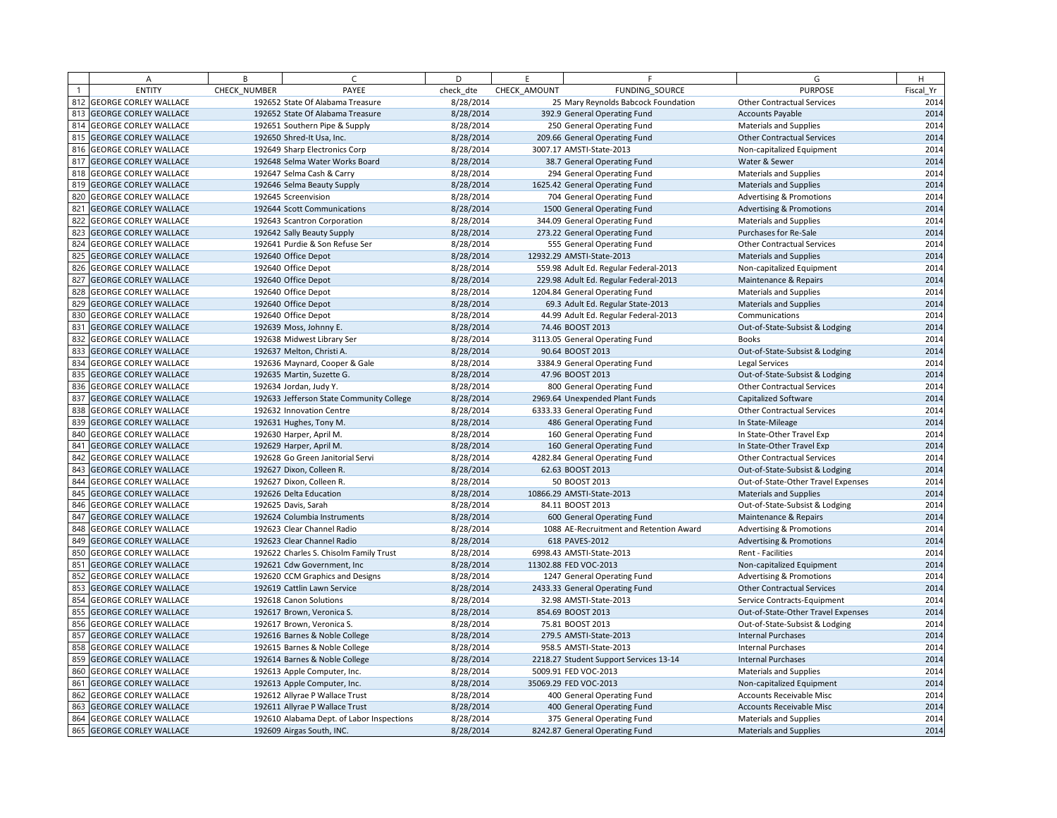|     | Α                            | B            | $\sqrt{ }$                                | D         | E            | F                                       | G                                   | H         |
|-----|------------------------------|--------------|-------------------------------------------|-----------|--------------|-----------------------------------------|-------------------------------------|-----------|
|     | <b>ENTITY</b>                | CHECK_NUMBER | PAYEE                                     | check dte | CHECK AMOUNT | FUNDING SOURCE                          | <b>PURPOSE</b>                      | Fiscal Yr |
|     | 812 GEORGE CORLEY WALLACE    |              | 192652 State Of Alabama Treasure          | 8/28/2014 |              | 25 Mary Reynolds Babcock Foundation     | <b>Other Contractual Services</b>   | 2014      |
|     | 813 GEORGE CORLEY WALLACE    |              | 192652 State Of Alabama Treasure          | 8/28/2014 |              | 392.9 General Operating Fund            | <b>Accounts Payable</b>             | 2014      |
|     | 814 GEORGE CORLEY WALLACE    |              | 192651 Southern Pipe & Supply             | 8/28/2014 |              | 250 General Operating Fund              | Materials and Supplies              | 2014      |
| 815 | <b>GEORGE CORLEY WALLACE</b> |              | 192650 Shred-It Usa, Inc.                 | 8/28/2014 |              | 209.66 General Operating Fund           | <b>Other Contractual Services</b>   | 2014      |
|     | 816 GEORGE CORLEY WALLACE    |              | 192649 Sharp Electronics Corp             | 8/28/2014 |              | 3007.17 AMSTI-State-2013                | Non-capitalized Equipment           | 2014      |
| 817 | <b>GEORGE CORLEY WALLACE</b> |              | 192648 Selma Water Works Board            | 8/28/2014 |              | 38.7 General Operating Fund             | Water & Sewer                       | 2014      |
| 818 | <b>GEORGE CORLEY WALLACE</b> |              | 192647 Selma Cash & Carry                 | 8/28/2014 |              | 294 General Operating Fund              | Materials and Supplies              | 2014      |
| 819 | <b>GEORGE CORLEY WALLACE</b> |              | 192646 Selma Beauty Supply                | 8/28/2014 |              | 1625.42 General Operating Fund          | <b>Materials and Supplies</b>       | 2014      |
|     | 820 GEORGE CORLEY WALLACE    |              | 192645 Screenvision                       | 8/28/2014 |              | 704 General Operating Fund              | <b>Advertising &amp; Promotions</b> | 2014      |
| 821 | <b>GEORGE CORLEY WALLACE</b> |              | 192644 Scott Communications               | 8/28/2014 |              | 1500 General Operating Fund             | <b>Advertising &amp; Promotions</b> | 2014      |
| 822 | <b>GEORGE CORLEY WALLACE</b> |              | 192643 Scantron Corporation               | 8/28/2014 |              | 344.09 General Operating Fund           | <b>Materials and Supplies</b>       | 2014      |
| 823 | <b>GEORGE CORLEY WALLACE</b> |              | 192642 Sally Beauty Supply                | 8/28/2014 |              | 273.22 General Operating Fund           | Purchases for Re-Sale               | 2014      |
| 824 | <b>GEORGE CORLEY WALLACE</b> |              | 192641 Purdie & Son Refuse Ser            | 8/28/2014 |              | 555 General Operating Fund              | <b>Other Contractual Services</b>   | 2014      |
| 825 | <b>GEORGE CORLEY WALLACE</b> |              | 192640 Office Depot                       | 8/28/2014 |              | 12932.29 AMSTI-State-2013               | <b>Materials and Supplies</b>       | 2014      |
|     | 826 GEORGE CORLEY WALLACE    |              | 192640 Office Depot                       | 8/28/2014 |              | 559.98 Adult Ed. Regular Federal-2013   | Non-capitalized Equipment           | 2014      |
| 827 | <b>GEORGE CORLEY WALLACE</b> |              | 192640 Office Depot                       | 8/28/2014 |              | 229.98 Adult Ed. Regular Federal-2013   | Maintenance & Repairs               | 2014      |
| 828 | <b>GEORGE CORLEY WALLACE</b> |              | 192640 Office Depot                       | 8/28/2014 |              | 1204.84 General Operating Fund          | <b>Materials and Supplies</b>       | 2014      |
| 829 | <b>GEORGE CORLEY WALLACE</b> |              | 192640 Office Depot                       | 8/28/2014 |              | 69.3 Adult Ed. Regular State-2013       | Materials and Supplies              | 2014      |
| 830 | <b>GEORGE CORLEY WALLACE</b> |              | 192640 Office Depot                       | 8/28/2014 |              | 44.99 Adult Ed. Regular Federal-2013    | Communications                      | 2014      |
| 831 | <b>GEORGE CORLEY WALLACE</b> |              | 192639 Moss, Johnny E.                    | 8/28/2014 |              | 74.46 BOOST 2013                        | Out-of-State-Subsist & Lodging      | 2014      |
|     | 832 GEORGE CORLEY WALLACE    |              | 192638 Midwest Library Ser                | 8/28/2014 |              | 3113.05 General Operating Fund          | <b>Books</b>                        | 2014      |
| 833 | <b>GEORGE CORLEY WALLACE</b> |              | 192637 Melton, Christi A.                 | 8/28/2014 |              | 90.64 BOOST 2013                        | Out-of-State-Subsist & Lodging      | 2014      |
|     | 834 GEORGE CORLEY WALLACE    |              | 192636 Maynard, Cooper & Gale             | 8/28/2014 |              | 3384.9 General Operating Fund           | Legal Services                      | 2014      |
| 835 | <b>GEORGE CORLEY WALLACE</b> |              | 192635 Martin, Suzette G.                 | 8/28/2014 |              | 47.96 BOOST 2013                        | Out-of-State-Subsist & Lodging      | 2014      |
|     | 836 GEORGE CORLEY WALLACE    |              | 192634 Jordan, Judy Y.                    | 8/28/2014 |              | 800 General Operating Fund              | <b>Other Contractual Services</b>   | 2014      |
| 837 | <b>GEORGE CORLEY WALLACE</b> |              | 192633 Jefferson State Community College  | 8/28/2014 |              | 2969.64 Unexpended Plant Funds          | Capitalized Software                | 2014      |
|     | 838 GEORGE CORLEY WALLACE    |              | 192632 Innovation Centre                  | 8/28/2014 |              | 6333.33 General Operating Fund          | <b>Other Contractual Services</b>   | 2014      |
| 839 | <b>GEORGE CORLEY WALLACE</b> |              | 192631 Hughes, Tony M.                    | 8/28/2014 |              | 486 General Operating Fund              | In State-Mileage                    | 2014      |
|     | 840 GEORGE CORLEY WALLACE    |              | 192630 Harper, April M.                   | 8/28/2014 |              | 160 General Operating Fund              | In State-Other Travel Exp           | 2014      |
| 841 | <b>GEORGE CORLEY WALLACE</b> |              | 192629 Harper, April M.                   | 8/28/2014 |              | 160 General Operating Fund              | In State-Other Travel Exp           | 2014      |
| 842 | <b>GEORGE CORLEY WALLACE</b> |              | 192628 Go Green Janitorial Servi          | 8/28/2014 |              | 4282.84 General Operating Fund          | <b>Other Contractual Services</b>   | 2014      |
| 843 | <b>GEORGE CORLEY WALLACE</b> |              | 192627 Dixon, Colleen R.                  | 8/28/2014 |              | 62.63 BOOST 2013                        | Out-of-State-Subsist & Lodging      | 2014      |
|     | 844 GEORGE CORLEY WALLACE    |              | 192627 Dixon, Colleen R.                  | 8/28/2014 |              | 50 BOOST 2013                           | Out-of-State-Other Travel Expenses  | 2014      |
| 845 | <b>GEORGE CORLEY WALLACE</b> |              | 192626 Delta Education                    | 8/28/2014 |              | 10866.29 AMSTI-State-2013               | <b>Materials and Supplies</b>       | 2014      |
|     | 846 GEORGE CORLEY WALLACE    |              | 192625 Davis, Sarah                       | 8/28/2014 |              | 84.11 BOOST 2013                        | Out-of-State-Subsist & Lodging      | 2014      |
| 847 | <b>GEORGE CORLEY WALLACE</b> |              | 192624 Columbia Instruments               | 8/28/2014 |              | 600 General Operating Fund              | Maintenance & Repairs               | 2014      |
| 848 | <b>GEORGE CORLEY WALLACE</b> |              | 192623 Clear Channel Radio                | 8/28/2014 |              | 1088 AE-Recruitment and Retention Award | <b>Advertising &amp; Promotions</b> | 2014      |
| 849 | <b>GEORGE CORLEY WALLACE</b> |              | 192623 Clear Channel Radio                | 8/28/2014 |              | 618 PAVES-2012                          | <b>Advertising &amp; Promotions</b> | 2014      |
|     | 850 GEORGE CORLEY WALLACE    |              | 192622 Charles S. Chisolm Family Trust    | 8/28/2014 |              | 6998.43 AMSTI-State-2013                | Rent - Facilities                   | 2014      |
| 851 | <b>GEORGE CORLEY WALLACE</b> |              | 192621 Cdw Government, Inc                | 8/28/2014 |              | 11302.88 FED VOC-2013                   | Non-capitalized Equipment           | 2014      |
| 852 | <b>GEORGE CORLEY WALLACE</b> |              | 192620 CCM Graphics and Designs           | 8/28/2014 |              | 1247 General Operating Fund             | <b>Advertising &amp; Promotions</b> | 2014      |
| 853 | <b>GEORGE CORLEY WALLACE</b> |              | 192619 Cattlin Lawn Service               | 8/28/2014 |              | 2433.33 General Operating Fund          | <b>Other Contractual Services</b>   | 2014      |
|     | 854 GEORGE CORLEY WALLACE    |              | 192618 Canon Solutions                    | 8/28/2014 |              | 32.98 AMSTI-State-2013                  | Service Contracts-Equipment         | 2014      |
| 855 | <b>GEORGE CORLEY WALLACE</b> |              | 192617 Brown, Veronica S.                 | 8/28/2014 |              | 854.69 BOOST 2013                       | Out-of-State-Other Travel Expenses  | 2014      |
|     | 856 GEORGE CORLEY WALLACE    |              | 192617 Brown, Veronica S.                 | 8/28/2014 |              | 75.81 BOOST 2013                        | Out-of-State-Subsist & Lodging      | 2014      |
| 857 | <b>GEORGE CORLEY WALLACE</b> |              | 192616 Barnes & Noble College             | 8/28/2014 |              | 279.5 AMSTI-State-2013                  | <b>Internal Purchases</b>           | 2014      |
| 858 | <b>GEORGE CORLEY WALLACE</b> |              | 192615 Barnes & Noble College             | 8/28/2014 |              | 958.5 AMSTI-State-2013                  | <b>Internal Purchases</b>           | 2014      |
| 859 | <b>GEORGE CORLEY WALLACE</b> |              | 192614 Barnes & Noble College             | 8/28/2014 |              | 2218.27 Student Support Services 13-14  | <b>Internal Purchases</b>           | 2014      |
| 860 | <b>GEORGE CORLEY WALLACE</b> |              | 192613 Apple Computer, Inc.               | 8/28/2014 |              | 5009.91 FED VOC-2013                    | <b>Materials and Supplies</b>       | 2014      |
| 861 | <b>GEORGE CORLEY WALLACE</b> |              | 192613 Apple Computer, Inc.               | 8/28/2014 |              | 35069.29 FED VOC-2013                   | Non-capitalized Equipment           | 2014      |
|     | 862 GEORGE CORLEY WALLACE    |              | 192612 Allyrae P Wallace Trust            | 8/28/2014 |              | 400 General Operating Fund              | Accounts Receivable Misc            | 2014      |
| 863 | <b>GEORGE CORLEY WALLACE</b> |              | 192611 Allyrae P Wallace Trust            | 8/28/2014 |              | 400 General Operating Fund              | <b>Accounts Receivable Misc</b>     | 2014      |
|     | 864 GEORGE CORLEY WALLACE    |              | 192610 Alabama Dept. of Labor Inspections | 8/28/2014 |              | 375 General Operating Fund              | <b>Materials and Supplies</b>       | 2014      |
|     | 865 GEORGE CORLEY WALLACE    |              | 192609 Airgas South, INC.                 | 8/28/2014 |              | 8242.87 General Operating Fund          | <b>Materials and Supplies</b>       | 2014      |
|     |                              |              |                                           |           |              |                                         |                                     |           |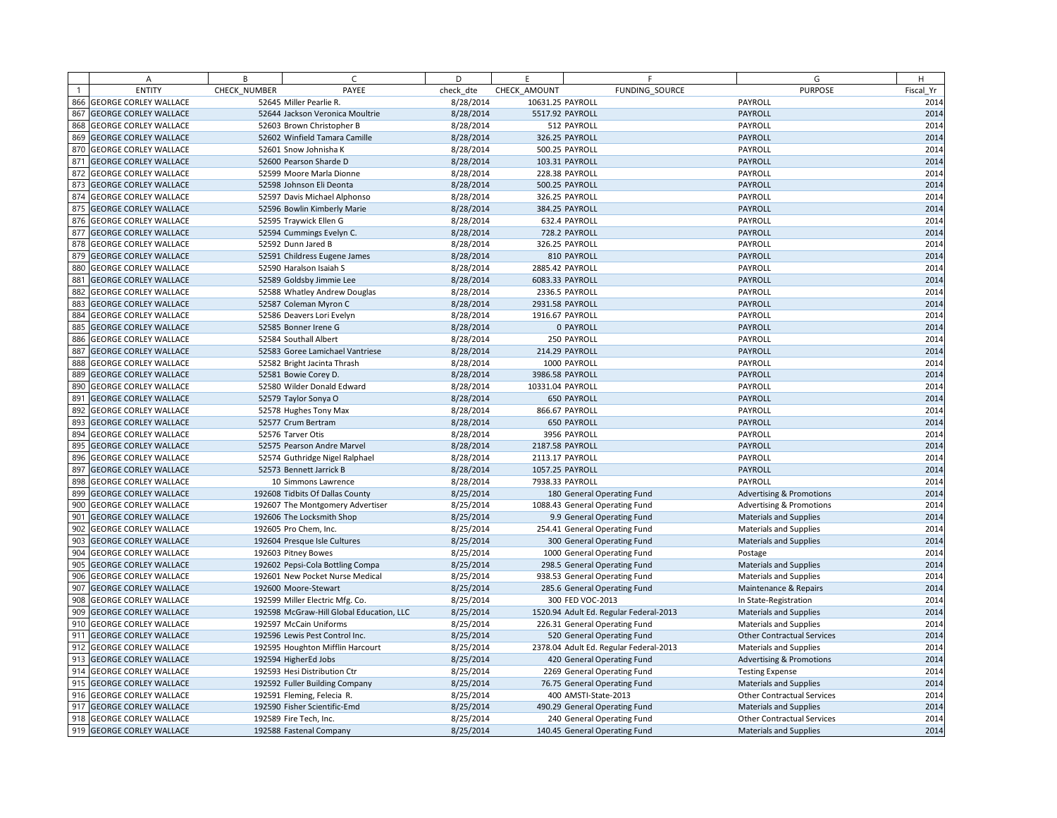|     | A                            | B            | C.                                       | D         | E                | F                                                           | G                                   | H         |
|-----|------------------------------|--------------|------------------------------------------|-----------|------------------|-------------------------------------------------------------|-------------------------------------|-----------|
|     | <b>ENTITY</b>                | CHECK NUMBER | PAYEE                                    | check dte | CHECK AMOUNT     | FUNDING SOURCE                                              | <b>PURPOSE</b>                      | Fiscal Yr |
| 866 | <b>GEORGE CORLEY WALLACE</b> |              | 52645 Miller Pearlie R.                  | 8/28/2014 | 10631.25 PAYROLL |                                                             | PAYROLL                             | 2014      |
| 867 | <b>GEORGE CORLEY WALLACE</b> |              | 52644 Jackson Veronica Moultrie          | 8/28/2014 | 5517.92 PAYROLL  |                                                             | <b>PAYROLL</b>                      | 2014      |
| 868 | <b>GEORGE CORLEY WALLACE</b> |              | 52603 Brown Christopher B                | 8/28/2014 |                  | 512 PAYROLL                                                 | PAYROLL                             | 2014      |
| 869 | <b>GEORGE CORLEY WALLACE</b> |              | 52602 Winfield Tamara Camille            | 8/28/2014 |                  | 326.25 PAYROLL                                              | PAYROLL                             | 2014      |
| 870 | <b>GEORGE CORLEY WALLACE</b> |              | 52601 Snow Johnisha K                    | 8/28/2014 |                  | 500.25 PAYROLL                                              | PAYROLL                             | 2014      |
| 871 | <b>GEORGE CORLEY WALLACE</b> |              | 52600 Pearson Sharde D                   | 8/28/2014 |                  | 103.31 PAYROLL                                              | PAYROLL                             | 2014      |
| 872 | <b>GEORGE CORLEY WALLACE</b> |              | 52599 Moore Marla Dionne                 | 8/28/2014 |                  | 228.38 PAYROLL                                              | PAYROLL                             | 2014      |
| 873 | <b>GEORGE CORLEY WALLACE</b> |              | 52598 Johnson Eli Deonta                 | 8/28/2014 |                  | 500.25 PAYROLL                                              | <b>PAYROLL</b>                      | 2014      |
| 874 | <b>GEORGE CORLEY WALLACE</b> |              | 52597 Davis Michael Alphonso             | 8/28/2014 |                  | 326.25 PAYROLL                                              | PAYROLL                             | 2014      |
| 875 | <b>GEORGE CORLEY WALLACE</b> |              | 52596 Bowlin Kimberly Marie              | 8/28/2014 |                  | 384.25 PAYROLL                                              | PAYROLL                             | 2014      |
| 876 | <b>GEORGE CORLEY WALLACE</b> |              | 52595 Traywick Ellen G                   | 8/28/2014 |                  | 632.4 PAYROLL                                               | PAYROLL                             | 2014      |
| 877 | <b>GEORGE CORLEY WALLACE</b> |              | 52594 Cummings Evelyn C.                 | 8/28/2014 |                  | 728.2 PAYROLL                                               | PAYROLL                             | 2014      |
| 878 | <b>GEORGE CORLEY WALLACE</b> |              | 52592 Dunn Jared B                       | 8/28/2014 |                  | 326.25 PAYROLL                                              | PAYROLL                             | 2014      |
| 879 | <b>GEORGE CORLEY WALLACE</b> |              | 52591 Childress Eugene James             | 8/28/2014 |                  | 810 PAYROLL                                                 | PAYROLL                             | 2014      |
| 880 | <b>GEORGE CORLEY WALLACE</b> |              | 52590 Haralson Isaiah S                  | 8/28/2014 | 2885.42 PAYROLL  |                                                             | PAYROLL                             | 2014      |
| 88  | <b>GEORGE CORLEY WALLACE</b> |              | 52589 Goldsby Jimmie Lee                 | 8/28/2014 | 6083.33 PAYROLL  |                                                             | PAYROLL                             | 2014      |
| 882 | <b>GEORGE CORLEY WALLACE</b> |              | 52588 Whatley Andrew Douglas             | 8/28/2014 |                  | 2336.5 PAYROLL                                              | PAYROLL                             | 2014      |
| 883 | <b>GEORGE CORLEY WALLACE</b> |              | 52587 Coleman Myron C                    | 8/28/2014 | 2931.58 PAYROLL  |                                                             | PAYROLL                             | 2014      |
| 884 | <b>GEORGE CORLEY WALLACE</b> |              | 52586 Deavers Lori Evelyn                | 8/28/2014 | 1916.67 PAYROLL  |                                                             | PAYROLL                             | 2014      |
| 885 | <b>GEORGE CORLEY WALLACE</b> |              | 52585 Bonner Irene G                     | 8/28/2014 |                  | 0 PAYROLL                                                   | PAYROLL                             | 2014      |
| 886 | <b>GEORGE CORLEY WALLACE</b> |              | 52584 Southall Albert                    | 8/28/2014 |                  | 250 PAYROLL                                                 | PAYROLL                             | 2014      |
| 887 | <b>GEORGE CORLEY WALLACE</b> |              | 52583 Goree Lamichael Vantriese          | 8/28/2014 |                  | 214.29 PAYROLL                                              | PAYROLL                             | 2014      |
| 888 | <b>GEORGE CORLEY WALLACE</b> |              | 52582 Bright Jacinta Thrash              | 8/28/2014 |                  | 1000 PAYROLL                                                | PAYROLL                             | 2014      |
| 889 | <b>GEORGE CORLEY WALLACE</b> |              | 52581 Bowie Corey D.                     | 8/28/2014 | 3986.58 PAYROLL  |                                                             | PAYROLL                             | 2014      |
| 890 | <b>GEORGE CORLEY WALLACE</b> |              | 52580 Wilder Donald Edward               | 8/28/2014 | 10331.04 PAYROLL |                                                             | PAYROLL                             | 2014      |
| 891 | <b>GEORGE CORLEY WALLACE</b> |              | 52579 Taylor Sonya O                     | 8/28/2014 |                  | <b>650 PAYROLL</b>                                          | PAYROLL                             | 2014      |
| 892 | <b>GEORGE CORLEY WALLACE</b> |              | 52578 Hughes Tony Max                    | 8/28/2014 |                  | 866.67 PAYROLL                                              | PAYROLL                             | 2014      |
| 893 | <b>GEORGE CORLEY WALLACE</b> |              | 52577 Crum Bertram                       | 8/28/2014 |                  | <b>650 PAYROLL</b>                                          | PAYROLL                             | 2014      |
| 894 | <b>GEORGE CORLEY WALLACE</b> |              | 52576 Tarver Otis                        | 8/28/2014 |                  | 3956 PAYROLL                                                | PAYROLL                             | 2014      |
| 895 | <b>GEORGE CORLEY WALLACE</b> |              | 52575 Pearson Andre Marvel               | 8/28/2014 | 2187.58 PAYROLL  |                                                             | PAYROLL                             | 2014      |
| 896 | <b>GEORGE CORLEY WALLACE</b> |              | 52574 Guthridge Nigel Ralphael           | 8/28/2014 | 2113.17 PAYROLL  |                                                             | PAYROLL                             | 2014      |
| 897 | <b>GEORGE CORLEY WALLACE</b> |              | 52573 Bennett Jarrick B                  | 8/28/2014 | 1057.25 PAYROLL  |                                                             | PAYROLL                             | 2014      |
| 898 | <b>GEORGE CORLEY WALLACE</b> |              | 10 Simmons Lawrence                      | 8/28/2014 | 7938.33 PAYROLL  |                                                             | PAYROLL                             | 2014      |
| 899 | <b>GEORGE CORLEY WALLACE</b> |              | 192608 Tidbits Of Dallas County          | 8/25/2014 |                  | 180 General Operating Fund                                  | <b>Advertising &amp; Promotions</b> | 2014      |
| 900 | <b>GEORGE CORLEY WALLACE</b> |              | 192607 The Montgomery Advertiser         | 8/25/2014 |                  | 1088.43 General Operating Fund                              | <b>Advertising &amp; Promotions</b> | 2014      |
| 901 | <b>GEORGE CORLEY WALLACE</b> |              | 192606 The Locksmith Shop                | 8/25/2014 |                  | 9.9 General Operating Fund                                  | <b>Materials and Supplies</b>       | 2014      |
| 902 | <b>GEORGE CORLEY WALLACE</b> |              | 192605 Pro Chem, Inc.                    | 8/25/2014 |                  | 254.41 General Operating Fund                               | <b>Materials and Supplies</b>       | 2014      |
| 903 | <b>GEORGE CORLEY WALLACE</b> |              | 192604 Presque Isle Cultures             | 8/25/2014 |                  | 300 General Operating Fund                                  | <b>Materials and Supplies</b>       | 2014      |
| 904 | <b>GEORGE CORLEY WALLACE</b> |              | 192603 Pitney Bowes                      | 8/25/2014 |                  | 1000 General Operating Fund                                 | Postage                             | 2014      |
| 905 | <b>GEORGE CORLEY WALLACE</b> |              | 192602 Pepsi-Cola Bottling Compa         | 8/25/2014 |                  | 298.5 General Operating Fund                                | <b>Materials and Supplies</b>       | 2014      |
| 906 | <b>GEORGE CORLEY WALLACE</b> |              | 192601 New Pocket Nurse Medical          | 8/25/2014 |                  | 938.53 General Operating Fund                               | <b>Materials and Supplies</b>       | 2014      |
| 907 | <b>GEORGE CORLEY WALLACE</b> |              | 192600 Moore-Stewart                     | 8/25/2014 |                  | 285.6 General Operating Fund                                | Maintenance & Repairs               | 2014      |
| 908 | <b>GEORGE CORLEY WALLACE</b> |              | 192599 Miller Electric Mfg. Co.          | 8/25/2014 |                  | 300 FED VOC-2013                                            | In State-Registration               | 2014      |
| 909 | <b>GEORGE CORLEY WALLACE</b> |              | 192598 McGraw-Hill Global Education, LLC | 8/25/2014 |                  | 1520.94 Adult Ed. Regular Federal-2013                      | <b>Materials and Supplies</b>       | 2014      |
| 910 | <b>GEORGE CORLEY WALLACE</b> |              | 192597 McCain Uniforms                   | 8/25/2014 |                  | 226.31 General Operating Fund                               | <b>Materials and Supplies</b>       | 2014      |
| 911 | <b>GEORGE CORLEY WALLACE</b> |              | 192596 Lewis Pest Control Inc.           | 8/25/2014 |                  | 520 General Operating Fund                                  | <b>Other Contractual Services</b>   | 2014      |
| 912 | <b>GEORGE CORLEY WALLACE</b> |              | 192595 Houghton Mifflin Harcourt         | 8/25/2014 |                  | 2378.04 Adult Ed. Regular Federal-2013                      | <b>Materials and Supplies</b>       | 2014      |
| 913 | <b>GEORGE CORLEY WALLACE</b> |              | 192594 HigherEd Jobs                     | 8/25/2014 |                  | 420 General Operating Fund                                  | <b>Advertising &amp; Promotions</b> | 2014      |
| 914 | <b>GEORGE CORLEY WALLACE</b> |              | 192593 Hesi Distribution Ctr             | 8/25/2014 |                  | 2269 General Operating Fund                                 | <b>Testing Expense</b>              | 2014      |
| 915 | <b>GEORGE CORLEY WALLACE</b> |              | 192592 Fuller Building Company           | 8/25/2014 |                  | 76.75 General Operating Fund                                | Materials and Supplies              | 2014      |
| 916 | <b>GEORGE CORLEY WALLACE</b> |              | 192591 Fleming, Felecia R.               | 8/25/2014 |                  | 400 AMSTI-State-2013                                        | Other Contractual Services          | 2014      |
| 917 | <b>GEORGE CORLEY WALLACE</b> |              | 192590 Fisher Scientific-Emd             | 8/25/2014 |                  | 490.29 General Operating Fund                               | <b>Materials and Supplies</b>       | 2014      |
| 918 | <b>GEORGE CORLEY WALLACE</b> |              | 192589 Fire Tech, Inc.                   | 8/25/2014 |                  |                                                             | <b>Other Contractual Services</b>   | 2014      |
|     | 919 GEORGE CORLEY WALLACE    |              | 192588 Fastenal Company                  | 8/25/2014 |                  | 240 General Operating Fund<br>140.45 General Operating Fund | <b>Materials and Supplies</b>       | 2014      |
|     |                              |              |                                          |           |                  |                                                             |                                     |           |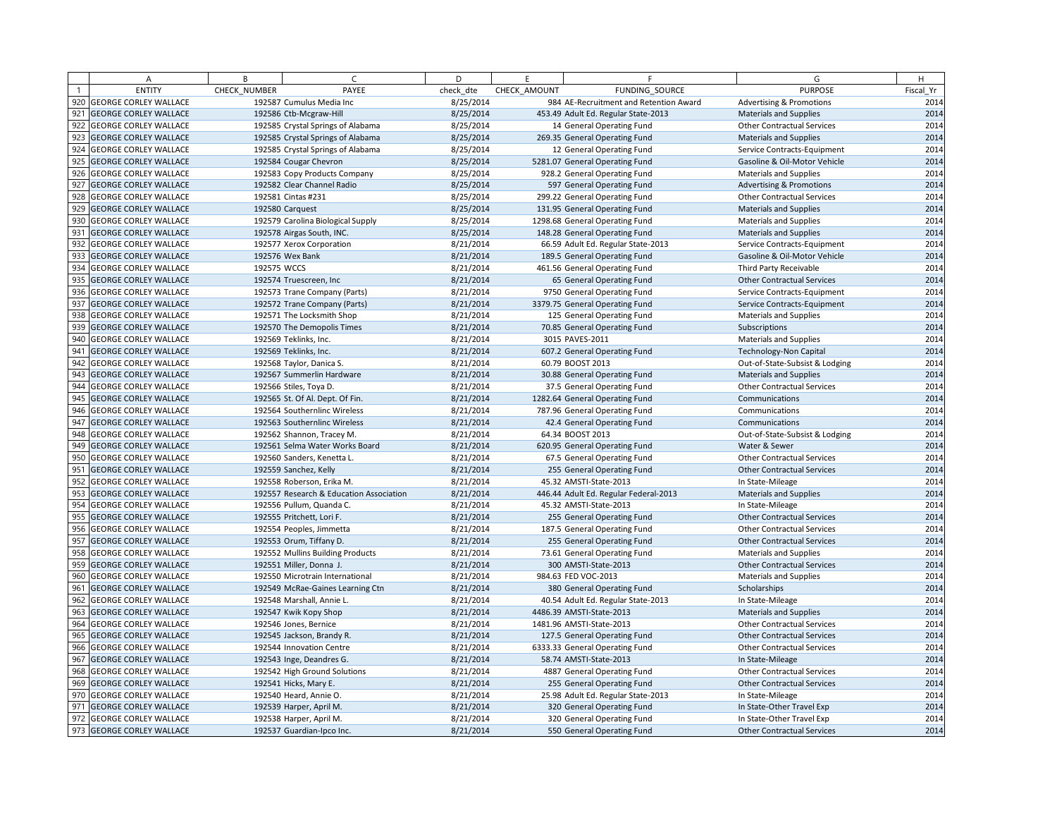|     | $\overline{A}$               | B            | $\epsilon$                              | D         | F            | F                                      | G                                   | H         |
|-----|------------------------------|--------------|-----------------------------------------|-----------|--------------|----------------------------------------|-------------------------------------|-----------|
|     | <b>ENTITY</b>                | CHECK NUMBER | PAYEE                                   | check dte | CHECK AMOUNT | FUNDING SOURCE                         | <b>PURPOSE</b>                      | Fiscal Yr |
| 920 | <b>GEORGE CORLEY WALLACE</b> |              | 192587 Cumulus Media Inc                | 8/25/2014 |              | 984 AE-Recruitment and Retention Award | <b>Advertising &amp; Promotions</b> | 2014      |
| 921 | <b>GEORGE CORLEY WALLACE</b> |              | 192586 Ctb-Mcgraw-Hill                  | 8/25/2014 |              | 453.49 Adult Ed. Regular State-2013    | <b>Materials and Supplies</b>       | 2014      |
| 922 | <b>GEORGE CORLEY WALLACE</b> |              | 192585 Crystal Springs of Alabama       | 8/25/2014 |              | 14 General Operating Fund              | <b>Other Contractual Services</b>   | 2014      |
| 923 | <b>GEORGE CORLEY WALLACE</b> |              | 192585 Crystal Springs of Alabama       | 8/25/2014 |              | 269.35 General Operating Fund          | <b>Materials and Supplies</b>       | 2014      |
| 924 | <b>GEORGE CORLEY WALLACE</b> |              | 192585 Crystal Springs of Alabama       | 8/25/2014 |              | 12 General Operating Fund              | Service Contracts-Equipment         | 2014      |
| 925 | <b>GEORGE CORLEY WALLACE</b> |              | 192584 Cougar Chevron                   | 8/25/2014 |              | 5281.07 General Operating Fund         | Gasoline & Oil-Motor Vehicle        | 2014      |
| 926 | <b>GEORGE CORLEY WALLACE</b> |              | 192583 Copy Products Company            | 8/25/2014 |              | 928.2 General Operating Fund           | <b>Materials and Supplies</b>       | 2014      |
| 927 | <b>GEORGE CORLEY WALLACE</b> |              | 192582 Clear Channel Radio              | 8/25/2014 |              | 597 General Operating Fund             | <b>Advertising &amp; Promotions</b> | 2014      |
| 928 | <b>GEORGE CORLEY WALLACE</b> |              | 192581 Cintas #231                      | 8/25/2014 |              | 299.22 General Operating Fund          | <b>Other Contractual Services</b>   | 2014      |
| 929 | <b>GEORGE CORLEY WALLACE</b> |              | 192580 Carquest                         | 8/25/2014 |              | 131.95 General Operating Fund          | <b>Materials and Supplies</b>       | 2014      |
| 930 | <b>GEORGE CORLEY WALLACE</b> |              | 192579 Carolina Biological Supply       | 8/25/2014 |              | 1298.68 General Operating Fund         | <b>Materials and Supplies</b>       | 2014      |
| 931 | <b>GEORGE CORLEY WALLACE</b> |              | 192578 Airgas South, INC.               | 8/25/2014 |              | 148.28 General Operating Fund          | <b>Materials and Supplies</b>       | 2014      |
| 932 | <b>GEORGE CORLEY WALLACE</b> |              | 192577 Xerox Corporation                | 8/21/2014 |              | 66.59 Adult Ed. Regular State-2013     | Service Contracts-Equipment         | 2014      |
| 933 | <b>GEORGE CORLEY WALLACE</b> |              | 192576 Wex Bank                         | 8/21/2014 |              | 189.5 General Operating Fund           | Gasoline & Oil-Motor Vehicle        | 2014      |
| 934 | <b>GEORGE CORLEY WALLACE</b> | 192575 WCCS  |                                         | 8/21/2014 |              | 461.56 General Operating Fund          | Third Party Receivable              | 2014      |
| 935 | <b>GEORGE CORLEY WALLACE</b> |              | 192574 Truescreen, Inc                  | 8/21/2014 |              | 65 General Operating Fund              | <b>Other Contractual Services</b>   | 2014      |
| 936 | <b>GEORGE CORLEY WALLACE</b> |              | 192573 Trane Company (Parts)            | 8/21/2014 |              | 9750 General Operating Fund            | Service Contracts-Equipment         | 2014      |
| 937 | <b>GEORGE CORLEY WALLACE</b> |              | 192572 Trane Company (Parts)            | 8/21/2014 |              | 3379.75 General Operating Fund         | Service Contracts-Equipment         | 2014      |
| 938 | <b>GEORGE CORLEY WALLACE</b> |              | 192571 The Locksmith Shop               | 8/21/2014 |              | 125 General Operating Fund             | <b>Materials and Supplies</b>       | 2014      |
| 939 | <b>GEORGE CORLEY WALLACE</b> |              | 192570 The Demopolis Times              | 8/21/2014 |              | 70.85 General Operating Fund           | Subscriptions                       | 2014      |
| 940 | <b>GEORGE CORLEY WALLACE</b> |              | 192569 Teklinks, Inc.                   | 8/21/2014 |              | 3015 PAVES-2011                        | <b>Materials and Supplies</b>       | 2014      |
| 941 | <b>GEORGE CORLEY WALLACE</b> |              | 192569 Teklinks, Inc.                   | 8/21/2014 |              | 607.2 General Operating Fund           | <b>Technology-Non Capital</b>       | 2014      |
| 942 | <b>GEORGE CORLEY WALLACE</b> |              | 192568 Taylor, Danica S.                | 8/21/2014 |              | 60.79 BOOST 2013                       | Out-of-State-Subsist & Lodging      | 2014      |
| 943 | <b>GEORGE CORLEY WALLACE</b> |              | 192567 Summerlin Hardware               | 8/21/2014 |              | 30.88 General Operating Fund           | Materials and Supplies              | 2014      |
| 944 | <b>GEORGE CORLEY WALLACE</b> |              | 192566 Stiles, Toya D.                  | 8/21/2014 |              | 37.5 General Operating Fund            | <b>Other Contractual Services</b>   | 2014      |
| 945 | <b>GEORGE CORLEY WALLACE</b> |              | 192565 St. Of Al. Dept. Of Fin.         | 8/21/2014 |              | 1282.64 General Operating Fund         | Communications                      | 2014      |
| 946 | <b>GEORGE CORLEY WALLACE</b> |              | 192564 Southernlinc Wireless            | 8/21/2014 |              | 787.96 General Operating Fund          | Communications                      | 2014      |
| 947 | <b>GEORGE CORLEY WALLACE</b> |              | 192563 Southernlinc Wireless            | 8/21/2014 |              | 42.4 General Operating Fund            | Communications                      | 2014      |
| 948 | <b>GEORGE CORLEY WALLACE</b> |              | 192562 Shannon, Tracey M.               | 8/21/2014 |              | 64.34 BOOST 2013                       | Out-of-State-Subsist & Lodging      | 2014      |
| 949 | <b>GEORGE CORLEY WALLACE</b> |              | 192561 Selma Water Works Board          | 8/21/2014 |              | 620.95 General Operating Fund          | Water & Sewer                       | 2014      |
| 950 | <b>GEORGE CORLEY WALLACE</b> |              | 192560 Sanders, Kenetta L.              | 8/21/2014 |              | 67.5 General Operating Fund            | <b>Other Contractual Services</b>   | 2014      |
| 951 | <b>GEORGE CORLEY WALLACE</b> |              | 192559 Sanchez, Kelly                   | 8/21/2014 |              | 255 General Operating Fund             | <b>Other Contractual Services</b>   | 2014      |
| 952 | <b>GEORGE CORLEY WALLACE</b> |              | 192558 Roberson, Erika M.               | 8/21/2014 |              | 45.32 AMSTI-State-2013                 | In State-Mileage                    | 2014      |
| 953 | <b>GEORGE CORLEY WALLACE</b> |              | 192557 Research & Education Association | 8/21/2014 |              | 446.44 Adult Ed. Regular Federal-2013  | <b>Materials and Supplies</b>       | 2014      |
| 954 | <b>GEORGE CORLEY WALLACE</b> |              | 192556 Pullum, Quanda C.                | 8/21/2014 |              | 45.32 AMSTI-State-2013                 | In State-Mileage                    | 2014      |
| 955 | <b>GEORGE CORLEY WALLACE</b> |              | 192555 Pritchett, Lori F.               | 8/21/2014 |              | 255 General Operating Fund             | <b>Other Contractual Services</b>   | 2014      |
| 956 | <b>GEORGE CORLEY WALLACE</b> |              | 192554 Peoples, Jimmetta                | 8/21/2014 |              | 187.5 General Operating Fund           | <b>Other Contractual Services</b>   | 2014      |
| 957 | <b>GEORGE CORLEY WALLACE</b> |              | 192553 Orum, Tiffany D.                 | 8/21/2014 |              | 255 General Operating Fund             | <b>Other Contractual Services</b>   | 2014      |
| 958 | <b>GEORGE CORLEY WALLACE</b> |              | 192552 Mullins Building Products        | 8/21/2014 |              | 73.61 General Operating Fund           | <b>Materials and Supplies</b>       | 2014      |
| 959 | <b>GEORGE CORLEY WALLACE</b> |              | 192551 Miller, Donna J.                 | 8/21/2014 |              | 300 AMSTI-State-2013                   | <b>Other Contractual Services</b>   | 2014      |
| 960 | <b>GEORGE CORLEY WALLACE</b> |              | 192550 Microtrain International         | 8/21/2014 |              | 984.63 FED VOC-2013                    | <b>Materials and Supplies</b>       | 2014      |
| 961 | <b>GEORGE CORLEY WALLACE</b> |              | 192549 McRae-Gaines Learning Ctn        | 8/21/2014 |              | 380 General Operating Fund             | Scholarships                        | 2014      |
| 962 | <b>GEORGE CORLEY WALLACE</b> |              | 192548 Marshall, Annie L.               | 8/21/2014 |              | 40.54 Adult Ed. Regular State-2013     | In State-Mileage                    | 2014      |
| 963 | <b>GEORGE CORLEY WALLACE</b> |              | 192547 Kwik Kopy Shop                   | 8/21/2014 |              | 4486.39 AMSTI-State-2013               | <b>Materials and Supplies</b>       | 2014      |
| 964 | <b>GEORGE CORLEY WALLACE</b> |              | 192546 Jones, Bernice                   | 8/21/2014 |              | 1481.96 AMSTI-State-2013               | <b>Other Contractual Services</b>   | 2014      |
| 965 | <b>GEORGE CORLEY WALLACE</b> |              | 192545 Jackson, Brandy R.               | 8/21/2014 |              | 127.5 General Operating Fund           | <b>Other Contractual Services</b>   | 2014      |
| 966 | <b>GEORGE CORLEY WALLACE</b> |              | 192544 Innovation Centre                | 8/21/2014 |              | 6333.33 General Operating Fund         | <b>Other Contractual Services</b>   | 2014      |
| 967 | <b>GEORGE CORLEY WALLACE</b> |              | 192543 Inge, Deandres G.                | 8/21/2014 |              | 58.74 AMSTI-State-2013                 | In State-Mileage                    | 2014      |
| 968 | <b>GEORGE CORLEY WALLACE</b> |              | 192542 High Ground Solutions            | 8/21/2014 |              | 4887 General Operating Fund            | <b>Other Contractual Services</b>   | 2014      |
| 969 | <b>GEORGE CORLEY WALLACE</b> |              | 192541 Hicks, Mary E.                   | 8/21/2014 |              | 255 General Operating Fund             | <b>Other Contractual Services</b>   | 2014      |
| 970 | <b>GEORGE CORLEY WALLACE</b> |              | 192540 Heard, Annie O.                  | 8/21/2014 |              | 25.98 Adult Ed. Regular State-2013     | In State-Mileage                    | 2014      |
| 971 | <b>GEORGE CORLEY WALLACE</b> |              | 192539 Harper, April M.                 | 8/21/2014 |              | 320 General Operating Fund             | In State-Other Travel Exp           | 2014      |
| 972 | <b>GEORGE CORLEY WALLACE</b> |              | 192538 Harper, April M.                 | 8/21/2014 |              | 320 General Operating Fund             | In State-Other Travel Exp           | 2014      |
|     | 973 GEORGE CORLEY WALLACE    |              | 192537 Guardian-Ipco Inc.               | 8/21/2014 |              | 550 General Operating Fund             | <b>Other Contractual Services</b>   | 2014      |
|     |                              |              |                                         |           |              |                                        |                                     |           |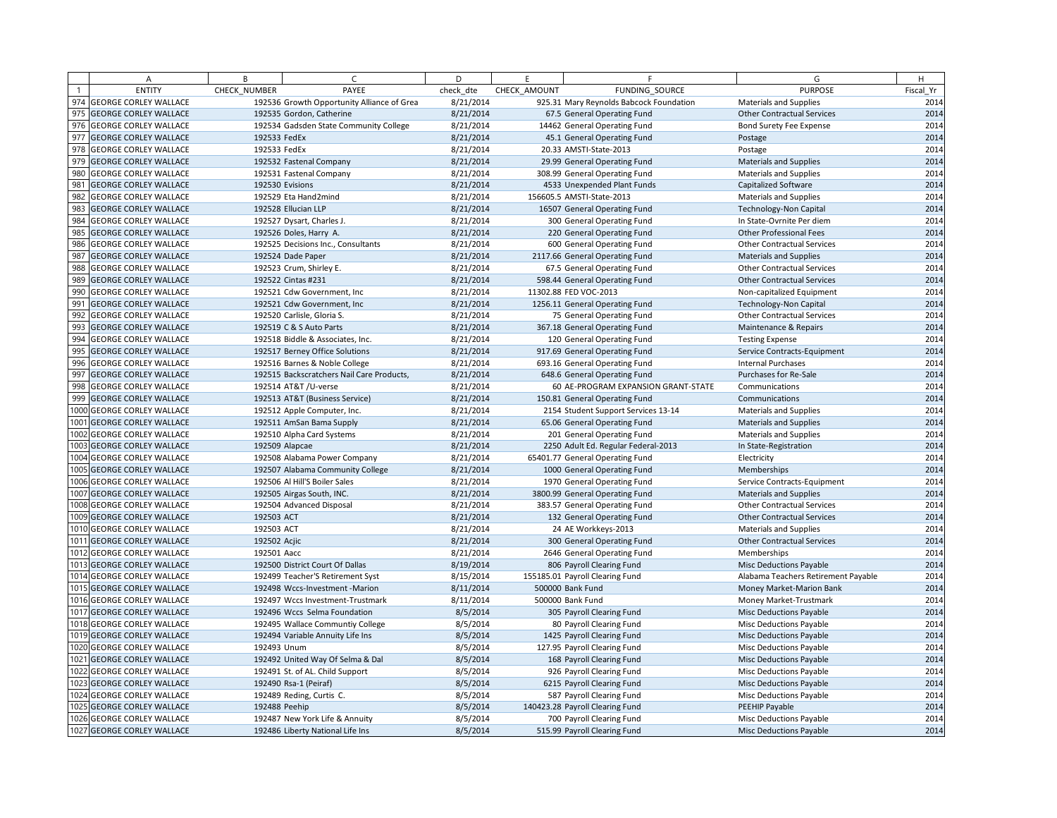|     | Α                            | B            | $\sqrt{ }$                                 | D         | F.           | F                                       | G                                   | H         |
|-----|------------------------------|--------------|--------------------------------------------|-----------|--------------|-----------------------------------------|-------------------------------------|-----------|
|     | <b>ENTITY</b>                | CHECK_NUMBER | PAYEE                                      | check dte | CHECK AMOUNT | FUNDING SOURCE                          | <b>PURPOSE</b>                      | Fiscal Yr |
| 974 | <b>GEORGE CORLEY WALLACE</b> |              | 192536 Growth Opportunity Alliance of Grea | 8/21/2014 |              | 925.31 Mary Reynolds Babcock Foundation | <b>Materials and Supplies</b>       | 2014      |
| 975 | <b>GEORGE CORLEY WALLACE</b> |              | 192535 Gordon, Catherine                   | 8/21/2014 |              | 67.5 General Operating Fund             | <b>Other Contractual Services</b>   | 2014      |
|     | 976 GEORGE CORLEY WALLACE    |              | 192534 Gadsden State Community College     | 8/21/2014 |              | 14462 General Operating Fund            | Bond Surety Fee Expense             | 2014      |
| 977 | <b>GEORGE CORLEY WALLACE</b> | 192533 FedEx |                                            | 8/21/2014 |              | 45.1 General Operating Fund             | Postage                             | 2014      |
| 978 | <b>GEORGE CORLEY WALLACE</b> | 192533 FedEx |                                            | 8/21/2014 |              | 20.33 AMSTI-State-2013                  | Postage                             | 2014      |
| 979 | <b>GEORGE CORLEY WALLACE</b> |              | 192532 Fastenal Company                    | 8/21/2014 |              | 29.99 General Operating Fund            | <b>Materials and Supplies</b>       | 2014      |
| 980 | <b>GEORGE CORLEY WALLACE</b> |              | 192531 Fastenal Company                    | 8/21/2014 |              | 308.99 General Operating Fund           | <b>Materials and Supplies</b>       | 2014      |
| 981 | <b>GEORGE CORLEY WALLACE</b> |              | 192530 Evisions                            | 8/21/2014 |              | 4533 Unexpended Plant Funds             | <b>Capitalized Software</b>         | 2014      |
| 982 | <b>GEORGE CORLEY WALLACE</b> |              | 192529 Eta Hand2mind                       | 8/21/2014 |              | 156605.5 AMSTI-State-2013               | <b>Materials and Supplies</b>       | 2014      |
| 983 | <b>GEORGE CORLEY WALLACE</b> |              | 192528 Ellucian LLP                        | 8/21/2014 |              | 16507 General Operating Fund            | <b>Technology-Non Capital</b>       | 2014      |
| 984 | <b>GEORGE CORLEY WALLACE</b> |              | 192527 Dysart, Charles J.                  | 8/21/2014 |              | 300 General Operating Fund              | In State-Ovrnite Per diem           | 2014      |
| 985 | <b>GEORGE CORLEY WALLACE</b> |              | 192526 Doles, Harry A.                     | 8/21/2014 |              | 220 General Operating Fund              | <b>Other Professional Fees</b>      | 2014      |
| 986 | <b>GEORGE CORLEY WALLACE</b> |              | 192525 Decisions Inc., Consultants         | 8/21/2014 |              | 600 General Operating Fund              | <b>Other Contractual Services</b>   | 2014      |
| 987 | <b>GEORGE CORLEY WALLACE</b> |              | 192524 Dade Paper                          | 8/21/2014 |              | 2117.66 General Operating Fund          | <b>Materials and Supplies</b>       | 2014      |
|     | 988 GEORGE CORLEY WALLACE    |              | 192523 Crum, Shirley E.                    | 8/21/2014 |              | 67.5 General Operating Fund             | <b>Other Contractual Services</b>   | 2014      |
| 989 | <b>GEORGE CORLEY WALLACE</b> |              | 192522 Cintas #231                         | 8/21/2014 |              | 598.44 General Operating Fund           | <b>Other Contractual Services</b>   | 2014      |
| 990 | <b>GEORGE CORLEY WALLACE</b> |              | 192521 Cdw Government, Inc                 | 8/21/2014 |              | 11302.88 FED VOC-2013                   | Non-capitalized Equipment           | 2014      |
| 991 | <b>GEORGE CORLEY WALLACE</b> |              | 192521 Cdw Government, Inc                 | 8/21/2014 |              | 1256.11 General Operating Fund          | <b>Technology-Non Capital</b>       | 2014      |
| 992 | <b>GEORGE CORLEY WALLACE</b> |              | 192520 Carlisle, Gloria S.                 | 8/21/2014 |              | 75 General Operating Fund               | <b>Other Contractual Services</b>   | 2014      |
| 993 | <b>GEORGE CORLEY WALLACE</b> |              | 192519 C & S Auto Parts                    | 8/21/2014 |              | 367.18 General Operating Fund           | Maintenance & Repairs               | 2014      |
|     | 994 GEORGE CORLEY WALLACE    |              | 192518 Biddle & Associates, Inc.           | 8/21/2014 |              | 120 General Operating Fund              | <b>Testing Expense</b>              | 2014      |
| 995 | <b>GEORGE CORLEY WALLACE</b> |              | 192517 Berney Office Solutions             | 8/21/2014 |              | 917.69 General Operating Fund           | Service Contracts-Equipment         | 2014      |
|     | 996 GEORGE CORLEY WALLACE    |              | 192516 Barnes & Noble College              | 8/21/2014 |              | 693.16 General Operating Fund           | <b>Internal Purchases</b>           | 2014      |
| 997 | <b>GEORGE CORLEY WALLACE</b> |              | 192515 Backscratchers Nail Care Products,  | 8/21/2014 |              | 648.6 General Operating Fund            | Purchases for Re-Sale               | 2014      |
| 998 | <b>GEORGE CORLEY WALLACE</b> |              | 192514 AT&T /U-verse                       | 8/21/2014 |              | 60 AE-PROGRAM EXPANSION GRANT-STATE     | Communications                      | 2014      |
| 999 | <b>GEORGE CORLEY WALLACE</b> |              | 192513 AT&T (Business Service)             | 8/21/2014 |              | 150.81 General Operating Fund           | Communications                      | 2014      |
|     | 1000 GEORGE CORLEY WALLACE   |              | 192512 Apple Computer, Inc.                | 8/21/2014 |              | 2154 Student Support Services 13-14     | Materials and Supplies              | 2014      |
|     | 1001 GEORGE CORLEY WALLACE   |              | 192511 AmSan Bama Supply                   | 8/21/2014 |              | 65.06 General Operating Fund            | <b>Materials and Supplies</b>       | 2014      |
|     | 1002 GEORGE CORLEY WALLACE   |              | 192510 Alpha Card Systems                  | 8/21/2014 |              | 201 General Operating Fund              | Materials and Supplies              | 2014      |
|     | 1003 GEORGE CORLEY WALLACE   |              | 192509 Alapcae                             | 8/21/2014 |              | 2250 Adult Ed. Regular Federal-2013     | In State-Registration               | 2014      |
|     | 1004 GEORGE CORLEY WALLACE   |              | 192508 Alabama Power Company               | 8/21/2014 |              | 65401.77 General Operating Fund         | Electricity                         | 2014      |
|     | 1005 GEORGE CORLEY WALLACE   |              | 192507 Alabama Community College           | 8/21/2014 |              | 1000 General Operating Fund             | Memberships                         | 2014      |
|     | 1006 GEORGE CORLEY WALLACE   |              | 192506 Al Hill'S Boiler Sales              | 8/21/2014 |              | 1970 General Operating Fund             | Service Contracts-Equipment         | 2014      |
|     | 1007 GEORGE CORLEY WALLACE   |              | 192505 Airgas South, INC.                  | 8/21/2014 |              | 3800.99 General Operating Fund          | <b>Materials and Supplies</b>       | 2014      |
|     | 1008 GEORGE CORLEY WALLACE   |              | 192504 Advanced Disposal                   | 8/21/2014 |              | 383.57 General Operating Fund           | <b>Other Contractual Services</b>   | 2014      |
|     | 1009 GEORGE CORLEY WALLACE   | 192503 ACT   |                                            | 8/21/2014 |              | 132 General Operating Fund              | <b>Other Contractual Services</b>   | 2014      |
|     | 1010 GEORGE CORLEY WALLACE   | 192503 ACT   |                                            | 8/21/2014 |              | 24 AE Workkeys-2013                     | <b>Materials and Supplies</b>       | 2014      |
|     | 1011 GEORGE CORLEY WALLACE   | 192502 Acjic |                                            | 8/21/2014 |              | 300 General Operating Fund              | <b>Other Contractual Services</b>   | 2014      |
|     | 1012 GEORGE CORLEY WALLACE   | 192501 Aacc  |                                            | 8/21/2014 |              | 2646 General Operating Fund             | Memberships                         | 2014      |
|     | 1013 GEORGE CORLEY WALLACE   |              | 192500 District Court Of Dallas            | 8/19/2014 |              | 806 Payroll Clearing Fund               | <b>Misc Deductions Payable</b>      | 2014      |
|     | 1014 GEORGE CORLEY WALLACE   |              | 192499 Teacher'S Retirement Syst           | 8/15/2014 |              | 155185.01 Payroll Clearing Fund         | Alabama Teachers Retirement Payable | 2014      |
|     | 1015 GEORGE CORLEY WALLACE   |              | 192498 Wccs-Investment - Marion            | 8/11/2014 |              | 500000 Bank Fund                        | Money Market-Marion Bank            | 2014      |
|     | 1016 GEORGE CORLEY WALLACE   |              | 192497 Wccs Investment-Trustmark           | 8/11/2014 |              | 500000 Bank Fund                        | Money Market-Trustmark              | 2014      |
|     | 1017 GEORGE CORLEY WALLACE   |              | 192496 Wccs Selma Foundation               | 8/5/2014  |              | 305 Payroll Clearing Fund               | <b>Misc Deductions Payable</b>      | 2014      |
|     | 1018 GEORGE CORLEY WALLACE   |              | 192495 Wallace Communtiy College           | 8/5/2014  |              | 80 Payroll Clearing Fund                | Misc Deductions Payable             | 2014      |
|     | 1019 GEORGE CORLEY WALLACE   |              | 192494 Variable Annuity Life Ins           | 8/5/2014  |              | 1425 Payroll Clearing Fund              | <b>Misc Deductions Payable</b>      | 2014      |
|     | 1020 GEORGE CORLEY WALLACE   | 192493 Unum  |                                            | 8/5/2014  |              | 127.95 Payroll Clearing Fund            | Misc Deductions Payable             | 2014      |
|     | 1021 GEORGE CORLEY WALLACE   |              | 192492 United Way Of Selma & Dal           | 8/5/2014  |              | 168 Payroll Clearing Fund               | Misc Deductions Payable             | 2014      |
|     | 1022 GEORGE CORLEY WALLACE   |              | 192491 St. of AL. Child Support            | 8/5/2014  |              | 926 Payroll Clearing Fund               | <b>Misc Deductions Payable</b>      | 2014      |
|     | 1023 GEORGE CORLEY WALLACE   |              | 192490 Rsa-1 (Peiraf)                      | 8/5/2014  |              | 6215 Payroll Clearing Fund              | <b>Misc Deductions Payable</b>      | 2014      |
|     | 1024 GEORGE CORLEY WALLACE   |              | 192489 Reding, Curtis C.                   | 8/5/2014  |              | 587 Payroll Clearing Fund               | Misc Deductions Payable             | 2014      |
|     | 1025 GEORGE CORLEY WALLACE   |              | 192488 Peehip                              | 8/5/2014  |              | 140423.28 Payroll Clearing Fund         | PEEHIP Payable                      | 2014      |
|     | 1026 GEORGE CORLEY WALLACE   |              | 192487 New York Life & Annuity             | 8/5/2014  |              | 700 Payroll Clearing Fund               | Misc Deductions Payable             | 2014      |
|     | 1027 GEORGE CORLEY WALLACE   |              | 192486 Liberty National Life Ins           | 8/5/2014  |              | 515.99 Payroll Clearing Fund            | <b>Misc Deductions Payable</b>      | 2014      |
|     |                              |              |                                            |           |              |                                         |                                     |           |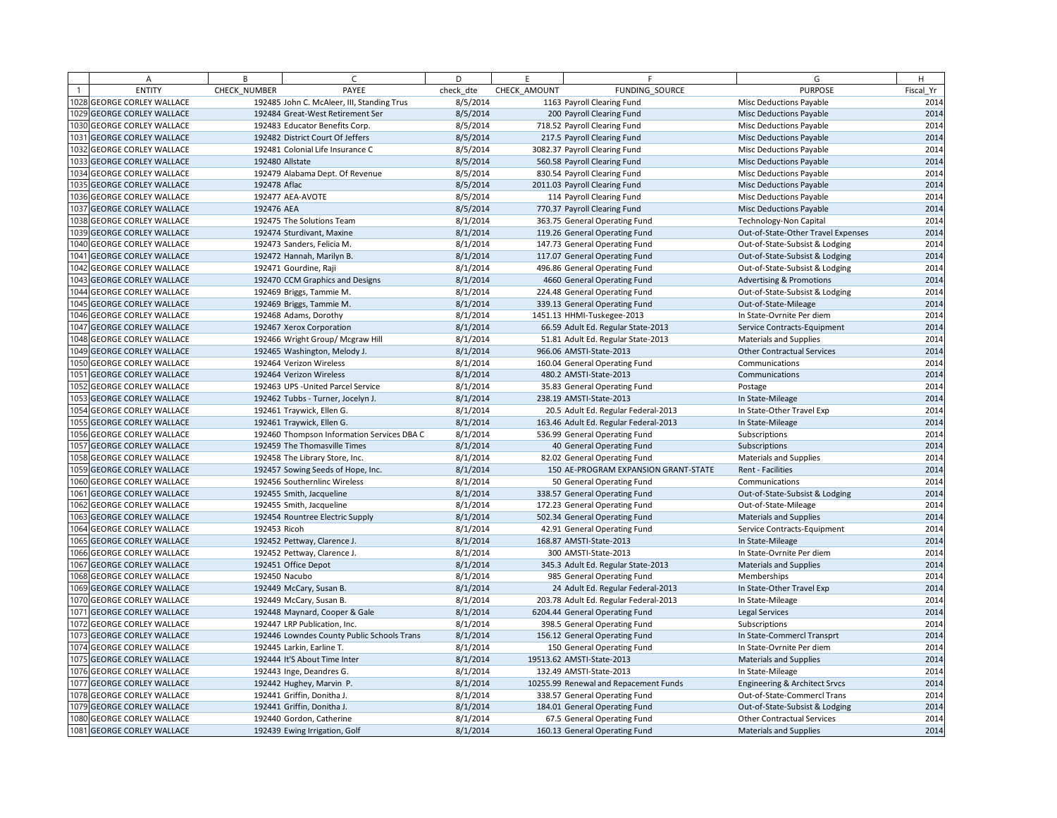| Α                          | B            | $\sqrt{ }$                                 | D         | F.           | F                                     | G                                   | H         |
|----------------------------|--------------|--------------------------------------------|-----------|--------------|---------------------------------------|-------------------------------------|-----------|
| <b>ENTITY</b>              | CHECK_NUMBER | PAYEE                                      | check dte | CHECK AMOUNT | FUNDING SOURCE                        | <b>PURPOSE</b>                      | Fiscal Yr |
| 1028 GEORGE CORLEY WALLACE |              | 192485 John C. McAleer, III, Standing Trus | 8/5/2014  |              | 1163 Payroll Clearing Fund            | <b>Misc Deductions Payable</b>      | 2014      |
| 1029 GEORGE CORLEY WALLACE |              | 192484 Great-West Retirement Ser           | 8/5/2014  |              | 200 Payroll Clearing Fund             | <b>Misc Deductions Payable</b>      | 2014      |
| 1030 GEORGE CORLEY WALLACE |              | 192483 Educator Benefits Corp.             | 8/5/2014  |              | 718.52 Payroll Clearing Fund          | Misc Deductions Payable             | 2014      |
| 1031 GEORGE CORLEY WALLACE |              | 192482 District Court Of Jeffers           | 8/5/2014  |              | 217.5 Payroll Clearing Fund           | <b>Misc Deductions Payable</b>      | 2014      |
| 1032 GEORGE CORLEY WALLACE |              | 192481 Colonial Life Insurance C           | 8/5/2014  |              | 3082.37 Payroll Clearing Fund         | Misc Deductions Payable             | 2014      |
| 1033 GEORGE CORLEY WALLACE |              | 192480 Allstate                            | 8/5/2014  |              | 560.58 Payroll Clearing Fund          | Misc Deductions Payable             | 2014      |
| 1034 GEORGE CORLEY WALLACE |              | 192479 Alabama Dept. Of Revenue            | 8/5/2014  |              | 830.54 Payroll Clearing Fund          | <b>Misc Deductions Payable</b>      | 2014      |
| 1035 GEORGE CORLEY WALLACE | 192478 Aflac |                                            | 8/5/2014  |              | 2011.03 Payroll Clearing Fund         | Misc Deductions Payable             | 2014      |
| 1036 GEORGE CORLEY WALLACE |              | 192477 AEA-AVOTE                           | 8/5/2014  |              | 114 Payroll Clearing Fund             | Misc Deductions Payable             | 2014      |
| 1037 GEORGE CORLEY WALLACE | 192476 AEA   |                                            | 8/5/2014  |              | 770.37 Payroll Clearing Fund          | <b>Misc Deductions Payable</b>      | 2014      |
| 1038 GEORGE CORLEY WALLACE |              | 192475 The Solutions Team                  | 8/1/2014  |              | 363.75 General Operating Fund         | Technology-Non Capital              | 2014      |
| 1039 GEORGE CORLEY WALLACE |              | 192474 Sturdivant, Maxine                  | 8/1/2014  |              | 119.26 General Operating Fund         | Out-of-State-Other Travel Expenses  | 2014      |
| 1040 GEORGE CORLEY WALLACE |              | 192473 Sanders, Felicia M.                 | 8/1/2014  |              | 147.73 General Operating Fund         | Out-of-State-Subsist & Lodging      | 2014      |
| 1041 GEORGE CORLEY WALLACE |              | 192472 Hannah, Marilyn B.                  | 8/1/2014  |              | 117.07 General Operating Fund         | Out-of-State-Subsist & Lodging      | 2014      |
| 1042 GEORGE CORLEY WALLACE |              | 192471 Gourdine, Raji                      | 8/1/2014  |              | 496.86 General Operating Fund         | Out-of-State-Subsist & Lodging      | 2014      |
| 1043 GEORGE CORLEY WALLACE |              | 192470 CCM Graphics and Designs            | 8/1/2014  |              | 4660 General Operating Fund           | <b>Advertising &amp; Promotions</b> | 2014      |
| 1044 GEORGE CORLEY WALLACE |              | 192469 Briggs, Tammie M.                   | 8/1/2014  |              | 224.48 General Operating Fund         | Out-of-State-Subsist & Lodging      | 2014      |
| 1045 GEORGE CORLEY WALLACE |              | 192469 Briggs, Tammie M.                   | 8/1/2014  |              | 339.13 General Operating Fund         | Out-of-State-Mileage                | 2014      |
| 1046 GEORGE CORLEY WALLACE |              | 192468 Adams, Dorothy                      | 8/1/2014  |              | 1451.13 HHMI-Tuskegee-2013            | In State-Ovrnite Per diem           | 2014      |
| 1047 GEORGE CORLEY WALLACE |              | 192467 Xerox Corporation                   | 8/1/2014  |              | 66.59 Adult Ed. Regular State-2013    | Service Contracts-Equipment         | 2014      |
| 1048 GEORGE CORLEY WALLACE |              | 192466 Wright Group/ Mcgraw Hill           | 8/1/2014  |              | 51.81 Adult Ed. Regular State-2013    | <b>Materials and Supplies</b>       | 2014      |
| 1049 GEORGE CORLEY WALLACE |              | 192465 Washington, Melody J.               | 8/1/2014  |              | 966.06 AMSTI-State-2013               | <b>Other Contractual Services</b>   | 2014      |
| 1050 GEORGE CORLEY WALLACE |              | 192464 Verizon Wireless                    | 8/1/2014  |              | 160.04 General Operating Fund         | Communications                      | 2014      |
| 1051 GEORGE CORLEY WALLACE |              | 192464 Verizon Wireless                    | 8/1/2014  |              | 480.2 AMSTI-State-2013                | Communications                      | 2014      |
| 1052 GEORGE CORLEY WALLACE |              | 192463 UPS - United Parcel Service         | 8/1/2014  |              | 35.83 General Operating Fund          | Postage                             | 2014      |
| 1053 GEORGE CORLEY WALLACE |              | 192462 Tubbs - Turner, Jocelyn J.          | 8/1/2014  |              | 238.19 AMSTI-State-2013               | In State-Mileage                    | 2014      |
| 1054 GEORGE CORLEY WALLACE |              | 192461 Traywick, Ellen G.                  | 8/1/2014  |              | 20.5 Adult Ed. Regular Federal-2013   | In State-Other Travel Exp           | 2014      |
| 1055 GEORGE CORLEY WALLACE |              | 192461 Traywick, Ellen G.                  | 8/1/2014  |              | 163.46 Adult Ed. Regular Federal-2013 | In State-Mileage                    | 2014      |
| 1056 GEORGE CORLEY WALLACE |              | 192460 Thompson Information Services DBA C | 8/1/2014  |              | 536.99 General Operating Fund         | Subscriptions                       | 2014      |
| 1057 GEORGE CORLEY WALLACE |              | 192459 The Thomasville Times               | 8/1/2014  |              | 40 General Operating Fund             | Subscriptions                       | 2014      |
| 1058 GEORGE CORLEY WALLACE |              | 192458 The Library Store, Inc.             | 8/1/2014  |              | 82.02 General Operating Fund          | <b>Materials and Supplies</b>       | 2014      |
| 1059 GEORGE CORLEY WALLACE |              | 192457 Sowing Seeds of Hope, Inc.          | 8/1/2014  |              | 150 AE-PROGRAM EXPANSION GRANT-STATE  | Rent - Facilities                   | 2014      |
| 1060 GEORGE CORLEY WALLACE |              | 192456 Southernlinc Wireless               | 8/1/2014  |              | 50 General Operating Fund             | Communications                      | 2014      |
| 1061 GEORGE CORLEY WALLACE |              | 192455 Smith, Jacqueline                   | 8/1/2014  |              | 338.57 General Operating Fund         | Out-of-State-Subsist & Lodging      | 2014      |
| 1062 GEORGE CORLEY WALLACE |              | 192455 Smith, Jacqueline                   | 8/1/2014  |              | 172.23 General Operating Fund         | Out-of-State-Mileage                | 2014      |
| 1063 GEORGE CORLEY WALLACE |              | 192454 Rountree Electric Supply            | 8/1/2014  |              | 502.34 General Operating Fund         | <b>Materials and Supplies</b>       | 2014      |
| 1064 GEORGE CORLEY WALLACE | 192453 Ricoh |                                            | 8/1/2014  |              | 42.91 General Operating Fund          | Service Contracts-Equipment         | 2014      |
| 1065 GEORGE CORLEY WALLACE |              | 192452 Pettway, Clarence J.                | 8/1/2014  |              | 168.87 AMSTI-State-2013               | In State-Mileage                    | 2014      |
| 1066 GEORGE CORLEY WALLACE |              | 192452 Pettway, Clarence J.                | 8/1/2014  |              | 300 AMSTI-State-2013                  | In State-Ovrnite Per diem           | 2014      |
| 1067 GEORGE CORLEY WALLACE |              | 192451 Office Depot                        | 8/1/2014  |              | 345.3 Adult Ed. Regular State-2013    | <b>Materials and Supplies</b>       | 2014      |
| 1068 GEORGE CORLEY WALLACE |              | 192450 Nacubo                              | 8/1/2014  |              | 985 General Operating Fund            | Memberships                         | 2014      |
| 1069 GEORGE CORLEY WALLACE |              | 192449 McCary, Susan B.                    | 8/1/2014  |              | 24 Adult Ed. Regular Federal-2013     | In State-Other Travel Exp           | 2014      |
| 1070 GEORGE CORLEY WALLACE |              | 192449 McCary, Susan B.                    | 8/1/2014  |              | 203.78 Adult Ed. Regular Federal-2013 | In State-Mileage                    | 2014      |
| 1071 GEORGE CORLEY WALLACE |              | 192448 Maynard, Cooper & Gale              | 8/1/2014  |              | 6204.44 General Operating Fund        | <b>Legal Services</b>               | 2014      |
| 1072 GEORGE CORLEY WALLACE |              | 192447 LRP Publication, Inc.               | 8/1/2014  |              | 398.5 General Operating Fund          | Subscriptions                       | 2014      |
| 1073 GEORGE CORLEY WALLACE |              | 192446 Lowndes County Public Schools Trans | 8/1/2014  |              | 156.12 General Operating Fund         | In State-Commercl Transprt          | 2014      |
| 1074 GEORGE CORLEY WALLACE |              | 192445 Larkin, Earline T.                  | 8/1/2014  |              | 150 General Operating Fund            | In State-Ovrnite Per diem           | 2014      |
| 1075 GEORGE CORLEY WALLACE |              | 192444 It'S About Time Inter               | 8/1/2014  |              | 19513.62 AMSTI-State-2013             | <b>Materials and Supplies</b>       | 2014      |
| 1076 GEORGE CORLEY WALLACE |              | 192443 Inge, Deandres G.                   | 8/1/2014  |              | 132.49 AMSTI-State-2013               | In State-Mileage                    | 2014      |
| 1077 GEORGE CORLEY WALLACE |              | 192442 Hughey, Marvin P.                   | 8/1/2014  |              | 10255.99 Renewal and Repacement Funds | Engineering & Architect Srvcs       | 2014      |
| 1078 GEORGE CORLEY WALLACE |              | 192441 Griffin, Donitha J.                 | 8/1/2014  |              | 338.57 General Operating Fund         | Out-of-State-Commercl Trans         | 2014      |
| 1079 GEORGE CORLEY WALLACE |              | 192441 Griffin, Donitha J.                 | 8/1/2014  |              | 184.01 General Operating Fund         | Out-of-State-Subsist & Lodging      | 2014      |
| 1080 GEORGE CORLEY WALLACE |              | 192440 Gordon, Catherine                   | 8/1/2014  |              | 67.5 General Operating Fund           | <b>Other Contractual Services</b>   | 2014      |
| 1081 GEORGE CORLEY WALLACE |              | 192439 Ewing Irrigation, Golf              | 8/1/2014  |              | 160.13 General Operating Fund         |                                     | 2014      |
|                            |              |                                            |           |              |                                       | <b>Materials and Supplies</b>       |           |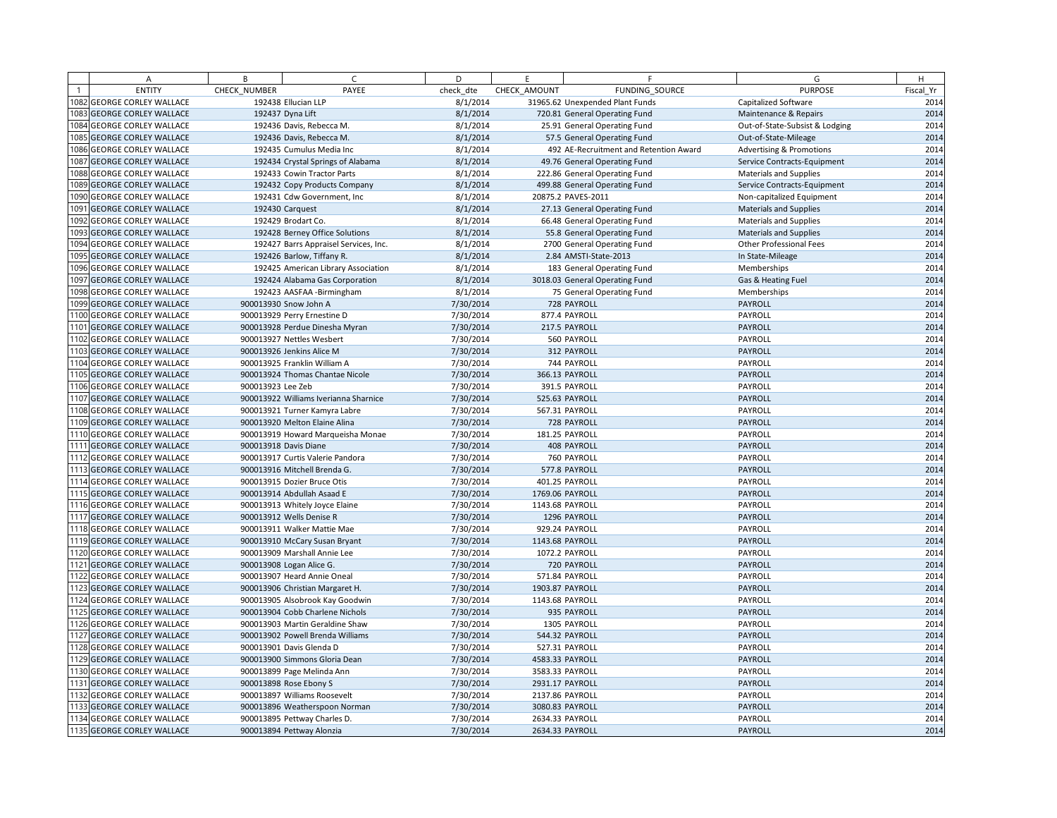| Α                          | B                 | $\epsilon$                            | D         | E            | F.                                     | G                                   | H         |
|----------------------------|-------------------|---------------------------------------|-----------|--------------|----------------------------------------|-------------------------------------|-----------|
| <b>ENTITY</b>              | CHECK NUMBER      | PAYEE                                 | check dte | CHECK AMOUNT | FUNDING SOURCE                         | <b>PURPOSE</b>                      | Fiscal Yr |
| 1082 GEORGE CORLEY WALLACE |                   | 192438 Ellucian LLP                   | 8/1/2014  |              | 31965.62 Unexpended Plant Funds        | Capitalized Software                | 2014      |
| 1083 GEORGE CORLEY WALLACE |                   | 192437 Dyna Lift                      | 8/1/2014  |              | 720.81 General Operating Fund          | Maintenance & Repairs               | 2014      |
| 1084 GEORGE CORLEY WALLACE |                   | 192436 Davis, Rebecca M.              | 8/1/2014  |              | 25.91 General Operating Fund           | Out-of-State-Subsist & Lodging      | 2014      |
| 1085 GEORGE CORLEY WALLACE |                   | 192436 Davis, Rebecca M.              | 8/1/2014  |              | 57.5 General Operating Fund            | Out-of-State-Mileage                | 2014      |
| 1086 GEORGE CORLEY WALLACE |                   | 192435 Cumulus Media Inc              | 8/1/2014  |              | 492 AE-Recruitment and Retention Award | <b>Advertising &amp; Promotions</b> | 2014      |
| 1087 GEORGE CORLEY WALLACE |                   | 192434 Crystal Springs of Alabama     | 8/1/2014  |              | 49.76 General Operating Fund           | Service Contracts-Equipment         | 2014      |
| 1088 GEORGE CORLEY WALLACE |                   | 192433 Cowin Tractor Parts            | 8/1/2014  |              | 222.86 General Operating Fund          | <b>Materials and Supplies</b>       | 2014      |
| 1089 GEORGE CORLEY WALLACE |                   | 192432 Copy Products Company          | 8/1/2014  |              | 499.88 General Operating Fund          | Service Contracts-Equipment         | 2014      |
| 1090 GEORGE CORLEY WALLACE |                   | 192431 Cdw Government, Inc            | 8/1/2014  |              | 20875.2 PAVES-2011                     | Non-capitalized Equipment           | 2014      |
| 1091 GEORGE CORLEY WALLACE |                   | 192430 Carquest                       | 8/1/2014  |              | 27.13 General Operating Fund           | <b>Materials and Supplies</b>       | 2014      |
| 1092 GEORGE CORLEY WALLACE |                   | 192429 Brodart Co.                    | 8/1/2014  |              | 66.48 General Operating Fund           | Materials and Supplies              | 2014      |
| 1093 GEORGE CORLEY WALLACE |                   | 192428 Berney Office Solutions        | 8/1/2014  |              | 55.8 General Operating Fund            | <b>Materials and Supplies</b>       | 2014      |
| 1094 GEORGE CORLEY WALLACE |                   | 192427 Barrs Appraisel Services, Inc. | 8/1/2014  |              | 2700 General Operating Fund            | <b>Other Professional Fees</b>      | 2014      |
| 1095 GEORGE CORLEY WALLACE |                   | 192426 Barlow, Tiffany R.             | 8/1/2014  |              | 2.84 AMSTI-State-2013                  | In State-Mileage                    | 2014      |
| 1096 GEORGE CORLEY WALLACE |                   | 192425 American Library Association   | 8/1/2014  |              | 183 General Operating Fund             | Memberships                         | 2014      |
| 1097 GEORGE CORLEY WALLACE |                   | 192424 Alabama Gas Corporation        | 8/1/2014  |              | 3018.03 General Operating Fund         | Gas & Heating Fuel                  | 2014      |
| 1098 GEORGE CORLEY WALLACE |                   | 192423 AASFAA - Birmingham            | 8/1/2014  |              | 75 General Operating Fund              | Memberships                         | 2014      |
| 1099 GEORGE CORLEY WALLACE |                   | 900013930 Snow John A                 | 7/30/2014 |              | 728 PAYROLL                            | PAYROLL                             | 2014      |
| 1100 GEORGE CORLEY WALLACE |                   | 900013929 Perry Ernestine D           | 7/30/2014 |              | 877.4 PAYROLL                          | PAYROLL                             | 2014      |
| 1101 GEORGE CORLEY WALLACE |                   | 900013928 Perdue Dinesha Myran        | 7/30/2014 |              | 217.5 PAYROLL                          | PAYROLL                             | 2014      |
| 1102 GEORGE CORLEY WALLACE |                   | 900013927 Nettles Wesbert             | 7/30/2014 |              | 560 PAYROLL                            | PAYROLL                             | 2014      |
| 1103 GEORGE CORLEY WALLACE |                   | 900013926 Jenkins Alice M             | 7/30/2014 |              | 312 PAYROLL                            | PAYROLL                             | 2014      |
| 1104 GEORGE CORLEY WALLACE |                   | 900013925 Franklin William A          | 7/30/2014 |              | 744 PAYROLL                            | PAYROLL                             | 2014      |
| 1105 GEORGE CORLEY WALLACE |                   | 900013924 Thomas Chantae Nicole       | 7/30/2014 |              | 366.13 PAYROLL                         | PAYROLL                             | 2014      |
| 1106 GEORGE CORLEY WALLACE | 900013923 Lee Zeb |                                       | 7/30/2014 |              | 391.5 PAYROLL                          | PAYROLL                             | 2014      |
| 1107 GEORGE CORLEY WALLACE |                   | 900013922 Williams Iverianna Sharnice | 7/30/2014 |              | 525.63 PAYROLL                         | PAYROLL                             | 2014      |
| 1108 GEORGE CORLEY WALLACE |                   | 900013921 Turner Kamyra Labre         | 7/30/2014 |              | 567.31 PAYROLL                         | PAYROLL                             | 2014      |
| 1109 GEORGE CORLEY WALLACE |                   | 900013920 Melton Elaine Alina         | 7/30/2014 |              | 728 PAYROLL                            | PAYROLL                             | 2014      |
| 1110 GEORGE CORLEY WALLACE |                   | 900013919 Howard Marqueisha Monae     | 7/30/2014 |              | 181.25 PAYROLL                         | PAYROLL                             | 2014      |
| 1111 GEORGE CORLEY WALLACE |                   | 900013918 Davis Diane                 | 7/30/2014 |              | 408 PAYROLL                            | PAYROLL                             | 2014      |
| 1112 GEORGE CORLEY WALLACE |                   | 900013917 Curtis Valerie Pandora      | 7/30/2014 |              | 760 PAYROLL                            | PAYROLL                             | 2014      |
| 1113 GEORGE CORLEY WALLACE |                   | 900013916 Mitchell Brenda G.          | 7/30/2014 |              | 577.8 PAYROLL                          | PAYROLL                             | 2014      |
| 1114 GEORGE CORLEY WALLACE |                   | 900013915 Dozier Bruce Otis           | 7/30/2014 |              | 401.25 PAYROLL                         | PAYROLL                             | 2014      |
| 1115 GEORGE CORLEY WALLACE |                   | 900013914 Abdullah Asaad E            | 7/30/2014 |              | 1769.06 PAYROLL                        | PAYROLL                             | 2014      |
| 1116 GEORGE CORLEY WALLACE |                   | 900013913 Whitely Joyce Elaine        | 7/30/2014 |              | 1143.68 PAYROLL                        | PAYROLL                             | 2014      |
| 1117 GEORGE CORLEY WALLACE |                   | 900013912 Wells Denise R              | 7/30/2014 |              | 1296 PAYROLL                           | PAYROLL                             | 2014      |
| 1118 GEORGE CORLEY WALLACE |                   | 900013911 Walker Mattie Mae           | 7/30/2014 |              | 929.24 PAYROLL                         | PAYROLL                             | 2014      |
| 1119 GEORGE CORLEY WALLACE |                   | 900013910 McCary Susan Bryant         | 7/30/2014 |              | 1143.68 PAYROLL                        | PAYROLL                             | 2014      |
| 1120 GEORGE CORLEY WALLACE |                   | 900013909 Marshall Annie Lee          | 7/30/2014 |              | 1072.2 PAYROLL                         | PAYROLL                             | 2014      |
| 1121 GEORGE CORLEY WALLACE |                   | 900013908 Logan Alice G.              | 7/30/2014 |              | 720 PAYROLL                            | PAYROLL                             | 2014      |
| 1122 GEORGE CORLEY WALLACE |                   | 900013907 Heard Annie Oneal           | 7/30/2014 |              | 571.84 PAYROLL                         | PAYROLL                             | 2014      |
| 1123 GEORGE CORLEY WALLACE |                   | 900013906 Christian Margaret H.       | 7/30/2014 |              | 1903.87 PAYROLL                        | PAYROLL                             | 2014      |
| 1124 GEORGE CORLEY WALLACE |                   | 900013905 Alsobrook Kay Goodwin       | 7/30/2014 |              | 1143.68 PAYROLL                        | PAYROLL                             | 2014      |
| 1125 GEORGE CORLEY WALLACE |                   | 900013904 Cobb Charlene Nichols       | 7/30/2014 |              | 935 PAYROLL                            | PAYROLL                             | 2014      |
| 1126 GEORGE CORLEY WALLACE |                   | 900013903 Martin Geraldine Shaw       | 7/30/2014 |              | 1305 PAYROLL                           | PAYROLL                             | 2014      |
| 1127 GEORGE CORLEY WALLACE |                   | 900013902 Powell Brenda Williams      | 7/30/2014 |              | 544.32 PAYROLL                         | PAYROLL                             | 2014      |
| 1128 GEORGE CORLEY WALLACE |                   | 900013901 Davis Glenda D              | 7/30/2014 |              | 527.31 PAYROLL                         | PAYROLL                             | 2014      |
| 1129 GEORGE CORLEY WALLACE |                   | 900013900 Simmons Gloria Dean         | 7/30/2014 |              | 4583.33 PAYROLL                        | PAYROLL                             | 2014      |
| 1130 GEORGE CORLEY WALLACE |                   | 900013899 Page Melinda Ann            | 7/30/2014 |              | 3583.33 PAYROLL                        | PAYROLL                             | 2014      |
| 1131 GEORGE CORLEY WALLACE |                   | 900013898 Rose Ebony S                | 7/30/2014 |              | 2931.17 PAYROLL                        | PAYROLL                             | 2014      |
| 1132 GEORGE CORLEY WALLACE |                   | 900013897 Williams Roosevelt          | 7/30/2014 |              | 2137.86 PAYROLL                        | PAYROLL                             | 2014      |
| 1133 GEORGE CORLEY WALLACE |                   | 900013896 Weatherspoon Norman         | 7/30/2014 |              | 3080.83 PAYROLL                        | PAYROLL                             | 2014      |
| 1134 GEORGE CORLEY WALLACE |                   | 900013895 Pettway Charles D.          | 7/30/2014 |              | 2634.33 PAYROLL                        | PAYROLL                             | 2014      |
| 1135 GEORGE CORLEY WALLACE |                   | 900013894 Pettway Alonzia             | 7/30/2014 |              | 2634.33 PAYROLL                        | PAYROLL                             | 2014      |
|                            |                   |                                       |           |              |                                        |                                     |           |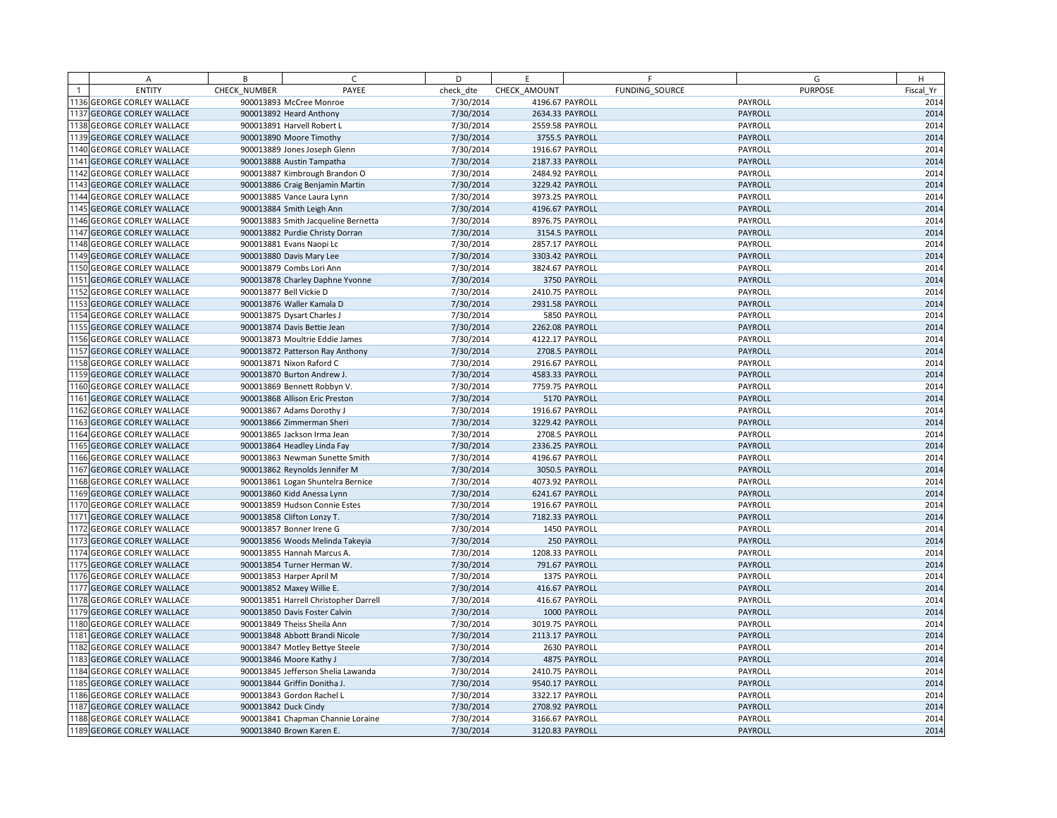| A                          | B            | C                                     | D         | E               | F              |         | G              | H         |
|----------------------------|--------------|---------------------------------------|-----------|-----------------|----------------|---------|----------------|-----------|
| <b>ENTITY</b>              | CHECK NUMBER | PAYEE                                 | check dte | CHECK AMOUNT    | FUNDING SOURCE |         | <b>PURPOSE</b> | Fiscal Yr |
| 1136 GEORGE CORLEY WALLACE |              | 900013893 McCree Monroe               | 7/30/2014 | 4196.67 PAYROLL |                | PAYROLL |                | 2014      |
| 1137 GEORGE CORLEY WALLACE |              | 900013892 Heard Anthony               | 7/30/2014 | 2634.33 PAYROLL |                | PAYROLL |                | 2014      |
| 1138 GEORGE CORLEY WALLACE |              | 900013891 Harvell Robert L            | 7/30/2014 | 2559.58 PAYROLL |                | PAYROLL |                | 2014      |
| 1139 GEORGE CORLEY WALLACE |              | 900013890 Moore Timothy               | 7/30/2014 |                 | 3755.5 PAYROLL | PAYROLL |                | 2014      |
| 1140 GEORGE CORLEY WALLACE |              | 900013889 Jones Joseph Glenn          | 7/30/2014 | 1916.67 PAYROLL |                | PAYROLL |                | 2014      |
| 1141 GEORGE CORLEY WALLACE |              | 900013888 Austin Tampatha             | 7/30/2014 | 2187.33 PAYROLL |                | PAYROLL |                | 2014      |
| 1142 GEORGE CORLEY WALLACE |              | 900013887 Kimbrough Brandon O         | 7/30/2014 | 2484.92 PAYROLL |                | PAYROLL |                | 2014      |
| 1143 GEORGE CORLEY WALLACE |              | 900013886 Craig Benjamin Martin       | 7/30/2014 | 3229.42 PAYROLL |                | PAYROLL |                | 2014      |
| 1144 GEORGE CORLEY WALLACE |              | 900013885 Vance Laura Lynn            | 7/30/2014 | 3973.25 PAYROLL |                | PAYROLL |                | 2014      |
| 1145 GEORGE CORLEY WALLACE |              | 900013884 Smith Leigh Ann             | 7/30/2014 | 4196.67 PAYROLL |                | PAYROLL |                | 2014      |
| 1146 GEORGE CORLEY WALLACE |              | 900013883 Smith Jacqueline Bernetta   | 7/30/2014 | 8976.75 PAYROLL |                | PAYROLL |                | 2014      |
| 1147 GEORGE CORLEY WALLACE |              | 900013882 Purdie Christy Dorran       | 7/30/2014 |                 | 3154.5 PAYROLL | PAYROLL |                | 2014      |
| 1148 GEORGE CORLEY WALLACE |              | 900013881 Evans Naopi Lc              | 7/30/2014 | 2857.17 PAYROLL |                | PAYROLL |                | 2014      |
| 1149 GEORGE CORLEY WALLACE |              | 900013880 Davis Mary Lee              | 7/30/2014 | 3303.42 PAYROLL |                | PAYROLL |                | 2014      |
| 1150 GEORGE CORLEY WALLACE |              | 900013879 Combs Lori Ann              | 7/30/2014 | 3824.67 PAYROLL |                | PAYROLL |                | 2014      |
| 1151 GEORGE CORLEY WALLACE |              | 900013878 Charley Daphne Yvonne       | 7/30/2014 |                 | 3750 PAYROLL   | PAYROLL |                | 2014      |
| 1152 GEORGE CORLEY WALLACE |              | 900013877 Bell Vickie D               | 7/30/2014 | 2410.75 PAYROLL |                | PAYROLL |                | 2014      |
| 1153 GEORGE CORLEY WALLACE |              | 900013876 Waller Kamala D             | 7/30/2014 | 2931.58 PAYROLL |                | PAYROLL |                | 2014      |
| 1154 GEORGE CORLEY WALLACE |              | 900013875 Dysart Charles J            | 7/30/2014 |                 | 5850 PAYROLL   | PAYROLL |                | 2014      |
| 1155 GEORGE CORLEY WALLACE |              | 900013874 Davis Bettie Jean           | 7/30/2014 | 2262.08 PAYROLL |                | PAYROLL |                | 2014      |
| 1156 GEORGE CORLEY WALLACE |              | 900013873 Moultrie Eddie James        | 7/30/2014 | 4122.17 PAYROLL |                | PAYROLL |                | 2014      |
| 1157 GEORGE CORLEY WALLACE |              | 900013872 Patterson Ray Anthony       | 7/30/2014 |                 | 2708.5 PAYROLL | PAYROLL |                | 2014      |
| 1158 GEORGE CORLEY WALLACE |              | 900013871 Nixon Raford C              | 7/30/2014 | 2916.67 PAYROLL |                | PAYROLL |                | 2014      |
| 1159 GEORGE CORLEY WALLACE |              | 900013870 Burton Andrew J.            | 7/30/2014 | 4583.33 PAYROLL |                | PAYROLL |                | 2014      |
| 1160 GEORGE CORLEY WALLACE |              | 900013869 Bennett Robbyn V.           | 7/30/2014 | 7759.75 PAYROLL |                | PAYROLL |                | 2014      |
| 1161 GEORGE CORLEY WALLACE |              | 900013868 Allison Eric Preston        | 7/30/2014 |                 | 5170 PAYROLL   | PAYROLL |                | 2014      |
| 1162 GEORGE CORLEY WALLACE |              | 900013867 Adams Dorothy J             | 7/30/2014 | 1916.67 PAYROLL |                | PAYROLL |                | 2014      |
| 1163 GEORGE CORLEY WALLACE |              | 900013866 Zimmerman Sheri             | 7/30/2014 | 3229.42 PAYROLL |                | PAYROLL |                | 2014      |
| 1164 GEORGE CORLEY WALLACE |              | 900013865 Jackson Irma Jean           | 7/30/2014 |                 | 2708.5 PAYROLL | PAYROLL |                | 2014      |
| 1165 GEORGE CORLEY WALLACE |              | 900013864 Headley Linda Fay           | 7/30/2014 | 2336.25 PAYROLL |                | PAYROLL |                | 2014      |
| 1166 GEORGE CORLEY WALLACE |              | 900013863 Newman Sunette Smith        | 7/30/2014 | 4196.67 PAYROLL |                | PAYROLL |                | 2014      |
| 1167 GEORGE CORLEY WALLACE |              | 900013862 Reynolds Jennifer M         | 7/30/2014 |                 | 3050.5 PAYROLL | PAYROLL |                | 2014      |
| 1168 GEORGE CORLEY WALLACE |              | 900013861 Logan Shuntelra Bernice     | 7/30/2014 | 4073.92 PAYROLL |                | PAYROLL |                | 2014      |
| 1169 GEORGE CORLEY WALLACE |              | 900013860 Kidd Anessa Lynn            | 7/30/2014 | 6241.67 PAYROLL |                | PAYROLL |                | 2014      |
| 1170 GEORGE CORLEY WALLACE |              | 900013859 Hudson Connie Estes         | 7/30/2014 | 1916.67 PAYROLL |                | PAYROLL |                | 2014      |
| 1171 GEORGE CORLEY WALLACE |              | 900013858 Clifton Lonzy T.            | 7/30/2014 | 7182.33 PAYROLL |                | PAYROLL |                | 2014      |
| 1172 GEORGE CORLEY WALLACE |              | 900013857 Bonner Irene G              | 7/30/2014 |                 | 1450 PAYROLL   | PAYROLL |                | 2014      |
| 1173 GEORGE CORLEY WALLACE |              | 900013856 Woods Melinda Takeyia       | 7/30/2014 |                 | 250 PAYROLL    | PAYROLL |                | 2014      |
| 1174 GEORGE CORLEY WALLACE |              | 900013855 Hannah Marcus A.            | 7/30/2014 | 1208.33 PAYROLL |                | PAYROLL |                | 2014      |
| 1175 GEORGE CORLEY WALLACE |              | 900013854 Turner Herman W.            | 7/30/2014 |                 | 791.67 PAYROLL | PAYROLL |                | 2014      |
| 1176 GEORGE CORLEY WALLACE |              | 900013853 Harper April M              | 7/30/2014 |                 | 1375 PAYROLL   | PAYROLL |                | 2014      |
| 1177 GEORGE CORLEY WALLACE |              | 900013852 Maxey Willie E.             | 7/30/2014 |                 | 416.67 PAYROLL | PAYROLL |                | 2014      |
| 1178 GEORGE CORLEY WALLACE |              | 900013851 Harrell Christopher Darrell | 7/30/2014 |                 | 416.67 PAYROLL | PAYROLL |                | 2014      |
| 1179 GEORGE CORLEY WALLACE |              | 900013850 Davis Foster Calvin         | 7/30/2014 |                 | 1000 PAYROLL   | PAYROLL |                | 2014      |
| 1180 GEORGE CORLEY WALLACE |              | 900013849 Theiss Sheila Ann           | 7/30/2014 | 3019.75 PAYROLL |                | PAYROLL |                | 2014      |
| 1181 GEORGE CORLEY WALLACE |              | 900013848 Abbott Brandi Nicole        | 7/30/2014 | 2113.17 PAYROLL |                | PAYROLL |                | 2014      |
| 1182 GEORGE CORLEY WALLACE |              | 900013847 Motley Bettye Steele        | 7/30/2014 |                 | 2630 PAYROLL   | PAYROLL |                | 2014      |
| 1183 GEORGE CORLEY WALLACE |              | 900013846 Moore Kathy J               | 7/30/2014 |                 | 4875 PAYROLL   | PAYROLL |                | 2014      |
| 1184 GEORGE CORLEY WALLACE |              | 900013845 Jefferson Shelia Lawanda    | 7/30/2014 | 2410.75 PAYROLL |                | PAYROLL |                | 2014      |
| 1185 GEORGE CORLEY WALLACE |              | 900013844 Griffin Donitha J.          | 7/30/2014 | 9540.17 PAYROLL |                | PAYROLL |                | 2014      |
| 1186 GEORGE CORLEY WALLACE |              | 900013843 Gordon Rachel L             | 7/30/2014 | 3322.17 PAYROLL |                | PAYROLL |                | 2014      |
| 1187 GEORGE CORLEY WALLACE |              | 900013842 Duck Cindy                  | 7/30/2014 | 2708.92 PAYROLL |                | PAYROLL |                | 2014      |
| 1188 GEORGE CORLEY WALLACE |              | 900013841 Chapman Channie Loraine     | 7/30/2014 | 3166.67 PAYROLL |                | PAYROLL |                | 2014      |
| 1189 GEORGE CORLEY WALLACE |              | 900013840 Brown Karen E.              | 7/30/2014 | 3120.83 PAYROLL |                | PAYROLL |                | 2014      |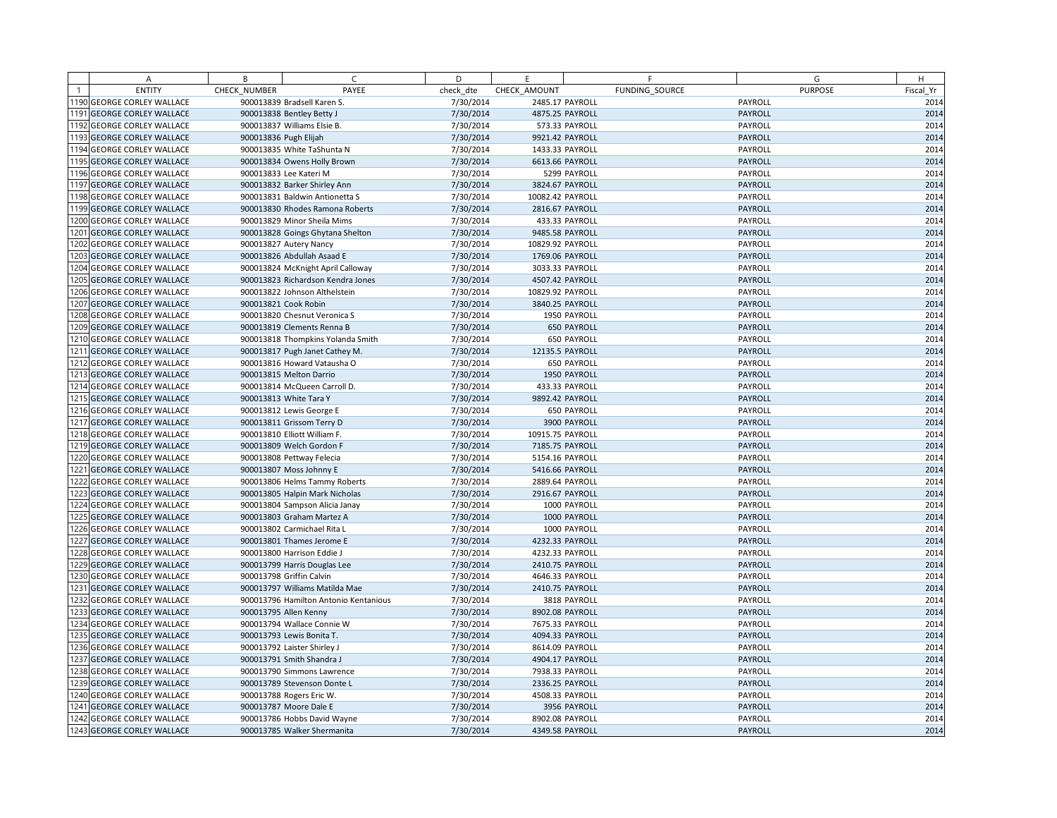| A                          | B            | C                                     | D         | E                | F                  | G              | H         |
|----------------------------|--------------|---------------------------------------|-----------|------------------|--------------------|----------------|-----------|
| <b>ENTITY</b>              | CHECK NUMBER | PAYEE                                 | check dte | CHECK AMOUNT     | FUNDING SOURCE     | <b>PURPOSE</b> | Fiscal Yr |
| 1190 GEORGE CORLEY WALLACE |              | 900013839 Bradsell Karen S.           | 7/30/2014 | 2485.17 PAYROLL  |                    | PAYROLL        | 2014      |
| 1191 GEORGE CORLEY WALLACE |              | 900013838 Bentley Betty J             | 7/30/2014 | 4875.25 PAYROLL  |                    | PAYROLL        | 2014      |
| 1192 GEORGE CORLEY WALLACE |              | 900013837 Williams Elsie B.           | 7/30/2014 |                  | 573.33 PAYROLL     | PAYROLL        | 2014      |
| 1193 GEORGE CORLEY WALLACE |              | 900013836 Pugh Elijah                 | 7/30/2014 | 9921.42 PAYROLL  |                    | PAYROLL        | 2014      |
| 1194 GEORGE CORLEY WALLACE |              | 900013835 White TaShunta N            | 7/30/2014 | 1433.33 PAYROLL  |                    | PAYROLL        | 2014      |
| 1195 GEORGE CORLEY WALLACE |              | 900013834 Owens Holly Brown           | 7/30/2014 | 6613.66 PAYROLL  |                    | PAYROLL        | 2014      |
| 1196 GEORGE CORLEY WALLACE |              | 900013833 Lee Kateri M                | 7/30/2014 |                  | 5299 PAYROLL       | PAYROLL        | 2014      |
| 1197 GEORGE CORLEY WALLACE |              | 900013832 Barker Shirley Ann          | 7/30/2014 | 3824.67 PAYROLL  |                    | PAYROLL        | 2014      |
| 1198 GEORGE CORLEY WALLACE |              | 900013831 Baldwin Antionetta S        | 7/30/2014 | 10082.42 PAYROLL |                    | PAYROLL        | 2014      |
| 1199 GEORGE CORLEY WALLACE |              | 900013830 Rhodes Ramona Roberts       | 7/30/2014 | 2816.67 PAYROLL  |                    | PAYROLL        | 2014      |
| 1200 GEORGE CORLEY WALLACE |              | 900013829 Minor Sheila Mims           | 7/30/2014 |                  | 433.33 PAYROLL     | PAYROLL        | 2014      |
| 201 GEORGE CORLEY WALLACE  |              | 900013828 Goings Ghytana Shelton      | 7/30/2014 | 9485.58 PAYROLL  |                    | PAYROLL        | 2014      |
| 1202 GEORGE CORLEY WALLACE |              | 900013827 Autery Nancy                | 7/30/2014 | 10829.92 PAYROLL |                    | PAYROLL        | 2014      |
| 1203 GEORGE CORLEY WALLACE |              | 900013826 Abdullah Asaad E            | 7/30/2014 | 1769.06 PAYROLL  |                    | PAYROLL        | 2014      |
| 1204 GEORGE CORLEY WALLACE |              | 900013824 McKnight April Calloway     | 7/30/2014 | 3033.33 PAYROLL  |                    | PAYROLL        | 2014      |
| 1205 GEORGE CORLEY WALLACE |              | 900013823 Richardson Kendra Jones     | 7/30/2014 | 4507.42 PAYROLL  |                    | PAYROLL        | 2014      |
| 1206 GEORGE CORLEY WALLACE |              | 900013822 Johnson Althelstein         | 7/30/2014 | 10829.92 PAYROLL |                    | PAYROLL        | 2014      |
| 1207 GEORGE CORLEY WALLACE |              | 900013821 Cook Robin                  | 7/30/2014 | 3840.25 PAYROLL  |                    | PAYROLL        | 2014      |
| 1208 GEORGE CORLEY WALLACE |              | 900013820 Chesnut Veronica S          | 7/30/2014 |                  | 1950 PAYROLL       | PAYROLL        | 2014      |
| 1209 GEORGE CORLEY WALLACE |              | 900013819 Clements Renna B            | 7/30/2014 |                  | <b>650 PAYROLL</b> | PAYROLL        | 2014      |
| 1210 GEORGE CORLEY WALLACE |              | 900013818 Thompkins Yolanda Smith     | 7/30/2014 |                  | 650 PAYROLL        | PAYROLL        | 2014      |
| 1211 GEORGE CORLEY WALLACE |              | 900013817 Pugh Janet Cathey M.        | 7/30/2014 | 12135.5 PAYROLL  |                    | PAYROLL        | 2014      |
| 1212 GEORGE CORLEY WALLACE |              | 900013816 Howard Vatausha O           | 7/30/2014 |                  | 650 PAYROLL        | PAYROLL        | 2014      |
| 1213 GEORGE CORLEY WALLACE |              | 900013815 Melton Darrio               | 7/30/2014 |                  | 1950 PAYROLL       | PAYROLL        | 2014      |
| 1214 GEORGE CORLEY WALLACE |              | 900013814 McQueen Carroll D.          | 7/30/2014 |                  | 433.33 PAYROLL     | PAYROLL        | 2014      |
| 1215 GEORGE CORLEY WALLACE |              | 900013813 White Tara Y                | 7/30/2014 | 9892.42 PAYROLL  |                    | PAYROLL        | 2014      |
| 1216 GEORGE CORLEY WALLACE |              | 900013812 Lewis George E              | 7/30/2014 |                  | 650 PAYROLL        | PAYROLL        | 2014      |
| 1217 GEORGE CORLEY WALLACE |              | 900013811 Grissom Terry D             | 7/30/2014 |                  | 3900 PAYROLL       | PAYROLL        | 2014      |
| 1218 GEORGE CORLEY WALLACE |              | 900013810 Elliott William F.          | 7/30/2014 | 10915.75 PAYROLL |                    | PAYROLL        | 2014      |
| 1219 GEORGE CORLEY WALLACE |              | 900013809 Welch Gordon F              | 7/30/2014 | 7185.75 PAYROLL  |                    | PAYROLL        | 2014      |
| 1220 GEORGE CORLEY WALLACE |              | 900013808 Pettway Felecia             | 7/30/2014 | 5154.16 PAYROLL  |                    | PAYROLL        | 2014      |
| 1221 GEORGE CORLEY WALLACE |              | 900013807 Moss Johnny E               | 7/30/2014 | 5416.66 PAYROLL  |                    | PAYROLL        | 2014      |
| 1222 GEORGE CORLEY WALLACE |              | 900013806 Helms Tammy Roberts         | 7/30/2014 | 2889.64 PAYROLL  |                    | PAYROLL        | 2014      |
| 1223 GEORGE CORLEY WALLACE |              | 900013805 Halpin Mark Nicholas        | 7/30/2014 | 2916.67 PAYROLL  |                    | PAYROLL        | 2014      |
| 1224 GEORGE CORLEY WALLACE |              | 900013804 Sampson Alicia Janay        | 7/30/2014 |                  | 1000 PAYROLL       | PAYROLL        | 2014      |
| 1225 GEORGE CORLEY WALLACE |              | 900013803 Graham Martez A             | 7/30/2014 |                  | 1000 PAYROLL       | PAYROLL        | 2014      |
| 1226 GEORGE CORLEY WALLACE |              | 900013802 Carmichael Rita L           | 7/30/2014 |                  | 1000 PAYROLL       | PAYROLL        | 2014      |
| 1227 GEORGE CORLEY WALLACE |              | 900013801 Thames Jerome E             | 7/30/2014 | 4232.33 PAYROLL  |                    | PAYROLL        | 2014      |
| 1228 GEORGE CORLEY WALLACE |              | 900013800 Harrison Eddie J            | 7/30/2014 | 4232.33 PAYROLL  |                    | PAYROLL        | 2014      |
| 1229 GEORGE CORLEY WALLACE |              | 900013799 Harris Douglas Lee          | 7/30/2014 | 2410.75 PAYROLL  |                    | PAYROLL        | 2014      |
| 1230 GEORGE CORLEY WALLACE |              | 900013798 Griffin Calvin              | 7/30/2014 | 4646.33 PAYROLL  |                    | PAYROLL        | 2014      |
| 1231 GEORGE CORLEY WALLACE |              | 900013797 Williams Matilda Mae        | 7/30/2014 | 2410.75 PAYROLL  |                    | PAYROLL        | 2014      |
| 1232 GEORGE CORLEY WALLACE |              | 900013796 Hamilton Antonio Kentanious | 7/30/2014 |                  | 3818 PAYROLL       | PAYROLL        | 2014      |
| 1233 GEORGE CORLEY WALLACE |              | 900013795 Allen Kenny                 | 7/30/2014 | 8902.08 PAYROLL  |                    | PAYROLL        | 2014      |
| 1234 GEORGE CORLEY WALLACE |              | 900013794 Wallace Connie W            | 7/30/2014 | 7675.33 PAYROLL  |                    | PAYROLL        | 2014      |
| 1235 GEORGE CORLEY WALLACE |              | 900013793 Lewis Bonita T.             | 7/30/2014 | 4094.33 PAYROLL  |                    | PAYROLL        | 2014      |
| 1236 GEORGE CORLEY WALLACE |              | 900013792 Laister Shirley J           | 7/30/2014 | 8614.09 PAYROLL  |                    | PAYROLL        | 2014      |
| 1237 GEORGE CORLEY WALLACE |              | 900013791 Smith Shandra J             | 7/30/2014 | 4904.17 PAYROLL  |                    | PAYROLL        | 2014      |
| 1238 GEORGE CORLEY WALLACE |              | 900013790 Simmons Lawrence            | 7/30/2014 | 7938.33 PAYROLL  |                    | PAYROLL        | 2014      |
| 1239 GEORGE CORLEY WALLACE |              | 900013789 Stevenson Donte L           | 7/30/2014 | 2336.25 PAYROLL  |                    | PAYROLL        | 2014      |
| 1240 GEORGE CORLEY WALLACE |              | 900013788 Rogers Eric W.              | 7/30/2014 | 4508.33 PAYROLL  |                    | PAYROLL        | 2014      |
| 1241 GEORGE CORLEY WALLACE |              | 900013787 Moore Dale E                | 7/30/2014 |                  | 3956 PAYROLL       | PAYROLL        | 2014      |
| 1242 GEORGE CORLEY WALLACE |              | 900013786 Hobbs David Wayne           | 7/30/2014 | 8902.08 PAYROLL  |                    | PAYROLL        | 2014      |
| 1243 GEORGE CORLEY WALLACE |              | 900013785 Walker Shermanita           | 7/30/2014 | 4349.58 PAYROLL  |                    | PAYROLL        | 2014      |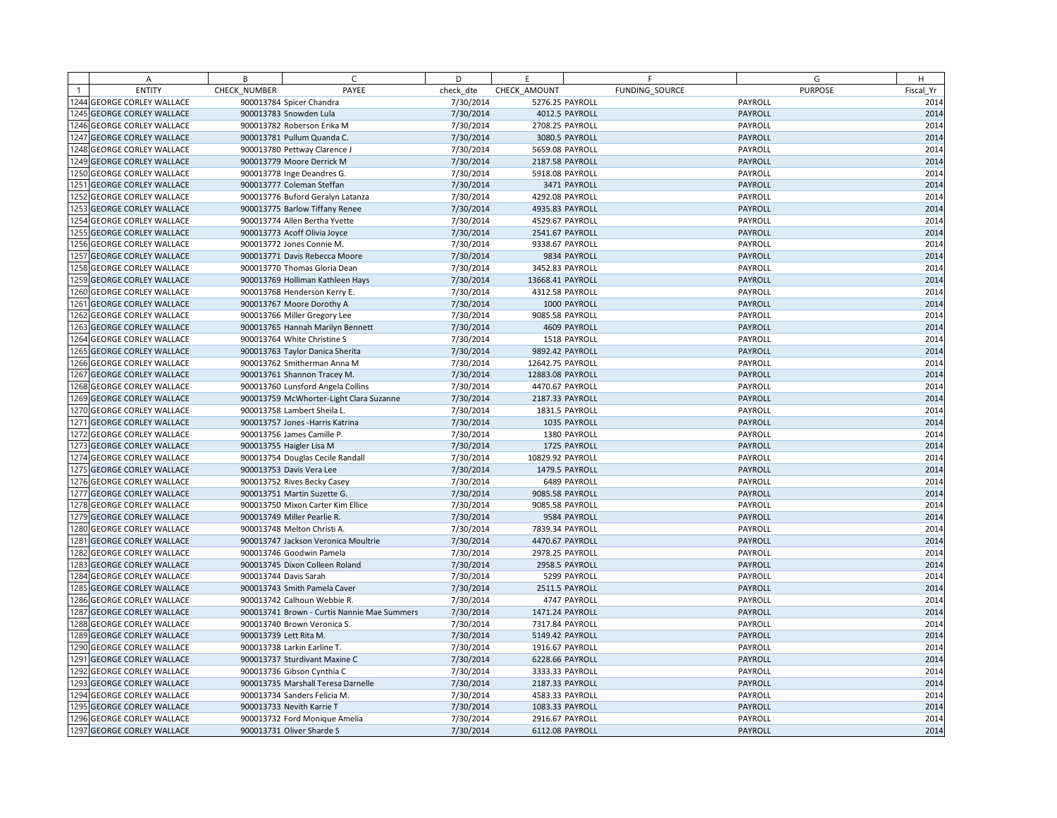| A                                                        | B            | C                                           | D         | E                                  | F              |                    | G              | H            |
|----------------------------------------------------------|--------------|---------------------------------------------|-----------|------------------------------------|----------------|--------------------|----------------|--------------|
| <b>ENTITY</b>                                            | CHECK NUMBER | PAYEE                                       | check dte | CHECK AMOUNT                       | FUNDING SOURCE |                    | <b>PURPOSE</b> | Fiscal Yr    |
| 1244 GEORGE CORLEY WALLACE                               |              | 900013784 Spicer Chandra                    | 7/30/2014 | 5276.25 PAYROLL                    |                | PAYROLL            |                | 2014         |
| 1245 GEORGE CORLEY WALLACE                               |              | 900013783 Snowden Lula                      | 7/30/2014 |                                    | 4012.5 PAYROLL | PAYROLL            |                | 2014         |
| 1246 GEORGE CORLEY WALLACE                               |              | 900013782 Roberson Erika M                  | 7/30/2014 | 2708.25 PAYROLL                    |                | PAYROLL            |                | 2014         |
| 1247 GEORGE CORLEY WALLACE                               |              | 900013781 Pullum Quanda C.                  | 7/30/2014 |                                    | 3080.5 PAYROLL | PAYROLL            |                | 2014         |
| 1248 GEORGE CORLEY WALLACE                               |              | 900013780 Pettway Clarence J                | 7/30/2014 | 5659.08 PAYROLL                    |                | PAYROLL            |                | 2014         |
| 1249 GEORGE CORLEY WALLACE                               |              | 900013779 Moore Derrick M                   | 7/30/2014 | 2187.58 PAYROLL                    |                | PAYROLL            |                | 2014         |
| 1250 GEORGE CORLEY WALLACE                               |              | 900013778 Inge Deandres G.                  | 7/30/2014 | 5918.08 PAYROLL                    |                | PAYROLL            |                | 2014         |
| 1251 GEORGE CORLEY WALLACE                               |              | 900013777 Coleman Steffan                   | 7/30/2014 |                                    | 3471 PAYROLL   | PAYROLL            |                | 2014         |
| 1252 GEORGE CORLEY WALLACE                               |              | 900013776 Buford Geralyn Latanza            | 7/30/2014 | 4292.08 PAYROLL                    |                | PAYROLL            |                | 2014         |
| 1253 GEORGE CORLEY WALLACE                               |              | 900013775 Barlow Tiffany Renee              | 7/30/2014 | 4935.83 PAYROLL                    |                | PAYROLL            |                | 2014         |
| 1254 GEORGE CORLEY WALLACE                               |              | 900013774 Allen Bertha Yvette               | 7/30/2014 | 4529.67 PAYROLL                    |                | PAYROLL            |                | 2014         |
| 1255 GEORGE CORLEY WALLACE                               |              | 900013773 Acoff Olivia Joyce                | 7/30/2014 | 2541.67 PAYROLL                    |                | PAYROLL            |                | 2014         |
| 1256 GEORGE CORLEY WALLACE                               |              | 900013772 Jones Connie M.                   | 7/30/2014 | 9338.67 PAYROLL                    |                | PAYROLL            |                | 2014         |
| 1257 GEORGE CORLEY WALLACE                               |              | 900013771 Davis Rebecca Moore               | 7/30/2014 |                                    | 9834 PAYROLL   | PAYROLL            |                | 2014         |
| 1258 GEORGE CORLEY WALLACE                               |              | 900013770 Thomas Gloria Dean                | 7/30/2014 | 3452.83 PAYROLL                    |                | PAYROLL            |                | 2014         |
| 1259 GEORGE CORLEY WALLACE                               |              | 900013769 Holliman Kathleen Hays            | 7/30/2014 | 13668.41 PAYROLL                   |                | PAYROLL            |                | 2014         |
| 1260 GEORGE CORLEY WALLACE                               |              | 900013768 Henderson Kerry E.                | 7/30/2014 | 4312.58 PAYROLL                    |                | PAYROLL            |                | 2014         |
| 1261 GEORGE CORLEY WALLACE                               |              | 900013767 Moore Dorothy A                   | 7/30/2014 |                                    | 1000 PAYROLL   | PAYROLL            |                | 2014         |
| 1262 GEORGE CORLEY WALLACE                               |              | 900013766 Miller Gregory Lee                | 7/30/2014 | 9085.58 PAYROLL                    |                | PAYROLL            |                | 2014         |
| 1263 GEORGE CORLEY WALLACE                               |              | 900013765 Hannah Marilyn Bennett            | 7/30/2014 |                                    | 4609 PAYROLL   | PAYROLL            |                | 2014         |
| 1264 GEORGE CORLEY WALLACE                               |              | 900013764 White Christine S                 | 7/30/2014 |                                    | 1518 PAYROLL   | PAYROLL            |                | 2014         |
| 1265 GEORGE CORLEY WALLACE                               |              | 900013763 Taylor Danica Sherita             | 7/30/2014 | 9892.42 PAYROLL                    |                | PAYROLL            |                | 2014         |
| 1266 GEORGE CORLEY WALLACE                               |              | 900013762 Smitherman Anna M                 | 7/30/2014 | 12642.75 PAYROLL                   |                | PAYROLL            |                | 2014         |
| 1267 GEORGE CORLEY WALLACE                               |              | 900013761 Shannon Tracey M.                 | 7/30/2014 | 12883.08 PAYROLL                   |                | PAYROLL            |                | 2014         |
| 1268 GEORGE CORLEY WALLACE                               |              | 900013760 Lunsford Angela Collins           | 7/30/2014 | 4470.67 PAYROLL                    |                | PAYROLL            |                | 2014         |
| 1269 GEORGE CORLEY WALLACE                               |              | 900013759 McWhorter-Light Clara Suzanne     | 7/30/2014 | 2187.33 PAYROLL                    |                | PAYROLL            |                | 2014         |
| 1270 GEORGE CORLEY WALLACE                               |              | 900013758 Lambert Sheila L.                 | 7/30/2014 |                                    | 1831.5 PAYROLL | PAYROLL            |                | 2014         |
| 1271 GEORGE CORLEY WALLACE                               |              | 900013757 Jones - Harris Katrina            | 7/30/2014 |                                    | 1035 PAYROLL   | PAYROLL            |                | 2014         |
| 1272 GEORGE CORLEY WALLACE                               |              | 900013756 James Camille P.                  | 7/30/2014 |                                    | 1380 PAYROLL   | PAYROLL            |                | 2014         |
| 1273 GEORGE CORLEY WALLACE                               |              | 900013755 Haigler Lisa M                    | 7/30/2014 |                                    | 1725 PAYROLL   | PAYROLL            |                | 2014         |
| 1274 GEORGE CORLEY WALLACE                               |              | 900013754 Douglas Cecile Randall            | 7/30/2014 | 10829.92 PAYROLL                   |                | PAYROLL            |                | 2014         |
| 1275 GEORGE CORLEY WALLACE                               |              | 900013753 Davis Vera Lee                    | 7/30/2014 |                                    | 1479.5 PAYROLL | PAYROLL            |                | 2014         |
| 1276 GEORGE CORLEY WALLACE                               |              | 900013752 Rives Becky Casey                 | 7/30/2014 |                                    | 6489 PAYROLL   | PAYROLL            |                | 2014         |
| 1277 GEORGE CORLEY WALLACE                               |              | 900013751 Martin Suzette G.                 | 7/30/2014 | 9085.58 PAYROLL                    |                | PAYROLL            |                | 2014         |
| 1278 GEORGE CORLEY WALLACE                               |              | 900013750 Mixon Carter Kim Ellice           | 7/30/2014 | 9085.58 PAYROLL                    |                | PAYROLL            |                | 2014         |
| 1279 GEORGE CORLEY WALLACE                               |              | 900013749 Miller Pearlie R.                 | 7/30/2014 |                                    | 9584 PAYROLL   | PAYROLL            |                | 2014         |
| 1280 GEORGE CORLEY WALLACE                               |              | 900013748 Melton Christi A.                 | 7/30/2014 | 7839.34 PAYROLL                    |                | PAYROLL            |                | 2014         |
| 1281 GEORGE CORLEY WALLACE                               |              | 900013747 Jackson Veronica Moultrie         | 7/30/2014 | 4470.67 PAYROLL                    |                | PAYROLL            |                | 2014         |
| 1282 GEORGE CORLEY WALLACE                               |              | 900013746 Goodwin Pamela                    | 7/30/2014 | 2978.25 PAYROLL                    |                | PAYROLL            |                | 2014         |
| 1283 GEORGE CORLEY WALLACE                               |              | 900013745 Dixon Colleen Roland              | 7/30/2014 |                                    | 2958.5 PAYROLL | PAYROLL            |                | 2014         |
| 1284 GEORGE CORLEY WALLACE                               |              | 900013744 Davis Sarah                       | 7/30/2014 |                                    | 5299 PAYROLL   | PAYROLL            |                | 2014         |
| 1285 GEORGE CORLEY WALLACE                               |              | 900013743 Smith Pamela Caver                | 7/30/2014 |                                    | 2511.5 PAYROLL | PAYROLL            |                | 2014         |
| 1286 GEORGE CORLEY WALLACE                               |              | 900013742 Calhoun Webbie R.                 | 7/30/2014 |                                    | 4747 PAYROLL   | PAYROLL            |                | 2014         |
| 1287 GEORGE CORLEY WALLACE                               |              | 900013741 Brown - Curtis Nannie Mae Summers | 7/30/2014 | 1471.24 PAYROLL                    |                | PAYROLL            |                | 2014         |
| 1288 GEORGE CORLEY WALLACE                               |              | 900013740 Brown Veronica S.                 | 7/30/2014 | 7317.84 PAYROLL                    |                | PAYROLL            |                | 2014         |
| 1289 GEORGE CORLEY WALLACE                               |              | 900013739 Lett Rita M.                      | 7/30/2014 | 5149.42 PAYROLL                    |                | <b>PAYROLL</b>     |                | 2014         |
| 1290 GEORGE CORLEY WALLACE                               |              | 900013738 Larkin Earline T.                 | 7/30/2014 | 1916.67 PAYROLL                    |                | PAYROLL            |                | 2014         |
| 1291 GEORGE CORLEY WALLACE                               |              | 900013737 Sturdivant Maxine C               | 7/30/2014 | 6228.66 PAYROLL                    |                | PAYROLL            |                | 2014         |
| 1292 GEORGE CORLEY WALLACE                               |              | 900013736 Gibson Cynthia C                  | 7/30/2014 | 3333.33 PAYROLL                    |                | PAYROLL            |                | 2014         |
| 1293 GEORGE CORLEY WALLACE                               |              | 900013735 Marshall Teresa Darnelle          | 7/30/2014 | 2187.33 PAYROLL                    |                | PAYROLL            |                | 2014         |
| 1294 GEORGE CORLEY WALLACE                               |              | 900013734 Sanders Felicia M.                | 7/30/2014 | 4583.33 PAYROLL                    |                | PAYROLL            |                | 2014         |
| 1295 GEORGE CORLEY WALLACE<br>1296 GEORGE CORLEY WALLACE |              | 900013733 Nevith Karrie T                   | 7/30/2014 | 1083.33 PAYROLL<br>2916.67 PAYROLL |                | PAYROLL<br>PAYROLL |                | 2014<br>2014 |
|                                                          |              | 900013732 Ford Monique Amelia               | 7/30/2014 |                                    |                | PAYROLL            |                |              |
| 1297 GEORGE CORLEY WALLACE                               |              | 900013731 Oliver Sharde S                   | 7/30/2014 | 6112.08 PAYROLL                    |                |                    |                | 2014         |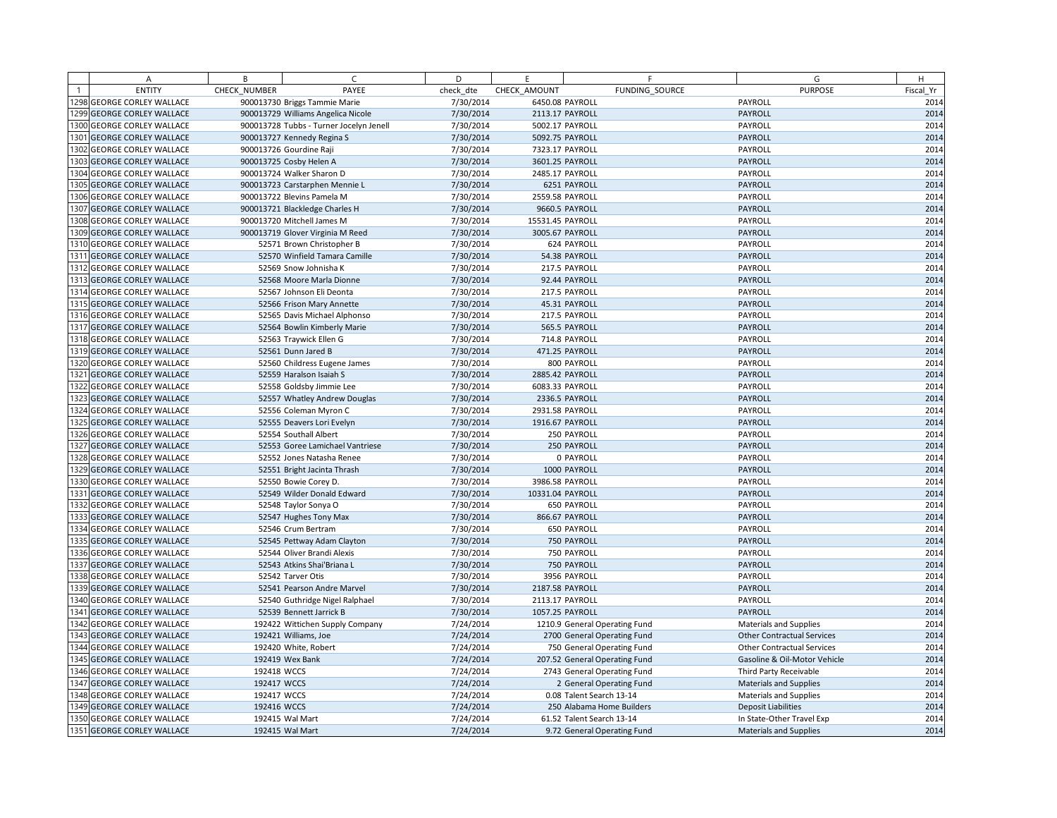|                | A                            | B            | C.                                      | D         | E.               | F                             | G                                 | H         |
|----------------|------------------------------|--------------|-----------------------------------------|-----------|------------------|-------------------------------|-----------------------------------|-----------|
| $\overline{1}$ | <b>ENTITY</b>                | CHECK NUMBER | PAYEE                                   | check dte | CHECK AMOUNT     | FUNDING SOURCE                | <b>PURPOSE</b>                    | Fiscal Yr |
|                | 1298 GEORGE CORLEY WALLACE   |              | 900013730 Briggs Tammie Marie           | 7/30/2014 | 6450.08 PAYROLL  |                               | PAYROLL                           | 2014      |
|                | 1299 GEORGE CORLEY WALLACE   |              | 900013729 Williams Angelica Nicole      | 7/30/2014 | 2113.17 PAYROLL  |                               | PAYROLL                           | 2014      |
|                | 1300 GEORGE CORLEY WALLACE   |              | 900013728 Tubbs - Turner Jocelyn Jenell | 7/30/2014 | 5002.17 PAYROLL  |                               | PAYROLL                           | 2014      |
|                | 1301 GEORGE CORLEY WALLACE   |              | 900013727 Kennedy Regina S              | 7/30/2014 | 5092.75 PAYROLL  |                               | PAYROLL                           | 2014      |
|                | 1302 GEORGE CORLEY WALLACE   |              | 900013726 Gourdine Raji                 | 7/30/2014 | 7323.17 PAYROLL  |                               | PAYROLL                           | 2014      |
|                | 1303 GEORGE CORLEY WALLACE   |              | 900013725 Cosby Helen A                 | 7/30/2014 | 3601.25 PAYROLL  |                               | PAYROLL                           | 2014      |
|                | 1304 GEORGE CORLEY WALLACE   |              | 900013724 Walker Sharon D               | 7/30/2014 | 2485.17 PAYROLL  |                               | PAYROLL                           | 2014      |
|                | 1305 GEORGE CORLEY WALLACE   |              | 900013723 Carstarphen Mennie L          | 7/30/2014 |                  | 6251 PAYROLL                  | PAYROLL                           | 2014      |
|                | 1306 GEORGE CORLEY WALLACE   |              | 900013722 Blevins Pamela M              | 7/30/2014 | 2559.58 PAYROLL  |                               | PAYROLL                           | 2014      |
|                | 1307 GEORGE CORLEY WALLACE   |              | 900013721 Blackledge Charles H          | 7/30/2014 |                  | 9660.5 PAYROLL                | PAYROLL                           | 2014      |
|                | 1308 GEORGE CORLEY WALLACE   |              | 900013720 Mitchell James M              | 7/30/2014 | 15531.45 PAYROLL |                               | PAYROLL                           | 2014      |
|                | 1309 GEORGE CORLEY WALLACE   |              | 900013719 Glover Virginia M Reed        | 7/30/2014 |                  | 3005.67 PAYROLL               | PAYROLL                           | 2014      |
|                | 1310 GEORGE CORLEY WALLACE   |              | 52571 Brown Christopher B               | 7/30/2014 |                  | 624 PAYROLL                   | PAYROLL                           | 2014      |
|                | 1311 GEORGE CORLEY WALLACE   |              | 52570 Winfield Tamara Camille           | 7/30/2014 |                  | 54.38 PAYROLL                 | PAYROLL                           | 2014      |
|                | 1312 GEORGE CORLEY WALLACE   |              | 52569 Snow Johnisha K                   | 7/30/2014 |                  | 217.5 PAYROLL                 | PAYROLL                           | 2014      |
|                | 1313 GEORGE CORLEY WALLACE   |              | 52568 Moore Marla Dionne                | 7/30/2014 |                  | 92.44 PAYROLL                 | PAYROLL                           | 2014      |
|                | 1314 GEORGE CORLEY WALLACE   |              | 52567 Johnson Eli Deonta                | 7/30/2014 |                  | 217.5 PAYROLL                 | PAYROLL                           | 2014      |
|                | 1315 GEORGE CORLEY WALLACE   |              | 52566 Frison Mary Annette               | 7/30/2014 |                  | 45.31 PAYROLL                 | PAYROLL                           | 2014      |
|                | 1316 GEORGE CORLEY WALLACE   |              | 52565 Davis Michael Alphonso            | 7/30/2014 |                  | 217.5 PAYROLL                 | PAYROLL                           | 2014      |
|                | 1317 GEORGE CORLEY WALLACE   |              | 52564 Bowlin Kimberly Marie             | 7/30/2014 |                  | 565.5 PAYROLL                 | PAYROLL                           | 2014      |
|                | 1318 GEORGE CORLEY WALLACE   |              | 52563 Traywick Ellen G                  | 7/30/2014 |                  | 714.8 PAYROLL                 | PAYROLL                           | 2014      |
|                | 1319 GEORGE CORLEY WALLACE   |              | 52561 Dunn Jared B                      | 7/30/2014 |                  | 471.25 PAYROLL                | PAYROLL                           | 2014      |
|                | 1320 GEORGE CORLEY WALLACE   |              | 52560 Childress Eugene James            | 7/30/2014 |                  | 800 PAYROLL                   | PAYROLL                           | 2014      |
| 1321           | <b>GEORGE CORLEY WALLACE</b> |              | 52559 Haralson Isaiah S                 | 7/30/2014 | 2885.42 PAYROLL  |                               | PAYROLL                           | 2014      |
|                | 1322 GEORGE CORLEY WALLACE   |              | 52558 Goldsby Jimmie Lee                | 7/30/2014 | 6083.33 PAYROLL  |                               | PAYROLL                           | 2014      |
|                | 1323 GEORGE CORLEY WALLACE   |              | 52557 Whatley Andrew Douglas            | 7/30/2014 |                  | 2336.5 PAYROLL                | PAYROLL                           | 2014      |
|                | 1324 GEORGE CORLEY WALLACE   |              | 52556 Coleman Myron C                   | 7/30/2014 | 2931.58 PAYROLL  |                               | PAYROLL                           | 2014      |
|                | 1325 GEORGE CORLEY WALLACE   |              | 52555 Deavers Lori Evelyn               | 7/30/2014 | 1916.67 PAYROLL  |                               | PAYROLL                           | 2014      |
|                | 1326 GEORGE CORLEY WALLACE   |              | 52554 Southall Albert                   | 7/30/2014 |                  | 250 PAYROLL                   | PAYROLL                           | 2014      |
|                | 1327 GEORGE CORLEY WALLACE   |              | 52553 Goree Lamichael Vantriese         | 7/30/2014 |                  | 250 PAYROLL                   | PAYROLL                           | 2014      |
|                | 1328 GEORGE CORLEY WALLACE   |              | 52552 Jones Natasha Renee               | 7/30/2014 |                  | 0 PAYROLL                     | PAYROLL                           | 2014      |
|                | 1329 GEORGE CORLEY WALLACE   |              | 52551 Bright Jacinta Thrash             | 7/30/2014 |                  | 1000 PAYROLL                  | PAYROLL                           | 2014      |
|                | 1330 GEORGE CORLEY WALLACE   |              | 52550 Bowie Corey D.                    | 7/30/2014 | 3986.58 PAYROLL  |                               | PAYROLL                           | 2014      |
|                | 1331 GEORGE CORLEY WALLACE   |              | 52549 Wilder Donald Edward              | 7/30/2014 | 10331.04 PAYROLL |                               | PAYROLL                           | 2014      |
|                | 1332 GEORGE CORLEY WALLACE   |              | 52548 Taylor Sonya O                    | 7/30/2014 |                  | 650 PAYROLL                   | PAYROLL                           | 2014      |
|                | 1333 GEORGE CORLEY WALLACE   |              | 52547 Hughes Tony Max                   | 7/30/2014 |                  | 866.67 PAYROLL                | PAYROLL                           | 2014      |
|                | 1334 GEORGE CORLEY WALLACE   |              | 52546 Crum Bertram                      | 7/30/2014 |                  | 650 PAYROLL                   | PAYROLL                           | 2014      |
|                | 1335 GEORGE CORLEY WALLACE   |              | 52545 Pettway Adam Clayton              | 7/30/2014 |                  | 750 PAYROLL                   | PAYROLL                           | 2014      |
|                | 1336 GEORGE CORLEY WALLACE   |              | 52544 Oliver Brandi Alexis              | 7/30/2014 |                  | 750 PAYROLL                   | PAYROLL                           | 2014      |
|                | 1337 GEORGE CORLEY WALLACE   |              | 52543 Atkins Shai'Briana L              | 7/30/2014 |                  | 750 PAYROLL                   | PAYROLL                           | 2014      |
|                | 1338 GEORGE CORLEY WALLACE   |              | 52542 Tarver Otis                       | 7/30/2014 |                  | 3956 PAYROLL                  | PAYROLL                           | 2014      |
|                | 1339 GEORGE CORLEY WALLACE   |              | 52541 Pearson Andre Marvel              | 7/30/2014 |                  | 2187.58 PAYROLL               | PAYROLL                           | 2014      |
|                | 1340 GEORGE CORLEY WALLACE   |              | 52540 Guthridge Nigel Ralphael          | 7/30/2014 | 2113.17 PAYROLL  |                               | PAYROLL                           | 2014      |
|                | 1341 GEORGE CORLEY WALLACE   |              | 52539 Bennett Jarrick B                 | 7/30/2014 |                  | 1057.25 PAYROLL               | PAYROLL                           | 2014      |
|                | 1342 GEORGE CORLEY WALLACE   |              | 192422 Wittichen Supply Company         | 7/24/2014 |                  | 1210.9 General Operating Fund | Materials and Supplies            | 2014      |
|                | 1343 GEORGE CORLEY WALLACE   |              | 192421 Williams, Joe                    | 7/24/2014 |                  | 2700 General Operating Fund   | <b>Other Contractual Services</b> | 2014      |
|                | 1344 GEORGE CORLEY WALLACE   |              | 192420 White, Robert                    | 7/24/2014 |                  | 750 General Operating Fund    | <b>Other Contractual Services</b> | 2014      |
|                | 1345 GEORGE CORLEY WALLACE   |              | 192419 Wex Bank                         | 7/24/2014 |                  | 207.52 General Operating Fund | Gasoline & Oil-Motor Vehicle      | 2014      |
|                | 1346 GEORGE CORLEY WALLACE   | 192418 WCCS  |                                         | 7/24/2014 |                  | 2743 General Operating Fund   | Third Party Receivable            | 2014      |
|                | 1347 GEORGE CORLEY WALLACE   | 192417 WCCS  |                                         | 7/24/2014 |                  | 2 General Operating Fund      | <b>Materials and Supplies</b>     | 2014      |
|                | 1348 GEORGE CORLEY WALLACE   | 192417 WCCS  |                                         | 7/24/2014 |                  | 0.08 Talent Search 13-14      | Materials and Supplies            | 2014      |
|                | 1349 GEORGE CORLEY WALLACE   | 192416 WCCS  |                                         | 7/24/2014 |                  | 250 Alabama Home Builders     | <b>Deposit Liabilities</b>        | 2014      |
|                | 1350 GEORGE CORLEY WALLACE   |              | 192415 Wal Mart                         | 7/24/2014 |                  | 61.52 Talent Search 13-14     | In State-Other Travel Exp         | 2014      |
|                | 1351 GEORGE CORLEY WALLACE   |              | 192415 Wal Mart                         | 7/24/2014 |                  | 9.72 General Operating Fund   | <b>Materials and Supplies</b>     | 2014      |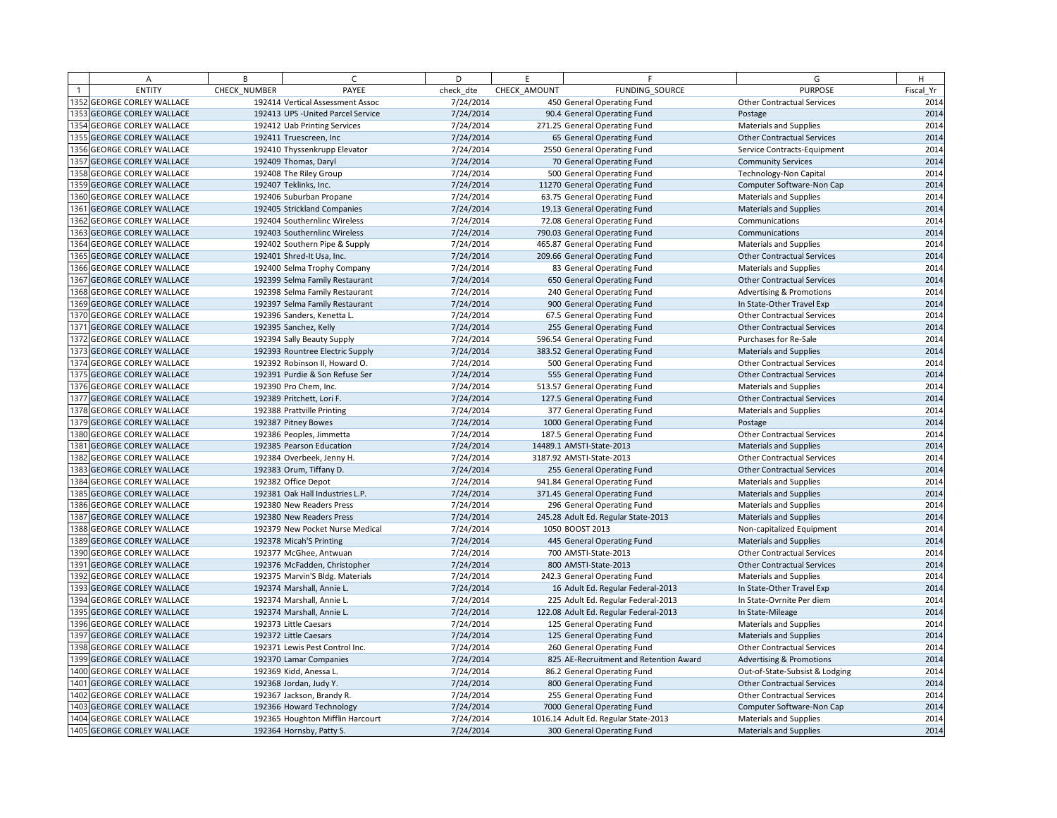|      | Α                            | B            | $\sqrt{ }$                         | D         | F.           | F.                                     | G                                   | H         |
|------|------------------------------|--------------|------------------------------------|-----------|--------------|----------------------------------------|-------------------------------------|-----------|
|      | <b>ENTITY</b>                | CHECK NUMBER | PAYEE                              | check dte | CHECK AMOUNT | FUNDING SOURCE                         | <b>PURPOSE</b>                      | Fiscal Yr |
|      | 1352 GEORGE CORLEY WALLACE   |              | 192414 Vertical Assessment Assoc   | 7/24/2014 |              | 450 General Operating Fund             | <b>Other Contractual Services</b>   | 2014      |
|      | 1353 GEORGE CORLEY WALLACE   |              | 192413 UPS - United Parcel Service | 7/24/2014 |              | 90.4 General Operating Fund            | Postage                             | 2014      |
|      | 1354 GEORGE CORLEY WALLACE   |              | 192412 Uab Printing Services       | 7/24/2014 |              | 271.25 General Operating Fund          | <b>Materials and Supplies</b>       | 2014      |
|      | 1355 GEORGE CORLEY WALLACE   |              | 192411 Truescreen, Inc             | 7/24/2014 |              | 65 General Operating Fund              | <b>Other Contractual Services</b>   | 2014      |
|      | 1356 GEORGE CORLEY WALLACE   |              | 192410 Thyssenkrupp Elevator       | 7/24/2014 |              | 2550 General Operating Fund            | Service Contracts-Equipment         | 2014      |
|      | 1357 GEORGE CORLEY WALLACE   |              | 192409 Thomas, Daryl               | 7/24/2014 |              | 70 General Operating Fund              | <b>Community Services</b>           | 2014      |
|      | 1358 GEORGE CORLEY WALLACE   |              | 192408 The Riley Group             | 7/24/2014 |              | 500 General Operating Fund             | <b>Technology-Non Capital</b>       | 2014      |
|      | 1359 GEORGE CORLEY WALLACE   |              | 192407 Teklinks, Inc.              | 7/24/2014 |              | 11270 General Operating Fund           | Computer Software-Non Cap           | 2014      |
|      | 1360 GEORGE CORLEY WALLACE   |              | 192406 Suburban Propane            | 7/24/2014 |              | 63.75 General Operating Fund           | <b>Materials and Supplies</b>       | 2014      |
|      | 1361 GEORGE CORLEY WALLACE   |              | 192405 Strickland Companies        | 7/24/2014 |              | 19.13 General Operating Fund           | <b>Materials and Supplies</b>       | 2014      |
|      | 1362 GEORGE CORLEY WALLACE   |              | 192404 Southernlinc Wireless       | 7/24/2014 |              | 72.08 General Operating Fund           | Communications                      | 2014      |
|      | 1363 GEORGE CORLEY WALLACE   |              | 192403 Southernlinc Wireless       | 7/24/2014 |              | 790.03 General Operating Fund          | Communications                      | 2014      |
|      | 1364 GEORGE CORLEY WALLACE   |              | 192402 Southern Pipe & Supply      | 7/24/2014 |              | 465.87 General Operating Fund          | <b>Materials and Supplies</b>       | 2014      |
|      | 1365 GEORGE CORLEY WALLACE   |              | 192401 Shred-It Usa, Inc.          | 7/24/2014 |              | 209.66 General Operating Fund          | <b>Other Contractual Services</b>   | 2014      |
|      | 1366 GEORGE CORLEY WALLACE   |              | 192400 Selma Trophy Company        | 7/24/2014 |              | 83 General Operating Fund              | Materials and Supplies              | 2014      |
|      | 1367 GEORGE CORLEY WALLACE   |              | 192399 Selma Family Restaurant     | 7/24/2014 |              | 650 General Operating Fund             | <b>Other Contractual Services</b>   | 2014      |
|      | 1368 GEORGE CORLEY WALLACE   |              | 192398 Selma Family Restaurant     | 7/24/2014 |              | 240 General Operating Fund             | <b>Advertising &amp; Promotions</b> | 2014      |
|      | 1369 GEORGE CORLEY WALLACE   |              | 192397 Selma Family Restaurant     | 7/24/2014 |              | 900 General Operating Fund             | In State-Other Travel Exp           | 2014      |
|      | 1370 GEORGE CORLEY WALLACE   |              | 192396 Sanders, Kenetta L.         | 7/24/2014 |              | 67.5 General Operating Fund            | <b>Other Contractual Services</b>   | 2014      |
|      | 1371 GEORGE CORLEY WALLACE   |              | 192395 Sanchez, Kelly              | 7/24/2014 |              | 255 General Operating Fund             | <b>Other Contractual Services</b>   | 2014      |
|      | 1372 GEORGE CORLEY WALLACE   |              | 192394 Sally Beauty Supply         | 7/24/2014 |              | 596.54 General Operating Fund          | Purchases for Re-Sale               | 2014      |
|      | 1373 GEORGE CORLEY WALLACE   |              | 192393 Rountree Electric Supply    | 7/24/2014 |              | 383.52 General Operating Fund          | <b>Materials and Supplies</b>       | 2014      |
|      | 1374 GEORGE CORLEY WALLACE   |              | 192392 Robinson II, Howard O.      | 7/24/2014 |              | 500 General Operating Fund             | <b>Other Contractual Services</b>   | 2014      |
|      | 1375 GEORGE CORLEY WALLACE   |              | 192391 Purdie & Son Refuse Ser     | 7/24/2014 |              | 555 General Operating Fund             | <b>Other Contractual Services</b>   | 2014      |
|      | 1376 GEORGE CORLEY WALLACE   |              | 192390 Pro Chem, Inc.              | 7/24/2014 |              | 513.57 General Operating Fund          | <b>Materials and Supplies</b>       | 2014      |
|      | 1377 GEORGE CORLEY WALLACE   |              | 192389 Pritchett, Lori F.          | 7/24/2014 |              | 127.5 General Operating Fund           | <b>Other Contractual Services</b>   | 2014      |
|      | 1378 GEORGE CORLEY WALLACE   |              | 192388 Prattville Printing         | 7/24/2014 |              | 377 General Operating Fund             | <b>Materials and Supplies</b>       | 2014      |
|      | 1379 GEORGE CORLEY WALLACE   |              | 192387 Pitney Bowes                | 7/24/2014 |              | 1000 General Operating Fund            | Postage                             | 2014      |
|      | 1380 GEORGE CORLEY WALLACE   |              | 192386 Peoples, Jimmetta           | 7/24/2014 |              | 187.5 General Operating Fund           | <b>Other Contractual Services</b>   | 2014      |
|      | 1381 GEORGE CORLEY WALLACE   |              | 192385 Pearson Education           | 7/24/2014 |              | 14489.1 AMSTI-State-2013               | <b>Materials and Supplies</b>       | 2014      |
|      | 1382 GEORGE CORLEY WALLACE   |              | 192384 Overbeek, Jenny H.          | 7/24/2014 |              | 3187.92 AMSTI-State-2013               | <b>Other Contractual Services</b>   | 2014      |
|      | 1383 GEORGE CORLEY WALLACE   |              | 192383 Orum, Tiffany D.            | 7/24/2014 |              | 255 General Operating Fund             | <b>Other Contractual Services</b>   | 2014      |
|      | 1384 GEORGE CORLEY WALLACE   |              | 192382 Office Depot                | 7/24/2014 |              | 941.84 General Operating Fund          | <b>Materials and Supplies</b>       | 2014      |
|      | 1385 GEORGE CORLEY WALLACE   |              | 192381 Oak Hall Industries L.P.    | 7/24/2014 |              | 371.45 General Operating Fund          | <b>Materials and Supplies</b>       | 2014      |
|      | 1386 GEORGE CORLEY WALLACE   |              | 192380 New Readers Press           | 7/24/2014 |              | 296 General Operating Fund             | Materials and Supplies              | 2014      |
|      | 1387 GEORGE CORLEY WALLACE   |              | 192380 New Readers Press           | 7/24/2014 |              | 245.28 Adult Ed. Regular State-2013    | <b>Materials and Supplies</b>       | 2014      |
|      | 1388 GEORGE CORLEY WALLACE   |              | 192379 New Pocket Nurse Medical    | 7/24/2014 |              | 1050 BOOST 2013                        | Non-capitalized Equipment           | 2014      |
|      | 1389 GEORGE CORLEY WALLACE   |              | 192378 Micah'S Printing            | 7/24/2014 |              | 445 General Operating Fund             | <b>Materials and Supplies</b>       | 2014      |
|      | 1390 GEORGE CORLEY WALLACE   |              | 192377 McGhee, Antwuan             | 7/24/2014 |              | 700 AMSTI-State-2013                   | <b>Other Contractual Services</b>   | 2014      |
|      | 1391 GEORGE CORLEY WALLACE   |              | 192376 McFadden, Christopher       | 7/24/2014 |              | 800 AMSTI-State-2013                   | <b>Other Contractual Services</b>   | 2014      |
|      | 1392 GEORGE CORLEY WALLACE   |              | 192375 Marvin'S Bldg. Materials    | 7/24/2014 |              | 242.3 General Operating Fund           | <b>Materials and Supplies</b>       | 2014      |
|      | 1393 GEORGE CORLEY WALLACE   |              | 192374 Marshall, Annie L.          | 7/24/2014 |              | 16 Adult Ed. Regular Federal-2013      | In State-Other Travel Exp           | 2014      |
|      | 1394 GEORGE CORLEY WALLACE   |              | 192374 Marshall, Annie L           | 7/24/2014 |              | 225 Adult Ed. Regular Federal-2013     | In State-Ovrnite Per diem           | 2014      |
|      | 1395 GEORGE CORLEY WALLACE   |              | 192374 Marshall, Annie L.          | 7/24/2014 |              | 122.08 Adult Ed. Regular Federal-2013  | In State-Mileage                    | 2014      |
|      | 1396 GEORGE CORLEY WALLACE   |              | 192373 Little Caesars              | 7/24/2014 |              | 125 General Operating Fund             | <b>Materials and Supplies</b>       | 2014      |
|      | 1397 GEORGE CORLEY WALLACE   |              | 192372 Little Caesars              | 7/24/2014 |              | 125 General Operating Fund             | <b>Materials and Supplies</b>       | 2014      |
|      | 1398 GEORGE CORLEY WALLACE   |              | 192371 Lewis Pest Control Inc.     | 7/24/2014 |              | 260 General Operating Fund             | Other Contractual Services          | 2014      |
|      | 1399 GEORGE CORLEY WALLACE   |              | 192370 Lamar Companies             | 7/24/2014 |              | 825 AE-Recruitment and Retention Award | <b>Advertising &amp; Promotions</b> | 2014      |
|      | 1400 GEORGE CORLEY WALLACE   |              | 192369 Kidd, Anessa L              | 7/24/2014 |              | 86.2 General Operating Fund            | Out-of-State-Subsist & Lodging      | 2014      |
| 1401 | <b>GEORGE CORLEY WALLACE</b> |              | 192368 Jordan, Judy Y.             | 7/24/2014 |              | 800 General Operating Fund             | <b>Other Contractual Services</b>   | 2014      |
|      | 1402 GEORGE CORLEY WALLACE   |              | 192367 Jackson, Brandy R.          | 7/24/2014 |              | 255 General Operating Fund             | <b>Other Contractual Services</b>   | 2014      |
|      | 1403 GEORGE CORLEY WALLACE   |              | 192366 Howard Technology           | 7/24/2014 |              | 7000 General Operating Fund            | Computer Software-Non Cap           | 2014      |
|      | 1404 GEORGE CORLEY WALLACE   |              | 192365 Houghton Mifflin Harcourt   | 7/24/2014 |              | 1016.14 Adult Ed. Regular State-2013   | Materials and Supplies              | 2014      |
|      | 1405 GEORGE CORLEY WALLACE   |              | 192364 Hornsby, Patty S.           | 7/24/2014 |              | 300 General Operating Fund             | <b>Materials and Supplies</b>       | 2014      |
|      |                              |              |                                    |           |              |                                        |                                     |           |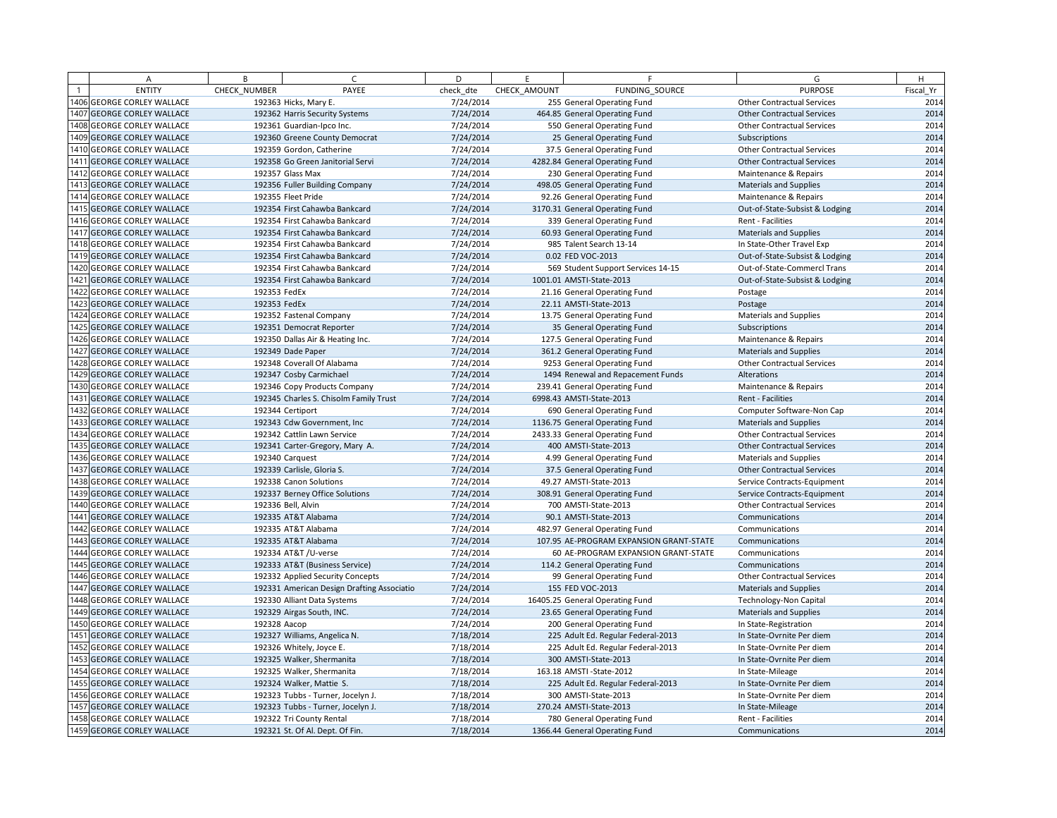| A                                | B            | $\epsilon$                                 | D         | E            | F.                                      | G                                 | H         |
|----------------------------------|--------------|--------------------------------------------|-----------|--------------|-----------------------------------------|-----------------------------------|-----------|
| <b>ENTITY</b>                    | CHECK NUMBER | PAYEE                                      | check dte | CHECK AMOUNT | FUNDING SOURCE                          | <b>PURPOSE</b>                    | Fiscal Yr |
| 406 GEORGE CORLEY WALLACE        |              | 192363 Hicks, Mary E.                      | 7/24/2014 |              | 255 General Operating Fund              | <b>Other Contractual Services</b> | 2014      |
| 1407 GEORGE CORLEY WALLACE       |              | 192362 Harris Security Systems             | 7/24/2014 |              | 464.85 General Operating Fund           | <b>Other Contractual Services</b> | 2014      |
| 408 GEORGE CORLEY WALLACE        |              | 192361 Guardian-Ipco Inc.                  | 7/24/2014 |              | 550 General Operating Fund              | <b>Other Contractual Services</b> | 2014      |
| 1409 GEORGE CORLEY WALLACE       |              | 192360 Greene County Democrat              | 7/24/2014 |              | 25 General Operating Fund               | Subscriptions                     | 2014      |
| 1410 GEORGE CORLEY WALLACE       |              | 192359 Gordon, Catherine                   | 7/24/2014 |              | 37.5 General Operating Fund             | <b>Other Contractual Services</b> | 2014      |
| 1411 GEORGE CORLEY WALLACE       |              | 192358 Go Green Janitorial Servi           | 7/24/2014 |              | 4282.84 General Operating Fund          | <b>Other Contractual Services</b> | 2014      |
| 1412 GEORGE CORLEY WALLACE       |              | 192357 Glass Max                           | 7/24/2014 |              | 230 General Operating Fund              | Maintenance & Repairs             | 2014      |
| 1413 GEORGE CORLEY WALLACE       |              | 192356 Fuller Building Company             | 7/24/2014 |              | 498.05 General Operating Fund           | <b>Materials and Supplies</b>     | 2014      |
| 1414 GEORGE CORLEY WALLACE       |              | 192355 Fleet Pride                         | 7/24/2014 |              | 92.26 General Operating Fund            | Maintenance & Repairs             | 2014      |
| 1415 GEORGE CORLEY WALLACE       |              | 192354 First Cahawba Bankcard              | 7/24/2014 |              | 3170.31 General Operating Fund          | Out-of-State-Subsist & Lodging    | 2014      |
| 1416 GEORGE CORLEY WALLACE       |              | 192354 First Cahawba Bankcard              | 7/24/2014 |              | 339 General Operating Fund              | Rent - Facilities                 | 2014      |
| 1417 GEORGE CORLEY WALLACE       |              | 192354 First Cahawba Bankcard              | 7/24/2014 |              | 60.93 General Operating Fund            | Materials and Supplies            | 2014      |
| 1418 GEORGE CORLEY WALLACE       |              | 192354 First Cahawba Bankcard              | 7/24/2014 |              | 985 Talent Search 13-14                 | In State-Other Travel Exp         | 2014      |
| 1419 GEORGE CORLEY WALLACE       |              | 192354 First Cahawba Bankcard              | 7/24/2014 |              | 0.02 FED VOC-2013                       | Out-of-State-Subsist & Lodging    | 2014      |
| 420 GEORGE CORLEY WALLACE        |              | 192354 First Cahawba Bankcard              | 7/24/2014 |              | 569 Student Support Services 14-15      | Out-of-State-Commercl Trans       | 2014      |
| 1421 GEORGE CORLEY WALLACE       |              | 192354 First Cahawba Bankcard              | 7/24/2014 |              | 1001.01 AMSTI-State-2013                | Out-of-State-Subsist & Lodging    | 2014      |
| 1422 GEORGE CORLEY WALLACE       | 192353 FedEx |                                            | 7/24/2014 |              | 21.16 General Operating Fund            | Postage                           | 2014      |
| 423 GEORGE CORLEY WALLACE        | 192353 FedEx |                                            | 7/24/2014 |              | 22.11 AMSTI-State-2013                  | Postage                           | 2014      |
| 1424 GEORGE CORLEY WALLACE       |              | 192352 Fastenal Company                    | 7/24/2014 |              | 13.75 General Operating Fund            | <b>Materials and Supplies</b>     | 2014      |
| 1425 GEORGE CORLEY WALLACE       |              | 192351 Democrat Reporter                   | 7/24/2014 |              | 35 General Operating Fund               | Subscriptions                     | 2014      |
| 1426 GEORGE CORLEY WALLACE       |              | 192350 Dallas Air & Heating Inc.           | 7/24/2014 |              | 127.5 General Operating Fund            | Maintenance & Repairs             | 2014      |
| 1427 GEORGE CORLEY WALLACE       |              | 192349 Dade Paper                          | 7/24/2014 |              | 361.2 General Operating Fund            | <b>Materials and Supplies</b>     | 2014      |
| 1428 GEORGE CORLEY WALLACE       |              | 192348 Coverall Of Alabama                 | 7/24/2014 |              | 9253 General Operating Fund             | <b>Other Contractual Services</b> | 2014      |
| 429 GEORGE CORLEY WALLACE        |              | 192347 Cosby Carmichael                    | 7/24/2014 |              | 1494 Renewal and Repacement Funds       | Alterations                       | 2014      |
| 1430 GEORGE CORLEY WALLACE       |              | 192346 Copy Products Company               | 7/24/2014 |              | 239.41 General Operating Fund           | Maintenance & Repairs             | 2014      |
| 1431 GEORGE CORLEY WALLACE       |              | 192345 Charles S. Chisolm Family Trust     | 7/24/2014 |              | 6998.43 AMSTI-State-2013                | Rent - Facilities                 | 2014      |
| <b>432 GEORGE CORLEY WALLACE</b> |              | 192344 Certiport                           | 7/24/2014 |              | 690 General Operating Fund              | Computer Software-Non Cap         | 2014      |
| 1433 GEORGE CORLEY WALLACE       |              | 192343 Cdw Government, Inc.                | 7/24/2014 |              | 1136.75 General Operating Fund          | <b>Materials and Supplies</b>     | 2014      |
| 1434 GEORGE CORLEY WALLACE       |              | 192342 Cattlin Lawn Service                | 7/24/2014 |              | 2433.33 General Operating Fund          | <b>Other Contractual Services</b> | 2014      |
| 1435 GEORGE CORLEY WALLACE       |              | 192341 Carter-Gregory, Mary A.             | 7/24/2014 |              | 400 AMSTI-State-2013                    | <b>Other Contractual Services</b> | 2014      |
| 1436 GEORGE CORLEY WALLACE       |              | 192340 Carquest                            | 7/24/2014 |              | 4.99 General Operating Fund             | <b>Materials and Supplies</b>     | 2014      |
| 1437 GEORGE CORLEY WALLACE       |              | 192339 Carlisle, Gloria S.                 | 7/24/2014 |              | 37.5 General Operating Fund             | <b>Other Contractual Services</b> | 2014      |
| <b>438 GEORGE CORLEY WALLACE</b> |              | 192338 Canon Solutions                     | 7/24/2014 |              | 49.27 AMSTI-State-2013                  | Service Contracts-Equipment       | 2014      |
| 1439 GEORGE CORLEY WALLACE       |              | 192337 Berney Office Solutions             | 7/24/2014 |              | 308.91 General Operating Fund           | Service Contracts-Equipment       | 2014      |
| 1440 GEORGE CORLEY WALLACE       |              | 192336 Bell, Alvin                         | 7/24/2014 |              | 700 AMSTI-State-2013                    | <b>Other Contractual Services</b> | 2014      |
| 441 GEORGE CORLEY WALLACE        |              | 192335 AT&T Alabama                        | 7/24/2014 |              | 90.1 AMSTI-State-2013                   | Communications                    | 2014      |
| 1442 GEORGE CORLEY WALLACE       |              | 192335 AT&T Alabama                        | 7/24/2014 |              | 482.97 General Operating Fund           | Communications                    | 2014      |
| 1443 GEORGE CORLEY WALLACE       |              | 192335 AT&T Alabama                        | 7/24/2014 |              | 107.95 AE-PROGRAM EXPANSION GRANT-STATE | Communications                    | 2014      |
| 444 GEORGE CORLEY WALLACE        |              | 192334 AT&T / U-verse                      | 7/24/2014 |              | 60 AE-PROGRAM EXPANSION GRANT-STATE     | Communications                    | 2014      |
| 1445 GEORGE CORLEY WALLACE       |              | 192333 AT&T (Business Service)             | 7/24/2014 |              | 114.2 General Operating Fund            | Communications                    | 2014      |
| 1446 GEORGE CORLEY WALLACE       |              | 192332 Applied Security Concepts           | 7/24/2014 |              | 99 General Operating Fund               | <b>Other Contractual Services</b> | 2014      |
| 447 GEORGE CORLEY WALLACE        |              | 192331 American Design Drafting Associatio | 7/24/2014 |              | 155 FED VOC-2013                        | <b>Materials and Supplies</b>     | 2014      |
| 1448 GEORGE CORLEY WALLACE       |              | 192330 Alliant Data Systems                | 7/24/2014 |              | 16405.25 General Operating Fund         | <b>Technology-Non Capital</b>     | 2014      |
| 1449 GEORGE CORLEY WALLACE       |              | 192329 Airgas South, INC.                  | 7/24/2014 |              | 23.65 General Operating Fund            | <b>Materials and Supplies</b>     | 2014      |
| 450 GEORGE CORLEY WALLACE        | 192328 Aacop |                                            | 7/24/2014 |              | 200 General Operating Fund              | In State-Registration             | 2014      |
| 1451 GEORGE CORLEY WALLACE       |              | 192327 Williams, Angelica N.               | 7/18/2014 |              | 225 Adult Ed. Regular Federal-2013      | In State-Ovrnite Per diem         | 2014      |
| 1452 GEORGE CORLEY WALLACE       |              | 192326 Whitely, Joyce E.                   | 7/18/2014 |              | 225 Adult Ed. Regular Federal-2013      | In State-Ovrnite Per diem         | 2014      |
| 1453 GEORGE CORLEY WALLACE       |              | 192325 Walker, Shermanita                  | 7/18/2014 |              | 300 AMSTI-State-2013                    | In State-Ovrnite Per diem         | 2014      |
| 1454 GEORGE CORLEY WALLACE       |              | 192325 Walker, Shermanita                  | 7/18/2014 |              | 163.18 AMSTI-State-2012                 | In State-Mileage                  | 2014      |
| 1455 GEORGE CORLEY WALLACE       |              | 192324 Walker, Mattie S.                   | 7/18/2014 |              | 225 Adult Ed. Regular Federal-2013      | In State-Ovrnite Per diem         | 2014      |
| 456 GEORGE CORLEY WALLACE        |              | 192323 Tubbs - Turner, Jocelyn J.          | 7/18/2014 |              | 300 AMSTI-State-2013                    | In State-Ovrnite Per diem         | 2014      |
| 1457 GEORGE CORLEY WALLACE       |              | 192323 Tubbs - Turner, Jocelyn J.          | 7/18/2014 |              | 270.24 AMSTI-State-2013                 | In State-Mileage                  | 2014      |
| 1458 GEORGE CORLEY WALLACE       |              | 192322 Tri County Rental                   | 7/18/2014 |              | 780 General Operating Fund              | Rent - Facilities                 | 2014      |
| 1459 GEORGE CORLEY WALLACE       |              | 192321 St. Of Al. Dept. Of Fin.            | 7/18/2014 |              | 1366.44 General Operating Fund          | Communications                    | 2014      |
|                                  |              |                                            |           |              |                                         |                                   |           |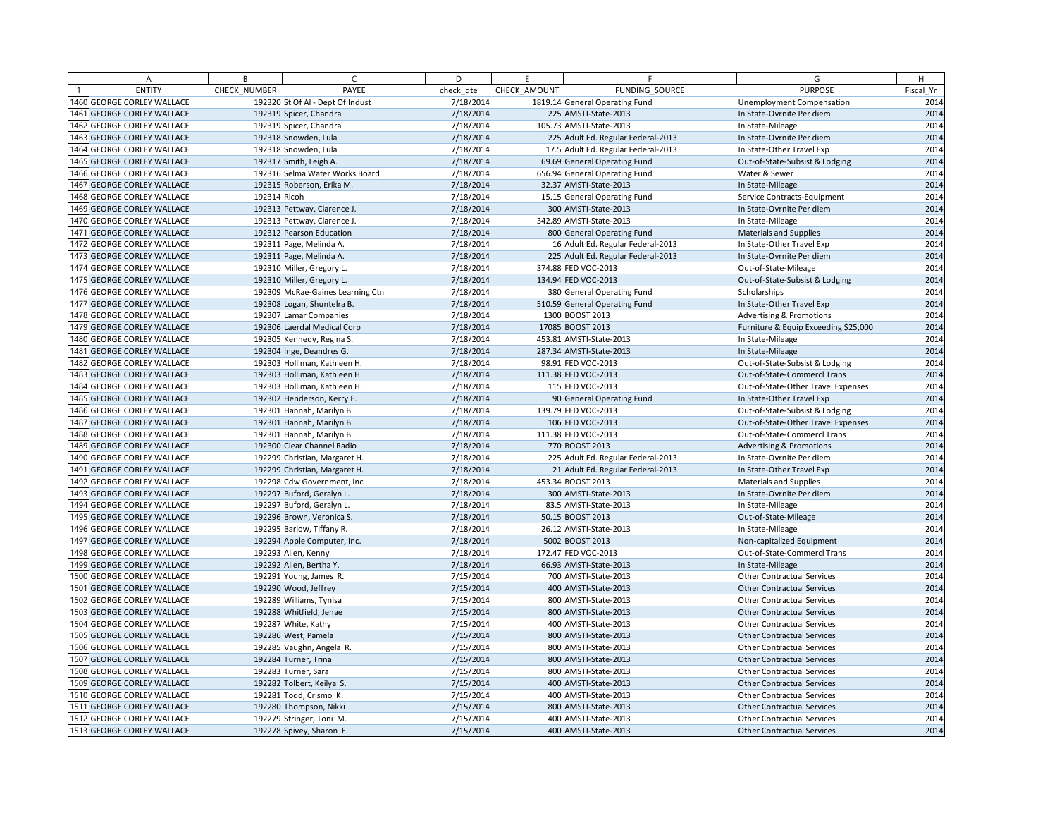| A                                | B            | $\epsilon$                       | D         | F.           | F                                   | G                                    | H         |
|----------------------------------|--------------|----------------------------------|-----------|--------------|-------------------------------------|--------------------------------------|-----------|
| <b>ENTITY</b>                    | CHECK NUMBER | PAYEE                            | check dte | CHECK AMOUNT | FUNDING SOURCE                      | <b>PURPOSE</b>                       | Fiscal Yr |
| 460 GEORGE CORLEY WALLACE        |              | 192320 St Of Al - Dept Of Indust | 7/18/2014 |              | 1819.14 General Operating Fund      | Unemployment Compensation            | 2014      |
| 1461 GEORGE CORLEY WALLACE       |              | 192319 Spicer, Chandra           | 7/18/2014 |              | 225 AMSTI-State-2013                | In State-Ovrnite Per diem            | 2014      |
| 1462 GEORGE CORLEY WALLACE       |              | 192319 Spicer, Chandra           | 7/18/2014 |              | 105.73 AMSTI-State-2013             | In State-Mileage                     | 2014      |
| 1463 GEORGE CORLEY WALLACE       |              | 192318 Snowden, Lula             | 7/18/2014 |              | 225 Adult Ed. Regular Federal-2013  | In State-Ovrnite Per diem            | 2014      |
| 1464 GEORGE CORLEY WALLACE       |              | 192318 Snowden, Lula             | 7/18/2014 |              | 17.5 Adult Ed. Regular Federal-2013 | In State-Other Travel Exp            | 2014      |
| 1465 GEORGE CORLEY WALLACE       |              | 192317 Smith, Leigh A.           | 7/18/2014 |              | 69.69 General Operating Fund        | Out-of-State-Subsist & Lodging       | 2014      |
| 1466 GEORGE CORLEY WALLACE       |              | 192316 Selma Water Works Board   | 7/18/2014 |              | 656.94 General Operating Fund       | Water & Sewer                        | 2014      |
| 467 GEORGE CORLEY WALLACE        |              | 192315 Roberson, Erika M.        | 7/18/2014 |              | 32.37 AMSTI-State-2013              | In State-Mileage                     | 2014      |
| 468 GEORGE CORLEY WALLACE        | 192314 Ricoh |                                  | 7/18/2014 |              | 15.15 General Operating Fund        | Service Contracts-Equipment          | 2014      |
| 1469 GEORGE CORLEY WALLACE       |              | 192313 Pettway, Clarence J.      | 7/18/2014 |              | 300 AMSTI-State-2013                | In State-Ovrnite Per diem            | 2014      |
| 1470 GEORGE CORLEY WALLACE       |              | 192313 Pettway, Clarence J.      | 7/18/2014 |              | 342.89 AMSTI-State-2013             | In State-Mileage                     | 2014      |
| 1471 GEORGE CORLEY WALLACE       |              | 192312 Pearson Education         | 7/18/2014 |              | 800 General Operating Fund          | <b>Materials and Supplies</b>        | 2014      |
| 1472 GEORGE CORLEY WALLACE       |              | 192311 Page, Melinda A.          | 7/18/2014 |              | 16 Adult Ed. Regular Federal-2013   | In State-Other Travel Exp            | 2014      |
| 1473 GEORGE CORLEY WALLACE       |              | 192311 Page, Melinda A.          | 7/18/2014 |              | 225 Adult Ed. Regular Federal-2013  | In State-Ovrnite Per diem            | 2014      |
| 1474 GEORGE CORLEY WALLACE       |              | 192310 Miller, Gregory L.        | 7/18/2014 |              | 374.88 FED VOC-2013                 | Out-of-State-Mileage                 | 2014      |
| 1475 GEORGE CORLEY WALLACE       |              | 192310 Miller, Gregory L.        | 7/18/2014 |              | 134.94 FED VOC-2013                 | Out-of-State-Subsist & Lodging       | 2014      |
| 1476 GEORGE CORLEY WALLACE       |              | 192309 McRae-Gaines Learning Ctn | 7/18/2014 |              | 380 General Operating Fund          | Scholarships                         | 2014      |
| 1477 GEORGE CORLEY WALLACE       |              | 192308 Logan, Shuntelra B.       | 7/18/2014 |              | 510.59 General Operating Fund       | In State-Other Travel Exp            | 2014      |
| 1478 GEORGE CORLEY WALLACE       |              | 192307 Lamar Companies           | 7/18/2014 |              | 1300 BOOST 2013                     | <b>Advertising &amp; Promotions</b>  | 2014      |
| 1479 GEORGE CORLEY WALLACE       |              | 192306 Laerdal Medical Corp      | 7/18/2014 |              | 17085 BOOST 2013                    | Furniture & Equip Exceeding \$25,000 | 2014      |
| <b>480 GEORGE CORLEY WALLACE</b> |              | 192305 Kennedy, Regina S.        | 7/18/2014 |              | 453.81 AMSTI-State-2013             | In State-Mileage                     | 2014      |
| 1481 GEORGE CORLEY WALLACE       |              | 192304 Inge, Deandres G.         | 7/18/2014 |              | 287.34 AMSTI-State-2013             | In State-Mileage                     | 2014      |
| 1482 GEORGE CORLEY WALLACE       |              | 192303 Holliman, Kathleen H.     | 7/18/2014 |              | 98.91 FED VOC-2013                  | Out-of-State-Subsist & Lodging       | 2014      |
| 483 GEORGE CORLEY WALLACE        |              | 192303 Holliman, Kathleen H.     | 7/18/2014 |              | 111.38 FED VOC-2013                 | Out-of-State-Commercl Trans          | 2014      |
| 1484 GEORGE CORLEY WALLACE       |              | 192303 Holliman, Kathleen H.     | 7/18/2014 |              | 115 FED VOC-2013                    | Out-of-State-Other Travel Expenses   | 2014      |
| 1485 GEORGE CORLEY WALLACE       |              | 192302 Henderson, Kerry E.       | 7/18/2014 |              | 90 General Operating Fund           | In State-Other Travel Exp            | 2014      |
| <b>486 GEORGE CORLEY WALLACE</b> |              | 192301 Hannah, Marilyn B.        | 7/18/2014 |              | 139.79 FED VOC-2013                 | Out-of-State-Subsist & Lodging       | 2014      |
| 1487 GEORGE CORLEY WALLACE       |              | 192301 Hannah, Marilyn B.        | 7/18/2014 |              | 106 FED VOC-2013                    | Out-of-State-Other Travel Expenses   | 2014      |
| 1488 GEORGE CORLEY WALLACE       |              | 192301 Hannah, Marilyn B.        | 7/18/2014 |              | 111.38 FED VOC-2013                 | Out-of-State-Commercl Trans          | 2014      |
| 489 GEORGE CORLEY WALLACE        |              | 192300 Clear Channel Radio       | 7/18/2014 |              | 770 BOOST 2013                      | <b>Advertising &amp; Promotions</b>  | 2014      |
| 1490 GEORGE CORLEY WALLACE       |              | 192299 Christian, Margaret H.    | 7/18/2014 |              | 225 Adult Ed. Regular Federal-2013  | In State-Ovrnite Per diem            | 2014      |
| 1491 GEORGE CORLEY WALLACE       |              | 192299 Christian, Margaret H.    | 7/18/2014 |              | 21 Adult Ed. Regular Federal-2013   | In State-Other Travel Exp            | 2014      |
| <b>492 GEORGE CORLEY WALLACE</b> |              | 192298 Cdw Government, Inc       | 7/18/2014 |              | 453.34 BOOST 2013                   | <b>Materials and Supplies</b>        | 2014      |
| 1493 GEORGE CORLEY WALLACE       |              | 192297 Buford, Geralyn L.        | 7/18/2014 |              | 300 AMSTI-State-2013                | In State-Ovrnite Per diem            | 2014      |
| 1494 GEORGE CORLEY WALLACE       |              | 192297 Buford, Geralyn L.        | 7/18/2014 |              | 83.5 AMSTI-State-2013               | In State-Mileage                     | 2014      |
| 495 GEORGE CORLEY WALLACE        |              | 192296 Brown, Veronica S.        | 7/18/2014 |              | 50.15 BOOST 2013                    | Out-of-State-Mileage                 | 2014      |
| 1496 GEORGE CORLEY WALLACE       |              | 192295 Barlow, Tiffany R.        | 7/18/2014 |              | 26.12 AMSTI-State-2013              | In State-Mileage                     | 2014      |
| 1497 GEORGE CORLEY WALLACE       |              | 192294 Apple Computer, Inc.      | 7/18/2014 |              | 5002 BOOST 2013                     | Non-capitalized Equipment            | 2014      |
| 1498 GEORGE CORLEY WALLACE       |              | 192293 Allen, Kenny              | 7/18/2014 |              | 172.47 FED VOC-2013                 | Out-of-State-Commercl Trans          | 2014      |
| 1499 GEORGE CORLEY WALLACE       |              | 192292 Allen, Bertha Y.          | 7/18/2014 |              | 66.93 AMSTI-State-2013              | In State-Mileage                     | 2014      |
| 1500 GEORGE CORLEY WALLACE       |              | 192291 Young, James R.           | 7/15/2014 |              | 700 AMSTI-State-2013                | <b>Other Contractual Services</b>    | 2014      |
| 1501 GEORGE CORLEY WALLACE       |              | 192290 Wood, Jeffrey             | 7/15/2014 |              | 400 AMSTI-State-2013                | <b>Other Contractual Services</b>    | 2014      |
| 1502 GEORGE CORLEY WALLACE       |              | 192289 Williams, Tynisa          | 7/15/2014 |              | 800 AMSTI-State-2013                | <b>Other Contractual Services</b>    | 2014      |
| 1503 GEORGE CORLEY WALLACE       |              | 192288 Whitfield, Jenae          | 7/15/2014 |              | 800 AMSTI-State-2013                | <b>Other Contractual Services</b>    | 2014      |
| 1504 GEORGE CORLEY WALLACE       |              | 192287 White, Kathy              | 7/15/2014 |              | 400 AMSTI-State-2013                | <b>Other Contractual Services</b>    | 2014      |
| 1505 GEORGE CORLEY WALLACE       |              | 192286 West, Pamela              | 7/15/2014 |              | 800 AMSTI-State-2013                | <b>Other Contractual Services</b>    | 2014      |
| 1506 GEORGE CORLEY WALLACE       |              | 192285 Vaughn, Angela R.         | 7/15/2014 |              | 800 AMSTI-State-2013                | <b>Other Contractual Services</b>    | 2014      |
| 1507 GEORGE CORLEY WALLACE       |              | 192284 Turner, Trina             | 7/15/2014 |              | 800 AMSTI-State-2013                | <b>Other Contractual Services</b>    | 2014      |
| 1508 GEORGE CORLEY WALLACE       |              | 192283 Turner, Sara              | 7/15/2014 |              | 800 AMSTI-State-2013                | <b>Other Contractual Services</b>    | 2014      |
| 1509 GEORGE CORLEY WALLACE       |              | 192282 Tolbert, Keilya S.        | 7/15/2014 |              | 400 AMSTI-State-2013                | <b>Other Contractual Services</b>    | 2014      |
| 1510 GEORGE CORLEY WALLACE       |              | 192281 Todd, Crismo K.           | 7/15/2014 |              | 400 AMSTI-State-2013                | <b>Other Contractual Services</b>    | 2014      |
| 1511 GEORGE CORLEY WALLACE       |              | 192280 Thompson, Nikki           | 7/15/2014 |              | 800 AMSTI-State-2013                | <b>Other Contractual Services</b>    | 2014      |
| 1512 GEORGE CORLEY WALLACE       |              | 192279 Stringer, Toni M.         | 7/15/2014 |              | 400 AMSTI-State-2013                | <b>Other Contractual Services</b>    | 2014      |
| 1513 GEORGE CORLEY WALLACE       |              | 192278 Spivey, Sharon E.         | 7/15/2014 |              | 400 AMSTI-State-2013                | <b>Other Contractual Services</b>    | 2014      |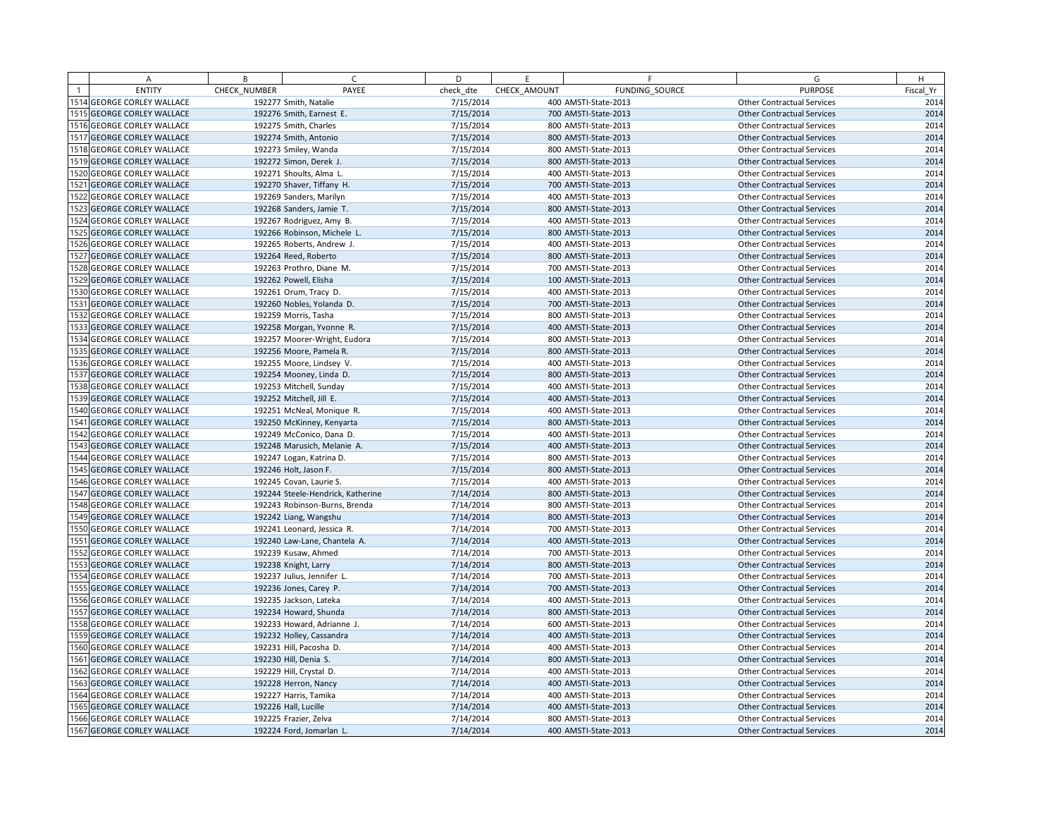| Α                                | B            | $\epsilon$                        | D         | F            |                      | F.             | G                                 | H         |
|----------------------------------|--------------|-----------------------------------|-----------|--------------|----------------------|----------------|-----------------------------------|-----------|
| <b>ENTITY</b>                    | CHECK NUMBER | PAYEE                             | check dte | CHECK AMOUNT |                      | FUNDING SOURCE | <b>PURPOSE</b>                    | Fiscal Yr |
| 1514 GEORGE CORLEY WALLACE       |              | 192277 Smith, Natalie             | 7/15/2014 |              | 400 AMSTI-State-2013 |                | <b>Other Contractual Services</b> | 2014      |
| 1515 GEORGE CORLEY WALLACE       |              | 192276 Smith, Earnest E.          | 7/15/2014 |              | 700 AMSTI-State-2013 |                | <b>Other Contractual Services</b> | 2014      |
| 1516 GEORGE CORLEY WALLACE       |              | 192275 Smith, Charles             | 7/15/2014 |              | 800 AMSTI-State-2013 |                | <b>Other Contractual Services</b> | 2014      |
| 1517 GEORGE CORLEY WALLACE       |              | 192274 Smith, Antonio             | 7/15/2014 |              | 800 AMSTI-State-2013 |                | <b>Other Contractual Services</b> | 2014      |
| 1518 GEORGE CORLEY WALLACE       |              | 192273 Smiley, Wanda              | 7/15/2014 |              | 800 AMSTI-State-2013 |                | <b>Other Contractual Services</b> | 2014      |
| 1519 GEORGE CORLEY WALLACE       |              | 192272 Simon, Derek J.            | 7/15/2014 |              | 800 AMSTI-State-2013 |                | <b>Other Contractual Services</b> | 2014      |
| 1520 GEORGE CORLEY WALLACE       |              | 192271 Shoults, Alma L.           | 7/15/2014 |              | 400 AMSTI-State-2013 |                | <b>Other Contractual Services</b> | 2014      |
| 1521 GEORGE CORLEY WALLACE       |              | 192270 Shaver, Tiffany H.         | 7/15/2014 |              | 700 AMSTI-State-2013 |                | <b>Other Contractual Services</b> | 2014      |
| 1522 GEORGE CORLEY WALLACE       |              | 192269 Sanders, Marilyn           | 7/15/2014 |              | 400 AMSTI-State-2013 |                | <b>Other Contractual Services</b> | 2014      |
| 1523 GEORGE CORLEY WALLACE       |              | 192268 Sanders, Jamie T.          | 7/15/2014 |              | 800 AMSTI-State-2013 |                | <b>Other Contractual Services</b> | 2014      |
| 1524 GEORGE CORLEY WALLACE       |              | 192267 Rodriguez, Amy B.          | 7/15/2014 |              | 400 AMSTI-State-2013 |                | <b>Other Contractual Services</b> | 2014      |
| 1525 GEORGE CORLEY WALLACE       |              | 192266 Robinson, Michele L.       | 7/15/2014 |              | 800 AMSTI-State-2013 |                | <b>Other Contractual Services</b> | 2014      |
| 1526 GEORGE CORLEY WALLACE       |              | 192265 Roberts, Andrew J.         | 7/15/2014 |              | 400 AMSTI-State-2013 |                | <b>Other Contractual Services</b> | 2014      |
| 1527 GEORGE CORLEY WALLACE       |              | 192264 Reed, Roberto              | 7/15/2014 |              | 800 AMSTI-State-2013 |                | <b>Other Contractual Services</b> | 2014      |
| 1528 GEORGE CORLEY WALLACE       |              | 192263 Prothro, Diane M.          | 7/15/2014 |              | 700 AMSTI-State-2013 |                | <b>Other Contractual Services</b> | 2014      |
| 1529 GEORGE CORLEY WALLACE       |              | 192262 Powell, Elisha             | 7/15/2014 |              | 100 AMSTI-State-2013 |                | <b>Other Contractual Services</b> | 2014      |
| 1530 GEORGE CORLEY WALLACE       |              | 192261 Orum, Tracy D.             | 7/15/2014 |              | 400 AMSTI-State-2013 |                | <b>Other Contractual Services</b> | 2014      |
| 1531 GEORGE CORLEY WALLACE       |              | 192260 Nobles, Yolanda D.         | 7/15/2014 |              | 700 AMSTI-State-2013 |                | <b>Other Contractual Services</b> | 2014      |
| 1532 GEORGE CORLEY WALLACE       |              | 192259 Morris, Tasha              | 7/15/2014 |              | 800 AMSTI-State-2013 |                | <b>Other Contractual Services</b> | 2014      |
| 1533 GEORGE CORLEY WALLACE       |              | 192258 Morgan, Yvonne R.          | 7/15/2014 |              | 400 AMSTI-State-2013 |                | <b>Other Contractual Services</b> | 2014      |
| 1534 GEORGE CORLEY WALLACE       |              | 192257 Moorer-Wright, Eudora      | 7/15/2014 |              | 800 AMSTI-State-2013 |                | <b>Other Contractual Services</b> | 2014      |
| 1535 GEORGE CORLEY WALLACE       |              | 192256 Moore, Pamela R.           | 7/15/2014 |              | 800 AMSTI-State-2013 |                | <b>Other Contractual Services</b> | 2014      |
| 1536 GEORGE CORLEY WALLACE       |              | 192255 Moore, Lindsey V.          | 7/15/2014 |              | 400 AMSTI-State-2013 |                | <b>Other Contractual Services</b> | 2014      |
| 1537 GEORGE CORLEY WALLACE       |              | 192254 Mooney, Linda D.           | 7/15/2014 |              | 800 AMSTI-State-2013 |                | <b>Other Contractual Services</b> | 2014      |
| 1538 GEORGE CORLEY WALLACE       |              | 192253 Mitchell, Sunday           | 7/15/2014 |              | 400 AMSTI-State-2013 |                | <b>Other Contractual Services</b> | 2014      |
| 1539 GEORGE CORLEY WALLACE       |              | 192252 Mitchell, Jill E.          | 7/15/2014 |              | 400 AMSTI-State-2013 |                | <b>Other Contractual Services</b> | 2014      |
| 1540 GEORGE CORLEY WALLACE       |              | 192251 McNeal, Monique R.         | 7/15/2014 |              | 400 AMSTI-State-2013 |                | <b>Other Contractual Services</b> | 2014      |
| 1541 GEORGE CORLEY WALLACE       |              | 192250 McKinney, Kenyarta         | 7/15/2014 |              | 800 AMSTI-State-2013 |                | <b>Other Contractual Services</b> | 2014      |
| 1542 GEORGE CORLEY WALLACE       |              | 192249 McConico, Dana D.          | 7/15/2014 |              | 400 AMSTI-State-2013 |                | <b>Other Contractual Services</b> | 2014      |
| <b>543 GEORGE CORLEY WALLACE</b> |              | 192248 Marusich, Melanie A.       | 7/15/2014 |              | 400 AMSTI-State-2013 |                | <b>Other Contractual Services</b> | 2014      |
| 1544 GEORGE CORLEY WALLACE       |              | 192247 Logan, Katrina D.          | 7/15/2014 |              | 800 AMSTI-State-2013 |                | <b>Other Contractual Services</b> | 2014      |
| 1545 GEORGE CORLEY WALLACE       |              | 192246 Holt, Jason F.             | 7/15/2014 |              | 800 AMSTI-State-2013 |                | <b>Other Contractual Services</b> | 2014      |
| 1546 GEORGE CORLEY WALLACE       |              | 192245 Covan, Laurie S.           | 7/15/2014 |              | 400 AMSTI-State-2013 |                | <b>Other Contractual Services</b> | 2014      |
| 1547 GEORGE CORLEY WALLACE       |              | 192244 Steele-Hendrick, Katherine | 7/14/2014 |              | 800 AMSTI-State-2013 |                | <b>Other Contractual Services</b> | 2014      |
| 1548 GEORGE CORLEY WALLACE       |              | 192243 Robinson-Burns, Brenda     | 7/14/2014 |              | 800 AMSTI-State-2013 |                | <b>Other Contractual Services</b> | 2014      |
| <b>549 GEORGE CORLEY WALLACE</b> |              | 192242 Liang, Wangshu             | 7/14/2014 |              | 800 AMSTI-State-2013 |                | <b>Other Contractual Services</b> | 2014      |
| 1550 GEORGE CORLEY WALLACE       |              | 192241 Leonard, Jessica R.        | 7/14/2014 |              | 700 AMSTI-State-2013 |                | <b>Other Contractual Services</b> | 2014      |
| 1551 GEORGE CORLEY WALLACE       |              | 192240 Law-Lane, Chantela A.      | 7/14/2014 |              | 400 AMSTI-State-2013 |                | <b>Other Contractual Services</b> | 2014      |
| 1552 GEORGE CORLEY WALLACE       |              | 192239 Kusaw, Ahmed               | 7/14/2014 |              | 700 AMSTI-State-2013 |                | <b>Other Contractual Services</b> | 2014      |
| 1553 GEORGE CORLEY WALLACE       |              | 192238 Knight, Larry              | 7/14/2014 |              | 800 AMSTI-State-2013 |                | <b>Other Contractual Services</b> | 2014      |
| 1554 GEORGE CORLEY WALLACE       |              | 192237 Julius, Jennifer L.        | 7/14/2014 |              | 700 AMSTI-State-2013 |                | <b>Other Contractual Services</b> | 2014      |
| 1555 GEORGE CORLEY WALLACE       |              | 192236 Jones, Carey P.            | 7/14/2014 |              | 700 AMSTI-State-2013 |                | <b>Other Contractual Services</b> | 2014      |
| 1556 GEORGE CORLEY WALLACE       |              | 192235 Jackson, Lateka            | 7/14/2014 |              | 400 AMSTI-State-2013 |                | <b>Other Contractual Services</b> | 2014      |
| 1557 GEORGE CORLEY WALLACE       |              | 192234 Howard, Shunda             | 7/14/2014 |              | 800 AMSTI-State-2013 |                | <b>Other Contractual Services</b> | 2014      |
| 1558 GEORGE CORLEY WALLACE       |              | 192233 Howard, Adrianne J.        | 7/14/2014 |              | 600 AMSTI-State-2013 |                | <b>Other Contractual Services</b> | 2014      |
| 1559 GEORGE CORLEY WALLACE       |              | 192232 Holley, Cassandra          | 7/14/2014 |              | 400 AMSTI-State-2013 |                | <b>Other Contractual Services</b> | 2014      |
| 1560 GEORGE CORLEY WALLACE       |              | 192231 Hill, Pacosha D.           | 7/14/2014 |              | 400 AMSTI-State-2013 |                | <b>Other Contractual Services</b> | 2014      |
| 1561 GEORGE CORLEY WALLACE       |              | 192230 Hill, Denia S.             | 7/14/2014 |              | 800 AMSTI-State-2013 |                | <b>Other Contractual Services</b> | 2014      |
| 1562 GEORGE CORLEY WALLACE       |              | 192229 Hill, Crystal D.           | 7/14/2014 |              | 400 AMSTI-State-2013 |                | <b>Other Contractual Services</b> | 2014      |
| 1563 GEORGE CORLEY WALLACE       |              | 192228 Herron, Nancy              | 7/14/2014 |              | 400 AMSTI-State-2013 |                | <b>Other Contractual Services</b> | 2014      |
| 1564 GEORGE CORLEY WALLACE       |              | 192227 Harris, Tamika             | 7/14/2014 |              | 400 AMSTI-State-2013 |                | <b>Other Contractual Services</b> | 2014      |
| 1565 GEORGE CORLEY WALLACE       |              | 192226 Hall, Lucille              | 7/14/2014 |              | 400 AMSTI-State-2013 |                | <b>Other Contractual Services</b> | 2014      |
| 1566 GEORGE CORLEY WALLACE       |              | 192225 Frazier, Zelva             | 7/14/2014 |              | 800 AMSTI-State-2013 |                | <b>Other Contractual Services</b> | 2014      |
| 1567 GEORGE CORLEY WALLACE       |              | 192224 Ford, Jomarlan L.          | 7/14/2014 |              | 400 AMSTI-State-2013 |                | <b>Other Contractual Services</b> | 2014      |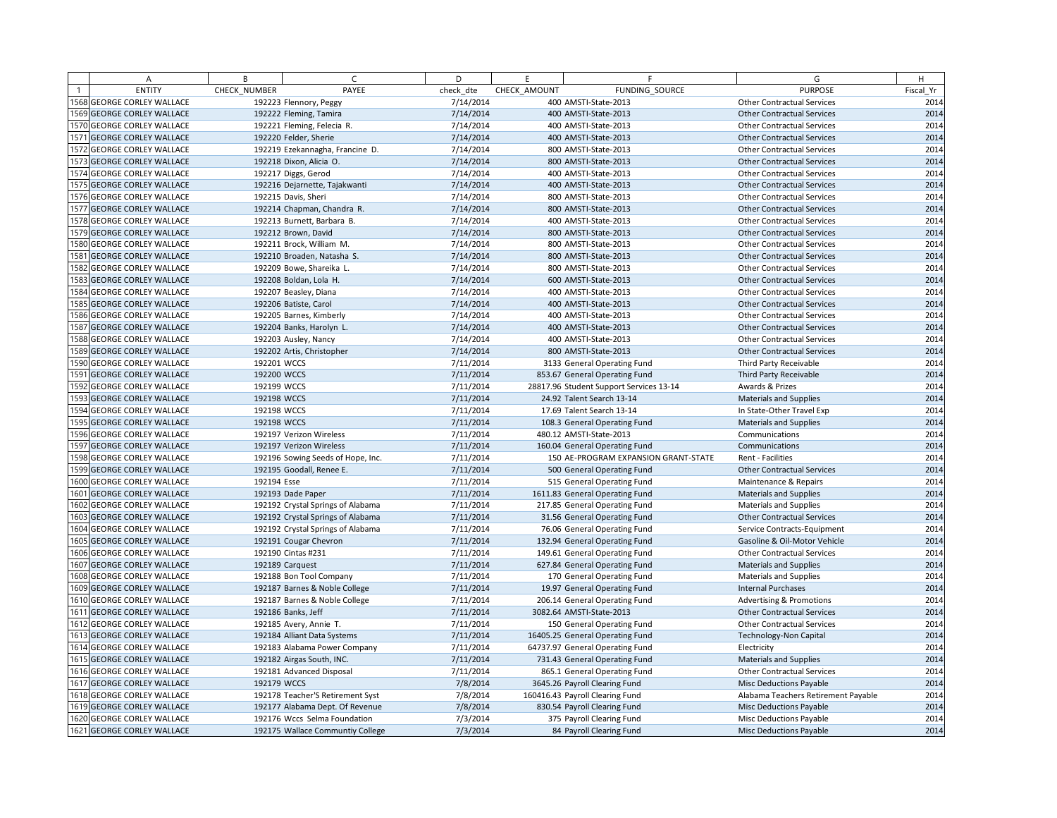| A                                | B            | $\epsilon$                        | D         | E            | F.                                      | G                                   | H         |
|----------------------------------|--------------|-----------------------------------|-----------|--------------|-----------------------------------------|-------------------------------------|-----------|
| <b>ENTITY</b>                    | CHECK NUMBER | PAYEE                             | check dte | CHECK AMOUNT | FUNDING SOURCE                          | <b>PURPOSE</b>                      | Fiscal Yr |
| 1568 GEORGE CORLEY WALLACE       |              | 192223 Flennory, Peggy            | 7/14/2014 |              | 400 AMSTI-State-2013                    | <b>Other Contractual Services</b>   | 2014      |
| 1569 GEORGE CORLEY WALLACE       |              | 192222 Fleming, Tamira            | 7/14/2014 |              | 400 AMSTI-State-2013                    | <b>Other Contractual Services</b>   | 2014      |
| 1570 GEORGE CORLEY WALLACE       |              | 192221 Fleming, Felecia R.        | 7/14/2014 |              | 400 AMSTI-State-2013                    | <b>Other Contractual Services</b>   | 2014      |
| 1571 GEORGE CORLEY WALLACE       |              | 192220 Felder, Sherie             | 7/14/2014 |              | 400 AMSTI-State-2013                    | <b>Other Contractual Services</b>   | 2014      |
| 1572 GEORGE CORLEY WALLACE       |              | 192219 Ezekannagha, Francine D.   | 7/14/2014 |              | 800 AMSTI-State-2013                    | <b>Other Contractual Services</b>   | 2014      |
| 1573 GEORGE CORLEY WALLACE       |              | 192218 Dixon, Alicia O.           | 7/14/2014 |              | 800 AMSTI-State-2013                    | <b>Other Contractual Services</b>   | 2014      |
| 1574 GEORGE CORLEY WALLACE       |              | 192217 Diggs, Gerod               | 7/14/2014 |              | 400 AMSTI-State-2013                    | <b>Other Contractual Services</b>   | 2014      |
| 1575 GEORGE CORLEY WALLACE       |              | 192216 Dejarnette, Tajakwanti     | 7/14/2014 |              | 400 AMSTI-State-2013                    | <b>Other Contractual Services</b>   | 2014      |
| 1576 GEORGE CORLEY WALLACE       |              | 192215 Davis, Sheri               | 7/14/2014 |              | 800 AMSTI-State-2013                    | <b>Other Contractual Services</b>   | 2014      |
| 1577 GEORGE CORLEY WALLACE       |              | 192214 Chapman, Chandra R.        | 7/14/2014 |              | 800 AMSTI-State-2013                    | <b>Other Contractual Services</b>   | 2014      |
| 1578 GEORGE CORLEY WALLACE       |              | 192213 Burnett, Barbara B.        | 7/14/2014 |              | 400 AMSTI-State-2013                    | <b>Other Contractual Services</b>   | 2014      |
| 1579 GEORGE CORLEY WALLACE       |              | 192212 Brown, David               | 7/14/2014 |              | 800 AMSTI-State-2013                    | <b>Other Contractual Services</b>   | 2014      |
| 1580 GEORGE CORLEY WALLACE       |              | 192211 Brock, William M.          | 7/14/2014 |              | 800 AMSTI-State-2013                    | <b>Other Contractual Services</b>   | 2014      |
| 1581 GEORGE CORLEY WALLACE       |              | 192210 Broaden, Natasha S.        | 7/14/2014 |              | 800 AMSTI-State-2013                    | <b>Other Contractual Services</b>   | 2014      |
| 1582 GEORGE CORLEY WALLACE       |              | 192209 Bowe, Shareika L.          | 7/14/2014 |              | 800 AMSTI-State-2013                    | <b>Other Contractual Services</b>   | 2014      |
| 1583 GEORGE CORLEY WALLACE       |              | 192208 Boldan, Lola H.            | 7/14/2014 |              | 600 AMSTI-State-2013                    | <b>Other Contractual Services</b>   | 2014      |
| 1584 GEORGE CORLEY WALLACE       |              | 192207 Beasley, Diana             | 7/14/2014 |              | 400 AMSTI-State-2013                    | <b>Other Contractual Services</b>   | 2014      |
| 1585 GEORGE CORLEY WALLACE       |              | 192206 Batiste, Carol             | 7/14/2014 |              | 400 AMSTI-State-2013                    | <b>Other Contractual Services</b>   | 2014      |
| 1586 GEORGE CORLEY WALLACE       |              | 192205 Barnes, Kimberly           | 7/14/2014 |              | 400 AMSTI-State-2013                    | <b>Other Contractual Services</b>   | 2014      |
| 1587 GEORGE CORLEY WALLACE       |              | 192204 Banks, Harolyn L.          | 7/14/2014 |              | 400 AMSTI-State-2013                    | <b>Other Contractual Services</b>   | 2014      |
| 1588 GEORGE CORLEY WALLACE       |              | 192203 Ausley, Nancy              | 7/14/2014 |              | 400 AMSTI-State-2013                    | <b>Other Contractual Services</b>   | 2014      |
| 1589 GEORGE CORLEY WALLACE       |              | 192202 Artis, Christopher         | 7/14/2014 |              | 800 AMSTI-State-2013                    | <b>Other Contractual Services</b>   | 2014      |
| 1590 GEORGE CORLEY WALLACE       | 192201 WCCS  |                                   | 7/11/2014 |              | 3133 General Operating Fund             | Third Party Receivable              | 2014      |
| 1591 GEORGE CORLEY WALLACE       | 192200 WCCS  |                                   | 7/11/2014 |              | 853.67 General Operating Fund           | Third Party Receivable              | 2014      |
| 1592 GEORGE CORLEY WALLACE       | 192199 WCCS  |                                   | 7/11/2014 |              | 28817.96 Student Support Services 13-14 | Awards & Prizes                     | 2014      |
| 1593 GEORGE CORLEY WALLACE       | 192198 WCCS  |                                   | 7/11/2014 |              | 24.92 Talent Search 13-14               | <b>Materials and Supplies</b>       | 2014      |
| 1594 GEORGE CORLEY WALLACE       | 192198 WCCS  |                                   | 7/11/2014 |              | 17.69 Talent Search 13-14               | In State-Other Travel Exp           | 2014      |
| 1595 GEORGE CORLEY WALLACE       | 192198 WCCS  |                                   | 7/11/2014 |              | 108.3 General Operating Fund            | <b>Materials and Supplies</b>       | 2014      |
| 1596 GEORGE CORLEY WALLACE       |              | 192197 Verizon Wireless           | 7/11/2014 |              | 480.12 AMSTI-State-2013                 | Communications                      | 2014      |
| 1597 GEORGE CORLEY WALLACE       |              | 192197 Verizon Wireless           | 7/11/2014 |              | 160.04 General Operating Fund           | Communications                      | 2014      |
| 1598 GEORGE CORLEY WALLACE       |              | 192196 Sowing Seeds of Hope, Inc. | 7/11/2014 |              | 150 AE-PROGRAM EXPANSION GRANT-STATE    | Rent - Facilities                   | 2014      |
| 1599 GEORGE CORLEY WALLACE       |              | 192195 Goodall, Renee E.          | 7/11/2014 |              | 500 General Operating Fund              | <b>Other Contractual Services</b>   | 2014      |
| 1600 GEORGE CORLEY WALLACE       | 192194 Esse  |                                   | 7/11/2014 |              | 515 General Operating Fund              | Maintenance & Repairs               | 2014      |
| 1601 GEORGE CORLEY WALLACE       |              | 192193 Dade Paper                 | 7/11/2014 |              | 1611.83 General Operating Fund          | <b>Materials and Supplies</b>       | 2014      |
| 1602 GEORGE CORLEY WALLACE       |              | 192192 Crystal Springs of Alabama | 7/11/2014 |              | 217.85 General Operating Fund           | <b>Materials and Supplies</b>       | 2014      |
| 1603 GEORGE CORLEY WALLACE       |              | 192192 Crystal Springs of Alabama | 7/11/2014 |              | 31.56 General Operating Fund            | <b>Other Contractual Services</b>   | 2014      |
| 1604 GEORGE CORLEY WALLACE       |              | 192192 Crystal Springs of Alabama | 7/11/2014 |              | 76.06 General Operating Fund            | Service Contracts-Equipment         | 2014      |
| 1605 GEORGE CORLEY WALLACE       |              | 192191 Cougar Chevron             | 7/11/2014 |              | 132.94 General Operating Fund           | Gasoline & Oil-Motor Vehicle        | 2014      |
| 1606 GEORGE CORLEY WALLACE       |              | 192190 Cintas #231                | 7/11/2014 |              | 149.61 General Operating Fund           | <b>Other Contractual Services</b>   | 2014      |
| 1607 GEORGE CORLEY WALLACE       |              | 192189 Carquest                   | 7/11/2014 |              | 627.84 General Operating Fund           | <b>Materials and Supplies</b>       | 2014      |
| 1608 GEORGE CORLEY WALLACE       |              | 192188 Bon Tool Company           | 7/11/2014 |              | 170 General Operating Fund              | <b>Materials and Supplies</b>       | 2014      |
| <b>609 GEORGE CORLEY WALLACE</b> |              | 192187 Barnes & Noble College     | 7/11/2014 |              | 19.97 General Operating Fund            | <b>Internal Purchases</b>           | 2014      |
| 1610 GEORGE CORLEY WALLACE       |              | 192187 Barnes & Noble College     | 7/11/2014 |              | 206.14 General Operating Fund           | <b>Advertising &amp; Promotions</b> | 2014      |
| 1611 GEORGE CORLEY WALLACE       |              | 192186 Banks, Jeff                | 7/11/2014 |              | 3082.64 AMSTI-State-2013                | <b>Other Contractual Services</b>   | 2014      |
| 1612 GEORGE CORLEY WALLACE       |              | 192185 Avery, Annie T.            | 7/11/2014 |              | 150 General Operating Fund              | <b>Other Contractual Services</b>   | 2014      |
| 1613 GEORGE CORLEY WALLACE       |              | 192184 Alliant Data Systems       | 7/11/2014 |              | 16405.25 General Operating Fund         | <b>Technology-Non Capital</b>       | 2014      |
| 1614 GEORGE CORLEY WALLACE       |              | 192183 Alabama Power Company      | 7/11/2014 |              | 64737.97 General Operating Fund         | Electricity                         | 2014      |
| 1615 GEORGE CORLEY WALLACE       |              | 192182 Airgas South, INC.         | 7/11/2014 |              | 731.43 General Operating Fund           | <b>Materials and Supplies</b>       | 2014      |
| 1616 GEORGE CORLEY WALLACE       |              | 192181 Advanced Disposal          | 7/11/2014 |              | 865.1 General Operating Fund            | <b>Other Contractual Services</b>   | 2014      |
| 1617 GEORGE CORLEY WALLACE       | 192179 WCCS  |                                   | 7/8/2014  |              | 3645.26 Payroll Clearing Fund           | <b>Misc Deductions Payable</b>      | 2014      |
| 1618 GEORGE CORLEY WALLACE       |              | 192178 Teacher'S Retirement Syst  | 7/8/2014  |              | 160416.43 Payroll Clearing Fund         | Alabama Teachers Retirement Payable | 2014      |
| <b>619 GEORGE CORLEY WALLACE</b> |              | 192177 Alabama Dept. Of Revenue   | 7/8/2014  |              | 830.54 Payroll Clearing Fund            | Misc Deductions Payable             | 2014      |
| 1620 GEORGE CORLEY WALLACE       |              | 192176 Wccs Selma Foundation      | 7/3/2014  |              | 375 Payroll Clearing Fund               | Misc Deductions Payable             | 2014      |
| 1621 GEORGE CORLEY WALLACE       |              | 192175 Wallace Communtiy College  | 7/3/2014  |              | 84 Payroll Clearing Fund                | <b>Misc Deductions Payable</b>      | 2014      |
|                                  |              |                                   |           |              |                                         |                                     |           |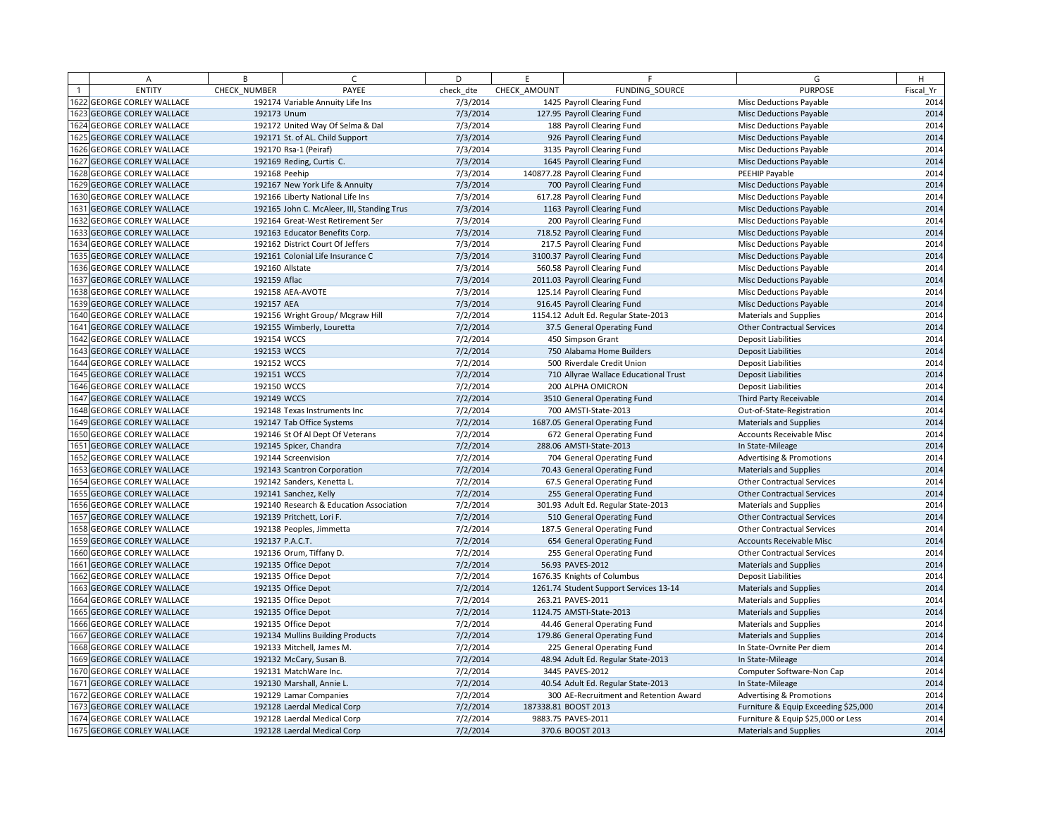|                | Α                          | B             | $\epsilon$                                 | D         | E            | F.                                     | G                                    | H         |
|----------------|----------------------------|---------------|--------------------------------------------|-----------|--------------|----------------------------------------|--------------------------------------|-----------|
| $\overline{1}$ | <b>ENTITY</b>              | CHECK NUMBER  | PAYEE                                      | check dte | CHECK AMOUNT | FUNDING SOURCE                         | <b>PURPOSE</b>                       | Fiscal Yr |
|                | 1622 GEORGE CORLEY WALLACE |               | 192174 Variable Annuity Life Ins           | 7/3/2014  |              | 1425 Payroll Clearing Fund             | Misc Deductions Payable              | 2014      |
|                | 1623 GEORGE CORLEY WALLACE | 192173 Unum   |                                            | 7/3/2014  |              | 127.95 Payroll Clearing Fund           | <b>Misc Deductions Payable</b>       | 2014      |
|                | 1624 GEORGE CORLEY WALLACE |               | 192172 United Way Of Selma & Dal           | 7/3/2014  |              | 188 Payroll Clearing Fund              | Misc Deductions Payable              | 2014      |
|                | 1625 GEORGE CORLEY WALLACE |               | 192171 St. of AL. Child Support            | 7/3/2014  |              | 926 Payroll Clearing Fund              | Misc Deductions Payable              | 2014      |
|                | 1626 GEORGE CORLEY WALLACE |               | 192170 Rsa-1 (Peiraf)                      | 7/3/2014  |              | 3135 Payroll Clearing Fund             | <b>Misc Deductions Payable</b>       | 2014      |
|                | 1627 GEORGE CORLEY WALLACE |               | 192169 Reding, Curtis C.                   | 7/3/2014  |              | 1645 Payroll Clearing Fund             | Misc Deductions Payable              | 2014      |
|                | 1628 GEORGE CORLEY WALLACE | 192168 Peehip |                                            | 7/3/2014  |              | 140877.28 Payroll Clearing Fund        | PEEHIP Payable                       | 2014      |
|                | 1629 GEORGE CORLEY WALLACE |               | 192167 New York Life & Annuity             | 7/3/2014  |              | 700 Payroll Clearing Fund              | Misc Deductions Payable              | 2014      |
|                | 1630 GEORGE CORLEY WALLACE |               | 192166 Liberty National Life Ins           | 7/3/2014  |              | 617.28 Payroll Clearing Fund           | Misc Deductions Payable              | 2014      |
|                | 1631 GEORGE CORLEY WALLACE |               | 192165 John C. McAleer, III, Standing Trus | 7/3/2014  |              | 1163 Payroll Clearing Fund             | Misc Deductions Payable              | 2014      |
|                | 1632 GEORGE CORLEY WALLACE |               | 192164 Great-West Retirement Ser           | 7/3/2014  |              | 200 Payroll Clearing Fund              | Misc Deductions Payable              | 2014      |
|                | 1633 GEORGE CORLEY WALLACE |               | 192163 Educator Benefits Corp.             | 7/3/2014  |              | 718.52 Payroll Clearing Fund           | <b>Misc Deductions Payable</b>       | 2014      |
|                | 1634 GEORGE CORLEY WALLACE |               | 192162 District Court Of Jeffers           | 7/3/2014  |              | 217.5 Payroll Clearing Fund            | <b>Misc Deductions Payable</b>       | 2014      |
|                | 1635 GEORGE CORLEY WALLACE |               | 192161 Colonial Life Insurance C           | 7/3/2014  |              | 3100.37 Payroll Clearing Fund          | Misc Deductions Payable              | 2014      |
|                | 1636 GEORGE CORLEY WALLACE |               | 192160 Allstate                            | 7/3/2014  |              | 560.58 Payroll Clearing Fund           | Misc Deductions Payable              | 2014      |
|                | 1637 GEORGE CORLEY WALLACE | 192159 Aflac  |                                            | 7/3/2014  |              | 2011.03 Payroll Clearing Fund          | Misc Deductions Payable              | 2014      |
|                | 1638 GEORGE CORLEY WALLACE |               | 192158 AEA-AVOTE                           | 7/3/2014  |              | 125.14 Payroll Clearing Fund           | Misc Deductions Payable              | 2014      |
|                | 1639 GEORGE CORLEY WALLACE | 192157 AEA    |                                            | 7/3/2014  |              | 916.45 Payroll Clearing Fund           | <b>Misc Deductions Payable</b>       | 2014      |
|                | 1640 GEORGE CORLEY WALLACE |               | 192156 Wright Group/ Mcgraw Hill           | 7/2/2014  |              | 1154.12 Adult Ed. Regular State-2013   | <b>Materials and Supplies</b>        | 2014      |
|                | 1641 GEORGE CORLEY WALLACE |               | 192155 Wimberly, Louretta                  | 7/2/2014  |              | 37.5 General Operating Fund            | <b>Other Contractual Services</b>    | 2014      |
|                | 1642 GEORGE CORLEY WALLACE | 192154 WCCS   |                                            | 7/2/2014  |              | 450 Simpson Grant                      | <b>Deposit Liabilities</b>           | 2014      |
|                | 1643 GEORGE CORLEY WALLACE | 192153 WCCS   |                                            | 7/2/2014  |              | 750 Alabama Home Builders              | <b>Deposit Liabilities</b>           | 2014      |
|                | 1644 GEORGE CORLEY WALLACE | 192152 WCCS   |                                            | 7/2/2014  |              | 500 Riverdale Credit Union             | <b>Deposit Liabilities</b>           | 2014      |
|                | 1645 GEORGE CORLEY WALLACE | 192151 WCCS   |                                            | 7/2/2014  |              | 710 Allyrae Wallace Educational Trust  | <b>Deposit Liabilities</b>           | 2014      |
|                | 1646 GEORGE CORLEY WALLACE | 192150 WCCS   |                                            | 7/2/2014  |              | 200 ALPHA OMICRON                      | <b>Deposit Liabilities</b>           | 2014      |
|                | 1647 GEORGE CORLEY WALLACE | 192149 WCCS   |                                            | 7/2/2014  |              | 3510 General Operating Fund            | Third Party Receivable               | 2014      |
|                | 1648 GEORGE CORLEY WALLACE |               | 192148 Texas Instruments Inc               | 7/2/2014  |              | 700 AMSTI-State-2013                   | Out-of-State-Registration            | 2014      |
|                | 1649 GEORGE CORLEY WALLACE |               | 192147 Tab Office Systems                  | 7/2/2014  |              | 1687.05 General Operating Fund         | <b>Materials and Supplies</b>        | 2014      |
|                | 1650 GEORGE CORLEY WALLACE |               | 192146 St Of Al Dept Of Veterans           | 7/2/2014  |              | 672 General Operating Fund             | <b>Accounts Receivable Misc</b>      | 2014      |
|                | 1651 GEORGE CORLEY WALLACE |               | 192145 Spicer, Chandra                     | 7/2/2014  |              | 288.06 AMSTI-State-2013                | In State-Mileage                     | 2014      |
|                | 1652 GEORGE CORLEY WALLACE |               | 192144 Screenvision                        | 7/2/2014  |              | 704 General Operating Fund             | <b>Advertising &amp; Promotions</b>  | 2014      |
|                | 1653 GEORGE CORLEY WALLACE |               | 192143 Scantron Corporation                | 7/2/2014  |              | 70.43 General Operating Fund           | <b>Materials and Supplies</b>        | 2014      |
|                | 1654 GEORGE CORLEY WALLACE |               | 192142 Sanders, Kenetta L.                 | 7/2/2014  |              | 67.5 General Operating Fund            | <b>Other Contractual Services</b>    | 2014      |
|                | 1655 GEORGE CORLEY WALLACE |               | 192141 Sanchez, Kelly                      | 7/2/2014  |              | 255 General Operating Fund             | <b>Other Contractual Services</b>    | 2014      |
|                | 1656 GEORGE CORLEY WALLACE |               | 192140 Research & Education Association    | 7/2/2014  |              | 301.93 Adult Ed. Regular State-2013    | <b>Materials and Supplies</b>        | 2014      |
|                | 1657 GEORGE CORLEY WALLACE |               | 192139 Pritchett, Lori F.                  | 7/2/2014  |              | 510 General Operating Fund             | <b>Other Contractual Services</b>    | 2014      |
|                | 1658 GEORGE CORLEY WALLACE |               | 192138 Peoples, Jimmetta                   | 7/2/2014  |              | 187.5 General Operating Fund           | <b>Other Contractual Services</b>    | 2014      |
|                | 1659 GEORGE CORLEY WALLACE |               | 192137 P.A.C.T.                            | 7/2/2014  |              | 654 General Operating Fund             | <b>Accounts Receivable Misc</b>      | 2014      |
|                | 1660 GEORGE CORLEY WALLACE |               | 192136 Orum, Tiffany D.                    | 7/2/2014  |              | 255 General Operating Fund             | <b>Other Contractual Services</b>    | 2014      |
|                | 1661 GEORGE CORLEY WALLACE |               | 192135 Office Depot                        | 7/2/2014  |              | 56.93 PAVES-2012                       | <b>Materials and Supplies</b>        | 2014      |
|                | 1662 GEORGE CORLEY WALLACE |               | 192135 Office Depot                        | 7/2/2014  |              | 1676.35 Knights of Columbus            | <b>Deposit Liabilities</b>           | 2014      |
|                | 1663 GEORGE CORLEY WALLACE |               | 192135 Office Depot                        | 7/2/2014  |              | 1261.74 Student Support Services 13-14 | <b>Materials and Supplies</b>        | 2014      |
|                | 1664 GEORGE CORLEY WALLACE |               | 192135 Office Depot                        | 7/2/2014  |              | 263.21 PAVES-2011                      | <b>Materials and Supplies</b>        | 2014      |
|                | 1665 GEORGE CORLEY WALLACE |               | 192135 Office Depot                        | 7/2/2014  |              | 1124.75 AMSTI-State-2013               | <b>Materials and Supplies</b>        | 2014      |
|                | 1666 GEORGE CORLEY WALLACE |               | 192135 Office Depot                        | 7/2/2014  |              | 44.46 General Operating Fund           | <b>Materials and Supplies</b>        | 2014      |
|                | 1667 GEORGE CORLEY WALLACE |               | 192134 Mullins Building Products           | 7/2/2014  |              | 179.86 General Operating Fund          | <b>Materials and Supplies</b>        | 2014      |
|                | 1668 GEORGE CORLEY WALLACE |               | 192133 Mitchell, James M.                  | 7/2/2014  |              | 225 General Operating Fund             | In State-Ovrnite Per diem            | 2014      |
|                | 1669 GEORGE CORLEY WALLACE |               | 192132 McCary, Susan B.                    | 7/2/2014  |              | 48.94 Adult Ed. Regular State-2013     | In State-Mileage                     | 2014      |
|                | 1670 GEORGE CORLEY WALLACE |               | 192131 MatchWare Inc.                      | 7/2/2014  |              | 3445 PAVES-2012                        | Computer Software-Non Cap            | 2014      |
|                | 1671 GEORGE CORLEY WALLACE |               | 192130 Marshall, Annie L.                  | 7/2/2014  |              | 40.54 Adult Ed. Regular State-2013     | In State-Mileage                     | 2014      |
|                | 1672 GEORGE CORLEY WALLACE |               | 192129 Lamar Companies                     | 7/2/2014  |              | 300 AE-Recruitment and Retention Award | Advertising & Promotions             | 2014      |
|                | 1673 GEORGE CORLEY WALLACE |               | 192128 Laerdal Medical Corp                | 7/2/2014  |              | 187338.81 BOOST 2013                   | Furniture & Equip Exceeding \$25,000 | 2014      |
|                | 1674 GEORGE CORLEY WALLACE |               | 192128 Laerdal Medical Corp                | 7/2/2014  |              | 9883.75 PAVES-2011                     | Furniture & Equip \$25,000 or Less   | 2014      |
|                | 1675 GEORGE CORLEY WALLACE |               | 192128 Laerdal Medical Corp                | 7/2/2014  |              | 370.6 BOOST 2013                       | <b>Materials and Supplies</b>        | 2014      |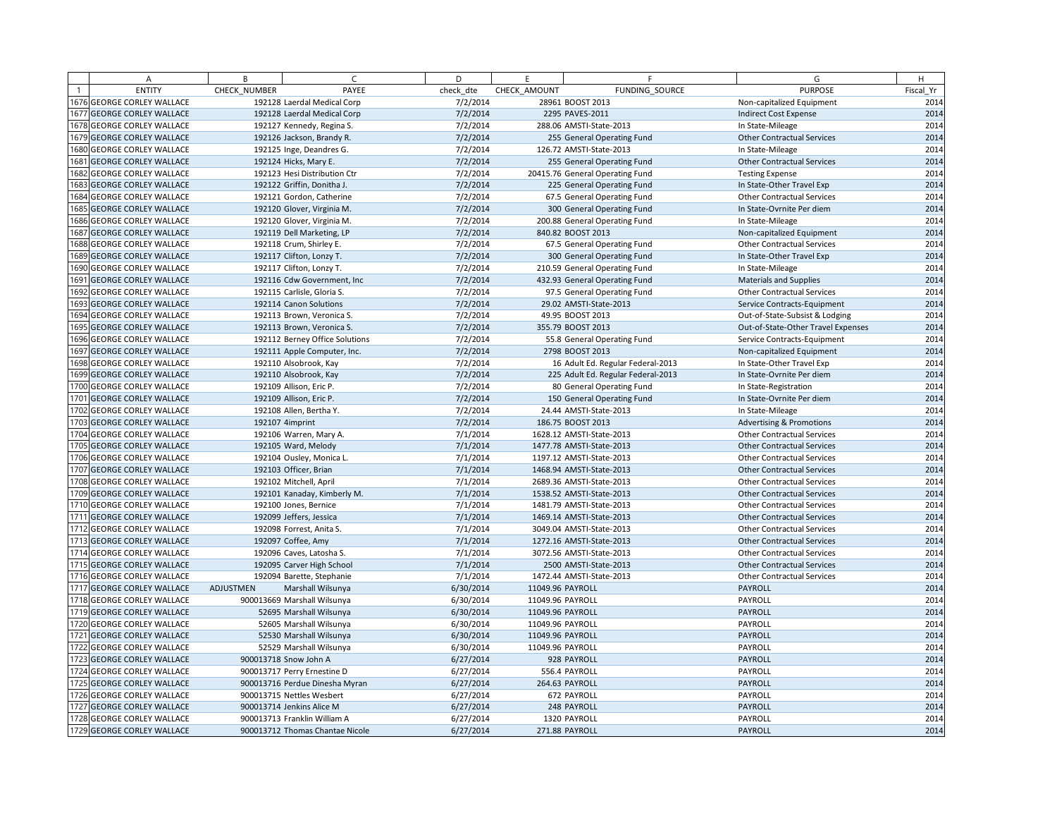| A                                 | B            | $\epsilon$                      | D         | F.               | F                                  | G                                   | H         |
|-----------------------------------|--------------|---------------------------------|-----------|------------------|------------------------------------|-------------------------------------|-----------|
| <b>ENTITY</b>                     | CHECK NUMBER | PAYEE                           | check dte | CHECK AMOUNT     | FUNDING SOURCE                     | <b>PURPOSE</b>                      | Fiscal Yr |
| <b>676 GEORGE CORLEY WALLACE</b>  |              | 192128 Laerdal Medical Corp     | 7/2/2014  |                  | 28961 BOOST 2013                   | Non-capitalized Equipment           | 2014      |
| 1677 GEORGE CORLEY WALLACE        |              | 192128 Laerdal Medical Corp     | 7/2/2014  |                  | 2295 PAVES-2011                    | <b>Indirect Cost Expense</b>        | 2014      |
| 1678 GEORGE CORLEY WALLACE        |              | 192127 Kennedy, Regina S.       | 7/2/2014  |                  | 288.06 AMSTI-State-2013            | In State-Mileage                    | 2014      |
| 1679 GEORGE CORLEY WALLACE        |              | 192126 Jackson, Brandy R.       | 7/2/2014  |                  | 255 General Operating Fund         | <b>Other Contractual Services</b>   | 2014      |
| 1680 GEORGE CORLEY WALLACE        |              | 192125 Inge, Deandres G.        | 7/2/2014  |                  | 126.72 AMSTI-State-2013            | In State-Mileage                    | 2014      |
| 1681 GEORGE CORLEY WALLACE        |              | 192124 Hicks, Mary E.           | 7/2/2014  |                  | 255 General Operating Fund         | <b>Other Contractual Services</b>   | 2014      |
| 1682 GEORGE CORLEY WALLACE        |              | 192123 Hesi Distribution Ctr    | 7/2/2014  |                  | 20415.76 General Operating Fund    | <b>Testing Expense</b>              | 2014      |
| 1683 GEORGE CORLEY WALLACE        |              | 192122 Griffin, Donitha J.      | 7/2/2014  |                  | 225 General Operating Fund         | In State-Other Travel Exp           | 2014      |
| 1684 GEORGE CORLEY WALLACE        |              | 192121 Gordon, Catherine        | 7/2/2014  |                  | 67.5 General Operating Fund        | <b>Other Contractual Services</b>   | 2014      |
| 1685 GEORGE CORLEY WALLACE        |              | 192120 Glover, Virginia M.      | 7/2/2014  |                  | 300 General Operating Fund         | In State-Ovrnite Per diem           | 2014      |
| 1686 GEORGE CORLEY WALLACE        |              | 192120 Glover, Virginia M.      | 7/2/2014  |                  | 200.88 General Operating Fund      | In State-Mileage                    | 2014      |
| 1687 GEORGE CORLEY WALLACE        |              | 192119 Dell Marketing, LP       | 7/2/2014  |                  | 840.82 BOOST 2013                  | Non-capitalized Equipment           | 2014      |
| 1688 GEORGE CORLEY WALLACE        |              | 192118 Crum, Shirley E.         | 7/2/2014  |                  | 67.5 General Operating Fund        | <b>Other Contractual Services</b>   | 2014      |
| 1689 GEORGE CORLEY WALLACE        |              | 192117 Clifton, Lonzy T.        | 7/2/2014  |                  | 300 General Operating Fund         | In State-Other Travel Exp           | 2014      |
| <b>690 GEORGE CORLEY WALLACE</b>  |              | 192117 Clifton, Lonzy T.        | 7/2/2014  |                  | 210.59 General Operating Fund      | In State-Mileage                    | 2014      |
| 1691 GEORGE CORLEY WALLACE        |              | 192116 Cdw Government, Inc.     | 7/2/2014  |                  | 432.93 General Operating Fund      | <b>Materials and Supplies</b>       | 2014      |
| 1692 GEORGE CORLEY WALLACE        |              | 192115 Carlisle, Gloria S.      | 7/2/2014  |                  | 97.5 General Operating Fund        | <b>Other Contractual Services</b>   | 2014      |
| 1693 GEORGE CORLEY WALLACE        |              | 192114 Canon Solutions          | 7/2/2014  |                  | 29.02 AMSTI-State-2013             | Service Contracts-Equipment         | 2014      |
| 1694 GEORGE CORLEY WALLACE        |              | 192113 Brown, Veronica S.       | 7/2/2014  |                  | 49.95 BOOST 2013                   | Out-of-State-Subsist & Lodging      | 2014      |
| 1695 GEORGE CORLEY WALLACE        |              | 192113 Brown, Veronica S.       | 7/2/2014  |                  | 355.79 BOOST 2013                  | Out-of-State-Other Travel Expenses  | 2014      |
| <b>1696 GEORGE CORLEY WALLACE</b> |              | 192112 Berney Office Solutions  | 7/2/2014  |                  | 55.8 General Operating Fund        | Service Contracts-Equipment         | 2014      |
| 1697 GEORGE CORLEY WALLACE        |              | 192111 Apple Computer, Inc.     | 7/2/2014  |                  | 2798 BOOST 2013                    | Non-capitalized Equipment           | 2014      |
| 1698 GEORGE CORLEY WALLACE        |              | 192110 Alsobrook, Kay           | 7/2/2014  |                  | 16 Adult Ed. Regular Federal-2013  | In State-Other Travel Exp           | 2014      |
| <b>699 GEORGE CORLEY WALLACE</b>  |              | 192110 Alsobrook, Kay           | 7/2/2014  |                  | 225 Adult Ed. Regular Federal-2013 | In State-Ovrnite Per diem           | 2014      |
| 1700 GEORGE CORLEY WALLACE        |              | 192109 Allison, Eric P.         | 7/2/2014  |                  | 80 General Operating Fund          | In State-Registration               | 2014      |
| 1701 GEORGE CORLEY WALLACE        |              | 192109 Allison, Eric P.         | 7/2/2014  |                  | 150 General Operating Fund         | In State-Ovrnite Per diem           | 2014      |
| 1702 GEORGE CORLEY WALLACE        |              | 192108 Allen, Bertha Y.         | 7/2/2014  |                  | 24.44 AMSTI-State-2013             | In State-Mileage                    | 2014      |
| 1703 GEORGE CORLEY WALLACE        |              | 192107 4imprint                 | 7/2/2014  |                  | 186.75 BOOST 2013                  | <b>Advertising &amp; Promotions</b> | 2014      |
| 1704 GEORGE CORLEY WALLACE        |              | 192106 Warren, Mary A.          | 7/1/2014  |                  | 1628.12 AMSTI-State-2013           | <b>Other Contractual Services</b>   | 2014      |
| 1705 GEORGE CORLEY WALLACE        |              | 192105 Ward, Melody             | 7/1/2014  |                  | 1477.78 AMSTI-State-2013           | <b>Other Contractual Services</b>   | 2014      |
| 1706 GEORGE CORLEY WALLACE        |              | 192104 Ousley, Monica L.        | 7/1/2014  |                  | 1197.12 AMSTI-State-2013           | <b>Other Contractual Services</b>   | 2014      |
| 1707 GEORGE CORLEY WALLACE        |              | 192103 Officer, Brian           | 7/1/2014  |                  | 1468.94 AMSTI-State-2013           | <b>Other Contractual Services</b>   | 2014      |
| 1708 GEORGE CORLEY WALLACE        |              | 192102 Mitchell, April          | 7/1/2014  |                  | 2689.36 AMSTI-State-2013           | <b>Other Contractual Services</b>   | 2014      |
| 1709 GEORGE CORLEY WALLACE        |              | 192101 Kanaday, Kimberly M.     | 7/1/2014  |                  | 1538.52 AMSTI-State-2013           | <b>Other Contractual Services</b>   | 2014      |
| 1710 GEORGE CORLEY WALLACE        |              | 192100 Jones, Bernice           | 7/1/2014  |                  | 1481.79 AMSTI-State-2013           | <b>Other Contractual Services</b>   | 2014      |
| 1711 GEORGE CORLEY WALLACE        |              | 192099 Jeffers, Jessica         | 7/1/2014  |                  | 1469.14 AMSTI-State-2013           | <b>Other Contractual Services</b>   | 2014      |
| 1712 GEORGE CORLEY WALLACE        |              | 192098 Forrest, Anita S.        | 7/1/2014  |                  | 3049.04 AMSTI-State-2013           | <b>Other Contractual Services</b>   | 2014      |
| 1713 GEORGE CORLEY WALLACE        |              | 192097 Coffee, Amy              | 7/1/2014  |                  | 1272.16 AMSTI-State-2013           | <b>Other Contractual Services</b>   | 2014      |
| 1714 GEORGE CORLEY WALLACE        |              | 192096 Caves, Latosha S.        | 7/1/2014  |                  | 3072.56 AMSTI-State-2013           | <b>Other Contractual Services</b>   | 2014      |
| 1715 GEORGE CORLEY WALLACE        |              | 192095 Carver High School       | 7/1/2014  |                  | 2500 AMSTI-State-2013              | <b>Other Contractual Services</b>   | 2014      |
| 1716 GEORGE CORLEY WALLACE        |              | 192094 Barette, Stephanie       | 7/1/2014  |                  | 1472.44 AMSTI-State-2013           | <b>Other Contractual Services</b>   | 2014      |
| 1717 GEORGE CORLEY WALLACE        | ADJUSTMEN    | Marshall Wilsunya               | 6/30/2014 | 11049.96 PAYROLL |                                    | PAYROLL                             | 2014      |
| 1718 GEORGE CORLEY WALLACE        |              | 900013669 Marshall Wilsunya     | 6/30/2014 | 11049.96 PAYROLL |                                    | PAYROLL                             | 2014      |
| 1719 GEORGE CORLEY WALLACE        |              | 52695 Marshall Wilsunya         | 6/30/2014 | 11049.96 PAYROLL |                                    | PAYROLL                             | 2014      |
| 1720 GEORGE CORLEY WALLACE        |              | 52605 Marshall Wilsunya         | 6/30/2014 | 11049.96 PAYROLL |                                    | PAYROLL                             | 2014      |
| 1721 GEORGE CORLEY WALLACE        |              | 52530 Marshall Wilsunya         | 6/30/2014 | 11049.96 PAYROLL |                                    | PAYROLL                             | 2014      |
| 1722 GEORGE CORLEY WALLACE        |              | 52529 Marshall Wilsunya         | 6/30/2014 | 11049.96 PAYROLL |                                    | PAYROLL                             | 2014      |
| 1723 GEORGE CORLEY WALLACE        |              | 900013718 Snow John A           | 6/27/2014 |                  | 928 PAYROLL                        | PAYROLL                             | 2014      |
| 1724 GEORGE CORLEY WALLACE        |              | 900013717 Perry Ernestine D     | 6/27/2014 |                  | 556.4 PAYROLL                      | PAYROLL                             | 2014      |
| 1725 GEORGE CORLEY WALLACE        |              | 900013716 Perdue Dinesha Myran  | 6/27/2014 |                  | 264.63 PAYROLL                     | PAYROLL                             | 2014      |
| 1726 GEORGE CORLEY WALLACE        |              | 900013715 Nettles Wesbert       | 6/27/2014 |                  | 672 PAYROLL                        | PAYROLL                             | 2014      |
| 1727 GEORGE CORLEY WALLACE        |              | 900013714 Jenkins Alice M       | 6/27/2014 |                  | 248 PAYROLL                        | PAYROLL                             | 2014      |
| 1728 GEORGE CORLEY WALLACE        |              | 900013713 Franklin William A    | 6/27/2014 |                  | 1320 PAYROLL                       | PAYROLL                             | 2014      |
| 1729 GEORGE CORLEY WALLACE        |              | 900013712 Thomas Chantae Nicole | 6/27/2014 |                  | 271.88 PAYROLL                     | PAYROLL                             | 2014      |
|                                   |              |                                 |           |                  |                                    |                                     |           |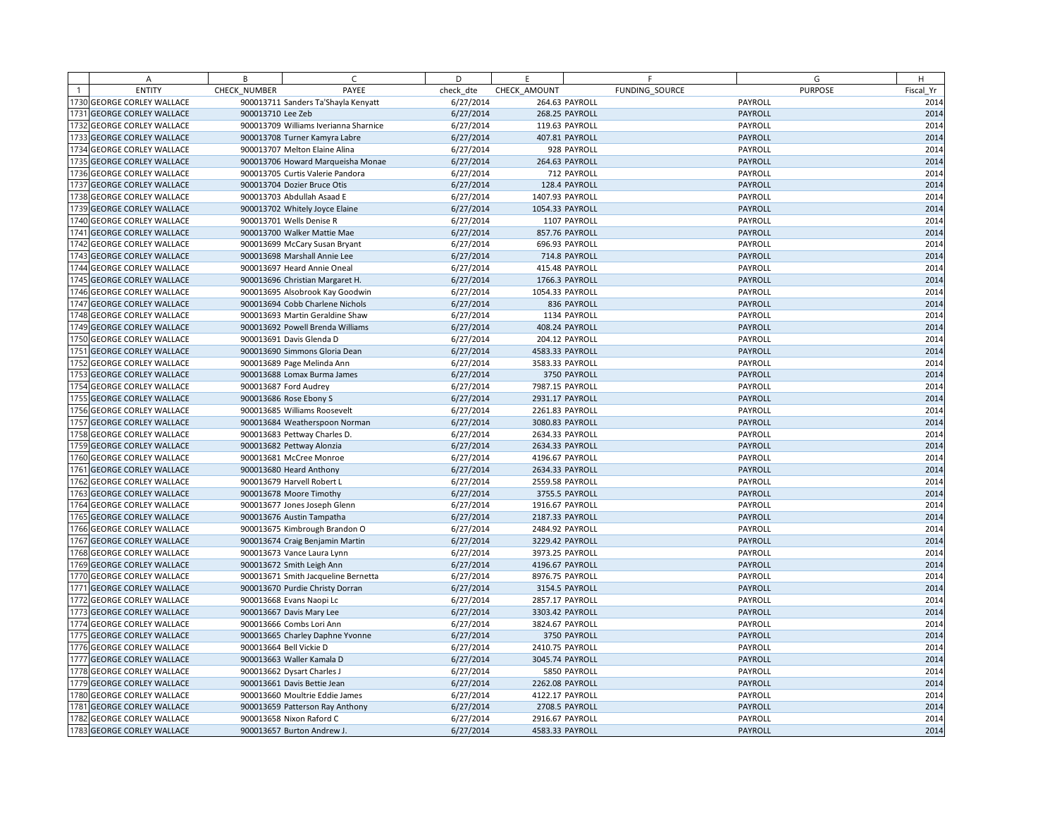| A                          | B                 | C                                     | D         | E               | F              |         | G              | H         |
|----------------------------|-------------------|---------------------------------------|-----------|-----------------|----------------|---------|----------------|-----------|
| <b>ENTITY</b>              | CHECK NUMBER      | PAYEE                                 | check dte | CHECK AMOUNT    | FUNDING SOURCE |         | <b>PURPOSE</b> | Fiscal Yr |
| 1730 GEORGE CORLEY WALLACE |                   | 900013711 Sanders Ta'Shayla Kenyatt   | 6/27/2014 |                 | 264.63 PAYROLL | PAYROLL |                | 2014      |
| 1731 GEORGE CORLEY WALLACE | 900013710 Lee Zeb |                                       | 6/27/2014 |                 | 268.25 PAYROLL | PAYROLL |                | 2014      |
| 1732 GEORGE CORLEY WALLACE |                   | 900013709 Williams Iverianna Sharnice | 6/27/2014 |                 | 119.63 PAYROLL | PAYROLL |                | 2014      |
| 1733 GEORGE CORLEY WALLACE |                   | 900013708 Turner Kamyra Labre         | 6/27/2014 |                 | 407.81 PAYROLL | PAYROLL |                | 2014      |
| 1734 GEORGE CORLEY WALLACE |                   | 900013707 Melton Elaine Alina         | 6/27/2014 |                 | 928 PAYROLL    | PAYROLL |                | 2014      |
| 1735 GEORGE CORLEY WALLACE |                   | 900013706 Howard Marqueisha Monae     | 6/27/2014 |                 | 264.63 PAYROLL |         | PAYROLL        | 2014      |
| 1736 GEORGE CORLEY WALLACE |                   | 900013705 Curtis Valerie Pandora      | 6/27/2014 |                 | 712 PAYROLL    | PAYROLL |                | 2014      |
| 1737 GEORGE CORLEY WALLACE |                   | 900013704 Dozier Bruce Otis           | 6/27/2014 |                 | 128.4 PAYROLL  | PAYROLL |                | 2014      |
| 1738 GEORGE CORLEY WALLACE |                   | 900013703 Abdullah Asaad E            | 6/27/2014 | 1407.93 PAYROLL |                | PAYROLL |                | 2014      |
| 1739 GEORGE CORLEY WALLACE |                   | 900013702 Whitely Joyce Elaine        | 6/27/2014 | 1054.33 PAYROLL |                | PAYROLL |                | 2014      |
| 1740 GEORGE CORLEY WALLACE |                   | 900013701 Wells Denise R              | 6/27/2014 |                 | 1107 PAYROLL   | PAYROLL |                | 2014      |
| 1741 GEORGE CORLEY WALLACE |                   | 900013700 Walker Mattie Mae           | 6/27/2014 |                 | 857.76 PAYROLL |         | PAYROLL        | 2014      |
| 1742 GEORGE CORLEY WALLACE |                   | 900013699 McCary Susan Bryant         | 6/27/2014 |                 | 696.93 PAYROLL | PAYROLL |                | 2014      |
| 1743 GEORGE CORLEY WALLACE |                   | 900013698 Marshall Annie Lee          | 6/27/2014 |                 | 714.8 PAYROLL  | PAYROLL |                | 2014      |
| 1744 GEORGE CORLEY WALLACE |                   | 900013697 Heard Annie Oneal           | 6/27/2014 |                 | 415.48 PAYROLL |         | PAYROLL        | 2014      |
| 1745 GEORGE CORLEY WALLACE |                   | 900013696 Christian Margaret H.       | 6/27/2014 |                 | 1766.3 PAYROLL | PAYROLL |                | 2014      |
| 1746 GEORGE CORLEY WALLACE |                   | 900013695 Alsobrook Kay Goodwin       | 6/27/2014 | 1054.33 PAYROLL |                | PAYROLL |                | 2014      |
| 1747 GEORGE CORLEY WALLACE |                   | 900013694 Cobb Charlene Nichols       | 6/27/2014 |                 | 836 PAYROLL    |         | PAYROLL        | 2014      |
| 1748 GEORGE CORLEY WALLACE |                   | 900013693 Martin Geraldine Shaw       | 6/27/2014 |                 | 1134 PAYROLL   | PAYROLL |                | 2014      |
| 1749 GEORGE CORLEY WALLACE |                   | 900013692 Powell Brenda Williams      | 6/27/2014 |                 | 408.24 PAYROLL | PAYROLL |                | 2014      |
| 1750 GEORGE CORLEY WALLACE |                   | 900013691 Davis Glenda D              | 6/27/2014 |                 | 204.12 PAYROLL | PAYROLL |                | 2014      |
| 1751 GEORGE CORLEY WALLACE |                   | 900013690 Simmons Gloria Dean         | 6/27/2014 | 4583.33 PAYROLL |                | PAYROLL |                | 2014      |
| 1752 GEORGE CORLEY WALLACE |                   | 900013689 Page Melinda Ann            | 6/27/2014 | 3583.33 PAYROLL |                | PAYROLL |                | 2014      |
| 1753 GEORGE CORLEY WALLACE |                   | 900013688 Lomax Burma James           | 6/27/2014 |                 | 3750 PAYROLL   | PAYROLL |                | 2014      |
| 1754 GEORGE CORLEY WALLACE |                   | 900013687 Ford Audrey                 | 6/27/2014 | 7987.15 PAYROLL |                | PAYROLL |                | 2014      |
| 1755 GEORGE CORLEY WALLACE |                   | 900013686 Rose Ebony S                | 6/27/2014 | 2931.17 PAYROLL |                |         | PAYROLL        | 2014      |
| 1756 GEORGE CORLEY WALLACE |                   | 900013685 Williams Roosevelt          | 6/27/2014 | 2261.83 PAYROLL |                | PAYROLL |                | 2014      |
| 1757 GEORGE CORLEY WALLACE |                   | 900013684 Weatherspoon Norman         | 6/27/2014 | 3080.83 PAYROLL |                | PAYROLL |                | 2014      |
| 1758 GEORGE CORLEY WALLACE |                   | 900013683 Pettway Charles D.          | 6/27/2014 | 2634.33 PAYROLL |                | PAYROLL |                | 2014      |
| 1759 GEORGE CORLEY WALLACE |                   | 900013682 Pettway Alonzia             | 6/27/2014 | 2634.33 PAYROLL |                | PAYROLL |                | 2014      |
| 1760 GEORGE CORLEY WALLACE |                   | 900013681 McCree Monroe               | 6/27/2014 | 4196.67 PAYROLL |                | PAYROLL |                | 2014      |
| 1761 GEORGE CORLEY WALLACE |                   | 900013680 Heard Anthony               | 6/27/2014 | 2634.33 PAYROLL |                |         | PAYROLL        | 2014      |
| 1762 GEORGE CORLEY WALLACE |                   | 900013679 Harvell Robert L            | 6/27/2014 | 2559.58 PAYROLL |                | PAYROLL |                | 2014      |
| 1763 GEORGE CORLEY WALLACE |                   | 900013678 Moore Timothy               | 6/27/2014 |                 | 3755.5 PAYROLL | PAYROLL |                | 2014      |
| 1764 GEORGE CORLEY WALLACE |                   | 900013677 Jones Joseph Glenn          | 6/27/2014 | 1916.67 PAYROLL |                | PAYROLL |                | 2014      |
| 1765 GEORGE CORLEY WALLACE |                   | 900013676 Austin Tampatha             | 6/27/2014 | 2187.33 PAYROLL |                | PAYROLL |                | 2014      |
| 1766 GEORGE CORLEY WALLACE |                   | 900013675 Kimbrough Brandon O         | 6/27/2014 | 2484.92 PAYROLL |                | PAYROLL |                | 2014      |
| 1767 GEORGE CORLEY WALLACE |                   | 900013674 Craig Benjamin Martin       | 6/27/2014 | 3229.42 PAYROLL |                |         | PAYROLL        | 2014      |
| 1768 GEORGE CORLEY WALLACE |                   | 900013673 Vance Laura Lynn            | 6/27/2014 | 3973.25 PAYROLL |                | PAYROLL |                | 2014      |
| 1769 GEORGE CORLEY WALLACE |                   | 900013672 Smith Leigh Ann             | 6/27/2014 | 4196.67 PAYROLL |                | PAYROLL |                | 2014      |
| 1770 GEORGE CORLEY WALLACE |                   | 900013671 Smith Jacqueline Bernetta   | 6/27/2014 | 8976.75 PAYROLL |                | PAYROLL |                | 2014      |
| 1771 GEORGE CORLEY WALLACE |                   | 900013670 Purdie Christy Dorran       | 6/27/2014 |                 | 3154.5 PAYROLL | PAYROLL |                | 2014      |
| 1772 GEORGE CORLEY WALLACE |                   | 900013668 Evans Naopi Lc              | 6/27/2014 | 2857.17 PAYROLL |                | PAYROLL |                | 2014      |
| 1773 GEORGE CORLEY WALLACE |                   | 900013667 Davis Mary Lee              | 6/27/2014 | 3303.42 PAYROLL |                |         | PAYROLL        | 2014      |
| 1774 GEORGE CORLEY WALLACE |                   | 900013666 Combs Lori Ann              | 6/27/2014 | 3824.67 PAYROLL |                | PAYROLL |                | 2014      |
| 1775 GEORGE CORLEY WALLACE |                   | 900013665 Charley Daphne Yvonne       | 6/27/2014 |                 | 3750 PAYROLL   |         | <b>PAYROLL</b> | 2014      |
| 1776 GEORGE CORLEY WALLACE |                   | 900013664 Bell Vickie D               | 6/27/2014 | 2410.75 PAYROLL |                | PAYROLL |                | 2014      |
| 1777 GEORGE CORLEY WALLACE |                   | 900013663 Waller Kamala D             | 6/27/2014 | 3045.74 PAYROLL |                | PAYROLL |                | 2014      |
| 1778 GEORGE CORLEY WALLACE |                   | 900013662 Dysart Charles J            | 6/27/2014 |                 | 5850 PAYROLL   | PAYROLL |                | 2014      |
| 1779 GEORGE CORLEY WALLACE |                   | 900013661 Davis Bettie Jean           | 6/27/2014 | 2262.08 PAYROLL |                | PAYROLL |                | 2014      |
| 1780 GEORGE CORLEY WALLACE |                   | 900013660 Moultrie Eddie James        | 6/27/2014 | 4122.17 PAYROLL |                | PAYROLL |                | 2014      |
| 1781 GEORGE CORLEY WALLACE |                   | 900013659 Patterson Ray Anthony       | 6/27/2014 |                 | 2708.5 PAYROLL | PAYROLL |                | 2014      |
| 1782 GEORGE CORLEY WALLACE |                   | 900013658 Nixon Raford C              | 6/27/2014 | 2916.67 PAYROLL |                | PAYROLL |                | 2014      |
| 1783 GEORGE CORLEY WALLACE |                   | 900013657 Burton Andrew J.            | 6/27/2014 | 4583.33 PAYROLL |                | PAYROLL |                | 2014      |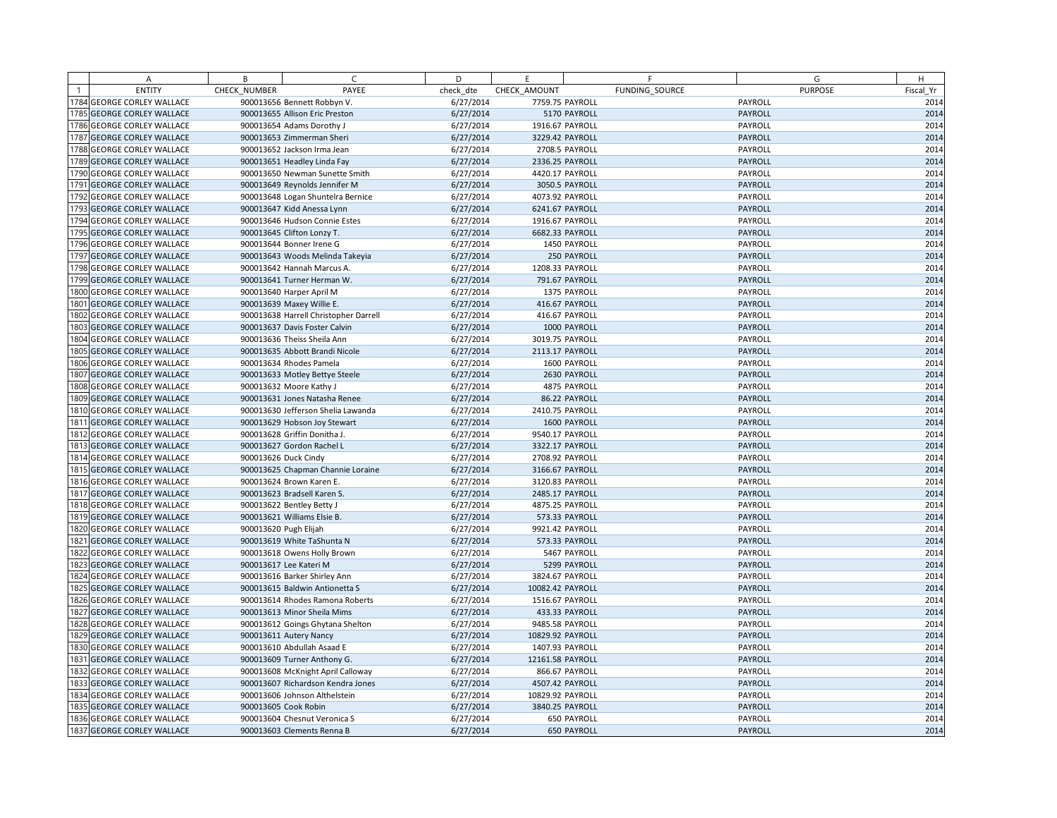| A                                 | B            | C                                     | D         | E                |                | F              | G              | H         |
|-----------------------------------|--------------|---------------------------------------|-----------|------------------|----------------|----------------|----------------|-----------|
| <b>ENTITY</b>                     | CHECK NUMBER | PAYEE                                 | check dte | CHECK AMOUNT     |                | FUNDING SOURCE | <b>PURPOSE</b> | Fiscal Yr |
| 1784 GEORGE CORLEY WALLACE        |              | 900013656 Bennett Robbyn V.           | 6/27/2014 | 7759.75 PAYROLL  |                |                | PAYROLL        | 2014      |
| 1785 GEORGE CORLEY WALLACE        |              | 900013655 Allison Eric Preston        | 6/27/2014 |                  | 5170 PAYROLL   |                | PAYROLL        | 2014      |
| 1786 GEORGE CORLEY WALLACE        |              | 900013654 Adams Dorothy J             | 6/27/2014 | 1916.67 PAYROLL  |                |                | PAYROLL        | 2014      |
| 1787 GEORGE CORLEY WALLACE        |              | 900013653 Zimmerman Sheri             | 6/27/2014 | 3229.42 PAYROLL  |                |                | PAYROLL        | 2014      |
| 1788 GEORGE CORLEY WALLACE        |              | 900013652 Jackson Irma Jean           | 6/27/2014 |                  | 2708.5 PAYROLL |                | PAYROLL        | 2014      |
| <b>1789 GEORGE CORLEY WALLACE</b> |              | 900013651 Headley Linda Fay           | 6/27/2014 | 2336.25 PAYROLL  |                |                | PAYROLL        | 2014      |
| 1790 GEORGE CORLEY WALLACE        |              | 900013650 Newman Sunette Smith        | 6/27/2014 | 4420.17 PAYROLL  |                |                | PAYROLL        | 2014      |
| 1791 GEORGE CORLEY WALLACE        |              | 900013649 Reynolds Jennifer M         | 6/27/2014 |                  | 3050.5 PAYROLL |                | PAYROLL        | 2014      |
| 1792 GEORGE CORLEY WALLACE        |              | 900013648 Logan Shuntelra Bernice     | 6/27/2014 | 4073.92 PAYROLL  |                |                | PAYROLL        | 2014      |
| 1793 GEORGE CORLEY WALLACE        |              | 900013647 Kidd Anessa Lynn            | 6/27/2014 | 6241.67 PAYROLL  |                |                | PAYROLL        | 2014      |
| 1794 GEORGE CORLEY WALLACE        |              | 900013646 Hudson Connie Estes         | 6/27/2014 | 1916.67 PAYROLL  |                |                | PAYROLL        | 2014      |
| 1795 GEORGE CORLEY WALLACE        |              | 900013645 Clifton Lonzy T.            | 6/27/2014 | 6682.33 PAYROLL  |                |                | PAYROLL        | 2014      |
| 1796 GEORGE CORLEY WALLACE        |              | 900013644 Bonner Irene G              | 6/27/2014 |                  | 1450 PAYROLL   |                | PAYROLL        | 2014      |
| 1797 GEORGE CORLEY WALLACE        |              | 900013643 Woods Melinda Takeyia       | 6/27/2014 |                  | 250 PAYROLL    |                | PAYROLL        | 2014      |
| 1798 GEORGE CORLEY WALLACE        |              | 900013642 Hannah Marcus A.            | 6/27/2014 | 1208.33 PAYROLL  |                |                | PAYROLL        | 2014      |
| 1799 GEORGE CORLEY WALLACE        |              | 900013641 Turner Herman W.            | 6/27/2014 |                  | 791.67 PAYROLL |                | PAYROLL        | 2014      |
| 1800 GEORGE CORLEY WALLACE        |              | 900013640 Harper April M              | 6/27/2014 |                  | 1375 PAYROLL   |                | PAYROLL        | 2014      |
| 1801 GEORGE CORLEY WALLACE        |              | 900013639 Maxey Willie E.             | 6/27/2014 |                  | 416.67 PAYROLL |                | PAYROLL        | 2014      |
| 1802 GEORGE CORLEY WALLACE        |              | 900013638 Harrell Christopher Darrell | 6/27/2014 |                  | 416.67 PAYROLL |                | PAYROLL        | 2014      |
| 1803 GEORGE CORLEY WALLACE        |              | 900013637 Davis Foster Calvin         | 6/27/2014 |                  | 1000 PAYROLL   |                | PAYROLL        | 2014      |
| 1804 GEORGE CORLEY WALLACE        |              | 900013636 Theiss Sheila Ann           | 6/27/2014 | 3019.75 PAYROLL  |                |                | PAYROLL        | 2014      |
| 1805 GEORGE CORLEY WALLACE        |              | 900013635 Abbott Brandi Nicole        | 6/27/2014 | 2113.17 PAYROLL  |                |                | PAYROLL        | 2014      |
| 1806 GEORGE CORLEY WALLACE        |              | 900013634 Rhodes Pamela               | 6/27/2014 |                  | 1600 PAYROLL   |                | PAYROLL        | 2014      |
| 1807 GEORGE CORLEY WALLACE        |              | 900013633 Motley Bettye Steele        | 6/27/2014 |                  | 2630 PAYROLL   |                | PAYROLL        | 2014      |
| 1808 GEORGE CORLEY WALLACE        |              | 900013632 Moore Kathy J               | 6/27/2014 |                  | 4875 PAYROLL   |                | PAYROLL        | 2014      |
| 1809 GEORGE CORLEY WALLACE        |              | 900013631 Jones Natasha Renee         | 6/27/2014 |                  | 86.22 PAYROLL  |                | PAYROLL        | 2014      |
| 1810 GEORGE CORLEY WALLACE        |              | 900013630 Jefferson Shelia Lawanda    | 6/27/2014 | 2410.75 PAYROLL  |                |                | PAYROLL        | 2014      |
| 1811 GEORGE CORLEY WALLACE        |              | 900013629 Hobson Joy Stewart          | 6/27/2014 |                  | 1600 PAYROLL   |                | PAYROLL        | 2014      |
| 1812 GEORGE CORLEY WALLACE        |              | 900013628 Griffin Donitha J.          | 6/27/2014 | 9540.17 PAYROLL  |                |                | PAYROLL        | 2014      |
| 1813 GEORGE CORLEY WALLACE        |              | 900013627 Gordon Rachel L             | 6/27/2014 | 3322.17 PAYROLL  |                |                | PAYROLL        | 2014      |
| 1814 GEORGE CORLEY WALLACE        |              | 900013626 Duck Cindy                  | 6/27/2014 | 2708.92 PAYROLL  |                |                | PAYROLL        | 2014      |
| 1815 GEORGE CORLEY WALLACE        |              | 900013625 Chapman Channie Loraine     | 6/27/2014 | 3166.67 PAYROLL  |                |                | PAYROLL        | 2014      |
| 1816 GEORGE CORLEY WALLACE        |              | 900013624 Brown Karen E.              | 6/27/2014 | 3120.83 PAYROLL  |                |                | PAYROLL        | 2014      |
| 1817 GEORGE CORLEY WALLACE        |              | 900013623 Bradsell Karen S.           | 6/27/2014 | 2485.17 PAYROLL  |                |                | PAYROLL        | 2014      |
| 1818 GEORGE CORLEY WALLACE        |              | 900013622 Bentley Betty J             | 6/27/2014 | 4875.25 PAYROLL  |                |                | PAYROLL        | 2014      |
| 1819 GEORGE CORLEY WALLACE        |              | 900013621 Williams Elsie B.           | 6/27/2014 |                  | 573.33 PAYROLL |                | PAYROLL        | 2014      |
| 1820 GEORGE CORLEY WALLACE        |              | 900013620 Pugh Elijah                 | 6/27/2014 | 9921.42 PAYROLL  |                |                | PAYROLL        | 2014      |
| 1821 GEORGE CORLEY WALLACE        |              | 900013619 White TaShunta N            | 6/27/2014 |                  | 573.33 PAYROLL |                | PAYROLL        | 2014      |
| 1822 GEORGE CORLEY WALLACE        |              | 900013618 Owens Holly Brown           | 6/27/2014 |                  | 5467 PAYROLL   |                | PAYROLL        | 2014      |
| 1823 GEORGE CORLEY WALLACE        |              | 900013617 Lee Kateri M                | 6/27/2014 |                  | 5299 PAYROLL   |                | PAYROLL        | 2014      |
| 1824 GEORGE CORLEY WALLACE        |              | 900013616 Barker Shirley Ann          | 6/27/2014 | 3824.67 PAYROLL  |                |                | PAYROLL        | 2014      |
| 1825 GEORGE CORLEY WALLACE        |              | 900013615 Baldwin Antionetta S        | 6/27/2014 | 10082.42 PAYROLL |                |                | PAYROLL        | 2014      |
| 1826 GEORGE CORLEY WALLACE        |              | 900013614 Rhodes Ramona Roberts       | 6/27/2014 | 1516.67 PAYROLL  |                |                | PAYROLL        | 2014      |
| 1827 GEORGE CORLEY WALLACE        |              | 900013613 Minor Sheila Mims           | 6/27/2014 |                  | 433.33 PAYROLL |                | PAYROLL        | 2014      |
| 1828 GEORGE CORLEY WALLACE        |              | 900013612 Goings Ghytana Shelton      | 6/27/2014 | 9485.58 PAYROLL  |                |                | PAYROLL        | 2014      |
| 1829 GEORGE CORLEY WALLACE        |              | 900013611 Autery Nancy                | 6/27/2014 | 10829.92 PAYROLL |                |                | PAYROLL        | 2014      |
| 1830 GEORGE CORLEY WALLACE        |              | 900013610 Abdullah Asaad E            | 6/27/2014 | 1407.93 PAYROLL  |                |                | PAYROLL        | 2014      |
| 1831 GEORGE CORLEY WALLACE        |              | 900013609 Turner Anthony G.           | 6/27/2014 | 12161.58 PAYROLL |                |                | PAYROLL        | 2014      |
| 1832 GEORGE CORLEY WALLACE        |              | 900013608 McKnight April Calloway     | 6/27/2014 |                  | 866.67 PAYROLL |                | PAYROLL        | 2014      |
| 1833 GEORGE CORLEY WALLACE        |              | 900013607 Richardson Kendra Jones     | 6/27/2014 | 4507.42 PAYROLL  |                |                | PAYROLL        | 2014      |
| 1834 GEORGE CORLEY WALLACE        |              | 900013606 Johnson Althelstein         | 6/27/2014 | 10829.92 PAYROLL |                |                | PAYROLL        | 2014      |
| 1835 GEORGE CORLEY WALLACE        |              | 900013605 Cook Robin                  | 6/27/2014 | 3840.25 PAYROLL  |                |                | PAYROLL        | 2014      |
| 1836 GEORGE CORLEY WALLACE        |              | 900013604 Chesnut Veronica S          | 6/27/2014 |                  | 650 PAYROLL    |                | PAYROLL        | 2014      |
| 1837 GEORGE CORLEY WALLACE        |              | 900013603 Clements Renna B            | 6/27/2014 |                  | 650 PAYROLL    |                | PAYROLL        | 2014      |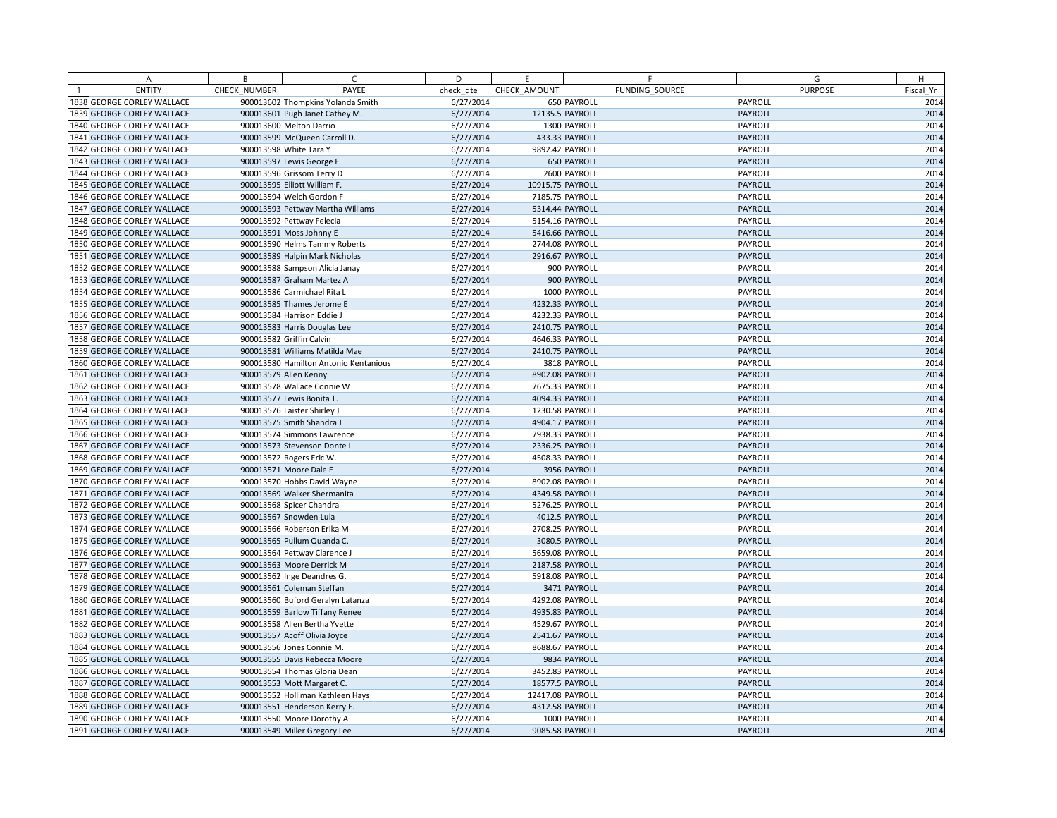| A                                | B            | $\subset$                             | D         | E                | F              | G              | H         |
|----------------------------------|--------------|---------------------------------------|-----------|------------------|----------------|----------------|-----------|
| <b>ENTITY</b>                    | CHECK NUMBER | PAYEE                                 | check dte | CHECK AMOUNT     | FUNDING SOURCE | <b>PURPOSE</b> | Fiscal Yr |
| 1838 GEORGE CORLEY WALLACE       |              | 900013602 Thompkins Yolanda Smith     | 6/27/2014 |                  | 650 PAYROLL    | PAYROLL        | 2014      |
| <b>839 GEORGE CORLEY WALLACE</b> |              | 900013601 Pugh Janet Cathey M.        | 6/27/2014 | 12135.5 PAYROLL  |                | PAYROLL        | 2014      |
| <b>840 GEORGE CORLEY WALLACE</b> |              | 900013600 Melton Darrio               | 6/27/2014 |                  | 1300 PAYROLL   | PAYROLL        | 2014      |
| 1841 GEORGE CORLEY WALLACE       |              | 900013599 McQueen Carroll D.          | 6/27/2014 | 433.33 PAYROLL   |                | PAYROLL        | 2014      |
| <b>842 GEORGE CORLEY WALLACE</b> |              | 900013598 White Tara Y                | 6/27/2014 | 9892.42 PAYROLL  |                | PAYROLL        | 2014      |
| 843 GEORGE CORLEY WALLACE        |              | 900013597 Lewis George E              | 6/27/2014 |                  | 650 PAYROLL    | PAYROLL        | 2014      |
| 1844 GEORGE CORLEY WALLACE       |              | 900013596 Grissom Terry D             | 6/27/2014 |                  | 2600 PAYROLL   | PAYROLL        | 2014      |
| 845 GEORGE CORLEY WALLACE        |              | 900013595 Elliott William F.          | 6/27/2014 | 10915.75 PAYROLL |                | PAYROLL        | 2014      |
| <b>846 GEORGE CORLEY WALLACE</b> |              | 900013594 Welch Gordon F              | 6/27/2014 | 7185.75 PAYROLL  |                | PAYROLL        | 2014      |
| 1847 GEORGE CORLEY WALLACE       |              | 900013593 Pettway Martha Williams     | 6/27/2014 | 5314.44 PAYROLL  |                | PAYROLL        | 2014      |
| <b>848 GEORGE CORLEY WALLACE</b> |              | 900013592 Pettway Felecia             | 6/27/2014 | 5154.16 PAYROLL  |                | PAYROLL        | 2014      |
| 849 GEORGE CORLEY WALLACE        |              | 900013591 Moss Johnny E               | 6/27/2014 | 5416.66 PAYROLL  |                | PAYROLL        | 2014      |
| 1850 GEORGE CORLEY WALLACE       |              | 900013590 Helms Tammy Roberts         | 6/27/2014 | 2744.08 PAYROLL  |                | PAYROLL        | 2014      |
| 1851 GEORGE CORLEY WALLACE       |              | 900013589 Halpin Mark Nicholas        | 6/27/2014 | 2916.67 PAYROLL  |                | PAYROLL        | 2014      |
| 1852 GEORGE CORLEY WALLACE       |              | 900013588 Sampson Alicia Janay        | 6/27/2014 |                  | 900 PAYROLL    | PAYROLL        | 2014      |
| 1853 GEORGE CORLEY WALLACE       |              | 900013587 Graham Martez A             | 6/27/2014 |                  | 900 PAYROLL    | PAYROLL        | 2014      |
| 1854 GEORGE CORLEY WALLACE       |              | 900013586 Carmichael Rita L           | 6/27/2014 |                  | 1000 PAYROLL   | PAYROLL        | 2014      |
| 1855 GEORGE CORLEY WALLACE       |              | 900013585 Thames Jerome E             | 6/27/2014 | 4232.33 PAYROLL  |                | PAYROLL        | 2014      |
| 1856 GEORGE CORLEY WALLACE       |              | 900013584 Harrison Eddie J            | 6/27/2014 | 4232.33 PAYROLL  |                | PAYROLL        | 2014      |
| 1857 GEORGE CORLEY WALLACE       |              | 900013583 Harris Douglas Lee          | 6/27/2014 | 2410.75 PAYROLL  |                | PAYROLL        | 2014      |
| 1858 GEORGE CORLEY WALLACE       |              | 900013582 Griffin Calvin              | 6/27/2014 | 4646.33 PAYROLL  |                | PAYROLL        | 2014      |
| 1859 GEORGE CORLEY WALLACE       |              | 900013581 Williams Matilda Mae        | 6/27/2014 | 2410.75 PAYROLL  |                | PAYROLL        | 2014      |
| 1860 GEORGE CORLEY WALLACE       |              | 900013580 Hamilton Antonio Kentanious | 6/27/2014 |                  | 3818 PAYROLL   | PAYROLL        | 2014      |
| 1861 GEORGE CORLEY WALLACE       |              | 900013579 Allen Kenny                 | 6/27/2014 | 8902.08 PAYROLL  |                | PAYROLL        | 2014      |
| 1862 GEORGE CORLEY WALLACE       |              | 900013578 Wallace Connie W            | 6/27/2014 | 7675.33 PAYROLL  |                | PAYROLL        | 2014      |
| 1863 GEORGE CORLEY WALLACE       |              | 900013577 Lewis Bonita T.             | 6/27/2014 | 4094.33 PAYROLL  |                | PAYROLL        | 2014      |
| 1864 GEORGE CORLEY WALLACE       |              | 900013576 Laister Shirley J           | 6/27/2014 | 1230.58 PAYROLL  |                | PAYROLL        | 2014      |
| 1865 GEORGE CORLEY WALLACE       |              | 900013575 Smith Shandra J             | 6/27/2014 | 4904.17 PAYROLL  |                | PAYROLL        | 2014      |
| 1866 GEORGE CORLEY WALLACE       |              | 900013574 Simmons Lawrence            | 6/27/2014 | 7938.33 PAYROLL  |                | PAYROLL        | 2014      |
| 1867 GEORGE CORLEY WALLACE       |              | 900013573 Stevenson Donte L           | 6/27/2014 | 2336.25 PAYROLL  |                | PAYROLL        | 2014      |
| 1868 GEORGE CORLEY WALLACE       |              | 900013572 Rogers Eric W.              | 6/27/2014 | 4508.33 PAYROLL  |                | PAYROLL        | 2014      |
| 1869 GEORGE CORLEY WALLACE       |              | 900013571 Moore Dale E                | 6/27/2014 |                  | 3956 PAYROLL   | PAYROLL        | 2014      |
| 1870 GEORGE CORLEY WALLACE       |              | 900013570 Hobbs David Wayne           | 6/27/2014 | 8902.08 PAYROLL  |                | PAYROLL        | 2014      |
| 1871 GEORGE CORLEY WALLACE       |              | 900013569 Walker Shermanita           | 6/27/2014 | 4349.58 PAYROLL  |                | PAYROLL        | 2014      |
| 1872 GEORGE CORLEY WALLACE       |              | 900013568 Spicer Chandra              | 6/27/2014 | 5276.25 PAYROLL  |                | PAYROLL        | 2014      |
| 1873 GEORGE CORLEY WALLACE       |              | 900013567 Snowden Lula                | 6/27/2014 | 4012.5 PAYROLL   |                | PAYROLL        | 2014      |
| 1874 GEORGE CORLEY WALLACE       |              | 900013566 Roberson Erika M            | 6/27/2014 | 2708.25 PAYROLL  |                | PAYROLL        | 2014      |
| 1875 GEORGE CORLEY WALLACE       |              | 900013565 Pullum Quanda C.            | 6/27/2014 | 3080.5 PAYROLL   |                | PAYROLL        | 2014      |
| 1876 GEORGE CORLEY WALLACE       |              | 900013564 Pettway Clarence J          | 6/27/2014 | 5659.08 PAYROLL  |                | PAYROLL        | 2014      |
| 1877 GEORGE CORLEY WALLACE       |              | 900013563 Moore Derrick M             | 6/27/2014 | 2187.58 PAYROLL  |                | PAYROLL        | 2014      |
| 1878 GEORGE CORLEY WALLACE       |              | 900013562 Inge Deandres G.            | 6/27/2014 | 5918.08 PAYROLL  |                | PAYROLL        | 2014      |
| 1879 GEORGE CORLEY WALLACE       |              | 900013561 Coleman Steffan             | 6/27/2014 |                  | 3471 PAYROLL   | PAYROLL        | 2014      |
| 1880 GEORGE CORLEY WALLACE       |              | 900013560 Buford Geralyn Latanza      | 6/27/2014 | 4292.08 PAYROLL  |                | PAYROLL        | 2014      |
| 1881 GEORGE CORLEY WALLACE       |              | 900013559 Barlow Tiffany Renee        | 6/27/2014 | 4935.83 PAYROLL  |                | PAYROLL        | 2014      |
| 1882 GEORGE CORLEY WALLACE       |              | 900013558 Allen Bertha Yvette         | 6/27/2014 | 4529.67 PAYROLL  |                | PAYROLL        | 2014      |
| 1883 GEORGE CORLEY WALLACE       |              | 900013557 Acoff Olivia Joyce          | 6/27/2014 | 2541.67 PAYROLL  |                | PAYROLL        | 2014      |
| 1884 GEORGE CORLEY WALLACE       |              | 900013556 Jones Connie M.             | 6/27/2014 | 8688.67 PAYROLL  |                | PAYROLL        | 2014      |
| 1885 GEORGE CORLEY WALLACE       |              | 900013555 Davis Rebecca Moore         | 6/27/2014 |                  | 9834 PAYROLL   | PAYROLL        | 2014      |
| 1886 GEORGE CORLEY WALLACE       |              | 900013554 Thomas Gloria Dean          | 6/27/2014 | 3452.83 PAYROLL  |                | PAYROLL        | 2014      |
| 1887 GEORGE CORLEY WALLACE       |              | 900013553 Mott Margaret C.            | 6/27/2014 | 18577.5 PAYROLL  |                | PAYROLL        | 2014      |
| 1888 GEORGE CORLEY WALLACE       |              | 900013552 Holliman Kathleen Hays      | 6/27/2014 | 12417.08 PAYROLL |                | PAYROLL        | 2014      |
| <b>889 GEORGE CORLEY WALLACE</b> |              | 900013551 Henderson Kerry E.          | 6/27/2014 | 4312.58 PAYROLL  |                | PAYROLL        | 2014      |
| 1890 GEORGE CORLEY WALLACE       |              | 900013550 Moore Dorothy A             | 6/27/2014 |                  | 1000 PAYROLL   | PAYROLL        | 2014      |
| 1891 GEORGE CORLEY WALLACE       |              | 900013549 Miller Gregory Lee          | 6/27/2014 | 9085.58 PAYROLL  |                | PAYROLL        | 2014      |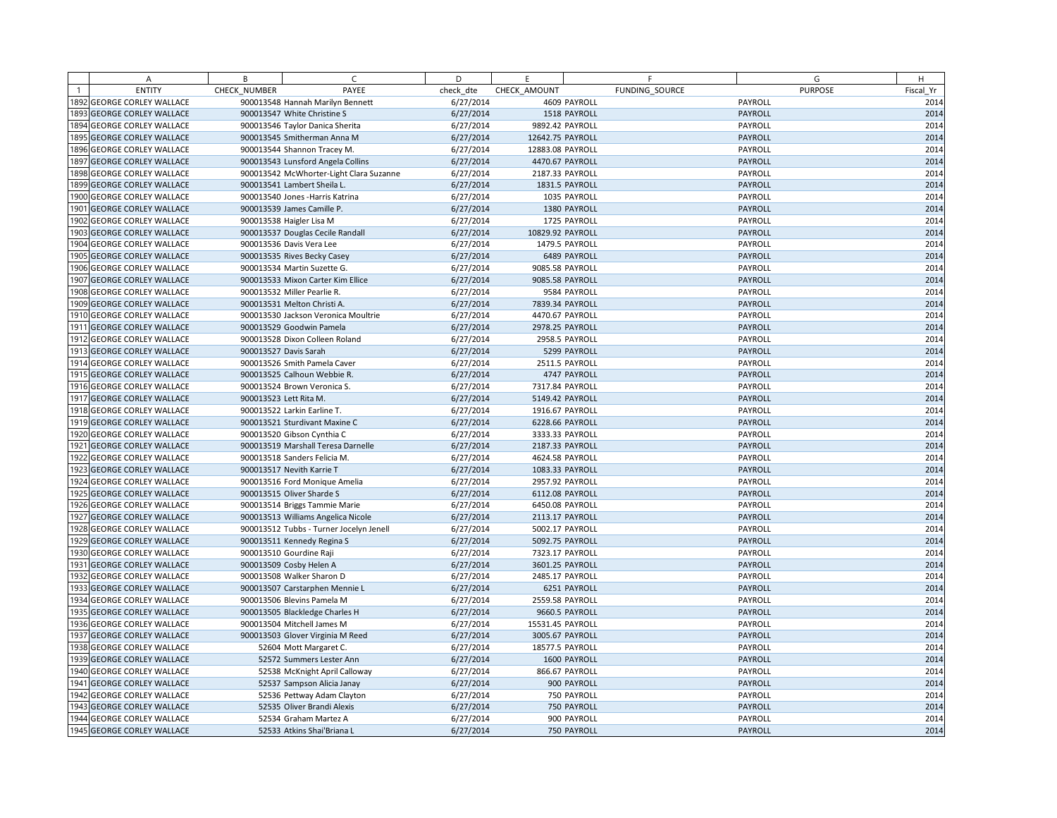|                | A                            | B            | C                                       | D         | E                | F              | G              | H         |
|----------------|------------------------------|--------------|-----------------------------------------|-----------|------------------|----------------|----------------|-----------|
| $\overline{1}$ | <b>ENTITY</b>                | CHECK NUMBER | PAYEE                                   | check dte | CHECK AMOUNT     | FUNDING SOURCE | <b>PURPOSE</b> | Fiscal Yr |
|                | 1892 GEORGE CORLEY WALLACE   |              | 900013548 Hannah Marilyn Bennett        | 6/27/2014 |                  | 4609 PAYROLL   | PAYROLL        | 2014      |
|                | 1893 GEORGE CORLEY WALLACE   |              | 900013547 White Christine S             | 6/27/2014 |                  | 1518 PAYROLL   | PAYROLL        | 2014      |
|                | 1894 GEORGE CORLEY WALLACE   |              | 900013546 Taylor Danica Sherita         | 6/27/2014 | 9892.42 PAYROLL  |                | PAYROLL        | 2014      |
|                | 1895 GEORGE CORLEY WALLACE   |              | 900013545 Smitherman Anna M             | 6/27/2014 | 12642.75 PAYROLL |                | PAYROLL        | 2014      |
|                | 1896 GEORGE CORLEY WALLACE   |              | 900013544 Shannon Tracey M.             | 6/27/2014 | 12883.08 PAYROLL |                | PAYROLL        | 2014      |
|                | 1897 GEORGE CORLEY WALLACE   |              | 900013543 Lunsford Angela Collins       | 6/27/2014 | 4470.67 PAYROLL  |                | <b>PAYROLL</b> | 2014      |
|                | 1898 GEORGE CORLEY WALLACE   |              | 900013542 McWhorter-Light Clara Suzanne | 6/27/2014 | 2187.33 PAYROLL  |                | PAYROLL        | 2014      |
|                | 1899 GEORGE CORLEY WALLACE   |              | 900013541 Lambert Sheila L.             | 6/27/2014 | 1831.5 PAYROLL   |                | PAYROLL        | 2014      |
|                | 1900 GEORGE CORLEY WALLACE   |              | 900013540 Jones - Harris Katrina        | 6/27/2014 |                  | 1035 PAYROLL   | PAYROLL        | 2014      |
|                | 1901 GEORGE CORLEY WALLACE   |              | 900013539 James Camille P.              | 6/27/2014 |                  | 1380 PAYROLL   | PAYROLL        | 2014      |
|                | 1902 GEORGE CORLEY WALLACE   |              | 900013538 Haigler Lisa M                | 6/27/2014 |                  | 1725 PAYROLL   | PAYROLL        | 2014      |
|                | 1903 GEORGE CORLEY WALLACE   |              | 900013537 Douglas Cecile Randall        | 6/27/2014 | 10829.92 PAYROLL |                | PAYROLL        | 2014      |
|                | 1904 GEORGE CORLEY WALLACE   |              | 900013536 Davis Vera Lee                | 6/27/2014 | 1479.5 PAYROLL   |                | PAYROLL        | 2014      |
|                | 1905 GEORGE CORLEY WALLACE   |              | 900013535 Rives Becky Casey             | 6/27/2014 |                  | 6489 PAYROLL   | PAYROLL        | 2014      |
|                | 1906 GEORGE CORLEY WALLACE   |              | 900013534 Martin Suzette G.             | 6/27/2014 | 9085.58 PAYROLL  |                | PAYROLL        | 2014      |
|                | 1907 GEORGE CORLEY WALLACE   |              | 900013533 Mixon Carter Kim Ellice       | 6/27/2014 | 9085.58 PAYROLL  |                | PAYROLL        | 2014      |
|                | 1908 GEORGE CORLEY WALLACE   |              | 900013532 Miller Pearlie R.             | 6/27/2014 |                  | 9584 PAYROLL   | PAYROLL        | 2014      |
|                | 1909 GEORGE CORLEY WALLACE   |              | 900013531 Melton Christi A.             | 6/27/2014 | 7839.34 PAYROLL  |                | <b>PAYROLL</b> | 2014      |
|                | 1910 GEORGE CORLEY WALLACE   |              | 900013530 Jackson Veronica Moultrie     | 6/27/2014 | 4470.67 PAYROLL  |                | PAYROLL        | 2014      |
|                | 1911 GEORGE CORLEY WALLACE   |              | 900013529 Goodwin Pamela                | 6/27/2014 | 2978.25 PAYROLL  |                | PAYROLL        | 2014      |
|                | 1912 GEORGE CORLEY WALLACE   |              | 900013528 Dixon Colleen Roland          | 6/27/2014 | 2958.5 PAYROLL   |                | PAYROLL        | 2014      |
|                | 1913 GEORGE CORLEY WALLACE   |              | 900013527 Davis Sarah                   | 6/27/2014 |                  | 5299 PAYROLL   | PAYROLL        | 2014      |
|                | 1914 GEORGE CORLEY WALLACE   |              | 900013526 Smith Pamela Caver            | 6/27/2014 | 2511.5 PAYROLL   |                | PAYROLL        | 2014      |
|                | 1915 GEORGE CORLEY WALLACE   |              | 900013525 Calhoun Webbie R.             | 6/27/2014 |                  | 4747 PAYROLL   | PAYROLL        | 2014      |
|                | 1916 GEORGE CORLEY WALLACE   |              | 900013524 Brown Veronica S.             | 6/27/2014 | 7317.84 PAYROLL  |                | PAYROLL        | 2014      |
|                | 1917 GEORGE CORLEY WALLACE   |              | 900013523 Lett Rita M.                  | 6/27/2014 | 5149.42 PAYROLL  |                | <b>PAYROLL</b> | 2014      |
|                | 1918 GEORGE CORLEY WALLACE   |              | 900013522 Larkin Earline T.             | 6/27/2014 | 1916.67 PAYROLL  |                | PAYROLL        | 2014      |
|                | 1919 GEORGE CORLEY WALLACE   |              | 900013521 Sturdivant Maxine C           | 6/27/2014 | 6228.66 PAYROLL  |                | PAYROLL        | 2014      |
|                | 1920 GEORGE CORLEY WALLACE   |              | 900013520 Gibson Cynthia C              | 6/27/2014 | 3333.33 PAYROLL  |                | PAYROLL        | 2014      |
|                | 1921 GEORGE CORLEY WALLACE   |              | 900013519 Marshall Teresa Darnelle      | 6/27/2014 | 2187.33 PAYROLL  |                | PAYROLL        | 2014      |
|                | 1922 GEORGE CORLEY WALLACE   |              | 900013518 Sanders Felicia M.            | 6/27/2014 | 4624.58 PAYROLL  |                | PAYROLL        | 2014      |
|                | 1923 GEORGE CORLEY WALLACE   |              | 900013517 Nevith Karrie T               | 6/27/2014 | 1083.33 PAYROLL  |                | <b>PAYROLL</b> | 2014      |
|                | 1924 GEORGE CORLEY WALLACE   |              | 900013516 Ford Monique Amelia           | 6/27/2014 | 2957.92 PAYROLL  |                | PAYROLL        | 2014      |
|                | 1925 GEORGE CORLEY WALLACE   |              | 900013515 Oliver Sharde S               | 6/27/2014 | 6112.08 PAYROLL  |                | PAYROLL        | 2014      |
|                | 1926 GEORGE CORLEY WALLACE   |              | 900013514 Briggs Tammie Marie           | 6/27/2014 | 6450.08 PAYROLL  |                | PAYROLL        | 2014      |
|                | 1927 GEORGE CORLEY WALLACE   |              | 900013513 Williams Angelica Nicole      | 6/27/2014 | 2113.17 PAYROLL  |                | <b>PAYROLL</b> | 2014      |
|                | 1928 GEORGE CORLEY WALLACE   |              | 900013512 Tubbs - Turner Jocelyn Jenell | 6/27/2014 | 5002.17 PAYROLL  |                | PAYROLL        | 2014      |
|                | 1929 GEORGE CORLEY WALLACE   |              | 900013511 Kennedy Regina S              | 6/27/2014 | 5092.75 PAYROLL  |                | <b>PAYROLL</b> | 2014      |
|                | 1930 GEORGE CORLEY WALLACE   |              | 900013510 Gourdine Raji                 | 6/27/2014 | 7323.17 PAYROLL  |                | PAYROLL        | 2014      |
| 1931           | <b>GEORGE CORLEY WALLACE</b> |              | 900013509 Cosby Helen A                 | 6/27/2014 | 3601.25 PAYROLL  |                | PAYROLL        | 2014      |
|                | 1932 GEORGE CORLEY WALLACE   |              | 900013508 Walker Sharon D               | 6/27/2014 | 2485.17 PAYROLL  |                | PAYROLL        | 2014      |
|                | 1933 GEORGE CORLEY WALLACE   |              | 900013507 Carstarphen Mennie L          | 6/27/2014 |                  | 6251 PAYROLL   | PAYROLL        | 2014      |
|                | 1934 GEORGE CORLEY WALLACE   |              | 900013506 Blevins Pamela M              | 6/27/2014 | 2559.58 PAYROLL  |                | PAYROLL        | 2014      |
|                | 1935 GEORGE CORLEY WALLACE   |              | 900013505 Blackledge Charles H          | 6/27/2014 | 9660.5 PAYROLL   |                | PAYROLL        | 2014      |
|                | 1936 GEORGE CORLEY WALLACE   |              | 900013504 Mitchell James M              | 6/27/2014 | 15531.45 PAYROLL |                | PAYROLL        | 2014      |
|                | 1937 GEORGE CORLEY WALLACE   |              | 900013503 Glover Virginia M Reed        | 6/27/2014 | 3005.67 PAYROLL  |                | <b>PAYROLL</b> | 2014      |
|                | 1938 GEORGE CORLEY WALLACE   |              | 52604 Mott Margaret C.                  | 6/27/2014 | 18577.5 PAYROLL  |                | PAYROLL        | 2014      |
|                | 1939 GEORGE CORLEY WALLACE   |              | 52572 Summers Lester Ann                | 6/27/2014 |                  | 1600 PAYROLL   | PAYROLL        | 2014      |
|                | 1940 GEORGE CORLEY WALLACE   |              | 52538 McKnight April Calloway           | 6/27/2014 | 866.67 PAYROLL   |                | PAYROLL        | 2014      |
|                | 1941 GEORGE CORLEY WALLACE   |              | 52537 Sampson Alicia Janay              | 6/27/2014 |                  | 900 PAYROLL    | PAYROLL        | 2014      |
|                | 1942 GEORGE CORLEY WALLACE   |              | 52536 Pettway Adam Clayton              | 6/27/2014 |                  | 750 PAYROLL    | PAYROLL        | 2014      |
|                | 1943 GEORGE CORLEY WALLACE   |              | 52535 Oliver Brandi Alexis              | 6/27/2014 |                  | 750 PAYROLL    | PAYROLL        | 2014      |
|                | 1944 GEORGE CORLEY WALLACE   |              | 52534 Graham Martez A                   | 6/27/2014 |                  | 900 PAYROLL    | PAYROLL        | 2014      |
|                | 1945 GEORGE CORLEY WALLACE   |              | 52533 Atkins Shai'Briana L              | 6/27/2014 |                  | 750 PAYROLL    | PAYROLL        | 2014      |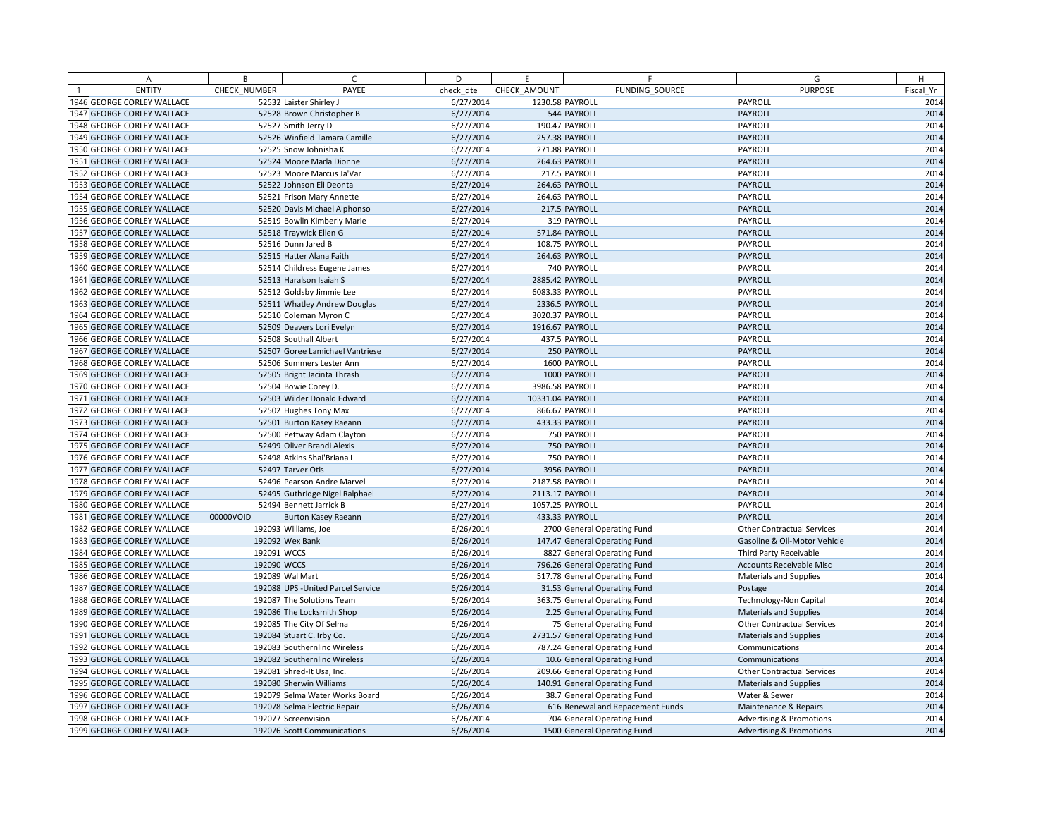| Α                                | B            | C.                                 | D         | E                | F                                | G                                   | H         |
|----------------------------------|--------------|------------------------------------|-----------|------------------|----------------------------------|-------------------------------------|-----------|
| <b>ENTITY</b>                    | CHECK NUMBER | PAYEE                              | check dte | CHECK AMOUNT     | FUNDING SOURCE                   | <b>PURPOSE</b>                      | Fiscal Yr |
| 1946 GEORGE CORLEY WALLACE       |              | 52532 Laister Shirley J            | 6/27/2014 | 1230.58 PAYROLL  |                                  | PAYROLL                             | 2014      |
| 1947 GEORGE CORLEY WALLACE       |              | 52528 Brown Christopher B          | 6/27/2014 |                  | 544 PAYROLL                      | PAYROLL                             | 2014      |
| <b>948 GEORGE CORLEY WALLACE</b> |              | 52527 Smith Jerry D                | 6/27/2014 |                  | 190.47 PAYROLL                   | PAYROLL                             | 2014      |
| 1949 GEORGE CORLEY WALLACE       |              | 52526 Winfield Tamara Camille      | 6/27/2014 |                  | 257.38 PAYROLL                   | PAYROLL                             | 2014      |
| 1950 GEORGE CORLEY WALLACE       |              | 52525 Snow Johnisha K              | 6/27/2014 |                  | 271.88 PAYROLL                   | PAYROLL                             | 2014      |
| 951 GEORGE CORLEY WALLACE        |              | 52524 Moore Marla Dionne           | 6/27/2014 |                  | 264.63 PAYROLL                   | PAYROLL                             | 2014      |
| 1952 GEORGE CORLEY WALLACE       |              | 52523 Moore Marcus Ja'Var          | 6/27/2014 |                  | 217.5 PAYROLL                    | PAYROLL                             | 2014      |
| 1953 GEORGE CORLEY WALLACE       |              | 52522 Johnson Eli Deonta           | 6/27/2014 |                  | 264.63 PAYROLL                   | PAYROLL                             | 2014      |
| <b>954 GEORGE CORLEY WALLACE</b> |              | 52521 Frison Mary Annette          | 6/27/2014 |                  | 264.63 PAYROLL                   | PAYROLL                             | 2014      |
| 1955 GEORGE CORLEY WALLACE       |              | 52520 Davis Michael Alphonso       | 6/27/2014 |                  | 217.5 PAYROLL                    | PAYROLL                             | 2014      |
| 1956 GEORGE CORLEY WALLACE       |              | 52519 Bowlin Kimberly Marie        | 6/27/2014 |                  | 319 PAYROLL                      | PAYROLL                             | 2014      |
| 1957 GEORGE CORLEY WALLACE       |              | 52518 Traywick Ellen G             | 6/27/2014 |                  | 571.84 PAYROLL                   | PAYROLL                             | 2014      |
| 1958 GEORGE CORLEY WALLACE       |              | 52516 Dunn Jared B                 | 6/27/2014 |                  | 108.75 PAYROLL                   | PAYROLL                             | 2014      |
| 1959 GEORGE CORLEY WALLACE       |              | 52515 Hatter Alana Faith           | 6/27/2014 |                  | 264.63 PAYROLL                   | PAYROLL                             | 2014      |
| 1960 GEORGE CORLEY WALLACE       |              | 52514 Childress Eugene James       | 6/27/2014 |                  | 740 PAYROLL                      | PAYROLL                             | 2014      |
| 1961 GEORGE CORLEY WALLACE       |              | 52513 Haralson Isaiah S            | 6/27/2014 | 2885.42 PAYROLL  |                                  | PAYROLL                             | 2014      |
| 1962 GEORGE CORLEY WALLACE       |              | 52512 Goldsby Jimmie Lee           | 6/27/2014 | 6083.33 PAYROLL  |                                  | PAYROLL                             | 2014      |
| 1963 GEORGE CORLEY WALLACE       |              | 52511 Whatley Andrew Douglas       | 6/27/2014 |                  | 2336.5 PAYROLL                   | PAYROLL                             | 2014      |
| 1964 GEORGE CORLEY WALLACE       |              | 52510 Coleman Myron C              | 6/27/2014 | 3020.37 PAYROLL  |                                  | PAYROLL                             | 2014      |
| 1965 GEORGE CORLEY WALLACE       |              | 52509 Deavers Lori Evelyn          | 6/27/2014 | 1916.67 PAYROLL  |                                  | PAYROLL                             | 2014      |
| 1966 GEORGE CORLEY WALLACE       |              | 52508 Southall Albert              | 6/27/2014 |                  | 437.5 PAYROLL                    | PAYROLL                             | 2014      |
| 1967 GEORGE CORLEY WALLACE       |              | 52507 Goree Lamichael Vantriese    | 6/27/2014 |                  | 250 PAYROLL                      | PAYROLL                             | 2014      |
| 1968 GEORGE CORLEY WALLACE       |              | 52506 Summers Lester Ann           | 6/27/2014 |                  | 1600 PAYROLL                     | PAYROLL                             | 2014      |
| 1969 GEORGE CORLEY WALLACE       |              | 52505 Bright Jacinta Thrash        | 6/27/2014 |                  | 1000 PAYROLL                     | PAYROLL                             | 2014      |
| 1970 GEORGE CORLEY WALLACE       |              | 52504 Bowie Corey D.               | 6/27/2014 | 3986.58 PAYROLL  |                                  | PAYROLL                             | 2014      |
| 1971 GEORGE CORLEY WALLACE       |              | 52503 Wilder Donald Edward         | 6/27/2014 | 10331.04 PAYROLL |                                  | PAYROLL                             | 2014      |
| 1972 GEORGE CORLEY WALLACE       |              | 52502 Hughes Tony Max              | 6/27/2014 |                  | 866.67 PAYROLL                   | PAYROLL                             | 2014      |
| 1973 GEORGE CORLEY WALLACE       |              | 52501 Burton Kasey Raeann          | 6/27/2014 |                  | 433.33 PAYROLL                   | PAYROLL                             | 2014      |
| 1974 GEORGE CORLEY WALLACE       |              | 52500 Pettway Adam Clayton         | 6/27/2014 |                  | 750 PAYROLL                      | PAYROLL                             | 2014      |
| 1975 GEORGE CORLEY WALLACE       |              | 52499 Oliver Brandi Alexis         | 6/27/2014 |                  | 750 PAYROLL                      | PAYROLL                             | 2014      |
| 1976 GEORGE CORLEY WALLACE       |              | 52498 Atkins Shai'Briana L         | 6/27/2014 |                  | 750 PAYROLL                      | PAYROLL                             | 2014      |
| 1977 GEORGE CORLEY WALLACE       |              | 52497 Tarver Otis                  | 6/27/2014 |                  | 3956 PAYROLL                     | PAYROLL                             | 2014      |
| 1978 GEORGE CORLEY WALLACE       |              | 52496 Pearson Andre Marvel         | 6/27/2014 | 2187.58 PAYROLL  |                                  | PAYROLL                             | 2014      |
| 1979 GEORGE CORLEY WALLACE       |              | 52495 Guthridge Nigel Ralphael     | 6/27/2014 | 2113.17 PAYROLL  |                                  | PAYROLL                             | 2014      |
| 1980 GEORGE CORLEY WALLACE       |              | 52494 Bennett Jarrick B            | 6/27/2014 | 1057.25 PAYROLL  |                                  | PAYROLL                             | 2014      |
| 1981 GEORGE CORLEY WALLACE       | 00000VOID    | Burton Kasey Raeann                | 6/27/2014 |                  | 433.33 PAYROLL                   | PAYROLL                             | 2014      |
| 1982 GEORGE CORLEY WALLACE       |              | 192093 Williams, Joe               | 6/26/2014 |                  | 2700 General Operating Fund      | <b>Other Contractual Services</b>   | 2014      |
| 1983 GEORGE CORLEY WALLACE       |              | 192092 Wex Bank                    | 6/26/2014 |                  | 147.47 General Operating Fund    | Gasoline & Oil-Motor Vehicle        | 2014      |
| 1984 GEORGE CORLEY WALLACE       | 192091 WCCS  |                                    | 6/26/2014 |                  | 8827 General Operating Fund      | Third Party Receivable              | 2014      |
| 1985 GEORGE CORLEY WALLACE       | 192090 WCCS  |                                    | 6/26/2014 |                  | 796.26 General Operating Fund    | <b>Accounts Receivable Misc</b>     | 2014      |
| 1986 GEORGE CORLEY WALLACE       |              | 192089 Wal Mart                    | 6/26/2014 |                  | 517.78 General Operating Fund    | <b>Materials and Supplies</b>       | 2014      |
| 1987 GEORGE CORLEY WALLACE       |              | 192088 UPS - United Parcel Service | 6/26/2014 |                  | 31.53 General Operating Fund     | Postage                             | 2014      |
| 1988 GEORGE CORLEY WALLACE       |              | 192087 The Solutions Team          | 6/26/2014 |                  | 363.75 General Operating Fund    | <b>Technology-Non Capital</b>       | 2014      |
| 1989 GEORGE CORLEY WALLACE       |              | 192086 The Locksmith Shop          | 6/26/2014 |                  | 2.25 General Operating Fund      | <b>Materials and Supplies</b>       | 2014      |
| 1990 GEORGE CORLEY WALLACE       |              | 192085 The City Of Selma           | 6/26/2014 |                  | 75 General Operating Fund        | <b>Other Contractual Services</b>   | 2014      |
| 1991 GEORGE CORLEY WALLACE       |              | 192084 Stuart C. Irby Co.          | 6/26/2014 |                  | 2731.57 General Operating Fund   | <b>Materials and Supplies</b>       | 2014      |
| 1992 GEORGE CORLEY WALLACE       |              | 192083 Southernlinc Wireless       | 6/26/2014 |                  | 787.24 General Operating Fund    | Communications                      | 2014      |
| 1993 GEORGE CORLEY WALLACE       |              | 192082 Southernlinc Wireless       | 6/26/2014 |                  | 10.6 General Operating Fund      | Communications                      | 2014      |
| 1994 GEORGE CORLEY WALLACE       |              | 192081 Shred-It Usa, Inc.          | 6/26/2014 |                  | 209.66 General Operating Fund    | <b>Other Contractual Services</b>   | 2014      |
| 1995 GEORGE CORLEY WALLACE       |              | 192080 Sherwin Williams            | 6/26/2014 |                  | 140.91 General Operating Fund    | <b>Materials and Supplies</b>       | 2014      |
| 1996 GEORGE CORLEY WALLACE       |              | 192079 Selma Water Works Board     | 6/26/2014 |                  | 38.7 General Operating Fund      | Water & Sewer                       | 2014      |
| 1997 GEORGE CORLEY WALLACE       |              | 192078 Selma Electric Repair       | 6/26/2014 |                  | 616 Renewal and Repacement Funds | Maintenance & Repairs               | 2014      |
| 1998 GEORGE CORLEY WALLACE       |              | 192077 Screenvision                | 6/26/2014 |                  | 704 General Operating Fund       | <b>Advertising &amp; Promotions</b> | 2014      |
| 1999 GEORGE CORLEY WALLACE       |              | 192076 Scott Communications        | 6/26/2014 |                  | 1500 General Operating Fund      | <b>Advertising &amp; Promotions</b> | 2014      |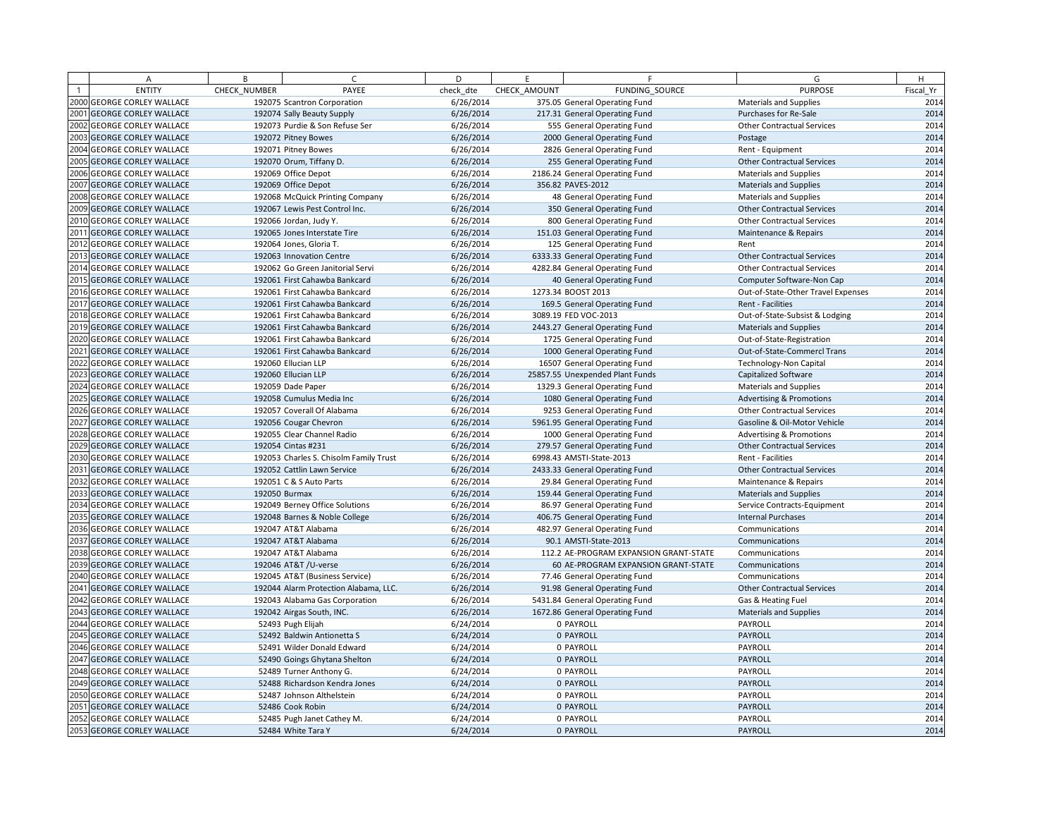| A                          | B            | $\sqrt{ }$                             | D         | F            | F.                                     | G                                   | H         |
|----------------------------|--------------|----------------------------------------|-----------|--------------|----------------------------------------|-------------------------------------|-----------|
| <b>ENTITY</b>              | CHECK NUMBER | PAYEE                                  | check dte | CHECK AMOUNT | FUNDING SOURCE                         | <b>PURPOSE</b>                      | Fiscal Yr |
| 2000 GEORGE CORLEY WALLACE |              | 192075 Scantron Corporation            | 6/26/2014 |              | 375.05 General Operating Fund          | <b>Materials and Supplies</b>       | 2014      |
| 2001 GEORGE CORLEY WALLACE |              | 192074 Sally Beauty Supply             | 6/26/2014 |              | 217.31 General Operating Fund          | Purchases for Re-Sale               | 2014      |
| 2002 GEORGE CORLEY WALLACE |              | 192073 Purdie & Son Refuse Ser         | 6/26/2014 |              | 555 General Operating Fund             | <b>Other Contractual Services</b>   | 2014      |
| 2003 GEORGE CORLEY WALLACE |              | 192072 Pitney Bowes                    | 6/26/2014 |              | 2000 General Operating Fund            | Postage                             | 2014      |
| 2004 GEORGE CORLEY WALLACE |              | 192071 Pitney Bowes                    | 6/26/2014 |              | 2826 General Operating Fund            | Rent - Equipment                    | 2014      |
| 2005 GEORGE CORLEY WALLACE |              | 192070 Orum, Tiffany D.                | 6/26/2014 |              | 255 General Operating Fund             | <b>Other Contractual Services</b>   | 2014      |
| 2006 GEORGE CORLEY WALLACE |              | 192069 Office Depot                    | 6/26/2014 |              | 2186.24 General Operating Fund         | <b>Materials and Supplies</b>       | 2014      |
| 2007 GEORGE CORLEY WALLACE |              | 192069 Office Depot                    | 6/26/2014 |              | 356.82 PAVES-2012                      | <b>Materials and Supplies</b>       | 2014      |
| 2008 GEORGE CORLEY WALLACE |              | 192068 McQuick Printing Company        | 6/26/2014 |              | 48 General Operating Fund              | <b>Materials and Supplies</b>       | 2014      |
| 2009 GEORGE CORLEY WALLACE |              | 192067 Lewis Pest Control Inc.         | 6/26/2014 |              | 350 General Operating Fund             | <b>Other Contractual Services</b>   | 2014      |
| 2010 GEORGE CORLEY WALLACE |              | 192066 Jordan, Judy Y.                 | 6/26/2014 |              | 800 General Operating Fund             | <b>Other Contractual Services</b>   | 2014      |
| 2011 GEORGE CORLEY WALLACE |              | 192065 Jones Interstate Tire           | 6/26/2014 |              | 151.03 General Operating Fund          | Maintenance & Repairs               | 2014      |
| 2012 GEORGE CORLEY WALLACE |              | 192064 Jones, Gloria T.                | 6/26/2014 |              | 125 General Operating Fund             | Rent                                | 2014      |
| 2013 GEORGE CORLEY WALLACE |              | 192063 Innovation Centre               | 6/26/2014 |              | 6333.33 General Operating Fund         | <b>Other Contractual Services</b>   | 2014      |
| 2014 GEORGE CORLEY WALLACE |              | 192062 Go Green Janitorial Servi       | 6/26/2014 |              | 4282.84 General Operating Fund         | <b>Other Contractual Services</b>   | 2014      |
| 2015 GEORGE CORLEY WALLACE |              | 192061 First Cahawba Bankcard          | 6/26/2014 |              | 40 General Operating Fund              | Computer Software-Non Cap           | 2014      |
| 2016 GEORGE CORLEY WALLACE |              | 192061 First Cahawba Bankcard          | 6/26/2014 |              | 1273.34 BOOST 2013                     | Out-of-State-Other Travel Expenses  | 2014      |
| 2017 GEORGE CORLEY WALLACE |              | 192061 First Cahawba Bankcard          | 6/26/2014 |              | 169.5 General Operating Fund           | Rent - Facilities                   | 2014      |
| 2018 GEORGE CORLEY WALLACE |              | 192061 First Cahawba Bankcard          | 6/26/2014 |              | 3089.19 FED VOC-2013                   | Out-of-State-Subsist & Lodging      | 2014      |
| 2019 GEORGE CORLEY WALLACE |              | 192061 First Cahawba Bankcard          | 6/26/2014 |              | 2443.27 General Operating Fund         | <b>Materials and Supplies</b>       | 2014      |
| 2020 GEORGE CORLEY WALLACE |              | 192061 First Cahawba Bankcard          | 6/26/2014 |              | 1725 General Operating Fund            | Out-of-State-Registration           | 2014      |
| 2021 GEORGE CORLEY WALLACE |              | 192061 First Cahawba Bankcard          | 6/26/2014 |              | 1000 General Operating Fund            | Out-of-State-Commercl Trans         | 2014      |
| 2022 GEORGE CORLEY WALLACE |              | 192060 Ellucian LLP                    | 6/26/2014 |              | 16507 General Operating Fund           | Technology-Non Capital              | 2014      |
| 2023 GEORGE CORLEY WALLACE |              | 192060 Ellucian LLP                    | 6/26/2014 |              | 25857.55 Unexpended Plant Funds        | <b>Capitalized Software</b>         | 2014      |
| 2024 GEORGE CORLEY WALLACE |              | 192059 Dade Paper                      | 6/26/2014 |              | 1329.3 General Operating Fund          | <b>Materials and Supplies</b>       | 2014      |
| 2025 GEORGE CORLEY WALLACE |              | 192058 Cumulus Media Inc               | 6/26/2014 |              | 1080 General Operating Fund            | <b>Advertising &amp; Promotions</b> | 2014      |
| 2026 GEORGE CORLEY WALLACE |              | 192057 Coverall Of Alabama             | 6/26/2014 |              | 9253 General Operating Fund            | <b>Other Contractual Services</b>   | 2014      |
| 2027 GEORGE CORLEY WALLACE |              | 192056 Cougar Chevron                  | 6/26/2014 |              | 5961.95 General Operating Fund         | Gasoline & Oil-Motor Vehicle        | 2014      |
| 2028 GEORGE CORLEY WALLACE |              | 192055 Clear Channel Radio             | 6/26/2014 |              | 1000 General Operating Fund            | <b>Advertising &amp; Promotions</b> | 2014      |
| 2029 GEORGE CORLEY WALLACE |              | 192054 Cintas #231                     | 6/26/2014 |              | 279.57 General Operating Fund          | <b>Other Contractual Services</b>   | 2014      |
| 2030 GEORGE CORLEY WALLACE |              | 192053 Charles S. Chisolm Family Trust | 6/26/2014 |              | 6998.43 AMSTI-State-2013               | Rent - Facilities                   | 2014      |
| 2031 GEORGE CORLEY WALLACE |              | 192052 Cattlin Lawn Service            | 6/26/2014 |              | 2433.33 General Operating Fund         | <b>Other Contractual Services</b>   | 2014      |
| 2032 GEORGE CORLEY WALLACE |              | 192051 C & S Auto Parts                | 6/26/2014 |              | 29.84 General Operating Fund           | Maintenance & Repairs               | 2014      |
| 2033 GEORGE CORLEY WALLACE |              | 192050 Burmax                          | 6/26/2014 |              | 159.44 General Operating Fund          | <b>Materials and Supplies</b>       | 2014      |
| 2034 GEORGE CORLEY WALLACE |              | 192049 Berney Office Solutions         | 6/26/2014 |              | 86.97 General Operating Fund           | Service Contracts-Equipment         | 2014      |
| 2035 GEORGE CORLEY WALLACE |              | 192048 Barnes & Noble College          | 6/26/2014 |              | 406.75 General Operating Fund          | <b>Internal Purchases</b>           | 2014      |
| 2036 GEORGE CORLEY WALLACE |              | 192047 AT&T Alabama                    | 6/26/2014 |              | 482.97 General Operating Fund          | Communications                      | 2014      |
| 2037 GEORGE CORLEY WALLACE |              | 192047 AT&T Alabama                    | 6/26/2014 |              | 90.1 AMSTI-State-2013                  | Communications                      | 2014      |
| 2038 GEORGE CORLEY WALLACE |              | 192047 AT&T Alabama                    | 6/26/2014 |              | 112.2 AE-PROGRAM EXPANSION GRANT-STATE | Communications                      | 2014      |
| 2039 GEORGE CORLEY WALLACE |              | 192046 AT&T /U-verse                   | 6/26/2014 |              | 60 AE-PROGRAM EXPANSION GRANT-STATE    | Communications                      | 2014      |
| 2040 GEORGE CORLEY WALLACE |              | 192045 AT&T (Business Service)         | 6/26/2014 |              | 77.46 General Operating Fund           | Communications                      | 2014      |
| 2041 GEORGE CORLEY WALLACE |              | 192044 Alarm Protection Alabama, LLC.  | 6/26/2014 |              | 91.98 General Operating Fund           | <b>Other Contractual Services</b>   | 2014      |
| 2042 GEORGE CORLEY WALLACE |              | 192043 Alabama Gas Corporation         | 6/26/2014 |              | 5431.84 General Operating Fund         | Gas & Heating Fuel                  | 2014      |
| 2043 GEORGE CORLEY WALLACE |              | 192042 Airgas South, INC.              | 6/26/2014 |              | 1672.86 General Operating Fund         | Materials and Supplies              | 2014      |
| 2044 GEORGE CORLEY WALLACE |              | 52493 Pugh Elijah                      | 6/24/2014 |              | 0 PAYROLL                              | PAYROLL                             | 2014      |
| 2045 GEORGE CORLEY WALLACE |              | 52492 Baldwin Antionetta S             | 6/24/2014 |              | 0 PAYROLL                              | PAYROLL                             | 2014      |
| 2046 GEORGE CORLEY WALLACE |              | 52491 Wilder Donald Edward             | 6/24/2014 |              | 0 PAYROLL                              | PAYROLL                             | 2014      |
| 2047 GEORGE CORLEY WALLACE |              | 52490 Goings Ghytana Shelton           | 6/24/2014 |              | 0 PAYROLL                              | PAYROLL                             | 2014      |
| 2048 GEORGE CORLEY WALLACE |              | 52489 Turner Anthony G.                | 6/24/2014 |              | 0 PAYROLL                              | PAYROLL                             | 2014      |
| 2049 GEORGE CORLEY WALLACE |              | 52488 Richardson Kendra Jones          | 6/24/2014 |              | 0 PAYROLL                              | PAYROLL                             | 2014      |
| 2050 GEORGE CORLEY WALLACE |              | 52487 Johnson Althelstein              | 6/24/2014 |              | 0 PAYROLL                              | PAYROLL                             | 2014      |
| 2051 GEORGE CORLEY WALLACE |              | 52486 Cook Robin                       | 6/24/2014 |              | 0 PAYROLL                              | PAYROLL                             | 2014      |
| 2052 GEORGE CORLEY WALLACE |              | 52485 Pugh Janet Cathey M.             | 6/24/2014 |              | 0 PAYROLL                              | PAYROLL                             | 2014      |
| 2053 GEORGE CORLEY WALLACE |              | 52484 White Tara Y                     | 6/24/2014 |              | 0 PAYROLL                              | PAYROLL                             | 2014      |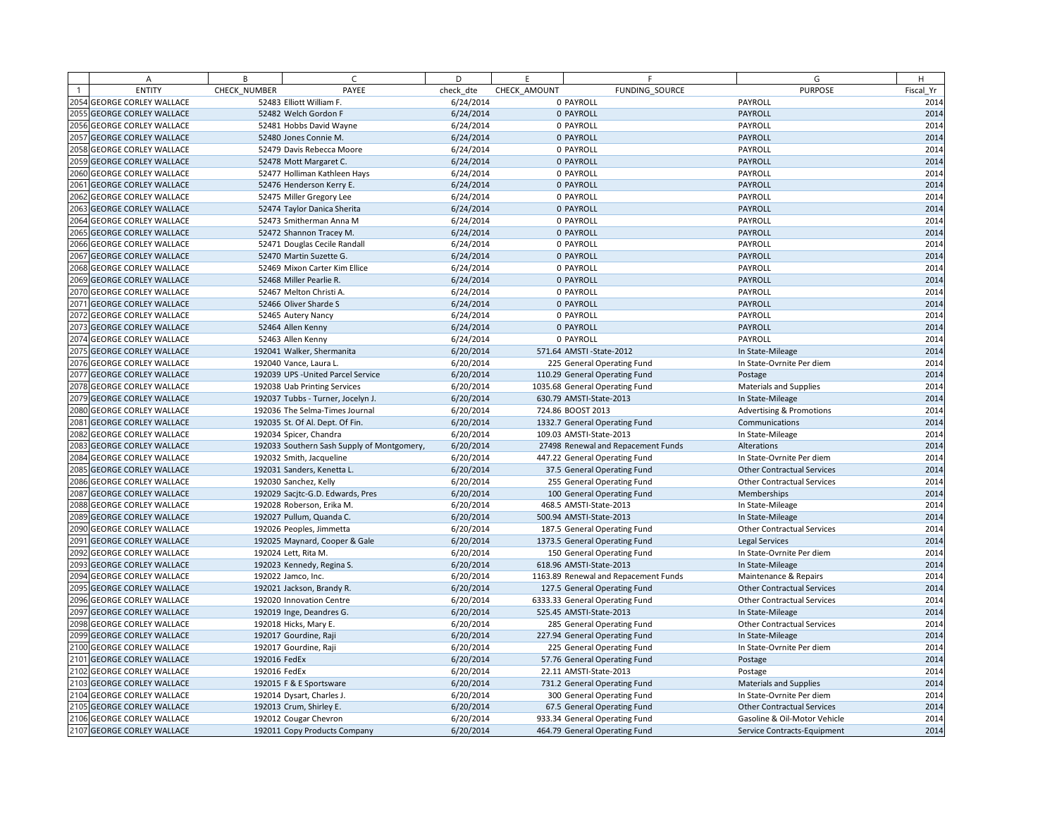| А                          | B            | C.                                         | D         | E            | F                                    | G                                   | H         |
|----------------------------|--------------|--------------------------------------------|-----------|--------------|--------------------------------------|-------------------------------------|-----------|
| <b>ENTITY</b>              | CHECK NUMBER | PAYEE                                      | check dte | CHECK AMOUNT | FUNDING SOURCE                       | <b>PURPOSE</b>                      | Fiscal Yr |
| 2054 GEORGE CORLEY WALLACE |              | 52483 Elliott William F.                   | 6/24/2014 |              | 0 PAYROLL                            | PAYROLL                             | 2014      |
| 2055 GEORGE CORLEY WALLACE |              | 52482 Welch Gordon F                       | 6/24/2014 |              | 0 PAYROLL                            | PAYROLL                             | 2014      |
| 2056 GEORGE CORLEY WALLACE |              | 52481 Hobbs David Wayne                    | 6/24/2014 |              | 0 PAYROLL                            | PAYROLL                             | 2014      |
| 2057 GEORGE CORLEY WALLACE |              | 52480 Jones Connie M.                      | 6/24/2014 |              | 0 PAYROLL                            | PAYROLL                             | 2014      |
| 2058 GEORGE CORLEY WALLACE |              | 52479 Davis Rebecca Moore                  | 6/24/2014 |              | 0 PAYROLL                            | PAYROLL                             | 2014      |
| 2059 GEORGE CORLEY WALLACE |              | 52478 Mott Margaret C.                     | 6/24/2014 |              | 0 PAYROLL                            | PAYROLL                             | 2014      |
| 2060 GEORGE CORLEY WALLACE |              | 52477 Holliman Kathleen Hays               | 6/24/2014 |              | 0 PAYROLL                            | PAYROLL                             | 2014      |
| 2061 GEORGE CORLEY WALLACE |              | 52476 Henderson Kerry E.                   | 6/24/2014 |              | 0 PAYROLL                            | PAYROLL                             | 2014      |
| 2062 GEORGE CORLEY WALLACE |              | 52475 Miller Gregory Lee                   | 6/24/2014 |              | 0 PAYROLL                            | PAYROLL                             | 2014      |
| 2063 GEORGE CORLEY WALLACE |              | 52474 Taylor Danica Sherita                | 6/24/2014 |              | 0 PAYROLL                            | PAYROLL                             | 2014      |
| 2064 GEORGE CORLEY WALLACE |              | 52473 Smitherman Anna M                    | 6/24/2014 |              | 0 PAYROLL                            | PAYROLL                             | 2014      |
| 2065 GEORGE CORLEY WALLACE |              | 52472 Shannon Tracey M.                    | 6/24/2014 |              | 0 PAYROLL                            | PAYROLL                             | 2014      |
| 2066 GEORGE CORLEY WALLACE |              | 52471 Douglas Cecile Randall               | 6/24/2014 |              | 0 PAYROLL                            | PAYROLL                             | 2014      |
| 2067 GEORGE CORLEY WALLACE |              | 52470 Martin Suzette G.                    | 6/24/2014 |              | 0 PAYROLL                            | PAYROLL                             | 2014      |
| 2068 GEORGE CORLEY WALLACE |              | 52469 Mixon Carter Kim Ellice              | 6/24/2014 |              | 0 PAYROLL                            | PAYROLL                             | 2014      |
| 2069 GEORGE CORLEY WALLACE |              | 52468 Miller Pearlie R.                    | 6/24/2014 |              | 0 PAYROLL                            | PAYROLL                             | 2014      |
| 2070 GEORGE CORLEY WALLACE |              | 52467 Melton Christi A.                    | 6/24/2014 |              | 0 PAYROLL                            | PAYROLL                             | 2014      |
| 2071 GEORGE CORLEY WALLACE |              | 52466 Oliver Sharde S                      | 6/24/2014 |              | 0 PAYROLL                            | PAYROLL                             | 2014      |
| 2072 GEORGE CORLEY WALLACE |              | 52465 Autery Nancy                         | 6/24/2014 |              | 0 PAYROLL                            | PAYROLL                             | 2014      |
| 2073 GEORGE CORLEY WALLACE |              | 52464 Allen Kenny                          | 6/24/2014 |              | 0 PAYROLL                            | PAYROLL                             | 2014      |
| 2074 GEORGE CORLEY WALLACE |              | 52463 Allen Kenny                          | 6/24/2014 |              | 0 PAYROLL                            | PAYROLL                             | 2014      |
| 2075 GEORGE CORLEY WALLACE |              | 192041 Walker, Shermanita                  | 6/20/2014 |              | 571.64 AMSTI - State-2012            | In State-Mileage                    | 2014      |
| 2076 GEORGE CORLEY WALLACE |              | 192040 Vance, Laura L.                     | 6/20/2014 |              | 225 General Operating Fund           | In State-Ovrnite Per diem           | 2014      |
| 2077 GEORGE CORLEY WALLACE |              | 192039 UPS - United Parcel Service         | 6/20/2014 |              | 110.29 General Operating Fund        | Postage                             | 2014      |
| 2078 GEORGE CORLEY WALLACE |              | 192038 Uab Printing Services               | 6/20/2014 |              | 1035.68 General Operating Fund       | <b>Materials and Supplies</b>       | 2014      |
| 2079 GEORGE CORLEY WALLACE |              | 192037 Tubbs - Turner, Jocelyn J.          | 6/20/2014 |              | 630.79 AMSTI-State-2013              | In State-Mileage                    | 2014      |
| 2080 GEORGE CORLEY WALLACE |              | 192036 The Selma-Times Journal             | 6/20/2014 |              | 724.86 BOOST 2013                    | <b>Advertising &amp; Promotions</b> | 2014      |
| 2081 GEORGE CORLEY WALLACE |              | 192035 St. Of Al. Dept. Of Fin.            | 6/20/2014 |              | 1332.7 General Operating Fund        | Communications                      | 2014      |
| 2082 GEORGE CORLEY WALLACE |              | 192034 Spicer, Chandra                     | 6/20/2014 |              | 109.03 AMSTI-State-2013              | In State-Mileage                    | 2014      |
| 2083 GEORGE CORLEY WALLACE |              | 192033 Southern Sash Supply of Montgomery, | 6/20/2014 |              | 27498 Renewal and Repacement Funds   | Alterations                         | 2014      |
| 2084 GEORGE CORLEY WALLACE |              | 192032 Smith, Jacqueline                   | 6/20/2014 |              | 447.22 General Operating Fund        | In State-Ovrnite Per diem           | 2014      |
| 2085 GEORGE CORLEY WALLACE |              | 192031 Sanders, Kenetta L.                 | 6/20/2014 |              | 37.5 General Operating Fund          | <b>Other Contractual Services</b>   | 2014      |
| 2086 GEORGE CORLEY WALLACE |              | 192030 Sanchez, Kelly                      | 6/20/2014 |              | 255 General Operating Fund           | <b>Other Contractual Services</b>   | 2014      |
| 2087 GEORGE CORLEY WALLACE |              | 192029 Sacitc-G.D. Edwards, Pres           | 6/20/2014 |              | 100 General Operating Fund           | Memberships                         | 2014      |
| 2088 GEORGE CORLEY WALLACE |              | 192028 Roberson, Erika M.                  | 6/20/2014 |              | 468.5 AMSTI-State-2013               | In State-Mileage                    | 2014      |
| 2089 GEORGE CORLEY WALLACE |              | 192027 Pullum, Quanda C.                   | 6/20/2014 |              | 500.94 AMSTI-State-2013              | In State-Mileage                    | 2014      |
| 2090 GEORGE CORLEY WALLACE |              | 192026 Peoples, Jimmetta                   | 6/20/2014 |              | 187.5 General Operating Fund         | <b>Other Contractual Services</b>   | 2014      |
| 2091 GEORGE CORLEY WALLACE |              | 192025 Maynard, Cooper & Gale              | 6/20/2014 |              | 1373.5 General Operating Fund        | Legal Services                      | 2014      |
| 2092 GEORGE CORLEY WALLACE |              | 192024 Lett, Rita M.                       | 6/20/2014 |              | 150 General Operating Fund           | In State-Ovrnite Per diem           | 2014      |
| 2093 GEORGE CORLEY WALLACE |              | 192023 Kennedy, Regina S.                  | 6/20/2014 |              | 618.96 AMSTI-State-2013              | In State-Mileage                    | 2014      |
| 2094 GEORGE CORLEY WALLACE |              | 192022 Jamco, Inc.                         | 6/20/2014 |              | 1163.89 Renewal and Repacement Funds | Maintenance & Repairs               | 2014      |
| 2095 GEORGE CORLEY WALLACE |              | 192021 Jackson, Brandy R.                  | 6/20/2014 |              | 127.5 General Operating Fund         | <b>Other Contractual Services</b>   | 2014      |
| 2096 GEORGE CORLEY WALLACE |              | 192020 Innovation Centre                   | 6/20/2014 |              | 6333.33 General Operating Fund       | <b>Other Contractual Services</b>   | 2014      |
| 2097 GEORGE CORLEY WALLACE |              | 192019 Inge, Deandres G.                   | 6/20/2014 |              | 525.45 AMSTI-State-2013              | In State-Mileage                    | 2014      |
| 2098 GEORGE CORLEY WALLACE |              | 192018 Hicks, Mary E.                      | 6/20/2014 |              | 285 General Operating Fund           | <b>Other Contractual Services</b>   | 2014      |
| 2099 GEORGE CORLEY WALLACE |              | 192017 Gourdine, Raji                      | 6/20/2014 |              | 227.94 General Operating Fund        | In State-Mileage                    | 2014      |
| 2100 GEORGE CORLEY WALLACE |              | 192017 Gourdine, Raji                      | 6/20/2014 |              | 225 General Operating Fund           | In State-Ovrnite Per diem           | 2014      |
| 2101 GEORGE CORLEY WALLACE | 192016 FedEx |                                            | 6/20/2014 |              | 57.76 General Operating Fund         | Postage                             | 2014      |
| 2102 GEORGE CORLEY WALLACE | 192016 FedEx |                                            | 6/20/2014 |              | 22.11 AMSTI-State-2013               | Postage                             | 2014      |
| 2103 GEORGE CORLEY WALLACE |              | 192015 F & E Sportsware                    | 6/20/2014 |              | 731.2 General Operating Fund         | Materials and Supplies              | 2014      |
| 2104 GEORGE CORLEY WALLACE |              | 192014 Dysart, Charles J.                  | 6/20/2014 |              | 300 General Operating Fund           | In State-Ovrnite Per diem           | 2014      |
| 2105 GEORGE CORLEY WALLACE |              | 192013 Crum, Shirley E.                    | 6/20/2014 |              | 67.5 General Operating Fund          | <b>Other Contractual Services</b>   | 2014      |
| 2106 GEORGE CORLEY WALLACE |              | 192012 Cougar Chevron                      | 6/20/2014 |              | 933.34 General Operating Fund        | Gasoline & Oil-Motor Vehicle        | 2014      |
| 2107 GEORGE CORLEY WALLACE |              | 192011 Copy Products Company               | 6/20/2014 |              | 464.79 General Operating Fund        | Service Contracts-Equipment         | 2014      |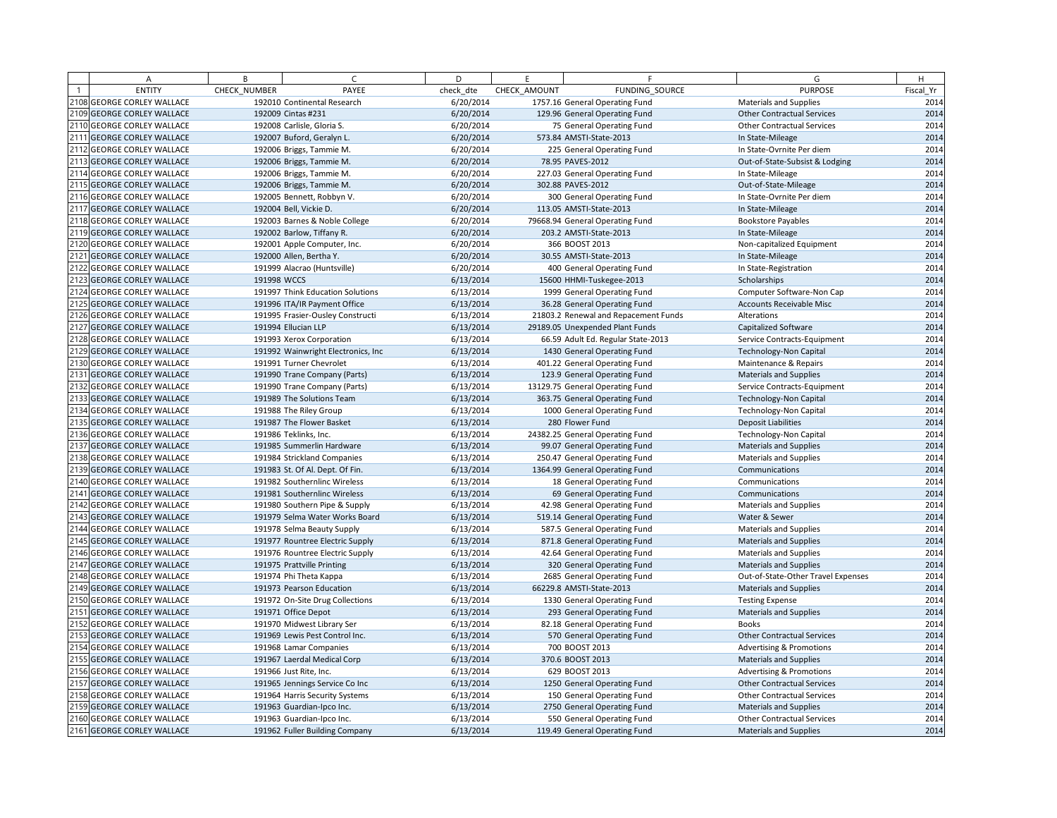|      | А                            | B            | $\sqrt{ }$                          | D         | E            | F                                    | G                                   | H         |
|------|------------------------------|--------------|-------------------------------------|-----------|--------------|--------------------------------------|-------------------------------------|-----------|
|      | <b>ENTITY</b>                | CHECK NUMBER | PAYEE                               | check dte | CHECK AMOUNT | FUNDING SOURCE                       | <b>PURPOSE</b>                      | Fiscal Yr |
|      | 2108 GEORGE CORLEY WALLACE   |              | 192010 Continental Research         | 6/20/2014 |              | 1757.16 General Operating Fund       | <b>Materials and Supplies</b>       | 2014      |
|      | 2109 GEORGE CORLEY WALLACE   |              | 192009 Cintas #231                  | 6/20/2014 |              | 129.96 General Operating Fund        | <b>Other Contractual Services</b>   | 2014      |
|      | 2110 GEORGE CORLEY WALLACE   |              | 192008 Carlisle, Gloria S.          | 6/20/2014 |              | 75 General Operating Fund            | <b>Other Contractual Services</b>   | 2014      |
|      | 2111 GEORGE CORLEY WALLACE   |              | 192007 Buford, Geralyn L.           | 6/20/2014 |              | 573.84 AMSTI-State-2013              | In State-Mileage                    | 2014      |
| 2112 | <b>GEORGE CORLEY WALLACE</b> |              | 192006 Briggs, Tammie M.            | 6/20/2014 |              | 225 General Operating Fund           | In State-Ovrnite Per diem           | 2014      |
|      | 2113 GEORGE CORLEY WALLACE   |              | 192006 Briggs, Tammie M.            | 6/20/2014 |              | 78.95 PAVES-2012                     | Out-of-State-Subsist & Lodging      | 2014      |
|      | 2114 GEORGE CORLEY WALLACE   |              | 192006 Briggs, Tammie M.            | 6/20/2014 |              | 227.03 General Operating Fund        | In State-Mileage                    | 2014      |
|      | 2115 GEORGE CORLEY WALLACE   |              | 192006 Briggs, Tammie M.            | 6/20/2014 |              | 302.88 PAVES-2012                    | Out-of-State-Mileage                | 2014      |
|      | 2116 GEORGE CORLEY WALLACE   |              | 192005 Bennett, Robbyn V.           | 6/20/2014 |              | 300 General Operating Fund           | In State-Ovrnite Per diem           | 2014      |
|      | 2117 GEORGE CORLEY WALLACE   |              | 192004 Bell, Vickie D.              | 6/20/2014 |              | 113.05 AMSTI-State-2013              | In State-Mileage                    | 2014      |
|      | 2118 GEORGE CORLEY WALLACE   |              | 192003 Barnes & Noble College       | 6/20/2014 |              | 79668.94 General Operating Fund      | <b>Bookstore Payables</b>           | 2014      |
|      | 2119 GEORGE CORLEY WALLACE   |              | 192002 Barlow, Tiffany R.           | 6/20/2014 |              | 203.2 AMSTI-State-2013               | In State-Mileage                    | 2014      |
|      | 2120 GEORGE CORLEY WALLACE   |              | 192001 Apple Computer, Inc.         | 6/20/2014 |              | 366 BOOST 2013                       | Non-capitalized Equipment           | 2014      |
|      | 2121 GEORGE CORLEY WALLACE   |              | 192000 Allen, Bertha Y.             | 6/20/2014 |              | 30.55 AMSTI-State-2013               | In State-Mileage                    | 2014      |
|      | 2122 GEORGE CORLEY WALLACE   |              | 191999 Alacrao (Huntsville)         | 6/20/2014 |              | 400 General Operating Fund           | In State-Registration               | 2014      |
|      | 2123 GEORGE CORLEY WALLACE   | 191998 WCCS  |                                     | 6/13/2014 |              | 15600 HHMI-Tuskegee-2013             | Scholarships                        | 2014      |
|      | 2124 GEORGE CORLEY WALLACE   |              | 191997 Think Education Solutions    | 6/13/2014 |              | 1999 General Operating Fund          | Computer Software-Non Cap           | 2014      |
|      | 2125 GEORGE CORLEY WALLACE   |              | 191996 ITA/IR Payment Office        | 6/13/2014 |              | 36.28 General Operating Fund         | <b>Accounts Receivable Misc</b>     | 2014      |
|      | 2126 GEORGE CORLEY WALLACE   |              | 191995 Frasier-Ousley Constructi    | 6/13/2014 |              | 21803.2 Renewal and Repacement Funds | Alterations                         | 2014      |
|      | 2127 GEORGE CORLEY WALLACE   |              | 191994 Ellucian LLP                 | 6/13/2014 |              | 29189.05 Unexpended Plant Funds      | Capitalized Software                | 2014      |
|      | 2128 GEORGE CORLEY WALLACE   |              | 191993 Xerox Corporation            | 6/13/2014 |              | 66.59 Adult Ed. Regular State-2013   | Service Contracts-Equipment         | 2014      |
|      | 2129 GEORGE CORLEY WALLACE   |              | 191992 Wainwright Electronics, Inc. | 6/13/2014 |              | 1430 General Operating Fund          | <b>Technology-Non Capital</b>       | 2014      |
|      | 2130 GEORGE CORLEY WALLACE   |              | 191991 Turner Chevrolet             | 6/13/2014 |              | 401.22 General Operating Fund        | Maintenance & Repairs               | 2014      |
|      | 2131 GEORGE CORLEY WALLACE   |              | 191990 Trane Company (Parts)        | 6/13/2014 |              | 123.9 General Operating Fund         | <b>Materials and Supplies</b>       | 2014      |
|      | 2132 GEORGE CORLEY WALLACE   |              | 191990 Trane Company (Parts)        | 6/13/2014 |              | 13129.75 General Operating Fund      | Service Contracts-Equipment         | 2014      |
|      | 2133 GEORGE CORLEY WALLACE   |              | 191989 The Solutions Team           | 6/13/2014 |              | 363.75 General Operating Fund        | <b>Technology-Non Capital</b>       | 2014      |
|      | 2134 GEORGE CORLEY WALLACE   |              | 191988 The Riley Group              | 6/13/2014 |              | 1000 General Operating Fund          | <b>Technology-Non Capital</b>       | 2014      |
|      | 2135 GEORGE CORLEY WALLACE   |              | 191987 The Flower Basket            | 6/13/2014 |              | 280 Flower Fund                      | <b>Deposit Liabilities</b>          | 2014      |
|      | 2136 GEORGE CORLEY WALLACE   |              | 191986 Teklinks, Inc.               | 6/13/2014 |              | 24382.25 General Operating Fund      | Technology-Non Capital              | 2014      |
|      | 2137 GEORGE CORLEY WALLACE   |              | 191985 Summerlin Hardware           | 6/13/2014 |              | 99.07 General Operating Fund         | <b>Materials and Supplies</b>       | 2014      |
|      | 2138 GEORGE CORLEY WALLACE   |              | 191984 Strickland Companies         | 6/13/2014 |              | 250.47 General Operating Fund        | <b>Materials and Supplies</b>       | 2014      |
|      | 2139 GEORGE CORLEY WALLACE   |              | 191983 St. Of Al. Dept. Of Fin.     | 6/13/2014 |              | 1364.99 General Operating Fund       | Communications                      | 2014      |
|      | 2140 GEORGE CORLEY WALLACE   |              | 191982 Southernlinc Wireless        | 6/13/2014 |              | 18 General Operating Fund            | Communications                      | 2014      |
|      | 2141 GEORGE CORLEY WALLACE   |              | 191981 Southernlinc Wireless        | 6/13/2014 |              | 69 General Operating Fund            | Communications                      | 2014      |
|      | 2142 GEORGE CORLEY WALLACE   |              | 191980 Southern Pipe & Supply       | 6/13/2014 |              | 42.98 General Operating Fund         | <b>Materials and Supplies</b>       | 2014      |
|      | 2143 GEORGE CORLEY WALLACE   |              | 191979 Selma Water Works Board      | 6/13/2014 |              | 519.14 General Operating Fund        | Water & Sewer                       | 2014      |
|      | 2144 GEORGE CORLEY WALLACE   |              | 191978 Selma Beauty Supply          | 6/13/2014 |              | 587.5 General Operating Fund         | <b>Materials and Supplies</b>       | 2014      |
|      | 2145 GEORGE CORLEY WALLACE   |              | 191977 Rountree Electric Supply     | 6/13/2014 |              | 871.8 General Operating Fund         | <b>Materials and Supplies</b>       | 2014      |
|      | 2146 GEORGE CORLEY WALLACE   |              | 191976 Rountree Electric Supply     | 6/13/2014 |              | 42.64 General Operating Fund         | <b>Materials and Supplies</b>       | 2014      |
|      | 2147 GEORGE CORLEY WALLACE   |              | 191975 Prattville Printing          | 6/13/2014 |              | 320 General Operating Fund           | <b>Materials and Supplies</b>       | 2014      |
|      | 2148 GEORGE CORLEY WALLACE   |              | 191974 Phi Theta Kappa              | 6/13/2014 |              | 2685 General Operating Fund          | Out-of-State-Other Travel Expenses  | 2014      |
|      | 2149 GEORGE CORLEY WALLACE   |              | 191973 Pearson Education            | 6/13/2014 |              | 66229.8 AMSTI-State-2013             | <b>Materials and Supplies</b>       | 2014      |
|      | 2150 GEORGE CORLEY WALLACE   |              | 191972 On-Site Drug Collections     | 6/13/2014 |              | 1330 General Operating Fund          | <b>Testing Expense</b>              | 2014      |
|      | 2151 GEORGE CORLEY WALLACE   |              | 191971 Office Depot                 | 6/13/2014 |              | 293 General Operating Fund           | <b>Materials and Supplies</b>       | 2014      |
|      | 2152 GEORGE CORLEY WALLACE   |              | 191970 Midwest Library Ser          | 6/13/2014 |              | 82.18 General Operating Fund         | <b>Books</b>                        | 2014      |
|      | 2153 GEORGE CORLEY WALLACE   |              | 191969 Lewis Pest Control Inc.      | 6/13/2014 |              | 570 General Operating Fund           | <b>Other Contractual Services</b>   | 2014      |
|      | 2154 GEORGE CORLEY WALLACE   |              | 191968 Lamar Companies              | 6/13/2014 |              | 700 BOOST 2013                       | <b>Advertising &amp; Promotions</b> | 2014      |
|      | 2155 GEORGE CORLEY WALLACE   |              | 191967 Laerdal Medical Corp         | 6/13/2014 |              | 370.6 BOOST 2013                     | <b>Materials and Supplies</b>       | 2014      |
| 2156 | <b>GEORGE CORLEY WALLACE</b> |              | 191966 Just Rite, Inc.              | 6/13/2014 |              | 629 BOOST 2013                       | <b>Advertising &amp; Promotions</b> | 2014      |
|      | 2157 GEORGE CORLEY WALLACE   |              | 191965 Jennings Service Co Inc      | 6/13/2014 |              | 1250 General Operating Fund          | <b>Other Contractual Services</b>   | 2014      |
|      | 2158 GEORGE CORLEY WALLACE   |              | 191964 Harris Security Systems      | 6/13/2014 |              | 150 General Operating Fund           | <b>Other Contractual Services</b>   | 2014      |
|      | 2159 GEORGE CORLEY WALLACE   |              | 191963 Guardian-Ipco Inc.           | 6/13/2014 |              | 2750 General Operating Fund          | <b>Materials and Supplies</b>       | 2014      |
|      | 2160 GEORGE CORLEY WALLACE   |              | 191963 Guardian-Ipco Inc.           | 6/13/2014 |              | 550 General Operating Fund           | <b>Other Contractual Services</b>   | 2014      |
|      | 2161 GEORGE CORLEY WALLACE   |              | 191962 Fuller Building Company      | 6/13/2014 |              | 119.49 General Operating Fund        | <b>Materials and Supplies</b>       | 2014      |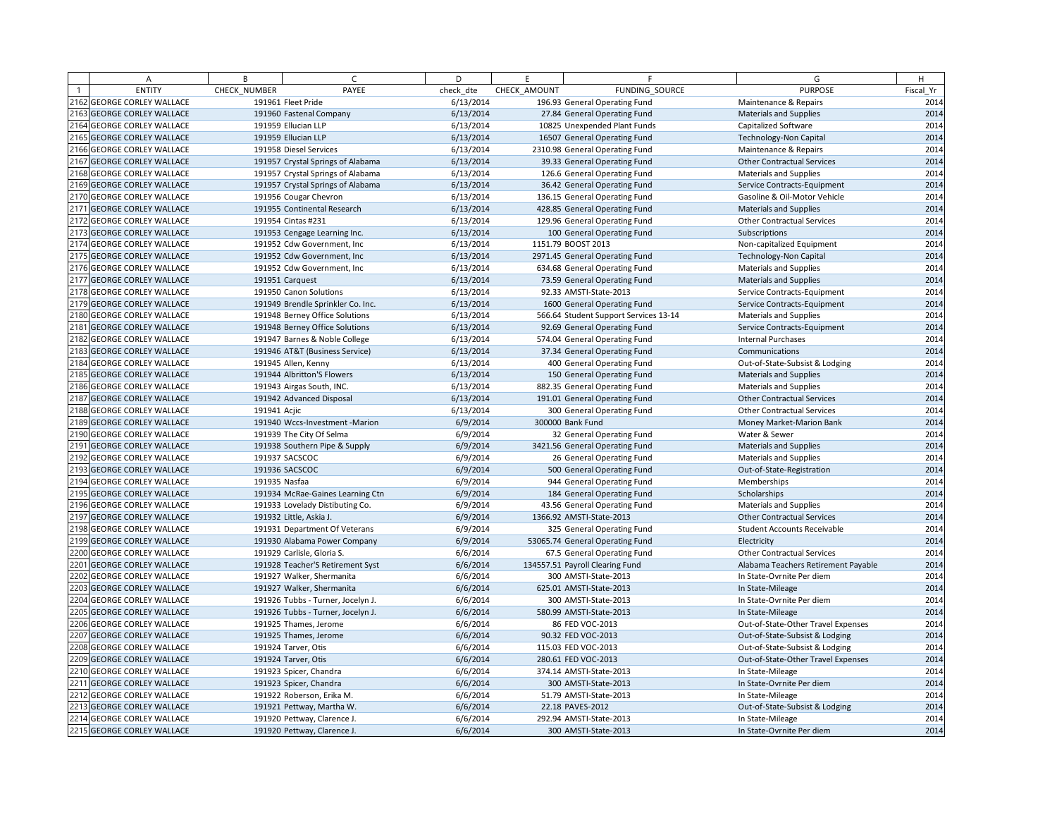| A                          | B             | $\epsilon$                        | D         | E            | F.                                    | G                                   | H         |
|----------------------------|---------------|-----------------------------------|-----------|--------------|---------------------------------------|-------------------------------------|-----------|
| <b>ENTITY</b>              | CHECK NUMBER  | PAYEE                             | check dte | CHECK AMOUNT | FUNDING SOURCE                        | <b>PURPOSE</b>                      | Fiscal Yr |
| 2162 GEORGE CORLEY WALLACE |               | 191961 Fleet Pride                | 6/13/2014 |              | 196.93 General Operating Fund         | Maintenance & Repairs               | 2014      |
| 2163 GEORGE CORLEY WALLACE |               | 191960 Fastenal Company           | 6/13/2014 |              | 27.84 General Operating Fund          | <b>Materials and Supplies</b>       | 2014      |
| 2164 GEORGE CORLEY WALLACE |               | 191959 Ellucian LLP               | 6/13/2014 |              | 10825 Unexpended Plant Funds          | Capitalized Software                | 2014      |
| 2165 GEORGE CORLEY WALLACE |               | 191959 Ellucian LLP               | 6/13/2014 |              | 16507 General Operating Fund          | <b>Technology-Non Capital</b>       | 2014      |
| 2166 GEORGE CORLEY WALLACE |               | 191958 Diesel Services            | 6/13/2014 |              | 2310.98 General Operating Fund        | Maintenance & Repairs               | 2014      |
| 2167 GEORGE CORLEY WALLACE |               | 191957 Crystal Springs of Alabama | 6/13/2014 |              | 39.33 General Operating Fund          | <b>Other Contractual Services</b>   | 2014      |
| 2168 GEORGE CORLEY WALLACE |               | 191957 Crystal Springs of Alabama | 6/13/2014 |              | 126.6 General Operating Fund          | <b>Materials and Supplies</b>       | 2014      |
| 2169 GEORGE CORLEY WALLACE |               | 191957 Crystal Springs of Alabama | 6/13/2014 |              | 36.42 General Operating Fund          | Service Contracts-Equipment         | 2014      |
| 2170 GEORGE CORLEY WALLACE |               | 191956 Cougar Chevron             | 6/13/2014 |              | 136.15 General Operating Fund         | Gasoline & Oil-Motor Vehicle        | 2014      |
| 2171 GEORGE CORLEY WALLACE |               | 191955 Continental Research       | 6/13/2014 |              | 428.85 General Operating Fund         | <b>Materials and Supplies</b>       | 2014      |
| 2172 GEORGE CORLEY WALLACE |               | 191954 Cintas #231                | 6/13/2014 |              | 129.96 General Operating Fund         | Other Contractual Services          | 2014      |
| 2173 GEORGE CORLEY WALLACE |               | 191953 Cengage Learning Inc.      | 6/13/2014 |              | 100 General Operating Fund            | Subscriptions                       | 2014      |
| 2174 GEORGE CORLEY WALLACE |               | 191952 Cdw Government, Inc.       | 6/13/2014 |              | 1151.79 BOOST 2013                    | Non-capitalized Equipment           | 2014      |
| 2175 GEORGE CORLEY WALLACE |               | 191952 Cdw Government, Inc.       | 6/13/2014 |              | 2971.45 General Operating Fund        | Technology-Non Capital              | 2014      |
| 2176 GEORGE CORLEY WALLACE |               | 191952 Cdw Government, Inc        | 6/13/2014 |              | 634.68 General Operating Fund         | <b>Materials and Supplies</b>       | 2014      |
| 2177 GEORGE CORLEY WALLACE |               | 191951 Carquest                   | 6/13/2014 |              | 73.59 General Operating Fund          | <b>Materials and Supplies</b>       | 2014      |
| 2178 GEORGE CORLEY WALLACE |               | 191950 Canon Solutions            | 6/13/2014 |              | 92.33 AMSTI-State-2013                | Service Contracts-Equipment         | 2014      |
| 2179 GEORGE CORLEY WALLACE |               | 191949 Brendle Sprinkler Co. Inc. | 6/13/2014 |              | 1600 General Operating Fund           | Service Contracts-Equipment         | 2014      |
| 2180 GEORGE CORLEY WALLACE |               | 191948 Berney Office Solutions    | 6/13/2014 |              | 566.64 Student Support Services 13-14 | <b>Materials and Supplies</b>       | 2014      |
| 2181 GEORGE CORLEY WALLACE |               | 191948 Berney Office Solutions    | 6/13/2014 |              | 92.69 General Operating Fund          | Service Contracts-Equipment         | 2014      |
| 2182 GEORGE CORLEY WALLACE |               | 191947 Barnes & Noble College     | 6/13/2014 |              | 574.04 General Operating Fund         | <b>Internal Purchases</b>           | 2014      |
| 2183 GEORGE CORLEY WALLACE |               | 191946 AT&T (Business Service)    | 6/13/2014 |              | 37.34 General Operating Fund          | Communications                      | 2014      |
| 2184 GEORGE CORLEY WALLACE |               | 191945 Allen, Kenny               | 6/13/2014 |              | 400 General Operating Fund            | Out-of-State-Subsist & Lodging      | 2014      |
| 2185 GEORGE CORLEY WALLACE |               | 191944 Albritton'S Flowers        | 6/13/2014 |              | 150 General Operating Fund            | <b>Materials and Supplies</b>       | 2014      |
| 2186 GEORGE CORLEY WALLACE |               | 191943 Airgas South, INC.         | 6/13/2014 |              | 882.35 General Operating Fund         | <b>Materials and Supplies</b>       | 2014      |
| 2187 GEORGE CORLEY WALLACE |               | 191942 Advanced Disposal          | 6/13/2014 |              | 191.01 General Operating Fund         | <b>Other Contractual Services</b>   | 2014      |
| 2188 GEORGE CORLEY WALLACE | 191941 Acjic  |                                   | 6/13/2014 |              | 300 General Operating Fund            | <b>Other Contractual Services</b>   | 2014      |
| 2189 GEORGE CORLEY WALLACE |               | 191940 Wccs-Investment -Marion    | 6/9/2014  |              | 300000 Bank Fund                      | Money Market-Marion Bank            | 2014      |
| 2190 GEORGE CORLEY WALLACE |               | 191939 The City Of Selma          | 6/9/2014  |              | 32 General Operating Fund             | Water & Sewer                       | 2014      |
| 2191 GEORGE CORLEY WALLACE |               | 191938 Southern Pipe & Supply     | 6/9/2014  |              | 3421.56 General Operating Fund        | <b>Materials and Supplies</b>       | 2014      |
| 2192 GEORGE CORLEY WALLACE |               | 191937 SACSCOC                    | 6/9/2014  |              | 26 General Operating Fund             | Materials and Supplies              | 2014      |
| 2193 GEORGE CORLEY WALLACE |               | 191936 SACSCOC                    | 6/9/2014  |              | 500 General Operating Fund            | Out-of-State-Registration           | 2014      |
| 2194 GEORGE CORLEY WALLACE | 191935 Nasfaa |                                   | 6/9/2014  |              | 944 General Operating Fund            | Memberships                         | 2014      |
| 2195 GEORGE CORLEY WALLACE |               | 191934 McRae-Gaines Learning Ctn  | 6/9/2014  |              | 184 General Operating Fund            | Scholarships                        | 2014      |
| 2196 GEORGE CORLEY WALLACE |               | 191933 Lovelady Distibuting Co.   | 6/9/2014  |              | 43.56 General Operating Fund          | <b>Materials and Supplies</b>       | 2014      |
| 2197 GEORGE CORLEY WALLACE |               | 191932 Little, Askia J.           | 6/9/2014  |              | 1366.92 AMSTI-State-2013              | <b>Other Contractual Services</b>   | 2014      |
| 2198 GEORGE CORLEY WALLACE |               | 191931 Department Of Veterans     | 6/9/2014  |              | 325 General Operating Fund            | <b>Student Accounts Receivable</b>  | 2014      |
| 2199 GEORGE CORLEY WALLACE |               | 191930 Alabama Power Company      | 6/9/2014  |              | 53065.74 General Operating Fund       | Electricity                         | 2014      |
| 2200 GEORGE CORLEY WALLACE |               | 191929 Carlisle, Gloria S.        | 6/6/2014  |              | 67.5 General Operating Fund           | <b>Other Contractual Services</b>   | 2014      |
| 2201 GEORGE CORLEY WALLACE |               | 191928 Teacher'S Retirement Syst  | 6/6/2014  |              | 134557.51 Payroll Clearing Fund       | Alabama Teachers Retirement Payable | 2014      |
| 2202 GEORGE CORLEY WALLACE |               | 191927 Walker, Shermanita         | 6/6/2014  |              | 300 AMSTI-State-2013                  | In State-Ovrnite Per diem           | 2014      |
| 2203 GEORGE CORLEY WALLACE |               | 191927 Walker, Shermanita         | 6/6/2014  |              | 625.01 AMSTI-State-2013               | In State-Mileage                    | 2014      |
| 2204 GEORGE CORLEY WALLACE |               | 191926 Tubbs - Turner, Jocelyn J. | 6/6/2014  |              | 300 AMSTI-State-2013                  | In State-Ovrnite Per diem           | 2014      |
| 2205 GEORGE CORLEY WALLACE |               | 191926 Tubbs - Turner, Jocelyn J. | 6/6/2014  |              | 580.99 AMSTI-State-2013               | In State-Mileage                    | 2014      |
| 2206 GEORGE CORLEY WALLACE |               | 191925 Thames, Jerome             | 6/6/2014  |              | 86 FED VOC-2013                       | Out-of-State-Other Travel Expenses  | 2014      |
| 2207 GEORGE CORLEY WALLACE |               | 191925 Thames, Jerome             | 6/6/2014  |              | 90.32 FED VOC-2013                    | Out-of-State-Subsist & Lodging      | 2014      |
| 2208 GEORGE CORLEY WALLACE |               | 191924 Tarver, Otis               | 6/6/2014  |              | 115.03 FED VOC-2013                   | Out-of-State-Subsist & Lodging      | 2014      |
| 2209 GEORGE CORLEY WALLACE |               | 191924 Tarver, Otis               | 6/6/2014  |              | 280.61 FED VOC-2013                   | Out-of-State-Other Travel Expenses  | 2014      |
| 2210 GEORGE CORLEY WALLACE |               | 191923 Spicer, Chandra            | 6/6/2014  |              | 374.14 AMSTI-State-2013               | In State-Mileage                    | 2014      |
| 2211 GEORGE CORLEY WALLACE |               | 191923 Spicer, Chandra            | 6/6/2014  |              | 300 AMSTI-State-2013                  | In State-Ovrnite Per diem           | 2014      |
| 2212 GEORGE CORLEY WALLACE |               | 191922 Roberson, Erika M.         | 6/6/2014  |              | 51.79 AMSTI-State-2013                | In State-Mileage                    | 2014      |
| 2213 GEORGE CORLEY WALLACE |               | 191921 Pettway, Martha W.         | 6/6/2014  |              | 22.18 PAVES-2012                      | Out-of-State-Subsist & Lodging      | 2014      |
| 2214 GEORGE CORLEY WALLACE |               | 191920 Pettway, Clarence J.       | 6/6/2014  |              | 292.94 AMSTI-State-2013               | In State-Mileage                    | 2014      |
| 2215 GEORGE CORLEY WALLACE |               | 191920 Pettway, Clarence J.       | 6/6/2014  |              | 300 AMSTI-State-2013                  | In State-Ovrnite Per diem           | 2014      |
|                            |               |                                   |           |              |                                       |                                     |           |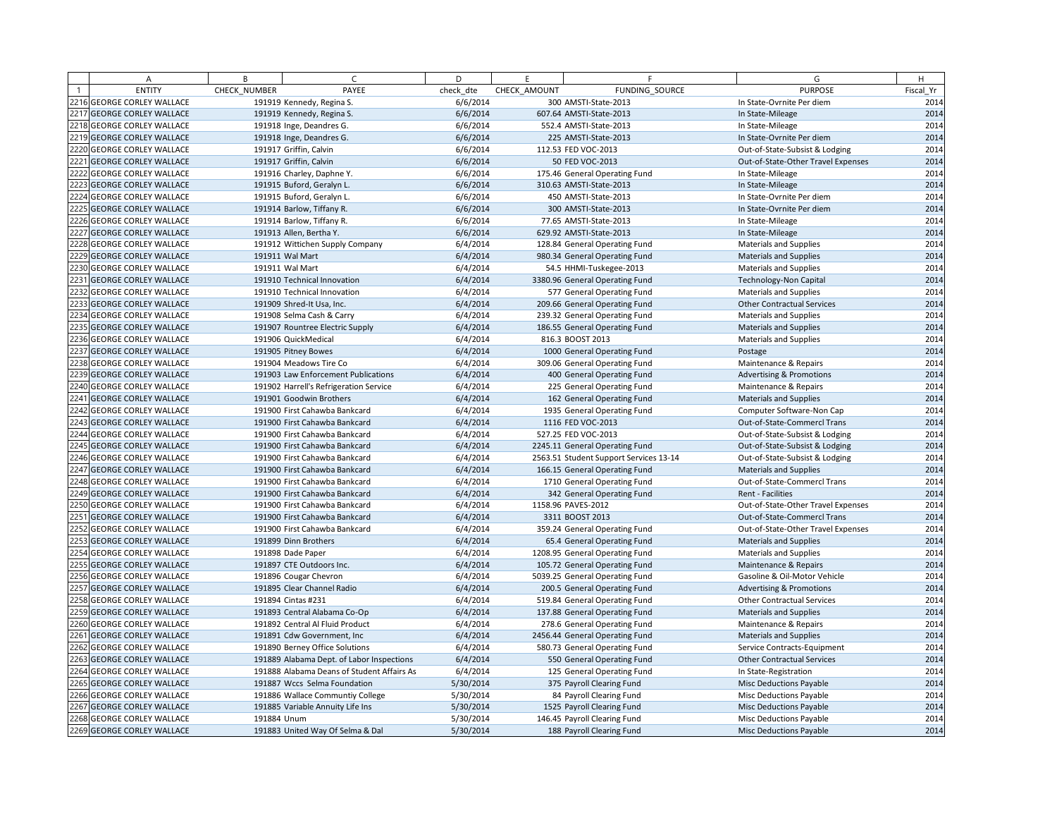|      | A                            | B            | $\sqrt{ }$                                 | D         | E            | F.                                     | G                                   | H         |
|------|------------------------------|--------------|--------------------------------------------|-----------|--------------|----------------------------------------|-------------------------------------|-----------|
|      | <b>ENTITY</b>                | CHECK NUMBER | PAYEE                                      | check dte | CHECK AMOUNT | <b>FUNDING SOURCE</b>                  | <b>PURPOSE</b>                      | Fiscal Yr |
|      | 2216 GEORGE CORLEY WALLACE   |              | 191919 Kennedy, Regina S.                  | 6/6/2014  |              | 300 AMSTI-State-2013                   | In State-Ovrnite Per diem           | 2014      |
|      | 2217 GEORGE CORLEY WALLACE   |              | 191919 Kennedy, Regina S.                  | 6/6/2014  |              | 607.64 AMSTI-State-2013                | In State-Mileage                    | 2014      |
|      | 2218 GEORGE CORLEY WALLACE   |              | 191918 Inge, Deandres G.                   | 6/6/2014  |              | 552.4 AMSTI-State-2013                 | In State-Mileage                    | 2014      |
|      | 2219 GEORGE CORLEY WALLACE   |              | 191918 Inge, Deandres G.                   | 6/6/2014  |              | 225 AMSTI-State-2013                   | In State-Ovrnite Per diem           | 2014      |
|      | 2220 GEORGE CORLEY WALLACE   |              | 191917 Griffin, Calvin                     | 6/6/2014  |              | 112.53 FED VOC-2013                    | Out-of-State-Subsist & Lodging      | 2014      |
|      | 2221 GEORGE CORLEY WALLACE   |              | 191917 Griffin, Calvin                     | 6/6/2014  |              | 50 FED VOC-2013                        | Out-of-State-Other Travel Expenses  | 2014      |
|      | 2222 GEORGE CORLEY WALLACE   |              | 191916 Charley, Daphne Y.                  | 6/6/2014  |              | 175.46 General Operating Fund          | In State-Mileage                    | 2014      |
|      | 2223 GEORGE CORLEY WALLACE   |              | 191915 Buford, Geralyn L.                  | 6/6/2014  |              | 310.63 AMSTI-State-2013                | In State-Mileage                    | 2014      |
|      | 2224 GEORGE CORLEY WALLACE   |              | 191915 Buford, Geralyn L.                  | 6/6/2014  |              | 450 AMSTI-State-2013                   | In State-Ovrnite Per diem           | 2014      |
|      | 2225 GEORGE CORLEY WALLACE   |              | 191914 Barlow, Tiffany R.                  | 6/6/2014  |              | 300 AMSTI-State-2013                   | In State-Ovrnite Per diem           | 2014      |
|      | 2226 GEORGE CORLEY WALLACE   |              | 191914 Barlow, Tiffany R.                  | 6/6/2014  |              | 77.65 AMSTI-State-2013                 | In State-Mileage                    | 2014      |
|      | 2227 GEORGE CORLEY WALLACE   |              | 191913 Allen, Bertha Y.                    | 6/6/2014  |              | 629.92 AMSTI-State-2013                | In State-Mileage                    | 2014      |
|      | 2228 GEORGE CORLEY WALLACE   |              | 191912 Wittichen Supply Company            | 6/4/2014  |              | 128.84 General Operating Fund          | <b>Materials and Supplies</b>       | 2014      |
| 2229 | <b>GEORGE CORLEY WALLACE</b> |              | 191911 Wal Mart                            | 6/4/2014  |              | 980.34 General Operating Fund          | <b>Materials and Supplies</b>       | 2014      |
|      | 2230 GEORGE CORLEY WALLACE   |              | 191911 Wal Mart                            | 6/4/2014  |              | 54.5 HHMI-Tuskegee-2013                | <b>Materials and Supplies</b>       | 2014      |
|      | 2231 GEORGE CORLEY WALLACE   |              | 191910 Technical Innovation                | 6/4/2014  |              | 3380.96 General Operating Fund         | <b>Technology-Non Capital</b>       | 2014      |
| 2232 | <b>GEORGE CORLEY WALLACE</b> |              | 191910 Technical Innovation                | 6/4/2014  |              | 577 General Operating Fund             | <b>Materials and Supplies</b>       | 2014      |
|      | 2233 GEORGE CORLEY WALLACE   |              | 191909 Shred-It Usa, Inc.                  | 6/4/2014  |              | 209.66 General Operating Fund          | <b>Other Contractual Services</b>   | 2014      |
|      | 2234 GEORGE CORLEY WALLACE   |              | 191908 Selma Cash & Carry                  | 6/4/2014  |              | 239.32 General Operating Fund          | <b>Materials and Supplies</b>       | 2014      |
| 2235 | <b>GEORGE CORLEY WALLACE</b> |              | 191907 Rountree Electric Supply            | 6/4/2014  |              | 186.55 General Operating Fund          | <b>Materials and Supplies</b>       | 2014      |
|      | 2236 GEORGE CORLEY WALLACE   |              | 191906 QuickMedical                        | 6/4/2014  |              | 816.3 BOOST 2013                       | <b>Materials and Supplies</b>       | 2014      |
|      | 2237 GEORGE CORLEY WALLACE   |              | 191905 Pitney Bowes                        | 6/4/2014  |              | 1000 General Operating Fund            | Postage                             | 2014      |
|      | 2238 GEORGE CORLEY WALLACE   |              | 191904 Meadows Tire Co                     | 6/4/2014  |              | 309.06 General Operating Fund          | Maintenance & Repairs               | 2014      |
|      | 2239 GEORGE CORLEY WALLACE   |              | 191903 Law Enforcement Publications        | 6/4/2014  |              | 400 General Operating Fund             | <b>Advertising &amp; Promotions</b> | 2014      |
|      | 2240 GEORGE CORLEY WALLACE   |              | 191902 Harrell's Refrigeration Service     | 6/4/2014  |              | 225 General Operating Fund             | Maintenance & Repairs               | 2014      |
|      | 2241 GEORGE CORLEY WALLACE   |              | 191901 Goodwin Brothers                    | 6/4/2014  |              | 162 General Operating Fund             | Materials and Supplies              | 2014      |
|      | 2242 GEORGE CORLEY WALLACE   |              | 191900 First Cahawba Bankcard              | 6/4/2014  |              | 1935 General Operating Fund            | Computer Software-Non Cap           | 2014      |
|      | 2243 GEORGE CORLEY WALLACE   |              | 191900 First Cahawba Bankcard              | 6/4/2014  |              | 1116 FED VOC-2013                      | Out-of-State-Commercl Trans         | 2014      |
|      | 2244 GEORGE CORLEY WALLACE   |              | 191900 First Cahawba Bankcard              | 6/4/2014  |              | 527.25 FED VOC-2013                    | Out-of-State-Subsist & Lodging      | 2014      |
|      | 2245 GEORGE CORLEY WALLACE   |              | 191900 First Cahawba Bankcard              | 6/4/2014  |              | 2245.11 General Operating Fund         | Out-of-State-Subsist & Lodging      | 2014      |
|      | 2246 GEORGE CORLEY WALLACE   |              | 191900 First Cahawba Bankcard              | 6/4/2014  |              | 2563.51 Student Support Services 13-14 | Out-of-State-Subsist & Lodging      | 2014      |
|      | 2247 GEORGE CORLEY WALLACE   |              | 191900 First Cahawba Bankcard              | 6/4/2014  |              | 166.15 General Operating Fund          | <b>Materials and Supplies</b>       | 2014      |
|      | 2248 GEORGE CORLEY WALLACE   |              | 191900 First Cahawba Bankcard              | 6/4/2014  |              | 1710 General Operating Fund            | Out-of-State-Commercl Trans         | 2014      |
|      | 2249 GEORGE CORLEY WALLACE   |              | 191900 First Cahawba Bankcard              | 6/4/2014  |              | 342 General Operating Fund             | Rent - Facilities                   | 2014      |
|      | 2250 GEORGE CORLEY WALLACE   |              | 191900 First Cahawba Bankcard              | 6/4/2014  |              | 1158.96 PAVES-2012                     | Out-of-State-Other Travel Expenses  | 2014      |
|      | 2251 GEORGE CORLEY WALLACE   |              | 191900 First Cahawba Bankcard              | 6/4/2014  |              | 3311 BOOST 2013                        | Out-of-State-Commercl Trans         | 2014      |
|      | 2252 GEORGE CORLEY WALLACE   |              | 191900 First Cahawba Bankcard              | 6/4/2014  |              | 359.24 General Operating Fund          | Out-of-State-Other Travel Expenses  | 2014      |
|      | 2253 GEORGE CORLEY WALLACE   |              | 191899 Dinn Brothers                       | 6/4/2014  |              | 65.4 General Operating Fund            | <b>Materials and Supplies</b>       | 2014      |
|      | 2254 GEORGE CORLEY WALLACE   |              | 191898 Dade Paper                          | 6/4/2014  |              | 1208.95 General Operating Fund         | Materials and Supplies              | 2014      |
|      | 2255 GEORGE CORLEY WALLACE   |              | 191897 CTE Outdoors Inc.                   | 6/4/2014  |              | 105.72 General Operating Fund          | Maintenance & Repairs               | 2014      |
|      | 2256 GEORGE CORLEY WALLACE   |              | 191896 Cougar Chevron                      | 6/4/2014  |              | 5039.25 General Operating Fund         | Gasoline & Oil-Motor Vehicle        | 2014      |
|      | 2257 GEORGE CORLEY WALLACE   |              | 191895 Clear Channel Radio                 | 6/4/2014  |              | 200.5 General Operating Fund           | <b>Advertising &amp; Promotions</b> | 2014      |
|      | 2258 GEORGE CORLEY WALLACE   |              | 191894 Cintas #231                         | 6/4/2014  |              | 519.84 General Operating Fund          | <b>Other Contractual Services</b>   | 2014      |
|      | 2259 GEORGE CORLEY WALLACE   |              | 191893 Central Alabama Co-Op               | 6/4/2014  |              | 137.88 General Operating Fund          | <b>Materials and Supplies</b>       | 2014      |
|      | 2260 GEORGE CORLEY WALLACE   |              | 191892 Central Al Fluid Product            | 6/4/2014  |              | 278.6 General Operating Fund           | Maintenance & Repairs               | 2014      |
|      | 2261 GEORGE CORLEY WALLACE   |              | 191891 Cdw Government, Inc.                | 6/4/2014  |              | 2456.44 General Operating Fund         | <b>Materials and Supplies</b>       | 2014      |
|      | 2262 GEORGE CORLEY WALLACE   |              | 191890 Berney Office Solutions             | 6/4/2014  |              | 580.73 General Operating Fund          | Service Contracts-Equipment         | 2014      |
|      | 2263 GEORGE CORLEY WALLACE   |              | 191889 Alabama Dept. of Labor Inspections  | 6/4/2014  |              | 550 General Operating Fund             | <b>Other Contractual Services</b>   | 2014      |
|      | 2264 GEORGE CORLEY WALLACE   |              | 191888 Alabama Deans of Student Affairs As | 6/4/2014  |              | 125 General Operating Fund             | In State-Registration               | 2014      |
|      | 2265 GEORGE CORLEY WALLACE   |              | 191887 Wccs Selma Foundation               | 5/30/2014 |              | 375 Payroll Clearing Fund              | Misc Deductions Payable             | 2014      |
|      | 2266 GEORGE CORLEY WALLACE   |              | 191886 Wallace Communtiy College           | 5/30/2014 |              | 84 Payroll Clearing Fund               | Misc Deductions Payable             | 2014      |
|      | 2267 GEORGE CORLEY WALLACE   |              | 191885 Variable Annuity Life Ins           | 5/30/2014 |              | 1525 Payroll Clearing Fund             | Misc Deductions Payable             | 2014      |
|      | 2268 GEORGE CORLEY WALLACE   | 191884 Unum  |                                            | 5/30/2014 |              | 146.45 Payroll Clearing Fund           | Misc Deductions Payable             | 2014      |
|      | 2269 GEORGE CORLEY WALLACE   |              | 191883 United Way Of Selma & Dal           | 5/30/2014 |              | 188 Payroll Clearing Fund              | <b>Misc Deductions Payable</b>      | 2014      |
|      |                              |              |                                            |           |              |                                        |                                     |           |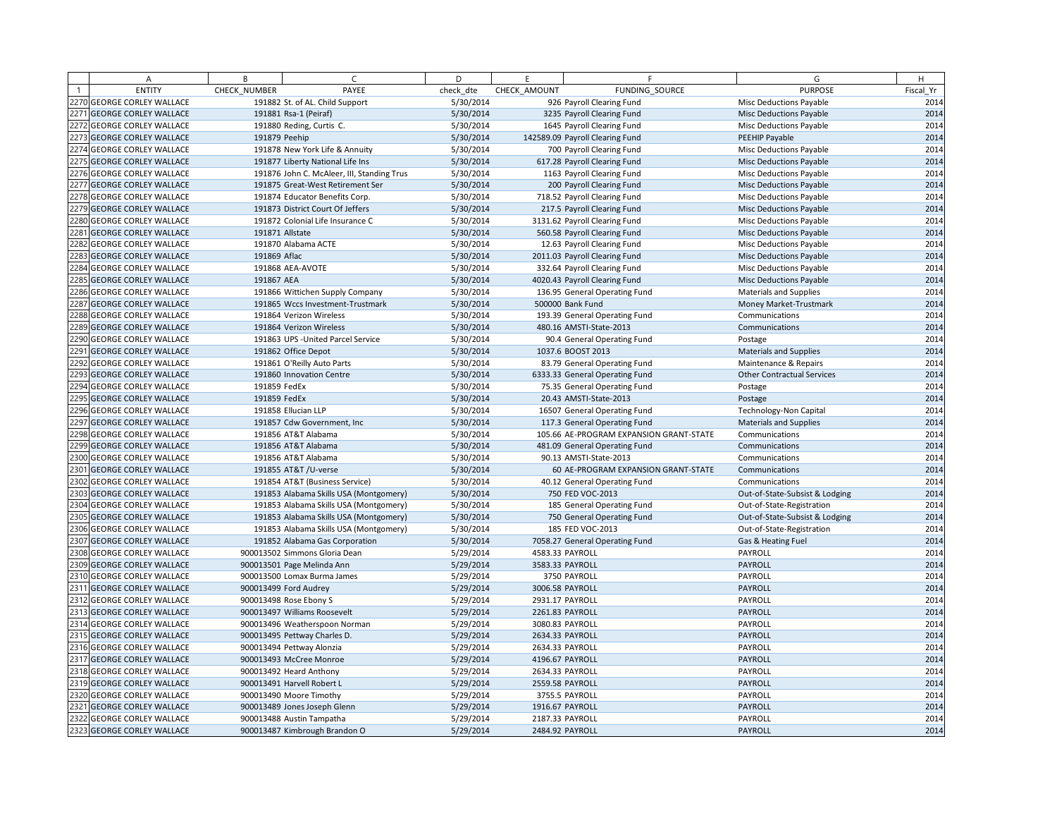| А                          | B             | $\epsilon$                                 | D         | E               | F                                       | G                                 | H         |
|----------------------------|---------------|--------------------------------------------|-----------|-----------------|-----------------------------------------|-----------------------------------|-----------|
| <b>ENTITY</b>              | CHECK NUMBER  | PAYEE                                      | check dte | CHECK AMOUNT    | FUNDING SOURCE                          | <b>PURPOSE</b>                    | Fiscal Yr |
| 2270 GEORGE CORLEY WALLACE |               | 191882 St. of AL. Child Support            | 5/30/2014 |                 | 926 Payroll Clearing Fund               | <b>Misc Deductions Payable</b>    | 2014      |
| 2271 GEORGE CORLEY WALLACE |               | 191881 Rsa-1 (Peiraf)                      | 5/30/2014 |                 | 3235 Payroll Clearing Fund              | <b>Misc Deductions Payable</b>    | 2014      |
| 2272 GEORGE CORLEY WALLACE |               | 191880 Reding, Curtis C.                   | 5/30/2014 |                 | 1645 Payroll Clearing Fund              | Misc Deductions Payable           | 2014      |
| 2273 GEORGE CORLEY WALLACE | 191879 Peehip |                                            | 5/30/2014 |                 | 142589.09 Payroll Clearing Fund         | PEEHIP Payable                    | 2014      |
| 2274 GEORGE CORLEY WALLACE |               | 191878 New York Life & Annuity             | 5/30/2014 |                 | 700 Payroll Clearing Fund               | Misc Deductions Payable           | 2014      |
| 2275 GEORGE CORLEY WALLACE |               | 191877 Liberty National Life Ins           | 5/30/2014 |                 | 617.28 Payroll Clearing Fund            | <b>Misc Deductions Payable</b>    | 2014      |
| 2276 GEORGE CORLEY WALLACE |               | 191876 John C. McAleer, III, Standing Trus | 5/30/2014 |                 | 1163 Payroll Clearing Fund              | Misc Deductions Payable           | 2014      |
| 2277 GEORGE CORLEY WALLACE |               | 191875 Great-West Retirement Ser           | 5/30/2014 |                 | 200 Payroll Clearing Fund               | <b>Misc Deductions Payable</b>    | 2014      |
| 2278 GEORGE CORLEY WALLACE |               | 191874 Educator Benefits Corp.             | 5/30/2014 |                 | 718.52 Payroll Clearing Fund            | Misc Deductions Payable           | 2014      |
| 2279 GEORGE CORLEY WALLACE |               | 191873 District Court Of Jeffers           | 5/30/2014 |                 | 217.5 Payroll Clearing Fund             | <b>Misc Deductions Payable</b>    | 2014      |
| 2280 GEORGE CORLEY WALLACE |               | 191872 Colonial Life Insurance C           | 5/30/2014 |                 | 3131.62 Payroll Clearing Fund           | Misc Deductions Payable           | 2014      |
| 2281 GEORGE CORLEY WALLACE |               | 191871 Allstate                            | 5/30/2014 |                 | 560.58 Payroll Clearing Fund            | <b>Misc Deductions Payable</b>    | 2014      |
| 2282 GEORGE CORLEY WALLACE |               | 191870 Alabama ACTE                        | 5/30/2014 |                 | 12.63 Payroll Clearing Fund             | Misc Deductions Payable           | 2014      |
| 2283 GEORGE CORLEY WALLACE | 191869 Aflac  |                                            | 5/30/2014 |                 | 2011.03 Payroll Clearing Fund           | <b>Misc Deductions Payable</b>    | 2014      |
| 2284 GEORGE CORLEY WALLACE |               | 191868 AEA-AVOTE                           | 5/30/2014 |                 | 332.64 Payroll Clearing Fund            | Misc Deductions Payable           | 2014      |
| 2285 GEORGE CORLEY WALLACE | 191867 AEA    |                                            | 5/30/2014 |                 | 4020.43 Payroll Clearing Fund           | <b>Misc Deductions Payable</b>    | 2014      |
| 2286 GEORGE CORLEY WALLACE |               | 191866 Wittichen Supply Company            | 5/30/2014 |                 | 136.95 General Operating Fund           | <b>Materials and Supplies</b>     | 2014      |
| 2287 GEORGE CORLEY WALLACE |               | 191865 Wccs Investment-Trustmark           | 5/30/2014 |                 | 500000 Bank Fund                        | Money Market-Trustmark            | 2014      |
| 2288 GEORGE CORLEY WALLACE |               | 191864 Verizon Wireless                    | 5/30/2014 |                 | 193.39 General Operating Fund           | Communications                    | 2014      |
| 2289 GEORGE CORLEY WALLACE |               | 191864 Verizon Wireless                    | 5/30/2014 |                 | 480.16 AMSTI-State-2013                 | Communications                    | 2014      |
| 2290 GEORGE CORLEY WALLACE |               | 191863 UPS - United Parcel Service         | 5/30/2014 |                 | 90.4 General Operating Fund             | Postage                           | 2014      |
| 2291 GEORGE CORLEY WALLACE |               | 191862 Office Depot                        | 5/30/2014 |                 | 1037.6 BOOST 2013                       | <b>Materials and Supplies</b>     | 2014      |
| 2292 GEORGE CORLEY WALLACE |               | 191861 O'Reilly Auto Parts                 | 5/30/2014 |                 | 83.79 General Operating Fund            | Maintenance & Repairs             | 2014      |
| 2293 GEORGE CORLEY WALLACE |               | 191860 Innovation Centre                   | 5/30/2014 |                 | 6333.33 General Operating Fund          | <b>Other Contractual Services</b> | 2014      |
| 2294 GEORGE CORLEY WALLACE | 191859 FedEx  |                                            | 5/30/2014 |                 | 75.35 General Operating Fund            | Postage                           | 2014      |
| 2295 GEORGE CORLEY WALLACE | 191859 FedEx  |                                            | 5/30/2014 |                 | 20.43 AMSTI-State-2013                  | Postage                           | 2014      |
| 2296 GEORGE CORLEY WALLACE |               | 191858 Ellucian LLP                        | 5/30/2014 |                 | 16507 General Operating Fund            | <b>Technology-Non Capital</b>     | 2014      |
| 2297 GEORGE CORLEY WALLACE |               | 191857 Cdw Government, Inc                 | 5/30/2014 |                 | 117.3 General Operating Fund            | <b>Materials and Supplies</b>     | 2014      |
| 2298 GEORGE CORLEY WALLACE |               | 191856 AT&T Alabama                        | 5/30/2014 |                 | 105.66 AE-PROGRAM EXPANSION GRANT-STATE | Communications                    | 2014      |
| 2299 GEORGE CORLEY WALLACE |               | 191856 AT&T Alabama                        | 5/30/2014 |                 | 481.09 General Operating Fund           | Communications                    | 2014      |
| 2300 GEORGE CORLEY WALLACE |               | 191856 AT&T Alabama                        | 5/30/2014 |                 | 90.13 AMSTI-State-2013                  | Communications                    | 2014      |
| 2301 GEORGE CORLEY WALLACE |               | 191855 AT&T / U-verse                      | 5/30/2014 |                 | 60 AE-PROGRAM EXPANSION GRANT-STATE     | Communications                    | 2014      |
| 2302 GEORGE CORLEY WALLACE |               | 191854 AT&T (Business Service)             | 5/30/2014 |                 | 40.12 General Operating Fund            | Communications                    | 2014      |
| 2303 GEORGE CORLEY WALLACE |               | 191853 Alabama Skills USA (Montgomery)     | 5/30/2014 |                 | 750 FED VOC-2013                        | Out-of-State-Subsist & Lodging    | 2014      |
| 2304 GEORGE CORLEY WALLACE |               | 191853 Alabama Skills USA (Montgomery)     | 5/30/2014 |                 | 185 General Operating Fund              | Out-of-State-Registration         | 2014      |
| 2305 GEORGE CORLEY WALLACE |               | 191853 Alabama Skills USA (Montgomery)     | 5/30/2014 |                 | 750 General Operating Fund              | Out-of-State-Subsist & Lodging    | 2014      |
| 2306 GEORGE CORLEY WALLACE |               | 191853 Alabama Skills USA (Montgomery)     | 5/30/2014 |                 | 185 FED VOC-2013                        | Out-of-State-Registration         | 2014      |
| 2307 GEORGE CORLEY WALLACE |               | 191852 Alabama Gas Corporation             | 5/30/2014 |                 | 7058.27 General Operating Fund          | Gas & Heating Fuel                | 2014      |
| 2308 GEORGE CORLEY WALLACE |               | 900013502 Simmons Gloria Dean              | 5/29/2014 |                 | 4583.33 PAYROLL                         | PAYROLL                           | 2014      |
| 2309 GEORGE CORLEY WALLACE |               | 900013501 Page Melinda Ann                 | 5/29/2014 |                 | 3583.33 PAYROLL                         | PAYROLL                           | 2014      |
| 2310 GEORGE CORLEY WALLACE |               | 900013500 Lomax Burma James                | 5/29/2014 |                 | 3750 PAYROLL                            | PAYROLL                           | 2014      |
| 2311 GEORGE CORLEY WALLACE |               | 900013499 Ford Audrey                      | 5/29/2014 |                 | 3006.58 PAYROLL                         | PAYROLL                           | 2014      |
| 2312 GEORGE CORLEY WALLACE |               | 900013498 Rose Ebony S                     | 5/29/2014 |                 | 2931.17 PAYROLL                         | PAYROLL                           | 2014      |
| 2313 GEORGE CORLEY WALLACE |               | 900013497 Williams Roosevelt               | 5/29/2014 |                 | 2261.83 PAYROLL                         | PAYROLL                           | 2014      |
| 2314 GEORGE CORLEY WALLACE |               | 900013496 Weatherspoon Norman              | 5/29/2014 |                 | 3080.83 PAYROLL                         | PAYROLL                           | 2014      |
| 2315 GEORGE CORLEY WALLACE |               | 900013495 Pettway Charles D.               | 5/29/2014 |                 | 2634.33 PAYROLL                         | PAYROLL                           | 2014      |
| 2316 GEORGE CORLEY WALLACE |               | 900013494 Pettway Alonzia                  | 5/29/2014 | 2634.33 PAYROLL |                                         | PAYROLL                           | 2014      |
| 2317 GEORGE CORLEY WALLACE |               | 900013493 McCree Monroe                    | 5/29/2014 |                 | 4196.67 PAYROLL                         | PAYROLL                           | 2014      |
| 2318 GEORGE CORLEY WALLACE |               | 900013492 Heard Anthony                    | 5/29/2014 |                 | 2634.33 PAYROLL                         | PAYROLL                           | 2014      |
| 2319 GEORGE CORLEY WALLACE |               | 900013491 Harvell Robert L                 | 5/29/2014 |                 | 2559.58 PAYROLL                         | PAYROLL                           | 2014      |
| 2320 GEORGE CORLEY WALLACE |               | 900013490 Moore Timothy                    | 5/29/2014 |                 | 3755.5 PAYROLL                          | PAYROLL                           | 2014      |
| 2321 GEORGE CORLEY WALLACE |               | 900013489 Jones Joseph Glenn               | 5/29/2014 |                 | 1916.67 PAYROLL                         | PAYROLL                           | 2014      |
| 2322 GEORGE CORLEY WALLACE |               | 900013488 Austin Tampatha                  | 5/29/2014 |                 | 2187.33 PAYROLL                         | PAYROLL                           | 2014      |
| 2323 GEORGE CORLEY WALLACE |               | 900013487 Kimbrough Brandon O              | 5/29/2014 |                 | 2484.92 PAYROLL                         | PAYROLL                           | 2014      |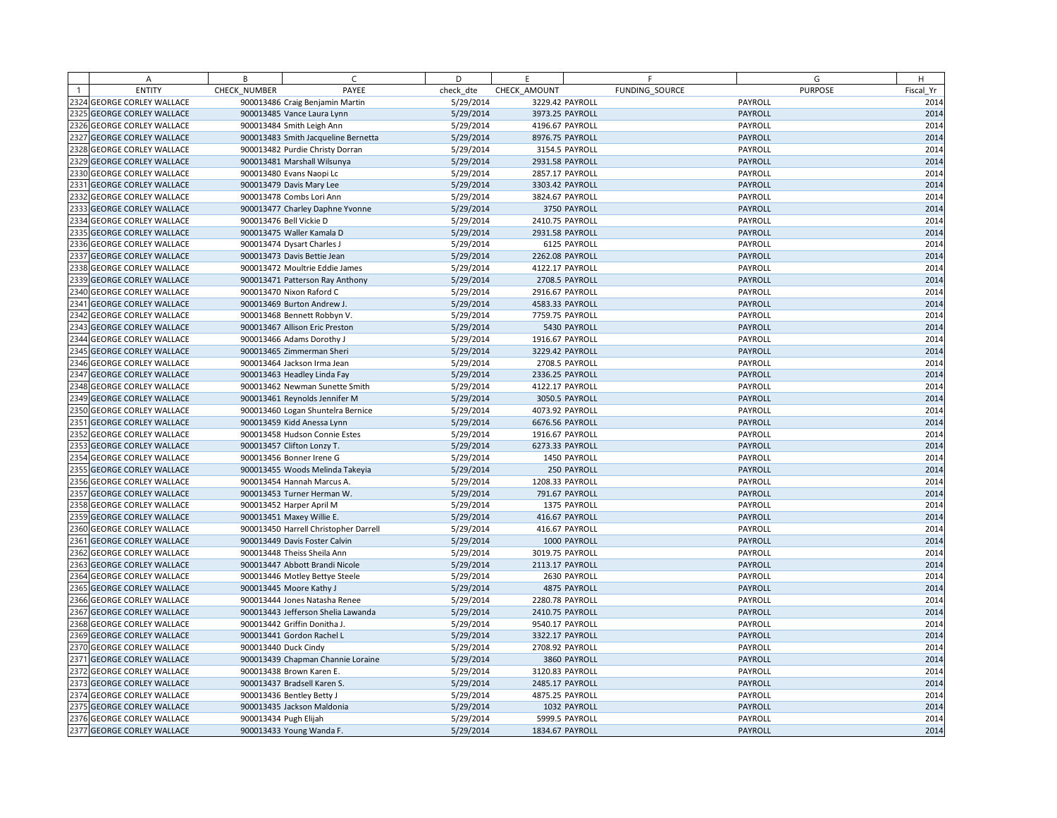|      | A                            | B            | C                                     | D         | E               | F              | G              | H         |
|------|------------------------------|--------------|---------------------------------------|-----------|-----------------|----------------|----------------|-----------|
|      | <b>ENTITY</b>                | CHECK NUMBER | PAYEE                                 | check dte | CHECK AMOUNT    | FUNDING SOURCE | <b>PURPOSE</b> | Fiscal Yr |
|      | 2324 GEORGE CORLEY WALLACE   |              | 900013486 Craig Benjamin Martin       | 5/29/2014 | 3229.42 PAYROLL |                | PAYROLL        | 2014      |
|      | 2325 GEORGE CORLEY WALLACE   |              | 900013485 Vance Laura Lynn            | 5/29/2014 | 3973.25 PAYROLL |                | PAYROLL        | 2014      |
|      | 2326 GEORGE CORLEY WALLACE   |              | 900013484 Smith Leigh Ann             | 5/29/2014 | 4196.67 PAYROLL |                | PAYROLL        | 2014      |
|      | 2327 GEORGE CORLEY WALLACE   |              | 900013483 Smith Jacqueline Bernetta   | 5/29/2014 | 8976.75 PAYROLL |                | PAYROLL        | 2014      |
|      | 2328 GEORGE CORLEY WALLACE   |              | 900013482 Purdie Christy Dorran       | 5/29/2014 |                 | 3154.5 PAYROLL | PAYROLL        | 2014      |
|      | 2329 GEORGE CORLEY WALLACE   |              | 900013481 Marshall Wilsunya           | 5/29/2014 | 2931.58 PAYROLL |                | PAYROLL        | 2014      |
|      | 2330 GEORGE CORLEY WALLACE   |              | 900013480 Evans Naopi Lc              | 5/29/2014 | 2857.17 PAYROLL |                | PAYROLL        | 2014      |
|      | 2331 GEORGE CORLEY WALLACE   |              | 900013479 Davis Mary Lee              | 5/29/2014 | 3303.42 PAYROLL |                | PAYROLL        | 2014      |
|      | 2332 GEORGE CORLEY WALLACE   |              | 900013478 Combs Lori Ann              | 5/29/2014 | 3824.67 PAYROLL |                | PAYROLL        | 2014      |
|      | 2333 GEORGE CORLEY WALLACE   |              | 900013477 Charley Daphne Yvonne       | 5/29/2014 |                 | 3750 PAYROLL   | PAYROLL        | 2014      |
|      | 2334 GEORGE CORLEY WALLACE   |              | 900013476 Bell Vickie D               | 5/29/2014 | 2410.75 PAYROLL |                | PAYROLL        | 2014      |
|      | 2335 GEORGE CORLEY WALLACE   |              | 900013475 Waller Kamala D             | 5/29/2014 | 2931.58 PAYROLL |                | PAYROLL        | 2014      |
|      | 2336 GEORGE CORLEY WALLACE   |              | 900013474 Dysart Charles J            | 5/29/2014 |                 | 6125 PAYROLL   | PAYROLL        | 2014      |
|      | 2337 GEORGE CORLEY WALLACE   |              | 900013473 Davis Bettie Jean           | 5/29/2014 | 2262.08 PAYROLL |                | PAYROLL        | 2014      |
|      | 2338 GEORGE CORLEY WALLACE   |              | 900013472 Moultrie Eddie James        | 5/29/2014 | 4122.17 PAYROLL |                | PAYROLL        | 2014      |
|      | 2339 GEORGE CORLEY WALLACE   |              | 900013471 Patterson Ray Anthony       | 5/29/2014 |                 | 2708.5 PAYROLL | PAYROLL        | 2014      |
|      | 2340 GEORGE CORLEY WALLACE   |              | 900013470 Nixon Raford C              | 5/29/2014 | 2916.67 PAYROLL |                | PAYROLL        | 2014      |
|      | 2341 GEORGE CORLEY WALLACE   |              | 900013469 Burton Andrew J.            | 5/29/2014 | 4583.33 PAYROLL |                | PAYROLL        | 2014      |
|      | 2342 GEORGE CORLEY WALLACE   |              | 900013468 Bennett Robbyn V.           | 5/29/2014 | 7759.75 PAYROLL |                | PAYROLL        | 2014      |
|      | 2343 GEORGE CORLEY WALLACE   |              | 900013467 Allison Eric Preston        | 5/29/2014 |                 | 5430 PAYROLL   | PAYROLL        | 2014      |
|      | 2344 GEORGE CORLEY WALLACE   |              | 900013466 Adams Dorothy J             | 5/29/2014 | 1916.67 PAYROLL |                | PAYROLL        | 2014      |
|      | 2345 GEORGE CORLEY WALLACE   |              | 900013465 Zimmerman Sheri             | 5/29/2014 | 3229.42 PAYROLL |                | PAYROLL        | 2014      |
|      | 2346 GEORGE CORLEY WALLACE   |              | 900013464 Jackson Irma Jean           | 5/29/2014 |                 | 2708.5 PAYROLL | PAYROLL        | 2014      |
| 2347 | <b>GEORGE CORLEY WALLACE</b> |              | 900013463 Headley Linda Fay           | 5/29/2014 | 2336.25 PAYROLL |                | PAYROLL        | 2014      |
|      | 2348 GEORGE CORLEY WALLACE   |              | 900013462 Newman Sunette Smith        | 5/29/2014 | 4122.17 PAYROLL |                | PAYROLL        | 2014      |
|      | 2349 GEORGE CORLEY WALLACE   |              | 900013461 Reynolds Jennifer M         | 5/29/2014 |                 | 3050.5 PAYROLL | PAYROLL        | 2014      |
|      | 2350 GEORGE CORLEY WALLACE   |              | 900013460 Logan Shuntelra Bernice     | 5/29/2014 | 4073.92 PAYROLL |                | PAYROLL        | 2014      |
|      | 2351 GEORGE CORLEY WALLACE   |              | 900013459 Kidd Anessa Lynn            | 5/29/2014 | 6676.56 PAYROLL |                | PAYROLL        | 2014      |
|      | 2352 GEORGE CORLEY WALLACE   |              | 900013458 Hudson Connie Estes         | 5/29/2014 | 1916.67 PAYROLL |                | PAYROLL        | 2014      |
|      | 2353 GEORGE CORLEY WALLACE   |              | 900013457 Clifton Lonzy T.            | 5/29/2014 | 6273.33 PAYROLL |                | PAYROLL        | 2014      |
|      | 2354 GEORGE CORLEY WALLACE   |              | 900013456 Bonner Irene G              | 5/29/2014 |                 | 1450 PAYROLL   | PAYROLL        | 2014      |
|      | 2355 GEORGE CORLEY WALLACE   |              | 900013455 Woods Melinda Takeyia       | 5/29/2014 |                 | 250 PAYROLL    | PAYROLL        | 2014      |
|      | 2356 GEORGE CORLEY WALLACE   |              | 900013454 Hannah Marcus A.            | 5/29/2014 | 1208.33 PAYROLL |                | PAYROLL        | 2014      |
|      | 2357 GEORGE CORLEY WALLACE   |              | 900013453 Turner Herman W.            | 5/29/2014 |                 | 791.67 PAYROLL | PAYROLL        | 2014      |
|      | 2358 GEORGE CORLEY WALLACE   |              | 900013452 Harper April M              | 5/29/2014 |                 | 1375 PAYROLL   | PAYROLL        | 2014      |
| 2359 | <b>GEORGE CORLEY WALLACE</b> |              | 900013451 Maxey Willie E.             | 5/29/2014 |                 | 416.67 PAYROLL | PAYROLL        | 2014      |
|      | 2360 GEORGE CORLEY WALLACE   |              | 900013450 Harrell Christopher Darrell | 5/29/2014 |                 | 416.67 PAYROLL | PAYROLL        | 2014      |
|      | 2361 GEORGE CORLEY WALLACE   |              | 900013449 Davis Foster Calvin         | 5/29/2014 |                 | 1000 PAYROLL   | PAYROLL        | 2014      |
|      | 2362 GEORGE CORLEY WALLACE   |              | 900013448 Theiss Sheila Ann           | 5/29/2014 | 3019.75 PAYROLL |                | PAYROLL        | 2014      |
|      | 2363 GEORGE CORLEY WALLACE   |              | 900013447 Abbott Brandi Nicole        | 5/29/2014 | 2113.17 PAYROLL |                | PAYROLL        | 2014      |
|      | 2364 GEORGE CORLEY WALLACE   |              | 900013446 Motley Bettye Steele        | 5/29/2014 |                 | 2630 PAYROLL   | PAYROLL        | 2014      |
|      | 2365 GEORGE CORLEY WALLACE   |              | 900013445 Moore Kathy J               | 5/29/2014 |                 | 4875 PAYROLL   | PAYROLL        | 2014      |
|      | 2366 GEORGE CORLEY WALLACE   |              | 900013444 Jones Natasha Renee         | 5/29/2014 | 2280.78 PAYROLL |                | PAYROLL        | 2014      |
|      | 2367 GEORGE CORLEY WALLACE   |              | 900013443 Jefferson Shelia Lawanda    | 5/29/2014 | 2410.75 PAYROLL |                | PAYROLL        | 2014      |
|      | 2368 GEORGE CORLEY WALLACE   |              | 900013442 Griffin Donitha J.          | 5/29/2014 | 9540.17 PAYROLL |                | PAYROLL        | 2014      |
|      | 2369 GEORGE CORLEY WALLACE   |              | 900013441 Gordon Rachel L             | 5/29/2014 | 3322.17 PAYROLL |                | <b>PAYROLL</b> | 2014      |
|      | 2370 GEORGE CORLEY WALLACE   |              | 900013440 Duck Cindy                  | 5/29/2014 | 2708.92 PAYROLL |                | PAYROLL        | 2014      |
|      | 2371 GEORGE CORLEY WALLACE   |              | 900013439 Chapman Channie Loraine     | 5/29/2014 |                 | 3860 PAYROLL   | PAYROLL        | 2014      |
|      | 2372 GEORGE CORLEY WALLACE   |              | 900013438 Brown Karen E.              | 5/29/2014 | 3120.83 PAYROLL |                | PAYROLL        | 2014      |
|      | 2373 GEORGE CORLEY WALLACE   |              | 900013437 Bradsell Karen S.           | 5/29/2014 | 2485.17 PAYROLL |                | PAYROLL        | 2014      |
|      | 2374 GEORGE CORLEY WALLACE   |              | 900013436 Bentley Betty J             | 5/29/2014 | 4875.25 PAYROLL |                | PAYROLL        | 2014      |
|      | 2375 GEORGE CORLEY WALLACE   |              | 900013435 Jackson Maldonia            | 5/29/2014 |                 | 1032 PAYROLL   | PAYROLL        | 2014      |
|      | 2376 GEORGE CORLEY WALLACE   |              | 900013434 Pugh Elijah                 | 5/29/2014 |                 | 5999.5 PAYROLL | PAYROLL        | 2014      |
|      | 2377 GEORGE CORLEY WALLACE   |              | 900013433 Young Wanda F.              | 5/29/2014 | 1834.67 PAYROLL |                | PAYROLL        | 2014      |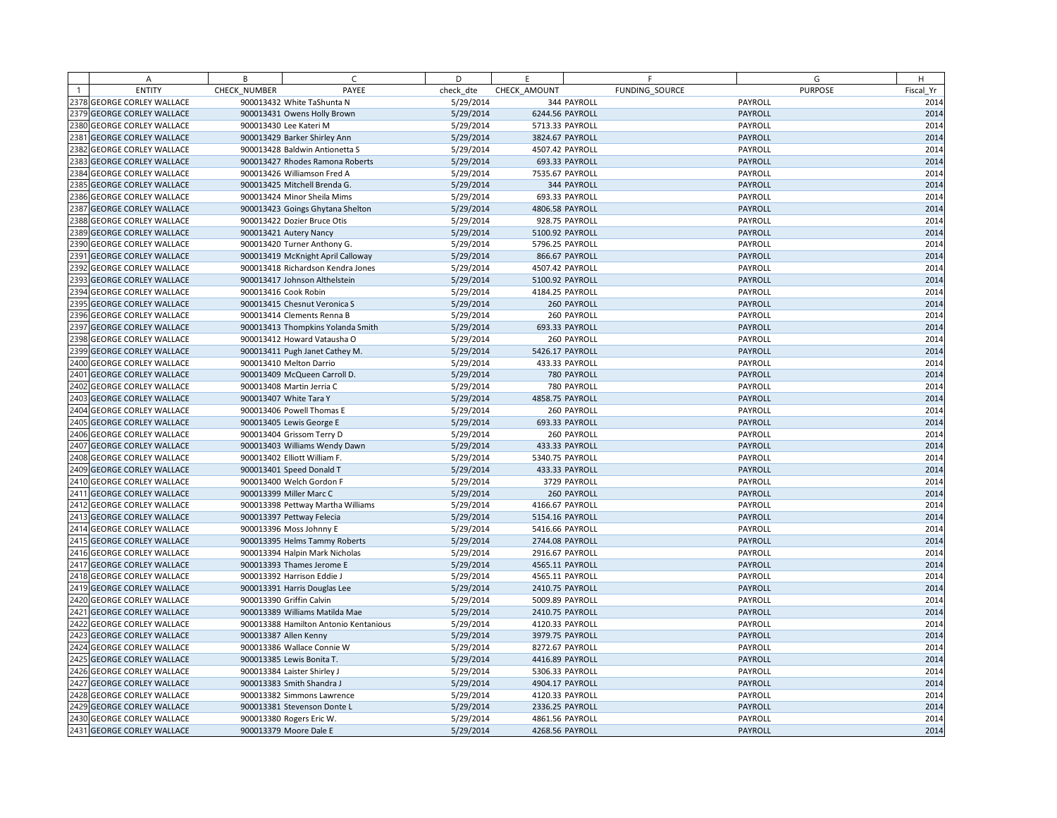| A                          | B            | C                                     | D         | E               | F              | G              | H         |
|----------------------------|--------------|---------------------------------------|-----------|-----------------|----------------|----------------|-----------|
| <b>ENTITY</b>              | CHECK NUMBER | PAYEE                                 | check dte | CHECK AMOUNT    | FUNDING SOURCE | <b>PURPOSE</b> | Fiscal Yr |
| 2378 GEORGE CORLEY WALLACE |              | 900013432 White TaShunta N            | 5/29/2014 |                 | 344 PAYROLL    | PAYROLL        | 2014      |
| 2379 GEORGE CORLEY WALLACE |              | 900013431 Owens Holly Brown           | 5/29/2014 | 6244.56 PAYROLL |                | PAYROLL        | 2014      |
| 2380 GEORGE CORLEY WALLACE |              | 900013430 Lee Kateri M                | 5/29/2014 | 5713.33 PAYROLL |                | PAYROLL        | 2014      |
| 2381 GEORGE CORLEY WALLACE |              | 900013429 Barker Shirley Ann          | 5/29/2014 | 3824.67 PAYROLL |                | PAYROLL        | 2014      |
| 2382 GEORGE CORLEY WALLACE |              | 900013428 Baldwin Antionetta S        | 5/29/2014 | 4507.42 PAYROLL |                | PAYROLL        | 2014      |
| 2383 GEORGE CORLEY WALLACE |              | 900013427 Rhodes Ramona Roberts       | 5/29/2014 |                 | 693.33 PAYROLL | PAYROLL        | 2014      |
| 2384 GEORGE CORLEY WALLACE |              | 900013426 Williamson Fred A           | 5/29/2014 | 7535.67 PAYROLL |                | PAYROLL        | 2014      |
| 2385 GEORGE CORLEY WALLACE |              | 900013425 Mitchell Brenda G.          | 5/29/2014 |                 | 344 PAYROLL    | PAYROLL        | 2014      |
| 2386 GEORGE CORLEY WALLACE |              | 900013424 Minor Sheila Mims           | 5/29/2014 |                 | 693.33 PAYROLL | PAYROLL        | 2014      |
| 2387 GEORGE CORLEY WALLACE |              | 900013423 Goings Ghytana Shelton      | 5/29/2014 | 4806.58 PAYROLL |                | PAYROLL        | 2014      |
| 2388 GEORGE CORLEY WALLACE |              | 900013422 Dozier Bruce Otis           | 5/29/2014 |                 | 928.75 PAYROLL | PAYROLL        | 2014      |
| 2389 GEORGE CORLEY WALLACE |              | 900013421 Autery Nancy                | 5/29/2014 | 5100.92 PAYROLL |                | PAYROLL        | 2014      |
| 2390 GEORGE CORLEY WALLACE |              | 900013420 Turner Anthony G.           | 5/29/2014 | 5796.25 PAYROLL |                | PAYROLL        | 2014      |
| 2391 GEORGE CORLEY WALLACE |              | 900013419 McKnight April Calloway     | 5/29/2014 |                 | 866.67 PAYROLL | PAYROLL        | 2014      |
| 2392 GEORGE CORLEY WALLACE |              | 900013418 Richardson Kendra Jones     | 5/29/2014 | 4507.42 PAYROLL |                | PAYROLL        | 2014      |
| 2393 GEORGE CORLEY WALLACE |              | 900013417 Johnson Althelstein         | 5/29/2014 | 5100.92 PAYROLL |                | PAYROLL        | 2014      |
| 2394 GEORGE CORLEY WALLACE |              | 900013416 Cook Robin                  | 5/29/2014 | 4184.25 PAYROLL |                | PAYROLL        | 2014      |
| 2395 GEORGE CORLEY WALLACE |              | 900013415 Chesnut Veronica S          | 5/29/2014 |                 | 260 PAYROLL    | PAYROLL        | 2014      |
| 2396 GEORGE CORLEY WALLACE |              | 900013414 Clements Renna B            | 5/29/2014 |                 | 260 PAYROLL    | PAYROLL        | 2014      |
| 2397 GEORGE CORLEY WALLACE |              | 900013413 Thompkins Yolanda Smith     | 5/29/2014 |                 | 693.33 PAYROLL | PAYROLL        | 2014      |
| 2398 GEORGE CORLEY WALLACE |              | 900013412 Howard Vatausha O           | 5/29/2014 |                 | 260 PAYROLL    | PAYROLL        | 2014      |
| 2399 GEORGE CORLEY WALLACE |              | 900013411 Pugh Janet Cathey M.        | 5/29/2014 | 5426.17 PAYROLL |                | PAYROLL        | 2014      |
| 2400 GEORGE CORLEY WALLACE |              | 900013410 Melton Darrio               | 5/29/2014 |                 | 433.33 PAYROLL | PAYROLL        | 2014      |
| 2401 GEORGE CORLEY WALLACE |              | 900013409 McQueen Carroll D.          | 5/29/2014 |                 | 780 PAYROLL    | PAYROLL        | 2014      |
| 2402 GEORGE CORLEY WALLACE |              | 900013408 Martin Jerria C             | 5/29/2014 |                 | 780 PAYROLL    | PAYROLL        | 2014      |
| 2403 GEORGE CORLEY WALLACE |              | 900013407 White Tara Y                | 5/29/2014 | 4858.75 PAYROLL |                | PAYROLL        | 2014      |
| 2404 GEORGE CORLEY WALLACE |              | 900013406 Powell Thomas E             | 5/29/2014 |                 | 260 PAYROLL    | PAYROLL        | 2014      |
| 2405 GEORGE CORLEY WALLACE |              | 900013405 Lewis George E              | 5/29/2014 |                 | 693.33 PAYROLL | PAYROLL        | 2014      |
| 2406 GEORGE CORLEY WALLACE |              | 900013404 Grissom Terry D             | 5/29/2014 |                 | 260 PAYROLL    | PAYROLL        | 2014      |
| 2407 GEORGE CORLEY WALLACE |              | 900013403 Williams Wendy Dawn         | 5/29/2014 |                 | 433.33 PAYROLL | PAYROLL        | 2014      |
| 2408 GEORGE CORLEY WALLACE |              | 900013402 Elliott William F.          | 5/29/2014 | 5340.75 PAYROLL |                | PAYROLL        | 2014      |
| 2409 GEORGE CORLEY WALLACE |              | 900013401 Speed Donald T              | 5/29/2014 |                 | 433.33 PAYROLL | PAYROLL        | 2014      |
| 2410 GEORGE CORLEY WALLACE |              | 900013400 Welch Gordon F              | 5/29/2014 |                 | 3729 PAYROLL   | PAYROLL        | 2014      |
| 2411 GEORGE CORLEY WALLACE |              | 900013399 Miller Marc C               | 5/29/2014 |                 | 260 PAYROLL    | PAYROLL        | 2014      |
| 2412 GEORGE CORLEY WALLACE |              | 900013398 Pettway Martha Williams     | 5/29/2014 | 4166.67 PAYROLL |                | PAYROLL        | 2014      |
| 2413 GEORGE CORLEY WALLACE |              | 900013397 Pettway Felecia             | 5/29/2014 | 5154.16 PAYROLL |                | PAYROLL        | 2014      |
| 2414 GEORGE CORLEY WALLACE |              | 900013396 Moss Johnny E               | 5/29/2014 | 5416.66 PAYROLL |                | PAYROLL        | 2014      |
| 2415 GEORGE CORLEY WALLACE |              | 900013395 Helms Tammy Roberts         | 5/29/2014 | 2744.08 PAYROLL |                | PAYROLL        | 2014      |
| 2416 GEORGE CORLEY WALLACE |              | 900013394 Halpin Mark Nicholas        | 5/29/2014 | 2916.67 PAYROLL |                | PAYROLL        | 2014      |
| 2417 GEORGE CORLEY WALLACE |              | 900013393 Thames Jerome E             | 5/29/2014 | 4565.11 PAYROLL |                | PAYROLL        | 2014      |
| 2418 GEORGE CORLEY WALLACE |              | 900013392 Harrison Eddie J            | 5/29/2014 | 4565.11 PAYROLL |                | PAYROLL        | 2014      |
| 2419 GEORGE CORLEY WALLACE |              | 900013391 Harris Douglas Lee          | 5/29/2014 | 2410.75 PAYROLL |                | PAYROLL        | 2014      |
| 2420 GEORGE CORLEY WALLACE |              | 900013390 Griffin Calvin              | 5/29/2014 | 5009.89 PAYROLL |                | PAYROLL        | 2014      |
| 2421 GEORGE CORLEY WALLACE |              | 900013389 Williams Matilda Mae        | 5/29/2014 | 2410.75 PAYROLL |                | PAYROLL        | 2014      |
| 2422 GEORGE CORLEY WALLACE |              | 900013388 Hamilton Antonio Kentanious | 5/29/2014 | 4120.33 PAYROLL |                | PAYROLL        | 2014      |
| 2423 GEORGE CORLEY WALLACE |              | 900013387 Allen Kenny                 | 5/29/2014 | 3979.75 PAYROLL |                | <b>PAYROLL</b> | 2014      |
| 2424 GEORGE CORLEY WALLACE |              | 900013386 Wallace Connie W            | 5/29/2014 | 8272.67 PAYROLL |                | PAYROLL        | 2014      |
| 2425 GEORGE CORLEY WALLACE |              | 900013385 Lewis Bonita T.             | 5/29/2014 | 4416.89 PAYROLL |                | PAYROLL        | 2014      |
| 2426 GEORGE CORLEY WALLACE |              | 900013384 Laister Shirley J           | 5/29/2014 | 5306.33 PAYROLL |                | PAYROLL        | 2014      |
| 2427 GEORGE CORLEY WALLACE |              | 900013383 Smith Shandra J             | 5/29/2014 | 4904.17 PAYROLL |                | PAYROLL        | 2014      |
| 2428 GEORGE CORLEY WALLACE |              | 900013382 Simmons Lawrence            | 5/29/2014 | 4120.33 PAYROLL |                | PAYROLL        | 2014      |
| 2429 GEORGE CORLEY WALLACE |              | 900013381 Stevenson Donte L           | 5/29/2014 | 2336.25 PAYROLL |                | PAYROLL        | 2014      |
| 2430 GEORGE CORLEY WALLACE |              | 900013380 Rogers Eric W.              | 5/29/2014 | 4861.56 PAYROLL |                | PAYROLL        | 2014      |
| 2431 GEORGE CORLEY WALLACE |              | 900013379 Moore Dale E                | 5/29/2014 | 4268.56 PAYROLL |                | PAYROLL        | 2014      |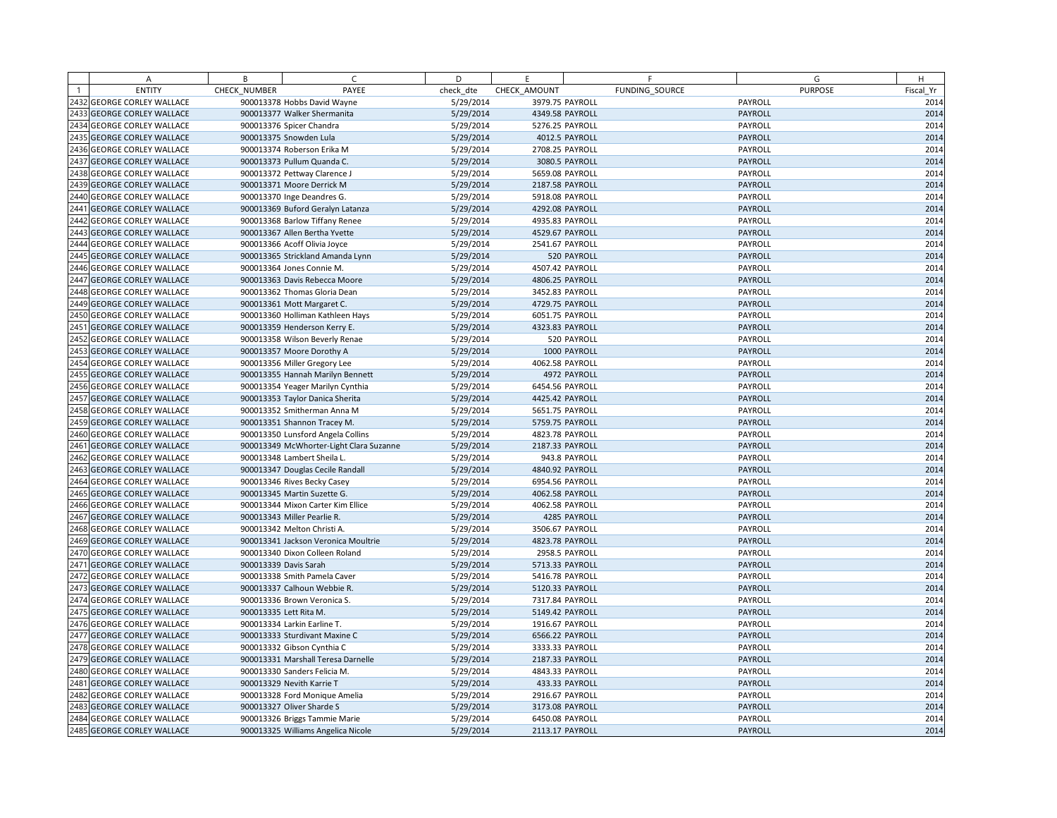|      | A                            | B            | $\subset$                               | D         | E               | F              | G              | H         |
|------|------------------------------|--------------|-----------------------------------------|-----------|-----------------|----------------|----------------|-----------|
|      | <b>ENTITY</b>                | CHECK NUMBER | PAYEE                                   | check dte | CHECK AMOUNT    | FUNDING SOURCE | <b>PURPOSE</b> | Fiscal Yr |
|      | 2432 GEORGE CORLEY WALLACE   |              | 900013378 Hobbs David Wayne             | 5/29/2014 | 3979.75 PAYROLL |                | PAYROLL        | 2014      |
|      | 2433 GEORGE CORLEY WALLACE   |              | 900013377 Walker Shermanita             | 5/29/2014 | 4349.58 PAYROLL |                | PAYROLL        | 2014      |
|      | 2434 GEORGE CORLEY WALLACE   |              | 900013376 Spicer Chandra                | 5/29/2014 | 5276.25 PAYROLL |                | PAYROLL        | 2014      |
|      | 2435 GEORGE CORLEY WALLACE   |              | 900013375 Snowden Lula                  | 5/29/2014 |                 | 4012.5 PAYROLL | PAYROLL        | 2014      |
|      | 2436 GEORGE CORLEY WALLACE   |              | 900013374 Roberson Erika M              | 5/29/2014 | 2708.25 PAYROLL |                | PAYROLL        | 2014      |
|      | 2437 GEORGE CORLEY WALLACE   |              | 900013373 Pullum Quanda C.              | 5/29/2014 |                 | 3080.5 PAYROLL | PAYROLL        | 2014      |
|      | 2438 GEORGE CORLEY WALLACE   |              | 900013372 Pettway Clarence J            | 5/29/2014 | 5659.08 PAYROLL |                | PAYROLL        | 2014      |
|      | 2439 GEORGE CORLEY WALLACE   |              | 900013371 Moore Derrick M               | 5/29/2014 | 2187.58 PAYROLL |                | PAYROLL        | 2014      |
|      | 2440 GEORGE CORLEY WALLACE   |              | 900013370 Inge Deandres G.              | 5/29/2014 | 5918.08 PAYROLL |                | PAYROLL        | 2014      |
|      | 2441 GEORGE CORLEY WALLACE   |              | 900013369 Buford Geralyn Latanza        | 5/29/2014 | 4292.08 PAYROLL |                | PAYROLL        | 2014      |
|      | 2442 GEORGE CORLEY WALLACE   |              | 900013368 Barlow Tiffany Renee          | 5/29/2014 | 4935.83 PAYROLL |                | PAYROLL        | 2014      |
|      | 2443 GEORGE CORLEY WALLACE   |              | 900013367 Allen Bertha Yvette           | 5/29/2014 | 4529.67 PAYROLL |                | PAYROLL        | 2014      |
|      | 2444 GEORGE CORLEY WALLACE   |              | 900013366 Acoff Olivia Joyce            | 5/29/2014 | 2541.67 PAYROLL |                | PAYROLL        | 2014      |
|      | 2445 GEORGE CORLEY WALLACE   |              | 900013365 Strickland Amanda Lynn        | 5/29/2014 |                 | 520 PAYROLL    | PAYROLL        | 2014      |
|      | 2446 GEORGE CORLEY WALLACE   |              | 900013364 Jones Connie M.               | 5/29/2014 | 4507.42 PAYROLL |                | PAYROLL        | 2014      |
|      | 2447 GEORGE CORLEY WALLACE   |              | 900013363 Davis Rebecca Moore           | 5/29/2014 | 4806.25 PAYROLL |                | PAYROLL        | 2014      |
|      | 2448 GEORGE CORLEY WALLACE   |              | 900013362 Thomas Gloria Dean            | 5/29/2014 | 3452.83 PAYROLL |                | PAYROLL        | 2014      |
|      | 2449 GEORGE CORLEY WALLACE   |              | 900013361 Mott Margaret C.              | 5/29/2014 | 4729.75 PAYROLL |                | PAYROLL        | 2014      |
|      | 2450 GEORGE CORLEY WALLACE   |              | 900013360 Holliman Kathleen Hays        | 5/29/2014 | 6051.75 PAYROLL |                | PAYROLL        | 2014      |
|      | 2451 GEORGE CORLEY WALLACE   |              | 900013359 Henderson Kerry E.            | 5/29/2014 | 4323.83 PAYROLL |                | PAYROLL        | 2014      |
| 2452 | <b>GEORGE CORLEY WALLACE</b> |              | 900013358 Wilson Beverly Renae          | 5/29/2014 |                 | 520 PAYROLL    | PAYROLL        | 2014      |
|      | 2453 GEORGE CORLEY WALLACE   |              | 900013357 Moore Dorothy A               | 5/29/2014 |                 | 1000 PAYROLL   | PAYROLL        | 2014      |
|      | 2454 GEORGE CORLEY WALLACE   |              | 900013356 Miller Gregory Lee            | 5/29/2014 | 4062.58 PAYROLL |                | PAYROLL        | 2014      |
| 2455 | <b>GEORGE CORLEY WALLACE</b> |              | 900013355 Hannah Marilyn Bennett        | 5/29/2014 |                 | 4972 PAYROLL   | PAYROLL        | 2014      |
|      | 2456 GEORGE CORLEY WALLACE   |              | 900013354 Yeager Marilyn Cynthia        | 5/29/2014 | 6454.56 PAYROLL |                | PAYROLL        | 2014      |
|      | 2457 GEORGE CORLEY WALLACE   |              | 900013353 Taylor Danica Sherita         | 5/29/2014 | 4425.42 PAYROLL |                | PAYROLL        | 2014      |
|      | 2458 GEORGE CORLEY WALLACE   |              | 900013352 Smitherman Anna M             | 5/29/2014 | 5651.75 PAYROLL |                | PAYROLL        | 2014      |
|      | 2459 GEORGE CORLEY WALLACE   |              | 900013351 Shannon Tracey M.             | 5/29/2014 | 5759.75 PAYROLL |                | PAYROLL        | 2014      |
|      | 2460 GEORGE CORLEY WALLACE   |              | 900013350 Lunsford Angela Collins       | 5/29/2014 | 4823.78 PAYROLL |                | PAYROLL        | 2014      |
|      | 2461 GEORGE CORLEY WALLACE   |              | 900013349 McWhorter-Light Clara Suzanne | 5/29/2014 | 2187.33 PAYROLL |                | PAYROLL        | 2014      |
|      | 2462 GEORGE CORLEY WALLACE   |              | 900013348 Lambert Sheila L.             | 5/29/2014 |                 | 943.8 PAYROLL  | PAYROLL        | 2014      |
|      | 2463 GEORGE CORLEY WALLACE   |              | 900013347 Douglas Cecile Randall        | 5/29/2014 | 4840.92 PAYROLL |                | PAYROLL        | 2014      |
|      | 2464 GEORGE CORLEY WALLACE   |              | 900013346 Rives Becky Casey             | 5/29/2014 | 6954.56 PAYROLL |                | PAYROLL        | 2014      |
|      | 2465 GEORGE CORLEY WALLACE   |              | 900013345 Martin Suzette G.             | 5/29/2014 | 4062.58 PAYROLL |                | PAYROLL        | 2014      |
|      | 2466 GEORGE CORLEY WALLACE   |              | 900013344 Mixon Carter Kim Ellice       | 5/29/2014 | 4062.58 PAYROLL |                | PAYROLL        | 2014      |
|      | 2467 GEORGE CORLEY WALLACE   |              | 900013343 Miller Pearlie R.             | 5/29/2014 |                 | 4285 PAYROLL   | PAYROLL        | 2014      |
|      | 2468 GEORGE CORLEY WALLACE   |              | 900013342 Melton Christi A.             | 5/29/2014 | 3506.67 PAYROLL |                | PAYROLL        | 2014      |
|      | 2469 GEORGE CORLEY WALLACE   |              | 900013341 Jackson Veronica Moultrie     | 5/29/2014 | 4823.78 PAYROLL |                | PAYROLL        | 2014      |
|      | 2470 GEORGE CORLEY WALLACE   |              | 900013340 Dixon Colleen Roland          | 5/29/2014 |                 | 2958.5 PAYROLL | PAYROLL        | 2014      |
|      | 2471 GEORGE CORLEY WALLACE   |              | 900013339 Davis Sarah                   | 5/29/2014 | 5713.33 PAYROLL |                | PAYROLL        | 2014      |
|      | 2472 GEORGE CORLEY WALLACE   |              | 900013338 Smith Pamela Caver            | 5/29/2014 | 5416.78 PAYROLL |                | PAYROLL        | 2014      |
|      | 2473 GEORGE CORLEY WALLACE   |              | 900013337 Calhoun Webbie R.             | 5/29/2014 | 5120.33 PAYROLL |                | PAYROLL        | 2014      |
|      | 2474 GEORGE CORLEY WALLACE   |              | 900013336 Brown Veronica S.             | 5/29/2014 | 7317.84 PAYROLL |                | PAYROLL        | 2014      |
|      | 2475 GEORGE CORLEY WALLACE   |              | 900013335 Lett Rita M.                  | 5/29/2014 | 5149.42 PAYROLL |                | PAYROLL        | 2014      |
|      | 2476 GEORGE CORLEY WALLACE   |              | 900013334 Larkin Earline T.             | 5/29/2014 | 1916.67 PAYROLL |                | PAYROLL        | 2014      |
|      | 2477 GEORGE CORLEY WALLACE   |              | 900013333 Sturdivant Maxine C           | 5/29/2014 | 6566.22 PAYROLL |                | <b>PAYROLL</b> | 2014      |
|      | 2478 GEORGE CORLEY WALLACE   |              | 900013332 Gibson Cynthia C              | 5/29/2014 | 3333.33 PAYROLL |                | PAYROLL        | 2014      |
|      | 2479 GEORGE CORLEY WALLACE   |              | 900013331 Marshall Teresa Darnelle      | 5/29/2014 | 2187.33 PAYROLL |                | PAYROLL        | 2014      |
|      | 2480 GEORGE CORLEY WALLACE   |              | 900013330 Sanders Felicia M.            | 5/29/2014 | 4843.33 PAYROLL |                | PAYROLL        | 2014      |
|      | 2481 GEORGE CORLEY WALLACE   |              | 900013329 Nevith Karrie T               | 5/29/2014 |                 | 433.33 PAYROLL | PAYROLL        | 2014      |
|      | 2482 GEORGE CORLEY WALLACE   |              | 900013328 Ford Monique Amelia           | 5/29/2014 | 2916.67 PAYROLL |                | PAYROLL        | 2014      |
|      | 2483 GEORGE CORLEY WALLACE   |              | 900013327 Oliver Sharde S               | 5/29/2014 | 3173.08 PAYROLL |                | PAYROLL        | 2014      |
|      | 2484 GEORGE CORLEY WALLACE   |              | 900013326 Briggs Tammie Marie           | 5/29/2014 | 6450.08 PAYROLL |                | PAYROLL        | 2014      |
|      | 2485 GEORGE CORLEY WALLACE   |              | 900013325 Williams Angelica Nicole      | 5/29/2014 | 2113.17 PAYROLL |                | PAYROLL        | 2014      |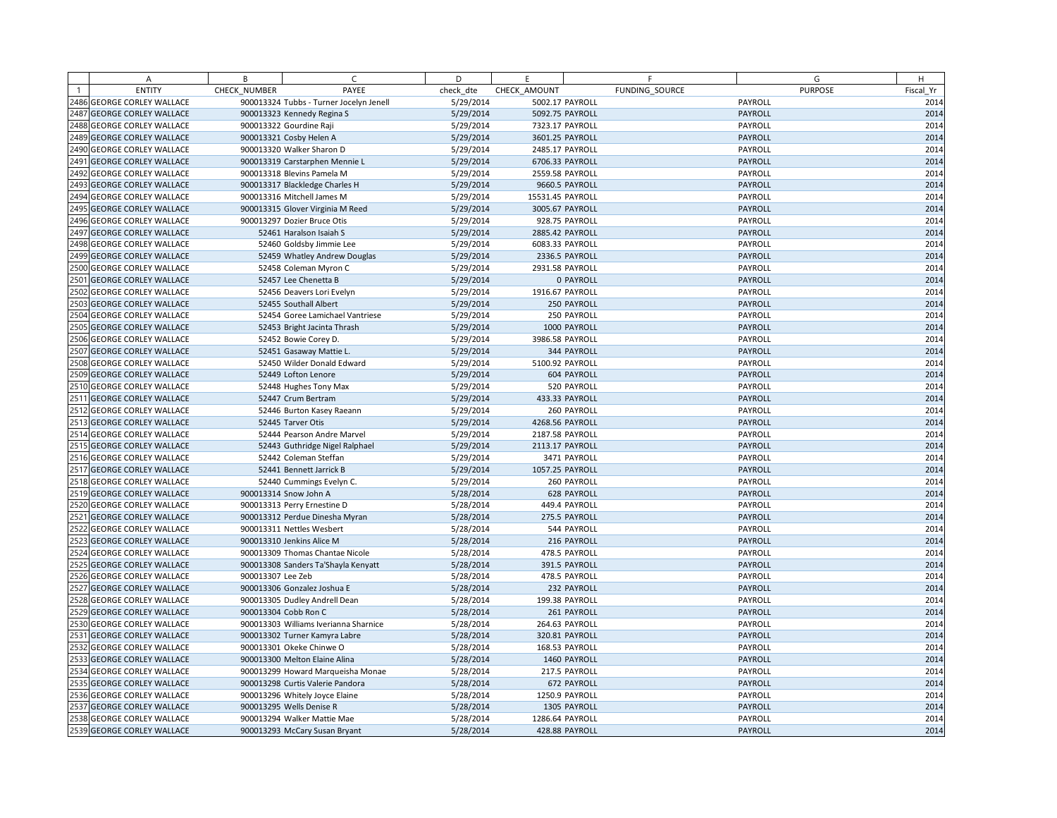| A                          | B                 | $\subset$                               | D         | E                | F              |         | G              | H         |
|----------------------------|-------------------|-----------------------------------------|-----------|------------------|----------------|---------|----------------|-----------|
| <b>ENTITY</b>              | CHECK NUMBER      | PAYEE                                   | check dte | CHECK AMOUNT     | FUNDING SOURCE |         | <b>PURPOSE</b> | Fiscal Yr |
| 2486 GEORGE CORLEY WALLACE |                   | 900013324 Tubbs - Turner Jocelyn Jenell | 5/29/2014 | 5002.17 PAYROLL  |                | PAYROLL |                | 2014      |
| 2487 GEORGE CORLEY WALLACE |                   | 900013323 Kennedy Regina S              | 5/29/2014 | 5092.75 PAYROLL  |                | PAYROLL |                | 2014      |
| 2488 GEORGE CORLEY WALLACE |                   | 900013322 Gourdine Raji                 | 5/29/2014 | 7323.17 PAYROLL  |                | PAYROLL |                | 2014      |
| 2489 GEORGE CORLEY WALLACE |                   | 900013321 Cosby Helen A                 | 5/29/2014 | 3601.25 PAYROLL  |                | PAYROLL |                | 2014      |
| 2490 GEORGE CORLEY WALLACE |                   | 900013320 Walker Sharon D               | 5/29/2014 | 2485.17 PAYROLL  |                | PAYROLL |                | 2014      |
| 2491 GEORGE CORLEY WALLACE |                   | 900013319 Carstarphen Mennie L          | 5/29/2014 | 6706.33 PAYROLL  |                | PAYROLL |                | 2014      |
| 2492 GEORGE CORLEY WALLACE |                   | 900013318 Blevins Pamela M              | 5/29/2014 | 2559.58 PAYROLL  |                | PAYROLL |                | 2014      |
| 2493 GEORGE CORLEY WALLACE |                   | 900013317 Blackledge Charles H          | 5/29/2014 |                  | 9660.5 PAYROLL | PAYROLL |                | 2014      |
| 2494 GEORGE CORLEY WALLACE |                   | 900013316 Mitchell James M              | 5/29/2014 | 15531.45 PAYROLL |                | PAYROLL |                | 2014      |
| 2495 GEORGE CORLEY WALLACE |                   | 900013315 Glover Virginia M Reed        | 5/29/2014 | 3005.67 PAYROLL  |                | PAYROLL |                | 2014      |
| 2496 GEORGE CORLEY WALLACE |                   | 900013297 Dozier Bruce Otis             | 5/29/2014 | 928.75 PAYROLL   |                | PAYROLL |                | 2014      |
| 2497 GEORGE CORLEY WALLACE |                   | 52461 Haralson Isaiah S                 | 5/29/2014 | 2885.42 PAYROLL  |                | PAYROLL |                | 2014      |
| 2498 GEORGE CORLEY WALLACE |                   | 52460 Goldsby Jimmie Lee                | 5/29/2014 | 6083.33 PAYROLL  |                | PAYROLL |                | 2014      |
| 2499 GEORGE CORLEY WALLACE |                   | 52459 Whatley Andrew Douglas            | 5/29/2014 | 2336.5 PAYROLL   |                | PAYROLL |                | 2014      |
| 2500 GEORGE CORLEY WALLACE |                   | 52458 Coleman Myron C                   | 5/29/2014 | 2931.58 PAYROLL  |                | PAYROLL |                | 2014      |
| 2501 GEORGE CORLEY WALLACE |                   | 52457 Lee Chenetta B                    | 5/29/2014 |                  | 0 PAYROLL      | PAYROLL |                | 2014      |
| 2502 GEORGE CORLEY WALLACE |                   | 52456 Deavers Lori Evelyn               | 5/29/2014 | 1916.67 PAYROLL  |                | PAYROLL |                | 2014      |
| 2503 GEORGE CORLEY WALLACE |                   | 52455 Southall Albert                   | 5/29/2014 |                  | 250 PAYROLL    | PAYROLL |                | 2014      |
| 2504 GEORGE CORLEY WALLACE |                   | 52454 Goree Lamichael Vantriese         | 5/29/2014 |                  | 250 PAYROLL    | PAYROLL |                | 2014      |
| 2505 GEORGE CORLEY WALLACE |                   | 52453 Bright Jacinta Thrash             | 5/29/2014 |                  | 1000 PAYROLL   | PAYROLL |                | 2014      |
| 2506 GEORGE CORLEY WALLACE |                   | 52452 Bowie Corey D.                    | 5/29/2014 | 3986.58 PAYROLL  |                | PAYROLL |                | 2014      |
| 2507 GEORGE CORLEY WALLACE |                   | 52451 Gasaway Mattie L.                 | 5/29/2014 |                  | 344 PAYROLL    | PAYROLL |                | 2014      |
| 2508 GEORGE CORLEY WALLACE |                   | 52450 Wilder Donald Edward              | 5/29/2014 | 5100.92 PAYROLL  |                | PAYROLL |                | 2014      |
| 2509 GEORGE CORLEY WALLACE |                   | 52449 Lofton Lenore                     | 5/29/2014 |                  | 604 PAYROLL    | PAYROLL |                | 2014      |
| 2510 GEORGE CORLEY WALLACE |                   | 52448 Hughes Tony Max                   | 5/29/2014 |                  | 520 PAYROLL    | PAYROLL |                | 2014      |
| 2511 GEORGE CORLEY WALLACE |                   | 52447 Crum Bertram                      | 5/29/2014 |                  | 433.33 PAYROLL | PAYROLL |                | 2014      |
| 2512 GEORGE CORLEY WALLACE |                   | 52446 Burton Kasey Raeann               | 5/29/2014 |                  | 260 PAYROLL    | PAYROLL |                | 2014      |
| 2513 GEORGE CORLEY WALLACE |                   | 52445 Tarver Otis                       | 5/29/2014 | 4268.56 PAYROLL  |                | PAYROLL |                | 2014      |
| 2514 GEORGE CORLEY WALLACE |                   | 52444 Pearson Andre Marvel              | 5/29/2014 | 2187.58 PAYROLL  |                | PAYROLL |                | 2014      |
| 2515 GEORGE CORLEY WALLACE |                   | 52443 Guthridge Nigel Ralphael          | 5/29/2014 | 2113.17 PAYROLL  |                | PAYROLL |                | 2014      |
| 2516 GEORGE CORLEY WALLACE |                   | 52442 Coleman Steffan                   | 5/29/2014 |                  | 3471 PAYROLL   | PAYROLL |                | 2014      |
| 2517 GEORGE CORLEY WALLACE |                   | 52441 Bennett Jarrick B                 | 5/29/2014 | 1057.25 PAYROLL  |                | PAYROLL |                | 2014      |
| 2518 GEORGE CORLEY WALLACE |                   | 52440 Cummings Evelyn C.                | 5/29/2014 |                  | 260 PAYROLL    | PAYROLL |                | 2014      |
| 2519 GEORGE CORLEY WALLACE |                   | 900013314 Snow John A                   | 5/28/2014 |                  | 628 PAYROLL    | PAYROLL |                | 2014      |
| 2520 GEORGE CORLEY WALLACE |                   | 900013313 Perry Ernestine D             | 5/28/2014 |                  | 449.4 PAYROLL  | PAYROLL |                | 2014      |
| 2521 GEORGE CORLEY WALLACE |                   | 900013312 Perdue Dinesha Myran          | 5/28/2014 |                  | 275.5 PAYROLL  | PAYROLL |                | 2014      |
| 2522 GEORGE CORLEY WALLACE |                   | 900013311 Nettles Wesbert               | 5/28/2014 |                  | 544 PAYROLL    | PAYROLL |                | 2014      |
| 2523 GEORGE CORLEY WALLACE |                   | 900013310 Jenkins Alice M               | 5/28/2014 |                  | 216 PAYROLL    | PAYROLL |                | 2014      |
| 2524 GEORGE CORLEY WALLACE |                   | 900013309 Thomas Chantae Nicole         | 5/28/2014 |                  | 478.5 PAYROLL  | PAYROLL |                | 2014      |
| 2525 GEORGE CORLEY WALLACE |                   | 900013308 Sanders Ta'Shayla Kenyatt     | 5/28/2014 |                  | 391.5 PAYROLL  | PAYROLL |                | 2014      |
| 2526 GEORGE CORLEY WALLACE | 900013307 Lee Zeb |                                         | 5/28/2014 |                  | 478.5 PAYROLL  | PAYROLL |                | 2014      |
| 2527 GEORGE CORLEY WALLACE |                   | 900013306 Gonzalez Joshua E             | 5/28/2014 |                  | 232 PAYROLL    | PAYROLL |                | 2014      |
| 2528 GEORGE CORLEY WALLACE |                   | 900013305 Dudley Andrell Dean           | 5/28/2014 |                  | 199.38 PAYROLL | PAYROLL |                | 2014      |
| 2529 GEORGE CORLEY WALLACE |                   | 900013304 Cobb Ron C                    | 5/28/2014 |                  | 261 PAYROLL    | PAYROLL |                | 2014      |
| 2530 GEORGE CORLEY WALLACE |                   | 900013303 Williams Iverianna Sharnice   | 5/28/2014 |                  | 264.63 PAYROLL | PAYROLL |                | 2014      |
| 2531 GEORGE CORLEY WALLACE |                   | 900013302 Turner Kamyra Labre           | 5/28/2014 |                  | 320.81 PAYROLL | PAYROLL |                | 2014      |
| 2532 GEORGE CORLEY WALLACE |                   | 900013301 Okeke Chinwe O                | 5/28/2014 | 168.53 PAYROLL   |                | PAYROLL |                | 2014      |
| 2533 GEORGE CORLEY WALLACE |                   | 900013300 Melton Elaine Alina           | 5/28/2014 |                  | 1460 PAYROLL   | PAYROLL |                | 2014      |
| 2534 GEORGE CORLEY WALLACE |                   | 900013299 Howard Marqueisha Monae       | 5/28/2014 |                  | 217.5 PAYROLL  | PAYROLL |                | 2014      |
| 2535 GEORGE CORLEY WALLACE |                   | 900013298 Curtis Valerie Pandora        | 5/28/2014 |                  | 672 PAYROLL    | PAYROLL |                | 2014      |
| 2536 GEORGE CORLEY WALLACE |                   | 900013296 Whitely Joyce Elaine          | 5/28/2014 | 1250.9 PAYROLL   |                | PAYROLL |                | 2014      |
| 2537 GEORGE CORLEY WALLACE |                   | 900013295 Wells Denise R                | 5/28/2014 |                  | 1305 PAYROLL   | PAYROLL |                | 2014      |
| 2538 GEORGE CORLEY WALLACE |                   | 900013294 Walker Mattie Mae             | 5/28/2014 | 1286.64 PAYROLL  |                | PAYROLL |                | 2014      |
| 2539 GEORGE CORLEY WALLACE |                   | 900013293 McCary Susan Bryant           | 5/28/2014 |                  | 428.88 PAYROLL | PAYROLL |                | 2014      |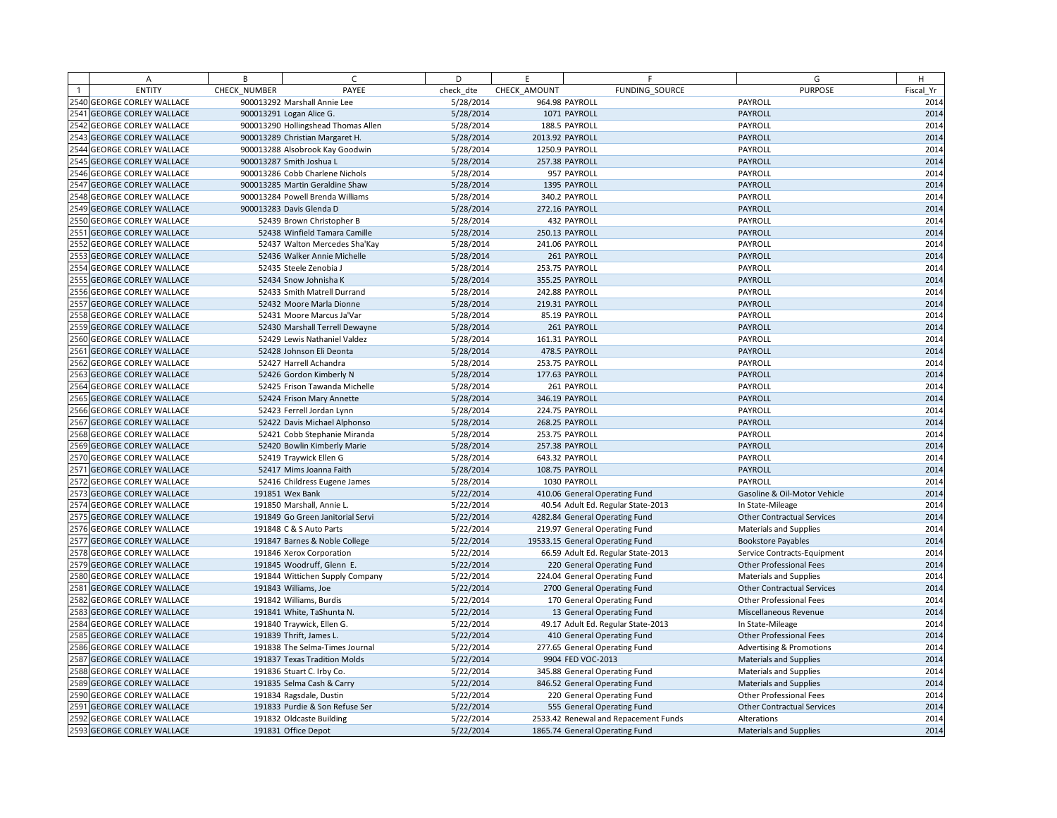|      | Α                            | B            | $\subset$                           | D         | E               | F                                    | G                                   | H         |
|------|------------------------------|--------------|-------------------------------------|-----------|-----------------|--------------------------------------|-------------------------------------|-----------|
|      | <b>ENTITY</b>                | CHECK NUMBER | PAYEE                               | check dte | CHECK AMOUNT    | FUNDING SOURCE                       | <b>PURPOSE</b>                      | Fiscal Yr |
|      | 2540 GEORGE CORLEY WALLACE   |              | 900013292 Marshall Annie Lee        | 5/28/2014 |                 | 964.98 PAYROLL                       | PAYROLL                             | 2014      |
|      | 2541 GEORGE CORLEY WALLACE   |              | 900013291 Logan Alice G.            | 5/28/2014 |                 | 1071 PAYROLL                         | PAYROLL                             | 2014      |
|      | 2542 GEORGE CORLEY WALLACE   |              | 900013290 Hollingshead Thomas Allen | 5/28/2014 |                 | 188.5 PAYROLL                        | PAYROLL                             | 2014      |
|      | 2543 GEORGE CORLEY WALLACE   |              | 900013289 Christian Margaret H.     | 5/28/2014 | 2013.92 PAYROLL |                                      | PAYROLL                             | 2014      |
|      | 2544 GEORGE CORLEY WALLACE   |              | 900013288 Alsobrook Kay Goodwin     | 5/28/2014 |                 | 1250.9 PAYROLL                       | PAYROLL                             | 2014      |
|      | 2545 GEORGE CORLEY WALLACE   |              | 900013287 Smith Joshua L            | 5/28/2014 |                 | 257.38 PAYROLL                       | PAYROLL                             | 2014      |
|      | 2546 GEORGE CORLEY WALLACE   |              | 900013286 Cobb Charlene Nichols     | 5/28/2014 |                 | 957 PAYROLL                          | PAYROLL                             | 2014      |
|      | 2547 GEORGE CORLEY WALLACE   |              | 900013285 Martin Geraldine Shaw     | 5/28/2014 |                 | 1395 PAYROLL                         | <b>PAYROLL</b>                      | 2014      |
|      | 2548 GEORGE CORLEY WALLACE   |              | 900013284 Powell Brenda Williams    | 5/28/2014 |                 | 340.2 PAYROLL                        | PAYROLL                             | 2014      |
|      | 2549 GEORGE CORLEY WALLACE   |              | 900013283 Davis Glenda D            | 5/28/2014 |                 | 272.16 PAYROLL                       | PAYROLL                             | 2014      |
|      | 2550 GEORGE CORLEY WALLACE   |              | 52439 Brown Christopher B           | 5/28/2014 |                 | 432 PAYROLL                          | PAYROLL                             | 2014      |
| 2551 | <b>GEORGE CORLEY WALLACE</b> |              | 52438 Winfield Tamara Camille       | 5/28/2014 |                 | 250.13 PAYROLL                       | PAYROLL                             | 2014      |
|      | 2552 GEORGE CORLEY WALLACE   |              | 52437 Walton Mercedes Sha'Kay       | 5/28/2014 |                 | 241.06 PAYROLL                       | PAYROLL                             | 2014      |
| 2553 | <b>GEORGE CORLEY WALLACE</b> |              | 52436 Walker Annie Michelle         | 5/28/2014 |                 | 261 PAYROLL                          | PAYROLL                             | 2014      |
|      | 2554 GEORGE CORLEY WALLACE   |              | 52435 Steele Zenobia J              | 5/28/2014 |                 | 253.75 PAYROLL                       | PAYROLL                             | 2014      |
|      | 2555 GEORGE CORLEY WALLACE   |              | 52434 Snow Johnisha K               | 5/28/2014 |                 | 355.25 PAYROLL                       | PAYROLL                             | 2014      |
|      | 2556 GEORGE CORLEY WALLACE   |              | 52433 Smith Matrell Durrand         | 5/28/2014 |                 | 242.88 PAYROLL                       | PAYROLL                             | 2014      |
| 2557 | <b>GEORGE CORLEY WALLACE</b> |              | 52432 Moore Marla Dionne            | 5/28/2014 |                 | 219.31 PAYROLL                       | PAYROLL                             | 2014      |
|      | 2558 GEORGE CORLEY WALLACE   |              | 52431 Moore Marcus Ja'Var           | 5/28/2014 |                 | 85.19 PAYROLL                        | PAYROLL                             | 2014      |
|      | 2559 GEORGE CORLEY WALLACE   |              | 52430 Marshall Terrell Dewayne      | 5/28/2014 |                 | 261 PAYROLL                          | PAYROLL                             | 2014      |
|      | 2560 GEORGE CORLEY WALLACE   |              | 52429 Lewis Nathaniel Valdez        | 5/28/2014 |                 | 161.31 PAYROLL                       | PAYROLL                             | 2014      |
| 2561 | <b>GEORGE CORLEY WALLACE</b> |              | 52428 Johnson Eli Deonta            | 5/28/2014 |                 | 478.5 PAYROLL                        | PAYROLL                             | 2014      |
|      | 2562 GEORGE CORLEY WALLACE   |              | 52427 Harrell Achandra              | 5/28/2014 |                 | 253.75 PAYROLL                       | PAYROLL                             | 2014      |
|      | 2563 GEORGE CORLEY WALLACE   |              | 52426 Gordon Kimberly N             | 5/28/2014 |                 | 177.63 PAYROLL                       | PAYROLL                             | 2014      |
|      | 2564 GEORGE CORLEY WALLACE   |              | 52425 Frison Tawanda Michelle       | 5/28/2014 |                 | 261 PAYROLL                          | PAYROLL                             | 2014      |
|      | 2565 GEORGE CORLEY WALLACE   |              | 52424 Frison Mary Annette           | 5/28/2014 |                 | 346.19 PAYROLL                       | PAYROLL                             | 2014      |
|      | 2566 GEORGE CORLEY WALLACE   |              | 52423 Ferrell Jordan Lynn           | 5/28/2014 |                 | 224.75 PAYROLL                       | PAYROLL                             | 2014      |
|      | 2567 GEORGE CORLEY WALLACE   |              | 52422 Davis Michael Alphonso        | 5/28/2014 |                 | 268.25 PAYROLL                       | PAYROLL                             | 2014      |
|      | 2568 GEORGE CORLEY WALLACE   |              | 52421 Cobb Stephanie Miranda        | 5/28/2014 |                 | 253.75 PAYROLL                       | PAYROLL                             | 2014      |
|      | 2569 GEORGE CORLEY WALLACE   |              | 52420 Bowlin Kimberly Marie         | 5/28/2014 |                 | 257.38 PAYROLL                       | PAYROLL                             | 2014      |
|      | 2570 GEORGE CORLEY WALLACE   |              | 52419 Traywick Ellen G              | 5/28/2014 |                 | 643.32 PAYROLL                       | PAYROLL                             | 2014      |
|      | 2571 GEORGE CORLEY WALLACE   |              | 52417 Mims Joanna Faith             | 5/28/2014 |                 | 108.75 PAYROLL                       | PAYROLL                             | 2014      |
|      | 2572 GEORGE CORLEY WALLACE   |              | 52416 Childress Eugene James        | 5/28/2014 |                 | 1030 PAYROLL                         | PAYROLL                             | 2014      |
|      | 2573 GEORGE CORLEY WALLACE   |              | 191851 Wex Bank                     | 5/22/2014 |                 | 410.06 General Operating Fund        | Gasoline & Oil-Motor Vehicle        | 2014      |
|      | 2574 GEORGE CORLEY WALLACE   |              | 191850 Marshall, Annie L.           | 5/22/2014 |                 | 40.54 Adult Ed. Regular State-2013   | In State-Mileage                    | 2014      |
|      | 2575 GEORGE CORLEY WALLACE   |              | 191849 Go Green Janitorial Servi    | 5/22/2014 |                 | 4282.84 General Operating Fund       | <b>Other Contractual Services</b>   | 2014      |
|      | 2576 GEORGE CORLEY WALLACE   |              | 191848 C & S Auto Parts             | 5/22/2014 |                 | 219.97 General Operating Fund        | <b>Materials and Supplies</b>       | 2014      |
|      | 2577 GEORGE CORLEY WALLACE   |              | 191847 Barnes & Noble College       | 5/22/2014 |                 | 19533.15 General Operating Fund      | <b>Bookstore Payables</b>           | 2014      |
|      | 2578 GEORGE CORLEY WALLACE   |              | 191846 Xerox Corporation            | 5/22/2014 |                 | 66.59 Adult Ed. Regular State-2013   | Service Contracts-Equipment         | 2014      |
|      | 2579 GEORGE CORLEY WALLACE   |              | 191845 Woodruff, Glenn E.           | 5/22/2014 |                 | 220 General Operating Fund           | <b>Other Professional Fees</b>      | 2014      |
|      | 2580 GEORGE CORLEY WALLACE   |              | 191844 Wittichen Supply Company     | 5/22/2014 |                 | 224.04 General Operating Fund        | <b>Materials and Supplies</b>       | 2014      |
| 2581 | <b>GEORGE CORLEY WALLACE</b> |              | 191843 Williams, Joe                | 5/22/2014 |                 | 2700 General Operating Fund          | <b>Other Contractual Services</b>   | 2014      |
|      | 2582 GEORGE CORLEY WALLACE   |              | 191842 Williams, Burdis             | 5/22/2014 |                 | 170 General Operating Fund           | <b>Other Professional Fees</b>      | 2014      |
|      | 2583 GEORGE CORLEY WALLACE   |              | 191841 White, TaShunta N.           | 5/22/2014 |                 | 13 General Operating Fund            | Miscellaneous Revenue               | 2014      |
|      | 2584 GEORGE CORLEY WALLACE   |              | 191840 Traywick, Ellen G.           | 5/22/2014 |                 | 49.17 Adult Ed. Regular State-2013   | In State-Mileage                    | 2014      |
|      | 2585 GEORGE CORLEY WALLACE   |              | 191839 Thrift, James L              | 5/22/2014 |                 | 410 General Operating Fund           | <b>Other Professional Fees</b>      | 2014      |
|      | 2586 GEORGE CORLEY WALLACE   |              | 191838 The Selma-Times Journal      | 5/22/2014 |                 | 277.65 General Operating Fund        | <b>Advertising &amp; Promotions</b> | 2014      |
|      | 2587 GEORGE CORLEY WALLACE   |              | 191837 Texas Tradition Molds        | 5/22/2014 |                 | 9904 FED VOC-2013                    | Materials and Supplies              | 2014      |
|      | 2588 GEORGE CORLEY WALLACE   |              | 191836 Stuart C. Irby Co.           | 5/22/2014 |                 | 345.88 General Operating Fund        | <b>Materials and Supplies</b>       | 2014      |
|      | 2589 GEORGE CORLEY WALLACE   |              | 191835 Selma Cash & Carry           | 5/22/2014 |                 | 846.52 General Operating Fund        | <b>Materials and Supplies</b>       | 2014      |
|      | 2590 GEORGE CORLEY WALLACE   |              | 191834 Ragsdale, Dustin             | 5/22/2014 |                 | 220 General Operating Fund           | <b>Other Professional Fees</b>      | 2014      |
|      | 2591 GEORGE CORLEY WALLACE   |              | 191833 Purdie & Son Refuse Ser      | 5/22/2014 |                 | 555 General Operating Fund           | <b>Other Contractual Services</b>   | 2014      |
|      | 2592 GEORGE CORLEY WALLACE   |              | 191832 Oldcaste Building            | 5/22/2014 |                 | 2533.42 Renewal and Repacement Funds | Alterations                         | 2014      |
|      | 2593 GEORGE CORLEY WALLACE   |              | 191831 Office Depot                 | 5/22/2014 |                 | 1865.74 General Operating Fund       | <b>Materials and Supplies</b>       | 2014      |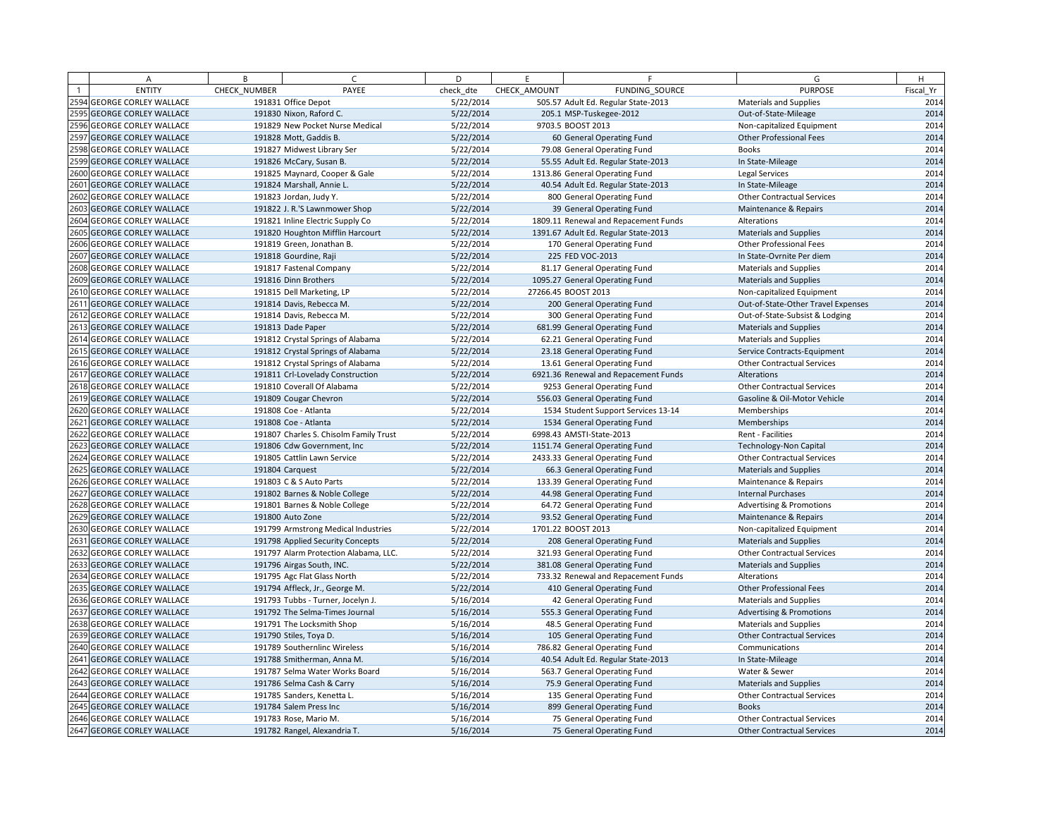| A                          | B            | $\epsilon$                             | D         | E            | F                                    | G                                   | H         |
|----------------------------|--------------|----------------------------------------|-----------|--------------|--------------------------------------|-------------------------------------|-----------|
| <b>ENTITY</b>              | CHECK NUMBER | PAYEE                                  | check dte | CHECK AMOUNT | FUNDING SOURCE                       | <b>PURPOSE</b>                      | Fiscal Yr |
| 2594 GEORGE CORLEY WALLACE |              | 191831 Office Depot                    | 5/22/2014 |              | 505.57 Adult Ed. Regular State-2013  | <b>Materials and Supplies</b>       | 2014      |
| 2595 GEORGE CORLEY WALLACE |              | 191830 Nixon, Raford C.                | 5/22/2014 |              | 205.1 MSP-Tuskegee-2012              | Out-of-State-Mileage                | 2014      |
| 2596 GEORGE CORLEY WALLACE |              | 191829 New Pocket Nurse Medical        | 5/22/2014 |              | 9703.5 BOOST 2013                    | Non-capitalized Equipment           | 2014      |
| 2597 GEORGE CORLEY WALLACE |              | 191828 Mott, Gaddis B.                 | 5/22/2014 |              | 60 General Operating Fund            | <b>Other Professional Fees</b>      | 2014      |
| 2598 GEORGE CORLEY WALLACE |              | 191827 Midwest Library Ser             | 5/22/2014 |              | 79.08 General Operating Fund         | <b>Books</b>                        | 2014      |
| 2599 GEORGE CORLEY WALLACE |              | 191826 McCary, Susan B.                | 5/22/2014 |              | 55.55 Adult Ed. Regular State-2013   | In State-Mileage                    | 2014      |
| 2600 GEORGE CORLEY WALLACE |              | 191825 Maynard, Cooper & Gale          | 5/22/2014 |              | 1313.86 General Operating Fund       | <b>Legal Services</b>               | 2014      |
| 2601 GEORGE CORLEY WALLACE |              | 191824 Marshall, Annie L               | 5/22/2014 |              | 40.54 Adult Ed. Regular State-2013   | In State-Mileage                    | 2014      |
| 2602 GEORGE CORLEY WALLACE |              | 191823 Jordan, Judy Y.                 | 5/22/2014 |              | 800 General Operating Fund           | <b>Other Contractual Services</b>   | 2014      |
| 2603 GEORGE CORLEY WALLACE |              | 191822 J. R.'S Lawnmower Shop          | 5/22/2014 |              | 39 General Operating Fund            | Maintenance & Repairs               | 2014      |
| 2604 GEORGE CORLEY WALLACE |              | 191821 Inline Electric Supply Co       | 5/22/2014 |              | 1809.11 Renewal and Repacement Funds | Alterations                         | 2014      |
| 2605 GEORGE CORLEY WALLACE |              | 191820 Houghton Mifflin Harcourt       | 5/22/2014 |              | 1391.67 Adult Ed. Regular State-2013 | <b>Materials and Supplies</b>       | 2014      |
| 2606 GEORGE CORLEY WALLACE |              | 191819 Green, Jonathan B.              | 5/22/2014 |              | 170 General Operating Fund           | <b>Other Professional Fees</b>      | 2014      |
| 2607 GEORGE CORLEY WALLACE |              | 191818 Gourdine, Raji                  | 5/22/2014 |              | 225 FED VOC-2013                     | In State-Ovrnite Per diem           | 2014      |
| 2608 GEORGE CORLEY WALLACE |              | 191817 Fastenal Company                | 5/22/2014 |              | 81.17 General Operating Fund         | <b>Materials and Supplies</b>       | 2014      |
| 2609 GEORGE CORLEY WALLACE |              | 191816 Dinn Brothers                   | 5/22/2014 |              | 1095.27 General Operating Fund       | <b>Materials and Supplies</b>       | 2014      |
| 2610 GEORGE CORLEY WALLACE |              | 191815 Dell Marketing, LP              | 5/22/2014 |              | 27266.45 BOOST 2013                  | Non-capitalized Equipment           | 2014      |
| 2611 GEORGE CORLEY WALLACE |              | 191814 Davis, Rebecca M.               | 5/22/2014 |              | 200 General Operating Fund           | Out-of-State-Other Travel Expenses  | 2014      |
| 2612 GEORGE CORLEY WALLACE |              | 191814 Davis, Rebecca M.               | 5/22/2014 |              | 300 General Operating Fund           | Out-of-State-Subsist & Lodging      | 2014      |
| 2613 GEORGE CORLEY WALLACE |              | 191813 Dade Paper                      | 5/22/2014 |              | 681.99 General Operating Fund        | <b>Materials and Supplies</b>       | 2014      |
| 2614 GEORGE CORLEY WALLACE |              | 191812 Crystal Springs of Alabama      | 5/22/2014 |              | 62.21 General Operating Fund         | <b>Materials and Supplies</b>       | 2014      |
| 2615 GEORGE CORLEY WALLACE |              | 191812 Crystal Springs of Alabama      | 5/22/2014 |              | 23.18 General Operating Fund         | Service Contracts-Equipment         | 2014      |
| 2616 GEORGE CORLEY WALLACE |              | 191812 Crystal Springs of Alabama      | 5/22/2014 |              | 13.61 General Operating Fund         | Other Contractual Services          | 2014      |
| 2617 GEORGE CORLEY WALLACE |              | 191811 Crl-Lovelady Construction       | 5/22/2014 |              | 6921.36 Renewal and Repacement Funds | Alterations                         | 2014      |
| 2618 GEORGE CORLEY WALLACE |              | 191810 Coverall Of Alabama             | 5/22/2014 |              | 9253 General Operating Fund          | <b>Other Contractual Services</b>   | 2014      |
| 2619 GEORGE CORLEY WALLACE |              | 191809 Cougar Chevron                  | 5/22/2014 |              | 556.03 General Operating Fund        | Gasoline & Oil-Motor Vehicle        | 2014      |
| 2620 GEORGE CORLEY WALLACE |              | 191808 Coe - Atlanta                   | 5/22/2014 |              | 1534 Student Support Services 13-14  | Memberships                         | 2014      |
| 2621 GEORGE CORLEY WALLACE |              | 191808 Coe - Atlanta                   | 5/22/2014 |              | 1534 General Operating Fund          | Memberships                         | 2014      |
| 2622 GEORGE CORLEY WALLACE |              | 191807 Charles S. Chisolm Family Trust | 5/22/2014 |              | 6998.43 AMSTI-State-2013             | Rent - Facilities                   | 2014      |
| 2623 GEORGE CORLEY WALLACE |              | 191806 Cdw Government, Inc.            | 5/22/2014 |              | 1151.74 General Operating Fund       | <b>Technology-Non Capital</b>       | 2014      |
| 2624 GEORGE CORLEY WALLACE |              | 191805 Cattlin Lawn Service            | 5/22/2014 |              | 2433.33 General Operating Fund       | <b>Other Contractual Services</b>   | 2014      |
| 2625 GEORGE CORLEY WALLACE |              | 191804 Carquest                        | 5/22/2014 |              | 66.3 General Operating Fund          | <b>Materials and Supplies</b>       | 2014      |
| 2626 GEORGE CORLEY WALLACE |              | 191803 C & S Auto Parts                | 5/22/2014 |              | 133.39 General Operating Fund        | Maintenance & Repairs               | 2014      |
| 2627 GEORGE CORLEY WALLACE |              | 191802 Barnes & Noble College          | 5/22/2014 |              | 44.98 General Operating Fund         | <b>Internal Purchases</b>           | 2014      |
| 2628 GEORGE CORLEY WALLACE |              | 191801 Barnes & Noble College          | 5/22/2014 |              | 64.72 General Operating Fund         | <b>Advertising &amp; Promotions</b> | 2014      |
| 2629 GEORGE CORLEY WALLACE |              | 191800 Auto Zone                       | 5/22/2014 |              | 93.52 General Operating Fund         | Maintenance & Repairs               | 2014      |
| 2630 GEORGE CORLEY WALLACE |              | 191799 Armstrong Medical Industries    | 5/22/2014 |              | 1701.22 BOOST 2013                   | Non-capitalized Equipment           | 2014      |
| 2631 GEORGE CORLEY WALLACE |              | 191798 Applied Security Concepts       | 5/22/2014 |              | 208 General Operating Fund           | <b>Materials and Supplies</b>       | 2014      |
| 2632 GEORGE CORLEY WALLACE |              | 191797 Alarm Protection Alabama, LLC.  | 5/22/2014 |              | 321.93 General Operating Fund        | <b>Other Contractual Services</b>   | 2014      |
| 2633 GEORGE CORLEY WALLACE |              | 191796 Airgas South, INC.              | 5/22/2014 |              | 381.08 General Operating Fund        | <b>Materials and Supplies</b>       | 2014      |
| 2634 GEORGE CORLEY WALLACE |              | 191795 Agc Flat Glass North            | 5/22/2014 |              | 733.32 Renewal and Repacement Funds  | Alterations                         | 2014      |
| 2635 GEORGE CORLEY WALLACE |              | 191794 Affleck, Jr., George M.         | 5/22/2014 |              | 410 General Operating Fund           | Other Professional Fees             | 2014      |
| 2636 GEORGE CORLEY WALLACE |              | 191793 Tubbs - Turner, Jocelyn J.      | 5/16/2014 |              | 42 General Operating Fund            | <b>Materials and Supplies</b>       | 2014      |
| 2637 GEORGE CORLEY WALLACE |              | 191792 The Selma-Times Journal         | 5/16/2014 |              | 555.3 General Operating Fund         | <b>Advertising &amp; Promotions</b> | 2014      |
| 2638 GEORGE CORLEY WALLACE |              | 191791 The Locksmith Shop              | 5/16/2014 |              | 48.5 General Operating Fund          | <b>Materials and Supplies</b>       | 2014      |
| 2639 GEORGE CORLEY WALLACE |              | 191790 Stiles, Toya D.                 | 5/16/2014 |              | 105 General Operating Fund           | <b>Other Contractual Services</b>   | 2014      |
| 2640 GEORGE CORLEY WALLACE |              | 191789 Southernlinc Wireless           | 5/16/2014 |              | 786.82 General Operating Fund        | Communications                      | 2014      |
| 2641 GEORGE CORLEY WALLACE |              | 191788 Smitherman, Anna M.             | 5/16/2014 |              | 40.54 Adult Ed. Regular State-2013   | In State-Mileage                    | 2014      |
| 2642 GEORGE CORLEY WALLACE |              | 191787 Selma Water Works Board         | 5/16/2014 |              | 563.7 General Operating Fund         | Water & Sewer                       | 2014      |
| 2643 GEORGE CORLEY WALLACE |              | 191786 Selma Cash & Carry              | 5/16/2014 |              | 75.9 General Operating Fund          | <b>Materials and Supplies</b>       | 2014      |
| 2644 GEORGE CORLEY WALLACE |              | 191785 Sanders, Kenetta L.             | 5/16/2014 |              | 135 General Operating Fund           | <b>Other Contractual Services</b>   | 2014      |
| 2645 GEORGE CORLEY WALLACE |              | 191784 Salem Press Inc                 | 5/16/2014 |              | 899 General Operating Fund           | <b>Books</b>                        | 2014      |
| 2646 GEORGE CORLEY WALLACE |              | 191783 Rose, Mario M.                  | 5/16/2014 |              | 75 General Operating Fund            | <b>Other Contractual Services</b>   | 2014      |
| 2647 GEORGE CORLEY WALLACE |              | 191782 Rangel, Alexandria T.           | 5/16/2014 |              | 75 General Operating Fund            | <b>Other Contractual Services</b>   | 2014      |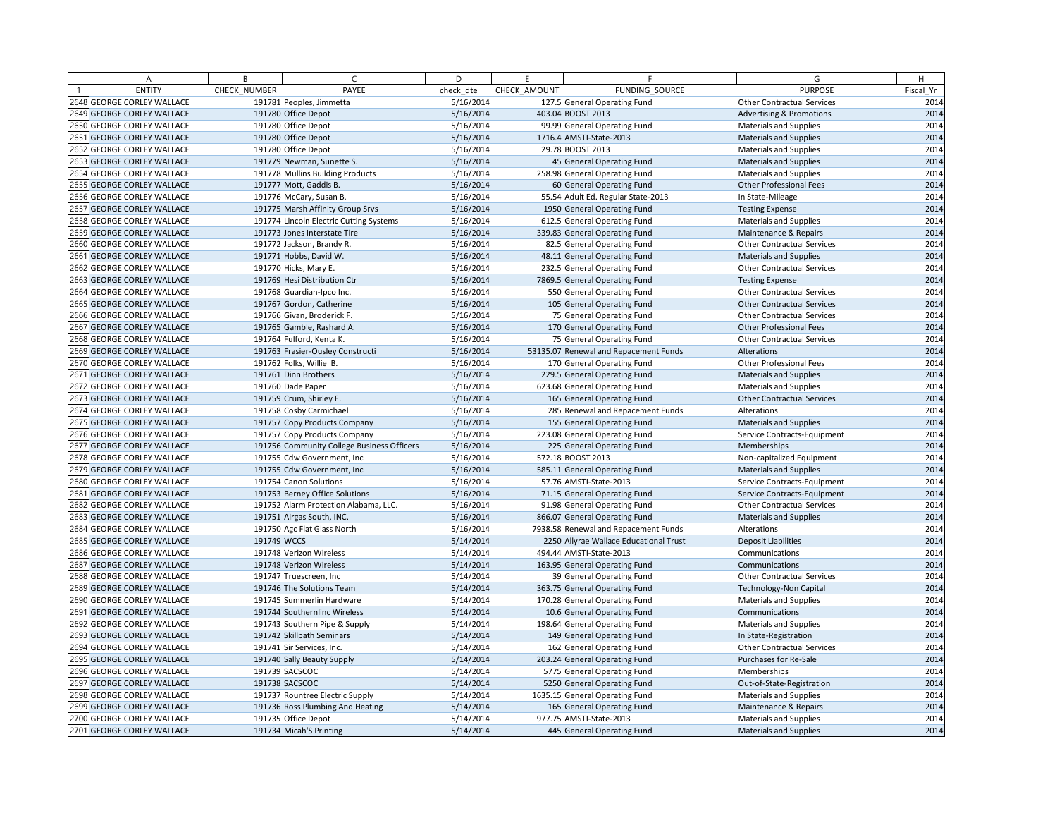| A                          | B            | $\sqrt{ }$                                 | D         | E            | F.                                     | G                                   | H         |
|----------------------------|--------------|--------------------------------------------|-----------|--------------|----------------------------------------|-------------------------------------|-----------|
| <b>ENTITY</b>              | CHECK NUMBER | PAYEE                                      | check dte | CHECK AMOUNT | <b>FUNDING SOURCE</b>                  | <b>PURPOSE</b>                      | Fiscal Yr |
| 2648 GEORGE CORLEY WALLACE |              | 191781 Peoples, Jimmetta                   | 5/16/2014 |              | 127.5 General Operating Fund           | <b>Other Contractual Services</b>   | 2014      |
| 2649 GEORGE CORLEY WALLACE |              | 191780 Office Depot                        | 5/16/2014 |              | 403.04 BOOST 2013                      | <b>Advertising &amp; Promotions</b> | 2014      |
| 2650 GEORGE CORLEY WALLACE |              | 191780 Office Depot                        | 5/16/2014 |              | 99.99 General Operating Fund           | <b>Materials and Supplies</b>       | 2014      |
| 2651 GEORGE CORLEY WALLACE |              | 191780 Office Depot                        | 5/16/2014 |              | 1716.4 AMSTI-State-2013                | <b>Materials and Supplies</b>       | 2014      |
| 2652 GEORGE CORLEY WALLACE |              | 191780 Office Depot                        | 5/16/2014 |              | 29.78 BOOST 2013                       | <b>Materials and Supplies</b>       | 2014      |
| 2653 GEORGE CORLEY WALLACE |              | 191779 Newman, Sunette S.                  | 5/16/2014 |              | 45 General Operating Fund              | Materials and Supplies              | 2014      |
| 2654 GEORGE CORLEY WALLACE |              | 191778 Mullins Building Products           | 5/16/2014 |              | 258.98 General Operating Fund          | <b>Materials and Supplies</b>       | 2014      |
| 2655 GEORGE CORLEY WALLACE |              | 191777 Mott, Gaddis B.                     | 5/16/2014 |              | 60 General Operating Fund              | Other Professional Fees             | 2014      |
| 2656 GEORGE CORLEY WALLACE |              | 191776 McCary, Susan B.                    | 5/16/2014 |              | 55.54 Adult Ed. Regular State-2013     | In State-Mileage                    | 2014      |
| 2657 GEORGE CORLEY WALLACE |              | 191775 Marsh Affinity Group Srvs           | 5/16/2014 |              | 1950 General Operating Fund            | <b>Testing Expense</b>              | 2014      |
| 2658 GEORGE CORLEY WALLACE |              | 191774 Lincoln Electric Cutting Systems    | 5/16/2014 |              | 612.5 General Operating Fund           | <b>Materials and Supplies</b>       | 2014      |
| 2659 GEORGE CORLEY WALLACE |              | 191773 Jones Interstate Tire               | 5/16/2014 |              | 339.83 General Operating Fund          | Maintenance & Repairs               | 2014      |
| 2660 GEORGE CORLEY WALLACE |              | 191772 Jackson, Brandy R.                  | 5/16/2014 |              | 82.5 General Operating Fund            | <b>Other Contractual Services</b>   | 2014      |
| 2661 GEORGE CORLEY WALLACE |              | 191771 Hobbs, David W.                     | 5/16/2014 |              | 48.11 General Operating Fund           | <b>Materials and Supplies</b>       | 2014      |
| 2662 GEORGE CORLEY WALLACE |              | 191770 Hicks, Mary E.                      | 5/16/2014 |              | 232.5 General Operating Fund           | <b>Other Contractual Services</b>   | 2014      |
| 2663 GEORGE CORLEY WALLACE |              | 191769 Hesi Distribution Ctr               | 5/16/2014 |              | 7869.5 General Operating Fund          | <b>Testing Expense</b>              | 2014      |
| 2664 GEORGE CORLEY WALLACE |              | 191768 Guardian-Ipco Inc.                  | 5/16/2014 |              | 550 General Operating Fund             | <b>Other Contractual Services</b>   | 2014      |
| 2665 GEORGE CORLEY WALLACE |              | 191767 Gordon, Catherine                   | 5/16/2014 |              | 105 General Operating Fund             | <b>Other Contractual Services</b>   | 2014      |
| 2666 GEORGE CORLEY WALLACE |              | 191766 Givan, Broderick F.                 | 5/16/2014 |              | 75 General Operating Fund              | <b>Other Contractual Services</b>   | 2014      |
| 2667 GEORGE CORLEY WALLACE |              | 191765 Gamble, Rashard A.                  | 5/16/2014 |              | 170 General Operating Fund             | <b>Other Professional Fees</b>      | 2014      |
| 2668 GEORGE CORLEY WALLACE |              | 191764 Fulford, Kenta K.                   | 5/16/2014 |              | 75 General Operating Fund              | <b>Other Contractual Services</b>   | 2014      |
| 2669 GEORGE CORLEY WALLACE |              | 191763 Frasier-Ousley Constructi           | 5/16/2014 |              | 53135.07 Renewal and Repacement Funds  | Alterations                         | 2014      |
| 2670 GEORGE CORLEY WALLACE |              | 191762 Folks, Willie B.                    | 5/16/2014 |              | 170 General Operating Fund             | Other Professional Fees             | 2014      |
| 2671 GEORGE CORLEY WALLACE |              | 191761 Dinn Brothers                       | 5/16/2014 |              | 229.5 General Operating Fund           | <b>Materials and Supplies</b>       | 2014      |
| 2672 GEORGE CORLEY WALLACE |              | 191760 Dade Paper                          | 5/16/2014 |              | 623.68 General Operating Fund          | <b>Materials and Supplies</b>       | 2014      |
| 2673 GEORGE CORLEY WALLACE |              | 191759 Crum, Shirley E.                    | 5/16/2014 |              | 165 General Operating Fund             | <b>Other Contractual Services</b>   | 2014      |
| 2674 GEORGE CORLEY WALLACE |              | 191758 Cosby Carmichael                    | 5/16/2014 |              | 285 Renewal and Repacement Funds       | Alterations                         | 2014      |
| 2675 GEORGE CORLEY WALLACE |              | 191757 Copy Products Company               | 5/16/2014 |              | 155 General Operating Fund             | Materials and Supplies              | 2014      |
| 2676 GEORGE CORLEY WALLACE |              | 191757 Copy Products Company               | 5/16/2014 |              | 223.08 General Operating Fund          | Service Contracts-Equipment         | 2014      |
| 2677 GEORGE CORLEY WALLACE |              | 191756 Community College Business Officers | 5/16/2014 |              | 225 General Operating Fund             | Memberships                         | 2014      |
| 2678 GEORGE CORLEY WALLACE |              | 191755 Cdw Government, Inc.                | 5/16/2014 |              | 572.18 BOOST 2013                      | Non-capitalized Equipment           | 2014      |
| 2679 GEORGE CORLEY WALLACE |              | 191755 Cdw Government, Inc                 | 5/16/2014 |              | 585.11 General Operating Fund          | <b>Materials and Supplies</b>       | 2014      |
| 2680 GEORGE CORLEY WALLACE |              | 191754 Canon Solutions                     | 5/16/2014 |              | 57.76 AMSTI-State-2013                 | Service Contracts-Equipment         | 2014      |
| 2681 GEORGE CORLEY WALLACE |              | 191753 Berney Office Solutions             | 5/16/2014 |              | 71.15 General Operating Fund           | Service Contracts-Equipment         | 2014      |
| 2682 GEORGE CORLEY WALLACE |              | 191752 Alarm Protection Alabama, LLC.      | 5/16/2014 |              | 91.98 General Operating Fund           | <b>Other Contractual Services</b>   | 2014      |
| 2683 GEORGE CORLEY WALLACE |              | 191751 Airgas South, INC.                  | 5/16/2014 |              | 866.07 General Operating Fund          | <b>Materials and Supplies</b>       | 2014      |
| 2684 GEORGE CORLEY WALLACE |              | 191750 Agc Flat Glass North                | 5/16/2014 |              | 7938.58 Renewal and Repacement Funds   | Alterations                         | 2014      |
| 2685 GEORGE CORLEY WALLACE | 191749 WCCS  |                                            | 5/14/2014 |              | 2250 Allyrae Wallace Educational Trust | <b>Deposit Liabilities</b>          | 2014      |
| 2686 GEORGE CORLEY WALLACE |              | 191748 Verizon Wireless                    | 5/14/2014 |              | 494.44 AMSTI-State-2013                | Communications                      | 2014      |
| 2687 GEORGE CORLEY WALLACE |              | 191748 Verizon Wireless                    | 5/14/2014 |              | 163.95 General Operating Fund          | Communications                      | 2014      |
| 2688 GEORGE CORLEY WALLACE |              | 191747 Truescreen, Inc                     | 5/14/2014 |              | 39 General Operating Fund              | <b>Other Contractual Services</b>   | 2014      |
| 2689 GEORGE CORLEY WALLACE |              | 191746 The Solutions Team                  | 5/14/2014 |              | 363.75 General Operating Fund          | <b>Technology-Non Capital</b>       | 2014      |
| 2690 GEORGE CORLEY WALLACE |              | 191745 Summerlin Hardware                  | 5/14/2014 |              | 170.28 General Operating Fund          | <b>Materials and Supplies</b>       | 2014      |
| 2691 GEORGE CORLEY WALLACE |              | 191744 Southernlinc Wireless               | 5/14/2014 |              | 10.6 General Operating Fund            | Communications                      | 2014      |
| 2692 GEORGE CORLEY WALLACE |              | 191743 Southern Pipe & Supply              | 5/14/2014 |              | 198.64 General Operating Fund          | <b>Materials and Supplies</b>       | 2014      |
| 2693 GEORGE CORLEY WALLACE |              | 191742 Skillpath Seminars                  | 5/14/2014 |              | 149 General Operating Fund             | In State-Registration               | 2014      |
| 2694 GEORGE CORLEY WALLACE |              | 191741 Sir Services, Inc.                  | 5/14/2014 |              | 162 General Operating Fund             | <b>Other Contractual Services</b>   | 2014      |
| 2695 GEORGE CORLEY WALLACE |              | 191740 Sally Beauty Supply                 | 5/14/2014 |              | 203.24 General Operating Fund          | Purchases for Re-Sale               | 2014      |
| 2696 GEORGE CORLEY WALLACE |              | 191739 SACSCOC                             | 5/14/2014 |              | 5775 General Operating Fund            | Memberships                         | 2014      |
| 2697 GEORGE CORLEY WALLACE |              | 191738 SACSCOC                             | 5/14/2014 |              | 5250 General Operating Fund            | Out-of-State-Registration           | 2014      |
| 2698 GEORGE CORLEY WALLACE |              | 191737 Rountree Electric Supply            | 5/14/2014 |              | 1635.15 General Operating Fund         | Materials and Supplies              | 2014      |
| 2699 GEORGE CORLEY WALLACE |              | 191736 Ross Plumbing And Heating           | 5/14/2014 |              | 165 General Operating Fund             | Maintenance & Repairs               | 2014      |
| 2700 GEORGE CORLEY WALLACE |              | 191735 Office Depot                        | 5/14/2014 |              | 977.75 AMSTI-State-2013                | <b>Materials and Supplies</b>       | 2014      |
| 2701 GEORGE CORLEY WALLACE |              | 191734 Micah'S Printing                    | 5/14/2014 |              | 445 General Operating Fund             | <b>Materials and Supplies</b>       | 2014      |
|                            |              |                                            |           |              |                                        |                                     |           |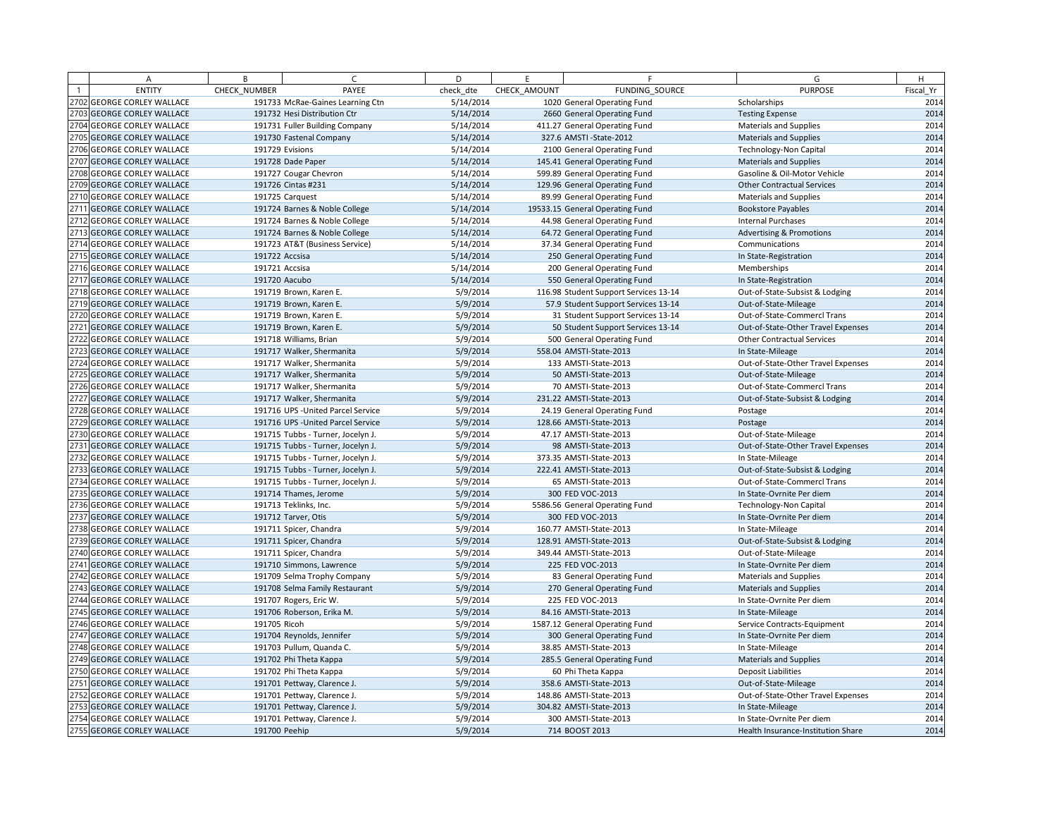| A                          | B             | $\sqrt{2}$                         | D         | E            | F.                                    | G                                   | H         |
|----------------------------|---------------|------------------------------------|-----------|--------------|---------------------------------------|-------------------------------------|-----------|
| <b>ENTITY</b>              | CHECK NUMBER  | PAYEE                              | check dte | CHECK AMOUNT | FUNDING SOURCE                        | <b>PURPOSE</b>                      | Fiscal Yr |
| 2702 GEORGE CORLEY WALLACE |               | 191733 McRae-Gaines Learning Ctn   | 5/14/2014 |              | 1020 General Operating Fund           | Scholarships                        | 2014      |
| 2703 GEORGE CORLEY WALLACE |               | 191732 Hesi Distribution Ctr       | 5/14/2014 |              | 2660 General Operating Fund           | <b>Testing Expense</b>              | 2014      |
| 2704 GEORGE CORLEY WALLACE |               | 191731 Fuller Building Company     | 5/14/2014 |              | 411.27 General Operating Fund         | Materials and Supplies              | 2014      |
| 2705 GEORGE CORLEY WALLACE |               | 191730 Fastenal Company            | 5/14/2014 |              | 327.6 AMSTI - State-2012              | <b>Materials and Supplies</b>       | 2014      |
| 2706 GEORGE CORLEY WALLACE |               | 191729 Evisions                    | 5/14/2014 |              | 2100 General Operating Fund           | Technology-Non Capital              | 2014      |
| 2707 GEORGE CORLEY WALLACE |               | 191728 Dade Paper                  | 5/14/2014 |              | 145.41 General Operating Fund         | <b>Materials and Supplies</b>       | 2014      |
| 2708 GEORGE CORLEY WALLACE |               | 191727 Cougar Chevron              | 5/14/2014 |              | 599.89 General Operating Fund         | Gasoline & Oil-Motor Vehicle        | 2014      |
| 2709 GEORGE CORLEY WALLACE |               | 191726 Cintas #231                 | 5/14/2014 |              | 129.96 General Operating Fund         | <b>Other Contractual Services</b>   | 2014      |
| 2710 GEORGE CORLEY WALLACE |               | 191725 Carquest                    | 5/14/2014 |              | 89.99 General Operating Fund          | <b>Materials and Supplies</b>       | 2014      |
| 2711 GEORGE CORLEY WALLACE |               | 191724 Barnes & Noble College      | 5/14/2014 |              | 19533.15 General Operating Fund       | <b>Bookstore Payables</b>           | 2014      |
| 2712 GEORGE CORLEY WALLACE |               | 191724 Barnes & Noble College      | 5/14/2014 |              | 44.98 General Operating Fund          | <b>Internal Purchases</b>           | 2014      |
| 2713 GEORGE CORLEY WALLACE |               | 191724 Barnes & Noble College      | 5/14/2014 |              | 64.72 General Operating Fund          | <b>Advertising &amp; Promotions</b> | 2014      |
| 2714 GEORGE CORLEY WALLACE |               | 191723 AT&T (Business Service)     | 5/14/2014 |              | 37.34 General Operating Fund          | Communications                      | 2014      |
| 2715 GEORGE CORLEY WALLACE |               | 191722 Accsisa                     | 5/14/2014 |              | 250 General Operating Fund            | In State-Registration               | 2014      |
| 2716 GEORGE CORLEY WALLACE |               | 191721 Accsisa                     | 5/14/2014 |              | 200 General Operating Fund            | Memberships                         | 2014      |
| 2717 GEORGE CORLEY WALLACE |               | 191720 Aacubo                      | 5/14/2014 |              | 550 General Operating Fund            | In State-Registration               | 2014      |
| 2718 GEORGE CORLEY WALLACE |               | 191719 Brown, Karen E.             | 5/9/2014  |              | 116.98 Student Support Services 13-14 | Out-of-State-Subsist & Lodging      | 2014      |
| 2719 GEORGE CORLEY WALLACE |               | 191719 Brown, Karen E.             | 5/9/2014  |              | 57.9 Student Support Services 13-14   | Out-of-State-Mileage                | 2014      |
| 2720 GEORGE CORLEY WALLACE |               | 191719 Brown, Karen E.             | 5/9/2014  |              | 31 Student Support Services 13-14     | Out-of-State-Commercl Trans         | 2014      |
| 2721 GEORGE CORLEY WALLACE |               | 191719 Brown, Karen E.             | 5/9/2014  |              | 50 Student Support Services 13-14     | Out-of-State-Other Travel Expenses  | 2014      |
| 2722 GEORGE CORLEY WALLACE |               | 191718 Williams, Brian             | 5/9/2014  |              | 500 General Operating Fund            | <b>Other Contractual Services</b>   | 2014      |
| 2723 GEORGE CORLEY WALLACE |               | 191717 Walker, Shermanita          | 5/9/2014  |              | 558.04 AMSTI-State-2013               | In State-Mileage                    | 2014      |
| 2724 GEORGE CORLEY WALLACE |               | 191717 Walker, Shermanita          | 5/9/2014  |              | 133 AMSTI-State-2013                  | Out-of-State-Other Travel Expenses  | 2014      |
| 2725 GEORGE CORLEY WALLACE |               | 191717 Walker, Shermanita          | 5/9/2014  |              | 50 AMSTI-State-2013                   | Out-of-State-Mileage                | 2014      |
| 2726 GEORGE CORLEY WALLACE |               | 191717 Walker, Shermanita          | 5/9/2014  |              | 70 AMSTI-State-2013                   | Out-of-State-Commercl Trans         | 2014      |
| 2727 GEORGE CORLEY WALLACE |               | 191717 Walker, Shermanita          | 5/9/2014  |              | 231.22 AMSTI-State-2013               | Out-of-State-Subsist & Lodging      | 2014      |
| 2728 GEORGE CORLEY WALLACE |               | 191716 UPS - United Parcel Service | 5/9/2014  |              | 24.19 General Operating Fund          | Postage                             | 2014      |
| 2729 GEORGE CORLEY WALLACE |               | 191716 UPS - United Parcel Service | 5/9/2014  |              | 128.66 AMSTI-State-2013               | Postage                             | 2014      |
| 2730 GEORGE CORLEY WALLACE |               | 191715 Tubbs - Turner, Jocelyn J.  | 5/9/2014  |              | 47.17 AMSTI-State-2013                | Out-of-State-Mileage                | 2014      |
| 2731 GEORGE CORLEY WALLACE |               | 191715 Tubbs - Turner, Jocelyn J.  | 5/9/2014  |              | 98 AMSTI-State-2013                   | Out-of-State-Other Travel Expenses  | 2014      |
| 2732 GEORGE CORLEY WALLACE |               | 191715 Tubbs - Turner, Jocelyn J.  | 5/9/2014  |              | 373.35 AMSTI-State-2013               | In State-Mileage                    | 2014      |
| 2733 GEORGE CORLEY WALLACE |               | 191715 Tubbs - Turner, Jocelyn J.  | 5/9/2014  |              | 222.41 AMSTI-State-2013               | Out-of-State-Subsist & Lodging      | 2014      |
| 2734 GEORGE CORLEY WALLACE |               | 191715 Tubbs - Turner, Jocelyn J.  | 5/9/2014  |              | 65 AMSTI-State-2013                   | Out-of-State-Commercl Trans         | 2014      |
| 2735 GEORGE CORLEY WALLACE |               | 191714 Thames, Jerome              | 5/9/2014  |              | 300 FED VOC-2013                      | In State-Ovrnite Per diem           | 2014      |
| 2736 GEORGE CORLEY WALLACE |               | 191713 Teklinks, Inc.              | 5/9/2014  |              | 5586.56 General Operating Fund        | Technology-Non Capital              | 2014      |
| 2737 GEORGE CORLEY WALLACE |               | 191712 Tarver, Otis                | 5/9/2014  |              | 300 FED VOC-2013                      | In State-Ovrnite Per diem           | 2014      |
| 2738 GEORGE CORLEY WALLACE |               | 191711 Spicer, Chandra             | 5/9/2014  |              | 160.77 AMSTI-State-2013               | In State-Mileage                    | 2014      |
| 2739 GEORGE CORLEY WALLACE |               | 191711 Spicer, Chandra             | 5/9/2014  |              | 128.91 AMSTI-State-2013               | Out-of-State-Subsist & Lodging      | 2014      |
| 2740 GEORGE CORLEY WALLACE |               | 191711 Spicer, Chandra             | 5/9/2014  |              | 349.44 AMSTI-State-2013               | Out-of-State-Mileage                | 2014      |
| 2741 GEORGE CORLEY WALLACE |               | 191710 Simmons, Lawrence           | 5/9/2014  |              | 225 FED VOC-2013                      | In State-Ovrnite Per diem           | 2014      |
| 2742 GEORGE CORLEY WALLACE |               | 191709 Selma Trophy Company        | 5/9/2014  |              | 83 General Operating Fund             | <b>Materials and Supplies</b>       | 2014      |
| 2743 GEORGE CORLEY WALLACE |               | 191708 Selma Family Restaurant     | 5/9/2014  |              | 270 General Operating Fund            | <b>Materials and Supplies</b>       | 2014      |
| 2744 GEORGE CORLEY WALLACE |               | 191707 Rogers, Eric W.             | 5/9/2014  |              | 225 FED VOC-2013                      | In State-Ovrnite Per diem           | 2014      |
| 2745 GEORGE CORLEY WALLACE |               | 191706 Roberson, Erika M.          | 5/9/2014  |              | 84.16 AMSTI-State-2013                | In State-Mileage                    | 2014      |
| 2746 GEORGE CORLEY WALLACE | 191705 Ricoh  |                                    | 5/9/2014  |              | 1587.12 General Operating Fund        | Service Contracts-Equipment         | 2014      |
| 2747 GEORGE CORLEY WALLACE |               | 191704 Reynolds, Jennifer          | 5/9/2014  |              | 300 General Operating Fund            | In State-Ovrnite Per diem           | 2014      |
| 2748 GEORGE CORLEY WALLACE |               | 191703 Pullum, Quanda C.           | 5/9/2014  |              | 38.85 AMSTI-State-2013                | In State-Mileage                    | 2014      |
| 2749 GEORGE CORLEY WALLACE |               | 191702 Phi Theta Kappa             | 5/9/2014  |              | 285.5 General Operating Fund          | <b>Materials and Supplies</b>       | 2014      |
| 2750 GEORGE CORLEY WALLACE |               | 191702 Phi Theta Kappa             | 5/9/2014  |              | 60 Phi Theta Kappa                    | <b>Deposit Liabilities</b>          | 2014      |
| 2751 GEORGE CORLEY WALLACE |               | 191701 Pettway, Clarence J.        | 5/9/2014  |              | 358.6 AMSTI-State-2013                | Out-of-State-Mileage                | 2014      |
| 2752 GEORGE CORLEY WALLACE |               | 191701 Pettway, Clarence J.        | 5/9/2014  |              | 148.86 AMSTI-State-2013               | Out-of-State-Other Travel Expenses  | 2014      |
| 2753 GEORGE CORLEY WALLACE |               | 191701 Pettway, Clarence J.        | 5/9/2014  |              | 304.82 AMSTI-State-2013               | In State-Mileage                    | 2014      |
| 2754 GEORGE CORLEY WALLACE |               | 191701 Pettway, Clarence J.        | 5/9/2014  |              | 300 AMSTI-State-2013                  | In State-Ovrnite Per diem           | 2014      |
| 2755 GEORGE CORLEY WALLACE | 191700 Peehip |                                    | 5/9/2014  |              | 714 BOOST 2013                        | Health Insurance-Institution Share  | 2014      |
|                            |               |                                    |           |              |                                       |                                     |           |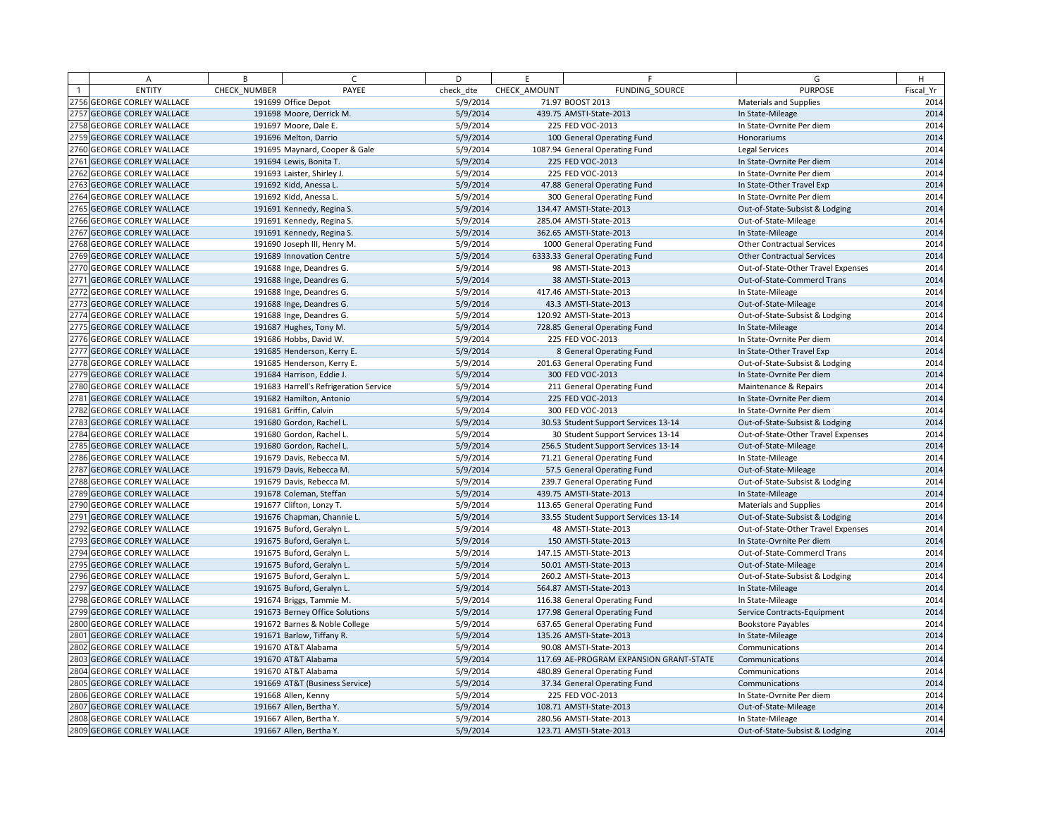| A                          | B            | $\epsilon$                             | D         | E            | F.                                      | G                                  | H         |
|----------------------------|--------------|----------------------------------------|-----------|--------------|-----------------------------------------|------------------------------------|-----------|
| <b>ENTITY</b>              | CHECK NUMBER | PAYEE                                  | check dte | CHECK AMOUNT | FUNDING SOURCE                          | <b>PURPOSE</b>                     | Fiscal Yr |
| 2756 GEORGE CORLEY WALLACE |              | 191699 Office Depot                    | 5/9/2014  |              | 71.97 BOOST 2013                        | <b>Materials and Supplies</b>      | 2014      |
| 2757 GEORGE CORLEY WALLACE |              | 191698 Moore, Derrick M.               | 5/9/2014  |              | 439.75 AMSTI-State-2013                 | In State-Mileage                   | 2014      |
| 2758 GEORGE CORLEY WALLACE |              | 191697 Moore, Dale E.                  | 5/9/2014  |              | 225 FED VOC-2013                        | In State-Ovrnite Per diem          | 2014      |
| 2759 GEORGE CORLEY WALLACE |              | 191696 Melton, Darrio                  | 5/9/2014  |              | 100 General Operating Fund              | Honorariums                        | 2014      |
| 2760 GEORGE CORLEY WALLACE |              | 191695 Maynard, Cooper & Gale          | 5/9/2014  |              | 1087.94 General Operating Fund          | Legal Services                     | 2014      |
| 2761 GEORGE CORLEY WALLACE |              | 191694 Lewis, Bonita T.                | 5/9/2014  |              | 225 FED VOC-2013                        | In State-Ovrnite Per diem          | 2014      |
| 2762 GEORGE CORLEY WALLACE |              | 191693 Laister, Shirley J.             | 5/9/2014  |              | 225 FED VOC-2013                        | In State-Ovrnite Per diem          | 2014      |
| 2763 GEORGE CORLEY WALLACE |              | 191692 Kidd, Anessa L.                 | 5/9/2014  |              | 47.88 General Operating Fund            | In State-Other Travel Exp          | 2014      |
| 2764 GEORGE CORLEY WALLACE |              | 191692 Kidd, Anessa L.                 | 5/9/2014  |              | 300 General Operating Fund              | In State-Ovrnite Per diem          | 2014      |
| 2765 GEORGE CORLEY WALLACE |              | 191691 Kennedy, Regina S.              | 5/9/2014  |              | 134.47 AMSTI-State-2013                 | Out-of-State-Subsist & Lodging     | 2014      |
| 2766 GEORGE CORLEY WALLACE |              | 191691 Kennedy, Regina S.              | 5/9/2014  |              | 285.04 AMSTI-State-2013                 | Out-of-State-Mileage               | 2014      |
| 2767 GEORGE CORLEY WALLACE |              | 191691 Kennedy, Regina S.              | 5/9/2014  |              | 362.65 AMSTI-State-2013                 | In State-Mileage                   | 2014      |
| 2768 GEORGE CORLEY WALLACE |              | 191690 Joseph III, Henry M.            | 5/9/2014  |              | 1000 General Operating Fund             | <b>Other Contractual Services</b>  | 2014      |
| 2769 GEORGE CORLEY WALLACE |              | 191689 Innovation Centre               | 5/9/2014  |              | 6333.33 General Operating Fund          | <b>Other Contractual Services</b>  | 2014      |
| 2770 GEORGE CORLEY WALLACE |              | 191688 Inge, Deandres G.               | 5/9/2014  |              | 98 AMSTI-State-2013                     | Out-of-State-Other Travel Expenses | 2014      |
| 2771 GEORGE CORLEY WALLACE |              | 191688 Inge, Deandres G.               | 5/9/2014  |              | 38 AMSTI-State-2013                     | Out-of-State-Commercl Trans        | 2014      |
| 2772 GEORGE CORLEY WALLACE |              | 191688 Inge, Deandres G.               | 5/9/2014  |              | 417.46 AMSTI-State-2013                 | In State-Mileage                   | 2014      |
| 2773 GEORGE CORLEY WALLACE |              | 191688 Inge, Deandres G.               | 5/9/2014  |              | 43.3 AMSTI-State-2013                   | Out-of-State-Mileage               | 2014      |
| 2774 GEORGE CORLEY WALLACE |              | 191688 Inge, Deandres G.               | 5/9/2014  |              | 120.92 AMSTI-State-2013                 | Out-of-State-Subsist & Lodging     | 2014      |
| 2775 GEORGE CORLEY WALLACE |              | 191687 Hughes, Tony M.                 | 5/9/2014  |              | 728.85 General Operating Fund           | In State-Mileage                   | 2014      |
| 2776 GEORGE CORLEY WALLACE |              | 191686 Hobbs, David W.                 | 5/9/2014  |              | 225 FED VOC-2013                        | In State-Ovrnite Per diem          | 2014      |
| 2777 GEORGE CORLEY WALLACE |              | 191685 Henderson, Kerry E.             | 5/9/2014  |              | 8 General Operating Fund                | In State-Other Travel Exp          | 2014      |
| 2778 GEORGE CORLEY WALLACE |              | 191685 Henderson, Kerry E.             | 5/9/2014  |              | 201.63 General Operating Fund           | Out-of-State-Subsist & Lodging     | 2014      |
| 2779 GEORGE CORLEY WALLACE |              | 191684 Harrison, Eddie J.              | 5/9/2014  |              | 300 FED VOC-2013                        | In State-Ovrnite Per diem          | 2014      |
| 2780 GEORGE CORLEY WALLACE |              | 191683 Harrell's Refrigeration Service | 5/9/2014  |              | 211 General Operating Fund              | Maintenance & Repairs              | 2014      |
| 2781 GEORGE CORLEY WALLACE |              | 191682 Hamilton, Antonio               | 5/9/2014  |              | 225 FED VOC-2013                        | In State-Ovrnite Per diem          | 2014      |
| 2782 GEORGE CORLEY WALLACE |              | 191681 Griffin, Calvin                 | 5/9/2014  |              | 300 FED VOC-2013                        | In State-Ovrnite Per diem          | 2014      |
| 2783 GEORGE CORLEY WALLACE |              | 191680 Gordon, Rachel L.               | 5/9/2014  |              | 30.53 Student Support Services 13-14    | Out-of-State-Subsist & Lodging     | 2014      |
| 2784 GEORGE CORLEY WALLACE |              | 191680 Gordon, Rachel L                | 5/9/2014  |              | 30 Student Support Services 13-14       | Out-of-State-Other Travel Expenses | 2014      |
| 2785 GEORGE CORLEY WALLACE |              | 191680 Gordon, Rachel L.               | 5/9/2014  |              | 256.5 Student Support Services 13-14    | Out-of-State-Mileage               | 2014      |
| 2786 GEORGE CORLEY WALLACE |              | 191679 Davis, Rebecca M.               | 5/9/2014  |              | 71.21 General Operating Fund            | In State-Mileage                   | 2014      |
| 2787 GEORGE CORLEY WALLACE |              | 191679 Davis, Rebecca M.               | 5/9/2014  |              | 57.5 General Operating Fund             | Out-of-State-Mileage               | 2014      |
| 2788 GEORGE CORLEY WALLACE |              | 191679 Davis, Rebecca M.               | 5/9/2014  |              | 239.7 General Operating Fund            | Out-of-State-Subsist & Lodging     | 2014      |
| 2789 GEORGE CORLEY WALLACE |              | 191678 Coleman, Steffan                | 5/9/2014  |              | 439.75 AMSTI-State-2013                 | In State-Mileage                   | 2014      |
| 2790 GEORGE CORLEY WALLACE |              | 191677 Clifton, Lonzy T.               | 5/9/2014  |              | 113.65 General Operating Fund           | Materials and Supplies             | 2014      |
| 2791 GEORGE CORLEY WALLACE |              | 191676 Chapman, Channie L.             | 5/9/2014  |              | 33.55 Student Support Services 13-14    | Out-of-State-Subsist & Lodging     | 2014      |
| 2792 GEORGE CORLEY WALLACE |              | 191675 Buford, Geralyn L.              | 5/9/2014  |              | 48 AMSTI-State-2013                     | Out-of-State-Other Travel Expenses | 2014      |
| 2793 GEORGE CORLEY WALLACE |              | 191675 Buford, Geralyn L.              | 5/9/2014  |              | 150 AMSTI-State-2013                    | In State-Ovrnite Per diem          | 2014      |
| 2794 GEORGE CORLEY WALLACE |              | 191675 Buford, Geralyn L.              | 5/9/2014  |              | 147.15 AMSTI-State-2013                 | Out-of-State-Commercl Trans        | 2014      |
| 2795 GEORGE CORLEY WALLACE |              | 191675 Buford, Geralyn L.              | 5/9/2014  |              | 50.01 AMSTI-State-2013                  | Out-of-State-Mileage               | 2014      |
| 2796 GEORGE CORLEY WALLACE |              | 191675 Buford, Geralyn L.              | 5/9/2014  |              | 260.2 AMSTI-State-2013                  | Out-of-State-Subsist & Lodging     | 2014      |
| 2797 GEORGE CORLEY WALLACE |              | 191675 Buford, Geralyn L.              | 5/9/2014  |              | 564.87 AMSTI-State-2013                 | In State-Mileage                   | 2014      |
| 2798 GEORGE CORLEY WALLACE |              | 191674 Briggs, Tammie M.               | 5/9/2014  |              | 116.38 General Operating Fund           | In State-Mileage                   | 2014      |
| 2799 GEORGE CORLEY WALLACE |              | 191673 Berney Office Solutions         | 5/9/2014  |              | 177.98 General Operating Fund           | Service Contracts-Equipment        | 2014      |
| 2800 GEORGE CORLEY WALLACE |              | 191672 Barnes & Noble College          | 5/9/2014  |              | 637.65 General Operating Fund           | <b>Bookstore Payables</b>          | 2014      |
| 2801 GEORGE CORLEY WALLACE |              | 191671 Barlow, Tiffany R.              | 5/9/2014  |              | 135.26 AMSTI-State-2013                 | In State-Mileage                   | 2014      |
| 2802 GEORGE CORLEY WALLACE |              | 191670 AT&T Alabama                    | 5/9/2014  |              | 90.08 AMSTI-State-2013                  | Communications                     | 2014      |
| 2803 GEORGE CORLEY WALLACE |              | 191670 AT&T Alabama                    | 5/9/2014  |              | 117.69 AE-PROGRAM EXPANSION GRANT-STATE | Communications                     | 2014      |
| 2804 GEORGE CORLEY WALLACE |              | 191670 AT&T Alabama                    | 5/9/2014  |              | 480.89 General Operating Fund           | Communications                     | 2014      |
| 2805 GEORGE CORLEY WALLACE |              | 191669 AT&T (Business Service)         | 5/9/2014  |              | 37.34 General Operating Fund            | Communications                     | 2014      |
| 2806 GEORGE CORLEY WALLACE |              | 191668 Allen, Kenny                    | 5/9/2014  |              | 225 FED VOC-2013                        | In State-Ovrnite Per diem          | 2014      |
| 2807 GEORGE CORLEY WALLACE |              | 191667 Allen, Bertha Y.                | 5/9/2014  |              | 108.71 AMSTI-State-2013                 | Out-of-State-Mileage               | 2014      |
| 2808 GEORGE CORLEY WALLACE |              | 191667 Allen, Bertha Y.                | 5/9/2014  |              | 280.56 AMSTI-State-2013                 | In State-Mileage                   | 2014      |
| 2809 GEORGE CORLEY WALLACE |              | 191667 Allen, Bertha Y.                | 5/9/2014  |              | 123.71 AMSTI-State-2013                 | Out-of-State-Subsist & Lodging     | 2014      |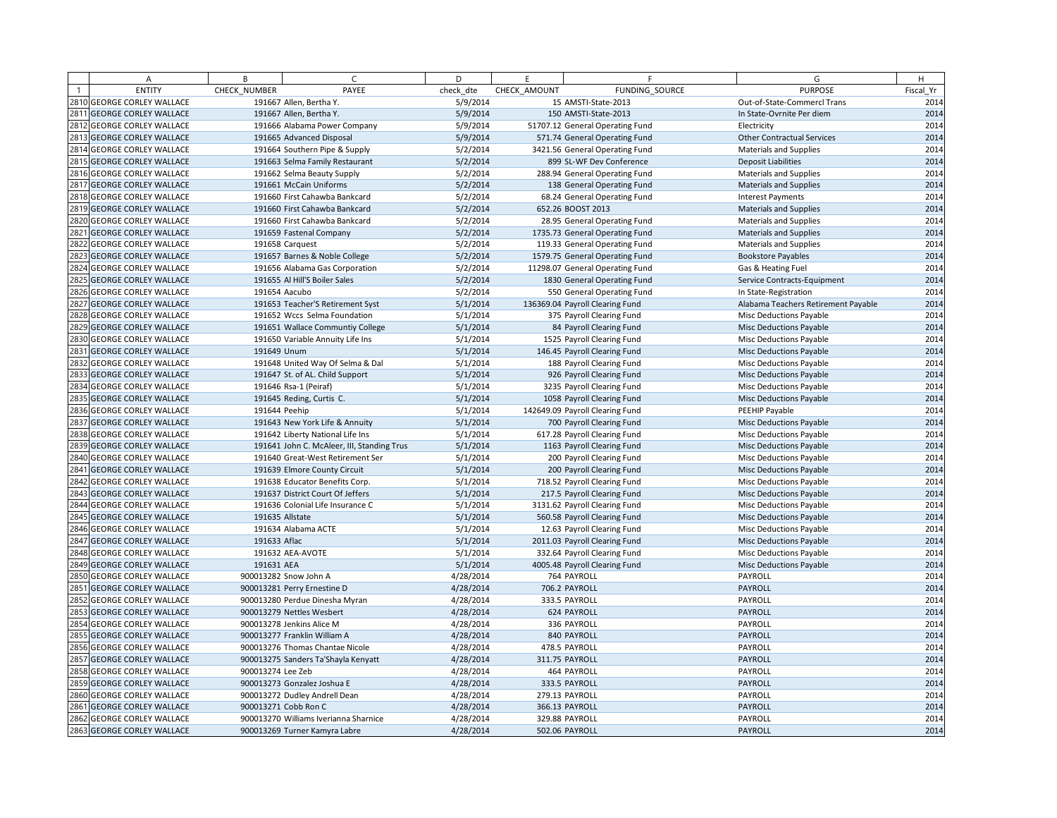|      | Α                            | B                 | $\epsilon$                                 | D         | F.           | F                               | G                                   | H         |
|------|------------------------------|-------------------|--------------------------------------------|-----------|--------------|---------------------------------|-------------------------------------|-----------|
|      | <b>ENTITY</b>                | CHECK_NUMBER      | PAYEE                                      | check dte | CHECK AMOUNT | FUNDING SOURCE                  | <b>PURPOSE</b>                      | Fiscal Yr |
|      | 2810 GEORGE CORLEY WALLACE   |                   | 191667 Allen, Bertha Y.                    | 5/9/2014  |              | 15 AMSTI-State-2013             | Out-of-State-Commercl Trans         | 2014      |
|      | 2811 GEORGE CORLEY WALLACE   |                   | 191667 Allen, Bertha Y.                    | 5/9/2014  |              | 150 AMSTI-State-2013            | In State-Ovrnite Per diem           | 2014      |
|      | 2812 GEORGE CORLEY WALLACE   |                   | 191666 Alabama Power Company               | 5/9/2014  |              | 51707.12 General Operating Fund | Electricity                         | 2014      |
|      | 2813 GEORGE CORLEY WALLACE   |                   | 191665 Advanced Disposal                   | 5/9/2014  |              | 571.74 General Operating Fund   | <b>Other Contractual Services</b>   | 2014      |
|      | 2814 GEORGE CORLEY WALLACE   |                   | 191664 Southern Pipe & Supply              | 5/2/2014  |              | 3421.56 General Operating Fund  | <b>Materials and Supplies</b>       | 2014      |
|      | 2815 GEORGE CORLEY WALLACE   |                   | 191663 Selma Family Restaurant             | 5/2/2014  |              | 899 SL-WF Dev Conference        | <b>Deposit Liabilities</b>          | 2014      |
|      | 2816 GEORGE CORLEY WALLACE   |                   | 191662 Selma Beauty Supply                 | 5/2/2014  |              | 288.94 General Operating Fund   | <b>Materials and Supplies</b>       | 2014      |
|      | 2817 GEORGE CORLEY WALLACE   |                   | 191661 McCain Uniforms                     | 5/2/2014  |              | 138 General Operating Fund      | <b>Materials and Supplies</b>       | 2014      |
|      | 2818 GEORGE CORLEY WALLACE   |                   | 191660 First Cahawba Bankcard              | 5/2/2014  |              | 68.24 General Operating Fund    | <b>Interest Payments</b>            | 2014      |
|      | 2819 GEORGE CORLEY WALLACE   |                   | 191660 First Cahawba Bankcard              | 5/2/2014  |              | 652.26 BOOST 2013               | <b>Materials and Supplies</b>       | 2014      |
|      | 2820 GEORGE CORLEY WALLACE   |                   | 191660 First Cahawba Bankcard              | 5/2/2014  |              | 28.95 General Operating Fund    | <b>Materials and Supplies</b>       | 2014      |
| 2821 | <b>GEORGE CORLEY WALLACE</b> |                   | 191659 Fastenal Company                    | 5/2/2014  |              | 1735.73 General Operating Fund  | <b>Materials and Supplies</b>       | 2014      |
|      | 2822 GEORGE CORLEY WALLACE   |                   | 191658 Carquest                            | 5/2/2014  |              | 119.33 General Operating Fund   | <b>Materials and Supplies</b>       | 2014      |
|      | 2823 GEORGE CORLEY WALLACE   |                   | 191657 Barnes & Noble College              | 5/2/2014  |              | 1579.75 General Operating Fund  | <b>Bookstore Payables</b>           | 2014      |
|      | 2824 GEORGE CORLEY WALLACE   |                   | 191656 Alabama Gas Corporation             | 5/2/2014  |              | 11298.07 General Operating Fund | Gas & Heating Fuel                  | 2014      |
|      | 2825 GEORGE CORLEY WALLACE   |                   | 191655 Al Hill'S Boiler Sales              | 5/2/2014  |              | 1830 General Operating Fund     | Service Contracts-Equipment         | 2014      |
|      | 2826 GEORGE CORLEY WALLACE   |                   | 191654 Aacubo                              | 5/2/2014  |              | 550 General Operating Fund      | In State-Registration               | 2014      |
|      | 2827 GEORGE CORLEY WALLACE   |                   | 191653 Teacher'S Retirement Syst           | 5/1/2014  |              | 136369.04 Payroll Clearing Fund | Alabama Teachers Retirement Payable | 2014      |
|      | 2828 GEORGE CORLEY WALLACE   |                   | 191652 Wccs Selma Foundation               | 5/1/2014  |              | 375 Payroll Clearing Fund       | <b>Misc Deductions Payable</b>      | 2014      |
|      | 2829 GEORGE CORLEY WALLACE   |                   | 191651 Wallace Communtiy College           | 5/1/2014  |              | 84 Payroll Clearing Fund        | <b>Misc Deductions Payable</b>      | 2014      |
|      | 2830 GEORGE CORLEY WALLACE   |                   | 191650 Variable Annuity Life Ins           | 5/1/2014  |              | 1525 Payroll Clearing Fund      | Misc Deductions Payable             | 2014      |
| 2831 | <b>GEORGE CORLEY WALLACE</b> | 191649 Unum       |                                            | 5/1/2014  |              | 146.45 Payroll Clearing Fund    | Misc Deductions Payable             | 2014      |
|      | 2832 GEORGE CORLEY WALLACE   |                   | 191648 United Way Of Selma & Dal           | 5/1/2014  |              | 188 Payroll Clearing Fund       | Misc Deductions Payable             | 2014      |
|      | 2833 GEORGE CORLEY WALLACE   |                   | 191647 St. of AL. Child Support            | 5/1/2014  |              | 926 Payroll Clearing Fund       | <b>Misc Deductions Payable</b>      | 2014      |
|      | 2834 GEORGE CORLEY WALLACE   |                   | 191646 Rsa-1 (Peiraf)                      | 5/1/2014  |              | 3235 Payroll Clearing Fund      | Misc Deductions Payable             | 2014      |
|      | 2835 GEORGE CORLEY WALLACE   |                   | 191645 Reding, Curtis C.                   | 5/1/2014  |              | 1058 Payroll Clearing Fund      | Misc Deductions Payable             | 2014      |
|      | 2836 GEORGE CORLEY WALLACE   | 191644 Peehip     |                                            | 5/1/2014  |              | 142649.09 Payroll Clearing Fund | PEEHIP Payable                      | 2014      |
|      | 2837 GEORGE CORLEY WALLACE   |                   | 191643 New York Life & Annuity             | 5/1/2014  |              | 700 Payroll Clearing Fund       | <b>Misc Deductions Payable</b>      | 2014      |
|      | 2838 GEORGE CORLEY WALLACE   |                   | 191642 Liberty National Life Ins           | 5/1/2014  |              | 617.28 Payroll Clearing Fund    | Misc Deductions Payable             | 2014      |
|      | 2839 GEORGE CORLEY WALLACE   |                   | 191641 John C. McAleer, III, Standing Trus | 5/1/2014  |              | 1163 Payroll Clearing Fund      | Misc Deductions Payable             | 2014      |
|      | 2840 GEORGE CORLEY WALLACE   |                   | 191640 Great-West Retirement Ser           | 5/1/2014  |              | 200 Payroll Clearing Fund       | <b>Misc Deductions Payable</b>      | 2014      |
| 2841 | <b>GEORGE CORLEY WALLACE</b> |                   | 191639 Elmore County Circuit               | 5/1/2014  |              | 200 Payroll Clearing Fund       | Misc Deductions Payable             | 2014      |
|      | 2842 GEORGE CORLEY WALLACE   |                   | 191638 Educator Benefits Corp.             | 5/1/2014  |              | 718.52 Payroll Clearing Fund    | Misc Deductions Payable             | 2014      |
|      | 2843 GEORGE CORLEY WALLACE   |                   | 191637 District Court Of Jeffers           | 5/1/2014  |              | 217.5 Payroll Clearing Fund     | <b>Misc Deductions Payable</b>      | 2014      |
|      | 2844 GEORGE CORLEY WALLACE   |                   | 191636 Colonial Life Insurance C           | 5/1/2014  |              | 3131.62 Payroll Clearing Fund   | Misc Deductions Payable             | 2014      |
|      | 2845 GEORGE CORLEY WALLACE   |                   | 191635 Allstate                            | 5/1/2014  |              | 560.58 Payroll Clearing Fund    | Misc Deductions Payable             | 2014      |
|      | 2846 GEORGE CORLEY WALLACE   |                   | 191634 Alabama ACTE                        | 5/1/2014  |              | 12.63 Payroll Clearing Fund     | Misc Deductions Payable             | 2014      |
|      | 2847 GEORGE CORLEY WALLACE   | 191633 Aflac      |                                            | 5/1/2014  |              | 2011.03 Payroll Clearing Fund   | <b>Misc Deductions Payable</b>      | 2014      |
|      | 2848 GEORGE CORLEY WALLACE   |                   | 191632 AEA-AVOTE                           | 5/1/2014  |              | 332.64 Payroll Clearing Fund    | Misc Deductions Payable             | 2014      |
|      | 2849 GEORGE CORLEY WALLACE   | 191631 AEA        |                                            | 5/1/2014  |              | 4005.48 Payroll Clearing Fund   | Misc Deductions Payable             | 2014      |
|      | 2850 GEORGE CORLEY WALLACE   |                   | 900013282 Snow John A                      | 4/28/2014 |              | 764 PAYROLL                     | PAYROLL                             | 2014      |
| 2851 | <b>GEORGE CORLEY WALLACE</b> |                   | 900013281 Perry Ernestine D                | 4/28/2014 |              | 706.2 PAYROLL                   | PAYROLL                             | 2014      |
|      | 2852 GEORGE CORLEY WALLACE   |                   | 900013280 Perdue Dinesha Myran             | 4/28/2014 |              | 333.5 PAYROLL                   | PAYROLL                             | 2014      |
|      | 2853 GEORGE CORLEY WALLACE   |                   | 900013279 Nettles Wesbert                  | 4/28/2014 |              | 624 PAYROLL                     | PAYROLL                             | 2014      |
|      | 2854 GEORGE CORLEY WALLACE   |                   | 900013278 Jenkins Alice M                  | 4/28/2014 |              | 336 PAYROLL                     | PAYROLL                             | 2014      |
|      | 2855 GEORGE CORLEY WALLACE   |                   | 900013277 Franklin William A               | 4/28/2014 |              | 840 PAYROLL                     | PAYROLL                             | 2014      |
|      | 2856 GEORGE CORLEY WALLACE   |                   | 900013276 Thomas Chantae Nicole            | 4/28/2014 |              | 478.5 PAYROLL                   | PAYROLL                             | 2014      |
|      | 2857 GEORGE CORLEY WALLACE   |                   | 900013275 Sanders Ta'Shayla Kenyatt        | 4/28/2014 |              | 311.75 PAYROLL                  | PAYROLL                             | 2014      |
|      | 2858 GEORGE CORLEY WALLACE   | 900013274 Lee Zeb |                                            | 4/28/2014 |              | 464 PAYROLL                     | PAYROLL                             | 2014      |
|      | 2859 GEORGE CORLEY WALLACE   |                   | 900013273 Gonzalez Joshua E                | 4/28/2014 |              | 333.5 PAYROLL                   | PAYROLL                             | 2014      |
|      | 2860 GEORGE CORLEY WALLACE   |                   | 900013272 Dudley Andrell Dean              | 4/28/2014 |              | 279.13 PAYROLL                  | PAYROLL                             | 2014      |
| 2861 | <b>GEORGE CORLEY WALLACE</b> |                   | 900013271 Cobb Ron C                       | 4/28/2014 |              | 366.13 PAYROLL                  | PAYROLL                             | 2014      |
|      | 2862 GEORGE CORLEY WALLACE   |                   | 900013270 Williams Iverianna Sharnice      | 4/28/2014 |              | 329.88 PAYROLL                  | PAYROLL                             | 2014      |
|      | 2863 GEORGE CORLEY WALLACE   |                   | 900013269 Turner Kamyra Labre              | 4/28/2014 |              | 502.06 PAYROLL                  | PAYROLL                             | 2014      |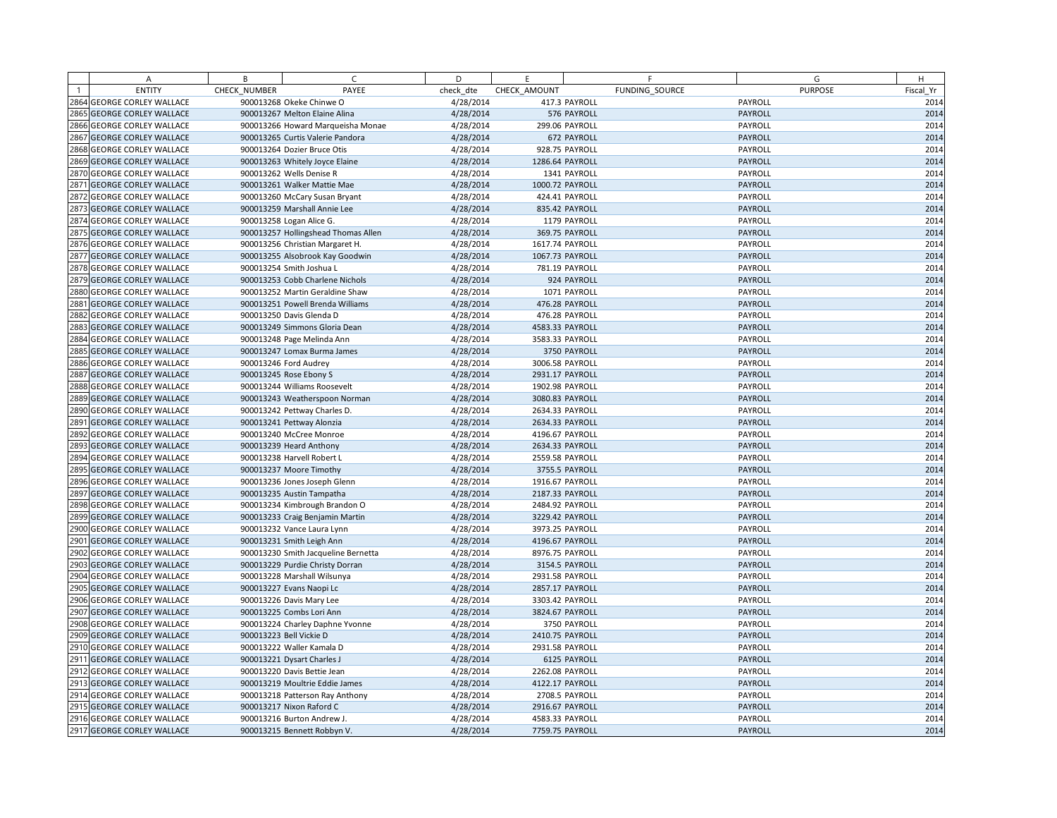|                | A                            | B            | C                                   | D         | E               | F              | G              | H         |
|----------------|------------------------------|--------------|-------------------------------------|-----------|-----------------|----------------|----------------|-----------|
| $\overline{1}$ | <b>ENTITY</b>                | CHECK NUMBER | PAYEE                               | check dte | CHECK AMOUNT    | FUNDING SOURCE | <b>PURPOSE</b> | Fiscal Yr |
|                | 2864 GEORGE CORLEY WALLACE   |              | 900013268 Okeke Chinwe O            | 4/28/2014 |                 | 417.3 PAYROLL  | PAYROLL        | 2014      |
|                | 2865 GEORGE CORLEY WALLACE   |              | 900013267 Melton Elaine Alina       | 4/28/2014 |                 | 576 PAYROLL    | PAYROLL        | 2014      |
|                | 2866 GEORGE CORLEY WALLACE   |              | 900013266 Howard Marqueisha Monae   | 4/28/2014 |                 | 299.06 PAYROLL | PAYROLL        | 2014      |
| 2867           | <b>GEORGE CORLEY WALLACE</b> |              | 900013265 Curtis Valerie Pandora    | 4/28/2014 |                 | 672 PAYROLL    | PAYROLL        | 2014      |
|                | 2868 GEORGE CORLEY WALLACE   |              | 900013264 Dozier Bruce Otis         | 4/28/2014 |                 | 928.75 PAYROLL | PAYROLL        | 2014      |
|                | 2869 GEORGE CORLEY WALLACE   |              | 900013263 Whitely Joyce Elaine      | 4/28/2014 | 1286.64 PAYROLL |                | PAYROLL        | 2014      |
|                | 2870 GEORGE CORLEY WALLACE   |              | 900013262 Wells Denise R            | 4/28/2014 |                 | 1341 PAYROLL   | PAYROLL        | 2014      |
| 2871           | <b>GEORGE CORLEY WALLACE</b> |              | 900013261 Walker Mattie Mae         | 4/28/2014 | 1000.72 PAYROLL |                | PAYROLL        | 2014      |
|                | 2872 GEORGE CORLEY WALLACE   |              | 900013260 McCary Susan Bryant       | 4/28/2014 |                 | 424.41 PAYROLL | PAYROLL        | 2014      |
|                | 2873 GEORGE CORLEY WALLACE   |              | 900013259 Marshall Annie Lee        | 4/28/2014 |                 | 835.42 PAYROLL | PAYROLL        | 2014      |
|                | 2874 GEORGE CORLEY WALLACE   |              | 900013258 Logan Alice G.            | 4/28/2014 |                 | 1179 PAYROLL   | PAYROLL        | 2014      |
|                | 2875 GEORGE CORLEY WALLACE   |              | 900013257 Hollingshead Thomas Allen | 4/28/2014 |                 | 369.75 PAYROLL | PAYROLL        | 2014      |
|                | 2876 GEORGE CORLEY WALLACE   |              | 900013256 Christian Margaret H.     | 4/28/2014 | 1617.74 PAYROLL |                | PAYROLL        | 2014      |
|                | 2877 GEORGE CORLEY WALLACE   |              | 900013255 Alsobrook Kay Goodwin     | 4/28/2014 | 1067.73 PAYROLL |                | PAYROLL        | 2014      |
|                | 2878 GEORGE CORLEY WALLACE   |              | 900013254 Smith Joshua L            | 4/28/2014 |                 | 781.19 PAYROLL | PAYROLL        | 2014      |
|                | 2879 GEORGE CORLEY WALLACE   |              | 900013253 Cobb Charlene Nichols     | 4/28/2014 |                 | 924 PAYROLL    | PAYROLL        | 2014      |
|                | 2880 GEORGE CORLEY WALLACE   |              | 900013252 Martin Geraldine Shaw     | 4/28/2014 |                 | 1071 PAYROLL   | PAYROLL        | 2014      |
| 288            | <b>GEORGE CORLEY WALLACE</b> |              | 900013251 Powell Brenda Williams    | 4/28/2014 |                 | 476.28 PAYROLL | PAYROLL        | 2014      |
| 2882           | <b>GEORGE CORLEY WALLACE</b> |              | 900013250 Davis Glenda D            | 4/28/2014 |                 | 476.28 PAYROLL | PAYROLL        | 2014      |
| 2883           | <b>GEORGE CORLEY WALLACE</b> |              | 900013249 Simmons Gloria Dean       | 4/28/2014 | 4583.33 PAYROLL |                | PAYROLL        | 2014      |
|                | 2884 GEORGE CORLEY WALLACE   |              | 900013248 Page Melinda Ann          | 4/28/2014 | 3583.33 PAYROLL |                | PAYROLL        | 2014      |
|                | 2885 GEORGE CORLEY WALLACE   |              | 900013247 Lomax Burma James         | 4/28/2014 |                 | 3750 PAYROLL   | PAYROLL        | 2014      |
|                | 2886 GEORGE CORLEY WALLACE   |              | 900013246 Ford Audrey               | 4/28/2014 | 3006.58 PAYROLL |                | PAYROLL        | 2014      |
| 2887           | <b>GEORGE CORLEY WALLACE</b> |              | 900013245 Rose Ebony S              | 4/28/2014 | 2931.17 PAYROLL |                | PAYROLL        | 2014      |
|                | 2888 GEORGE CORLEY WALLACE   |              | 900013244 Williams Roosevelt        | 4/28/2014 | 1902.98 PAYROLL |                | PAYROLL        | 2014      |
|                | 2889 GEORGE CORLEY WALLACE   |              | 900013243 Weatherspoon Norman       | 4/28/2014 | 3080.83 PAYROLL |                | PAYROLL        | 2014      |
|                | 2890 GEORGE CORLEY WALLACE   |              | 900013242 Pettway Charles D.        | 4/28/2014 | 2634.33 PAYROLL |                | PAYROLL        | 2014      |
| 2891           | <b>GEORGE CORLEY WALLACE</b> |              | 900013241 Pettway Alonzia           | 4/28/2014 | 2634.33 PAYROLL |                | PAYROLL        | 2014      |
|                | 2892 GEORGE CORLEY WALLACE   |              | 900013240 McCree Monroe             | 4/28/2014 | 4196.67 PAYROLL |                | PAYROLL        | 2014      |
|                | 2893 GEORGE CORLEY WALLACE   |              | 900013239 Heard Anthony             | 4/28/2014 | 2634.33 PAYROLL |                | PAYROLL        | 2014      |
|                | 2894 GEORGE CORLEY WALLACE   |              | 900013238 Harvell Robert L          | 4/28/2014 | 2559.58 PAYROLL |                | PAYROLL        | 2014      |
|                | 2895 GEORGE CORLEY WALLACE   |              | 900013237 Moore Timothy             | 4/28/2014 |                 | 3755.5 PAYROLL | PAYROLL        | 2014      |
|                | 2896 GEORGE CORLEY WALLACE   |              | 900013236 Jones Joseph Glenn        | 4/28/2014 | 1916.67 PAYROLL |                | PAYROLL        | 2014      |
|                | 2897 GEORGE CORLEY WALLACE   |              | 900013235 Austin Tampatha           | 4/28/2014 | 2187.33 PAYROLL |                | PAYROLL        | 2014      |
|                | 2898 GEORGE CORLEY WALLACE   |              | 900013234 Kimbrough Brandon O       | 4/28/2014 | 2484.92 PAYROLL |                | PAYROLL        | 2014      |
|                | 2899 GEORGE CORLEY WALLACE   |              | 900013233 Craig Benjamin Martin     | 4/28/2014 | 3229.42 PAYROLL |                | PAYROLL        | 2014      |
|                | 2900 GEORGE CORLEY WALLACE   |              | 900013232 Vance Laura Lynn          | 4/28/2014 | 3973.25 PAYROLL |                | PAYROLL        | 2014      |
| 2901           | <b>GEORGE CORLEY WALLACE</b> |              | 900013231 Smith Leigh Ann           | 4/28/2014 | 4196.67 PAYROLL |                | PAYROLL        | 2014      |
|                | 2902 GEORGE CORLEY WALLACE   |              | 900013230 Smith Jacqueline Bernetta | 4/28/2014 | 8976.75 PAYROLL |                | PAYROLL        | 2014      |
|                | 2903 GEORGE CORLEY WALLACE   |              | 900013229 Purdie Christy Dorran     | 4/28/2014 |                 | 3154.5 PAYROLL | PAYROLL        | 2014      |
|                | 2904 GEORGE CORLEY WALLACE   |              | 900013228 Marshall Wilsunya         | 4/28/2014 | 2931.58 PAYROLL |                | PAYROLL        | 2014      |
|                | 2905 GEORGE CORLEY WALLACE   |              | 900013227 Evans Naopi Lc            | 4/28/2014 | 2857.17 PAYROLL |                | PAYROLL        | 2014      |
|                | 2906 GEORGE CORLEY WALLACE   |              | 900013226 Davis Mary Lee            | 4/28/2014 | 3303.42 PAYROLL |                | PAYROLL        | 2014      |
|                | 2907 GEORGE CORLEY WALLACE   |              | 900013225 Combs Lori Ann            | 4/28/2014 | 3824.67 PAYROLL |                | PAYROLL        | 2014      |
|                | 2908 GEORGE CORLEY WALLACE   |              | 900013224 Charley Daphne Yvonne     | 4/28/2014 |                 | 3750 PAYROLL   | PAYROLL        | 2014      |
|                | 2909 GEORGE CORLEY WALLACE   |              | 900013223 Bell Vickie D             | 4/28/2014 | 2410.75 PAYROLL |                | PAYROLL        | 2014      |
|                | 2910 GEORGE CORLEY WALLACE   |              | 900013222 Waller Kamala D           | 4/28/2014 | 2931.58 PAYROLL |                | PAYROLL        | 2014      |
|                | 2911 GEORGE CORLEY WALLACE   |              | 900013221 Dysart Charles J          | 4/28/2014 |                 | 6125 PAYROLL   | PAYROLL        | 2014      |
|                | 2912 GEORGE CORLEY WALLACE   |              | 900013220 Davis Bettie Jean         | 4/28/2014 | 2262.08 PAYROLL |                | PAYROLL        | 2014      |
|                | 2913 GEORGE CORLEY WALLACE   |              | 900013219 Moultrie Eddie James      | 4/28/2014 | 4122.17 PAYROLL |                | PAYROLL        | 2014      |
|                | 2914 GEORGE CORLEY WALLACE   |              | 900013218 Patterson Ray Anthony     | 4/28/2014 |                 | 2708.5 PAYROLL | PAYROLL        | 2014      |
|                | 2915 GEORGE CORLEY WALLACE   |              | 900013217 Nixon Raford C            | 4/28/2014 | 2916.67 PAYROLL |                | PAYROLL        | 2014      |
|                | 2916 GEORGE CORLEY WALLACE   |              | 900013216 Burton Andrew J.          | 4/28/2014 | 4583.33 PAYROLL |                | PAYROLL        | 2014      |
|                | 2917 GEORGE CORLEY WALLACE   |              | 900013215 Bennett Robbyn V.         | 4/28/2014 | 7759.75 PAYROLL |                | PAYROLL        | 2014      |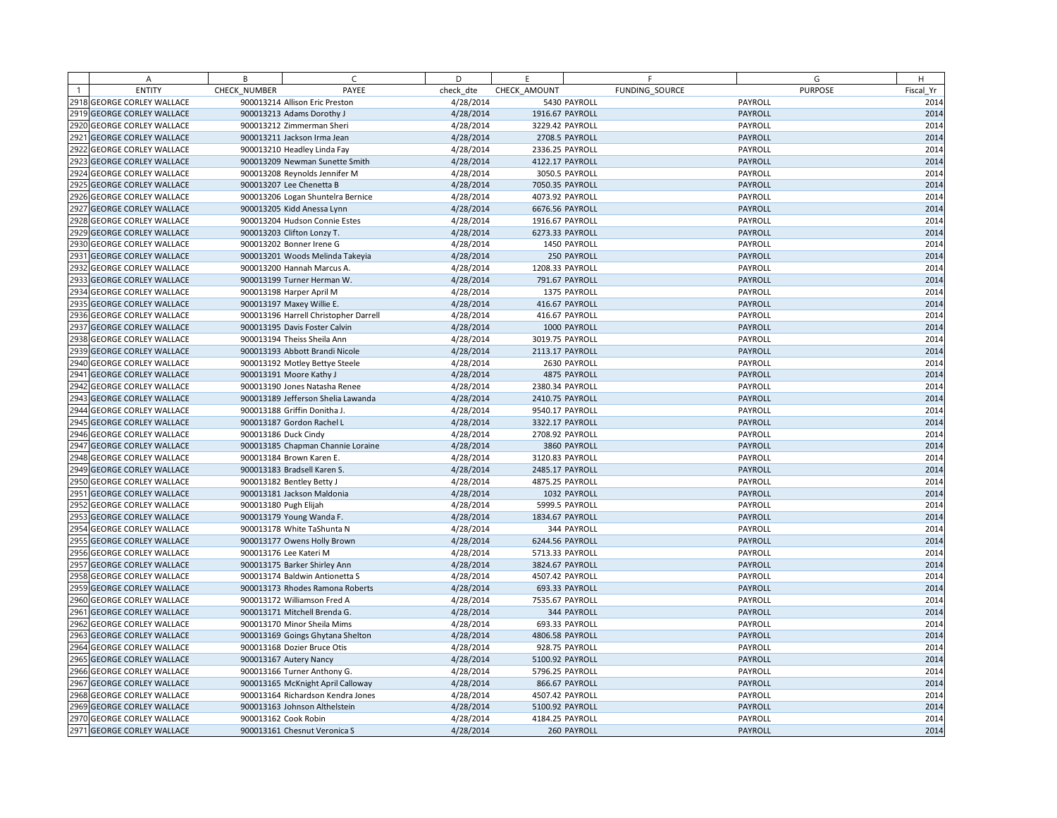| A                          | B            | C                                     | D         | E               | F              | G              | H         |
|----------------------------|--------------|---------------------------------------|-----------|-----------------|----------------|----------------|-----------|
| <b>ENTITY</b>              | CHECK NUMBER | PAYEE                                 | check dte | CHECK AMOUNT    | FUNDING SOURCE | <b>PURPOSE</b> | Fiscal Yr |
| 2918 GEORGE CORLEY WALLACE |              | 900013214 Allison Eric Preston        | 4/28/2014 |                 | 5430 PAYROLL   | PAYROLL        | 2014      |
| 2919 GEORGE CORLEY WALLACE |              | 900013213 Adams Dorothy J             | 4/28/2014 | 1916.67 PAYROLL |                | PAYROLL        | 2014      |
| 2920 GEORGE CORLEY WALLACE |              | 900013212 Zimmerman Sheri             | 4/28/2014 | 3229.42 PAYROLL |                | PAYROLL        | 2014      |
| 2921 GEORGE CORLEY WALLACE |              | 900013211 Jackson Irma Jean           | 4/28/2014 |                 | 2708.5 PAYROLL | PAYROLL        | 2014      |
| 2922 GEORGE CORLEY WALLACE |              | 900013210 Headley Linda Fay           | 4/28/2014 | 2336.25 PAYROLL |                | PAYROLL        | 2014      |
| 2923 GEORGE CORLEY WALLACE |              | 900013209 Newman Sunette Smith        | 4/28/2014 | 4122.17 PAYROLL |                | PAYROLL        | 2014      |
| 2924 GEORGE CORLEY WALLACE |              | 900013208 Reynolds Jennifer M         | 4/28/2014 |                 | 3050.5 PAYROLL | PAYROLL        | 2014      |
| 2925 GEORGE CORLEY WALLACE |              | 900013207 Lee Chenetta B              | 4/28/2014 | 7050.35 PAYROLL |                | PAYROLL        | 2014      |
| 2926 GEORGE CORLEY WALLACE |              | 900013206 Logan Shuntelra Bernice     | 4/28/2014 | 4073.92 PAYROLL |                | PAYROLL        | 2014      |
| 2927 GEORGE CORLEY WALLACE |              | 900013205 Kidd Anessa Lynn            | 4/28/2014 | 6676.56 PAYROLL |                | PAYROLL        | 2014      |
| 2928 GEORGE CORLEY WALLACE |              | 900013204 Hudson Connie Estes         | 4/28/2014 | 1916.67 PAYROLL |                | PAYROLL        | 2014      |
| 2929 GEORGE CORLEY WALLACE |              | 900013203 Clifton Lonzy T.            | 4/28/2014 | 6273.33 PAYROLL |                | PAYROLL        | 2014      |
| 2930 GEORGE CORLEY WALLACE |              | 900013202 Bonner Irene G              | 4/28/2014 |                 | 1450 PAYROLL   | PAYROLL        | 2014      |
| 2931 GEORGE CORLEY WALLACE |              | 900013201 Woods Melinda Takeyia       | 4/28/2014 |                 | 250 PAYROLL    | PAYROLL        | 2014      |
| 2932 GEORGE CORLEY WALLACE |              | 900013200 Hannah Marcus A.            | 4/28/2014 | 1208.33 PAYROLL |                | PAYROLL        | 2014      |
| 2933 GEORGE CORLEY WALLACE |              | 900013199 Turner Herman W.            | 4/28/2014 |                 | 791.67 PAYROLL | PAYROLL        | 2014      |
| 2934 GEORGE CORLEY WALLACE |              | 900013198 Harper April M              | 4/28/2014 |                 | 1375 PAYROLL   | PAYROLL        | 2014      |
| 2935 GEORGE CORLEY WALLACE |              | 900013197 Maxey Willie E.             | 4/28/2014 |                 | 416.67 PAYROLL | PAYROLL        | 2014      |
| 2936 GEORGE CORLEY WALLACE |              | 900013196 Harrell Christopher Darrell | 4/28/2014 |                 | 416.67 PAYROLL | PAYROLL        | 2014      |
| 2937 GEORGE CORLEY WALLACE |              | 900013195 Davis Foster Calvin         | 4/28/2014 |                 | 1000 PAYROLL   | PAYROLL        | 2014      |
| 2938 GEORGE CORLEY WALLACE |              | 900013194 Theiss Sheila Ann           | 4/28/2014 | 3019.75 PAYROLL |                | PAYROLL        | 2014      |
| 2939 GEORGE CORLEY WALLACE |              | 900013193 Abbott Brandi Nicole        | 4/28/2014 | 2113.17 PAYROLL |                | PAYROLL        | 2014      |
| 2940 GEORGE CORLEY WALLACE |              | 900013192 Motley Bettye Steele        | 4/28/2014 |                 | 2630 PAYROLL   | PAYROLL        | 2014      |
| 2941 GEORGE CORLEY WALLACE |              | 900013191 Moore Kathy J               | 4/28/2014 |                 | 4875 PAYROLL   | PAYROLL        | 2014      |
| 2942 GEORGE CORLEY WALLACE |              | 900013190 Jones Natasha Renee         | 4/28/2014 | 2380.34 PAYROLL |                | PAYROLL        | 2014      |
| 2943 GEORGE CORLEY WALLACE |              | 900013189 Jefferson Shelia Lawanda    | 4/28/2014 | 2410.75 PAYROLL |                | PAYROLL        | 2014      |
| 2944 GEORGE CORLEY WALLACE |              | 900013188 Griffin Donitha J.          | 4/28/2014 | 9540.17 PAYROLL |                | PAYROLL        | 2014      |
| 2945 GEORGE CORLEY WALLACE |              | 900013187 Gordon Rachel L             | 4/28/2014 | 3322.17 PAYROLL |                | PAYROLL        | 2014      |
| 2946 GEORGE CORLEY WALLACE |              | 900013186 Duck Cindy                  | 4/28/2014 | 2708.92 PAYROLL |                | PAYROLL        | 2014      |
| 2947 GEORGE CORLEY WALLACE |              | 900013185 Chapman Channie Loraine     | 4/28/2014 |                 | 3860 PAYROLL   | PAYROLL        | 2014      |
| 2948 GEORGE CORLEY WALLACE |              | 900013184 Brown Karen E.              | 4/28/2014 | 3120.83 PAYROLL |                | PAYROLL        | 2014      |
| 2949 GEORGE CORLEY WALLACE |              | 900013183 Bradsell Karen S.           | 4/28/2014 | 2485.17 PAYROLL |                | PAYROLL        | 2014      |
| 2950 GEORGE CORLEY WALLACE |              | 900013182 Bentley Betty J             | 4/28/2014 | 4875.25 PAYROLL |                | PAYROLL        | 2014      |
| 2951 GEORGE CORLEY WALLACE |              | 900013181 Jackson Maldonia            | 4/28/2014 |                 | 1032 PAYROLL   | PAYROLL        | 2014      |
| 2952 GEORGE CORLEY WALLACE |              | 900013180 Pugh Elijah                 | 4/28/2014 |                 | 5999.5 PAYROLL | PAYROLL        | 2014      |
| 2953 GEORGE CORLEY WALLACE |              | 900013179 Young Wanda F.              | 4/28/2014 | 1834.67 PAYROLL |                | PAYROLL        | 2014      |
| 2954 GEORGE CORLEY WALLACE |              | 900013178 White TaShunta N            | 4/28/2014 |                 | 344 PAYROLL    | PAYROLL        | 2014      |
| 2955 GEORGE CORLEY WALLACE |              | 900013177 Owens Holly Brown           | 4/28/2014 | 6244.56 PAYROLL |                | PAYROLL        | 2014      |
| 2956 GEORGE CORLEY WALLACE |              | 900013176 Lee Kateri M                | 4/28/2014 | 5713.33 PAYROLL |                | PAYROLL        | 2014      |
| 2957 GEORGE CORLEY WALLACE |              | 900013175 Barker Shirley Ann          | 4/28/2014 | 3824.67 PAYROLL |                | PAYROLL        | 2014      |
| 2958 GEORGE CORLEY WALLACE |              | 900013174 Baldwin Antionetta S        | 4/28/2014 | 4507.42 PAYROLL |                | PAYROLL        | 2014      |
| 2959 GEORGE CORLEY WALLACE |              | 900013173 Rhodes Ramona Roberts       | 4/28/2014 |                 | 693.33 PAYROLL | PAYROLL        | 2014      |
| 2960 GEORGE CORLEY WALLACE |              | 900013172 Williamson Fred A           | 4/28/2014 | 7535.67 PAYROLL |                | PAYROLL        | 2014      |
| 2961 GEORGE CORLEY WALLACE |              | 900013171 Mitchell Brenda G.          | 4/28/2014 |                 | 344 PAYROLL    | PAYROLL        | 2014      |
| 2962 GEORGE CORLEY WALLACE |              | 900013170 Minor Sheila Mims           | 4/28/2014 |                 | 693.33 PAYROLL | PAYROLL        | 2014      |
| 2963 GEORGE CORLEY WALLACE |              | 900013169 Goings Ghytana Shelton      | 4/28/2014 | 4806.58 PAYROLL |                | <b>PAYROLL</b> | 2014      |
| 2964 GEORGE CORLEY WALLACE |              | 900013168 Dozier Bruce Otis           | 4/28/2014 |                 | 928.75 PAYROLL | PAYROLL        | 2014      |
| 2965 GEORGE CORLEY WALLACE |              | 900013167 Autery Nancy                | 4/28/2014 | 5100.92 PAYROLL |                | PAYROLL        | 2014      |
| 2966 GEORGE CORLEY WALLACE |              | 900013166 Turner Anthony G.           | 4/28/2014 | 5796.25 PAYROLL |                | PAYROLL        | 2014      |
| 2967 GEORGE CORLEY WALLACE |              | 900013165 McKnight April Calloway     | 4/28/2014 |                 | 866.67 PAYROLL | PAYROLL        | 2014      |
| 2968 GEORGE CORLEY WALLACE |              | 900013164 Richardson Kendra Jones     | 4/28/2014 | 4507.42 PAYROLL |                | PAYROLL        | 2014      |
| 2969 GEORGE CORLEY WALLACE |              | 900013163 Johnson Althelstein         | 4/28/2014 | 5100.92 PAYROLL |                | PAYROLL        | 2014      |
| 2970 GEORGE CORLEY WALLACE |              | 900013162 Cook Robin                  | 4/28/2014 | 4184.25 PAYROLL |                | PAYROLL        | 2014      |
| 2971 GEORGE CORLEY WALLACE |              | 900013161 Chesnut Veronica S          | 4/28/2014 |                 | 260 PAYROLL    | PAYROLL        | 2014      |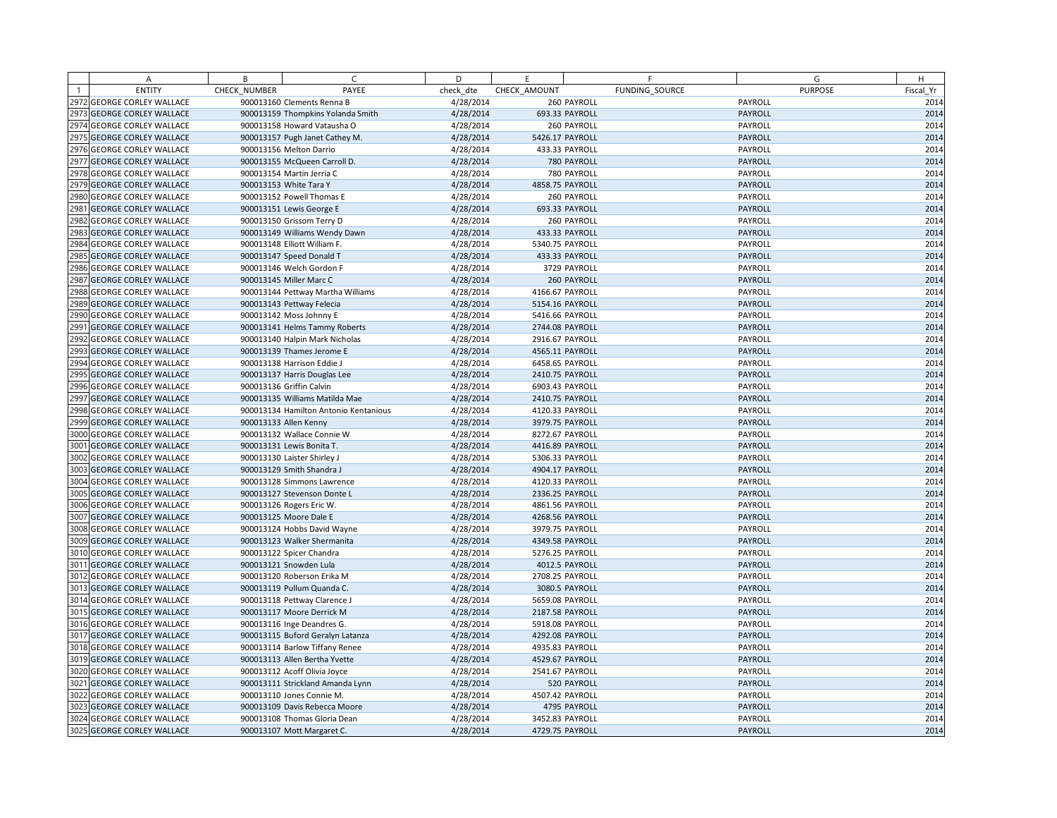|                | A                            | B            | C                                     | D         | E.              | F              | G              | H         |
|----------------|------------------------------|--------------|---------------------------------------|-----------|-----------------|----------------|----------------|-----------|
| $\overline{1}$ | <b>ENTITY</b>                | CHECK NUMBER | PAYEE                                 | check dte | CHECK AMOUNT    | FUNDING SOURCE | <b>PURPOSE</b> | Fiscal Yr |
|                | 2972 GEORGE CORLEY WALLACE   |              | 900013160 Clements Renna B            | 4/28/2014 |                 | 260 PAYROLL    | PAYROLL        | 2014      |
|                | 2973 GEORGE CORLEY WALLACE   |              | 900013159 Thompkins Yolanda Smith     | 4/28/2014 |                 | 693.33 PAYROLL | PAYROLL        | 2014      |
|                | 2974 GEORGE CORLEY WALLACE   |              | 900013158 Howard Vatausha O           | 4/28/2014 |                 | 260 PAYROLL    | PAYROLL        | 2014      |
|                | 2975 GEORGE CORLEY WALLACE   |              | 900013157 Pugh Janet Cathey M.        | 4/28/2014 | 5426.17 PAYROLL |                | PAYROLL        | 2014      |
|                | 2976 GEORGE CORLEY WALLACE   |              | 900013156 Melton Darrio               | 4/28/2014 |                 | 433.33 PAYROLL | PAYROLL        | 2014      |
|                | 2977 GEORGE CORLEY WALLACE   |              | 900013155 McQueen Carroll D.          | 4/28/2014 |                 | 780 PAYROLL    | PAYROLL        | 2014      |
|                | 2978 GEORGE CORLEY WALLACE   |              | 900013154 Martin Jerria C             | 4/28/2014 |                 | 780 PAYROLL    | PAYROLL        | 2014      |
|                | 2979 GEORGE CORLEY WALLACE   |              | 900013153 White Tara Y                | 4/28/2014 | 4858.75 PAYROLL |                | PAYROLL        | 2014      |
|                | 2980 GEORGE CORLEY WALLACE   |              | 900013152 Powell Thomas E             | 4/28/2014 |                 | 260 PAYROLL    | PAYROLL        | 2014      |
| 2981           | <b>GEORGE CORLEY WALLACE</b> |              | 900013151 Lewis George E              | 4/28/2014 |                 | 693.33 PAYROLL | PAYROLL        | 2014      |
|                | 2982 GEORGE CORLEY WALLACE   |              | 900013150 Grissom Terry D             | 4/28/2014 |                 | 260 PAYROLL    | PAYROLL        | 2014      |
|                | 2983 GEORGE CORLEY WALLACE   |              | 900013149 Williams Wendy Dawn         | 4/28/2014 |                 | 433.33 PAYROLL | PAYROLL        | 2014      |
|                | 2984 GEORGE CORLEY WALLACE   |              | 900013148 Elliott William F.          | 4/28/2014 | 5340.75 PAYROLL |                | PAYROLL        | 2014      |
|                | 2985 GEORGE CORLEY WALLACE   |              | 900013147 Speed Donald T              | 4/28/2014 |                 | 433.33 PAYROLL | PAYROLL        | 2014      |
|                | 2986 GEORGE CORLEY WALLACE   |              | 900013146 Welch Gordon F              | 4/28/2014 |                 | 3729 PAYROLL   | PAYROLL        | 2014      |
|                | 2987 GEORGE CORLEY WALLACE   |              | 900013145 Miller Marc C               | 4/28/2014 |                 | 260 PAYROLL    | PAYROLL        | 2014      |
|                | 2988 GEORGE CORLEY WALLACE   |              | 900013144 Pettway Martha Williams     | 4/28/2014 | 4166.67 PAYROLL |                | PAYROLL        | 2014      |
| 2989           | <b>GEORGE CORLEY WALLACE</b> |              | 900013143 Pettway Felecia             | 4/28/2014 | 5154.16 PAYROLL |                | PAYROLL        | 2014      |
|                | 2990 GEORGE CORLEY WALLACE   |              | 900013142 Moss Johnny E               | 4/28/2014 | 5416.66 PAYROLL |                | PAYROLL        | 2014      |
| 599.           | <b>GEORGE CORLEY WALLACE</b> |              | 900013141 Helms Tammy Roberts         | 4/28/2014 | 2744.08 PAYROLL |                | PAYROLL        | 2014      |
| 2992           | <b>GEORGE CORLEY WALLACE</b> |              | 900013140 Halpin Mark Nicholas        | 4/28/2014 | 2916.67 PAYROLL |                | PAYROLL        | 2014      |
|                | 2993 GEORGE CORLEY WALLACE   |              | 900013139 Thames Jerome E             | 4/28/2014 | 4565.11 PAYROLL |                | PAYROLL        | 2014      |
|                | 2994 GEORGE CORLEY WALLACE   |              | 900013138 Harrison Eddie J            | 4/28/2014 | 6458.65 PAYROLL |                | PAYROLL        | 2014      |
| 2995           | <b>GEORGE CORLEY WALLACE</b> |              | 900013137 Harris Douglas Lee          | 4/28/2014 | 2410.75 PAYROLL |                | PAYROLL        | 2014      |
|                | 2996 GEORGE CORLEY WALLACE   |              | 900013136 Griffin Calvin              | 4/28/2014 | 6903.43 PAYROLL |                | PAYROLL        | 2014      |
| 2997           | <b>GEORGE CORLEY WALLACE</b> |              | 900013135 Williams Matilda Mae        | 4/28/2014 | 2410.75 PAYROLL |                | PAYROLL        | 2014      |
|                | 2998 GEORGE CORLEY WALLACE   |              | 900013134 Hamilton Antonio Kentanious | 4/28/2014 | 4120.33 PAYROLL |                | PAYROLL        | 2014      |
|                | 2999 GEORGE CORLEY WALLACE   |              | 900013133 Allen Kenny                 | 4/28/2014 | 3979.75 PAYROLL |                | PAYROLL        | 2014      |
|                | 3000 GEORGE CORLEY WALLACE   |              | 900013132 Wallace Connie W            | 4/28/2014 | 8272.67 PAYROLL |                | PAYROLL        | 2014      |
|                | 3001 GEORGE CORLEY WALLACE   |              | 900013131 Lewis Bonita T.             | 4/28/2014 | 4416.89 PAYROLL |                | PAYROLL        | 2014      |
|                | 3002 GEORGE CORLEY WALLACE   |              | 900013130 Laister Shirley J           | 4/28/2014 | 5306.33 PAYROLL |                | PAYROLL        | 2014      |
|                | 3003 GEORGE CORLEY WALLACE   |              | 900013129 Smith Shandra J             | 4/28/2014 | 4904.17 PAYROLL |                | PAYROLL        | 2014      |
|                | 3004 GEORGE CORLEY WALLACE   |              | 900013128 Simmons Lawrence            | 4/28/2014 | 4120.33 PAYROLL |                | PAYROLL        | 2014      |
|                | 3005 GEORGE CORLEY WALLACE   |              | 900013127 Stevenson Donte L           | 4/28/2014 | 2336.25 PAYROLL |                | PAYROLL        | 2014      |
|                | 3006 GEORGE CORLEY WALLACE   |              | 900013126 Rogers Eric W.              | 4/28/2014 | 4861.56 PAYROLL |                | PAYROLL        | 2014      |
|                | 3007 GEORGE CORLEY WALLACE   |              | 900013125 Moore Dale E                | 4/28/2014 | 4268.56 PAYROLL |                | PAYROLL        | 2014      |
|                | 3008 GEORGE CORLEY WALLACE   |              | 900013124 Hobbs David Wayne           | 4/28/2014 | 3979.75 PAYROLL |                | PAYROLL        | 2014      |
|                | 3009 GEORGE CORLEY WALLACE   |              | 900013123 Walker Shermanita           | 4/28/2014 | 4349.58 PAYROLL |                | PAYROLL        | 2014      |
|                | 3010 GEORGE CORLEY WALLACE   |              | 900013122 Spicer Chandra              | 4/28/2014 | 5276.25 PAYROLL |                | PAYROLL        | 2014      |
|                | 3011 GEORGE CORLEY WALLACE   |              | 900013121 Snowden Lula                | 4/28/2014 |                 | 4012.5 PAYROLL | PAYROLL        | 2014      |
|                | 3012 GEORGE CORLEY WALLACE   |              | 900013120 Roberson Erika M            | 4/28/2014 | 2708.25 PAYROLL |                | PAYROLL        | 2014      |
|                | 3013 GEORGE CORLEY WALLACE   |              | 900013119 Pullum Quanda C.            | 4/28/2014 |                 | 3080.5 PAYROLL | PAYROLL        | 2014      |
|                | 3014 GEORGE CORLEY WALLACE   |              | 900013118 Pettway Clarence J          | 4/28/2014 | 5659.08 PAYROLL |                | PAYROLL        | 2014      |
|                | 3015 GEORGE CORLEY WALLACE   |              | 900013117 Moore Derrick M             | 4/28/2014 | 2187.58 PAYROLL |                | PAYROLL        | 2014      |
|                | 3016 GEORGE CORLEY WALLACE   |              | 900013116 Inge Deandres G.            | 4/28/2014 | 5918.08 PAYROLL |                | PAYROLL        | 2014      |
|                | 3017 GEORGE CORLEY WALLACE   |              | 900013115 Buford Geralyn Latanza      | 4/28/2014 | 4292.08 PAYROLL |                | PAYROLL        | 2014      |
|                | 3018 GEORGE CORLEY WALLACE   |              | 900013114 Barlow Tiffany Renee        | 4/28/2014 | 4935.83 PAYROLL |                | PAYROLL        | 2014      |
|                | 3019 GEORGE CORLEY WALLACE   |              | 900013113 Allen Bertha Yvette         | 4/28/2014 | 4529.67 PAYROLL |                | PAYROLL        | 2014      |
|                | 3020 GEORGE CORLEY WALLACE   |              | 900013112 Acoff Olivia Joyce          | 4/28/2014 | 2541.67 PAYROLL |                | PAYROLL        | 2014      |
| 3021           | <b>GEORGE CORLEY WALLACE</b> |              | 900013111 Strickland Amanda Lynn      | 4/28/2014 |                 | 520 PAYROLL    | PAYROLL        | 2014      |
|                | 3022 GEORGE CORLEY WALLACE   |              | 900013110 Jones Connie M.             | 4/28/2014 | 4507.42 PAYROLL |                | PAYROLL        | 2014      |
|                | 3023 GEORGE CORLEY WALLACE   |              | 900013109 Davis Rebecca Moore         | 4/28/2014 |                 | 4795 PAYROLL   | PAYROLL        | 2014      |
|                | 3024 GEORGE CORLEY WALLACE   |              | 900013108 Thomas Gloria Dean          | 4/28/2014 | 3452.83 PAYROLL |                | PAYROLL        | 2014      |
|                | 3025 GEORGE CORLEY WALLACE   |              | 900013107 Mott Margaret C.            | 4/28/2014 | 4729.75 PAYROLL |                | PAYROLL        | 2014      |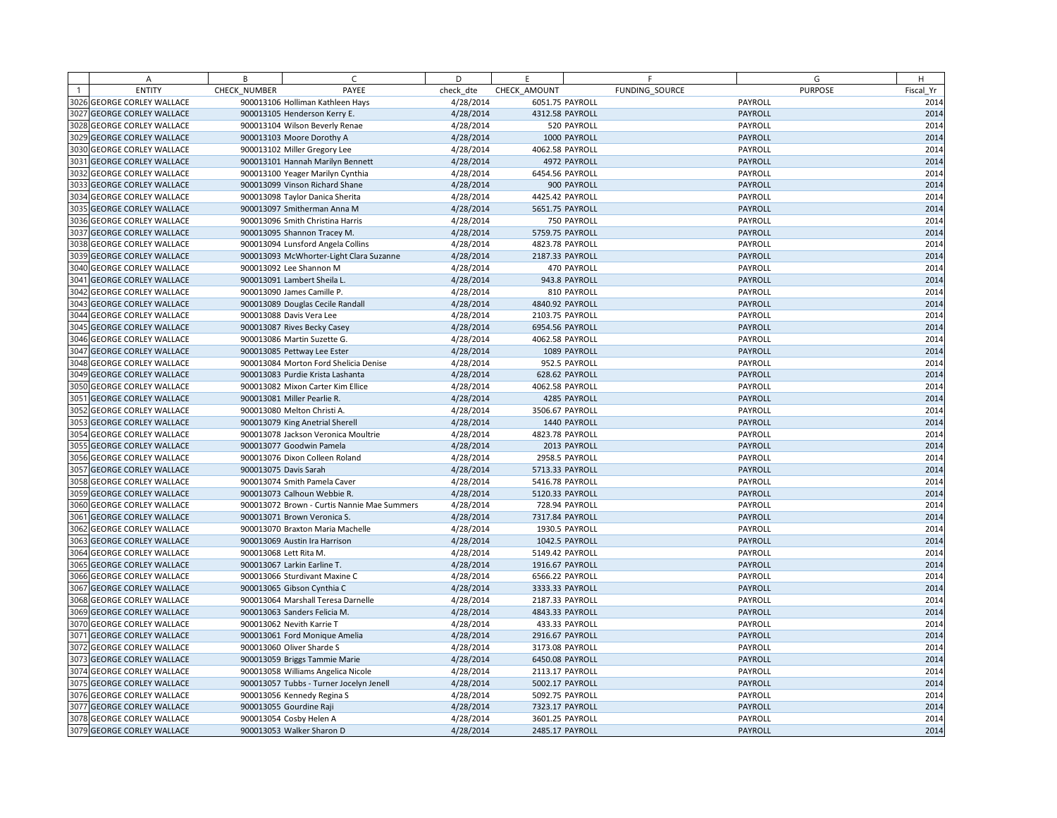|      | A                                 | B            | $\subset$                                   | D         | E               |                | F              | G              | H         |
|------|-----------------------------------|--------------|---------------------------------------------|-----------|-----------------|----------------|----------------|----------------|-----------|
|      | <b>ENTITY</b>                     | CHECK NUMBER | PAYEE                                       | check dte | CHECK AMOUNT    |                | FUNDING SOURCE | <b>PURPOSE</b> | Fiscal Yr |
|      | 3026 GEORGE CORLEY WALLACE        |              | 900013106 Holliman Kathleen Hays            | 4/28/2014 | 6051.75 PAYROLL |                |                | PAYROLL        | 2014      |
|      | 3027 GEORGE CORLEY WALLACE        |              | 900013105 Henderson Kerry E.                | 4/28/2014 | 4312.58 PAYROLL |                |                | PAYROLL        | 2014      |
|      | 3028 GEORGE CORLEY WALLACE        |              | 900013104 Wilson Beverly Renae              | 4/28/2014 |                 | 520 PAYROLL    |                | PAYROLL        | 2014      |
|      | 3029 GEORGE CORLEY WALLACE        |              | 900013103 Moore Dorothy A                   | 4/28/2014 |                 | 1000 PAYROLL   |                | PAYROLL        | 2014      |
|      | 3030 GEORGE CORLEY WALLACE        |              | 900013102 Miller Gregory Lee                | 4/28/2014 | 4062.58 PAYROLL |                |                | PAYROLL        | 2014      |
|      | 3031 GEORGE CORLEY WALLACE        |              | 900013101 Hannah Marilyn Bennett            | 4/28/2014 |                 | 4972 PAYROLL   |                | PAYROLL        | 2014      |
|      | 3032 GEORGE CORLEY WALLACE        |              | 900013100 Yeager Marilyn Cynthia            | 4/28/2014 | 6454.56 PAYROLL |                |                | PAYROLL        | 2014      |
|      | 3033 GEORGE CORLEY WALLACE        |              | 900013099 Vinson Richard Shane              | 4/28/2014 |                 | 900 PAYROLL    |                | PAYROLL        | 2014      |
|      | 3034 GEORGE CORLEY WALLACE        |              | 900013098 Taylor Danica Sherita             | 4/28/2014 | 4425.42 PAYROLL |                |                | PAYROLL        | 2014      |
|      | 3035 GEORGE CORLEY WALLACE        |              | 900013097 Smitherman Anna M                 | 4/28/2014 | 5651.75 PAYROLL |                |                | PAYROLL        | 2014      |
|      | 3036 GEORGE CORLEY WALLACE        |              | 900013096 Smith Christina Harris            | 4/28/2014 |                 | 750 PAYROLL    |                | PAYROLL        | 2014      |
|      | 3037 GEORGE CORLEY WALLACE        |              | 900013095 Shannon Tracey M.                 | 4/28/2014 | 5759.75 PAYROLL |                |                | PAYROLL        | 2014      |
|      | 3038 GEORGE CORLEY WALLACE        |              | 900013094 Lunsford Angela Collins           | 4/28/2014 | 4823.78 PAYROLL |                |                | PAYROLL        | 2014      |
|      | 3039 GEORGE CORLEY WALLACE        |              | 900013093 McWhorter-Light Clara Suzanne     | 4/28/2014 | 2187.33 PAYROLL |                |                | PAYROLL        | 2014      |
|      | 3040 GEORGE CORLEY WALLACE        |              | 900013092 Lee Shannon M                     | 4/28/2014 |                 | 470 PAYROLL    |                | PAYROLL        | 2014      |
|      | 3041 GEORGE CORLEY WALLACE        |              | 900013091 Lambert Sheila L.                 | 4/28/2014 |                 | 943.8 PAYROLL  |                | PAYROLL        | 2014      |
|      | 3042 GEORGE CORLEY WALLACE        |              | 900013090 James Camille P.                  | 4/28/2014 |                 | 810 PAYROLL    |                | PAYROLL        | 2014      |
|      | 3043 GEORGE CORLEY WALLACE        |              | 900013089 Douglas Cecile Randall            | 4/28/2014 | 4840.92 PAYROLL |                |                | PAYROLL        | 2014      |
|      | 3044 GEORGE CORLEY WALLACE        |              | 900013088 Davis Vera Lee                    | 4/28/2014 | 2103.75 PAYROLL |                |                | PAYROLL        | 2014      |
|      | 3045 GEORGE CORLEY WALLACE        |              | 900013087 Rives Becky Casey                 | 4/28/2014 | 6954.56 PAYROLL |                |                | PAYROLL        | 2014      |
|      | <b>3046 GEORGE CORLEY WALLACE</b> |              | 900013086 Martin Suzette G.                 | 4/28/2014 | 4062.58 PAYROLL |                |                | PAYROLL        | 2014      |
|      | 3047 GEORGE CORLEY WALLACE        |              | 900013085 Pettway Lee Ester                 | 4/28/2014 |                 | 1089 PAYROLL   |                | PAYROLL        | 2014      |
|      | 3048 GEORGE CORLEY WALLACE        |              | 900013084 Morton Ford Shelicia Denise       | 4/28/2014 |                 | 952.5 PAYROLL  |                | PAYROLL        | 2014      |
| 3049 | <b>GEORGE CORLEY WALLACE</b>      |              | 900013083 Purdie Krista Lashanta            | 4/28/2014 |                 | 628.62 PAYROLL |                | PAYROLL        | 2014      |
|      | 3050 GEORGE CORLEY WALLACE        |              | 900013082 Mixon Carter Kim Ellice           | 4/28/2014 | 4062.58 PAYROLL |                |                | PAYROLL        | 2014      |
|      | 3051 GEORGE CORLEY WALLACE        |              | 900013081 Miller Pearlie R.                 | 4/28/2014 |                 | 4285 PAYROLL   |                | PAYROLL        | 2014      |
| 3052 | <b>GEORGE CORLEY WALLACE</b>      |              | 900013080 Melton Christi A.                 | 4/28/2014 | 3506.67 PAYROLL |                |                | PAYROLL        | 2014      |
|      | 3053 GEORGE CORLEY WALLACE        |              | 900013079 King Anetrial Sherell             | 4/28/2014 |                 | 1440 PAYROLL   |                | PAYROLL        | 2014      |
|      | 3054 GEORGE CORLEY WALLACE        |              | 900013078 Jackson Veronica Moultrie         | 4/28/2014 | 4823.78 PAYROLL |                |                | PAYROLL        | 2014      |
|      | 3055 GEORGE CORLEY WALLACE        |              | 900013077 Goodwin Pamela                    | 4/28/2014 |                 | 2013 PAYROLL   |                | PAYROLL        | 2014      |
|      | 3056 GEORGE CORLEY WALLACE        |              | 900013076 Dixon Colleen Roland              | 4/28/2014 |                 | 2958.5 PAYROLL |                | PAYROLL        | 2014      |
|      | 3057 GEORGE CORLEY WALLACE        |              | 900013075 Davis Sarah                       | 4/28/2014 | 5713.33 PAYROLL |                |                | PAYROLL        | 2014      |
|      | 3058 GEORGE CORLEY WALLACE        |              | 900013074 Smith Pamela Caver                | 4/28/2014 | 5416.78 PAYROLL |                |                | PAYROLL        | 2014      |
|      | 3059 GEORGE CORLEY WALLACE        |              | 900013073 Calhoun Webbie R.                 | 4/28/2014 | 5120.33 PAYROLL |                |                | PAYROLL        | 2014      |
|      | 3060 GEORGE CORLEY WALLACE        |              | 900013072 Brown - Curtis Nannie Mae Summers | 4/28/2014 |                 | 728.94 PAYROLL |                | PAYROLL        | 2014      |
|      | 3061 GEORGE CORLEY WALLACE        |              | 900013071 Brown Veronica S.                 | 4/28/2014 | 7317.84 PAYROLL |                |                | PAYROLL        | 2014      |
|      | 3062 GEORGE CORLEY WALLACE        |              | 900013070 Braxton Maria Machelle            | 4/28/2014 |                 | 1930.5 PAYROLL |                | PAYROLL        | 2014      |
|      | 3063 GEORGE CORLEY WALLACE        |              | 900013069 Austin Ira Harrison               | 4/28/2014 |                 | 1042.5 PAYROLL |                | PAYROLL        | 2014      |
|      | 3064 GEORGE CORLEY WALLACE        |              | 900013068 Lett Rita M.                      | 4/28/2014 | 5149.42 PAYROLL |                |                | PAYROLL        | 2014      |
|      | 3065 GEORGE CORLEY WALLACE        |              | 900013067 Larkin Earline T.                 | 4/28/2014 | 1916.67 PAYROLL |                |                | PAYROLL        | 2014      |
|      | 3066 GEORGE CORLEY WALLACE        |              | 900013066 Sturdivant Maxine C               | 4/28/2014 | 6566.22 PAYROLL |                |                | PAYROLL        | 2014      |
|      | 3067 GEORGE CORLEY WALLACE        |              | 900013065 Gibson Cynthia C                  | 4/28/2014 | 3333.33 PAYROLL |                |                | PAYROLL        | 2014      |
|      | 3068 GEORGE CORLEY WALLACE        |              | 900013064 Marshall Teresa Darnelle          | 4/28/2014 | 2187.33 PAYROLL |                |                | PAYROLL        | 2014      |
|      | 3069 GEORGE CORLEY WALLACE        |              | 900013063 Sanders Felicia M.                | 4/28/2014 | 4843.33 PAYROLL |                |                | PAYROLL        | 2014      |
|      | 3070 GEORGE CORLEY WALLACE        |              | 900013062 Nevith Karrie T                   | 4/28/2014 |                 | 433.33 PAYROLL |                | PAYROLL        | 2014      |
|      | 3071 GEORGE CORLEY WALLACE        |              | 900013061 Ford Monique Amelia               | 4/28/2014 | 2916.67 PAYROLL |                |                | PAYROLL        | 2014      |
|      | 3072 GEORGE CORLEY WALLACE        |              | 900013060 Oliver Sharde S                   | 4/28/2014 | 3173.08 PAYROLL |                |                | PAYROLL        | 2014      |
|      | 3073 GEORGE CORLEY WALLACE        |              | 900013059 Briggs Tammie Marie               | 4/28/2014 | 6450.08 PAYROLL |                |                | PAYROLL        | 2014      |
|      | 3074 GEORGE CORLEY WALLACE        |              | 900013058 Williams Angelica Nicole          | 4/28/2014 | 2113.17 PAYROLL |                |                | PAYROLL        | 2014      |
|      | 3075 GEORGE CORLEY WALLACE        |              | 900013057 Tubbs - Turner Jocelyn Jenell     | 4/28/2014 | 5002.17 PAYROLL |                |                | PAYROLL        | 2014      |
|      | 3076 GEORGE CORLEY WALLACE        |              | 900013056 Kennedy Regina S                  | 4/28/2014 | 5092.75 PAYROLL |                |                | PAYROLL        | 2014      |
|      | 3077 GEORGE CORLEY WALLACE        |              | 900013055 Gourdine Raji                     | 4/28/2014 | 7323.17 PAYROLL |                |                | PAYROLL        | 2014      |
|      | 3078 GEORGE CORLEY WALLACE        |              | 900013054 Cosby Helen A                     | 4/28/2014 | 3601.25 PAYROLL |                |                | PAYROLL        | 2014      |
|      | 3079 GEORGE CORLEY WALLACE        |              | 900013053 Walker Sharon D                   | 4/28/2014 | 2485.17 PAYROLL |                |                | PAYROLL        | 2014      |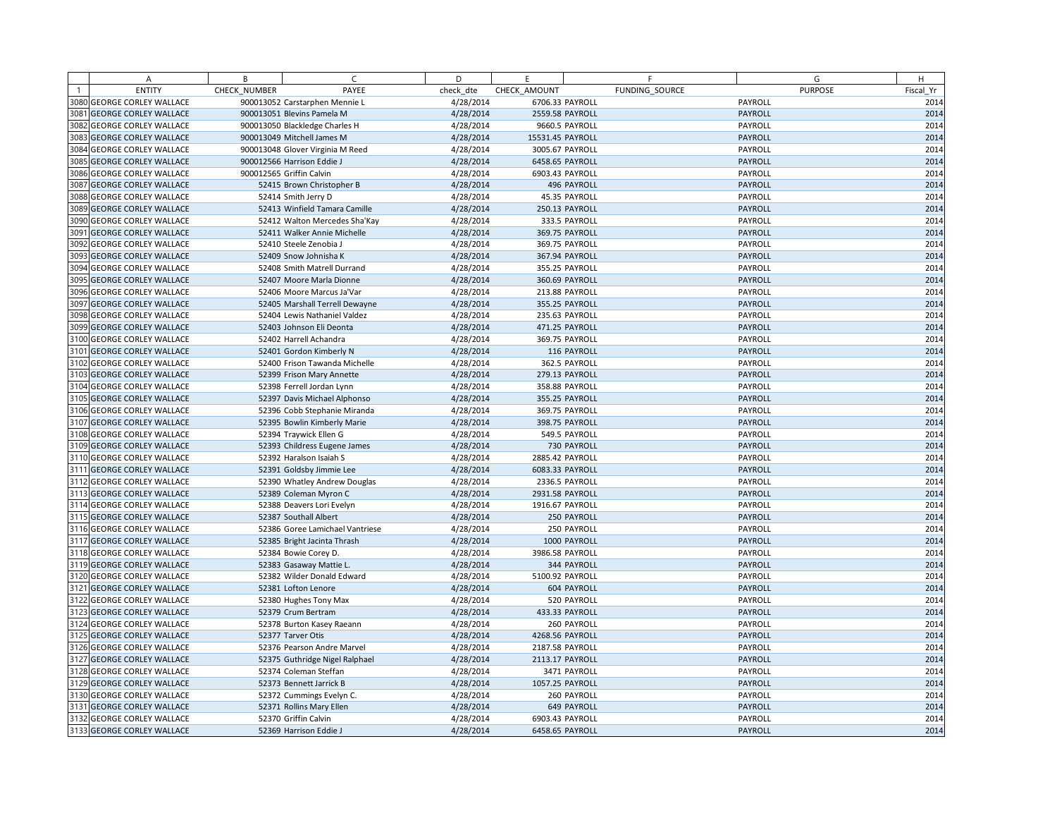|      | Α                            | B            | $\mathsf{C}$                     | D         | E                | F                  | G              | H         |
|------|------------------------------|--------------|----------------------------------|-----------|------------------|--------------------|----------------|-----------|
|      | <b>ENTITY</b>                | CHECK NUMBER | PAYEE                            | check dte | CHECK AMOUNT     | FUNDING SOURCE     | <b>PURPOSE</b> | Fiscal Yr |
|      | 3080 GEORGE CORLEY WALLACE   |              | 900013052 Carstarphen Mennie L   | 4/28/2014 | 6706.33 PAYROLL  |                    | PAYROLL        | 2014      |
|      | 3081 GEORGE CORLEY WALLACE   |              | 900013051 Blevins Pamela M       | 4/28/2014 | 2559.58 PAYROLL  |                    | PAYROLL        | 2014      |
|      | 3082 GEORGE CORLEY WALLACE   |              | 900013050 Blackledge Charles H   | 4/28/2014 | 9660.5 PAYROLL   |                    | PAYROLL        | 2014      |
|      | 3083 GEORGE CORLEY WALLACE   |              | 900013049 Mitchell James M       | 4/28/2014 | 15531.45 PAYROLL |                    | PAYROLL        | 2014      |
|      | 3084 GEORGE CORLEY WALLACE   |              | 900013048 Glover Virginia M Reed | 4/28/2014 | 3005.67 PAYROLL  |                    | PAYROLL        | 2014      |
|      | 3085 GEORGE CORLEY WALLACE   |              | 900012566 Harrison Eddie J       | 4/28/2014 | 6458.65 PAYROLL  |                    | PAYROLL        | 2014      |
|      | 3086 GEORGE CORLEY WALLACE   |              | 900012565 Griffin Calvin         | 4/28/2014 | 6903.43 PAYROLL  |                    | PAYROLL        | 2014      |
|      | 3087 GEORGE CORLEY WALLACE   |              | 52415 Brown Christopher B        | 4/28/2014 |                  | 496 PAYROLL        | PAYROLL        | 2014      |
|      | 3088 GEORGE CORLEY WALLACE   |              | 52414 Smith Jerry D              | 4/28/2014 |                  | 45.35 PAYROLL      | PAYROLL        | 2014      |
|      | 3089 GEORGE CORLEY WALLACE   |              | 52413 Winfield Tamara Camille    | 4/28/2014 |                  | 250.13 PAYROLL     | PAYROLL        | 2014      |
|      | 3090 GEORGE CORLEY WALLACE   |              | 52412 Walton Mercedes Sha'Kay    | 4/28/2014 |                  | 333.5 PAYROLL      | PAYROLL        | 2014      |
| 3091 | <b>GEORGE CORLEY WALLACE</b> |              | 52411 Walker Annie Michelle      | 4/28/2014 |                  | 369.75 PAYROLL     | PAYROLL        | 2014      |
|      | 3092 GEORGE CORLEY WALLACE   |              | 52410 Steele Zenobia J           | 4/28/2014 |                  | 369.75 PAYROLL     | PAYROLL        | 2014      |
| 3093 | <b>GEORGE CORLEY WALLACE</b> |              | 52409 Snow Johnisha K            | 4/28/2014 | 367.94 PAYROLL   |                    | PAYROLL        | 2014      |
|      | 3094 GEORGE CORLEY WALLACE   |              | 52408 Smith Matrell Durrand      | 4/28/2014 |                  | 355.25 PAYROLL     | PAYROLL        | 2014      |
|      | 3095 GEORGE CORLEY WALLACE   |              | 52407 Moore Marla Dionne         | 4/28/2014 | 360.69 PAYROLL   |                    | PAYROLL        | 2014      |
|      | 3096 GEORGE CORLEY WALLACE   |              | 52406 Moore Marcus Ja'Var        | 4/28/2014 |                  | 213.88 PAYROLL     | PAYROLL        | 2014      |
| 3097 | <b>GEORGE CORLEY WALLACE</b> |              | 52405 Marshall Terrell Dewayne   | 4/28/2014 |                  | 355.25 PAYROLL     | PAYROLL        | 2014      |
|      | 3098 GEORGE CORLEY WALLACE   |              | 52404 Lewis Nathaniel Valdez     | 4/28/2014 |                  | 235.63 PAYROLL     | PAYROLL        | 2014      |
|      | 3099 GEORGE CORLEY WALLACE   |              | 52403 Johnson Eli Deonta         | 4/28/2014 |                  | 471.25 PAYROLL     | PAYROLL        | 2014      |
|      | 3100 GEORGE CORLEY WALLACE   |              | 52402 Harrell Achandra           | 4/28/2014 |                  | 369.75 PAYROLL     | PAYROLL        | 2014      |
|      | 3101 GEORGE CORLEY WALLACE   |              | 52401 Gordon Kimberly N          | 4/28/2014 |                  | 116 PAYROLL        | PAYROLL        | 2014      |
|      | 3102 GEORGE CORLEY WALLACE   |              | 52400 Frison Tawanda Michelle    | 4/28/2014 |                  | 362.5 PAYROLL      | PAYROLL        | 2014      |
|      | 3103 GEORGE CORLEY WALLACE   |              | 52399 Frison Mary Annette        | 4/28/2014 |                  | 279.13 PAYROLL     | PAYROLL        | 2014      |
|      | 3104 GEORGE CORLEY WALLACE   |              | 52398 Ferrell Jordan Lynn        | 4/28/2014 |                  | 358.88 PAYROLL     | PAYROLL        | 2014      |
|      | 3105 GEORGE CORLEY WALLACE   |              | 52397 Davis Michael Alphonso     | 4/28/2014 | 355.25 PAYROLL   |                    | PAYROLL        | 2014      |
|      | 3106 GEORGE CORLEY WALLACE   |              | 52396 Cobb Stephanie Miranda     | 4/28/2014 |                  | 369.75 PAYROLL     | PAYROLL        | 2014      |
|      | 3107 GEORGE CORLEY WALLACE   |              | 52395 Bowlin Kimberly Marie      | 4/28/2014 |                  | 398.75 PAYROLL     | PAYROLL        | 2014      |
|      | 3108 GEORGE CORLEY WALLACE   |              | 52394 Traywick Ellen G           | 4/28/2014 |                  | 549.5 PAYROLL      | PAYROLL        | 2014      |
|      | 3109 GEORGE CORLEY WALLACE   |              | 52393 Childress Eugene James     | 4/28/2014 |                  | 730 PAYROLL        | PAYROLL        | 2014      |
|      | 3110 GEORGE CORLEY WALLACE   |              | 52392 Haralson Isaiah S          | 4/28/2014 | 2885.42 PAYROLL  |                    | PAYROLL        | 2014      |
|      | 3111 GEORGE CORLEY WALLACE   |              | 52391 Goldsby Jimmie Lee         | 4/28/2014 | 6083.33 PAYROLL  |                    | PAYROLL        | 2014      |
|      | 3112 GEORGE CORLEY WALLACE   |              | 52390 Whatley Andrew Douglas     | 4/28/2014 | 2336.5 PAYROLL   |                    | PAYROLL        | 2014      |
|      | 3113 GEORGE CORLEY WALLACE   |              | 52389 Coleman Myron C            | 4/28/2014 | 2931.58 PAYROLL  |                    | PAYROLL        | 2014      |
|      | 3114 GEORGE CORLEY WALLACE   |              | 52388 Deavers Lori Evelyn        | 4/28/2014 | 1916.67 PAYROLL  |                    | PAYROLL        | 2014      |
|      | 3115 GEORGE CORLEY WALLACE   |              | 52387 Southall Albert            | 4/28/2014 |                  | 250 PAYROLL        | PAYROLL        | 2014      |
|      | 3116 GEORGE CORLEY WALLACE   |              | 52386 Goree Lamichael Vantriese  | 4/28/2014 |                  | 250 PAYROLL        | PAYROLL        | 2014      |
|      | 3117 GEORGE CORLEY WALLACE   |              | 52385 Bright Jacinta Thrash      | 4/28/2014 |                  | 1000 PAYROLL       | PAYROLL        | 2014      |
|      | 3118 GEORGE CORLEY WALLACE   |              | 52384 Bowie Corey D.             | 4/28/2014 | 3986.58 PAYROLL  |                    | PAYROLL        | 2014      |
|      | 3119 GEORGE CORLEY WALLACE   |              | 52383 Gasaway Mattie L.          | 4/28/2014 |                  | 344 PAYROLL        | PAYROLL        | 2014      |
|      | 3120 GEORGE CORLEY WALLACE   |              | 52382 Wilder Donald Edward       | 4/28/2014 | 5100.92 PAYROLL  |                    | PAYROLL        | 2014      |
|      | 3121 GEORGE CORLEY WALLACE   |              | 52381 Lofton Lenore              | 4/28/2014 |                  | 604 PAYROLL        | PAYROLL        | 2014      |
|      | 3122 GEORGE CORLEY WALLACE   |              | 52380 Hughes Tony Max            | 4/28/2014 |                  | 520 PAYROLL        | PAYROLL        | 2014      |
|      | 3123 GEORGE CORLEY WALLACE   |              | 52379 Crum Bertram               | 4/28/2014 | 433.33 PAYROLL   |                    | PAYROLL        | 2014      |
|      | 3124 GEORGE CORLEY WALLACE   |              | 52378 Burton Kasey Raeann        | 4/28/2014 |                  | 260 PAYROLL        | PAYROLL        | 2014      |
|      | 3125 GEORGE CORLEY WALLACE   |              | 52377 Tarver Otis                | 4/28/2014 | 4268.56 PAYROLL  |                    | PAYROLL        | 2014      |
|      | 3126 GEORGE CORLEY WALLACE   |              | 52376 Pearson Andre Marvel       | 4/28/2014 | 2187.58 PAYROLL  |                    | PAYROLL        | 2014      |
|      | 3127 GEORGE CORLEY WALLACE   |              | 52375 Guthridge Nigel Ralphael   | 4/28/2014 | 2113.17 PAYROLL  |                    | PAYROLL        | 2014      |
|      | 3128 GEORGE CORLEY WALLACE   |              | 52374 Coleman Steffan            | 4/28/2014 |                  | 3471 PAYROLL       | PAYROLL        | 2014      |
|      | 3129 GEORGE CORLEY WALLACE   |              | 52373 Bennett Jarrick B          | 4/28/2014 | 1057.25 PAYROLL  |                    | PAYROLL        | 2014      |
|      | 3130 GEORGE CORLEY WALLACE   |              | 52372 Cummings Evelyn C.         | 4/28/2014 |                  | 260 PAYROLL        | PAYROLL        | 2014      |
|      | 3131 GEORGE CORLEY WALLACE   |              | 52371 Rollins Mary Ellen         | 4/28/2014 |                  | <b>649 PAYROLL</b> | PAYROLL        | 2014      |
|      | 3132 GEORGE CORLEY WALLACE   |              | 52370 Griffin Calvin             | 4/28/2014 | 6903.43 PAYROLL  |                    | PAYROLL        | 2014      |
|      | 3133 GEORGE CORLEY WALLACE   |              | 52369 Harrison Eddie J           | 4/28/2014 | 6458.65 PAYROLL  |                    | PAYROLL        | 2014      |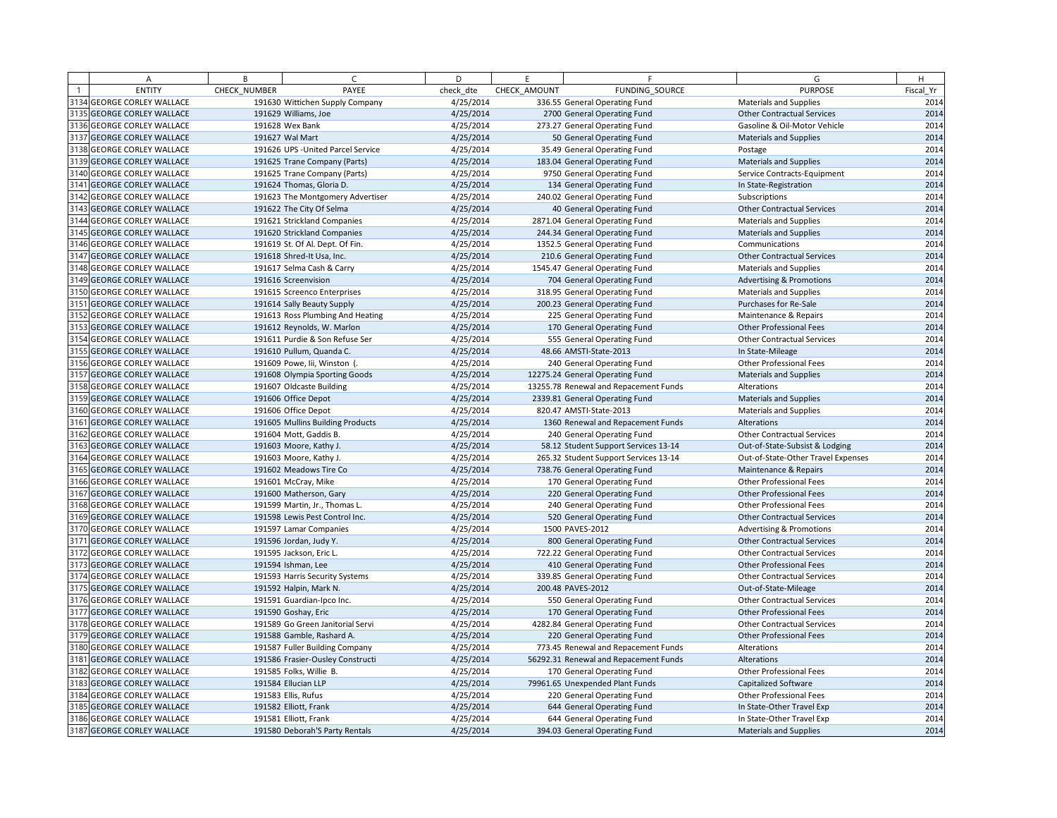| A                          | B            | $\sqrt{2}$                         | D         | E            | F.                                    | G                                   | H         |
|----------------------------|--------------|------------------------------------|-----------|--------------|---------------------------------------|-------------------------------------|-----------|
| <b>ENTITY</b>              | CHECK NUMBER | PAYEE                              | check dte | CHECK AMOUNT | <b>FUNDING SOURCE</b>                 | <b>PURPOSE</b>                      | Fiscal Yr |
| 3134 GEORGE CORLEY WALLACE |              | 191630 Wittichen Supply Company    | 4/25/2014 |              | 336.55 General Operating Fund         | <b>Materials and Supplies</b>       | 2014      |
| 3135 GEORGE CORLEY WALLACE |              | 191629 Williams, Joe               | 4/25/2014 |              | 2700 General Operating Fund           | <b>Other Contractual Services</b>   | 2014      |
| 3136 GEORGE CORLEY WALLACE |              | 191628 Wex Bank                    | 4/25/2014 |              | 273.27 General Operating Fund         | Gasoline & Oil-Motor Vehicle        | 2014      |
| 3137 GEORGE CORLEY WALLACE |              | 191627 Wal Mart                    | 4/25/2014 |              | 50 General Operating Fund             | <b>Materials and Supplies</b>       | 2014      |
| 3138 GEORGE CORLEY WALLACE |              | 191626 UPS - United Parcel Service | 4/25/2014 |              | 35.49 General Operating Fund          | Postage                             | 2014      |
| 3139 GEORGE CORLEY WALLACE |              | 191625 Trane Company (Parts)       | 4/25/2014 |              | 183.04 General Operating Fund         | <b>Materials and Supplies</b>       | 2014      |
| 3140 GEORGE CORLEY WALLACE |              | 191625 Trane Company (Parts)       | 4/25/2014 |              | 9750 General Operating Fund           | Service Contracts-Equipment         | 2014      |
| 3141 GEORGE CORLEY WALLACE |              | 191624 Thomas, Gloria D.           | 4/25/2014 |              | 134 General Operating Fund            | In State-Registration               | 2014      |
| 3142 GEORGE CORLEY WALLACE |              | 191623 The Montgomery Advertiser   | 4/25/2014 |              | 240.02 General Operating Fund         | Subscriptions                       | 2014      |
| 3143 GEORGE CORLEY WALLACE |              | 191622 The City Of Selma           | 4/25/2014 |              | 40 General Operating Fund             | <b>Other Contractual Services</b>   | 2014      |
| 3144 GEORGE CORLEY WALLACE |              | 191621 Strickland Companies        | 4/25/2014 |              | 2871.04 General Operating Fund        | Materials and Supplies              | 2014      |
| 3145 GEORGE CORLEY WALLACE |              | 191620 Strickland Companies        | 4/25/2014 |              | 244.34 General Operating Fund         | <b>Materials and Supplies</b>       | 2014      |
| 3146 GEORGE CORLEY WALLACE |              | 191619 St. Of Al. Dept. Of Fin.    | 4/25/2014 |              | 1352.5 General Operating Fund         | Communications                      | 2014      |
| 3147 GEORGE CORLEY WALLACE |              | 191618 Shred-It Usa, Inc.          | 4/25/2014 |              | 210.6 General Operating Fund          | <b>Other Contractual Services</b>   | 2014      |
| 3148 GEORGE CORLEY WALLACE |              | 191617 Selma Cash & Carry          | 4/25/2014 |              | 1545.47 General Operating Fund        | <b>Materials and Supplies</b>       | 2014      |
| 3149 GEORGE CORLEY WALLACE |              | 191616 Screenvision                | 4/25/2014 |              | 704 General Operating Fund            | <b>Advertising &amp; Promotions</b> | 2014      |
| 3150 GEORGE CORLEY WALLACE |              | 191615 Screenco Enterprises        | 4/25/2014 |              | 318.95 General Operating Fund         | <b>Materials and Supplies</b>       | 2014      |
| 3151 GEORGE CORLEY WALLACE |              | 191614 Sally Beauty Supply         | 4/25/2014 |              | 200.23 General Operating Fund         | Purchases for Re-Sale               | 2014      |
| 3152 GEORGE CORLEY WALLACE |              | 191613 Ross Plumbing And Heating   | 4/25/2014 |              | 225 General Operating Fund            | Maintenance & Repairs               | 2014      |
| 3153 GEORGE CORLEY WALLACE |              | 191612 Reynolds, W. Marlon         | 4/25/2014 |              | 170 General Operating Fund            | Other Professional Fees             | 2014      |
| 3154 GEORGE CORLEY WALLACE |              | 191611 Purdie & Son Refuse Ser     | 4/25/2014 |              | 555 General Operating Fund            | <b>Other Contractual Services</b>   | 2014      |
| 3155 GEORGE CORLEY WALLACE |              | 191610 Pullum, Quanda C.           | 4/25/2014 |              | 48.66 AMSTI-State-2013                | In State-Mileage                    | 2014      |
| 3156 GEORGE CORLEY WALLACE |              | 191609 Powe, Iii, Winston (        | 4/25/2014 |              | 240 General Operating Fund            | Other Professional Fees             | 2014      |
| 3157 GEORGE CORLEY WALLACE |              | 191608 Olympia Sporting Goods      | 4/25/2014 |              | 12275.24 General Operating Fund       | <b>Materials and Supplies</b>       | 2014      |
| 3158 GEORGE CORLEY WALLACE |              | 191607 Oldcaste Building           | 4/25/2014 |              | 13255.78 Renewal and Repacement Funds | Alterations                         | 2014      |
| 3159 GEORGE CORLEY WALLACE |              | 191606 Office Depot                | 4/25/2014 |              | 2339.81 General Operating Fund        | <b>Materials and Supplies</b>       | 2014      |
| 3160 GEORGE CORLEY WALLACE |              | 191606 Office Depot                | 4/25/2014 |              | 820.47 AMSTI-State-2013               | Materials and Supplies              | 2014      |
| 3161 GEORGE CORLEY WALLACE |              | 191605 Mullins Building Products   | 4/25/2014 |              | 1360 Renewal and Repacement Funds     | Alterations                         | 2014      |
| 3162 GEORGE CORLEY WALLACE |              | 191604 Mott, Gaddis B.             | 4/25/2014 |              | 240 General Operating Fund            | <b>Other Contractual Services</b>   | 2014      |
| 3163 GEORGE CORLEY WALLACE |              | 191603 Moore, Kathy J.             | 4/25/2014 |              | 58.12 Student Support Services 13-14  | Out-of-State-Subsist & Lodging      | 2014      |
| 3164 GEORGE CORLEY WALLACE |              | 191603 Moore, Kathy J.             | 4/25/2014 |              | 265.32 Student Support Services 13-14 | Out-of-State-Other Travel Expenses  | 2014      |
| 3165 GEORGE CORLEY WALLACE |              | 191602 Meadows Tire Co             | 4/25/2014 |              | 738.76 General Operating Fund         | Maintenance & Repairs               | 2014      |
| 3166 GEORGE CORLEY WALLACE |              | 191601 McCray, Mike                | 4/25/2014 |              | 170 General Operating Fund            | <b>Other Professional Fees</b>      | 2014      |
| 3167 GEORGE CORLEY WALLACE |              | 191600 Matherson, Gary             | 4/25/2014 |              | 220 General Operating Fund            | <b>Other Professional Fees</b>      | 2014      |
| 3168 GEORGE CORLEY WALLACE |              | 191599 Martin, Jr., Thomas L.      | 4/25/2014 |              | 240 General Operating Fund            | Other Professional Fees             | 2014      |
| 3169 GEORGE CORLEY WALLACE |              | 191598 Lewis Pest Control Inc.     | 4/25/2014 |              | 520 General Operating Fund            | <b>Other Contractual Services</b>   | 2014      |
| 3170 GEORGE CORLEY WALLACE |              | 191597 Lamar Companies             | 4/25/2014 |              | 1500 PAVES-2012                       | <b>Advertising &amp; Promotions</b> | 2014      |
| 3171 GEORGE CORLEY WALLACE |              | 191596 Jordan, Judy Y.             | 4/25/2014 |              | 800 General Operating Fund            | <b>Other Contractual Services</b>   | 2014      |
| 3172 GEORGE CORLEY WALLACE |              | 191595 Jackson, Eric L.            | 4/25/2014 |              | 722.22 General Operating Fund         | <b>Other Contractual Services</b>   | 2014      |
| 3173 GEORGE CORLEY WALLACE |              | 191594 Ishman, Lee                 | 4/25/2014 |              | 410 General Operating Fund            | <b>Other Professional Fees</b>      | 2014      |
| 3174 GEORGE CORLEY WALLACE |              | 191593 Harris Security Systems     | 4/25/2014 |              | 339.85 General Operating Fund         | <b>Other Contractual Services</b>   | 2014      |
| 3175 GEORGE CORLEY WALLACE |              | 191592 Halpin, Mark N.             | 4/25/2014 |              | 200.48 PAVES-2012                     | Out-of-State-Mileage                | 2014      |
| 3176 GEORGE CORLEY WALLACE |              | 191591 Guardian-Ipco Inc.          | 4/25/2014 |              | 550 General Operating Fund            | <b>Other Contractual Services</b>   | 2014      |
| 3177 GEORGE CORLEY WALLACE |              | 191590 Goshay, Eric                | 4/25/2014 |              | 170 General Operating Fund            | <b>Other Professional Fees</b>      | 2014      |
| 3178 GEORGE CORLEY WALLACE |              | 191589 Go Green Janitorial Servi   | 4/25/2014 |              | 4282.84 General Operating Fund        | <b>Other Contractual Services</b>   | 2014      |
| 3179 GEORGE CORLEY WALLACE |              | 191588 Gamble, Rashard A.          | 4/25/2014 |              | 220 General Operating Fund            | <b>Other Professional Fees</b>      | 2014      |
| 3180 GEORGE CORLEY WALLACE |              | 191587 Fuller Building Company     | 4/25/2014 |              | 773.45 Renewal and Repacement Funds   | Alterations                         | 2014      |
| 3181 GEORGE CORLEY WALLACE |              | 191586 Frasier-Ousley Constructi   | 4/25/2014 |              | 56292.31 Renewal and Repacement Funds | Alterations                         | 2014      |
| 3182 GEORGE CORLEY WALLACE |              | 191585 Folks, Willie B.            | 4/25/2014 |              | 170 General Operating Fund            | <b>Other Professional Fees</b>      | 2014      |
| 3183 GEORGE CORLEY WALLACE |              | 191584 Ellucian LLP                | 4/25/2014 |              | 79961.65 Unexpended Plant Funds       | <b>Capitalized Software</b>         | 2014      |
| 3184 GEORGE CORLEY WALLACE |              | 191583 Ellis, Rufus                | 4/25/2014 |              | 220 General Operating Fund            | Other Professional Fees             | 2014      |
| 3185 GEORGE CORLEY WALLACE |              | 191582 Elliott, Frank              | 4/25/2014 |              | 644 General Operating Fund            | In State-Other Travel Exp           | 2014      |
| 3186 GEORGE CORLEY WALLACE |              | 191581 Elliott, Frank              | 4/25/2014 |              | 644 General Operating Fund            | In State-Other Travel Exp           | 2014      |
| 3187 GEORGE CORLEY WALLACE |              | 191580 Deborah'S Party Rentals     | 4/25/2014 |              | 394.03 General Operating Fund         | <b>Materials and Supplies</b>       | 2014      |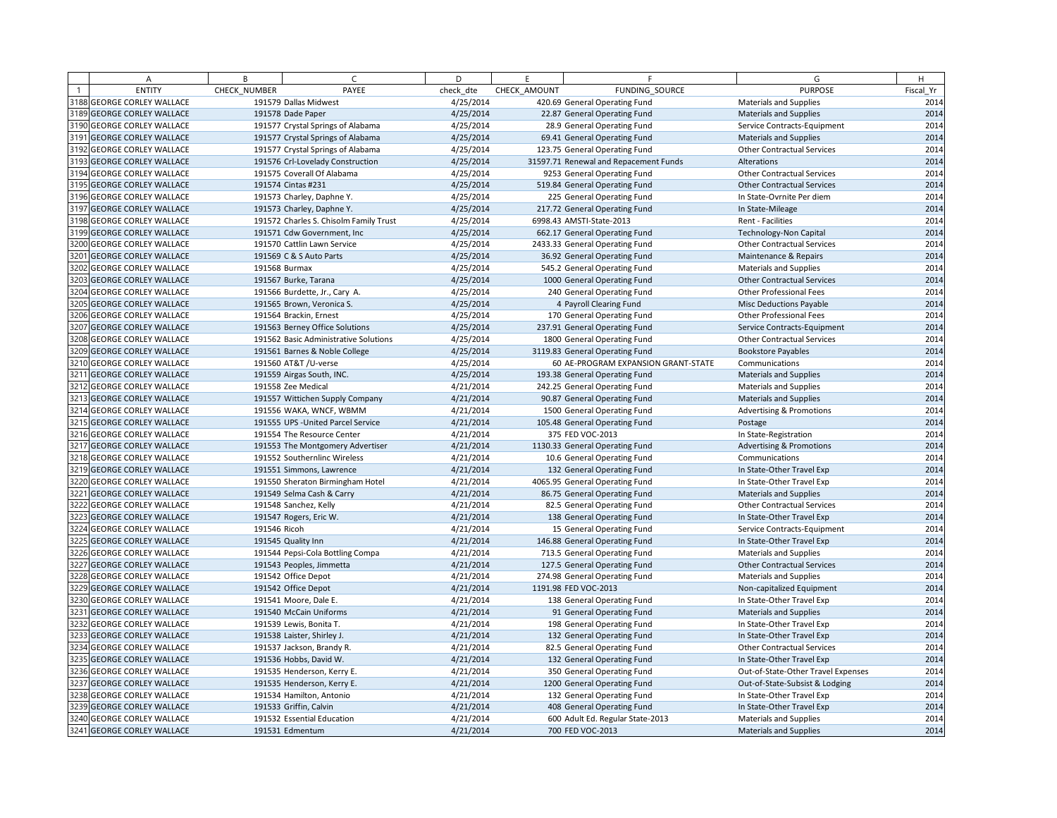| A                                 | B            | $\sqrt{ }$                             | D         | E            | F.                                    | G                                   | H         |
|-----------------------------------|--------------|----------------------------------------|-----------|--------------|---------------------------------------|-------------------------------------|-----------|
| <b>ENTITY</b>                     | CHECK NUMBER | PAYEE                                  | check dte | CHECK AMOUNT | <b>FUNDING SOURCE</b>                 | <b>PURPOSE</b>                      | Fiscal Yr |
| 3188 GEORGE CORLEY WALLACE        |              | 191579 Dallas Midwest                  | 4/25/2014 |              | 420.69 General Operating Fund         | <b>Materials and Supplies</b>       | 2014      |
| 3189 GEORGE CORLEY WALLACE        |              | 191578 Dade Paper                      | 4/25/2014 |              | 22.87 General Operating Fund          | <b>Materials and Supplies</b>       | 2014      |
| 3190 GEORGE CORLEY WALLACE        |              | 191577 Crystal Springs of Alabama      | 4/25/2014 |              | 28.9 General Operating Fund           | Service Contracts-Equipment         | 2014      |
| 3191 GEORGE CORLEY WALLACE        |              | 191577 Crystal Springs of Alabama      | 4/25/2014 |              | 69.41 General Operating Fund          | <b>Materials and Supplies</b>       | 2014      |
| 3192 GEORGE CORLEY WALLACE        |              | 191577 Crystal Springs of Alabama      | 4/25/2014 |              | 123.75 General Operating Fund         | <b>Other Contractual Services</b>   | 2014      |
| 3193 GEORGE CORLEY WALLACE        |              | 191576 Crl-Lovelady Construction       | 4/25/2014 |              | 31597.71 Renewal and Repacement Funds | Alterations                         | 2014      |
| 3194 GEORGE CORLEY WALLACE        |              | 191575 Coverall Of Alabama             | 4/25/2014 |              | 9253 General Operating Fund           | <b>Other Contractual Services</b>   | 2014      |
| 3195 GEORGE CORLEY WALLACE        |              | 191574 Cintas #231                     | 4/25/2014 |              | 519.84 General Operating Fund         | <b>Other Contractual Services</b>   | 2014      |
| 3196 GEORGE CORLEY WALLACE        |              | 191573 Charley, Daphne Y.              | 4/25/2014 |              | 225 General Operating Fund            | In State-Ovrnite Per diem           | 2014      |
| 3197 GEORGE CORLEY WALLACE        |              | 191573 Charley, Daphne Y.              | 4/25/2014 |              | 217.72 General Operating Fund         | In State-Mileage                    | 2014      |
| 3198 GEORGE CORLEY WALLACE        |              | 191572 Charles S. Chisolm Family Trust | 4/25/2014 |              | 6998.43 AMSTI-State-2013              | Rent - Facilities                   | 2014      |
| 3199 GEORGE CORLEY WALLACE        |              | 191571 Cdw Government, Inc.            | 4/25/2014 |              | 662.17 General Operating Fund         | <b>Technology-Non Capital</b>       | 2014      |
| 3200 GEORGE CORLEY WALLACE        |              | 191570 Cattlin Lawn Service            | 4/25/2014 |              | 2433.33 General Operating Fund        | <b>Other Contractual Services</b>   | 2014      |
| 3201 GEORGE CORLEY WALLACE        |              | 191569 C & S Auto Parts                | 4/25/2014 |              | 36.92 General Operating Fund          | Maintenance & Repairs               | 2014      |
| 3202 GEORGE CORLEY WALLACE        |              | 191568 Burmax                          | 4/25/2014 |              | 545.2 General Operating Fund          | <b>Materials and Supplies</b>       | 2014      |
| 3203 GEORGE CORLEY WALLACE        |              | 191567 Burke, Tarana                   | 4/25/2014 |              | 1000 General Operating Fund           | <b>Other Contractual Services</b>   | 2014      |
| 3204 GEORGE CORLEY WALLACE        |              | 191566 Burdette, Jr., Cary A.          | 4/25/2014 |              | 240 General Operating Fund            | Other Professional Fees             | 2014      |
| 3205 GEORGE CORLEY WALLACE        |              | 191565 Brown, Veronica S.              | 4/25/2014 |              | 4 Payroll Clearing Fund               | <b>Misc Deductions Payable</b>      | 2014      |
| 3206 GEORGE CORLEY WALLACE        |              | 191564 Brackin, Ernest                 | 4/25/2014 |              | 170 General Operating Fund            | <b>Other Professional Fees</b>      | 2014      |
| 3207 GEORGE CORLEY WALLACE        |              | 191563 Berney Office Solutions         | 4/25/2014 |              | 237.91 General Operating Fund         | Service Contracts-Equipment         | 2014      |
| <b>3208 GEORGE CORLEY WALLACE</b> |              | 191562 Basic Administrative Solutions  | 4/25/2014 |              | 1800 General Operating Fund           | <b>Other Contractual Services</b>   | 2014      |
| 3209 GEORGE CORLEY WALLACE        |              | 191561 Barnes & Noble College          | 4/25/2014 |              | 3119.83 General Operating Fund        | <b>Bookstore Payables</b>           | 2014      |
| 3210 GEORGE CORLEY WALLACE        |              | 191560 AT&T / U-verse                  | 4/25/2014 |              | 60 AE-PROGRAM EXPANSION GRANT-STATE   | Communications                      | 2014      |
| 3211 GEORGE CORLEY WALLACE        |              | 191559 Airgas South, INC.              | 4/25/2014 |              | 193.38 General Operating Fund         | <b>Materials and Supplies</b>       | 2014      |
| 3212 GEORGE CORLEY WALLACE        |              | 191558 Zee Medical                     | 4/21/2014 |              | 242.25 General Operating Fund         | <b>Materials and Supplies</b>       | 2014      |
| 3213 GEORGE CORLEY WALLACE        |              | 191557 Wittichen Supply Company        | 4/21/2014 |              | 90.87 General Operating Fund          | <b>Materials and Supplies</b>       | 2014      |
| 3214 GEORGE CORLEY WALLACE        |              | 191556 WAKA, WNCF, WBMM                | 4/21/2014 |              | 1500 General Operating Fund           | <b>Advertising &amp; Promotions</b> | 2014      |
| 3215 GEORGE CORLEY WALLACE        |              | 191555 UPS - United Parcel Service     | 4/21/2014 |              | 105.48 General Operating Fund         | Postage                             | 2014      |
| 3216 GEORGE CORLEY WALLACE        |              | 191554 The Resource Center             | 4/21/2014 |              | 375 FED VOC-2013                      | In State-Registration               | 2014      |
| 3217 GEORGE CORLEY WALLACE        |              | 191553 The Montgomery Advertiser       | 4/21/2014 |              | 1130.33 General Operating Fund        | <b>Advertising &amp; Promotions</b> | 2014      |
| 3218 GEORGE CORLEY WALLACE        |              | 191552 Southernlinc Wireless           | 4/21/2014 |              | 10.6 General Operating Fund           | Communications                      | 2014      |
| 3219 GEORGE CORLEY WALLACE        |              | 191551 Simmons, Lawrence               | 4/21/2014 |              | 132 General Operating Fund            | In State-Other Travel Exp           | 2014      |
| 3220 GEORGE CORLEY WALLACE        |              | 191550 Sheraton Birmingham Hotel       | 4/21/2014 |              | 4065.95 General Operating Fund        | In State-Other Travel Exp           | 2014      |
| 3221 GEORGE CORLEY WALLACE        |              | 191549 Selma Cash & Carry              | 4/21/2014 |              | 86.75 General Operating Fund          | <b>Materials and Supplies</b>       | 2014      |
| 3222 GEORGE CORLEY WALLACE        |              | 191548 Sanchez, Kelly                  | 4/21/2014 |              | 82.5 General Operating Fund           | <b>Other Contractual Services</b>   | 2014      |
| 3223 GEORGE CORLEY WALLACE        |              | 191547 Rogers, Eric W.                 | 4/21/2014 |              | 138 General Operating Fund            | In State-Other Travel Exp           | 2014      |
| 3224 GEORGE CORLEY WALLACE        | 191546 Ricoh |                                        | 4/21/2014 |              | 15 General Operating Fund             | Service Contracts-Equipment         | 2014      |
| 3225 GEORGE CORLEY WALLACE        |              | 191545 Quality Inn                     | 4/21/2014 |              | 146.88 General Operating Fund         | In State-Other Travel Exp           | 2014      |
| 3226 GEORGE CORLEY WALLACE        |              | 191544 Pepsi-Cola Bottling Compa       | 4/21/2014 |              | 713.5 General Operating Fund          | <b>Materials and Supplies</b>       | 2014      |
| 3227 GEORGE CORLEY WALLACE        |              | 191543 Peoples, Jimmetta               | 4/21/2014 |              | 127.5 General Operating Fund          | <b>Other Contractual Services</b>   | 2014      |
| 3228 GEORGE CORLEY WALLACE        |              | 191542 Office Depot                    | 4/21/2014 |              | 274.98 General Operating Fund         | <b>Materials and Supplies</b>       | 2014      |
| 3229 GEORGE CORLEY WALLACE        |              | 191542 Office Depot                    | 4/21/2014 |              | 1191.98 FED VOC-2013                  | Non-capitalized Equipment           | 2014      |
| 3230 GEORGE CORLEY WALLACE        |              | 191541 Moore, Dale E.                  | 4/21/2014 |              | 138 General Operating Fund            | In State-Other Travel Exp           | 2014      |
| 3231 GEORGE CORLEY WALLACE        |              | 191540 McCain Uniforms                 | 4/21/2014 |              | 91 General Operating Fund             | <b>Materials and Supplies</b>       | 2014      |
| 3232 GEORGE CORLEY WALLACE        |              | 191539 Lewis, Bonita T.                | 4/21/2014 |              | 198 General Operating Fund            | In State-Other Travel Exp           | 2014      |
| 3233 GEORGE CORLEY WALLACE        |              | 191538 Laister, Shirley J.             | 4/21/2014 |              | 132 General Operating Fund            | In State-Other Travel Exp           | 2014      |
| 3234 GEORGE CORLEY WALLACE        |              | 191537 Jackson, Brandy R.              | 4/21/2014 |              | 82.5 General Operating Fund           | <b>Other Contractual Services</b>   | 2014      |
| 3235 GEORGE CORLEY WALLACE        |              | 191536 Hobbs, David W.                 | 4/21/2014 |              | 132 General Operating Fund            | In State-Other Travel Exp           | 2014      |
| 3236 GEORGE CORLEY WALLACE        |              | 191535 Henderson, Kerry E.             | 4/21/2014 |              | 350 General Operating Fund            | Out-of-State-Other Travel Expenses  | 2014      |
| 3237 GEORGE CORLEY WALLACE        |              | 191535 Henderson, Kerry E.             | 4/21/2014 |              | 1200 General Operating Fund           | Out-of-State-Subsist & Lodging      | 2014      |
| 3238 GEORGE CORLEY WALLACE        |              | 191534 Hamilton, Antonio               | 4/21/2014 |              | 132 General Operating Fund            | In State-Other Travel Exp           | 2014      |
| 3239 GEORGE CORLEY WALLACE        |              | 191533 Griffin, Calvin                 | 4/21/2014 |              | 408 General Operating Fund            | In State-Other Travel Exp           | 2014      |
| 3240 GEORGE CORLEY WALLACE        |              | 191532 Essential Education             | 4/21/2014 |              | 600 Adult Ed. Regular State-2013      | <b>Materials and Supplies</b>       | 2014      |
| 3241 GEORGE CORLEY WALLACE        |              | 191531 Edmentum                        | 4/21/2014 |              | 700 FED VOC-2013                      | <b>Materials and Supplies</b>       | 2014      |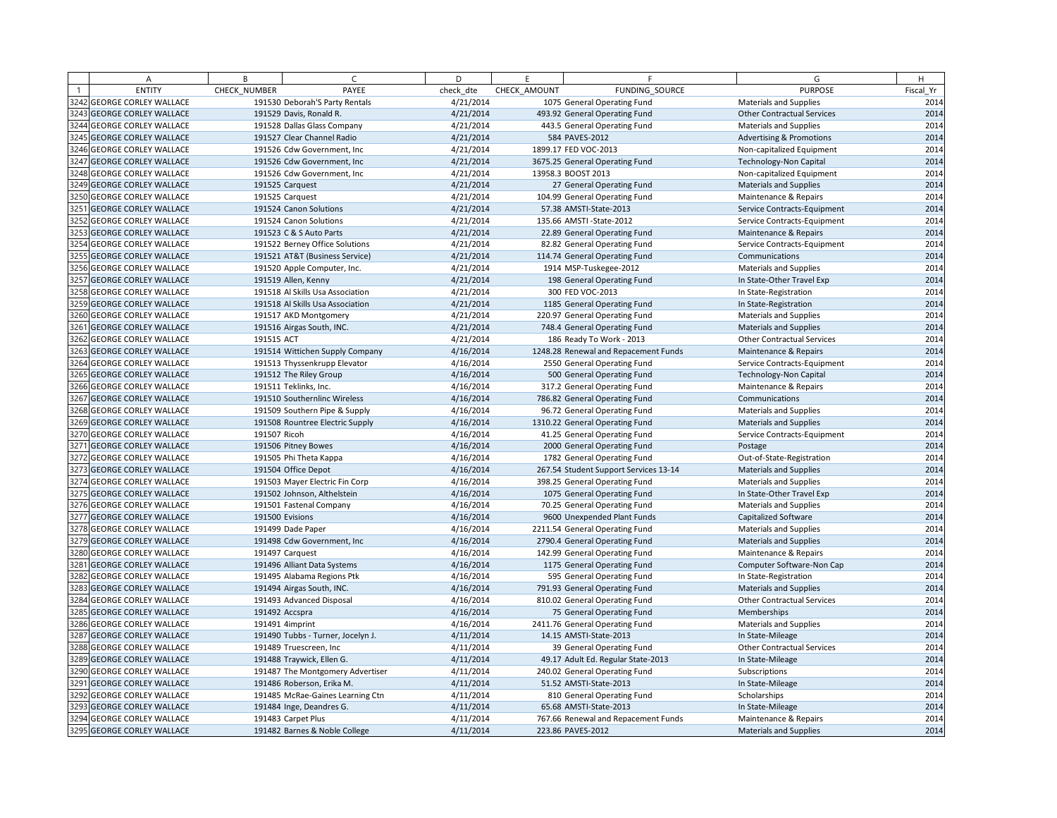| A                          | B            | $\sqrt{ }$                        | D         | E            | F.                                    | G                                   | H         |
|----------------------------|--------------|-----------------------------------|-----------|--------------|---------------------------------------|-------------------------------------|-----------|
| <b>ENTITY</b>              | CHECK NUMBER | PAYEE                             | check dte | CHECK AMOUNT | FUNDING SOURCE                        | <b>PURPOSE</b>                      | Fiscal Yr |
| 3242 GEORGE CORLEY WALLACE |              | 191530 Deborah'S Party Rentals    | 4/21/2014 |              | 1075 General Operating Fund           | <b>Materials and Supplies</b>       | 2014      |
| 3243 GEORGE CORLEY WALLACE |              | 191529 Davis, Ronald R.           | 4/21/2014 |              | 493.92 General Operating Fund         | <b>Other Contractual Services</b>   | 2014      |
| 3244 GEORGE CORLEY WALLACE |              | 191528 Dallas Glass Company       | 4/21/2014 |              | 443.5 General Operating Fund          | <b>Materials and Supplies</b>       | 2014      |
| 3245 GEORGE CORLEY WALLACE |              | 191527 Clear Channel Radio        | 4/21/2014 |              | 584 PAVES-2012                        | <b>Advertising &amp; Promotions</b> | 2014      |
| 3246 GEORGE CORLEY WALLACE |              | 191526 Cdw Government, Inc        | 4/21/2014 |              | 1899.17 FED VOC-2013                  | Non-capitalized Equipment           | 2014      |
| 3247 GEORGE CORLEY WALLACE |              | 191526 Cdw Government, Inc        | 4/21/2014 |              | 3675.25 General Operating Fund        | <b>Technology-Non Capital</b>       | 2014      |
| 3248 GEORGE CORLEY WALLACE |              | 191526 Cdw Government, Inc.       | 4/21/2014 |              | 13958.3 BOOST 2013                    | Non-capitalized Equipment           | 2014      |
| 3249 GEORGE CORLEY WALLACE |              | 191525 Carquest                   | 4/21/2014 |              | 27 General Operating Fund             | <b>Materials and Supplies</b>       | 2014      |
| 3250 GEORGE CORLEY WALLACE |              | 191525 Carquest                   | 4/21/2014 |              | 104.99 General Operating Fund         | Maintenance & Repairs               | 2014      |
| 3251 GEORGE CORLEY WALLACE |              | 191524 Canon Solutions            | 4/21/2014 |              | 57.38 AMSTI-State-2013                | Service Contracts-Equipment         | 2014      |
| 3252 GEORGE CORLEY WALLACE |              | 191524 Canon Solutions            | 4/21/2014 |              | 135.66 AMSTI-State-2012               | Service Contracts-Equipment         | 2014      |
| 3253 GEORGE CORLEY WALLACE |              | 191523 C & S Auto Parts           | 4/21/2014 |              | 22.89 General Operating Fund          | Maintenance & Repairs               | 2014      |
| 3254 GEORGE CORLEY WALLACE |              | 191522 Berney Office Solutions    | 4/21/2014 |              | 82.82 General Operating Fund          | Service Contracts-Equipment         | 2014      |
| 3255 GEORGE CORLEY WALLACE |              | 191521 AT&T (Business Service)    | 4/21/2014 |              | 114.74 General Operating Fund         | Communications                      | 2014      |
| 3256 GEORGE CORLEY WALLACE |              | 191520 Apple Computer, Inc.       | 4/21/2014 |              | 1914 MSP-Tuskegee-2012                | <b>Materials and Supplies</b>       | 2014      |
| 3257 GEORGE CORLEY WALLACE |              | 191519 Allen, Kenny               | 4/21/2014 |              | 198 General Operating Fund            | In State-Other Travel Exp           | 2014      |
| 3258 GEORGE CORLEY WALLACE |              | 191518 Al Skills Usa Association  | 4/21/2014 |              | 300 FED VOC-2013                      | In State-Registration               | 2014      |
| 3259 GEORGE CORLEY WALLACE |              | 191518 Al Skills Usa Association  | 4/21/2014 |              | 1185 General Operating Fund           | In State-Registration               | 2014      |
| 3260 GEORGE CORLEY WALLACE |              | 191517 AKD Montgomery             | 4/21/2014 |              | 220.97 General Operating Fund         | Materials and Supplies              | 2014      |
| 3261 GEORGE CORLEY WALLACE |              | 191516 Airgas South, INC.         | 4/21/2014 |              | 748.4 General Operating Fund          | <b>Materials and Supplies</b>       | 2014      |
| 3262 GEORGE CORLEY WALLACE | 191515 ACT   |                                   | 4/21/2014 |              | 186 Ready To Work - 2013              | <b>Other Contractual Services</b>   | 2014      |
| 3263 GEORGE CORLEY WALLACE |              | 191514 Wittichen Supply Company   | 4/16/2014 |              | 1248.28 Renewal and Repacement Funds  | Maintenance & Repairs               | 2014      |
| 3264 GEORGE CORLEY WALLACE |              | 191513 Thyssenkrupp Elevator      | 4/16/2014 |              | 2550 General Operating Fund           | Service Contracts-Equipment         | 2014      |
| 3265 GEORGE CORLEY WALLACE |              | 191512 The Riley Group            | 4/16/2014 |              | 500 General Operating Fund            | <b>Technology-Non Capital</b>       | 2014      |
| 3266 GEORGE CORLEY WALLACE |              | 191511 Teklinks, Inc.             | 4/16/2014 |              | 317.2 General Operating Fund          | Maintenance & Repairs               | 2014      |
| 3267 GEORGE CORLEY WALLACE |              | 191510 Southernlinc Wireless      | 4/16/2014 |              | 786.82 General Operating Fund         | Communications                      | 2014      |
| 3268 GEORGE CORLEY WALLACE |              | 191509 Southern Pipe & Supply     | 4/16/2014 |              | 96.72 General Operating Fund          | Materials and Supplies              | 2014      |
| 3269 GEORGE CORLEY WALLACE |              | 191508 Rountree Electric Supply   | 4/16/2014 |              | 1310.22 General Operating Fund        | <b>Materials and Supplies</b>       | 2014      |
| 3270 GEORGE CORLEY WALLACE | 191507 Ricoh |                                   | 4/16/2014 |              | 41.25 General Operating Fund          | Service Contracts-Equipment         | 2014      |
| 3271 GEORGE CORLEY WALLACE |              | 191506 Pitney Bowes               | 4/16/2014 |              | 2000 General Operating Fund           | Postage                             | 2014      |
| 3272 GEORGE CORLEY WALLACE |              | 191505 Phi Theta Kappa            | 4/16/2014 |              | 1782 General Operating Fund           | Out-of-State-Registration           | 2014      |
| 3273 GEORGE CORLEY WALLACE |              | 191504 Office Depot               | 4/16/2014 |              | 267.54 Student Support Services 13-14 | <b>Materials and Supplies</b>       | 2014      |
| 3274 GEORGE CORLEY WALLACE |              | 191503 Mayer Electric Fin Corp    | 4/16/2014 |              | 398.25 General Operating Fund         | <b>Materials and Supplies</b>       | 2014      |
| 3275 GEORGE CORLEY WALLACE |              | 191502 Johnson, Althelstein       | 4/16/2014 |              | 1075 General Operating Fund           | In State-Other Travel Exp           | 2014      |
| 3276 GEORGE CORLEY WALLACE |              | 191501 Fastenal Company           | 4/16/2014 |              | 70.25 General Operating Fund          | <b>Materials and Supplies</b>       | 2014      |
| 3277 GEORGE CORLEY WALLACE |              | 191500 Evisions                   | 4/16/2014 |              | 9600 Unexpended Plant Funds           | <b>Capitalized Software</b>         | 2014      |
| 3278 GEORGE CORLEY WALLACE |              | 191499 Dade Paper                 | 4/16/2014 |              | 2211.54 General Operating Fund        | <b>Materials and Supplies</b>       | 2014      |
| 3279 GEORGE CORLEY WALLACE |              | 191498 Cdw Government, Inc        | 4/16/2014 |              | 2790.4 General Operating Fund         | <b>Materials and Supplies</b>       | 2014      |
| 3280 GEORGE CORLEY WALLACE |              | 191497 Carquest                   | 4/16/2014 |              | 142.99 General Operating Fund         | Maintenance & Repairs               | 2014      |
| 3281 GEORGE CORLEY WALLACE |              | 191496 Alliant Data Systems       | 4/16/2014 |              | 1175 General Operating Fund           | Computer Software-Non Cap           | 2014      |
| 3282 GEORGE CORLEY WALLACE |              | 191495 Alabama Regions Ptk        | 4/16/2014 |              | 595 General Operating Fund            | In State-Registration               | 2014      |
| 3283 GEORGE CORLEY WALLACE |              | 191494 Airgas South, INC.         | 4/16/2014 |              | 791.93 General Operating Fund         | <b>Materials and Supplies</b>       | 2014      |
| 3284 GEORGE CORLEY WALLACE |              | 191493 Advanced Disposal          | 4/16/2014 |              | 810.02 General Operating Fund         | <b>Other Contractual Services</b>   | 2014      |
| 3285 GEORGE CORLEY WALLACE |              | 191492 Accspra                    | 4/16/2014 |              | 75 General Operating Fund             | Memberships                         | 2014      |
| 3286 GEORGE CORLEY WALLACE |              | 191491 4imprint                   | 4/16/2014 |              | 2411.76 General Operating Fund        | Materials and Supplies              | 2014      |
| 3287 GEORGE CORLEY WALLACE |              | 191490 Tubbs - Turner, Jocelyn J. | 4/11/2014 |              | 14.15 AMSTI-State-2013                | In State-Mileage                    | 2014      |
| 3288 GEORGE CORLEY WALLACE |              | 191489 Truescreen, Inc            | 4/11/2014 |              | 39 General Operating Fund             | <b>Other Contractual Services</b>   | 2014      |
| 3289 GEORGE CORLEY WALLACE |              | 191488 Traywick, Ellen G.         | 4/11/2014 |              | 49.17 Adult Ed. Regular State-2013    | In State-Mileage                    | 2014      |
| 3290 GEORGE CORLEY WALLACE |              | 191487 The Montgomery Advertiser  | 4/11/2014 |              | 240.02 General Operating Fund         | Subscriptions                       | 2014      |
| 3291 GEORGE CORLEY WALLACE |              | 191486 Roberson, Erika M.         | 4/11/2014 |              | 51.52 AMSTI-State-2013                | In State-Mileage                    | 2014      |
| 3292 GEORGE CORLEY WALLACE |              | 191485 McRae-Gaines Learning Ctn  | 4/11/2014 |              | 810 General Operating Fund            | Scholarships                        | 2014      |
| 3293 GEORGE CORLEY WALLACE |              | 191484 Inge, Deandres G.          | 4/11/2014 |              | 65.68 AMSTI-State-2013                | In State-Mileage                    | 2014      |
| 3294 GEORGE CORLEY WALLACE |              | 191483 Carpet Plus                | 4/11/2014 |              | 767.66 Renewal and Repacement Funds   | Maintenance & Repairs               | 2014      |
| 3295 GEORGE CORLEY WALLACE |              | 191482 Barnes & Noble College     | 4/11/2014 |              | 223.86 PAVES-2012                     | <b>Materials and Supplies</b>       | 2014      |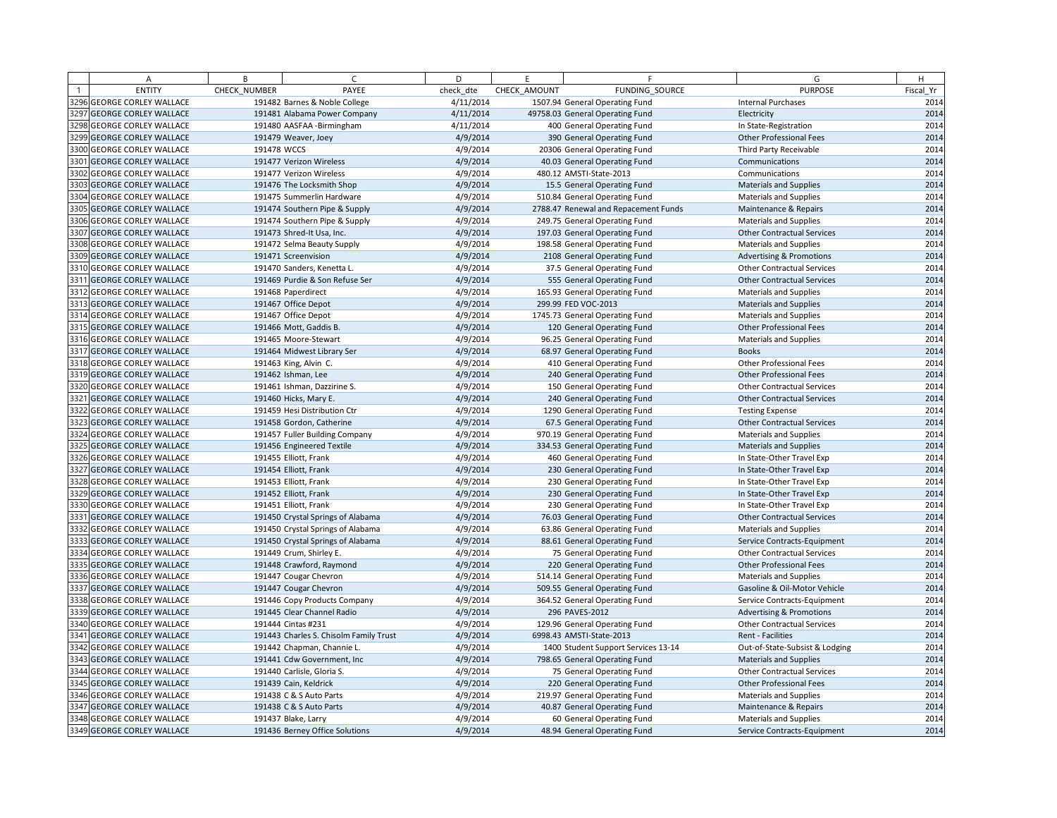| A                                 | B            | $\sqrt{ }$                             | D         | E            | F.                                   | G                                   | H         |
|-----------------------------------|--------------|----------------------------------------|-----------|--------------|--------------------------------------|-------------------------------------|-----------|
| <b>ENTITY</b>                     | CHECK NUMBER | PAYEE                                  | check dte | CHECK AMOUNT | FUNDING SOURCE                       | <b>PURPOSE</b>                      | Fiscal Yr |
| 3296 GEORGE CORLEY WALLACE        |              | 191482 Barnes & Noble College          | 4/11/2014 |              | 1507.94 General Operating Fund       | <b>Internal Purchases</b>           | 2014      |
| 3297 GEORGE CORLEY WALLACE        |              | 191481 Alabama Power Company           | 4/11/2014 |              | 49758.03 General Operating Fund      | Electricity                         | 2014      |
| 3298 GEORGE CORLEY WALLACE        |              | 191480 AASFAA - Birmingham             | 4/11/2014 |              | 400 General Operating Fund           | In State-Registration               | 2014      |
| 3299 GEORGE CORLEY WALLACE        |              | 191479 Weaver, Joey                    | 4/9/2014  |              | 390 General Operating Fund           | <b>Other Professional Fees</b>      | 2014      |
| 3300 GEORGE CORLEY WALLACE        | 191478 WCCS  |                                        | 4/9/2014  |              | 20306 General Operating Fund         | Third Party Receivable              | 2014      |
| 3301 GEORGE CORLEY WALLACE        |              | 191477 Verizon Wireless                | 4/9/2014  |              | 40.03 General Operating Fund         | Communications                      | 2014      |
| 3302 GEORGE CORLEY WALLACE        |              | 191477 Verizon Wireless                | 4/9/2014  |              | 480.12 AMSTI-State-2013              | Communications                      | 2014      |
| 3303 GEORGE CORLEY WALLACE        |              | 191476 The Locksmith Shop              | 4/9/2014  |              | 15.5 General Operating Fund          | <b>Materials and Supplies</b>       | 2014      |
| 3304 GEORGE CORLEY WALLACE        |              | 191475 Summerlin Hardware              | 4/9/2014  |              | 510.84 General Operating Fund        | Materials and Supplies              | 2014      |
| 3305 GEORGE CORLEY WALLACE        |              | 191474 Southern Pipe & Supply          | 4/9/2014  |              | 2788.47 Renewal and Repacement Funds | Maintenance & Repairs               | 2014      |
| 3306 GEORGE CORLEY WALLACE        |              | 191474 Southern Pipe & Supply          | 4/9/2014  |              | 249.75 General Operating Fund        | <b>Materials and Supplies</b>       | 2014      |
| 3307 GEORGE CORLEY WALLACE        |              | 191473 Shred-It Usa, Inc.              | 4/9/2014  |              | 197.03 General Operating Fund        | <b>Other Contractual Services</b>   | 2014      |
| 3308 GEORGE CORLEY WALLACE        |              | 191472 Selma Beauty Supply             | 4/9/2014  |              | 198.58 General Operating Fund        | <b>Materials and Supplies</b>       | 2014      |
| 3309 GEORGE CORLEY WALLACE        |              | 191471 Screenvision                    | 4/9/2014  |              | 2108 General Operating Fund          | <b>Advertising &amp; Promotions</b> | 2014      |
| 3310 GEORGE CORLEY WALLACE        |              | 191470 Sanders, Kenetta L.             | 4/9/2014  |              | 37.5 General Operating Fund          | <b>Other Contractual Services</b>   | 2014      |
| 3311 GEORGE CORLEY WALLACE        |              | 191469 Purdie & Son Refuse Ser         | 4/9/2014  |              | 555 General Operating Fund           | <b>Other Contractual Services</b>   | 2014      |
| 3312 GEORGE CORLEY WALLACE        |              | 191468 Paperdirect                     | 4/9/2014  |              | 165.93 General Operating Fund        | Materials and Supplies              | 2014      |
| 3313 GEORGE CORLEY WALLACE        |              | 191467 Office Depot                    | 4/9/2014  |              | 299.99 FED VOC-2013                  | <b>Materials and Supplies</b>       | 2014      |
| 3314 GEORGE CORLEY WALLACE        |              | 191467 Office Depot                    | 4/9/2014  |              | 1745.73 General Operating Fund       | <b>Materials and Supplies</b>       | 2014      |
| 3315 GEORGE CORLEY WALLACE        |              | 191466 Mott, Gaddis B.                 | 4/9/2014  |              | 120 General Operating Fund           | Other Professional Fees             | 2014      |
| 3316 GEORGE CORLEY WALLACE        |              | 191465 Moore-Stewart                   | 4/9/2014  |              | 96.25 General Operating Fund         | <b>Materials and Supplies</b>       | 2014      |
| 3317 GEORGE CORLEY WALLACE        |              | 191464 Midwest Library Ser             | 4/9/2014  |              | 68.97 General Operating Fund         | <b>Books</b>                        | 2014      |
| 3318 GEORGE CORLEY WALLACE        |              | 191463 King, Alvin C.                  | 4/9/2014  |              | 410 General Operating Fund           | Other Professional Fees             | 2014      |
| 3319 GEORGE CORLEY WALLACE        |              | 191462 Ishman, Lee                     | 4/9/2014  |              | 240 General Operating Fund           | <b>Other Professional Fees</b>      | 2014      |
| 3320 GEORGE CORLEY WALLACE        |              | 191461 Ishman, Dazzirine S.            | 4/9/2014  |              | 150 General Operating Fund           | <b>Other Contractual Services</b>   | 2014      |
| 3321 GEORGE CORLEY WALLACE        |              | 191460 Hicks, Mary E.                  | 4/9/2014  |              | 240 General Operating Fund           | <b>Other Contractual Services</b>   | 2014      |
| 3322 GEORGE CORLEY WALLACE        |              | 191459 Hesi Distribution Ctr           | 4/9/2014  |              | 1290 General Operating Fund          | <b>Testing Expense</b>              | 2014      |
| 3323 GEORGE CORLEY WALLACE        |              | 191458 Gordon, Catherine               | 4/9/2014  |              | 67.5 General Operating Fund          | <b>Other Contractual Services</b>   | 2014      |
| 3324 GEORGE CORLEY WALLACE        |              | 191457 Fuller Building Company         | 4/9/2014  |              | 970.19 General Operating Fund        | <b>Materials and Supplies</b>       | 2014      |
| 3325 GEORGE CORLEY WALLACE        |              | 191456 Engineered Textile              | 4/9/2014  |              | 334.53 General Operating Fund        | <b>Materials and Supplies</b>       | 2014      |
| 3326 GEORGE CORLEY WALLACE        |              | 191455 Elliott, Frank                  | 4/9/2014  |              | 460 General Operating Fund           | In State-Other Travel Exp           | 2014      |
| 3327 GEORGE CORLEY WALLACE        |              | 191454 Elliott, Frank                  | 4/9/2014  |              | 230 General Operating Fund           | In State-Other Travel Exp           | 2014      |
| 3328 GEORGE CORLEY WALLACE        |              | 191453 Elliott, Frank                  | 4/9/2014  |              | 230 General Operating Fund           | In State-Other Travel Exp           | 2014      |
| 3329 GEORGE CORLEY WALLACE        |              | 191452 Elliott, Frank                  | 4/9/2014  |              | 230 General Operating Fund           | In State-Other Travel Exp           | 2014      |
| 3330 GEORGE CORLEY WALLACE        |              | 191451 Elliott, Frank                  | 4/9/2014  |              | 230 General Operating Fund           | In State-Other Travel Exp           | 2014      |
| 3331 GEORGE CORLEY WALLACE        |              | 191450 Crystal Springs of Alabama      | 4/9/2014  |              | 76.03 General Operating Fund         | <b>Other Contractual Services</b>   | 2014      |
| 3332 GEORGE CORLEY WALLACE        |              | 191450 Crystal Springs of Alabama      | 4/9/2014  |              | 63.86 General Operating Fund         | <b>Materials and Supplies</b>       | 2014      |
| 3333 GEORGE CORLEY WALLACE        |              | 191450 Crystal Springs of Alabama      | 4/9/2014  |              | 88.61 General Operating Fund         | Service Contracts-Equipment         | 2014      |
| 3334 GEORGE CORLEY WALLACE        |              | 191449 Crum, Shirley E.                | 4/9/2014  |              | 75 General Operating Fund            | <b>Other Contractual Services</b>   | 2014      |
| 3335 GEORGE CORLEY WALLACE        |              | 191448 Crawford, Raymond               | 4/9/2014  |              | 220 General Operating Fund           | <b>Other Professional Fees</b>      | 2014      |
| 3336 GEORGE CORLEY WALLACE        |              | 191447 Cougar Chevron                  | 4/9/2014  |              | 514.14 General Operating Fund        | <b>Materials and Supplies</b>       | 2014      |
| 3337 GEORGE CORLEY WALLACE        |              | 191447 Cougar Chevron                  | 4/9/2014  |              | 509.55 General Operating Fund        | Gasoline & Oil-Motor Vehicle        | 2014      |
| 3338 GEORGE CORLEY WALLACE        |              | 191446 Copy Products Company           | 4/9/2014  |              | 364.52 General Operating Fund        | Service Contracts-Equipment         | 2014      |
| 3339 GEORGE CORLEY WALLACE        |              | 191445 Clear Channel Radio             | 4/9/2014  |              | 296 PAVES-2012                       | <b>Advertising &amp; Promotions</b> | 2014      |
| 3340 GEORGE CORLEY WALLACE        |              | 191444 Cintas #231                     | 4/9/2014  |              | 129.96 General Operating Fund        | <b>Other Contractual Services</b>   | 2014      |
| 3341 GEORGE CORLEY WALLACE        |              | 191443 Charles S. Chisolm Family Trust | 4/9/2014  |              | 6998.43 AMSTI-State-2013             | Rent - Facilities                   | 2014      |
| 3342 GEORGE CORLEY WALLACE        |              | 191442 Chapman, Channie L.             | 4/9/2014  |              | 1400 Student Support Services 13-14  | Out-of-State-Subsist & Lodging      | 2014      |
| 3343 GEORGE CORLEY WALLACE        |              | 191441 Cdw Government, Inc             | 4/9/2014  |              | 798.65 General Operating Fund        | <b>Materials and Supplies</b>       | 2014      |
| <b>3344 GEORGE CORLEY WALLACE</b> |              | 191440 Carlisle, Gloria S.             | 4/9/2014  |              | 75 General Operating Fund            | <b>Other Contractual Services</b>   | 2014      |
| 3345 GEORGE CORLEY WALLACE        |              | 191439 Cain, Keldrick                  | 4/9/2014  |              | 220 General Operating Fund           | <b>Other Professional Fees</b>      | 2014      |
| 3346 GEORGE CORLEY WALLACE        |              | 191438 C & S Auto Parts                | 4/9/2014  |              | 219.97 General Operating Fund        | Materials and Supplies              | 2014      |
| 3347 GEORGE CORLEY WALLACE        |              | 191438 C & S Auto Parts                | 4/9/2014  |              | 40.87 General Operating Fund         | Maintenance & Repairs               | 2014      |
| 3348 GEORGE CORLEY WALLACE        |              | 191437 Blake, Larry                    | 4/9/2014  |              | 60 General Operating Fund            | <b>Materials and Supplies</b>       | 2014      |
| 3349 GEORGE CORLEY WALLACE        |              | 191436 Berney Office Solutions         | 4/9/2014  |              | 48.94 General Operating Fund         | Service Contracts-Equipment         | 2014      |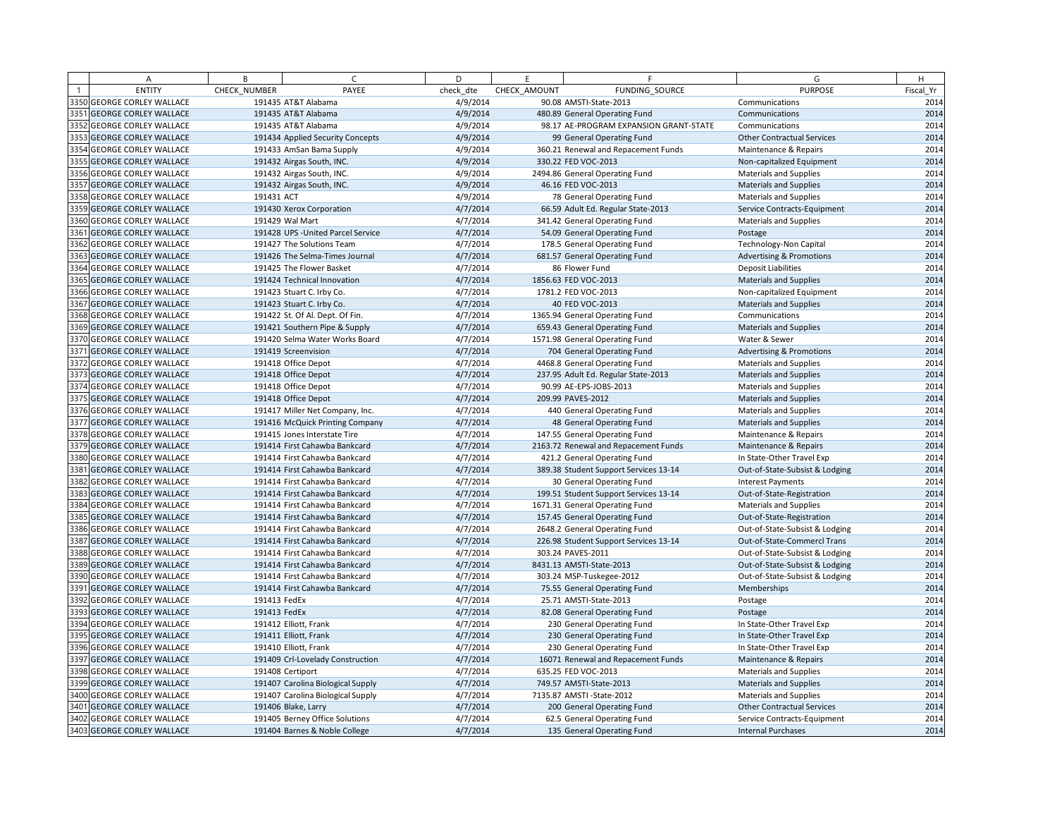|      | Α                            | B            | $\epsilon$                         | D         | E            | F                                      | G                                   | H         |
|------|------------------------------|--------------|------------------------------------|-----------|--------------|----------------------------------------|-------------------------------------|-----------|
|      | <b>ENTITY</b>                | CHECK NUMBER | PAYEE                              | check dte | CHECK AMOUNT | FUNDING SOURCE                         | <b>PURPOSE</b>                      | Fiscal Yr |
|      | 3350 GEORGE CORLEY WALLACE   |              | 191435 AT&T Alabama                | 4/9/2014  |              | 90.08 AMSTI-State-2013                 | Communications                      | 2014      |
|      | 3351 GEORGE CORLEY WALLACE   |              | 191435 AT&T Alabama                | 4/9/2014  |              | 480.89 General Operating Fund          | Communications                      | 2014      |
|      | 3352 GEORGE CORLEY WALLACE   |              | 191435 AT&T Alabama                | 4/9/2014  |              | 98.17 AE-PROGRAM EXPANSION GRANT-STATE | Communications                      | 2014      |
|      | 3353 GEORGE CORLEY WALLACE   |              | 191434 Applied Security Concepts   | 4/9/2014  |              | 99 General Operating Fund              | <b>Other Contractual Services</b>   | 2014      |
|      | 3354 GEORGE CORLEY WALLACE   |              | 191433 AmSan Bama Supply           | 4/9/2014  |              | 360.21 Renewal and Repacement Funds    | Maintenance & Repairs               | 2014      |
| 3355 | <b>GEORGE CORLEY WALLACE</b> |              | 191432 Airgas South, INC.          | 4/9/2014  |              | 330.22 FED VOC-2013                    | Non-capitalized Equipment           | 2014      |
|      | 3356 GEORGE CORLEY WALLACE   |              | 191432 Airgas South, INC.          | 4/9/2014  |              | 2494.86 General Operating Fund         | <b>Materials and Supplies</b>       | 2014      |
|      | 3357 GEORGE CORLEY WALLACE   |              | 191432 Airgas South, INC.          | 4/9/2014  |              | 46.16 FED VOC-2013                     | <b>Materials and Supplies</b>       | 2014      |
|      | 3358 GEORGE CORLEY WALLACE   | 191431 ACT   |                                    | 4/9/2014  |              | 78 General Operating Fund              | Materials and Supplies              | 2014      |
|      | 3359 GEORGE CORLEY WALLACE   |              | 191430 Xerox Corporation           | 4/7/2014  |              | 66.59 Adult Ed. Regular State-2013     | Service Contracts-Equipment         | 2014      |
|      | 3360 GEORGE CORLEY WALLACE   |              | 191429 Wal Mart                    | 4/7/2014  |              | 341.42 General Operating Fund          | Materials and Supplies              | 2014      |
|      | 3361 GEORGE CORLEY WALLACE   |              | 191428 UPS - United Parcel Service | 4/7/2014  |              | 54.09 General Operating Fund           | Postage                             | 2014      |
|      | 3362 GEORGE CORLEY WALLACE   |              | 191427 The Solutions Team          | 4/7/2014  |              | 178.5 General Operating Fund           | <b>Technology-Non Capital</b>       | 2014      |
|      | 3363 GEORGE CORLEY WALLACE   |              | 191426 The Selma-Times Journal     | 4/7/2014  |              | 681.57 General Operating Fund          | <b>Advertising &amp; Promotions</b> | 2014      |
|      | 3364 GEORGE CORLEY WALLACE   |              | 191425 The Flower Basket           | 4/7/2014  |              | 86 Flower Fund                         | <b>Deposit Liabilities</b>          | 2014      |
|      | 3365 GEORGE CORLEY WALLACE   |              | 191424 Technical Innovation        | 4/7/2014  |              | 1856.63 FED VOC-2013                   | <b>Materials and Supplies</b>       | 2014      |
|      | 3366 GEORGE CORLEY WALLACE   |              | 191423 Stuart C. Irby Co.          | 4/7/2014  |              | 1781.2 FED VOC-2013                    | Non-capitalized Equipment           | 2014      |
|      | 3367 GEORGE CORLEY WALLACE   |              | 191423 Stuart C. Irby Co.          | 4/7/2014  |              | 40 FED VOC-2013                        | <b>Materials and Supplies</b>       | 2014      |
|      | 3368 GEORGE CORLEY WALLACE   |              | 191422 St. Of Al. Dept. Of Fin.    | 4/7/2014  |              | 1365.94 General Operating Fund         | Communications                      | 2014      |
|      | 3369 GEORGE CORLEY WALLACE   |              | 191421 Southern Pipe & Supply      | 4/7/2014  |              | 659.43 General Operating Fund          | <b>Materials and Supplies</b>       | 2014      |
|      | 3370 GEORGE CORLEY WALLACE   |              | 191420 Selma Water Works Board     | 4/7/2014  |              | 1571.98 General Operating Fund         | Water & Sewer                       | 2014      |
|      | 3371 GEORGE CORLEY WALLACE   |              | 191419 Screenvision                | 4/7/2014  |              | 704 General Operating Fund             | <b>Advertising &amp; Promotions</b> | 2014      |
|      | 3372 GEORGE CORLEY WALLACE   |              | 191418 Office Depot                | 4/7/2014  |              | 4468.8 General Operating Fund          | Materials and Supplies              | 2014      |
|      | 3373 GEORGE CORLEY WALLACE   |              | 191418 Office Depot                | 4/7/2014  |              | 237.95 Adult Ed. Regular State-2013    | <b>Materials and Supplies</b>       | 2014      |
|      | 3374 GEORGE CORLEY WALLACE   |              | 191418 Office Depot                | 4/7/2014  |              | 90.99 AE-EPS-JOBS-2013                 | <b>Materials and Supplies</b>       | 2014      |
|      | 3375 GEORGE CORLEY WALLACE   |              | 191418 Office Depot                | 4/7/2014  |              | 209.99 PAVES-2012                      | <b>Materials and Supplies</b>       | 2014      |
|      | 3376 GEORGE CORLEY WALLACE   |              | 191417 Miller Net Company, Inc.    | 4/7/2014  |              | 440 General Operating Fund             | <b>Materials and Supplies</b>       | 2014      |
|      | 3377 GEORGE CORLEY WALLACE   |              | 191416 McQuick Printing Company    | 4/7/2014  |              | 48 General Operating Fund              | <b>Materials and Supplies</b>       | 2014      |
|      | 3378 GEORGE CORLEY WALLACE   |              | 191415 Jones Interstate Tire       | 4/7/2014  |              | 147.55 General Operating Fund          | Maintenance & Repairs               | 2014      |
|      | 3379 GEORGE CORLEY WALLACE   |              | 191414 First Cahawba Bankcard      | 4/7/2014  |              | 2163.72 Renewal and Repacement Funds   | Maintenance & Repairs               | 2014      |
|      | 3380 GEORGE CORLEY WALLACE   |              | 191414 First Cahawba Bankcard      | 4/7/2014  |              | 421.2 General Operating Fund           | In State-Other Travel Exp           | 2014      |
| 3381 | <b>GEORGE CORLEY WALLACE</b> |              | 191414 First Cahawba Bankcard      | 4/7/2014  |              | 389.38 Student Support Services 13-14  | Out-of-State-Subsist & Lodging      | 2014      |
|      | 3382 GEORGE CORLEY WALLACE   |              | 191414 First Cahawba Bankcard      | 4/7/2014  |              | 30 General Operating Fund              | <b>Interest Payments</b>            | 2014      |
|      | 3383 GEORGE CORLEY WALLACE   |              | 191414 First Cahawba Bankcard      | 4/7/2014  |              | 199.51 Student Support Services 13-14  | Out-of-State-Registration           | 2014      |
|      | 3384 GEORGE CORLEY WALLACE   |              | 191414 First Cahawba Bankcard      | 4/7/2014  |              | 1671.31 General Operating Fund         | Materials and Supplies              | 2014      |
|      | 3385 GEORGE CORLEY WALLACE   |              | 191414 First Cahawba Bankcard      | 4/7/2014  |              | 157.45 General Operating Fund          | Out-of-State-Registration           | 2014      |
|      | 3386 GEORGE CORLEY WALLACE   |              | 191414 First Cahawba Bankcard      | 4/7/2014  |              | 2648.2 General Operating Fund          | Out-of-State-Subsist & Lodging      | 2014      |
|      | 3387 GEORGE CORLEY WALLACE   |              | 191414 First Cahawba Bankcard      | 4/7/2014  |              | 226.98 Student Support Services 13-14  | Out-of-State-Commercl Trans         | 2014      |
|      | 3388 GEORGE CORLEY WALLACE   |              | 191414 First Cahawba Bankcard      | 4/7/2014  |              | 303.24 PAVES-2011                      | Out-of-State-Subsist & Lodging      | 2014      |
|      | 3389 GEORGE CORLEY WALLACE   |              | 191414 First Cahawba Bankcard      | 4/7/2014  |              | 8431.13 AMSTI-State-2013               | Out-of-State-Subsist & Lodging      | 2014      |
|      | 3390 GEORGE CORLEY WALLACE   |              | 191414 First Cahawba Bankcard      | 4/7/2014  |              | 303.24 MSP-Tuskegee-2012               | Out-of-State-Subsist & Lodging      | 2014      |
|      | 3391 GEORGE CORLEY WALLACE   |              | 191414 First Cahawba Bankcard      | 4/7/2014  |              | 75.55 General Operating Fund           | Memberships                         | 2014      |
|      | 3392 GEORGE CORLEY WALLACE   | 191413 FedEx |                                    | 4/7/2014  |              | 25.71 AMSTI-State-2013                 | Postage                             | 2014      |
|      | 3393 GEORGE CORLEY WALLACE   | 191413 FedEx |                                    | 4/7/2014  |              | 82.08 General Operating Fund           | Postage                             | 2014      |
|      | 3394 GEORGE CORLEY WALLACE   |              | 191412 Elliott, Frank              | 4/7/2014  |              | 230 General Operating Fund             | In State-Other Travel Exp           | 2014      |
|      | 3395 GEORGE CORLEY WALLACE   |              | 191411 Elliott, Frank              | 4/7/2014  |              | 230 General Operating Fund             | In State-Other Travel Exp           | 2014      |
|      | 3396 GEORGE CORLEY WALLACE   |              | 191410 Elliott, Frank              | 4/7/2014  |              | 230 General Operating Fund             | In State-Other Travel Exp           | 2014      |
|      | 3397 GEORGE CORLEY WALLACE   |              | 191409 Crl-Lovelady Construction   | 4/7/2014  |              | 16071 Renewal and Repacement Funds     | Maintenance & Repairs               | 2014      |
|      | 3398 GEORGE CORLEY WALLACE   |              | 191408 Certiport                   | 4/7/2014  |              | 635.25 FED VOC-2013                    | <b>Materials and Supplies</b>       | 2014      |
|      | 3399 GEORGE CORLEY WALLACE   |              | 191407 Carolina Biological Supply  | 4/7/2014  |              | 749.57 AMSTI-State-2013                | <b>Materials and Supplies</b>       | 2014      |
|      | 3400 GEORGE CORLEY WALLACE   |              | 191407 Carolina Biological Supply  | 4/7/2014  |              | 7135.87 AMSTI-State-2012               | <b>Materials and Supplies</b>       | 2014      |
|      | 3401 GEORGE CORLEY WALLACE   |              | 191406 Blake, Larry                | 4/7/2014  |              | 200 General Operating Fund             | <b>Other Contractual Services</b>   | 2014      |
|      | 3402 GEORGE CORLEY WALLACE   |              | 191405 Berney Office Solutions     | 4/7/2014  |              | 62.5 General Operating Fund            | Service Contracts-Equipment         | 2014      |
|      | 3403 GEORGE CORLEY WALLACE   |              | 191404 Barnes & Noble College      | 4/7/2014  |              | 135 General Operating Fund             | <b>Internal Purchases</b>           | 2014      |
|      |                              |              |                                    |           |              |                                        |                                     |           |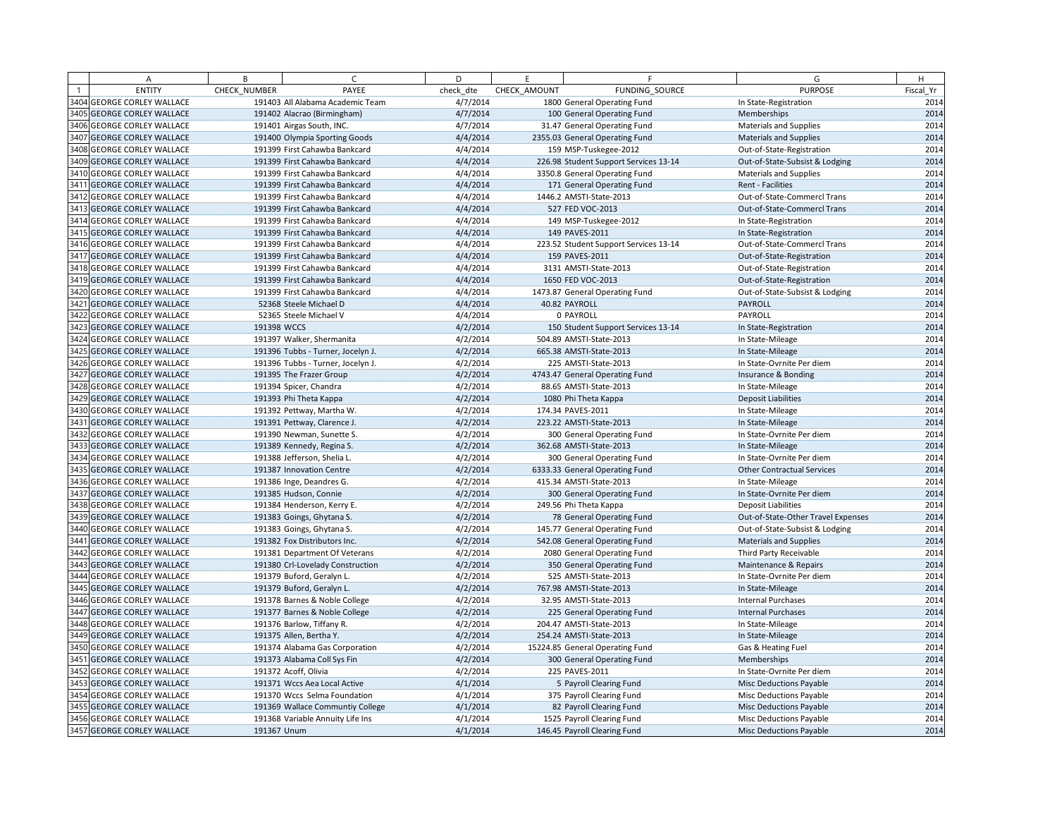|      | A                            | B            | $\epsilon$                        | D         | E            | F.                                    | G                                  | H         |
|------|------------------------------|--------------|-----------------------------------|-----------|--------------|---------------------------------------|------------------------------------|-----------|
|      | <b>ENTITY</b>                | CHECK NUMBER | PAYEE                             | check dte | CHECK AMOUNT | FUNDING SOURCE                        | <b>PURPOSE</b>                     | Fiscal Yr |
|      | 3404 GEORGE CORLEY WALLACE   |              | 191403 All Alabama Academic Team  | 4/7/2014  |              | 1800 General Operating Fund           | In State-Registration              | 2014      |
|      | 3405 GEORGE CORLEY WALLACE   |              | 191402 Alacrao (Birmingham)       | 4/7/2014  |              | 100 General Operating Fund            | Memberships                        | 2014      |
|      | 3406 GEORGE CORLEY WALLACE   |              | 191401 Airgas South, INC.         | 4/7/2014  |              | 31.47 General Operating Fund          | Materials and Supplies             | 2014      |
| 3407 | <b>GEORGE CORLEY WALLACE</b> |              | 191400 Olympia Sporting Goods     | 4/4/2014  |              | 2355.03 General Operating Fund        | <b>Materials and Supplies</b>      | 2014      |
| 3408 | <b>GEORGE CORLEY WALLACE</b> |              | 191399 First Cahawba Bankcard     | 4/4/2014  |              | 159 MSP-Tuskegee-2012                 | Out-of-State-Registration          | 2014      |
| 3409 | <b>GEORGE CORLEY WALLACE</b> |              | 191399 First Cahawba Bankcard     | 4/4/2014  |              | 226.98 Student Support Services 13-14 | Out-of-State-Subsist & Lodging     | 2014      |
|      | 3410 GEORGE CORLEY WALLACE   |              | 191399 First Cahawba Bankcard     | 4/4/2014  |              | 3350.8 General Operating Fund         | Materials and Supplies             | 2014      |
| 3411 | <b>GEORGE CORLEY WALLACE</b> |              | 191399 First Cahawba Bankcard     | 4/4/2014  |              | 171 General Operating Fund            | Rent - Facilities                  | 2014      |
| 3412 | <b>GEORGE CORLEY WALLACE</b> |              | 191399 First Cahawba Bankcard     | 4/4/2014  |              | 1446.2 AMSTI-State-2013               | Out-of-State-Commercl Trans        | 2014      |
|      | 3413 GEORGE CORLEY WALLACE   |              | 191399 First Cahawba Bankcard     | 4/4/2014  |              | 527 FED VOC-2013                      | Out-of-State-Commercl Trans        | 2014      |
| 3414 | <b>GEORGE CORLEY WALLACE</b> |              | 191399 First Cahawba Bankcard     | 4/4/2014  |              | 149 MSP-Tuskegee-2012                 | In State-Registration              | 2014      |
| 3415 | <b>GEORGE CORLEY WALLACE</b> |              | 191399 First Cahawba Bankcard     | 4/4/2014  |              | 149 PAVES-2011                        | In State-Registration              | 2014      |
|      | 3416 GEORGE CORLEY WALLACE   |              | 191399 First Cahawba Bankcard     | 4/4/2014  |              | 223.52 Student Support Services 13-14 | Out-of-State-Commercl Trans        | 2014      |
|      | 3417 GEORGE CORLEY WALLACE   |              | 191399 First Cahawba Bankcard     | 4/4/2014  |              | 159 PAVES-2011                        | Out-of-State-Registration          | 2014      |
| 3418 | <b>GEORGE CORLEY WALLACE</b> |              | 191399 First Cahawba Bankcard     | 4/4/2014  |              | 3131 AMSTI-State-2013                 | Out-of-State-Registration          | 2014      |
|      | 3419 GEORGE CORLEY WALLACE   |              | 191399 First Cahawba Bankcard     | 4/4/2014  |              | 1650 FED VOC-2013                     | Out-of-State-Registration          | 2014      |
| 3420 | <b>GEORGE CORLEY WALLACE</b> |              | 191399 First Cahawba Bankcard     | 4/4/2014  |              | 1473.87 General Operating Fund        | Out-of-State-Subsist & Lodging     | 2014      |
| 3421 | <b>GEORGE CORLEY WALLACE</b> |              | 52368 Steele Michael D            | 4/4/2014  |              | 40.82 PAYROLL                         | <b>PAYROLL</b>                     | 2014      |
| 3422 | <b>GEORGE CORLEY WALLACE</b> |              | 52365 Steele Michael V            | 4/4/2014  |              | 0 PAYROLL                             | PAYROLL                            | 2014      |
| 3423 | <b>GEORGE CORLEY WALLACE</b> | 191398 WCCS  |                                   | 4/2/2014  |              | 150 Student Support Services 13-14    | In State-Registration              | 2014      |
| 3424 | <b>GEORGE CORLEY WALLACE</b> |              | 191397 Walker, Shermanita         | 4/2/2014  |              | 504.89 AMSTI-State-2013               | In State-Mileage                   | 2014      |
| 3425 | <b>GEORGE CORLEY WALLACE</b> |              | 191396 Tubbs - Turner, Jocelyn J. | 4/2/2014  |              | 665.38 AMSTI-State-2013               | In State-Mileage                   | 2014      |
| 3426 | <b>GEORGE CORLEY WALLACE</b> |              | 191396 Tubbs - Turner, Jocelyn J. | 4/2/2014  |              | 225 AMSTI-State-2013                  | In State-Ovrnite Per diem          | 2014      |
| 3427 | <b>GEORGE CORLEY WALLACE</b> |              | 191395 The Frazer Group           | 4/2/2014  |              | 4743.47 General Operating Fund        | Insurance & Bonding                | 2014      |
| 3428 | <b>GEORGE CORLEY WALLACE</b> |              | 191394 Spicer, Chandra            | 4/2/2014  |              | 88.65 AMSTI-State-2013                | In State-Mileage                   | 2014      |
|      | 3429 GEORGE CORLEY WALLACE   |              | 191393 Phi Theta Kappa            | 4/2/2014  |              | 1080 Phi Theta Kappa                  | <b>Deposit Liabilities</b>         | 2014      |
| 3430 | <b>GEORGE CORLEY WALLACE</b> |              | 191392 Pettway, Martha W.         | 4/2/2014  |              | 174.34 PAVES-2011                     | In State-Mileage                   | 2014      |
| 3431 | <b>GEORGE CORLEY WALLACE</b> |              | 191391 Pettway, Clarence J.       | 4/2/2014  |              | 223.22 AMSTI-State-2013               | In State-Mileage                   | 2014      |
|      | 3432 GEORGE CORLEY WALLACE   |              | 191390 Newman, Sunette S.         | 4/2/2014  |              | 300 General Operating Fund            | In State-Ovrnite Per diem          | 2014      |
| 3433 | <b>GEORGE CORLEY WALLACE</b> |              | 191389 Kennedy, Regina S.         | 4/2/2014  |              | 362.68 AMSTI-State-2013               | In State-Mileage                   | 2014      |
| 3434 | <b>GEORGE CORLEY WALLACE</b> |              | 191388 Jefferson, Shelia L.       | 4/2/2014  |              | 300 General Operating Fund            | In State-Ovrnite Per diem          | 2014      |
|      | 3435 GEORGE CORLEY WALLACE   |              | 191387 Innovation Centre          | 4/2/2014  |              | 6333.33 General Operating Fund        | <b>Other Contractual Services</b>  | 2014      |
| 3436 | <b>GEORGE CORLEY WALLACE</b> |              | 191386 Inge, Deandres G.          | 4/2/2014  |              | 415.34 AMSTI-State-2013               | In State-Mileage                   | 2014      |
| 3437 | <b>GEORGE CORLEY WALLACE</b> |              | 191385 Hudson, Connie             | 4/2/2014  |              | 300 General Operating Fund            | In State-Ovrnite Per diem          | 2014      |
| 3438 | <b>GEORGE CORLEY WALLACE</b> |              | 191384 Henderson, Kerry E.        | 4/2/2014  |              | 249.56 Phi Theta Kappa                | <b>Deposit Liabilities</b>         | 2014      |
| 3439 | <b>GEORGE CORLEY WALLACE</b> |              | 191383 Goings, Ghytana S.         | 4/2/2014  |              | 78 General Operating Fund             | Out-of-State-Other Travel Expenses | 2014      |
| 3440 | <b>GEORGE CORLEY WALLACE</b> |              | 191383 Goings, Ghytana S.         | 4/2/2014  |              | 145.77 General Operating Fund         | Out-of-State-Subsist & Lodging     | 2014      |
| 3441 | <b>GEORGE CORLEY WALLACE</b> |              | 191382 Fox Distributors Inc.      | 4/2/2014  |              | 542.08 General Operating Fund         | <b>Materials and Supplies</b>      | 2014      |
| 3442 | <b>GEORGE CORLEY WALLACE</b> |              | 191381 Department Of Veterans     | 4/2/2014  |              | 2080 General Operating Fund           | Third Party Receivable             | 2014      |
| 3443 | <b>GEORGE CORLEY WALLACE</b> |              | 191380 Crl-Lovelady Construction  | 4/2/2014  |              | 350 General Operating Fund            | Maintenance & Repairs              | 2014      |
| 3444 | <b>GEORGE CORLEY WALLACE</b> |              | 191379 Buford, Geralyn L.         | 4/2/2014  |              | 525 AMSTI-State-2013                  | In State-Ovrnite Per diem          | 2014      |
| 3445 | <b>GEORGE CORLEY WALLACE</b> |              | 191379 Buford, Geralyn L.         | 4/2/2014  |              | 767.98 AMSTI-State-2013               | In State-Mileage                   | 2014      |
|      | 3446 GEORGE CORLEY WALLACE   |              | 191378 Barnes & Noble College     | 4/2/2014  |              | 32.95 AMSTI-State-2013                | <b>Internal Purchases</b>          | 2014      |
| 3447 | <b>GEORGE CORLEY WALLACE</b> |              | 191377 Barnes & Noble College     | 4/2/2014  |              | 225 General Operating Fund            | <b>Internal Purchases</b>          | 2014      |
|      | 3448 GEORGE CORLEY WALLACE   |              | 191376 Barlow, Tiffany R.         | 4/2/2014  |              | 204.47 AMSTI-State-2013               | In State-Mileage                   | 2014      |
|      | 3449 GEORGE CORLEY WALLACE   |              | 191375 Allen, Bertha Y.           | 4/2/2014  |              | 254.24 AMSTI-State-2013               | In State-Mileage                   | 2014      |
| 3450 | <b>GEORGE CORLEY WALLACE</b> |              | 191374 Alabama Gas Corporation    | 4/2/2014  |              | 15224.85 General Operating Fund       | Gas & Heating Fuel                 | 2014      |
| 3451 | <b>GEORGE CORLEY WALLACE</b> |              | 191373 Alabama Coll Sys Fin       | 4/2/2014  |              | 300 General Operating Fund            | Memberships                        | 2014      |
| 3452 | <b>GEORGE CORLEY WALLACE</b> |              | 191372 Acoff, Olivia              | 4/2/2014  |              | 225 PAVES-2011                        | In State-Ovrnite Per diem          | 2014      |
| 3453 | <b>GEORGE CORLEY WALLACE</b> |              | 191371 Wccs Aea Local Active      | 4/1/2014  |              | 5 Payroll Clearing Fund               | Misc Deductions Payable            | 2014      |
| 3454 | <b>GEORGE CORLEY WALLACE</b> |              | 191370 Wccs Selma Foundation      | 4/1/2014  |              | 375 Payroll Clearing Fund             | Misc Deductions Payable            | 2014      |
| 3455 | <b>GEORGE CORLEY WALLACE</b> |              | 191369 Wallace Communtiy College  | 4/1/2014  |              | 82 Payroll Clearing Fund              | <b>Misc Deductions Payable</b>     | 2014      |
|      | 3456 GEORGE CORLEY WALLACE   |              | 191368 Variable Annuity Life Ins  | 4/1/2014  |              | 1525 Payroll Clearing Fund            | Misc Deductions Payable            | 2014      |
|      | 3457 GEORGE CORLEY WALLACE   | 191367 Unum  |                                   | 4/1/2014  |              | 146.45 Payroll Clearing Fund          | <b>Misc Deductions Payable</b>     | 2014      |
|      |                              |              |                                   |           |              |                                       |                                    |           |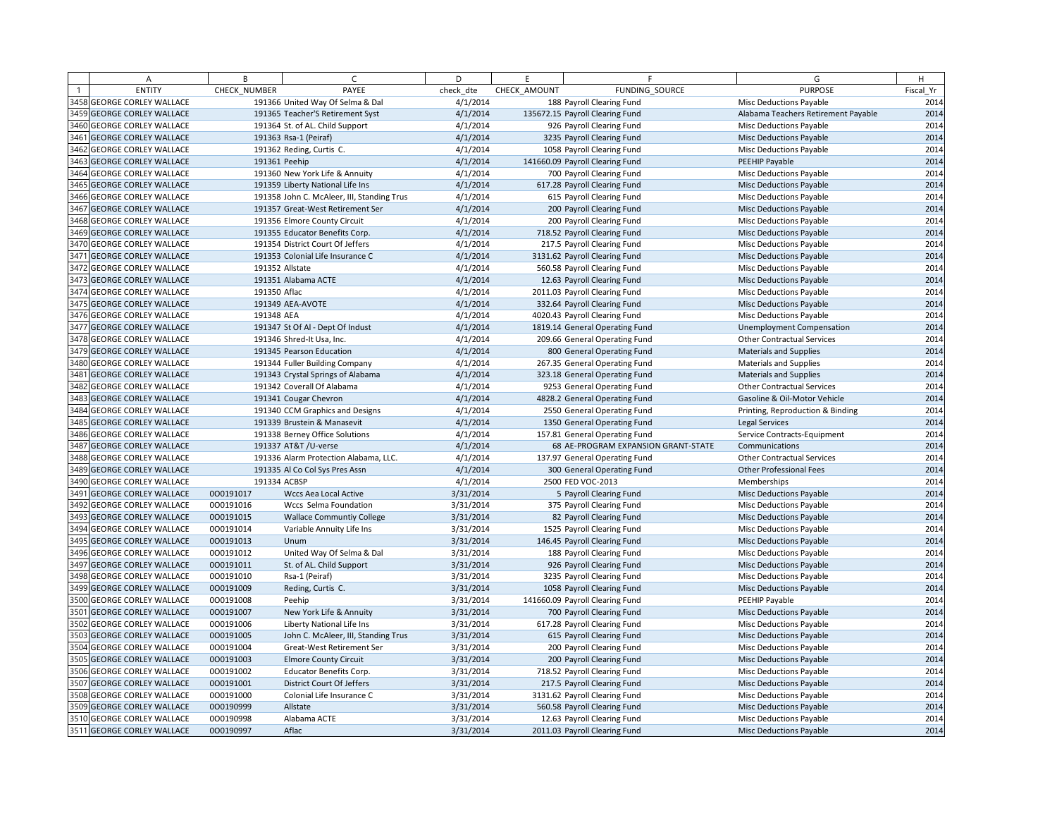| А                                 | B            | $\epsilon$                                 | D         | F.           | F                                   | G                                   | H         |
|-----------------------------------|--------------|--------------------------------------------|-----------|--------------|-------------------------------------|-------------------------------------|-----------|
| <b>ENTITY</b>                     | CHECK NUMBER | PAYEE                                      | check dte | CHECK AMOUNT | FUNDING_SOURCE                      | <b>PURPOSE</b>                      | Fiscal Yr |
| <b>3458 GEORGE CORLEY WALLACE</b> |              | 191366 United Way Of Selma & Dal           | 4/1/2014  |              | 188 Payroll Clearing Fund           | <b>Misc Deductions Payable</b>      | 2014      |
| 3459 GEORGE CORLEY WALLACE        |              | 191365 Teacher'S Retirement Syst           | 4/1/2014  |              | 135672.15 Payroll Clearing Fund     | Alabama Teachers Retirement Payable | 2014      |
| 3460 GEORGE CORLEY WALLACE        |              | 191364 St. of AL. Child Support            | 4/1/2014  |              | 926 Payroll Clearing Fund           | Misc Deductions Payable             | 2014      |
| 3461 GEORGE CORLEY WALLACE        |              | 191363 Rsa-1 (Peiraf)                      | 4/1/2014  |              | 3235 Payroll Clearing Fund          | <b>Misc Deductions Payable</b>      | 2014      |
| 3462 GEORGE CORLEY WALLACE        |              | 191362 Reding, Curtis C.                   | 4/1/2014  |              | 1058 Payroll Clearing Fund          | Misc Deductions Payable             | 2014      |
| 3463 GEORGE CORLEY WALLACE        |              | 191361 Peehip                              | 4/1/2014  |              | 141660.09 Payroll Clearing Fund     | PEEHIP Payable                      | 2014      |
| 3464 GEORGE CORLEY WALLACE        |              | 191360 New York Life & Annuity             | 4/1/2014  |              | 700 Payroll Clearing Fund           | Misc Deductions Payable             | 2014      |
| 3465 GEORGE CORLEY WALLACE        |              | 191359 Liberty National Life Ins           | 4/1/2014  |              | 617.28 Payroll Clearing Fund        | <b>Misc Deductions Payable</b>      | 2014      |
| 3466 GEORGE CORLEY WALLACE        |              | 191358 John C. McAleer, III, Standing Trus | 4/1/2014  |              | 615 Payroll Clearing Fund           | Misc Deductions Payable             | 2014      |
| 3467 GEORGE CORLEY WALLACE        |              | 191357 Great-West Retirement Ser           | 4/1/2014  |              | 200 Payroll Clearing Fund           | <b>Misc Deductions Payable</b>      | 2014      |
| 3468 GEORGE CORLEY WALLACE        |              | 191356 Elmore County Circuit               | 4/1/2014  |              | 200 Payroll Clearing Fund           | Misc Deductions Payable             | 2014      |
| 3469 GEORGE CORLEY WALLACE        |              | 191355 Educator Benefits Corp.             | 4/1/2014  |              | 718.52 Payroll Clearing Fund        | <b>Misc Deductions Payable</b>      | 2014      |
| 3470 GEORGE CORLEY WALLACE        |              | 191354 District Court Of Jeffers           | 4/1/2014  |              | 217.5 Payroll Clearing Fund         | <b>Misc Deductions Payable</b>      | 2014      |
| 3471 GEORGE CORLEY WALLACE        |              | 191353 Colonial Life Insurance C           | 4/1/2014  |              | 3131.62 Payroll Clearing Fund       | <b>Misc Deductions Payable</b>      | 2014      |
| 3472 GEORGE CORLEY WALLACE        |              | 191352 Allstate                            | 4/1/2014  |              | 560.58 Payroll Clearing Fund        | Misc Deductions Payable             | 2014      |
| 3473 GEORGE CORLEY WALLACE        |              | 191351 Alabama ACTE                        | 4/1/2014  |              | 12.63 Payroll Clearing Fund         | <b>Misc Deductions Payable</b>      | 2014      |
| 3474 GEORGE CORLEY WALLACE        | 191350 Aflac |                                            | 4/1/2014  |              | 2011.03 Payroll Clearing Fund       | Misc Deductions Payable             | 2014      |
| 3475 GEORGE CORLEY WALLACE        |              | 191349 AEA-AVOTE                           | 4/1/2014  |              | 332.64 Payroll Clearing Fund        | <b>Misc Deductions Payable</b>      | 2014      |
| 3476 GEORGE CORLEY WALLACE        | 191348 AEA   |                                            | 4/1/2014  |              | 4020.43 Payroll Clearing Fund       | <b>Misc Deductions Payable</b>      | 2014      |
| 3477 GEORGE CORLEY WALLACE        |              | 191347 St Of Al - Dept Of Indust           | 4/1/2014  |              | 1819.14 General Operating Fund      | <b>Unemployment Compensation</b>    | 2014      |
| 3478 GEORGE CORLEY WALLACE        |              | 191346 Shred-It Usa, Inc.                  | 4/1/2014  |              | 209.66 General Operating Fund       | <b>Other Contractual Services</b>   | 2014      |
| 3479 GEORGE CORLEY WALLACE        |              | 191345 Pearson Education                   | 4/1/2014  |              | 800 General Operating Fund          | <b>Materials and Supplies</b>       | 2014      |
| 3480 GEORGE CORLEY WALLACE        |              | 191344 Fuller Building Company             | 4/1/2014  |              | 267.35 General Operating Fund       | <b>Materials and Supplies</b>       | 2014      |
| 3481 GEORGE CORLEY WALLACE        |              | 191343 Crystal Springs of Alabama          | 4/1/2014  |              | 323.18 General Operating Fund       | <b>Materials and Supplies</b>       | 2014      |
| 3482 GEORGE CORLEY WALLACE        |              | 191342 Coverall Of Alabama                 | 4/1/2014  |              | 9253 General Operating Fund         | <b>Other Contractual Services</b>   | 2014      |
| 3483 GEORGE CORLEY WALLACE        |              | 191341 Cougar Chevron                      | 4/1/2014  |              | 4828.2 General Operating Fund       | Gasoline & Oil-Motor Vehicle        | 2014      |
| 3484 GEORGE CORLEY WALLACE        |              | 191340 CCM Graphics and Designs            | 4/1/2014  |              | 2550 General Operating Fund         | Printing, Reproduction & Binding    | 2014      |
| 3485 GEORGE CORLEY WALLACE        |              | 191339 Brustein & Manasevit                | 4/1/2014  |              | 1350 General Operating Fund         | Legal Services                      | 2014      |
| 3486 GEORGE CORLEY WALLACE        |              | 191338 Berney Office Solutions             | 4/1/2014  |              | 157.81 General Operating Fund       | Service Contracts-Equipment         | 2014      |
| 3487 GEORGE CORLEY WALLACE        |              | 191337 AT&T /U-verse                       | 4/1/2014  |              | 68 AE-PROGRAM EXPANSION GRANT-STATE | Communications                      | 2014      |
| 3488 GEORGE CORLEY WALLACE        |              | 191336 Alarm Protection Alabama, LLC.      | 4/1/2014  |              | 137.97 General Operating Fund       | <b>Other Contractual Services</b>   | 2014      |
| 3489 GEORGE CORLEY WALLACE        |              | 191335 Al Co Col Sys Pres Assn             | 4/1/2014  |              | 300 General Operating Fund          | Other Professional Fees             | 2014      |
| <b>3490 GEORGE CORLEY WALLACE</b> | 191334 ACBSP |                                            | 4/1/2014  |              | 2500 FED VOC-2013                   | Memberships                         | 2014      |
| 3491 GEORGE CORLEY WALLACE        | 000191017    | Wccs Aea Local Active                      | 3/31/2014 |              | 5 Payroll Clearing Fund             | <b>Misc Deductions Payable</b>      | 2014      |
| 3492 GEORGE CORLEY WALLACE        | 000191016    | Wccs Selma Foundation                      | 3/31/2014 |              | 375 Payroll Clearing Fund           | Misc Deductions Payable             | 2014      |
| 3493 GEORGE CORLEY WALLACE        | 000191015    | <b>Wallace Communtiy College</b>           | 3/31/2014 |              | 82 Payroll Clearing Fund            | <b>Misc Deductions Payable</b>      | 2014      |
| 3494 GEORGE CORLEY WALLACE        | 000191014    | Variable Annuity Life Ins                  | 3/31/2014 |              | 1525 Payroll Clearing Fund          | <b>Misc Deductions Payable</b>      | 2014      |
| 3495 GEORGE CORLEY WALLACE        | 000191013    | Unum                                       | 3/31/2014 |              | 146.45 Payroll Clearing Fund        | <b>Misc Deductions Payable</b>      | 2014      |
| 3496 GEORGE CORLEY WALLACE        | 000191012    | United Way Of Selma & Dal                  | 3/31/2014 |              | 188 Payroll Clearing Fund           | Misc Deductions Payable             | 2014      |
| 3497 GEORGE CORLEY WALLACE        | 000191011    | St. of AL. Child Support                   | 3/31/2014 |              | 926 Payroll Clearing Fund           | <b>Misc Deductions Payable</b>      | 2014      |
| 3498 GEORGE CORLEY WALLACE        | 000191010    | Rsa-1 (Peiraf)                             | 3/31/2014 |              | 3235 Payroll Clearing Fund          | <b>Misc Deductions Payable</b>      | 2014      |
| 3499 GEORGE CORLEY WALLACE        | 000191009    | Reding, Curtis C.                          | 3/31/2014 |              | 1058 Payroll Clearing Fund          | <b>Misc Deductions Payable</b>      | 2014      |
| 3500 GEORGE CORLEY WALLACE        | 000191008    | Peehip                                     | 3/31/2014 |              | 141660.09 Payroll Clearing Fund     | PEEHIP Payable                      | 2014      |
| 3501 GEORGE CORLEY WALLACE        | 000191007    | New York Life & Annuity                    | 3/31/2014 |              | 700 Payroll Clearing Fund           | <b>Misc Deductions Payable</b>      | 2014      |
| 3502 GEORGE CORLEY WALLACE        | 000191006    | Liberty National Life Ins                  | 3/31/2014 |              | 617.28 Payroll Clearing Fund        | Misc Deductions Payable             | 2014      |
| 3503 GEORGE CORLEY WALLACE        | 000191005    | John C. McAleer, III, Standing Trus        | 3/31/2014 |              | 615 Payroll Clearing Fund           | <b>Misc Deductions Payable</b>      | 2014      |
| 3504 GEORGE CORLEY WALLACE        | 000191004    | Great-West Retirement Ser                  | 3/31/2014 |              | 200 Payroll Clearing Fund           | Misc Deductions Payable             | 2014      |
| 3505 GEORGE CORLEY WALLACE        | 000191003    | <b>Elmore County Circuit</b>               | 3/31/2014 |              | 200 Payroll Clearing Fund           | <b>Misc Deductions Payable</b>      | 2014      |
| 3506 GEORGE CORLEY WALLACE        | 000191002    | <b>Educator Benefits Corp.</b>             | 3/31/2014 |              | 718.52 Payroll Clearing Fund        | Misc Deductions Payable             | 2014      |
| 3507 GEORGE CORLEY WALLACE        | 000191001    | District Court Of Jeffers                  | 3/31/2014 |              | 217.5 Payroll Clearing Fund         | <b>Misc Deductions Payable</b>      | 2014      |
| 3508 GEORGE CORLEY WALLACE        | 000191000    | Colonial Life Insurance C                  | 3/31/2014 |              | 3131.62 Payroll Clearing Fund       | Misc Deductions Payable             | 2014      |
| 3509 GEORGE CORLEY WALLACE        | 000190999    | Allstate                                   | 3/31/2014 |              | 560.58 Payroll Clearing Fund        | <b>Misc Deductions Payable</b>      | 2014      |
| 3510 GEORGE CORLEY WALLACE        | 000190998    | Alabama ACTE                               | 3/31/2014 |              | 12.63 Payroll Clearing Fund         | Misc Deductions Payable             | 2014      |
| 3511 GEORGE CORLEY WALLACE        | 000190997    | Aflac                                      | 3/31/2014 |              | 2011.03 Payroll Clearing Fund       | <b>Misc Deductions Payable</b>      | 2014      |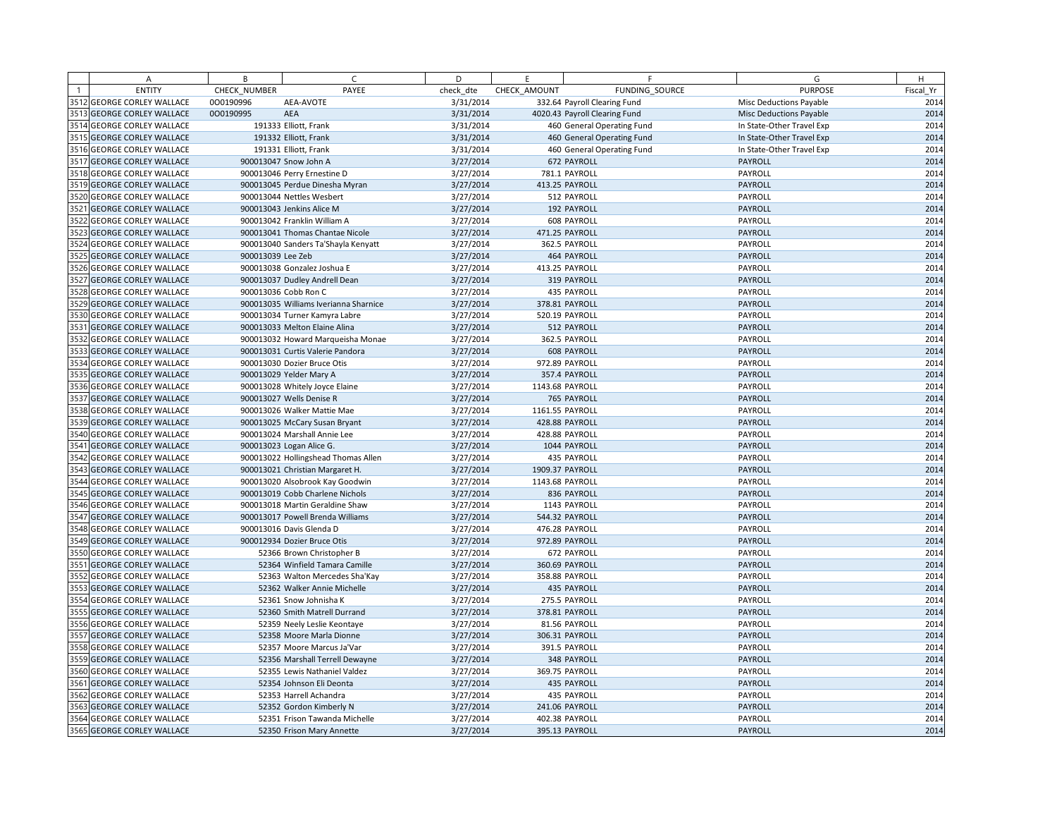| <b>PURPOSE</b><br><b>ENTITY</b><br>CHECK NUMBER<br>PAYEE<br>check dte<br>CHECK AMOUNT<br>FUNDING SOURCE<br>Fiscal Yr<br>3512 GEORGE CORLEY WALLACE<br>3/31/2014<br>2014<br>000190996<br>AEA-AVOTE<br>332.64 Payroll Clearing Fund<br>Misc Deductions Payable<br>3513 GEORGE CORLEY WALLACE<br>000190995<br><b>AEA</b><br>3/31/2014<br>4020.43 Payroll Clearing Fund<br>2014<br><b>Misc Deductions Payable</b><br>2014<br>3514<br><b>GEORGE CORLEY WALLACE</b><br>191333 Elliott, Frank<br>3/31/2014<br>460 General Operating Fund<br>In State-Other Travel Exp<br>3515 GEORGE CORLEY WALLACE<br>3/31/2014<br>2014<br>191332 Elliott, Frank<br>460 General Operating Fund<br>In State-Other Travel Exp<br>2014<br>3516 GEORGE CORLEY WALLACE<br>3/31/2014<br>191331 Elliott, Frank<br>460 General Operating Fund<br>In State-Other Travel Exp<br>3517 GEORGE CORLEY WALLACE<br>3/27/2014<br>672 PAYROLL<br>2014<br>900013047 Snow John A<br>PAYROLL<br>3518 GEORGE CORLEY WALLACE<br>2014<br>3/27/2014<br>781.1 PAYROLL<br>PAYROLL<br>900013046 Perry Ernestine D<br>3519 GEORGE CORLEY WALLACE<br>2014<br>900013045 Perdue Dinesha Myran<br>3/27/2014<br>413.25 PAYROLL<br>PAYROLL<br>2014<br>3520<br><b>GEORGE CORLEY WALLACE</b><br>3/27/2014<br>PAYROLL<br>900013044 Nettles Wesbert<br>512 PAYROLL<br>3521<br>3/27/2014<br>2014<br><b>GEORGE CORLEY WALLACE</b><br>900013043 Jenkins Alice M<br>192 PAYROLL<br>PAYROLL<br>2014<br>3522<br><b>GEORGE CORLEY WALLACE</b><br>900013042 Franklin William A<br>3/27/2014<br>608 PAYROLL<br>PAYROLL<br>3523<br>3/27/2014<br>471.25 PAYROLL<br>PAYROLL<br>2014<br><b>GEORGE CORLEY WALLACE</b><br>900013041 Thomas Chantae Nicole<br>3524<br>2014<br><b>GEORGE CORLEY WALLACE</b><br>900013040 Sanders Ta'Shayla Kenyatt<br>3/27/2014<br>362.5 PAYROLL<br>PAYROLL<br>3525 GEORGE CORLEY WALLACE<br>2014<br>900013039 Lee Zeb<br>3/27/2014<br>464 PAYROLL<br>PAYROLL<br>2014<br>3526<br>3/27/2014<br><b>GEORGE CORLEY WALLACE</b><br>900013038 Gonzalez Joshua E<br>413.25 PAYROLL<br>PAYROLL<br>3527 GEORGE CORLEY WALLACE<br>2014<br>900013037 Dudley Andrell Dean<br>3/27/2014<br>319 PAYROLL<br>PAYROLL<br>2014<br>3528<br><b>GEORGE CORLEY WALLACE</b><br>900013036 Cobb Ron C<br>3/27/2014<br>435 PAYROLL<br>PAYROLL<br>3/27/2014<br>2014<br>3529 GEORGE CORLEY WALLACE<br>900013035 Williams Iverianna Sharnice<br>378.81 PAYROLL<br>PAYROLL<br>3530 GEORGE CORLEY WALLACE<br>2014<br>3/27/2014<br>900013034 Turner Kamyra Labre<br>520.19 PAYROLL<br>PAYROLL<br>3531<br>2014<br><b>GEORGE CORLEY WALLACE</b><br>900013033 Melton Elaine Alina<br>3/27/2014<br>512 PAYROLL<br>PAYROLL<br>2014<br>3532<br><b>GEORGE CORLEY WALLACE</b><br>3/27/2014<br>362.5 PAYROLL<br>PAYROLL<br>900013032 Howard Marqueisha Monae<br>3533 GEORGE CORLEY WALLACE<br>2014<br>3/27/2014<br>608 PAYROLL<br>PAYROLL<br>900013031 Curtis Valerie Pandora<br>2014<br>3534<br><b>GEORGE CORLEY WALLACE</b><br>900013030 Dozier Bruce Otis<br>3/27/2014<br>972.89 PAYROLL<br>PAYROLL<br>2014<br>3535<br><b>GEORGE CORLEY WALLACE</b><br>3/27/2014<br>357.4 PAYROLL<br>PAYROLL<br>900013029 Yelder Mary A<br>2014<br>3536 GEORGE CORLEY WALLACE<br>3/27/2014<br>900013028 Whitely Joyce Elaine<br>1143.68 PAYROLL<br>PAYROLL<br>2014<br>3537 GEORGE CORLEY WALLACE<br>900013027 Wells Denise R<br>3/27/2014<br>765 PAYROLL<br>PAYROLL<br>2014<br>3/27/2014<br>1161.55 PAYROLL<br>PAYROLL<br>3538 GEORGE CORLEY WALLACE<br>900013026 Walker Mattie Mae<br>2014<br>3539 GEORGE CORLEY WALLACE<br>3/27/2014<br>PAYROLL<br>900013025 McCary Susan Bryant<br>428.88 PAYROLL<br>2014<br>3540 GEORGE CORLEY WALLACE<br>900013024 Marshall Annie Lee<br>3/27/2014<br>428.88 PAYROLL<br>PAYROLL<br>2014<br>3541<br><b>GEORGE CORLEY WALLACE</b><br>3/27/2014<br>PAYROLL<br>900013023 Logan Alice G.<br>1044 PAYROLL<br>2014<br>3542<br>3/27/2014<br><b>GEORGE CORLEY WALLACE</b><br>900013022 Hollingshead Thomas Allen<br>435 PAYROLL<br>PAYROLL<br>3543 GEORGE CORLEY WALLACE<br>2014<br>900013021 Christian Margaret H.<br>3/27/2014<br>1909.37 PAYROLL<br>PAYROLL<br>2014<br>3544<br>3/27/2014<br><b>GEORGE CORLEY WALLACE</b><br>900013020 Alsobrook Kay Goodwin<br>1143.68 PAYROLL<br>PAYROLL<br>2014<br>3545 GEORGE CORLEY WALLACE<br>3/27/2014<br>PAYROLL<br>900013019 Cobb Charlene Nichols<br>836 PAYROLL<br>3546 GEORGE CORLEY WALLACE<br>2014<br>3/27/2014<br>1143 PAYROLL<br>PAYROLL<br>900013018 Martin Geraldine Shaw<br>3547 GEORGE CORLEY WALLACE<br>3/27/2014<br>2014<br>900013017 Powell Brenda Williams<br>544.32 PAYROLL<br>PAYROLL<br>3548 GEORGE CORLEY WALLACE<br>2014<br>900013016 Davis Glenda D<br>3/27/2014<br>476.28 PAYROLL<br>PAYROLL<br>2014<br>3549 GEORGE CORLEY WALLACE<br>900012934 Dozier Bruce Otis<br>3/27/2014<br>972.89 PAYROLL<br>PAYROLL<br>2014<br>3550 GEORGE CORLEY WALLACE<br>3/27/2014<br>672 PAYROLL<br>PAYROLL<br>52366 Brown Christopher B<br>2014<br>3551 GEORGE CORLEY WALLACE<br>PAYROLL<br>52364 Winfield Tamara Camille<br>3/27/2014<br>360.69 PAYROLL<br>2014<br>3552<br><b>GEORGE CORLEY WALLACE</b><br>3/27/2014<br>358.88 PAYROLL<br>PAYROLL<br>52363 Walton Mercedes Sha'Kay<br>3/27/2014<br>2014<br>3553 GEORGE CORLEY WALLACE<br>52362 Walker Annie Michelle<br>435 PAYROLL<br>PAYROLL<br>3554<br>2014<br><b>GEORGE CORLEY WALLACE</b><br>3/27/2014<br>275.5 PAYROLL<br>PAYROLL<br>52361 Snow Johnisha K<br>2014<br>3555 GEORGE CORLEY WALLACE<br>52360 Smith Matrell Durrand<br>3/27/2014<br>378.81 PAYROLL<br>PAYROLL<br>2014<br>3556 GEORGE CORLEY WALLACE<br>3/27/2014<br>81.56 PAYROLL<br>PAYROLL<br>52359 Neely Leslie Keontaye<br>3557 GEORGE CORLEY WALLACE<br>2014<br>52358 Moore Marla Dionne<br>3/27/2014<br>306.31 PAYROLL<br>PAYROLL<br>2014<br>3558 GEORGE CORLEY WALLACE<br>3/27/2014<br>PAYROLL<br>52357 Moore Marcus Ja'Var<br>391.5 PAYROLL<br>2014<br>3559 GEORGE CORLEY WALLACE<br>3/27/2014<br>348 PAYROLL<br>PAYROLL<br>52356 Marshall Terrell Dewayne<br>3560<br>2014<br><b>GEORGE CORLEY WALLACE</b><br>52355 Lewis Nathaniel Valdez<br>3/27/2014<br>369.75 PAYROLL<br>PAYROLL<br>2014<br>3561 GEORGE CORLEY WALLACE<br>3/27/2014<br>435 PAYROLL<br>PAYROLL<br>52354 Johnson Eli Deonta<br>2014<br>3562 GEORGE CORLEY WALLACE<br>3/27/2014<br>435 PAYROLL<br>PAYROLL<br>52353 Harrell Achandra<br>3563 GEORGE CORLEY WALLACE<br>2014<br>52352 Gordon Kimberly N<br>3/27/2014<br>241.06 PAYROLL<br>PAYROLL<br>2014<br>3564 GEORGE CORLEY WALLACE<br>3/27/2014<br>402.38 PAYROLL<br>PAYROLL<br>52351 Frison Tawanda Michelle<br>2014<br>3565 GEORGE CORLEY WALLACE<br>3/27/2014<br>395.13 PAYROLL<br>PAYROLL<br>52350 Frison Mary Annette | A | B | $\mathsf{C}$ | D | E. | F | G | H |
|--------------------------------------------------------------------------------------------------------------------------------------------------------------------------------------------------------------------------------------------------------------------------------------------------------------------------------------------------------------------------------------------------------------------------------------------------------------------------------------------------------------------------------------------------------------------------------------------------------------------------------------------------------------------------------------------------------------------------------------------------------------------------------------------------------------------------------------------------------------------------------------------------------------------------------------------------------------------------------------------------------------------------------------------------------------------------------------------------------------------------------------------------------------------------------------------------------------------------------------------------------------------------------------------------------------------------------------------------------------------------------------------------------------------------------------------------------------------------------------------------------------------------------------------------------------------------------------------------------------------------------------------------------------------------------------------------------------------------------------------------------------------------------------------------------------------------------------------------------------------------------------------------------------------------------------------------------------------------------------------------------------------------------------------------------------------------------------------------------------------------------------------------------------------------------------------------------------------------------------------------------------------------------------------------------------------------------------------------------------------------------------------------------------------------------------------------------------------------------------------------------------------------------------------------------------------------------------------------------------------------------------------------------------------------------------------------------------------------------------------------------------------------------------------------------------------------------------------------------------------------------------------------------------------------------------------------------------------------------------------------------------------------------------------------------------------------------------------------------------------------------------------------------------------------------------------------------------------------------------------------------------------------------------------------------------------------------------------------------------------------------------------------------------------------------------------------------------------------------------------------------------------------------------------------------------------------------------------------------------------------------------------------------------------------------------------------------------------------------------------------------------------------------------------------------------------------------------------------------------------------------------------------------------------------------------------------------------------------------------------------------------------------------------------------------------------------------------------------------------------------------------------------------------------------------------------------------------------------------------------------------------------------------------------------------------------------------------------------------------------------------------------------------------------------------------------------------------------------------------------------------------------------------------------------------------------------------------------------------------------------------------------------------------------------------------------------------------------------------------------------------------------------------------------------------------------------------------------------------------------------------------------------------------------------------------------------------------------------------------------------------------------------------------------------------------------------------------------------------------------------------------------------------------------------------------------------------------------------------------------------------------------------------------------------------------------------------------------------------------------------------------------------------------------------------------------------------------------------------------------------------------------------------------------------------------------------------------------------------------------------------------------------------------------------------------------------------------------------------------------------------------------------------------------------------------------------------------------------------------------------------------------------------------------------------------------------------------------------------------------------------------------------------------------------------------------------------------------------------------------------------------------------------------------------------------------------------------------------------------------------------------------------------------------------------------------------------------------------------------------------------------------------------------------------------------------------------------------------------------------------------------------------------------------------------------------------------------------------------------------------------------------------|---|---|--------------|---|----|---|---|---|
|                                                                                                                                                                                                                                                                                                                                                                                                                                                                                                                                                                                                                                                                                                                                                                                                                                                                                                                                                                                                                                                                                                                                                                                                                                                                                                                                                                                                                                                                                                                                                                                                                                                                                                                                                                                                                                                                                                                                                                                                                                                                                                                                                                                                                                                                                                                                                                                                                                                                                                                                                                                                                                                                                                                                                                                                                                                                                                                                                                                                                                                                                                                                                                                                                                                                                                                                                                                                                                                                                                                                                                                                                                                                                                                                                                                                                                                                                                                                                                                                                                                                                                                                                                                                                                                                                                                                                                                                                                                                                                                                                                                                                                                                                                                                                                                                                                                                                                                                                                                                                                                                                                                                                                                                                                                                                                                                                                                                                                                                                                                                                                                                                                                                                                                                                                                                                                                                                                                                                                                                                                                                                                                                                                                                                                                                                                                                                                                                                                                                                                                                                                                                                                                  |   |   |              |   |    |   |   |   |
|                                                                                                                                                                                                                                                                                                                                                                                                                                                                                                                                                                                                                                                                                                                                                                                                                                                                                                                                                                                                                                                                                                                                                                                                                                                                                                                                                                                                                                                                                                                                                                                                                                                                                                                                                                                                                                                                                                                                                                                                                                                                                                                                                                                                                                                                                                                                                                                                                                                                                                                                                                                                                                                                                                                                                                                                                                                                                                                                                                                                                                                                                                                                                                                                                                                                                                                                                                                                                                                                                                                                                                                                                                                                                                                                                                                                                                                                                                                                                                                                                                                                                                                                                                                                                                                                                                                                                                                                                                                                                                                                                                                                                                                                                                                                                                                                                                                                                                                                                                                                                                                                                                                                                                                                                                                                                                                                                                                                                                                                                                                                                                                                                                                                                                                                                                                                                                                                                                                                                                                                                                                                                                                                                                                                                                                                                                                                                                                                                                                                                                                                                                                                                                                  |   |   |              |   |    |   |   |   |
|                                                                                                                                                                                                                                                                                                                                                                                                                                                                                                                                                                                                                                                                                                                                                                                                                                                                                                                                                                                                                                                                                                                                                                                                                                                                                                                                                                                                                                                                                                                                                                                                                                                                                                                                                                                                                                                                                                                                                                                                                                                                                                                                                                                                                                                                                                                                                                                                                                                                                                                                                                                                                                                                                                                                                                                                                                                                                                                                                                                                                                                                                                                                                                                                                                                                                                                                                                                                                                                                                                                                                                                                                                                                                                                                                                                                                                                                                                                                                                                                                                                                                                                                                                                                                                                                                                                                                                                                                                                                                                                                                                                                                                                                                                                                                                                                                                                                                                                                                                                                                                                                                                                                                                                                                                                                                                                                                                                                                                                                                                                                                                                                                                                                                                                                                                                                                                                                                                                                                                                                                                                                                                                                                                                                                                                                                                                                                                                                                                                                                                                                                                                                                                                  |   |   |              |   |    |   |   |   |
|                                                                                                                                                                                                                                                                                                                                                                                                                                                                                                                                                                                                                                                                                                                                                                                                                                                                                                                                                                                                                                                                                                                                                                                                                                                                                                                                                                                                                                                                                                                                                                                                                                                                                                                                                                                                                                                                                                                                                                                                                                                                                                                                                                                                                                                                                                                                                                                                                                                                                                                                                                                                                                                                                                                                                                                                                                                                                                                                                                                                                                                                                                                                                                                                                                                                                                                                                                                                                                                                                                                                                                                                                                                                                                                                                                                                                                                                                                                                                                                                                                                                                                                                                                                                                                                                                                                                                                                                                                                                                                                                                                                                                                                                                                                                                                                                                                                                                                                                                                                                                                                                                                                                                                                                                                                                                                                                                                                                                                                                                                                                                                                                                                                                                                                                                                                                                                                                                                                                                                                                                                                                                                                                                                                                                                                                                                                                                                                                                                                                                                                                                                                                                                                  |   |   |              |   |    |   |   |   |
|                                                                                                                                                                                                                                                                                                                                                                                                                                                                                                                                                                                                                                                                                                                                                                                                                                                                                                                                                                                                                                                                                                                                                                                                                                                                                                                                                                                                                                                                                                                                                                                                                                                                                                                                                                                                                                                                                                                                                                                                                                                                                                                                                                                                                                                                                                                                                                                                                                                                                                                                                                                                                                                                                                                                                                                                                                                                                                                                                                                                                                                                                                                                                                                                                                                                                                                                                                                                                                                                                                                                                                                                                                                                                                                                                                                                                                                                                                                                                                                                                                                                                                                                                                                                                                                                                                                                                                                                                                                                                                                                                                                                                                                                                                                                                                                                                                                                                                                                                                                                                                                                                                                                                                                                                                                                                                                                                                                                                                                                                                                                                                                                                                                                                                                                                                                                                                                                                                                                                                                                                                                                                                                                                                                                                                                                                                                                                                                                                                                                                                                                                                                                                                                  |   |   |              |   |    |   |   |   |
|                                                                                                                                                                                                                                                                                                                                                                                                                                                                                                                                                                                                                                                                                                                                                                                                                                                                                                                                                                                                                                                                                                                                                                                                                                                                                                                                                                                                                                                                                                                                                                                                                                                                                                                                                                                                                                                                                                                                                                                                                                                                                                                                                                                                                                                                                                                                                                                                                                                                                                                                                                                                                                                                                                                                                                                                                                                                                                                                                                                                                                                                                                                                                                                                                                                                                                                                                                                                                                                                                                                                                                                                                                                                                                                                                                                                                                                                                                                                                                                                                                                                                                                                                                                                                                                                                                                                                                                                                                                                                                                                                                                                                                                                                                                                                                                                                                                                                                                                                                                                                                                                                                                                                                                                                                                                                                                                                                                                                                                                                                                                                                                                                                                                                                                                                                                                                                                                                                                                                                                                                                                                                                                                                                                                                                                                                                                                                                                                                                                                                                                                                                                                                                                  |   |   |              |   |    |   |   |   |
|                                                                                                                                                                                                                                                                                                                                                                                                                                                                                                                                                                                                                                                                                                                                                                                                                                                                                                                                                                                                                                                                                                                                                                                                                                                                                                                                                                                                                                                                                                                                                                                                                                                                                                                                                                                                                                                                                                                                                                                                                                                                                                                                                                                                                                                                                                                                                                                                                                                                                                                                                                                                                                                                                                                                                                                                                                                                                                                                                                                                                                                                                                                                                                                                                                                                                                                                                                                                                                                                                                                                                                                                                                                                                                                                                                                                                                                                                                                                                                                                                                                                                                                                                                                                                                                                                                                                                                                                                                                                                                                                                                                                                                                                                                                                                                                                                                                                                                                                                                                                                                                                                                                                                                                                                                                                                                                                                                                                                                                                                                                                                                                                                                                                                                                                                                                                                                                                                                                                                                                                                                                                                                                                                                                                                                                                                                                                                                                                                                                                                                                                                                                                                                                  |   |   |              |   |    |   |   |   |
|                                                                                                                                                                                                                                                                                                                                                                                                                                                                                                                                                                                                                                                                                                                                                                                                                                                                                                                                                                                                                                                                                                                                                                                                                                                                                                                                                                                                                                                                                                                                                                                                                                                                                                                                                                                                                                                                                                                                                                                                                                                                                                                                                                                                                                                                                                                                                                                                                                                                                                                                                                                                                                                                                                                                                                                                                                                                                                                                                                                                                                                                                                                                                                                                                                                                                                                                                                                                                                                                                                                                                                                                                                                                                                                                                                                                                                                                                                                                                                                                                                                                                                                                                                                                                                                                                                                                                                                                                                                                                                                                                                                                                                                                                                                                                                                                                                                                                                                                                                                                                                                                                                                                                                                                                                                                                                                                                                                                                                                                                                                                                                                                                                                                                                                                                                                                                                                                                                                                                                                                                                                                                                                                                                                                                                                                                                                                                                                                                                                                                                                                                                                                                                                  |   |   |              |   |    |   |   |   |
|                                                                                                                                                                                                                                                                                                                                                                                                                                                                                                                                                                                                                                                                                                                                                                                                                                                                                                                                                                                                                                                                                                                                                                                                                                                                                                                                                                                                                                                                                                                                                                                                                                                                                                                                                                                                                                                                                                                                                                                                                                                                                                                                                                                                                                                                                                                                                                                                                                                                                                                                                                                                                                                                                                                                                                                                                                                                                                                                                                                                                                                                                                                                                                                                                                                                                                                                                                                                                                                                                                                                                                                                                                                                                                                                                                                                                                                                                                                                                                                                                                                                                                                                                                                                                                                                                                                                                                                                                                                                                                                                                                                                                                                                                                                                                                                                                                                                                                                                                                                                                                                                                                                                                                                                                                                                                                                                                                                                                                                                                                                                                                                                                                                                                                                                                                                                                                                                                                                                                                                                                                                                                                                                                                                                                                                                                                                                                                                                                                                                                                                                                                                                                                                  |   |   |              |   |    |   |   |   |
|                                                                                                                                                                                                                                                                                                                                                                                                                                                                                                                                                                                                                                                                                                                                                                                                                                                                                                                                                                                                                                                                                                                                                                                                                                                                                                                                                                                                                                                                                                                                                                                                                                                                                                                                                                                                                                                                                                                                                                                                                                                                                                                                                                                                                                                                                                                                                                                                                                                                                                                                                                                                                                                                                                                                                                                                                                                                                                                                                                                                                                                                                                                                                                                                                                                                                                                                                                                                                                                                                                                                                                                                                                                                                                                                                                                                                                                                                                                                                                                                                                                                                                                                                                                                                                                                                                                                                                                                                                                                                                                                                                                                                                                                                                                                                                                                                                                                                                                                                                                                                                                                                                                                                                                                                                                                                                                                                                                                                                                                                                                                                                                                                                                                                                                                                                                                                                                                                                                                                                                                                                                                                                                                                                                                                                                                                                                                                                                                                                                                                                                                                                                                                                                  |   |   |              |   |    |   |   |   |
|                                                                                                                                                                                                                                                                                                                                                                                                                                                                                                                                                                                                                                                                                                                                                                                                                                                                                                                                                                                                                                                                                                                                                                                                                                                                                                                                                                                                                                                                                                                                                                                                                                                                                                                                                                                                                                                                                                                                                                                                                                                                                                                                                                                                                                                                                                                                                                                                                                                                                                                                                                                                                                                                                                                                                                                                                                                                                                                                                                                                                                                                                                                                                                                                                                                                                                                                                                                                                                                                                                                                                                                                                                                                                                                                                                                                                                                                                                                                                                                                                                                                                                                                                                                                                                                                                                                                                                                                                                                                                                                                                                                                                                                                                                                                                                                                                                                                                                                                                                                                                                                                                                                                                                                                                                                                                                                                                                                                                                                                                                                                                                                                                                                                                                                                                                                                                                                                                                                                                                                                                                                                                                                                                                                                                                                                                                                                                                                                                                                                                                                                                                                                                                                  |   |   |              |   |    |   |   |   |
|                                                                                                                                                                                                                                                                                                                                                                                                                                                                                                                                                                                                                                                                                                                                                                                                                                                                                                                                                                                                                                                                                                                                                                                                                                                                                                                                                                                                                                                                                                                                                                                                                                                                                                                                                                                                                                                                                                                                                                                                                                                                                                                                                                                                                                                                                                                                                                                                                                                                                                                                                                                                                                                                                                                                                                                                                                                                                                                                                                                                                                                                                                                                                                                                                                                                                                                                                                                                                                                                                                                                                                                                                                                                                                                                                                                                                                                                                                                                                                                                                                                                                                                                                                                                                                                                                                                                                                                                                                                                                                                                                                                                                                                                                                                                                                                                                                                                                                                                                                                                                                                                                                                                                                                                                                                                                                                                                                                                                                                                                                                                                                                                                                                                                                                                                                                                                                                                                                                                                                                                                                                                                                                                                                                                                                                                                                                                                                                                                                                                                                                                                                                                                                                  |   |   |              |   |    |   |   |   |
|                                                                                                                                                                                                                                                                                                                                                                                                                                                                                                                                                                                                                                                                                                                                                                                                                                                                                                                                                                                                                                                                                                                                                                                                                                                                                                                                                                                                                                                                                                                                                                                                                                                                                                                                                                                                                                                                                                                                                                                                                                                                                                                                                                                                                                                                                                                                                                                                                                                                                                                                                                                                                                                                                                                                                                                                                                                                                                                                                                                                                                                                                                                                                                                                                                                                                                                                                                                                                                                                                                                                                                                                                                                                                                                                                                                                                                                                                                                                                                                                                                                                                                                                                                                                                                                                                                                                                                                                                                                                                                                                                                                                                                                                                                                                                                                                                                                                                                                                                                                                                                                                                                                                                                                                                                                                                                                                                                                                                                                                                                                                                                                                                                                                                                                                                                                                                                                                                                                                                                                                                                                                                                                                                                                                                                                                                                                                                                                                                                                                                                                                                                                                                                                  |   |   |              |   |    |   |   |   |
|                                                                                                                                                                                                                                                                                                                                                                                                                                                                                                                                                                                                                                                                                                                                                                                                                                                                                                                                                                                                                                                                                                                                                                                                                                                                                                                                                                                                                                                                                                                                                                                                                                                                                                                                                                                                                                                                                                                                                                                                                                                                                                                                                                                                                                                                                                                                                                                                                                                                                                                                                                                                                                                                                                                                                                                                                                                                                                                                                                                                                                                                                                                                                                                                                                                                                                                                                                                                                                                                                                                                                                                                                                                                                                                                                                                                                                                                                                                                                                                                                                                                                                                                                                                                                                                                                                                                                                                                                                                                                                                                                                                                                                                                                                                                                                                                                                                                                                                                                                                                                                                                                                                                                                                                                                                                                                                                                                                                                                                                                                                                                                                                                                                                                                                                                                                                                                                                                                                                                                                                                                                                                                                                                                                                                                                                                                                                                                                                                                                                                                                                                                                                                                                  |   |   |              |   |    |   |   |   |
|                                                                                                                                                                                                                                                                                                                                                                                                                                                                                                                                                                                                                                                                                                                                                                                                                                                                                                                                                                                                                                                                                                                                                                                                                                                                                                                                                                                                                                                                                                                                                                                                                                                                                                                                                                                                                                                                                                                                                                                                                                                                                                                                                                                                                                                                                                                                                                                                                                                                                                                                                                                                                                                                                                                                                                                                                                                                                                                                                                                                                                                                                                                                                                                                                                                                                                                                                                                                                                                                                                                                                                                                                                                                                                                                                                                                                                                                                                                                                                                                                                                                                                                                                                                                                                                                                                                                                                                                                                                                                                                                                                                                                                                                                                                                                                                                                                                                                                                                                                                                                                                                                                                                                                                                                                                                                                                                                                                                                                                                                                                                                                                                                                                                                                                                                                                                                                                                                                                                                                                                                                                                                                                                                                                                                                                                                                                                                                                                                                                                                                                                                                                                                                                  |   |   |              |   |    |   |   |   |
|                                                                                                                                                                                                                                                                                                                                                                                                                                                                                                                                                                                                                                                                                                                                                                                                                                                                                                                                                                                                                                                                                                                                                                                                                                                                                                                                                                                                                                                                                                                                                                                                                                                                                                                                                                                                                                                                                                                                                                                                                                                                                                                                                                                                                                                                                                                                                                                                                                                                                                                                                                                                                                                                                                                                                                                                                                                                                                                                                                                                                                                                                                                                                                                                                                                                                                                                                                                                                                                                                                                                                                                                                                                                                                                                                                                                                                                                                                                                                                                                                                                                                                                                                                                                                                                                                                                                                                                                                                                                                                                                                                                                                                                                                                                                                                                                                                                                                                                                                                                                                                                                                                                                                                                                                                                                                                                                                                                                                                                                                                                                                                                                                                                                                                                                                                                                                                                                                                                                                                                                                                                                                                                                                                                                                                                                                                                                                                                                                                                                                                                                                                                                                                                  |   |   |              |   |    |   |   |   |
|                                                                                                                                                                                                                                                                                                                                                                                                                                                                                                                                                                                                                                                                                                                                                                                                                                                                                                                                                                                                                                                                                                                                                                                                                                                                                                                                                                                                                                                                                                                                                                                                                                                                                                                                                                                                                                                                                                                                                                                                                                                                                                                                                                                                                                                                                                                                                                                                                                                                                                                                                                                                                                                                                                                                                                                                                                                                                                                                                                                                                                                                                                                                                                                                                                                                                                                                                                                                                                                                                                                                                                                                                                                                                                                                                                                                                                                                                                                                                                                                                                                                                                                                                                                                                                                                                                                                                                                                                                                                                                                                                                                                                                                                                                                                                                                                                                                                                                                                                                                                                                                                                                                                                                                                                                                                                                                                                                                                                                                                                                                                                                                                                                                                                                                                                                                                                                                                                                                                                                                                                                                                                                                                                                                                                                                                                                                                                                                                                                                                                                                                                                                                                                                  |   |   |              |   |    |   |   |   |
|                                                                                                                                                                                                                                                                                                                                                                                                                                                                                                                                                                                                                                                                                                                                                                                                                                                                                                                                                                                                                                                                                                                                                                                                                                                                                                                                                                                                                                                                                                                                                                                                                                                                                                                                                                                                                                                                                                                                                                                                                                                                                                                                                                                                                                                                                                                                                                                                                                                                                                                                                                                                                                                                                                                                                                                                                                                                                                                                                                                                                                                                                                                                                                                                                                                                                                                                                                                                                                                                                                                                                                                                                                                                                                                                                                                                                                                                                                                                                                                                                                                                                                                                                                                                                                                                                                                                                                                                                                                                                                                                                                                                                                                                                                                                                                                                                                                                                                                                                                                                                                                                                                                                                                                                                                                                                                                                                                                                                                                                                                                                                                                                                                                                                                                                                                                                                                                                                                                                                                                                                                                                                                                                                                                                                                                                                                                                                                                                                                                                                                                                                                                                                                                  |   |   |              |   |    |   |   |   |
|                                                                                                                                                                                                                                                                                                                                                                                                                                                                                                                                                                                                                                                                                                                                                                                                                                                                                                                                                                                                                                                                                                                                                                                                                                                                                                                                                                                                                                                                                                                                                                                                                                                                                                                                                                                                                                                                                                                                                                                                                                                                                                                                                                                                                                                                                                                                                                                                                                                                                                                                                                                                                                                                                                                                                                                                                                                                                                                                                                                                                                                                                                                                                                                                                                                                                                                                                                                                                                                                                                                                                                                                                                                                                                                                                                                                                                                                                                                                                                                                                                                                                                                                                                                                                                                                                                                                                                                                                                                                                                                                                                                                                                                                                                                                                                                                                                                                                                                                                                                                                                                                                                                                                                                                                                                                                                                                                                                                                                                                                                                                                                                                                                                                                                                                                                                                                                                                                                                                                                                                                                                                                                                                                                                                                                                                                                                                                                                                                                                                                                                                                                                                                                                  |   |   |              |   |    |   |   |   |
|                                                                                                                                                                                                                                                                                                                                                                                                                                                                                                                                                                                                                                                                                                                                                                                                                                                                                                                                                                                                                                                                                                                                                                                                                                                                                                                                                                                                                                                                                                                                                                                                                                                                                                                                                                                                                                                                                                                                                                                                                                                                                                                                                                                                                                                                                                                                                                                                                                                                                                                                                                                                                                                                                                                                                                                                                                                                                                                                                                                                                                                                                                                                                                                                                                                                                                                                                                                                                                                                                                                                                                                                                                                                                                                                                                                                                                                                                                                                                                                                                                                                                                                                                                                                                                                                                                                                                                                                                                                                                                                                                                                                                                                                                                                                                                                                                                                                                                                                                                                                                                                                                                                                                                                                                                                                                                                                                                                                                                                                                                                                                                                                                                                                                                                                                                                                                                                                                                                                                                                                                                                                                                                                                                                                                                                                                                                                                                                                                                                                                                                                                                                                                                                  |   |   |              |   |    |   |   |   |
|                                                                                                                                                                                                                                                                                                                                                                                                                                                                                                                                                                                                                                                                                                                                                                                                                                                                                                                                                                                                                                                                                                                                                                                                                                                                                                                                                                                                                                                                                                                                                                                                                                                                                                                                                                                                                                                                                                                                                                                                                                                                                                                                                                                                                                                                                                                                                                                                                                                                                                                                                                                                                                                                                                                                                                                                                                                                                                                                                                                                                                                                                                                                                                                                                                                                                                                                                                                                                                                                                                                                                                                                                                                                                                                                                                                                                                                                                                                                                                                                                                                                                                                                                                                                                                                                                                                                                                                                                                                                                                                                                                                                                                                                                                                                                                                                                                                                                                                                                                                                                                                                                                                                                                                                                                                                                                                                                                                                                                                                                                                                                                                                                                                                                                                                                                                                                                                                                                                                                                                                                                                                                                                                                                                                                                                                                                                                                                                                                                                                                                                                                                                                                                                  |   |   |              |   |    |   |   |   |
|                                                                                                                                                                                                                                                                                                                                                                                                                                                                                                                                                                                                                                                                                                                                                                                                                                                                                                                                                                                                                                                                                                                                                                                                                                                                                                                                                                                                                                                                                                                                                                                                                                                                                                                                                                                                                                                                                                                                                                                                                                                                                                                                                                                                                                                                                                                                                                                                                                                                                                                                                                                                                                                                                                                                                                                                                                                                                                                                                                                                                                                                                                                                                                                                                                                                                                                                                                                                                                                                                                                                                                                                                                                                                                                                                                                                                                                                                                                                                                                                                                                                                                                                                                                                                                                                                                                                                                                                                                                                                                                                                                                                                                                                                                                                                                                                                                                                                                                                                                                                                                                                                                                                                                                                                                                                                                                                                                                                                                                                                                                                                                                                                                                                                                                                                                                                                                                                                                                                                                                                                                                                                                                                                                                                                                                                                                                                                                                                                                                                                                                                                                                                                                                  |   |   |              |   |    |   |   |   |
|                                                                                                                                                                                                                                                                                                                                                                                                                                                                                                                                                                                                                                                                                                                                                                                                                                                                                                                                                                                                                                                                                                                                                                                                                                                                                                                                                                                                                                                                                                                                                                                                                                                                                                                                                                                                                                                                                                                                                                                                                                                                                                                                                                                                                                                                                                                                                                                                                                                                                                                                                                                                                                                                                                                                                                                                                                                                                                                                                                                                                                                                                                                                                                                                                                                                                                                                                                                                                                                                                                                                                                                                                                                                                                                                                                                                                                                                                                                                                                                                                                                                                                                                                                                                                                                                                                                                                                                                                                                                                                                                                                                                                                                                                                                                                                                                                                                                                                                                                                                                                                                                                                                                                                                                                                                                                                                                                                                                                                                                                                                                                                                                                                                                                                                                                                                                                                                                                                                                                                                                                                                                                                                                                                                                                                                                                                                                                                                                                                                                                                                                                                                                                                                  |   |   |              |   |    |   |   |   |
|                                                                                                                                                                                                                                                                                                                                                                                                                                                                                                                                                                                                                                                                                                                                                                                                                                                                                                                                                                                                                                                                                                                                                                                                                                                                                                                                                                                                                                                                                                                                                                                                                                                                                                                                                                                                                                                                                                                                                                                                                                                                                                                                                                                                                                                                                                                                                                                                                                                                                                                                                                                                                                                                                                                                                                                                                                                                                                                                                                                                                                                                                                                                                                                                                                                                                                                                                                                                                                                                                                                                                                                                                                                                                                                                                                                                                                                                                                                                                                                                                                                                                                                                                                                                                                                                                                                                                                                                                                                                                                                                                                                                                                                                                                                                                                                                                                                                                                                                                                                                                                                                                                                                                                                                                                                                                                                                                                                                                                                                                                                                                                                                                                                                                                                                                                                                                                                                                                                                                                                                                                                                                                                                                                                                                                                                                                                                                                                                                                                                                                                                                                                                                                                  |   |   |              |   |    |   |   |   |
|                                                                                                                                                                                                                                                                                                                                                                                                                                                                                                                                                                                                                                                                                                                                                                                                                                                                                                                                                                                                                                                                                                                                                                                                                                                                                                                                                                                                                                                                                                                                                                                                                                                                                                                                                                                                                                                                                                                                                                                                                                                                                                                                                                                                                                                                                                                                                                                                                                                                                                                                                                                                                                                                                                                                                                                                                                                                                                                                                                                                                                                                                                                                                                                                                                                                                                                                                                                                                                                                                                                                                                                                                                                                                                                                                                                                                                                                                                                                                                                                                                                                                                                                                                                                                                                                                                                                                                                                                                                                                                                                                                                                                                                                                                                                                                                                                                                                                                                                                                                                                                                                                                                                                                                                                                                                                                                                                                                                                                                                                                                                                                                                                                                                                                                                                                                                                                                                                                                                                                                                                                                                                                                                                                                                                                                                                                                                                                                                                                                                                                                                                                                                                                                  |   |   |              |   |    |   |   |   |
|                                                                                                                                                                                                                                                                                                                                                                                                                                                                                                                                                                                                                                                                                                                                                                                                                                                                                                                                                                                                                                                                                                                                                                                                                                                                                                                                                                                                                                                                                                                                                                                                                                                                                                                                                                                                                                                                                                                                                                                                                                                                                                                                                                                                                                                                                                                                                                                                                                                                                                                                                                                                                                                                                                                                                                                                                                                                                                                                                                                                                                                                                                                                                                                                                                                                                                                                                                                                                                                                                                                                                                                                                                                                                                                                                                                                                                                                                                                                                                                                                                                                                                                                                                                                                                                                                                                                                                                                                                                                                                                                                                                                                                                                                                                                                                                                                                                                                                                                                                                                                                                                                                                                                                                                                                                                                                                                                                                                                                                                                                                                                                                                                                                                                                                                                                                                                                                                                                                                                                                                                                                                                                                                                                                                                                                                                                                                                                                                                                                                                                                                                                                                                                                  |   |   |              |   |    |   |   |   |
|                                                                                                                                                                                                                                                                                                                                                                                                                                                                                                                                                                                                                                                                                                                                                                                                                                                                                                                                                                                                                                                                                                                                                                                                                                                                                                                                                                                                                                                                                                                                                                                                                                                                                                                                                                                                                                                                                                                                                                                                                                                                                                                                                                                                                                                                                                                                                                                                                                                                                                                                                                                                                                                                                                                                                                                                                                                                                                                                                                                                                                                                                                                                                                                                                                                                                                                                                                                                                                                                                                                                                                                                                                                                                                                                                                                                                                                                                                                                                                                                                                                                                                                                                                                                                                                                                                                                                                                                                                                                                                                                                                                                                                                                                                                                                                                                                                                                                                                                                                                                                                                                                                                                                                                                                                                                                                                                                                                                                                                                                                                                                                                                                                                                                                                                                                                                                                                                                                                                                                                                                                                                                                                                                                                                                                                                                                                                                                                                                                                                                                                                                                                                                                                  |   |   |              |   |    |   |   |   |
|                                                                                                                                                                                                                                                                                                                                                                                                                                                                                                                                                                                                                                                                                                                                                                                                                                                                                                                                                                                                                                                                                                                                                                                                                                                                                                                                                                                                                                                                                                                                                                                                                                                                                                                                                                                                                                                                                                                                                                                                                                                                                                                                                                                                                                                                                                                                                                                                                                                                                                                                                                                                                                                                                                                                                                                                                                                                                                                                                                                                                                                                                                                                                                                                                                                                                                                                                                                                                                                                                                                                                                                                                                                                                                                                                                                                                                                                                                                                                                                                                                                                                                                                                                                                                                                                                                                                                                                                                                                                                                                                                                                                                                                                                                                                                                                                                                                                                                                                                                                                                                                                                                                                                                                                                                                                                                                                                                                                                                                                                                                                                                                                                                                                                                                                                                                                                                                                                                                                                                                                                                                                                                                                                                                                                                                                                                                                                                                                                                                                                                                                                                                                                                                  |   |   |              |   |    |   |   |   |
|                                                                                                                                                                                                                                                                                                                                                                                                                                                                                                                                                                                                                                                                                                                                                                                                                                                                                                                                                                                                                                                                                                                                                                                                                                                                                                                                                                                                                                                                                                                                                                                                                                                                                                                                                                                                                                                                                                                                                                                                                                                                                                                                                                                                                                                                                                                                                                                                                                                                                                                                                                                                                                                                                                                                                                                                                                                                                                                                                                                                                                                                                                                                                                                                                                                                                                                                                                                                                                                                                                                                                                                                                                                                                                                                                                                                                                                                                                                                                                                                                                                                                                                                                                                                                                                                                                                                                                                                                                                                                                                                                                                                                                                                                                                                                                                                                                                                                                                                                                                                                                                                                                                                                                                                                                                                                                                                                                                                                                                                                                                                                                                                                                                                                                                                                                                                                                                                                                                                                                                                                                                                                                                                                                                                                                                                                                                                                                                                                                                                                                                                                                                                                                                  |   |   |              |   |    |   |   |   |
|                                                                                                                                                                                                                                                                                                                                                                                                                                                                                                                                                                                                                                                                                                                                                                                                                                                                                                                                                                                                                                                                                                                                                                                                                                                                                                                                                                                                                                                                                                                                                                                                                                                                                                                                                                                                                                                                                                                                                                                                                                                                                                                                                                                                                                                                                                                                                                                                                                                                                                                                                                                                                                                                                                                                                                                                                                                                                                                                                                                                                                                                                                                                                                                                                                                                                                                                                                                                                                                                                                                                                                                                                                                                                                                                                                                                                                                                                                                                                                                                                                                                                                                                                                                                                                                                                                                                                                                                                                                                                                                                                                                                                                                                                                                                                                                                                                                                                                                                                                                                                                                                                                                                                                                                                                                                                                                                                                                                                                                                                                                                                                                                                                                                                                                                                                                                                                                                                                                                                                                                                                                                                                                                                                                                                                                                                                                                                                                                                                                                                                                                                                                                                                                  |   |   |              |   |    |   |   |   |
|                                                                                                                                                                                                                                                                                                                                                                                                                                                                                                                                                                                                                                                                                                                                                                                                                                                                                                                                                                                                                                                                                                                                                                                                                                                                                                                                                                                                                                                                                                                                                                                                                                                                                                                                                                                                                                                                                                                                                                                                                                                                                                                                                                                                                                                                                                                                                                                                                                                                                                                                                                                                                                                                                                                                                                                                                                                                                                                                                                                                                                                                                                                                                                                                                                                                                                                                                                                                                                                                                                                                                                                                                                                                                                                                                                                                                                                                                                                                                                                                                                                                                                                                                                                                                                                                                                                                                                                                                                                                                                                                                                                                                                                                                                                                                                                                                                                                                                                                                                                                                                                                                                                                                                                                                                                                                                                                                                                                                                                                                                                                                                                                                                                                                                                                                                                                                                                                                                                                                                                                                                                                                                                                                                                                                                                                                                                                                                                                                                                                                                                                                                                                                                                  |   |   |              |   |    |   |   |   |
|                                                                                                                                                                                                                                                                                                                                                                                                                                                                                                                                                                                                                                                                                                                                                                                                                                                                                                                                                                                                                                                                                                                                                                                                                                                                                                                                                                                                                                                                                                                                                                                                                                                                                                                                                                                                                                                                                                                                                                                                                                                                                                                                                                                                                                                                                                                                                                                                                                                                                                                                                                                                                                                                                                                                                                                                                                                                                                                                                                                                                                                                                                                                                                                                                                                                                                                                                                                                                                                                                                                                                                                                                                                                                                                                                                                                                                                                                                                                                                                                                                                                                                                                                                                                                                                                                                                                                                                                                                                                                                                                                                                                                                                                                                                                                                                                                                                                                                                                                                                                                                                                                                                                                                                                                                                                                                                                                                                                                                                                                                                                                                                                                                                                                                                                                                                                                                                                                                                                                                                                                                                                                                                                                                                                                                                                                                                                                                                                                                                                                                                                                                                                                                                  |   |   |              |   |    |   |   |   |
|                                                                                                                                                                                                                                                                                                                                                                                                                                                                                                                                                                                                                                                                                                                                                                                                                                                                                                                                                                                                                                                                                                                                                                                                                                                                                                                                                                                                                                                                                                                                                                                                                                                                                                                                                                                                                                                                                                                                                                                                                                                                                                                                                                                                                                                                                                                                                                                                                                                                                                                                                                                                                                                                                                                                                                                                                                                                                                                                                                                                                                                                                                                                                                                                                                                                                                                                                                                                                                                                                                                                                                                                                                                                                                                                                                                                                                                                                                                                                                                                                                                                                                                                                                                                                                                                                                                                                                                                                                                                                                                                                                                                                                                                                                                                                                                                                                                                                                                                                                                                                                                                                                                                                                                                                                                                                                                                                                                                                                                                                                                                                                                                                                                                                                                                                                                                                                                                                                                                                                                                                                                                                                                                                                                                                                                                                                                                                                                                                                                                                                                                                                                                                                                  |   |   |              |   |    |   |   |   |
|                                                                                                                                                                                                                                                                                                                                                                                                                                                                                                                                                                                                                                                                                                                                                                                                                                                                                                                                                                                                                                                                                                                                                                                                                                                                                                                                                                                                                                                                                                                                                                                                                                                                                                                                                                                                                                                                                                                                                                                                                                                                                                                                                                                                                                                                                                                                                                                                                                                                                                                                                                                                                                                                                                                                                                                                                                                                                                                                                                                                                                                                                                                                                                                                                                                                                                                                                                                                                                                                                                                                                                                                                                                                                                                                                                                                                                                                                                                                                                                                                                                                                                                                                                                                                                                                                                                                                                                                                                                                                                                                                                                                                                                                                                                                                                                                                                                                                                                                                                                                                                                                                                                                                                                                                                                                                                                                                                                                                                                                                                                                                                                                                                                                                                                                                                                                                                                                                                                                                                                                                                                                                                                                                                                                                                                                                                                                                                                                                                                                                                                                                                                                                                                  |   |   |              |   |    |   |   |   |
|                                                                                                                                                                                                                                                                                                                                                                                                                                                                                                                                                                                                                                                                                                                                                                                                                                                                                                                                                                                                                                                                                                                                                                                                                                                                                                                                                                                                                                                                                                                                                                                                                                                                                                                                                                                                                                                                                                                                                                                                                                                                                                                                                                                                                                                                                                                                                                                                                                                                                                                                                                                                                                                                                                                                                                                                                                                                                                                                                                                                                                                                                                                                                                                                                                                                                                                                                                                                                                                                                                                                                                                                                                                                                                                                                                                                                                                                                                                                                                                                                                                                                                                                                                                                                                                                                                                                                                                                                                                                                                                                                                                                                                                                                                                                                                                                                                                                                                                                                                                                                                                                                                                                                                                                                                                                                                                                                                                                                                                                                                                                                                                                                                                                                                                                                                                                                                                                                                                                                                                                                                                                                                                                                                                                                                                                                                                                                                                                                                                                                                                                                                                                                                                  |   |   |              |   |    |   |   |   |
|                                                                                                                                                                                                                                                                                                                                                                                                                                                                                                                                                                                                                                                                                                                                                                                                                                                                                                                                                                                                                                                                                                                                                                                                                                                                                                                                                                                                                                                                                                                                                                                                                                                                                                                                                                                                                                                                                                                                                                                                                                                                                                                                                                                                                                                                                                                                                                                                                                                                                                                                                                                                                                                                                                                                                                                                                                                                                                                                                                                                                                                                                                                                                                                                                                                                                                                                                                                                                                                                                                                                                                                                                                                                                                                                                                                                                                                                                                                                                                                                                                                                                                                                                                                                                                                                                                                                                                                                                                                                                                                                                                                                                                                                                                                                                                                                                                                                                                                                                                                                                                                                                                                                                                                                                                                                                                                                                                                                                                                                                                                                                                                                                                                                                                                                                                                                                                                                                                                                                                                                                                                                                                                                                                                                                                                                                                                                                                                                                                                                                                                                                                                                                                                  |   |   |              |   |    |   |   |   |
|                                                                                                                                                                                                                                                                                                                                                                                                                                                                                                                                                                                                                                                                                                                                                                                                                                                                                                                                                                                                                                                                                                                                                                                                                                                                                                                                                                                                                                                                                                                                                                                                                                                                                                                                                                                                                                                                                                                                                                                                                                                                                                                                                                                                                                                                                                                                                                                                                                                                                                                                                                                                                                                                                                                                                                                                                                                                                                                                                                                                                                                                                                                                                                                                                                                                                                                                                                                                                                                                                                                                                                                                                                                                                                                                                                                                                                                                                                                                                                                                                                                                                                                                                                                                                                                                                                                                                                                                                                                                                                                                                                                                                                                                                                                                                                                                                                                                                                                                                                                                                                                                                                                                                                                                                                                                                                                                                                                                                                                                                                                                                                                                                                                                                                                                                                                                                                                                                                                                                                                                                                                                                                                                                                                                                                                                                                                                                                                                                                                                                                                                                                                                                                                  |   |   |              |   |    |   |   |   |
|                                                                                                                                                                                                                                                                                                                                                                                                                                                                                                                                                                                                                                                                                                                                                                                                                                                                                                                                                                                                                                                                                                                                                                                                                                                                                                                                                                                                                                                                                                                                                                                                                                                                                                                                                                                                                                                                                                                                                                                                                                                                                                                                                                                                                                                                                                                                                                                                                                                                                                                                                                                                                                                                                                                                                                                                                                                                                                                                                                                                                                                                                                                                                                                                                                                                                                                                                                                                                                                                                                                                                                                                                                                                                                                                                                                                                                                                                                                                                                                                                                                                                                                                                                                                                                                                                                                                                                                                                                                                                                                                                                                                                                                                                                                                                                                                                                                                                                                                                                                                                                                                                                                                                                                                                                                                                                                                                                                                                                                                                                                                                                                                                                                                                                                                                                                                                                                                                                                                                                                                                                                                                                                                                                                                                                                                                                                                                                                                                                                                                                                                                                                                                                                  |   |   |              |   |    |   |   |   |
|                                                                                                                                                                                                                                                                                                                                                                                                                                                                                                                                                                                                                                                                                                                                                                                                                                                                                                                                                                                                                                                                                                                                                                                                                                                                                                                                                                                                                                                                                                                                                                                                                                                                                                                                                                                                                                                                                                                                                                                                                                                                                                                                                                                                                                                                                                                                                                                                                                                                                                                                                                                                                                                                                                                                                                                                                                                                                                                                                                                                                                                                                                                                                                                                                                                                                                                                                                                                                                                                                                                                                                                                                                                                                                                                                                                                                                                                                                                                                                                                                                                                                                                                                                                                                                                                                                                                                                                                                                                                                                                                                                                                                                                                                                                                                                                                                                                                                                                                                                                                                                                                                                                                                                                                                                                                                                                                                                                                                                                                                                                                                                                                                                                                                                                                                                                                                                                                                                                                                                                                                                                                                                                                                                                                                                                                                                                                                                                                                                                                                                                                                                                                                                                  |   |   |              |   |    |   |   |   |
|                                                                                                                                                                                                                                                                                                                                                                                                                                                                                                                                                                                                                                                                                                                                                                                                                                                                                                                                                                                                                                                                                                                                                                                                                                                                                                                                                                                                                                                                                                                                                                                                                                                                                                                                                                                                                                                                                                                                                                                                                                                                                                                                                                                                                                                                                                                                                                                                                                                                                                                                                                                                                                                                                                                                                                                                                                                                                                                                                                                                                                                                                                                                                                                                                                                                                                                                                                                                                                                                                                                                                                                                                                                                                                                                                                                                                                                                                                                                                                                                                                                                                                                                                                                                                                                                                                                                                                                                                                                                                                                                                                                                                                                                                                                                                                                                                                                                                                                                                                                                                                                                                                                                                                                                                                                                                                                                                                                                                                                                                                                                                                                                                                                                                                                                                                                                                                                                                                                                                                                                                                                                                                                                                                                                                                                                                                                                                                                                                                                                                                                                                                                                                                                  |   |   |              |   |    |   |   |   |
|                                                                                                                                                                                                                                                                                                                                                                                                                                                                                                                                                                                                                                                                                                                                                                                                                                                                                                                                                                                                                                                                                                                                                                                                                                                                                                                                                                                                                                                                                                                                                                                                                                                                                                                                                                                                                                                                                                                                                                                                                                                                                                                                                                                                                                                                                                                                                                                                                                                                                                                                                                                                                                                                                                                                                                                                                                                                                                                                                                                                                                                                                                                                                                                                                                                                                                                                                                                                                                                                                                                                                                                                                                                                                                                                                                                                                                                                                                                                                                                                                                                                                                                                                                                                                                                                                                                                                                                                                                                                                                                                                                                                                                                                                                                                                                                                                                                                                                                                                                                                                                                                                                                                                                                                                                                                                                                                                                                                                                                                                                                                                                                                                                                                                                                                                                                                                                                                                                                                                                                                                                                                                                                                                                                                                                                                                                                                                                                                                                                                                                                                                                                                                                                  |   |   |              |   |    |   |   |   |
|                                                                                                                                                                                                                                                                                                                                                                                                                                                                                                                                                                                                                                                                                                                                                                                                                                                                                                                                                                                                                                                                                                                                                                                                                                                                                                                                                                                                                                                                                                                                                                                                                                                                                                                                                                                                                                                                                                                                                                                                                                                                                                                                                                                                                                                                                                                                                                                                                                                                                                                                                                                                                                                                                                                                                                                                                                                                                                                                                                                                                                                                                                                                                                                                                                                                                                                                                                                                                                                                                                                                                                                                                                                                                                                                                                                                                                                                                                                                                                                                                                                                                                                                                                                                                                                                                                                                                                                                                                                                                                                                                                                                                                                                                                                                                                                                                                                                                                                                                                                                                                                                                                                                                                                                                                                                                                                                                                                                                                                                                                                                                                                                                                                                                                                                                                                                                                                                                                                                                                                                                                                                                                                                                                                                                                                                                                                                                                                                                                                                                                                                                                                                                                                  |   |   |              |   |    |   |   |   |
|                                                                                                                                                                                                                                                                                                                                                                                                                                                                                                                                                                                                                                                                                                                                                                                                                                                                                                                                                                                                                                                                                                                                                                                                                                                                                                                                                                                                                                                                                                                                                                                                                                                                                                                                                                                                                                                                                                                                                                                                                                                                                                                                                                                                                                                                                                                                                                                                                                                                                                                                                                                                                                                                                                                                                                                                                                                                                                                                                                                                                                                                                                                                                                                                                                                                                                                                                                                                                                                                                                                                                                                                                                                                                                                                                                                                                                                                                                                                                                                                                                                                                                                                                                                                                                                                                                                                                                                                                                                                                                                                                                                                                                                                                                                                                                                                                                                                                                                                                                                                                                                                                                                                                                                                                                                                                                                                                                                                                                                                                                                                                                                                                                                                                                                                                                                                                                                                                                                                                                                                                                                                                                                                                                                                                                                                                                                                                                                                                                                                                                                                                                                                                                                  |   |   |              |   |    |   |   |   |
|                                                                                                                                                                                                                                                                                                                                                                                                                                                                                                                                                                                                                                                                                                                                                                                                                                                                                                                                                                                                                                                                                                                                                                                                                                                                                                                                                                                                                                                                                                                                                                                                                                                                                                                                                                                                                                                                                                                                                                                                                                                                                                                                                                                                                                                                                                                                                                                                                                                                                                                                                                                                                                                                                                                                                                                                                                                                                                                                                                                                                                                                                                                                                                                                                                                                                                                                                                                                                                                                                                                                                                                                                                                                                                                                                                                                                                                                                                                                                                                                                                                                                                                                                                                                                                                                                                                                                                                                                                                                                                                                                                                                                                                                                                                                                                                                                                                                                                                                                                                                                                                                                                                                                                                                                                                                                                                                                                                                                                                                                                                                                                                                                                                                                                                                                                                                                                                                                                                                                                                                                                                                                                                                                                                                                                                                                                                                                                                                                                                                                                                                                                                                                                                  |   |   |              |   |    |   |   |   |
|                                                                                                                                                                                                                                                                                                                                                                                                                                                                                                                                                                                                                                                                                                                                                                                                                                                                                                                                                                                                                                                                                                                                                                                                                                                                                                                                                                                                                                                                                                                                                                                                                                                                                                                                                                                                                                                                                                                                                                                                                                                                                                                                                                                                                                                                                                                                                                                                                                                                                                                                                                                                                                                                                                                                                                                                                                                                                                                                                                                                                                                                                                                                                                                                                                                                                                                                                                                                                                                                                                                                                                                                                                                                                                                                                                                                                                                                                                                                                                                                                                                                                                                                                                                                                                                                                                                                                                                                                                                                                                                                                                                                                                                                                                                                                                                                                                                                                                                                                                                                                                                                                                                                                                                                                                                                                                                                                                                                                                                                                                                                                                                                                                                                                                                                                                                                                                                                                                                                                                                                                                                                                                                                                                                                                                                                                                                                                                                                                                                                                                                                                                                                                                                  |   |   |              |   |    |   |   |   |
|                                                                                                                                                                                                                                                                                                                                                                                                                                                                                                                                                                                                                                                                                                                                                                                                                                                                                                                                                                                                                                                                                                                                                                                                                                                                                                                                                                                                                                                                                                                                                                                                                                                                                                                                                                                                                                                                                                                                                                                                                                                                                                                                                                                                                                                                                                                                                                                                                                                                                                                                                                                                                                                                                                                                                                                                                                                                                                                                                                                                                                                                                                                                                                                                                                                                                                                                                                                                                                                                                                                                                                                                                                                                                                                                                                                                                                                                                                                                                                                                                                                                                                                                                                                                                                                                                                                                                                                                                                                                                                                                                                                                                                                                                                                                                                                                                                                                                                                                                                                                                                                                                                                                                                                                                                                                                                                                                                                                                                                                                                                                                                                                                                                                                                                                                                                                                                                                                                                                                                                                                                                                                                                                                                                                                                                                                                                                                                                                                                                                                                                                                                                                                                                  |   |   |              |   |    |   |   |   |
|                                                                                                                                                                                                                                                                                                                                                                                                                                                                                                                                                                                                                                                                                                                                                                                                                                                                                                                                                                                                                                                                                                                                                                                                                                                                                                                                                                                                                                                                                                                                                                                                                                                                                                                                                                                                                                                                                                                                                                                                                                                                                                                                                                                                                                                                                                                                                                                                                                                                                                                                                                                                                                                                                                                                                                                                                                                                                                                                                                                                                                                                                                                                                                                                                                                                                                                                                                                                                                                                                                                                                                                                                                                                                                                                                                                                                                                                                                                                                                                                                                                                                                                                                                                                                                                                                                                                                                                                                                                                                                                                                                                                                                                                                                                                                                                                                                                                                                                                                                                                                                                                                                                                                                                                                                                                                                                                                                                                                                                                                                                                                                                                                                                                                                                                                                                                                                                                                                                                                                                                                                                                                                                                                                                                                                                                                                                                                                                                                                                                                                                                                                                                                                                  |   |   |              |   |    |   |   |   |
|                                                                                                                                                                                                                                                                                                                                                                                                                                                                                                                                                                                                                                                                                                                                                                                                                                                                                                                                                                                                                                                                                                                                                                                                                                                                                                                                                                                                                                                                                                                                                                                                                                                                                                                                                                                                                                                                                                                                                                                                                                                                                                                                                                                                                                                                                                                                                                                                                                                                                                                                                                                                                                                                                                                                                                                                                                                                                                                                                                                                                                                                                                                                                                                                                                                                                                                                                                                                                                                                                                                                                                                                                                                                                                                                                                                                                                                                                                                                                                                                                                                                                                                                                                                                                                                                                                                                                                                                                                                                                                                                                                                                                                                                                                                                                                                                                                                                                                                                                                                                                                                                                                                                                                                                                                                                                                                                                                                                                                                                                                                                                                                                                                                                                                                                                                                                                                                                                                                                                                                                                                                                                                                                                                                                                                                                                                                                                                                                                                                                                                                                                                                                                                                  |   |   |              |   |    |   |   |   |
|                                                                                                                                                                                                                                                                                                                                                                                                                                                                                                                                                                                                                                                                                                                                                                                                                                                                                                                                                                                                                                                                                                                                                                                                                                                                                                                                                                                                                                                                                                                                                                                                                                                                                                                                                                                                                                                                                                                                                                                                                                                                                                                                                                                                                                                                                                                                                                                                                                                                                                                                                                                                                                                                                                                                                                                                                                                                                                                                                                                                                                                                                                                                                                                                                                                                                                                                                                                                                                                                                                                                                                                                                                                                                                                                                                                                                                                                                                                                                                                                                                                                                                                                                                                                                                                                                                                                                                                                                                                                                                                                                                                                                                                                                                                                                                                                                                                                                                                                                                                                                                                                                                                                                                                                                                                                                                                                                                                                                                                                                                                                                                                                                                                                                                                                                                                                                                                                                                                                                                                                                                                                                                                                                                                                                                                                                                                                                                                                                                                                                                                                                                                                                                                  |   |   |              |   |    |   |   |   |
|                                                                                                                                                                                                                                                                                                                                                                                                                                                                                                                                                                                                                                                                                                                                                                                                                                                                                                                                                                                                                                                                                                                                                                                                                                                                                                                                                                                                                                                                                                                                                                                                                                                                                                                                                                                                                                                                                                                                                                                                                                                                                                                                                                                                                                                                                                                                                                                                                                                                                                                                                                                                                                                                                                                                                                                                                                                                                                                                                                                                                                                                                                                                                                                                                                                                                                                                                                                                                                                                                                                                                                                                                                                                                                                                                                                                                                                                                                                                                                                                                                                                                                                                                                                                                                                                                                                                                                                                                                                                                                                                                                                                                                                                                                                                                                                                                                                                                                                                                                                                                                                                                                                                                                                                                                                                                                                                                                                                                                                                                                                                                                                                                                                                                                                                                                                                                                                                                                                                                                                                                                                                                                                                                                                                                                                                                                                                                                                                                                                                                                                                                                                                                                                  |   |   |              |   |    |   |   |   |
|                                                                                                                                                                                                                                                                                                                                                                                                                                                                                                                                                                                                                                                                                                                                                                                                                                                                                                                                                                                                                                                                                                                                                                                                                                                                                                                                                                                                                                                                                                                                                                                                                                                                                                                                                                                                                                                                                                                                                                                                                                                                                                                                                                                                                                                                                                                                                                                                                                                                                                                                                                                                                                                                                                                                                                                                                                                                                                                                                                                                                                                                                                                                                                                                                                                                                                                                                                                                                                                                                                                                                                                                                                                                                                                                                                                                                                                                                                                                                                                                                                                                                                                                                                                                                                                                                                                                                                                                                                                                                                                                                                                                                                                                                                                                                                                                                                                                                                                                                                                                                                                                                                                                                                                                                                                                                                                                                                                                                                                                                                                                                                                                                                                                                                                                                                                                                                                                                                                                                                                                                                                                                                                                                                                                                                                                                                                                                                                                                                                                                                                                                                                                                                                  |   |   |              |   |    |   |   |   |
|                                                                                                                                                                                                                                                                                                                                                                                                                                                                                                                                                                                                                                                                                                                                                                                                                                                                                                                                                                                                                                                                                                                                                                                                                                                                                                                                                                                                                                                                                                                                                                                                                                                                                                                                                                                                                                                                                                                                                                                                                                                                                                                                                                                                                                                                                                                                                                                                                                                                                                                                                                                                                                                                                                                                                                                                                                                                                                                                                                                                                                                                                                                                                                                                                                                                                                                                                                                                                                                                                                                                                                                                                                                                                                                                                                                                                                                                                                                                                                                                                                                                                                                                                                                                                                                                                                                                                                                                                                                                                                                                                                                                                                                                                                                                                                                                                                                                                                                                                                                                                                                                                                                                                                                                                                                                                                                                                                                                                                                                                                                                                                                                                                                                                                                                                                                                                                                                                                                                                                                                                                                                                                                                                                                                                                                                                                                                                                                                                                                                                                                                                                                                                                                  |   |   |              |   |    |   |   |   |
|                                                                                                                                                                                                                                                                                                                                                                                                                                                                                                                                                                                                                                                                                                                                                                                                                                                                                                                                                                                                                                                                                                                                                                                                                                                                                                                                                                                                                                                                                                                                                                                                                                                                                                                                                                                                                                                                                                                                                                                                                                                                                                                                                                                                                                                                                                                                                                                                                                                                                                                                                                                                                                                                                                                                                                                                                                                                                                                                                                                                                                                                                                                                                                                                                                                                                                                                                                                                                                                                                                                                                                                                                                                                                                                                                                                                                                                                                                                                                                                                                                                                                                                                                                                                                                                                                                                                                                                                                                                                                                                                                                                                                                                                                                                                                                                                                                                                                                                                                                                                                                                                                                                                                                                                                                                                                                                                                                                                                                                                                                                                                                                                                                                                                                                                                                                                                                                                                                                                                                                                                                                                                                                                                                                                                                                                                                                                                                                                                                                                                                                                                                                                                                                  |   |   |              |   |    |   |   |   |
|                                                                                                                                                                                                                                                                                                                                                                                                                                                                                                                                                                                                                                                                                                                                                                                                                                                                                                                                                                                                                                                                                                                                                                                                                                                                                                                                                                                                                                                                                                                                                                                                                                                                                                                                                                                                                                                                                                                                                                                                                                                                                                                                                                                                                                                                                                                                                                                                                                                                                                                                                                                                                                                                                                                                                                                                                                                                                                                                                                                                                                                                                                                                                                                                                                                                                                                                                                                                                                                                                                                                                                                                                                                                                                                                                                                                                                                                                                                                                                                                                                                                                                                                                                                                                                                                                                                                                                                                                                                                                                                                                                                                                                                                                                                                                                                                                                                                                                                                                                                                                                                                                                                                                                                                                                                                                                                                                                                                                                                                                                                                                                                                                                                                                                                                                                                                                                                                                                                                                                                                                                                                                                                                                                                                                                                                                                                                                                                                                                                                                                                                                                                                                                                  |   |   |              |   |    |   |   |   |
|                                                                                                                                                                                                                                                                                                                                                                                                                                                                                                                                                                                                                                                                                                                                                                                                                                                                                                                                                                                                                                                                                                                                                                                                                                                                                                                                                                                                                                                                                                                                                                                                                                                                                                                                                                                                                                                                                                                                                                                                                                                                                                                                                                                                                                                                                                                                                                                                                                                                                                                                                                                                                                                                                                                                                                                                                                                                                                                                                                                                                                                                                                                                                                                                                                                                                                                                                                                                                                                                                                                                                                                                                                                                                                                                                                                                                                                                                                                                                                                                                                                                                                                                                                                                                                                                                                                                                                                                                                                                                                                                                                                                                                                                                                                                                                                                                                                                                                                                                                                                                                                                                                                                                                                                                                                                                                                                                                                                                                                                                                                                                                                                                                                                                                                                                                                                                                                                                                                                                                                                                                                                                                                                                                                                                                                                                                                                                                                                                                                                                                                                                                                                                                                  |   |   |              |   |    |   |   |   |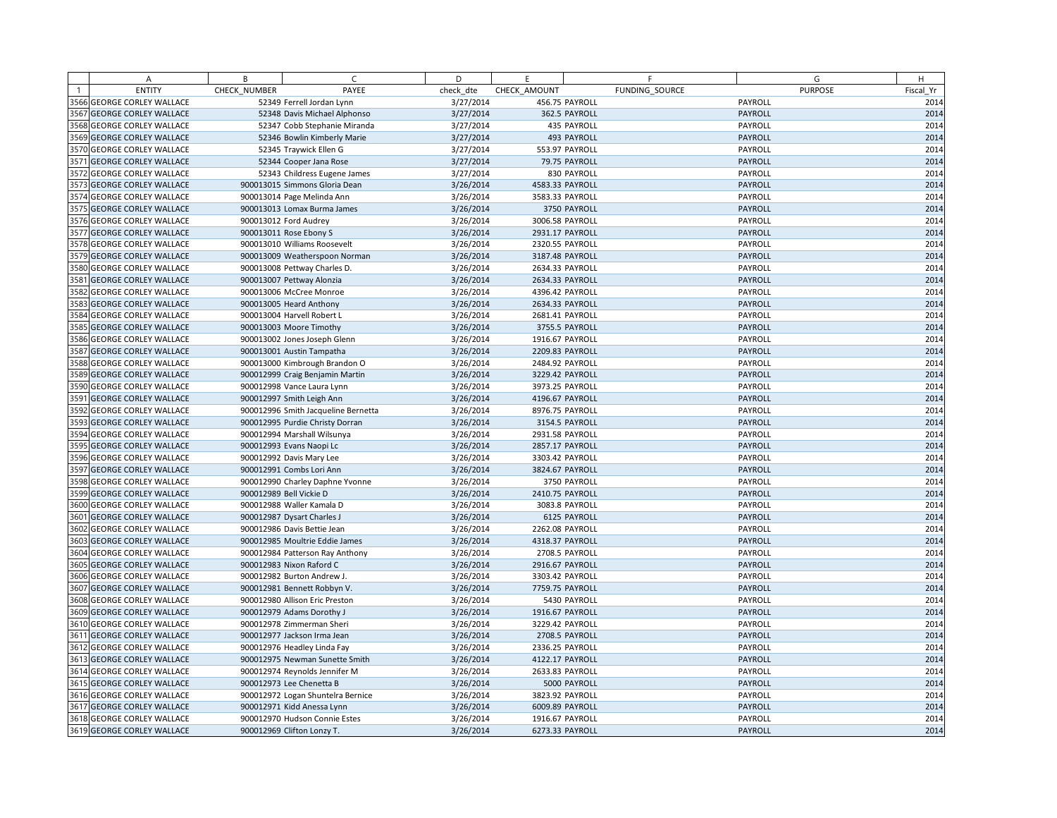|      | Α                            | B            | $\mathsf{C}$                        | D         | E               | F              | G              | H         |      |
|------|------------------------------|--------------|-------------------------------------|-----------|-----------------|----------------|----------------|-----------|------|
|      | <b>ENTITY</b>                | CHECK NUMBER | PAYEE                               | check dte | CHECK AMOUNT    | FUNDING SOURCE | <b>PURPOSE</b> | Fiscal Yr |      |
|      | 3566 GEORGE CORLEY WALLACE   |              | 52349 Ferrell Jordan Lynn           | 3/27/2014 |                 | 456.75 PAYROLL | PAYROLL        |           | 2014 |
|      | 3567 GEORGE CORLEY WALLACE   |              | 52348 Davis Michael Alphonso        | 3/27/2014 |                 | 362.5 PAYROLL  | PAYROLL        |           | 2014 |
|      | 3568 GEORGE CORLEY WALLACE   |              | 52347 Cobb Stephanie Miranda        | 3/27/2014 |                 | 435 PAYROLL    | PAYROLL        |           | 2014 |
|      | 3569 GEORGE CORLEY WALLACE   |              | 52346 Bowlin Kimberly Marie         | 3/27/2014 |                 | 493 PAYROLL    | PAYROLL        |           | 2014 |
|      | 3570 GEORGE CORLEY WALLACE   |              | 52345 Traywick Ellen G              | 3/27/2014 |                 | 553.97 PAYROLL | PAYROLL        |           | 2014 |
|      | 3571 GEORGE CORLEY WALLACE   |              | 52344 Cooper Jana Rose              | 3/27/2014 |                 | 79.75 PAYROLL  | PAYROLL        |           | 2014 |
|      | 3572 GEORGE CORLEY WALLACE   |              | 52343 Childress Eugene James        | 3/27/2014 |                 | 830 PAYROLL    | PAYROLL        |           | 2014 |
|      | 3573 GEORGE CORLEY WALLACE   |              | 900013015 Simmons Gloria Dean       | 3/26/2014 | 4583.33 PAYROLL |                | PAYROLL        |           | 2014 |
|      | 3574 GEORGE CORLEY WALLACE   |              | 900013014 Page Melinda Ann          | 3/26/2014 | 3583.33 PAYROLL |                | PAYROLL        |           | 2014 |
|      | 3575 GEORGE CORLEY WALLACE   |              | 900013013 Lomax Burma James         | 3/26/2014 |                 | 3750 PAYROLL   | PAYROLL        |           | 2014 |
|      | 3576 GEORGE CORLEY WALLACE   |              | 900013012 Ford Audrey               | 3/26/2014 | 3006.58 PAYROLL |                | PAYROLL        |           | 2014 |
| 3577 | <b>GEORGE CORLEY WALLACE</b> |              | 900013011 Rose Ebony S              | 3/26/2014 | 2931.17 PAYROLL |                | PAYROLL        |           | 2014 |
|      | 3578 GEORGE CORLEY WALLACE   |              | 900013010 Williams Roosevelt        | 3/26/2014 | 2320.55 PAYROLL |                | PAYROLL        |           | 2014 |
|      | 3579 GEORGE CORLEY WALLACE   |              | 900013009 Weatherspoon Norman       | 3/26/2014 | 3187.48 PAYROLL |                | PAYROLL        |           | 2014 |
|      | 3580 GEORGE CORLEY WALLACE   |              | 900013008 Pettway Charles D.        | 3/26/2014 | 2634.33 PAYROLL |                | PAYROLL        |           | 2014 |
| 3581 | <b>GEORGE CORLEY WALLACE</b> |              | 900013007 Pettway Alonzia           | 3/26/2014 | 2634.33 PAYROLL |                | PAYROLL        |           | 2014 |
|      | 3582 GEORGE CORLEY WALLACE   |              | 900013006 McCree Monroe             | 3/26/2014 | 4396.42 PAYROLL |                | PAYROLL        |           | 2014 |
|      | 3583 GEORGE CORLEY WALLACE   |              | 900013005 Heard Anthony             | 3/26/2014 | 2634.33 PAYROLL |                | PAYROLL        |           | 2014 |
|      | 3584 GEORGE CORLEY WALLACE   |              | 900013004 Harvell Robert L          | 3/26/2014 | 2681.41 PAYROLL |                | PAYROLL        |           | 2014 |
|      | 3585 GEORGE CORLEY WALLACE   |              | 900013003 Moore Timothy             | 3/26/2014 |                 | 3755.5 PAYROLL | PAYROLL        |           | 2014 |
|      | 3586 GEORGE CORLEY WALLACE   |              | 900013002 Jones Joseph Glenn        | 3/26/2014 | 1916.67 PAYROLL |                | PAYROLL        |           | 2014 |
|      | 3587 GEORGE CORLEY WALLACE   |              | 900013001 Austin Tampatha           | 3/26/2014 | 2209.83 PAYROLL |                | PAYROLL        |           | 2014 |
|      | 3588 GEORGE CORLEY WALLACE   |              | 900013000 Kimbrough Brandon O       | 3/26/2014 | 2484.92 PAYROLL |                | PAYROLL        |           | 2014 |
|      | 3589 GEORGE CORLEY WALLACE   |              | 900012999 Craig Benjamin Martin     | 3/26/2014 | 3229.42 PAYROLL |                | PAYROLL        |           | 2014 |
|      | 3590 GEORGE CORLEY WALLACE   |              | 900012998 Vance Laura Lynn          | 3/26/2014 | 3973.25 PAYROLL |                | PAYROLL        |           | 2014 |
| 3591 | <b>GEORGE CORLEY WALLACE</b> |              | 900012997 Smith Leigh Ann           | 3/26/2014 | 4196.67 PAYROLL |                | PAYROLL        |           | 2014 |
|      | 3592 GEORGE CORLEY WALLACE   |              | 900012996 Smith Jacqueline Bernetta | 3/26/2014 | 8976.75 PAYROLL |                | PAYROLL        |           | 2014 |
|      | 3593 GEORGE CORLEY WALLACE   |              | 900012995 Purdie Christy Dorran     | 3/26/2014 |                 | 3154.5 PAYROLL | PAYROLL        |           | 2014 |
|      | 3594 GEORGE CORLEY WALLACE   |              | 900012994 Marshall Wilsunya         | 3/26/2014 | 2931.58 PAYROLL |                | PAYROLL        |           | 2014 |
| 3595 | <b>GEORGE CORLEY WALLACE</b> |              | 900012993 Evans Naopi Lc            | 3/26/2014 | 2857.17 PAYROLL |                | PAYROLL        |           | 2014 |
|      | 3596 GEORGE CORLEY WALLACE   |              | 900012992 Davis Mary Lee            | 3/26/2014 | 3303.42 PAYROLL |                | PAYROLL        |           | 2014 |
| 3597 | <b>GEORGE CORLEY WALLACE</b> |              | 900012991 Combs Lori Ann            | 3/26/2014 | 3824.67 PAYROLL |                | PAYROLL        |           | 2014 |
|      | 3598 GEORGE CORLEY WALLACE   |              | 900012990 Charley Daphne Yvonne     | 3/26/2014 |                 | 3750 PAYROLL   | PAYROLL        |           | 2014 |
|      | 3599 GEORGE CORLEY WALLACE   |              | 900012989 Bell Vickie D             | 3/26/2014 | 2410.75 PAYROLL |                | PAYROLL        |           | 2014 |
|      | 3600 GEORGE CORLEY WALLACE   |              | 900012988 Waller Kamala D           | 3/26/2014 |                 | 3083.8 PAYROLL | PAYROLL        |           | 2014 |
|      | 3601 GEORGE CORLEY WALLACE   |              | 900012987 Dysart Charles J          | 3/26/2014 |                 | 6125 PAYROLL   | PAYROLL        |           | 2014 |
|      | 3602 GEORGE CORLEY WALLACE   |              | 900012986 Davis Bettie Jean         | 3/26/2014 | 2262.08 PAYROLL |                | PAYROLL        |           | 2014 |
|      | 3603 GEORGE CORLEY WALLACE   |              | 900012985 Moultrie Eddie James      | 3/26/2014 | 4318.37 PAYROLL |                | PAYROLL        |           | 2014 |
|      | 3604 GEORGE CORLEY WALLACE   |              | 900012984 Patterson Ray Anthony     | 3/26/2014 |                 | 2708.5 PAYROLL | PAYROLL        |           | 2014 |
|      | 3605 GEORGE CORLEY WALLACE   |              | 900012983 Nixon Raford C            | 3/26/2014 | 2916.67 PAYROLL |                | PAYROLL        |           | 2014 |
|      | 3606 GEORGE CORLEY WALLACE   |              | 900012982 Burton Andrew J.          | 3/26/2014 | 3303.42 PAYROLL |                | PAYROLL        |           | 2014 |
|      | 3607 GEORGE CORLEY WALLACE   |              | 900012981 Bennett Robbyn V.         | 3/26/2014 | 7759.75 PAYROLL |                | PAYROLL        |           | 2014 |
|      | 3608 GEORGE CORLEY WALLACE   |              | 900012980 Allison Eric Preston      | 3/26/2014 |                 | 5430 PAYROLL   | PAYROLL        |           | 2014 |
|      | 3609 GEORGE CORLEY WALLACE   |              | 900012979 Adams Dorothy J           | 3/26/2014 | 1916.67 PAYROLL |                | PAYROLL        |           | 2014 |
|      | 3610 GEORGE CORLEY WALLACE   |              | 900012978 Zimmerman Sheri           | 3/26/2014 | 3229.42 PAYROLL |                | PAYROLL        |           | 2014 |
|      | 3611 GEORGE CORLEY WALLACE   |              | 900012977 Jackson Irma Jean         | 3/26/2014 |                 | 2708.5 PAYROLL | PAYROLL        |           | 2014 |
|      | 3612 GEORGE CORLEY WALLACE   |              | 900012976 Headley Linda Fay         | 3/26/2014 | 2336.25 PAYROLL |                | PAYROLL        |           | 2014 |
|      | 3613 GEORGE CORLEY WALLACE   |              | 900012975 Newman Sunette Smith      | 3/26/2014 | 4122.17 PAYROLL |                | PAYROLL        |           | 2014 |
|      | 3614 GEORGE CORLEY WALLACE   |              | 900012974 Reynolds Jennifer M       | 3/26/2014 | 2633.83 PAYROLL |                | PAYROLL        |           | 2014 |
|      | 3615 GEORGE CORLEY WALLACE   |              | 900012973 Lee Chenetta B            | 3/26/2014 |                 | 5000 PAYROLL   | PAYROLL        |           | 2014 |
|      | 3616 GEORGE CORLEY WALLACE   |              | 900012972 Logan Shuntelra Bernice   | 3/26/2014 | 3823.92 PAYROLL |                | PAYROLL        |           | 2014 |
|      | 3617 GEORGE CORLEY WALLACE   |              | 900012971 Kidd Anessa Lynn          | 3/26/2014 | 6009.89 PAYROLL |                | PAYROLL        |           | 2014 |
|      | 3618 GEORGE CORLEY WALLACE   |              | 900012970 Hudson Connie Estes       | 3/26/2014 | 1916.67 PAYROLL |                | PAYROLL        |           | 2014 |
|      | 3619 GEORGE CORLEY WALLACE   |              | 900012969 Clifton Lonzy T.          | 3/26/2014 | 6273.33 PAYROLL |                | PAYROLL        |           | 2014 |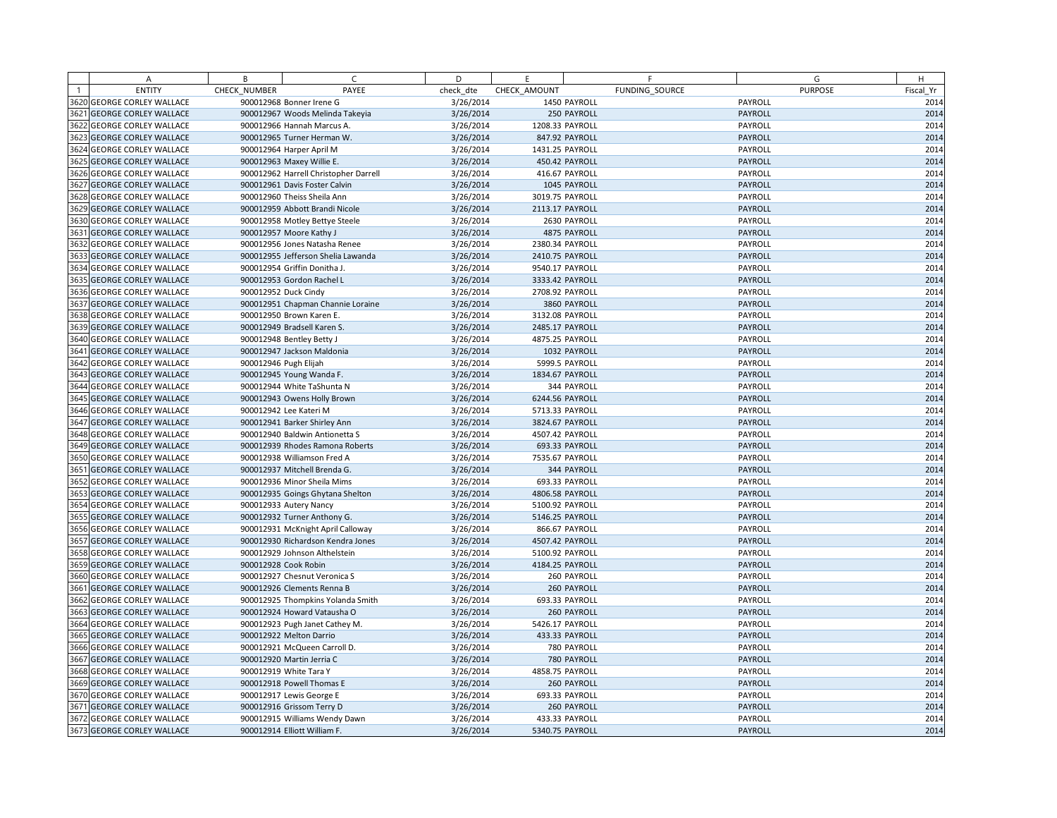|                | A                            | B            | $\mathsf{C}$                          | D         | E.              | F              | G              | H         |
|----------------|------------------------------|--------------|---------------------------------------|-----------|-----------------|----------------|----------------|-----------|
| $\overline{1}$ | <b>ENTITY</b>                | CHECK NUMBER | PAYEE                                 | check dte | CHECK AMOUNT    | FUNDING SOURCE | <b>PURPOSE</b> | Fiscal Yr |
|                | 3620 GEORGE CORLEY WALLACE   |              | 900012968 Bonner Irene G              | 3/26/2014 |                 | 1450 PAYROLL   | PAYROLL        | 2014      |
| 3621           | <b>GEORGE CORLEY WALLACE</b> |              | 900012967 Woods Melinda Takeyia       | 3/26/2014 |                 | 250 PAYROLL    | PAYROLL        | 2014      |
|                | 3622 GEORGE CORLEY WALLACE   |              | 900012966 Hannah Marcus A.            | 3/26/2014 | 1208.33 PAYROLL |                | PAYROLL        | 2014      |
| 3623           | <b>GEORGE CORLEY WALLACE</b> |              | 900012965 Turner Herman W.            | 3/26/2014 |                 | 847.92 PAYROLL | PAYROLL        | 2014      |
|                | 3624 GEORGE CORLEY WALLACE   |              | 900012964 Harper April M              | 3/26/2014 | 1431.25 PAYROLL |                | PAYROLL        | 2014      |
|                | 3625 GEORGE CORLEY WALLACE   |              | 900012963 Maxey Willie E.             | 3/26/2014 |                 | 450.42 PAYROLL | PAYROLL        | 2014      |
|                | 3626 GEORGE CORLEY WALLACE   |              | 900012962 Harrell Christopher Darrell | 3/26/2014 |                 | 416.67 PAYROLL | PAYROLL        | 2014      |
| 3627           | <b>GEORGE CORLEY WALLACE</b> |              | 900012961 Davis Foster Calvin         | 3/26/2014 |                 | 1045 PAYROLL   | PAYROLL        | 2014      |
|                | 3628 GEORGE CORLEY WALLACE   |              | 900012960 Theiss Sheila Ann           | 3/26/2014 | 3019.75 PAYROLL |                | PAYROLL        | 2014      |
|                | 3629 GEORGE CORLEY WALLACE   |              | 900012959 Abbott Brandi Nicole        | 3/26/2014 | 2113.17 PAYROLL |                | PAYROLL        | 2014      |
|                | 3630 GEORGE CORLEY WALLACE   |              | 900012958 Motley Bettye Steele        | 3/26/2014 |                 | 2630 PAYROLL   | PAYROLL        | 2014      |
| 3631           | <b>GEORGE CORLEY WALLACE</b> |              | 900012957 Moore Kathy J               | 3/26/2014 |                 | 4875 PAYROLL   | PAYROLL        | 2014      |
|                | 3632 GEORGE CORLEY WALLACE   |              | 900012956 Jones Natasha Renee         | 3/26/2014 | 2380.34 PAYROLL |                | PAYROLL        | 2014      |
|                | 3633 GEORGE CORLEY WALLACE   |              | 900012955 Jefferson Shelia Lawanda    | 3/26/2014 | 2410.75 PAYROLL |                | PAYROLL        | 2014      |
|                | 3634 GEORGE CORLEY WALLACE   |              | 900012954 Griffin Donitha J.          | 3/26/2014 | 9540.17 PAYROLL |                | PAYROLL        | 2014      |
| 3635           | <b>GEORGE CORLEY WALLACE</b> |              | 900012953 Gordon Rachel L             | 3/26/2014 | 3333.42 PAYROLL |                | PAYROLL        | 2014      |
|                | 3636 GEORGE CORLEY WALLACE   |              | 900012952 Duck Cindy                  | 3/26/2014 | 2708.92 PAYROLL |                | PAYROLL        | 2014      |
| 3637           | <b>GEORGE CORLEY WALLACE</b> |              | 900012951 Chapman Channie Loraine     | 3/26/2014 |                 | 3860 PAYROLL   | PAYROLL        | 2014      |
|                | 3638 GEORGE CORLEY WALLACE   |              | 900012950 Brown Karen E.              | 3/26/2014 | 3132.08 PAYROLL |                | PAYROLL        | 2014      |
|                | 3639 GEORGE CORLEY WALLACE   |              | 900012949 Bradsell Karen S.           | 3/26/2014 | 2485.17 PAYROLL |                | PAYROLL        | 2014      |
|                | 3640 GEORGE CORLEY WALLACE   |              | 900012948 Bentley Betty J             | 3/26/2014 | 4875.25 PAYROLL |                | PAYROLL        | 2014      |
|                | 3641 GEORGE CORLEY WALLACE   |              | 900012947 Jackson Maldonia            | 3/26/2014 |                 | 1032 PAYROLL   | PAYROLL        | 2014      |
|                | 3642 GEORGE CORLEY WALLACE   |              | 900012946 Pugh Elijah                 | 3/26/2014 |                 | 5999.5 PAYROLL | PAYROLL        | 2014      |
|                | 3643 GEORGE CORLEY WALLACE   |              | 900012945 Young Wanda F.              | 3/26/2014 | 1834.67 PAYROLL |                | PAYROLL        | 2014      |
|                | 3644 GEORGE CORLEY WALLACE   |              | 900012944 White TaShunta N            | 3/26/2014 |                 | 344 PAYROLL    | PAYROLL        | 2014      |
|                | 3645 GEORGE CORLEY WALLACE   |              | 900012943 Owens Holly Brown           | 3/26/2014 | 6244.56 PAYROLL |                | PAYROLL        | 2014      |
|                | 3646 GEORGE CORLEY WALLACE   |              | 900012942 Lee Kateri M                | 3/26/2014 | 5713.33 PAYROLL |                | PAYROLL        | 2014      |
|                | 3647 GEORGE CORLEY WALLACE   |              | 900012941 Barker Shirley Ann          | 3/26/2014 | 3824.67 PAYROLL |                | PAYROLL        | 2014      |
|                | 3648 GEORGE CORLEY WALLACE   |              | 900012940 Baldwin Antionetta S        | 3/26/2014 | 4507.42 PAYROLL |                | PAYROLL        | 2014      |
|                | 3649 GEORGE CORLEY WALLACE   |              | 900012939 Rhodes Ramona Roberts       | 3/26/2014 |                 | 693.33 PAYROLL | PAYROLL        | 2014      |
|                | 3650 GEORGE CORLEY WALLACE   |              | 900012938 Williamson Fred A           | 3/26/2014 | 7535.67 PAYROLL |                | PAYROLL        | 2014      |
| 3651           | <b>GEORGE CORLEY WALLACE</b> |              | 900012937 Mitchell Brenda G.          | 3/26/2014 |                 | 344 PAYROLL    | PAYROLL        | 2014      |
|                | 3652 GEORGE CORLEY WALLACE   |              | 900012936 Minor Sheila Mims           | 3/26/2014 |                 | 693.33 PAYROLL | PAYROLL        | 2014      |
|                | 3653 GEORGE CORLEY WALLACE   |              | 900012935 Goings Ghytana Shelton      | 3/26/2014 | 4806.58 PAYROLL |                | PAYROLL        | 2014      |
|                | 3654 GEORGE CORLEY WALLACE   |              | 900012933 Autery Nancy                | 3/26/2014 | 5100.92 PAYROLL |                | PAYROLL        | 2014      |
| 3655           | <b>GEORGE CORLEY WALLACE</b> |              | 900012932 Turner Anthony G.           | 3/26/2014 | 5146.25 PAYROLL |                | PAYROLL        | 2014      |
|                | 3656 GEORGE CORLEY WALLACE   |              | 900012931 McKnight April Calloway     | 3/26/2014 |                 | 866.67 PAYROLL | PAYROLL        | 2014      |
| 3657           | <b>GEORGE CORLEY WALLACE</b> |              | 900012930 Richardson Kendra Jones     | 3/26/2014 | 4507.42 PAYROLL |                | PAYROLL        | 2014      |
|                | 3658 GEORGE CORLEY WALLACE   |              | 900012929 Johnson Althelstein         | 3/26/2014 | 5100.92 PAYROLL |                | PAYROLL        | 2014      |
|                | 3659 GEORGE CORLEY WALLACE   |              | 900012928 Cook Robin                  | 3/26/2014 | 4184.25 PAYROLL |                | PAYROLL        | 2014      |
|                | 3660 GEORGE CORLEY WALLACE   |              | 900012927 Chesnut Veronica S          | 3/26/2014 |                 | 260 PAYROLL    | PAYROLL        | 2014      |
| 3661           | <b>GEORGE CORLEY WALLACE</b> |              | 900012926 Clements Renna B            | 3/26/2014 |                 | 260 PAYROLL    | PAYROLL        | 2014      |
|                | 3662 GEORGE CORLEY WALLACE   |              | 900012925 Thompkins Yolanda Smith     | 3/26/2014 |                 | 693.33 PAYROLL | PAYROLL        | 2014      |
|                | 3663 GEORGE CORLEY WALLACE   |              | 900012924 Howard Vatausha O           | 3/26/2014 |                 | 260 PAYROLL    | PAYROLL        | 2014      |
|                | 3664 GEORGE CORLEY WALLACE   |              | 900012923 Pugh Janet Cathey M.        | 3/26/2014 | 5426.17 PAYROLL |                | PAYROLL        | 2014      |
|                | 3665 GEORGE CORLEY WALLACE   |              | 900012922 Melton Darrio               | 3/26/2014 |                 | 433.33 PAYROLL | PAYROLL        | 2014      |
|                | 3666 GEORGE CORLEY WALLACE   |              | 900012921 McQueen Carroll D.          | 3/26/2014 |                 | 780 PAYROLL    | PAYROLL        | 2014      |
|                | 3667 GEORGE CORLEY WALLACE   |              | 900012920 Martin Jerria C             | 3/26/2014 |                 | 780 PAYROLL    | PAYROLL        | 2014      |
|                | 3668 GEORGE CORLEY WALLACE   |              | 900012919 White Tara Y                | 3/26/2014 | 4858.75 PAYROLL |                | PAYROLL        | 2014      |
|                | 3669 GEORGE CORLEY WALLACE   |              | 900012918 Powell Thomas E             | 3/26/2014 |                 | 260 PAYROLL    | PAYROLL        | 2014      |
|                | 3670 GEORGE CORLEY WALLACE   |              | 900012917 Lewis George E              | 3/26/2014 |                 | 693.33 PAYROLL | PAYROLL        | 2014      |
|                | 3671 GEORGE CORLEY WALLACE   |              | 900012916 Grissom Terry D             | 3/26/2014 |                 | 260 PAYROLL    | PAYROLL        | 2014      |
|                | 3672 GEORGE CORLEY WALLACE   |              | 900012915 Williams Wendy Dawn         | 3/26/2014 |                 | 433.33 PAYROLL | PAYROLL        | 2014      |
|                | 3673 GEORGE CORLEY WALLACE   |              | 900012914 Elliott William F.          | 3/26/2014 | 5340.75 PAYROLL |                | PAYROLL        | 2014      |
|                |                              |              |                                       |           |                 |                |                |           |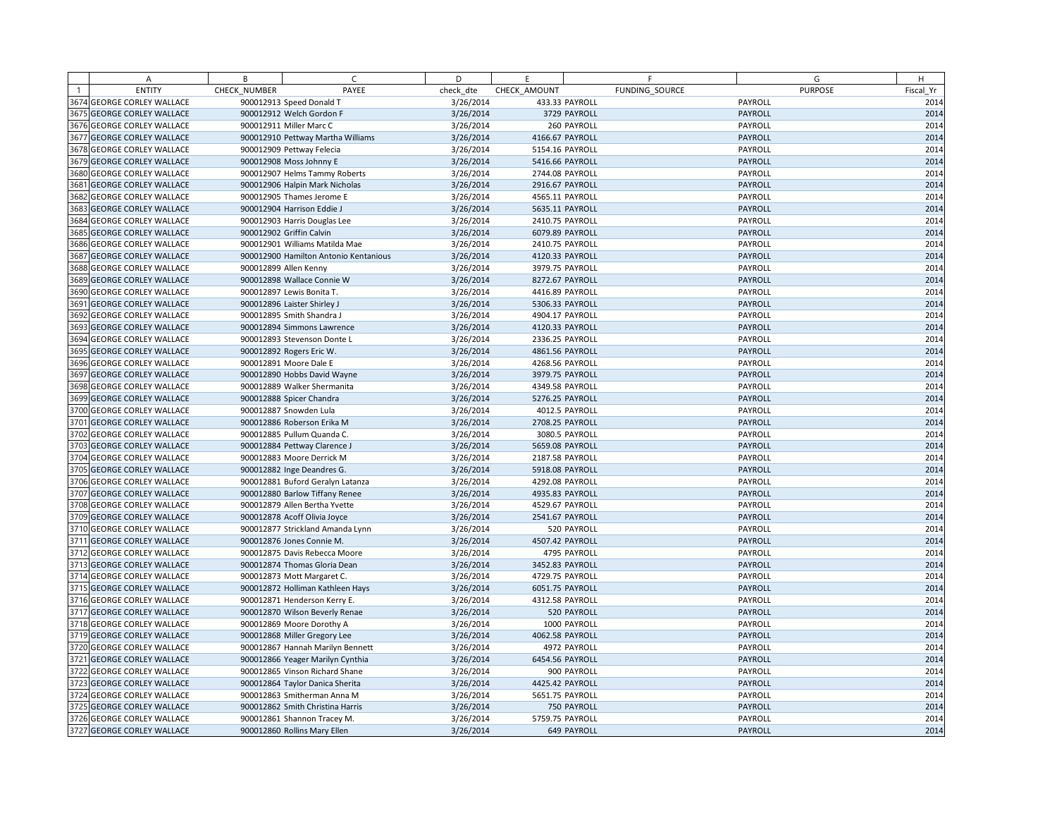| A                                                        | B            | C                                     | D         | E               |                | F              | G                  | H            |
|----------------------------------------------------------|--------------|---------------------------------------|-----------|-----------------|----------------|----------------|--------------------|--------------|
| <b>ENTITY</b>                                            | CHECK NUMBER | PAYEE                                 | check dte | CHECK AMOUNT    |                | FUNDING SOURCE | <b>PURPOSE</b>     | Fiscal Yr    |
| 3674 GEORGE CORLEY WALLACE                               |              | 900012913 Speed Donald T              | 3/26/2014 |                 | 433.33 PAYROLL |                | PAYROLL            | 2014         |
| 3675 GEORGE CORLEY WALLACE                               |              | 900012912 Welch Gordon F              | 3/26/2014 |                 | 3729 PAYROLL   |                | PAYROLL            | 2014         |
| <b>3676 GEORGE CORLEY WALLACE</b>                        |              | 900012911 Miller Marc C               | 3/26/2014 |                 | 260 PAYROLL    |                | PAYROLL            | 2014         |
| 3677 GEORGE CORLEY WALLACE                               |              | 900012910 Pettway Martha Williams     | 3/26/2014 | 4166.67 PAYROLL |                |                | PAYROLL            | 2014         |
| 3678 GEORGE CORLEY WALLACE                               |              | 900012909 Pettway Felecia             | 3/26/2014 | 5154.16 PAYROLL |                |                | PAYROLL            | 2014         |
| 3679 GEORGE CORLEY WALLACE                               |              | 900012908 Moss Johnny E               | 3/26/2014 | 5416.66 PAYROLL |                |                | PAYROLL            | 2014         |
| 3680 GEORGE CORLEY WALLACE                               |              | 900012907 Helms Tammy Roberts         | 3/26/2014 | 2744.08 PAYROLL |                |                | PAYROLL            | 2014         |
| 3681 GEORGE CORLEY WALLACE                               |              | 900012906 Halpin Mark Nicholas        | 3/26/2014 | 2916.67 PAYROLL |                |                | PAYROLL            | 2014         |
| <b>3682 GEORGE CORLEY WALLACE</b>                        |              | 900012905 Thames Jerome E             | 3/26/2014 | 4565.11 PAYROLL |                |                | PAYROLL            | 2014         |
| 3683 GEORGE CORLEY WALLACE                               |              | 900012904 Harrison Eddie J            | 3/26/2014 | 5635.11 PAYROLL |                |                | PAYROLL            | 2014         |
| <b>3684 GEORGE CORLEY WALLACE</b>                        |              | 900012903 Harris Douglas Lee          | 3/26/2014 | 2410.75 PAYROLL |                |                | PAYROLL            | 2014         |
| 3685 GEORGE CORLEY WALLACE                               |              | 900012902 Griffin Calvin              | 3/26/2014 | 6079.89 PAYROLL |                |                | PAYROLL            | 2014         |
| 3686 GEORGE CORLEY WALLACE                               |              | 900012901 Williams Matilda Mae        | 3/26/2014 | 2410.75 PAYROLL |                |                | PAYROLL            | 2014         |
| <b>3687 GEORGE CORLEY WALLACE</b>                        |              | 900012900 Hamilton Antonio Kentanious | 3/26/2014 | 4120.33 PAYROLL |                |                | PAYROLL            | 2014         |
| <b>3688 GEORGE CORLEY WALLACE</b>                        |              | 900012899 Allen Kenny                 | 3/26/2014 | 3979.75 PAYROLL |                |                | PAYROLL            | 2014         |
| 3689 GEORGE CORLEY WALLACE                               |              | 900012898 Wallace Connie W            | 3/26/2014 | 8272.67 PAYROLL |                |                | PAYROLL            | 2014         |
| <b>3690 GEORGE CORLEY WALLACE</b>                        |              | 900012897 Lewis Bonita T.             | 3/26/2014 | 4416.89 PAYROLL |                |                | PAYROLL            | 2014         |
| 3691 GEORGE CORLEY WALLACE                               |              | 900012896 Laister Shirley J           | 3/26/2014 | 5306.33 PAYROLL |                |                | PAYROLL            | 2014         |
| 3692 GEORGE CORLEY WALLACE                               |              | 900012895 Smith Shandra J             | 3/26/2014 | 4904.17 PAYROLL |                |                | PAYROLL            | 2014         |
| 3693 GEORGE CORLEY WALLACE                               |              | 900012894 Simmons Lawrence            | 3/26/2014 | 4120.33 PAYROLL |                |                | PAYROLL            | 2014         |
| <b>3694 GEORGE CORLEY WALLACE</b>                        |              | 900012893 Stevenson Donte L           | 3/26/2014 | 2336.25 PAYROLL |                |                | PAYROLL            | 2014         |
| 3695 GEORGE CORLEY WALLACE                               |              | 900012892 Rogers Eric W.              | 3/26/2014 | 4861.56 PAYROLL |                |                | PAYROLL            | 2014         |
| 3696 GEORGE CORLEY WALLACE                               |              | 900012891 Moore Dale E                | 3/26/2014 | 4268.56 PAYROLL |                |                | PAYROLL            | 2014         |
| 3697 GEORGE CORLEY WALLACE                               |              | 900012890 Hobbs David Wayne           | 3/26/2014 | 3979.75 PAYROLL |                |                | PAYROLL            | 2014         |
| 3698 GEORGE CORLEY WALLACE                               |              | 900012889 Walker Shermanita           | 3/26/2014 | 4349.58 PAYROLL |                |                | PAYROLL            | 2014         |
| 3699 GEORGE CORLEY WALLACE                               |              | 900012888 Spicer Chandra              | 3/26/2014 | 5276.25 PAYROLL |                |                | PAYROLL            | 2014         |
| 3700 GEORGE CORLEY WALLACE                               |              | 900012887 Snowden Lula                | 3/26/2014 |                 | 4012.5 PAYROLL |                | PAYROLL            | 2014         |
| 3701 GEORGE CORLEY WALLACE                               |              | 900012886 Roberson Erika M            | 3/26/2014 | 2708.25 PAYROLL |                |                | PAYROLL            | 2014         |
| 3702 GEORGE CORLEY WALLACE                               |              | 900012885 Pullum Quanda C.            | 3/26/2014 |                 | 3080.5 PAYROLL |                | PAYROLL            | 2014         |
| 3703 GEORGE CORLEY WALLACE                               |              | 900012884 Pettway Clarence J          | 3/26/2014 | 5659.08 PAYROLL |                |                | PAYROLL            | 2014         |
| 3704 GEORGE CORLEY WALLACE                               |              | 900012883 Moore Derrick M             | 3/26/2014 | 2187.58 PAYROLL |                |                | PAYROLL            | 2014         |
| 3705 GEORGE CORLEY WALLACE                               |              | 900012882 Inge Deandres G.            | 3/26/2014 | 5918.08 PAYROLL |                |                | PAYROLL            | 2014         |
| 3706 GEORGE CORLEY WALLACE                               |              | 900012881 Buford Geralyn Latanza      | 3/26/2014 | 4292.08 PAYROLL |                |                | PAYROLL            | 2014         |
| 3707 GEORGE CORLEY WALLACE                               |              | 900012880 Barlow Tiffany Renee        | 3/26/2014 | 4935.83 PAYROLL |                |                | PAYROLL            | 2014         |
| 3708 GEORGE CORLEY WALLACE                               |              | 900012879 Allen Bertha Yvette         | 3/26/2014 | 4529.67 PAYROLL |                |                | PAYROLL            | 2014         |
| 3709 GEORGE CORLEY WALLACE                               |              | 900012878 Acoff Olivia Joyce          | 3/26/2014 | 2541.67 PAYROLL |                |                | PAYROLL            | 2014         |
| 3710 GEORGE CORLEY WALLACE                               |              | 900012877 Strickland Amanda Lynn      | 3/26/2014 |                 | 520 PAYROLL    |                | PAYROLL            | 2014         |
| 3711 GEORGE CORLEY WALLACE                               |              | 900012876 Jones Connie M.             | 3/26/2014 | 4507.42 PAYROLL |                |                | PAYROLL            | 2014         |
| 3712 GEORGE CORLEY WALLACE                               |              | 900012875 Davis Rebecca Moore         | 3/26/2014 |                 | 4795 PAYROLL   |                | PAYROLL            | 2014         |
| 3713 GEORGE CORLEY WALLACE                               |              | 900012874 Thomas Gloria Dean          | 3/26/2014 | 3452.83 PAYROLL |                |                | PAYROLL            | 2014         |
| 3714 GEORGE CORLEY WALLACE                               |              | 900012873 Mott Margaret C.            | 3/26/2014 | 4729.75 PAYROLL |                |                | PAYROLL            | 2014         |
| 3715 GEORGE CORLEY WALLACE                               |              | 900012872 Holliman Kathleen Hays      | 3/26/2014 | 6051.75 PAYROLL |                |                | PAYROLL            | 2014         |
| 3716 GEORGE CORLEY WALLACE                               |              | 900012871 Henderson Kerry E.          | 3/26/2014 | 4312.58 PAYROLL |                |                | PAYROLL            | 2014         |
| 3717 GEORGE CORLEY WALLACE                               |              | 900012870 Wilson Beverly Renae        | 3/26/2014 |                 | 520 PAYROLL    |                | PAYROLL            | 2014         |
| 3718 GEORGE CORLEY WALLACE                               |              | 900012869 Moore Dorothy A             | 3/26/2014 |                 | 1000 PAYROLL   |                | PAYROLL            | 2014         |
| 3719 GEORGE CORLEY WALLACE                               |              | 900012868 Miller Gregory Lee          | 3/26/2014 | 4062.58 PAYROLL |                |                | <b>PAYROLL</b>     | 2014         |
| 3720 GEORGE CORLEY WALLACE                               |              | 900012867 Hannah Marilyn Bennett      | 3/26/2014 |                 | 4972 PAYROLL   |                | PAYROLL            | 2014         |
| 3721 GEORGE CORLEY WALLACE                               |              | 900012866 Yeager Marilyn Cynthia      | 3/26/2014 | 6454.56 PAYROLL |                |                | PAYROLL            | 2014         |
| 3722 GEORGE CORLEY WALLACE                               |              | 900012865 Vinson Richard Shane        | 3/26/2014 |                 | 900 PAYROLL    |                | PAYROLL            | 2014         |
| 3723 GEORGE CORLEY WALLACE                               |              | 900012864 Taylor Danica Sherita       | 3/26/2014 | 4425.42 PAYROLL |                |                | PAYROLL            | 2014         |
| 3724 GEORGE CORLEY WALLACE                               |              | 900012863 Smitherman Anna M           | 3/26/2014 | 5651.75 PAYROLL |                |                | PAYROLL            | 2014         |
| 3725 GEORGE CORLEY WALLACE<br>3726 GEORGE CORLEY WALLACE |              | 900012862 Smith Christina Harris      | 3/26/2014 | 5759.75 PAYROLL | 750 PAYROLL    |                | PAYROLL<br>PAYROLL | 2014<br>2014 |
|                                                          |              | 900012861 Shannon Tracey M.           | 3/26/2014 |                 |                |                | PAYROLL            | 2014         |
| 3727 GEORGE CORLEY WALLACE                               |              | 900012860 Rollins Mary Ellen          | 3/26/2014 |                 | 649 PAYROLL    |                |                    |              |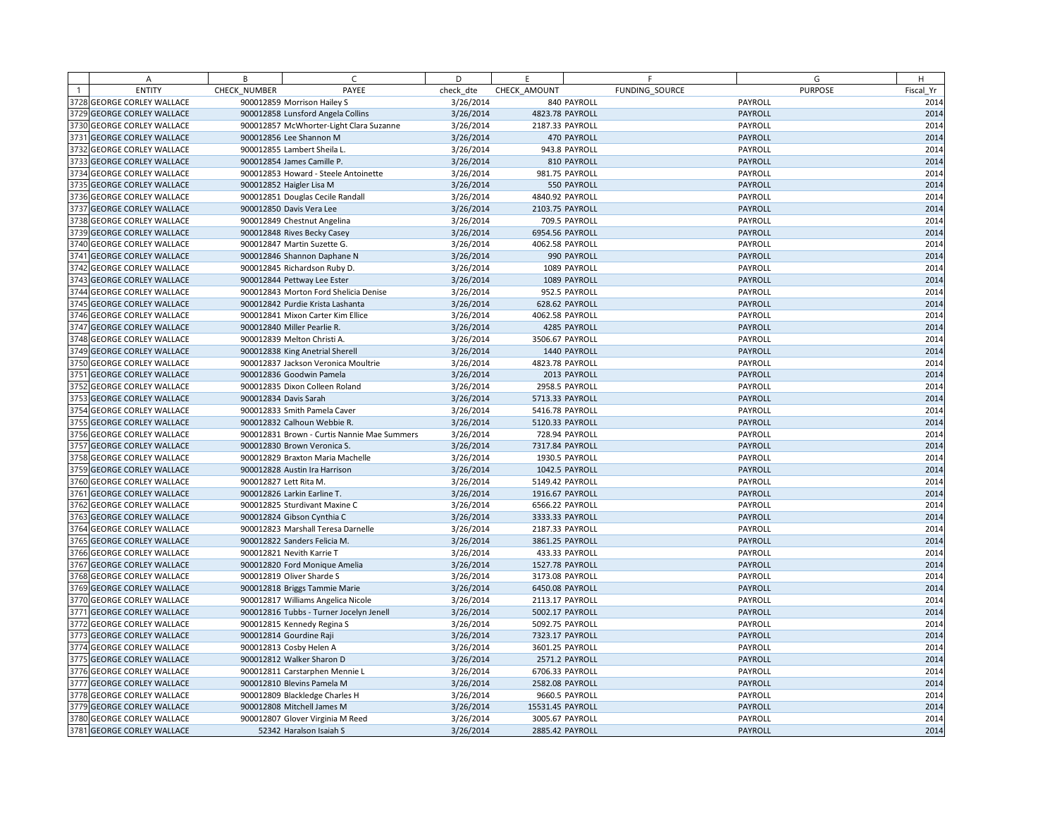| A                          | B            | $\subset$                                   | D         | E                |                | F              | G              | H         |
|----------------------------|--------------|---------------------------------------------|-----------|------------------|----------------|----------------|----------------|-----------|
| <b>ENTITY</b>              | CHECK NUMBER | PAYEE                                       | check dte | CHECK AMOUNT     |                | FUNDING SOURCE | <b>PURPOSE</b> | Fiscal Yr |
| 3728 GEORGE CORLEY WALLACE |              | 900012859 Morrison Hailey S                 | 3/26/2014 |                  | 840 PAYROLL    |                | PAYROLL        | 2014      |
| 3729 GEORGE CORLEY WALLACE |              | 900012858 Lunsford Angela Collins           | 3/26/2014 | 4823.78 PAYROLL  |                |                | PAYROLL        | 2014      |
| 3730 GEORGE CORLEY WALLACE |              | 900012857 McWhorter-Light Clara Suzanne     | 3/26/2014 | 2187.33 PAYROLL  |                |                | PAYROLL        | 2014      |
| 3731 GEORGE CORLEY WALLACE |              | 900012856 Lee Shannon M                     | 3/26/2014 |                  | 470 PAYROLL    |                | PAYROLL        | 2014      |
| 3732 GEORGE CORLEY WALLACE |              | 900012855 Lambert Sheila L.                 | 3/26/2014 |                  | 943.8 PAYROLL  |                | PAYROLL        | 2014      |
| 3733 GEORGE CORLEY WALLACE |              | 900012854 James Camille P.                  | 3/26/2014 |                  | 810 PAYROLL    |                | PAYROLL        | 2014      |
| 3734 GEORGE CORLEY WALLACE |              | 900012853 Howard - Steele Antoinette        | 3/26/2014 |                  | 981.75 PAYROLL |                | PAYROLL        | 2014      |
| 3735 GEORGE CORLEY WALLACE |              | 900012852 Haigler Lisa M                    | 3/26/2014 |                  | 550 PAYROLL    |                | PAYROLL        | 2014      |
| 3736 GEORGE CORLEY WALLACE |              | 900012851 Douglas Cecile Randall            | 3/26/2014 | 4840.92 PAYROLL  |                |                | PAYROLL        | 2014      |
| 3737 GEORGE CORLEY WALLACE |              | 900012850 Davis Vera Lee                    | 3/26/2014 | 2103.75 PAYROLL  |                |                | PAYROLL        | 2014      |
| 3738 GEORGE CORLEY WALLACE |              | 900012849 Chestnut Angelina                 | 3/26/2014 |                  | 709.5 PAYROLL  |                | PAYROLL        | 2014      |
| 3739 GEORGE CORLEY WALLACE |              | 900012848 Rives Becky Casey                 | 3/26/2014 | 6954.56 PAYROLL  |                |                | PAYROLL        | 2014      |
| 3740 GEORGE CORLEY WALLACE |              | 900012847 Martin Suzette G.                 | 3/26/2014 | 4062.58 PAYROLL  |                |                | PAYROLL        | 2014      |
| 3741 GEORGE CORLEY WALLACE |              | 900012846 Shannon Daphane N                 | 3/26/2014 |                  | 990 PAYROLL    |                | PAYROLL        | 2014      |
| 3742 GEORGE CORLEY WALLACE |              | 900012845 Richardson Ruby D.                | 3/26/2014 |                  | 1089 PAYROLL   |                | PAYROLL        | 2014      |
| 3743 GEORGE CORLEY WALLACE |              | 900012844 Pettway Lee Ester                 | 3/26/2014 |                  | 1089 PAYROLL   |                | PAYROLL        | 2014      |
| 3744 GEORGE CORLEY WALLACE |              | 900012843 Morton Ford Shelicia Denise       | 3/26/2014 |                  | 952.5 PAYROLL  |                | PAYROLL        | 2014      |
| 3745 GEORGE CORLEY WALLACE |              | 900012842 Purdie Krista Lashanta            | 3/26/2014 |                  | 628.62 PAYROLL |                | PAYROLL        | 2014      |
| 3746 GEORGE CORLEY WALLACE |              | 900012841 Mixon Carter Kim Ellice           | 3/26/2014 | 4062.58 PAYROLL  |                |                | PAYROLL        | 2014      |
| 3747 GEORGE CORLEY WALLACE |              | 900012840 Miller Pearlie R.                 | 3/26/2014 |                  | 4285 PAYROLL   |                | PAYROLL        | 2014      |
| 3748 GEORGE CORLEY WALLACE |              | 900012839 Melton Christi A.                 | 3/26/2014 | 3506.67 PAYROLL  |                |                | PAYROLL        | 2014      |
| 3749 GEORGE CORLEY WALLACE |              | 900012838 King Anetrial Sherell             | 3/26/2014 |                  | 1440 PAYROLL   |                | PAYROLL        | 2014      |
| 3750 GEORGE CORLEY WALLACE |              | 900012837 Jackson Veronica Moultrie         | 3/26/2014 | 4823.78 PAYROLL  |                |                | PAYROLL        | 2014      |
| 3751 GEORGE CORLEY WALLACE |              | 900012836 Goodwin Pamela                    | 3/26/2014 |                  | 2013 PAYROLL   |                | PAYROLL        | 2014      |
| 3752 GEORGE CORLEY WALLACE |              | 900012835 Dixon Colleen Roland              | 3/26/2014 |                  | 2958.5 PAYROLL |                | PAYROLL        | 2014      |
| 3753 GEORGE CORLEY WALLACE |              | 900012834 Davis Sarah                       | 3/26/2014 | 5713.33 PAYROLL  |                |                | PAYROLL        | 2014      |
| 3754 GEORGE CORLEY WALLACE |              | 900012833 Smith Pamela Caver                | 3/26/2014 | 5416.78 PAYROLL  |                |                | PAYROLL        | 2014      |
| 3755 GEORGE CORLEY WALLACE |              | 900012832 Calhoun Webbie R.                 | 3/26/2014 | 5120.33 PAYROLL  |                |                | PAYROLL        | 2014      |
| 3756 GEORGE CORLEY WALLACE |              | 900012831 Brown - Curtis Nannie Mae Summers | 3/26/2014 |                  | 728.94 PAYROLL |                | PAYROLL        | 2014      |
| 3757 GEORGE CORLEY WALLACE |              | 900012830 Brown Veronica S.                 | 3/26/2014 | 7317.84 PAYROLL  |                |                | PAYROLL        | 2014      |
| 3758 GEORGE CORLEY WALLACE |              | 900012829 Braxton Maria Machelle            | 3/26/2014 |                  | 1930.5 PAYROLL |                | PAYROLL        | 2014      |
| 3759 GEORGE CORLEY WALLACE |              | 900012828 Austin Ira Harrison               | 3/26/2014 |                  | 1042.5 PAYROLL |                | PAYROLL        | 2014      |
| 3760 GEORGE CORLEY WALLACE |              | 900012827 Lett Rita M.                      | 3/26/2014 | 5149.42 PAYROLL  |                |                | PAYROLL        | 2014      |
| 3761 GEORGE CORLEY WALLACE |              | 900012826 Larkin Earline T.                 | 3/26/2014 | 1916.67 PAYROLL  |                |                | PAYROLL        | 2014      |
| 3762 GEORGE CORLEY WALLACE |              | 900012825 Sturdivant Maxine C               | 3/26/2014 | 6566.22 PAYROLL  |                |                | PAYROLL        | 2014      |
| 3763 GEORGE CORLEY WALLACE |              | 900012824 Gibson Cynthia C                  | 3/26/2014 | 3333.33 PAYROLL  |                |                | PAYROLL        | 2014      |
| 3764 GEORGE CORLEY WALLACE |              | 900012823 Marshall Teresa Darnelle          | 3/26/2014 | 2187.33 PAYROLL  |                |                | PAYROLL        | 2014      |
| 3765 GEORGE CORLEY WALLACE |              | 900012822 Sanders Felicia M.                | 3/26/2014 | 3861.25 PAYROLL  |                |                | PAYROLL        | 2014      |
| 3766 GEORGE CORLEY WALLACE |              | 900012821 Nevith Karrie T                   | 3/26/2014 |                  | 433.33 PAYROLL |                | PAYROLL        | 2014      |
| 3767 GEORGE CORLEY WALLACE |              | 900012820 Ford Monique Amelia               | 3/26/2014 | 1527.78 PAYROLL  |                |                | PAYROLL        | 2014      |
| 3768 GEORGE CORLEY WALLACE |              | 900012819 Oliver Sharde S                   | 3/26/2014 | 3173.08 PAYROLL  |                |                | PAYROLL        | 2014      |
| 3769 GEORGE CORLEY WALLACE |              | 900012818 Briggs Tammie Marie               | 3/26/2014 | 6450.08 PAYROLL  |                |                | PAYROLL        | 2014      |
| 3770 GEORGE CORLEY WALLACE |              | 900012817 Williams Angelica Nicole          | 3/26/2014 | 2113.17 PAYROLL  |                |                | PAYROLL        | 2014      |
| 3771 GEORGE CORLEY WALLACE |              | 900012816 Tubbs - Turner Jocelyn Jenell     | 3/26/2014 | 5002.17 PAYROLL  |                |                | PAYROLL        | 2014      |
| 3772 GEORGE CORLEY WALLACE |              | 900012815 Kennedy Regina S                  | 3/26/2014 | 5092.75 PAYROLL  |                |                | PAYROLL        | 2014      |
| 3773 GEORGE CORLEY WALLACE |              | 900012814 Gourdine Raji                     | 3/26/2014 | 7323.17 PAYROLL  |                |                | <b>PAYROLL</b> | 2014      |
| 3774 GEORGE CORLEY WALLACE |              | 900012813 Cosby Helen A                     | 3/26/2014 | 3601.25 PAYROLL  |                |                | PAYROLL        | 2014      |
| 3775 GEORGE CORLEY WALLACE |              | 900012812 Walker Sharon D                   | 3/26/2014 |                  | 2571.2 PAYROLL |                | PAYROLL        | 2014      |
| 3776 GEORGE CORLEY WALLACE |              | 900012811 Carstarphen Mennie L              | 3/26/2014 | 6706.33 PAYROLL  |                |                | PAYROLL        | 2014      |
| 3777 GEORGE CORLEY WALLACE |              | 900012810 Blevins Pamela M                  | 3/26/2014 | 2582.08 PAYROLL  |                |                | PAYROLL        | 2014      |
| 3778 GEORGE CORLEY WALLACE |              | 900012809 Blackledge Charles H              | 3/26/2014 |                  | 9660.5 PAYROLL |                | PAYROLL        | 2014      |
| 3779 GEORGE CORLEY WALLACE |              | 900012808 Mitchell James M                  | 3/26/2014 | 15531.45 PAYROLL |                |                | PAYROLL        | 2014      |
| 3780 GEORGE CORLEY WALLACE |              | 900012807 Glover Virginia M Reed            | 3/26/2014 | 3005.67 PAYROLL  |                |                | PAYROLL        | 2014      |
| 3781 GEORGE CORLEY WALLACE |              | 52342 Haralson Isaiah S                     | 3/26/2014 | 2885.42 PAYROLL  |                |                | PAYROLL        | 2014      |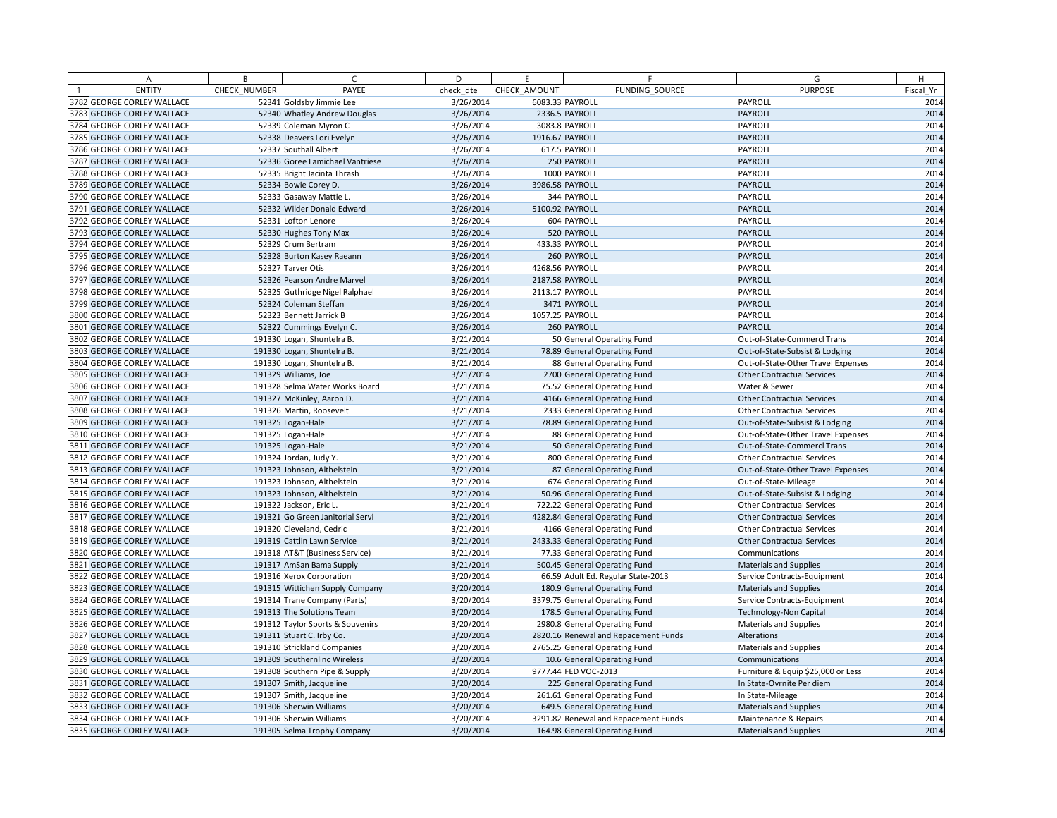| А                                 | B            | C.                               | D         | E               | F                                    | G                                  | H         |
|-----------------------------------|--------------|----------------------------------|-----------|-----------------|--------------------------------------|------------------------------------|-----------|
| <b>ENTITY</b>                     | CHECK NUMBER | PAYEE                            | check dte | CHECK AMOUNT    | FUNDING SOURCE                       | <b>PURPOSE</b>                     | Fiscal Yr |
| 3782 GEORGE CORLEY WALLACE        |              | 52341 Goldsby Jimmie Lee         | 3/26/2014 | 6083.33 PAYROLL |                                      | PAYROLL                            | 2014      |
| 3783 GEORGE CORLEY WALLACE        |              | 52340 Whatley Andrew Douglas     | 3/26/2014 |                 | 2336.5 PAYROLL                       | PAYROLL                            | 2014      |
| 3784 GEORGE CORLEY WALLACE        |              | 52339 Coleman Myron C            | 3/26/2014 |                 | 3083.8 PAYROLL                       | PAYROLL                            | 2014      |
| 3785 GEORGE CORLEY WALLACE        |              | 52338 Deavers Lori Evelyn        | 3/26/2014 | 1916.67 PAYROLL |                                      | PAYROLL                            | 2014      |
| 3786 GEORGE CORLEY WALLACE        |              | 52337 Southall Albert            | 3/26/2014 |                 | 617.5 PAYROLL                        | PAYROLL                            | 2014      |
| 3787 GEORGE CORLEY WALLACE        |              | 52336 Goree Lamichael Vantriese  | 3/26/2014 |                 | 250 PAYROLL                          | PAYROLL                            | 2014      |
| 3788 GEORGE CORLEY WALLACE        |              | 52335 Bright Jacinta Thrash      | 3/26/2014 |                 | 1000 PAYROLL                         | PAYROLL                            | 2014      |
| 3789 GEORGE CORLEY WALLACE        |              | 52334 Bowie Corey D.             | 3/26/2014 | 3986.58 PAYROLL |                                      | PAYROLL                            | 2014      |
| <b>3790 GEORGE CORLEY WALLACE</b> |              | 52333 Gasaway Mattie L.          | 3/26/2014 |                 | 344 PAYROLL                          | PAYROLL                            | 2014      |
| 3791 GEORGE CORLEY WALLACE        |              | 52332 Wilder Donald Edward       | 3/26/2014 | 5100.92 PAYROLL |                                      | PAYROLL                            | 2014      |
| 3792 GEORGE CORLEY WALLACE        |              | 52331 Lofton Lenore              | 3/26/2014 |                 | 604 PAYROLL                          | PAYROLL                            | 2014      |
| 3793 GEORGE CORLEY WALLACE        |              | 52330 Hughes Tony Max            | 3/26/2014 |                 | 520 PAYROLL                          | PAYROLL                            | 2014      |
| 3794 GEORGE CORLEY WALLACE        |              | 52329 Crum Bertram               | 3/26/2014 |                 | 433.33 PAYROLL                       | PAYROLL                            | 2014      |
| 3795 GEORGE CORLEY WALLACE        |              | 52328 Burton Kasey Raeann        | 3/26/2014 |                 | 260 PAYROLL                          | PAYROLL                            | 2014      |
| 3796 GEORGE CORLEY WALLACE        |              | 52327 Tarver Otis                | 3/26/2014 | 4268.56 PAYROLL |                                      | PAYROLL                            | 2014      |
| 3797 GEORGE CORLEY WALLACE        |              | 52326 Pearson Andre Marvel       | 3/26/2014 | 2187.58 PAYROLL |                                      | PAYROLL                            | 2014      |
| 3798 GEORGE CORLEY WALLACE        |              | 52325 Guthridge Nigel Ralphael   | 3/26/2014 | 2113.17 PAYROLL |                                      | PAYROLL                            | 2014      |
| 3799 GEORGE CORLEY WALLACE        |              | 52324 Coleman Steffan            | 3/26/2014 |                 | 3471 PAYROLL                         | PAYROLL                            | 2014      |
| 3800 GEORGE CORLEY WALLACE        |              | 52323 Bennett Jarrick B          | 3/26/2014 | 1057.25 PAYROLL |                                      | PAYROLL                            | 2014      |
| 3801 GEORGE CORLEY WALLACE        |              | 52322 Cummings Evelyn C.         | 3/26/2014 |                 | 260 PAYROLL                          | PAYROLL                            | 2014      |
| 3802 GEORGE CORLEY WALLACE        |              | 191330 Logan, Shuntelra B.       | 3/21/2014 |                 | 50 General Operating Fund            | Out-of-State-Commercl Trans        | 2014      |
| 3803 GEORGE CORLEY WALLACE        |              | 191330 Logan, Shuntelra B.       | 3/21/2014 |                 | 78.89 General Operating Fund         | Out-of-State-Subsist & Lodging     | 2014      |
| 3804 GEORGE CORLEY WALLACE        |              | 191330 Logan, Shuntelra B.       | 3/21/2014 |                 | 88 General Operating Fund            | Out-of-State-Other Travel Expenses | 2014      |
| 3805 GEORGE CORLEY WALLACE        |              | 191329 Williams, Joe             | 3/21/2014 |                 | 2700 General Operating Fund          | <b>Other Contractual Services</b>  | 2014      |
| 3806 GEORGE CORLEY WALLACE        |              | 191328 Selma Water Works Board   | 3/21/2014 |                 | 75.52 General Operating Fund         | Water & Sewer                      | 2014      |
| 3807 GEORGE CORLEY WALLACE        |              | 191327 McKinley, Aaron D.        | 3/21/2014 |                 | 4166 General Operating Fund          | <b>Other Contractual Services</b>  | 2014      |
| 3808 GEORGE CORLEY WALLACE        |              | 191326 Martin, Roosevelt         | 3/21/2014 |                 | 2333 General Operating Fund          | <b>Other Contractual Services</b>  | 2014      |
| 3809 GEORGE CORLEY WALLACE        |              | 191325 Logan-Hale                | 3/21/2014 |                 | 78.89 General Operating Fund         | Out-of-State-Subsist & Lodging     | 2014      |
| 3810 GEORGE CORLEY WALLACE        |              | 191325 Logan-Hale                | 3/21/2014 |                 | 88 General Operating Fund            | Out-of-State-Other Travel Expenses | 2014      |
| 3811 GEORGE CORLEY WALLACE        |              | 191325 Logan-Hale                | 3/21/2014 |                 | 50 General Operating Fund            | Out-of-State-Commercl Trans        | 2014      |
| 3812 GEORGE CORLEY WALLACE        |              | 191324 Jordan, Judy Y.           | 3/21/2014 |                 | 800 General Operating Fund           | <b>Other Contractual Services</b>  | 2014      |
| 3813 GEORGE CORLEY WALLACE        |              | 191323 Johnson, Althelstein      | 3/21/2014 |                 | 87 General Operating Fund            | Out-of-State-Other Travel Expenses | 2014      |
| 3814 GEORGE CORLEY WALLACE        |              | 191323 Johnson, Althelstein      | 3/21/2014 |                 | 674 General Operating Fund           | Out-of-State-Mileage               | 2014      |
| 3815 GEORGE CORLEY WALLACE        |              | 191323 Johnson, Althelstein      | 3/21/2014 |                 | 50.96 General Operating Fund         | Out-of-State-Subsist & Lodging     | 2014      |
| 3816 GEORGE CORLEY WALLACE        |              | 191322 Jackson, Eric L.          | 3/21/2014 |                 | 722.22 General Operating Fund        | <b>Other Contractual Services</b>  | 2014      |
| 3817 GEORGE CORLEY WALLACE        |              | 191321 Go Green Janitorial Servi | 3/21/2014 |                 | 4282.84 General Operating Fund       | <b>Other Contractual Services</b>  | 2014      |
| 3818 GEORGE CORLEY WALLACE        |              | 191320 Cleveland, Cedric         | 3/21/2014 |                 | 4166 General Operating Fund          | <b>Other Contractual Services</b>  | 2014      |
| 3819 GEORGE CORLEY WALLACE        |              | 191319 Cattlin Lawn Service      | 3/21/2014 |                 | 2433.33 General Operating Fund       | <b>Other Contractual Services</b>  | 2014      |
| 3820 GEORGE CORLEY WALLACE        |              | 191318 AT&T (Business Service)   | 3/21/2014 |                 | 77.33 General Operating Fund         | Communications                     | 2014      |
| 3821 GEORGE CORLEY WALLACE        |              | 191317 AmSan Bama Supply         | 3/21/2014 |                 | 500.45 General Operating Fund        | <b>Materials and Supplies</b>      | 2014      |
| 3822 GEORGE CORLEY WALLACE        |              | 191316 Xerox Corporation         | 3/20/2014 |                 | 66.59 Adult Ed. Regular State-2013   | Service Contracts-Equipment        | 2014      |
| 3823 GEORGE CORLEY WALLACE        |              | 191315 Wittichen Supply Company  | 3/20/2014 |                 | 180.9 General Operating Fund         | Materials and Supplies             | 2014      |
| 3824 GEORGE CORLEY WALLACE        |              | 191314 Trane Company (Parts)     | 3/20/2014 |                 | 3379.75 General Operating Fund       | Service Contracts-Equipment        | 2014      |
| 3825 GEORGE CORLEY WALLACE        |              | 191313 The Solutions Team        | 3/20/2014 |                 | 178.5 General Operating Fund         | <b>Technology-Non Capital</b>      | 2014      |
| 3826 GEORGE CORLEY WALLACE        |              | 191312 Taylor Sports & Souvenirs | 3/20/2014 |                 | 2980.8 General Operating Fund        | <b>Materials and Supplies</b>      | 2014      |
| 3827 GEORGE CORLEY WALLACE        |              | 191311 Stuart C. Irby Co.        | 3/20/2014 |                 | 2820.16 Renewal and Repacement Funds | Alterations                        | 2014      |
| 3828 GEORGE CORLEY WALLACE        |              | 191310 Strickland Companies      | 3/20/2014 |                 | 2765.25 General Operating Fund       | <b>Materials and Supplies</b>      | 2014      |
| 3829 GEORGE CORLEY WALLACE        |              | 191309 Southernlinc Wireless     | 3/20/2014 |                 | 10.6 General Operating Fund          | Communications                     | 2014      |
| <b>3830 GEORGE CORLEY WALLACE</b> |              | 191308 Southern Pipe & Supply    | 3/20/2014 |                 | 9777.44 FED VOC-2013                 | Furniture & Equip \$25,000 or Less | 2014      |
| 3831 GEORGE CORLEY WALLACE        |              | 191307 Smith, Jacqueline         | 3/20/2014 |                 | 225 General Operating Fund           | In State-Ovrnite Per diem          | 2014      |
| 3832 GEORGE CORLEY WALLACE        |              | 191307 Smith, Jacqueline         | 3/20/2014 |                 | 261.61 General Operating Fund        | In State-Mileage                   | 2014      |
| 3833 GEORGE CORLEY WALLACE        |              | 191306 Sherwin Williams          | 3/20/2014 |                 | 649.5 General Operating Fund         | <b>Materials and Supplies</b>      | 2014      |
| 3834 GEORGE CORLEY WALLACE        |              | 191306 Sherwin Williams          | 3/20/2014 |                 | 3291.82 Renewal and Repacement Funds | Maintenance & Repairs              | 2014      |
| 3835 GEORGE CORLEY WALLACE        |              | 191305 Selma Trophy Company      | 3/20/2014 |                 | 164.98 General Operating Fund        | <b>Materials and Supplies</b>      | 2014      |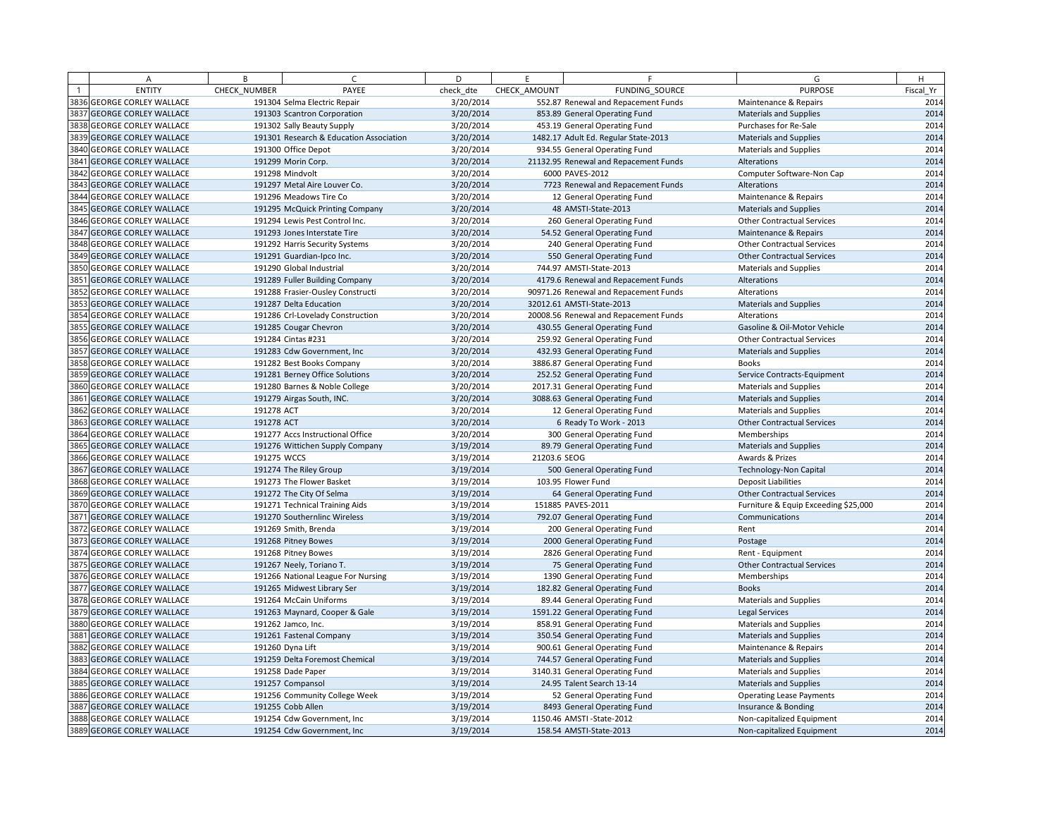| A                                 | B            | $\epsilon$                              | D         | F.           | F                                     | G                                    | H         |
|-----------------------------------|--------------|-----------------------------------------|-----------|--------------|---------------------------------------|--------------------------------------|-----------|
| <b>ENTITY</b>                     | CHECK NUMBER | PAYEE                                   | check dte | CHECK AMOUNT | FUNDING SOURCE                        | <b>PURPOSE</b>                       | Fiscal Yr |
| 3836 GEORGE CORLEY WALLACE        |              | 191304 Selma Electric Repair            | 3/20/2014 |              | 552.87 Renewal and Repacement Funds   | Maintenance & Repairs                | 2014      |
| 3837 GEORGE CORLEY WALLACE        |              | 191303 Scantron Corporation             | 3/20/2014 |              | 853.89 General Operating Fund         | <b>Materials and Supplies</b>        | 2014      |
| 3838 GEORGE CORLEY WALLACE        |              | 191302 Sally Beauty Supply              | 3/20/2014 |              | 453.19 General Operating Fund         | Purchases for Re-Sale                | 2014      |
| 3839 GEORGE CORLEY WALLACE        |              | 191301 Research & Education Association | 3/20/2014 |              | 1482.17 Adult Ed. Regular State-2013  | <b>Materials and Supplies</b>        | 2014      |
| 3840 GEORGE CORLEY WALLACE        |              | 191300 Office Depot                     | 3/20/2014 |              | 934.55 General Operating Fund         | <b>Materials and Supplies</b>        | 2014      |
| 3841 GEORGE CORLEY WALLACE        |              | 191299 Morin Corp.                      | 3/20/2014 |              | 21132.95 Renewal and Repacement Funds | Alterations                          | 2014      |
| 3842 GEORGE CORLEY WALLACE        |              | 191298 Mindvolt                         | 3/20/2014 |              | 6000 PAVES-2012                       | Computer Software-Non Cap            | 2014      |
| 3843 GEORGE CORLEY WALLACE        |              | 191297 Metal Aire Louver Co.            | 3/20/2014 |              | 7723 Renewal and Repacement Funds     | Alterations                          | 2014      |
| 3844 GEORGE CORLEY WALLACE        |              | 191296 Meadows Tire Co                  | 3/20/2014 |              | 12 General Operating Fund             | Maintenance & Repairs                | 2014      |
| 3845 GEORGE CORLEY WALLACE        |              | 191295 McQuick Printing Company         | 3/20/2014 |              | 48 AMSTI-State-2013                   | <b>Materials and Supplies</b>        | 2014      |
| 3846 GEORGE CORLEY WALLACE        |              | 191294 Lewis Pest Control Inc.          | 3/20/2014 |              | 260 General Operating Fund            | <b>Other Contractual Services</b>    | 2014      |
| <b>8847 GEORGE CORLEY WALLACE</b> |              | 191293 Jones Interstate Tire            | 3/20/2014 |              | 54.52 General Operating Fund          | Maintenance & Repairs                | 2014      |
| 3848 GEORGE CORLEY WALLACE        |              | 191292 Harris Security Systems          | 3/20/2014 |              | 240 General Operating Fund            | <b>Other Contractual Services</b>    | 2014      |
| <b>3849 GEORGE CORLEY WALLACE</b> |              | 191291 Guardian-Ipco Inc.               | 3/20/2014 |              | 550 General Operating Fund            | <b>Other Contractual Services</b>    | 2014      |
| 3850 GEORGE CORLEY WALLACE        |              | 191290 Global Industrial                | 3/20/2014 |              | 744.97 AMSTI-State-2013               | <b>Materials and Supplies</b>        | 2014      |
| 3851 GEORGE CORLEY WALLACE        |              | 191289 Fuller Building Company          | 3/20/2014 |              | 4179.6 Renewal and Repacement Funds   | Alterations                          | 2014      |
| 3852 GEORGE CORLEY WALLACE        |              | 191288 Frasier-Ousley Constructi        | 3/20/2014 |              | 90971.26 Renewal and Repacement Funds | Alterations                          | 2014      |
| <b>3853 GEORGE CORLEY WALLACE</b> |              | 191287 Delta Education                  | 3/20/2014 |              | 32012.61 AMSTI-State-2013             | <b>Materials and Supplies</b>        | 2014      |
| 3854 GEORGE CORLEY WALLACE        |              | 191286 Crl-Lovelady Construction        | 3/20/2014 |              | 20008.56 Renewal and Repacement Funds | Alterations                          | 2014      |
| 3855 GEORGE CORLEY WALLACE        |              | 191285 Cougar Chevron                   | 3/20/2014 |              | 430.55 General Operating Fund         | Gasoline & Oil-Motor Vehicle         | 2014      |
| 3856 GEORGE CORLEY WALLACE        |              | 191284 Cintas #231                      | 3/20/2014 |              | 259.92 General Operating Fund         | <b>Other Contractual Services</b>    | 2014      |
| 3857 GEORGE CORLEY WALLACE        |              | 191283 Cdw Government, Inc.             | 3/20/2014 |              | 432.93 General Operating Fund         | <b>Materials and Supplies</b>        | 2014      |
| 3858 GEORGE CORLEY WALLACE        |              | 191282 Best Books Company               | 3/20/2014 |              | 3886.87 General Operating Fund        | <b>Books</b>                         | 2014      |
| 3859 GEORGE CORLEY WALLACE        |              | 191281 Berney Office Solutions          | 3/20/2014 |              | 252.52 General Operating Fund         | Service Contracts-Equipment          | 2014      |
| 3860 GEORGE CORLEY WALLACE        |              | 191280 Barnes & Noble College           | 3/20/2014 |              | 2017.31 General Operating Fund        | <b>Materials and Supplies</b>        | 2014      |
| 3861 GEORGE CORLEY WALLACE        |              | 191279 Airgas South, INC.               | 3/20/2014 |              | 3088.63 General Operating Fund        | <b>Materials and Supplies</b>        | 2014      |
| 3862 GEORGE CORLEY WALLACE        | 191278 ACT   |                                         | 3/20/2014 |              | 12 General Operating Fund             | <b>Materials and Supplies</b>        | 2014      |
| 3863 GEORGE CORLEY WALLACE        | 191278 ACT   |                                         | 3/20/2014 |              | 6 Ready To Work - 2013                | <b>Other Contractual Services</b>    | 2014      |
| 3864 GEORGE CORLEY WALLACE        |              | 191277 Accs Instructional Office        | 3/20/2014 |              | 300 General Operating Fund            | Memberships                          | 2014      |
| 3865 GEORGE CORLEY WALLACE        |              | 191276 Wittichen Supply Company         | 3/19/2014 |              | 89.79 General Operating Fund          | <b>Materials and Supplies</b>        | 2014      |
| 3866 GEORGE CORLEY WALLACE        | 191275 WCCS  |                                         | 3/19/2014 | 21203.6 SEOG |                                       | Awards & Prizes                      | 2014      |
| 3867 GEORGE CORLEY WALLACE        |              | 191274 The Riley Group                  | 3/19/2014 |              | 500 General Operating Fund            | Technology-Non Capital               | 2014      |
| <b>3868 GEORGE CORLEY WALLACE</b> |              | 191273 The Flower Basket                | 3/19/2014 |              | 103.95 Flower Fund                    | <b>Deposit Liabilities</b>           | 2014      |
| <b>3869 GEORGE CORLEY WALLACE</b> |              | 191272 The City Of Selma                | 3/19/2014 |              | 64 General Operating Fund             | <b>Other Contractual Services</b>    | 2014      |
| 3870 GEORGE CORLEY WALLACE        |              | 191271 Technical Training Aids          | 3/19/2014 |              | 151885 PAVES-2011                     | Furniture & Equip Exceeding \$25,000 | 2014      |
| 3871 GEORGE CORLEY WALLACE        |              | 191270 Southernlinc Wireless            | 3/19/2014 |              | 792.07 General Operating Fund         | Communications                       | 2014      |
| 3872 GEORGE CORLEY WALLACE        |              | 191269 Smith, Brenda                    | 3/19/2014 |              | 200 General Operating Fund            | Rent                                 | 2014      |
| 3873 GEORGE CORLEY WALLACE        |              | 191268 Pitney Bowes                     | 3/19/2014 |              | 2000 General Operating Fund           | Postage                              | 2014      |
| 3874 GEORGE CORLEY WALLACE        |              | 191268 Pitney Bowes                     | 3/19/2014 |              | 2826 General Operating Fund           | Rent - Equipment                     | 2014      |
| 3875 GEORGE CORLEY WALLACE        |              | 191267 Neely, Toriano T.                | 3/19/2014 |              | 75 General Operating Fund             | <b>Other Contractual Services</b>    | 2014      |
| 3876 GEORGE CORLEY WALLACE        |              | 191266 National League For Nursing      | 3/19/2014 |              | 1390 General Operating Fund           | Memberships                          | 2014      |
| 3877 GEORGE CORLEY WALLACE        |              | 191265 Midwest Library Ser              | 3/19/2014 |              | 182.82 General Operating Fund         | <b>Books</b>                         | 2014      |
| 3878 GEORGE CORLEY WALLACE        |              | 191264 McCain Uniforms                  | 3/19/2014 |              | 89.44 General Operating Fund          | <b>Materials and Supplies</b>        | 2014      |
| 3879 GEORGE CORLEY WALLACE        |              | 191263 Maynard, Cooper & Gale           | 3/19/2014 |              | 1591.22 General Operating Fund        | <b>Legal Services</b>                | 2014      |
| 3880 GEORGE CORLEY WALLACE        |              | 191262 Jamco, Inc.                      | 3/19/2014 |              | 858.91 General Operating Fund         | <b>Materials and Supplies</b>        | 2014      |
| 3881 GEORGE CORLEY WALLACE        |              | 191261 Fastenal Company                 | 3/19/2014 |              | 350.54 General Operating Fund         | <b>Materials and Supplies</b>        | 2014      |
| 3882 GEORGE CORLEY WALLACE        |              | 191260 Dyna Lift                        | 3/19/2014 |              | 900.61 General Operating Fund         | Maintenance & Repairs                | 2014      |
| 3883 GEORGE CORLEY WALLACE        |              | 191259 Delta Foremost Chemical          | 3/19/2014 |              | 744.57 General Operating Fund         | Materials and Supplies               | 2014      |
| <b>3884 GEORGE CORLEY WALLACE</b> |              | 191258 Dade Paper                       | 3/19/2014 |              | 3140.31 General Operating Fund        | <b>Materials and Supplies</b>        | 2014      |
| 3885 GEORGE CORLEY WALLACE        |              | 191257 Compansol                        | 3/19/2014 |              | 24.95 Talent Search 13-14             | <b>Materials and Supplies</b>        | 2014      |
| 3886 GEORGE CORLEY WALLACE        |              | 191256 Community College Week           | 3/19/2014 |              | 52 General Operating Fund             | <b>Operating Lease Payments</b>      | 2014      |
| 3887 GEORGE CORLEY WALLACE        |              | 191255 Cobb Allen                       | 3/19/2014 |              | 8493 General Operating Fund           | Insurance & Bonding                  | 2014      |
| 3888 GEORGE CORLEY WALLACE        |              | 191254 Cdw Government, Inc              | 3/19/2014 |              | 1150.46 AMSTI-State-2012              | Non-capitalized Equipment            | 2014      |
| 3889 GEORGE CORLEY WALLACE        |              | 191254 Cdw Government, Inc              | 3/19/2014 |              | 158.54 AMSTI-State-2013               | Non-capitalized Equipment            | 2014      |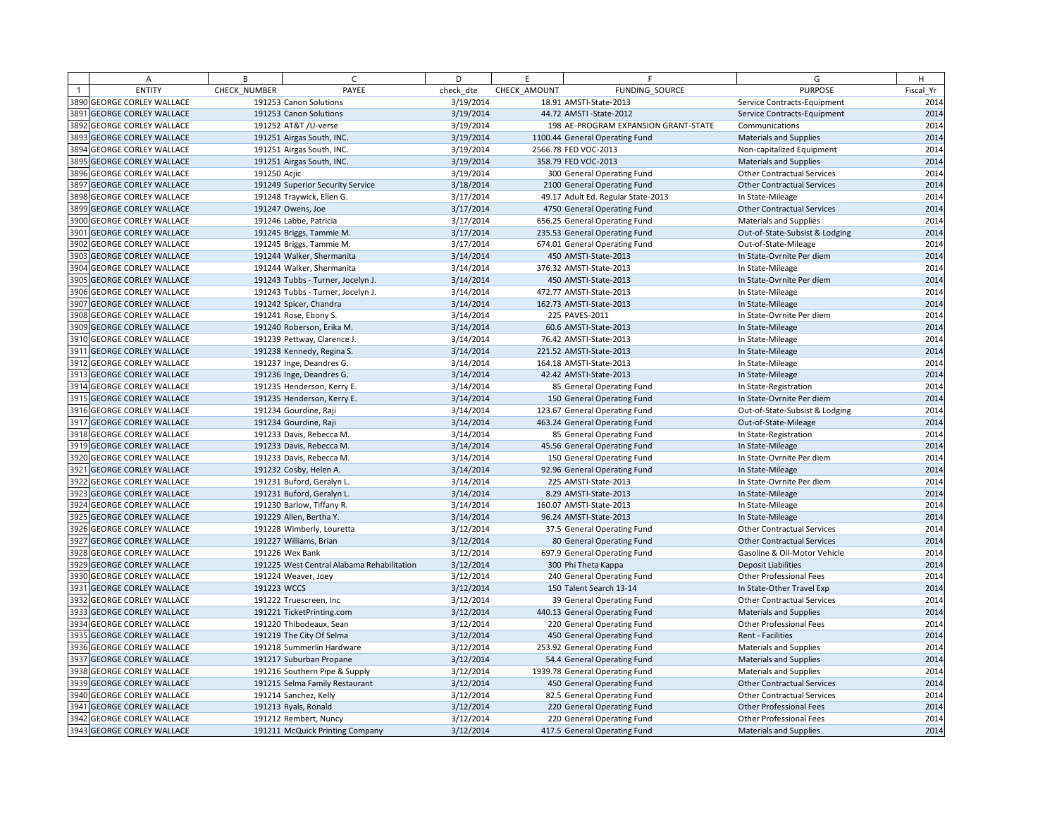| A                                 | B            | $\epsilon$                                 | D         | F.           | F                                    | G                                 | H         |
|-----------------------------------|--------------|--------------------------------------------|-----------|--------------|--------------------------------------|-----------------------------------|-----------|
| <b>ENTITY</b>                     | CHECK NUMBER | PAYEE                                      | check dte | CHECK AMOUNT | FUNDING SOURCE                       | <b>PURPOSE</b>                    | Fiscal Yr |
| <b>3890 GEORGE CORLEY WALLACE</b> |              | 191253 Canon Solutions                     | 3/19/2014 |              | 18.91 AMSTI-State-2013               | Service Contracts-Equipment       | 2014      |
| 3891 GEORGE CORLEY WALLACE        |              | 191253 Canon Solutions                     | 3/19/2014 |              | 44.72 AMSTI-State-2012               | Service Contracts-Equipment       | 2014      |
| 3892 GEORGE CORLEY WALLACE        |              | 191252 AT&T / U-verse                      | 3/19/2014 |              | 198 AE-PROGRAM EXPANSION GRANT-STATE | Communications                    | 2014      |
| 3893 GEORGE CORLEY WALLACE        |              | 191251 Airgas South, INC.                  | 3/19/2014 |              | 1100.44 General Operating Fund       | <b>Materials and Supplies</b>     | 2014      |
| 3894 GEORGE CORLEY WALLACE        |              | 191251 Airgas South, INC.                  | 3/19/2014 |              | 2566.78 FED VOC-2013                 | Non-capitalized Equipment         | 2014      |
| 3895 GEORGE CORLEY WALLACE        |              | 191251 Airgas South, INC.                  | 3/19/2014 |              | 358.79 FED VOC-2013                  | <b>Materials and Supplies</b>     | 2014      |
| 3896 GEORGE CORLEY WALLACE        | 191250 Acjic |                                            | 3/19/2014 |              | 300 General Operating Fund           | <b>Other Contractual Services</b> | 2014      |
| 3897 GEORGE CORLEY WALLACE        |              | 191249 Superior Security Service           | 3/18/2014 |              | 2100 General Operating Fund          | <b>Other Contractual Services</b> | 2014      |
| 3898 GEORGE CORLEY WALLACE        |              | 191248 Traywick, Ellen G.                  | 3/17/2014 |              | 49.17 Adult Ed. Regular State-2013   | In State-Mileage                  | 2014      |
| 3899 GEORGE CORLEY WALLACE        |              | 191247 Owens, Joe                          | 3/17/2014 |              | 4750 General Operating Fund          | <b>Other Contractual Services</b> | 2014      |
| 3900 GEORGE CORLEY WALLACE        |              | 191246 Labbe, Patricia                     | 3/17/2014 |              | 656.25 General Operating Fund        | <b>Materials and Supplies</b>     | 2014      |
| 3901 GEORGE CORLEY WALLACE        |              | 191245 Briggs, Tammie M.                   | 3/17/2014 |              | 235.53 General Operating Fund        | Out-of-State-Subsist & Lodging    | 2014      |
| 3902 GEORGE CORLEY WALLACE        |              | 191245 Briggs, Tammie M.                   | 3/17/2014 |              | 674.01 General Operating Fund        | Out-of-State-Mileage              | 2014      |
| 3903 GEORGE CORLEY WALLACE        |              | 191244 Walker, Shermanita                  | 3/14/2014 |              | 450 AMSTI-State-2013                 | In State-Ovrnite Per diem         | 2014      |
| 3904 GEORGE CORLEY WALLACE        |              | 191244 Walker, Shermanita                  | 3/14/2014 |              | 376.32 AMSTI-State-2013              | In State-Mileage                  | 2014      |
| 3905 GEORGE CORLEY WALLACE        |              | 191243 Tubbs - Turner, Jocelyn J.          | 3/14/2014 |              | 450 AMSTI-State-2013                 | In State-Ovrnite Per diem         | 2014      |
| 3906 GEORGE CORLEY WALLACE        |              | 191243 Tubbs - Turner, Jocelyn J.          | 3/14/2014 |              | 472.77 AMSTI-State-2013              | In State-Mileage                  | 2014      |
| 3907 GEORGE CORLEY WALLACE        |              | 191242 Spicer, Chandra                     | 3/14/2014 |              | 162.73 AMSTI-State-2013              | In State-Mileage                  | 2014      |
| 3908 GEORGE CORLEY WALLACE        |              | 191241 Rose, Ebony S.                      | 3/14/2014 |              | 225 PAVES-2011                       | In State-Ovrnite Per diem         | 2014      |
| 3909 GEORGE CORLEY WALLACE        |              | 191240 Roberson, Erika M.                  | 3/14/2014 |              | 60.6 AMSTI-State-2013                | In State-Mileage                  | 2014      |
| <b>3910 GEORGE CORLEY WALLACE</b> |              | 191239 Pettway, Clarence J.                | 3/14/2014 |              | 76.42 AMSTI-State-2013               | In State-Mileage                  | 2014      |
| 3911 GEORGE CORLEY WALLACE        |              | 191238 Kennedy, Regina S.                  | 3/14/2014 |              | 221.52 AMSTI-State-2013              | In State-Mileage                  | 2014      |
| 3912 GEORGE CORLEY WALLACE        |              | 191237 Inge, Deandres G.                   | 3/14/2014 |              | 164.18 AMSTI-State-2013              | In State-Mileage                  | 2014      |
| 3913 GEORGE CORLEY WALLACE        |              | 191236 Inge, Deandres G.                   | 3/14/2014 |              | 42.42 AMSTI-State-2013               | In State-Mileage                  | 2014      |
| 3914 GEORGE CORLEY WALLACE        |              | 191235 Henderson, Kerry E.                 | 3/14/2014 |              | 85 General Operating Fund            | In State-Registration             | 2014      |
| 3915 GEORGE CORLEY WALLACE        |              | 191235 Henderson, Kerry E.                 | 3/14/2014 |              | 150 General Operating Fund           | In State-Ovrnite Per diem         | 2014      |
| 3916 GEORGE CORLEY WALLACE        |              | 191234 Gourdine, Raji                      | 3/14/2014 |              | 123.67 General Operating Fund        | Out-of-State-Subsist & Lodging    | 2014      |
| 3917 GEORGE CORLEY WALLACE        |              | 191234 Gourdine, Raji                      | 3/14/2014 |              | 463.24 General Operating Fund        | Out-of-State-Mileage              | 2014      |
| 3918 GEORGE CORLEY WALLACE        |              | 191233 Davis, Rebecca M.                   | 3/14/2014 |              | 85 General Operating Fund            | In State-Registration             | 2014      |
| 3919 GEORGE CORLEY WALLACE        |              | 191233 Davis, Rebecca M.                   | 3/14/2014 |              | 45.56 General Operating Fund         | In State-Mileage                  | 2014      |
| 3920 GEORGE CORLEY WALLACE        |              | 191233 Davis, Rebecca M.                   | 3/14/2014 |              | 150 General Operating Fund           | In State-Ovrnite Per diem         | 2014      |
| 3921 GEORGE CORLEY WALLACE        |              | 191232 Cosby, Helen A.                     | 3/14/2014 |              | 92.96 General Operating Fund         | In State-Mileage                  | 2014      |
| 3922 GEORGE CORLEY WALLACE        |              | 191231 Buford, Geralyn L.                  | 3/14/2014 |              | 225 AMSTI-State-2013                 | In State-Ovrnite Per diem         | 2014      |
| 3923 GEORGE CORLEY WALLACE        |              | 191231 Buford, Geralyn L.                  | 3/14/2014 |              | 8.29 AMSTI-State-2013                | In State-Mileage                  | 2014      |
| 3924 GEORGE CORLEY WALLACE        |              | 191230 Barlow, Tiffany R.                  | 3/14/2014 |              | 160.07 AMSTI-State-2013              | In State-Mileage                  | 2014      |
| 3925 GEORGE CORLEY WALLACE        |              | 191229 Allen, Bertha Y.                    | 3/14/2014 |              | 96.24 AMSTI-State-2013               | In State-Mileage                  | 2014      |
| 3926 GEORGE CORLEY WALLACE        |              | 191228 Wimberly, Louretta                  | 3/12/2014 |              | 37.5 General Operating Fund          | <b>Other Contractual Services</b> | 2014      |
| 3927 GEORGE CORLEY WALLACE        |              | 191227 Williams, Brian                     | 3/12/2014 |              | 80 General Operating Fund            | <b>Other Contractual Services</b> | 2014      |
| 3928 GEORGE CORLEY WALLACE        |              | 191226 Wex Bank                            | 3/12/2014 |              | 697.9 General Operating Fund         | Gasoline & Oil-Motor Vehicle      | 2014      |
| 3929 GEORGE CORLEY WALLACE        |              | 191225 West Central Alabama Rehabilitation | 3/12/2014 |              | 300 Phi Theta Kappa                  | <b>Deposit Liabilities</b>        | 2014      |
| 3930 GEORGE CORLEY WALLACE        |              | 191224 Weaver, Joey                        | 3/12/2014 |              | 240 General Operating Fund           | <b>Other Professional Fees</b>    | 2014      |
| 3931 GEORGE CORLEY WALLACE        | 191223 WCCS  |                                            | 3/12/2014 |              | 150 Talent Search 13-14              | In State-Other Travel Exp         | 2014      |
| 3932 GEORGE CORLEY WALLACE        |              | 191222 Truescreen, Inc                     | 3/12/2014 |              | 39 General Operating Fund            | <b>Other Contractual Services</b> | 2014      |
| 3933 GEORGE CORLEY WALLACE        |              | 191221 TicketPrinting.com                  | 3/12/2014 |              | 440.13 General Operating Fund        | <b>Materials and Supplies</b>     | 2014      |
| 3934 GEORGE CORLEY WALLACE        |              | 191220 Thibodeaux, Sean                    | 3/12/2014 |              | 220 General Operating Fund           | Other Professional Fees           | 2014      |
| 3935 GEORGE CORLEY WALLACE        |              | 191219 The City Of Selma                   | 3/12/2014 |              | 450 General Operating Fund           | Rent - Facilities                 | 2014      |
| 3936 GEORGE CORLEY WALLACE        |              | 191218 Summerlin Hardware                  | 3/12/2014 |              | 253.92 General Operating Fund        | <b>Materials and Supplies</b>     | 2014      |
| 3937 GEORGE CORLEY WALLACE        |              | 191217 Suburban Propane                    | 3/12/2014 |              | 54.4 General Operating Fund          | <b>Materials and Supplies</b>     | 2014      |
| 3938 GEORGE CORLEY WALLACE        |              | 191216 Southern Pipe & Supply              | 3/12/2014 |              | 1939.78 General Operating Fund       | <b>Materials and Supplies</b>     | 2014      |
| 3939 GEORGE CORLEY WALLACE        |              | 191215 Selma Family Restaurant             | 3/12/2014 |              | 450 General Operating Fund           | <b>Other Contractual Services</b> | 2014      |
| 3940 GEORGE CORLEY WALLACE        |              | 191214 Sanchez, Kelly                      | 3/12/2014 |              | 82.5 General Operating Fund          | <b>Other Contractual Services</b> | 2014      |
| 3941 GEORGE CORLEY WALLACE        |              | 191213 Ryals, Ronald                       | 3/12/2014 |              | 220 General Operating Fund           | <b>Other Professional Fees</b>    | 2014      |
| 3942 GEORGE CORLEY WALLACE        |              | 191212 Rembert, Nuncy                      | 3/12/2014 |              | 220 General Operating Fund           | <b>Other Professional Fees</b>    | 2014      |
| 3943 GEORGE CORLEY WALLACE        |              | 191211 McQuick Printing Company            | 3/12/2014 |              | 417.5 General Operating Fund         | <b>Materials and Supplies</b>     | 2014      |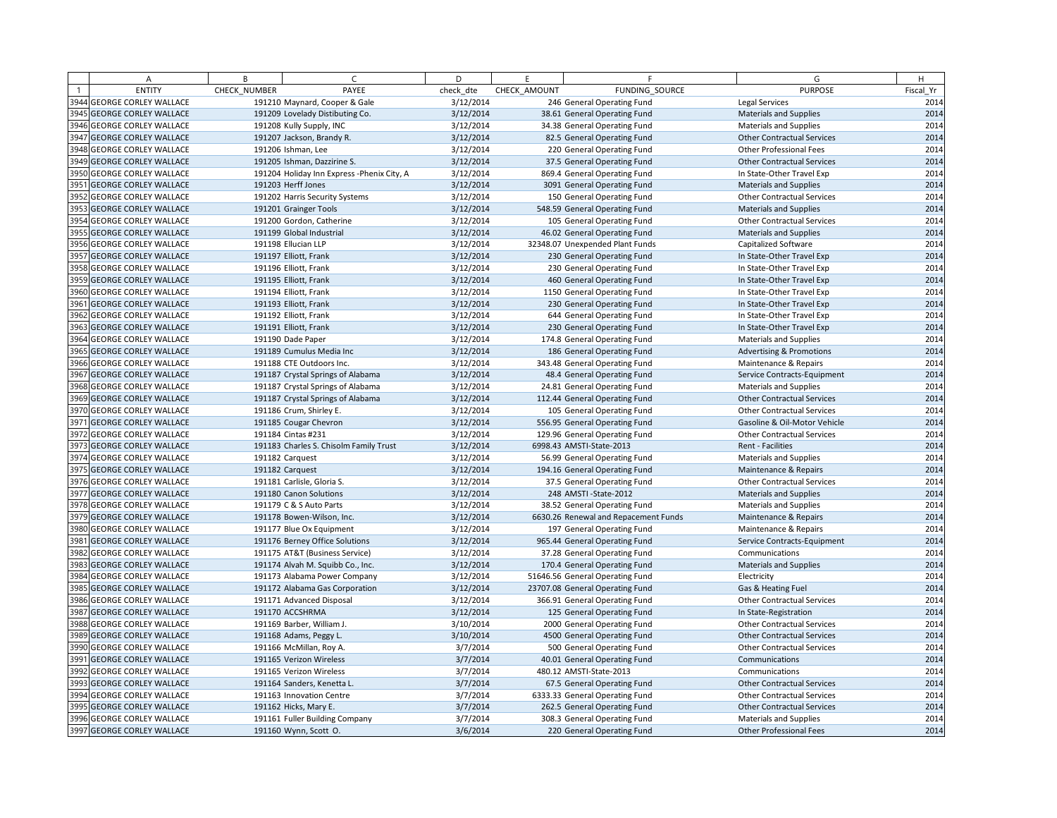| <b>ENTITY</b><br>CHECK NUMBER<br>PAYEE<br>check dte<br>CHECK AMOUNT<br>FUNDING SOURCE<br><b>PURPOSE</b><br>Fiscal Yr<br>3944 GEORGE CORLEY WALLACE<br>246 General Operating Fund<br>2014<br>191210 Maynard, Cooper & Gale<br>3/12/2014<br><b>Legal Services</b><br>3945 GEORGE CORLEY WALLACE<br>191209 Lovelady Distibuting Co.<br>3/12/2014<br>38.61 General Operating Fund<br><b>Materials and Supplies</b><br>2014<br>2014<br>3946 GEORGE CORLEY WALLACE<br>191208 Kully Supply, INC<br>3/12/2014<br>34.38 General Operating Fund<br><b>Materials and Supplies</b><br>3947 GEORGE CORLEY WALLACE<br>3/12/2014<br>2014<br>191207 Jackson, Brandy R.<br>82.5 General Operating Fund<br><b>Other Contractual Services</b><br>2014<br>3948 GEORGE CORLEY WALLACE<br>191206 Ishman, Lee<br>3/12/2014<br>220 General Operating Fund<br>Other Professional Fees<br>2014<br>3949 GEORGE CORLEY WALLACE<br>191205 Ishman, Dazzirine S.<br>3/12/2014<br>37.5 General Operating Fund<br><b>Other Contractual Services</b><br>3950 GEORGE CORLEY WALLACE<br>2014<br>191204 Holiday Inn Express - Phenix City, A<br>3/12/2014<br>869.4 General Operating Fund<br>In State-Other Travel Exp<br>3951 GEORGE CORLEY WALLACE<br>191203 Herff Jones<br>3/12/2014<br>3091 General Operating Fund<br>Materials and Supplies<br>2014<br>2014<br>3952 GEORGE CORLEY WALLACE<br>191202 Harris Security Systems<br>3/12/2014<br>150 General Operating Fund<br><b>Other Contractual Services</b><br>3953 GEORGE CORLEY WALLACE<br>2014<br>191201 Grainger Tools<br>3/12/2014<br>548.59 General Operating Fund<br><b>Materials and Supplies</b><br>2014<br>3954 GEORGE CORLEY WALLACE<br>191200 Gordon, Catherine<br>3/12/2014<br>105 General Operating Fund<br><b>Other Contractual Services</b><br>2014<br>3955 GEORGE CORLEY WALLACE<br>191199 Global Industrial<br>3/12/2014<br>46.02 General Operating Fund<br><b>Materials and Supplies</b><br>3956 GEORGE CORLEY WALLACE<br>191198 Ellucian LLP<br>2014<br>3/12/2014<br>32348.07 Unexpended Plant Funds<br>Capitalized Software<br>3957 GEORGE CORLEY WALLACE<br>191197 Elliott, Frank<br>3/12/2014<br>230 General Operating Fund<br>In State-Other Travel Exp<br>2014<br>2014<br>3958 GEORGE CORLEY WALLACE<br>191196 Elliott, Frank<br>3/12/2014<br>230 General Operating Fund<br>In State-Other Travel Exp<br>3959 GEORGE CORLEY WALLACE<br>2014<br>191195 Elliott, Frank<br>3/12/2014<br>460 General Operating Fund<br>In State-Other Travel Exp<br>2014<br>3960 GEORGE CORLEY WALLACE<br>191194 Elliott, Frank<br>3/12/2014<br>1150 General Operating Fund<br>In State-Other Travel Exp<br>2014<br>3961 GEORGE CORLEY WALLACE<br>191193 Elliott, Frank<br>3/12/2014<br>230 General Operating Fund<br>In State-Other Travel Exp<br>3962 GEORGE CORLEY WALLACE<br>2014<br>191192 Elliott, Frank<br>3/12/2014<br>644 General Operating Fund<br>In State-Other Travel Exp<br>3963 GEORGE CORLEY WALLACE<br>191191 Elliott, Frank<br>3/12/2014<br>230 General Operating Fund<br>In State-Other Travel Exp<br>2014<br>3/12/2014<br>2014<br>3964 GEORGE CORLEY WALLACE<br>191190 Dade Paper<br>174.8 General Operating Fund<br><b>Materials and Supplies</b><br>3965 GEORGE CORLEY WALLACE<br>2014<br>191189 Cumulus Media Inc<br>3/12/2014<br>186 General Operating Fund<br><b>Advertising &amp; Promotions</b><br>2014<br>3966 GEORGE CORLEY WALLACE<br>191188 CTE Outdoors Inc.<br>3/12/2014<br>343.48 General Operating Fund<br>Maintenance & Repairs<br>3967 GEORGE CORLEY WALLACE<br>3/12/2014<br>2014<br>191187 Crystal Springs of Alabama<br>48.4 General Operating Fund<br>Service Contracts-Equipment<br>3968 GEORGE CORLEY WALLACE<br>2014<br>191187 Crystal Springs of Alabama<br>3/12/2014<br>24.81 General Operating Fund<br><b>Materials and Supplies</b><br>3969 GEORGE CORLEY WALLACE<br>191187 Crystal Springs of Alabama<br>3/12/2014<br>112.44 General Operating Fund<br><b>Other Contractual Services</b><br>2014<br>2014<br>3970 GEORGE CORLEY WALLACE<br>191186 Crum, Shirley E.<br>3/12/2014<br>105 General Operating Fund<br><b>Other Contractual Services</b><br>3971 GEORGE CORLEY WALLACE<br>2014<br>191185 Cougar Chevron<br>3/12/2014<br>556.95 General Operating Fund<br>Gasoline & Oil-Motor Vehicle<br>2014<br>3972 GEORGE CORLEY WALLACE<br>191184 Cintas #231<br>3/12/2014<br>129.96 General Operating Fund<br><b>Other Contractual Services</b><br>3/12/2014<br>2014<br>3973 GEORGE CORLEY WALLACE<br>191183 Charles S. Chisolm Family Trust<br>6998.43 AMSTI-State-2013<br>Rent - Facilities<br>3974 GEORGE CORLEY WALLACE<br>2014<br>191182 Carquest<br>3/12/2014<br>56.99 General Operating Fund<br><b>Materials and Supplies</b><br>3975 GEORGE CORLEY WALLACE<br>191182 Carquest<br>3/12/2014<br>194.16 General Operating Fund<br>2014<br>Maintenance & Repairs<br>3/12/2014<br>2014<br>3976 GEORGE CORLEY WALLACE<br>191181 Carlisle, Gloria S.<br>37.5 General Operating Fund<br><b>Other Contractual Services</b><br>3977 GEORGE CORLEY WALLACE<br>2014<br>191180 Canon Solutions<br>3/12/2014<br>248 AMSTI-State-2012<br><b>Materials and Supplies</b><br>2014<br>3978 GEORGE CORLEY WALLACE<br>191179 C & S Auto Parts<br>3/12/2014<br>38.52 General Operating Fund<br><b>Materials and Supplies</b><br>3/12/2014<br>2014<br>3979 GEORGE CORLEY WALLACE<br>191178 Bowen-Wilson, Inc.<br>6630.26 Renewal and Repacement Funds<br>Maintenance & Repairs<br>3980 GEORGE CORLEY WALLACE<br>2014<br>191177 Blue Ox Equipment<br>3/12/2014<br>197 General Operating Fund<br>Maintenance & Repairs<br>3981 GEORGE CORLEY WALLACE<br>191176 Berney Office Solutions<br>3/12/2014<br>965.44 General Operating Fund<br>2014<br>Service Contracts-Equipment<br>2014<br>3982 GEORGE CORLEY WALLACE<br>3/12/2014<br>37.28 General Operating Fund<br>191175 AT&T (Business Service)<br>Communications<br>3983 GEORGE CORLEY WALLACE<br>3/12/2014<br>170.4 General Operating Fund<br>Materials and Supplies<br>191174 Alvah M. Squibb Co., Inc.<br>3984 GEORGE CORLEY WALLACE<br>3/12/2014<br>51646.56 General Operating Fund<br>191173 Alabama Power Company<br>Electricity<br>3/12/2014<br>3985 GEORGE CORLEY WALLACE<br>191172 Alabama Gas Corporation<br>23707.08 General Operating Fund<br>Gas & Heating Fuel<br>3986 GEORGE CORLEY WALLACE<br>191171 Advanced Disposal<br>3/12/2014<br>366.91 General Operating Fund<br><b>Other Contractual Services</b><br>3987 GEORGE CORLEY WALLACE<br>191170 ACCSHRMA<br>3/12/2014<br>125 General Operating Fund<br>In State-Registration<br>3988 GEORGE CORLEY WALLACE<br>3/10/2014<br>2000 General Operating Fund<br>191169 Barber, William J.<br><b>Other Contractual Services</b><br>3989 GEORGE CORLEY WALLACE<br>191168 Adams, Peggy L.<br>3/10/2014<br>4500 General Operating Fund<br><b>Other Contractual Services</b><br>3990 GEORGE CORLEY WALLACE<br>3/7/2014<br>191166 McMillan, Roy A.<br>500 General Operating Fund<br><b>Other Contractual Services</b><br>3/7/2014<br>3991 GEORGE CORLEY WALLACE<br>191165 Verizon Wireless<br>40.01 General Operating Fund<br>Communications<br>3992 GEORGE CORLEY WALLACE<br>3/7/2014<br>191165 Verizon Wireless<br>480.12 AMSTI-State-2013<br>Communications<br>3993 GEORGE CORLEY WALLACE<br>3/7/2014<br>191164 Sanders, Kenetta L.<br>67.5 General Operating Fund<br><b>Other Contractual Services</b><br>3/7/2014<br>3994 GEORGE CORLEY WALLACE<br>6333.33 General Operating Fund<br>191163 Innovation Centre<br><b>Other Contractual Services</b><br>3995 GEORGE CORLEY WALLACE<br>191162 Hicks, Mary E.<br>3/7/2014<br>262.5 General Operating Fund<br><b>Other Contractual Services</b><br>3996 GEORGE CORLEY WALLACE<br>3/7/2014<br>191161 Fuller Building Company<br>308.3 General Operating Fund<br><b>Materials and Supplies</b><br>3997 GEORGE CORLEY WALLACE<br>191160 Wynn, Scott O.<br>3/6/2014<br>220 General Operating Fund<br>Other Professional Fees | A | B | $\epsilon$ | D | E | F. | G | H |
|------------------------------------------------------------------------------------------------------------------------------------------------------------------------------------------------------------------------------------------------------------------------------------------------------------------------------------------------------------------------------------------------------------------------------------------------------------------------------------------------------------------------------------------------------------------------------------------------------------------------------------------------------------------------------------------------------------------------------------------------------------------------------------------------------------------------------------------------------------------------------------------------------------------------------------------------------------------------------------------------------------------------------------------------------------------------------------------------------------------------------------------------------------------------------------------------------------------------------------------------------------------------------------------------------------------------------------------------------------------------------------------------------------------------------------------------------------------------------------------------------------------------------------------------------------------------------------------------------------------------------------------------------------------------------------------------------------------------------------------------------------------------------------------------------------------------------------------------------------------------------------------------------------------------------------------------------------------------------------------------------------------------------------------------------------------------------------------------------------------------------------------------------------------------------------------------------------------------------------------------------------------------------------------------------------------------------------------------------------------------------------------------------------------------------------------------------------------------------------------------------------------------------------------------------------------------------------------------------------------------------------------------------------------------------------------------------------------------------------------------------------------------------------------------------------------------------------------------------------------------------------------------------------------------------------------------------------------------------------------------------------------------------------------------------------------------------------------------------------------------------------------------------------------------------------------------------------------------------------------------------------------------------------------------------------------------------------------------------------------------------------------------------------------------------------------------------------------------------------------------------------------------------------------------------------------------------------------------------------------------------------------------------------------------------------------------------------------------------------------------------------------------------------------------------------------------------------------------------------------------------------------------------------------------------------------------------------------------------------------------------------------------------------------------------------------------------------------------------------------------------------------------------------------------------------------------------------------------------------------------------------------------------------------------------------------------------------------------------------------------------------------------------------------------------------------------------------------------------------------------------------------------------------------------------------------------------------------------------------------------------------------------------------------------------------------------------------------------------------------------------------------------------------------------------------------------------------------------------------------------------------------------------------------------------------------------------------------------------------------------------------------------------------------------------------------------------------------------------------------------------------------------------------------------------------------------------------------------------------------------------------------------------------------------------------------------------------------------------------------------------------------------------------------------------------------------------------------------------------------------------------------------------------------------------------------------------------------------------------------------------------------------------------------------------------------------------------------------------------------------------------------------------------------------------------------------------------------------------------------------------------------------------------------------------------------------------------------------------------------------------------------------------------------------------------------------------------------------------------------------------------------------------------------------------------------------------------------------------------------------------------------------------------------------------------------------------------------------------------------------------------------------------------------------------------------------------------------------------------------------------------------------------------------------------------------------------------------------------------------------------------------------------------------------------------------------------------------------------------------------------------------------------------------------------------------------------------------------------------------------------------------------------------------------------------------------------------------------------------------------------------------------------------------------------------------------------------------------------------------------------------------------------------------------------------------------------------------------------------------------------------------------------------------------------------------------------------------------------------------------------------------------------------------------------------------------------------------------------------------------------------------------------------------------------------------------------------------------------------------------------------------------------------------------------------------------------------------------------------------------------------------------------------------------------------------------------------------------------------------------------------------------------------------------------------|---|---|------------|---|---|----|---|---|
|                                                                                                                                                                                                                                                                                                                                                                                                                                                                                                                                                                                                                                                                                                                                                                                                                                                                                                                                                                                                                                                                                                                                                                                                                                                                                                                                                                                                                                                                                                                                                                                                                                                                                                                                                                                                                                                                                                                                                                                                                                                                                                                                                                                                                                                                                                                                                                                                                                                                                                                                                                                                                                                                                                                                                                                                                                                                                                                                                                                                                                                                                                                                                                                                                                                                                                                                                                                                                                                                                                                                                                                                                                                                                                                                                                                                                                                                                                                                                                                                                                                                                                                                                                                                                                                                                                                                                                                                                                                                                                                                                                                                                                                                                                                                                                                                                                                                                                                                                                                                                                                                                                                                                                                                                                                                                                                                                                                                                                                                                                                                                                                                                                                                                                                                                                                                                                                                                                                                                                                                                                                                                                                                                                                                                                                                                                                                                                                                                                                                                                                                                                                                                                                                                                                                                                                                                                                                                                                                                                                                                                                                                                                                                                                                                                                                                                                                                                                                                                                                                                                                                                                                                                                                                                                                                                                                                                                                                                                                    |   |   |            |   |   |    |   |   |
|                                                                                                                                                                                                                                                                                                                                                                                                                                                                                                                                                                                                                                                                                                                                                                                                                                                                                                                                                                                                                                                                                                                                                                                                                                                                                                                                                                                                                                                                                                                                                                                                                                                                                                                                                                                                                                                                                                                                                                                                                                                                                                                                                                                                                                                                                                                                                                                                                                                                                                                                                                                                                                                                                                                                                                                                                                                                                                                                                                                                                                                                                                                                                                                                                                                                                                                                                                                                                                                                                                                                                                                                                                                                                                                                                                                                                                                                                                                                                                                                                                                                                                                                                                                                                                                                                                                                                                                                                                                                                                                                                                                                                                                                                                                                                                                                                                                                                                                                                                                                                                                                                                                                                                                                                                                                                                                                                                                                                                                                                                                                                                                                                                                                                                                                                                                                                                                                                                                                                                                                                                                                                                                                                                                                                                                                                                                                                                                                                                                                                                                                                                                                                                                                                                                                                                                                                                                                                                                                                                                                                                                                                                                                                                                                                                                                                                                                                                                                                                                                                                                                                                                                                                                                                                                                                                                                                                                                                                                                    |   |   |            |   |   |    |   |   |
|                                                                                                                                                                                                                                                                                                                                                                                                                                                                                                                                                                                                                                                                                                                                                                                                                                                                                                                                                                                                                                                                                                                                                                                                                                                                                                                                                                                                                                                                                                                                                                                                                                                                                                                                                                                                                                                                                                                                                                                                                                                                                                                                                                                                                                                                                                                                                                                                                                                                                                                                                                                                                                                                                                                                                                                                                                                                                                                                                                                                                                                                                                                                                                                                                                                                                                                                                                                                                                                                                                                                                                                                                                                                                                                                                                                                                                                                                                                                                                                                                                                                                                                                                                                                                                                                                                                                                                                                                                                                                                                                                                                                                                                                                                                                                                                                                                                                                                                                                                                                                                                                                                                                                                                                                                                                                                                                                                                                                                                                                                                                                                                                                                                                                                                                                                                                                                                                                                                                                                                                                                                                                                                                                                                                                                                                                                                                                                                                                                                                                                                                                                                                                                                                                                                                                                                                                                                                                                                                                                                                                                                                                                                                                                                                                                                                                                                                                                                                                                                                                                                                                                                                                                                                                                                                                                                                                                                                                                                                    |   |   |            |   |   |    |   |   |
|                                                                                                                                                                                                                                                                                                                                                                                                                                                                                                                                                                                                                                                                                                                                                                                                                                                                                                                                                                                                                                                                                                                                                                                                                                                                                                                                                                                                                                                                                                                                                                                                                                                                                                                                                                                                                                                                                                                                                                                                                                                                                                                                                                                                                                                                                                                                                                                                                                                                                                                                                                                                                                                                                                                                                                                                                                                                                                                                                                                                                                                                                                                                                                                                                                                                                                                                                                                                                                                                                                                                                                                                                                                                                                                                                                                                                                                                                                                                                                                                                                                                                                                                                                                                                                                                                                                                                                                                                                                                                                                                                                                                                                                                                                                                                                                                                                                                                                                                                                                                                                                                                                                                                                                                                                                                                                                                                                                                                                                                                                                                                                                                                                                                                                                                                                                                                                                                                                                                                                                                                                                                                                                                                                                                                                                                                                                                                                                                                                                                                                                                                                                                                                                                                                                                                                                                                                                                                                                                                                                                                                                                                                                                                                                                                                                                                                                                                                                                                                                                                                                                                                                                                                                                                                                                                                                                                                                                                                                                    |   |   |            |   |   |    |   |   |
|                                                                                                                                                                                                                                                                                                                                                                                                                                                                                                                                                                                                                                                                                                                                                                                                                                                                                                                                                                                                                                                                                                                                                                                                                                                                                                                                                                                                                                                                                                                                                                                                                                                                                                                                                                                                                                                                                                                                                                                                                                                                                                                                                                                                                                                                                                                                                                                                                                                                                                                                                                                                                                                                                                                                                                                                                                                                                                                                                                                                                                                                                                                                                                                                                                                                                                                                                                                                                                                                                                                                                                                                                                                                                                                                                                                                                                                                                                                                                                                                                                                                                                                                                                                                                                                                                                                                                                                                                                                                                                                                                                                                                                                                                                                                                                                                                                                                                                                                                                                                                                                                                                                                                                                                                                                                                                                                                                                                                                                                                                                                                                                                                                                                                                                                                                                                                                                                                                                                                                                                                                                                                                                                                                                                                                                                                                                                                                                                                                                                                                                                                                                                                                                                                                                                                                                                                                                                                                                                                                                                                                                                                                                                                                                                                                                                                                                                                                                                                                                                                                                                                                                                                                                                                                                                                                                                                                                                                                                                    |   |   |            |   |   |    |   |   |
|                                                                                                                                                                                                                                                                                                                                                                                                                                                                                                                                                                                                                                                                                                                                                                                                                                                                                                                                                                                                                                                                                                                                                                                                                                                                                                                                                                                                                                                                                                                                                                                                                                                                                                                                                                                                                                                                                                                                                                                                                                                                                                                                                                                                                                                                                                                                                                                                                                                                                                                                                                                                                                                                                                                                                                                                                                                                                                                                                                                                                                                                                                                                                                                                                                                                                                                                                                                                                                                                                                                                                                                                                                                                                                                                                                                                                                                                                                                                                                                                                                                                                                                                                                                                                                                                                                                                                                                                                                                                                                                                                                                                                                                                                                                                                                                                                                                                                                                                                                                                                                                                                                                                                                                                                                                                                                                                                                                                                                                                                                                                                                                                                                                                                                                                                                                                                                                                                                                                                                                                                                                                                                                                                                                                                                                                                                                                                                                                                                                                                                                                                                                                                                                                                                                                                                                                                                                                                                                                                                                                                                                                                                                                                                                                                                                                                                                                                                                                                                                                                                                                                                                                                                                                                                                                                                                                                                                                                                                                    |   |   |            |   |   |    |   |   |
|                                                                                                                                                                                                                                                                                                                                                                                                                                                                                                                                                                                                                                                                                                                                                                                                                                                                                                                                                                                                                                                                                                                                                                                                                                                                                                                                                                                                                                                                                                                                                                                                                                                                                                                                                                                                                                                                                                                                                                                                                                                                                                                                                                                                                                                                                                                                                                                                                                                                                                                                                                                                                                                                                                                                                                                                                                                                                                                                                                                                                                                                                                                                                                                                                                                                                                                                                                                                                                                                                                                                                                                                                                                                                                                                                                                                                                                                                                                                                                                                                                                                                                                                                                                                                                                                                                                                                                                                                                                                                                                                                                                                                                                                                                                                                                                                                                                                                                                                                                                                                                                                                                                                                                                                                                                                                                                                                                                                                                                                                                                                                                                                                                                                                                                                                                                                                                                                                                                                                                                                                                                                                                                                                                                                                                                                                                                                                                                                                                                                                                                                                                                                                                                                                                                                                                                                                                                                                                                                                                                                                                                                                                                                                                                                                                                                                                                                                                                                                                                                                                                                                                                                                                                                                                                                                                                                                                                                                                                                    |   |   |            |   |   |    |   |   |
|                                                                                                                                                                                                                                                                                                                                                                                                                                                                                                                                                                                                                                                                                                                                                                                                                                                                                                                                                                                                                                                                                                                                                                                                                                                                                                                                                                                                                                                                                                                                                                                                                                                                                                                                                                                                                                                                                                                                                                                                                                                                                                                                                                                                                                                                                                                                                                                                                                                                                                                                                                                                                                                                                                                                                                                                                                                                                                                                                                                                                                                                                                                                                                                                                                                                                                                                                                                                                                                                                                                                                                                                                                                                                                                                                                                                                                                                                                                                                                                                                                                                                                                                                                                                                                                                                                                                                                                                                                                                                                                                                                                                                                                                                                                                                                                                                                                                                                                                                                                                                                                                                                                                                                                                                                                                                                                                                                                                                                                                                                                                                                                                                                                                                                                                                                                                                                                                                                                                                                                                                                                                                                                                                                                                                                                                                                                                                                                                                                                                                                                                                                                                                                                                                                                                                                                                                                                                                                                                                                                                                                                                                                                                                                                                                                                                                                                                                                                                                                                                                                                                                                                                                                                                                                                                                                                                                                                                                                                                    |   |   |            |   |   |    |   |   |
|                                                                                                                                                                                                                                                                                                                                                                                                                                                                                                                                                                                                                                                                                                                                                                                                                                                                                                                                                                                                                                                                                                                                                                                                                                                                                                                                                                                                                                                                                                                                                                                                                                                                                                                                                                                                                                                                                                                                                                                                                                                                                                                                                                                                                                                                                                                                                                                                                                                                                                                                                                                                                                                                                                                                                                                                                                                                                                                                                                                                                                                                                                                                                                                                                                                                                                                                                                                                                                                                                                                                                                                                                                                                                                                                                                                                                                                                                                                                                                                                                                                                                                                                                                                                                                                                                                                                                                                                                                                                                                                                                                                                                                                                                                                                                                                                                                                                                                                                                                                                                                                                                                                                                                                                                                                                                                                                                                                                                                                                                                                                                                                                                                                                                                                                                                                                                                                                                                                                                                                                                                                                                                                                                                                                                                                                                                                                                                                                                                                                                                                                                                                                                                                                                                                                                                                                                                                                                                                                                                                                                                                                                                                                                                                                                                                                                                                                                                                                                                                                                                                                                                                                                                                                                                                                                                                                                                                                                                                                    |   |   |            |   |   |    |   |   |
|                                                                                                                                                                                                                                                                                                                                                                                                                                                                                                                                                                                                                                                                                                                                                                                                                                                                                                                                                                                                                                                                                                                                                                                                                                                                                                                                                                                                                                                                                                                                                                                                                                                                                                                                                                                                                                                                                                                                                                                                                                                                                                                                                                                                                                                                                                                                                                                                                                                                                                                                                                                                                                                                                                                                                                                                                                                                                                                                                                                                                                                                                                                                                                                                                                                                                                                                                                                                                                                                                                                                                                                                                                                                                                                                                                                                                                                                                                                                                                                                                                                                                                                                                                                                                                                                                                                                                                                                                                                                                                                                                                                                                                                                                                                                                                                                                                                                                                                                                                                                                                                                                                                                                                                                                                                                                                                                                                                                                                                                                                                                                                                                                                                                                                                                                                                                                                                                                                                                                                                                                                                                                                                                                                                                                                                                                                                                                                                                                                                                                                                                                                                                                                                                                                                                                                                                                                                                                                                                                                                                                                                                                                                                                                                                                                                                                                                                                                                                                                                                                                                                                                                                                                                                                                                                                                                                                                                                                                                                    |   |   |            |   |   |    |   |   |
|                                                                                                                                                                                                                                                                                                                                                                                                                                                                                                                                                                                                                                                                                                                                                                                                                                                                                                                                                                                                                                                                                                                                                                                                                                                                                                                                                                                                                                                                                                                                                                                                                                                                                                                                                                                                                                                                                                                                                                                                                                                                                                                                                                                                                                                                                                                                                                                                                                                                                                                                                                                                                                                                                                                                                                                                                                                                                                                                                                                                                                                                                                                                                                                                                                                                                                                                                                                                                                                                                                                                                                                                                                                                                                                                                                                                                                                                                                                                                                                                                                                                                                                                                                                                                                                                                                                                                                                                                                                                                                                                                                                                                                                                                                                                                                                                                                                                                                                                                                                                                                                                                                                                                                                                                                                                                                                                                                                                                                                                                                                                                                                                                                                                                                                                                                                                                                                                                                                                                                                                                                                                                                                                                                                                                                                                                                                                                                                                                                                                                                                                                                                                                                                                                                                                                                                                                                                                                                                                                                                                                                                                                                                                                                                                                                                                                                                                                                                                                                                                                                                                                                                                                                                                                                                                                                                                                                                                                                                                    |   |   |            |   |   |    |   |   |
|                                                                                                                                                                                                                                                                                                                                                                                                                                                                                                                                                                                                                                                                                                                                                                                                                                                                                                                                                                                                                                                                                                                                                                                                                                                                                                                                                                                                                                                                                                                                                                                                                                                                                                                                                                                                                                                                                                                                                                                                                                                                                                                                                                                                                                                                                                                                                                                                                                                                                                                                                                                                                                                                                                                                                                                                                                                                                                                                                                                                                                                                                                                                                                                                                                                                                                                                                                                                                                                                                                                                                                                                                                                                                                                                                                                                                                                                                                                                                                                                                                                                                                                                                                                                                                                                                                                                                                                                                                                                                                                                                                                                                                                                                                                                                                                                                                                                                                                                                                                                                                                                                                                                                                                                                                                                                                                                                                                                                                                                                                                                                                                                                                                                                                                                                                                                                                                                                                                                                                                                                                                                                                                                                                                                                                                                                                                                                                                                                                                                                                                                                                                                                                                                                                                                                                                                                                                                                                                                                                                                                                                                                                                                                                                                                                                                                                                                                                                                                                                                                                                                                                                                                                                                                                                                                                                                                                                                                                                                    |   |   |            |   |   |    |   |   |
|                                                                                                                                                                                                                                                                                                                                                                                                                                                                                                                                                                                                                                                                                                                                                                                                                                                                                                                                                                                                                                                                                                                                                                                                                                                                                                                                                                                                                                                                                                                                                                                                                                                                                                                                                                                                                                                                                                                                                                                                                                                                                                                                                                                                                                                                                                                                                                                                                                                                                                                                                                                                                                                                                                                                                                                                                                                                                                                                                                                                                                                                                                                                                                                                                                                                                                                                                                                                                                                                                                                                                                                                                                                                                                                                                                                                                                                                                                                                                                                                                                                                                                                                                                                                                                                                                                                                                                                                                                                                                                                                                                                                                                                                                                                                                                                                                                                                                                                                                                                                                                                                                                                                                                                                                                                                                                                                                                                                                                                                                                                                                                                                                                                                                                                                                                                                                                                                                                                                                                                                                                                                                                                                                                                                                                                                                                                                                                                                                                                                                                                                                                                                                                                                                                                                                                                                                                                                                                                                                                                                                                                                                                                                                                                                                                                                                                                                                                                                                                                                                                                                                                                                                                                                                                                                                                                                                                                                                                                                    |   |   |            |   |   |    |   |   |
|                                                                                                                                                                                                                                                                                                                                                                                                                                                                                                                                                                                                                                                                                                                                                                                                                                                                                                                                                                                                                                                                                                                                                                                                                                                                                                                                                                                                                                                                                                                                                                                                                                                                                                                                                                                                                                                                                                                                                                                                                                                                                                                                                                                                                                                                                                                                                                                                                                                                                                                                                                                                                                                                                                                                                                                                                                                                                                                                                                                                                                                                                                                                                                                                                                                                                                                                                                                                                                                                                                                                                                                                                                                                                                                                                                                                                                                                                                                                                                                                                                                                                                                                                                                                                                                                                                                                                                                                                                                                                                                                                                                                                                                                                                                                                                                                                                                                                                                                                                                                                                                                                                                                                                                                                                                                                                                                                                                                                                                                                                                                                                                                                                                                                                                                                                                                                                                                                                                                                                                                                                                                                                                                                                                                                                                                                                                                                                                                                                                                                                                                                                                                                                                                                                                                                                                                                                                                                                                                                                                                                                                                                                                                                                                                                                                                                                                                                                                                                                                                                                                                                                                                                                                                                                                                                                                                                                                                                                                                    |   |   |            |   |   |    |   |   |
|                                                                                                                                                                                                                                                                                                                                                                                                                                                                                                                                                                                                                                                                                                                                                                                                                                                                                                                                                                                                                                                                                                                                                                                                                                                                                                                                                                                                                                                                                                                                                                                                                                                                                                                                                                                                                                                                                                                                                                                                                                                                                                                                                                                                                                                                                                                                                                                                                                                                                                                                                                                                                                                                                                                                                                                                                                                                                                                                                                                                                                                                                                                                                                                                                                                                                                                                                                                                                                                                                                                                                                                                                                                                                                                                                                                                                                                                                                                                                                                                                                                                                                                                                                                                                                                                                                                                                                                                                                                                                                                                                                                                                                                                                                                                                                                                                                                                                                                                                                                                                                                                                                                                                                                                                                                                                                                                                                                                                                                                                                                                                                                                                                                                                                                                                                                                                                                                                                                                                                                                                                                                                                                                                                                                                                                                                                                                                                                                                                                                                                                                                                                                                                                                                                                                                                                                                                                                                                                                                                                                                                                                                                                                                                                                                                                                                                                                                                                                                                                                                                                                                                                                                                                                                                                                                                                                                                                                                                                                    |   |   |            |   |   |    |   |   |
|                                                                                                                                                                                                                                                                                                                                                                                                                                                                                                                                                                                                                                                                                                                                                                                                                                                                                                                                                                                                                                                                                                                                                                                                                                                                                                                                                                                                                                                                                                                                                                                                                                                                                                                                                                                                                                                                                                                                                                                                                                                                                                                                                                                                                                                                                                                                                                                                                                                                                                                                                                                                                                                                                                                                                                                                                                                                                                                                                                                                                                                                                                                                                                                                                                                                                                                                                                                                                                                                                                                                                                                                                                                                                                                                                                                                                                                                                                                                                                                                                                                                                                                                                                                                                                                                                                                                                                                                                                                                                                                                                                                                                                                                                                                                                                                                                                                                                                                                                                                                                                                                                                                                                                                                                                                                                                                                                                                                                                                                                                                                                                                                                                                                                                                                                                                                                                                                                                                                                                                                                                                                                                                                                                                                                                                                                                                                                                                                                                                                                                                                                                                                                                                                                                                                                                                                                                                                                                                                                                                                                                                                                                                                                                                                                                                                                                                                                                                                                                                                                                                                                                                                                                                                                                                                                                                                                                                                                                                                    |   |   |            |   |   |    |   |   |
|                                                                                                                                                                                                                                                                                                                                                                                                                                                                                                                                                                                                                                                                                                                                                                                                                                                                                                                                                                                                                                                                                                                                                                                                                                                                                                                                                                                                                                                                                                                                                                                                                                                                                                                                                                                                                                                                                                                                                                                                                                                                                                                                                                                                                                                                                                                                                                                                                                                                                                                                                                                                                                                                                                                                                                                                                                                                                                                                                                                                                                                                                                                                                                                                                                                                                                                                                                                                                                                                                                                                                                                                                                                                                                                                                                                                                                                                                                                                                                                                                                                                                                                                                                                                                                                                                                                                                                                                                                                                                                                                                                                                                                                                                                                                                                                                                                                                                                                                                                                                                                                                                                                                                                                                                                                                                                                                                                                                                                                                                                                                                                                                                                                                                                                                                                                                                                                                                                                                                                                                                                                                                                                                                                                                                                                                                                                                                                                                                                                                                                                                                                                                                                                                                                                                                                                                                                                                                                                                                                                                                                                                                                                                                                                                                                                                                                                                                                                                                                                                                                                                                                                                                                                                                                                                                                                                                                                                                                                                    |   |   |            |   |   |    |   |   |
|                                                                                                                                                                                                                                                                                                                                                                                                                                                                                                                                                                                                                                                                                                                                                                                                                                                                                                                                                                                                                                                                                                                                                                                                                                                                                                                                                                                                                                                                                                                                                                                                                                                                                                                                                                                                                                                                                                                                                                                                                                                                                                                                                                                                                                                                                                                                                                                                                                                                                                                                                                                                                                                                                                                                                                                                                                                                                                                                                                                                                                                                                                                                                                                                                                                                                                                                                                                                                                                                                                                                                                                                                                                                                                                                                                                                                                                                                                                                                                                                                                                                                                                                                                                                                                                                                                                                                                                                                                                                                                                                                                                                                                                                                                                                                                                                                                                                                                                                                                                                                                                                                                                                                                                                                                                                                                                                                                                                                                                                                                                                                                                                                                                                                                                                                                                                                                                                                                                                                                                                                                                                                                                                                                                                                                                                                                                                                                                                                                                                                                                                                                                                                                                                                                                                                                                                                                                                                                                                                                                                                                                                                                                                                                                                                                                                                                                                                                                                                                                                                                                                                                                                                                                                                                                                                                                                                                                                                                                                    |   |   |            |   |   |    |   |   |
|                                                                                                                                                                                                                                                                                                                                                                                                                                                                                                                                                                                                                                                                                                                                                                                                                                                                                                                                                                                                                                                                                                                                                                                                                                                                                                                                                                                                                                                                                                                                                                                                                                                                                                                                                                                                                                                                                                                                                                                                                                                                                                                                                                                                                                                                                                                                                                                                                                                                                                                                                                                                                                                                                                                                                                                                                                                                                                                                                                                                                                                                                                                                                                                                                                                                                                                                                                                                                                                                                                                                                                                                                                                                                                                                                                                                                                                                                                                                                                                                                                                                                                                                                                                                                                                                                                                                                                                                                                                                                                                                                                                                                                                                                                                                                                                                                                                                                                                                                                                                                                                                                                                                                                                                                                                                                                                                                                                                                                                                                                                                                                                                                                                                                                                                                                                                                                                                                                                                                                                                                                                                                                                                                                                                                                                                                                                                                                                                                                                                                                                                                                                                                                                                                                                                                                                                                                                                                                                                                                                                                                                                                                                                                                                                                                                                                                                                                                                                                                                                                                                                                                                                                                                                                                                                                                                                                                                                                                                                    |   |   |            |   |   |    |   |   |
|                                                                                                                                                                                                                                                                                                                                                                                                                                                                                                                                                                                                                                                                                                                                                                                                                                                                                                                                                                                                                                                                                                                                                                                                                                                                                                                                                                                                                                                                                                                                                                                                                                                                                                                                                                                                                                                                                                                                                                                                                                                                                                                                                                                                                                                                                                                                                                                                                                                                                                                                                                                                                                                                                                                                                                                                                                                                                                                                                                                                                                                                                                                                                                                                                                                                                                                                                                                                                                                                                                                                                                                                                                                                                                                                                                                                                                                                                                                                                                                                                                                                                                                                                                                                                                                                                                                                                                                                                                                                                                                                                                                                                                                                                                                                                                                                                                                                                                                                                                                                                                                                                                                                                                                                                                                                                                                                                                                                                                                                                                                                                                                                                                                                                                                                                                                                                                                                                                                                                                                                                                                                                                                                                                                                                                                                                                                                                                                                                                                                                                                                                                                                                                                                                                                                                                                                                                                                                                                                                                                                                                                                                                                                                                                                                                                                                                                                                                                                                                                                                                                                                                                                                                                                                                                                                                                                                                                                                                                                    |   |   |            |   |   |    |   |   |
|                                                                                                                                                                                                                                                                                                                                                                                                                                                                                                                                                                                                                                                                                                                                                                                                                                                                                                                                                                                                                                                                                                                                                                                                                                                                                                                                                                                                                                                                                                                                                                                                                                                                                                                                                                                                                                                                                                                                                                                                                                                                                                                                                                                                                                                                                                                                                                                                                                                                                                                                                                                                                                                                                                                                                                                                                                                                                                                                                                                                                                                                                                                                                                                                                                                                                                                                                                                                                                                                                                                                                                                                                                                                                                                                                                                                                                                                                                                                                                                                                                                                                                                                                                                                                                                                                                                                                                                                                                                                                                                                                                                                                                                                                                                                                                                                                                                                                                                                                                                                                                                                                                                                                                                                                                                                                                                                                                                                                                                                                                                                                                                                                                                                                                                                                                                                                                                                                                                                                                                                                                                                                                                                                                                                                                                                                                                                                                                                                                                                                                                                                                                                                                                                                                                                                                                                                                                                                                                                                                                                                                                                                                                                                                                                                                                                                                                                                                                                                                                                                                                                                                                                                                                                                                                                                                                                                                                                                                                                    |   |   |            |   |   |    |   |   |
|                                                                                                                                                                                                                                                                                                                                                                                                                                                                                                                                                                                                                                                                                                                                                                                                                                                                                                                                                                                                                                                                                                                                                                                                                                                                                                                                                                                                                                                                                                                                                                                                                                                                                                                                                                                                                                                                                                                                                                                                                                                                                                                                                                                                                                                                                                                                                                                                                                                                                                                                                                                                                                                                                                                                                                                                                                                                                                                                                                                                                                                                                                                                                                                                                                                                                                                                                                                                                                                                                                                                                                                                                                                                                                                                                                                                                                                                                                                                                                                                                                                                                                                                                                                                                                                                                                                                                                                                                                                                                                                                                                                                                                                                                                                                                                                                                                                                                                                                                                                                                                                                                                                                                                                                                                                                                                                                                                                                                                                                                                                                                                                                                                                                                                                                                                                                                                                                                                                                                                                                                                                                                                                                                                                                                                                                                                                                                                                                                                                                                                                                                                                                                                                                                                                                                                                                                                                                                                                                                                                                                                                                                                                                                                                                                                                                                                                                                                                                                                                                                                                                                                                                                                                                                                                                                                                                                                                                                                                                    |   |   |            |   |   |    |   |   |
|                                                                                                                                                                                                                                                                                                                                                                                                                                                                                                                                                                                                                                                                                                                                                                                                                                                                                                                                                                                                                                                                                                                                                                                                                                                                                                                                                                                                                                                                                                                                                                                                                                                                                                                                                                                                                                                                                                                                                                                                                                                                                                                                                                                                                                                                                                                                                                                                                                                                                                                                                                                                                                                                                                                                                                                                                                                                                                                                                                                                                                                                                                                                                                                                                                                                                                                                                                                                                                                                                                                                                                                                                                                                                                                                                                                                                                                                                                                                                                                                                                                                                                                                                                                                                                                                                                                                                                                                                                                                                                                                                                                                                                                                                                                                                                                                                                                                                                                                                                                                                                                                                                                                                                                                                                                                                                                                                                                                                                                                                                                                                                                                                                                                                                                                                                                                                                                                                                                                                                                                                                                                                                                                                                                                                                                                                                                                                                                                                                                                                                                                                                                                                                                                                                                                                                                                                                                                                                                                                                                                                                                                                                                                                                                                                                                                                                                                                                                                                                                                                                                                                                                                                                                                                                                                                                                                                                                                                                                                    |   |   |            |   |   |    |   |   |
|                                                                                                                                                                                                                                                                                                                                                                                                                                                                                                                                                                                                                                                                                                                                                                                                                                                                                                                                                                                                                                                                                                                                                                                                                                                                                                                                                                                                                                                                                                                                                                                                                                                                                                                                                                                                                                                                                                                                                                                                                                                                                                                                                                                                                                                                                                                                                                                                                                                                                                                                                                                                                                                                                                                                                                                                                                                                                                                                                                                                                                                                                                                                                                                                                                                                                                                                                                                                                                                                                                                                                                                                                                                                                                                                                                                                                                                                                                                                                                                                                                                                                                                                                                                                                                                                                                                                                                                                                                                                                                                                                                                                                                                                                                                                                                                                                                                                                                                                                                                                                                                                                                                                                                                                                                                                                                                                                                                                                                                                                                                                                                                                                                                                                                                                                                                                                                                                                                                                                                                                                                                                                                                                                                                                                                                                                                                                                                                                                                                                                                                                                                                                                                                                                                                                                                                                                                                                                                                                                                                                                                                                                                                                                                                                                                                                                                                                                                                                                                                                                                                                                                                                                                                                                                                                                                                                                                                                                                                                    |   |   |            |   |   |    |   |   |
|                                                                                                                                                                                                                                                                                                                                                                                                                                                                                                                                                                                                                                                                                                                                                                                                                                                                                                                                                                                                                                                                                                                                                                                                                                                                                                                                                                                                                                                                                                                                                                                                                                                                                                                                                                                                                                                                                                                                                                                                                                                                                                                                                                                                                                                                                                                                                                                                                                                                                                                                                                                                                                                                                                                                                                                                                                                                                                                                                                                                                                                                                                                                                                                                                                                                                                                                                                                                                                                                                                                                                                                                                                                                                                                                                                                                                                                                                                                                                                                                                                                                                                                                                                                                                                                                                                                                                                                                                                                                                                                                                                                                                                                                                                                                                                                                                                                                                                                                                                                                                                                                                                                                                                                                                                                                                                                                                                                                                                                                                                                                                                                                                                                                                                                                                                                                                                                                                                                                                                                                                                                                                                                                                                                                                                                                                                                                                                                                                                                                                                                                                                                                                                                                                                                                                                                                                                                                                                                                                                                                                                                                                                                                                                                                                                                                                                                                                                                                                                                                                                                                                                                                                                                                                                                                                                                                                                                                                                                                    |   |   |            |   |   |    |   |   |
|                                                                                                                                                                                                                                                                                                                                                                                                                                                                                                                                                                                                                                                                                                                                                                                                                                                                                                                                                                                                                                                                                                                                                                                                                                                                                                                                                                                                                                                                                                                                                                                                                                                                                                                                                                                                                                                                                                                                                                                                                                                                                                                                                                                                                                                                                                                                                                                                                                                                                                                                                                                                                                                                                                                                                                                                                                                                                                                                                                                                                                                                                                                                                                                                                                                                                                                                                                                                                                                                                                                                                                                                                                                                                                                                                                                                                                                                                                                                                                                                                                                                                                                                                                                                                                                                                                                                                                                                                                                                                                                                                                                                                                                                                                                                                                                                                                                                                                                                                                                                                                                                                                                                                                                                                                                                                                                                                                                                                                                                                                                                                                                                                                                                                                                                                                                                                                                                                                                                                                                                                                                                                                                                                                                                                                                                                                                                                                                                                                                                                                                                                                                                                                                                                                                                                                                                                                                                                                                                                                                                                                                                                                                                                                                                                                                                                                                                                                                                                                                                                                                                                                                                                                                                                                                                                                                                                                                                                                                                    |   |   |            |   |   |    |   |   |
|                                                                                                                                                                                                                                                                                                                                                                                                                                                                                                                                                                                                                                                                                                                                                                                                                                                                                                                                                                                                                                                                                                                                                                                                                                                                                                                                                                                                                                                                                                                                                                                                                                                                                                                                                                                                                                                                                                                                                                                                                                                                                                                                                                                                                                                                                                                                                                                                                                                                                                                                                                                                                                                                                                                                                                                                                                                                                                                                                                                                                                                                                                                                                                                                                                                                                                                                                                                                                                                                                                                                                                                                                                                                                                                                                                                                                                                                                                                                                                                                                                                                                                                                                                                                                                                                                                                                                                                                                                                                                                                                                                                                                                                                                                                                                                                                                                                                                                                                                                                                                                                                                                                                                                                                                                                                                                                                                                                                                                                                                                                                                                                                                                                                                                                                                                                                                                                                                                                                                                                                                                                                                                                                                                                                                                                                                                                                                                                                                                                                                                                                                                                                                                                                                                                                                                                                                                                                                                                                                                                                                                                                                                                                                                                                                                                                                                                                                                                                                                                                                                                                                                                                                                                                                                                                                                                                                                                                                                                                    |   |   |            |   |   |    |   |   |
|                                                                                                                                                                                                                                                                                                                                                                                                                                                                                                                                                                                                                                                                                                                                                                                                                                                                                                                                                                                                                                                                                                                                                                                                                                                                                                                                                                                                                                                                                                                                                                                                                                                                                                                                                                                                                                                                                                                                                                                                                                                                                                                                                                                                                                                                                                                                                                                                                                                                                                                                                                                                                                                                                                                                                                                                                                                                                                                                                                                                                                                                                                                                                                                                                                                                                                                                                                                                                                                                                                                                                                                                                                                                                                                                                                                                                                                                                                                                                                                                                                                                                                                                                                                                                                                                                                                                                                                                                                                                                                                                                                                                                                                                                                                                                                                                                                                                                                                                                                                                                                                                                                                                                                                                                                                                                                                                                                                                                                                                                                                                                                                                                                                                                                                                                                                                                                                                                                                                                                                                                                                                                                                                                                                                                                                                                                                                                                                                                                                                                                                                                                                                                                                                                                                                                                                                                                                                                                                                                                                                                                                                                                                                                                                                                                                                                                                                                                                                                                                                                                                                                                                                                                                                                                                                                                                                                                                                                                                                    |   |   |            |   |   |    |   |   |
|                                                                                                                                                                                                                                                                                                                                                                                                                                                                                                                                                                                                                                                                                                                                                                                                                                                                                                                                                                                                                                                                                                                                                                                                                                                                                                                                                                                                                                                                                                                                                                                                                                                                                                                                                                                                                                                                                                                                                                                                                                                                                                                                                                                                                                                                                                                                                                                                                                                                                                                                                                                                                                                                                                                                                                                                                                                                                                                                                                                                                                                                                                                                                                                                                                                                                                                                                                                                                                                                                                                                                                                                                                                                                                                                                                                                                                                                                                                                                                                                                                                                                                                                                                                                                                                                                                                                                                                                                                                                                                                                                                                                                                                                                                                                                                                                                                                                                                                                                                                                                                                                                                                                                                                                                                                                                                                                                                                                                                                                                                                                                                                                                                                                                                                                                                                                                                                                                                                                                                                                                                                                                                                                                                                                                                                                                                                                                                                                                                                                                                                                                                                                                                                                                                                                                                                                                                                                                                                                                                                                                                                                                                                                                                                                                                                                                                                                                                                                                                                                                                                                                                                                                                                                                                                                                                                                                                                                                                                                    |   |   |            |   |   |    |   |   |
|                                                                                                                                                                                                                                                                                                                                                                                                                                                                                                                                                                                                                                                                                                                                                                                                                                                                                                                                                                                                                                                                                                                                                                                                                                                                                                                                                                                                                                                                                                                                                                                                                                                                                                                                                                                                                                                                                                                                                                                                                                                                                                                                                                                                                                                                                                                                                                                                                                                                                                                                                                                                                                                                                                                                                                                                                                                                                                                                                                                                                                                                                                                                                                                                                                                                                                                                                                                                                                                                                                                                                                                                                                                                                                                                                                                                                                                                                                                                                                                                                                                                                                                                                                                                                                                                                                                                                                                                                                                                                                                                                                                                                                                                                                                                                                                                                                                                                                                                                                                                                                                                                                                                                                                                                                                                                                                                                                                                                                                                                                                                                                                                                                                                                                                                                                                                                                                                                                                                                                                                                                                                                                                                                                                                                                                                                                                                                                                                                                                                                                                                                                                                                                                                                                                                                                                                                                                                                                                                                                                                                                                                                                                                                                                                                                                                                                                                                                                                                                                                                                                                                                                                                                                                                                                                                                                                                                                                                                                                    |   |   |            |   |   |    |   |   |
|                                                                                                                                                                                                                                                                                                                                                                                                                                                                                                                                                                                                                                                                                                                                                                                                                                                                                                                                                                                                                                                                                                                                                                                                                                                                                                                                                                                                                                                                                                                                                                                                                                                                                                                                                                                                                                                                                                                                                                                                                                                                                                                                                                                                                                                                                                                                                                                                                                                                                                                                                                                                                                                                                                                                                                                                                                                                                                                                                                                                                                                                                                                                                                                                                                                                                                                                                                                                                                                                                                                                                                                                                                                                                                                                                                                                                                                                                                                                                                                                                                                                                                                                                                                                                                                                                                                                                                                                                                                                                                                                                                                                                                                                                                                                                                                                                                                                                                                                                                                                                                                                                                                                                                                                                                                                                                                                                                                                                                                                                                                                                                                                                                                                                                                                                                                                                                                                                                                                                                                                                                                                                                                                                                                                                                                                                                                                                                                                                                                                                                                                                                                                                                                                                                                                                                                                                                                                                                                                                                                                                                                                                                                                                                                                                                                                                                                                                                                                                                                                                                                                                                                                                                                                                                                                                                                                                                                                                                                                    |   |   |            |   |   |    |   |   |
|                                                                                                                                                                                                                                                                                                                                                                                                                                                                                                                                                                                                                                                                                                                                                                                                                                                                                                                                                                                                                                                                                                                                                                                                                                                                                                                                                                                                                                                                                                                                                                                                                                                                                                                                                                                                                                                                                                                                                                                                                                                                                                                                                                                                                                                                                                                                                                                                                                                                                                                                                                                                                                                                                                                                                                                                                                                                                                                                                                                                                                                                                                                                                                                                                                                                                                                                                                                                                                                                                                                                                                                                                                                                                                                                                                                                                                                                                                                                                                                                                                                                                                                                                                                                                                                                                                                                                                                                                                                                                                                                                                                                                                                                                                                                                                                                                                                                                                                                                                                                                                                                                                                                                                                                                                                                                                                                                                                                                                                                                                                                                                                                                                                                                                                                                                                                                                                                                                                                                                                                                                                                                                                                                                                                                                                                                                                                                                                                                                                                                                                                                                                                                                                                                                                                                                                                                                                                                                                                                                                                                                                                                                                                                                                                                                                                                                                                                                                                                                                                                                                                                                                                                                                                                                                                                                                                                                                                                                                                    |   |   |            |   |   |    |   |   |
|                                                                                                                                                                                                                                                                                                                                                                                                                                                                                                                                                                                                                                                                                                                                                                                                                                                                                                                                                                                                                                                                                                                                                                                                                                                                                                                                                                                                                                                                                                                                                                                                                                                                                                                                                                                                                                                                                                                                                                                                                                                                                                                                                                                                                                                                                                                                                                                                                                                                                                                                                                                                                                                                                                                                                                                                                                                                                                                                                                                                                                                                                                                                                                                                                                                                                                                                                                                                                                                                                                                                                                                                                                                                                                                                                                                                                                                                                                                                                                                                                                                                                                                                                                                                                                                                                                                                                                                                                                                                                                                                                                                                                                                                                                                                                                                                                                                                                                                                                                                                                                                                                                                                                                                                                                                                                                                                                                                                                                                                                                                                                                                                                                                                                                                                                                                                                                                                                                                                                                                                                                                                                                                                                                                                                                                                                                                                                                                                                                                                                                                                                                                                                                                                                                                                                                                                                                                                                                                                                                                                                                                                                                                                                                                                                                                                                                                                                                                                                                                                                                                                                                                                                                                                                                                                                                                                                                                                                                                                    |   |   |            |   |   |    |   |   |
|                                                                                                                                                                                                                                                                                                                                                                                                                                                                                                                                                                                                                                                                                                                                                                                                                                                                                                                                                                                                                                                                                                                                                                                                                                                                                                                                                                                                                                                                                                                                                                                                                                                                                                                                                                                                                                                                                                                                                                                                                                                                                                                                                                                                                                                                                                                                                                                                                                                                                                                                                                                                                                                                                                                                                                                                                                                                                                                                                                                                                                                                                                                                                                                                                                                                                                                                                                                                                                                                                                                                                                                                                                                                                                                                                                                                                                                                                                                                                                                                                                                                                                                                                                                                                                                                                                                                                                                                                                                                                                                                                                                                                                                                                                                                                                                                                                                                                                                                                                                                                                                                                                                                                                                                                                                                                                                                                                                                                                                                                                                                                                                                                                                                                                                                                                                                                                                                                                                                                                                                                                                                                                                                                                                                                                                                                                                                                                                                                                                                                                                                                                                                                                                                                                                                                                                                                                                                                                                                                                                                                                                                                                                                                                                                                                                                                                                                                                                                                                                                                                                                                                                                                                                                                                                                                                                                                                                                                                                                    |   |   |            |   |   |    |   |   |
|                                                                                                                                                                                                                                                                                                                                                                                                                                                                                                                                                                                                                                                                                                                                                                                                                                                                                                                                                                                                                                                                                                                                                                                                                                                                                                                                                                                                                                                                                                                                                                                                                                                                                                                                                                                                                                                                                                                                                                                                                                                                                                                                                                                                                                                                                                                                                                                                                                                                                                                                                                                                                                                                                                                                                                                                                                                                                                                                                                                                                                                                                                                                                                                                                                                                                                                                                                                                                                                                                                                                                                                                                                                                                                                                                                                                                                                                                                                                                                                                                                                                                                                                                                                                                                                                                                                                                                                                                                                                                                                                                                                                                                                                                                                                                                                                                                                                                                                                                                                                                                                                                                                                                                                                                                                                                                                                                                                                                                                                                                                                                                                                                                                                                                                                                                                                                                                                                                                                                                                                                                                                                                                                                                                                                                                                                                                                                                                                                                                                                                                                                                                                                                                                                                                                                                                                                                                                                                                                                                                                                                                                                                                                                                                                                                                                                                                                                                                                                                                                                                                                                                                                                                                                                                                                                                                                                                                                                                                                    |   |   |            |   |   |    |   |   |
|                                                                                                                                                                                                                                                                                                                                                                                                                                                                                                                                                                                                                                                                                                                                                                                                                                                                                                                                                                                                                                                                                                                                                                                                                                                                                                                                                                                                                                                                                                                                                                                                                                                                                                                                                                                                                                                                                                                                                                                                                                                                                                                                                                                                                                                                                                                                                                                                                                                                                                                                                                                                                                                                                                                                                                                                                                                                                                                                                                                                                                                                                                                                                                                                                                                                                                                                                                                                                                                                                                                                                                                                                                                                                                                                                                                                                                                                                                                                                                                                                                                                                                                                                                                                                                                                                                                                                                                                                                                                                                                                                                                                                                                                                                                                                                                                                                                                                                                                                                                                                                                                                                                                                                                                                                                                                                                                                                                                                                                                                                                                                                                                                                                                                                                                                                                                                                                                                                                                                                                                                                                                                                                                                                                                                                                                                                                                                                                                                                                                                                                                                                                                                                                                                                                                                                                                                                                                                                                                                                                                                                                                                                                                                                                                                                                                                                                                                                                                                                                                                                                                                                                                                                                                                                                                                                                                                                                                                                                                    |   |   |            |   |   |    |   |   |
|                                                                                                                                                                                                                                                                                                                                                                                                                                                                                                                                                                                                                                                                                                                                                                                                                                                                                                                                                                                                                                                                                                                                                                                                                                                                                                                                                                                                                                                                                                                                                                                                                                                                                                                                                                                                                                                                                                                                                                                                                                                                                                                                                                                                                                                                                                                                                                                                                                                                                                                                                                                                                                                                                                                                                                                                                                                                                                                                                                                                                                                                                                                                                                                                                                                                                                                                                                                                                                                                                                                                                                                                                                                                                                                                                                                                                                                                                                                                                                                                                                                                                                                                                                                                                                                                                                                                                                                                                                                                                                                                                                                                                                                                                                                                                                                                                                                                                                                                                                                                                                                                                                                                                                                                                                                                                                                                                                                                                                                                                                                                                                                                                                                                                                                                                                                                                                                                                                                                                                                                                                                                                                                                                                                                                                                                                                                                                                                                                                                                                                                                                                                                                                                                                                                                                                                                                                                                                                                                                                                                                                                                                                                                                                                                                                                                                                                                                                                                                                                                                                                                                                                                                                                                                                                                                                                                                                                                                                                                    |   |   |            |   |   |    |   |   |
|                                                                                                                                                                                                                                                                                                                                                                                                                                                                                                                                                                                                                                                                                                                                                                                                                                                                                                                                                                                                                                                                                                                                                                                                                                                                                                                                                                                                                                                                                                                                                                                                                                                                                                                                                                                                                                                                                                                                                                                                                                                                                                                                                                                                                                                                                                                                                                                                                                                                                                                                                                                                                                                                                                                                                                                                                                                                                                                                                                                                                                                                                                                                                                                                                                                                                                                                                                                                                                                                                                                                                                                                                                                                                                                                                                                                                                                                                                                                                                                                                                                                                                                                                                                                                                                                                                                                                                                                                                                                                                                                                                                                                                                                                                                                                                                                                                                                                                                                                                                                                                                                                                                                                                                                                                                                                                                                                                                                                                                                                                                                                                                                                                                                                                                                                                                                                                                                                                                                                                                                                                                                                                                                                                                                                                                                                                                                                                                                                                                                                                                                                                                                                                                                                                                                                                                                                                                                                                                                                                                                                                                                                                                                                                                                                                                                                                                                                                                                                                                                                                                                                                                                                                                                                                                                                                                                                                                                                                                                    |   |   |            |   |   |    |   |   |
|                                                                                                                                                                                                                                                                                                                                                                                                                                                                                                                                                                                                                                                                                                                                                                                                                                                                                                                                                                                                                                                                                                                                                                                                                                                                                                                                                                                                                                                                                                                                                                                                                                                                                                                                                                                                                                                                                                                                                                                                                                                                                                                                                                                                                                                                                                                                                                                                                                                                                                                                                                                                                                                                                                                                                                                                                                                                                                                                                                                                                                                                                                                                                                                                                                                                                                                                                                                                                                                                                                                                                                                                                                                                                                                                                                                                                                                                                                                                                                                                                                                                                                                                                                                                                                                                                                                                                                                                                                                                                                                                                                                                                                                                                                                                                                                                                                                                                                                                                                                                                                                                                                                                                                                                                                                                                                                                                                                                                                                                                                                                                                                                                                                                                                                                                                                                                                                                                                                                                                                                                                                                                                                                                                                                                                                                                                                                                                                                                                                                                                                                                                                                                                                                                                                                                                                                                                                                                                                                                                                                                                                                                                                                                                                                                                                                                                                                                                                                                                                                                                                                                                                                                                                                                                                                                                                                                                                                                                                                    |   |   |            |   |   |    |   |   |
| 2014<br>2014<br>2014<br>2014<br>2014<br>2014<br>2014<br>2014<br>2014<br>2014<br>2014<br>2014<br>2014<br>2014<br>2014                                                                                                                                                                                                                                                                                                                                                                                                                                                                                                                                                                                                                                                                                                                                                                                                                                                                                                                                                                                                                                                                                                                                                                                                                                                                                                                                                                                                                                                                                                                                                                                                                                                                                                                                                                                                                                                                                                                                                                                                                                                                                                                                                                                                                                                                                                                                                                                                                                                                                                                                                                                                                                                                                                                                                                                                                                                                                                                                                                                                                                                                                                                                                                                                                                                                                                                                                                                                                                                                                                                                                                                                                                                                                                                                                                                                                                                                                                                                                                                                                                                                                                                                                                                                                                                                                                                                                                                                                                                                                                                                                                                                                                                                                                                                                                                                                                                                                                                                                                                                                                                                                                                                                                                                                                                                                                                                                                                                                                                                                                                                                                                                                                                                                                                                                                                                                                                                                                                                                                                                                                                                                                                                                                                                                                                                                                                                                                                                                                                                                                                                                                                                                                                                                                                                                                                                                                                                                                                                                                                                                                                                                                                                                                                                                                                                                                                                                                                                                                                                                                                                                                                                                                                                                                                                                                                                               |   |   |            |   |   |    |   |   |
|                                                                                                                                                                                                                                                                                                                                                                                                                                                                                                                                                                                                                                                                                                                                                                                                                                                                                                                                                                                                                                                                                                                                                                                                                                                                                                                                                                                                                                                                                                                                                                                                                                                                                                                                                                                                                                                                                                                                                                                                                                                                                                                                                                                                                                                                                                                                                                                                                                                                                                                                                                                                                                                                                                                                                                                                                                                                                                                                                                                                                                                                                                                                                                                                                                                                                                                                                                                                                                                                                                                                                                                                                                                                                                                                                                                                                                                                                                                                                                                                                                                                                                                                                                                                                                                                                                                                                                                                                                                                                                                                                                                                                                                                                                                                                                                                                                                                                                                                                                                                                                                                                                                                                                                                                                                                                                                                                                                                                                                                                                                                                                                                                                                                                                                                                                                                                                                                                                                                                                                                                                                                                                                                                                                                                                                                                                                                                                                                                                                                                                                                                                                                                                                                                                                                                                                                                                                                                                                                                                                                                                                                                                                                                                                                                                                                                                                                                                                                                                                                                                                                                                                                                                                                                                                                                                                                                                                                                                                                    |   |   |            |   |   |    |   |   |
|                                                                                                                                                                                                                                                                                                                                                                                                                                                                                                                                                                                                                                                                                                                                                                                                                                                                                                                                                                                                                                                                                                                                                                                                                                                                                                                                                                                                                                                                                                                                                                                                                                                                                                                                                                                                                                                                                                                                                                                                                                                                                                                                                                                                                                                                                                                                                                                                                                                                                                                                                                                                                                                                                                                                                                                                                                                                                                                                                                                                                                                                                                                                                                                                                                                                                                                                                                                                                                                                                                                                                                                                                                                                                                                                                                                                                                                                                                                                                                                                                                                                                                                                                                                                                                                                                                                                                                                                                                                                                                                                                                                                                                                                                                                                                                                                                                                                                                                                                                                                                                                                                                                                                                                                                                                                                                                                                                                                                                                                                                                                                                                                                                                                                                                                                                                                                                                                                                                                                                                                                                                                                                                                                                                                                                                                                                                                                                                                                                                                                                                                                                                                                                                                                                                                                                                                                                                                                                                                                                                                                                                                                                                                                                                                                                                                                                                                                                                                                                                                                                                                                                                                                                                                                                                                                                                                                                                                                                                                    |   |   |            |   |   |    |   |   |
|                                                                                                                                                                                                                                                                                                                                                                                                                                                                                                                                                                                                                                                                                                                                                                                                                                                                                                                                                                                                                                                                                                                                                                                                                                                                                                                                                                                                                                                                                                                                                                                                                                                                                                                                                                                                                                                                                                                                                                                                                                                                                                                                                                                                                                                                                                                                                                                                                                                                                                                                                                                                                                                                                                                                                                                                                                                                                                                                                                                                                                                                                                                                                                                                                                                                                                                                                                                                                                                                                                                                                                                                                                                                                                                                                                                                                                                                                                                                                                                                                                                                                                                                                                                                                                                                                                                                                                                                                                                                                                                                                                                                                                                                                                                                                                                                                                                                                                                                                                                                                                                                                                                                                                                                                                                                                                                                                                                                                                                                                                                                                                                                                                                                                                                                                                                                                                                                                                                                                                                                                                                                                                                                                                                                                                                                                                                                                                                                                                                                                                                                                                                                                                                                                                                                                                                                                                                                                                                                                                                                                                                                                                                                                                                                                                                                                                                                                                                                                                                                                                                                                                                                                                                                                                                                                                                                                                                                                                                                    |   |   |            |   |   |    |   |   |
|                                                                                                                                                                                                                                                                                                                                                                                                                                                                                                                                                                                                                                                                                                                                                                                                                                                                                                                                                                                                                                                                                                                                                                                                                                                                                                                                                                                                                                                                                                                                                                                                                                                                                                                                                                                                                                                                                                                                                                                                                                                                                                                                                                                                                                                                                                                                                                                                                                                                                                                                                                                                                                                                                                                                                                                                                                                                                                                                                                                                                                                                                                                                                                                                                                                                                                                                                                                                                                                                                                                                                                                                                                                                                                                                                                                                                                                                                                                                                                                                                                                                                                                                                                                                                                                                                                                                                                                                                                                                                                                                                                                                                                                                                                                                                                                                                                                                                                                                                                                                                                                                                                                                                                                                                                                                                                                                                                                                                                                                                                                                                                                                                                                                                                                                                                                                                                                                                                                                                                                                                                                                                                                                                                                                                                                                                                                                                                                                                                                                                                                                                                                                                                                                                                                                                                                                                                                                                                                                                                                                                                                                                                                                                                                                                                                                                                                                                                                                                                                                                                                                                                                                                                                                                                                                                                                                                                                                                                                                    |   |   |            |   |   |    |   |   |
|                                                                                                                                                                                                                                                                                                                                                                                                                                                                                                                                                                                                                                                                                                                                                                                                                                                                                                                                                                                                                                                                                                                                                                                                                                                                                                                                                                                                                                                                                                                                                                                                                                                                                                                                                                                                                                                                                                                                                                                                                                                                                                                                                                                                                                                                                                                                                                                                                                                                                                                                                                                                                                                                                                                                                                                                                                                                                                                                                                                                                                                                                                                                                                                                                                                                                                                                                                                                                                                                                                                                                                                                                                                                                                                                                                                                                                                                                                                                                                                                                                                                                                                                                                                                                                                                                                                                                                                                                                                                                                                                                                                                                                                                                                                                                                                                                                                                                                                                                                                                                                                                                                                                                                                                                                                                                                                                                                                                                                                                                                                                                                                                                                                                                                                                                                                                                                                                                                                                                                                                                                                                                                                                                                                                                                                                                                                                                                                                                                                                                                                                                                                                                                                                                                                                                                                                                                                                                                                                                                                                                                                                                                                                                                                                                                                                                                                                                                                                                                                                                                                                                                                                                                                                                                                                                                                                                                                                                                                                    |   |   |            |   |   |    |   |   |
|                                                                                                                                                                                                                                                                                                                                                                                                                                                                                                                                                                                                                                                                                                                                                                                                                                                                                                                                                                                                                                                                                                                                                                                                                                                                                                                                                                                                                                                                                                                                                                                                                                                                                                                                                                                                                                                                                                                                                                                                                                                                                                                                                                                                                                                                                                                                                                                                                                                                                                                                                                                                                                                                                                                                                                                                                                                                                                                                                                                                                                                                                                                                                                                                                                                                                                                                                                                                                                                                                                                                                                                                                                                                                                                                                                                                                                                                                                                                                                                                                                                                                                                                                                                                                                                                                                                                                                                                                                                                                                                                                                                                                                                                                                                                                                                                                                                                                                                                                                                                                                                                                                                                                                                                                                                                                                                                                                                                                                                                                                                                                                                                                                                                                                                                                                                                                                                                                                                                                                                                                                                                                                                                                                                                                                                                                                                                                                                                                                                                                                                                                                                                                                                                                                                                                                                                                                                                                                                                                                                                                                                                                                                                                                                                                                                                                                                                                                                                                                                                                                                                                                                                                                                                                                                                                                                                                                                                                                                                    |   |   |            |   |   |    |   |   |
|                                                                                                                                                                                                                                                                                                                                                                                                                                                                                                                                                                                                                                                                                                                                                                                                                                                                                                                                                                                                                                                                                                                                                                                                                                                                                                                                                                                                                                                                                                                                                                                                                                                                                                                                                                                                                                                                                                                                                                                                                                                                                                                                                                                                                                                                                                                                                                                                                                                                                                                                                                                                                                                                                                                                                                                                                                                                                                                                                                                                                                                                                                                                                                                                                                                                                                                                                                                                                                                                                                                                                                                                                                                                                                                                                                                                                                                                                                                                                                                                                                                                                                                                                                                                                                                                                                                                                                                                                                                                                                                                                                                                                                                                                                                                                                                                                                                                                                                                                                                                                                                                                                                                                                                                                                                                                                                                                                                                                                                                                                                                                                                                                                                                                                                                                                                                                                                                                                                                                                                                                                                                                                                                                                                                                                                                                                                                                                                                                                                                                                                                                                                                                                                                                                                                                                                                                                                                                                                                                                                                                                                                                                                                                                                                                                                                                                                                                                                                                                                                                                                                                                                                                                                                                                                                                                                                                                                                                                                                    |   |   |            |   |   |    |   |   |
|                                                                                                                                                                                                                                                                                                                                                                                                                                                                                                                                                                                                                                                                                                                                                                                                                                                                                                                                                                                                                                                                                                                                                                                                                                                                                                                                                                                                                                                                                                                                                                                                                                                                                                                                                                                                                                                                                                                                                                                                                                                                                                                                                                                                                                                                                                                                                                                                                                                                                                                                                                                                                                                                                                                                                                                                                                                                                                                                                                                                                                                                                                                                                                                                                                                                                                                                                                                                                                                                                                                                                                                                                                                                                                                                                                                                                                                                                                                                                                                                                                                                                                                                                                                                                                                                                                                                                                                                                                                                                                                                                                                                                                                                                                                                                                                                                                                                                                                                                                                                                                                                                                                                                                                                                                                                                                                                                                                                                                                                                                                                                                                                                                                                                                                                                                                                                                                                                                                                                                                                                                                                                                                                                                                                                                                                                                                                                                                                                                                                                                                                                                                                                                                                                                                                                                                                                                                                                                                                                                                                                                                                                                                                                                                                                                                                                                                                                                                                                                                                                                                                                                                                                                                                                                                                                                                                                                                                                                                                    |   |   |            |   |   |    |   |   |
|                                                                                                                                                                                                                                                                                                                                                                                                                                                                                                                                                                                                                                                                                                                                                                                                                                                                                                                                                                                                                                                                                                                                                                                                                                                                                                                                                                                                                                                                                                                                                                                                                                                                                                                                                                                                                                                                                                                                                                                                                                                                                                                                                                                                                                                                                                                                                                                                                                                                                                                                                                                                                                                                                                                                                                                                                                                                                                                                                                                                                                                                                                                                                                                                                                                                                                                                                                                                                                                                                                                                                                                                                                                                                                                                                                                                                                                                                                                                                                                                                                                                                                                                                                                                                                                                                                                                                                                                                                                                                                                                                                                                                                                                                                                                                                                                                                                                                                                                                                                                                                                                                                                                                                                                                                                                                                                                                                                                                                                                                                                                                                                                                                                                                                                                                                                                                                                                                                                                                                                                                                                                                                                                                                                                                                                                                                                                                                                                                                                                                                                                                                                                                                                                                                                                                                                                                                                                                                                                                                                                                                                                                                                                                                                                                                                                                                                                                                                                                                                                                                                                                                                                                                                                                                                                                                                                                                                                                                                                    |   |   |            |   |   |    |   |   |
|                                                                                                                                                                                                                                                                                                                                                                                                                                                                                                                                                                                                                                                                                                                                                                                                                                                                                                                                                                                                                                                                                                                                                                                                                                                                                                                                                                                                                                                                                                                                                                                                                                                                                                                                                                                                                                                                                                                                                                                                                                                                                                                                                                                                                                                                                                                                                                                                                                                                                                                                                                                                                                                                                                                                                                                                                                                                                                                                                                                                                                                                                                                                                                                                                                                                                                                                                                                                                                                                                                                                                                                                                                                                                                                                                                                                                                                                                                                                                                                                                                                                                                                                                                                                                                                                                                                                                                                                                                                                                                                                                                                                                                                                                                                                                                                                                                                                                                                                                                                                                                                                                                                                                                                                                                                                                                                                                                                                                                                                                                                                                                                                                                                                                                                                                                                                                                                                                                                                                                                                                                                                                                                                                                                                                                                                                                                                                                                                                                                                                                                                                                                                                                                                                                                                                                                                                                                                                                                                                                                                                                                                                                                                                                                                                                                                                                                                                                                                                                                                                                                                                                                                                                                                                                                                                                                                                                                                                                                                    |   |   |            |   |   |    |   |   |
|                                                                                                                                                                                                                                                                                                                                                                                                                                                                                                                                                                                                                                                                                                                                                                                                                                                                                                                                                                                                                                                                                                                                                                                                                                                                                                                                                                                                                                                                                                                                                                                                                                                                                                                                                                                                                                                                                                                                                                                                                                                                                                                                                                                                                                                                                                                                                                                                                                                                                                                                                                                                                                                                                                                                                                                                                                                                                                                                                                                                                                                                                                                                                                                                                                                                                                                                                                                                                                                                                                                                                                                                                                                                                                                                                                                                                                                                                                                                                                                                                                                                                                                                                                                                                                                                                                                                                                                                                                                                                                                                                                                                                                                                                                                                                                                                                                                                                                                                                                                                                                                                                                                                                                                                                                                                                                                                                                                                                                                                                                                                                                                                                                                                                                                                                                                                                                                                                                                                                                                                                                                                                                                                                                                                                                                                                                                                                                                                                                                                                                                                                                                                                                                                                                                                                                                                                                                                                                                                                                                                                                                                                                                                                                                                                                                                                                                                                                                                                                                                                                                                                                                                                                                                                                                                                                                                                                                                                                                                    |   |   |            |   |   |    |   |   |
|                                                                                                                                                                                                                                                                                                                                                                                                                                                                                                                                                                                                                                                                                                                                                                                                                                                                                                                                                                                                                                                                                                                                                                                                                                                                                                                                                                                                                                                                                                                                                                                                                                                                                                                                                                                                                                                                                                                                                                                                                                                                                                                                                                                                                                                                                                                                                                                                                                                                                                                                                                                                                                                                                                                                                                                                                                                                                                                                                                                                                                                                                                                                                                                                                                                                                                                                                                                                                                                                                                                                                                                                                                                                                                                                                                                                                                                                                                                                                                                                                                                                                                                                                                                                                                                                                                                                                                                                                                                                                                                                                                                                                                                                                                                                                                                                                                                                                                                                                                                                                                                                                                                                                                                                                                                                                                                                                                                                                                                                                                                                                                                                                                                                                                                                                                                                                                                                                                                                                                                                                                                                                                                                                                                                                                                                                                                                                                                                                                                                                                                                                                                                                                                                                                                                                                                                                                                                                                                                                                                                                                                                                                                                                                                                                                                                                                                                                                                                                                                                                                                                                                                                                                                                                                                                                                                                                                                                                                                                    |   |   |            |   |   |    |   |   |
|                                                                                                                                                                                                                                                                                                                                                                                                                                                                                                                                                                                                                                                                                                                                                                                                                                                                                                                                                                                                                                                                                                                                                                                                                                                                                                                                                                                                                                                                                                                                                                                                                                                                                                                                                                                                                                                                                                                                                                                                                                                                                                                                                                                                                                                                                                                                                                                                                                                                                                                                                                                                                                                                                                                                                                                                                                                                                                                                                                                                                                                                                                                                                                                                                                                                                                                                                                                                                                                                                                                                                                                                                                                                                                                                                                                                                                                                                                                                                                                                                                                                                                                                                                                                                                                                                                                                                                                                                                                                                                                                                                                                                                                                                                                                                                                                                                                                                                                                                                                                                                                                                                                                                                                                                                                                                                                                                                                                                                                                                                                                                                                                                                                                                                                                                                                                                                                                                                                                                                                                                                                                                                                                                                                                                                                                                                                                                                                                                                                                                                                                                                                                                                                                                                                                                                                                                                                                                                                                                                                                                                                                                                                                                                                                                                                                                                                                                                                                                                                                                                                                                                                                                                                                                                                                                                                                                                                                                                                                    |   |   |            |   |   |    |   |   |
|                                                                                                                                                                                                                                                                                                                                                                                                                                                                                                                                                                                                                                                                                                                                                                                                                                                                                                                                                                                                                                                                                                                                                                                                                                                                                                                                                                                                                                                                                                                                                                                                                                                                                                                                                                                                                                                                                                                                                                                                                                                                                                                                                                                                                                                                                                                                                                                                                                                                                                                                                                                                                                                                                                                                                                                                                                                                                                                                                                                                                                                                                                                                                                                                                                                                                                                                                                                                                                                                                                                                                                                                                                                                                                                                                                                                                                                                                                                                                                                                                                                                                                                                                                                                                                                                                                                                                                                                                                                                                                                                                                                                                                                                                                                                                                                                                                                                                                                                                                                                                                                                                                                                                                                                                                                                                                                                                                                                                                                                                                                                                                                                                                                                                                                                                                                                                                                                                                                                                                                                                                                                                                                                                                                                                                                                                                                                                                                                                                                                                                                                                                                                                                                                                                                                                                                                                                                                                                                                                                                                                                                                                                                                                                                                                                                                                                                                                                                                                                                                                                                                                                                                                                                                                                                                                                                                                                                                                                                                    |   |   |            |   |   |    |   |   |
|                                                                                                                                                                                                                                                                                                                                                                                                                                                                                                                                                                                                                                                                                                                                                                                                                                                                                                                                                                                                                                                                                                                                                                                                                                                                                                                                                                                                                                                                                                                                                                                                                                                                                                                                                                                                                                                                                                                                                                                                                                                                                                                                                                                                                                                                                                                                                                                                                                                                                                                                                                                                                                                                                                                                                                                                                                                                                                                                                                                                                                                                                                                                                                                                                                                                                                                                                                                                                                                                                                                                                                                                                                                                                                                                                                                                                                                                                                                                                                                                                                                                                                                                                                                                                                                                                                                                                                                                                                                                                                                                                                                                                                                                                                                                                                                                                                                                                                                                                                                                                                                                                                                                                                                                                                                                                                                                                                                                                                                                                                                                                                                                                                                                                                                                                                                                                                                                                                                                                                                                                                                                                                                                                                                                                                                                                                                                                                                                                                                                                                                                                                                                                                                                                                                                                                                                                                                                                                                                                                                                                                                                                                                                                                                                                                                                                                                                                                                                                                                                                                                                                                                                                                                                                                                                                                                                                                                                                                                                    |   |   |            |   |   |    |   |   |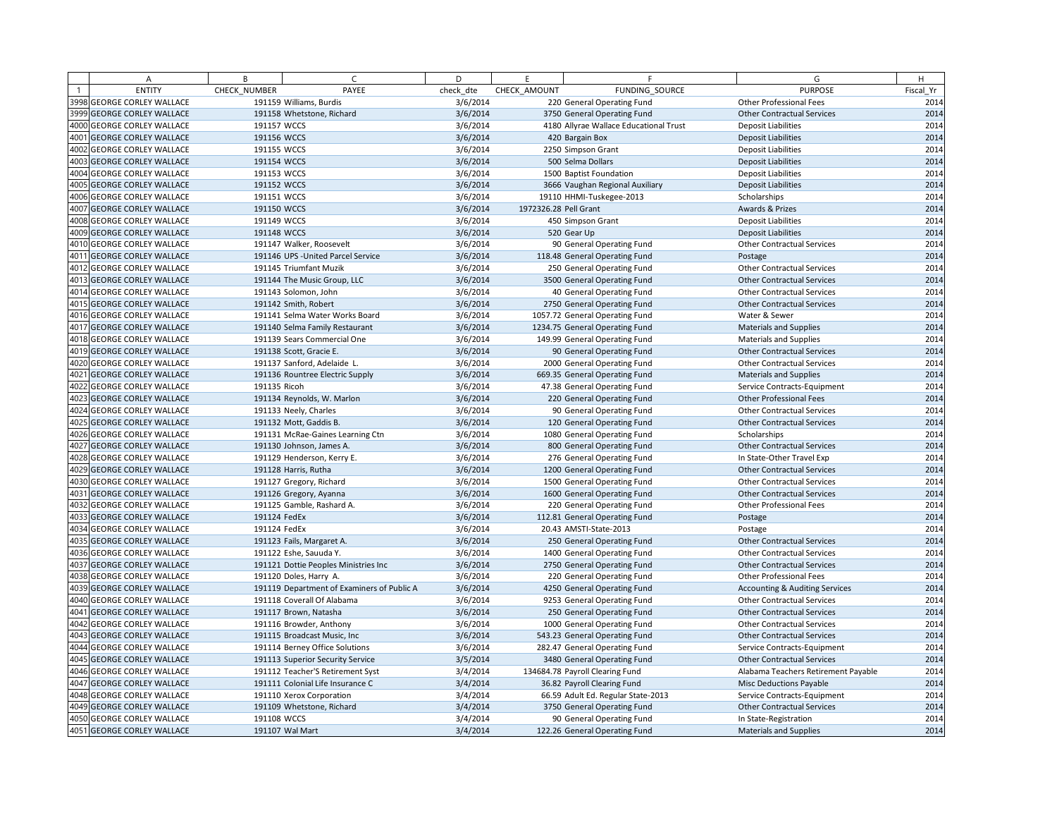| A                                 | B            | $\epsilon$                                 | D         | E                     | F.                                     | G                                         | H         |
|-----------------------------------|--------------|--------------------------------------------|-----------|-----------------------|----------------------------------------|-------------------------------------------|-----------|
| <b>ENTITY</b>                     | CHECK NUMBER | PAYEE                                      | check dte | CHECK AMOUNT          | FUNDING SOURCE                         | <b>PURPOSE</b>                            | Fiscal Yr |
| 3998 GEORGE CORLEY WALLACE        |              | 191159 Williams, Burdis                    | 3/6/2014  |                       | 220 General Operating Fund             | <b>Other Professional Fees</b>            | 2014      |
| 3999 GEORGE CORLEY WALLACE        |              | 191158 Whetstone, Richard                  | 3/6/2014  |                       | 3750 General Operating Fund            | <b>Other Contractual Services</b>         | 2014      |
| 4000 GEORGE CORLEY WALLACE        | 191157 WCCS  |                                            | 3/6/2014  |                       | 4180 Allyrae Wallace Educational Trust | <b>Deposit Liabilities</b>                | 2014      |
| 4001 GEORGE CORLEY WALLACE        | 191156 WCCS  |                                            | 3/6/2014  |                       | 420 Bargain Box                        | <b>Deposit Liabilities</b>                | 2014      |
| 4002 GEORGE CORLEY WALLACE        | 191155 WCCS  |                                            | 3/6/2014  |                       | 2250 Simpson Grant                     | <b>Deposit Liabilities</b>                | 2014      |
| 4003 GEORGE CORLEY WALLACE        | 191154 WCCS  |                                            | 3/6/2014  |                       | 500 Selma Dollars                      | <b>Deposit Liabilities</b>                | 2014      |
| 4004 GEORGE CORLEY WALLACE        | 191153 WCCS  |                                            | 3/6/2014  |                       | 1500 Baptist Foundation                | <b>Deposit Liabilities</b>                | 2014      |
| 4005 GEORGE CORLEY WALLACE        | 191152 WCCS  |                                            | 3/6/2014  |                       | 3666 Vaughan Regional Auxiliary        | <b>Deposit Liabilities</b>                | 2014      |
| 4006 GEORGE CORLEY WALLACE        | 191151 WCCS  |                                            | 3/6/2014  |                       | 19110 HHMI-Tuskegee-2013               | Scholarships                              | 2014      |
| 4007 GEORGE CORLEY WALLACE        | 191150 WCCS  |                                            | 3/6/2014  | 1972326.28 Pell Grant |                                        | Awards & Prizes                           | 2014      |
| 4008 GEORGE CORLEY WALLACE        | 191149 WCCS  |                                            | 3/6/2014  |                       | 450 Simpson Grant                      | <b>Deposit Liabilities</b>                | 2014      |
| 4009 GEORGE CORLEY WALLACE        | 191148 WCCS  |                                            | 3/6/2014  |                       | 520 Gear Up                            | <b>Deposit Liabilities</b>                | 2014      |
| 4010 GEORGE CORLEY WALLACE        |              | 191147 Walker, Roosevelt                   | 3/6/2014  |                       | 90 General Operating Fund              | <b>Other Contractual Services</b>         | 2014      |
| 4011 GEORGE CORLEY WALLACE        |              | 191146 UPS - United Parcel Service         | 3/6/2014  |                       | 118.48 General Operating Fund          | Postage                                   | 2014      |
| 4012 GEORGE CORLEY WALLACE        |              | 191145 Triumfant Muzik                     | 3/6/2014  |                       | 250 General Operating Fund             | <b>Other Contractual Services</b>         | 2014      |
| 4013 GEORGE CORLEY WALLACE        |              | 191144 The Music Group, LLC                | 3/6/2014  |                       | 3500 General Operating Fund            | <b>Other Contractual Services</b>         | 2014      |
| 4014 GEORGE CORLEY WALLACE        |              | 191143 Solomon, John                       | 3/6/2014  |                       | 40 General Operating Fund              | <b>Other Contractual Services</b>         | 2014      |
| 4015 GEORGE CORLEY WALLACE        |              | 191142 Smith, Robert                       | 3/6/2014  |                       | 2750 General Operating Fund            | <b>Other Contractual Services</b>         | 2014      |
| 4016 GEORGE CORLEY WALLACE        |              | 191141 Selma Water Works Board             | 3/6/2014  |                       | 1057.72 General Operating Fund         | Water & Sewer                             | 2014      |
| 4017 GEORGE CORLEY WALLACE        |              | 191140 Selma Family Restaurant             | 3/6/2014  |                       | 1234.75 General Operating Fund         | <b>Materials and Supplies</b>             | 2014      |
| 4018 GEORGE CORLEY WALLACE        |              | 191139 Sears Commercial One                | 3/6/2014  |                       | 149.99 General Operating Fund          | <b>Materials and Supplies</b>             | 2014      |
| 4019 GEORGE CORLEY WALLACE        |              | 191138 Scott, Gracie E.                    | 3/6/2014  |                       | 90 General Operating Fund              | <b>Other Contractual Services</b>         | 2014      |
| 4020 GEORGE CORLEY WALLACE        |              | 191137 Sanford, Adelaide L.                | 3/6/2014  |                       | 2000 General Operating Fund            | <b>Other Contractual Services</b>         | 2014      |
| 4021 GEORGE CORLEY WALLACE        |              | 191136 Rountree Electric Supply            | 3/6/2014  |                       | 669.35 General Operating Fund          | <b>Materials and Supplies</b>             | 2014      |
| 4022 GEORGE CORLEY WALLACE        | 191135 Ricoh |                                            | 3/6/2014  |                       | 47.38 General Operating Fund           | Service Contracts-Equipment               | 2014      |
| 4023 GEORGE CORLEY WALLACE        |              | 191134 Reynolds, W. Marlon                 | 3/6/2014  |                       | 220 General Operating Fund             | Other Professional Fees                   | 2014      |
| 4024 GEORGE CORLEY WALLACE        |              | 191133 Neely, Charles                      | 3/6/2014  |                       | 90 General Operating Fund              | <b>Other Contractual Services</b>         | 2014      |
| 4025 GEORGE CORLEY WALLACE        |              | 191132 Mott, Gaddis B.                     | 3/6/2014  |                       | 120 General Operating Fund             | <b>Other Contractual Services</b>         | 2014      |
| 4026 GEORGE CORLEY WALLACE        |              | 191131 McRae-Gaines Learning Ctn           | 3/6/2014  |                       | 1080 General Operating Fund            | Scholarships                              | 2014      |
| 4027 GEORGE CORLEY WALLACE        |              | 191130 Johnson, James A.                   | 3/6/2014  |                       | 800 General Operating Fund             | <b>Other Contractual Services</b>         | 2014      |
| 4028 GEORGE CORLEY WALLACE        |              | 191129 Henderson, Kerry E.                 | 3/6/2014  |                       | 276 General Operating Fund             | In State-Other Travel Exp                 | 2014      |
| 4029 GEORGE CORLEY WALLACE        |              | 191128 Harris, Rutha                       | 3/6/2014  |                       | 1200 General Operating Fund            | <b>Other Contractual Services</b>         | 2014      |
| 4030 GEORGE CORLEY WALLACE        |              | 191127 Gregory, Richard                    | 3/6/2014  |                       | 1500 General Operating Fund            | <b>Other Contractual Services</b>         | 2014      |
| 4031 GEORGE CORLEY WALLACE        |              | 191126 Gregory, Ayanna                     | 3/6/2014  |                       | 1600 General Operating Fund            | <b>Other Contractual Services</b>         | 2014      |
| 4032 GEORGE CORLEY WALLACE        |              | 191125 Gamble, Rashard A.                  | 3/6/2014  |                       | 220 General Operating Fund             | Other Professional Fees                   | 2014      |
| 4033 GEORGE CORLEY WALLACE        | 191124 FedEx |                                            | 3/6/2014  |                       | 112.81 General Operating Fund          | Postage                                   | 2014      |
| 4034 GEORGE CORLEY WALLACE        | 191124 FedEx |                                            | 3/6/2014  |                       | 20.43 AMSTI-State-2013                 | Postage                                   | 2014      |
| 4035 GEORGE CORLEY WALLACE        |              | 191123 Fails, Margaret A.                  | 3/6/2014  |                       | 250 General Operating Fund             | <b>Other Contractual Services</b>         | 2014      |
| 4036 GEORGE CORLEY WALLACE        |              | 191122 Eshe, Sauuda Y.                     | 3/6/2014  |                       | 1400 General Operating Fund            | <b>Other Contractual Services</b>         | 2014      |
| 4037 GEORGE CORLEY WALLACE        |              | 191121 Dottie Peoples Ministries Inc       | 3/6/2014  |                       | 2750 General Operating Fund            | <b>Other Contractual Services</b>         | 2014      |
| 4038 GEORGE CORLEY WALLACE        |              | 191120 Doles, Harry A.                     | 3/6/2014  |                       | 220 General Operating Fund             | <b>Other Professional Fees</b>            | 2014      |
| 4039 GEORGE CORLEY WALLACE        |              | 191119 Department of Examiners of Public A | 3/6/2014  |                       | 4250 General Operating Fund            | <b>Accounting &amp; Auditing Services</b> | 2014      |
| 4040 GEORGE CORLEY WALLACE        |              | 191118 Coverall Of Alabama                 | 3/6/2014  |                       | 9253 General Operating Fund            | <b>Other Contractual Services</b>         | 2014      |
| 4041 GEORGE CORLEY WALLACE        |              | 191117 Brown, Natasha                      | 3/6/2014  |                       | 250 General Operating Fund             | <b>Other Contractual Services</b>         | 2014      |
| 4042 GEORGE CORLEY WALLACE        |              | 191116 Browder, Anthony                    | 3/6/2014  |                       | 1000 General Operating Fund            | <b>Other Contractual Services</b>         | 2014      |
| <b>4043 GEORGE CORLEY WALLACE</b> |              | 191115 Broadcast Music, Inc.               | 3/6/2014  |                       | 543.23 General Operating Fund          | <b>Other Contractual Services</b>         | 2014      |
| 4044 GEORGE CORLEY WALLACE        |              | 191114 Berney Office Solutions             | 3/6/2014  |                       | 282.47 General Operating Fund          | Service Contracts-Equipment               | 2014      |
| 4045 GEORGE CORLEY WALLACE        |              | 191113 Superior Security Service           | 3/5/2014  |                       | 3480 General Operating Fund            | <b>Other Contractual Services</b>         | 2014      |
| 4046 GEORGE CORLEY WALLACE        |              | 191112 Teacher'S Retirement Syst           | 3/4/2014  |                       | 134684.78 Payroll Clearing Fund        | Alabama Teachers Retirement Payable       | 2014      |
| 4047 GEORGE CORLEY WALLACE        |              | 191111 Colonial Life Insurance C           | 3/4/2014  |                       | 36.82 Payroll Clearing Fund            | <b>Misc Deductions Payable</b>            | 2014      |
| 4048 GEORGE CORLEY WALLACE        |              | 191110 Xerox Corporation                   | 3/4/2014  |                       | 66.59 Adult Ed. Regular State-2013     | Service Contracts-Equipment               | 2014      |
| <b>4049 GEORGE CORLEY WALLACE</b> |              | 191109 Whetstone, Richard                  | 3/4/2014  |                       | 3750 General Operating Fund            | <b>Other Contractual Services</b>         | 2014      |
| 4050 GEORGE CORLEY WALLACE        | 191108 WCCS  |                                            | 3/4/2014  |                       | 90 General Operating Fund              | In State-Registration                     | 2014      |
| 4051 GEORGE CORLEY WALLACE        |              | 191107 Wal Mart                            | 3/4/2014  |                       | 122.26 General Operating Fund          | <b>Materials and Supplies</b>             | 2014      |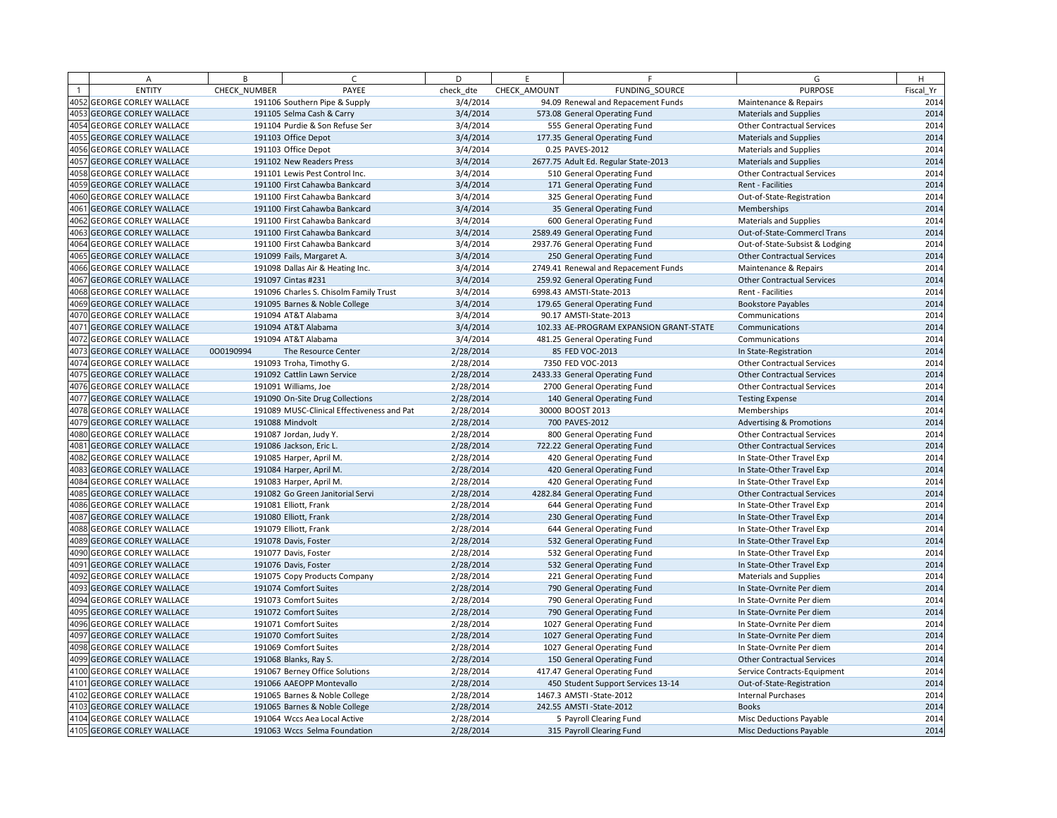|      | Α                                                            | B            | $\epsilon$                                 | D         | F.           | F                                       | G                                                      | H         |
|------|--------------------------------------------------------------|--------------|--------------------------------------------|-----------|--------------|-----------------------------------------|--------------------------------------------------------|-----------|
|      | <b>ENTITY</b>                                                | CHECK NUMBER | PAYEE                                      | check dte | CHECK AMOUNT | FUNDING SOURCE                          | <b>PURPOSE</b>                                         | Fiscal Yr |
|      | 4052 GEORGE CORLEY WALLACE                                   |              | 191106 Southern Pipe & Supply              | 3/4/2014  |              | 94.09 Renewal and Repacement Funds      | Maintenance & Repairs                                  | 2014      |
|      | 4053 GEORGE CORLEY WALLACE                                   |              | 191105 Selma Cash & Carry                  | 3/4/2014  |              | 573.08 General Operating Fund           | <b>Materials and Supplies</b>                          | 2014      |
| 4054 | <b>GEORGE CORLEY WALLACE</b>                                 |              | 191104 Purdie & Son Refuse Ser             | 3/4/2014  |              | 555 General Operating Fund              | <b>Other Contractual Services</b>                      | 2014      |
|      | 4055 GEORGE CORLEY WALLACE                                   |              | 191103 Office Depot                        | 3/4/2014  |              | 177.35 General Operating Fund           | <b>Materials and Supplies</b>                          | 2014      |
| 4056 | <b>GEORGE CORLEY WALLACE</b>                                 |              | 191103 Office Depot                        | 3/4/2014  |              | 0.25 PAVES-2012                         | <b>Materials and Supplies</b>                          | 2014      |
| 4057 | <b>GEORGE CORLEY WALLACE</b>                                 |              | 191102 New Readers Press                   | 3/4/2014  |              | 2677.75 Adult Ed. Regular State-2013    | <b>Materials and Supplies</b>                          | 2014      |
|      | 4058 GEORGE CORLEY WALLACE                                   |              | 191101 Lewis Pest Control Inc.             | 3/4/2014  |              | 510 General Operating Fund              | <b>Other Contractual Services</b>                      | 2014      |
| 4059 | <b>GEORGE CORLEY WALLACE</b>                                 |              | 191100 First Cahawba Bankcard              | 3/4/2014  |              | 171 General Operating Fund              | Rent - Facilities                                      | 2014      |
| 4060 | <b>GEORGE CORLEY WALLACE</b>                                 |              | 191100 First Cahawba Bankcard              | 3/4/2014  |              | 325 General Operating Fund              | Out-of-State-Registration                              | 2014      |
| 4061 | <b>GEORGE CORLEY WALLACE</b>                                 |              | 191100 First Cahawba Bankcard              | 3/4/2014  |              | 35 General Operating Fund               | Memberships                                            | 2014      |
| 4062 | <b>GEORGE CORLEY WALLACE</b>                                 |              | 191100 First Cahawba Bankcard              | 3/4/2014  |              | 600 General Operating Fund              | <b>Materials and Supplies</b>                          | 2014      |
| 4063 | <b>GEORGE CORLEY WALLACE</b>                                 |              | 191100 First Cahawba Bankcard              | 3/4/2014  |              | 2589.49 General Operating Fund          | Out-of-State-Commercl Trans                            | 2014      |
| 4064 | <b>GEORGE CORLEY WALLACE</b>                                 |              | 191100 First Cahawba Bankcard              | 3/4/2014  |              | 2937.76 General Operating Fund          | Out-of-State-Subsist & Lodging                         | 2014      |
| 4065 | <b>GEORGE CORLEY WALLACE</b>                                 |              | 191099 Fails, Margaret A.                  | 3/4/2014  |              | 250 General Operating Fund              | <b>Other Contractual Services</b>                      | 2014      |
|      | 4066 GEORGE CORLEY WALLACE                                   |              | 191098 Dallas Air & Heating Inc.           | 3/4/2014  |              | 2749.41 Renewal and Repacement Funds    | Maintenance & Repairs                                  | 2014      |
| 4067 | <b>GEORGE CORLEY WALLACE</b>                                 |              | 191097 Cintas #231                         | 3/4/2014  |              | 259.92 General Operating Fund           | <b>Other Contractual Services</b>                      | 2014      |
| 4068 | <b>GEORGE CORLEY WALLACE</b>                                 |              | 191096 Charles S. Chisolm Family Trust     | 3/4/2014  |              | 6998.43 AMSTI-State-2013                | Rent - Facilities                                      | 2014      |
|      | 4069 GEORGE CORLEY WALLACE                                   |              | 191095 Barnes & Noble College              | 3/4/2014  |              | 179.65 General Operating Fund           | <b>Bookstore Payables</b>                              | 2014      |
|      | 4070 GEORGE CORLEY WALLACE                                   |              | 191094 AT&T Alabama                        | 3/4/2014  |              | 90.17 AMSTI-State-2013                  | Communications                                         | 2014      |
| 4071 | <b>GEORGE CORLEY WALLACE</b>                                 |              | 191094 AT&T Alabama                        | 3/4/2014  |              | 102.33 AE-PROGRAM EXPANSION GRANT-STATE | Communications                                         | 2014      |
| 4072 | <b>GEORGE CORLEY WALLACE</b>                                 |              | 191094 AT&T Alabama                        | 3/4/2014  |              | 481.25 General Operating Fund           | Communications                                         | 2014      |
|      | 4073 GEORGE CORLEY WALLACE                                   | 000190994    | The Resource Center                        | 2/28/2014 |              | 85 FED VOC-2013                         | In State-Registration                                  | 2014      |
| 4074 | <b>GEORGE CORLEY WALLACE</b>                                 |              | 191093 Troha, Timothy G.                   | 2/28/2014 |              | 7350 FED VOC-2013                       | <b>Other Contractual Services</b>                      | 2014      |
|      | 4075 GEORGE CORLEY WALLACE                                   |              | 191092 Cattlin Lawn Service                | 2/28/2014 |              | 2433.33 General Operating Fund          | <b>Other Contractual Services</b>                      | 2014      |
| 4076 | <b>GEORGE CORLEY WALLACE</b>                                 |              | 191091 Williams, Joe                       | 2/28/2014 |              | 2700 General Operating Fund             | <b>Other Contractual Services</b>                      | 2014      |
|      | 4077 GEORGE CORLEY WALLACE                                   |              | 191090 On-Site Drug Collections            | 2/28/2014 |              | 140 General Operating Fund              | <b>Testing Expense</b>                                 | 2014      |
|      | 4078 GEORGE CORLEY WALLACE                                   |              | 191089 MUSC-Clinical Effectiveness and Pat | 2/28/2014 |              | 30000 BOOST 2013                        | Memberships                                            | 2014      |
|      | 4079 GEORGE CORLEY WALLACE                                   |              | 191088 Mindvolt                            | 2/28/2014 |              | 700 PAVES-2012                          | <b>Advertising &amp; Promotions</b>                    | 2014      |
| 4080 | <b>GEORGE CORLEY WALLACE</b>                                 |              | 191087 Jordan, Judy Y.                     | 2/28/2014 |              | 800 General Operating Fund              | <b>Other Contractual Services</b>                      | 2014      |
| 4081 | <b>GEORGE CORLEY WALLACE</b>                                 |              | 191086 Jackson, Eric L.                    | 2/28/2014 |              | 722.22 General Operating Fund           | <b>Other Contractual Services</b>                      | 2014      |
| 4082 | <b>GEORGE CORLEY WALLACE</b>                                 |              | 191085 Harper, April M.                    | 2/28/2014 |              | 420 General Operating Fund              | In State-Other Travel Exp                              | 2014      |
| 4083 | <b>GEORGE CORLEY WALLACE</b>                                 |              | 191084 Harper, April M.                    | 2/28/2014 |              | 420 General Operating Fund              | In State-Other Travel Exp                              | 2014      |
| 4084 | <b>GEORGE CORLEY WALLACE</b>                                 |              | 191083 Harper, April M.                    | 2/28/2014 |              | 420 General Operating Fund              | In State-Other Travel Exp                              | 2014      |
| 4085 | <b>GEORGE CORLEY WALLACE</b>                                 |              | 191082 Go Green Janitorial Servi           | 2/28/2014 |              | 4282.84 General Operating Fund          | <b>Other Contractual Services</b>                      | 2014      |
| 4086 | <b>GEORGE CORLEY WALLACE</b>                                 |              | 191081 Elliott, Frank                      | 2/28/2014 |              | 644 General Operating Fund              | In State-Other Travel Exp                              | 2014      |
| 4087 | <b>GEORGE CORLEY WALLACE</b>                                 |              | 191080 Elliott, Frank                      | 2/28/2014 |              | 230 General Operating Fund              | In State-Other Travel Exp                              | 2014      |
| 4088 | <b>GEORGE CORLEY WALLACE</b>                                 |              | 191079 Elliott, Frank                      | 2/28/2014 |              | 644 General Operating Fund              | In State-Other Travel Exp                              | 2014      |
| 4089 | <b>GEORGE CORLEY WALLACE</b>                                 |              | 191078 Davis, Foster                       | 2/28/2014 |              | 532 General Operating Fund              | In State-Other Travel Exp                              | 2014      |
| 4090 | <b>GEORGE CORLEY WALLACE</b>                                 |              | 191077 Davis, Foster                       | 2/28/2014 |              | 532 General Operating Fund              | In State-Other Travel Exp                              | 2014      |
| 4091 | <b>GEORGE CORLEY WALLACE</b>                                 |              | 191076 Davis, Foster                       | 2/28/2014 |              | 532 General Operating Fund              | In State-Other Travel Exp                              | 2014      |
| 4092 | <b>GEORGE CORLEY WALLACE</b>                                 |              | 191075 Copy Products Company               | 2/28/2014 |              | 221 General Operating Fund              | <b>Materials and Supplies</b>                          | 2014      |
|      | 4093 GEORGE CORLEY WALLACE                                   |              | 191074 Comfort Suites                      | 2/28/2014 |              | 790 General Operating Fund              | In State-Ovrnite Per diem                              | 2014      |
| 4094 | <b>GEORGE CORLEY WALLACE</b>                                 |              | 191073 Comfort Suites                      | 2/28/2014 |              | 790 General Operating Fund              | In State-Ovrnite Per diem                              | 2014      |
| 4095 | <b>GEORGE CORLEY WALLACE</b>                                 |              | 191072 Comfort Suites                      | 2/28/2014 |              | 790 General Operating Fund              | In State-Ovrnite Per diem                              | 2014      |
| 4096 |                                                              |              | 191071 Comfort Suites                      |           |              |                                         |                                                        | 2014      |
| 4097 | <b>GEORGE CORLEY WALLACE</b><br><b>GEORGE CORLEY WALLACE</b> |              | 191070 Comfort Suites                      | 2/28/2014 |              | 1027 General Operating Fund             | In State-Ovrnite Per diem<br>In State-Ovrnite Per diem | 2014      |
| 4098 | <b>GEORGE CORLEY WALLACE</b>                                 |              | 191069 Comfort Suites                      | 2/28/2014 |              | 1027 General Operating Fund             | In State-Ovrnite Per diem                              | 2014      |
|      |                                                              |              |                                            | 2/28/2014 |              | 1027 General Operating Fund             |                                                        | 2014      |
| 4100 | 4099 GEORGE CORLEY WALLACE                                   |              | 191068 Blanks, Ray S.                      | 2/28/2014 |              | 150 General Operating Fund              | <b>Other Contractual Services</b>                      |           |
| 4101 | <b>GEORGE CORLEY WALLACE</b>                                 |              | 191067 Berney Office Solutions             | 2/28/2014 |              | 417.47 General Operating Fund           | Service Contracts-Equipment                            | 2014      |
|      | <b>GEORGE CORLEY WALLACE</b>                                 |              | 191066 AAEOPP Montevallo                   | 2/28/2014 |              | 450 Student Support Services 13-14      | Out-of-State-Registration                              | 2014      |
| 4103 | 4102 GEORGE CORLEY WALLACE                                   |              | 191065 Barnes & Noble College              | 2/28/2014 |              | 1467.3 AMSTI-State-2012                 | <b>Internal Purchases</b>                              | 2014      |
|      | <b>GEORGE CORLEY WALLACE</b>                                 |              | 191065 Barnes & Noble College              | 2/28/2014 |              | 242.55 AMSTI-State-2012                 | <b>Books</b>                                           | 2014      |
|      | 4104 GEORGE CORLEY WALLACE                                   |              | 191064 Wccs Aea Local Active               | 2/28/2014 |              | 5 Payroll Clearing Fund                 | Misc Deductions Payable                                | 2014      |
|      | 4105 GEORGE CORLEY WALLACE                                   |              | 191063 Wccs Selma Foundation               | 2/28/2014 |              | 315 Payroll Clearing Fund               | Misc Deductions Payable                                | 2014      |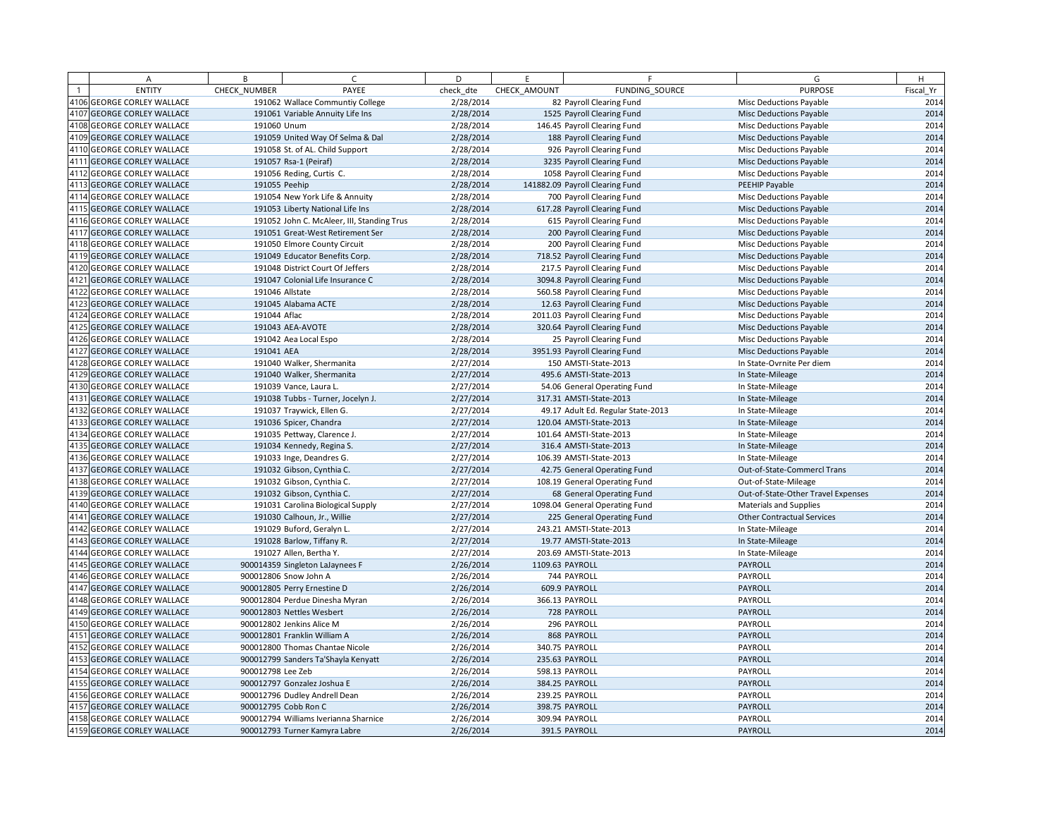|      | Α                                 | B                 | $\mathsf{C}$                               | D         | E               | F.                                 | G                                  | H         |
|------|-----------------------------------|-------------------|--------------------------------------------|-----------|-----------------|------------------------------------|------------------------------------|-----------|
|      | <b>ENTITY</b>                     | CHECK NUMBER      | PAYEE                                      | check dte | CHECK AMOUNT    | FUNDING SOURCE                     | <b>PURPOSE</b>                     | Fiscal Yr |
|      | 4106 GEORGE CORLEY WALLACE        |                   | 191062 Wallace Communtiy College           | 2/28/2014 |                 | 82 Payroll Clearing Fund           | Misc Deductions Payable            | 2014      |
|      | 4107 GEORGE CORLEY WALLACE        |                   | 191061 Variable Annuity Life Ins           | 2/28/2014 |                 | 1525 Payroll Clearing Fund         | <b>Misc Deductions Payable</b>     | 2014      |
|      | 4108 GEORGE CORLEY WALLACE        |                   | 191060 Unum                                | 2/28/2014 |                 | 146.45 Payroll Clearing Fund       | Misc Deductions Payable            | 2014      |
|      | 4109 GEORGE CORLEY WALLACE        |                   | 191059 United Way Of Selma & Dal           | 2/28/2014 |                 | 188 Payroll Clearing Fund          | Misc Deductions Payable            | 2014      |
|      | 4110 GEORGE CORLEY WALLACE        |                   | 191058 St. of AL. Child Support            | 2/28/2014 |                 | 926 Payroll Clearing Fund          | <b>Misc Deductions Payable</b>     | 2014      |
|      | 4111 GEORGE CORLEY WALLACE        |                   | 191057 Rsa-1 (Peiraf)                      | 2/28/2014 |                 | 3235 Payroll Clearing Fund         | Misc Deductions Payable            | 2014      |
|      | 4112 GEORGE CORLEY WALLACE        |                   | 191056 Reding, Curtis C.                   | 2/28/2014 |                 | 1058 Payroll Clearing Fund         | Misc Deductions Payable            | 2014      |
|      | 4113 GEORGE CORLEY WALLACE        |                   | 191055 Peehip                              | 2/28/2014 |                 | 141882.09 Payroll Clearing Fund    | PEEHIP Payable                     | 2014      |
| 4114 | <b>GEORGE CORLEY WALLACE</b>      |                   | 191054 New York Life & Annuity             | 2/28/2014 |                 | 700 Payroll Clearing Fund          | Misc Deductions Payable            | 2014      |
|      | 4115 GEORGE CORLEY WALLACE        |                   | 191053 Liberty National Life Ins           | 2/28/2014 |                 | 617.28 Payroll Clearing Fund       | Misc Deductions Payable            | 2014      |
|      | 4116 GEORGE CORLEY WALLACE        |                   | 191052 John C. McAleer, III, Standing Trus | 2/28/2014 |                 | 615 Payroll Clearing Fund          | Misc Deductions Payable            | 2014      |
|      | 4117 GEORGE CORLEY WALLACE        |                   | 191051 Great-West Retirement Ser           | 2/28/2014 |                 | 200 Payroll Clearing Fund          | <b>Misc Deductions Payable</b>     | 2014      |
|      | 4118 GEORGE CORLEY WALLACE        |                   | 191050 Elmore County Circuit               | 2/28/2014 |                 | 200 Payroll Clearing Fund          | Misc Deductions Payable            | 2014      |
|      | 4119 GEORGE CORLEY WALLACE        |                   | 191049 Educator Benefits Corp.             | 2/28/2014 |                 | 718.52 Payroll Clearing Fund       | Misc Deductions Payable            | 2014      |
| 4120 | <b>GEORGE CORLEY WALLACE</b>      |                   | 191048 District Court Of Jeffers           | 2/28/2014 |                 | 217.5 Payroll Clearing Fund        | <b>Misc Deductions Payable</b>     | 2014      |
| 4121 | <b>GEORGE CORLEY WALLACE</b>      |                   | 191047 Colonial Life Insurance C           | 2/28/2014 |                 | 3094.8 Payroll Clearing Fund       | Misc Deductions Payable            | 2014      |
| 4122 | <b>GEORGE CORLEY WALLACE</b>      |                   | 191046 Allstate                            | 2/28/2014 |                 | 560.58 Payroll Clearing Fund       | Misc Deductions Payable            | 2014      |
|      | 4123 GEORGE CORLEY WALLACE        |                   | 191045 Alabama ACTE                        | 2/28/2014 |                 | 12.63 Payroll Clearing Fund        | <b>Misc Deductions Payable</b>     | 2014      |
|      | 4124 GEORGE CORLEY WALLACE        | 191044 Aflac      |                                            | 2/28/2014 |                 | 2011.03 Payroll Clearing Fund      | Misc Deductions Payable            | 2014      |
|      | 4125 GEORGE CORLEY WALLACE        |                   | 191043 AEA-AVOTE                           | 2/28/2014 |                 | 320.64 Payroll Clearing Fund       | Misc Deductions Payable            | 2014      |
|      | 4126 GEORGE CORLEY WALLACE        |                   | 191042 Aea Local Espo                      | 2/28/2014 |                 | 25 Payroll Clearing Fund           | <b>Misc Deductions Payable</b>     | 2014      |
|      | 4127 GEORGE CORLEY WALLACE        | 191041 AEA        |                                            | 2/28/2014 |                 | 3951.93 Payroll Clearing Fund      | Misc Deductions Payable            | 2014      |
|      | 4128 GEORGE CORLEY WALLACE        |                   | 191040 Walker, Shermanita                  | 2/27/2014 |                 | 150 AMSTI-State-2013               | In State-Ovrnite Per diem          | 2014      |
|      | 4129 GEORGE CORLEY WALLACE        |                   | 191040 Walker, Shermanita                  | 2/27/2014 |                 | 495.6 AMSTI-State-2013             | In State-Mileage                   | 2014      |
|      | 4130 GEORGE CORLEY WALLACE        |                   | 191039 Vance, Laura L.                     | 2/27/2014 |                 | 54.06 General Operating Fund       | In State-Mileage                   | 2014      |
|      | 4131 GEORGE CORLEY WALLACE        |                   | 191038 Tubbs - Turner, Jocelyn J.          | 2/27/2014 |                 | 317.31 AMSTI-State-2013            | In State-Mileage                   | 2014      |
| 4132 | <b>GEORGE CORLEY WALLACE</b>      |                   | 191037 Traywick, Ellen G.                  | 2/27/2014 |                 | 49.17 Adult Ed. Regular State-2013 | In State-Mileage                   | 2014      |
|      | 4133 GEORGE CORLEY WALLACE        |                   | 191036 Spicer, Chandra                     | 2/27/2014 |                 | 120.04 AMSTI-State-2013            | In State-Mileage                   | 2014      |
|      | 4134 GEORGE CORLEY WALLACE        |                   | 191035 Pettway, Clarence J.                | 2/27/2014 |                 | 101.64 AMSTI-State-2013            | In State-Mileage                   | 2014      |
|      | 4135 GEORGE CORLEY WALLACE        |                   | 191034 Kennedy, Regina S.                  | 2/27/2014 |                 | 316.4 AMSTI-State-2013             | In State-Mileage                   | 2014      |
|      | 4136 GEORGE CORLEY WALLACE        |                   | 191033 Inge, Deandres G.                   | 2/27/2014 |                 | 106.39 AMSTI-State-2013            | In State-Mileage                   | 2014      |
|      | 4137 GEORGE CORLEY WALLACE        |                   | 191032 Gibson, Cynthia C.                  | 2/27/2014 |                 | 42.75 General Operating Fund       | Out-of-State-Commercl Trans        | 2014      |
|      | 4138 GEORGE CORLEY WALLACE        |                   | 191032 Gibson, Cynthia C.                  | 2/27/2014 |                 | 108.19 General Operating Fund      | Out-of-State-Mileage               | 2014      |
|      | 4139 GEORGE CORLEY WALLACE        |                   | 191032 Gibson, Cynthia C.                  | 2/27/2014 |                 | 68 General Operating Fund          | Out-of-State-Other Travel Expenses | 2014      |
|      | 4140 GEORGE CORLEY WALLACE        |                   | 191031 Carolina Biological Supply          | 2/27/2014 |                 | 1098.04 General Operating Fund     | <b>Materials and Supplies</b>      | 2014      |
| 4141 | <b>GEORGE CORLEY WALLACE</b>      |                   | 191030 Calhoun, Jr., Willie                | 2/27/2014 |                 | 225 General Operating Fund         | <b>Other Contractual Services</b>  | 2014      |
| 4142 | <b>GEORGE CORLEY WALLACE</b>      |                   | 191029 Buford, Geralyn L.                  | 2/27/2014 |                 | 243.21 AMSTI-State-2013            | In State-Mileage                   | 2014      |
|      | 4143 GEORGE CORLEY WALLACE        |                   | 191028 Barlow, Tiffany R.                  | 2/27/2014 |                 | 19.77 AMSTI-State-2013             | In State-Mileage                   | 2014      |
| 4144 | <b>GEORGE CORLEY WALLACE</b>      |                   | 191027 Allen, Bertha Y.                    | 2/27/2014 |                 | 203.69 AMSTI-State-2013            | In State-Mileage                   | 2014      |
|      | 4145 GEORGE CORLEY WALLACE        |                   | 900014359 Singleton LaJaynees F            | 2/26/2014 | 1109.63 PAYROLL |                                    | PAYROLL                            | 2014      |
|      | 4146 GEORGE CORLEY WALLACE        |                   | 900012806 Snow John A                      | 2/26/2014 |                 | 744 PAYROLL                        | PAYROLL                            | 2014      |
|      | 4147 GEORGE CORLEY WALLACE        |                   | 900012805 Perry Ernestine D                | 2/26/2014 |                 | 609.9 PAYROLL                      | PAYROLL                            | 2014      |
|      | 4148 GEORGE CORLEY WALLACE        |                   | 900012804 Perdue Dinesha Myran             | 2/26/2014 |                 | 366.13 PAYROLL                     | PAYROLL                            | 2014      |
|      | 4149 GEORGE CORLEY WALLACE        |                   | 900012803 Nettles Wesbert                  | 2/26/2014 |                 | 728 PAYROLL                        | PAYROLL                            | 2014      |
|      | 4150 GEORGE CORLEY WALLACE        |                   | 900012802 Jenkins Alice M                  | 2/26/2014 |                 | 296 PAYROLL                        | PAYROLL                            | 2014      |
| 4151 | <b>GEORGE CORLEY WALLACE</b>      |                   | 900012801 Franklin William A               | 2/26/2014 |                 | 868 PAYROLL                        | PAYROLL                            | 2014      |
| 4152 | <b>GEORGE CORLEY WALLACE</b>      |                   | 900012800 Thomas Chantae Nicole            | 2/26/2014 |                 | 340.75 PAYROLL                     | PAYROLL                            | 2014      |
|      | 4153 GEORGE CORLEY WALLACE        |                   | 900012799 Sanders Ta'Shayla Kenyatt        | 2/26/2014 |                 | 235.63 PAYROLL                     | PAYROLL                            | 2014      |
| 4154 | <b>GEORGE CORLEY WALLACE</b>      | 900012798 Lee Zeb |                                            | 2/26/2014 |                 | 598.13 PAYROLL                     | PAYROLL                            | 2014      |
|      | 4155 GEORGE CORLEY WALLACE        |                   | 900012797 Gonzalez Joshua E                | 2/26/2014 |                 | 384.25 PAYROLL                     | PAYROLL                            | 2014      |
|      | 4156 GEORGE CORLEY WALLACE        |                   | 900012796 Dudley Andrell Dean              | 2/26/2014 |                 | 239.25 PAYROLL                     | PAYROLL                            | 2014      |
|      | <b>4157 GEORGE CORLEY WALLACE</b> |                   | 900012795 Cobb Ron C                       | 2/26/2014 |                 | 398.75 PAYROLL                     | PAYROLL                            | 2014      |
|      | 4158 GEORGE CORLEY WALLACE        |                   | 900012794 Williams Iverianna Sharnice      | 2/26/2014 |                 | 309.94 PAYROLL                     | PAYROLL                            | 2014      |
|      | 4159 GEORGE CORLEY WALLACE        |                   | 900012793 Turner Kamyra Labre              | 2/26/2014 |                 | 391.5 PAYROLL                      | PAYROLL                            | 2014      |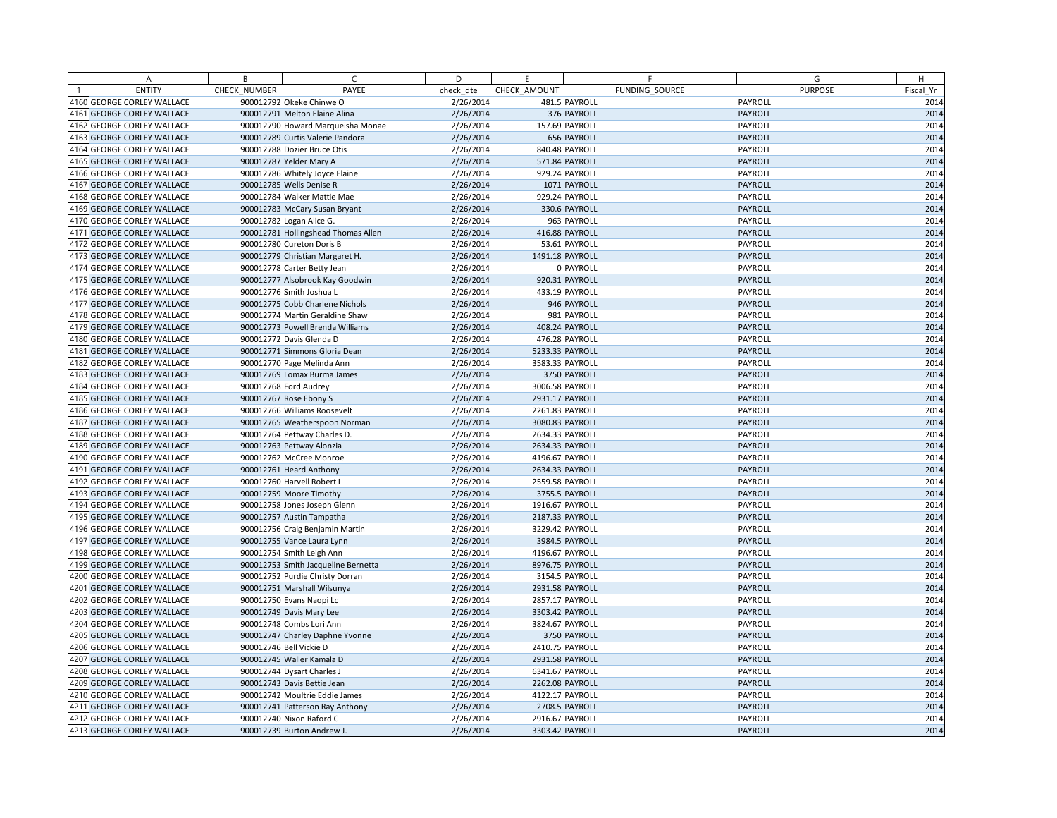| <b>ENTITY</b><br>PAYEE<br>FUNDING SOURCE<br><b>PURPOSE</b><br>CHECK NUMBER<br>check dte<br>CHECK AMOUNT<br>Fiscal Yr<br>2/26/2014<br>4160 GEORGE CORLEY WALLACE<br>900012792 Okeke Chinwe O<br>481.5 PAYROLL<br>PAYROLL<br>2014<br>4161<br><b>GEORGE CORLEY WALLACE</b><br>2/26/2014<br>376 PAYROLL<br>PAYROLL<br>900012791 Melton Elaine Alina<br>4162<br><b>GEORGE CORLEY WALLACE</b><br>2/26/2014<br>900012790 Howard Marqueisha Monae<br>157.69 PAYROLL<br>PAYROLL<br>4163<br>PAYROLL<br><b>GEORGE CORLEY WALLACE</b><br>900012789 Curtis Valerie Pandora<br>2/26/2014<br>656 PAYROLL<br>4164<br>2/26/2014<br><b>GEORGE CORLEY WALLACE</b><br>900012788 Dozier Bruce Otis<br>840.48 PAYROLL<br>PAYROLL<br>4165<br><b>GEORGE CORLEY WALLACE</b><br>900012787 Yelder Mary A<br>2/26/2014<br>571.84 PAYROLL<br><b>PAYROLL</b><br>4166<br><b>GEORGE CORLEY WALLACE</b><br>900012786 Whitely Joyce Elaine<br>2/26/2014<br>929.24 PAYROLL<br>PAYROLL<br>4167<br>2/26/2014<br><b>GEORGE CORLEY WALLACE</b><br>900012785 Wells Denise R<br>1071 PAYROLL<br>PAYROLL<br>4168<br>2014<br><b>GEORGE CORLEY WALLACE</b><br>900012784 Walker Mattie Mae<br>2/26/2014<br>929.24 PAYROLL<br>PAYROLL<br>4169<br><b>GEORGE CORLEY WALLACE</b><br>900012783 McCary Susan Bryant<br>2/26/2014<br>330.6 PAYROLL<br>PAYROLL<br>4170<br><b>GEORGE CORLEY WALLACE</b><br>900012782 Logan Alice G.<br>2/26/2014<br>963 PAYROLL<br>PAYROLL<br>4171<br><b>GEORGE CORLEY WALLACE</b><br>900012781 Hollingshead Thomas Allen<br>2/26/2014<br>416.88 PAYROLL<br><b>PAYROLL</b><br>4172<br><b>GEORGE CORLEY WALLACE</b><br>2/26/2014<br>53.61 PAYROLL<br>PAYROLL<br>900012780 Cureton Doris B<br>4173<br><b>GEORGE CORLEY WALLACE</b><br>900012779 Christian Margaret H.<br>2/26/2014<br>1491.18 PAYROLL<br>PAYROLL<br>4174<br>2014<br><b>GEORGE CORLEY WALLACE</b><br>900012778 Carter Betty Jean<br>2/26/2014<br>0 PAYROLL<br>PAYROLL<br>4175<br><b>GEORGE CORLEY WALLACE</b><br>2/26/2014<br>920.31 PAYROLL<br>PAYROLL<br>900012777 Alsobrook Kay Goodwin<br>4176 GEORGE CORLEY WALLACE<br>2/26/2014<br>433.19 PAYROLL<br>PAYROLL<br>900012776 Smith Joshua L<br>4177<br>2014<br><b>GEORGE CORLEY WALLACE</b><br>900012775 Cobb Charlene Nichols<br>2/26/2014<br>946 PAYROLL<br><b>PAYROLL</b><br>4178 GEORGE CORLEY WALLACE<br>2/26/2014<br>PAYROLL<br>900012774 Martin Geraldine Shaw<br>981 PAYROLL<br>4179 GEORGE CORLEY WALLACE<br>2/26/2014<br>PAYROLL<br>900012773 Powell Brenda Williams<br>408.24 PAYROLL<br>4180<br>2014<br><b>GEORGE CORLEY WALLACE</b><br>900012772 Davis Glenda D<br>2/26/2014<br>476.28 PAYROLL<br>PAYROLL<br>4181<br>2/26/2014<br>PAYROLL<br><b>GEORGE CORLEY WALLACE</b><br>900012771 Simmons Gloria Dean<br>5233.33 PAYROLL<br>4182<br>2/26/2014<br><b>GEORGE CORLEY WALLACE</b><br>900012770 Page Melinda Ann<br>3583.33 PAYROLL<br>PAYROLL<br>4183<br><b>GEORGE CORLEY WALLACE</b><br>900012769 Lomax Burma James<br>2/26/2014<br>3750 PAYROLL<br>PAYROLL<br>4184 GEORGE CORLEY WALLACE<br>900012768 Ford Audrey<br>2/26/2014<br>3006.58 PAYROLL<br>PAYROLL<br>4185<br>2/26/2014<br><b>GEORGE CORLEY WALLACE</b><br>900012767 Rose Ebony S<br>2931.17 PAYROLL<br>PAYROLL<br>4186 GEORGE CORLEY WALLACE<br>2014<br>2/26/2014<br>2261.83 PAYROLL<br>PAYROLL<br>900012766 Williams Roosevelt<br>4187<br>2/26/2014<br>PAYROLL<br><b>GEORGE CORLEY WALLACE</b><br>900012765 Weatherspoon Norman<br>3080.83 PAYROLL<br>4188<br>2/26/2014<br><b>GEORGE CORLEY WALLACE</b><br>900012764 Pettway Charles D.<br>2634.33 PAYROLL<br>PAYROLL<br>4189<br><b>GEORGE CORLEY WALLACE</b><br>2/26/2014<br>2634.33 PAYROLL<br>PAYROLL<br>900012763 Pettway Alonzia<br>4190<br><b>GEORGE CORLEY WALLACE</b><br>2/26/2014<br>4196.67 PAYROLL<br>PAYROLL<br>900012762 McCree Monroe<br>4191<br>2/26/2014<br><b>GEORGE CORLEY WALLACE</b><br>900012761 Heard Anthony<br>2634.33 PAYROLL<br><b>PAYROLL</b><br>4192<br>2014<br><b>GEORGE CORLEY WALLACE</b><br>2/26/2014<br>2559.58 PAYROLL<br>PAYROLL<br>900012760 Harvell Robert L<br>4193 GEORGE CORLEY WALLACE<br>900012759 Moore Timothy<br>2/26/2014<br>3755.5 PAYROLL<br>PAYROLL<br>4194<br><b>GEORGE CORLEY WALLACE</b><br>900012758 Jones Joseph Glenn<br>2/26/2014<br>1916.67 PAYROLL<br>PAYROLL<br>4195<br><b>GEORGE CORLEY WALLACE</b><br>2/26/2014<br>2187.33 PAYROLL<br>PAYROLL<br>900012757 Austin Tampatha<br>4196 GEORGE CORLEY WALLACE<br>2/26/2014<br>PAYROLL<br>900012756 Craig Benjamin Martin<br>3229.42 PAYROLL<br>4197<br><b>GEORGE CORLEY WALLACE</b><br>900012755 Vance Laura Lynn<br>2/26/2014<br>3984.5 PAYROLL<br><b>PAYROLL</b><br>4198<br>2014<br><b>GEORGE CORLEY WALLACE</b><br>2/26/2014<br>PAYROLL<br>900012754 Smith Leigh Ann<br>4196.67 PAYROLL<br>4199 GEORGE CORLEY WALLACE<br>2/26/2014<br>PAYROLL<br>900012753 Smith Jacqueline Bernetta<br>8976.75 PAYROLL<br>4200<br><b>GEORGE CORLEY WALLACE</b><br>900012752 Purdie Christy Dorran<br>2/26/2014<br>3154.5 PAYROLL<br>PAYROLL<br>4201<br><b>GEORGE CORLEY WALLACE</b><br>2/26/2014<br>PAYROLL<br>900012751 Marshall Wilsunya<br>2931.58 PAYROLL<br>4202<br><b>GEORGE CORLEY WALLACE</b><br>2/26/2014<br>900012750 Evans Naopi Lc<br>2857.17 PAYROLL<br>PAYROLL<br>4203<br><b>GEORGE CORLEY WALLACE</b><br>2/26/2014<br>3303.42 PAYROLL<br>PAYROLL<br>900012749 Davis Mary Lee<br>4204<br>2014<br>2/26/2014<br>PAYROLL<br><b>GEORGE CORLEY WALLACE</b><br>3824.67 PAYROLL<br>900012748 Combs Lori Ann<br>4205<br><b>GEORGE CORLEY WALLACE</b><br>2/26/2014<br>3750 PAYROLL<br><b>PAYROLL</b><br>900012747 Charley Daphne Yvonne<br>4206 GEORGE CORLEY WALLACE<br>900012746 Bell Vickie D<br>2/26/2014<br>2410.75 PAYROLL<br>PAYROLL<br>4207<br>2/26/2014<br>PAYROLL<br><b>GEORGE CORLEY WALLACE</b><br>900012745 Waller Kamala D<br>2931.58 PAYROLL<br>4208<br><b>GEORGE CORLEY WALLACE</b><br>900012744 Dysart Charles J<br>2/26/2014<br>6341.67 PAYROLL<br>PAYROLL<br>4209<br><b>GEORGE CORLEY WALLACE</b><br>2/26/2014<br>2262.08 PAYROLL<br>PAYROLL<br>900012743 Davis Bettie Jean<br>4210 GEORGE CORLEY WALLACE<br>2/26/2014<br>4122.17 PAYROLL<br>PAYROLL<br>900012742 Moultrie Eddie James<br>4211<br><b>GEORGE CORLEY WALLACE</b><br>PAYROLL<br>900012741 Patterson Ray Anthony<br>2/26/2014<br>2708.5 PAYROLL<br>4212 GEORGE CORLEY WALLACE<br>2/26/2014<br>2916.67 PAYROLL<br>PAYROLL<br>900012740 Nixon Raford C<br>4213 GEORGE CORLEY WALLACE<br>PAYROLL<br>900012739 Burton Andrew J.<br>2/26/2014<br>3303.42 PAYROLL | A | B | $\mathsf{C}$ | D | F | F | G | H |
|-------------------------------------------------------------------------------------------------------------------------------------------------------------------------------------------------------------------------------------------------------------------------------------------------------------------------------------------------------------------------------------------------------------------------------------------------------------------------------------------------------------------------------------------------------------------------------------------------------------------------------------------------------------------------------------------------------------------------------------------------------------------------------------------------------------------------------------------------------------------------------------------------------------------------------------------------------------------------------------------------------------------------------------------------------------------------------------------------------------------------------------------------------------------------------------------------------------------------------------------------------------------------------------------------------------------------------------------------------------------------------------------------------------------------------------------------------------------------------------------------------------------------------------------------------------------------------------------------------------------------------------------------------------------------------------------------------------------------------------------------------------------------------------------------------------------------------------------------------------------------------------------------------------------------------------------------------------------------------------------------------------------------------------------------------------------------------------------------------------------------------------------------------------------------------------------------------------------------------------------------------------------------------------------------------------------------------------------------------------------------------------------------------------------------------------------------------------------------------------------------------------------------------------------------------------------------------------------------------------------------------------------------------------------------------------------------------------------------------------------------------------------------------------------------------------------------------------------------------------------------------------------------------------------------------------------------------------------------------------------------------------------------------------------------------------------------------------------------------------------------------------------------------------------------------------------------------------------------------------------------------------------------------------------------------------------------------------------------------------------------------------------------------------------------------------------------------------------------------------------------------------------------------------------------------------------------------------------------------------------------------------------------------------------------------------------------------------------------------------------------------------------------------------------------------------------------------------------------------------------------------------------------------------------------------------------------------------------------------------------------------------------------------------------------------------------------------------------------------------------------------------------------------------------------------------------------------------------------------------------------------------------------------------------------------------------------------------------------------------------------------------------------------------------------------------------------------------------------------------------------------------------------------------------------------------------------------------------------------------------------------------------------------------------------------------------------------------------------------------------------------------------------------------------------------------------------------------------------------------------------------------------------------------------------------------------------------------------------------------------------------------------------------------------------------------------------------------------------------------------------------------------------------------------------------------------------------------------------------------------------------------------------------------------------------------------------------------------------------------------------------------------------------------------------------------------------------------------------------------------------------------------------------------------------------------------------------------------------------------------------------------------------------------------------------------------------------------------------------------------------------------------------------------------------------------------------------------------------------------------------------------------------------------------------------------------------------------------------------------------------------------------------------------------------------------------------------------------------------------------------------------------------------------------------------------------------------------------------------------------------------------------------------------------------------------------------------------------------------------------------------------------------------------------------------------------------------------------|---|---|--------------|---|---|---|---|---|
| 2014<br>2014<br>2014<br>2014<br>2014<br>2014<br>2014<br>2014<br>2014<br>2014<br>2014<br>2014<br>2014<br>2014<br>2014<br>2014<br>2014<br>2014<br>2014<br>2014<br>2014<br>2014<br>2014<br>2014<br>2014<br>2014<br>2014<br>2014<br>2014<br>2014<br>2014<br>2014<br>2014<br>2014<br>2014<br>2014<br>2014<br>2014<br>2014                                                                                                                                                                                                                                                                                                                                                                                                                                                                                                                                                                                                                                                                                                                                                                                                                                                                                                                                                                                                                                                                                                                                                                                                                                                                                                                                                                                                                                                                                                                                                                                                                                                                                                                                                                                                                                                                                                                                                                                                                                                                                                                                                                                                                                                                                                                                                                                                                                                                                                                                                                                                                                                                                                                                                                                                                                                                                                                                                                                                                                                                                                                                                                                                                                                                                                                                                                                                                                                                                                                                                                                                                                                                                                                                                                                                                                                                                                                                                                                                                                                                                                                                                                                                                                                                                                                                                                                                                                                                                                                                                                                                                                                                                                                                                                                                                                                                                                                                                                                                                                                                                                                                                                                                                                                                                                                                                                                                                                                                                                                                                                                                                                                                                                                                                                                                                                                                                                                                                                                                                                                                                                                                              |   |   |              |   |   |   |   |   |
|                                                                                                                                                                                                                                                                                                                                                                                                                                                                                                                                                                                                                                                                                                                                                                                                                                                                                                                                                                                                                                                                                                                                                                                                                                                                                                                                                                                                                                                                                                                                                                                                                                                                                                                                                                                                                                                                                                                                                                                                                                                                                                                                                                                                                                                                                                                                                                                                                                                                                                                                                                                                                                                                                                                                                                                                                                                                                                                                                                                                                                                                                                                                                                                                                                                                                                                                                                                                                                                                                                                                                                                                                                                                                                                                                                                                                                                                                                                                                                                                                                                                                                                                                                                                                                                                                                                                                                                                                                                                                                                                                                                                                                                                                                                                                                                                                                                                                                                                                                                                                                                                                                                                                                                                                                                                                                                                                                                                                                                                                                                                                                                                                                                                                                                                                                                                                                                                                                                                                                                                                                                                                                                                                                                                                                                                                                                                                                                                                                                                   |   |   |              |   |   |   |   |   |
|                                                                                                                                                                                                                                                                                                                                                                                                                                                                                                                                                                                                                                                                                                                                                                                                                                                                                                                                                                                                                                                                                                                                                                                                                                                                                                                                                                                                                                                                                                                                                                                                                                                                                                                                                                                                                                                                                                                                                                                                                                                                                                                                                                                                                                                                                                                                                                                                                                                                                                                                                                                                                                                                                                                                                                                                                                                                                                                                                                                                                                                                                                                                                                                                                                                                                                                                                                                                                                                                                                                                                                                                                                                                                                                                                                                                                                                                                                                                                                                                                                                                                                                                                                                                                                                                                                                                                                                                                                                                                                                                                                                                                                                                                                                                                                                                                                                                                                                                                                                                                                                                                                                                                                                                                                                                                                                                                                                                                                                                                                                                                                                                                                                                                                                                                                                                                                                                                                                                                                                                                                                                                                                                                                                                                                                                                                                                                                                                                                                                   |   |   |              |   |   |   |   |   |
|                                                                                                                                                                                                                                                                                                                                                                                                                                                                                                                                                                                                                                                                                                                                                                                                                                                                                                                                                                                                                                                                                                                                                                                                                                                                                                                                                                                                                                                                                                                                                                                                                                                                                                                                                                                                                                                                                                                                                                                                                                                                                                                                                                                                                                                                                                                                                                                                                                                                                                                                                                                                                                                                                                                                                                                                                                                                                                                                                                                                                                                                                                                                                                                                                                                                                                                                                                                                                                                                                                                                                                                                                                                                                                                                                                                                                                                                                                                                                                                                                                                                                                                                                                                                                                                                                                                                                                                                                                                                                                                                                                                                                                                                                                                                                                                                                                                                                                                                                                                                                                                                                                                                                                                                                                                                                                                                                                                                                                                                                                                                                                                                                                                                                                                                                                                                                                                                                                                                                                                                                                                                                                                                                                                                                                                                                                                                                                                                                                                                   |   |   |              |   |   |   |   |   |
|                                                                                                                                                                                                                                                                                                                                                                                                                                                                                                                                                                                                                                                                                                                                                                                                                                                                                                                                                                                                                                                                                                                                                                                                                                                                                                                                                                                                                                                                                                                                                                                                                                                                                                                                                                                                                                                                                                                                                                                                                                                                                                                                                                                                                                                                                                                                                                                                                                                                                                                                                                                                                                                                                                                                                                                                                                                                                                                                                                                                                                                                                                                                                                                                                                                                                                                                                                                                                                                                                                                                                                                                                                                                                                                                                                                                                                                                                                                                                                                                                                                                                                                                                                                                                                                                                                                                                                                                                                                                                                                                                                                                                                                                                                                                                                                                                                                                                                                                                                                                                                                                                                                                                                                                                                                                                                                                                                                                                                                                                                                                                                                                                                                                                                                                                                                                                                                                                                                                                                                                                                                                                                                                                                                                                                                                                                                                                                                                                                                                   |   |   |              |   |   |   |   |   |
|                                                                                                                                                                                                                                                                                                                                                                                                                                                                                                                                                                                                                                                                                                                                                                                                                                                                                                                                                                                                                                                                                                                                                                                                                                                                                                                                                                                                                                                                                                                                                                                                                                                                                                                                                                                                                                                                                                                                                                                                                                                                                                                                                                                                                                                                                                                                                                                                                                                                                                                                                                                                                                                                                                                                                                                                                                                                                                                                                                                                                                                                                                                                                                                                                                                                                                                                                                                                                                                                                                                                                                                                                                                                                                                                                                                                                                                                                                                                                                                                                                                                                                                                                                                                                                                                                                                                                                                                                                                                                                                                                                                                                                                                                                                                                                                                                                                                                                                                                                                                                                                                                                                                                                                                                                                                                                                                                                                                                                                                                                                                                                                                                                                                                                                                                                                                                                                                                                                                                                                                                                                                                                                                                                                                                                                                                                                                                                                                                                                                   |   |   |              |   |   |   |   |   |
|                                                                                                                                                                                                                                                                                                                                                                                                                                                                                                                                                                                                                                                                                                                                                                                                                                                                                                                                                                                                                                                                                                                                                                                                                                                                                                                                                                                                                                                                                                                                                                                                                                                                                                                                                                                                                                                                                                                                                                                                                                                                                                                                                                                                                                                                                                                                                                                                                                                                                                                                                                                                                                                                                                                                                                                                                                                                                                                                                                                                                                                                                                                                                                                                                                                                                                                                                                                                                                                                                                                                                                                                                                                                                                                                                                                                                                                                                                                                                                                                                                                                                                                                                                                                                                                                                                                                                                                                                                                                                                                                                                                                                                                                                                                                                                                                                                                                                                                                                                                                                                                                                                                                                                                                                                                                                                                                                                                                                                                                                                                                                                                                                                                                                                                                                                                                                                                                                                                                                                                                                                                                                                                                                                                                                                                                                                                                                                                                                                                                   |   |   |              |   |   |   |   |   |
|                                                                                                                                                                                                                                                                                                                                                                                                                                                                                                                                                                                                                                                                                                                                                                                                                                                                                                                                                                                                                                                                                                                                                                                                                                                                                                                                                                                                                                                                                                                                                                                                                                                                                                                                                                                                                                                                                                                                                                                                                                                                                                                                                                                                                                                                                                                                                                                                                                                                                                                                                                                                                                                                                                                                                                                                                                                                                                                                                                                                                                                                                                                                                                                                                                                                                                                                                                                                                                                                                                                                                                                                                                                                                                                                                                                                                                                                                                                                                                                                                                                                                                                                                                                                                                                                                                                                                                                                                                                                                                                                                                                                                                                                                                                                                                                                                                                                                                                                                                                                                                                                                                                                                                                                                                                                                                                                                                                                                                                                                                                                                                                                                                                                                                                                                                                                                                                                                                                                                                                                                                                                                                                                                                                                                                                                                                                                                                                                                                                                   |   |   |              |   |   |   |   |   |
|                                                                                                                                                                                                                                                                                                                                                                                                                                                                                                                                                                                                                                                                                                                                                                                                                                                                                                                                                                                                                                                                                                                                                                                                                                                                                                                                                                                                                                                                                                                                                                                                                                                                                                                                                                                                                                                                                                                                                                                                                                                                                                                                                                                                                                                                                                                                                                                                                                                                                                                                                                                                                                                                                                                                                                                                                                                                                                                                                                                                                                                                                                                                                                                                                                                                                                                                                                                                                                                                                                                                                                                                                                                                                                                                                                                                                                                                                                                                                                                                                                                                                                                                                                                                                                                                                                                                                                                                                                                                                                                                                                                                                                                                                                                                                                                                                                                                                                                                                                                                                                                                                                                                                                                                                                                                                                                                                                                                                                                                                                                                                                                                                                                                                                                                                                                                                                                                                                                                                                                                                                                                                                                                                                                                                                                                                                                                                                                                                                                                   |   |   |              |   |   |   |   |   |
| 2014<br>2014<br>2014<br>2014<br>2014<br>2014                                                                                                                                                                                                                                                                                                                                                                                                                                                                                                                                                                                                                                                                                                                                                                                                                                                                                                                                                                                                                                                                                                                                                                                                                                                                                                                                                                                                                                                                                                                                                                                                                                                                                                                                                                                                                                                                                                                                                                                                                                                                                                                                                                                                                                                                                                                                                                                                                                                                                                                                                                                                                                                                                                                                                                                                                                                                                                                                                                                                                                                                                                                                                                                                                                                                                                                                                                                                                                                                                                                                                                                                                                                                                                                                                                                                                                                                                                                                                                                                                                                                                                                                                                                                                                                                                                                                                                                                                                                                                                                                                                                                                                                                                                                                                                                                                                                                                                                                                                                                                                                                                                                                                                                                                                                                                                                                                                                                                                                                                                                                                                                                                                                                                                                                                                                                                                                                                                                                                                                                                                                                                                                                                                                                                                                                                                                                                                                                                      |   |   |              |   |   |   |   |   |
|                                                                                                                                                                                                                                                                                                                                                                                                                                                                                                                                                                                                                                                                                                                                                                                                                                                                                                                                                                                                                                                                                                                                                                                                                                                                                                                                                                                                                                                                                                                                                                                                                                                                                                                                                                                                                                                                                                                                                                                                                                                                                                                                                                                                                                                                                                                                                                                                                                                                                                                                                                                                                                                                                                                                                                                                                                                                                                                                                                                                                                                                                                                                                                                                                                                                                                                                                                                                                                                                                                                                                                                                                                                                                                                                                                                                                                                                                                                                                                                                                                                                                                                                                                                                                                                                                                                                                                                                                                                                                                                                                                                                                                                                                                                                                                                                                                                                                                                                                                                                                                                                                                                                                                                                                                                                                                                                                                                                                                                                                                                                                                                                                                                                                                                                                                                                                                                                                                                                                                                                                                                                                                                                                                                                                                                                                                                                                                                                                                                                   |   |   |              |   |   |   |   |   |
|                                                                                                                                                                                                                                                                                                                                                                                                                                                                                                                                                                                                                                                                                                                                                                                                                                                                                                                                                                                                                                                                                                                                                                                                                                                                                                                                                                                                                                                                                                                                                                                                                                                                                                                                                                                                                                                                                                                                                                                                                                                                                                                                                                                                                                                                                                                                                                                                                                                                                                                                                                                                                                                                                                                                                                                                                                                                                                                                                                                                                                                                                                                                                                                                                                                                                                                                                                                                                                                                                                                                                                                                                                                                                                                                                                                                                                                                                                                                                                                                                                                                                                                                                                                                                                                                                                                                                                                                                                                                                                                                                                                                                                                                                                                                                                                                                                                                                                                                                                                                                                                                                                                                                                                                                                                                                                                                                                                                                                                                                                                                                                                                                                                                                                                                                                                                                                                                                                                                                                                                                                                                                                                                                                                                                                                                                                                                                                                                                                                                   |   |   |              |   |   |   |   |   |
|                                                                                                                                                                                                                                                                                                                                                                                                                                                                                                                                                                                                                                                                                                                                                                                                                                                                                                                                                                                                                                                                                                                                                                                                                                                                                                                                                                                                                                                                                                                                                                                                                                                                                                                                                                                                                                                                                                                                                                                                                                                                                                                                                                                                                                                                                                                                                                                                                                                                                                                                                                                                                                                                                                                                                                                                                                                                                                                                                                                                                                                                                                                                                                                                                                                                                                                                                                                                                                                                                                                                                                                                                                                                                                                                                                                                                                                                                                                                                                                                                                                                                                                                                                                                                                                                                                                                                                                                                                                                                                                                                                                                                                                                                                                                                                                                                                                                                                                                                                                                                                                                                                                                                                                                                                                                                                                                                                                                                                                                                                                                                                                                                                                                                                                                                                                                                                                                                                                                                                                                                                                                                                                                                                                                                                                                                                                                                                                                                                                                   |   |   |              |   |   |   |   |   |
|                                                                                                                                                                                                                                                                                                                                                                                                                                                                                                                                                                                                                                                                                                                                                                                                                                                                                                                                                                                                                                                                                                                                                                                                                                                                                                                                                                                                                                                                                                                                                                                                                                                                                                                                                                                                                                                                                                                                                                                                                                                                                                                                                                                                                                                                                                                                                                                                                                                                                                                                                                                                                                                                                                                                                                                                                                                                                                                                                                                                                                                                                                                                                                                                                                                                                                                                                                                                                                                                                                                                                                                                                                                                                                                                                                                                                                                                                                                                                                                                                                                                                                                                                                                                                                                                                                                                                                                                                                                                                                                                                                                                                                                                                                                                                                                                                                                                                                                                                                                                                                                                                                                                                                                                                                                                                                                                                                                                                                                                                                                                                                                                                                                                                                                                                                                                                                                                                                                                                                                                                                                                                                                                                                                                                                                                                                                                                                                                                                                                   |   |   |              |   |   |   |   |   |
|                                                                                                                                                                                                                                                                                                                                                                                                                                                                                                                                                                                                                                                                                                                                                                                                                                                                                                                                                                                                                                                                                                                                                                                                                                                                                                                                                                                                                                                                                                                                                                                                                                                                                                                                                                                                                                                                                                                                                                                                                                                                                                                                                                                                                                                                                                                                                                                                                                                                                                                                                                                                                                                                                                                                                                                                                                                                                                                                                                                                                                                                                                                                                                                                                                                                                                                                                                                                                                                                                                                                                                                                                                                                                                                                                                                                                                                                                                                                                                                                                                                                                                                                                                                                                                                                                                                                                                                                                                                                                                                                                                                                                                                                                                                                                                                                                                                                                                                                                                                                                                                                                                                                                                                                                                                                                                                                                                                                                                                                                                                                                                                                                                                                                                                                                                                                                                                                                                                                                                                                                                                                                                                                                                                                                                                                                                                                                                                                                                                                   |   |   |              |   |   |   |   |   |
|                                                                                                                                                                                                                                                                                                                                                                                                                                                                                                                                                                                                                                                                                                                                                                                                                                                                                                                                                                                                                                                                                                                                                                                                                                                                                                                                                                                                                                                                                                                                                                                                                                                                                                                                                                                                                                                                                                                                                                                                                                                                                                                                                                                                                                                                                                                                                                                                                                                                                                                                                                                                                                                                                                                                                                                                                                                                                                                                                                                                                                                                                                                                                                                                                                                                                                                                                                                                                                                                                                                                                                                                                                                                                                                                                                                                                                                                                                                                                                                                                                                                                                                                                                                                                                                                                                                                                                                                                                                                                                                                                                                                                                                                                                                                                                                                                                                                                                                                                                                                                                                                                                                                                                                                                                                                                                                                                                                                                                                                                                                                                                                                                                                                                                                                                                                                                                                                                                                                                                                                                                                                                                                                                                                                                                                                                                                                                                                                                                                                   |   |   |              |   |   |   |   |   |
|                                                                                                                                                                                                                                                                                                                                                                                                                                                                                                                                                                                                                                                                                                                                                                                                                                                                                                                                                                                                                                                                                                                                                                                                                                                                                                                                                                                                                                                                                                                                                                                                                                                                                                                                                                                                                                                                                                                                                                                                                                                                                                                                                                                                                                                                                                                                                                                                                                                                                                                                                                                                                                                                                                                                                                                                                                                                                                                                                                                                                                                                                                                                                                                                                                                                                                                                                                                                                                                                                                                                                                                                                                                                                                                                                                                                                                                                                                                                                                                                                                                                                                                                                                                                                                                                                                                                                                                                                                                                                                                                                                                                                                                                                                                                                                                                                                                                                                                                                                                                                                                                                                                                                                                                                                                                                                                                                                                                                                                                                                                                                                                                                                                                                                                                                                                                                                                                                                                                                                                                                                                                                                                                                                                                                                                                                                                                                                                                                                                                   |   |   |              |   |   |   |   |   |
|                                                                                                                                                                                                                                                                                                                                                                                                                                                                                                                                                                                                                                                                                                                                                                                                                                                                                                                                                                                                                                                                                                                                                                                                                                                                                                                                                                                                                                                                                                                                                                                                                                                                                                                                                                                                                                                                                                                                                                                                                                                                                                                                                                                                                                                                                                                                                                                                                                                                                                                                                                                                                                                                                                                                                                                                                                                                                                                                                                                                                                                                                                                                                                                                                                                                                                                                                                                                                                                                                                                                                                                                                                                                                                                                                                                                                                                                                                                                                                                                                                                                                                                                                                                                                                                                                                                                                                                                                                                                                                                                                                                                                                                                                                                                                                                                                                                                                                                                                                                                                                                                                                                                                                                                                                                                                                                                                                                                                                                                                                                                                                                                                                                                                                                                                                                                                                                                                                                                                                                                                                                                                                                                                                                                                                                                                                                                                                                                                                                                   |   |   |              |   |   |   |   |   |
|                                                                                                                                                                                                                                                                                                                                                                                                                                                                                                                                                                                                                                                                                                                                                                                                                                                                                                                                                                                                                                                                                                                                                                                                                                                                                                                                                                                                                                                                                                                                                                                                                                                                                                                                                                                                                                                                                                                                                                                                                                                                                                                                                                                                                                                                                                                                                                                                                                                                                                                                                                                                                                                                                                                                                                                                                                                                                                                                                                                                                                                                                                                                                                                                                                                                                                                                                                                                                                                                                                                                                                                                                                                                                                                                                                                                                                                                                                                                                                                                                                                                                                                                                                                                                                                                                                                                                                                                                                                                                                                                                                                                                                                                                                                                                                                                                                                                                                                                                                                                                                                                                                                                                                                                                                                                                                                                                                                                                                                                                                                                                                                                                                                                                                                                                                                                                                                                                                                                                                                                                                                                                                                                                                                                                                                                                                                                                                                                                                                                   |   |   |              |   |   |   |   |   |
|                                                                                                                                                                                                                                                                                                                                                                                                                                                                                                                                                                                                                                                                                                                                                                                                                                                                                                                                                                                                                                                                                                                                                                                                                                                                                                                                                                                                                                                                                                                                                                                                                                                                                                                                                                                                                                                                                                                                                                                                                                                                                                                                                                                                                                                                                                                                                                                                                                                                                                                                                                                                                                                                                                                                                                                                                                                                                                                                                                                                                                                                                                                                                                                                                                                                                                                                                                                                                                                                                                                                                                                                                                                                                                                                                                                                                                                                                                                                                                                                                                                                                                                                                                                                                                                                                                                                                                                                                                                                                                                                                                                                                                                                                                                                                                                                                                                                                                                                                                                                                                                                                                                                                                                                                                                                                                                                                                                                                                                                                                                                                                                                                                                                                                                                                                                                                                                                                                                                                                                                                                                                                                                                                                                                                                                                                                                                                                                                                                                                   |   |   |              |   |   |   |   |   |
|                                                                                                                                                                                                                                                                                                                                                                                                                                                                                                                                                                                                                                                                                                                                                                                                                                                                                                                                                                                                                                                                                                                                                                                                                                                                                                                                                                                                                                                                                                                                                                                                                                                                                                                                                                                                                                                                                                                                                                                                                                                                                                                                                                                                                                                                                                                                                                                                                                                                                                                                                                                                                                                                                                                                                                                                                                                                                                                                                                                                                                                                                                                                                                                                                                                                                                                                                                                                                                                                                                                                                                                                                                                                                                                                                                                                                                                                                                                                                                                                                                                                                                                                                                                                                                                                                                                                                                                                                                                                                                                                                                                                                                                                                                                                                                                                                                                                                                                                                                                                                                                                                                                                                                                                                                                                                                                                                                                                                                                                                                                                                                                                                                                                                                                                                                                                                                                                                                                                                                                                                                                                                                                                                                                                                                                                                                                                                                                                                                                                   |   |   |              |   |   |   |   |   |
|                                                                                                                                                                                                                                                                                                                                                                                                                                                                                                                                                                                                                                                                                                                                                                                                                                                                                                                                                                                                                                                                                                                                                                                                                                                                                                                                                                                                                                                                                                                                                                                                                                                                                                                                                                                                                                                                                                                                                                                                                                                                                                                                                                                                                                                                                                                                                                                                                                                                                                                                                                                                                                                                                                                                                                                                                                                                                                                                                                                                                                                                                                                                                                                                                                                                                                                                                                                                                                                                                                                                                                                                                                                                                                                                                                                                                                                                                                                                                                                                                                                                                                                                                                                                                                                                                                                                                                                                                                                                                                                                                                                                                                                                                                                                                                                                                                                                                                                                                                                                                                                                                                                                                                                                                                                                                                                                                                                                                                                                                                                                                                                                                                                                                                                                                                                                                                                                                                                                                                                                                                                                                                                                                                                                                                                                                                                                                                                                                                                                   |   |   |              |   |   |   |   |   |
|                                                                                                                                                                                                                                                                                                                                                                                                                                                                                                                                                                                                                                                                                                                                                                                                                                                                                                                                                                                                                                                                                                                                                                                                                                                                                                                                                                                                                                                                                                                                                                                                                                                                                                                                                                                                                                                                                                                                                                                                                                                                                                                                                                                                                                                                                                                                                                                                                                                                                                                                                                                                                                                                                                                                                                                                                                                                                                                                                                                                                                                                                                                                                                                                                                                                                                                                                                                                                                                                                                                                                                                                                                                                                                                                                                                                                                                                                                                                                                                                                                                                                                                                                                                                                                                                                                                                                                                                                                                                                                                                                                                                                                                                                                                                                                                                                                                                                                                                                                                                                                                                                                                                                                                                                                                                                                                                                                                                                                                                                                                                                                                                                                                                                                                                                                                                                                                                                                                                                                                                                                                                                                                                                                                                                                                                                                                                                                                                                                                                   |   |   |              |   |   |   |   |   |
|                                                                                                                                                                                                                                                                                                                                                                                                                                                                                                                                                                                                                                                                                                                                                                                                                                                                                                                                                                                                                                                                                                                                                                                                                                                                                                                                                                                                                                                                                                                                                                                                                                                                                                                                                                                                                                                                                                                                                                                                                                                                                                                                                                                                                                                                                                                                                                                                                                                                                                                                                                                                                                                                                                                                                                                                                                                                                                                                                                                                                                                                                                                                                                                                                                                                                                                                                                                                                                                                                                                                                                                                                                                                                                                                                                                                                                                                                                                                                                                                                                                                                                                                                                                                                                                                                                                                                                                                                                                                                                                                                                                                                                                                                                                                                                                                                                                                                                                                                                                                                                                                                                                                                                                                                                                                                                                                                                                                                                                                                                                                                                                                                                                                                                                                                                                                                                                                                                                                                                                                                                                                                                                                                                                                                                                                                                                                                                                                                                                                   |   |   |              |   |   |   |   |   |
|                                                                                                                                                                                                                                                                                                                                                                                                                                                                                                                                                                                                                                                                                                                                                                                                                                                                                                                                                                                                                                                                                                                                                                                                                                                                                                                                                                                                                                                                                                                                                                                                                                                                                                                                                                                                                                                                                                                                                                                                                                                                                                                                                                                                                                                                                                                                                                                                                                                                                                                                                                                                                                                                                                                                                                                                                                                                                                                                                                                                                                                                                                                                                                                                                                                                                                                                                                                                                                                                                                                                                                                                                                                                                                                                                                                                                                                                                                                                                                                                                                                                                                                                                                                                                                                                                                                                                                                                                                                                                                                                                                                                                                                                                                                                                                                                                                                                                                                                                                                                                                                                                                                                                                                                                                                                                                                                                                                                                                                                                                                                                                                                                                                                                                                                                                                                                                                                                                                                                                                                                                                                                                                                                                                                                                                                                                                                                                                                                                                                   |   |   |              |   |   |   |   |   |
|                                                                                                                                                                                                                                                                                                                                                                                                                                                                                                                                                                                                                                                                                                                                                                                                                                                                                                                                                                                                                                                                                                                                                                                                                                                                                                                                                                                                                                                                                                                                                                                                                                                                                                                                                                                                                                                                                                                                                                                                                                                                                                                                                                                                                                                                                                                                                                                                                                                                                                                                                                                                                                                                                                                                                                                                                                                                                                                                                                                                                                                                                                                                                                                                                                                                                                                                                                                                                                                                                                                                                                                                                                                                                                                                                                                                                                                                                                                                                                                                                                                                                                                                                                                                                                                                                                                                                                                                                                                                                                                                                                                                                                                                                                                                                                                                                                                                                                                                                                                                                                                                                                                                                                                                                                                                                                                                                                                                                                                                                                                                                                                                                                                                                                                                                                                                                                                                                                                                                                                                                                                                                                                                                                                                                                                                                                                                                                                                                                                                   |   |   |              |   |   |   |   |   |
|                                                                                                                                                                                                                                                                                                                                                                                                                                                                                                                                                                                                                                                                                                                                                                                                                                                                                                                                                                                                                                                                                                                                                                                                                                                                                                                                                                                                                                                                                                                                                                                                                                                                                                                                                                                                                                                                                                                                                                                                                                                                                                                                                                                                                                                                                                                                                                                                                                                                                                                                                                                                                                                                                                                                                                                                                                                                                                                                                                                                                                                                                                                                                                                                                                                                                                                                                                                                                                                                                                                                                                                                                                                                                                                                                                                                                                                                                                                                                                                                                                                                                                                                                                                                                                                                                                                                                                                                                                                                                                                                                                                                                                                                                                                                                                                                                                                                                                                                                                                                                                                                                                                                                                                                                                                                                                                                                                                                                                                                                                                                                                                                                                                                                                                                                                                                                                                                                                                                                                                                                                                                                                                                                                                                                                                                                                                                                                                                                                                                   |   |   |              |   |   |   |   |   |
|                                                                                                                                                                                                                                                                                                                                                                                                                                                                                                                                                                                                                                                                                                                                                                                                                                                                                                                                                                                                                                                                                                                                                                                                                                                                                                                                                                                                                                                                                                                                                                                                                                                                                                                                                                                                                                                                                                                                                                                                                                                                                                                                                                                                                                                                                                                                                                                                                                                                                                                                                                                                                                                                                                                                                                                                                                                                                                                                                                                                                                                                                                                                                                                                                                                                                                                                                                                                                                                                                                                                                                                                                                                                                                                                                                                                                                                                                                                                                                                                                                                                                                                                                                                                                                                                                                                                                                                                                                                                                                                                                                                                                                                                                                                                                                                                                                                                                                                                                                                                                                                                                                                                                                                                                                                                                                                                                                                                                                                                                                                                                                                                                                                                                                                                                                                                                                                                                                                                                                                                                                                                                                                                                                                                                                                                                                                                                                                                                                                                   |   |   |              |   |   |   |   |   |
|                                                                                                                                                                                                                                                                                                                                                                                                                                                                                                                                                                                                                                                                                                                                                                                                                                                                                                                                                                                                                                                                                                                                                                                                                                                                                                                                                                                                                                                                                                                                                                                                                                                                                                                                                                                                                                                                                                                                                                                                                                                                                                                                                                                                                                                                                                                                                                                                                                                                                                                                                                                                                                                                                                                                                                                                                                                                                                                                                                                                                                                                                                                                                                                                                                                                                                                                                                                                                                                                                                                                                                                                                                                                                                                                                                                                                                                                                                                                                                                                                                                                                                                                                                                                                                                                                                                                                                                                                                                                                                                                                                                                                                                                                                                                                                                                                                                                                                                                                                                                                                                                                                                                                                                                                                                                                                                                                                                                                                                                                                                                                                                                                                                                                                                                                                                                                                                                                                                                                                                                                                                                                                                                                                                                                                                                                                                                                                                                                                                                   |   |   |              |   |   |   |   |   |
|                                                                                                                                                                                                                                                                                                                                                                                                                                                                                                                                                                                                                                                                                                                                                                                                                                                                                                                                                                                                                                                                                                                                                                                                                                                                                                                                                                                                                                                                                                                                                                                                                                                                                                                                                                                                                                                                                                                                                                                                                                                                                                                                                                                                                                                                                                                                                                                                                                                                                                                                                                                                                                                                                                                                                                                                                                                                                                                                                                                                                                                                                                                                                                                                                                                                                                                                                                                                                                                                                                                                                                                                                                                                                                                                                                                                                                                                                                                                                                                                                                                                                                                                                                                                                                                                                                                                                                                                                                                                                                                                                                                                                                                                                                                                                                                                                                                                                                                                                                                                                                                                                                                                                                                                                                                                                                                                                                                                                                                                                                                                                                                                                                                                                                                                                                                                                                                                                                                                                                                                                                                                                                                                                                                                                                                                                                                                                                                                                                                                   |   |   |              |   |   |   |   |   |
|                                                                                                                                                                                                                                                                                                                                                                                                                                                                                                                                                                                                                                                                                                                                                                                                                                                                                                                                                                                                                                                                                                                                                                                                                                                                                                                                                                                                                                                                                                                                                                                                                                                                                                                                                                                                                                                                                                                                                                                                                                                                                                                                                                                                                                                                                                                                                                                                                                                                                                                                                                                                                                                                                                                                                                                                                                                                                                                                                                                                                                                                                                                                                                                                                                                                                                                                                                                                                                                                                                                                                                                                                                                                                                                                                                                                                                                                                                                                                                                                                                                                                                                                                                                                                                                                                                                                                                                                                                                                                                                                                                                                                                                                                                                                                                                                                                                                                                                                                                                                                                                                                                                                                                                                                                                                                                                                                                                                                                                                                                                                                                                                                                                                                                                                                                                                                                                                                                                                                                                                                                                                                                                                                                                                                                                                                                                                                                                                                                                                   |   |   |              |   |   |   |   |   |
|                                                                                                                                                                                                                                                                                                                                                                                                                                                                                                                                                                                                                                                                                                                                                                                                                                                                                                                                                                                                                                                                                                                                                                                                                                                                                                                                                                                                                                                                                                                                                                                                                                                                                                                                                                                                                                                                                                                                                                                                                                                                                                                                                                                                                                                                                                                                                                                                                                                                                                                                                                                                                                                                                                                                                                                                                                                                                                                                                                                                                                                                                                                                                                                                                                                                                                                                                                                                                                                                                                                                                                                                                                                                                                                                                                                                                                                                                                                                                                                                                                                                                                                                                                                                                                                                                                                                                                                                                                                                                                                                                                                                                                                                                                                                                                                                                                                                                                                                                                                                                                                                                                                                                                                                                                                                                                                                                                                                                                                                                                                                                                                                                                                                                                                                                                                                                                                                                                                                                                                                                                                                                                                                                                                                                                                                                                                                                                                                                                                                   |   |   |              |   |   |   |   |   |
|                                                                                                                                                                                                                                                                                                                                                                                                                                                                                                                                                                                                                                                                                                                                                                                                                                                                                                                                                                                                                                                                                                                                                                                                                                                                                                                                                                                                                                                                                                                                                                                                                                                                                                                                                                                                                                                                                                                                                                                                                                                                                                                                                                                                                                                                                                                                                                                                                                                                                                                                                                                                                                                                                                                                                                                                                                                                                                                                                                                                                                                                                                                                                                                                                                                                                                                                                                                                                                                                                                                                                                                                                                                                                                                                                                                                                                                                                                                                                                                                                                                                                                                                                                                                                                                                                                                                                                                                                                                                                                                                                                                                                                                                                                                                                                                                                                                                                                                                                                                                                                                                                                                                                                                                                                                                                                                                                                                                                                                                                                                                                                                                                                                                                                                                                                                                                                                                                                                                                                                                                                                                                                                                                                                                                                                                                                                                                                                                                                                                   |   |   |              |   |   |   |   |   |
|                                                                                                                                                                                                                                                                                                                                                                                                                                                                                                                                                                                                                                                                                                                                                                                                                                                                                                                                                                                                                                                                                                                                                                                                                                                                                                                                                                                                                                                                                                                                                                                                                                                                                                                                                                                                                                                                                                                                                                                                                                                                                                                                                                                                                                                                                                                                                                                                                                                                                                                                                                                                                                                                                                                                                                                                                                                                                                                                                                                                                                                                                                                                                                                                                                                                                                                                                                                                                                                                                                                                                                                                                                                                                                                                                                                                                                                                                                                                                                                                                                                                                                                                                                                                                                                                                                                                                                                                                                                                                                                                                                                                                                                                                                                                                                                                                                                                                                                                                                                                                                                                                                                                                                                                                                                                                                                                                                                                                                                                                                                                                                                                                                                                                                                                                                                                                                                                                                                                                                                                                                                                                                                                                                                                                                                                                                                                                                                                                                                                   |   |   |              |   |   |   |   |   |
|                                                                                                                                                                                                                                                                                                                                                                                                                                                                                                                                                                                                                                                                                                                                                                                                                                                                                                                                                                                                                                                                                                                                                                                                                                                                                                                                                                                                                                                                                                                                                                                                                                                                                                                                                                                                                                                                                                                                                                                                                                                                                                                                                                                                                                                                                                                                                                                                                                                                                                                                                                                                                                                                                                                                                                                                                                                                                                                                                                                                                                                                                                                                                                                                                                                                                                                                                                                                                                                                                                                                                                                                                                                                                                                                                                                                                                                                                                                                                                                                                                                                                                                                                                                                                                                                                                                                                                                                                                                                                                                                                                                                                                                                                                                                                                                                                                                                                                                                                                                                                                                                                                                                                                                                                                                                                                                                                                                                                                                                                                                                                                                                                                                                                                                                                                                                                                                                                                                                                                                                                                                                                                                                                                                                                                                                                                                                                                                                                                                                   |   |   |              |   |   |   |   |   |
|                                                                                                                                                                                                                                                                                                                                                                                                                                                                                                                                                                                                                                                                                                                                                                                                                                                                                                                                                                                                                                                                                                                                                                                                                                                                                                                                                                                                                                                                                                                                                                                                                                                                                                                                                                                                                                                                                                                                                                                                                                                                                                                                                                                                                                                                                                                                                                                                                                                                                                                                                                                                                                                                                                                                                                                                                                                                                                                                                                                                                                                                                                                                                                                                                                                                                                                                                                                                                                                                                                                                                                                                                                                                                                                                                                                                                                                                                                                                                                                                                                                                                                                                                                                                                                                                                                                                                                                                                                                                                                                                                                                                                                                                                                                                                                                                                                                                                                                                                                                                                                                                                                                                                                                                                                                                                                                                                                                                                                                                                                                                                                                                                                                                                                                                                                                                                                                                                                                                                                                                                                                                                                                                                                                                                                                                                                                                                                                                                                                                   |   |   |              |   |   |   |   |   |
|                                                                                                                                                                                                                                                                                                                                                                                                                                                                                                                                                                                                                                                                                                                                                                                                                                                                                                                                                                                                                                                                                                                                                                                                                                                                                                                                                                                                                                                                                                                                                                                                                                                                                                                                                                                                                                                                                                                                                                                                                                                                                                                                                                                                                                                                                                                                                                                                                                                                                                                                                                                                                                                                                                                                                                                                                                                                                                                                                                                                                                                                                                                                                                                                                                                                                                                                                                                                                                                                                                                                                                                                                                                                                                                                                                                                                                                                                                                                                                                                                                                                                                                                                                                                                                                                                                                                                                                                                                                                                                                                                                                                                                                                                                                                                                                                                                                                                                                                                                                                                                                                                                                                                                                                                                                                                                                                                                                                                                                                                                                                                                                                                                                                                                                                                                                                                                                                                                                                                                                                                                                                                                                                                                                                                                                                                                                                                                                                                                                                   |   |   |              |   |   |   |   |   |
|                                                                                                                                                                                                                                                                                                                                                                                                                                                                                                                                                                                                                                                                                                                                                                                                                                                                                                                                                                                                                                                                                                                                                                                                                                                                                                                                                                                                                                                                                                                                                                                                                                                                                                                                                                                                                                                                                                                                                                                                                                                                                                                                                                                                                                                                                                                                                                                                                                                                                                                                                                                                                                                                                                                                                                                                                                                                                                                                                                                                                                                                                                                                                                                                                                                                                                                                                                                                                                                                                                                                                                                                                                                                                                                                                                                                                                                                                                                                                                                                                                                                                                                                                                                                                                                                                                                                                                                                                                                                                                                                                                                                                                                                                                                                                                                                                                                                                                                                                                                                                                                                                                                                                                                                                                                                                                                                                                                                                                                                                                                                                                                                                                                                                                                                                                                                                                                                                                                                                                                                                                                                                                                                                                                                                                                                                                                                                                                                                                                                   |   |   |              |   |   |   |   |   |
|                                                                                                                                                                                                                                                                                                                                                                                                                                                                                                                                                                                                                                                                                                                                                                                                                                                                                                                                                                                                                                                                                                                                                                                                                                                                                                                                                                                                                                                                                                                                                                                                                                                                                                                                                                                                                                                                                                                                                                                                                                                                                                                                                                                                                                                                                                                                                                                                                                                                                                                                                                                                                                                                                                                                                                                                                                                                                                                                                                                                                                                                                                                                                                                                                                                                                                                                                                                                                                                                                                                                                                                                                                                                                                                                                                                                                                                                                                                                                                                                                                                                                                                                                                                                                                                                                                                                                                                                                                                                                                                                                                                                                                                                                                                                                                                                                                                                                                                                                                                                                                                                                                                                                                                                                                                                                                                                                                                                                                                                                                                                                                                                                                                                                                                                                                                                                                                                                                                                                                                                                                                                                                                                                                                                                                                                                                                                                                                                                                                                   |   |   |              |   |   |   |   |   |
|                                                                                                                                                                                                                                                                                                                                                                                                                                                                                                                                                                                                                                                                                                                                                                                                                                                                                                                                                                                                                                                                                                                                                                                                                                                                                                                                                                                                                                                                                                                                                                                                                                                                                                                                                                                                                                                                                                                                                                                                                                                                                                                                                                                                                                                                                                                                                                                                                                                                                                                                                                                                                                                                                                                                                                                                                                                                                                                                                                                                                                                                                                                                                                                                                                                                                                                                                                                                                                                                                                                                                                                                                                                                                                                                                                                                                                                                                                                                                                                                                                                                                                                                                                                                                                                                                                                                                                                                                                                                                                                                                                                                                                                                                                                                                                                                                                                                                                                                                                                                                                                                                                                                                                                                                                                                                                                                                                                                                                                                                                                                                                                                                                                                                                                                                                                                                                                                                                                                                                                                                                                                                                                                                                                                                                                                                                                                                                                                                                                                   |   |   |              |   |   |   |   |   |
|                                                                                                                                                                                                                                                                                                                                                                                                                                                                                                                                                                                                                                                                                                                                                                                                                                                                                                                                                                                                                                                                                                                                                                                                                                                                                                                                                                                                                                                                                                                                                                                                                                                                                                                                                                                                                                                                                                                                                                                                                                                                                                                                                                                                                                                                                                                                                                                                                                                                                                                                                                                                                                                                                                                                                                                                                                                                                                                                                                                                                                                                                                                                                                                                                                                                                                                                                                                                                                                                                                                                                                                                                                                                                                                                                                                                                                                                                                                                                                                                                                                                                                                                                                                                                                                                                                                                                                                                                                                                                                                                                                                                                                                                                                                                                                                                                                                                                                                                                                                                                                                                                                                                                                                                                                                                                                                                                                                                                                                                                                                                                                                                                                                                                                                                                                                                                                                                                                                                                                                                                                                                                                                                                                                                                                                                                                                                                                                                                                                                   |   |   |              |   |   |   |   |   |
|                                                                                                                                                                                                                                                                                                                                                                                                                                                                                                                                                                                                                                                                                                                                                                                                                                                                                                                                                                                                                                                                                                                                                                                                                                                                                                                                                                                                                                                                                                                                                                                                                                                                                                                                                                                                                                                                                                                                                                                                                                                                                                                                                                                                                                                                                                                                                                                                                                                                                                                                                                                                                                                                                                                                                                                                                                                                                                                                                                                                                                                                                                                                                                                                                                                                                                                                                                                                                                                                                                                                                                                                                                                                                                                                                                                                                                                                                                                                                                                                                                                                                                                                                                                                                                                                                                                                                                                                                                                                                                                                                                                                                                                                                                                                                                                                                                                                                                                                                                                                                                                                                                                                                                                                                                                                                                                                                                                                                                                                                                                                                                                                                                                                                                                                                                                                                                                                                                                                                                                                                                                                                                                                                                                                                                                                                                                                                                                                                                                                   |   |   |              |   |   |   |   |   |
|                                                                                                                                                                                                                                                                                                                                                                                                                                                                                                                                                                                                                                                                                                                                                                                                                                                                                                                                                                                                                                                                                                                                                                                                                                                                                                                                                                                                                                                                                                                                                                                                                                                                                                                                                                                                                                                                                                                                                                                                                                                                                                                                                                                                                                                                                                                                                                                                                                                                                                                                                                                                                                                                                                                                                                                                                                                                                                                                                                                                                                                                                                                                                                                                                                                                                                                                                                                                                                                                                                                                                                                                                                                                                                                                                                                                                                                                                                                                                                                                                                                                                                                                                                                                                                                                                                                                                                                                                                                                                                                                                                                                                                                                                                                                                                                                                                                                                                                                                                                                                                                                                                                                                                                                                                                                                                                                                                                                                                                                                                                                                                                                                                                                                                                                                                                                                                                                                                                                                                                                                                                                                                                                                                                                                                                                                                                                                                                                                                                                   |   |   |              |   |   |   |   |   |
|                                                                                                                                                                                                                                                                                                                                                                                                                                                                                                                                                                                                                                                                                                                                                                                                                                                                                                                                                                                                                                                                                                                                                                                                                                                                                                                                                                                                                                                                                                                                                                                                                                                                                                                                                                                                                                                                                                                                                                                                                                                                                                                                                                                                                                                                                                                                                                                                                                                                                                                                                                                                                                                                                                                                                                                                                                                                                                                                                                                                                                                                                                                                                                                                                                                                                                                                                                                                                                                                                                                                                                                                                                                                                                                                                                                                                                                                                                                                                                                                                                                                                                                                                                                                                                                                                                                                                                                                                                                                                                                                                                                                                                                                                                                                                                                                                                                                                                                                                                                                                                                                                                                                                                                                                                                                                                                                                                                                                                                                                                                                                                                                                                                                                                                                                                                                                                                                                                                                                                                                                                                                                                                                                                                                                                                                                                                                                                                                                                                                   |   |   |              |   |   |   |   |   |
|                                                                                                                                                                                                                                                                                                                                                                                                                                                                                                                                                                                                                                                                                                                                                                                                                                                                                                                                                                                                                                                                                                                                                                                                                                                                                                                                                                                                                                                                                                                                                                                                                                                                                                                                                                                                                                                                                                                                                                                                                                                                                                                                                                                                                                                                                                                                                                                                                                                                                                                                                                                                                                                                                                                                                                                                                                                                                                                                                                                                                                                                                                                                                                                                                                                                                                                                                                                                                                                                                                                                                                                                                                                                                                                                                                                                                                                                                                                                                                                                                                                                                                                                                                                                                                                                                                                                                                                                                                                                                                                                                                                                                                                                                                                                                                                                                                                                                                                                                                                                                                                                                                                                                                                                                                                                                                                                                                                                                                                                                                                                                                                                                                                                                                                                                                                                                                                                                                                                                                                                                                                                                                                                                                                                                                                                                                                                                                                                                                                                   |   |   |              |   |   |   |   |   |
|                                                                                                                                                                                                                                                                                                                                                                                                                                                                                                                                                                                                                                                                                                                                                                                                                                                                                                                                                                                                                                                                                                                                                                                                                                                                                                                                                                                                                                                                                                                                                                                                                                                                                                                                                                                                                                                                                                                                                                                                                                                                                                                                                                                                                                                                                                                                                                                                                                                                                                                                                                                                                                                                                                                                                                                                                                                                                                                                                                                                                                                                                                                                                                                                                                                                                                                                                                                                                                                                                                                                                                                                                                                                                                                                                                                                                                                                                                                                                                                                                                                                                                                                                                                                                                                                                                                                                                                                                                                                                                                                                                                                                                                                                                                                                                                                                                                                                                                                                                                                                                                                                                                                                                                                                                                                                                                                                                                                                                                                                                                                                                                                                                                                                                                                                                                                                                                                                                                                                                                                                                                                                                                                                                                                                                                                                                                                                                                                                                                                   |   |   |              |   |   |   |   |   |
|                                                                                                                                                                                                                                                                                                                                                                                                                                                                                                                                                                                                                                                                                                                                                                                                                                                                                                                                                                                                                                                                                                                                                                                                                                                                                                                                                                                                                                                                                                                                                                                                                                                                                                                                                                                                                                                                                                                                                                                                                                                                                                                                                                                                                                                                                                                                                                                                                                                                                                                                                                                                                                                                                                                                                                                                                                                                                                                                                                                                                                                                                                                                                                                                                                                                                                                                                                                                                                                                                                                                                                                                                                                                                                                                                                                                                                                                                                                                                                                                                                                                                                                                                                                                                                                                                                                                                                                                                                                                                                                                                                                                                                                                                                                                                                                                                                                                                                                                                                                                                                                                                                                                                                                                                                                                                                                                                                                                                                                                                                                                                                                                                                                                                                                                                                                                                                                                                                                                                                                                                                                                                                                                                                                                                                                                                                                                                                                                                                                                   |   |   |              |   |   |   |   |   |
|                                                                                                                                                                                                                                                                                                                                                                                                                                                                                                                                                                                                                                                                                                                                                                                                                                                                                                                                                                                                                                                                                                                                                                                                                                                                                                                                                                                                                                                                                                                                                                                                                                                                                                                                                                                                                                                                                                                                                                                                                                                                                                                                                                                                                                                                                                                                                                                                                                                                                                                                                                                                                                                                                                                                                                                                                                                                                                                                                                                                                                                                                                                                                                                                                                                                                                                                                                                                                                                                                                                                                                                                                                                                                                                                                                                                                                                                                                                                                                                                                                                                                                                                                                                                                                                                                                                                                                                                                                                                                                                                                                                                                                                                                                                                                                                                                                                                                                                                                                                                                                                                                                                                                                                                                                                                                                                                                                                                                                                                                                                                                                                                                                                                                                                                                                                                                                                                                                                                                                                                                                                                                                                                                                                                                                                                                                                                                                                                                                                                   |   |   |              |   |   |   |   |   |
|                                                                                                                                                                                                                                                                                                                                                                                                                                                                                                                                                                                                                                                                                                                                                                                                                                                                                                                                                                                                                                                                                                                                                                                                                                                                                                                                                                                                                                                                                                                                                                                                                                                                                                                                                                                                                                                                                                                                                                                                                                                                                                                                                                                                                                                                                                                                                                                                                                                                                                                                                                                                                                                                                                                                                                                                                                                                                                                                                                                                                                                                                                                                                                                                                                                                                                                                                                                                                                                                                                                                                                                                                                                                                                                                                                                                                                                                                                                                                                                                                                                                                                                                                                                                                                                                                                                                                                                                                                                                                                                                                                                                                                                                                                                                                                                                                                                                                                                                                                                                                                                                                                                                                                                                                                                                                                                                                                                                                                                                                                                                                                                                                                                                                                                                                                                                                                                                                                                                                                                                                                                                                                                                                                                                                                                                                                                                                                                                                                                                   |   |   |              |   |   |   |   |   |
|                                                                                                                                                                                                                                                                                                                                                                                                                                                                                                                                                                                                                                                                                                                                                                                                                                                                                                                                                                                                                                                                                                                                                                                                                                                                                                                                                                                                                                                                                                                                                                                                                                                                                                                                                                                                                                                                                                                                                                                                                                                                                                                                                                                                                                                                                                                                                                                                                                                                                                                                                                                                                                                                                                                                                                                                                                                                                                                                                                                                                                                                                                                                                                                                                                                                                                                                                                                                                                                                                                                                                                                                                                                                                                                                                                                                                                                                                                                                                                                                                                                                                                                                                                                                                                                                                                                                                                                                                                                                                                                                                                                                                                                                                                                                                                                                                                                                                                                                                                                                                                                                                                                                                                                                                                                                                                                                                                                                                                                                                                                                                                                                                                                                                                                                                                                                                                                                                                                                                                                                                                                                                                                                                                                                                                                                                                                                                                                                                                                                   |   |   |              |   |   |   |   |   |
|                                                                                                                                                                                                                                                                                                                                                                                                                                                                                                                                                                                                                                                                                                                                                                                                                                                                                                                                                                                                                                                                                                                                                                                                                                                                                                                                                                                                                                                                                                                                                                                                                                                                                                                                                                                                                                                                                                                                                                                                                                                                                                                                                                                                                                                                                                                                                                                                                                                                                                                                                                                                                                                                                                                                                                                                                                                                                                                                                                                                                                                                                                                                                                                                                                                                                                                                                                                                                                                                                                                                                                                                                                                                                                                                                                                                                                                                                                                                                                                                                                                                                                                                                                                                                                                                                                                                                                                                                                                                                                                                                                                                                                                                                                                                                                                                                                                                                                                                                                                                                                                                                                                                                                                                                                                                                                                                                                                                                                                                                                                                                                                                                                                                                                                                                                                                                                                                                                                                                                                                                                                                                                                                                                                                                                                                                                                                                                                                                                                                   |   |   |              |   |   |   |   |   |
|                                                                                                                                                                                                                                                                                                                                                                                                                                                                                                                                                                                                                                                                                                                                                                                                                                                                                                                                                                                                                                                                                                                                                                                                                                                                                                                                                                                                                                                                                                                                                                                                                                                                                                                                                                                                                                                                                                                                                                                                                                                                                                                                                                                                                                                                                                                                                                                                                                                                                                                                                                                                                                                                                                                                                                                                                                                                                                                                                                                                                                                                                                                                                                                                                                                                                                                                                                                                                                                                                                                                                                                                                                                                                                                                                                                                                                                                                                                                                                                                                                                                                                                                                                                                                                                                                                                                                                                                                                                                                                                                                                                                                                                                                                                                                                                                                                                                                                                                                                                                                                                                                                                                                                                                                                                                                                                                                                                                                                                                                                                                                                                                                                                                                                                                                                                                                                                                                                                                                                                                                                                                                                                                                                                                                                                                                                                                                                                                                                                                   |   |   |              |   |   |   |   |   |
|                                                                                                                                                                                                                                                                                                                                                                                                                                                                                                                                                                                                                                                                                                                                                                                                                                                                                                                                                                                                                                                                                                                                                                                                                                                                                                                                                                                                                                                                                                                                                                                                                                                                                                                                                                                                                                                                                                                                                                                                                                                                                                                                                                                                                                                                                                                                                                                                                                                                                                                                                                                                                                                                                                                                                                                                                                                                                                                                                                                                                                                                                                                                                                                                                                                                                                                                                                                                                                                                                                                                                                                                                                                                                                                                                                                                                                                                                                                                                                                                                                                                                                                                                                                                                                                                                                                                                                                                                                                                                                                                                                                                                                                                                                                                                                                                                                                                                                                                                                                                                                                                                                                                                                                                                                                                                                                                                                                                                                                                                                                                                                                                                                                                                                                                                                                                                                                                                                                                                                                                                                                                                                                                                                                                                                                                                                                                                                                                                                                                   |   |   |              |   |   |   |   |   |
|                                                                                                                                                                                                                                                                                                                                                                                                                                                                                                                                                                                                                                                                                                                                                                                                                                                                                                                                                                                                                                                                                                                                                                                                                                                                                                                                                                                                                                                                                                                                                                                                                                                                                                                                                                                                                                                                                                                                                                                                                                                                                                                                                                                                                                                                                                                                                                                                                                                                                                                                                                                                                                                                                                                                                                                                                                                                                                                                                                                                                                                                                                                                                                                                                                                                                                                                                                                                                                                                                                                                                                                                                                                                                                                                                                                                                                                                                                                                                                                                                                                                                                                                                                                                                                                                                                                                                                                                                                                                                                                                                                                                                                                                                                                                                                                                                                                                                                                                                                                                                                                                                                                                                                                                                                                                                                                                                                                                                                                                                                                                                                                                                                                                                                                                                                                                                                                                                                                                                                                                                                                                                                                                                                                                                                                                                                                                                                                                                                                                   |   |   |              |   |   |   |   |   |
|                                                                                                                                                                                                                                                                                                                                                                                                                                                                                                                                                                                                                                                                                                                                                                                                                                                                                                                                                                                                                                                                                                                                                                                                                                                                                                                                                                                                                                                                                                                                                                                                                                                                                                                                                                                                                                                                                                                                                                                                                                                                                                                                                                                                                                                                                                                                                                                                                                                                                                                                                                                                                                                                                                                                                                                                                                                                                                                                                                                                                                                                                                                                                                                                                                                                                                                                                                                                                                                                                                                                                                                                                                                                                                                                                                                                                                                                                                                                                                                                                                                                                                                                                                                                                                                                                                                                                                                                                                                                                                                                                                                                                                                                                                                                                                                                                                                                                                                                                                                                                                                                                                                                                                                                                                                                                                                                                                                                                                                                                                                                                                                                                                                                                                                                                                                                                                                                                                                                                                                                                                                                                                                                                                                                                                                                                                                                                                                                                                                                   |   |   |              |   |   |   |   |   |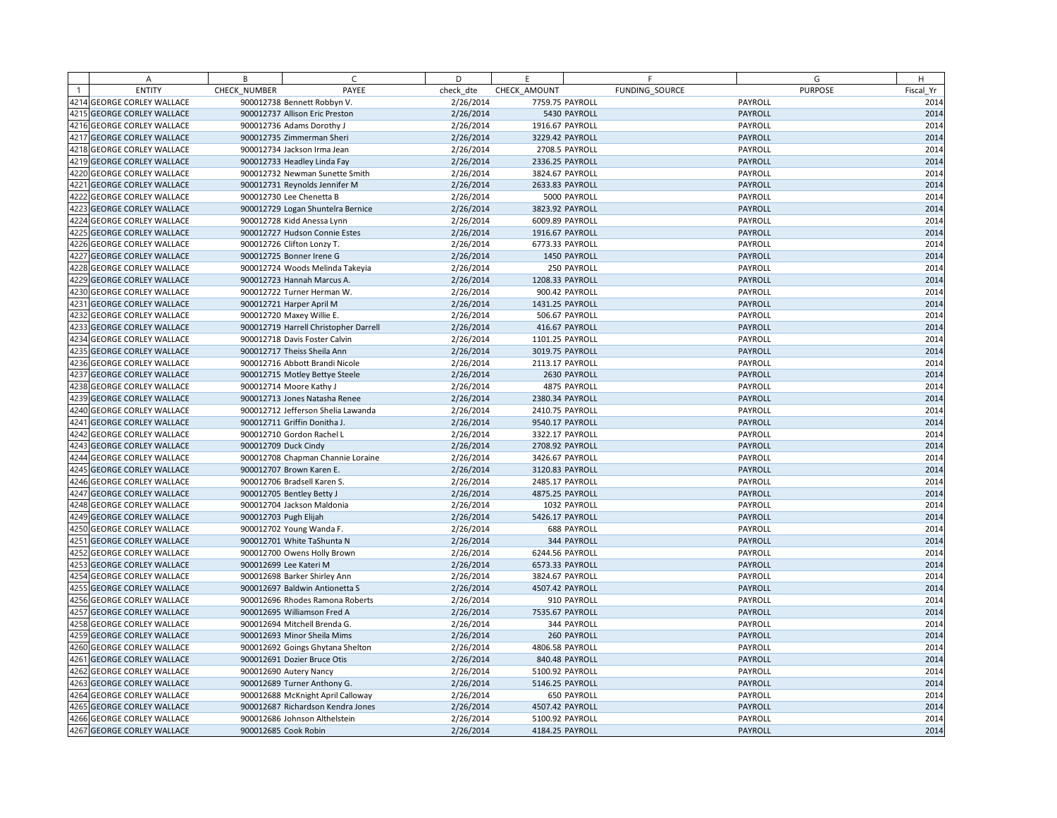|      | A                            | B            | $\mathsf{C}$                          | D         | F               |                    | F              | G              | H         |
|------|------------------------------|--------------|---------------------------------------|-----------|-----------------|--------------------|----------------|----------------|-----------|
|      | <b>ENTITY</b>                | CHECK NUMBER | PAYEE                                 | check dte | CHECK AMOUNT    |                    | FUNDING SOURCE | <b>PURPOSE</b> | Fiscal Yr |
|      | 4214 GEORGE CORLEY WALLACE   |              | 900012738 Bennett Robbyn V.           | 2/26/2014 | 7759.75 PAYROLL |                    |                | PAYROLL        | 2014      |
|      | 4215 GEORGE CORLEY WALLACE   |              | 900012737 Allison Eric Preston        | 2/26/2014 |                 | 5430 PAYROLL       |                | PAYROLL        | 2014      |
| 4216 | <b>GEORGE CORLEY WALLACE</b> |              | 900012736 Adams Dorothy J             | 2/26/2014 | 1916.67 PAYROLL |                    |                | PAYROLL        | 2014      |
| 4217 | <b>GEORGE CORLEY WALLACE</b> |              | 900012735 Zimmerman Sheri             | 2/26/2014 | 3229.42 PAYROLL |                    |                | PAYROLL        | 2014      |
|      | 4218 GEORGE CORLEY WALLACE   |              | 900012734 Jackson Irma Jean           | 2/26/2014 |                 | 2708.5 PAYROLL     |                | PAYROLL        | 2014      |
| 4219 | <b>GEORGE CORLEY WALLACE</b> |              | 900012733 Headley Linda Fay           | 2/26/2014 | 2336.25 PAYROLL |                    |                | <b>PAYROLL</b> | 2014      |
| 4220 | <b>GEORGE CORLEY WALLACE</b> |              | 900012732 Newman Sunette Smith        | 2/26/2014 | 3824.67 PAYROLL |                    |                | PAYROLL        | 2014      |
| 4221 | <b>GEORGE CORLEY WALLACE</b> |              | 900012731 Reynolds Jennifer M         | 2/26/2014 | 2633.83 PAYROLL |                    |                | PAYROLL        | 2014      |
| 4222 | <b>GEORGE CORLEY WALLACE</b> |              | 900012730 Lee Chenetta B              | 2/26/2014 |                 | 5000 PAYROLL       |                | PAYROLL        | 2014      |
| 4223 | <b>GEORGE CORLEY WALLACE</b> |              | 900012729 Logan Shuntelra Bernice     | 2/26/2014 | 3823.92 PAYROLL |                    |                | PAYROLL        | 2014      |
| 4224 | <b>GEORGE CORLEY WALLACE</b> |              | 900012728 Kidd Anessa Lynn            | 2/26/2014 | 6009.89 PAYROLL |                    |                | PAYROLL        | 2014      |
| 4225 | <b>GEORGE CORLEY WALLACE</b> |              | 900012727 Hudson Connie Estes         | 2/26/2014 | 1916.67 PAYROLL |                    |                | <b>PAYROLL</b> | 2014      |
| 4226 | <b>GEORGE CORLEY WALLACE</b> |              | 900012726 Clifton Lonzy T.            | 2/26/2014 | 6773.33 PAYROLL |                    |                | PAYROLL        | 2014      |
| 4227 | <b>GEORGE CORLEY WALLACE</b> |              | 900012725 Bonner Irene G              | 2/26/2014 |                 | 1450 PAYROLL       |                | PAYROLL        | 2014      |
| 4228 | <b>GEORGE CORLEY WALLACE</b> |              | 900012724 Woods Melinda Takeyia       | 2/26/2014 |                 | 250 PAYROLL        |                | PAYROLL        | 2014      |
| 4229 | <b>GEORGE CORLEY WALLACE</b> |              | 900012723 Hannah Marcus A.            | 2/26/2014 | 1208.33 PAYROLL |                    |                | PAYROLL        | 2014      |
| 4230 | <b>GEORGE CORLEY WALLACE</b> |              | 900012722 Turner Herman W.            | 2/26/2014 |                 | 900.42 PAYROLL     |                | PAYROLL        | 2014      |
| 4231 | <b>GEORGE CORLEY WALLACE</b> |              | 900012721 Harper April M              | 2/26/2014 | 1431.25 PAYROLL |                    |                | <b>PAYROLL</b> | 2014      |
| 4232 | <b>GEORGE CORLEY WALLACE</b> |              | 900012720 Maxey Willie E.             | 2/26/2014 |                 | 506.67 PAYROLL     |                | PAYROLL        | 2014      |
| 4233 | <b>GEORGE CORLEY WALLACE</b> |              | 900012719 Harrell Christopher Darrell | 2/26/2014 |                 | 416.67 PAYROLL     |                | PAYROLL        | 2014      |
| 4234 | <b>GEORGE CORLEY WALLACE</b> |              | 900012718 Davis Foster Calvin         | 2/26/2014 | 1101.25 PAYROLL |                    |                | PAYROLL        | 2014      |
| 4235 | <b>GEORGE CORLEY WALLACE</b> |              | 900012717 Theiss Sheila Ann           | 2/26/2014 | 3019.75 PAYROLL |                    |                | PAYROLL        | 2014      |
| 4236 | <b>GEORGE CORLEY WALLACE</b> |              | 900012716 Abbott Brandi Nicole        | 2/26/2014 | 2113.17 PAYROLL |                    |                | PAYROLL        | 2014      |
| 4237 | <b>GEORGE CORLEY WALLACE</b> |              | 900012715 Motley Bettye Steele        | 2/26/2014 |                 | 2630 PAYROLL       |                | PAYROLL        | 2014      |
|      | 4238 GEORGE CORLEY WALLACE   |              | 900012714 Moore Kathy J               | 2/26/2014 |                 | 4875 PAYROLL       |                | PAYROLL        | 2014      |
| 4239 | <b>GEORGE CORLEY WALLACE</b> |              | 900012713 Jones Natasha Renee         | 2/26/2014 | 2380.34 PAYROLL |                    |                | PAYROLL        | 2014      |
| 4240 | <b>GEORGE CORLEY WALLACE</b> |              | 900012712 Jefferson Shelia Lawanda    | 2/26/2014 | 2410.75 PAYROLL |                    |                | PAYROLL        | 2014      |
| 4241 | <b>GEORGE CORLEY WALLACE</b> |              | 900012711 Griffin Donitha J.          | 2/26/2014 | 9540.17 PAYROLL |                    |                | PAYROLL        | 2014      |
| 4242 | <b>GEORGE CORLEY WALLACE</b> |              | 900012710 Gordon Rachel L             | 2/26/2014 | 3322.17 PAYROLL |                    |                | PAYROLL        | 2014      |
| 4243 | <b>GEORGE CORLEY WALLACE</b> |              | 900012709 Duck Cindy                  | 2/26/2014 | 2708.92 PAYROLL |                    |                | PAYROLL        | 2014      |
| 4244 | <b>GEORGE CORLEY WALLACE</b> |              | 900012708 Chapman Channie Loraine     | 2/26/2014 | 3426.67 PAYROLL |                    |                | PAYROLL        | 2014      |
| 4245 | <b>GEORGE CORLEY WALLACE</b> |              | 900012707 Brown Karen E.              | 2/26/2014 | 3120.83 PAYROLL |                    |                | <b>PAYROLL</b> | 2014      |
| 4246 | <b>GEORGE CORLEY WALLACE</b> |              | 900012706 Bradsell Karen S.           | 2/26/2014 | 2485.17 PAYROLL |                    |                | PAYROLL        | 2014      |
| 4247 | <b>GEORGE CORLEY WALLACE</b> |              | 900012705 Bentley Betty J             | 2/26/2014 | 4875.25 PAYROLL |                    |                | PAYROLL        | 2014      |
| 4248 | <b>GEORGE CORLEY WALLACE</b> |              | 900012704 Jackson Maldonia            | 2/26/2014 |                 | 1032 PAYROLL       |                | PAYROLL        | 2014      |
|      | 4249 GEORGE CORLEY WALLACE   |              | 900012703 Pugh Elijah                 | 2/26/2014 | 5426.17 PAYROLL |                    |                | PAYROLL        | 2014      |
| 4250 | <b>GEORGE CORLEY WALLACE</b> |              | 900012702 Young Wanda F.              | 2/26/2014 |                 | <b>688 PAYROLL</b> |                | PAYROLL        | 2014      |
| 4251 | <b>GEORGE CORLEY WALLACE</b> |              | 900012701 White TaShunta N            | 2/26/2014 |                 | 344 PAYROLL        |                | <b>PAYROLL</b> | 2014      |
| 4252 | <b>GEORGE CORLEY WALLACE</b> |              | 900012700 Owens Holly Brown           | 2/26/2014 | 6244.56 PAYROLL |                    |                | PAYROLL        | 2014      |
| 4253 | <b>GEORGE CORLEY WALLACE</b> |              | 900012699 Lee Kateri M                | 2/26/2014 | 6573.33 PAYROLL |                    |                | PAYROLL        | 2014      |
| 4254 | <b>GEORGE CORLEY WALLACE</b> |              | 900012698 Barker Shirley Ann          | 2/26/2014 | 3824.67 PAYROLL |                    |                | PAYROLL        | 2014      |
| 4255 | <b>GEORGE CORLEY WALLACE</b> |              | 900012697 Baldwin Antionetta S        | 2/26/2014 | 4507.42 PAYROLL |                    |                | PAYROLL        | 2014      |
| 4256 | <b>GEORGE CORLEY WALLACE</b> |              | 900012696 Rhodes Ramona Roberts       | 2/26/2014 |                 | 910 PAYROLL        |                | PAYROLL        | 2014      |
| 4257 | <b>GEORGE CORLEY WALLACE</b> |              | 900012695 Williamson Fred A           | 2/26/2014 | 7535.67 PAYROLL |                    |                | PAYROLL        | 2014      |
| 4258 | <b>GEORGE CORLEY WALLACE</b> |              | 900012694 Mitchell Brenda G.          | 2/26/2014 |                 | 344 PAYROLL        |                | PAYROLL        | 2014      |
| 4259 | <b>GEORGE CORLEY WALLACE</b> |              | 900012693 Minor Sheila Mims           | 2/26/2014 |                 | 260 PAYROLL        |                | <b>PAYROLL</b> | 2014      |
| 4260 | <b>GEORGE CORLEY WALLACE</b> |              | 900012692 Goings Ghytana Shelton      | 2/26/2014 | 4806.58 PAYROLL |                    |                | PAYROLL        | 2014      |
| 4261 | <b>GEORGE CORLEY WALLACE</b> |              | 900012691 Dozier Bruce Otis           | 2/26/2014 |                 | 840.48 PAYROLL     |                | PAYROLL        | 2014      |
| 4262 | <b>GEORGE CORLEY WALLACE</b> |              | 900012690 Autery Nancy                | 2/26/2014 | 5100.92 PAYROLL |                    |                | PAYROLL        | 2014      |
| 4263 | <b>GEORGE CORLEY WALLACE</b> |              | 900012689 Turner Anthony G.           | 2/26/2014 | 5146.25 PAYROLL |                    |                | PAYROLL        | 2014      |
|      | 4264 GEORGE CORLEY WALLACE   |              | 900012688 McKnight April Calloway     | 2/26/2014 |                 | 650 PAYROLL        |                | PAYROLL        | 2014      |
| 4265 | <b>GEORGE CORLEY WALLACE</b> |              | 900012687 Richardson Kendra Jones     | 2/26/2014 | 4507.42 PAYROLL |                    |                | PAYROLL        | 2014      |
|      | 4266 GEORGE CORLEY WALLACE   |              | 900012686 Johnson Althelstein         | 2/26/2014 | 5100.92 PAYROLL |                    |                | PAYROLL        | 2014      |
|      | 4267 GEORGE CORLEY WALLACE   |              | 900012685 Cook Robin                  | 2/26/2014 | 4184.25 PAYROLL |                    |                | PAYROLL        | 2014      |
|      |                              |              |                                       |           |                 |                    |                |                |           |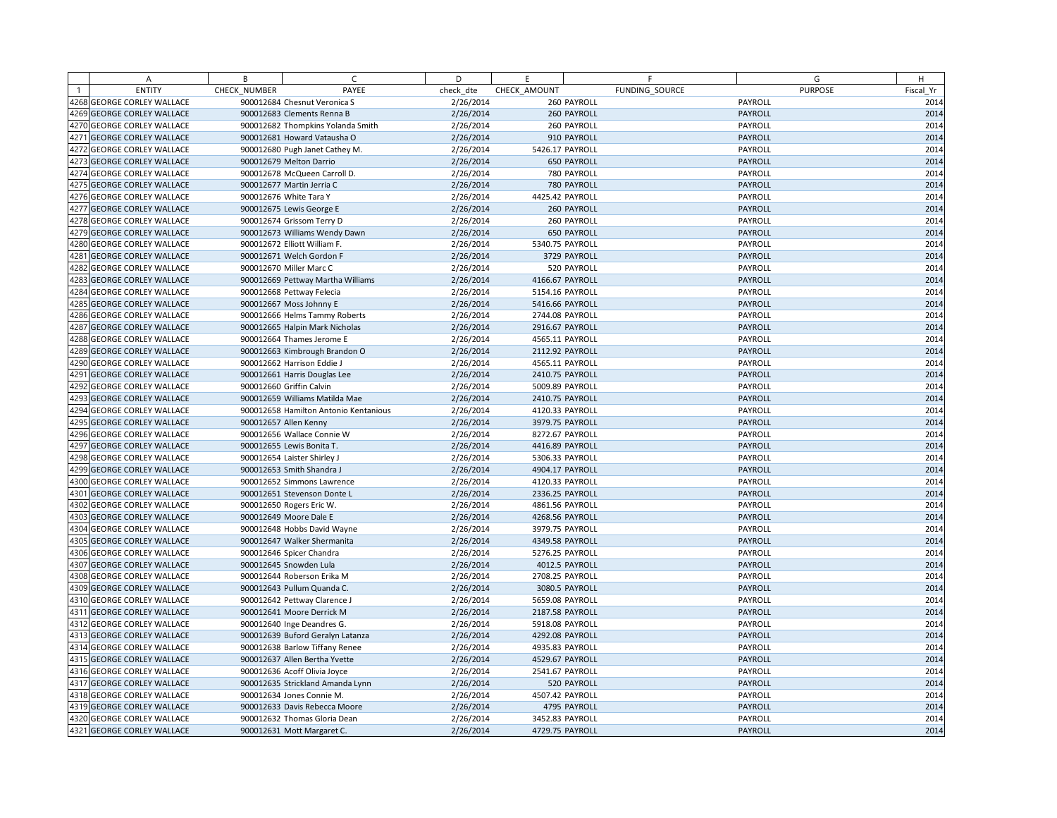| A                          | B            | $\subset$                             | D         | E               | F              | G              | H         |
|----------------------------|--------------|---------------------------------------|-----------|-----------------|----------------|----------------|-----------|
| <b>ENTITY</b>              | CHECK NUMBER | PAYEE                                 | check dte | CHECK AMOUNT    | FUNDING SOURCE | <b>PURPOSE</b> | Fiscal Yr |
| 4268 GEORGE CORLEY WALLACE |              | 900012684 Chesnut Veronica S          | 2/26/2014 |                 | 260 PAYROLL    | PAYROLL        | 2014      |
| 4269 GEORGE CORLEY WALLACE |              | 900012683 Clements Renna B            | 2/26/2014 |                 | 260 PAYROLL    | PAYROLL        | 2014      |
| 4270 GEORGE CORLEY WALLACE |              | 900012682 Thompkins Yolanda Smith     | 2/26/2014 |                 | 260 PAYROLL    | PAYROLL        | 2014      |
| 4271 GEORGE CORLEY WALLACE |              | 900012681 Howard Vatausha O           | 2/26/2014 |                 | 910 PAYROLL    | PAYROLL        | 2014      |
| 4272 GEORGE CORLEY WALLACE |              | 900012680 Pugh Janet Cathey M.        | 2/26/2014 | 5426.17 PAYROLL |                | PAYROLL        | 2014      |
| 4273 GEORGE CORLEY WALLACE |              | 900012679 Melton Darrio               | 2/26/2014 |                 | 650 PAYROLL    | PAYROLL        | 2014      |
| 4274 GEORGE CORLEY WALLACE |              | 900012678 McQueen Carroll D.          | 2/26/2014 |                 | 780 PAYROLL    | PAYROLL        | 2014      |
| 4275 GEORGE CORLEY WALLACE |              | 900012677 Martin Jerria C             | 2/26/2014 |                 | 780 PAYROLL    | PAYROLL        | 2014      |
| 4276 GEORGE CORLEY WALLACE |              | 900012676 White Tara Y                | 2/26/2014 | 4425.42 PAYROLL |                | PAYROLL        | 2014      |
| 4277 GEORGE CORLEY WALLACE |              | 900012675 Lewis George E              | 2/26/2014 |                 | 260 PAYROLL    | PAYROLL        | 2014      |
| 4278 GEORGE CORLEY WALLACE |              | 900012674 Grissom Terry D             | 2/26/2014 |                 | 260 PAYROLL    | PAYROLL        | 2014      |
| 4279 GEORGE CORLEY WALLACE |              | 900012673 Williams Wendy Dawn         | 2/26/2014 |                 | 650 PAYROLL    | PAYROLL        | 2014      |
| 4280 GEORGE CORLEY WALLACE |              | 900012672 Elliott William F.          | 2/26/2014 | 5340.75 PAYROLL |                | PAYROLL        | 2014      |
| 4281 GEORGE CORLEY WALLACE |              | 900012671 Welch Gordon F              | 2/26/2014 |                 | 3729 PAYROLL   | PAYROLL        | 2014      |
| 4282 GEORGE CORLEY WALLACE |              | 900012670 Miller Marc C               | 2/26/2014 |                 | 520 PAYROLL    | PAYROLL        | 2014      |
| 4283 GEORGE CORLEY WALLACE |              | 900012669 Pettway Martha Williams     | 2/26/2014 | 4166.67 PAYROLL |                | PAYROLL        | 2014      |
| 4284 GEORGE CORLEY WALLACE |              | 900012668 Pettway Felecia             | 2/26/2014 | 5154.16 PAYROLL |                | PAYROLL        | 2014      |
| 4285 GEORGE CORLEY WALLACE |              | 900012667 Moss Johnny E               | 2/26/2014 | 5416.66 PAYROLL |                | PAYROLL        | 2014      |
| 4286 GEORGE CORLEY WALLACE |              | 900012666 Helms Tammy Roberts         | 2/26/2014 | 2744.08 PAYROLL |                | PAYROLL        | 2014      |
| 4287 GEORGE CORLEY WALLACE |              | 900012665 Halpin Mark Nicholas        | 2/26/2014 | 2916.67 PAYROLL |                | PAYROLL        | 2014      |
| 4288 GEORGE CORLEY WALLACE |              | 900012664 Thames Jerome E             | 2/26/2014 | 4565.11 PAYROLL |                | PAYROLL        | 2014      |
| 4289 GEORGE CORLEY WALLACE |              | 900012663 Kimbrough Brandon O         | 2/26/2014 | 2112.92 PAYROLL |                | PAYROLL        | 2014      |
| 4290 GEORGE CORLEY WALLACE |              | 900012662 Harrison Eddie J            | 2/26/2014 | 4565.11 PAYROLL |                | PAYROLL        | 2014      |
| 4291 GEORGE CORLEY WALLACE |              | 900012661 Harris Douglas Lee          | 2/26/2014 | 2410.75 PAYROLL |                | PAYROLL        | 2014      |
| 4292 GEORGE CORLEY WALLACE |              | 900012660 Griffin Calvin              | 2/26/2014 | 5009.89 PAYROLL |                | PAYROLL        | 2014      |
| 4293 GEORGE CORLEY WALLACE |              | 900012659 Williams Matilda Mae        | 2/26/2014 | 2410.75 PAYROLL |                | PAYROLL        | 2014      |
| 4294 GEORGE CORLEY WALLACE |              | 900012658 Hamilton Antonio Kentanious | 2/26/2014 | 4120.33 PAYROLL |                | PAYROLL        | 2014      |
| 4295 GEORGE CORLEY WALLACE |              | 900012657 Allen Kenny                 | 2/26/2014 | 3979.75 PAYROLL |                | PAYROLL        | 2014      |
| 4296 GEORGE CORLEY WALLACE |              | 900012656 Wallace Connie W            | 2/26/2014 | 8272.67 PAYROLL |                | PAYROLL        | 2014      |
| 4297 GEORGE CORLEY WALLACE |              | 900012655 Lewis Bonita T.             | 2/26/2014 | 4416.89 PAYROLL |                | PAYROLL        | 2014      |
| 4298 GEORGE CORLEY WALLACE |              | 900012654 Laister Shirley J           | 2/26/2014 | 5306.33 PAYROLL |                | PAYROLL        | 2014      |
| 4299 GEORGE CORLEY WALLACE |              | 900012653 Smith Shandra J             | 2/26/2014 | 4904.17 PAYROLL |                | PAYROLL        | 2014      |
| 4300 GEORGE CORLEY WALLACE |              | 900012652 Simmons Lawrence            | 2/26/2014 | 4120.33 PAYROLL |                | PAYROLL        | 2014      |
| 4301 GEORGE CORLEY WALLACE |              | 900012651 Stevenson Donte L           | 2/26/2014 | 2336.25 PAYROLL |                | PAYROLL        | 2014      |
| 4302 GEORGE CORLEY WALLACE |              | 900012650 Rogers Eric W.              | 2/26/2014 | 4861.56 PAYROLL |                | PAYROLL        | 2014      |
| 4303 GEORGE CORLEY WALLACE |              | 900012649 Moore Dale E                | 2/26/2014 | 4268.56 PAYROLL |                | PAYROLL        | 2014      |
| 4304 GEORGE CORLEY WALLACE |              | 900012648 Hobbs David Wayne           | 2/26/2014 | 3979.75 PAYROLL |                | PAYROLL        | 2014      |
| 4305 GEORGE CORLEY WALLACE |              | 900012647 Walker Shermanita           | 2/26/2014 | 4349.58 PAYROLL |                | PAYROLL        | 2014      |
| 4306 GEORGE CORLEY WALLACE |              | 900012646 Spicer Chandra              | 2/26/2014 | 5276.25 PAYROLL |                | PAYROLL        | 2014      |
| 4307 GEORGE CORLEY WALLACE |              | 900012645 Snowden Lula                | 2/26/2014 |                 | 4012.5 PAYROLL | PAYROLL        | 2014      |
| 4308 GEORGE CORLEY WALLACE |              | 900012644 Roberson Erika M            | 2/26/2014 | 2708.25 PAYROLL |                | PAYROLL        | 2014      |
| 4309 GEORGE CORLEY WALLACE |              | 900012643 Pullum Quanda C.            | 2/26/2014 | 3080.5 PAYROLL  |                | PAYROLL        | 2014      |
| 4310 GEORGE CORLEY WALLACE |              | 900012642 Pettway Clarence J          | 2/26/2014 | 5659.08 PAYROLL |                | PAYROLL        | 2014      |
| 4311 GEORGE CORLEY WALLACE |              | 900012641 Moore Derrick M             | 2/26/2014 | 2187.58 PAYROLL |                | PAYROLL        | 2014      |
| 4312 GEORGE CORLEY WALLACE |              | 900012640 Inge Deandres G.            | 2/26/2014 | 5918.08 PAYROLL |                | PAYROLL        | 2014      |
| 4313 GEORGE CORLEY WALLACE |              | 900012639 Buford Geralyn Latanza      | 2/26/2014 | 4292.08 PAYROLL |                | <b>PAYROLL</b> | 2014      |
| 4314 GEORGE CORLEY WALLACE |              | 900012638 Barlow Tiffany Renee        | 2/26/2014 | 4935.83 PAYROLL |                | PAYROLL        | 2014      |
| 4315 GEORGE CORLEY WALLACE |              | 900012637 Allen Bertha Yvette         | 2/26/2014 | 4529.67 PAYROLL |                | PAYROLL        | 2014      |
| 4316 GEORGE CORLEY WALLACE |              | 900012636 Acoff Olivia Joyce          | 2/26/2014 | 2541.67 PAYROLL |                | PAYROLL        | 2014      |
| 4317 GEORGE CORLEY WALLACE |              | 900012635 Strickland Amanda Lynn      | 2/26/2014 |                 | 520 PAYROLL    | PAYROLL        | 2014      |
| 4318 GEORGE CORLEY WALLACE |              | 900012634 Jones Connie M.             | 2/26/2014 | 4507.42 PAYROLL |                | PAYROLL        | 2014      |
| 4319 GEORGE CORLEY WALLACE |              | 900012633 Davis Rebecca Moore         | 2/26/2014 |                 | 4795 PAYROLL   | PAYROLL        | 2014      |
| 4320 GEORGE CORLEY WALLACE |              | 900012632 Thomas Gloria Dean          | 2/26/2014 | 3452.83 PAYROLL |                | PAYROLL        | 2014      |
| 4321 GEORGE CORLEY WALLACE |              | 900012631 Mott Margaret C.            | 2/26/2014 | 4729.75 PAYROLL |                | PAYROLL        | 2014      |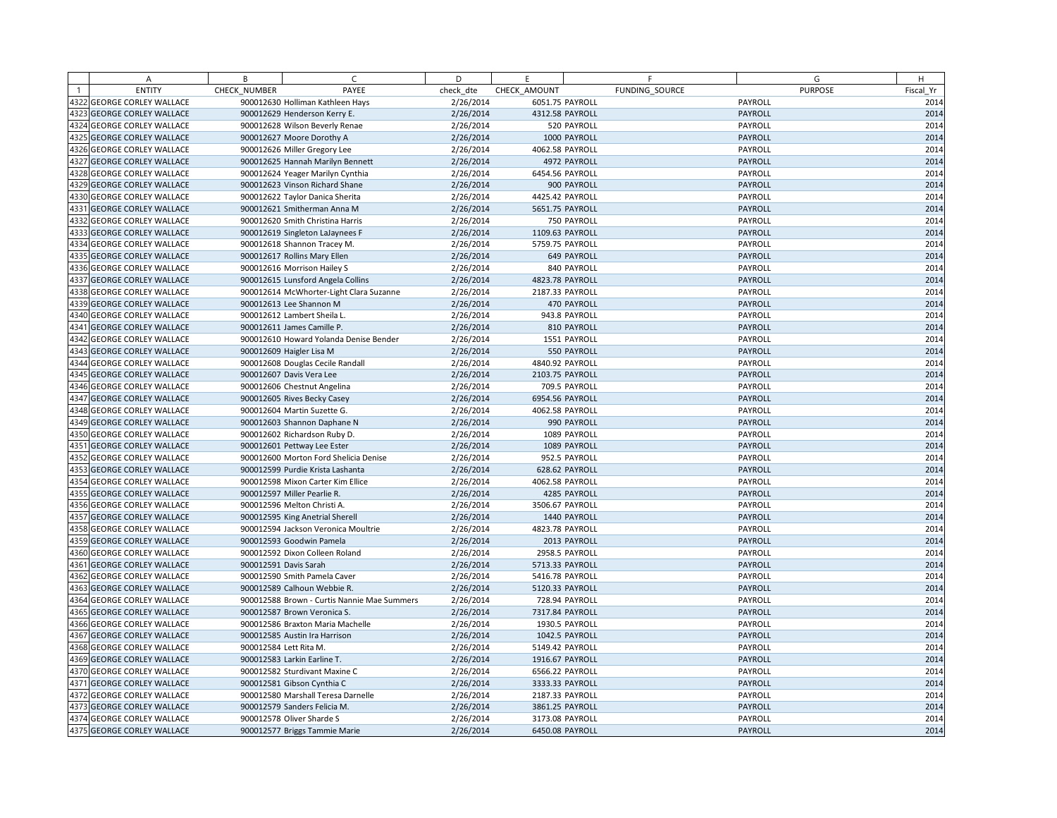|      | A                                 | B            | $\subset$                                   | D         | E               | F              | G              | H         |
|------|-----------------------------------|--------------|---------------------------------------------|-----------|-----------------|----------------|----------------|-----------|
|      | <b>ENTITY</b>                     | CHECK NUMBER | PAYEE                                       | check dte | CHECK AMOUNT    | FUNDING SOURCE | <b>PURPOSE</b> | Fiscal Yr |
|      | 4322 GEORGE CORLEY WALLACE        |              | 900012630 Holliman Kathleen Hays            | 2/26/2014 | 6051.75 PAYROLL |                | PAYROLL        | 2014      |
|      | 4323 GEORGE CORLEY WALLACE        |              | 900012629 Henderson Kerry E.                | 2/26/2014 | 4312.58 PAYROLL |                | PAYROLL        | 2014      |
|      | 4324 GEORGE CORLEY WALLACE        |              | 900012628 Wilson Beverly Renae              | 2/26/2014 |                 | 520 PAYROLL    | PAYROLL        | 2014      |
|      | 4325 GEORGE CORLEY WALLACE        |              | 900012627 Moore Dorothy A                   | 2/26/2014 |                 | 1000 PAYROLL   | PAYROLL        | 2014      |
|      | 4326 GEORGE CORLEY WALLACE        |              | 900012626 Miller Gregory Lee                | 2/26/2014 | 4062.58 PAYROLL |                | PAYROLL        | 2014      |
|      | 4327 GEORGE CORLEY WALLACE        |              | 900012625 Hannah Marilyn Bennett            | 2/26/2014 |                 | 4972 PAYROLL   | PAYROLL        | 2014      |
|      | 4328 GEORGE CORLEY WALLACE        |              | 900012624 Yeager Marilyn Cynthia            | 2/26/2014 | 6454.56 PAYROLL |                | PAYROLL        | 2014      |
|      | 4329 GEORGE CORLEY WALLACE        |              | 900012623 Vinson Richard Shane              | 2/26/2014 |                 | 900 PAYROLL    | PAYROLL        | 2014      |
|      | 4330 GEORGE CORLEY WALLACE        |              | 900012622 Taylor Danica Sherita             | 2/26/2014 | 4425.42 PAYROLL |                | PAYROLL        | 2014      |
|      | 4331 GEORGE CORLEY WALLACE        |              | 900012621 Smitherman Anna M                 | 2/26/2014 | 5651.75 PAYROLL |                | PAYROLL        | 2014      |
|      | 4332 GEORGE CORLEY WALLACE        |              | 900012620 Smith Christina Harris            | 2/26/2014 |                 | 750 PAYROLL    | PAYROLL        | 2014      |
|      | 4333 GEORGE CORLEY WALLACE        |              | 900012619 Singleton LaJaynees F             | 2/26/2014 | 1109.63 PAYROLL |                | PAYROLL        | 2014      |
|      | 4334 GEORGE CORLEY WALLACE        |              | 900012618 Shannon Tracey M.                 | 2/26/2014 | 5759.75 PAYROLL |                | PAYROLL        | 2014      |
|      | 4335 GEORGE CORLEY WALLACE        |              | 900012617 Rollins Mary Ellen                | 2/26/2014 |                 | 649 PAYROLL    | PAYROLL        | 2014      |
|      | 4336 GEORGE CORLEY WALLACE        |              | 900012616 Morrison Hailey S                 | 2/26/2014 |                 | 840 PAYROLL    | PAYROLL        | 2014      |
|      | 4337 GEORGE CORLEY WALLACE        |              | 900012615 Lunsford Angela Collins           | 2/26/2014 | 4823.78 PAYROLL |                | PAYROLL        | 2014      |
|      | 4338 GEORGE CORLEY WALLACE        |              | 900012614 McWhorter-Light Clara Suzanne     | 2/26/2014 | 2187.33 PAYROLL |                | PAYROLL        | 2014      |
| 4339 | <b>GEORGE CORLEY WALLACE</b>      |              | 900012613 Lee Shannon M                     | 2/26/2014 |                 | 470 PAYROLL    | PAYROLL        | 2014      |
|      | 4340 GEORGE CORLEY WALLACE        |              | 900012612 Lambert Sheila L.                 | 2/26/2014 |                 | 943.8 PAYROLL  | PAYROLL        | 2014      |
|      | 4341 GEORGE CORLEY WALLACE        |              | 900012611 James Camille P.                  | 2/26/2014 |                 | 810 PAYROLL    | PAYROLL        | 2014      |
|      | 4342 GEORGE CORLEY WALLACE        |              | 900012610 Howard Yolanda Denise Bender      | 2/26/2014 |                 | 1551 PAYROLL   | PAYROLL        | 2014      |
|      | 4343 GEORGE CORLEY WALLACE        |              | 900012609 Haigler Lisa M                    | 2/26/2014 |                 | 550 PAYROLL    | PAYROLL        | 2014      |
|      | 4344 GEORGE CORLEY WALLACE        |              | 900012608 Douglas Cecile Randall            | 2/26/2014 | 4840.92 PAYROLL |                | PAYROLL        | 2014      |
|      | 4345 GEORGE CORLEY WALLACE        |              | 900012607 Davis Vera Lee                    | 2/26/2014 | 2103.75 PAYROLL |                | PAYROLL        | 2014      |
|      | 4346 GEORGE CORLEY WALLACE        |              | 900012606 Chestnut Angelina                 | 2/26/2014 |                 | 709.5 PAYROLL  | PAYROLL        | 2014      |
|      | 4347 GEORGE CORLEY WALLACE        |              | 900012605 Rives Becky Casey                 | 2/26/2014 | 6954.56 PAYROLL |                | PAYROLL        | 2014      |
|      | 4348 GEORGE CORLEY WALLACE        |              | 900012604 Martin Suzette G.                 | 2/26/2014 | 4062.58 PAYROLL |                | PAYROLL        | 2014      |
|      | 4349 GEORGE CORLEY WALLACE        |              | 900012603 Shannon Daphane N                 | 2/26/2014 |                 | 990 PAYROLL    | PAYROLL        | 2014      |
|      | 4350 GEORGE CORLEY WALLACE        |              | 900012602 Richardson Ruby D.                | 2/26/2014 |                 | 1089 PAYROLL   | PAYROLL        | 2014      |
|      | 4351 GEORGE CORLEY WALLACE        |              | 900012601 Pettway Lee Ester                 | 2/26/2014 |                 | 1089 PAYROLL   | PAYROLL        | 2014      |
|      | 4352 GEORGE CORLEY WALLACE        |              | 900012600 Morton Ford Shelicia Denise       | 2/26/2014 |                 | 952.5 PAYROLL  | PAYROLL        | 2014      |
|      | 4353 GEORGE CORLEY WALLACE        |              | 900012599 Purdie Krista Lashanta            | 2/26/2014 |                 | 628.62 PAYROLL | PAYROLL        | 2014      |
|      | 4354 GEORGE CORLEY WALLACE        |              | 900012598 Mixon Carter Kim Ellice           | 2/26/2014 | 4062.58 PAYROLL |                | PAYROLL        | 2014      |
|      | 4355 GEORGE CORLEY WALLACE        |              | 900012597 Miller Pearlie R.                 | 2/26/2014 |                 | 4285 PAYROLL   | PAYROLL        | 2014      |
|      | 4356 GEORGE CORLEY WALLACE        |              | 900012596 Melton Christi A.                 | 2/26/2014 | 3506.67 PAYROLL |                | PAYROLL        | 2014      |
|      | 4357 GEORGE CORLEY WALLACE        |              | 900012595 King Anetrial Sherell             | 2/26/2014 |                 | 1440 PAYROLL   | PAYROLL        | 2014      |
|      | 4358 GEORGE CORLEY WALLACE        |              | 900012594 Jackson Veronica Moultrie         | 2/26/2014 | 4823.78 PAYROLL |                | PAYROLL        | 2014      |
|      | 4359 GEORGE CORLEY WALLACE        |              | 900012593 Goodwin Pamela                    | 2/26/2014 |                 | 2013 PAYROLL   | PAYROLL        | 2014      |
|      | 4360 GEORGE CORLEY WALLACE        |              | 900012592 Dixon Colleen Roland              | 2/26/2014 | 2958.5 PAYROLL  |                | PAYROLL        | 2014      |
|      | 4361 GEORGE CORLEY WALLACE        |              | 900012591 Davis Sarah                       | 2/26/2014 | 5713.33 PAYROLL |                | PAYROLL        | 2014      |
|      | 4362 GEORGE CORLEY WALLACE        |              | 900012590 Smith Pamela Caver                | 2/26/2014 | 5416.78 PAYROLL |                | PAYROLL        | 2014      |
|      | 4363 GEORGE CORLEY WALLACE        |              | 900012589 Calhoun Webbie R.                 | 2/26/2014 | 5120.33 PAYROLL |                | PAYROLL        | 2014      |
|      | 4364 GEORGE CORLEY WALLACE        |              | 900012588 Brown - Curtis Nannie Mae Summers | 2/26/2014 | 728.94 PAYROLL  |                | PAYROLL        | 2014      |
|      | 4365 GEORGE CORLEY WALLACE        |              | 900012587 Brown Veronica S.                 | 2/26/2014 | 7317.84 PAYROLL |                | PAYROLL        | 2014      |
|      | 4366 GEORGE CORLEY WALLACE        |              | 900012586 Braxton Maria Machelle            | 2/26/2014 | 1930.5 PAYROLL  |                | PAYROLL        | 2014      |
|      | <b>4367 GEORGE CORLEY WALLACE</b> |              | 900012585 Austin Ira Harrison               | 2/26/2014 | 1042.5 PAYROLL  |                | <b>PAYROLL</b> | 2014      |
|      | 4368 GEORGE CORLEY WALLACE        |              | 900012584 Lett Rita M.                      | 2/26/2014 | 5149.42 PAYROLL |                | PAYROLL        | 2014      |
|      | 4369 GEORGE CORLEY WALLACE        |              | 900012583 Larkin Earline T.                 | 2/26/2014 | 1916.67 PAYROLL |                | PAYROLL        | 2014      |
|      | 4370 GEORGE CORLEY WALLACE        |              | 900012582 Sturdivant Maxine C               | 2/26/2014 | 6566.22 PAYROLL |                | PAYROLL        | 2014      |
|      | 4371 GEORGE CORLEY WALLACE        |              | 900012581 Gibson Cynthia C                  | 2/26/2014 | 3333.33 PAYROLL |                | PAYROLL        | 2014      |
|      | 4372 GEORGE CORLEY WALLACE        |              | 900012580 Marshall Teresa Darnelle          | 2/26/2014 | 2187.33 PAYROLL |                | PAYROLL        | 2014      |
|      | 4373 GEORGE CORLEY WALLACE        |              | 900012579 Sanders Felicia M.                | 2/26/2014 | 3861.25 PAYROLL |                | PAYROLL        | 2014      |
|      | 4374 GEORGE CORLEY WALLACE        |              | 900012578 Oliver Sharde S                   | 2/26/2014 | 3173.08 PAYROLL |                | PAYROLL        | 2014      |
|      | 4375 GEORGE CORLEY WALLACE        |              | 900012577 Briggs Tammie Marie               | 2/26/2014 | 6450.08 PAYROLL |                | PAYROLL        | 2014      |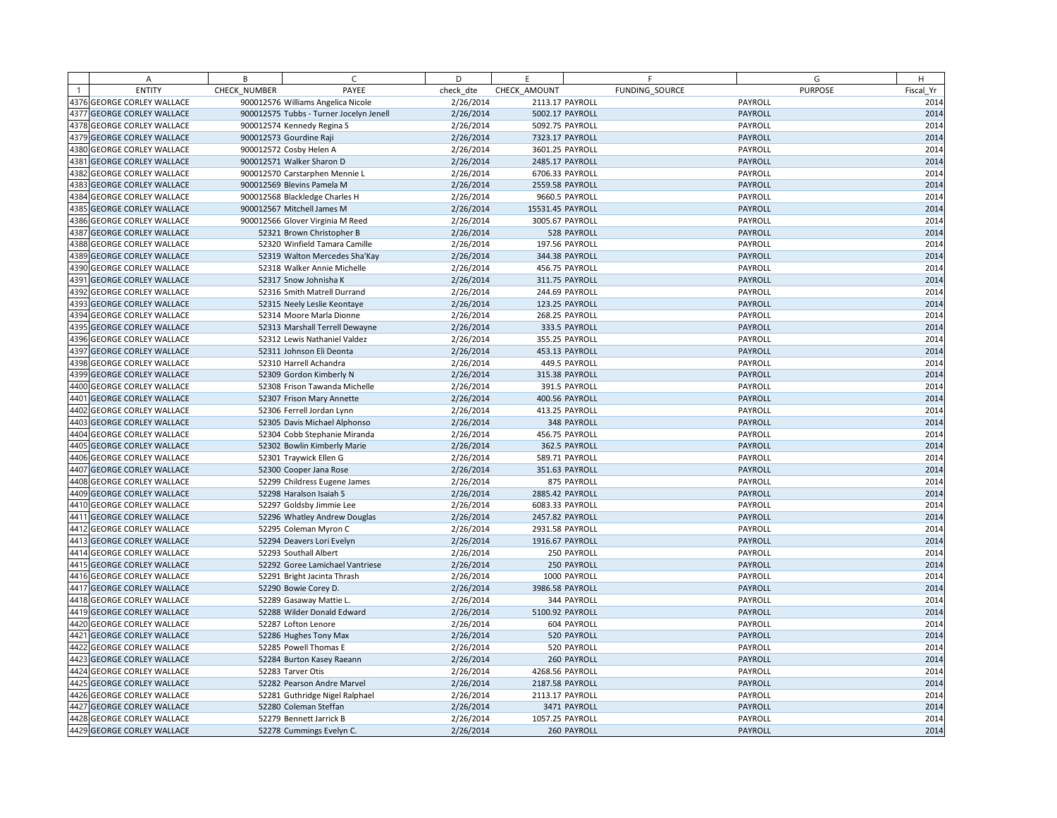|      | A                                                        | B            | C                                                | D         | E                |                | F              | G                  | H            |
|------|----------------------------------------------------------|--------------|--------------------------------------------------|-----------|------------------|----------------|----------------|--------------------|--------------|
|      | <b>ENTITY</b>                                            | CHECK NUMBER | PAYEE                                            | check dte | CHECK AMOUNT     |                | FUNDING SOURCE | <b>PURPOSE</b>     | Fiscal Yr    |
|      | 4376 GEORGE CORLEY WALLACE                               |              | 900012576 Williams Angelica Nicole               | 2/26/2014 | 2113.17 PAYROLL  |                |                | PAYROLL            | 2014         |
|      | 4377 GEORGE CORLEY WALLACE                               |              | 900012575 Tubbs - Turner Jocelyn Jenell          | 2/26/2014 | 5002.17 PAYROLL  |                |                | PAYROLL            | 2014         |
|      | 4378 GEORGE CORLEY WALLACE                               |              | 900012574 Kennedy Regina S                       | 2/26/2014 | 5092.75 PAYROLL  |                |                | PAYROLL            | 2014         |
|      | 4379 GEORGE CORLEY WALLACE                               |              | 900012573 Gourdine Raji                          | 2/26/2014 | 7323.17 PAYROLL  |                |                | PAYROLL            | 2014         |
|      | 4380 GEORGE CORLEY WALLACE                               |              | 900012572 Cosby Helen A                          | 2/26/2014 | 3601.25 PAYROLL  |                |                | PAYROLL            | 2014         |
|      | 4381 GEORGE CORLEY WALLACE                               |              | 900012571 Walker Sharon D                        | 2/26/2014 | 2485.17 PAYROLL  |                |                | <b>PAYROLL</b>     | 2014         |
|      | 4382 GEORGE CORLEY WALLACE                               |              | 900012570 Carstarphen Mennie L                   | 2/26/2014 | 6706.33 PAYROLL  |                |                | PAYROLL            | 2014         |
|      | 4383 GEORGE CORLEY WALLACE                               |              | 900012569 Blevins Pamela M                       | 2/26/2014 | 2559.58 PAYROLL  |                |                | PAYROLL            | 2014         |
|      | 4384 GEORGE CORLEY WALLACE                               |              | 900012568 Blackledge Charles H                   | 2/26/2014 |                  | 9660.5 PAYROLL |                | PAYROLL            | 2014         |
|      | 4385 GEORGE CORLEY WALLACE                               |              | 900012567 Mitchell James M                       | 2/26/2014 | 15531.45 PAYROLL |                |                | PAYROLL            | 2014         |
|      | 4386 GEORGE CORLEY WALLACE                               |              | 900012566 Glover Virginia M Reed                 | 2/26/2014 | 3005.67 PAYROLL  |                |                | PAYROLL            | 2014         |
|      | 4387 GEORGE CORLEY WALLACE                               |              | 52321 Brown Christopher B                        | 2/26/2014 |                  | 528 PAYROLL    |                | PAYROLL            | 2014         |
|      | 4388 GEORGE CORLEY WALLACE                               |              | 52320 Winfield Tamara Camille                    | 2/26/2014 |                  | 197.56 PAYROLL |                | PAYROLL            | 2014         |
|      | 4389 GEORGE CORLEY WALLACE                               |              | 52319 Walton Mercedes Sha'Kay                    | 2/26/2014 |                  | 344.38 PAYROLL |                | PAYROLL            | 2014         |
|      | 4390 GEORGE CORLEY WALLACE                               |              | 52318 Walker Annie Michelle                      | 2/26/2014 |                  | 456.75 PAYROLL |                | PAYROLL            | 2014         |
|      | 4391 GEORGE CORLEY WALLACE                               |              | 52317 Snow Johnisha K                            | 2/26/2014 |                  | 311.75 PAYROLL |                | PAYROLL            | 2014         |
|      | 4392 GEORGE CORLEY WALLACE                               |              | 52316 Smith Matrell Durrand                      | 2/26/2014 |                  | 244.69 PAYROLL |                | PAYROLL            | 2014         |
|      | 4393 GEORGE CORLEY WALLACE                               |              | 52315 Neely Leslie Keontaye                      | 2/26/2014 |                  | 123.25 PAYROLL |                | PAYROLL            | 2014         |
|      | 4394 GEORGE CORLEY WALLACE                               |              | 52314 Moore Marla Dionne                         | 2/26/2014 |                  | 268.25 PAYROLL |                | PAYROLL            | 2014         |
|      | 4395 GEORGE CORLEY WALLACE                               |              | 52313 Marshall Terrell Dewayne                   | 2/26/2014 |                  | 333.5 PAYROLL  |                | PAYROLL            | 2014         |
|      | 4396 GEORGE CORLEY WALLACE                               |              | 52312 Lewis Nathaniel Valdez                     | 2/26/2014 |                  | 355.25 PAYROLL |                | PAYROLL            | 2014         |
|      | 4397 GEORGE CORLEY WALLACE                               |              | 52311 Johnson Eli Deonta                         | 2/26/2014 |                  | 453.13 PAYROLL |                | PAYROLL            | 2014         |
|      | 4398 GEORGE CORLEY WALLACE                               |              | 52310 Harrell Achandra                           | 2/26/2014 |                  | 449.5 PAYROLL  |                | PAYROLL            | 2014         |
| 4399 | <b>GEORGE CORLEY WALLACE</b>                             |              | 52309 Gordon Kimberly N                          | 2/26/2014 |                  | 315.38 PAYROLL |                | PAYROLL            | 2014         |
|      | 4400 GEORGE CORLEY WALLACE                               |              | 52308 Frison Tawanda Michelle                    | 2/26/2014 |                  | 391.5 PAYROLL  |                | PAYROLL            | 2014         |
|      | 4401 GEORGE CORLEY WALLACE                               |              | 52307 Frison Mary Annette                        | 2/26/2014 |                  | 400.56 PAYROLL |                | PAYROLL            | 2014         |
|      | 4402 GEORGE CORLEY WALLACE                               |              | 52306 Ferrell Jordan Lynn                        | 2/26/2014 |                  | 413.25 PAYROLL |                | PAYROLL            | 2014         |
|      | 4403 GEORGE CORLEY WALLACE                               |              | 52305 Davis Michael Alphonso                     | 2/26/2014 |                  | 348 PAYROLL    |                | PAYROLL            | 2014         |
|      | 4404 GEORGE CORLEY WALLACE                               |              | 52304 Cobb Stephanie Miranda                     | 2/26/2014 |                  | 456.75 PAYROLL |                | PAYROLL            | 2014         |
|      | 4405 GEORGE CORLEY WALLACE                               |              | 52302 Bowlin Kimberly Marie                      | 2/26/2014 |                  | 362.5 PAYROLL  |                | PAYROLL            | 2014         |
|      | 4406 GEORGE CORLEY WALLACE                               |              | 52301 Traywick Ellen G                           | 2/26/2014 |                  | 589.71 PAYROLL |                | PAYROLL            | 2014         |
|      | 4407 GEORGE CORLEY WALLACE                               |              | 52300 Cooper Jana Rose                           | 2/26/2014 |                  | 351.63 PAYROLL |                | PAYROLL            | 2014         |
|      | 4408 GEORGE CORLEY WALLACE                               |              | 52299 Childress Eugene James                     | 2/26/2014 |                  | 875 PAYROLL    |                | PAYROLL            | 2014         |
|      | 4409 GEORGE CORLEY WALLACE                               |              | 52298 Haralson Isaiah S                          | 2/26/2014 | 2885.42 PAYROLL  |                |                | PAYROLL            | 2014         |
|      | 4410 GEORGE CORLEY WALLACE                               |              | 52297 Goldsby Jimmie Lee                         | 2/26/2014 | 6083.33 PAYROLL  |                |                | PAYROLL            | 2014         |
|      | 4411 GEORGE CORLEY WALLACE                               |              | 52296 Whatley Andrew Douglas                     | 2/26/2014 | 2457.82 PAYROLL  |                |                | PAYROLL            | 2014         |
|      | 4412 GEORGE CORLEY WALLACE                               |              | 52295 Coleman Myron C                            | 2/26/2014 | 2931.58 PAYROLL  |                |                | PAYROLL            | 2014         |
|      | 4413 GEORGE CORLEY WALLACE                               |              | 52294 Deavers Lori Evelyn                        | 2/26/2014 | 1916.67 PAYROLL  |                |                | PAYROLL            | 2014         |
|      | 4414 GEORGE CORLEY WALLACE                               |              | 52293 Southall Albert                            | 2/26/2014 |                  | 250 PAYROLL    |                | PAYROLL            | 2014         |
|      | 4415 GEORGE CORLEY WALLACE                               |              | 52292 Goree Lamichael Vantriese                  | 2/26/2014 |                  | 250 PAYROLL    |                | PAYROLL            | 2014         |
|      | 4416 GEORGE CORLEY WALLACE                               |              | 52291 Bright Jacinta Thrash                      | 2/26/2014 |                  | 1000 PAYROLL   |                | PAYROLL            | 2014         |
|      | 4417 GEORGE CORLEY WALLACE                               |              | 52290 Bowie Corey D.                             | 2/26/2014 | 3986.58 PAYROLL  |                |                | PAYROLL            | 2014         |
|      | 4418 GEORGE CORLEY WALLACE                               |              | 52289 Gasaway Mattie L.                          | 2/26/2014 |                  | 344 PAYROLL    |                | PAYROLL            | 2014         |
|      | 4419 GEORGE CORLEY WALLACE                               |              | 52288 Wilder Donald Edward                       | 2/26/2014 | 5100.92 PAYROLL  |                |                | PAYROLL            | 2014         |
|      | 4420 GEORGE CORLEY WALLACE                               |              | 52287 Lofton Lenore                              | 2/26/2014 |                  | 604 PAYROLL    |                | PAYROLL            | 2014         |
|      | 4421 GEORGE CORLEY WALLACE                               |              | 52286 Hughes Tony Max                            | 2/26/2014 |                  | 520 PAYROLL    |                | PAYROLL            | 2014         |
|      | 4422 GEORGE CORLEY WALLACE                               |              | 52285 Powell Thomas E                            | 2/26/2014 |                  | 520 PAYROLL    |                | PAYROLL            | 2014         |
|      | 4423 GEORGE CORLEY WALLACE                               |              | 52284 Burton Kasey Raeann                        | 2/26/2014 |                  | 260 PAYROLL    |                | PAYROLL            | 2014         |
|      | 4424 GEORGE CORLEY WALLACE                               |              | 52283 Tarver Otis                                | 2/26/2014 | 4268.56 PAYROLL  |                |                | PAYROLL            | 2014         |
|      | 4425 GEORGE CORLEY WALLACE                               |              | 52282 Pearson Andre Marvel                       | 2/26/2014 | 2187.58 PAYROLL  |                |                | PAYROLL            | 2014         |
|      | 4426 GEORGE CORLEY WALLACE                               |              | 52281 Guthridge Nigel Ralphael                   | 2/26/2014 | 2113.17 PAYROLL  |                |                | PAYROLL            | 2014         |
|      | 4427 GEORGE CORLEY WALLACE<br>4428 GEORGE CORLEY WALLACE |              | 52280 Coleman Steffan<br>52279 Bennett Jarrick B | 2/26/2014 | 1057.25 PAYROLL  | 3471 PAYROLL   |                | PAYROLL<br>PAYROLL | 2014<br>2014 |
|      |                                                          |              |                                                  | 2/26/2014 |                  | 260 PAYROLL    |                | PAYROLL            | 2014         |
|      | 4429 GEORGE CORLEY WALLACE                               |              | 52278 Cummings Evelyn C.                         | 2/26/2014 |                  |                |                |                    |              |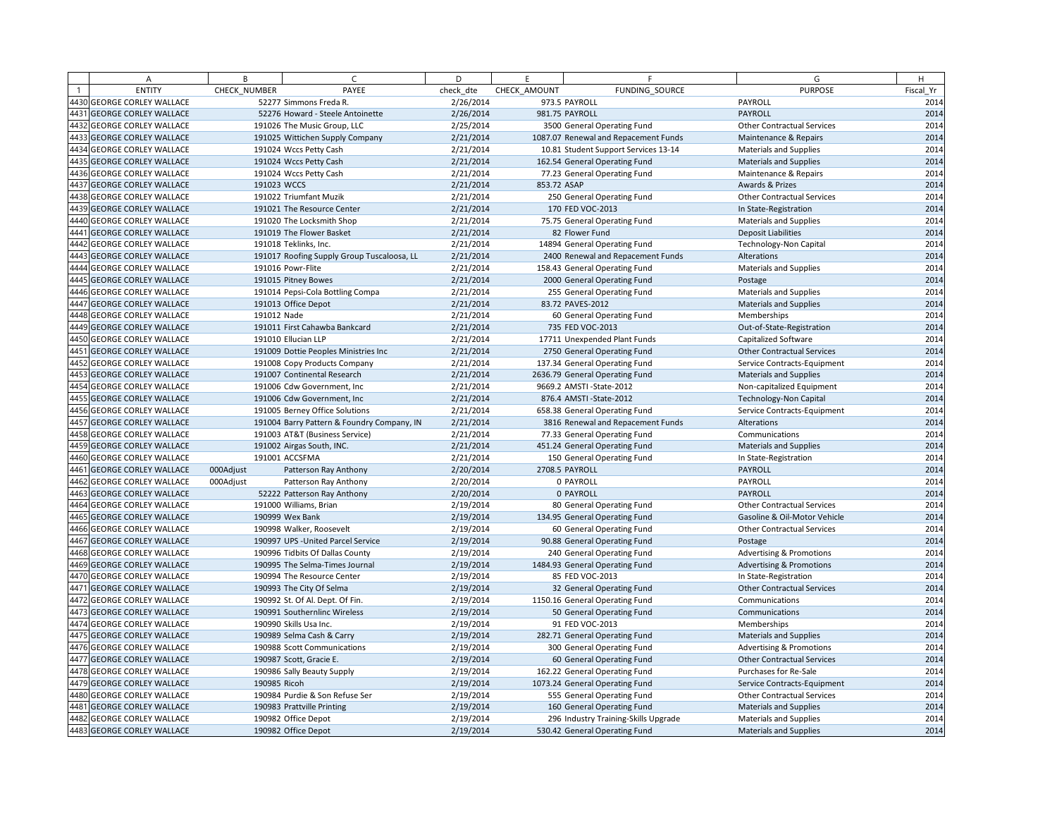|      | A                            | B            | $\epsilon$                                 | D         | F.           | F                                    | G                                   | H         |
|------|------------------------------|--------------|--------------------------------------------|-----------|--------------|--------------------------------------|-------------------------------------|-----------|
|      | <b>ENTITY</b>                | CHECK NUMBER | PAYEE                                      | check dte | CHECK AMOUNT | FUNDING SOURCE                       | <b>PURPOSE</b>                      | Fiscal Yr |
|      | 4430 GEORGE CORLEY WALLACE   |              | 52277 Simmons Freda R.                     | 2/26/2014 |              | 973.5 PAYROLL                        | PAYROLL                             | 2014      |
| 4431 | <b>GEORGE CORLEY WALLACE</b> |              | 52276 Howard - Steele Antoinette           | 2/26/2014 |              | 981.75 PAYROLL                       | PAYROLL                             | 2014      |
| 4432 | <b>GEORGE CORLEY WALLACE</b> |              | 191026 The Music Group, LLC                | 2/25/2014 |              | 3500 General Operating Fund          | <b>Other Contractual Services</b>   | 2014      |
|      | 4433 GEORGE CORLEY WALLACE   |              | 191025 Wittichen Supply Company            | 2/21/2014 |              | 1087.07 Renewal and Repacement Funds | Maintenance & Repairs               | 2014      |
| 4434 | <b>GEORGE CORLEY WALLACE</b> |              | 191024 Wccs Petty Cash                     | 2/21/2014 |              | 10.81 Student Support Services 13-14 | <b>Materials and Supplies</b>       | 2014      |
|      | 4435 GEORGE CORLEY WALLACE   |              | 191024 Wccs Petty Cash                     | 2/21/2014 |              | 162.54 General Operating Fund        | Materials and Supplies              | 2014      |
| 4436 | <b>GEORGE CORLEY WALLACE</b> |              | 191024 Wccs Petty Cash                     | 2/21/2014 |              | 77.23 General Operating Fund         | Maintenance & Repairs               | 2014      |
| 4437 | <b>GEORGE CORLEY WALLACE</b> | 191023 WCCS  |                                            | 2/21/2014 | 853.72 ASAP  |                                      | Awards & Prizes                     | 2014      |
| 4438 | <b>GEORGE CORLEY WALLACE</b> |              | 191022 Triumfant Muzik                     | 2/21/2014 |              | 250 General Operating Fund           | <b>Other Contractual Services</b>   | 2014      |
|      | 4439 GEORGE CORLEY WALLACE   |              | 191021 The Resource Center                 | 2/21/2014 |              | 170 FED VOC-2013                     | In State-Registration               | 2014      |
| 4440 | <b>GEORGE CORLEY WALLACE</b> |              | 191020 The Locksmith Shop                  | 2/21/2014 |              | 75.75 General Operating Fund         | Materials and Supplies              | 2014      |
| 4441 | <b>GEORGE CORLEY WALLACE</b> |              | 191019 The Flower Basket                   | 2/21/2014 |              | 82 Flower Fund                       | <b>Deposit Liabilities</b>          | 2014      |
| 4442 | <b>GEORGE CORLEY WALLACE</b> |              | 191018 Teklinks, Inc.                      | 2/21/2014 |              | 14894 General Operating Fund         | <b>Technology-Non Capital</b>       | 2014      |
| 4443 | <b>GEORGE CORLEY WALLACE</b> |              | 191017 Roofing Supply Group Tuscaloosa, LL | 2/21/2014 |              | 2400 Renewal and Repacement Funds    | Alterations                         | 2014      |
| 4444 | <b>GEORGE CORLEY WALLACE</b> |              | 191016 Powr-Flite                          | 2/21/2014 |              | 158.43 General Operating Fund        | Materials and Supplies              | 2014      |
| 4445 | <b>GEORGE CORLEY WALLACE</b> |              | 191015 Pitney Bowes                        | 2/21/2014 |              | 2000 General Operating Fund          | Postage                             | 2014      |
|      | 4446 GEORGE CORLEY WALLACE   |              | 191014 Pepsi-Cola Bottling Compa           | 2/21/2014 |              | 255 General Operating Fund           | <b>Materials and Supplies</b>       | 2014      |
|      | 4447 GEORGE CORLEY WALLACE   |              | 191013 Office Depot                        | 2/21/2014 |              | 83.72 PAVES-2012                     | Materials and Supplies              | 2014      |
|      | 4448 GEORGE CORLEY WALLACE   | 191012 Nade  |                                            | 2/21/2014 |              | 60 General Operating Fund            | Memberships                         | 2014      |
| 4449 | <b>GEORGE CORLEY WALLACE</b> |              | 191011 First Cahawba Bankcard              | 2/21/2014 |              | 735 FED VOC-2013                     | Out-of-State-Registration           | 2014      |
| 4450 | <b>GEORGE CORLEY WALLACE</b> |              | 191010 Ellucian LLP                        | 2/21/2014 |              | 17711 Unexpended Plant Funds         | Capitalized Software                | 2014      |
| 4451 | <b>GEORGE CORLEY WALLACE</b> |              | 191009 Dottie Peoples Ministries Inc       | 2/21/2014 |              | 2750 General Operating Fund          | <b>Other Contractual Services</b>   | 2014      |
| 4452 | <b>GEORGE CORLEY WALLACE</b> |              | 191008 Copy Products Company               | 2/21/2014 |              | 137.34 General Operating Fund        | Service Contracts-Equipment         | 2014      |
| 4453 | <b>GEORGE CORLEY WALLACE</b> |              | 191007 Continental Research                | 2/21/2014 |              | 2636.79 General Operating Fund       | Materials and Supplies              | 2014      |
| 4454 | <b>GEORGE CORLEY WALLACE</b> |              | 191006 Cdw Government, Inc                 | 2/21/2014 |              | 9669.2 AMSTI-State-2012              | Non-capitalized Equipment           | 2014      |
|      | <b>GEORGE CORLEY WALLACE</b> |              | 191006 Cdw Government, Inc                 | 2/21/2014 |              | 876.4 AMSTI - State-2012             | <b>Technology-Non Capital</b>       | 2014      |
| 4456 | <b>GEORGE CORLEY WALLACE</b> |              | 191005 Berney Office Solutions             | 2/21/2014 |              | 658.38 General Operating Fund        | Service Contracts-Equipment         | 2014      |
|      | 4457 GEORGE CORLEY WALLACE   |              | 191004 Barry Pattern & Foundry Company, IN | 2/21/2014 |              | 3816 Renewal and Repacement Funds    | Alterations                         | 2014      |
| 4458 | <b>GEORGE CORLEY WALLACE</b> |              | 191003 AT&T (Business Service)             | 2/21/2014 |              | 77.33 General Operating Fund         | Communications                      | 2014      |
|      | 4459 GEORGE CORLEY WALLACE   |              | 191002 Airgas South, INC.                  | 2/21/2014 |              | 451.24 General Operating Fund        | <b>Materials and Supplies</b>       | 2014      |
| 4460 | <b>GEORGE CORLEY WALLACE</b> |              | 191001 ACCSFMA                             | 2/21/2014 |              | 150 General Operating Fund           | In State-Registration               | 2014      |
| 4461 | <b>GEORGE CORLEY WALLACE</b> | 000Adjust    | Patterson Ray Anthony                      | 2/20/2014 |              | 2708.5 PAYROLL                       | PAYROLL                             | 2014      |
| 4462 | <b>GEORGE CORLEY WALLACE</b> | 000Adjust    | Patterson Ray Anthony                      | 2/20/2014 |              | 0 PAYROLL                            | PAYROLL                             | 2014      |
| 4463 | <b>GEORGE CORLEY WALLACE</b> |              | 52222 Patterson Ray Anthony                | 2/20/2014 |              | 0 PAYROLL                            | PAYROLL                             | 2014      |
| 4464 | <b>GEORGE CORLEY WALLACE</b> |              | 191000 Williams, Brian                     | 2/19/2014 |              | 80 General Operating Fund            | <b>Other Contractual Services</b>   | 2014      |
| 4465 | <b>GEORGE CORLEY WALLACE</b> |              | 190999 Wex Bank                            | 2/19/2014 |              | 134.95 General Operating Fund        | Gasoline & Oil-Motor Vehicle        | 2014      |
| 4466 | <b>GEORGE CORLEY WALLACE</b> |              | 190998 Walker, Roosevelt                   | 2/19/2014 |              | 60 General Operating Fund            | <b>Other Contractual Services</b>   | 2014      |
| 4467 | <b>GEORGE CORLEY WALLACE</b> |              | 190997 UPS - United Parcel Service         | 2/19/2014 |              | 90.88 General Operating Fund         | Postage                             | 2014      |
|      | 4468 GEORGE CORLEY WALLACE   |              | 190996 Tidbits Of Dallas County            | 2/19/2014 |              | 240 General Operating Fund           | <b>Advertising &amp; Promotions</b> | 2014      |
|      | 4469 GEORGE CORLEY WALLACE   |              | 190995 The Selma-Times Journal             | 2/19/2014 |              | 1484.93 General Operating Fund       | <b>Advertising &amp; Promotions</b> | 2014      |
| 4470 | <b>GEORGE CORLEY WALLACE</b> |              | 190994 The Resource Center                 | 2/19/2014 |              | 85 FED VOC-2013                      | In State-Registration               | 2014      |
| 4471 | <b>GEORGE CORLEY WALLACE</b> |              | 190993 The City Of Selma                   | 2/19/2014 |              | 32 General Operating Fund            | <b>Other Contractual Services</b>   | 2014      |
| 4472 | <b>GEORGE CORLEY WALLACE</b> |              | 190992 St. Of Al. Dept. Of Fin.            | 2/19/2014 |              | 1150.16 General Operating Fund       | Communications                      | 2014      |
| 4473 | <b>GEORGE CORLEY WALLACE</b> |              | 190991 Southernlinc Wireless               | 2/19/2014 |              | 50 General Operating Fund            | Communications                      | 2014      |
| 4474 | <b>GEORGE CORLEY WALLACE</b> |              | 190990 Skills Usa Inc.                     | 2/19/2014 |              | 91 FED VOC-2013                      | Memberships                         | 2014      |
| 4475 | <b>GEORGE CORLEY WALLACE</b> |              | 190989 Selma Cash & Carry                  | 2/19/2014 |              | 282.71 General Operating Fund        | Materials and Supplies              | 2014      |
|      | 4476 GEORGE CORLEY WALLACE   |              | 190988 Scott Communications                | 2/19/2014 |              | 300 General Operating Fund           | <b>Advertising &amp; Promotions</b> | 2014      |
|      | 4477 GEORGE CORLEY WALLACE   |              | 190987 Scott, Gracie E.                    | 2/19/2014 |              | 60 General Operating Fund            | <b>Other Contractual Services</b>   | 2014      |
| 4478 | <b>GEORGE CORLEY WALLACE</b> |              | 190986 Sally Beauty Supply                 | 2/19/2014 |              | 162.22 General Operating Fund        | Purchases for Re-Sale               | 2014      |
| 4479 | <b>GEORGE CORLEY WALLACE</b> | 190985 Ricoh |                                            | 2/19/2014 |              | 1073.24 General Operating Fund       | Service Contracts-Equipment         | 2014      |
|      | 4480 GEORGE CORLEY WALLACE   |              | 190984 Purdie & Son Refuse Ser             | 2/19/2014 |              | 555 General Operating Fund           | <b>Other Contractual Services</b>   | 2014      |
| 4481 | <b>GEORGE CORLEY WALLACE</b> |              | 190983 Prattville Printing                 | 2/19/2014 |              | 160 General Operating Fund           | <b>Materials and Supplies</b>       | 2014      |
| 4482 | <b>GEORGE CORLEY WALLACE</b> |              | 190982 Office Depot                        | 2/19/2014 |              | 296 Industry Training-Skills Upgrade | <b>Materials and Supplies</b>       | 2014      |
|      | 4483 GEORGE CORLEY WALLACE   |              | 190982 Office Depot                        | 2/19/2014 |              | 530.42 General Operating Fund        | <b>Materials and Supplies</b>       | 2014      |
|      |                              |              |                                            |           |              |                                      |                                     |           |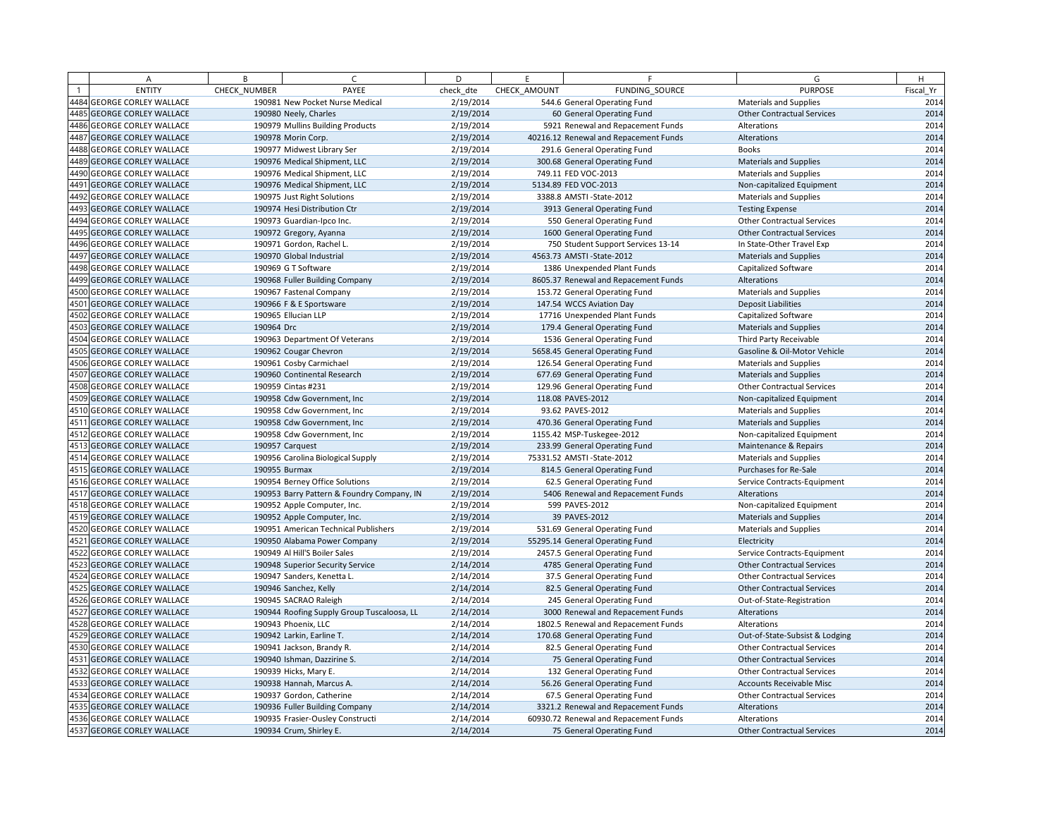| <b>ENTITY</b><br>CHECK NUMBER<br>PAYEE<br>check dte<br>CHECK AMOUNT<br>FUNDING SOURCE<br><b>PURPOSE</b><br>Fiscal Yr<br>4484 GEORGE CORLEY WALLACE<br>2/19/2014<br>544.6 General Operating Fund<br>190981 New Pocket Nurse Medical<br><b>Materials and Supplies</b><br>4485 GEORGE CORLEY WALLACE<br>190980 Neely, Charles<br>2/19/2014<br>60 General Operating Fund<br><b>Other Contractual Services</b><br>2014<br>4486 GEORGE CORLEY WALLACE<br>190979 Mullins Building Products<br>2/19/2014<br>5921 Renewal and Repacement Funds<br>Alterations<br>4487 GEORGE CORLEY WALLACE<br>2/19/2014<br>190978 Morin Corp.<br>40216.12 Renewal and Repacement Funds<br>Alterations<br>4488 GEORGE CORLEY WALLACE<br>190977 Midwest Library Ser<br>2/19/2014<br><b>Books</b><br>291.6 General Operating Fund<br>4489 GEORGE CORLEY WALLACE<br>190976 Medical Shipment, LLC<br>2/19/2014<br>300.68 General Operating Fund<br><b>Materials and Supplies</b><br>4490 GEORGE CORLEY WALLACE<br>2/19/2014<br>190976 Medical Shipment, LLC<br>749.11 FED VOC-2013<br><b>Materials and Supplies</b><br>4491 GEORGE CORLEY WALLACE<br>190976 Medical Shipment, LLC<br>2/19/2014<br>5134.89 FED VOC-2013<br>Non-capitalized Equipment<br>2014<br>4492 GEORGE CORLEY WALLACE<br>2/19/2014<br>3388.8 AMSTI-State-2012<br><b>Materials and Supplies</b><br>190975 Just Right Solutions<br>4493 GEORGE CORLEY WALLACE<br>190974 Hesi Distribution Ctr<br>2/19/2014<br>3913 General Operating Fund<br><b>Testing Expense</b><br>4494 GEORGE CORLEY WALLACE<br>2/19/2014<br>190973 Guardian-Ipco Inc.<br>550 General Operating Fund<br><b>Other Contractual Services</b><br>2014<br>4495 GEORGE CORLEY WALLACE<br>2/19/2014<br>1600 General Operating Fund<br><b>Other Contractual Services</b><br>190972 Gregory, Ayanna<br>4496 GEORGE CORLEY WALLACE<br>190971 Gordon, Rachel L<br>2/19/2014<br>750 Student Support Services 13-14<br>In State-Other Travel Exp<br>4497 GEORGE CORLEY WALLACE<br>190970 Global Industrial<br>2/19/2014<br>4563.73 AMSTI-State-2012<br><b>Materials and Supplies</b><br>2014<br>4498 GEORGE CORLEY WALLACE<br>190969 G T Software<br>2/19/2014<br>1386 Unexpended Plant Funds<br>Capitalized Software<br>4499 GEORGE CORLEY WALLACE<br>2/19/2014<br>190968 Fuller Building Company<br>8605.37 Renewal and Repacement Funds<br>Alterations<br>4500 GEORGE CORLEY WALLACE<br>190967 Fastenal Company<br>2/19/2014<br>153.72 General Operating Fund<br><b>Materials and Supplies</b><br>4501 GEORGE CORLEY WALLACE<br>190966 F & E Sportsware<br>2/19/2014<br>147.54 WCCS Aviation Day<br><b>Deposit Liabilities</b><br>4502 GEORGE CORLEY WALLACE<br>190965 Ellucian LLP<br>2/19/2014<br>17716 Unexpended Plant Funds<br>Capitalized Software<br>4503 GEORGE CORLEY WALLACE<br>190964 Drc<br>2/19/2014<br>179.4 General Operating Fund<br><b>Materials and Supplies</b><br>2/19/2014<br>4504 GEORGE CORLEY WALLACE<br>190963 Department Of Veterans<br>1536 General Operating Fund<br>Third Party Receivable<br>4505 GEORGE CORLEY WALLACE<br>190962 Cougar Chevron<br>2/19/2014<br>5658.45 General Operating Fund<br>Gasoline & Oil-Motor Vehicle<br>4506 GEORGE CORLEY WALLACE<br>190961 Cosby Carmichael<br>2/19/2014<br>126.54 General Operating Fund<br><b>Materials and Supplies</b><br>2/19/2014<br>4507 GEORGE CORLEY WALLACE<br>190960 Continental Research<br>677.69 General Operating Fund<br><b>Materials and Supplies</b><br>4508 GEORGE CORLEY WALLACE<br>2/19/2014<br>190959 Cintas #231<br>129.96 General Operating Fund<br><b>Other Contractual Services</b><br>4509 GEORGE CORLEY WALLACE<br>190958 Cdw Government, Inc<br>2/19/2014<br>118.08 PAVES-2012<br>Non-capitalized Equipment<br>2/19/2014<br>2014<br>4510 GEORGE CORLEY WALLACE<br>93.62 PAVES-2012<br><b>Materials and Supplies</b><br>190958 Cdw Government, Inc.<br>4511 GEORGE CORLEY WALLACE<br>190958 Cdw Government, Inc.<br>2/19/2014<br>470.36 General Operating Fund<br><b>Materials and Supplies</b><br>4512 GEORGE CORLEY WALLACE<br>190958 Cdw Government, Inc<br>2/19/2014<br>1155.42 MSP-Tuskegee-2012<br>Non-capitalized Equipment<br>4513 GEORGE CORLEY WALLACE<br>2/19/2014<br>190957 Carquest<br>233.99 General Operating Fund<br>Maintenance & Repairs<br>4514 GEORGE CORLEY WALLACE<br>190956 Carolina Biological Supply<br>2/19/2014<br>75331.52 AMSTI-State-2012<br><b>Materials and Supplies</b><br>4515 GEORGE CORLEY WALLACE<br>190955 Burmax<br>2/19/2014<br>814.5 General Operating Fund<br>Purchases for Re-Sale<br>2/19/2014<br>4516 GEORGE CORLEY WALLACE<br>190954 Berney Office Solutions<br>62.5 General Operating Fund<br>Service Contracts-Equipment<br>4517 GEORGE CORLEY WALLACE<br>190953 Barry Pattern & Foundry Company, IN<br>2/19/2014<br>5406 Renewal and Repacement Funds<br>Alterations<br>4518 GEORGE CORLEY WALLACE<br>2/19/2014<br>599 PAVES-2012<br>190952 Apple Computer, Inc.<br>Non-capitalized Equipment<br>2/19/2014<br>4519 GEORGE CORLEY WALLACE<br>190952 Apple Computer, Inc.<br>39 PAVES-2012<br><b>Materials and Supplies</b><br>4520 GEORGE CORLEY WALLACE<br>190951 American Technical Publishers<br>2/19/2014<br>531.69 General Operating Fund<br><b>Materials and Supplies</b><br>4521 GEORGE CORLEY WALLACE<br>2/19/2014<br>55295.14 General Operating Fund<br>190950 Alabama Power Company<br>Electricity<br>4522 GEORGE CORLEY WALLACE<br>2/19/2014<br>2457.5 General Operating Fund<br>Service Contracts-Equipment<br>190949 Al Hill'S Boiler Sales<br>4523 GEORGE CORLEY WALLACE<br>2/14/2014<br>4785 General Operating Fund<br><b>Other Contractual Services</b><br>190948 Superior Security Service<br>4524 GEORGE CORLEY WALLACE<br>2/14/2014<br><b>Other Contractual Services</b><br>190947 Sanders, Kenetta L.<br>37.5 General Operating Fund<br>2/14/2014<br>4525 GEORGE CORLEY WALLACE<br>190946 Sanchez, Kelly<br>82.5 General Operating Fund<br><b>Other Contractual Services</b><br>4526 GEORGE CORLEY WALLACE<br>190945 SACRAO Raleigh<br>2/14/2014<br>245 General Operating Fund<br>Out-of-State-Registration<br>4527 GEORGE CORLEY WALLACE<br>190944 Roofing Supply Group Tuscaloosa, LL<br>2/14/2014<br>Alterations<br>3000 Renewal and Repacement Funds<br>4528 GEORGE CORLEY WALLACE<br>190943 Phoenix, LLC<br>2/14/2014<br>1802.5 Renewal and Repacement Funds<br>Alterations<br>4529 GEORGE CORLEY WALLACE<br>190942 Larkin, Earline T.<br>2/14/2014<br>170.68 General Operating Fund<br>Out-of-State-Subsist & Lodging<br>4530 GEORGE CORLEY WALLACE<br>2/14/2014<br>190941 Jackson, Brandy R.<br>82.5 General Operating Fund<br><b>Other Contractual Services</b><br>2/14/2014<br>2014<br>4531 GEORGE CORLEY WALLACE<br>190940 Ishman, Dazzirine S.<br>75 General Operating Fund<br><b>Other Contractual Services</b><br>4532 GEORGE CORLEY WALLACE<br>190939 Hicks, Mary E.<br>2/14/2014<br>132 General Operating Fund<br><b>Other Contractual Services</b><br>4533 GEORGE CORLEY WALLACE<br>2/14/2014<br>56.26 General Operating Fund<br><b>Accounts Receivable Misc</b><br>2014<br>190938 Hannah, Marcus A.<br>2014<br>4534 GEORGE CORLEY WALLACE<br>2/14/2014<br>67.5 General Operating Fund<br>190937 Gordon, Catherine<br><b>Other Contractual Services</b><br>4535 GEORGE CORLEY WALLACE<br>190936 Fuller Building Company<br>2/14/2014<br>3321.2 Renewal and Repacement Funds<br>Alterations<br>4536 GEORGE CORLEY WALLACE<br>2/14/2014<br>190935 Frasier-Ousley Constructi<br>60930.72 Renewal and Repacement Funds<br>Alterations<br>2/14/2014<br>4537 GEORGE CORLEY WALLACE<br>190934 Crum, Shirley E.<br>75 General Operating Fund<br><b>Other Contractual Services</b> | A | B | $\sqrt{2}$ | D | E | F. | G | H    |
|----------------------------------------------------------------------------------------------------------------------------------------------------------------------------------------------------------------------------------------------------------------------------------------------------------------------------------------------------------------------------------------------------------------------------------------------------------------------------------------------------------------------------------------------------------------------------------------------------------------------------------------------------------------------------------------------------------------------------------------------------------------------------------------------------------------------------------------------------------------------------------------------------------------------------------------------------------------------------------------------------------------------------------------------------------------------------------------------------------------------------------------------------------------------------------------------------------------------------------------------------------------------------------------------------------------------------------------------------------------------------------------------------------------------------------------------------------------------------------------------------------------------------------------------------------------------------------------------------------------------------------------------------------------------------------------------------------------------------------------------------------------------------------------------------------------------------------------------------------------------------------------------------------------------------------------------------------------------------------------------------------------------------------------------------------------------------------------------------------------------------------------------------------------------------------------------------------------------------------------------------------------------------------------------------------------------------------------------------------------------------------------------------------------------------------------------------------------------------------------------------------------------------------------------------------------------------------------------------------------------------------------------------------------------------------------------------------------------------------------------------------------------------------------------------------------------------------------------------------------------------------------------------------------------------------------------------------------------------------------------------------------------------------------------------------------------------------------------------------------------------------------------------------------------------------------------------------------------------------------------------------------------------------------------------------------------------------------------------------------------------------------------------------------------------------------------------------------------------------------------------------------------------------------------------------------------------------------------------------------------------------------------------------------------------------------------------------------------------------------------------------------------------------------------------------------------------------------------------------------------------------------------------------------------------------------------------------------------------------------------------------------------------------------------------------------------------------------------------------------------------------------------------------------------------------------------------------------------------------------------------------------------------------------------------------------------------------------------------------------------------------------------------------------------------------------------------------------------------------------------------------------------------------------------------------------------------------------------------------------------------------------------------------------------------------------------------------------------------------------------------------------------------------------------------------------------------------------------------------------------------------------------------------------------------------------------------------------------------------------------------------------------------------------------------------------------------------------------------------------------------------------------------------------------------------------------------------------------------------------------------------------------------------------------------------------------------------------------------------------------------------------------------------------------------------------------------------------------------------------------------------------------------------------------------------------------------------------------------------------------------------------------------------------------------------------------------------------------------------------------------------------------------------------------------------------------------------------------------------------------------------------------------------------------------------------------------------------------------------------------------------------------------------------------------------------------------------------------------------------------------------------------------------------------------------------------------------------------------------------------------------------------------------------------------------------------------------------------------------------------------------------------------------------------------------------------------------------------------------------------------------------------------------------------------------------------------------------------------------------------------------------------------------------------------------------------------------------------------------------------------------------------------------------------------------------------------------------------------------------------------------------------------------------------------------------------------------------------------------------------------------------------------------------------------------------------------------------------------------------------------------------------------------------------------------------------------------------------------------------------------------------------------------------------------------------------------------------------------------------------------------------------------------------------------------------------------------------------------------------------------------------------------------------------------------------------------------------------------------------------------------------------------------------------|---|---|------------|---|---|----|---|------|
|                                                                                                                                                                                                                                                                                                                                                                                                                                                                                                                                                                                                                                                                                                                                                                                                                                                                                                                                                                                                                                                                                                                                                                                                                                                                                                                                                                                                                                                                                                                                                                                                                                                                                                                                                                                                                                                                                                                                                                                                                                                                                                                                                                                                                                                                                                                                                                                                                                                                                                                                                                                                                                                                                                                                                                                                                                                                                                                                                                                                                                                                                                                                                                                                                                                                                                                                                                                                                                                                                                                                                                                                                                                                                                                                                                                                                                                                                                                                                                                                                                                                                                                                                                                                                                                                                                                                                                                                                                                                                                                                                                                                                                                                                                                                                                                                                                                                                                                                                                                                                                                                                                                                                                                                                                                                                                                                                                                                                                                                                                                                                                                                                                                                                                                                                                                                                                                                                                                                                                                                                                                                                                                                                                                                                                                                                                                                                                                                                                                                                                                                                                                                                                                                                                                                                                                                                                                                                                                                                                                                                                                                                                                                                                                                                                                                                                                                                                                                                                                                                                                                                                                                                                                                      |   |   |            |   |   |    |   |      |
|                                                                                                                                                                                                                                                                                                                                                                                                                                                                                                                                                                                                                                                                                                                                                                                                                                                                                                                                                                                                                                                                                                                                                                                                                                                                                                                                                                                                                                                                                                                                                                                                                                                                                                                                                                                                                                                                                                                                                                                                                                                                                                                                                                                                                                                                                                                                                                                                                                                                                                                                                                                                                                                                                                                                                                                                                                                                                                                                                                                                                                                                                                                                                                                                                                                                                                                                                                                                                                                                                                                                                                                                                                                                                                                                                                                                                                                                                                                                                                                                                                                                                                                                                                                                                                                                                                                                                                                                                                                                                                                                                                                                                                                                                                                                                                                                                                                                                                                                                                                                                                                                                                                                                                                                                                                                                                                                                                                                                                                                                                                                                                                                                                                                                                                                                                                                                                                                                                                                                                                                                                                                                                                                                                                                                                                                                                                                                                                                                                                                                                                                                                                                                                                                                                                                                                                                                                                                                                                                                                                                                                                                                                                                                                                                                                                                                                                                                                                                                                                                                                                                                                                                                                                                      |   |   |            |   |   |    |   | 2014 |
|                                                                                                                                                                                                                                                                                                                                                                                                                                                                                                                                                                                                                                                                                                                                                                                                                                                                                                                                                                                                                                                                                                                                                                                                                                                                                                                                                                                                                                                                                                                                                                                                                                                                                                                                                                                                                                                                                                                                                                                                                                                                                                                                                                                                                                                                                                                                                                                                                                                                                                                                                                                                                                                                                                                                                                                                                                                                                                                                                                                                                                                                                                                                                                                                                                                                                                                                                                                                                                                                                                                                                                                                                                                                                                                                                                                                                                                                                                                                                                                                                                                                                                                                                                                                                                                                                                                                                                                                                                                                                                                                                                                                                                                                                                                                                                                                                                                                                                                                                                                                                                                                                                                                                                                                                                                                                                                                                                                                                                                                                                                                                                                                                                                                                                                                                                                                                                                                                                                                                                                                                                                                                                                                                                                                                                                                                                                                                                                                                                                                                                                                                                                                                                                                                                                                                                                                                                                                                                                                                                                                                                                                                                                                                                                                                                                                                                                                                                                                                                                                                                                                                                                                                                                                      |   |   |            |   |   |    |   | 2014 |
|                                                                                                                                                                                                                                                                                                                                                                                                                                                                                                                                                                                                                                                                                                                                                                                                                                                                                                                                                                                                                                                                                                                                                                                                                                                                                                                                                                                                                                                                                                                                                                                                                                                                                                                                                                                                                                                                                                                                                                                                                                                                                                                                                                                                                                                                                                                                                                                                                                                                                                                                                                                                                                                                                                                                                                                                                                                                                                                                                                                                                                                                                                                                                                                                                                                                                                                                                                                                                                                                                                                                                                                                                                                                                                                                                                                                                                                                                                                                                                                                                                                                                                                                                                                                                                                                                                                                                                                                                                                                                                                                                                                                                                                                                                                                                                                                                                                                                                                                                                                                                                                                                                                                                                                                                                                                                                                                                                                                                                                                                                                                                                                                                                                                                                                                                                                                                                                                                                                                                                                                                                                                                                                                                                                                                                                                                                                                                                                                                                                                                                                                                                                                                                                                                                                                                                                                                                                                                                                                                                                                                                                                                                                                                                                                                                                                                                                                                                                                                                                                                                                                                                                                                                                                      |   |   |            |   |   |    |   |      |
|                                                                                                                                                                                                                                                                                                                                                                                                                                                                                                                                                                                                                                                                                                                                                                                                                                                                                                                                                                                                                                                                                                                                                                                                                                                                                                                                                                                                                                                                                                                                                                                                                                                                                                                                                                                                                                                                                                                                                                                                                                                                                                                                                                                                                                                                                                                                                                                                                                                                                                                                                                                                                                                                                                                                                                                                                                                                                                                                                                                                                                                                                                                                                                                                                                                                                                                                                                                                                                                                                                                                                                                                                                                                                                                                                                                                                                                                                                                                                                                                                                                                                                                                                                                                                                                                                                                                                                                                                                                                                                                                                                                                                                                                                                                                                                                                                                                                                                                                                                                                                                                                                                                                                                                                                                                                                                                                                                                                                                                                                                                                                                                                                                                                                                                                                                                                                                                                                                                                                                                                                                                                                                                                                                                                                                                                                                                                                                                                                                                                                                                                                                                                                                                                                                                                                                                                                                                                                                                                                                                                                                                                                                                                                                                                                                                                                                                                                                                                                                                                                                                                                                                                                                                                      |   |   |            |   |   |    |   | 2014 |
|                                                                                                                                                                                                                                                                                                                                                                                                                                                                                                                                                                                                                                                                                                                                                                                                                                                                                                                                                                                                                                                                                                                                                                                                                                                                                                                                                                                                                                                                                                                                                                                                                                                                                                                                                                                                                                                                                                                                                                                                                                                                                                                                                                                                                                                                                                                                                                                                                                                                                                                                                                                                                                                                                                                                                                                                                                                                                                                                                                                                                                                                                                                                                                                                                                                                                                                                                                                                                                                                                                                                                                                                                                                                                                                                                                                                                                                                                                                                                                                                                                                                                                                                                                                                                                                                                                                                                                                                                                                                                                                                                                                                                                                                                                                                                                                                                                                                                                                                                                                                                                                                                                                                                                                                                                                                                                                                                                                                                                                                                                                                                                                                                                                                                                                                                                                                                                                                                                                                                                                                                                                                                                                                                                                                                                                                                                                                                                                                                                                                                                                                                                                                                                                                                                                                                                                                                                                                                                                                                                                                                                                                                                                                                                                                                                                                                                                                                                                                                                                                                                                                                                                                                                                                      |   |   |            |   |   |    |   | 2014 |
|                                                                                                                                                                                                                                                                                                                                                                                                                                                                                                                                                                                                                                                                                                                                                                                                                                                                                                                                                                                                                                                                                                                                                                                                                                                                                                                                                                                                                                                                                                                                                                                                                                                                                                                                                                                                                                                                                                                                                                                                                                                                                                                                                                                                                                                                                                                                                                                                                                                                                                                                                                                                                                                                                                                                                                                                                                                                                                                                                                                                                                                                                                                                                                                                                                                                                                                                                                                                                                                                                                                                                                                                                                                                                                                                                                                                                                                                                                                                                                                                                                                                                                                                                                                                                                                                                                                                                                                                                                                                                                                                                                                                                                                                                                                                                                                                                                                                                                                                                                                                                                                                                                                                                                                                                                                                                                                                                                                                                                                                                                                                                                                                                                                                                                                                                                                                                                                                                                                                                                                                                                                                                                                                                                                                                                                                                                                                                                                                                                                                                                                                                                                                                                                                                                                                                                                                                                                                                                                                                                                                                                                                                                                                                                                                                                                                                                                                                                                                                                                                                                                                                                                                                                                                      |   |   |            |   |   |    |   | 2014 |
|                                                                                                                                                                                                                                                                                                                                                                                                                                                                                                                                                                                                                                                                                                                                                                                                                                                                                                                                                                                                                                                                                                                                                                                                                                                                                                                                                                                                                                                                                                                                                                                                                                                                                                                                                                                                                                                                                                                                                                                                                                                                                                                                                                                                                                                                                                                                                                                                                                                                                                                                                                                                                                                                                                                                                                                                                                                                                                                                                                                                                                                                                                                                                                                                                                                                                                                                                                                                                                                                                                                                                                                                                                                                                                                                                                                                                                                                                                                                                                                                                                                                                                                                                                                                                                                                                                                                                                                                                                                                                                                                                                                                                                                                                                                                                                                                                                                                                                                                                                                                                                                                                                                                                                                                                                                                                                                                                                                                                                                                                                                                                                                                                                                                                                                                                                                                                                                                                                                                                                                                                                                                                                                                                                                                                                                                                                                                                                                                                                                                                                                                                                                                                                                                                                                                                                                                                                                                                                                                                                                                                                                                                                                                                                                                                                                                                                                                                                                                                                                                                                                                                                                                                                                                      |   |   |            |   |   |    |   | 2014 |
|                                                                                                                                                                                                                                                                                                                                                                                                                                                                                                                                                                                                                                                                                                                                                                                                                                                                                                                                                                                                                                                                                                                                                                                                                                                                                                                                                                                                                                                                                                                                                                                                                                                                                                                                                                                                                                                                                                                                                                                                                                                                                                                                                                                                                                                                                                                                                                                                                                                                                                                                                                                                                                                                                                                                                                                                                                                                                                                                                                                                                                                                                                                                                                                                                                                                                                                                                                                                                                                                                                                                                                                                                                                                                                                                                                                                                                                                                                                                                                                                                                                                                                                                                                                                                                                                                                                                                                                                                                                                                                                                                                                                                                                                                                                                                                                                                                                                                                                                                                                                                                                                                                                                                                                                                                                                                                                                                                                                                                                                                                                                                                                                                                                                                                                                                                                                                                                                                                                                                                                                                                                                                                                                                                                                                                                                                                                                                                                                                                                                                                                                                                                                                                                                                                                                                                                                                                                                                                                                                                                                                                                                                                                                                                                                                                                                                                                                                                                                                                                                                                                                                                                                                                                                      |   |   |            |   |   |    |   | 2014 |
|                                                                                                                                                                                                                                                                                                                                                                                                                                                                                                                                                                                                                                                                                                                                                                                                                                                                                                                                                                                                                                                                                                                                                                                                                                                                                                                                                                                                                                                                                                                                                                                                                                                                                                                                                                                                                                                                                                                                                                                                                                                                                                                                                                                                                                                                                                                                                                                                                                                                                                                                                                                                                                                                                                                                                                                                                                                                                                                                                                                                                                                                                                                                                                                                                                                                                                                                                                                                                                                                                                                                                                                                                                                                                                                                                                                                                                                                                                                                                                                                                                                                                                                                                                                                                                                                                                                                                                                                                                                                                                                                                                                                                                                                                                                                                                                                                                                                                                                                                                                                                                                                                                                                                                                                                                                                                                                                                                                                                                                                                                                                                                                                                                                                                                                                                                                                                                                                                                                                                                                                                                                                                                                                                                                                                                                                                                                                                                                                                                                                                                                                                                                                                                                                                                                                                                                                                                                                                                                                                                                                                                                                                                                                                                                                                                                                                                                                                                                                                                                                                                                                                                                                                                                                      |   |   |            |   |   |    |   |      |
|                                                                                                                                                                                                                                                                                                                                                                                                                                                                                                                                                                                                                                                                                                                                                                                                                                                                                                                                                                                                                                                                                                                                                                                                                                                                                                                                                                                                                                                                                                                                                                                                                                                                                                                                                                                                                                                                                                                                                                                                                                                                                                                                                                                                                                                                                                                                                                                                                                                                                                                                                                                                                                                                                                                                                                                                                                                                                                                                                                                                                                                                                                                                                                                                                                                                                                                                                                                                                                                                                                                                                                                                                                                                                                                                                                                                                                                                                                                                                                                                                                                                                                                                                                                                                                                                                                                                                                                                                                                                                                                                                                                                                                                                                                                                                                                                                                                                                                                                                                                                                                                                                                                                                                                                                                                                                                                                                                                                                                                                                                                                                                                                                                                                                                                                                                                                                                                                                                                                                                                                                                                                                                                                                                                                                                                                                                                                                                                                                                                                                                                                                                                                                                                                                                                                                                                                                                                                                                                                                                                                                                                                                                                                                                                                                                                                                                                                                                                                                                                                                                                                                                                                                                                                      |   |   |            |   |   |    |   | 2014 |
|                                                                                                                                                                                                                                                                                                                                                                                                                                                                                                                                                                                                                                                                                                                                                                                                                                                                                                                                                                                                                                                                                                                                                                                                                                                                                                                                                                                                                                                                                                                                                                                                                                                                                                                                                                                                                                                                                                                                                                                                                                                                                                                                                                                                                                                                                                                                                                                                                                                                                                                                                                                                                                                                                                                                                                                                                                                                                                                                                                                                                                                                                                                                                                                                                                                                                                                                                                                                                                                                                                                                                                                                                                                                                                                                                                                                                                                                                                                                                                                                                                                                                                                                                                                                                                                                                                                                                                                                                                                                                                                                                                                                                                                                                                                                                                                                                                                                                                                                                                                                                                                                                                                                                                                                                                                                                                                                                                                                                                                                                                                                                                                                                                                                                                                                                                                                                                                                                                                                                                                                                                                                                                                                                                                                                                                                                                                                                                                                                                                                                                                                                                                                                                                                                                                                                                                                                                                                                                                                                                                                                                                                                                                                                                                                                                                                                                                                                                                                                                                                                                                                                                                                                                                                      |   |   |            |   |   |    |   | 2014 |
|                                                                                                                                                                                                                                                                                                                                                                                                                                                                                                                                                                                                                                                                                                                                                                                                                                                                                                                                                                                                                                                                                                                                                                                                                                                                                                                                                                                                                                                                                                                                                                                                                                                                                                                                                                                                                                                                                                                                                                                                                                                                                                                                                                                                                                                                                                                                                                                                                                                                                                                                                                                                                                                                                                                                                                                                                                                                                                                                                                                                                                                                                                                                                                                                                                                                                                                                                                                                                                                                                                                                                                                                                                                                                                                                                                                                                                                                                                                                                                                                                                                                                                                                                                                                                                                                                                                                                                                                                                                                                                                                                                                                                                                                                                                                                                                                                                                                                                                                                                                                                                                                                                                                                                                                                                                                                                                                                                                                                                                                                                                                                                                                                                                                                                                                                                                                                                                                                                                                                                                                                                                                                                                                                                                                                                                                                                                                                                                                                                                                                                                                                                                                                                                                                                                                                                                                                                                                                                                                                                                                                                                                                                                                                                                                                                                                                                                                                                                                                                                                                                                                                                                                                                                                      |   |   |            |   |   |    |   |      |
|                                                                                                                                                                                                                                                                                                                                                                                                                                                                                                                                                                                                                                                                                                                                                                                                                                                                                                                                                                                                                                                                                                                                                                                                                                                                                                                                                                                                                                                                                                                                                                                                                                                                                                                                                                                                                                                                                                                                                                                                                                                                                                                                                                                                                                                                                                                                                                                                                                                                                                                                                                                                                                                                                                                                                                                                                                                                                                                                                                                                                                                                                                                                                                                                                                                                                                                                                                                                                                                                                                                                                                                                                                                                                                                                                                                                                                                                                                                                                                                                                                                                                                                                                                                                                                                                                                                                                                                                                                                                                                                                                                                                                                                                                                                                                                                                                                                                                                                                                                                                                                                                                                                                                                                                                                                                                                                                                                                                                                                                                                                                                                                                                                                                                                                                                                                                                                                                                                                                                                                                                                                                                                                                                                                                                                                                                                                                                                                                                                                                                                                                                                                                                                                                                                                                                                                                                                                                                                                                                                                                                                                                                                                                                                                                                                                                                                                                                                                                                                                                                                                                                                                                                                                                      |   |   |            |   |   |    |   | 2014 |
|                                                                                                                                                                                                                                                                                                                                                                                                                                                                                                                                                                                                                                                                                                                                                                                                                                                                                                                                                                                                                                                                                                                                                                                                                                                                                                                                                                                                                                                                                                                                                                                                                                                                                                                                                                                                                                                                                                                                                                                                                                                                                                                                                                                                                                                                                                                                                                                                                                                                                                                                                                                                                                                                                                                                                                                                                                                                                                                                                                                                                                                                                                                                                                                                                                                                                                                                                                                                                                                                                                                                                                                                                                                                                                                                                                                                                                                                                                                                                                                                                                                                                                                                                                                                                                                                                                                                                                                                                                                                                                                                                                                                                                                                                                                                                                                                                                                                                                                                                                                                                                                                                                                                                                                                                                                                                                                                                                                                                                                                                                                                                                                                                                                                                                                                                                                                                                                                                                                                                                                                                                                                                                                                                                                                                                                                                                                                                                                                                                                                                                                                                                                                                                                                                                                                                                                                                                                                                                                                                                                                                                                                                                                                                                                                                                                                                                                                                                                                                                                                                                                                                                                                                                                                      |   |   |            |   |   |    |   | 2014 |
|                                                                                                                                                                                                                                                                                                                                                                                                                                                                                                                                                                                                                                                                                                                                                                                                                                                                                                                                                                                                                                                                                                                                                                                                                                                                                                                                                                                                                                                                                                                                                                                                                                                                                                                                                                                                                                                                                                                                                                                                                                                                                                                                                                                                                                                                                                                                                                                                                                                                                                                                                                                                                                                                                                                                                                                                                                                                                                                                                                                                                                                                                                                                                                                                                                                                                                                                                                                                                                                                                                                                                                                                                                                                                                                                                                                                                                                                                                                                                                                                                                                                                                                                                                                                                                                                                                                                                                                                                                                                                                                                                                                                                                                                                                                                                                                                                                                                                                                                                                                                                                                                                                                                                                                                                                                                                                                                                                                                                                                                                                                                                                                                                                                                                                                                                                                                                                                                                                                                                                                                                                                                                                                                                                                                                                                                                                                                                                                                                                                                                                                                                                                                                                                                                                                                                                                                                                                                                                                                                                                                                                                                                                                                                                                                                                                                                                                                                                                                                                                                                                                                                                                                                                                                      |   |   |            |   |   |    |   |      |
|                                                                                                                                                                                                                                                                                                                                                                                                                                                                                                                                                                                                                                                                                                                                                                                                                                                                                                                                                                                                                                                                                                                                                                                                                                                                                                                                                                                                                                                                                                                                                                                                                                                                                                                                                                                                                                                                                                                                                                                                                                                                                                                                                                                                                                                                                                                                                                                                                                                                                                                                                                                                                                                                                                                                                                                                                                                                                                                                                                                                                                                                                                                                                                                                                                                                                                                                                                                                                                                                                                                                                                                                                                                                                                                                                                                                                                                                                                                                                                                                                                                                                                                                                                                                                                                                                                                                                                                                                                                                                                                                                                                                                                                                                                                                                                                                                                                                                                                                                                                                                                                                                                                                                                                                                                                                                                                                                                                                                                                                                                                                                                                                                                                                                                                                                                                                                                                                                                                                                                                                                                                                                                                                                                                                                                                                                                                                                                                                                                                                                                                                                                                                                                                                                                                                                                                                                                                                                                                                                                                                                                                                                                                                                                                                                                                                                                                                                                                                                                                                                                                                                                                                                                                                      |   |   |            |   |   |    |   | 2014 |
|                                                                                                                                                                                                                                                                                                                                                                                                                                                                                                                                                                                                                                                                                                                                                                                                                                                                                                                                                                                                                                                                                                                                                                                                                                                                                                                                                                                                                                                                                                                                                                                                                                                                                                                                                                                                                                                                                                                                                                                                                                                                                                                                                                                                                                                                                                                                                                                                                                                                                                                                                                                                                                                                                                                                                                                                                                                                                                                                                                                                                                                                                                                                                                                                                                                                                                                                                                                                                                                                                                                                                                                                                                                                                                                                                                                                                                                                                                                                                                                                                                                                                                                                                                                                                                                                                                                                                                                                                                                                                                                                                                                                                                                                                                                                                                                                                                                                                                                                                                                                                                                                                                                                                                                                                                                                                                                                                                                                                                                                                                                                                                                                                                                                                                                                                                                                                                                                                                                                                                                                                                                                                                                                                                                                                                                                                                                                                                                                                                                                                                                                                                                                                                                                                                                                                                                                                                                                                                                                                                                                                                                                                                                                                                                                                                                                                                                                                                                                                                                                                                                                                                                                                                                                      |   |   |            |   |   |    |   | 2014 |
|                                                                                                                                                                                                                                                                                                                                                                                                                                                                                                                                                                                                                                                                                                                                                                                                                                                                                                                                                                                                                                                                                                                                                                                                                                                                                                                                                                                                                                                                                                                                                                                                                                                                                                                                                                                                                                                                                                                                                                                                                                                                                                                                                                                                                                                                                                                                                                                                                                                                                                                                                                                                                                                                                                                                                                                                                                                                                                                                                                                                                                                                                                                                                                                                                                                                                                                                                                                                                                                                                                                                                                                                                                                                                                                                                                                                                                                                                                                                                                                                                                                                                                                                                                                                                                                                                                                                                                                                                                                                                                                                                                                                                                                                                                                                                                                                                                                                                                                                                                                                                                                                                                                                                                                                                                                                                                                                                                                                                                                                                                                                                                                                                                                                                                                                                                                                                                                                                                                                                                                                                                                                                                                                                                                                                                                                                                                                                                                                                                                                                                                                                                                                                                                                                                                                                                                                                                                                                                                                                                                                                                                                                                                                                                                                                                                                                                                                                                                                                                                                                                                                                                                                                                                                      |   |   |            |   |   |    |   | 2014 |
|                                                                                                                                                                                                                                                                                                                                                                                                                                                                                                                                                                                                                                                                                                                                                                                                                                                                                                                                                                                                                                                                                                                                                                                                                                                                                                                                                                                                                                                                                                                                                                                                                                                                                                                                                                                                                                                                                                                                                                                                                                                                                                                                                                                                                                                                                                                                                                                                                                                                                                                                                                                                                                                                                                                                                                                                                                                                                                                                                                                                                                                                                                                                                                                                                                                                                                                                                                                                                                                                                                                                                                                                                                                                                                                                                                                                                                                                                                                                                                                                                                                                                                                                                                                                                                                                                                                                                                                                                                                                                                                                                                                                                                                                                                                                                                                                                                                                                                                                                                                                                                                                                                                                                                                                                                                                                                                                                                                                                                                                                                                                                                                                                                                                                                                                                                                                                                                                                                                                                                                                                                                                                                                                                                                                                                                                                                                                                                                                                                                                                                                                                                                                                                                                                                                                                                                                                                                                                                                                                                                                                                                                                                                                                                                                                                                                                                                                                                                                                                                                                                                                                                                                                                                                      |   |   |            |   |   |    |   | 2014 |
|                                                                                                                                                                                                                                                                                                                                                                                                                                                                                                                                                                                                                                                                                                                                                                                                                                                                                                                                                                                                                                                                                                                                                                                                                                                                                                                                                                                                                                                                                                                                                                                                                                                                                                                                                                                                                                                                                                                                                                                                                                                                                                                                                                                                                                                                                                                                                                                                                                                                                                                                                                                                                                                                                                                                                                                                                                                                                                                                                                                                                                                                                                                                                                                                                                                                                                                                                                                                                                                                                                                                                                                                                                                                                                                                                                                                                                                                                                                                                                                                                                                                                                                                                                                                                                                                                                                                                                                                                                                                                                                                                                                                                                                                                                                                                                                                                                                                                                                                                                                                                                                                                                                                                                                                                                                                                                                                                                                                                                                                                                                                                                                                                                                                                                                                                                                                                                                                                                                                                                                                                                                                                                                                                                                                                                                                                                                                                                                                                                                                                                                                                                                                                                                                                                                                                                                                                                                                                                                                                                                                                                                                                                                                                                                                                                                                                                                                                                                                                                                                                                                                                                                                                                                                      |   |   |            |   |   |    |   | 2014 |
|                                                                                                                                                                                                                                                                                                                                                                                                                                                                                                                                                                                                                                                                                                                                                                                                                                                                                                                                                                                                                                                                                                                                                                                                                                                                                                                                                                                                                                                                                                                                                                                                                                                                                                                                                                                                                                                                                                                                                                                                                                                                                                                                                                                                                                                                                                                                                                                                                                                                                                                                                                                                                                                                                                                                                                                                                                                                                                                                                                                                                                                                                                                                                                                                                                                                                                                                                                                                                                                                                                                                                                                                                                                                                                                                                                                                                                                                                                                                                                                                                                                                                                                                                                                                                                                                                                                                                                                                                                                                                                                                                                                                                                                                                                                                                                                                                                                                                                                                                                                                                                                                                                                                                                                                                                                                                                                                                                                                                                                                                                                                                                                                                                                                                                                                                                                                                                                                                                                                                                                                                                                                                                                                                                                                                                                                                                                                                                                                                                                                                                                                                                                                                                                                                                                                                                                                                                                                                                                                                                                                                                                                                                                                                                                                                                                                                                                                                                                                                                                                                                                                                                                                                                                                      |   |   |            |   |   |    |   | 2014 |
|                                                                                                                                                                                                                                                                                                                                                                                                                                                                                                                                                                                                                                                                                                                                                                                                                                                                                                                                                                                                                                                                                                                                                                                                                                                                                                                                                                                                                                                                                                                                                                                                                                                                                                                                                                                                                                                                                                                                                                                                                                                                                                                                                                                                                                                                                                                                                                                                                                                                                                                                                                                                                                                                                                                                                                                                                                                                                                                                                                                                                                                                                                                                                                                                                                                                                                                                                                                                                                                                                                                                                                                                                                                                                                                                                                                                                                                                                                                                                                                                                                                                                                                                                                                                                                                                                                                                                                                                                                                                                                                                                                                                                                                                                                                                                                                                                                                                                                                                                                                                                                                                                                                                                                                                                                                                                                                                                                                                                                                                                                                                                                                                                                                                                                                                                                                                                                                                                                                                                                                                                                                                                                                                                                                                                                                                                                                                                                                                                                                                                                                                                                                                                                                                                                                                                                                                                                                                                                                                                                                                                                                                                                                                                                                                                                                                                                                                                                                                                                                                                                                                                                                                                                                                      |   |   |            |   |   |    |   | 2014 |
|                                                                                                                                                                                                                                                                                                                                                                                                                                                                                                                                                                                                                                                                                                                                                                                                                                                                                                                                                                                                                                                                                                                                                                                                                                                                                                                                                                                                                                                                                                                                                                                                                                                                                                                                                                                                                                                                                                                                                                                                                                                                                                                                                                                                                                                                                                                                                                                                                                                                                                                                                                                                                                                                                                                                                                                                                                                                                                                                                                                                                                                                                                                                                                                                                                                                                                                                                                                                                                                                                                                                                                                                                                                                                                                                                                                                                                                                                                                                                                                                                                                                                                                                                                                                                                                                                                                                                                                                                                                                                                                                                                                                                                                                                                                                                                                                                                                                                                                                                                                                                                                                                                                                                                                                                                                                                                                                                                                                                                                                                                                                                                                                                                                                                                                                                                                                                                                                                                                                                                                                                                                                                                                                                                                                                                                                                                                                                                                                                                                                                                                                                                                                                                                                                                                                                                                                                                                                                                                                                                                                                                                                                                                                                                                                                                                                                                                                                                                                                                                                                                                                                                                                                                                                      |   |   |            |   |   |    |   | 2014 |
|                                                                                                                                                                                                                                                                                                                                                                                                                                                                                                                                                                                                                                                                                                                                                                                                                                                                                                                                                                                                                                                                                                                                                                                                                                                                                                                                                                                                                                                                                                                                                                                                                                                                                                                                                                                                                                                                                                                                                                                                                                                                                                                                                                                                                                                                                                                                                                                                                                                                                                                                                                                                                                                                                                                                                                                                                                                                                                                                                                                                                                                                                                                                                                                                                                                                                                                                                                                                                                                                                                                                                                                                                                                                                                                                                                                                                                                                                                                                                                                                                                                                                                                                                                                                                                                                                                                                                                                                                                                                                                                                                                                                                                                                                                                                                                                                                                                                                                                                                                                                                                                                                                                                                                                                                                                                                                                                                                                                                                                                                                                                                                                                                                                                                                                                                                                                                                                                                                                                                                                                                                                                                                                                                                                                                                                                                                                                                                                                                                                                                                                                                                                                                                                                                                                                                                                                                                                                                                                                                                                                                                                                                                                                                                                                                                                                                                                                                                                                                                                                                                                                                                                                                                                                      |   |   |            |   |   |    |   | 2014 |
|                                                                                                                                                                                                                                                                                                                                                                                                                                                                                                                                                                                                                                                                                                                                                                                                                                                                                                                                                                                                                                                                                                                                                                                                                                                                                                                                                                                                                                                                                                                                                                                                                                                                                                                                                                                                                                                                                                                                                                                                                                                                                                                                                                                                                                                                                                                                                                                                                                                                                                                                                                                                                                                                                                                                                                                                                                                                                                                                                                                                                                                                                                                                                                                                                                                                                                                                                                                                                                                                                                                                                                                                                                                                                                                                                                                                                                                                                                                                                                                                                                                                                                                                                                                                                                                                                                                                                                                                                                                                                                                                                                                                                                                                                                                                                                                                                                                                                                                                                                                                                                                                                                                                                                                                                                                                                                                                                                                                                                                                                                                                                                                                                                                                                                                                                                                                                                                                                                                                                                                                                                                                                                                                                                                                                                                                                                                                                                                                                                                                                                                                                                                                                                                                                                                                                                                                                                                                                                                                                                                                                                                                                                                                                                                                                                                                                                                                                                                                                                                                                                                                                                                                                                                                      |   |   |            |   |   |    |   | 2014 |
|                                                                                                                                                                                                                                                                                                                                                                                                                                                                                                                                                                                                                                                                                                                                                                                                                                                                                                                                                                                                                                                                                                                                                                                                                                                                                                                                                                                                                                                                                                                                                                                                                                                                                                                                                                                                                                                                                                                                                                                                                                                                                                                                                                                                                                                                                                                                                                                                                                                                                                                                                                                                                                                                                                                                                                                                                                                                                                                                                                                                                                                                                                                                                                                                                                                                                                                                                                                                                                                                                                                                                                                                                                                                                                                                                                                                                                                                                                                                                                                                                                                                                                                                                                                                                                                                                                                                                                                                                                                                                                                                                                                                                                                                                                                                                                                                                                                                                                                                                                                                                                                                                                                                                                                                                                                                                                                                                                                                                                                                                                                                                                                                                                                                                                                                                                                                                                                                                                                                                                                                                                                                                                                                                                                                                                                                                                                                                                                                                                                                                                                                                                                                                                                                                                                                                                                                                                                                                                                                                                                                                                                                                                                                                                                                                                                                                                                                                                                                                                                                                                                                                                                                                                                                      |   |   |            |   |   |    |   | 2014 |
|                                                                                                                                                                                                                                                                                                                                                                                                                                                                                                                                                                                                                                                                                                                                                                                                                                                                                                                                                                                                                                                                                                                                                                                                                                                                                                                                                                                                                                                                                                                                                                                                                                                                                                                                                                                                                                                                                                                                                                                                                                                                                                                                                                                                                                                                                                                                                                                                                                                                                                                                                                                                                                                                                                                                                                                                                                                                                                                                                                                                                                                                                                                                                                                                                                                                                                                                                                                                                                                                                                                                                                                                                                                                                                                                                                                                                                                                                                                                                                                                                                                                                                                                                                                                                                                                                                                                                                                                                                                                                                                                                                                                                                                                                                                                                                                                                                                                                                                                                                                                                                                                                                                                                                                                                                                                                                                                                                                                                                                                                                                                                                                                                                                                                                                                                                                                                                                                                                                                                                                                                                                                                                                                                                                                                                                                                                                                                                                                                                                                                                                                                                                                                                                                                                                                                                                                                                                                                                                                                                                                                                                                                                                                                                                                                                                                                                                                                                                                                                                                                                                                                                                                                                                                      |   |   |            |   |   |    |   |      |
|                                                                                                                                                                                                                                                                                                                                                                                                                                                                                                                                                                                                                                                                                                                                                                                                                                                                                                                                                                                                                                                                                                                                                                                                                                                                                                                                                                                                                                                                                                                                                                                                                                                                                                                                                                                                                                                                                                                                                                                                                                                                                                                                                                                                                                                                                                                                                                                                                                                                                                                                                                                                                                                                                                                                                                                                                                                                                                                                                                                                                                                                                                                                                                                                                                                                                                                                                                                                                                                                                                                                                                                                                                                                                                                                                                                                                                                                                                                                                                                                                                                                                                                                                                                                                                                                                                                                                                                                                                                                                                                                                                                                                                                                                                                                                                                                                                                                                                                                                                                                                                                                                                                                                                                                                                                                                                                                                                                                                                                                                                                                                                                                                                                                                                                                                                                                                                                                                                                                                                                                                                                                                                                                                                                                                                                                                                                                                                                                                                                                                                                                                                                                                                                                                                                                                                                                                                                                                                                                                                                                                                                                                                                                                                                                                                                                                                                                                                                                                                                                                                                                                                                                                                                                      |   |   |            |   |   |    |   | 2014 |
|                                                                                                                                                                                                                                                                                                                                                                                                                                                                                                                                                                                                                                                                                                                                                                                                                                                                                                                                                                                                                                                                                                                                                                                                                                                                                                                                                                                                                                                                                                                                                                                                                                                                                                                                                                                                                                                                                                                                                                                                                                                                                                                                                                                                                                                                                                                                                                                                                                                                                                                                                                                                                                                                                                                                                                                                                                                                                                                                                                                                                                                                                                                                                                                                                                                                                                                                                                                                                                                                                                                                                                                                                                                                                                                                                                                                                                                                                                                                                                                                                                                                                                                                                                                                                                                                                                                                                                                                                                                                                                                                                                                                                                                                                                                                                                                                                                                                                                                                                                                                                                                                                                                                                                                                                                                                                                                                                                                                                                                                                                                                                                                                                                                                                                                                                                                                                                                                                                                                                                                                                                                                                                                                                                                                                                                                                                                                                                                                                                                                                                                                                                                                                                                                                                                                                                                                                                                                                                                                                                                                                                                                                                                                                                                                                                                                                                                                                                                                                                                                                                                                                                                                                                                                      |   |   |            |   |   |    |   | 2014 |
|                                                                                                                                                                                                                                                                                                                                                                                                                                                                                                                                                                                                                                                                                                                                                                                                                                                                                                                                                                                                                                                                                                                                                                                                                                                                                                                                                                                                                                                                                                                                                                                                                                                                                                                                                                                                                                                                                                                                                                                                                                                                                                                                                                                                                                                                                                                                                                                                                                                                                                                                                                                                                                                                                                                                                                                                                                                                                                                                                                                                                                                                                                                                                                                                                                                                                                                                                                                                                                                                                                                                                                                                                                                                                                                                                                                                                                                                                                                                                                                                                                                                                                                                                                                                                                                                                                                                                                                                                                                                                                                                                                                                                                                                                                                                                                                                                                                                                                                                                                                                                                                                                                                                                                                                                                                                                                                                                                                                                                                                                                                                                                                                                                                                                                                                                                                                                                                                                                                                                                                                                                                                                                                                                                                                                                                                                                                                                                                                                                                                                                                                                                                                                                                                                                                                                                                                                                                                                                                                                                                                                                                                                                                                                                                                                                                                                                                                                                                                                                                                                                                                                                                                                                                                      |   |   |            |   |   |    |   | 2014 |
|                                                                                                                                                                                                                                                                                                                                                                                                                                                                                                                                                                                                                                                                                                                                                                                                                                                                                                                                                                                                                                                                                                                                                                                                                                                                                                                                                                                                                                                                                                                                                                                                                                                                                                                                                                                                                                                                                                                                                                                                                                                                                                                                                                                                                                                                                                                                                                                                                                                                                                                                                                                                                                                                                                                                                                                                                                                                                                                                                                                                                                                                                                                                                                                                                                                                                                                                                                                                                                                                                                                                                                                                                                                                                                                                                                                                                                                                                                                                                                                                                                                                                                                                                                                                                                                                                                                                                                                                                                                                                                                                                                                                                                                                                                                                                                                                                                                                                                                                                                                                                                                                                                                                                                                                                                                                                                                                                                                                                                                                                                                                                                                                                                                                                                                                                                                                                                                                                                                                                                                                                                                                                                                                                                                                                                                                                                                                                                                                                                                                                                                                                                                                                                                                                                                                                                                                                                                                                                                                                                                                                                                                                                                                                                                                                                                                                                                                                                                                                                                                                                                                                                                                                                                                      |   |   |            |   |   |    |   | 2014 |
|                                                                                                                                                                                                                                                                                                                                                                                                                                                                                                                                                                                                                                                                                                                                                                                                                                                                                                                                                                                                                                                                                                                                                                                                                                                                                                                                                                                                                                                                                                                                                                                                                                                                                                                                                                                                                                                                                                                                                                                                                                                                                                                                                                                                                                                                                                                                                                                                                                                                                                                                                                                                                                                                                                                                                                                                                                                                                                                                                                                                                                                                                                                                                                                                                                                                                                                                                                                                                                                                                                                                                                                                                                                                                                                                                                                                                                                                                                                                                                                                                                                                                                                                                                                                                                                                                                                                                                                                                                                                                                                                                                                                                                                                                                                                                                                                                                                                                                                                                                                                                                                                                                                                                                                                                                                                                                                                                                                                                                                                                                                                                                                                                                                                                                                                                                                                                                                                                                                                                                                                                                                                                                                                                                                                                                                                                                                                                                                                                                                                                                                                                                                                                                                                                                                                                                                                                                                                                                                                                                                                                                                                                                                                                                                                                                                                                                                                                                                                                                                                                                                                                                                                                                                                      |   |   |            |   |   |    |   | 2014 |
|                                                                                                                                                                                                                                                                                                                                                                                                                                                                                                                                                                                                                                                                                                                                                                                                                                                                                                                                                                                                                                                                                                                                                                                                                                                                                                                                                                                                                                                                                                                                                                                                                                                                                                                                                                                                                                                                                                                                                                                                                                                                                                                                                                                                                                                                                                                                                                                                                                                                                                                                                                                                                                                                                                                                                                                                                                                                                                                                                                                                                                                                                                                                                                                                                                                                                                                                                                                                                                                                                                                                                                                                                                                                                                                                                                                                                                                                                                                                                                                                                                                                                                                                                                                                                                                                                                                                                                                                                                                                                                                                                                                                                                                                                                                                                                                                                                                                                                                                                                                                                                                                                                                                                                                                                                                                                                                                                                                                                                                                                                                                                                                                                                                                                                                                                                                                                                                                                                                                                                                                                                                                                                                                                                                                                                                                                                                                                                                                                                                                                                                                                                                                                                                                                                                                                                                                                                                                                                                                                                                                                                                                                                                                                                                                                                                                                                                                                                                                                                                                                                                                                                                                                                                                      |   |   |            |   |   |    |   | 2014 |
|                                                                                                                                                                                                                                                                                                                                                                                                                                                                                                                                                                                                                                                                                                                                                                                                                                                                                                                                                                                                                                                                                                                                                                                                                                                                                                                                                                                                                                                                                                                                                                                                                                                                                                                                                                                                                                                                                                                                                                                                                                                                                                                                                                                                                                                                                                                                                                                                                                                                                                                                                                                                                                                                                                                                                                                                                                                                                                                                                                                                                                                                                                                                                                                                                                                                                                                                                                                                                                                                                                                                                                                                                                                                                                                                                                                                                                                                                                                                                                                                                                                                                                                                                                                                                                                                                                                                                                                                                                                                                                                                                                                                                                                                                                                                                                                                                                                                                                                                                                                                                                                                                                                                                                                                                                                                                                                                                                                                                                                                                                                                                                                                                                                                                                                                                                                                                                                                                                                                                                                                                                                                                                                                                                                                                                                                                                                                                                                                                                                                                                                                                                                                                                                                                                                                                                                                                                                                                                                                                                                                                                                                                                                                                                                                                                                                                                                                                                                                                                                                                                                                                                                                                                                                      |   |   |            |   |   |    |   | 2014 |
|                                                                                                                                                                                                                                                                                                                                                                                                                                                                                                                                                                                                                                                                                                                                                                                                                                                                                                                                                                                                                                                                                                                                                                                                                                                                                                                                                                                                                                                                                                                                                                                                                                                                                                                                                                                                                                                                                                                                                                                                                                                                                                                                                                                                                                                                                                                                                                                                                                                                                                                                                                                                                                                                                                                                                                                                                                                                                                                                                                                                                                                                                                                                                                                                                                                                                                                                                                                                                                                                                                                                                                                                                                                                                                                                                                                                                                                                                                                                                                                                                                                                                                                                                                                                                                                                                                                                                                                                                                                                                                                                                                                                                                                                                                                                                                                                                                                                                                                                                                                                                                                                                                                                                                                                                                                                                                                                                                                                                                                                                                                                                                                                                                                                                                                                                                                                                                                                                                                                                                                                                                                                                                                                                                                                                                                                                                                                                                                                                                                                                                                                                                                                                                                                                                                                                                                                                                                                                                                                                                                                                                                                                                                                                                                                                                                                                                                                                                                                                                                                                                                                                                                                                                                                      |   |   |            |   |   |    |   | 2014 |
|                                                                                                                                                                                                                                                                                                                                                                                                                                                                                                                                                                                                                                                                                                                                                                                                                                                                                                                                                                                                                                                                                                                                                                                                                                                                                                                                                                                                                                                                                                                                                                                                                                                                                                                                                                                                                                                                                                                                                                                                                                                                                                                                                                                                                                                                                                                                                                                                                                                                                                                                                                                                                                                                                                                                                                                                                                                                                                                                                                                                                                                                                                                                                                                                                                                                                                                                                                                                                                                                                                                                                                                                                                                                                                                                                                                                                                                                                                                                                                                                                                                                                                                                                                                                                                                                                                                                                                                                                                                                                                                                                                                                                                                                                                                                                                                                                                                                                                                                                                                                                                                                                                                                                                                                                                                                                                                                                                                                                                                                                                                                                                                                                                                                                                                                                                                                                                                                                                                                                                                                                                                                                                                                                                                                                                                                                                                                                                                                                                                                                                                                                                                                                                                                                                                                                                                                                                                                                                                                                                                                                                                                                                                                                                                                                                                                                                                                                                                                                                                                                                                                                                                                                                                                      |   |   |            |   |   |    |   | 2014 |
|                                                                                                                                                                                                                                                                                                                                                                                                                                                                                                                                                                                                                                                                                                                                                                                                                                                                                                                                                                                                                                                                                                                                                                                                                                                                                                                                                                                                                                                                                                                                                                                                                                                                                                                                                                                                                                                                                                                                                                                                                                                                                                                                                                                                                                                                                                                                                                                                                                                                                                                                                                                                                                                                                                                                                                                                                                                                                                                                                                                                                                                                                                                                                                                                                                                                                                                                                                                                                                                                                                                                                                                                                                                                                                                                                                                                                                                                                                                                                                                                                                                                                                                                                                                                                                                                                                                                                                                                                                                                                                                                                                                                                                                                                                                                                                                                                                                                                                                                                                                                                                                                                                                                                                                                                                                                                                                                                                                                                                                                                                                                                                                                                                                                                                                                                                                                                                                                                                                                                                                                                                                                                                                                                                                                                                                                                                                                                                                                                                                                                                                                                                                                                                                                                                                                                                                                                                                                                                                                                                                                                                                                                                                                                                                                                                                                                                                                                                                                                                                                                                                                                                                                                                                                      |   |   |            |   |   |    |   | 2014 |
|                                                                                                                                                                                                                                                                                                                                                                                                                                                                                                                                                                                                                                                                                                                                                                                                                                                                                                                                                                                                                                                                                                                                                                                                                                                                                                                                                                                                                                                                                                                                                                                                                                                                                                                                                                                                                                                                                                                                                                                                                                                                                                                                                                                                                                                                                                                                                                                                                                                                                                                                                                                                                                                                                                                                                                                                                                                                                                                                                                                                                                                                                                                                                                                                                                                                                                                                                                                                                                                                                                                                                                                                                                                                                                                                                                                                                                                                                                                                                                                                                                                                                                                                                                                                                                                                                                                                                                                                                                                                                                                                                                                                                                                                                                                                                                                                                                                                                                                                                                                                                                                                                                                                                                                                                                                                                                                                                                                                                                                                                                                                                                                                                                                                                                                                                                                                                                                                                                                                                                                                                                                                                                                                                                                                                                                                                                                                                                                                                                                                                                                                                                                                                                                                                                                                                                                                                                                                                                                                                                                                                                                                                                                                                                                                                                                                                                                                                                                                                                                                                                                                                                                                                                                                      |   |   |            |   |   |    |   | 2014 |
|                                                                                                                                                                                                                                                                                                                                                                                                                                                                                                                                                                                                                                                                                                                                                                                                                                                                                                                                                                                                                                                                                                                                                                                                                                                                                                                                                                                                                                                                                                                                                                                                                                                                                                                                                                                                                                                                                                                                                                                                                                                                                                                                                                                                                                                                                                                                                                                                                                                                                                                                                                                                                                                                                                                                                                                                                                                                                                                                                                                                                                                                                                                                                                                                                                                                                                                                                                                                                                                                                                                                                                                                                                                                                                                                                                                                                                                                                                                                                                                                                                                                                                                                                                                                                                                                                                                                                                                                                                                                                                                                                                                                                                                                                                                                                                                                                                                                                                                                                                                                                                                                                                                                                                                                                                                                                                                                                                                                                                                                                                                                                                                                                                                                                                                                                                                                                                                                                                                                                                                                                                                                                                                                                                                                                                                                                                                                                                                                                                                                                                                                                                                                                                                                                                                                                                                                                                                                                                                                                                                                                                                                                                                                                                                                                                                                                                                                                                                                                                                                                                                                                                                                                                                                      |   |   |            |   |   |    |   | 2014 |
|                                                                                                                                                                                                                                                                                                                                                                                                                                                                                                                                                                                                                                                                                                                                                                                                                                                                                                                                                                                                                                                                                                                                                                                                                                                                                                                                                                                                                                                                                                                                                                                                                                                                                                                                                                                                                                                                                                                                                                                                                                                                                                                                                                                                                                                                                                                                                                                                                                                                                                                                                                                                                                                                                                                                                                                                                                                                                                                                                                                                                                                                                                                                                                                                                                                                                                                                                                                                                                                                                                                                                                                                                                                                                                                                                                                                                                                                                                                                                                                                                                                                                                                                                                                                                                                                                                                                                                                                                                                                                                                                                                                                                                                                                                                                                                                                                                                                                                                                                                                                                                                                                                                                                                                                                                                                                                                                                                                                                                                                                                                                                                                                                                                                                                                                                                                                                                                                                                                                                                                                                                                                                                                                                                                                                                                                                                                                                                                                                                                                                                                                                                                                                                                                                                                                                                                                                                                                                                                                                                                                                                                                                                                                                                                                                                                                                                                                                                                                                                                                                                                                                                                                                                                                      |   |   |            |   |   |    |   | 2014 |
|                                                                                                                                                                                                                                                                                                                                                                                                                                                                                                                                                                                                                                                                                                                                                                                                                                                                                                                                                                                                                                                                                                                                                                                                                                                                                                                                                                                                                                                                                                                                                                                                                                                                                                                                                                                                                                                                                                                                                                                                                                                                                                                                                                                                                                                                                                                                                                                                                                                                                                                                                                                                                                                                                                                                                                                                                                                                                                                                                                                                                                                                                                                                                                                                                                                                                                                                                                                                                                                                                                                                                                                                                                                                                                                                                                                                                                                                                                                                                                                                                                                                                                                                                                                                                                                                                                                                                                                                                                                                                                                                                                                                                                                                                                                                                                                                                                                                                                                                                                                                                                                                                                                                                                                                                                                                                                                                                                                                                                                                                                                                                                                                                                                                                                                                                                                                                                                                                                                                                                                                                                                                                                                                                                                                                                                                                                                                                                                                                                                                                                                                                                                                                                                                                                                                                                                                                                                                                                                                                                                                                                                                                                                                                                                                                                                                                                                                                                                                                                                                                                                                                                                                                                                                      |   |   |            |   |   |    |   | 2014 |
|                                                                                                                                                                                                                                                                                                                                                                                                                                                                                                                                                                                                                                                                                                                                                                                                                                                                                                                                                                                                                                                                                                                                                                                                                                                                                                                                                                                                                                                                                                                                                                                                                                                                                                                                                                                                                                                                                                                                                                                                                                                                                                                                                                                                                                                                                                                                                                                                                                                                                                                                                                                                                                                                                                                                                                                                                                                                                                                                                                                                                                                                                                                                                                                                                                                                                                                                                                                                                                                                                                                                                                                                                                                                                                                                                                                                                                                                                                                                                                                                                                                                                                                                                                                                                                                                                                                                                                                                                                                                                                                                                                                                                                                                                                                                                                                                                                                                                                                                                                                                                                                                                                                                                                                                                                                                                                                                                                                                                                                                                                                                                                                                                                                                                                                                                                                                                                                                                                                                                                                                                                                                                                                                                                                                                                                                                                                                                                                                                                                                                                                                                                                                                                                                                                                                                                                                                                                                                                                                                                                                                                                                                                                                                                                                                                                                                                                                                                                                                                                                                                                                                                                                                                                                      |   |   |            |   |   |    |   | 2014 |
|                                                                                                                                                                                                                                                                                                                                                                                                                                                                                                                                                                                                                                                                                                                                                                                                                                                                                                                                                                                                                                                                                                                                                                                                                                                                                                                                                                                                                                                                                                                                                                                                                                                                                                                                                                                                                                                                                                                                                                                                                                                                                                                                                                                                                                                                                                                                                                                                                                                                                                                                                                                                                                                                                                                                                                                                                                                                                                                                                                                                                                                                                                                                                                                                                                                                                                                                                                                                                                                                                                                                                                                                                                                                                                                                                                                                                                                                                                                                                                                                                                                                                                                                                                                                                                                                                                                                                                                                                                                                                                                                                                                                                                                                                                                                                                                                                                                                                                                                                                                                                                                                                                                                                                                                                                                                                                                                                                                                                                                                                                                                                                                                                                                                                                                                                                                                                                                                                                                                                                                                                                                                                                                                                                                                                                                                                                                                                                                                                                                                                                                                                                                                                                                                                                                                                                                                                                                                                                                                                                                                                                                                                                                                                                                                                                                                                                                                                                                                                                                                                                                                                                                                                                                                      |   |   |            |   |   |    |   | 2014 |
|                                                                                                                                                                                                                                                                                                                                                                                                                                                                                                                                                                                                                                                                                                                                                                                                                                                                                                                                                                                                                                                                                                                                                                                                                                                                                                                                                                                                                                                                                                                                                                                                                                                                                                                                                                                                                                                                                                                                                                                                                                                                                                                                                                                                                                                                                                                                                                                                                                                                                                                                                                                                                                                                                                                                                                                                                                                                                                                                                                                                                                                                                                                                                                                                                                                                                                                                                                                                                                                                                                                                                                                                                                                                                                                                                                                                                                                                                                                                                                                                                                                                                                                                                                                                                                                                                                                                                                                                                                                                                                                                                                                                                                                                                                                                                                                                                                                                                                                                                                                                                                                                                                                                                                                                                                                                                                                                                                                                                                                                                                                                                                                                                                                                                                                                                                                                                                                                                                                                                                                                                                                                                                                                                                                                                                                                                                                                                                                                                                                                                                                                                                                                                                                                                                                                                                                                                                                                                                                                                                                                                                                                                                                                                                                                                                                                                                                                                                                                                                                                                                                                                                                                                                                                      |   |   |            |   |   |    |   | 2014 |
|                                                                                                                                                                                                                                                                                                                                                                                                                                                                                                                                                                                                                                                                                                                                                                                                                                                                                                                                                                                                                                                                                                                                                                                                                                                                                                                                                                                                                                                                                                                                                                                                                                                                                                                                                                                                                                                                                                                                                                                                                                                                                                                                                                                                                                                                                                                                                                                                                                                                                                                                                                                                                                                                                                                                                                                                                                                                                                                                                                                                                                                                                                                                                                                                                                                                                                                                                                                                                                                                                                                                                                                                                                                                                                                                                                                                                                                                                                                                                                                                                                                                                                                                                                                                                                                                                                                                                                                                                                                                                                                                                                                                                                                                                                                                                                                                                                                                                                                                                                                                                                                                                                                                                                                                                                                                                                                                                                                                                                                                                                                                                                                                                                                                                                                                                                                                                                                                                                                                                                                                                                                                                                                                                                                                                                                                                                                                                                                                                                                                                                                                                                                                                                                                                                                                                                                                                                                                                                                                                                                                                                                                                                                                                                                                                                                                                                                                                                                                                                                                                                                                                                                                                                                                      |   |   |            |   |   |    |   | 2014 |
|                                                                                                                                                                                                                                                                                                                                                                                                                                                                                                                                                                                                                                                                                                                                                                                                                                                                                                                                                                                                                                                                                                                                                                                                                                                                                                                                                                                                                                                                                                                                                                                                                                                                                                                                                                                                                                                                                                                                                                                                                                                                                                                                                                                                                                                                                                                                                                                                                                                                                                                                                                                                                                                                                                                                                                                                                                                                                                                                                                                                                                                                                                                                                                                                                                                                                                                                                                                                                                                                                                                                                                                                                                                                                                                                                                                                                                                                                                                                                                                                                                                                                                                                                                                                                                                                                                                                                                                                                                                                                                                                                                                                                                                                                                                                                                                                                                                                                                                                                                                                                                                                                                                                                                                                                                                                                                                                                                                                                                                                                                                                                                                                                                                                                                                                                                                                                                                                                                                                                                                                                                                                                                                                                                                                                                                                                                                                                                                                                                                                                                                                                                                                                                                                                                                                                                                                                                                                                                                                                                                                                                                                                                                                                                                                                                                                                                                                                                                                                                                                                                                                                                                                                                                                      |   |   |            |   |   |    |   | 2014 |
|                                                                                                                                                                                                                                                                                                                                                                                                                                                                                                                                                                                                                                                                                                                                                                                                                                                                                                                                                                                                                                                                                                                                                                                                                                                                                                                                                                                                                                                                                                                                                                                                                                                                                                                                                                                                                                                                                                                                                                                                                                                                                                                                                                                                                                                                                                                                                                                                                                                                                                                                                                                                                                                                                                                                                                                                                                                                                                                                                                                                                                                                                                                                                                                                                                                                                                                                                                                                                                                                                                                                                                                                                                                                                                                                                                                                                                                                                                                                                                                                                                                                                                                                                                                                                                                                                                                                                                                                                                                                                                                                                                                                                                                                                                                                                                                                                                                                                                                                                                                                                                                                                                                                                                                                                                                                                                                                                                                                                                                                                                                                                                                                                                                                                                                                                                                                                                                                                                                                                                                                                                                                                                                                                                                                                                                                                                                                                                                                                                                                                                                                                                                                                                                                                                                                                                                                                                                                                                                                                                                                                                                                                                                                                                                                                                                                                                                                                                                                                                                                                                                                                                                                                                                                      |   |   |            |   |   |    |   | 2014 |
|                                                                                                                                                                                                                                                                                                                                                                                                                                                                                                                                                                                                                                                                                                                                                                                                                                                                                                                                                                                                                                                                                                                                                                                                                                                                                                                                                                                                                                                                                                                                                                                                                                                                                                                                                                                                                                                                                                                                                                                                                                                                                                                                                                                                                                                                                                                                                                                                                                                                                                                                                                                                                                                                                                                                                                                                                                                                                                                                                                                                                                                                                                                                                                                                                                                                                                                                                                                                                                                                                                                                                                                                                                                                                                                                                                                                                                                                                                                                                                                                                                                                                                                                                                                                                                                                                                                                                                                                                                                                                                                                                                                                                                                                                                                                                                                                                                                                                                                                                                                                                                                                                                                                                                                                                                                                                                                                                                                                                                                                                                                                                                                                                                                                                                                                                                                                                                                                                                                                                                                                                                                                                                                                                                                                                                                                                                                                                                                                                                                                                                                                                                                                                                                                                                                                                                                                                                                                                                                                                                                                                                                                                                                                                                                                                                                                                                                                                                                                                                                                                                                                                                                                                                                                      |   |   |            |   |   |    |   |      |
|                                                                                                                                                                                                                                                                                                                                                                                                                                                                                                                                                                                                                                                                                                                                                                                                                                                                                                                                                                                                                                                                                                                                                                                                                                                                                                                                                                                                                                                                                                                                                                                                                                                                                                                                                                                                                                                                                                                                                                                                                                                                                                                                                                                                                                                                                                                                                                                                                                                                                                                                                                                                                                                                                                                                                                                                                                                                                                                                                                                                                                                                                                                                                                                                                                                                                                                                                                                                                                                                                                                                                                                                                                                                                                                                                                                                                                                                                                                                                                                                                                                                                                                                                                                                                                                                                                                                                                                                                                                                                                                                                                                                                                                                                                                                                                                                                                                                                                                                                                                                                                                                                                                                                                                                                                                                                                                                                                                                                                                                                                                                                                                                                                                                                                                                                                                                                                                                                                                                                                                                                                                                                                                                                                                                                                                                                                                                                                                                                                                                                                                                                                                                                                                                                                                                                                                                                                                                                                                                                                                                                                                                                                                                                                                                                                                                                                                                                                                                                                                                                                                                                                                                                                                                      |   |   |            |   |   |    |   | 2014 |
|                                                                                                                                                                                                                                                                                                                                                                                                                                                                                                                                                                                                                                                                                                                                                                                                                                                                                                                                                                                                                                                                                                                                                                                                                                                                                                                                                                                                                                                                                                                                                                                                                                                                                                                                                                                                                                                                                                                                                                                                                                                                                                                                                                                                                                                                                                                                                                                                                                                                                                                                                                                                                                                                                                                                                                                                                                                                                                                                                                                                                                                                                                                                                                                                                                                                                                                                                                                                                                                                                                                                                                                                                                                                                                                                                                                                                                                                                                                                                                                                                                                                                                                                                                                                                                                                                                                                                                                                                                                                                                                                                                                                                                                                                                                                                                                                                                                                                                                                                                                                                                                                                                                                                                                                                                                                                                                                                                                                                                                                                                                                                                                                                                                                                                                                                                                                                                                                                                                                                                                                                                                                                                                                                                                                                                                                                                                                                                                                                                                                                                                                                                                                                                                                                                                                                                                                                                                                                                                                                                                                                                                                                                                                                                                                                                                                                                                                                                                                                                                                                                                                                                                                                                                                      |   |   |            |   |   |    |   |      |
|                                                                                                                                                                                                                                                                                                                                                                                                                                                                                                                                                                                                                                                                                                                                                                                                                                                                                                                                                                                                                                                                                                                                                                                                                                                                                                                                                                                                                                                                                                                                                                                                                                                                                                                                                                                                                                                                                                                                                                                                                                                                                                                                                                                                                                                                                                                                                                                                                                                                                                                                                                                                                                                                                                                                                                                                                                                                                                                                                                                                                                                                                                                                                                                                                                                                                                                                                                                                                                                                                                                                                                                                                                                                                                                                                                                                                                                                                                                                                                                                                                                                                                                                                                                                                                                                                                                                                                                                                                                                                                                                                                                                                                                                                                                                                                                                                                                                                                                                                                                                                                                                                                                                                                                                                                                                                                                                                                                                                                                                                                                                                                                                                                                                                                                                                                                                                                                                                                                                                                                                                                                                                                                                                                                                                                                                                                                                                                                                                                                                                                                                                                                                                                                                                                                                                                                                                                                                                                                                                                                                                                                                                                                                                                                                                                                                                                                                                                                                                                                                                                                                                                                                                                                                      |   |   |            |   |   |    |   |      |
|                                                                                                                                                                                                                                                                                                                                                                                                                                                                                                                                                                                                                                                                                                                                                                                                                                                                                                                                                                                                                                                                                                                                                                                                                                                                                                                                                                                                                                                                                                                                                                                                                                                                                                                                                                                                                                                                                                                                                                                                                                                                                                                                                                                                                                                                                                                                                                                                                                                                                                                                                                                                                                                                                                                                                                                                                                                                                                                                                                                                                                                                                                                                                                                                                                                                                                                                                                                                                                                                                                                                                                                                                                                                                                                                                                                                                                                                                                                                                                                                                                                                                                                                                                                                                                                                                                                                                                                                                                                                                                                                                                                                                                                                                                                                                                                                                                                                                                                                                                                                                                                                                                                                                                                                                                                                                                                                                                                                                                                                                                                                                                                                                                                                                                                                                                                                                                                                                                                                                                                                                                                                                                                                                                                                                                                                                                                                                                                                                                                                                                                                                                                                                                                                                                                                                                                                                                                                                                                                                                                                                                                                                                                                                                                                                                                                                                                                                                                                                                                                                                                                                                                                                                                                      |   |   |            |   |   |    |   | 2014 |
|                                                                                                                                                                                                                                                                                                                                                                                                                                                                                                                                                                                                                                                                                                                                                                                                                                                                                                                                                                                                                                                                                                                                                                                                                                                                                                                                                                                                                                                                                                                                                                                                                                                                                                                                                                                                                                                                                                                                                                                                                                                                                                                                                                                                                                                                                                                                                                                                                                                                                                                                                                                                                                                                                                                                                                                                                                                                                                                                                                                                                                                                                                                                                                                                                                                                                                                                                                                                                                                                                                                                                                                                                                                                                                                                                                                                                                                                                                                                                                                                                                                                                                                                                                                                                                                                                                                                                                                                                                                                                                                                                                                                                                                                                                                                                                                                                                                                                                                                                                                                                                                                                                                                                                                                                                                                                                                                                                                                                                                                                                                                                                                                                                                                                                                                                                                                                                                                                                                                                                                                                                                                                                                                                                                                                                                                                                                                                                                                                                                                                                                                                                                                                                                                                                                                                                                                                                                                                                                                                                                                                                                                                                                                                                                                                                                                                                                                                                                                                                                                                                                                                                                                                                                                      |   |   |            |   |   |    |   | 2014 |
|                                                                                                                                                                                                                                                                                                                                                                                                                                                                                                                                                                                                                                                                                                                                                                                                                                                                                                                                                                                                                                                                                                                                                                                                                                                                                                                                                                                                                                                                                                                                                                                                                                                                                                                                                                                                                                                                                                                                                                                                                                                                                                                                                                                                                                                                                                                                                                                                                                                                                                                                                                                                                                                                                                                                                                                                                                                                                                                                                                                                                                                                                                                                                                                                                                                                                                                                                                                                                                                                                                                                                                                                                                                                                                                                                                                                                                                                                                                                                                                                                                                                                                                                                                                                                                                                                                                                                                                                                                                                                                                                                                                                                                                                                                                                                                                                                                                                                                                                                                                                                                                                                                                                                                                                                                                                                                                                                                                                                                                                                                                                                                                                                                                                                                                                                                                                                                                                                                                                                                                                                                                                                                                                                                                                                                                                                                                                                                                                                                                                                                                                                                                                                                                                                                                                                                                                                                                                                                                                                                                                                                                                                                                                                                                                                                                                                                                                                                                                                                                                                                                                                                                                                                                                      |   |   |            |   |   |    |   | 2014 |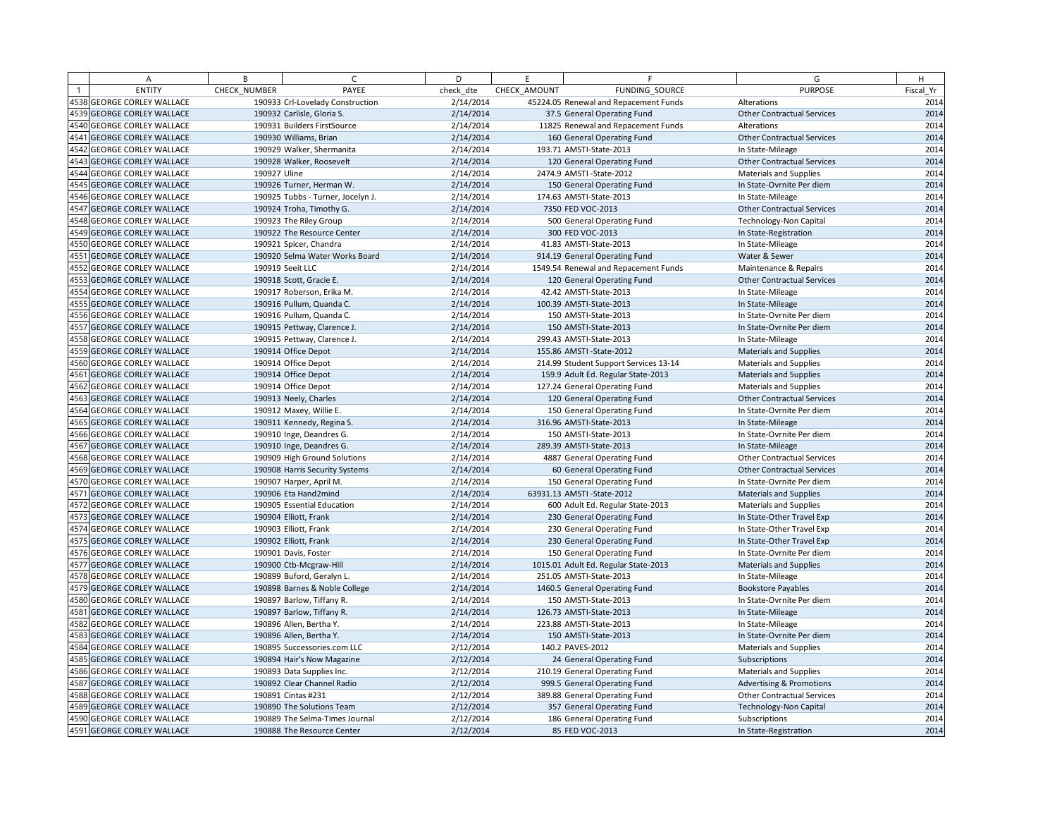|      | Α                            | B            | $\epsilon$                        | D         | F.           | F                                     | G                                 | H         |
|------|------------------------------|--------------|-----------------------------------|-----------|--------------|---------------------------------------|-----------------------------------|-----------|
|      | <b>ENTITY</b>                | CHECK NUMBER | PAYEE                             | check dte | CHECK AMOUNT | FUNDING SOURCE                        | <b>PURPOSE</b>                    | Fiscal Yr |
|      | 4538 GEORGE CORLEY WALLACE   |              | 190933 Crl-Lovelady Construction  | 2/14/2014 |              | 45224.05 Renewal and Repacement Funds | Alterations                       | 2014      |
|      | 4539 GEORGE CORLEY WALLACE   |              | 190932 Carlisle, Gloria S.        | 2/14/2014 |              | 37.5 General Operating Fund           | <b>Other Contractual Services</b> | 2014      |
| 4540 | <b>GEORGE CORLEY WALLACE</b> |              | 190931 Builders FirstSource       | 2/14/2014 |              | 11825 Renewal and Repacement Funds    | Alterations                       | 2014      |
| 4541 | <b>GEORGE CORLEY WALLACE</b> |              | 190930 Williams, Brian            | 2/14/2014 |              | 160 General Operating Fund            | <b>Other Contractual Services</b> | 2014      |
| 4542 | <b>GEORGE CORLEY WALLACE</b> |              | 190929 Walker, Shermanita         | 2/14/2014 |              | 193.71 AMSTI-State-2013               | In State-Mileage                  | 2014      |
| 4543 | <b>GEORGE CORLEY WALLACE</b> |              | 190928 Walker, Roosevelt          | 2/14/2014 |              | 120 General Operating Fund            | <b>Other Contractual Services</b> | 2014      |
| 4544 | <b>GEORGE CORLEY WALLACE</b> | 190927 Uline |                                   | 2/14/2014 |              | 2474.9 AMSTI-State-2012               | <b>Materials and Supplies</b>     | 2014      |
| 4545 | <b>GEORGE CORLEY WALLACE</b> |              | 190926 Turner, Herman W.          | 2/14/2014 |              | 150 General Operating Fund            | In State-Ovrnite Per diem         | 2014      |
|      | 4546 GEORGE CORLEY WALLACE   |              | 190925 Tubbs - Turner, Jocelyn J. | 2/14/2014 |              | 174.63 AMSTI-State-2013               | In State-Mileage                  | 2014      |
|      | 4547 GEORGE CORLEY WALLACE   |              | 190924 Troha, Timothy G.          | 2/14/2014 |              | 7350 FED VOC-2013                     | <b>Other Contractual Services</b> | 2014      |
| 4548 | <b>GEORGE CORLEY WALLACE</b> |              | 190923 The Riley Group            | 2/14/2014 |              | 500 General Operating Fund            | <b>Technology-Non Capital</b>     | 2014      |
|      | 4549 GEORGE CORLEY WALLACE   |              | 190922 The Resource Center        | 2/14/2014 |              | 300 FED VOC-2013                      | In State-Registration             | 2014      |
| 4550 | <b>GEORGE CORLEY WALLACE</b> |              | 190921 Spicer, Chandra            | 2/14/2014 |              | 41.83 AMSTI-State-2013                | In State-Mileage                  | 2014      |
| 4551 | <b>GEORGE CORLEY WALLACE</b> |              | 190920 Selma Water Works Board    | 2/14/2014 |              | 914.19 General Operating Fund         | Water & Sewer                     | 2014      |
| 4552 | <b>GEORGE CORLEY WALLACE</b> |              | 190919 Seeit LLC                  | 2/14/2014 |              | 1549.54 Renewal and Repacement Funds  | Maintenance & Repairs             | 2014      |
|      | 4553 GEORGE CORLEY WALLACE   |              | 190918 Scott, Gracie E.           | 2/14/2014 |              | 120 General Operating Fund            | <b>Other Contractual Services</b> | 2014      |
|      | 4554 GEORGE CORLEY WALLACE   |              | 190917 Roberson, Erika M.         | 2/14/2014 |              | 42.42 AMSTI-State-2013                | In State-Mileage                  | 2014      |
|      | 4555 GEORGE CORLEY WALLACE   |              | 190916 Pullum, Quanda C.          | 2/14/2014 |              | 100.39 AMSTI-State-2013               | In State-Mileage                  | 2014      |
| 4556 | <b>GEORGE CORLEY WALLACE</b> |              | 190916 Pullum, Quanda C.          | 2/14/2014 |              | 150 AMSTI-State-2013                  | In State-Ovrnite Per diem         | 2014      |
| 4557 | <b>GEORGE CORLEY WALLACE</b> |              | 190915 Pettway, Clarence J.       | 2/14/2014 |              | 150 AMSTI-State-2013                  | In State-Ovrnite Per diem         | 2014      |
| 4558 | <b>GEORGE CORLEY WALLACE</b> |              | 190915 Pettway, Clarence J.       | 2/14/2014 |              | 299.43 AMSTI-State-2013               | In State-Mileage                  | 2014      |
|      | 4559 GEORGE CORLEY WALLACE   |              | 190914 Office Depot               | 2/14/2014 |              | 155.86 AMSTI-State-2012               | Materials and Supplies            | 2014      |
| 4560 | <b>GEORGE CORLEY WALLACE</b> |              | 190914 Office Depot               | 2/14/2014 |              | 214.99 Student Support Services 13-14 | <b>Materials and Supplies</b>     | 2014      |
| 4561 | <b>GEORGE CORLEY WALLACE</b> |              | 190914 Office Depot               | 2/14/2014 |              | 159.9 Adult Ed. Regular State-2013    | Materials and Supplies            | 2014      |
| 4562 | <b>GEORGE CORLEY WALLACE</b> |              | 190914 Office Depot               | 2/14/2014 |              | 127.24 General Operating Fund         | <b>Materials and Supplies</b>     | 2014      |
|      | 4563 GEORGE CORLEY WALLACE   |              | 190913 Neely, Charles             | 2/14/2014 |              | 120 General Operating Fund            | <b>Other Contractual Services</b> | 2014      |
| 4564 | <b>GEORGE CORLEY WALLACE</b> |              | 190912 Maxey, Willie E.           | 2/14/2014 |              | 150 General Operating Fund            | In State-Ovrnite Per diem         | 2014      |
|      | 4565 GEORGE CORLEY WALLACE   |              | 190911 Kennedy, Regina S.         | 2/14/2014 |              | 316.96 AMSTI-State-2013               | In State-Mileage                  | 2014      |
|      | 4566 GEORGE CORLEY WALLACE   |              | 190910 Inge, Deandres G.          | 2/14/2014 |              | 150 AMSTI-State-2013                  | In State-Ovrnite Per diem         | 2014      |
|      | 4567 GEORGE CORLEY WALLACE   |              | 190910 Inge, Deandres G.          | 2/14/2014 |              | 289.39 AMSTI-State-2013               | In State-Mileage                  | 2014      |
|      | 4568 GEORGE CORLEY WALLACE   |              | 190909 High Ground Solutions      | 2/14/2014 |              | 4887 General Operating Fund           | <b>Other Contractual Services</b> | 2014      |
|      | 4569 GEORGE CORLEY WALLACE   |              | 190908 Harris Security Systems    | 2/14/2014 |              | 60 General Operating Fund             | <b>Other Contractual Services</b> | 2014      |
| 4570 | <b>GEORGE CORLEY WALLACE</b> |              | 190907 Harper, April M.           | 2/14/2014 |              | 150 General Operating Fund            | In State-Ovrnite Per diem         | 2014      |
| 4571 | <b>GEORGE CORLEY WALLACE</b> |              | 190906 Eta Hand2mind              | 2/14/2014 |              | 63931.13 AMSTI-State-2012             | <b>Materials and Supplies</b>     | 2014      |
| 4572 | <b>GEORGE CORLEY WALLACE</b> |              | 190905 Essential Education        | 2/14/2014 |              | 600 Adult Ed. Regular State-2013      | <b>Materials and Supplies</b>     | 2014      |
|      | 4573 GEORGE CORLEY WALLACE   |              | 190904 Elliott, Frank             | 2/14/2014 |              | 230 General Operating Fund            | In State-Other Travel Exp         | 2014      |
|      | 4574 GEORGE CORLEY WALLACE   |              | 190903 Elliott, Frank             | 2/14/2014 |              | 230 General Operating Fund            | In State-Other Travel Exp         | 2014      |
|      | 4575 GEORGE CORLEY WALLACE   |              | 190902 Elliott, Frank             | 2/14/2014 |              | 230 General Operating Fund            | In State-Other Travel Exp         | 2014      |
|      | 4576 GEORGE CORLEY WALLACE   |              | 190901 Davis, Foster              | 2/14/2014 |              | 150 General Operating Fund            | In State-Ovrnite Per diem         | 2014      |
|      | 4577 GEORGE CORLEY WALLACE   |              | 190900 Ctb-Mcgraw-Hill            | 2/14/2014 |              | 1015.01 Adult Ed. Regular State-2013  | Materials and Supplies            | 2014      |
|      | 4578 GEORGE CORLEY WALLACE   |              | 190899 Buford, Geralyn L.         | 2/14/2014 |              | 251.05 AMSTI-State-2013               | In State-Mileage                  | 2014      |
|      | 4579 GEORGE CORLEY WALLACE   |              | 190898 Barnes & Noble College     | 2/14/2014 |              | 1460.5 General Operating Fund         | <b>Bookstore Payables</b>         | 2014      |
|      | 4580 GEORGE CORLEY WALLACE   |              | 190897 Barlow, Tiffany R.         | 2/14/2014 |              | 150 AMSTI-State-2013                  | In State-Ovrnite Per diem         | 2014      |
| 4581 | <b>GEORGE CORLEY WALLACE</b> |              | 190897 Barlow, Tiffany R.         | 2/14/2014 |              | 126.73 AMSTI-State-2013               | In State-Mileage                  | 2014      |
|      | 4582 GEORGE CORLEY WALLACE   |              | 190896 Allen, Bertha Y.           | 2/14/2014 |              | 223.88 AMSTI-State-2013               | In State-Mileage                  | 2014      |
| 4583 | <b>GEORGE CORLEY WALLACE</b> |              | 190896 Allen, Bertha Y.           | 2/14/2014 |              | 150 AMSTI-State-2013                  | In State-Ovrnite Per diem         | 2014      |
| 4584 | <b>GEORGE CORLEY WALLACE</b> |              | 190895 Successories.com LLC       | 2/12/2014 |              | 140.2 PAVES-2012                      | <b>Materials and Supplies</b>     | 2014      |
|      | 4585 GEORGE CORLEY WALLACE   |              | 190894 Hair's Now Magazine        | 2/12/2014 |              | 24 General Operating Fund             | Subscriptions                     | 2014      |
| 4586 | <b>GEORGE CORLEY WALLACE</b> |              | 190893 Data Supplies Inc.         | 2/12/2014 |              | 210.19 General Operating Fund         | Materials and Supplies            | 2014      |
| 4587 | <b>GEORGE CORLEY WALLACE</b> |              | 190892 Clear Channel Radio        | 2/12/2014 |              | 999.5 General Operating Fund          | Advertising & Promotions          | 2014      |
|      | 4588 GEORGE CORLEY WALLACE   |              | 190891 Cintas #231                | 2/12/2014 |              | 389.88 General Operating Fund         | <b>Other Contractual Services</b> | 2014      |
|      | 4589 GEORGE CORLEY WALLACE   |              | 190890 The Solutions Team         | 2/12/2014 |              | 357 General Operating Fund            | <b>Technology-Non Capital</b>     | 2014      |
|      | 4590 GEORGE CORLEY WALLACE   |              | 190889 The Selma-Times Journal    | 2/12/2014 |              | 186 General Operating Fund            | Subscriptions                     | 2014      |
|      | 4591 GEORGE CORLEY WALLACE   |              | 190888 The Resource Center        | 2/12/2014 |              | 85 FED VOC-2013                       | In State-Registration             | 2014      |
|      |                              |              |                                   |           |              |                                       |                                   |           |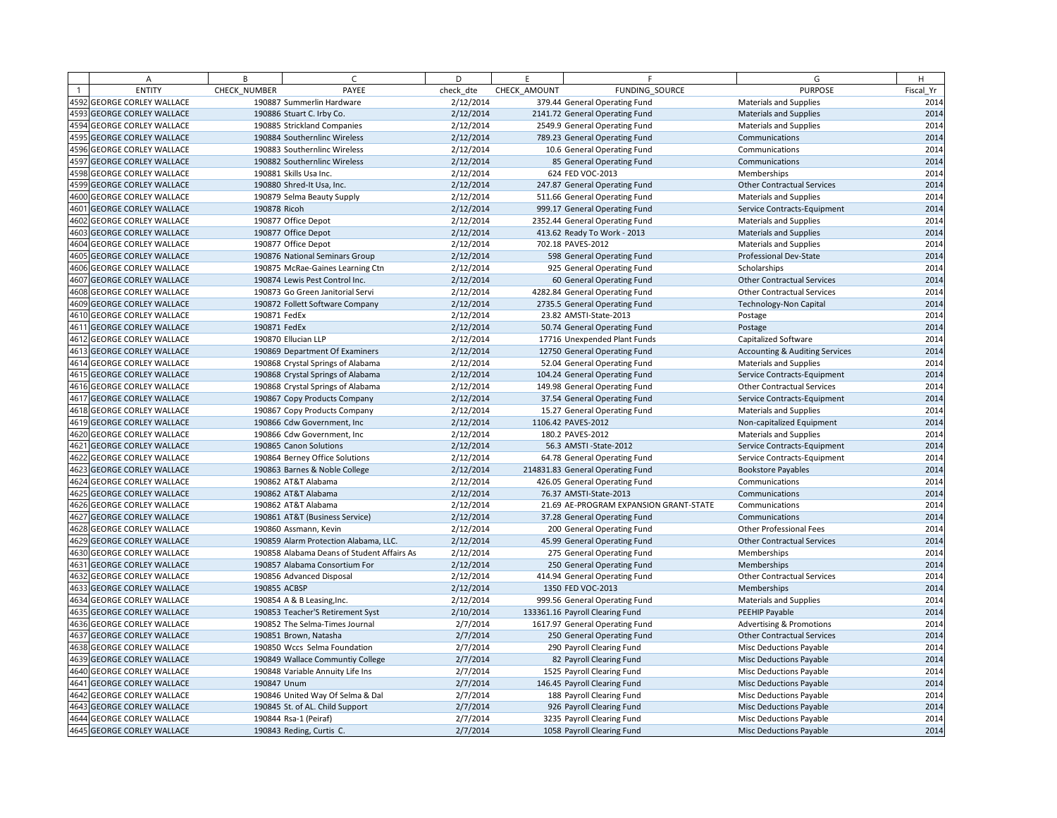| A                                 | B            | $\sqrt{2}$                                 | D         | E            | F.                                     | G                                         | H         |
|-----------------------------------|--------------|--------------------------------------------|-----------|--------------|----------------------------------------|-------------------------------------------|-----------|
| <b>ENTITY</b>                     | CHECK NUMBER | PAYEE                                      | check dte | CHECK AMOUNT | FUNDING SOURCE                         | <b>PURPOSE</b>                            | Fiscal Yr |
| 4592 GEORGE CORLEY WALLACE        |              | 190887 Summerlin Hardware                  | 2/12/2014 |              | 379.44 General Operating Fund          | <b>Materials and Supplies</b>             | 2014      |
| 4593 GEORGE CORLEY WALLACE        |              | 190886 Stuart C. Irby Co.                  | 2/12/2014 |              | 2141.72 General Operating Fund         | <b>Materials and Supplies</b>             | 2014      |
| 4594 GEORGE CORLEY WALLACE        |              | 190885 Strickland Companies                | 2/12/2014 |              | 2549.9 General Operating Fund          | <b>Materials and Supplies</b>             | 2014      |
| 4595 GEORGE CORLEY WALLACE        |              | 190884 Southernlinc Wireless               | 2/12/2014 |              | 789.23 General Operating Fund          | Communications                            | 2014      |
| 4596 GEORGE CORLEY WALLACE        |              | 190883 Southernlinc Wireless               | 2/12/2014 |              | 10.6 General Operating Fund            | Communications                            | 2014      |
| 4597 GEORGE CORLEY WALLACE        |              | 190882 Southernlinc Wireless               | 2/12/2014 |              | 85 General Operating Fund              | Communications                            | 2014      |
| 4598 GEORGE CORLEY WALLACE        |              | 190881 Skills Usa Inc.                     | 2/12/2014 |              | 624 FED VOC-2013                       | Memberships                               | 2014      |
| 4599 GEORGE CORLEY WALLACE        |              | 190880 Shred-It Usa, Inc.                  | 2/12/2014 |              | 247.87 General Operating Fund          | <b>Other Contractual Services</b>         | 2014      |
| 4600 GEORGE CORLEY WALLACE        |              | 190879 Selma Beauty Supply                 | 2/12/2014 |              | 511.66 General Operating Fund          | Materials and Supplies                    | 2014      |
| 4601 GEORGE CORLEY WALLACE        | 190878 Ricoh |                                            | 2/12/2014 |              | 999.17 General Operating Fund          | Service Contracts-Equipment               | 2014      |
| 4602 GEORGE CORLEY WALLACE        |              | 190877 Office Depot                        | 2/12/2014 |              | 2352.44 General Operating Fund         | <b>Materials and Supplies</b>             | 2014      |
| 4603 GEORGE CORLEY WALLACE        |              | 190877 Office Depot                        | 2/12/2014 |              | 413.62 Ready To Work - 2013            | <b>Materials and Supplies</b>             | 2014      |
| 4604 GEORGE CORLEY WALLACE        |              | 190877 Office Depot                        | 2/12/2014 |              | 702.18 PAVES-2012                      | <b>Materials and Supplies</b>             | 2014      |
| 4605 GEORGE CORLEY WALLACE        |              | 190876 National Seminars Group             | 2/12/2014 |              | 598 General Operating Fund             | Professional Dev-State                    | 2014      |
| 4606 GEORGE CORLEY WALLACE        |              | 190875 McRae-Gaines Learning Ctn           | 2/12/2014 |              | 925 General Operating Fund             | Scholarships                              | 2014      |
| 4607 GEORGE CORLEY WALLACE        |              | 190874 Lewis Pest Control Inc.             | 2/12/2014 |              | 60 General Operating Fund              | <b>Other Contractual Services</b>         | 2014      |
| 4608 GEORGE CORLEY WALLACE        |              | 190873 Go Green Janitorial Servi           | 2/12/2014 |              | 4282.84 General Operating Fund         | <b>Other Contractual Services</b>         | 2014      |
| 4609 GEORGE CORLEY WALLACE        |              | 190872 Follett Software Company            | 2/12/2014 |              | 2735.5 General Operating Fund          | <b>Technology-Non Capital</b>             | 2014      |
| 4610 GEORGE CORLEY WALLACE        | 190871 FedEx |                                            | 2/12/2014 |              | 23.82 AMSTI-State-2013                 | Postage                                   | 2014      |
| 4611 GEORGE CORLEY WALLACE        | 190871 FedEx |                                            | 2/12/2014 |              | 50.74 General Operating Fund           | Postage                                   | 2014      |
| 4612 GEORGE CORLEY WALLACE        |              | 190870 Ellucian LLP                        | 2/12/2014 |              | 17716 Unexpended Plant Funds           | Capitalized Software                      | 2014      |
| 4613 GEORGE CORLEY WALLACE        |              | 190869 Department Of Examiners             | 2/12/2014 |              | 12750 General Operating Fund           | <b>Accounting &amp; Auditing Services</b> | 2014      |
| 4614 GEORGE CORLEY WALLACE        |              | 190868 Crystal Springs of Alabama          | 2/12/2014 |              | 52.04 General Operating Fund           | <b>Materials and Supplies</b>             | 2014      |
| 4615 GEORGE CORLEY WALLACE        |              | 190868 Crystal Springs of Alabama          | 2/12/2014 |              | 104.24 General Operating Fund          | Service Contracts-Equipment               | 2014      |
| 4616 GEORGE CORLEY WALLACE        |              | 190868 Crystal Springs of Alabama          | 2/12/2014 |              | 149.98 General Operating Fund          | <b>Other Contractual Services</b>         | 2014      |
| 4617 GEORGE CORLEY WALLACE        |              | 190867 Copy Products Company               | 2/12/2014 |              | 37.54 General Operating Fund           | Service Contracts-Equipment               | 2014      |
| 4618 GEORGE CORLEY WALLACE        |              | 190867 Copy Products Company               | 2/12/2014 |              | 15.27 General Operating Fund           | Materials and Supplies                    | 2014      |
| <b>4619 GEORGE CORLEY WALLACE</b> |              | 190866 Cdw Government, Inc.                | 2/12/2014 |              | 1106.42 PAVES-2012                     | Non-capitalized Equipment                 | 2014      |
| 4620 GEORGE CORLEY WALLACE        |              | 190866 Cdw Government, Inc                 | 2/12/2014 |              | 180.2 PAVES-2012                       | <b>Materials and Supplies</b>             | 2014      |
| 4621 GEORGE CORLEY WALLACE        |              | 190865 Canon Solutions                     | 2/12/2014 |              | 56.3 AMSTI-State-2012                  | Service Contracts-Equipment               | 2014      |
| 4622 GEORGE CORLEY WALLACE        |              | 190864 Berney Office Solutions             | 2/12/2014 |              | 64.78 General Operating Fund           | Service Contracts-Equipment               | 2014      |
| 4623 GEORGE CORLEY WALLACE        |              | 190863 Barnes & Noble College              | 2/12/2014 |              | 214831.83 General Operating Fund       | <b>Bookstore Payables</b>                 | 2014      |
| 4624 GEORGE CORLEY WALLACE        |              | 190862 AT&T Alabama                        | 2/12/2014 |              | 426.05 General Operating Fund          | Communications                            | 2014      |
| <b>4625 GEORGE CORLEY WALLACE</b> |              | 190862 AT&T Alabama                        | 2/12/2014 |              | 76.37 AMSTI-State-2013                 | Communications                            | 2014      |
| 4626 GEORGE CORLEY WALLACE        |              | 190862 AT&T Alabama                        | 2/12/2014 |              | 21.69 AE-PROGRAM EXPANSION GRANT-STATE | Communications                            | 2014      |
| 4627 GEORGE CORLEY WALLACE        |              | 190861 AT&T (Business Service)             | 2/12/2014 |              | 37.28 General Operating Fund           | Communications                            | 2014      |
| 4628 GEORGE CORLEY WALLACE        |              | 190860 Assmann, Kevin                      | 2/12/2014 |              | 200 General Operating Fund             | <b>Other Professional Fees</b>            | 2014      |
| 4629 GEORGE CORLEY WALLACE        |              | 190859 Alarm Protection Alabama, LLC.      | 2/12/2014 |              | 45.99 General Operating Fund           | <b>Other Contractual Services</b>         | 2014      |
| 4630 GEORGE CORLEY WALLACE        |              | 190858 Alabama Deans of Student Affairs As | 2/12/2014 |              | 275 General Operating Fund             | Memberships                               | 2014      |
| 4631 GEORGE CORLEY WALLACE        |              | 190857 Alabama Consortium For              | 2/12/2014 |              | 250 General Operating Fund             | Memberships                               | 2014      |
| 4632 GEORGE CORLEY WALLACE        |              | 190856 Advanced Disposal                   | 2/12/2014 |              | 414.94 General Operating Fund          | <b>Other Contractual Services</b>         | 2014      |
| 4633 GEORGE CORLEY WALLACE        | 190855 ACBSP |                                            | 2/12/2014 |              | 1350 FED VOC-2013                      | Memberships                               | 2014      |
| 4634 GEORGE CORLEY WALLACE        |              | 190854 A & B Leasing, Inc.                 | 2/12/2014 |              | 999.56 General Operating Fund          | <b>Materials and Supplies</b>             | 2014      |
| 4635 GEORGE CORLEY WALLACE        |              | 190853 Teacher'S Retirement Syst           | 2/10/2014 |              | 133361.16 Payroll Clearing Fund        | PEEHIP Payable                            | 2014      |
| 4636 GEORGE CORLEY WALLACE        |              | 190852 The Selma-Times Journal             | 2/7/2014  |              | 1617.97 General Operating Fund         | <b>Advertising &amp; Promotions</b>       | 2014      |
| <b>4637 GEORGE CORLEY WALLACE</b> |              | 190851 Brown, Natasha                      | 2/7/2014  |              | 250 General Operating Fund             | <b>Other Contractual Services</b>         | 2014      |
| 4638 GEORGE CORLEY WALLACE        |              | 190850 Wccs Selma Foundation               | 2/7/2014  |              | 290 Payroll Clearing Fund              | Misc Deductions Payable                   | 2014      |
| 4639 GEORGE CORLEY WALLACE        |              | 190849 Wallace Communtiy College           | 2/7/2014  |              | 82 Payroll Clearing Fund               | Misc Deductions Payable                   | 2014      |
| <b>4640 GEORGE CORLEY WALLACE</b> |              | 190848 Variable Annuity Life Ins           | 2/7/2014  |              | 1525 Payroll Clearing Fund             | <b>Misc Deductions Payable</b>            | 2014      |
| 4641 GEORGE CORLEY WALLACE        | 190847 Unum  |                                            | 2/7/2014  |              | 146.45 Payroll Clearing Fund           | <b>Misc Deductions Payable</b>            | 2014      |
| 4642 GEORGE CORLEY WALLACE        |              | 190846 United Way Of Selma & Dal           | 2/7/2014  |              | 188 Payroll Clearing Fund              | Misc Deductions Payable                   | 2014      |
| <b>4643 GEORGE CORLEY WALLACE</b> |              | 190845 St. of AL. Child Support            | 2/7/2014  |              | 926 Payroll Clearing Fund              | Misc Deductions Payable                   | 2014      |
| 4644 GEORGE CORLEY WALLACE        |              | 190844 Rsa-1 (Peiraf)                      | 2/7/2014  |              | 3235 Payroll Clearing Fund             | Misc Deductions Payable                   | 2014      |
| 4645 GEORGE CORLEY WALLACE        |              | 190843 Reding, Curtis C.                   | 2/7/2014  |              | 1058 Payroll Clearing Fund             | <b>Misc Deductions Payable</b>            | 2014      |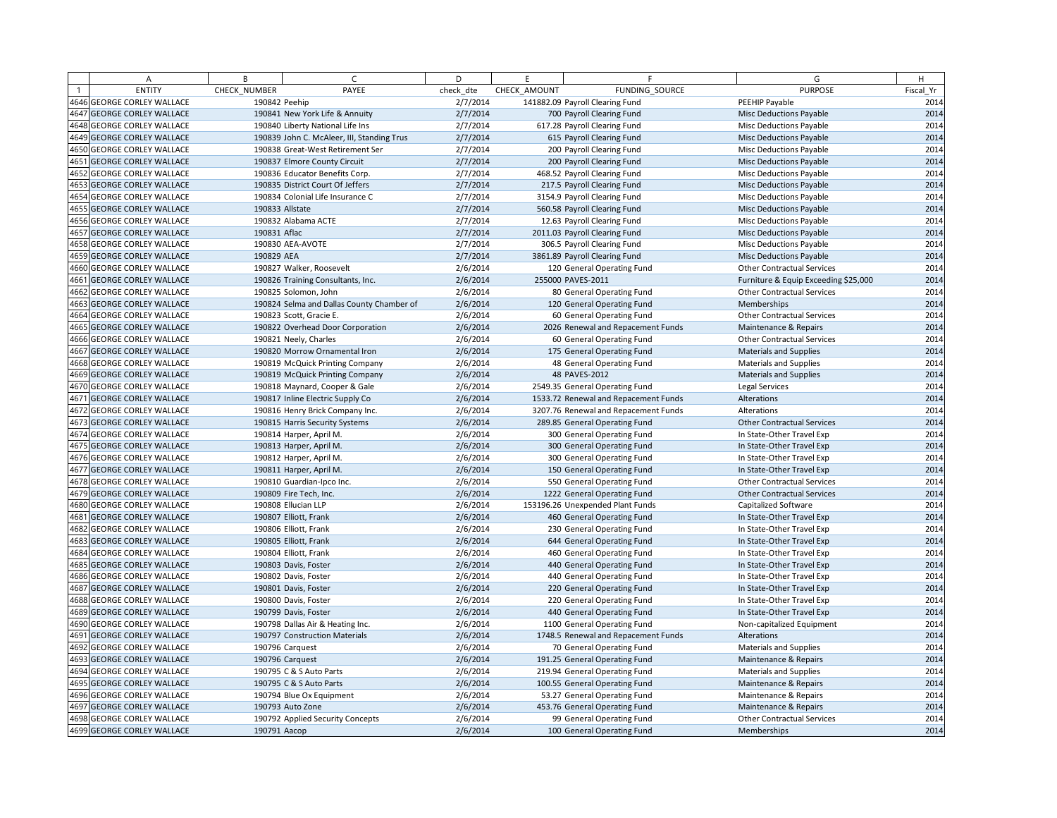| А                                 | B             | $\sqrt{ }$                                 | D         | E            | F                                    | G                                    | H         |
|-----------------------------------|---------------|--------------------------------------------|-----------|--------------|--------------------------------------|--------------------------------------|-----------|
| <b>ENTITY</b>                     | CHECK NUMBER  | PAYEE                                      | check dte | CHECK AMOUNT | FUNDING_SOURCE                       | <b>PURPOSE</b>                       | Fiscal Yr |
| <b>4646 GEORGE CORLEY WALLACE</b> | 190842 Peehip |                                            | 2/7/2014  |              | 141882.09 Payroll Clearing Fund      | PEEHIP Payable                       | 2014      |
| 4647 GEORGE CORLEY WALLACE        |               | 190841 New York Life & Annuity             | 2/7/2014  |              | 700 Payroll Clearing Fund            | <b>Misc Deductions Payable</b>       | 2014      |
| 4648 GEORGE CORLEY WALLACE        |               | 190840 Liberty National Life Ins           | 2/7/2014  |              | 617.28 Payroll Clearing Fund         | Misc Deductions Payable              | 2014      |
| 4649 GEORGE CORLEY WALLACE        |               | 190839 John C. McAleer, III, Standing Trus | 2/7/2014  |              | 615 Payroll Clearing Fund            | <b>Misc Deductions Payable</b>       | 2014      |
| 4650 GEORGE CORLEY WALLACE        |               | 190838 Great-West Retirement Ser           | 2/7/2014  |              | 200 Payroll Clearing Fund            | Misc Deductions Payable              | 2014      |
| 4651 GEORGE CORLEY WALLACE        |               | 190837 Elmore County Circuit               | 2/7/2014  |              | 200 Payroll Clearing Fund            | Misc Deductions Payable              | 2014      |
| 4652 GEORGE CORLEY WALLACE        |               | 190836 Educator Benefits Corp.             | 2/7/2014  |              | 468.52 Payroll Clearing Fund         | <b>Misc Deductions Payable</b>       | 2014      |
| 4653 GEORGE CORLEY WALLACE        |               | 190835 District Court Of Jeffers           | 2/7/2014  |              | 217.5 Payroll Clearing Fund          | Misc Deductions Payable              | 2014      |
| 4654 GEORGE CORLEY WALLACE        |               | 190834 Colonial Life Insurance C           | 2/7/2014  |              | 3154.9 Payroll Clearing Fund         | Misc Deductions Payable              | 2014      |
| 4655 GEORGE CORLEY WALLACE        |               | 190833 Allstate                            | 2/7/2014  |              | 560.58 Payroll Clearing Fund         | <b>Misc Deductions Payable</b>       | 2014      |
| 4656 GEORGE CORLEY WALLACE        |               | 190832 Alabama ACTE                        | 2/7/2014  |              | 12.63 Payroll Clearing Fund          | Misc Deductions Payable              | 2014      |
| 4657 GEORGE CORLEY WALLACE        | 190831 Aflac  |                                            | 2/7/2014  |              | 2011.03 Payroll Clearing Fund        | <b>Misc Deductions Payable</b>       | 2014      |
| 4658 GEORGE CORLEY WALLACE        |               | 190830 AEA-AVOTE                           | 2/7/2014  |              | 306.5 Payroll Clearing Fund          | <b>Misc Deductions Payable</b>       | 2014      |
| 4659 GEORGE CORLEY WALLACE        | 190829 AEA    |                                            | 2/7/2014  |              | 3861.89 Payroll Clearing Fund        | <b>Misc Deductions Payable</b>       | 2014      |
| 4660 GEORGE CORLEY WALLACE        |               | 190827 Walker, Roosevelt                   | 2/6/2014  |              | 120 General Operating Fund           | <b>Other Contractual Services</b>    | 2014      |
| 4661 GEORGE CORLEY WALLACE        |               | 190826 Training Consultants, Inc.          | 2/6/2014  |              | 255000 PAVES-2011                    | Furniture & Equip Exceeding \$25,000 | 2014      |
| 4662 GEORGE CORLEY WALLACE        |               | 190825 Solomon, John                       | 2/6/2014  |              | 80 General Operating Fund            | <b>Other Contractual Services</b>    | 2014      |
| 4663 GEORGE CORLEY WALLACE        |               | 190824 Selma and Dallas County Chamber of  | 2/6/2014  |              | 120 General Operating Fund           | Memberships                          | 2014      |
| 4664 GEORGE CORLEY WALLACE        |               | 190823 Scott, Gracie E.                    | 2/6/2014  |              | 60 General Operating Fund            | <b>Other Contractual Services</b>    | 2014      |
| 4665 GEORGE CORLEY WALLACE        |               | 190822 Overhead Door Corporation           | 2/6/2014  |              | 2026 Renewal and Repacement Funds    | Maintenance & Repairs                | 2014      |
| 4666 GEORGE CORLEY WALLACE        |               | 190821 Neely, Charles                      | 2/6/2014  |              | 60 General Operating Fund            | <b>Other Contractual Services</b>    | 2014      |
| 4667 GEORGE CORLEY WALLACE        |               | 190820 Morrow Ornamental Iron              | 2/6/2014  |              | 175 General Operating Fund           | <b>Materials and Supplies</b>        | 2014      |
| 4668 GEORGE CORLEY WALLACE        |               | 190819 McQuick Printing Company            | 2/6/2014  |              | 48 General Operating Fund            | <b>Materials and Supplies</b>        | 2014      |
| 4669 GEORGE CORLEY WALLACE        |               | 190819 McQuick Printing Company            | 2/6/2014  |              | 48 PAVES-2012                        | <b>Materials and Supplies</b>        | 2014      |
| 4670 GEORGE CORLEY WALLACE        |               | 190818 Maynard, Cooper & Gale              | 2/6/2014  |              | 2549.35 General Operating Fund       | Legal Services                       | 2014      |
| 4671 GEORGE CORLEY WALLACE        |               | 190817 Inline Electric Supply Co           | 2/6/2014  |              | 1533.72 Renewal and Repacement Funds | Alterations                          | 2014      |
| 4672 GEORGE CORLEY WALLACE        |               | 190816 Henry Brick Company Inc.            | 2/6/2014  |              | 3207.76 Renewal and Repacement Funds | Alterations                          | 2014      |
| 4673 GEORGE CORLEY WALLACE        |               | 190815 Harris Security Systems             | 2/6/2014  |              | 289.85 General Operating Fund        | <b>Other Contractual Services</b>    | 2014      |
| 4674 GEORGE CORLEY WALLACE        |               | 190814 Harper, April M.                    | 2/6/2014  |              | 300 General Operating Fund           | In State-Other Travel Exp            | 2014      |
| 4675 GEORGE CORLEY WALLACE        |               | 190813 Harper, April M.                    | 2/6/2014  |              | 300 General Operating Fund           | In State-Other Travel Exp            | 2014      |
| 4676 GEORGE CORLEY WALLACE        |               | 190812 Harper, April M.                    | 2/6/2014  |              | 300 General Operating Fund           | In State-Other Travel Exp            | 2014      |
| 4677 GEORGE CORLEY WALLACE        |               | 190811 Harper, April M.                    | 2/6/2014  |              | 150 General Operating Fund           | In State-Other Travel Exp            | 2014      |
| 4678 GEORGE CORLEY WALLACE        |               | 190810 Guardian-Ipco Inc.                  | 2/6/2014  |              | 550 General Operating Fund           | <b>Other Contractual Services</b>    | 2014      |
| 4679 GEORGE CORLEY WALLACE        |               | 190809 Fire Tech, Inc.                     | 2/6/2014  |              | 1222 General Operating Fund          | <b>Other Contractual Services</b>    | 2014      |
| 4680 GEORGE CORLEY WALLACE        |               | 190808 Ellucian LLP                        | 2/6/2014  |              | 153196.26 Unexpended Plant Funds     | Capitalized Software                 | 2014      |
| 4681 GEORGE CORLEY WALLACE        |               | 190807 Elliott, Frank                      | 2/6/2014  |              | 460 General Operating Fund           | In State-Other Travel Exp            | 2014      |
| 4682 GEORGE CORLEY WALLACE        |               | 190806 Elliott, Frank                      | 2/6/2014  |              | 230 General Operating Fund           | In State-Other Travel Exp            | 2014      |
| 4683 GEORGE CORLEY WALLACE        |               | 190805 Elliott, Frank                      | 2/6/2014  |              | 644 General Operating Fund           | In State-Other Travel Exp            | 2014      |
| 4684 GEORGE CORLEY WALLACE        |               | 190804 Elliott, Frank                      | 2/6/2014  |              | 460 General Operating Fund           | In State-Other Travel Exp            | 2014      |
| <b>4685 GEORGE CORLEY WALLACE</b> |               | 190803 Davis, Foster                       | 2/6/2014  |              | 440 General Operating Fund           | In State-Other Travel Exp            | 2014      |
| 4686 GEORGE CORLEY WALLACE        |               | 190802 Davis, Foster                       | 2/6/2014  |              | 440 General Operating Fund           | In State-Other Travel Exp            | 2014      |
| 4687 GEORGE CORLEY WALLACE        |               | 190801 Davis, Foster                       | 2/6/2014  |              | 220 General Operating Fund           | In State-Other Travel Exp            | 2014      |
| 4688 GEORGE CORLEY WALLACE        |               | 190800 Davis, Foster                       | 2/6/2014  |              | 220 General Operating Fund           | In State-Other Travel Exp            | 2014      |
| 4689 GEORGE CORLEY WALLACE        |               | 190799 Davis, Foster                       | 2/6/2014  |              | 440 General Operating Fund           | In State-Other Travel Exp            | 2014      |
| 4690 GEORGE CORLEY WALLACE        |               | 190798 Dallas Air & Heating Inc.           | 2/6/2014  |              | 1100 General Operating Fund          | Non-capitalized Equipment            | 2014      |
| <b>4691 GEORGE CORLEY WALLACE</b> |               | 190797 Construction Materials              | 2/6/2014  |              | 1748.5 Renewal and Repacement Funds  | Alterations                          | 2014      |
| 4692 GEORGE CORLEY WALLACE        |               | 190796 Carquest                            | 2/6/2014  |              | 70 General Operating Fund            | <b>Materials and Supplies</b>        | 2014      |
| 4693 GEORGE CORLEY WALLACE        |               | 190796 Carquest                            | 2/6/2014  |              | 191.25 General Operating Fund        | Maintenance & Repairs                | 2014      |
| 4694 GEORGE CORLEY WALLACE        |               | 190795 C & S Auto Parts                    | 2/6/2014  |              | 219.94 General Operating Fund        | Materials and Supplies               | 2014      |
| 4695 GEORGE CORLEY WALLACE        |               | 190795 C & S Auto Parts                    | 2/6/2014  |              | 100.55 General Operating Fund        | Maintenance & Repairs                | 2014      |
| 4696 GEORGE CORLEY WALLACE        |               | 190794 Blue Ox Equipment                   | 2/6/2014  |              | 53.27 General Operating Fund         | Maintenance & Repairs                | 2014      |
| <b>4697 GEORGE CORLEY WALLACE</b> |               | 190793 Auto Zone                           | 2/6/2014  |              | 453.76 General Operating Fund        | Maintenance & Repairs                | 2014      |
| 4698 GEORGE CORLEY WALLACE        |               | 190792 Applied Security Concepts           | 2/6/2014  |              | 99 General Operating Fund            | <b>Other Contractual Services</b>    | 2014      |
| 4699 GEORGE CORLEY WALLACE        | 190791 Aacop  |                                            | 2/6/2014  |              | 100 General Operating Fund           | Memberships                          | 2014      |
|                                   |               |                                            |           |              |                                      |                                      |           |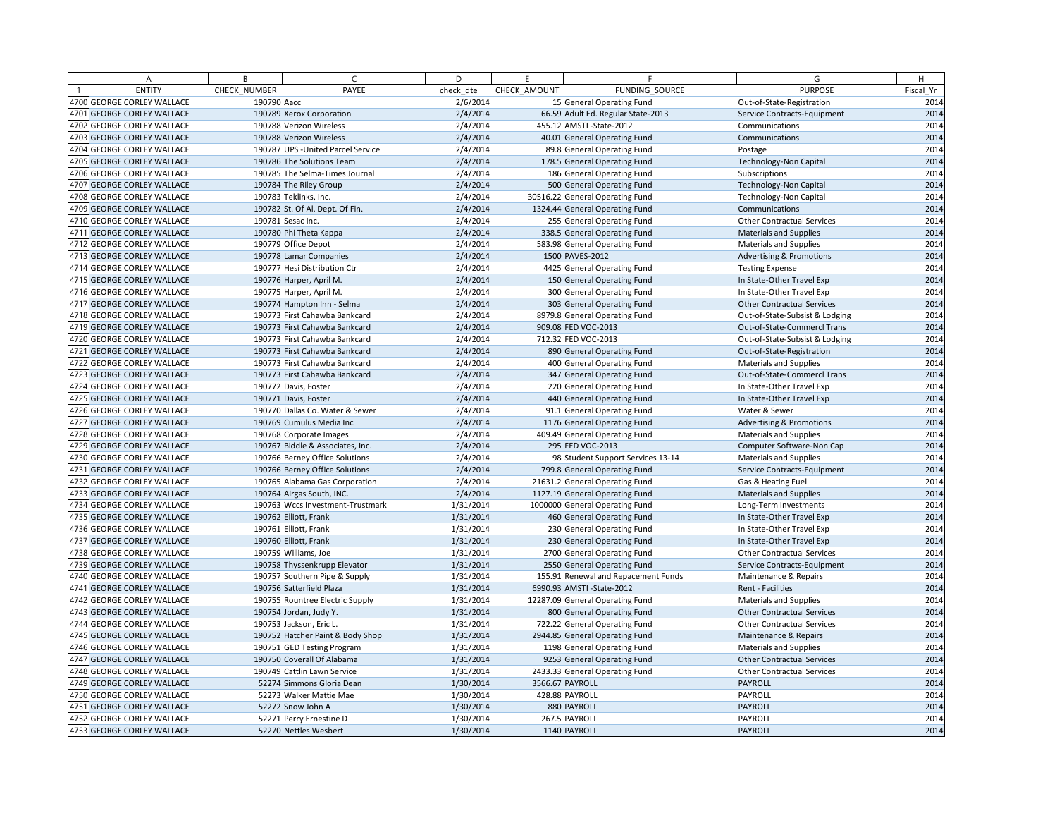| A                          | B            | $\epsilon$                         | D         | E            | F.                                  | G                                   | H         |
|----------------------------|--------------|------------------------------------|-----------|--------------|-------------------------------------|-------------------------------------|-----------|
| <b>ENTITY</b>              | CHECK NUMBER | PAYEE                              | check dte | CHECK AMOUNT | FUNDING SOURCE                      | <b>PURPOSE</b>                      | Fiscal Yr |
| 4700 GEORGE CORLEY WALLACE | 190790 Aacc  |                                    | 2/6/2014  |              | 15 General Operating Fund           | Out-of-State-Registration           | 2014      |
| 4701 GEORGE CORLEY WALLACE |              | 190789 Xerox Corporation           | 2/4/2014  |              | 66.59 Adult Ed. Regular State-2013  | Service Contracts-Equipment         | 2014      |
| 4702 GEORGE CORLEY WALLACE |              | 190788 Verizon Wireless            | 2/4/2014  |              | 455.12 AMSTI-State-2012             | Communications                      | 2014      |
| 4703 GEORGE CORLEY WALLACE |              | 190788 Verizon Wireless            | 2/4/2014  |              | 40.01 General Operating Fund        | Communications                      | 2014      |
| 4704 GEORGE CORLEY WALLACE |              | 190787 UPS - United Parcel Service | 2/4/2014  |              | 89.8 General Operating Fund         | Postage                             | 2014      |
| 4705 GEORGE CORLEY WALLACE |              | 190786 The Solutions Team          | 2/4/2014  |              | 178.5 General Operating Fund        | <b>Technology-Non Capital</b>       | 2014      |
| 4706 GEORGE CORLEY WALLACE |              | 190785 The Selma-Times Journal     | 2/4/2014  |              | 186 General Operating Fund          | Subscriptions                       | 2014      |
| 4707 GEORGE CORLEY WALLACE |              | 190784 The Riley Group             | 2/4/2014  |              | 500 General Operating Fund          | <b>Technology-Non Capital</b>       | 2014      |
| 4708 GEORGE CORLEY WALLACE |              | 190783 Teklinks, Inc.              | 2/4/2014  |              | 30516.22 General Operating Fund     | Technology-Non Capital              | 2014      |
| 4709 GEORGE CORLEY WALLACE |              | 190782 St. Of Al. Dept. Of Fin.    | 2/4/2014  |              | 1324.44 General Operating Fund      | Communications                      | 2014      |
| 4710 GEORGE CORLEY WALLACE |              | 190781 Sesac Inc.                  | 2/4/2014  |              | 255 General Operating Fund          | <b>Other Contractual Services</b>   | 2014      |
| 4711 GEORGE CORLEY WALLACE |              | 190780 Phi Theta Kappa             | 2/4/2014  |              | 338.5 General Operating Fund        | <b>Materials and Supplies</b>       | 2014      |
| 4712 GEORGE CORLEY WALLACE |              | 190779 Office Depot                | 2/4/2014  |              | 583.98 General Operating Fund       | <b>Materials and Supplies</b>       | 2014      |
| 4713 GEORGE CORLEY WALLACE |              | 190778 Lamar Companies             | 2/4/2014  |              | 1500 PAVES-2012                     | <b>Advertising &amp; Promotions</b> | 2014      |
| 4714 GEORGE CORLEY WALLACE |              | 190777 Hesi Distribution Ctr       | 2/4/2014  |              | 4425 General Operating Fund         | <b>Testing Expense</b>              | 2014      |
| 4715 GEORGE CORLEY WALLACE |              | 190776 Harper, April M.            | 2/4/2014  |              | 150 General Operating Fund          | In State-Other Travel Exp           | 2014      |
| 4716 GEORGE CORLEY WALLACE |              | 190775 Harper, April M.            | 2/4/2014  |              | 300 General Operating Fund          | In State-Other Travel Exp           | 2014      |
| 4717 GEORGE CORLEY WALLACE |              | 190774 Hampton Inn - Selma         | 2/4/2014  |              | 303 General Operating Fund          | <b>Other Contractual Services</b>   | 2014      |
| 4718 GEORGE CORLEY WALLACE |              | 190773 First Cahawba Bankcard      | 2/4/2014  |              | 8979.8 General Operating Fund       | Out-of-State-Subsist & Lodging      | 2014      |
| 4719 GEORGE CORLEY WALLACE |              | 190773 First Cahawba Bankcard      | 2/4/2014  |              | 909.08 FED VOC-2013                 | Out-of-State-Commercl Trans         | 2014      |
| 4720 GEORGE CORLEY WALLACE |              | 190773 First Cahawba Bankcard      | 2/4/2014  |              | 712.32 FED VOC-2013                 | Out-of-State-Subsist & Lodging      | 2014      |
| 4721 GEORGE CORLEY WALLACE |              | 190773 First Cahawba Bankcard      | 2/4/2014  |              | 890 General Operating Fund          | Out-of-State-Registration           | 2014      |
| 4722 GEORGE CORLEY WALLACE |              | 190773 First Cahawba Bankcard      | 2/4/2014  |              | 400 General Operating Fund          | <b>Materials and Supplies</b>       | 2014      |
| 4723 GEORGE CORLEY WALLACE |              | 190773 First Cahawba Bankcard      | 2/4/2014  |              | 347 General Operating Fund          | Out-of-State-Commercl Trans         | 2014      |
| 4724 GEORGE CORLEY WALLACE |              | 190772 Davis, Foster               | 2/4/2014  |              | 220 General Operating Fund          | In State-Other Travel Exp           | 2014      |
| 4725 GEORGE CORLEY WALLACE |              | 190771 Davis, Foster               | 2/4/2014  |              | 440 General Operating Fund          | In State-Other Travel Exp           | 2014      |
| 4726 GEORGE CORLEY WALLACE |              | 190770 Dallas Co. Water & Sewer    | 2/4/2014  |              | 91.1 General Operating Fund         | Water & Sewer                       | 2014      |
| 4727 GEORGE CORLEY WALLACE |              | 190769 Cumulus Media Inc           | 2/4/2014  |              | 1176 General Operating Fund         | <b>Advertising &amp; Promotions</b> | 2014      |
| 4728 GEORGE CORLEY WALLACE |              | 190768 Corporate Images            | 2/4/2014  |              | 409.49 General Operating Fund       | <b>Materials and Supplies</b>       | 2014      |
| 4729 GEORGE CORLEY WALLACE |              | 190767 Biddle & Associates, Inc.   | 2/4/2014  |              | 295 FED VOC-2013                    | Computer Software-Non Cap           | 2014      |
| 4730 GEORGE CORLEY WALLACE |              | 190766 Berney Office Solutions     | 2/4/2014  |              | 98 Student Support Services 13-14   | <b>Materials and Supplies</b>       | 2014      |
| 4731 GEORGE CORLEY WALLACE |              | 190766 Berney Office Solutions     | 2/4/2014  |              | 799.8 General Operating Fund        | Service Contracts-Equipment         | 2014      |
| 4732 GEORGE CORLEY WALLACE |              | 190765 Alabama Gas Corporation     | 2/4/2014  |              | 21631.2 General Operating Fund      | Gas & Heating Fuel                  | 2014      |
| 4733 GEORGE CORLEY WALLACE |              | 190764 Airgas South, INC.          | 2/4/2014  |              | 1127.19 General Operating Fund      | <b>Materials and Supplies</b>       | 2014      |
| 4734 GEORGE CORLEY WALLACE |              | 190763 Wccs Investment-Trustmark   | 1/31/2014 |              | 1000000 General Operating Fund      | Long-Term Investments               | 2014      |
| 4735 GEORGE CORLEY WALLACE |              | 190762 Elliott, Frank              | 1/31/2014 |              | 460 General Operating Fund          | In State-Other Travel Exp           | 2014      |
| 4736 GEORGE CORLEY WALLACE |              | 190761 Elliott, Frank              | 1/31/2014 |              | 230 General Operating Fund          | In State-Other Travel Exp           | 2014      |
| 4737 GEORGE CORLEY WALLACE |              | 190760 Elliott, Frank              | 1/31/2014 |              | 230 General Operating Fund          | In State-Other Travel Exp           | 2014      |
| 4738 GEORGE CORLEY WALLACE |              | 190759 Williams, Joe               | 1/31/2014 |              | 2700 General Operating Fund         | <b>Other Contractual Services</b>   | 2014      |
| 4739 GEORGE CORLEY WALLACE |              | 190758 Thyssenkrupp Elevator       | 1/31/2014 |              | 2550 General Operating Fund         | Service Contracts-Equipment         | 2014      |
| 4740 GEORGE CORLEY WALLACE |              | 190757 Southern Pipe & Supply      | 1/31/2014 |              | 155.91 Renewal and Repacement Funds | Maintenance & Repairs               | 2014      |
| 4741 GEORGE CORLEY WALLACE |              | 190756 Satterfield Plaza           | 1/31/2014 |              | 6990.93 AMSTI-State-2012            | Rent - Facilities                   | 2014      |
| 4742 GEORGE CORLEY WALLACE |              | 190755 Rountree Electric Supply    | 1/31/2014 |              | 12287.09 General Operating Fund     | <b>Materials and Supplies</b>       | 2014      |
| 4743 GEORGE CORLEY WALLACE |              | 190754 Jordan, Judy Y.             | 1/31/2014 |              | 800 General Operating Fund          | <b>Other Contractual Services</b>   | 2014      |
| 4744 GEORGE CORLEY WALLACE |              | 190753 Jackson, Eric L.            | 1/31/2014 |              | 722.22 General Operating Fund       | <b>Other Contractual Services</b>   | 2014      |
| 4745 GEORGE CORLEY WALLACE |              | 190752 Hatcher Paint & Body Shop   | 1/31/2014 |              | 2944.85 General Operating Fund      | Maintenance & Repairs               | 2014      |
| 4746 GEORGE CORLEY WALLACE |              | 190751 GED Testing Program         | 1/31/2014 |              | 1198 General Operating Fund         | <b>Materials and Supplies</b>       | 2014      |
| 4747 GEORGE CORLEY WALLACE |              | 190750 Coverall Of Alabama         | 1/31/2014 |              | 9253 General Operating Fund         | <b>Other Contractual Services</b>   | 2014      |
| 4748 GEORGE CORLEY WALLACE |              | 190749 Cattlin Lawn Service        | 1/31/2014 |              | 2433.33 General Operating Fund      | <b>Other Contractual Services</b>   | 2014      |
| 4749 GEORGE CORLEY WALLACE |              | 52274 Simmons Gloria Dean          | 1/30/2014 |              | 3566.67 PAYROLL                     | PAYROLL                             | 2014      |
| 4750 GEORGE CORLEY WALLACE |              | 52273 Walker Mattie Mae            | 1/30/2014 |              | 428.88 PAYROLL                      | PAYROLL                             | 2014      |
| 4751 GEORGE CORLEY WALLACE |              | 52272 Snow John A                  | 1/30/2014 |              | 880 PAYROLL                         | PAYROLL                             | 2014      |
| 4752 GEORGE CORLEY WALLACE |              | 52271 Perry Ernestine D            | 1/30/2014 |              | 267.5 PAYROLL                       | PAYROLL                             | 2014      |
| 4753 GEORGE CORLEY WALLACE |              | 52270 Nettles Wesbert              | 1/30/2014 |              | 1140 PAYROLL                        | PAYROLL                             | 2014      |
|                            |              |                                    |           |              |                                     |                                     |           |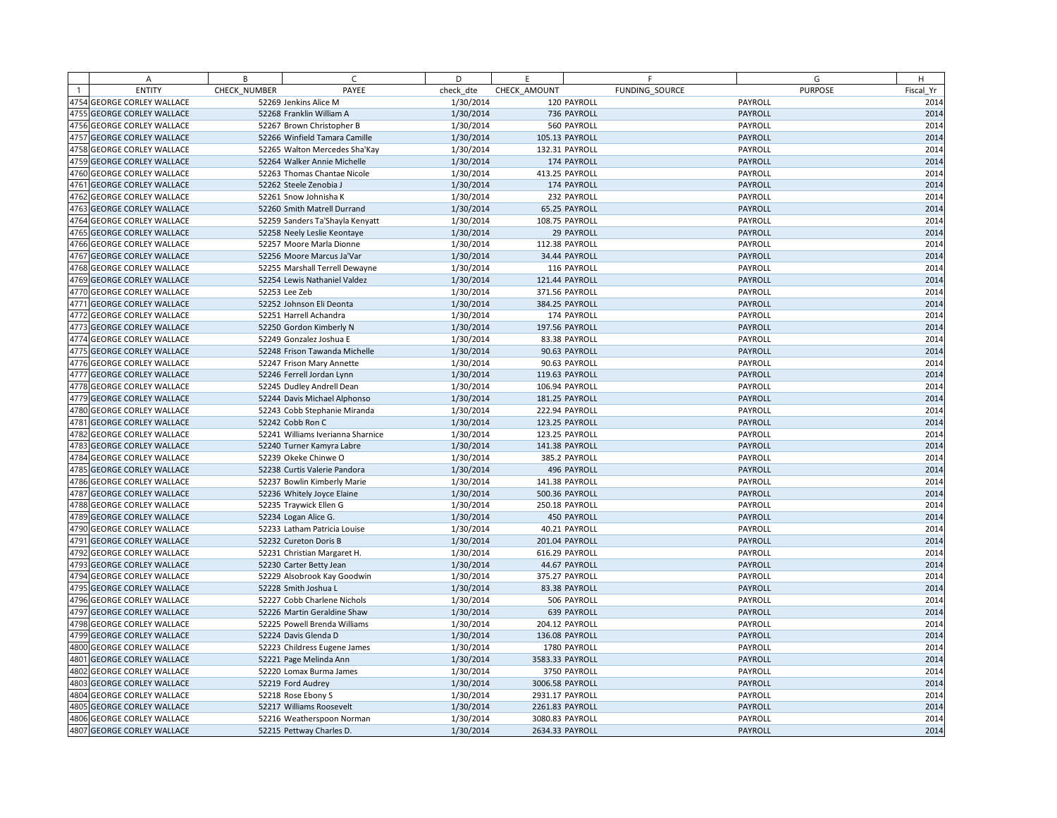|      | А                            | B            | C.                                | D         | E               | F              |         | G              | H         |
|------|------------------------------|--------------|-----------------------------------|-----------|-----------------|----------------|---------|----------------|-----------|
|      | <b>ENTITY</b>                | CHECK NUMBER | PAYEE                             | check dte | CHECK AMOUNT    | FUNDING SOURCE |         | <b>PURPOSE</b> | Fiscal Yr |
|      | 4754 GEORGE CORLEY WALLACE   |              | 52269 Jenkins Alice M             | 1/30/2014 |                 | 120 PAYROLL    | PAYROLL |                | 2014      |
|      | 4755 GEORGE CORLEY WALLACE   |              | 52268 Franklin William A          | 1/30/2014 |                 | 736 PAYROLL    | PAYROLL |                | 2014      |
|      | 4756 GEORGE CORLEY WALLACE   |              | 52267 Brown Christopher B         | 1/30/2014 |                 | 560 PAYROLL    | PAYROLL |                | 2014      |
|      | 4757 GEORGE CORLEY WALLACE   |              | 52266 Winfield Tamara Camille     | 1/30/2014 | 105.13 PAYROLL  |                | PAYROLL |                | 2014      |
|      | 4758 GEORGE CORLEY WALLACE   |              | 52265 Walton Mercedes Sha'Kay     | 1/30/2014 | 132.31 PAYROLL  |                | PAYROLL |                | 2014      |
| 4759 | <b>GEORGE CORLEY WALLACE</b> |              | 52264 Walker Annie Michelle       | 1/30/2014 |                 | 174 PAYROLL    | PAYROLL |                | 2014      |
|      | 4760 GEORGE CORLEY WALLACE   |              | 52263 Thomas Chantae Nicole       | 1/30/2014 | 413.25 PAYROLL  |                | PAYROLL |                | 2014      |
|      | 4761 GEORGE CORLEY WALLACE   |              | 52262 Steele Zenobia J            | 1/30/2014 |                 | 174 PAYROLL    | PAYROLL |                | 2014      |
|      | 4762 GEORGE CORLEY WALLACE   |              | 52261 Snow Johnisha K             | 1/30/2014 |                 | 232 PAYROLL    | PAYROLL |                | 2014      |
|      | 4763 GEORGE CORLEY WALLACE   |              | 52260 Smith Matrell Durrand       | 1/30/2014 |                 | 65.25 PAYROLL  | PAYROLL |                | 2014      |
|      | 4764 GEORGE CORLEY WALLACE   |              | 52259 Sanders Ta'Shayla Kenyatt   | 1/30/2014 | 108.75 PAYROLL  |                | PAYROLL |                | 2014      |
|      | 4765 GEORGE CORLEY WALLACE   |              | 52258 Neely Leslie Keontaye       | 1/30/2014 |                 | 29 PAYROLL     | PAYROLL |                | 2014      |
|      | 4766 GEORGE CORLEY WALLACE   |              | 52257 Moore Marla Dionne          | 1/30/2014 | 112.38 PAYROLL  |                | PAYROLL |                | 2014      |
|      | 4767 GEORGE CORLEY WALLACE   |              | 52256 Moore Marcus Ja'Var         | 1/30/2014 |                 | 34.44 PAYROLL  | PAYROLL |                | 2014      |
|      | 4768 GEORGE CORLEY WALLACE   |              | 52255 Marshall Terrell Dewayne    | 1/30/2014 |                 | 116 PAYROLL    | PAYROLL |                | 2014      |
|      | 4769 GEORGE CORLEY WALLACE   |              | 52254 Lewis Nathaniel Valdez      | 1/30/2014 | 121.44 PAYROLL  |                | PAYROLL |                | 2014      |
|      | 4770 GEORGE CORLEY WALLACE   |              | 52253 Lee Zeb                     | 1/30/2014 | 371.56 PAYROLL  |                | PAYROLL |                | 2014      |
|      | 4771 GEORGE CORLEY WALLACE   |              | 52252 Johnson Eli Deonta          | 1/30/2014 | 384.25 PAYROLL  |                | PAYROLL |                | 2014      |
|      | 4772 GEORGE CORLEY WALLACE   |              | 52251 Harrell Achandra            | 1/30/2014 |                 | 174 PAYROLL    | PAYROLL |                | 2014      |
|      | 4773 GEORGE CORLEY WALLACE   |              | 52250 Gordon Kimberly N           | 1/30/2014 | 197.56 PAYROLL  |                | PAYROLL |                | 2014      |
|      | 4774 GEORGE CORLEY WALLACE   |              | 52249 Gonzalez Joshua E           | 1/30/2014 |                 | 83.38 PAYROLL  | PAYROLL |                | 2014      |
|      | 4775 GEORGE CORLEY WALLACE   |              | 52248 Frison Tawanda Michelle     | 1/30/2014 |                 | 90.63 PAYROLL  | PAYROLL |                | 2014      |
|      | 4776 GEORGE CORLEY WALLACE   |              | 52247 Frison Mary Annette         | 1/30/2014 |                 | 90.63 PAYROLL  | PAYROLL |                | 2014      |
|      | 4777 GEORGE CORLEY WALLACE   |              | 52246 Ferrell Jordan Lynn         | 1/30/2014 | 119.63 PAYROLL  |                | PAYROLL |                | 2014      |
|      | 4778 GEORGE CORLEY WALLACE   |              | 52245 Dudley Andrell Dean         | 1/30/2014 | 106.94 PAYROLL  |                | PAYROLL |                | 2014      |
|      | 4779 GEORGE CORLEY WALLACE   |              | 52244 Davis Michael Alphonso      | 1/30/2014 | 181.25 PAYROLL  |                | PAYROLL |                | 2014      |
|      | 4780 GEORGE CORLEY WALLACE   |              | 52243 Cobb Stephanie Miranda      | 1/30/2014 | 222.94 PAYROLL  |                | PAYROLL |                | 2014      |
|      | 4781 GEORGE CORLEY WALLACE   |              | 52242 Cobb Ron C                  | 1/30/2014 | 123.25 PAYROLL  |                | PAYROLL |                | 2014      |
|      | 4782 GEORGE CORLEY WALLACE   |              | 52241 Williams Iverianna Sharnice | 1/30/2014 | 123.25 PAYROLL  |                | PAYROLL |                | 2014      |
|      | 4783 GEORGE CORLEY WALLACE   |              | 52240 Turner Kamyra Labre         | 1/30/2014 | 141.38 PAYROLL  |                | PAYROLL |                | 2014      |
|      | 4784 GEORGE CORLEY WALLACE   |              | 52239 Okeke Chinwe O              | 1/30/2014 |                 | 385.2 PAYROLL  | PAYROLL |                | 2014      |
|      | 4785 GEORGE CORLEY WALLACE   |              | 52238 Curtis Valerie Pandora      | 1/30/2014 |                 | 496 PAYROLL    | PAYROLL |                | 2014      |
|      | 4786 GEORGE CORLEY WALLACE   |              | 52237 Bowlin Kimberly Marie       | 1/30/2014 | 141.38 PAYROLL  |                | PAYROLL |                | 2014      |
|      | 4787 GEORGE CORLEY WALLACE   |              | 52236 Whitely Joyce Elaine        | 1/30/2014 | 500.36 PAYROLL  |                | PAYROLL |                | 2014      |
|      | 4788 GEORGE CORLEY WALLACE   |              | 52235 Traywick Ellen G            | 1/30/2014 | 250.18 PAYROLL  |                | PAYROLL |                | 2014      |
|      | 4789 GEORGE CORLEY WALLACE   |              | 52234 Logan Alice G.              | 1/30/2014 |                 | 450 PAYROLL    | PAYROLL |                | 2014      |
|      | 4790 GEORGE CORLEY WALLACE   |              | 52233 Latham Patricia Louise      | 1/30/2014 |                 | 40.21 PAYROLL  | PAYROLL |                | 2014      |
|      | 4791 GEORGE CORLEY WALLACE   |              | 52232 Cureton Doris B             | 1/30/2014 | 201.04 PAYROLL  |                | PAYROLL |                | 2014      |
|      | 4792 GEORGE CORLEY WALLACE   |              | 52231 Christian Margaret H.       | 1/30/2014 | 616.29 PAYROLL  |                | PAYROLL |                | 2014      |
|      | 4793 GEORGE CORLEY WALLACE   |              | 52230 Carter Betty Jean           | 1/30/2014 |                 | 44.67 PAYROLL  | PAYROLL |                | 2014      |
|      | 4794 GEORGE CORLEY WALLACE   |              | 52229 Alsobrook Kay Goodwin       | 1/30/2014 | 375.27 PAYROLL  |                | PAYROLL |                | 2014      |
|      | 4795 GEORGE CORLEY WALLACE   |              | 52228 Smith Joshua L              | 1/30/2014 |                 | 83.38 PAYROLL  | PAYROLL |                | 2014      |
|      | 4796 GEORGE CORLEY WALLACE   |              | 52227 Cobb Charlene Nichols       | 1/30/2014 |                 | 506 PAYROLL    | PAYROLL |                | 2014      |
|      | 4797 GEORGE CORLEY WALLACE   |              | 52226 Martin Geraldine Shaw       | 1/30/2014 |                 | 639 PAYROLL    | PAYROLL |                | 2014      |
|      | 4798 GEORGE CORLEY WALLACE   |              | 52225 Powell Brenda Williams      | 1/30/2014 | 204.12 PAYROLL  |                | PAYROLL |                | 2014      |
|      | 4799 GEORGE CORLEY WALLACE   |              | 52224 Davis Glenda D              | 1/30/2014 | 136.08 PAYROLL  |                | PAYROLL |                | 2014      |
|      | 4800 GEORGE CORLEY WALLACE   |              | 52223 Childress Eugene James      | 1/30/2014 |                 | 1780 PAYROLL   | PAYROLL |                | 2014      |
|      | 4801 GEORGE CORLEY WALLACE   |              | 52221 Page Melinda Ann            | 1/30/2014 | 3583.33 PAYROLL |                | PAYROLL |                | 2014      |
|      | 4802 GEORGE CORLEY WALLACE   |              | 52220 Lomax Burma James           | 1/30/2014 |                 | 3750 PAYROLL   | PAYROLL |                | 2014      |
|      | 4803 GEORGE CORLEY WALLACE   |              | 52219 Ford Audrey                 | 1/30/2014 | 3006.58 PAYROLL |                | PAYROLL |                | 2014      |
|      | 4804 GEORGE CORLEY WALLACE   |              | 52218 Rose Ebony S                | 1/30/2014 | 2931.17 PAYROLL |                | PAYROLL |                | 2014      |
|      | 4805 GEORGE CORLEY WALLACE   |              | 52217 Williams Roosevelt          | 1/30/2014 | 2261.83 PAYROLL |                | PAYROLL |                | 2014      |
|      | 4806 GEORGE CORLEY WALLACE   |              | 52216 Weatherspoon Norman         | 1/30/2014 | 3080.83 PAYROLL |                | PAYROLL |                | 2014      |
|      | 4807 GEORGE CORLEY WALLACE   |              | 52215 Pettway Charles D.          | 1/30/2014 | 2634.33 PAYROLL |                | PAYROLL |                | 2014      |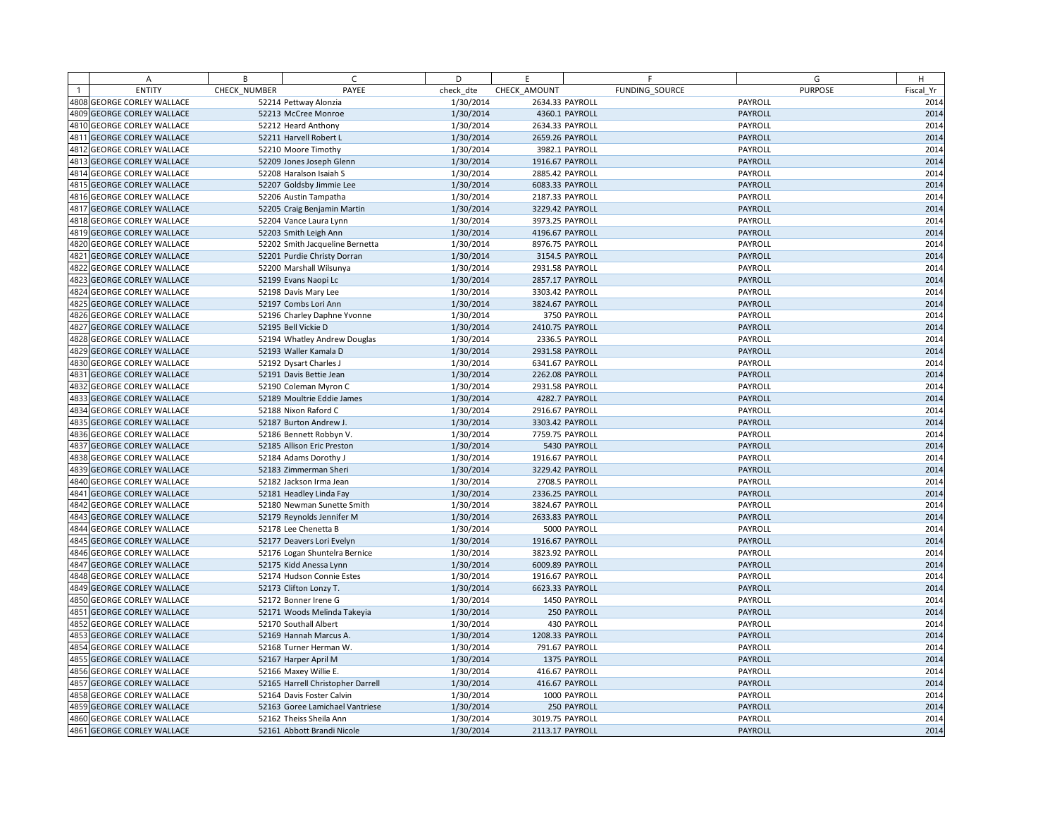|      | A                                 | B            | $\subset$                         | D         | E               |                | F.             | G              | H         |
|------|-----------------------------------|--------------|-----------------------------------|-----------|-----------------|----------------|----------------|----------------|-----------|
|      | <b>ENTITY</b>                     | CHECK NUMBER | PAYEE                             | check dte | CHECK AMOUNT    |                | FUNDING SOURCE | <b>PURPOSE</b> | Fiscal Yr |
|      | 4808 GEORGE CORLEY WALLACE        |              | 52214 Pettway Alonzia             | 1/30/2014 | 2634.33 PAYROLL |                |                | PAYROLL        | 2014      |
|      | 4809 GEORGE CORLEY WALLACE        |              | 52213 McCree Monroe               | 1/30/2014 |                 | 4360.1 PAYROLL |                | PAYROLL        | 2014      |
|      | 4810 GEORGE CORLEY WALLACE        |              | 52212 Heard Anthony               | 1/30/2014 | 2634.33 PAYROLL |                |                | PAYROLL        | 2014      |
|      | 4811 GEORGE CORLEY WALLACE        |              | 52211 Harvell Robert L            | 1/30/2014 | 2659.26 PAYROLL |                |                | PAYROLL        | 2014      |
|      | 4812 GEORGE CORLEY WALLACE        |              | 52210 Moore Timothy               | 1/30/2014 |                 | 3982.1 PAYROLL |                | PAYROLL        | 2014      |
|      | 4813 GEORGE CORLEY WALLACE        |              | 52209 Jones Joseph Glenn          | 1/30/2014 | 1916.67 PAYROLL |                |                | PAYROLL        | 2014      |
|      | 4814 GEORGE CORLEY WALLACE        |              | 52208 Haralson Isaiah S           | 1/30/2014 | 2885.42 PAYROLL |                |                | PAYROLL        | 2014      |
|      | 4815 GEORGE CORLEY WALLACE        |              | 52207 Goldsby Jimmie Lee          | 1/30/2014 | 6083.33 PAYROLL |                |                | PAYROLL        | 2014      |
|      | 4816 GEORGE CORLEY WALLACE        |              | 52206 Austin Tampatha             | 1/30/2014 | 2187.33 PAYROLL |                |                | PAYROLL        | 2014      |
|      | 4817 GEORGE CORLEY WALLACE        |              | 52205 Craig Benjamin Martin       | 1/30/2014 | 3229.42 PAYROLL |                |                | PAYROLL        | 2014      |
|      | 4818 GEORGE CORLEY WALLACE        |              | 52204 Vance Laura Lynn            | 1/30/2014 | 3973.25 PAYROLL |                |                | PAYROLL        | 2014      |
|      | 4819 GEORGE CORLEY WALLACE        |              | 52203 Smith Leigh Ann             | 1/30/2014 | 4196.67 PAYROLL |                |                | PAYROLL        | 2014      |
|      | 4820 GEORGE CORLEY WALLACE        |              | 52202 Smith Jacqueline Bernetta   | 1/30/2014 | 8976.75 PAYROLL |                |                | PAYROLL        | 2014      |
|      | 4821 GEORGE CORLEY WALLACE        |              | 52201 Purdie Christy Dorran       | 1/30/2014 |                 | 3154.5 PAYROLL |                | PAYROLL        | 2014      |
|      | 4822 GEORGE CORLEY WALLACE        |              | 52200 Marshall Wilsunya           | 1/30/2014 | 2931.58 PAYROLL |                |                | PAYROLL        | 2014      |
|      | 4823 GEORGE CORLEY WALLACE        |              | 52199 Evans Naopi Lc              | 1/30/2014 | 2857.17 PAYROLL |                |                | PAYROLL        | 2014      |
|      | 4824 GEORGE CORLEY WALLACE        |              | 52198 Davis Mary Lee              | 1/30/2014 | 3303.42 PAYROLL |                |                | PAYROLL        | 2014      |
|      | 4825 GEORGE CORLEY WALLACE        |              | 52197 Combs Lori Ann              | 1/30/2014 | 3824.67 PAYROLL |                |                | PAYROLL        | 2014      |
|      | 4826 GEORGE CORLEY WALLACE        |              | 52196 Charley Daphne Yvonne       | 1/30/2014 |                 | 3750 PAYROLL   |                | PAYROLL        | 2014      |
|      | 4827 GEORGE CORLEY WALLACE        |              | 52195 Bell Vickie D               | 1/30/2014 | 2410.75 PAYROLL |                |                | PAYROLL        | 2014      |
|      | 4828 GEORGE CORLEY WALLACE        |              | 52194 Whatley Andrew Douglas      | 1/30/2014 |                 | 2336.5 PAYROLL |                | PAYROLL        | 2014      |
|      | 4829 GEORGE CORLEY WALLACE        |              | 52193 Waller Kamala D             | 1/30/2014 | 2931.58 PAYROLL |                |                | PAYROLL        | 2014      |
|      | 4830 GEORGE CORLEY WALLACE        |              | 52192 Dysart Charles J            | 1/30/2014 | 6341.67 PAYROLL |                |                | PAYROLL        | 2014      |
|      | 4831 GEORGE CORLEY WALLACE        |              | 52191 Davis Bettie Jean           | 1/30/2014 | 2262.08 PAYROLL |                |                | PAYROLL        | 2014      |
|      | 4832 GEORGE CORLEY WALLACE        |              | 52190 Coleman Myron C             | 1/30/2014 | 2931.58 PAYROLL |                |                | PAYROLL        | 2014      |
|      | 4833 GEORGE CORLEY WALLACE        |              | 52189 Moultrie Eddie James        | 1/30/2014 |                 | 4282.7 PAYROLL |                | PAYROLL        | 2014      |
|      | 4834 GEORGE CORLEY WALLACE        |              | 52188 Nixon Raford C              | 1/30/2014 | 2916.67 PAYROLL |                |                | PAYROLL        | 2014      |
|      | 4835 GEORGE CORLEY WALLACE        |              | 52187 Burton Andrew J.            | 1/30/2014 | 3303.42 PAYROLL |                |                | PAYROLL        | 2014      |
|      | 4836 GEORGE CORLEY WALLACE        |              | 52186 Bennett Robbyn V.           | 1/30/2014 | 7759.75 PAYROLL |                |                | PAYROLL        | 2014      |
|      | 4837 GEORGE CORLEY WALLACE        |              | 52185 Allison Eric Preston        | 1/30/2014 |                 | 5430 PAYROLL   |                | PAYROLL        | 2014      |
|      | 4838 GEORGE CORLEY WALLACE        |              | 52184 Adams Dorothy J             | 1/30/2014 | 1916.67 PAYROLL |                |                | PAYROLL        | 2014      |
|      | 4839 GEORGE CORLEY WALLACE        |              | 52183 Zimmerman Sheri             | 1/30/2014 | 3229.42 PAYROLL |                |                | PAYROLL        | 2014      |
|      | 4840 GEORGE CORLEY WALLACE        |              | 52182 Jackson Irma Jean           | 1/30/2014 |                 | 2708.5 PAYROLL |                | PAYROLL        | 2014      |
|      | 4841 GEORGE CORLEY WALLACE        |              | 52181 Headley Linda Fay           | 1/30/2014 | 2336.25 PAYROLL |                |                | PAYROLL        | 2014      |
|      | 4842 GEORGE CORLEY WALLACE        |              | 52180 Newman Sunette Smith        | 1/30/2014 | 3824.67 PAYROLL |                |                | PAYROLL        | 2014      |
|      | 4843 GEORGE CORLEY WALLACE        |              | 52179 Reynolds Jennifer M         | 1/30/2014 | 2633.83 PAYROLL |                |                | PAYROLL        | 2014      |
|      | 4844 GEORGE CORLEY WALLACE        |              | 52178 Lee Chenetta B              | 1/30/2014 |                 | 5000 PAYROLL   |                | PAYROLL        | 2014      |
|      | 4845 GEORGE CORLEY WALLACE        |              | 52177 Deavers Lori Evelyn         | 1/30/2014 | 1916.67 PAYROLL |                |                | PAYROLL        | 2014      |
|      | 4846 GEORGE CORLEY WALLACE        |              | 52176 Logan Shuntelra Bernice     | 1/30/2014 | 3823.92 PAYROLL |                |                | PAYROLL        | 2014      |
|      | 4847 GEORGE CORLEY WALLACE        |              | 52175 Kidd Anessa Lynn            | 1/30/2014 | 6009.89 PAYROLL |                |                | PAYROLL        | 2014      |
|      | 4848 GEORGE CORLEY WALLACE        |              | 52174 Hudson Connie Estes         | 1/30/2014 | 1916.67 PAYROLL |                |                | PAYROLL        | 2014      |
|      | 4849 GEORGE CORLEY WALLACE        |              | 52173 Clifton Lonzy T.            | 1/30/2014 | 6623.33 PAYROLL |                |                | PAYROLL        | 2014      |
|      | 4850 GEORGE CORLEY WALLACE        |              | 52172 Bonner Irene G              | 1/30/2014 |                 | 1450 PAYROLL   |                | PAYROLL        | 2014      |
|      | 4851 GEORGE CORLEY WALLACE        |              | 52171 Woods Melinda Takeyia       | 1/30/2014 |                 | 250 PAYROLL    |                | PAYROLL        | 2014      |
| 4852 | <b>GEORGE CORLEY WALLACE</b>      |              | 52170 Southall Albert             | 1/30/2014 |                 | 430 PAYROLL    |                | PAYROLL        | 2014      |
|      | 4853 GEORGE CORLEY WALLACE        |              | 52169 Hannah Marcus A.            | 1/30/2014 | 1208.33 PAYROLL |                |                | PAYROLL        | 2014      |
|      | 4854 GEORGE CORLEY WALLACE        |              | 52168 Turner Herman W.            | 1/30/2014 |                 | 791.67 PAYROLL |                | PAYROLL        | 2014      |
|      | 4855 GEORGE CORLEY WALLACE        |              | 52167 Harper April M              | 1/30/2014 |                 | 1375 PAYROLL   |                | PAYROLL        | 2014      |
|      | <b>4856 GEORGE CORLEY WALLACE</b> |              | 52166 Maxey Willie E.             | 1/30/2014 |                 | 416.67 PAYROLL |                | PAYROLL        | 2014      |
|      | 4857 GEORGE CORLEY WALLACE        |              | 52165 Harrell Christopher Darrell | 1/30/2014 |                 | 416.67 PAYROLL |                | PAYROLL        | 2014      |
|      | 4858 GEORGE CORLEY WALLACE        |              | 52164 Davis Foster Calvin         | 1/30/2014 |                 | 1000 PAYROLL   |                | PAYROLL        | 2014      |
|      | 4859 GEORGE CORLEY WALLACE        |              | 52163 Goree Lamichael Vantriese   | 1/30/2014 |                 | 250 PAYROLL    |                | PAYROLL        | 2014      |
|      | 4860 GEORGE CORLEY WALLACE        |              | 52162 Theiss Sheila Ann           | 1/30/2014 | 3019.75 PAYROLL |                |                | PAYROLL        | 2014      |
|      | 4861 GEORGE CORLEY WALLACE        |              | 52161 Abbott Brandi Nicole        | 1/30/2014 | 2113.17 PAYROLL |                |                | PAYROLL        | 2014      |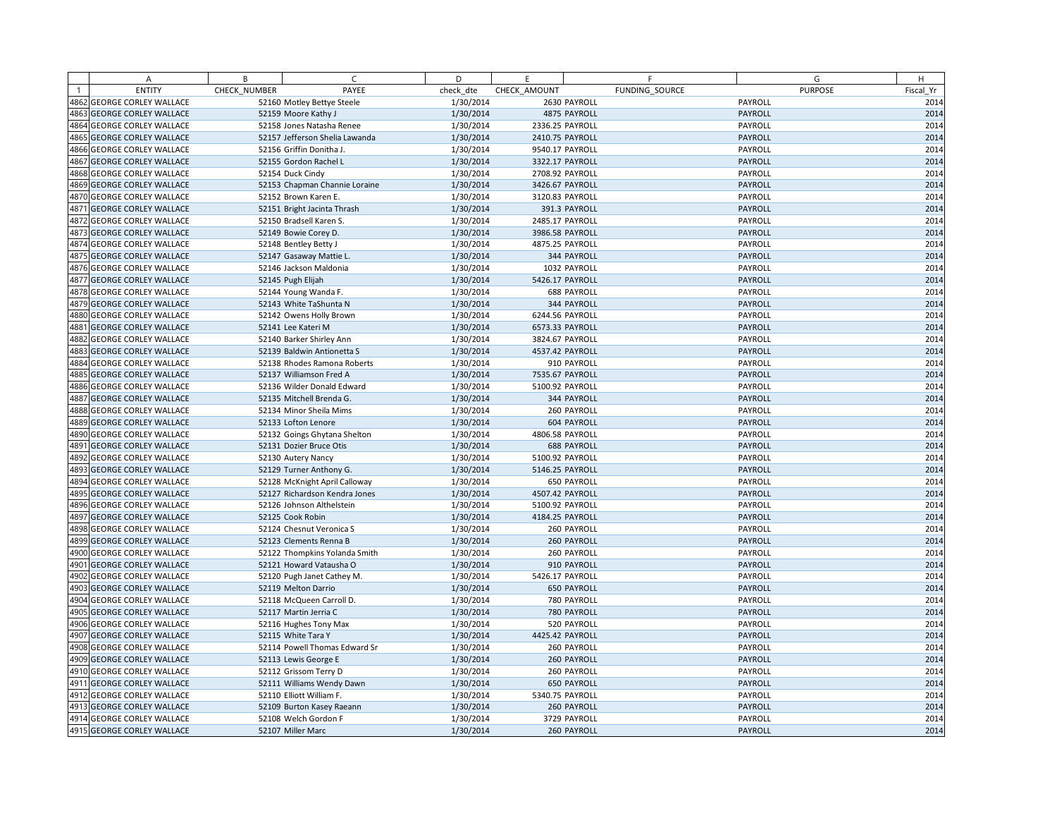|      | A                            | B            | C.                             | D         | E               |                    | F.             | G              | H         |
|------|------------------------------|--------------|--------------------------------|-----------|-----------------|--------------------|----------------|----------------|-----------|
|      | <b>ENTITY</b>                | CHECK NUMBER | PAYEE                          | check dte | CHECK AMOUNT    |                    | FUNDING SOURCE | <b>PURPOSE</b> | Fiscal Yr |
|      | 4862 GEORGE CORLEY WALLACE   |              | 52160 Motley Bettye Steele     | 1/30/2014 |                 | 2630 PAYROLL       |                | PAYROLL        | 2014      |
|      | 4863 GEORGE CORLEY WALLACE   |              | 52159 Moore Kathy J            | 1/30/2014 |                 | 4875 PAYROLL       |                | PAYROLL        | 2014      |
|      | 4864 GEORGE CORLEY WALLACE   |              | 52158 Jones Natasha Renee      | 1/30/2014 | 2336.25 PAYROLL |                    |                | PAYROLL        | 2014      |
|      | 4865 GEORGE CORLEY WALLACE   |              | 52157 Jefferson Shelia Lawanda | 1/30/2014 | 2410.75 PAYROLL |                    |                | PAYROLL        | 2014      |
|      | 4866 GEORGE CORLEY WALLACE   |              | 52156 Griffin Donitha J.       | 1/30/2014 | 9540.17 PAYROLL |                    |                | PAYROLL        | 2014      |
|      | 4867 GEORGE CORLEY WALLACE   |              | 52155 Gordon Rachel L          | 1/30/2014 | 3322.17 PAYROLL |                    |                | <b>PAYROLL</b> | 2014      |
| 4868 | <b>GEORGE CORLEY WALLACE</b> |              | 52154 Duck Cindy               | 1/30/2014 | 2708.92 PAYROLL |                    |                | PAYROLL        | 2014      |
|      | 4869 GEORGE CORLEY WALLACE   |              | 52153 Chapman Channie Loraine  | 1/30/2014 | 3426.67 PAYROLL |                    |                | PAYROLL        | 2014      |
|      | 4870 GEORGE CORLEY WALLACE   |              | 52152 Brown Karen E.           | 1/30/2014 | 3120.83 PAYROLL |                    |                | PAYROLL        | 2014      |
|      | 4871 GEORGE CORLEY WALLACE   |              | 52151 Bright Jacinta Thrash    | 1/30/2014 |                 | 391.3 PAYROLL      |                | PAYROLL        | 2014      |
|      | 4872 GEORGE CORLEY WALLACE   |              | 52150 Bradsell Karen S.        | 1/30/2014 | 2485.17 PAYROLL |                    |                | PAYROLL        | 2014      |
|      | 4873 GEORGE CORLEY WALLACE   |              | 52149 Bowie Corey D.           | 1/30/2014 | 3986.58 PAYROLL |                    |                | PAYROLL        | 2014      |
|      | 4874 GEORGE CORLEY WALLACE   |              | 52148 Bentley Betty J          | 1/30/2014 | 4875.25 PAYROLL |                    |                | PAYROLL        | 2014      |
|      | 4875 GEORGE CORLEY WALLACE   |              | 52147 Gasaway Mattie L.        | 1/30/2014 |                 | 344 PAYROLL        |                | PAYROLL        | 2014      |
|      | 4876 GEORGE CORLEY WALLACE   |              | 52146 Jackson Maldonia         | 1/30/2014 |                 | 1032 PAYROLL       |                | PAYROLL        | 2014      |
|      | 4877 GEORGE CORLEY WALLACE   |              | 52145 Pugh Elijah              | 1/30/2014 | 5426.17 PAYROLL |                    |                | PAYROLL        | 2014      |
|      | 4878 GEORGE CORLEY WALLACE   |              | 52144 Young Wanda F.           | 1/30/2014 |                 | <b>688 PAYROLL</b> |                | PAYROLL        | 2014      |
|      | 4879 GEORGE CORLEY WALLACE   |              | 52143 White TaShunta N         | 1/30/2014 |                 | 344 PAYROLL        |                | PAYROLL        | 2014      |
|      | 4880 GEORGE CORLEY WALLACE   |              | 52142 Owens Holly Brown        | 1/30/2014 | 6244.56 PAYROLL |                    |                | PAYROLL        | 2014      |
|      | 4881 GEORGE CORLEY WALLACE   |              | 52141 Lee Kateri M             | 1/30/2014 | 6573.33 PAYROLL |                    |                | PAYROLL        | 2014      |
| 4882 | <b>GEORGE CORLEY WALLACE</b> |              | 52140 Barker Shirley Ann       | 1/30/2014 | 3824.67 PAYROLL |                    |                | PAYROLL        | 2014      |
|      | 4883 GEORGE CORLEY WALLACE   |              | 52139 Baldwin Antionetta S     | 1/30/2014 | 4537.42 PAYROLL |                    |                | PAYROLL        | 2014      |
|      | 4884 GEORGE CORLEY WALLACE   |              | 52138 Rhodes Ramona Roberts    | 1/30/2014 |                 | 910 PAYROLL        |                | PAYROLL        | 2014      |
| 4885 | <b>GEORGE CORLEY WALLACE</b> |              | 52137 Williamson Fred A        | 1/30/2014 | 7535.67 PAYROLL |                    |                | PAYROLL        | 2014      |
|      | 4886 GEORGE CORLEY WALLACE   |              | 52136 Wilder Donald Edward     | 1/30/2014 | 5100.92 PAYROLL |                    |                | PAYROLL        | 2014      |
|      | 4887 GEORGE CORLEY WALLACE   |              | 52135 Mitchell Brenda G.       | 1/30/2014 |                 | 344 PAYROLL        |                | PAYROLL        | 2014      |
|      | 4888 GEORGE CORLEY WALLACE   |              | 52134 Minor Sheila Mims        | 1/30/2014 |                 | 260 PAYROLL        |                | PAYROLL        | 2014      |
|      | 4889 GEORGE CORLEY WALLACE   |              | 52133 Lofton Lenore            | 1/30/2014 |                 | 604 PAYROLL        |                | PAYROLL        | 2014      |
|      | 4890 GEORGE CORLEY WALLACE   |              | 52132 Goings Ghytana Shelton   | 1/30/2014 | 4806.58 PAYROLL |                    |                | PAYROLL        | 2014      |
|      | 4891 GEORGE CORLEY WALLACE   |              | 52131 Dozier Bruce Otis        | 1/30/2014 |                 | 688 PAYROLL        |                | PAYROLL        | 2014      |
|      | 4892 GEORGE CORLEY WALLACE   |              | 52130 Autery Nancy             | 1/30/2014 | 5100.92 PAYROLL |                    |                | PAYROLL        | 2014      |
|      | 4893 GEORGE CORLEY WALLACE   |              | 52129 Turner Anthony G.        | 1/30/2014 | 5146.25 PAYROLL |                    |                | PAYROLL        | 2014      |
|      | 4894 GEORGE CORLEY WALLACE   |              | 52128 McKnight April Calloway  | 1/30/2014 |                 | 650 PAYROLL        |                | PAYROLL        | 2014      |
|      | 4895 GEORGE CORLEY WALLACE   |              | 52127 Richardson Kendra Jones  | 1/30/2014 | 4507.42 PAYROLL |                    |                | PAYROLL        | 2014      |
|      | 4896 GEORGE CORLEY WALLACE   |              | 52126 Johnson Althelstein      | 1/30/2014 | 5100.92 PAYROLL |                    |                | PAYROLL        | 2014      |
|      | 4897 GEORGE CORLEY WALLACE   |              | 52125 Cook Robin               | 1/30/2014 | 4184.25 PAYROLL |                    |                | PAYROLL        | 2014      |
|      | 4898 GEORGE CORLEY WALLACE   |              | 52124 Chesnut Veronica S       | 1/30/2014 |                 | 260 PAYROLL        |                | PAYROLL        | 2014      |
|      | 4899 GEORGE CORLEY WALLACE   |              | 52123 Clements Renna B         | 1/30/2014 |                 | 260 PAYROLL        |                | PAYROLL        | 2014      |
|      | 4900 GEORGE CORLEY WALLACE   |              | 52122 Thompkins Yolanda Smith  | 1/30/2014 |                 | 260 PAYROLL        |                | PAYROLL        | 2014      |
|      | 4901 GEORGE CORLEY WALLACE   |              | 52121 Howard Vatausha O        | 1/30/2014 |                 | 910 PAYROLL        |                | PAYROLL        | 2014      |
|      | 4902 GEORGE CORLEY WALLACE   |              | 52120 Pugh Janet Cathey M.     | 1/30/2014 | 5426.17 PAYROLL |                    |                | PAYROLL        | 2014      |
|      | 4903 GEORGE CORLEY WALLACE   |              | 52119 Melton Darrio            | 1/30/2014 |                 | <b>650 PAYROLL</b> |                | PAYROLL        | 2014      |
|      | 4904 GEORGE CORLEY WALLACE   |              | 52118 McQueen Carroll D.       | 1/30/2014 |                 | 780 PAYROLL        |                | PAYROLL        | 2014      |
|      | 4905 GEORGE CORLEY WALLACE   |              | 52117 Martin Jerria C          | 1/30/2014 |                 | 780 PAYROLL        |                | PAYROLL        | 2014      |
|      | 4906 GEORGE CORLEY WALLACE   |              | 52116 Hughes Tony Max          | 1/30/2014 |                 | 520 PAYROLL        |                | PAYROLL        | 2014      |
|      | 4907 GEORGE CORLEY WALLACE   |              | 52115 White Tara Y             | 1/30/2014 | 4425.42 PAYROLL |                    |                | PAYROLL        | 2014      |
|      | 4908 GEORGE CORLEY WALLACE   |              | 52114 Powell Thomas Edward Sr  | 1/30/2014 |                 | 260 PAYROLL        |                | PAYROLL        | 2014      |
|      | 4909 GEORGE CORLEY WALLACE   |              | 52113 Lewis George E           | 1/30/2014 |                 | 260 PAYROLL        |                | PAYROLL        | 2014      |
|      | 4910 GEORGE CORLEY WALLACE   |              | 52112 Grissom Terry D          | 1/30/2014 |                 | 260 PAYROLL        |                | PAYROLL        | 2014      |
|      | 4911 GEORGE CORLEY WALLACE   |              | 52111 Williams Wendy Dawn      | 1/30/2014 |                 | 650 PAYROLL        |                | PAYROLL        | 2014      |
|      | 4912 GEORGE CORLEY WALLACE   |              | 52110 Elliott William F.       | 1/30/2014 | 5340.75 PAYROLL |                    |                | PAYROLL        | 2014      |
|      | 4913 GEORGE CORLEY WALLACE   |              | 52109 Burton Kasey Raeann      | 1/30/2014 |                 | 260 PAYROLL        |                | PAYROLL        | 2014      |
|      | 4914 GEORGE CORLEY WALLACE   |              | 52108 Welch Gordon F           | 1/30/2014 |                 | 3729 PAYROLL       |                | PAYROLL        | 2014      |
|      | 4915 GEORGE CORLEY WALLACE   |              | 52107 Miller Marc              | 1/30/2014 |                 | 260 PAYROLL        |                | PAYROLL        | 2014      |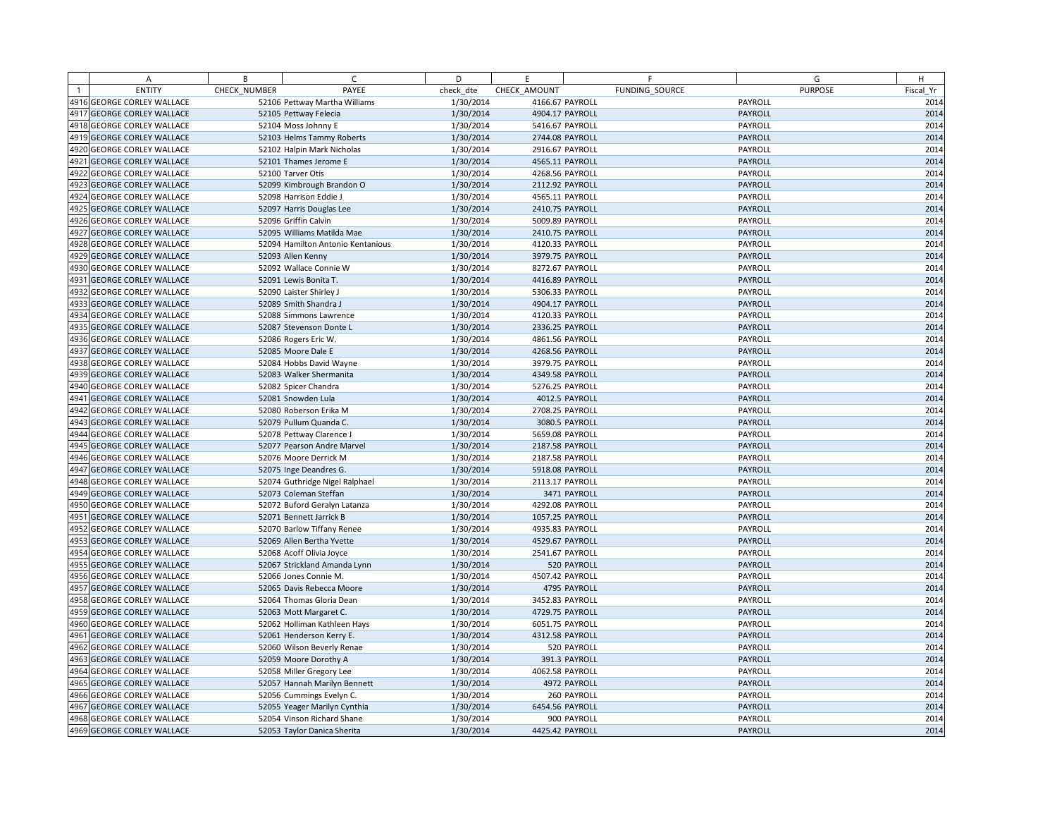| А                          | B            | C.                                | D         | E               | F              | G              | H         |
|----------------------------|--------------|-----------------------------------|-----------|-----------------|----------------|----------------|-----------|
| <b>ENTITY</b>              | CHECK NUMBER | PAYEE                             | check dte | CHECK AMOUNT    | FUNDING SOURCE | <b>PURPOSE</b> | Fiscal Yr |
| 4916 GEORGE CORLEY WALLACE |              | 52106 Pettway Martha Williams     | 1/30/2014 | 4166.67 PAYROLL |                | PAYROLL        | 2014      |
| 4917 GEORGE CORLEY WALLACE |              | 52105 Pettway Felecia             | 1/30/2014 | 4904.17 PAYROLL |                | PAYROLL        | 2014      |
| 4918 GEORGE CORLEY WALLACE |              | 52104 Moss Johnny E               | 1/30/2014 | 5416.67 PAYROLL |                | PAYROLL        | 2014      |
| 4919 GEORGE CORLEY WALLACE |              | 52103 Helms Tammy Roberts         | 1/30/2014 | 2744.08 PAYROLL |                | PAYROLL        | 2014      |
| 4920 GEORGE CORLEY WALLACE |              | 52102 Halpin Mark Nicholas        | 1/30/2014 | 2916.67 PAYROLL |                | PAYROLL        | 2014      |
| 4921 GEORGE CORLEY WALLACE |              | 52101 Thames Jerome E             | 1/30/2014 | 4565.11 PAYROLL |                | PAYROLL        | 2014      |
| 4922 GEORGE CORLEY WALLACE |              | 52100 Tarver Otis                 | 1/30/2014 | 4268.56 PAYROLL |                | PAYROLL        | 2014      |
| 4923 GEORGE CORLEY WALLACE |              | 52099 Kimbrough Brandon O         | 1/30/2014 | 2112.92 PAYROLL |                | PAYROLL        | 2014      |
| 4924 GEORGE CORLEY WALLACE |              | 52098 Harrison Eddie J            | 1/30/2014 | 4565.11 PAYROLL |                | PAYROLL        | 2014      |
| 4925 GEORGE CORLEY WALLACE |              | 52097 Harris Douglas Lee          | 1/30/2014 | 2410.75 PAYROLL |                | PAYROLL        | 2014      |
| 4926 GEORGE CORLEY WALLACE |              | 52096 Griffin Calvin              | 1/30/2014 | 5009.89 PAYROLL |                | PAYROLL        | 2014      |
| 4927 GEORGE CORLEY WALLACE |              | 52095 Williams Matilda Mae        | 1/30/2014 | 2410.75 PAYROLL |                | PAYROLL        | 2014      |
| 4928 GEORGE CORLEY WALLACE |              | 52094 Hamilton Antonio Kentanious | 1/30/2014 | 4120.33 PAYROLL |                | PAYROLL        | 2014      |
| 4929 GEORGE CORLEY WALLACE |              | 52093 Allen Kenny                 | 1/30/2014 | 3979.75 PAYROLL |                | PAYROLL        | 2014      |
| 4930 GEORGE CORLEY WALLACE |              | 52092 Wallace Connie W            | 1/30/2014 | 8272.67 PAYROLL |                | PAYROLL        | 2014      |
| 4931 GEORGE CORLEY WALLACE |              | 52091 Lewis Bonita T.             | 1/30/2014 | 4416.89 PAYROLL |                | PAYROLL        | 2014      |
| 4932 GEORGE CORLEY WALLACE |              | 52090 Laister Shirley J           | 1/30/2014 | 5306.33 PAYROLL |                | PAYROLL        | 2014      |
| 4933 GEORGE CORLEY WALLACE |              | 52089 Smith Shandra J             | 1/30/2014 | 4904.17 PAYROLL |                | PAYROLL        | 2014      |
| 4934 GEORGE CORLEY WALLACE |              | 52088 Simmons Lawrence            | 1/30/2014 | 4120.33 PAYROLL |                | PAYROLL        | 2014      |
| 4935 GEORGE CORLEY WALLACE |              | 52087 Stevenson Donte L           | 1/30/2014 | 2336.25 PAYROLL |                | PAYROLL        | 2014      |
| 4936 GEORGE CORLEY WALLACE |              | 52086 Rogers Eric W.              | 1/30/2014 | 4861.56 PAYROLL |                | PAYROLL        | 2014      |
| 4937 GEORGE CORLEY WALLACE |              | 52085 Moore Dale E                | 1/30/2014 | 4268.56 PAYROLL |                | PAYROLL        | 2014      |
| 4938 GEORGE CORLEY WALLACE |              | 52084 Hobbs David Wayne           | 1/30/2014 | 3979.75 PAYROLL |                | PAYROLL        | 2014      |
| 4939 GEORGE CORLEY WALLACE |              | 52083 Walker Shermanita           | 1/30/2014 | 4349.58 PAYROLL |                | PAYROLL        | 2014      |
| 4940 GEORGE CORLEY WALLACE |              | 52082 Spicer Chandra              | 1/30/2014 | 5276.25 PAYROLL |                | PAYROLL        | 2014      |
| 4941 GEORGE CORLEY WALLACE |              | 52081 Snowden Lula                | 1/30/2014 |                 | 4012.5 PAYROLL | PAYROLL        | 2014      |
| 4942 GEORGE CORLEY WALLACE |              | 52080 Roberson Erika M            | 1/30/2014 | 2708.25 PAYROLL |                | PAYROLL        | 2014      |
| 4943 GEORGE CORLEY WALLACE |              | 52079 Pullum Quanda C.            | 1/30/2014 |                 | 3080.5 PAYROLL | PAYROLL        | 2014      |
| 4944 GEORGE CORLEY WALLACE |              | 52078 Pettway Clarence J          | 1/30/2014 | 5659.08 PAYROLL |                | PAYROLL        | 2014      |
| 4945 GEORGE CORLEY WALLACE |              | 52077 Pearson Andre Marvel        | 1/30/2014 | 2187.58 PAYROLL |                | PAYROLL        | 2014      |
| 4946 GEORGE CORLEY WALLACE |              | 52076 Moore Derrick M             | 1/30/2014 | 2187.58 PAYROLL |                | PAYROLL        | 2014      |
| 4947 GEORGE CORLEY WALLACE |              | 52075 Inge Deandres G.            | 1/30/2014 | 5918.08 PAYROLL |                | PAYROLL        | 2014      |
| 4948 GEORGE CORLEY WALLACE |              | 52074 Guthridge Nigel Ralphael    | 1/30/2014 | 2113.17 PAYROLL |                | PAYROLL        | 2014      |
| 4949 GEORGE CORLEY WALLACE |              | 52073 Coleman Steffan             | 1/30/2014 |                 | 3471 PAYROLL   | PAYROLL        | 2014      |
| 4950 GEORGE CORLEY WALLACE |              | 52072 Buford Geralyn Latanza      | 1/30/2014 | 4292.08 PAYROLL |                | PAYROLL        | 2014      |
| 4951 GEORGE CORLEY WALLACE |              | 52071 Bennett Jarrick B           | 1/30/2014 | 1057.25 PAYROLL |                | PAYROLL        | 2014      |
| 4952 GEORGE CORLEY WALLACE |              | 52070 Barlow Tiffany Renee        | 1/30/2014 | 4935.83 PAYROLL |                | PAYROLL        | 2014      |
| 4953 GEORGE CORLEY WALLACE |              | 52069 Allen Bertha Yvette         | 1/30/2014 | 4529.67 PAYROLL |                | PAYROLL        | 2014      |
| 4954 GEORGE CORLEY WALLACE |              | 52068 Acoff Olivia Joyce          | 1/30/2014 | 2541.67 PAYROLL |                | PAYROLL        | 2014      |
| 4955 GEORGE CORLEY WALLACE |              | 52067 Strickland Amanda Lynn      | 1/30/2014 |                 | 520 PAYROLL    | PAYROLL        | 2014      |
| 4956 GEORGE CORLEY WALLACE |              | 52066 Jones Connie M.             | 1/30/2014 | 4507.42 PAYROLL |                | PAYROLL        | 2014      |
| 4957 GEORGE CORLEY WALLACE |              | 52065 Davis Rebecca Moore         | 1/30/2014 |                 | 4795 PAYROLL   | PAYROLL        | 2014      |
| 4958 GEORGE CORLEY WALLACE |              | 52064 Thomas Gloria Dean          | 1/30/2014 | 3452.83 PAYROLL |                | PAYROLL        | 2014      |
| 4959 GEORGE CORLEY WALLACE |              | 52063 Mott Margaret C.            | 1/30/2014 | 4729.75 PAYROLL |                | PAYROLL        | 2014      |
| 4960 GEORGE CORLEY WALLACE |              | 52062 Holliman Kathleen Hays      | 1/30/2014 | 6051.75 PAYROLL |                | PAYROLL        | 2014      |
| 4961 GEORGE CORLEY WALLACE |              | 52061 Henderson Kerry E.          | 1/30/2014 | 4312.58 PAYROLL |                | PAYROLL        | 2014      |
| 4962 GEORGE CORLEY WALLACE |              | 52060 Wilson Beverly Renae        | 1/30/2014 |                 | 520 PAYROLL    | PAYROLL        | 2014      |
| 4963 GEORGE CORLEY WALLACE |              | 52059 Moore Dorothy A             | 1/30/2014 |                 | 391.3 PAYROLL  | PAYROLL        | 2014      |
| 4964 GEORGE CORLEY WALLACE |              | 52058 Miller Gregory Lee          | 1/30/2014 | 4062.58 PAYROLL |                | PAYROLL        | 2014      |
| 4965 GEORGE CORLEY WALLACE |              | 52057 Hannah Marilyn Bennett      | 1/30/2014 |                 | 4972 PAYROLL   | PAYROLL        | 2014      |
| 4966 GEORGE CORLEY WALLACE |              | 52056 Cummings Evelyn C.          | 1/30/2014 |                 | 260 PAYROLL    | PAYROLL        | 2014      |
| 4967 GEORGE CORLEY WALLACE |              | 52055 Yeager Marilyn Cynthia      | 1/30/2014 | 6454.56 PAYROLL |                | PAYROLL        | 2014      |
| 4968 GEORGE CORLEY WALLACE |              | 52054 Vinson Richard Shane        | 1/30/2014 |                 | 900 PAYROLL    | PAYROLL        | 2014      |
| 4969 GEORGE CORLEY WALLACE |              | 52053 Taylor Danica Sherita       | 1/30/2014 | 4425.42 PAYROLL |                | PAYROLL        | 2014      |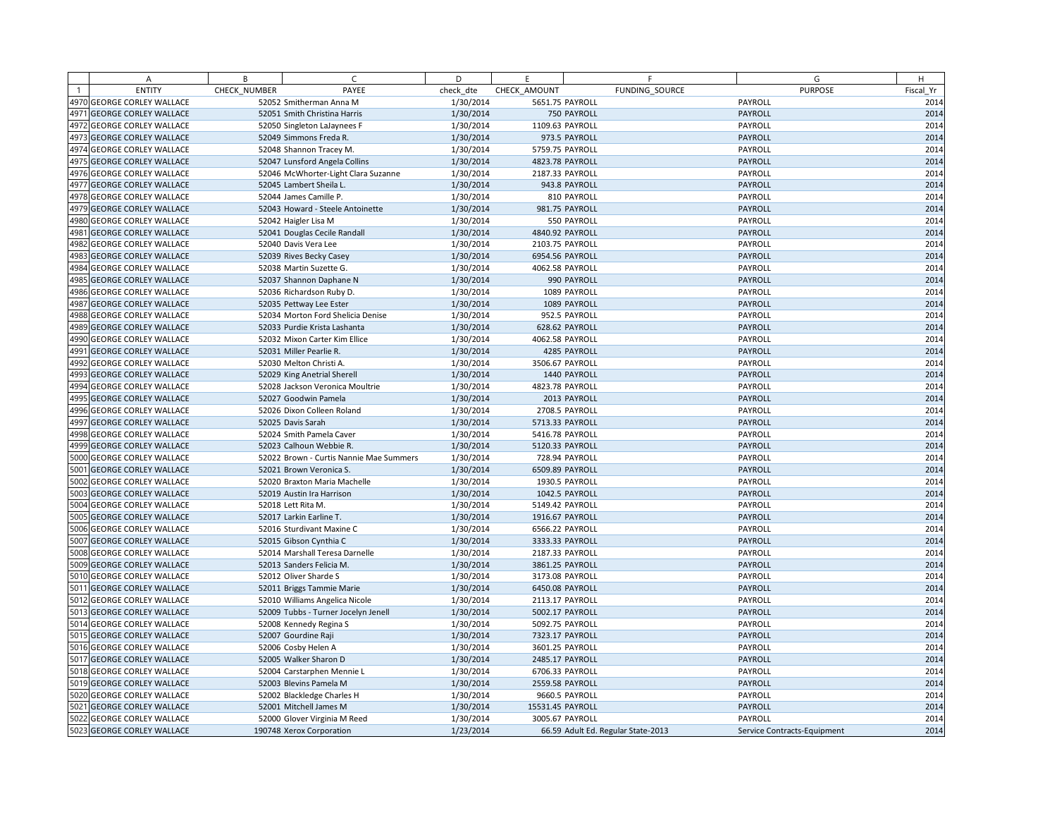|      | A                            | B            | C.                                      | D         | E                | F                                  | G                           | H         |
|------|------------------------------|--------------|-----------------------------------------|-----------|------------------|------------------------------------|-----------------------------|-----------|
|      | <b>ENTITY</b>                | CHECK NUMBER | PAYEE                                   | check dte | CHECK AMOUNT     | FUNDING SOURCE                     | <b>PURPOSE</b>              | Fiscal Yr |
|      | 4970 GEORGE CORLEY WALLACE   |              | 52052 Smitherman Anna M                 | 1/30/2014 | 5651.75 PAYROLL  |                                    | PAYROLL                     | 2014      |
|      | 4971 GEORGE CORLEY WALLACE   |              | 52051 Smith Christina Harris            | 1/30/2014 |                  | 750 PAYROLL                        | PAYROLL                     | 2014      |
|      | 4972 GEORGE CORLEY WALLACE   |              | 52050 Singleton LaJaynees F             | 1/30/2014 | 1109.63 PAYROLL  |                                    | PAYROLL                     | 2014      |
|      | 4973 GEORGE CORLEY WALLACE   |              | 52049 Simmons Freda R.                  | 1/30/2014 |                  | 973.5 PAYROLL                      | PAYROLL                     | 2014      |
|      | 4974 GEORGE CORLEY WALLACE   |              | 52048 Shannon Tracey M.                 | 1/30/2014 | 5759.75 PAYROLL  |                                    | PAYROLL                     | 2014      |
|      | 4975 GEORGE CORLEY WALLACE   |              | 52047 Lunsford Angela Collins           | 1/30/2014 | 4823.78 PAYROLL  |                                    | PAYROLL                     | 2014      |
|      | 4976 GEORGE CORLEY WALLACE   |              | 52046 McWhorter-Light Clara Suzanne     | 1/30/2014 | 2187.33 PAYROLL  |                                    | PAYROLL                     | 2014      |
|      | 4977 GEORGE CORLEY WALLACE   |              | 52045 Lambert Sheila L.                 | 1/30/2014 |                  | 943.8 PAYROLL                      | PAYROLL                     | 2014      |
|      | 4978 GEORGE CORLEY WALLACE   |              | 52044 James Camille P.                  | 1/30/2014 |                  | 810 PAYROLL                        | PAYROLL                     | 2014      |
|      | 4979 GEORGE CORLEY WALLACE   |              | 52043 Howard - Steele Antoinette        | 1/30/2014 |                  | 981.75 PAYROLL                     | PAYROLL                     | 2014      |
|      | 4980 GEORGE CORLEY WALLACE   |              | 52042 Haigler Lisa M                    | 1/30/2014 |                  | 550 PAYROLL                        | PAYROLL                     | 2014      |
|      | 4981 GEORGE CORLEY WALLACE   |              | 52041 Douglas Cecile Randall            | 1/30/2014 | 4840.92 PAYROLL  |                                    | PAYROLL                     | 2014      |
|      | 4982 GEORGE CORLEY WALLACE   |              | 52040 Davis Vera Lee                    | 1/30/2014 | 2103.75 PAYROLL  |                                    | PAYROLL                     | 2014      |
|      | 4983 GEORGE CORLEY WALLACE   |              | 52039 Rives Becky Casey                 | 1/30/2014 | 6954.56 PAYROLL  |                                    | PAYROLL                     | 2014      |
|      | 4984 GEORGE CORLEY WALLACE   |              | 52038 Martin Suzette G.                 | 1/30/2014 | 4062.58 PAYROLL  |                                    | PAYROLL                     | 2014      |
|      | 4985 GEORGE CORLEY WALLACE   |              | 52037 Shannon Daphane N                 | 1/30/2014 |                  | 990 PAYROLL                        | PAYROLL                     | 2014      |
|      | 4986 GEORGE CORLEY WALLACE   |              | 52036 Richardson Ruby D.                | 1/30/2014 |                  | 1089 PAYROLL                       | PAYROLL                     | 2014      |
| 4987 | <b>GEORGE CORLEY WALLACE</b> |              | 52035 Pettway Lee Ester                 | 1/30/2014 |                  | 1089 PAYROLL                       | PAYROLL                     | 2014      |
|      | 4988 GEORGE CORLEY WALLACE   |              | 52034 Morton Ford Shelicia Denise       | 1/30/2014 |                  | 952.5 PAYROLL                      | PAYROLL                     | 2014      |
|      | 4989 GEORGE CORLEY WALLACE   |              | 52033 Purdie Krista Lashanta            | 1/30/2014 |                  | 628.62 PAYROLL                     | PAYROLL                     | 2014      |
|      | 4990 GEORGE CORLEY WALLACE   |              | 52032 Mixon Carter Kim Ellice           | 1/30/2014 | 4062.58 PAYROLL  |                                    | PAYROLL                     | 2014      |
|      | 4991 GEORGE CORLEY WALLACE   |              | 52031 Miller Pearlie R.                 | 1/30/2014 |                  | 4285 PAYROLL                       | PAYROLL                     | 2014      |
|      | 4992 GEORGE CORLEY WALLACE   |              | 52030 Melton Christi A.                 | 1/30/2014 | 3506.67 PAYROLL  |                                    | PAYROLL                     | 2014      |
|      | 4993 GEORGE CORLEY WALLACE   |              | 52029 King Anetrial Sherell             | 1/30/2014 |                  | 1440 PAYROLL                       | PAYROLL                     | 2014      |
|      | 4994 GEORGE CORLEY WALLACE   |              | 52028 Jackson Veronica Moultrie         | 1/30/2014 | 4823.78 PAYROLL  |                                    | PAYROLL                     | 2014      |
|      | 4995 GEORGE CORLEY WALLACE   |              | 52027 Goodwin Pamela                    | 1/30/2014 |                  | 2013 PAYROLL                       | PAYROLL                     | 2014      |
|      | 4996 GEORGE CORLEY WALLACE   |              | 52026 Dixon Colleen Roland              | 1/30/2014 |                  | 2708.5 PAYROLL                     | PAYROLL                     | 2014      |
|      | 4997 GEORGE CORLEY WALLACE   |              | 52025 Davis Sarah                       | 1/30/2014 | 5713.33 PAYROLL  |                                    | PAYROLL                     | 2014      |
|      | 4998 GEORGE CORLEY WALLACE   |              | 52024 Smith Pamela Caver                | 1/30/2014 | 5416.78 PAYROLL  |                                    | PAYROLL                     | 2014      |
|      | 4999 GEORGE CORLEY WALLACE   |              | 52023 Calhoun Webbie R.                 | 1/30/2014 | 5120.33 PAYROLL  |                                    | PAYROLL                     | 2014      |
|      | 5000 GEORGE CORLEY WALLACE   |              | 52022 Brown - Curtis Nannie Mae Summers | 1/30/2014 | 728.94 PAYROLL   |                                    | PAYROLL                     | 2014      |
|      | 5001 GEORGE CORLEY WALLACE   |              | 52021 Brown Veronica S.                 | 1/30/2014 | 6509.89 PAYROLL  |                                    | PAYROLL                     | 2014      |
|      | 5002 GEORGE CORLEY WALLACE   |              | 52020 Braxton Maria Machelle            | 1/30/2014 |                  | 1930.5 PAYROLL                     | PAYROLL                     | 2014      |
|      | 5003 GEORGE CORLEY WALLACE   |              | 52019 Austin Ira Harrison               | 1/30/2014 |                  | 1042.5 PAYROLL                     | PAYROLL                     | 2014      |
|      | 5004 GEORGE CORLEY WALLACE   |              | 52018 Lett Rita M.                      | 1/30/2014 | 5149.42 PAYROLL  |                                    | PAYROLL                     | 2014      |
|      | 5005 GEORGE CORLEY WALLACE   |              | 52017 Larkin Earline T.                 | 1/30/2014 | 1916.67 PAYROLL  |                                    | PAYROLL                     | 2014      |
|      | 5006 GEORGE CORLEY WALLACE   |              | 52016 Sturdivant Maxine C               | 1/30/2014 | 6566.22 PAYROLL  |                                    | PAYROLL                     | 2014      |
|      | 5007 GEORGE CORLEY WALLACE   |              | 52015 Gibson Cynthia C                  | 1/30/2014 | 3333.33 PAYROLL  |                                    | PAYROLL                     | 2014      |
|      | 5008 GEORGE CORLEY WALLACE   |              | 52014 Marshall Teresa Darnelle          | 1/30/2014 | 2187.33 PAYROLL  |                                    | PAYROLL                     | 2014      |
|      | 5009 GEORGE CORLEY WALLACE   |              | 52013 Sanders Felicia M.                | 1/30/2014 | 3861.25 PAYROLL  |                                    | PAYROLL                     | 2014      |
|      | 5010 GEORGE CORLEY WALLACE   |              | 52012 Oliver Sharde S                   | 1/30/2014 | 3173.08 PAYROLL  |                                    | PAYROLL                     | 2014      |
|      | 5011 GEORGE CORLEY WALLACE   |              | 52011 Briggs Tammie Marie               | 1/30/2014 | 6450.08 PAYROLL  |                                    | PAYROLL                     | 2014      |
|      | 5012 GEORGE CORLEY WALLACE   |              | 52010 Williams Angelica Nicole          | 1/30/2014 | 2113.17 PAYROLL  |                                    | PAYROLL                     | 2014      |
|      | 5013 GEORGE CORLEY WALLACE   |              | 52009 Tubbs - Turner Jocelyn Jenell     | 1/30/2014 | 5002.17 PAYROLL  |                                    | PAYROLL                     | 2014      |
|      | 5014 GEORGE CORLEY WALLACE   |              | 52008 Kennedy Regina S                  | 1/30/2014 | 5092.75 PAYROLL  |                                    | PAYROLL                     | 2014      |
|      | 5015 GEORGE CORLEY WALLACE   |              | 52007 Gourdine Raji                     | 1/30/2014 | 7323.17 PAYROLL  |                                    | PAYROLL                     | 2014      |
|      | 5016 GEORGE CORLEY WALLACE   |              | 52006 Cosby Helen A                     | 1/30/2014 | 3601.25 PAYROLL  |                                    | PAYROLL                     | 2014      |
|      | 5017 GEORGE CORLEY WALLACE   |              | 52005 Walker Sharon D                   | 1/30/2014 | 2485.17 PAYROLL  |                                    | PAYROLL                     | 2014      |
|      | 5018 GEORGE CORLEY WALLACE   |              | 52004 Carstarphen Mennie L              | 1/30/2014 | 6706.33 PAYROLL  |                                    | PAYROLL                     | 2014      |
|      | 5019 GEORGE CORLEY WALLACE   |              | 52003 Blevins Pamela M                  | 1/30/2014 | 2559.58 PAYROLL  |                                    | PAYROLL                     | 2014      |
|      | 5020 GEORGE CORLEY WALLACE   |              | 52002 Blackledge Charles H              | 1/30/2014 |                  | 9660.5 PAYROLL                     | PAYROLL                     | 2014      |
|      | 5021 GEORGE CORLEY WALLACE   |              | 52001 Mitchell James M                  | 1/30/2014 | 15531.45 PAYROLL |                                    | PAYROLL                     | 2014      |
|      | 5022 GEORGE CORLEY WALLACE   |              | 52000 Glover Virginia M Reed            | 1/30/2014 | 3005.67 PAYROLL  |                                    | PAYROLL                     | 2014      |
|      | 5023 GEORGE CORLEY WALLACE   |              | 190748 Xerox Corporation                | 1/23/2014 |                  | 66.59 Adult Ed. Regular State-2013 | Service Contracts-Equipment | 2014      |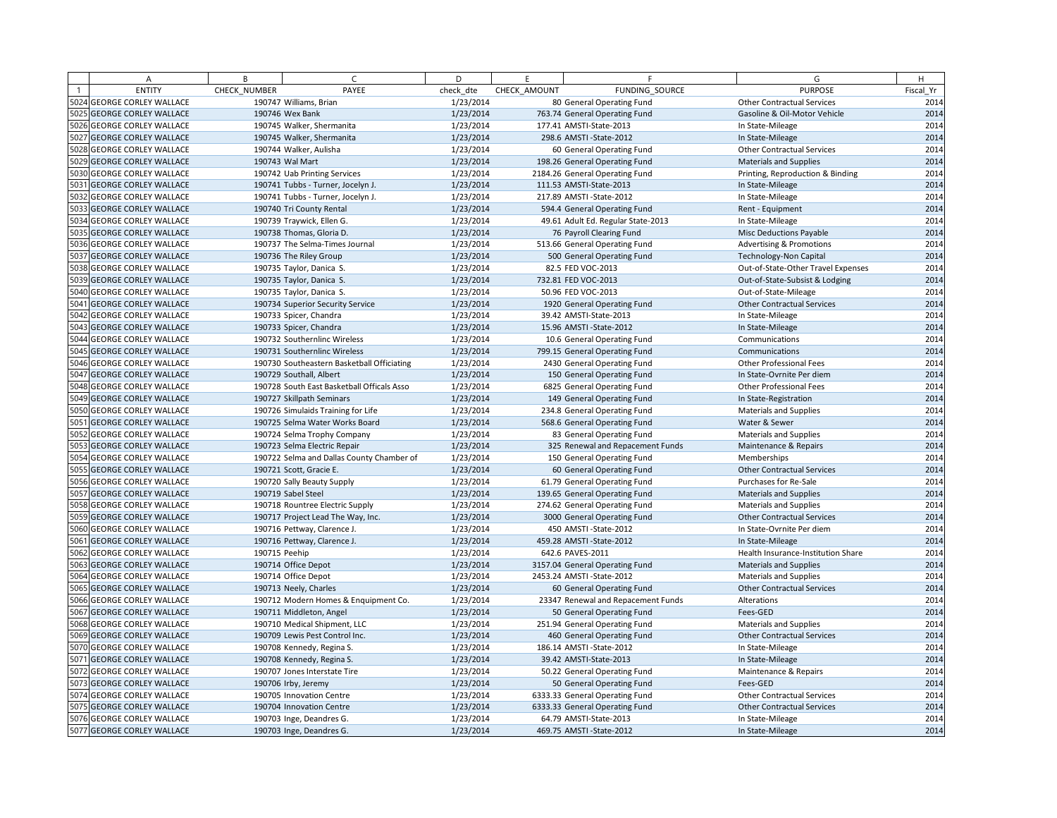| A                          | B             | $\sqrt{ }$                                 | D         | E            | F.                                 | G                                   | H         |
|----------------------------|---------------|--------------------------------------------|-----------|--------------|------------------------------------|-------------------------------------|-----------|
| <b>ENTITY</b>              | CHECK NUMBER  | PAYEE                                      | check dte | CHECK AMOUNT | FUNDING SOURCE                     | <b>PURPOSE</b>                      | Fiscal Yr |
| 5024 GEORGE CORLEY WALLACE |               | 190747 Williams, Brian                     | 1/23/2014 |              | 80 General Operating Fund          | <b>Other Contractual Services</b>   | 2014      |
| 5025 GEORGE CORLEY WALLACE |               | 190746 Wex Bank                            | 1/23/2014 |              | 763.74 General Operating Fund      | Gasoline & Oil-Motor Vehicle        | 2014      |
| 5026 GEORGE CORLEY WALLACE |               | 190745 Walker, Shermanita                  | 1/23/2014 |              | 177.41 AMSTI-State-2013            | In State-Mileage                    | 2014      |
| 5027 GEORGE CORLEY WALLACE |               | 190745 Walker, Shermanita                  | 1/23/2014 |              | 298.6 AMSTI - State-2012           | In State-Mileage                    | 2014      |
| 5028 GEORGE CORLEY WALLACE |               | 190744 Walker, Aulisha                     | 1/23/2014 |              | 60 General Operating Fund          | <b>Other Contractual Services</b>   | 2014      |
| 5029 GEORGE CORLEY WALLACE |               | 190743 Wal Mart                            | 1/23/2014 |              | 198.26 General Operating Fund      | <b>Materials and Supplies</b>       | 2014      |
| 5030 GEORGE CORLEY WALLACE |               | 190742 Uab Printing Services               | 1/23/2014 |              | 2184.26 General Operating Fund     | Printing, Reproduction & Binding    | 2014      |
| 5031 GEORGE CORLEY WALLACE |               | 190741 Tubbs - Turner, Jocelyn J.          | 1/23/2014 |              | 111.53 AMSTI-State-2013            | In State-Mileage                    | 2014      |
| 5032 GEORGE CORLEY WALLACE |               | 190741 Tubbs - Turner, Jocelyn J.          | 1/23/2014 |              | 217.89 AMSTI-State-2012            | In State-Mileage                    | 2014      |
| 5033 GEORGE CORLEY WALLACE |               | 190740 Tri County Rental                   | 1/23/2014 |              | 594.4 General Operating Fund       | Rent - Equipment                    | 2014      |
| 5034 GEORGE CORLEY WALLACE |               | 190739 Traywick, Ellen G.                  | 1/23/2014 |              | 49.61 Adult Ed. Regular State-2013 | In State-Mileage                    | 2014      |
| 5035 GEORGE CORLEY WALLACE |               | 190738 Thomas, Gloria D.                   | 1/23/2014 |              | 76 Payroll Clearing Fund           | Misc Deductions Payable             | 2014      |
| 5036 GEORGE CORLEY WALLACE |               | 190737 The Selma-Times Journal             | 1/23/2014 |              | 513.66 General Operating Fund      | <b>Advertising &amp; Promotions</b> | 2014      |
| 5037 GEORGE CORLEY WALLACE |               | 190736 The Riley Group                     | 1/23/2014 |              | 500 General Operating Fund         | Technology-Non Capital              | 2014      |
| 5038 GEORGE CORLEY WALLACE |               | 190735 Taylor, Danica S.                   | 1/23/2014 |              | 82.5 FED VOC-2013                  | Out-of-State-Other Travel Expenses  | 2014      |
| 5039 GEORGE CORLEY WALLACE |               | 190735 Taylor, Danica S.                   | 1/23/2014 |              | 732.81 FED VOC-2013                | Out-of-State-Subsist & Lodging      | 2014      |
| 5040 GEORGE CORLEY WALLACE |               | 190735 Taylor, Danica S.                   | 1/23/2014 |              | 50.96 FED VOC-2013                 | Out-of-State-Mileage                | 2014      |
| 5041 GEORGE CORLEY WALLACE |               | 190734 Superior Security Service           | 1/23/2014 |              | 1920 General Operating Fund        | <b>Other Contractual Services</b>   | 2014      |
| 5042 GEORGE CORLEY WALLACE |               | 190733 Spicer, Chandra                     | 1/23/2014 |              | 39.42 AMSTI-State-2013             | In State-Mileage                    | 2014      |
| 5043 GEORGE CORLEY WALLACE |               | 190733 Spicer, Chandra                     | 1/23/2014 |              | 15.96 AMSTI - State-2012           | In State-Mileage                    | 2014      |
| 5044 GEORGE CORLEY WALLACE |               | 190732 Southernlinc Wireless               | 1/23/2014 |              | 10.6 General Operating Fund        | Communications                      | 2014      |
| 5045 GEORGE CORLEY WALLACE |               | 190731 Southernlinc Wireless               | 1/23/2014 |              | 799.15 General Operating Fund      | Communications                      | 2014      |
| 5046 GEORGE CORLEY WALLACE |               | 190730 Southeastern Basketball Officiating | 1/23/2014 |              | 2430 General Operating Fund        | Other Professional Fees             | 2014      |
| 5047 GEORGE CORLEY WALLACE |               | 190729 Southall, Albert                    | 1/23/2014 |              | 150 General Operating Fund         | In State-Ovrnite Per diem           | 2014      |
| 5048 GEORGE CORLEY WALLACE |               | 190728 South East Basketball Officals Asso | 1/23/2014 |              | 6825 General Operating Fund        | <b>Other Professional Fees</b>      | 2014      |
| 5049 GEORGE CORLEY WALLACE |               | 190727 Skillpath Seminars                  | 1/23/2014 |              | 149 General Operating Fund         | In State-Registration               | 2014      |
| 5050 GEORGE CORLEY WALLACE |               | 190726 Simulaids Training for Life         | 1/23/2014 |              | 234.8 General Operating Fund       | Materials and Supplies              | 2014      |
| 5051 GEORGE CORLEY WALLACE |               | 190725 Selma Water Works Board             | 1/23/2014 |              | 568.6 General Operating Fund       | Water & Sewer                       | 2014      |
| 5052 GEORGE CORLEY WALLACE |               | 190724 Selma Trophy Company                | 1/23/2014 |              | 83 General Operating Fund          | Materials and Supplies              | 2014      |
| 5053 GEORGE CORLEY WALLACE |               | 190723 Selma Electric Repair               | 1/23/2014 |              | 325 Renewal and Repacement Funds   | Maintenance & Repairs               | 2014      |
| 5054 GEORGE CORLEY WALLACE |               | 190722 Selma and Dallas County Chamber of  | 1/23/2014 |              | 150 General Operating Fund         | Memberships                         | 2014      |
| 5055 GEORGE CORLEY WALLACE |               | 190721 Scott, Gracie E.                    | 1/23/2014 |              | 60 General Operating Fund          | <b>Other Contractual Services</b>   | 2014      |
| 5056 GEORGE CORLEY WALLACE |               | 190720 Sally Beauty Supply                 | 1/23/2014 |              | 61.79 General Operating Fund       | Purchases for Re-Sale               | 2014      |
| 5057 GEORGE CORLEY WALLACE |               | 190719 Sabel Steel                         | 1/23/2014 |              | 139.65 General Operating Fund      | <b>Materials and Supplies</b>       | 2014      |
| 5058 GEORGE CORLEY WALLACE |               | 190718 Rountree Electric Supply            | 1/23/2014 |              | 274.62 General Operating Fund      | <b>Materials and Supplies</b>       | 2014      |
| 5059 GEORGE CORLEY WALLACE |               | 190717 Project Lead The Way, Inc.          | 1/23/2014 |              | 3000 General Operating Fund        | <b>Other Contractual Services</b>   | 2014      |
| 5060 GEORGE CORLEY WALLACE |               | 190716 Pettway, Clarence J.                | 1/23/2014 |              | 450 AMSTI-State-2012               | In State-Ovrnite Per diem           | 2014      |
| 5061 GEORGE CORLEY WALLACE |               | 190716 Pettway, Clarence J.                | 1/23/2014 |              | 459.28 AMSTI-State-2012            | In State-Mileage                    | 2014      |
| 5062 GEORGE CORLEY WALLACE | 190715 Peehip |                                            | 1/23/2014 |              | 642.6 PAVES-2011                   | Health Insurance-Institution Share  | 2014      |
| 5063 GEORGE CORLEY WALLACE |               | 190714 Office Depot                        | 1/23/2014 |              | 3157.04 General Operating Fund     | <b>Materials and Supplies</b>       | 2014      |
| 5064 GEORGE CORLEY WALLACE |               | 190714 Office Depot                        | 1/23/2014 |              | 2453.24 AMSTI-State-2012           | <b>Materials and Supplies</b>       | 2014      |
| 5065 GEORGE CORLEY WALLACE |               | 190713 Neely, Charles                      | 1/23/2014 |              | 60 General Operating Fund          | <b>Other Contractual Services</b>   | 2014      |
| 5066 GEORGE CORLEY WALLACE |               | 190712 Modern Homes & Enquipment Co.       | 1/23/2014 |              | 23347 Renewal and Repacement Funds | Alterations                         | 2014      |
| 5067 GEORGE CORLEY WALLACE |               | 190711 Middleton, Angel                    | 1/23/2014 |              | 50 General Operating Fund          | Fees-GED                            | 2014      |
| 5068 GEORGE CORLEY WALLACE |               | 190710 Medical Shipment, LLC               | 1/23/2014 |              | 251.94 General Operating Fund      | Materials and Supplies              | 2014      |
| 5069 GEORGE CORLEY WALLACE |               | 190709 Lewis Pest Control Inc.             | 1/23/2014 |              | 460 General Operating Fund         | <b>Other Contractual Services</b>   | 2014      |
| 5070 GEORGE CORLEY WALLACE |               | 190708 Kennedy, Regina S.                  | 1/23/2014 |              | 186.14 AMSTI-State-2012            | In State-Mileage                    | 2014      |
| 5071 GEORGE CORLEY WALLACE |               | 190708 Kennedy, Regina S.                  | 1/23/2014 |              | 39.42 AMSTI-State-2013             | In State-Mileage                    | 2014      |
| 5072 GEORGE CORLEY WALLACE |               | 190707 Jones Interstate Tire               | 1/23/2014 |              | 50.22 General Operating Fund       | Maintenance & Repairs               | 2014      |
| 5073 GEORGE CORLEY WALLACE |               | 190706 Irby, Jeremy                        | 1/23/2014 |              | 50 General Operating Fund          | Fees-GED                            | 2014      |
| 5074 GEORGE CORLEY WALLACE |               | 190705 Innovation Centre                   | 1/23/2014 |              | 6333.33 General Operating Fund     | <b>Other Contractual Services</b>   | 2014      |
| 5075 GEORGE CORLEY WALLACE |               | 190704 Innovation Centre                   | 1/23/2014 |              | 6333.33 General Operating Fund     | <b>Other Contractual Services</b>   | 2014      |
| 5076 GEORGE CORLEY WALLACE |               | 190703 Inge, Deandres G.                   | 1/23/2014 |              | 64.79 AMSTI-State-2013             | In State-Mileage                    | 2014      |
| 5077 GEORGE CORLEY WALLACE |               | 190703 Inge, Deandres G.                   | 1/23/2014 |              | 469.75 AMSTI-State-2012            | In State-Mileage                    | 2014      |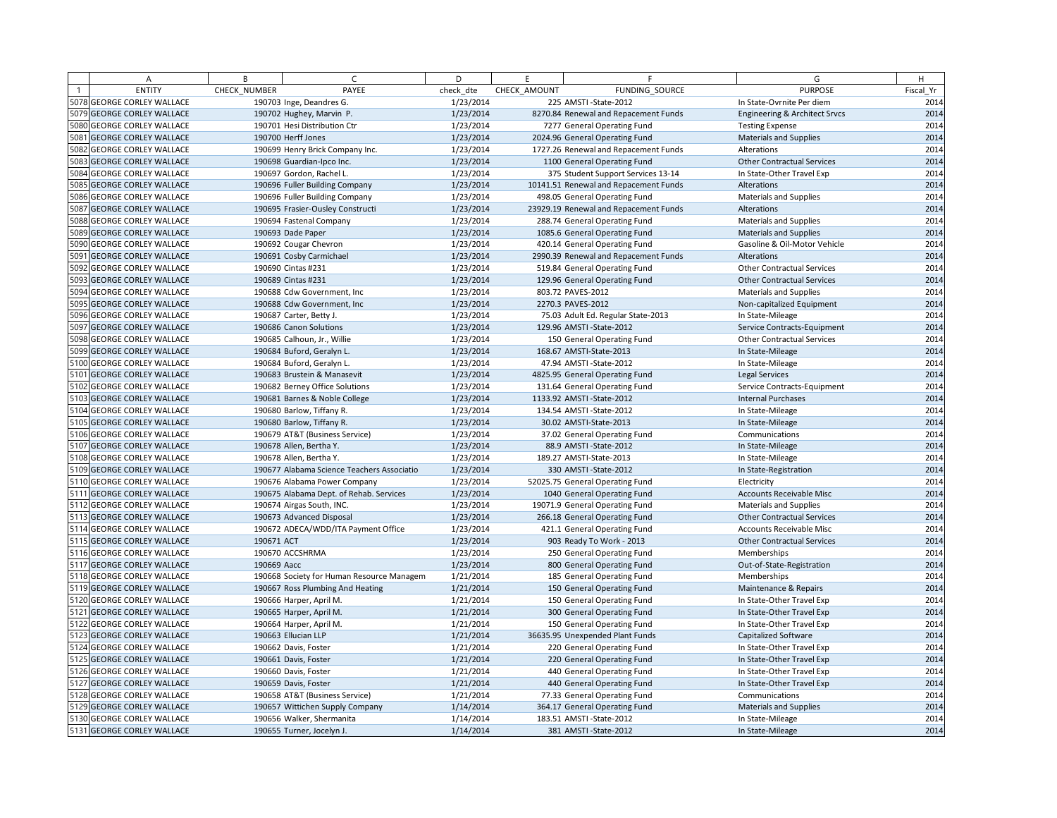| A                          | B            | $\mathcal{C}$                              | D         | F.           | F                                     | G                                 | H         |
|----------------------------|--------------|--------------------------------------------|-----------|--------------|---------------------------------------|-----------------------------------|-----------|
| <b>ENTITY</b>              | CHECK_NUMBER | PAYEE                                      | check dte | CHECK AMOUNT | FUNDING SOURCE                        | <b>PURPOSE</b>                    | Fiscal Yr |
| 5078 GEORGE CORLEY WALLACE |              | 190703 Inge, Deandres G.                   | 1/23/2014 |              | 225 AMSTI-State-2012                  | In State-Ovrnite Per diem         | 2014      |
| 5079 GEORGE CORLEY WALLACE |              | 190702 Hughey, Marvin P.                   | 1/23/2014 |              | 8270.84 Renewal and Repacement Funds  | Engineering & Architect Srvcs     | 2014      |
| 5080 GEORGE CORLEY WALLACE |              | 190701 Hesi Distribution Ctr               | 1/23/2014 |              | 7277 General Operating Fund           | <b>Testing Expense</b>            | 2014      |
| 5081 GEORGE CORLEY WALLACE |              | 190700 Herff Jones                         | 1/23/2014 |              | 2024.96 General Operating Fund        | <b>Materials and Supplies</b>     | 2014      |
| 5082 GEORGE CORLEY WALLACE |              | 190699 Henry Brick Company Inc.            | 1/23/2014 |              | 1727.26 Renewal and Repacement Funds  | Alterations                       | 2014      |
| 5083 GEORGE CORLEY WALLACE |              | 190698 Guardian-Ipco Inc.                  | 1/23/2014 |              | 1100 General Operating Fund           | <b>Other Contractual Services</b> | 2014      |
| 5084 GEORGE CORLEY WALLACE |              | 190697 Gordon, Rachel L.                   | 1/23/2014 |              | 375 Student Support Services 13-14    | In State-Other Travel Exp         | 2014      |
| 5085 GEORGE CORLEY WALLACE |              | 190696 Fuller Building Company             | 1/23/2014 |              | 10141.51 Renewal and Repacement Funds | Alterations                       | 2014      |
| 5086 GEORGE CORLEY WALLACE |              | 190696 Fuller Building Company             | 1/23/2014 |              | 498.05 General Operating Fund         | <b>Materials and Supplies</b>     | 2014      |
| 5087 GEORGE CORLEY WALLACE |              | 190695 Frasier-Ousley Constructi           | 1/23/2014 |              | 23929.19 Renewal and Repacement Funds | Alterations                       | 2014      |
| 5088 GEORGE CORLEY WALLACE |              | 190694 Fastenal Company                    | 1/23/2014 |              | 288.74 General Operating Fund         | <b>Materials and Supplies</b>     | 2014      |
| 5089 GEORGE CORLEY WALLACE |              | 190693 Dade Paper                          | 1/23/2014 |              | 1085.6 General Operating Fund         | <b>Materials and Supplies</b>     | 2014      |
| 5090 GEORGE CORLEY WALLACE |              | 190692 Cougar Chevron                      | 1/23/2014 |              | 420.14 General Operating Fund         | Gasoline & Oil-Motor Vehicle      | 2014      |
| 5091 GEORGE CORLEY WALLACE |              | 190691 Cosby Carmichael                    | 1/23/2014 |              | 2990.39 Renewal and Repacement Funds  | Alterations                       | 2014      |
| 5092 GEORGE CORLEY WALLACE |              | 190690 Cintas #231                         | 1/23/2014 |              | 519.84 General Operating Fund         | <b>Other Contractual Services</b> | 2014      |
| 5093 GEORGE CORLEY WALLACE |              | 190689 Cintas #231                         | 1/23/2014 |              | 129.96 General Operating Fund         | <b>Other Contractual Services</b> | 2014      |
| 5094 GEORGE CORLEY WALLACE |              | 190688 Cdw Government, Inc                 | 1/23/2014 |              | 803.72 PAVES-2012                     | <b>Materials and Supplies</b>     | 2014      |
| 5095 GEORGE CORLEY WALLACE |              | 190688 Cdw Government, Inc.                | 1/23/2014 |              | 2270.3 PAVES-2012                     | Non-capitalized Equipment         | 2014      |
| 5096 GEORGE CORLEY WALLACE |              | 190687 Carter, Betty J.                    | 1/23/2014 |              | 75.03 Adult Ed. Regular State-2013    | In State-Mileage                  | 2014      |
| 5097 GEORGE CORLEY WALLACE |              | 190686 Canon Solutions                     | 1/23/2014 |              | 129.96 AMSTI-State-2012               | Service Contracts-Equipment       | 2014      |
| 5098 GEORGE CORLEY WALLACE |              | 190685 Calhoun, Jr., Willie                | 1/23/2014 |              | 150 General Operating Fund            | <b>Other Contractual Services</b> | 2014      |
| 5099 GEORGE CORLEY WALLACE |              | 190684 Buford, Geralyn L.                  | 1/23/2014 |              | 168.67 AMSTI-State-2013               | In State-Mileage                  | 2014      |
| 5100 GEORGE CORLEY WALLACE |              | 190684 Buford, Geralyn L.                  | 1/23/2014 |              | 47.94 AMSTI - State-2012              | In State-Mileage                  | 2014      |
| 5101 GEORGE CORLEY WALLACE |              | 190683 Brustein & Manasevit                | 1/23/2014 |              | 4825.95 General Operating Fund        | Legal Services                    | 2014      |
| 5102 GEORGE CORLEY WALLACE |              | 190682 Berney Office Solutions             | 1/23/2014 |              | 131.64 General Operating Fund         | Service Contracts-Equipment       | 2014      |
| 5103 GEORGE CORLEY WALLACE |              | 190681 Barnes & Noble College              | 1/23/2014 |              | 1133.92 AMSTI-State-2012              | <b>Internal Purchases</b>         | 2014      |
| 5104 GEORGE CORLEY WALLACE |              | 190680 Barlow, Tiffany R.                  | 1/23/2014 |              | 134.54 AMSTI-State-2012               | In State-Mileage                  | 2014      |
| 5105 GEORGE CORLEY WALLACE |              | 190680 Barlow, Tiffany R.                  | 1/23/2014 |              | 30.02 AMSTI-State-2013                | In State-Mileage                  | 2014      |
| 5106 GEORGE CORLEY WALLACE |              | 190679 AT&T (Business Service)             | 1/23/2014 |              | 37.02 General Operating Fund          | Communications                    | 2014      |
| 5107 GEORGE CORLEY WALLACE |              | 190678 Allen, Bertha Y.                    | 1/23/2014 |              | 88.9 AMSTI - State-2012               | In State-Mileage                  | 2014      |
| 5108 GEORGE CORLEY WALLACE |              | 190678 Allen, Bertha Y.                    | 1/23/2014 |              | 189.27 AMSTI-State-2013               | In State-Mileage                  | 2014      |
| 5109 GEORGE CORLEY WALLACE |              | 190677 Alabama Science Teachers Associatio | 1/23/2014 |              | 330 AMSTI - State - 2012              | In State-Registration             | 2014      |
| 5110 GEORGE CORLEY WALLACE |              | 190676 Alabama Power Company               | 1/23/2014 |              | 52025.75 General Operating Fund       | Electricity                       | 2014      |
| 5111 GEORGE CORLEY WALLACE |              | 190675 Alabama Dept. of Rehab. Services    | 1/23/2014 |              | 1040 General Operating Fund           | <b>Accounts Receivable Misc</b>   | 2014      |
| 5112 GEORGE CORLEY WALLACE |              | 190674 Airgas South, INC.                  | 1/23/2014 |              | 19071.9 General Operating Fund        | <b>Materials and Supplies</b>     | 2014      |
| 5113 GEORGE CORLEY WALLACE |              | 190673 Advanced Disposal                   | 1/23/2014 |              | 266.18 General Operating Fund         | <b>Other Contractual Services</b> | 2014      |
| 5114 GEORGE CORLEY WALLACE |              | 190672 ADECA/WDD/ITA Payment Office        | 1/23/2014 |              | 421.1 General Operating Fund          | <b>Accounts Receivable Misc</b>   | 2014      |
| 5115 GEORGE CORLEY WALLACE | 190671 ACT   |                                            | 1/23/2014 |              | 903 Ready To Work - 2013              | <b>Other Contractual Services</b> | 2014      |
| 5116 GEORGE CORLEY WALLACE |              | 190670 ACCSHRMA                            | 1/23/2014 |              | 250 General Operating Fund            | Memberships                       | 2014      |
| 5117 GEORGE CORLEY WALLACE | 190669 Aacc  |                                            | 1/23/2014 |              | 800 General Operating Fund            | Out-of-State-Registration         | 2014      |
| 5118 GEORGE CORLEY WALLACE |              | 190668 Society for Human Resource Managem  | 1/21/2014 |              | 185 General Operating Fund            | Memberships                       | 2014      |
| 5119 GEORGE CORLEY WALLACE |              | 190667 Ross Plumbing And Heating           | 1/21/2014 |              | 150 General Operating Fund            | Maintenance & Repairs             | 2014      |
| 5120 GEORGE CORLEY WALLACE |              | 190666 Harper, April M.                    | 1/21/2014 |              | 150 General Operating Fund            | In State-Other Travel Exp         | 2014      |
| 5121 GEORGE CORLEY WALLACE |              | 190665 Harper, April M.                    | 1/21/2014 |              | 300 General Operating Fund            | In State-Other Travel Exp         | 2014      |
| 5122 GEORGE CORLEY WALLACE |              | 190664 Harper, April M.                    | 1/21/2014 |              | 150 General Operating Fund            | In State-Other Travel Exp         | 2014      |
| 5123 GEORGE CORLEY WALLACE |              | 190663 Ellucian LLP                        | 1/21/2014 |              | 36635.95 Unexpended Plant Funds       | <b>Capitalized Software</b>       | 2014      |
| 5124 GEORGE CORLEY WALLACE |              | 190662 Davis, Foster                       | 1/21/2014 |              | 220 General Operating Fund            | In State-Other Travel Exp         | 2014      |
| 5125 GEORGE CORLEY WALLACE |              | 190661 Davis, Foster                       | 1/21/2014 |              | 220 General Operating Fund            | In State-Other Travel Exp         | 2014      |
| 5126 GEORGE CORLEY WALLACE |              | 190660 Davis, Foster                       | 1/21/2014 |              | 440 General Operating Fund            | In State-Other Travel Exp         | 2014      |
| 5127 GEORGE CORLEY WALLACE |              | 190659 Davis, Foster                       | 1/21/2014 |              | 440 General Operating Fund            | In State-Other Travel Exp         | 2014      |
| 5128 GEORGE CORLEY WALLACE |              | 190658 AT&T (Business Service)             | 1/21/2014 |              | 77.33 General Operating Fund          | Communications                    | 2014      |
| 5129 GEORGE CORLEY WALLACE |              | 190657 Wittichen Supply Company            | 1/14/2014 |              | 364.17 General Operating Fund         | <b>Materials and Supplies</b>     | 2014      |
| 5130 GEORGE CORLEY WALLACE |              | 190656 Walker, Shermanita                  | 1/14/2014 |              | 183.51 AMSTI-State-2012               | In State-Mileage                  | 2014      |
| 5131 GEORGE CORLEY WALLACE |              | 190655 Turner, Jocelyn J.                  | 1/14/2014 |              | 381 AMSTI-State-2012                  | In State-Mileage                  | 2014      |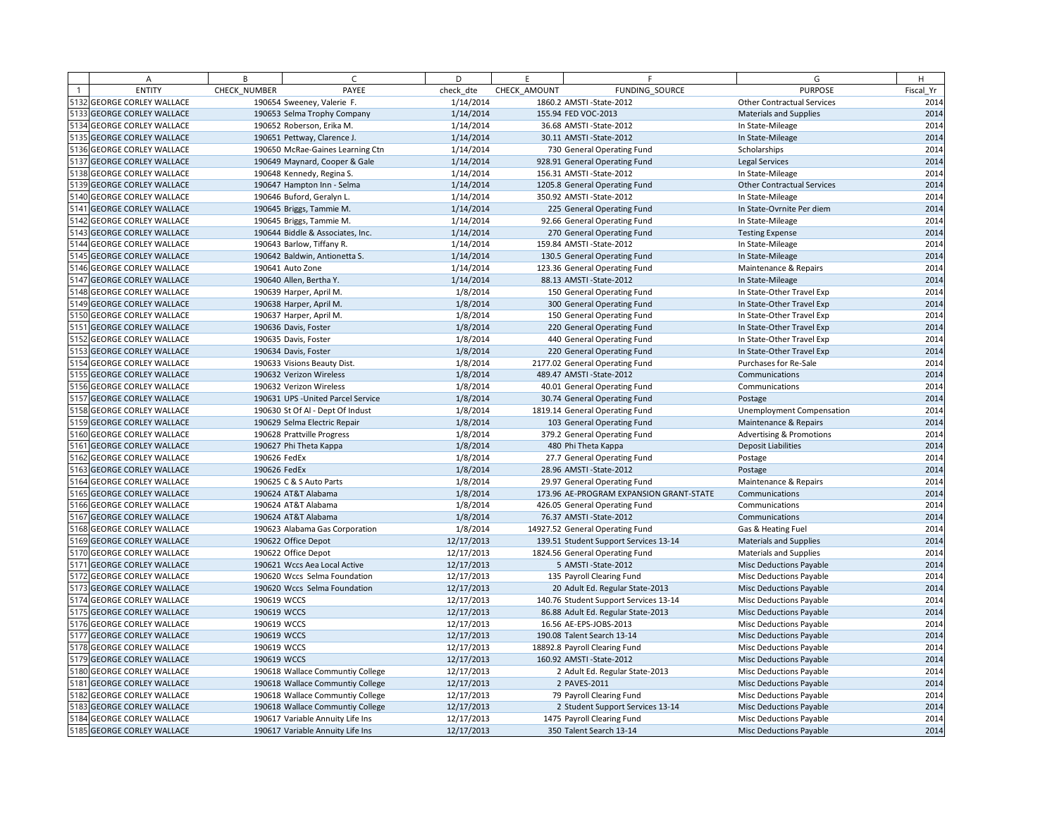| A                          | B            | $\sqrt{ }$                         | D          | E            | F                                       | G                                   | H         |
|----------------------------|--------------|------------------------------------|------------|--------------|-----------------------------------------|-------------------------------------|-----------|
| <b>ENTITY</b>              | CHECK NUMBER | PAYEE                              | check dte  | CHECK AMOUNT | FUNDING SOURCE                          | <b>PURPOSE</b>                      | Fiscal Yr |
| 5132 GEORGE CORLEY WALLACE |              | 190654 Sweeney, Valerie F.         | 1/14/2014  |              | 1860.2 AMSTI-State-2012                 | <b>Other Contractual Services</b>   | 2014      |
| 5133 GEORGE CORLEY WALLACE |              | 190653 Selma Trophy Company        | 1/14/2014  |              | 155.94 FED VOC-2013                     | <b>Materials and Supplies</b>       | 2014      |
| 5134 GEORGE CORLEY WALLACE |              | 190652 Roberson, Erika M.          | 1/14/2014  |              | 36.68 AMSTI - State-2012                | In State-Mileage                    | 2014      |
| 5135 GEORGE CORLEY WALLACE |              | 190651 Pettway, Clarence J.        | 1/14/2014  |              | 30.11 AMSTI-State-2012                  | In State-Mileage                    | 2014      |
| 5136 GEORGE CORLEY WALLACE |              | 190650 McRae-Gaines Learning Ctn   | 1/14/2014  |              | 730 General Operating Fund              | Scholarships                        | 2014      |
| 5137 GEORGE CORLEY WALLACE |              | 190649 Maynard, Cooper & Gale      | 1/14/2014  |              | 928.91 General Operating Fund           | <b>Legal Services</b>               | 2014      |
| 5138 GEORGE CORLEY WALLACE |              | 190648 Kennedy, Regina S.          | 1/14/2014  |              | 156.31 AMSTI-State-2012                 | In State-Mileage                    | 2014      |
| 5139 GEORGE CORLEY WALLACE |              | 190647 Hampton Inn - Selma         | 1/14/2014  |              | 1205.8 General Operating Fund           | <b>Other Contractual Services</b>   | 2014      |
| 5140 GEORGE CORLEY WALLACE |              | 190646 Buford, Geralyn L.          | 1/14/2014  |              | 350.92 AMSTI-State-2012                 | In State-Mileage                    | 2014      |
| 5141 GEORGE CORLEY WALLACE |              | 190645 Briggs, Tammie M.           | 1/14/2014  |              | 225 General Operating Fund              | In State-Ovrnite Per diem           | 2014      |
| 5142 GEORGE CORLEY WALLACE |              | 190645 Briggs, Tammie M.           | 1/14/2014  |              | 92.66 General Operating Fund            | In State-Mileage                    | 2014      |
| 5143 GEORGE CORLEY WALLACE |              | 190644 Biddle & Associates, Inc.   | 1/14/2014  |              | 270 General Operating Fund              | <b>Testing Expense</b>              | 2014      |
| 5144 GEORGE CORLEY WALLACE |              | 190643 Barlow, Tiffany R.          | 1/14/2014  |              | 159.84 AMSTI-State-2012                 | In State-Mileage                    | 2014      |
| 5145 GEORGE CORLEY WALLACE |              | 190642 Baldwin, Antionetta S.      | 1/14/2014  |              | 130.5 General Operating Fund            | In State-Mileage                    | 2014      |
| 5146 GEORGE CORLEY WALLACE |              | 190641 Auto Zone                   | 1/14/2014  |              | 123.36 General Operating Fund           | Maintenance & Repairs               | 2014      |
| 5147 GEORGE CORLEY WALLACE |              | 190640 Allen, Bertha Y.            | 1/14/2014  |              | 88.13 AMSTI-State-2012                  | In State-Mileage                    | 2014      |
| 5148 GEORGE CORLEY WALLACE |              | 190639 Harper, April M.            | 1/8/2014   |              | 150 General Operating Fund              | In State-Other Travel Exp           | 2014      |
| 5149 GEORGE CORLEY WALLACE |              | 190638 Harper, April M.            | 1/8/2014   |              | 300 General Operating Fund              | In State-Other Travel Exp           | 2014      |
| 5150 GEORGE CORLEY WALLACE |              | 190637 Harper, April M.            | 1/8/2014   |              | 150 General Operating Fund              | In State-Other Travel Exp           | 2014      |
| 5151 GEORGE CORLEY WALLACE |              | 190636 Davis, Foster               | 1/8/2014   |              | 220 General Operating Fund              | In State-Other Travel Exp           | 2014      |
| 5152 GEORGE CORLEY WALLACE |              | 190635 Davis, Foster               | 1/8/2014   |              | 440 General Operating Fund              | In State-Other Travel Exp           | 2014      |
| 5153 GEORGE CORLEY WALLACE |              | 190634 Davis, Foster               | 1/8/2014   |              | 220 General Operating Fund              | In State-Other Travel Exp           | 2014      |
| 5154 GEORGE CORLEY WALLACE |              | 190633 Visions Beauty Dist.        | 1/8/2014   |              | 2177.02 General Operating Fund          | Purchases for Re-Sale               | 2014      |
| 5155 GEORGE CORLEY WALLACE |              | 190632 Verizon Wireless            | 1/8/2014   |              | 489.47 AMSTI-State-2012                 | Communications                      | 2014      |
| 5156 GEORGE CORLEY WALLACE |              | 190632 Verizon Wireless            | 1/8/2014   |              | 40.01 General Operating Fund            | Communications                      | 2014      |
| 5157 GEORGE CORLEY WALLACE |              | 190631 UPS - United Parcel Service | 1/8/2014   |              | 30.74 General Operating Fund            | Postage                             | 2014      |
| 5158 GEORGE CORLEY WALLACE |              | 190630 St Of Al - Dept Of Indust   | 1/8/2014   |              | 1819.14 General Operating Fund          | <b>Unemployment Compensation</b>    | 2014      |
| 5159 GEORGE CORLEY WALLACE |              | 190629 Selma Electric Repair       | 1/8/2014   |              | 103 General Operating Fund              | Maintenance & Repairs               | 2014      |
| 5160 GEORGE CORLEY WALLACE |              | 190628 Prattville Progress         | 1/8/2014   |              | 379.2 General Operating Fund            | <b>Advertising &amp; Promotions</b> | 2014      |
| 5161 GEORGE CORLEY WALLACE |              | 190627 Phi Theta Kappa             | 1/8/2014   |              | 480 Phi Theta Kappa                     | <b>Deposit Liabilities</b>          | 2014      |
| 5162 GEORGE CORLEY WALLACE | 190626 FedEx |                                    | 1/8/2014   |              | 27.7 General Operating Fund             | Postage                             | 2014      |
| 5163 GEORGE CORLEY WALLACE | 190626 FedEx |                                    | 1/8/2014   |              | 28.96 AMSTI - State-2012                | Postage                             | 2014      |
| 5164 GEORGE CORLEY WALLACE |              | 190625 C & S Auto Parts            | 1/8/2014   |              | 29.97 General Operating Fund            | Maintenance & Repairs               | 2014      |
| 5165 GEORGE CORLEY WALLACE |              | 190624 AT&T Alabama                | 1/8/2014   |              | 173.96 AE-PROGRAM EXPANSION GRANT-STATE | Communications                      | 2014      |
| 5166 GEORGE CORLEY WALLACE |              | 190624 AT&T Alabama                | 1/8/2014   |              | 426.05 General Operating Fund           | Communications                      | 2014      |
| 5167 GEORGE CORLEY WALLACE |              | 190624 AT&T Alabama                | 1/8/2014   |              | 76.37 AMSTI-State-2012                  | Communications                      | 2014      |
| 5168 GEORGE CORLEY WALLACE |              | 190623 Alabama Gas Corporation     | 1/8/2014   |              | 14927.52 General Operating Fund         | Gas & Heating Fuel                  | 2014      |
| 5169 GEORGE CORLEY WALLACE |              | 190622 Office Depot                | 12/17/2013 |              | 139.51 Student Support Services 13-14   | <b>Materials and Supplies</b>       | 2014      |
| 5170 GEORGE CORLEY WALLACE |              | 190622 Office Depot                | 12/17/2013 |              | 1824.56 General Operating Fund          | <b>Materials and Supplies</b>       | 2014      |
| 5171 GEORGE CORLEY WALLACE |              | 190621 Wccs Aea Local Active       | 12/17/2013 |              | 5 AMSTI-State-2012                      | Misc Deductions Payable             | 2014      |
| 5172 GEORGE CORLEY WALLACE |              | 190620 Wccs Selma Foundation       | 12/17/2013 |              | 135 Payroll Clearing Fund               | Misc Deductions Payable             | 2014      |
| 5173 GEORGE CORLEY WALLACE |              | 190620 Wccs Selma Foundation       | 12/17/2013 |              | 20 Adult Ed. Regular State-2013         | Misc Deductions Payable             | 2014      |
| 5174 GEORGE CORLEY WALLACE | 190619 WCCS  |                                    | 12/17/2013 |              | 140.76 Student Support Services 13-14   | Misc Deductions Payable             | 2014      |
| 5175 GEORGE CORLEY WALLACE | 190619 WCCS  |                                    | 12/17/2013 |              | 86.88 Adult Ed. Regular State-2013      | <b>Misc Deductions Payable</b>      | 2014      |
| 5176 GEORGE CORLEY WALLACE | 190619 WCCS  |                                    | 12/17/2013 |              | 16.56 AE-EPS-JOBS-2013                  | Misc Deductions Payable             | 2014      |
| 5177 GEORGE CORLEY WALLACE | 190619 WCCS  |                                    | 12/17/2013 |              | 190.08 Talent Search 13-14              | <b>Misc Deductions Payable</b>      | 2014      |
| 5178 GEORGE CORLEY WALLACE | 190619 WCCS  |                                    | 12/17/2013 |              | 18892.8 Payroll Clearing Fund           | Misc Deductions Payable             | 2014      |
| 5179 GEORGE CORLEY WALLACE | 190619 WCCS  |                                    | 12/17/2013 |              | 160.92 AMSTI-State-2012                 | Misc Deductions Payable             | 2014      |
| 5180 GEORGE CORLEY WALLACE |              | 190618 Wallace Communtiy College   | 12/17/2013 |              | 2 Adult Ed. Regular State-2013          | Misc Deductions Payable             | 2014      |
| 5181 GEORGE CORLEY WALLACE |              | 190618 Wallace Communtiy College   | 12/17/2013 |              | 2 PAVES-2011                            | <b>Misc Deductions Payable</b>      | 2014      |
| 5182 GEORGE CORLEY WALLACE |              | 190618 Wallace Communtiy College   | 12/17/2013 |              | 79 Payroll Clearing Fund                | Misc Deductions Payable             | 2014      |
| 5183 GEORGE CORLEY WALLACE |              | 190618 Wallace Communtiy College   | 12/17/2013 |              | 2 Student Support Services 13-14        | Misc Deductions Payable             | 2014      |
| 5184 GEORGE CORLEY WALLACE |              | 190617 Variable Annuity Life Ins   | 12/17/2013 |              | 1475 Payroll Clearing Fund              | Misc Deductions Payable             | 2014      |
| 5185 GEORGE CORLEY WALLACE |              | 190617 Variable Annuity Life Ins   | 12/17/2013 |              | 350 Talent Search 13-14                 | Misc Deductions Payable             | 2014      |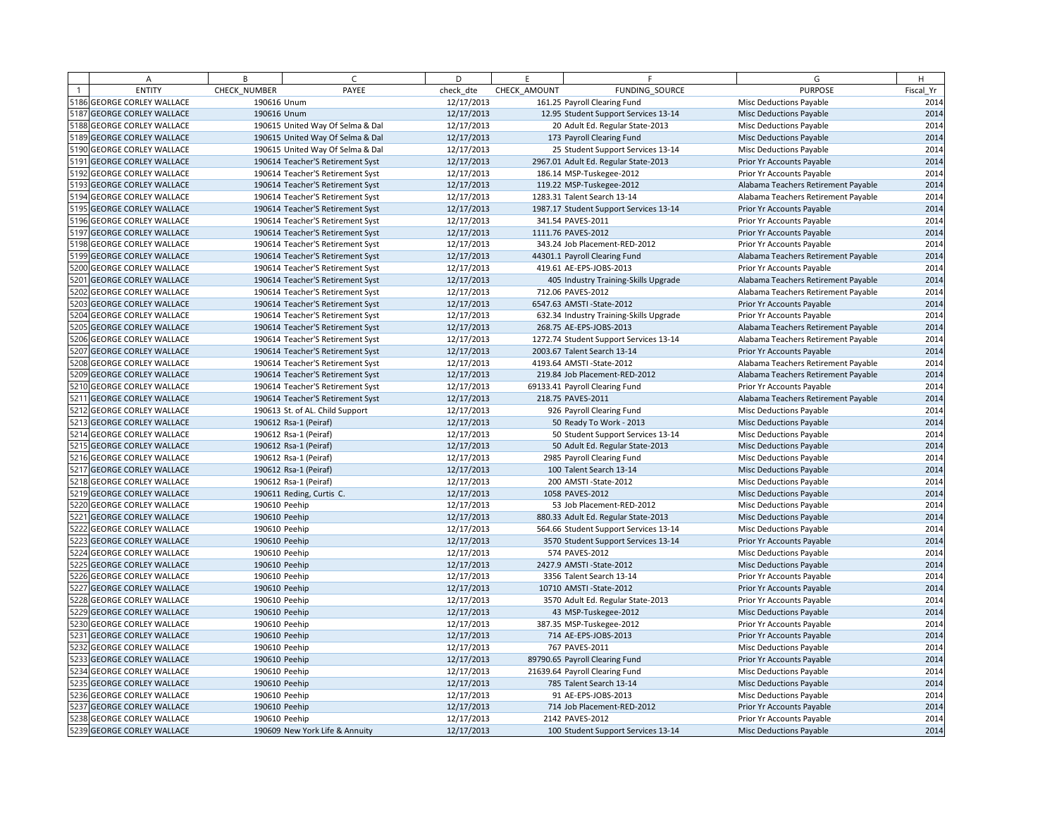| A                          | B             | $\epsilon$                       | D          | F.           | F                                       | G                                   | H         |
|----------------------------|---------------|----------------------------------|------------|--------------|-----------------------------------------|-------------------------------------|-----------|
| <b>ENTITY</b>              | CHECK NUMBER  | PAYEE                            | check dte  | CHECK AMOUNT | FUNDING SOURCE                          | <b>PURPOSE</b>                      | Fiscal Yr |
| 5186 GEORGE CORLEY WALLACE | 190616 Unum   |                                  | 12/17/2013 |              | 161.25 Payroll Clearing Fund            | <b>Misc Deductions Payable</b>      | 2014      |
| 5187 GEORGE CORLEY WALLACE | 190616 Unum   |                                  | 12/17/2013 |              | 12.95 Student Support Services 13-14    | <b>Misc Deductions Payable</b>      | 2014      |
| 5188 GEORGE CORLEY WALLACE |               | 190615 United Way Of Selma & Dal | 12/17/2013 |              | 20 Adult Ed. Regular State-2013         | Misc Deductions Payable             | 2014      |
| 5189 GEORGE CORLEY WALLACE |               | 190615 United Way Of Selma & Dal | 12/17/2013 |              | 173 Payroll Clearing Fund               | <b>Misc Deductions Payable</b>      | 2014      |
| 5190 GEORGE CORLEY WALLACE |               | 190615 United Way Of Selma & Dal | 12/17/2013 |              | 25 Student Support Services 13-14       | Misc Deductions Payable             | 2014      |
| 5191 GEORGE CORLEY WALLACE |               | 190614 Teacher'S Retirement Syst | 12/17/2013 |              | 2967.01 Adult Ed. Regular State-2013    | Prior Yr Accounts Payable           | 2014      |
| 5192 GEORGE CORLEY WALLACE |               | 190614 Teacher'S Retirement Syst | 12/17/2013 |              | 186.14 MSP-Tuskegee-2012                | Prior Yr Accounts Payable           | 2014      |
| 5193 GEORGE CORLEY WALLACE |               | 190614 Teacher'S Retirement Syst | 12/17/2013 |              | 119.22 MSP-Tuskegee-2012                | Alabama Teachers Retirement Payable | 2014      |
| 5194 GEORGE CORLEY WALLACE |               | 190614 Teacher'S Retirement Syst | 12/17/2013 |              | 1283.31 Talent Search 13-14             | Alabama Teachers Retirement Payable | 2014      |
| 5195 GEORGE CORLEY WALLACE |               | 190614 Teacher'S Retirement Syst | 12/17/2013 |              | 1987.17 Student Support Services 13-14  | Prior Yr Accounts Payable           | 2014      |
| 5196 GEORGE CORLEY WALLACE |               | 190614 Teacher'S Retirement Syst | 12/17/2013 |              | 341.54 PAVES-2011                       | Prior Yr Accounts Payable           | 2014      |
| 5197 GEORGE CORLEY WALLACE |               | 190614 Teacher'S Retirement Syst | 12/17/2013 |              | 1111.76 PAVES-2012                      | Prior Yr Accounts Payable           | 2014      |
| 5198 GEORGE CORLEY WALLACE |               | 190614 Teacher'S Retirement Syst | 12/17/2013 |              | 343.24 Job Placement-RED-2012           | Prior Yr Accounts Payable           | 2014      |
| 5199 GEORGE CORLEY WALLACE |               | 190614 Teacher'S Retirement Syst | 12/17/2013 |              | 44301.1 Payroll Clearing Fund           | Alabama Teachers Retirement Payable | 2014      |
| 5200 GEORGE CORLEY WALLACE |               | 190614 Teacher'S Retirement Syst | 12/17/2013 |              | 419.61 AE-EPS-JOBS-2013                 | Prior Yr Accounts Payable           | 2014      |
| 5201 GEORGE CORLEY WALLACE |               | 190614 Teacher'S Retirement Syst | 12/17/2013 |              | 405 Industry Training-Skills Upgrade    | Alabama Teachers Retirement Payable | 2014      |
| 5202 GEORGE CORLEY WALLACE |               | 190614 Teacher'S Retirement Syst | 12/17/2013 |              | 712.06 PAVES-2012                       | Alabama Teachers Retirement Payable | 2014      |
| 5203 GEORGE CORLEY WALLACE |               | 190614 Teacher'S Retirement Syst | 12/17/2013 |              | 6547.63 AMSTI-State-2012                | Prior Yr Accounts Payable           | 2014      |
| 5204 GEORGE CORLEY WALLACE |               | 190614 Teacher'S Retirement Syst | 12/17/2013 |              | 632.34 Industry Training-Skills Upgrade | Prior Yr Accounts Payable           | 2014      |
| 5205 GEORGE CORLEY WALLACE |               | 190614 Teacher'S Retirement Syst | 12/17/2013 |              | 268.75 AE-EPS-JOBS-2013                 | Alabama Teachers Retirement Payable | 2014      |
| 5206 GEORGE CORLEY WALLACE |               | 190614 Teacher'S Retirement Syst | 12/17/2013 |              | 1272.74 Student Support Services 13-14  | Alabama Teachers Retirement Payable | 2014      |
| 5207 GEORGE CORLEY WALLACE |               | 190614 Teacher'S Retirement Syst | 12/17/2013 |              | 2003.67 Talent Search 13-14             | Prior Yr Accounts Payable           | 2014      |
| 5208 GEORGE CORLEY WALLACE |               | 190614 Teacher'S Retirement Syst | 12/17/2013 |              | 4193.64 AMSTI - State-2012              | Alabama Teachers Retirement Payable | 2014      |
| 5209 GEORGE CORLEY WALLACE |               | 190614 Teacher'S Retirement Syst | 12/17/2013 |              | 219.84 Job Placement-RED-2012           | Alabama Teachers Retirement Payable | 2014      |
| 5210 GEORGE CORLEY WALLACE |               | 190614 Teacher'S Retirement Syst | 12/17/2013 |              | 69133.41 Payroll Clearing Fund          | Prior Yr Accounts Payable           | 2014      |
| 5211 GEORGE CORLEY WALLACE |               | 190614 Teacher'S Retirement Syst | 12/17/2013 |              | 218.75 PAVES-2011                       | Alabama Teachers Retirement Payable | 2014      |
| 5212 GEORGE CORLEY WALLACE |               | 190613 St. of AL. Child Support  | 12/17/2013 |              | 926 Payroll Clearing Fund               | Misc Deductions Payable             | 2014      |
| 5213 GEORGE CORLEY WALLACE |               | 190612 Rsa-1 (Peiraf)            | 12/17/2013 |              | 50 Ready To Work - 2013                 | <b>Misc Deductions Payable</b>      | 2014      |
| 5214 GEORGE CORLEY WALLACE |               | 190612 Rsa-1 (Peiraf)            | 12/17/2013 |              | 50 Student Support Services 13-14       | <b>Misc Deductions Payable</b>      | 2014      |
| 5215 GEORGE CORLEY WALLACE |               | 190612 Rsa-1 (Peiraf)            | 12/17/2013 |              | 50 Adult Ed. Regular State-2013         | <b>Misc Deductions Payable</b>      | 2014      |
| 5216 GEORGE CORLEY WALLACE |               | 190612 Rsa-1 (Peiraf)            | 12/17/2013 |              | 2985 Payroll Clearing Fund              | <b>Misc Deductions Payable</b>      | 2014      |
| 5217 GEORGE CORLEY WALLACE |               | 190612 Rsa-1 (Peiraf)            | 12/17/2013 |              | 100 Talent Search 13-14                 | <b>Misc Deductions Payable</b>      | 2014      |
| 5218 GEORGE CORLEY WALLACE |               | 190612 Rsa-1 (Peiraf)            | 12/17/2013 |              | 200 AMSTI-State-2012                    | Misc Deductions Payable             | 2014      |
| 5219 GEORGE CORLEY WALLACE |               | 190611 Reding, Curtis C.         | 12/17/2013 |              | 1058 PAVES-2012                         | <b>Misc Deductions Payable</b>      | 2014      |
| 5220 GEORGE CORLEY WALLACE | 190610 Peehip |                                  | 12/17/2013 |              | 53 Job Placement-RED-2012               | Misc Deductions Payable             | 2014      |
| 5221 GEORGE CORLEY WALLACE | 190610 Peehip |                                  | 12/17/2013 |              | 880.33 Adult Ed. Regular State-2013     | <b>Misc Deductions Payable</b>      | 2014      |
| 5222 GEORGE CORLEY WALLACE | 190610 Peehip |                                  | 12/17/2013 |              | 564.66 Student Support Services 13-14   | <b>Misc Deductions Payable</b>      | 2014      |
| 5223 GEORGE CORLEY WALLACE | 190610 Peehip |                                  | 12/17/2013 |              | 3570 Student Support Services 13-14     | Prior Yr Accounts Payable           | 2014      |
| 5224 GEORGE CORLEY WALLACE | 190610 Peehip |                                  | 12/17/2013 |              | 574 PAVES-2012                          | Misc Deductions Payable             | 2014      |
| 5225 GEORGE CORLEY WALLACE | 190610 Peehip |                                  | 12/17/2013 |              | 2427.9 AMSTI-State-2012                 | <b>Misc Deductions Payable</b>      | 2014      |
| 5226 GEORGE CORLEY WALLACE | 190610 Peehip |                                  | 12/17/2013 |              | 3356 Talent Search 13-14                | Prior Yr Accounts Payable           | 2014      |
| 5227 GEORGE CORLEY WALLACE | 190610 Peehip |                                  | 12/17/2013 |              | 10710 AMSTI-State-2012                  | Prior Yr Accounts Payable           | 2014      |
| 5228 GEORGE CORLEY WALLACE | 190610 Peehip |                                  | 12/17/2013 |              | 3570 Adult Ed. Regular State-2013       | Prior Yr Accounts Payable           | 2014      |
| 5229 GEORGE CORLEY WALLACE | 190610 Peehip |                                  | 12/17/2013 |              | 43 MSP-Tuskegee-2012                    | <b>Misc Deductions Payable</b>      | 2014      |
| 5230 GEORGE CORLEY WALLACE | 190610 Peehip |                                  | 12/17/2013 |              | 387.35 MSP-Tuskegee-2012                | Prior Yr Accounts Payable           | 2014      |
| 5231 GEORGE CORLEY WALLACE | 190610 Peehip |                                  | 12/17/2013 |              | 714 AE-EPS-JOBS-2013                    | Prior Yr Accounts Payable           | 2014      |
| 5232 GEORGE CORLEY WALLACE | 190610 Peehip |                                  | 12/17/2013 |              | 767 PAVES-2011                          | Misc Deductions Payable             | 2014      |
| 5233 GEORGE CORLEY WALLACE | 190610 Peehip |                                  | 12/17/2013 |              | 89790.65 Payroll Clearing Fund          | Prior Yr Accounts Payable           | 2014      |
| 5234 GEORGE CORLEY WALLACE | 190610 Peehip |                                  | 12/17/2013 |              | 21639.64 Payroll Clearing Fund          | Misc Deductions Payable             | 2014      |
| 5235 GEORGE CORLEY WALLACE | 190610 Peehip |                                  | 12/17/2013 |              | 785 Talent Search 13-14                 | <b>Misc Deductions Payable</b>      | 2014      |
| 5236 GEORGE CORLEY WALLACE | 190610 Peehip |                                  | 12/17/2013 |              | 91 AE-EPS-JOBS-2013                     | Misc Deductions Payable             | 2014      |
| 5237 GEORGE CORLEY WALLACE | 190610 Peehip |                                  | 12/17/2013 |              | 714 Job Placement-RED-2012              | Prior Yr Accounts Payable           | 2014      |
| 5238 GEORGE CORLEY WALLACE | 190610 Peehip |                                  | 12/17/2013 |              | 2142 PAVES-2012                         | Prior Yr Accounts Payable           | 2014      |
| 5239 GEORGE CORLEY WALLACE |               | 190609 New York Life & Annuity   | 12/17/2013 |              | 100 Student Support Services 13-14      | <b>Misc Deductions Payable</b>      | 2014      |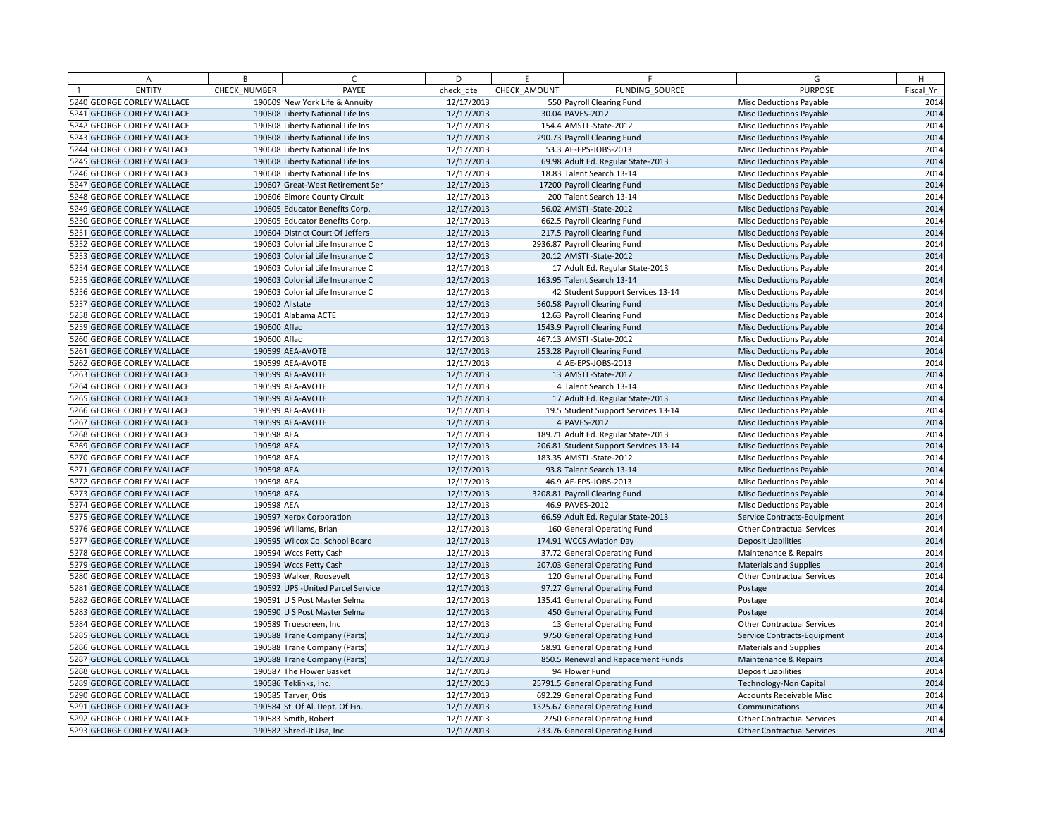|      | А                            | B            | $\sqrt{ }$                         | D          | E            | F                                     | G                                 | H         |
|------|------------------------------|--------------|------------------------------------|------------|--------------|---------------------------------------|-----------------------------------|-----------|
|      | <b>ENTITY</b>                | CHECK NUMBER | PAYEE                              | check dte  | CHECK AMOUNT | <b>FUNDING SOURCE</b>                 | <b>PURPOSE</b>                    | Fiscal Yr |
|      | 5240 GEORGE CORLEY WALLACE   |              | 190609 New York Life & Annuity     | 12/17/2013 |              | 550 Payroll Clearing Fund             | <b>Misc Deductions Payable</b>    | 2014      |
|      | 5241 GEORGE CORLEY WALLACE   |              | 190608 Liberty National Life Ins   | 12/17/2013 |              | 30.04 PAVES-2012                      | <b>Misc Deductions Payable</b>    | 2014      |
|      | 5242 GEORGE CORLEY WALLACE   |              | 190608 Liberty National Life Ins   | 12/17/2013 |              | 154.4 AMSTI-State-2012                | Misc Deductions Payable           | 2014      |
|      | 5243 GEORGE CORLEY WALLACE   |              | 190608 Liberty National Life Ins   | 12/17/2013 |              | 290.73 Payroll Clearing Fund          | <b>Misc Deductions Payable</b>    | 2014      |
|      | 5244 GEORGE CORLEY WALLACE   |              | 190608 Liberty National Life Ins   | 12/17/2013 |              | 53.3 AE-EPS-JOBS-2013                 | Misc Deductions Payable           | 2014      |
|      | 5245 GEORGE CORLEY WALLACE   |              | 190608 Liberty National Life Ins   | 12/17/2013 |              | 69.98 Adult Ed. Regular State-2013    | <b>Misc Deductions Payable</b>    | 2014      |
|      | 5246 GEORGE CORLEY WALLACE   |              | 190608 Liberty National Life Ins   | 12/17/2013 |              | 18.83 Talent Search 13-14             | Misc Deductions Payable           | 2014      |
|      | 5247 GEORGE CORLEY WALLACE   |              | 190607 Great-West Retirement Ser   | 12/17/2013 |              | 17200 Payroll Clearing Fund           | <b>Misc Deductions Payable</b>    | 2014      |
|      | 5248 GEORGE CORLEY WALLACE   |              | 190606 Elmore County Circuit       | 12/17/2013 |              | 200 Talent Search 13-14               | Misc Deductions Payable           | 2014      |
|      | 5249 GEORGE CORLEY WALLACE   |              | 190605 Educator Benefits Corp.     | 12/17/2013 |              | 56.02 AMSTI-State-2012                | <b>Misc Deductions Payable</b>    | 2014      |
|      | 5250 GEORGE CORLEY WALLACE   |              | 190605 Educator Benefits Corp.     | 12/17/2013 |              | 662.5 Payroll Clearing Fund           | Misc Deductions Payable           | 2014      |
|      | 5251 GEORGE CORLEY WALLACE   |              | 190604 District Court Of Jeffers   | 12/17/2013 |              | 217.5 Payroll Clearing Fund           | <b>Misc Deductions Payable</b>    | 2014      |
|      | 5252 GEORGE CORLEY WALLACE   |              | 190603 Colonial Life Insurance C   | 12/17/2013 |              | 2936.87 Payroll Clearing Fund         | Misc Deductions Payable           | 2014      |
| 5253 | <b>GEORGE CORLEY WALLACE</b> |              | 190603 Colonial Life Insurance C   | 12/17/2013 |              | 20.12 AMSTI-State-2012                | <b>Misc Deductions Payable</b>    | 2014      |
|      | 5254 GEORGE CORLEY WALLACE   |              | 190603 Colonial Life Insurance C   | 12/17/2013 |              | 17 Adult Ed. Regular State-2013       | Misc Deductions Payable           | 2014      |
|      | 5255 GEORGE CORLEY WALLACE   |              | 190603 Colonial Life Insurance C   | 12/17/2013 |              | 163.95 Talent Search 13-14            | <b>Misc Deductions Payable</b>    | 2014      |
|      | 5256 GEORGE CORLEY WALLACE   |              | 190603 Colonial Life Insurance C   | 12/17/2013 |              | 42 Student Support Services 13-14     | Misc Deductions Payable           | 2014      |
|      | 5257 GEORGE CORLEY WALLACE   |              | 190602 Allstate                    | 12/17/2013 |              | 560.58 Payroll Clearing Fund          | Misc Deductions Payable           | 2014      |
|      | 5258 GEORGE CORLEY WALLACE   |              | 190601 Alabama ACTE                | 12/17/2013 |              | 12.63 Payroll Clearing Fund           | Misc Deductions Payable           | 2014      |
| 5259 | <b>GEORGE CORLEY WALLACE</b> | 190600 Aflac |                                    | 12/17/2013 |              | 1543.9 Payroll Clearing Fund          | <b>Misc Deductions Payable</b>    | 2014      |
|      | 5260 GEORGE CORLEY WALLACE   | 190600 Aflac |                                    | 12/17/2013 |              | 467.13 AMSTI-State-2012               | <b>Misc Deductions Payable</b>    | 2014      |
|      | 5261 GEORGE CORLEY WALLACE   |              | 190599 AEA-AVOTE                   | 12/17/2013 |              | 253.28 Payroll Clearing Fund          | Misc Deductions Payable           | 2014      |
|      | 5262 GEORGE CORLEY WALLACE   |              | 190599 AEA-AVOTE                   | 12/17/2013 |              | 4 AE-EPS-JOBS-2013                    | Misc Deductions Payable           | 2014      |
|      | 5263 GEORGE CORLEY WALLACE   |              | 190599 AEA-AVOTE                   | 12/17/2013 |              | 13 AMSTI-State-2012                   | <b>Misc Deductions Payable</b>    | 2014      |
|      | 5264 GEORGE CORLEY WALLACE   |              | 190599 AEA-AVOTE                   | 12/17/2013 |              | 4 Talent Search 13-14                 | <b>Misc Deductions Payable</b>    | 2014      |
| 5265 | <b>GEORGE CORLEY WALLACE</b> |              | 190599 AEA-AVOTE                   | 12/17/2013 |              | 17 Adult Ed. Regular State-2013       | Misc Deductions Payable           | 2014      |
|      | 5266 GEORGE CORLEY WALLACE   |              | 190599 AEA-AVOTE                   | 12/17/2013 |              | 19.5 Student Support Services 13-14   | <b>Misc Deductions Payable</b>    | 2014      |
|      | 5267 GEORGE CORLEY WALLACE   |              | 190599 AEA-AVOTE                   | 12/17/2013 |              | 4 PAVES-2012                          | <b>Misc Deductions Payable</b>    | 2014      |
|      | 5268 GEORGE CORLEY WALLACE   | 190598 AEA   |                                    | 12/17/2013 |              | 189.71 Adult Ed. Regular State-2013   | <b>Misc Deductions Payable</b>    | 2014      |
|      | 5269 GEORGE CORLEY WALLACE   | 190598 AEA   |                                    | 12/17/2013 |              | 206.81 Student Support Services 13-14 | <b>Misc Deductions Payable</b>    | 2014      |
|      | 5270 GEORGE CORLEY WALLACE   | 190598 AEA   |                                    | 12/17/2013 |              | 183.35 AMSTI-State-2012               | Misc Deductions Payable           | 2014      |
|      | 5271 GEORGE CORLEY WALLACE   | 190598 AEA   |                                    | 12/17/2013 |              | 93.8 Talent Search 13-14              | <b>Misc Deductions Payable</b>    | 2014      |
|      | 5272 GEORGE CORLEY WALLACE   | 190598 AEA   |                                    | 12/17/2013 |              | 46.9 AE-EPS-JOBS-2013                 | <b>Misc Deductions Payable</b>    | 2014      |
|      | 5273 GEORGE CORLEY WALLACE   | 190598 AEA   |                                    | 12/17/2013 |              | 3208.81 Payroll Clearing Fund         | <b>Misc Deductions Payable</b>    | 2014      |
|      | 5274 GEORGE CORLEY WALLACE   | 190598 AEA   |                                    | 12/17/2013 |              | 46.9 PAVES-2012                       | <b>Misc Deductions Payable</b>    | 2014      |
|      | 5275 GEORGE CORLEY WALLACE   |              | 190597 Xerox Corporation           | 12/17/2013 |              | 66.59 Adult Ed. Regular State-2013    | Service Contracts-Equipment       | 2014      |
|      | 5276 GEORGE CORLEY WALLACE   |              | 190596 Williams, Brian             | 12/17/2013 |              | 160 General Operating Fund            | <b>Other Contractual Services</b> | 2014      |
|      | 5277 GEORGE CORLEY WALLACE   |              | 190595 Wilcox Co. School Board     | 12/17/2013 |              | 174.91 WCCS Aviation Day              | <b>Deposit Liabilities</b>        | 2014      |
|      | 5278 GEORGE CORLEY WALLACE   |              | 190594 Wccs Petty Cash             | 12/17/2013 |              | 37.72 General Operating Fund          | Maintenance & Repairs             | 2014      |
|      | 5279 GEORGE CORLEY WALLACE   |              | 190594 Wccs Petty Cash             | 12/17/2013 |              | 207.03 General Operating Fund         | <b>Materials and Supplies</b>     | 2014      |
|      | 5280 GEORGE CORLEY WALLACE   |              | 190593 Walker, Roosevelt           | 12/17/2013 |              | 120 General Operating Fund            | <b>Other Contractual Services</b> | 2014      |
|      | 5281 GEORGE CORLEY WALLACE   |              | 190592 UPS - United Parcel Service | 12/17/2013 |              | 97.27 General Operating Fund          | Postage                           | 2014      |
|      | 5282 GEORGE CORLEY WALLACE   |              | 190591 U S Post Master Selma       | 12/17/2013 |              | 135.41 General Operating Fund         | Postage                           | 2014      |
|      | 5283 GEORGE CORLEY WALLACE   |              | 190590 U S Post Master Selma       | 12/17/2013 |              | 450 General Operating Fund            | Postage                           | 2014      |
|      | 5284 GEORGE CORLEY WALLACE   |              | 190589 Truescreen, Inc             | 12/17/2013 |              | 13 General Operating Fund             | <b>Other Contractual Services</b> | 2014      |
|      | 5285 GEORGE CORLEY WALLACE   |              | 190588 Trane Company (Parts)       | 12/17/2013 |              | 9750 General Operating Fund           | Service Contracts-Equipment       | 2014      |
|      | 5286 GEORGE CORLEY WALLACE   |              | 190588 Trane Company (Parts)       | 12/17/2013 |              | 58.91 General Operating Fund          | <b>Materials and Supplies</b>     | 2014      |
|      | 5287 GEORGE CORLEY WALLACE   |              | 190588 Trane Company (Parts)       | 12/17/2013 |              | 850.5 Renewal and Repacement Funds    | Maintenance & Repairs             | 2014      |
|      | 5288 GEORGE CORLEY WALLACE   |              | 190587 The Flower Basket           | 12/17/2013 |              | 94 Flower Fund                        | <b>Deposit Liabilities</b>        | 2014      |
|      | 5289 GEORGE CORLEY WALLACE   |              | 190586 Teklinks, Inc.              | 12/17/2013 |              | 25791.5 General Operating Fund        | <b>Technology-Non Capital</b>     | 2014      |
|      | 5290 GEORGE CORLEY WALLACE   |              | 190585 Tarver, Otis                | 12/17/2013 |              | 692.29 General Operating Fund         | Accounts Receivable Misc          | 2014      |
|      | 5291 GEORGE CORLEY WALLACE   |              | 190584 St. Of Al. Dept. Of Fin.    | 12/17/2013 |              | 1325.67 General Operating Fund        | Communications                    | 2014      |
|      | 5292 GEORGE CORLEY WALLACE   |              | 190583 Smith, Robert               | 12/17/2013 |              | 2750 General Operating Fund           | <b>Other Contractual Services</b> | 2014      |
|      | 5293 GEORGE CORLEY WALLACE   |              | 190582 Shred-It Usa, Inc.          | 12/17/2013 |              | 233.76 General Operating Fund         | <b>Other Contractual Services</b> | 2014      |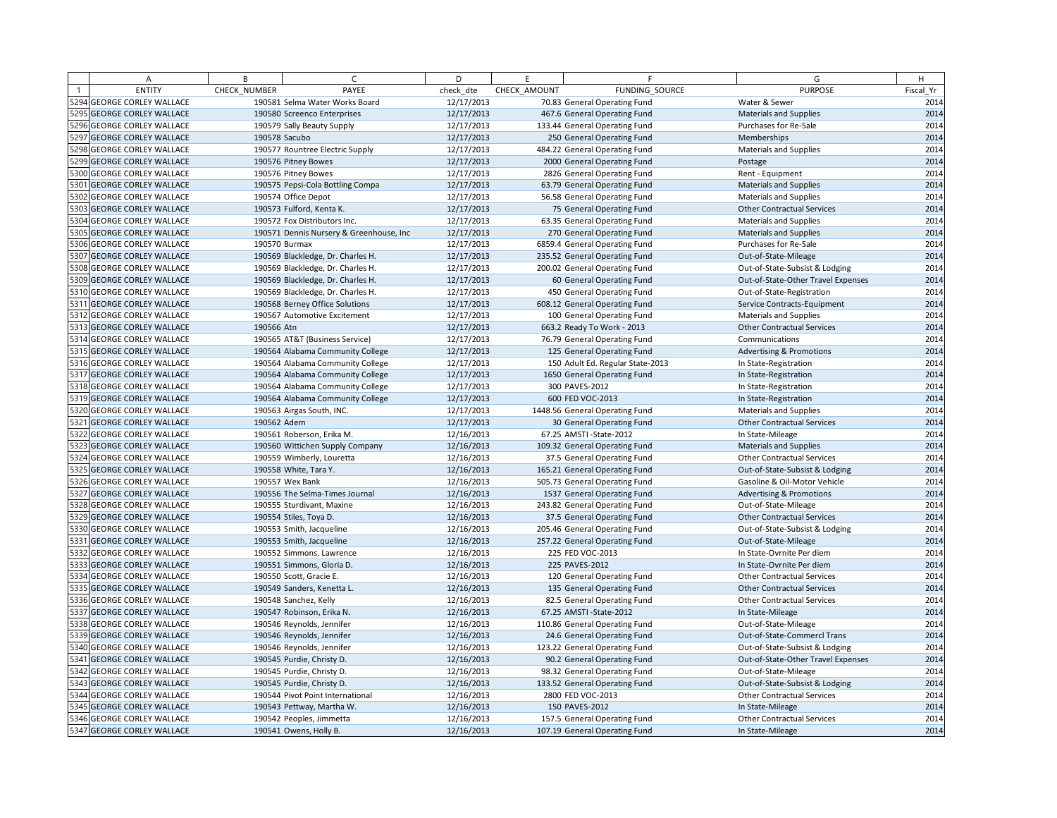|      | Α                            | B            | $\epsilon$                              | D          | E            | F                                | G                                   | H         |
|------|------------------------------|--------------|-----------------------------------------|------------|--------------|----------------------------------|-------------------------------------|-----------|
|      | <b>ENTITY</b>                | CHECK_NUMBER | PAYEE                                   | check dte  | CHECK AMOUNT | FUNDING SOURCE                   | <b>PURPOSE</b>                      | Fiscal Yr |
|      | 5294 GEORGE CORLEY WALLACE   |              | 190581 Selma Water Works Board          | 12/17/2013 |              | 70.83 General Operating Fund     | Water & Sewer                       | 2014      |
|      | 5295 GEORGE CORLEY WALLACE   |              | 190580 Screenco Enterprises             | 12/17/2013 |              | 467.6 General Operating Fund     | <b>Materials and Supplies</b>       | 2014      |
|      | 5296 GEORGE CORLEY WALLACE   |              | 190579 Sally Beauty Supply              | 12/17/2013 |              | 133.44 General Operating Fund    | Purchases for Re-Sale               | 2014      |
|      | 5297 GEORGE CORLEY WALLACE   |              | 190578 Sacubo                           | 12/17/2013 |              | 250 General Operating Fund       | Memberships                         | 2014      |
|      | 5298 GEORGE CORLEY WALLACE   |              | 190577 Rountree Electric Supply         | 12/17/2013 |              | 484.22 General Operating Fund    | Materials and Supplies              | 2014      |
|      | 5299 GEORGE CORLEY WALLACE   |              | 190576 Pitney Bowes                     | 12/17/2013 |              | 2000 General Operating Fund      | Postage                             | 2014      |
|      | 5300 GEORGE CORLEY WALLACE   |              | 190576 Pitney Bowes                     | 12/17/2013 |              | 2826 General Operating Fund      | Rent - Equipment                    | 2014      |
|      | 5301 GEORGE CORLEY WALLACE   |              | 190575 Pepsi-Cola Bottling Compa        | 12/17/2013 |              | 63.79 General Operating Fund     | <b>Materials and Supplies</b>       | 2014      |
|      | 5302 GEORGE CORLEY WALLACE   |              | 190574 Office Depot                     | 12/17/2013 |              | 56.58 General Operating Fund     | <b>Materials and Supplies</b>       | 2014      |
|      | 5303 GEORGE CORLEY WALLACE   |              | 190573 Fulford, Kenta K.                | 12/17/2013 |              | 75 General Operating Fund        | <b>Other Contractual Services</b>   | 2014      |
|      | 5304 GEORGE CORLEY WALLACE   |              | 190572 Fox Distributors Inc.            | 12/17/2013 |              | 63.35 General Operating Fund     | <b>Materials and Supplies</b>       | 2014      |
|      | 5305 GEORGE CORLEY WALLACE   |              | 190571 Dennis Nursery & Greenhouse, Inc | 12/17/2013 |              | 270 General Operating Fund       | <b>Materials and Supplies</b>       | 2014      |
|      | 5306 GEORGE CORLEY WALLACE   |              | 190570 Burmax                           | 12/17/2013 |              | 6859.4 General Operating Fund    | Purchases for Re-Sale               | 2014      |
|      | 5307 GEORGE CORLEY WALLACE   |              | 190569 Blackledge, Dr. Charles H.       | 12/17/2013 |              | 235.52 General Operating Fund    | Out-of-State-Mileage                | 2014      |
|      | 5308 GEORGE CORLEY WALLACE   |              | 190569 Blackledge, Dr. Charles H.       | 12/17/2013 |              | 200.02 General Operating Fund    | Out-of-State-Subsist & Lodging      | 2014      |
|      | 5309 GEORGE CORLEY WALLACE   |              | 190569 Blackledge, Dr. Charles H.       | 12/17/2013 |              | 60 General Operating Fund        | Out-of-State-Other Travel Expenses  | 2014      |
|      | 5310 GEORGE CORLEY WALLACE   |              | 190569 Blackledge, Dr. Charles H.       | 12/17/2013 |              | 450 General Operating Fund       | Out-of-State-Registration           | 2014      |
|      | 5311 GEORGE CORLEY WALLACE   |              | 190568 Berney Office Solutions          | 12/17/2013 |              | 608.12 General Operating Fund    | Service Contracts-Equipment         | 2014      |
|      | 5312 GEORGE CORLEY WALLACE   |              | 190567 Automotive Excitement            | 12/17/2013 |              | 100 General Operating Fund       | <b>Materials and Supplies</b>       | 2014      |
|      | 5313 GEORGE CORLEY WALLACE   | 190566 Atn   |                                         | 12/17/2013 |              | 663.2 Ready To Work - 2013       | <b>Other Contractual Services</b>   | 2014      |
|      | 5314 GEORGE CORLEY WALLACE   |              | 190565 AT&T (Business Service)          | 12/17/2013 |              | 76.79 General Operating Fund     | Communications                      | 2014      |
|      | 5315 GEORGE CORLEY WALLACE   |              | 190564 Alabama Community College        | 12/17/2013 |              | 125 General Operating Fund       | <b>Advertising &amp; Promotions</b> | 2014      |
|      | 5316 GEORGE CORLEY WALLACE   |              | 190564 Alabama Community College        | 12/17/2013 |              | 150 Adult Ed. Regular State-2013 | In State-Registration               | 2014      |
|      | 5317 GEORGE CORLEY WALLACE   |              | 190564 Alabama Community College        | 12/17/2013 |              | 1650 General Operating Fund      | In State-Registration               | 2014      |
|      | 5318 GEORGE CORLEY WALLACE   |              | 190564 Alabama Community College        | 12/17/2013 |              | 300 PAVES-2012                   | In State-Registration               | 2014      |
|      | 5319 GEORGE CORLEY WALLACE   |              | 190564 Alabama Community College        | 12/17/2013 |              | 600 FED VOC-2013                 | In State-Registration               | 2014      |
|      | 5320 GEORGE CORLEY WALLACE   |              | 190563 Airgas South, INC.               | 12/17/2013 |              | 1448.56 General Operating Fund   | <b>Materials and Supplies</b>       | 2014      |
|      | 5321 GEORGE CORLEY WALLACE   | 190562 Adem  |                                         | 12/17/2013 |              | 30 General Operating Fund        | <b>Other Contractual Services</b>   | 2014      |
|      | 5322 GEORGE CORLEY WALLACE   |              | 190561 Roberson, Erika M.               | 12/16/2013 |              | 67.25 AMSTI - State-2012         | In State-Mileage                    | 2014      |
|      | 5323 GEORGE CORLEY WALLACE   |              | 190560 Wittichen Supply Company         | 12/16/2013 |              | 109.32 General Operating Fund    | <b>Materials and Supplies</b>       | 2014      |
|      | 5324 GEORGE CORLEY WALLACE   |              | 190559 Wimberly, Louretta               | 12/16/2013 |              | 37.5 General Operating Fund      | <b>Other Contractual Services</b>   | 2014      |
|      | 5325 GEORGE CORLEY WALLACE   |              | 190558 White, Tara Y.                   | 12/16/2013 |              | 165.21 General Operating Fund    | Out-of-State-Subsist & Lodging      | 2014      |
|      | 5326 GEORGE CORLEY WALLACE   |              | 190557 Wex Bank                         | 12/16/2013 |              | 505.73 General Operating Fund    | Gasoline & Oil-Motor Vehicle        | 2014      |
|      | 5327 GEORGE CORLEY WALLACE   |              | 190556 The Selma-Times Journal          | 12/16/2013 |              | 1537 General Operating Fund      | <b>Advertising &amp; Promotions</b> | 2014      |
|      | 5328 GEORGE CORLEY WALLACE   |              | 190555 Sturdivant, Maxine               | 12/16/2013 |              | 243.82 General Operating Fund    | Out-of-State-Mileage                | 2014      |
|      | 5329 GEORGE CORLEY WALLACE   |              | 190554 Stiles, Toya D.                  | 12/16/2013 |              | 37.5 General Operating Fund      | <b>Other Contractual Services</b>   | 2014      |
|      | 5330 GEORGE CORLEY WALLACE   |              | 190553 Smith, Jacqueline                | 12/16/2013 |              | 205.46 General Operating Fund    | Out-of-State-Subsist & Lodging      | 2014      |
| 5331 | <b>GEORGE CORLEY WALLACE</b> |              | 190553 Smith, Jacqueline                | 12/16/2013 |              | 257.22 General Operating Fund    | Out-of-State-Mileage                | 2014      |
|      | 5332 GEORGE CORLEY WALLACE   |              | 190552 Simmons, Lawrence                | 12/16/2013 |              | 225 FED VOC-2013                 | In State-Ovrnite Per diem           | 2014      |
|      | 5333 GEORGE CORLEY WALLACE   |              | 190551 Simmons, Gloria D.               | 12/16/2013 |              | 225 PAVES-2012                   | In State-Ovrnite Per diem           | 2014      |
|      | 5334 GEORGE CORLEY WALLACE   |              | 190550 Scott, Gracie E.                 | 12/16/2013 |              | 120 General Operating Fund       | <b>Other Contractual Services</b>   | 2014      |
|      | 5335 GEORGE CORLEY WALLACE   |              | 190549 Sanders, Kenetta L.              | 12/16/2013 |              | 135 General Operating Fund       | <b>Other Contractual Services</b>   | 2014      |
|      | 5336 GEORGE CORLEY WALLACE   |              | 190548 Sanchez, Kelly                   | 12/16/2013 |              | 82.5 General Operating Fund      | <b>Other Contractual Services</b>   | 2014      |
| 5337 | <b>GEORGE CORLEY WALLACE</b> |              | 190547 Robinson, Erika N.               | 12/16/2013 |              | 67.25 AMSTI - State-2012         | In State-Mileage                    | 2014      |
|      | 5338 GEORGE CORLEY WALLACE   |              | 190546 Reynolds, Jennifer               | 12/16/2013 |              | 110.86 General Operating Fund    | Out-of-State-Mileage                | 2014      |
|      | 5339 GEORGE CORLEY WALLACE   |              | 190546 Reynolds, Jennifer               | 12/16/2013 |              | 24.6 General Operating Fund      | Out-of-State-Commercl Trans         | 2014      |
|      | 5340 GEORGE CORLEY WALLACE   |              | 190546 Reynolds, Jennifer               | 12/16/2013 |              | 123.22 General Operating Fund    | Out-of-State-Subsist & Lodging      | 2014      |
|      | 5341 GEORGE CORLEY WALLACE   |              | 190545 Purdie, Christy D.               | 12/16/2013 |              | 90.2 General Operating Fund      | Out-of-State-Other Travel Expenses  | 2014      |
|      | 5342 GEORGE CORLEY WALLACE   |              | 190545 Purdie, Christy D.               | 12/16/2013 |              | 98.32 General Operating Fund     | Out-of-State-Mileage                | 2014      |
|      | 5343 GEORGE CORLEY WALLACE   |              | 190545 Purdie, Christy D.               | 12/16/2013 |              | 133.52 General Operating Fund    | Out-of-State-Subsist & Lodging      | 2014      |
|      | 5344 GEORGE CORLEY WALLACE   |              | 190544 Pivot Point International        | 12/16/2013 |              | 2800 FED VOC-2013                | <b>Other Contractual Services</b>   | 2014      |
|      | 5345 GEORGE CORLEY WALLACE   |              | 190543 Pettway, Martha W.               | 12/16/2013 |              | 150 PAVES-2012                   | In State-Mileage                    | 2014      |
|      | 5346 GEORGE CORLEY WALLACE   |              | 190542 Peoples, Jimmetta                | 12/16/2013 |              | 157.5 General Operating Fund     | <b>Other Contractual Services</b>   | 2014      |
|      | 5347 GEORGE CORLEY WALLACE   |              | 190541 Owens, Holly B.                  | 12/16/2013 |              | 107.19 General Operating Fund    | In State-Mileage                    | 2014      |
|      |                              |              |                                         |            |              |                                  |                                     |           |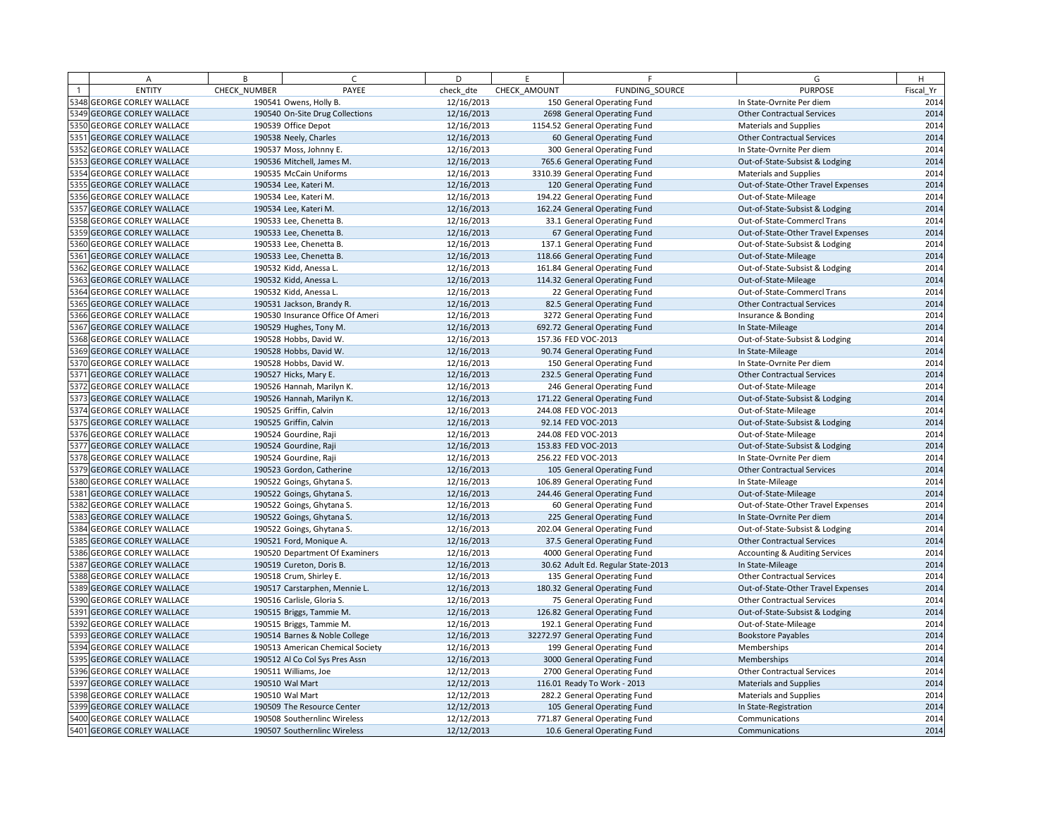|      | A                            | B            | $\mathcal{C}$                    | D          | F.           | F                                  | G                                         | H         |
|------|------------------------------|--------------|----------------------------------|------------|--------------|------------------------------------|-------------------------------------------|-----------|
|      | <b>ENTITY</b>                | CHECK NUMBER | PAYEE                            | check dte  | CHECK AMOUNT | FUNDING SOURCE                     | <b>PURPOSE</b>                            | Fiscal Yr |
|      | 5348 GEORGE CORLEY WALLACE   |              | 190541 Owens, Holly B            | 12/16/2013 |              | 150 General Operating Fund         | In State-Ovrnite Per diem                 | 2014      |
|      | 5349 GEORGE CORLEY WALLACE   |              | 190540 On-Site Drug Collections  | 12/16/2013 |              | 2698 General Operating Fund        | <b>Other Contractual Services</b>         | 2014      |
|      | 5350 GEORGE CORLEY WALLACE   |              | 190539 Office Depot              | 12/16/2013 |              | 1154.52 General Operating Fund     | <b>Materials and Supplies</b>             | 2014      |
|      | 5351 GEORGE CORLEY WALLACE   |              | 190538 Neely, Charles            | 12/16/2013 |              | 60 General Operating Fund          | <b>Other Contractual Services</b>         | 2014      |
|      | 5352 GEORGE CORLEY WALLACE   |              | 190537 Moss, Johnny E.           | 12/16/2013 |              | 300 General Operating Fund         | In State-Ovrnite Per diem                 | 2014      |
|      | 5353 GEORGE CORLEY WALLACE   |              | 190536 Mitchell, James M.        | 12/16/2013 |              | 765.6 General Operating Fund       | Out-of-State-Subsist & Lodging            | 2014      |
|      | 5354 GEORGE CORLEY WALLACE   |              | 190535 McCain Uniforms           | 12/16/2013 |              | 3310.39 General Operating Fund     | <b>Materials and Supplies</b>             | 2014      |
|      | 5355 GEORGE CORLEY WALLACE   |              | 190534 Lee, Kateri M.            | 12/16/2013 |              | 120 General Operating Fund         | Out-of-State-Other Travel Expenses        | 2014      |
|      | 5356 GEORGE CORLEY WALLACE   |              | 190534 Lee, Kateri M.            | 12/16/2013 |              | 194.22 General Operating Fund      | Out-of-State-Mileage                      | 2014      |
|      | 5357 GEORGE CORLEY WALLACE   |              | 190534 Lee, Kateri M.            | 12/16/2013 |              | 162.24 General Operating Fund      | Out-of-State-Subsist & Lodging            | 2014      |
|      | 5358 GEORGE CORLEY WALLACE   |              | 190533 Lee, Chenetta B.          | 12/16/2013 |              | 33.1 General Operating Fund        | Out-of-State-Commercl Trans               | 2014      |
| 5359 | <b>GEORGE CORLEY WALLACE</b> |              | 190533 Lee, Chenetta B.          | 12/16/2013 |              | 67 General Operating Fund          | Out-of-State-Other Travel Expenses        | 2014      |
|      | 5360 GEORGE CORLEY WALLACE   |              | 190533 Lee, Chenetta B.          | 12/16/2013 |              | 137.1 General Operating Fund       | Out-of-State-Subsist & Lodging            | 2014      |
|      | 5361 GEORGE CORLEY WALLACE   |              | 190533 Lee, Chenetta B.          | 12/16/2013 |              | 118.66 General Operating Fund      | Out-of-State-Mileage                      | 2014      |
|      | 5362 GEORGE CORLEY WALLACE   |              | 190532 Kidd, Anessa L.           | 12/16/2013 |              | 161.84 General Operating Fund      | Out-of-State-Subsist & Lodging            | 2014      |
|      | 5363 GEORGE CORLEY WALLACE   |              | 190532 Kidd, Anessa L.           | 12/16/2013 |              | 114.32 General Operating Fund      | Out-of-State-Mileage                      | 2014      |
|      | 5364 GEORGE CORLEY WALLACE   |              | 190532 Kidd, Anessa L.           | 12/16/2013 |              | 22 General Operating Fund          | Out-of-State-Commercl Trans               | 2014      |
|      | 5365 GEORGE CORLEY WALLACE   |              | 190531 Jackson, Brandy R.        | 12/16/2013 |              | 82.5 General Operating Fund        | <b>Other Contractual Services</b>         | 2014      |
|      | 5366 GEORGE CORLEY WALLACE   |              | 190530 Insurance Office Of Ameri | 12/16/2013 |              | 3272 General Operating Fund        | Insurance & Bonding                       | 2014      |
|      | 5367 GEORGE CORLEY WALLACE   |              | 190529 Hughes, Tony M.           | 12/16/2013 |              | 692.72 General Operating Fund      | In State-Mileage                          | 2014      |
|      | 5368 GEORGE CORLEY WALLACE   |              | 190528 Hobbs, David W.           | 12/16/2013 |              | 157.36 FED VOC-2013                | Out-of-State-Subsist & Lodging            | 2014      |
|      | 5369 GEORGE CORLEY WALLACE   |              | 190528 Hobbs, David W.           | 12/16/2013 |              | 90.74 General Operating Fund       | In State-Mileage                          | 2014      |
|      | 5370 GEORGE CORLEY WALLACE   |              | 190528 Hobbs, David W.           | 12/16/2013 |              | 150 General Operating Fund         | In State-Ovrnite Per diem                 | 2014      |
|      | 5371 GEORGE CORLEY WALLACE   |              | 190527 Hicks, Mary E.            | 12/16/2013 |              | 232.5 General Operating Fund       | <b>Other Contractual Services</b>         | 2014      |
|      | 5372 GEORGE CORLEY WALLACE   |              | 190526 Hannah, Marilyn K.        | 12/16/2013 |              | 246 General Operating Fund         | Out-of-State-Mileage                      | 2014      |
|      | 5373 GEORGE CORLEY WALLACE   |              | 190526 Hannah, Marilyn K.        | 12/16/2013 |              | 171.22 General Operating Fund      | Out-of-State-Subsist & Lodging            | 2014      |
|      | 5374 GEORGE CORLEY WALLACE   |              | 190525 Griffin, Calvin           | 12/16/2013 |              | 244.08 FED VOC-2013                | Out-of-State-Mileage                      | 2014      |
|      | 5375 GEORGE CORLEY WALLACE   |              | 190525 Griffin, Calvin           | 12/16/2013 |              | 92.14 FED VOC-2013                 | Out-of-State-Subsist & Lodging            | 2014      |
|      | 5376 GEORGE CORLEY WALLACE   |              | 190524 Gourdine, Raji            | 12/16/2013 |              | 244.08 FED VOC-2013                | Out-of-State-Mileage                      | 2014      |
|      | 5377 GEORGE CORLEY WALLACE   |              | 190524 Gourdine, Raji            | 12/16/2013 |              | 153.83 FED VOC-2013                | Out-of-State-Subsist & Lodging            | 2014      |
|      | 5378 GEORGE CORLEY WALLACE   |              | 190524 Gourdine, Raji            | 12/16/2013 |              | 256.22 FED VOC-2013                | In State-Ovrnite Per diem                 | 2014      |
|      | 5379 GEORGE CORLEY WALLACE   |              | 190523 Gordon, Catherine         | 12/16/2013 |              | 105 General Operating Fund         | <b>Other Contractual Services</b>         | 2014      |
|      | 5380 GEORGE CORLEY WALLACE   |              | 190522 Goings, Ghytana S.        | 12/16/2013 |              | 106.89 General Operating Fund      | In State-Mileage                          | 2014      |
|      | 5381 GEORGE CORLEY WALLACE   |              | 190522 Goings, Ghytana S.        | 12/16/2013 |              | 244.46 General Operating Fund      | Out-of-State-Mileage                      | 2014      |
|      | 5382 GEORGE CORLEY WALLACE   |              | 190522 Goings, Ghytana S.        | 12/16/2013 |              | 60 General Operating Fund          | Out-of-State-Other Travel Expenses        | 2014      |
|      | 5383 GEORGE CORLEY WALLACE   |              | 190522 Goings, Ghytana S.        | 12/16/2013 |              | 225 General Operating Fund         | In State-Ovrnite Per diem                 | 2014      |
|      | 5384 GEORGE CORLEY WALLACE   |              | 190522 Goings, Ghytana S.        | 12/16/2013 |              | 202.04 General Operating Fund      | Out-of-State-Subsist & Lodging            | 2014      |
|      | 5385 GEORGE CORLEY WALLACE   |              | 190521 Ford, Monique A.          | 12/16/2013 |              | 37.5 General Operating Fund        | <b>Other Contractual Services</b>         | 2014      |
|      | 5386 GEORGE CORLEY WALLACE   |              | 190520 Department Of Examiners   | 12/16/2013 |              | 4000 General Operating Fund        | <b>Accounting &amp; Auditing Services</b> | 2014      |
|      | 5387 GEORGE CORLEY WALLACE   |              | 190519 Cureton, Doris B.         | 12/16/2013 |              | 30.62 Adult Ed. Regular State-2013 | In State-Mileage                          | 2014      |
|      | 5388 GEORGE CORLEY WALLACE   |              | 190518 Crum, Shirley E.          | 12/16/2013 |              | 135 General Operating Fund         | <b>Other Contractual Services</b>         | 2014      |
|      | 5389 GEORGE CORLEY WALLACE   |              | 190517 Carstarphen, Mennie L.    | 12/16/2013 |              | 180.32 General Operating Fund      | Out-of-State-Other Travel Expenses        | 2014      |
|      | 5390 GEORGE CORLEY WALLACE   |              | 190516 Carlisle, Gloria S.       | 12/16/2013 |              | 75 General Operating Fund          | <b>Other Contractual Services</b>         | 2014      |
|      | 5391 GEORGE CORLEY WALLACE   |              | 190515 Briggs, Tammie M.         | 12/16/2013 |              | 126.82 General Operating Fund      | Out-of-State-Subsist & Lodging            | 2014      |
|      | 5392 GEORGE CORLEY WALLACE   |              | 190515 Briggs, Tammie M.         | 12/16/2013 |              | 192.1 General Operating Fund       | Out-of-State-Mileage                      | 2014      |
|      | 5393 GEORGE CORLEY WALLACE   |              | 190514 Barnes & Noble College    | 12/16/2013 |              | 32272.97 General Operating Fund    | <b>Bookstore Payables</b>                 | 2014      |
|      | 5394 GEORGE CORLEY WALLACE   |              | 190513 American Chemical Society | 12/16/2013 |              | 199 General Operating Fund         | Memberships                               | 2014      |
|      | 5395 GEORGE CORLEY WALLACE   |              | 190512 Al Co Col Sys Pres Assn   | 12/16/2013 |              | 3000 General Operating Fund        | Memberships                               | 2014      |
|      | 5396 GEORGE CORLEY WALLACE   |              | 190511 Williams, Joe             | 12/12/2013 |              | 2700 General Operating Fund        | <b>Other Contractual Services</b>         | 2014      |
|      | 5397 GEORGE CORLEY WALLACE   |              | 190510 Wal Mart                  | 12/12/2013 |              | 116.01 Ready To Work - 2013        | <b>Materials and Supplies</b>             | 2014      |
|      | 5398 GEORGE CORLEY WALLACE   |              | 190510 Wal Mart                  | 12/12/2013 |              | 282.2 General Operating Fund       | <b>Materials and Supplies</b>             | 2014      |
|      | 5399 GEORGE CORLEY WALLACE   |              | 190509 The Resource Center       | 12/12/2013 |              | 105 General Operating Fund         | In State-Registration                     | 2014      |
|      | 5400 GEORGE CORLEY WALLACE   |              | 190508 Southernlinc Wireless     | 12/12/2013 |              | 771.87 General Operating Fund      | Communications                            | 2014      |
|      | 5401 GEORGE CORLEY WALLACE   |              | 190507 Southernlinc Wireless     | 12/12/2013 |              | 10.6 General Operating Fund        | Communications                            | 2014      |
|      |                              |              |                                  |            |              |                                    |                                           |           |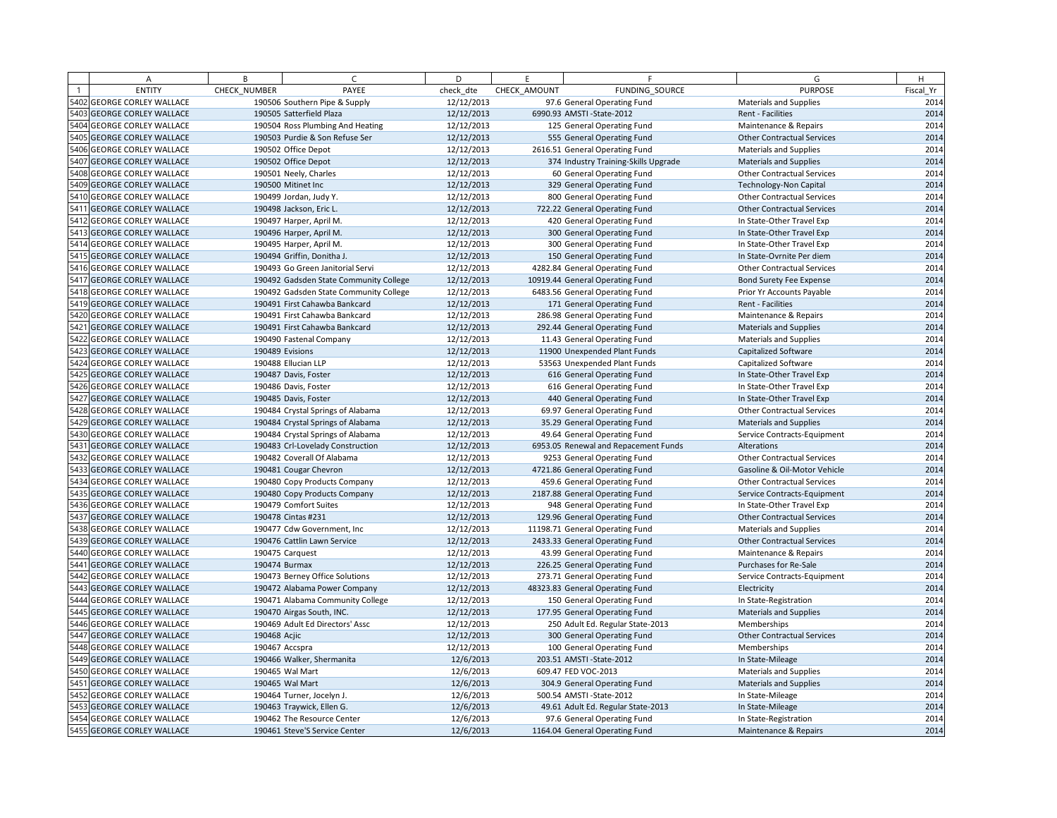| A                          | B            | $\sqrt{ }$                             | D          | E            | E                                    | G                                 | H         |
|----------------------------|--------------|----------------------------------------|------------|--------------|--------------------------------------|-----------------------------------|-----------|
| <b>ENTITY</b>              | CHECK NUMBER | PAYEE                                  | check_dte  | CHECK AMOUNT | <b>FUNDING SOURCE</b>                | <b>PURPOSE</b>                    | Fiscal Yr |
| 5402 GEORGE CORLEY WALLACE |              | 190506 Southern Pipe & Supply          | 12/12/2013 |              | 97.6 General Operating Fund          | <b>Materials and Supplies</b>     | 2014      |
| 5403 GEORGE CORLEY WALLACE |              | 190505 Satterfield Plaza               | 12/12/2013 |              | 6990.93 AMSTI-State-2012             | Rent - Facilities                 | 2014      |
| 5404 GEORGE CORLEY WALLACE |              | 190504 Ross Plumbing And Heating       | 12/12/2013 |              | 125 General Operating Fund           | Maintenance & Repairs             | 2014      |
| 5405 GEORGE CORLEY WALLACE |              | 190503 Purdie & Son Refuse Ser         | 12/12/2013 |              | 555 General Operating Fund           | <b>Other Contractual Services</b> | 2014      |
| 5406 GEORGE CORLEY WALLACE |              | 190502 Office Depot                    | 12/12/2013 |              | 2616.51 General Operating Fund       | Materials and Supplies            | 2014      |
| 5407 GEORGE CORLEY WALLACE |              | 190502 Office Depot                    | 12/12/2013 |              | 374 Industry Training-Skills Upgrade | <b>Materials and Supplies</b>     | 2014      |
| 5408 GEORGE CORLEY WALLACE |              | 190501 Neely, Charles                  | 12/12/2013 |              | 60 General Operating Fund            | <b>Other Contractual Services</b> | 2014      |
| 5409 GEORGE CORLEY WALLACE |              | 190500 Mitinet Inc                     | 12/12/2013 |              | 329 General Operating Fund           | <b>Technology-Non Capital</b>     | 2014      |
| 5410 GEORGE CORLEY WALLACE |              | 190499 Jordan, Judy Y.                 | 12/12/2013 |              | 800 General Operating Fund           | <b>Other Contractual Services</b> | 2014      |
| 5411 GEORGE CORLEY WALLACE |              | 190498 Jackson, Eric L.                | 12/12/2013 |              | 722.22 General Operating Fund        | <b>Other Contractual Services</b> | 2014      |
| 5412 GEORGE CORLEY WALLACE |              | 190497 Harper, April M.                | 12/12/2013 |              | 420 General Operating Fund           | In State-Other Travel Exp         | 2014      |
| 5413 GEORGE CORLEY WALLACE |              | 190496 Harper, April M.                | 12/12/2013 |              | 300 General Operating Fund           | In State-Other Travel Exp         | 2014      |
| 5414 GEORGE CORLEY WALLACE |              | 190495 Harper, April M.                | 12/12/2013 |              | 300 General Operating Fund           | In State-Other Travel Exp         | 2014      |
| 5415 GEORGE CORLEY WALLACE |              | 190494 Griffin, Donitha J.             | 12/12/2013 |              | 150 General Operating Fund           | In State-Ovrnite Per diem         | 2014      |
| 5416 GEORGE CORLEY WALLACE |              | 190493 Go Green Janitorial Servi       | 12/12/2013 |              | 4282.84 General Operating Fund       | <b>Other Contractual Services</b> | 2014      |
| 5417 GEORGE CORLEY WALLACE |              | 190492 Gadsden State Community College | 12/12/2013 |              | 10919.44 General Operating Fund      | Bond Surety Fee Expense           | 2014      |
| 5418 GEORGE CORLEY WALLACE |              | 190492 Gadsden State Community College | 12/12/2013 |              | 6483.56 General Operating Fund       | Prior Yr Accounts Payable         | 2014      |
| 5419 GEORGE CORLEY WALLACE |              | 190491 First Cahawba Bankcard          | 12/12/2013 |              | 171 General Operating Fund           | Rent - Facilities                 | 2014      |
| 5420 GEORGE CORLEY WALLACE |              | 190491 First Cahawba Bankcard          | 12/12/2013 |              | 286.98 General Operating Fund        | Maintenance & Repairs             | 2014      |
| 5421 GEORGE CORLEY WALLACE |              | 190491 First Cahawba Bankcard          | 12/12/2013 |              | 292.44 General Operating Fund        | <b>Materials and Supplies</b>     | 2014      |
| 5422 GEORGE CORLEY WALLACE |              | 190490 Fastenal Company                | 12/12/2013 |              | 11.43 General Operating Fund         | <b>Materials and Supplies</b>     | 2014      |
| 5423 GEORGE CORLEY WALLACE |              | 190489 Evisions                        | 12/12/2013 |              | 11900 Unexpended Plant Funds         | Capitalized Software              | 2014      |
| 5424 GEORGE CORLEY WALLACE |              | 190488 Ellucian LLP                    | 12/12/2013 |              | 53563 Unexpended Plant Funds         | Capitalized Software              | 2014      |
| 5425 GEORGE CORLEY WALLACE |              | 190487 Davis, Foster                   | 12/12/2013 |              | 616 General Operating Fund           | In State-Other Travel Exp         | 2014      |
| 5426 GEORGE CORLEY WALLACE |              | 190486 Davis, Foster                   | 12/12/2013 |              | 616 General Operating Fund           | In State-Other Travel Exp         | 2014      |
| 5427 GEORGE CORLEY WALLACE |              | 190485 Davis, Foster                   | 12/12/2013 |              | 440 General Operating Fund           | In State-Other Travel Exp         | 2014      |
| 5428 GEORGE CORLEY WALLACE |              | 190484 Crystal Springs of Alabama      | 12/12/2013 |              | 69.97 General Operating Fund         | <b>Other Contractual Services</b> | 2014      |
| 5429 GEORGE CORLEY WALLACE |              | 190484 Crystal Springs of Alabama      | 12/12/2013 |              | 35.29 General Operating Fund         | <b>Materials and Supplies</b>     | 2014      |
| 5430 GEORGE CORLEY WALLACE |              | 190484 Crystal Springs of Alabama      | 12/12/2013 |              | 49.64 General Operating Fund         | Service Contracts-Equipment       | 2014      |
| 5431 GEORGE CORLEY WALLACE |              | 190483 Crl-Lovelady Construction       | 12/12/2013 |              | 6953.05 Renewal and Repacement Funds | Alterations                       | 2014      |
| 5432 GEORGE CORLEY WALLACE |              | 190482 Coverall Of Alabama             | 12/12/2013 |              | 9253 General Operating Fund          | <b>Other Contractual Services</b> | 2014      |
| 5433 GEORGE CORLEY WALLACE |              | 190481 Cougar Chevron                  | 12/12/2013 |              | 4721.86 General Operating Fund       | Gasoline & Oil-Motor Vehicle      | 2014      |
| 5434 GEORGE CORLEY WALLACE |              | 190480 Copy Products Company           | 12/12/2013 |              | 459.6 General Operating Fund         | <b>Other Contractual Services</b> | 2014      |
| 5435 GEORGE CORLEY WALLACE |              | 190480 Copy Products Company           | 12/12/2013 |              | 2187.88 General Operating Fund       | Service Contracts-Equipment       | 2014      |
| 5436 GEORGE CORLEY WALLACE |              | 190479 Comfort Suites                  | 12/12/2013 |              | 948 General Operating Fund           | In State-Other Travel Exp         | 2014      |
| 5437 GEORGE CORLEY WALLACE |              | 190478 Cintas #231                     | 12/12/2013 |              | 129.96 General Operating Fund        | <b>Other Contractual Services</b> | 2014      |
| 5438 GEORGE CORLEY WALLACE |              | 190477 Cdw Government, Inc.            | 12/12/2013 |              | 11198.71 General Operating Fund      | <b>Materials and Supplies</b>     | 2014      |
| 5439 GEORGE CORLEY WALLACE |              | 190476 Cattlin Lawn Service            | 12/12/2013 |              | 2433.33 General Operating Fund       | <b>Other Contractual Services</b> | 2014      |
| 5440 GEORGE CORLEY WALLACE |              | 190475 Carquest                        | 12/12/2013 |              | 43.99 General Operating Fund         | Maintenance & Repairs             | 2014      |
| 5441 GEORGE CORLEY WALLACE |              | 190474 Burmax                          | 12/12/2013 |              | 226.25 General Operating Fund        | Purchases for Re-Sale             | 2014      |
| 5442 GEORGE CORLEY WALLACE |              | 190473 Berney Office Solutions         | 12/12/2013 |              | 273.71 General Operating Fund        | Service Contracts-Equipment       | 2014      |
| 5443 GEORGE CORLEY WALLACE |              | 190472 Alabama Power Company           | 12/12/2013 |              | 48323.83 General Operating Fund      | Electricity                       | 2014      |
| 5444 GEORGE CORLEY WALLACE |              | 190471 Alabama Community College       | 12/12/2013 |              | 150 General Operating Fund           | In State-Registration             | 2014      |
| 5445 GEORGE CORLEY WALLACE |              | 190470 Airgas South, INC.              | 12/12/2013 |              | 177.95 General Operating Fund        | <b>Materials and Supplies</b>     | 2014      |
| 5446 GEORGE CORLEY WALLACE |              | 190469 Adult Ed Directors' Assc        | 12/12/2013 |              | 250 Adult Ed. Regular State-2013     | Memberships                       | 2014      |
| 5447 GEORGE CORLEY WALLACE | 190468 Acjic |                                        | 12/12/2013 |              | 300 General Operating Fund           | <b>Other Contractual Services</b> | 2014      |
| 5448 GEORGE CORLEY WALLACE |              | 190467 Accspra                         | 12/12/2013 |              | 100 General Operating Fund           | Memberships                       | 2014      |
| 5449 GEORGE CORLEY WALLACE |              | 190466 Walker, Shermanita              | 12/6/2013  |              | 203.51 AMSTI-State-2012              | In State-Mileage                  | 2014      |
| 5450 GEORGE CORLEY WALLACE |              | 190465 Wal Mart                        | 12/6/2013  |              | 609.47 FED VOC-2013                  | <b>Materials and Supplies</b>     | 2014      |
| 5451 GEORGE CORLEY WALLACE |              | 190465 Wal Mart                        | 12/6/2013  |              | 304.9 General Operating Fund         | <b>Materials and Supplies</b>     | 2014      |
| 5452 GEORGE CORLEY WALLACE |              | 190464 Turner, Jocelyn J.              | 12/6/2013  |              | 500.54 AMSTI - State-2012            | In State-Mileage                  | 2014      |
| 5453 GEORGE CORLEY WALLACE |              | 190463 Traywick, Ellen G               | 12/6/2013  |              | 49.61 Adult Ed. Regular State-2013   | In State-Mileage                  | 2014      |
| 5454 GEORGE CORLEY WALLACE |              | 190462 The Resource Center             | 12/6/2013  |              | 97.6 General Operating Fund          | In State-Registration             | 2014      |
| 5455 GEORGE CORLEY WALLACE |              | 190461 Steve'S Service Center          | 12/6/2013  |              | 1164.04 General Operating Fund       | Maintenance & Repairs             | 2014      |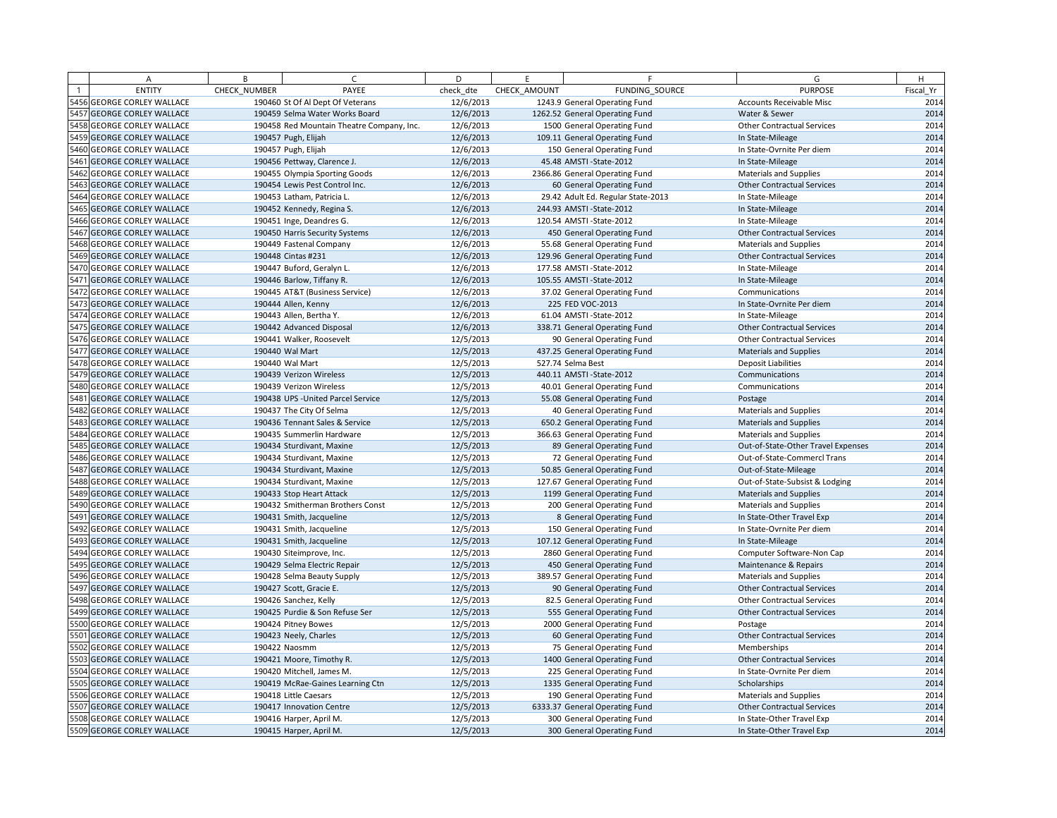| А                          | B            | $\epsilon$                                | D         | E            | F.                                 | G                                  | H         |
|----------------------------|--------------|-------------------------------------------|-----------|--------------|------------------------------------|------------------------------------|-----------|
| <b>ENTITY</b>              | CHECK NUMBER | PAYEE                                     | check dte | CHECK AMOUNT | FUNDING SOURCE                     | <b>PURPOSE</b>                     | Fiscal Yr |
| 5456 GEORGE CORLEY WALLACE |              | 190460 St Of Al Dept Of Veterans          | 12/6/2013 |              | 1243.9 General Operating Fund      | <b>Accounts Receivable Misc</b>    | 2014      |
| 5457 GEORGE CORLEY WALLACE |              | 190459 Selma Water Works Board            | 12/6/2013 |              | 1262.52 General Operating Fund     | Water & Sewer                      | 2014      |
| 5458 GEORGE CORLEY WALLACE |              | 190458 Red Mountain Theatre Company, Inc. | 12/6/2013 |              | 1500 General Operating Fund        | <b>Other Contractual Services</b>  | 2014      |
| 5459 GEORGE CORLEY WALLACE |              | 190457 Pugh, Elijah                       | 12/6/2013 |              | 109.11 General Operating Fund      | In State-Mileage                   | 2014      |
| 5460 GEORGE CORLEY WALLACE |              | 190457 Pugh, Elijah                       | 12/6/2013 |              | 150 General Operating Fund         | In State-Ovrnite Per diem          | 2014      |
| 5461 GEORGE CORLEY WALLACE |              | 190456 Pettway, Clarence J.               | 12/6/2013 |              | 45.48 AMSTI - State-2012           | In State-Mileage                   | 2014      |
| 5462 GEORGE CORLEY WALLACE |              | 190455 Olympia Sporting Goods             | 12/6/2013 |              | 2366.86 General Operating Fund     | <b>Materials and Supplies</b>      | 2014      |
| 5463 GEORGE CORLEY WALLACE |              | 190454 Lewis Pest Control Inc.            | 12/6/2013 |              | 60 General Operating Fund          | <b>Other Contractual Services</b>  | 2014      |
| 5464 GEORGE CORLEY WALLACE |              | 190453 Latham, Patricia L.                | 12/6/2013 |              | 29.42 Adult Ed. Regular State-2013 | In State-Mileage                   | 2014      |
| 5465 GEORGE CORLEY WALLACE |              | 190452 Kennedy, Regina S.                 | 12/6/2013 |              | 244.93 AMSTI-State-2012            | In State-Mileage                   | 2014      |
| 5466 GEORGE CORLEY WALLACE |              | 190451 Inge, Deandres G.                  | 12/6/2013 |              | 120.54 AMSTI-State-2012            | In State-Mileage                   | 2014      |
| 5467 GEORGE CORLEY WALLACE |              | 190450 Harris Security Systems            | 12/6/2013 |              | 450 General Operating Fund         | <b>Other Contractual Services</b>  | 2014      |
| 5468 GEORGE CORLEY WALLACE |              | 190449 Fastenal Company                   | 12/6/2013 |              | 55.68 General Operating Fund       | Materials and Supplies             | 2014      |
| 5469 GEORGE CORLEY WALLACE |              | 190448 Cintas #231                        | 12/6/2013 |              | 129.96 General Operating Fund      | <b>Other Contractual Services</b>  | 2014      |
| 5470 GEORGE CORLEY WALLACE |              | 190447 Buford, Geralyn L.                 | 12/6/2013 |              | 177.58 AMSTI-State-2012            | In State-Mileage                   | 2014      |
| 5471 GEORGE CORLEY WALLACE |              | 190446 Barlow, Tiffany R.                 | 12/6/2013 |              | 105.55 AMSTI-State-2012            | In State-Mileage                   | 2014      |
| 5472 GEORGE CORLEY WALLACE |              | 190445 AT&T (Business Service)            | 12/6/2013 |              | 37.02 General Operating Fund       | Communications                     | 2014      |
| 5473 GEORGE CORLEY WALLACE |              | 190444 Allen, Kenny                       | 12/6/2013 |              | 225 FED VOC-2013                   | In State-Ovrnite Per diem          | 2014      |
| 5474 GEORGE CORLEY WALLACE |              | 190443 Allen, Bertha Y.                   | 12/6/2013 |              | 61.04 AMSTI - State-2012           | In State-Mileage                   | 2014      |
| 5475 GEORGE CORLEY WALLACE |              | 190442 Advanced Disposal                  | 12/6/2013 |              | 338.71 General Operating Fund      | <b>Other Contractual Services</b>  | 2014      |
| 5476 GEORGE CORLEY WALLACE |              | 190441 Walker, Roosevelt                  | 12/5/2013 |              | 90 General Operating Fund          | <b>Other Contractual Services</b>  | 2014      |
| 5477 GEORGE CORLEY WALLACE |              | 190440 Wal Mart                           | 12/5/2013 |              | 437.25 General Operating Fund      | <b>Materials and Supplies</b>      | 2014      |
| 5478 GEORGE CORLEY WALLACE |              | 190440 Wal Mart                           | 12/5/2013 |              | 527.74 Selma Best                  | <b>Deposit Liabilities</b>         | 2014      |
| 5479 GEORGE CORLEY WALLACE |              | 190439 Verizon Wireless                   | 12/5/2013 |              | 440.11 AMSTI-State-2012            | Communications                     | 2014      |
| 5480 GEORGE CORLEY WALLACE |              | 190439 Verizon Wireless                   | 12/5/2013 |              | 40.01 General Operating Fund       | Communications                     | 2014      |
| 5481 GEORGE CORLEY WALLACE |              | 190438 UPS - United Parcel Service        | 12/5/2013 |              | 55.08 General Operating Fund       | Postage                            | 2014      |
| 5482 GEORGE CORLEY WALLACE |              | 190437 The City Of Selma                  | 12/5/2013 |              | 40 General Operating Fund          | <b>Materials and Supplies</b>      | 2014      |
| 5483 GEORGE CORLEY WALLACE |              | 190436 Tennant Sales & Service            | 12/5/2013 |              | 650.2 General Operating Fund       | <b>Materials and Supplies</b>      | 2014      |
| 5484 GEORGE CORLEY WALLACE |              | 190435 Summerlin Hardware                 | 12/5/2013 |              | 366.63 General Operating Fund      | <b>Materials and Supplies</b>      | 2014      |
| 5485 GEORGE CORLEY WALLACE |              | 190434 Sturdivant, Maxine                 | 12/5/2013 |              | 89 General Operating Fund          | Out-of-State-Other Travel Expenses | 2014      |
| 5486 GEORGE CORLEY WALLACE |              | 190434 Sturdivant, Maxine                 | 12/5/2013 |              | 72 General Operating Fund          | Out-of-State-Commercl Trans        | 2014      |
| 5487 GEORGE CORLEY WALLACE |              | 190434 Sturdivant, Maxine                 | 12/5/2013 |              | 50.85 General Operating Fund       | Out-of-State-Mileage               | 2014      |
| 5488 GEORGE CORLEY WALLACE |              | 190434 Sturdivant, Maxine                 | 12/5/2013 |              | 127.67 General Operating Fund      | Out-of-State-Subsist & Lodging     | 2014      |
| 5489 GEORGE CORLEY WALLACE |              | 190433 Stop Heart Attack                  | 12/5/2013 |              | 1199 General Operating Fund        | <b>Materials and Supplies</b>      | 2014      |
| 5490 GEORGE CORLEY WALLACE |              | 190432 Smitherman Brothers Const          | 12/5/2013 |              | 200 General Operating Fund         | <b>Materials and Supplies</b>      | 2014      |
| 5491 GEORGE CORLEY WALLACE |              | 190431 Smith, Jacqueline                  | 12/5/2013 |              | 8 General Operating Fund           | In State-Other Travel Exp          | 2014      |
| 5492 GEORGE CORLEY WALLACE |              | 190431 Smith, Jacqueline                  | 12/5/2013 |              | 150 General Operating Fund         | In State-Ovrnite Per diem          | 2014      |
| 5493 GEORGE CORLEY WALLACE |              | 190431 Smith, Jacqueline                  | 12/5/2013 |              | 107.12 General Operating Fund      | In State-Mileage                   | 2014      |
| 5494 GEORGE CORLEY WALLACE |              | 190430 Siteimprove, Inc.                  | 12/5/2013 |              | 2860 General Operating Fund        | Computer Software-Non Cap          | 2014      |
| 5495 GEORGE CORLEY WALLACE |              | 190429 Selma Electric Repair              | 12/5/2013 |              | 450 General Operating Fund         | Maintenance & Repairs              | 2014      |
| 5496 GEORGE CORLEY WALLACE |              | 190428 Selma Beauty Supply                | 12/5/2013 |              | 389.57 General Operating Fund      | <b>Materials and Supplies</b>      | 2014      |
| 5497 GEORGE CORLEY WALLACE |              | 190427 Scott, Gracie E.                   | 12/5/2013 |              | 90 General Operating Fund          | <b>Other Contractual Services</b>  | 2014      |
| 5498 GEORGE CORLEY WALLACE |              | 190426 Sanchez, Kelly                     | 12/5/2013 |              | 82.5 General Operating Fund        | <b>Other Contractual Services</b>  | 2014      |
| 5499 GEORGE CORLEY WALLACE |              | 190425 Purdie & Son Refuse Ser            | 12/5/2013 |              | 555 General Operating Fund         | <b>Other Contractual Services</b>  | 2014      |
| 5500 GEORGE CORLEY WALLACE |              | 190424 Pitney Bowes                       | 12/5/2013 |              | 2000 General Operating Fund        | Postage                            | 2014      |
| 5501 GEORGE CORLEY WALLACE |              | 190423 Neely, Charles                     | 12/5/2013 |              | 60 General Operating Fund          | <b>Other Contractual Services</b>  | 2014      |
| 5502 GEORGE CORLEY WALLACE |              | 190422 Naosmm                             | 12/5/2013 |              | 75 General Operating Fund          | Memberships                        | 2014      |
| 5503 GEORGE CORLEY WALLACE |              | 190421 Moore, Timothy R.                  | 12/5/2013 |              | 1400 General Operating Fund        | <b>Other Contractual Services</b>  | 2014      |
| 5504 GEORGE CORLEY WALLACE |              | 190420 Mitchell, James M.                 | 12/5/2013 |              | 225 General Operating Fund         | In State-Ovrnite Per diem          | 2014      |
| 5505 GEORGE CORLEY WALLACE |              | 190419 McRae-Gaines Learning Ctn          | 12/5/2013 |              | 1335 General Operating Fund        | Scholarships                       | 2014      |
| 5506 GEORGE CORLEY WALLACE |              | 190418 Little Caesars                     | 12/5/2013 |              | 190 General Operating Fund         | <b>Materials and Supplies</b>      | 2014      |
| 5507 GEORGE CORLEY WALLACE |              | 190417 Innovation Centre                  | 12/5/2013 |              | 6333.37 General Operating Fund     | <b>Other Contractual Services</b>  | 2014      |
| 5508 GEORGE CORLEY WALLACE |              | 190416 Harper, April M.                   | 12/5/2013 |              | 300 General Operating Fund         | In State-Other Travel Exp          | 2014      |
| 5509 GEORGE CORLEY WALLACE |              | 190415 Harper, April M.                   | 12/5/2013 |              | 300 General Operating Fund         | In State-Other Travel Exp          | 2014      |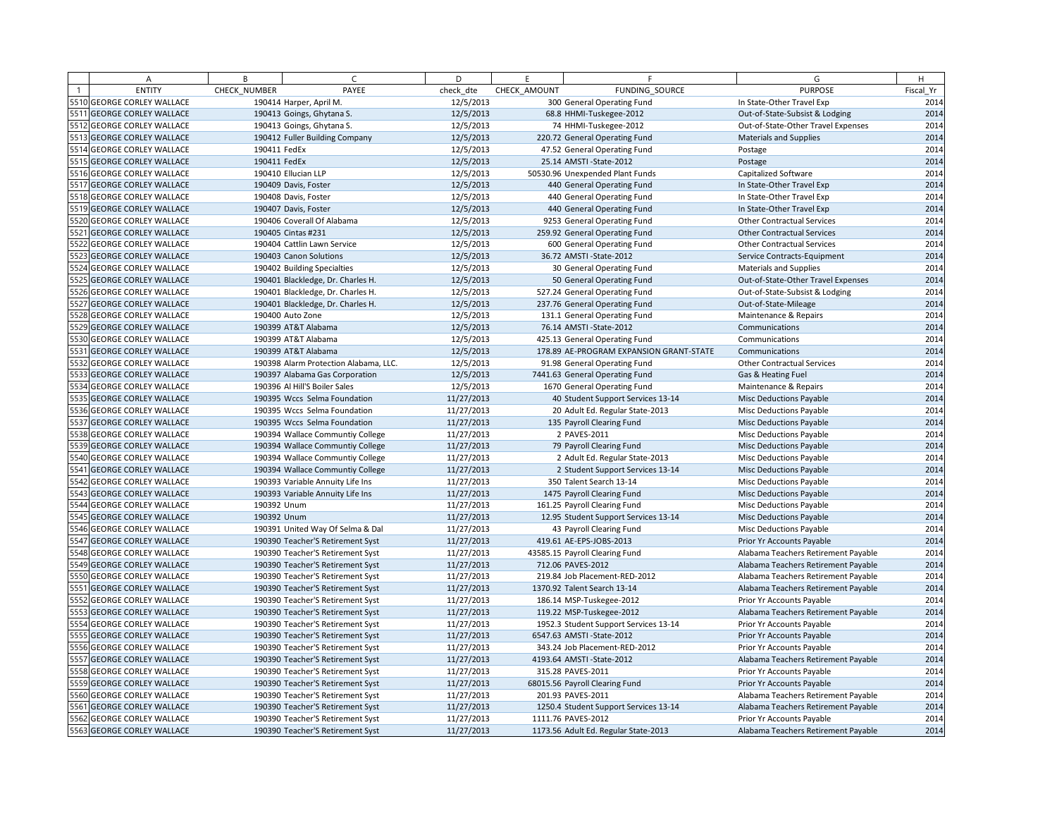| <b>ENTITY</b><br>CHECK NUMBER<br>PAYEE<br>check dte<br>CHECK AMOUNT<br>FUNDING SOURCE<br><b>PURPOSE</b><br>Fiscal Yr<br>5510 GEORGE CORLEY WALLACE<br>300 General Operating Fund<br>2014<br>190414 Harper, April M.<br>12/5/2013<br>In State-Other Travel Exp<br>5511 GEORGE CORLEY WALLACE<br>190413 Goings, Ghytana S.<br>12/5/2013<br>68.8 HHMI-Tuskegee-2012<br>Out-of-State-Subsist & Lodging<br>2014<br>5512 GEORGE CORLEY WALLACE<br>190413 Goings, Ghytana S.<br>12/5/2013<br>74 HHMI-Tuskegee-2012<br>Out-of-State-Other Travel Expenses<br>5513 GEORGE CORLEY WALLACE<br>190412 Fuller Building Company<br>12/5/2013<br>220.72 General Operating Fund<br><b>Materials and Supplies</b><br>2014<br>5514 GEORGE CORLEY WALLACE<br>190411 FedEx<br>12/5/2013<br>47.52 General Operating Fund<br>Postage<br>2014<br>5515 GEORGE CORLEY WALLACE<br>190411 FedEx<br>12/5/2013<br>25.14 AMSTI-State-2012<br>Postage<br>5516 GEORGE CORLEY WALLACE<br>12/5/2013<br>190410 Ellucian LLP<br>50530.96 Unexpended Plant Funds<br>Capitalized Software<br>2014<br>5517 GEORGE CORLEY WALLACE<br>190409 Davis, Foster<br>12/5/2013<br>440 General Operating Fund<br>In State-Other Travel Exp<br>2014<br>5518 GEORGE CORLEY WALLACE<br>12/5/2013<br>190408 Davis, Foster<br>440 General Operating Fund<br>In State-Other Travel Exp<br>5519 GEORGE CORLEY WALLACE<br>190407 Davis, Foster<br>12/5/2013<br>440 General Operating Fund<br>In State-Other Travel Exp<br>2014<br>5520 GEORGE CORLEY WALLACE<br>190406 Coverall Of Alabama<br>12/5/2013<br>9253 General Operating Fund<br><b>Other Contractual Services</b><br>2014<br>5521<br><b>GEORGE CORLEY WALLACE</b><br>190405 Cintas #231<br>12/5/2013<br>259.92 General Operating Fund<br><b>Other Contractual Services</b><br>5522 GEORGE CORLEY WALLACE<br>12/5/2013<br>2014<br>190404 Cattlin Lawn Service<br>600 General Operating Fund<br><b>Other Contractual Services</b><br>2014<br>5523 GEORGE CORLEY WALLACE<br>190403 Canon Solutions<br>12/5/2013<br>36.72 AMSTI-State-2012<br>Service Contracts-Equipment<br>2014<br>5524 GEORGE CORLEY WALLACE<br>190402 Building Specialties<br>12/5/2013<br>30 General Operating Fund<br><b>Materials and Supplies</b><br>5525 GEORGE CORLEY WALLACE<br>190401 Blackledge, Dr. Charles H.<br>12/5/2013<br>50 General Operating Fund<br>Out-of-State-Other Travel Expenses<br>2014<br>5526 GEORGE CORLEY WALLACE<br>190401 Blackledge, Dr. Charles H.<br>12/5/2013<br>527.24 General Operating Fund<br>Out-of-State-Subsist & Lodging<br>2014<br>5527 GEORGE CORLEY WALLACE<br>190401 Blackledge, Dr. Charles H.<br>12/5/2013<br>237.76 General Operating Fund<br>Out-of-State-Mileage<br>5528 GEORGE CORLEY WALLACE<br>2014<br>190400 Auto Zone<br>12/5/2013<br>131.1 General Operating Fund<br>Maintenance & Repairs<br>2014<br>5529 GEORGE CORLEY WALLACE<br>190399 AT&T Alabama<br>12/5/2013<br>76.14 AMSTI - State-2012<br>Communications<br>12/5/2013<br>2014<br>5530 GEORGE CORLEY WALLACE<br>190399 AT&T Alabama<br>425.13 General Operating Fund<br>Communications<br>5531 GEORGE CORLEY WALLACE<br>190399 AT&T Alabama<br>12/5/2013<br>178.89 AE-PROGRAM EXPANSION GRANT-STATE<br>Communications<br>2014<br>5532 GEORGE CORLEY WALLACE<br>190398 Alarm Protection Alabama, LLC.<br>12/5/2013<br>91.98 General Operating Fund<br><b>Other Contractual Services</b><br>12/5/2013<br>2014<br>5533 GEORGE CORLEY WALLACE<br>190397 Alabama Gas Corporation<br>7441.63 General Operating Fund<br>Gas & Heating Fuel<br>5534 GEORGE CORLEY WALLACE<br>2014<br>190396 Al Hill'S Boiler Sales<br>12/5/2013<br>1670 General Operating Fund<br>Maintenance & Repairs<br>2014<br>5535 GEORGE CORLEY WALLACE<br>11/27/2013<br><b>Misc Deductions Payable</b><br>190395 Wccs Selma Foundation<br>40 Student Support Services 13-14<br>2014<br>5536 GEORGE CORLEY WALLACE<br>190395 Wccs Selma Foundation<br>11/27/2013<br>20 Adult Ed. Regular State-2013<br>Misc Deductions Payable<br>5537 GEORGE CORLEY WALLACE<br>190395 Wccs Selma Foundation<br>11/27/2013<br>135 Payroll Clearing Fund<br><b>Misc Deductions Payable</b><br>2014<br>5538 GEORGE CORLEY WALLACE<br>11/27/2013<br>2 PAVES-2011<br>190394 Wallace Communtiy College<br>Misc Deductions Payable<br>2014<br>5539 GEORGE CORLEY WALLACE<br>190394 Wallace Communtiy College<br>11/27/2013<br>79 Payroll Clearing Fund<br><b>Misc Deductions Payable</b><br>5540 GEORGE CORLEY WALLACE<br>2014<br>190394 Wallace Communtiy College<br>11/27/2013<br>2 Adult Ed. Regular State-2013<br>Misc Deductions Payable<br>2014<br>5541 GEORGE CORLEY WALLACE<br>190394 Wallace Communtiy College<br>11/27/2013<br>2 Student Support Services 13-14<br><b>Misc Deductions Payable</b><br>2014<br>5542 GEORGE CORLEY WALLACE<br>190393 Variable Annuity Life Ins<br>11/27/2013<br>350 Talent Search 13-14<br>Misc Deductions Payable<br>5543 GEORGE CORLEY WALLACE<br>190393 Variable Annuity Life Ins<br>11/27/2013<br>1475 Payroll Clearing Fund<br><b>Misc Deductions Payable</b><br>2014<br>5544 GEORGE CORLEY WALLACE<br>190392 Unum<br>11/27/2013<br>161.25 Payroll Clearing Fund<br>Misc Deductions Payable<br>2014<br>5545 GEORGE CORLEY WALLACE<br>190392 Unum<br>11/27/2013<br>12.95 Student Support Services 13-14<br><b>Misc Deductions Payable</b><br>5546 GEORGE CORLEY WALLACE<br>2014<br>190391 United Way Of Selma & Dal<br>11/27/2013<br>43 Payroll Clearing Fund<br><b>Misc Deductions Payable</b><br>2014<br>5547 GEORGE CORLEY WALLACE<br>11/27/2013<br>419.61 AE-EPS-JOBS-2013<br>Prior Yr Accounts Payable<br>190390 Teacher'S Retirement Syst<br>2014<br>5548 GEORGE CORLEY WALLACE<br>11/27/2013<br>43585.15 Payroll Clearing Fund<br>190390 Teacher'S Retirement Syst<br>Alabama Teachers Retirement Payable<br>5549 GEORGE CORLEY WALLACE<br>11/27/2013<br>712.06 PAVES-2012<br>Alabama Teachers Retirement Payable<br>190390 Teacher'S Retirement Syst<br>2014<br>5550 GEORGE CORLEY WALLACE<br>11/27/2013<br>219.84 Job Placement-RED-2012<br>190390 Teacher'S Retirement Syst<br>Alabama Teachers Retirement Payable<br>2014<br>5551 GEORGE CORLEY WALLACE<br>11/27/2013<br>1370.92 Talent Search 13-14<br>190390 Teacher'S Retirement Syst<br>Alabama Teachers Retirement Payable<br>5552 GEORGE CORLEY WALLACE<br>2014<br>11/27/2013<br>186.14 MSP-Tuskegee-2012<br>190390 Teacher'S Retirement Syst<br>Prior Yr Accounts Payable<br>2014<br>5553 GEORGE CORLEY WALLACE<br>11/27/2013<br>190390 Teacher'S Retirement Syst<br>119.22 MSP-Tuskegee-2012<br>Alabama Teachers Retirement Payable<br>2014<br>5554 GEORGE CORLEY WALLACE<br>11/27/2013<br>1952.3 Student Support Services 13-14<br>190390 Teacher'S Retirement Syst<br>Prior Yr Accounts Payable<br>5555 GEORGE CORLEY WALLACE<br>2014<br>190390 Teacher'S Retirement Syst<br>11/27/2013<br>6547.63 AMSTI-State-2012<br>Prior Yr Accounts Payable<br>2014<br>5556 GEORGE CORLEY WALLACE<br>11/27/2013<br>343.24 Job Placement-RED-2012<br>190390 Teacher'S Retirement Syst<br>Prior Yr Accounts Payable<br>2014<br>5557 GEORGE CORLEY WALLACE<br>190390 Teacher'S Retirement Syst<br>11/27/2013<br>4193.64 AMSTI-State-2012<br>Alabama Teachers Retirement Payable<br>5558 GEORGE CORLEY WALLACE<br>2014<br>190390 Teacher'S Retirement Syst<br>11/27/2013<br>315.28 PAVES-2011<br>Prior Yr Accounts Payable<br>5559 GEORGE CORLEY WALLACE<br>11/27/2013<br>2014<br>190390 Teacher'S Retirement Syst<br>68015.56 Payroll Clearing Fund<br>Prior Yr Accounts Payable<br>2014<br>5560 GEORGE CORLEY WALLACE<br>11/27/2013<br>201.93 PAVES-2011<br>190390 Teacher'S Retirement Syst<br>Alabama Teachers Retirement Payable<br>5561 GEORGE CORLEY WALLACE<br>2014<br>190390 Teacher'S Retirement Syst<br>11/27/2013<br>1250.4 Student Support Services 13-14<br>Alabama Teachers Retirement Payable<br>5562 GEORGE CORLEY WALLACE<br>11/27/2013<br>1111.76 PAVES-2012<br>2014<br>190390 Teacher'S Retirement Syst<br>Prior Yr Accounts Payable<br>2014<br>5563 GEORGE CORLEY WALLACE<br>190390 Teacher'S Retirement Syst<br>11/27/2013<br>1173.56 Adult Ed. Regular State-2013<br>Alabama Teachers Retirement Payable | Α | B | $\epsilon$ | D | F. | F | G | H |
|--------------------------------------------------------------------------------------------------------------------------------------------------------------------------------------------------------------------------------------------------------------------------------------------------------------------------------------------------------------------------------------------------------------------------------------------------------------------------------------------------------------------------------------------------------------------------------------------------------------------------------------------------------------------------------------------------------------------------------------------------------------------------------------------------------------------------------------------------------------------------------------------------------------------------------------------------------------------------------------------------------------------------------------------------------------------------------------------------------------------------------------------------------------------------------------------------------------------------------------------------------------------------------------------------------------------------------------------------------------------------------------------------------------------------------------------------------------------------------------------------------------------------------------------------------------------------------------------------------------------------------------------------------------------------------------------------------------------------------------------------------------------------------------------------------------------------------------------------------------------------------------------------------------------------------------------------------------------------------------------------------------------------------------------------------------------------------------------------------------------------------------------------------------------------------------------------------------------------------------------------------------------------------------------------------------------------------------------------------------------------------------------------------------------------------------------------------------------------------------------------------------------------------------------------------------------------------------------------------------------------------------------------------------------------------------------------------------------------------------------------------------------------------------------------------------------------------------------------------------------------------------------------------------------------------------------------------------------------------------------------------------------------------------------------------------------------------------------------------------------------------------------------------------------------------------------------------------------------------------------------------------------------------------------------------------------------------------------------------------------------------------------------------------------------------------------------------------------------------------------------------------------------------------------------------------------------------------------------------------------------------------------------------------------------------------------------------------------------------------------------------------------------------------------------------------------------------------------------------------------------------------------------------------------------------------------------------------------------------------------------------------------------------------------------------------------------------------------------------------------------------------------------------------------------------------------------------------------------------------------------------------------------------------------------------------------------------------------------------------------------------------------------------------------------------------------------------------------------------------------------------------------------------------------------------------------------------------------------------------------------------------------------------------------------------------------------------------------------------------------------------------------------------------------------------------------------------------------------------------------------------------------------------------------------------------------------------------------------------------------------------------------------------------------------------------------------------------------------------------------------------------------------------------------------------------------------------------------------------------------------------------------------------------------------------------------------------------------------------------------------------------------------------------------------------------------------------------------------------------------------------------------------------------------------------------------------------------------------------------------------------------------------------------------------------------------------------------------------------------------------------------------------------------------------------------------------------------------------------------------------------------------------------------------------------------------------------------------------------------------------------------------------------------------------------------------------------------------------------------------------------------------------------------------------------------------------------------------------------------------------------------------------------------------------------------------------------------------------------------------------------------------------------------------------------------------------------------------------------------------------------------------------------------------------------------------------------------------------------------------------------------------------------------------------------------------------------------------------------------------------------------------------------------------------------------------------------------------------------------------------------------------------------------------------------------------------------------------------------------------------------------------------------------------------------------------------------------------------------------------------------------------------------------------------------------------------------------------------------------------------------------------------------------------------------------------------------------------------------------------------------------------------------------------------------------------------------------------------------------------------------------------------------------------------------------------------------------------------------------------------------------------------------------------------------------------------------------------------------------------------------------------------------------------------------------------------------------------------------------------------------------------------------------------------------------------------------------------------------------------------------------------------------------------------------------------------------------------------------------------------------------------------------------|---|---|------------|---|----|---|---|---|
| 2014<br>2014<br>2014<br>2014<br>2014<br>2014<br>2014<br>2014<br>2014                                                                                                                                                                                                                                                                                                                                                                                                                                                                                                                                                                                                                                                                                                                                                                                                                                                                                                                                                                                                                                                                                                                                                                                                                                                                                                                                                                                                                                                                                                                                                                                                                                                                                                                                                                                                                                                                                                                                                                                                                                                                                                                                                                                                                                                                                                                                                                                                                                                                                                                                                                                                                                                                                                                                                                                                                                                                                                                                                                                                                                                                                                                                                                                                                                                                                                                                                                                                                                                                                                                                                                                                                                                                                                                                                                                                                                                                                                                                                                                                                                                                                                                                                                                                                                                                                                                                                                                                                                                                                                                                                                                                                                                                                                                                                                                                                                                                                                                                                                                                                                                                                                                                                                                                                                                                                                                                                                                                                                                                                                                                                                                                                                                                                                                                                                                                                                                                                                                                                                                                                                                                                                                                                                                                                                                                                                                                                                                                                                                                                                                                                                                                                                                                                                                                                                                                                                                                                                                                                                                                                                                                                                                                                                                                                                                                                                                                                                                                                                                                                                                                                                                                                                                                                                                                                                                                                                                                                                                                                                                                                                                                                         |   |   |            |   |    |   |   |   |
|                                                                                                                                                                                                                                                                                                                                                                                                                                                                                                                                                                                                                                                                                                                                                                                                                                                                                                                                                                                                                                                                                                                                                                                                                                                                                                                                                                                                                                                                                                                                                                                                                                                                                                                                                                                                                                                                                                                                                                                                                                                                                                                                                                                                                                                                                                                                                                                                                                                                                                                                                                                                                                                                                                                                                                                                                                                                                                                                                                                                                                                                                                                                                                                                                                                                                                                                                                                                                                                                                                                                                                                                                                                                                                                                                                                                                                                                                                                                                                                                                                                                                                                                                                                                                                                                                                                                                                                                                                                                                                                                                                                                                                                                                                                                                                                                                                                                                                                                                                                                                                                                                                                                                                                                                                                                                                                                                                                                                                                                                                                                                                                                                                                                                                                                                                                                                                                                                                                                                                                                                                                                                                                                                                                                                                                                                                                                                                                                                                                                                                                                                                                                                                                                                                                                                                                                                                                                                                                                                                                                                                                                                                                                                                                                                                                                                                                                                                                                                                                                                                                                                                                                                                                                                                                                                                                                                                                                                                                                                                                                                                                                                                                                                              |   |   |            |   |    |   |   |   |
|                                                                                                                                                                                                                                                                                                                                                                                                                                                                                                                                                                                                                                                                                                                                                                                                                                                                                                                                                                                                                                                                                                                                                                                                                                                                                                                                                                                                                                                                                                                                                                                                                                                                                                                                                                                                                                                                                                                                                                                                                                                                                                                                                                                                                                                                                                                                                                                                                                                                                                                                                                                                                                                                                                                                                                                                                                                                                                                                                                                                                                                                                                                                                                                                                                                                                                                                                                                                                                                                                                                                                                                                                                                                                                                                                                                                                                                                                                                                                                                                                                                                                                                                                                                                                                                                                                                                                                                                                                                                                                                                                                                                                                                                                                                                                                                                                                                                                                                                                                                                                                                                                                                                                                                                                                                                                                                                                                                                                                                                                                                                                                                                                                                                                                                                                                                                                                                                                                                                                                                                                                                                                                                                                                                                                                                                                                                                                                                                                                                                                                                                                                                                                                                                                                                                                                                                                                                                                                                                                                                                                                                                                                                                                                                                                                                                                                                                                                                                                                                                                                                                                                                                                                                                                                                                                                                                                                                                                                                                                                                                                                                                                                                                                              |   |   |            |   |    |   |   |   |
|                                                                                                                                                                                                                                                                                                                                                                                                                                                                                                                                                                                                                                                                                                                                                                                                                                                                                                                                                                                                                                                                                                                                                                                                                                                                                                                                                                                                                                                                                                                                                                                                                                                                                                                                                                                                                                                                                                                                                                                                                                                                                                                                                                                                                                                                                                                                                                                                                                                                                                                                                                                                                                                                                                                                                                                                                                                                                                                                                                                                                                                                                                                                                                                                                                                                                                                                                                                                                                                                                                                                                                                                                                                                                                                                                                                                                                                                                                                                                                                                                                                                                                                                                                                                                                                                                                                                                                                                                                                                                                                                                                                                                                                                                                                                                                                                                                                                                                                                                                                                                                                                                                                                                                                                                                                                                                                                                                                                                                                                                                                                                                                                                                                                                                                                                                                                                                                                                                                                                                                                                                                                                                                                                                                                                                                                                                                                                                                                                                                                                                                                                                                                                                                                                                                                                                                                                                                                                                                                                                                                                                                                                                                                                                                                                                                                                                                                                                                                                                                                                                                                                                                                                                                                                                                                                                                                                                                                                                                                                                                                                                                                                                                                                              |   |   |            |   |    |   |   |   |
|                                                                                                                                                                                                                                                                                                                                                                                                                                                                                                                                                                                                                                                                                                                                                                                                                                                                                                                                                                                                                                                                                                                                                                                                                                                                                                                                                                                                                                                                                                                                                                                                                                                                                                                                                                                                                                                                                                                                                                                                                                                                                                                                                                                                                                                                                                                                                                                                                                                                                                                                                                                                                                                                                                                                                                                                                                                                                                                                                                                                                                                                                                                                                                                                                                                                                                                                                                                                                                                                                                                                                                                                                                                                                                                                                                                                                                                                                                                                                                                                                                                                                                                                                                                                                                                                                                                                                                                                                                                                                                                                                                                                                                                                                                                                                                                                                                                                                                                                                                                                                                                                                                                                                                                                                                                                                                                                                                                                                                                                                                                                                                                                                                                                                                                                                                                                                                                                                                                                                                                                                                                                                                                                                                                                                                                                                                                                                                                                                                                                                                                                                                                                                                                                                                                                                                                                                                                                                                                                                                                                                                                                                                                                                                                                                                                                                                                                                                                                                                                                                                                                                                                                                                                                                                                                                                                                                                                                                                                                                                                                                                                                                                                                                              |   |   |            |   |    |   |   |   |
|                                                                                                                                                                                                                                                                                                                                                                                                                                                                                                                                                                                                                                                                                                                                                                                                                                                                                                                                                                                                                                                                                                                                                                                                                                                                                                                                                                                                                                                                                                                                                                                                                                                                                                                                                                                                                                                                                                                                                                                                                                                                                                                                                                                                                                                                                                                                                                                                                                                                                                                                                                                                                                                                                                                                                                                                                                                                                                                                                                                                                                                                                                                                                                                                                                                                                                                                                                                                                                                                                                                                                                                                                                                                                                                                                                                                                                                                                                                                                                                                                                                                                                                                                                                                                                                                                                                                                                                                                                                                                                                                                                                                                                                                                                                                                                                                                                                                                                                                                                                                                                                                                                                                                                                                                                                                                                                                                                                                                                                                                                                                                                                                                                                                                                                                                                                                                                                                                                                                                                                                                                                                                                                                                                                                                                                                                                                                                                                                                                                                                                                                                                                                                                                                                                                                                                                                                                                                                                                                                                                                                                                                                                                                                                                                                                                                                                                                                                                                                                                                                                                                                                                                                                                                                                                                                                                                                                                                                                                                                                                                                                                                                                                                                              |   |   |            |   |    |   |   |   |
|                                                                                                                                                                                                                                                                                                                                                                                                                                                                                                                                                                                                                                                                                                                                                                                                                                                                                                                                                                                                                                                                                                                                                                                                                                                                                                                                                                                                                                                                                                                                                                                                                                                                                                                                                                                                                                                                                                                                                                                                                                                                                                                                                                                                                                                                                                                                                                                                                                                                                                                                                                                                                                                                                                                                                                                                                                                                                                                                                                                                                                                                                                                                                                                                                                                                                                                                                                                                                                                                                                                                                                                                                                                                                                                                                                                                                                                                                                                                                                                                                                                                                                                                                                                                                                                                                                                                                                                                                                                                                                                                                                                                                                                                                                                                                                                                                                                                                                                                                                                                                                                                                                                                                                                                                                                                                                                                                                                                                                                                                                                                                                                                                                                                                                                                                                                                                                                                                                                                                                                                                                                                                                                                                                                                                                                                                                                                                                                                                                                                                                                                                                                                                                                                                                                                                                                                                                                                                                                                                                                                                                                                                                                                                                                                                                                                                                                                                                                                                                                                                                                                                                                                                                                                                                                                                                                                                                                                                                                                                                                                                                                                                                                                                              |   |   |            |   |    |   |   |   |
|                                                                                                                                                                                                                                                                                                                                                                                                                                                                                                                                                                                                                                                                                                                                                                                                                                                                                                                                                                                                                                                                                                                                                                                                                                                                                                                                                                                                                                                                                                                                                                                                                                                                                                                                                                                                                                                                                                                                                                                                                                                                                                                                                                                                                                                                                                                                                                                                                                                                                                                                                                                                                                                                                                                                                                                                                                                                                                                                                                                                                                                                                                                                                                                                                                                                                                                                                                                                                                                                                                                                                                                                                                                                                                                                                                                                                                                                                                                                                                                                                                                                                                                                                                                                                                                                                                                                                                                                                                                                                                                                                                                                                                                                                                                                                                                                                                                                                                                                                                                                                                                                                                                                                                                                                                                                                                                                                                                                                                                                                                                                                                                                                                                                                                                                                                                                                                                                                                                                                                                                                                                                                                                                                                                                                                                                                                                                                                                                                                                                                                                                                                                                                                                                                                                                                                                                                                                                                                                                                                                                                                                                                                                                                                                                                                                                                                                                                                                                                                                                                                                                                                                                                                                                                                                                                                                                                                                                                                                                                                                                                                                                                                                                                              |   |   |            |   |    |   |   |   |
|                                                                                                                                                                                                                                                                                                                                                                                                                                                                                                                                                                                                                                                                                                                                                                                                                                                                                                                                                                                                                                                                                                                                                                                                                                                                                                                                                                                                                                                                                                                                                                                                                                                                                                                                                                                                                                                                                                                                                                                                                                                                                                                                                                                                                                                                                                                                                                                                                                                                                                                                                                                                                                                                                                                                                                                                                                                                                                                                                                                                                                                                                                                                                                                                                                                                                                                                                                                                                                                                                                                                                                                                                                                                                                                                                                                                                                                                                                                                                                                                                                                                                                                                                                                                                                                                                                                                                                                                                                                                                                                                                                                                                                                                                                                                                                                                                                                                                                                                                                                                                                                                                                                                                                                                                                                                                                                                                                                                                                                                                                                                                                                                                                                                                                                                                                                                                                                                                                                                                                                                                                                                                                                                                                                                                                                                                                                                                                                                                                                                                                                                                                                                                                                                                                                                                                                                                                                                                                                                                                                                                                                                                                                                                                                                                                                                                                                                                                                                                                                                                                                                                                                                                                                                                                                                                                                                                                                                                                                                                                                                                                                                                                                                                              |   |   |            |   |    |   |   |   |
|                                                                                                                                                                                                                                                                                                                                                                                                                                                                                                                                                                                                                                                                                                                                                                                                                                                                                                                                                                                                                                                                                                                                                                                                                                                                                                                                                                                                                                                                                                                                                                                                                                                                                                                                                                                                                                                                                                                                                                                                                                                                                                                                                                                                                                                                                                                                                                                                                                                                                                                                                                                                                                                                                                                                                                                                                                                                                                                                                                                                                                                                                                                                                                                                                                                                                                                                                                                                                                                                                                                                                                                                                                                                                                                                                                                                                                                                                                                                                                                                                                                                                                                                                                                                                                                                                                                                                                                                                                                                                                                                                                                                                                                                                                                                                                                                                                                                                                                                                                                                                                                                                                                                                                                                                                                                                                                                                                                                                                                                                                                                                                                                                                                                                                                                                                                                                                                                                                                                                                                                                                                                                                                                                                                                                                                                                                                                                                                                                                                                                                                                                                                                                                                                                                                                                                                                                                                                                                                                                                                                                                                                                                                                                                                                                                                                                                                                                                                                                                                                                                                                                                                                                                                                                                                                                                                                                                                                                                                                                                                                                                                                                                                                                              |   |   |            |   |    |   |   |   |
|                                                                                                                                                                                                                                                                                                                                                                                                                                                                                                                                                                                                                                                                                                                                                                                                                                                                                                                                                                                                                                                                                                                                                                                                                                                                                                                                                                                                                                                                                                                                                                                                                                                                                                                                                                                                                                                                                                                                                                                                                                                                                                                                                                                                                                                                                                                                                                                                                                                                                                                                                                                                                                                                                                                                                                                                                                                                                                                                                                                                                                                                                                                                                                                                                                                                                                                                                                                                                                                                                                                                                                                                                                                                                                                                                                                                                                                                                                                                                                                                                                                                                                                                                                                                                                                                                                                                                                                                                                                                                                                                                                                                                                                                                                                                                                                                                                                                                                                                                                                                                                                                                                                                                                                                                                                                                                                                                                                                                                                                                                                                                                                                                                                                                                                                                                                                                                                                                                                                                                                                                                                                                                                                                                                                                                                                                                                                                                                                                                                                                                                                                                                                                                                                                                                                                                                                                                                                                                                                                                                                                                                                                                                                                                                                                                                                                                                                                                                                                                                                                                                                                                                                                                                                                                                                                                                                                                                                                                                                                                                                                                                                                                                                                              |   |   |            |   |    |   |   |   |
|                                                                                                                                                                                                                                                                                                                                                                                                                                                                                                                                                                                                                                                                                                                                                                                                                                                                                                                                                                                                                                                                                                                                                                                                                                                                                                                                                                                                                                                                                                                                                                                                                                                                                                                                                                                                                                                                                                                                                                                                                                                                                                                                                                                                                                                                                                                                                                                                                                                                                                                                                                                                                                                                                                                                                                                                                                                                                                                                                                                                                                                                                                                                                                                                                                                                                                                                                                                                                                                                                                                                                                                                                                                                                                                                                                                                                                                                                                                                                                                                                                                                                                                                                                                                                                                                                                                                                                                                                                                                                                                                                                                                                                                                                                                                                                                                                                                                                                                                                                                                                                                                                                                                                                                                                                                                                                                                                                                                                                                                                                                                                                                                                                                                                                                                                                                                                                                                                                                                                                                                                                                                                                                                                                                                                                                                                                                                                                                                                                                                                                                                                                                                                                                                                                                                                                                                                                                                                                                                                                                                                                                                                                                                                                                                                                                                                                                                                                                                                                                                                                                                                                                                                                                                                                                                                                                                                                                                                                                                                                                                                                                                                                                                                              |   |   |            |   |    |   |   |   |
|                                                                                                                                                                                                                                                                                                                                                                                                                                                                                                                                                                                                                                                                                                                                                                                                                                                                                                                                                                                                                                                                                                                                                                                                                                                                                                                                                                                                                                                                                                                                                                                                                                                                                                                                                                                                                                                                                                                                                                                                                                                                                                                                                                                                                                                                                                                                                                                                                                                                                                                                                                                                                                                                                                                                                                                                                                                                                                                                                                                                                                                                                                                                                                                                                                                                                                                                                                                                                                                                                                                                                                                                                                                                                                                                                                                                                                                                                                                                                                                                                                                                                                                                                                                                                                                                                                                                                                                                                                                                                                                                                                                                                                                                                                                                                                                                                                                                                                                                                                                                                                                                                                                                                                                                                                                                                                                                                                                                                                                                                                                                                                                                                                                                                                                                                                                                                                                                                                                                                                                                                                                                                                                                                                                                                                                                                                                                                                                                                                                                                                                                                                                                                                                                                                                                                                                                                                                                                                                                                                                                                                                                                                                                                                                                                                                                                                                                                                                                                                                                                                                                                                                                                                                                                                                                                                                                                                                                                                                                                                                                                                                                                                                                                              |   |   |            |   |    |   |   |   |
|                                                                                                                                                                                                                                                                                                                                                                                                                                                                                                                                                                                                                                                                                                                                                                                                                                                                                                                                                                                                                                                                                                                                                                                                                                                                                                                                                                                                                                                                                                                                                                                                                                                                                                                                                                                                                                                                                                                                                                                                                                                                                                                                                                                                                                                                                                                                                                                                                                                                                                                                                                                                                                                                                                                                                                                                                                                                                                                                                                                                                                                                                                                                                                                                                                                                                                                                                                                                                                                                                                                                                                                                                                                                                                                                                                                                                                                                                                                                                                                                                                                                                                                                                                                                                                                                                                                                                                                                                                                                                                                                                                                                                                                                                                                                                                                                                                                                                                                                                                                                                                                                                                                                                                                                                                                                                                                                                                                                                                                                                                                                                                                                                                                                                                                                                                                                                                                                                                                                                                                                                                                                                                                                                                                                                                                                                                                                                                                                                                                                                                                                                                                                                                                                                                                                                                                                                                                                                                                                                                                                                                                                                                                                                                                                                                                                                                                                                                                                                                                                                                                                                                                                                                                                                                                                                                                                                                                                                                                                                                                                                                                                                                                                                              |   |   |            |   |    |   |   |   |
|                                                                                                                                                                                                                                                                                                                                                                                                                                                                                                                                                                                                                                                                                                                                                                                                                                                                                                                                                                                                                                                                                                                                                                                                                                                                                                                                                                                                                                                                                                                                                                                                                                                                                                                                                                                                                                                                                                                                                                                                                                                                                                                                                                                                                                                                                                                                                                                                                                                                                                                                                                                                                                                                                                                                                                                                                                                                                                                                                                                                                                                                                                                                                                                                                                                                                                                                                                                                                                                                                                                                                                                                                                                                                                                                                                                                                                                                                                                                                                                                                                                                                                                                                                                                                                                                                                                                                                                                                                                                                                                                                                                                                                                                                                                                                                                                                                                                                                                                                                                                                                                                                                                                                                                                                                                                                                                                                                                                                                                                                                                                                                                                                                                                                                                                                                                                                                                                                                                                                                                                                                                                                                                                                                                                                                                                                                                                                                                                                                                                                                                                                                                                                                                                                                                                                                                                                                                                                                                                                                                                                                                                                                                                                                                                                                                                                                                                                                                                                                                                                                                                                                                                                                                                                                                                                                                                                                                                                                                                                                                                                                                                                                                                                              |   |   |            |   |    |   |   |   |
|                                                                                                                                                                                                                                                                                                                                                                                                                                                                                                                                                                                                                                                                                                                                                                                                                                                                                                                                                                                                                                                                                                                                                                                                                                                                                                                                                                                                                                                                                                                                                                                                                                                                                                                                                                                                                                                                                                                                                                                                                                                                                                                                                                                                                                                                                                                                                                                                                                                                                                                                                                                                                                                                                                                                                                                                                                                                                                                                                                                                                                                                                                                                                                                                                                                                                                                                                                                                                                                                                                                                                                                                                                                                                                                                                                                                                                                                                                                                                                                                                                                                                                                                                                                                                                                                                                                                                                                                                                                                                                                                                                                                                                                                                                                                                                                                                                                                                                                                                                                                                                                                                                                                                                                                                                                                                                                                                                                                                                                                                                                                                                                                                                                                                                                                                                                                                                                                                                                                                                                                                                                                                                                                                                                                                                                                                                                                                                                                                                                                                                                                                                                                                                                                                                                                                                                                                                                                                                                                                                                                                                                                                                                                                                                                                                                                                                                                                                                                                                                                                                                                                                                                                                                                                                                                                                                                                                                                                                                                                                                                                                                                                                                                                              |   |   |            |   |    |   |   |   |
|                                                                                                                                                                                                                                                                                                                                                                                                                                                                                                                                                                                                                                                                                                                                                                                                                                                                                                                                                                                                                                                                                                                                                                                                                                                                                                                                                                                                                                                                                                                                                                                                                                                                                                                                                                                                                                                                                                                                                                                                                                                                                                                                                                                                                                                                                                                                                                                                                                                                                                                                                                                                                                                                                                                                                                                                                                                                                                                                                                                                                                                                                                                                                                                                                                                                                                                                                                                                                                                                                                                                                                                                                                                                                                                                                                                                                                                                                                                                                                                                                                                                                                                                                                                                                                                                                                                                                                                                                                                                                                                                                                                                                                                                                                                                                                                                                                                                                                                                                                                                                                                                                                                                                                                                                                                                                                                                                                                                                                                                                                                                                                                                                                                                                                                                                                                                                                                                                                                                                                                                                                                                                                                                                                                                                                                                                                                                                                                                                                                                                                                                                                                                                                                                                                                                                                                                                                                                                                                                                                                                                                                                                                                                                                                                                                                                                                                                                                                                                                                                                                                                                                                                                                                                                                                                                                                                                                                                                                                                                                                                                                                                                                                                                              |   |   |            |   |    |   |   |   |
|                                                                                                                                                                                                                                                                                                                                                                                                                                                                                                                                                                                                                                                                                                                                                                                                                                                                                                                                                                                                                                                                                                                                                                                                                                                                                                                                                                                                                                                                                                                                                                                                                                                                                                                                                                                                                                                                                                                                                                                                                                                                                                                                                                                                                                                                                                                                                                                                                                                                                                                                                                                                                                                                                                                                                                                                                                                                                                                                                                                                                                                                                                                                                                                                                                                                                                                                                                                                                                                                                                                                                                                                                                                                                                                                                                                                                                                                                                                                                                                                                                                                                                                                                                                                                                                                                                                                                                                                                                                                                                                                                                                                                                                                                                                                                                                                                                                                                                                                                                                                                                                                                                                                                                                                                                                                                                                                                                                                                                                                                                                                                                                                                                                                                                                                                                                                                                                                                                                                                                                                                                                                                                                                                                                                                                                                                                                                                                                                                                                                                                                                                                                                                                                                                                                                                                                                                                                                                                                                                                                                                                                                                                                                                                                                                                                                                                                                                                                                                                                                                                                                                                                                                                                                                                                                                                                                                                                                                                                                                                                                                                                                                                                                                              |   |   |            |   |    |   |   |   |
|                                                                                                                                                                                                                                                                                                                                                                                                                                                                                                                                                                                                                                                                                                                                                                                                                                                                                                                                                                                                                                                                                                                                                                                                                                                                                                                                                                                                                                                                                                                                                                                                                                                                                                                                                                                                                                                                                                                                                                                                                                                                                                                                                                                                                                                                                                                                                                                                                                                                                                                                                                                                                                                                                                                                                                                                                                                                                                                                                                                                                                                                                                                                                                                                                                                                                                                                                                                                                                                                                                                                                                                                                                                                                                                                                                                                                                                                                                                                                                                                                                                                                                                                                                                                                                                                                                                                                                                                                                                                                                                                                                                                                                                                                                                                                                                                                                                                                                                                                                                                                                                                                                                                                                                                                                                                                                                                                                                                                                                                                                                                                                                                                                                                                                                                                                                                                                                                                                                                                                                                                                                                                                                                                                                                                                                                                                                                                                                                                                                                                                                                                                                                                                                                                                                                                                                                                                                                                                                                                                                                                                                                                                                                                                                                                                                                                                                                                                                                                                                                                                                                                                                                                                                                                                                                                                                                                                                                                                                                                                                                                                                                                                                                                              |   |   |            |   |    |   |   |   |
|                                                                                                                                                                                                                                                                                                                                                                                                                                                                                                                                                                                                                                                                                                                                                                                                                                                                                                                                                                                                                                                                                                                                                                                                                                                                                                                                                                                                                                                                                                                                                                                                                                                                                                                                                                                                                                                                                                                                                                                                                                                                                                                                                                                                                                                                                                                                                                                                                                                                                                                                                                                                                                                                                                                                                                                                                                                                                                                                                                                                                                                                                                                                                                                                                                                                                                                                                                                                                                                                                                                                                                                                                                                                                                                                                                                                                                                                                                                                                                                                                                                                                                                                                                                                                                                                                                                                                                                                                                                                                                                                                                                                                                                                                                                                                                                                                                                                                                                                                                                                                                                                                                                                                                                                                                                                                                                                                                                                                                                                                                                                                                                                                                                                                                                                                                                                                                                                                                                                                                                                                                                                                                                                                                                                                                                                                                                                                                                                                                                                                                                                                                                                                                                                                                                                                                                                                                                                                                                                                                                                                                                                                                                                                                                                                                                                                                                                                                                                                                                                                                                                                                                                                                                                                                                                                                                                                                                                                                                                                                                                                                                                                                                                                              |   |   |            |   |    |   |   |   |
|                                                                                                                                                                                                                                                                                                                                                                                                                                                                                                                                                                                                                                                                                                                                                                                                                                                                                                                                                                                                                                                                                                                                                                                                                                                                                                                                                                                                                                                                                                                                                                                                                                                                                                                                                                                                                                                                                                                                                                                                                                                                                                                                                                                                                                                                                                                                                                                                                                                                                                                                                                                                                                                                                                                                                                                                                                                                                                                                                                                                                                                                                                                                                                                                                                                                                                                                                                                                                                                                                                                                                                                                                                                                                                                                                                                                                                                                                                                                                                                                                                                                                                                                                                                                                                                                                                                                                                                                                                                                                                                                                                                                                                                                                                                                                                                                                                                                                                                                                                                                                                                                                                                                                                                                                                                                                                                                                                                                                                                                                                                                                                                                                                                                                                                                                                                                                                                                                                                                                                                                                                                                                                                                                                                                                                                                                                                                                                                                                                                                                                                                                                                                                                                                                                                                                                                                                                                                                                                                                                                                                                                                                                                                                                                                                                                                                                                                                                                                                                                                                                                                                                                                                                                                                                                                                                                                                                                                                                                                                                                                                                                                                                                                                              |   |   |            |   |    |   |   |   |
|                                                                                                                                                                                                                                                                                                                                                                                                                                                                                                                                                                                                                                                                                                                                                                                                                                                                                                                                                                                                                                                                                                                                                                                                                                                                                                                                                                                                                                                                                                                                                                                                                                                                                                                                                                                                                                                                                                                                                                                                                                                                                                                                                                                                                                                                                                                                                                                                                                                                                                                                                                                                                                                                                                                                                                                                                                                                                                                                                                                                                                                                                                                                                                                                                                                                                                                                                                                                                                                                                                                                                                                                                                                                                                                                                                                                                                                                                                                                                                                                                                                                                                                                                                                                                                                                                                                                                                                                                                                                                                                                                                                                                                                                                                                                                                                                                                                                                                                                                                                                                                                                                                                                                                                                                                                                                                                                                                                                                                                                                                                                                                                                                                                                                                                                                                                                                                                                                                                                                                                                                                                                                                                                                                                                                                                                                                                                                                                                                                                                                                                                                                                                                                                                                                                                                                                                                                                                                                                                                                                                                                                                                                                                                                                                                                                                                                                                                                                                                                                                                                                                                                                                                                                                                                                                                                                                                                                                                                                                                                                                                                                                                                                                                              |   |   |            |   |    |   |   |   |
|                                                                                                                                                                                                                                                                                                                                                                                                                                                                                                                                                                                                                                                                                                                                                                                                                                                                                                                                                                                                                                                                                                                                                                                                                                                                                                                                                                                                                                                                                                                                                                                                                                                                                                                                                                                                                                                                                                                                                                                                                                                                                                                                                                                                                                                                                                                                                                                                                                                                                                                                                                                                                                                                                                                                                                                                                                                                                                                                                                                                                                                                                                                                                                                                                                                                                                                                                                                                                                                                                                                                                                                                                                                                                                                                                                                                                                                                                                                                                                                                                                                                                                                                                                                                                                                                                                                                                                                                                                                                                                                                                                                                                                                                                                                                                                                                                                                                                                                                                                                                                                                                                                                                                                                                                                                                                                                                                                                                                                                                                                                                                                                                                                                                                                                                                                                                                                                                                                                                                                                                                                                                                                                                                                                                                                                                                                                                                                                                                                                                                                                                                                                                                                                                                                                                                                                                                                                                                                                                                                                                                                                                                                                                                                                                                                                                                                                                                                                                                                                                                                                                                                                                                                                                                                                                                                                                                                                                                                                                                                                                                                                                                                                                                              |   |   |            |   |    |   |   |   |
|                                                                                                                                                                                                                                                                                                                                                                                                                                                                                                                                                                                                                                                                                                                                                                                                                                                                                                                                                                                                                                                                                                                                                                                                                                                                                                                                                                                                                                                                                                                                                                                                                                                                                                                                                                                                                                                                                                                                                                                                                                                                                                                                                                                                                                                                                                                                                                                                                                                                                                                                                                                                                                                                                                                                                                                                                                                                                                                                                                                                                                                                                                                                                                                                                                                                                                                                                                                                                                                                                                                                                                                                                                                                                                                                                                                                                                                                                                                                                                                                                                                                                                                                                                                                                                                                                                                                                                                                                                                                                                                                                                                                                                                                                                                                                                                                                                                                                                                                                                                                                                                                                                                                                                                                                                                                                                                                                                                                                                                                                                                                                                                                                                                                                                                                                                                                                                                                                                                                                                                                                                                                                                                                                                                                                                                                                                                                                                                                                                                                                                                                                                                                                                                                                                                                                                                                                                                                                                                                                                                                                                                                                                                                                                                                                                                                                                                                                                                                                                                                                                                                                                                                                                                                                                                                                                                                                                                                                                                                                                                                                                                                                                                                                              |   |   |            |   |    |   |   |   |
|                                                                                                                                                                                                                                                                                                                                                                                                                                                                                                                                                                                                                                                                                                                                                                                                                                                                                                                                                                                                                                                                                                                                                                                                                                                                                                                                                                                                                                                                                                                                                                                                                                                                                                                                                                                                                                                                                                                                                                                                                                                                                                                                                                                                                                                                                                                                                                                                                                                                                                                                                                                                                                                                                                                                                                                                                                                                                                                                                                                                                                                                                                                                                                                                                                                                                                                                                                                                                                                                                                                                                                                                                                                                                                                                                                                                                                                                                                                                                                                                                                                                                                                                                                                                                                                                                                                                                                                                                                                                                                                                                                                                                                                                                                                                                                                                                                                                                                                                                                                                                                                                                                                                                                                                                                                                                                                                                                                                                                                                                                                                                                                                                                                                                                                                                                                                                                                                                                                                                                                                                                                                                                                                                                                                                                                                                                                                                                                                                                                                                                                                                                                                                                                                                                                                                                                                                                                                                                                                                                                                                                                                                                                                                                                                                                                                                                                                                                                                                                                                                                                                                                                                                                                                                                                                                                                                                                                                                                                                                                                                                                                                                                                                                              |   |   |            |   |    |   |   |   |
|                                                                                                                                                                                                                                                                                                                                                                                                                                                                                                                                                                                                                                                                                                                                                                                                                                                                                                                                                                                                                                                                                                                                                                                                                                                                                                                                                                                                                                                                                                                                                                                                                                                                                                                                                                                                                                                                                                                                                                                                                                                                                                                                                                                                                                                                                                                                                                                                                                                                                                                                                                                                                                                                                                                                                                                                                                                                                                                                                                                                                                                                                                                                                                                                                                                                                                                                                                                                                                                                                                                                                                                                                                                                                                                                                                                                                                                                                                                                                                                                                                                                                                                                                                                                                                                                                                                                                                                                                                                                                                                                                                                                                                                                                                                                                                                                                                                                                                                                                                                                                                                                                                                                                                                                                                                                                                                                                                                                                                                                                                                                                                                                                                                                                                                                                                                                                                                                                                                                                                                                                                                                                                                                                                                                                                                                                                                                                                                                                                                                                                                                                                                                                                                                                                                                                                                                                                                                                                                                                                                                                                                                                                                                                                                                                                                                                                                                                                                                                                                                                                                                                                                                                                                                                                                                                                                                                                                                                                                                                                                                                                                                                                                                                              |   |   |            |   |    |   |   |   |
|                                                                                                                                                                                                                                                                                                                                                                                                                                                                                                                                                                                                                                                                                                                                                                                                                                                                                                                                                                                                                                                                                                                                                                                                                                                                                                                                                                                                                                                                                                                                                                                                                                                                                                                                                                                                                                                                                                                                                                                                                                                                                                                                                                                                                                                                                                                                                                                                                                                                                                                                                                                                                                                                                                                                                                                                                                                                                                                                                                                                                                                                                                                                                                                                                                                                                                                                                                                                                                                                                                                                                                                                                                                                                                                                                                                                                                                                                                                                                                                                                                                                                                                                                                                                                                                                                                                                                                                                                                                                                                                                                                                                                                                                                                                                                                                                                                                                                                                                                                                                                                                                                                                                                                                                                                                                                                                                                                                                                                                                                                                                                                                                                                                                                                                                                                                                                                                                                                                                                                                                                                                                                                                                                                                                                                                                                                                                                                                                                                                                                                                                                                                                                                                                                                                                                                                                                                                                                                                                                                                                                                                                                                                                                                                                                                                                                                                                                                                                                                                                                                                                                                                                                                                                                                                                                                                                                                                                                                                                                                                                                                                                                                                                                              |   |   |            |   |    |   |   |   |
|                                                                                                                                                                                                                                                                                                                                                                                                                                                                                                                                                                                                                                                                                                                                                                                                                                                                                                                                                                                                                                                                                                                                                                                                                                                                                                                                                                                                                                                                                                                                                                                                                                                                                                                                                                                                                                                                                                                                                                                                                                                                                                                                                                                                                                                                                                                                                                                                                                                                                                                                                                                                                                                                                                                                                                                                                                                                                                                                                                                                                                                                                                                                                                                                                                                                                                                                                                                                                                                                                                                                                                                                                                                                                                                                                                                                                                                                                                                                                                                                                                                                                                                                                                                                                                                                                                                                                                                                                                                                                                                                                                                                                                                                                                                                                                                                                                                                                                                                                                                                                                                                                                                                                                                                                                                                                                                                                                                                                                                                                                                                                                                                                                                                                                                                                                                                                                                                                                                                                                                                                                                                                                                                                                                                                                                                                                                                                                                                                                                                                                                                                                                                                                                                                                                                                                                                                                                                                                                                                                                                                                                                                                                                                                                                                                                                                                                                                                                                                                                                                                                                                                                                                                                                                                                                                                                                                                                                                                                                                                                                                                                                                                                                                              |   |   |            |   |    |   |   |   |
|                                                                                                                                                                                                                                                                                                                                                                                                                                                                                                                                                                                                                                                                                                                                                                                                                                                                                                                                                                                                                                                                                                                                                                                                                                                                                                                                                                                                                                                                                                                                                                                                                                                                                                                                                                                                                                                                                                                                                                                                                                                                                                                                                                                                                                                                                                                                                                                                                                                                                                                                                                                                                                                                                                                                                                                                                                                                                                                                                                                                                                                                                                                                                                                                                                                                                                                                                                                                                                                                                                                                                                                                                                                                                                                                                                                                                                                                                                                                                                                                                                                                                                                                                                                                                                                                                                                                                                                                                                                                                                                                                                                                                                                                                                                                                                                                                                                                                                                                                                                                                                                                                                                                                                                                                                                                                                                                                                                                                                                                                                                                                                                                                                                                                                                                                                                                                                                                                                                                                                                                                                                                                                                                                                                                                                                                                                                                                                                                                                                                                                                                                                                                                                                                                                                                                                                                                                                                                                                                                                                                                                                                                                                                                                                                                                                                                                                                                                                                                                                                                                                                                                                                                                                                                                                                                                                                                                                                                                                                                                                                                                                                                                                                                              |   |   |            |   |    |   |   |   |
|                                                                                                                                                                                                                                                                                                                                                                                                                                                                                                                                                                                                                                                                                                                                                                                                                                                                                                                                                                                                                                                                                                                                                                                                                                                                                                                                                                                                                                                                                                                                                                                                                                                                                                                                                                                                                                                                                                                                                                                                                                                                                                                                                                                                                                                                                                                                                                                                                                                                                                                                                                                                                                                                                                                                                                                                                                                                                                                                                                                                                                                                                                                                                                                                                                                                                                                                                                                                                                                                                                                                                                                                                                                                                                                                                                                                                                                                                                                                                                                                                                                                                                                                                                                                                                                                                                                                                                                                                                                                                                                                                                                                                                                                                                                                                                                                                                                                                                                                                                                                                                                                                                                                                                                                                                                                                                                                                                                                                                                                                                                                                                                                                                                                                                                                                                                                                                                                                                                                                                                                                                                                                                                                                                                                                                                                                                                                                                                                                                                                                                                                                                                                                                                                                                                                                                                                                                                                                                                                                                                                                                                                                                                                                                                                                                                                                                                                                                                                                                                                                                                                                                                                                                                                                                                                                                                                                                                                                                                                                                                                                                                                                                                                                              |   |   |            |   |    |   |   |   |
|                                                                                                                                                                                                                                                                                                                                                                                                                                                                                                                                                                                                                                                                                                                                                                                                                                                                                                                                                                                                                                                                                                                                                                                                                                                                                                                                                                                                                                                                                                                                                                                                                                                                                                                                                                                                                                                                                                                                                                                                                                                                                                                                                                                                                                                                                                                                                                                                                                                                                                                                                                                                                                                                                                                                                                                                                                                                                                                                                                                                                                                                                                                                                                                                                                                                                                                                                                                                                                                                                                                                                                                                                                                                                                                                                                                                                                                                                                                                                                                                                                                                                                                                                                                                                                                                                                                                                                                                                                                                                                                                                                                                                                                                                                                                                                                                                                                                                                                                                                                                                                                                                                                                                                                                                                                                                                                                                                                                                                                                                                                                                                                                                                                                                                                                                                                                                                                                                                                                                                                                                                                                                                                                                                                                                                                                                                                                                                                                                                                                                                                                                                                                                                                                                                                                                                                                                                                                                                                                                                                                                                                                                                                                                                                                                                                                                                                                                                                                                                                                                                                                                                                                                                                                                                                                                                                                                                                                                                                                                                                                                                                                                                                                                              |   |   |            |   |    |   |   |   |
|                                                                                                                                                                                                                                                                                                                                                                                                                                                                                                                                                                                                                                                                                                                                                                                                                                                                                                                                                                                                                                                                                                                                                                                                                                                                                                                                                                                                                                                                                                                                                                                                                                                                                                                                                                                                                                                                                                                                                                                                                                                                                                                                                                                                                                                                                                                                                                                                                                                                                                                                                                                                                                                                                                                                                                                                                                                                                                                                                                                                                                                                                                                                                                                                                                                                                                                                                                                                                                                                                                                                                                                                                                                                                                                                                                                                                                                                                                                                                                                                                                                                                                                                                                                                                                                                                                                                                                                                                                                                                                                                                                                                                                                                                                                                                                                                                                                                                                                                                                                                                                                                                                                                                                                                                                                                                                                                                                                                                                                                                                                                                                                                                                                                                                                                                                                                                                                                                                                                                                                                                                                                                                                                                                                                                                                                                                                                                                                                                                                                                                                                                                                                                                                                                                                                                                                                                                                                                                                                                                                                                                                                                                                                                                                                                                                                                                                                                                                                                                                                                                                                                                                                                                                                                                                                                                                                                                                                                                                                                                                                                                                                                                                                                              |   |   |            |   |    |   |   |   |
|                                                                                                                                                                                                                                                                                                                                                                                                                                                                                                                                                                                                                                                                                                                                                                                                                                                                                                                                                                                                                                                                                                                                                                                                                                                                                                                                                                                                                                                                                                                                                                                                                                                                                                                                                                                                                                                                                                                                                                                                                                                                                                                                                                                                                                                                                                                                                                                                                                                                                                                                                                                                                                                                                                                                                                                                                                                                                                                                                                                                                                                                                                                                                                                                                                                                                                                                                                                                                                                                                                                                                                                                                                                                                                                                                                                                                                                                                                                                                                                                                                                                                                                                                                                                                                                                                                                                                                                                                                                                                                                                                                                                                                                                                                                                                                                                                                                                                                                                                                                                                                                                                                                                                                                                                                                                                                                                                                                                                                                                                                                                                                                                                                                                                                                                                                                                                                                                                                                                                                                                                                                                                                                                                                                                                                                                                                                                                                                                                                                                                                                                                                                                                                                                                                                                                                                                                                                                                                                                                                                                                                                                                                                                                                                                                                                                                                                                                                                                                                                                                                                                                                                                                                                                                                                                                                                                                                                                                                                                                                                                                                                                                                                                                              |   |   |            |   |    |   |   |   |
|                                                                                                                                                                                                                                                                                                                                                                                                                                                                                                                                                                                                                                                                                                                                                                                                                                                                                                                                                                                                                                                                                                                                                                                                                                                                                                                                                                                                                                                                                                                                                                                                                                                                                                                                                                                                                                                                                                                                                                                                                                                                                                                                                                                                                                                                                                                                                                                                                                                                                                                                                                                                                                                                                                                                                                                                                                                                                                                                                                                                                                                                                                                                                                                                                                                                                                                                                                                                                                                                                                                                                                                                                                                                                                                                                                                                                                                                                                                                                                                                                                                                                                                                                                                                                                                                                                                                                                                                                                                                                                                                                                                                                                                                                                                                                                                                                                                                                                                                                                                                                                                                                                                                                                                                                                                                                                                                                                                                                                                                                                                                                                                                                                                                                                                                                                                                                                                                                                                                                                                                                                                                                                                                                                                                                                                                                                                                                                                                                                                                                                                                                                                                                                                                                                                                                                                                                                                                                                                                                                                                                                                                                                                                                                                                                                                                                                                                                                                                                                                                                                                                                                                                                                                                                                                                                                                                                                                                                                                                                                                                                                                                                                                                                              |   |   |            |   |    |   |   |   |
|                                                                                                                                                                                                                                                                                                                                                                                                                                                                                                                                                                                                                                                                                                                                                                                                                                                                                                                                                                                                                                                                                                                                                                                                                                                                                                                                                                                                                                                                                                                                                                                                                                                                                                                                                                                                                                                                                                                                                                                                                                                                                                                                                                                                                                                                                                                                                                                                                                                                                                                                                                                                                                                                                                                                                                                                                                                                                                                                                                                                                                                                                                                                                                                                                                                                                                                                                                                                                                                                                                                                                                                                                                                                                                                                                                                                                                                                                                                                                                                                                                                                                                                                                                                                                                                                                                                                                                                                                                                                                                                                                                                                                                                                                                                                                                                                                                                                                                                                                                                                                                                                                                                                                                                                                                                                                                                                                                                                                                                                                                                                                                                                                                                                                                                                                                                                                                                                                                                                                                                                                                                                                                                                                                                                                                                                                                                                                                                                                                                                                                                                                                                                                                                                                                                                                                                                                                                                                                                                                                                                                                                                                                                                                                                                                                                                                                                                                                                                                                                                                                                                                                                                                                                                                                                                                                                                                                                                                                                                                                                                                                                                                                                                                              |   |   |            |   |    |   |   |   |
|                                                                                                                                                                                                                                                                                                                                                                                                                                                                                                                                                                                                                                                                                                                                                                                                                                                                                                                                                                                                                                                                                                                                                                                                                                                                                                                                                                                                                                                                                                                                                                                                                                                                                                                                                                                                                                                                                                                                                                                                                                                                                                                                                                                                                                                                                                                                                                                                                                                                                                                                                                                                                                                                                                                                                                                                                                                                                                                                                                                                                                                                                                                                                                                                                                                                                                                                                                                                                                                                                                                                                                                                                                                                                                                                                                                                                                                                                                                                                                                                                                                                                                                                                                                                                                                                                                                                                                                                                                                                                                                                                                                                                                                                                                                                                                                                                                                                                                                                                                                                                                                                                                                                                                                                                                                                                                                                                                                                                                                                                                                                                                                                                                                                                                                                                                                                                                                                                                                                                                                                                                                                                                                                                                                                                                                                                                                                                                                                                                                                                                                                                                                                                                                                                                                                                                                                                                                                                                                                                                                                                                                                                                                                                                                                                                                                                                                                                                                                                                                                                                                                                                                                                                                                                                                                                                                                                                                                                                                                                                                                                                                                                                                                                              |   |   |            |   |    |   |   |   |
|                                                                                                                                                                                                                                                                                                                                                                                                                                                                                                                                                                                                                                                                                                                                                                                                                                                                                                                                                                                                                                                                                                                                                                                                                                                                                                                                                                                                                                                                                                                                                                                                                                                                                                                                                                                                                                                                                                                                                                                                                                                                                                                                                                                                                                                                                                                                                                                                                                                                                                                                                                                                                                                                                                                                                                                                                                                                                                                                                                                                                                                                                                                                                                                                                                                                                                                                                                                                                                                                                                                                                                                                                                                                                                                                                                                                                                                                                                                                                                                                                                                                                                                                                                                                                                                                                                                                                                                                                                                                                                                                                                                                                                                                                                                                                                                                                                                                                                                                                                                                                                                                                                                                                                                                                                                                                                                                                                                                                                                                                                                                                                                                                                                                                                                                                                                                                                                                                                                                                                                                                                                                                                                                                                                                                                                                                                                                                                                                                                                                                                                                                                                                                                                                                                                                                                                                                                                                                                                                                                                                                                                                                                                                                                                                                                                                                                                                                                                                                                                                                                                                                                                                                                                                                                                                                                                                                                                                                                                                                                                                                                                                                                                                                              |   |   |            |   |    |   |   |   |
|                                                                                                                                                                                                                                                                                                                                                                                                                                                                                                                                                                                                                                                                                                                                                                                                                                                                                                                                                                                                                                                                                                                                                                                                                                                                                                                                                                                                                                                                                                                                                                                                                                                                                                                                                                                                                                                                                                                                                                                                                                                                                                                                                                                                                                                                                                                                                                                                                                                                                                                                                                                                                                                                                                                                                                                                                                                                                                                                                                                                                                                                                                                                                                                                                                                                                                                                                                                                                                                                                                                                                                                                                                                                                                                                                                                                                                                                                                                                                                                                                                                                                                                                                                                                                                                                                                                                                                                                                                                                                                                                                                                                                                                                                                                                                                                                                                                                                                                                                                                                                                                                                                                                                                                                                                                                                                                                                                                                                                                                                                                                                                                                                                                                                                                                                                                                                                                                                                                                                                                                                                                                                                                                                                                                                                                                                                                                                                                                                                                                                                                                                                                                                                                                                                                                                                                                                                                                                                                                                                                                                                                                                                                                                                                                                                                                                                                                                                                                                                                                                                                                                                                                                                                                                                                                                                                                                                                                                                                                                                                                                                                                                                                                                              |   |   |            |   |    |   |   |   |
|                                                                                                                                                                                                                                                                                                                                                                                                                                                                                                                                                                                                                                                                                                                                                                                                                                                                                                                                                                                                                                                                                                                                                                                                                                                                                                                                                                                                                                                                                                                                                                                                                                                                                                                                                                                                                                                                                                                                                                                                                                                                                                                                                                                                                                                                                                                                                                                                                                                                                                                                                                                                                                                                                                                                                                                                                                                                                                                                                                                                                                                                                                                                                                                                                                                                                                                                                                                                                                                                                                                                                                                                                                                                                                                                                                                                                                                                                                                                                                                                                                                                                                                                                                                                                                                                                                                                                                                                                                                                                                                                                                                                                                                                                                                                                                                                                                                                                                                                                                                                                                                                                                                                                                                                                                                                                                                                                                                                                                                                                                                                                                                                                                                                                                                                                                                                                                                                                                                                                                                                                                                                                                                                                                                                                                                                                                                                                                                                                                                                                                                                                                                                                                                                                                                                                                                                                                                                                                                                                                                                                                                                                                                                                                                                                                                                                                                                                                                                                                                                                                                                                                                                                                                                                                                                                                                                                                                                                                                                                                                                                                                                                                                                                              |   |   |            |   |    |   |   |   |
|                                                                                                                                                                                                                                                                                                                                                                                                                                                                                                                                                                                                                                                                                                                                                                                                                                                                                                                                                                                                                                                                                                                                                                                                                                                                                                                                                                                                                                                                                                                                                                                                                                                                                                                                                                                                                                                                                                                                                                                                                                                                                                                                                                                                                                                                                                                                                                                                                                                                                                                                                                                                                                                                                                                                                                                                                                                                                                                                                                                                                                                                                                                                                                                                                                                                                                                                                                                                                                                                                                                                                                                                                                                                                                                                                                                                                                                                                                                                                                                                                                                                                                                                                                                                                                                                                                                                                                                                                                                                                                                                                                                                                                                                                                                                                                                                                                                                                                                                                                                                                                                                                                                                                                                                                                                                                                                                                                                                                                                                                                                                                                                                                                                                                                                                                                                                                                                                                                                                                                                                                                                                                                                                                                                                                                                                                                                                                                                                                                                                                                                                                                                                                                                                                                                                                                                                                                                                                                                                                                                                                                                                                                                                                                                                                                                                                                                                                                                                                                                                                                                                                                                                                                                                                                                                                                                                                                                                                                                                                                                                                                                                                                                                                              |   |   |            |   |    |   |   |   |
|                                                                                                                                                                                                                                                                                                                                                                                                                                                                                                                                                                                                                                                                                                                                                                                                                                                                                                                                                                                                                                                                                                                                                                                                                                                                                                                                                                                                                                                                                                                                                                                                                                                                                                                                                                                                                                                                                                                                                                                                                                                                                                                                                                                                                                                                                                                                                                                                                                                                                                                                                                                                                                                                                                                                                                                                                                                                                                                                                                                                                                                                                                                                                                                                                                                                                                                                                                                                                                                                                                                                                                                                                                                                                                                                                                                                                                                                                                                                                                                                                                                                                                                                                                                                                                                                                                                                                                                                                                                                                                                                                                                                                                                                                                                                                                                                                                                                                                                                                                                                                                                                                                                                                                                                                                                                                                                                                                                                                                                                                                                                                                                                                                                                                                                                                                                                                                                                                                                                                                                                                                                                                                                                                                                                                                                                                                                                                                                                                                                                                                                                                                                                                                                                                                                                                                                                                                                                                                                                                                                                                                                                                                                                                                                                                                                                                                                                                                                                                                                                                                                                                                                                                                                                                                                                                                                                                                                                                                                                                                                                                                                                                                                                                              |   |   |            |   |    |   |   |   |
|                                                                                                                                                                                                                                                                                                                                                                                                                                                                                                                                                                                                                                                                                                                                                                                                                                                                                                                                                                                                                                                                                                                                                                                                                                                                                                                                                                                                                                                                                                                                                                                                                                                                                                                                                                                                                                                                                                                                                                                                                                                                                                                                                                                                                                                                                                                                                                                                                                                                                                                                                                                                                                                                                                                                                                                                                                                                                                                                                                                                                                                                                                                                                                                                                                                                                                                                                                                                                                                                                                                                                                                                                                                                                                                                                                                                                                                                                                                                                                                                                                                                                                                                                                                                                                                                                                                                                                                                                                                                                                                                                                                                                                                                                                                                                                                                                                                                                                                                                                                                                                                                                                                                                                                                                                                                                                                                                                                                                                                                                                                                                                                                                                                                                                                                                                                                                                                                                                                                                                                                                                                                                                                                                                                                                                                                                                                                                                                                                                                                                                                                                                                                                                                                                                                                                                                                                                                                                                                                                                                                                                                                                                                                                                                                                                                                                                                                                                                                                                                                                                                                                                                                                                                                                                                                                                                                                                                                                                                                                                                                                                                                                                                                                              |   |   |            |   |    |   |   |   |
|                                                                                                                                                                                                                                                                                                                                                                                                                                                                                                                                                                                                                                                                                                                                                                                                                                                                                                                                                                                                                                                                                                                                                                                                                                                                                                                                                                                                                                                                                                                                                                                                                                                                                                                                                                                                                                                                                                                                                                                                                                                                                                                                                                                                                                                                                                                                                                                                                                                                                                                                                                                                                                                                                                                                                                                                                                                                                                                                                                                                                                                                                                                                                                                                                                                                                                                                                                                                                                                                                                                                                                                                                                                                                                                                                                                                                                                                                                                                                                                                                                                                                                                                                                                                                                                                                                                                                                                                                                                                                                                                                                                                                                                                                                                                                                                                                                                                                                                                                                                                                                                                                                                                                                                                                                                                                                                                                                                                                                                                                                                                                                                                                                                                                                                                                                                                                                                                                                                                                                                                                                                                                                                                                                                                                                                                                                                                                                                                                                                                                                                                                                                                                                                                                                                                                                                                                                                                                                                                                                                                                                                                                                                                                                                                                                                                                                                                                                                                                                                                                                                                                                                                                                                                                                                                                                                                                                                                                                                                                                                                                                                                                                                                                              |   |   |            |   |    |   |   |   |
|                                                                                                                                                                                                                                                                                                                                                                                                                                                                                                                                                                                                                                                                                                                                                                                                                                                                                                                                                                                                                                                                                                                                                                                                                                                                                                                                                                                                                                                                                                                                                                                                                                                                                                                                                                                                                                                                                                                                                                                                                                                                                                                                                                                                                                                                                                                                                                                                                                                                                                                                                                                                                                                                                                                                                                                                                                                                                                                                                                                                                                                                                                                                                                                                                                                                                                                                                                                                                                                                                                                                                                                                                                                                                                                                                                                                                                                                                                                                                                                                                                                                                                                                                                                                                                                                                                                                                                                                                                                                                                                                                                                                                                                                                                                                                                                                                                                                                                                                                                                                                                                                                                                                                                                                                                                                                                                                                                                                                                                                                                                                                                                                                                                                                                                                                                                                                                                                                                                                                                                                                                                                                                                                                                                                                                                                                                                                                                                                                                                                                                                                                                                                                                                                                                                                                                                                                                                                                                                                                                                                                                                                                                                                                                                                                                                                                                                                                                                                                                                                                                                                                                                                                                                                                                                                                                                                                                                                                                                                                                                                                                                                                                                                                              |   |   |            |   |    |   |   |   |
|                                                                                                                                                                                                                                                                                                                                                                                                                                                                                                                                                                                                                                                                                                                                                                                                                                                                                                                                                                                                                                                                                                                                                                                                                                                                                                                                                                                                                                                                                                                                                                                                                                                                                                                                                                                                                                                                                                                                                                                                                                                                                                                                                                                                                                                                                                                                                                                                                                                                                                                                                                                                                                                                                                                                                                                                                                                                                                                                                                                                                                                                                                                                                                                                                                                                                                                                                                                                                                                                                                                                                                                                                                                                                                                                                                                                                                                                                                                                                                                                                                                                                                                                                                                                                                                                                                                                                                                                                                                                                                                                                                                                                                                                                                                                                                                                                                                                                                                                                                                                                                                                                                                                                                                                                                                                                                                                                                                                                                                                                                                                                                                                                                                                                                                                                                                                                                                                                                                                                                                                                                                                                                                                                                                                                                                                                                                                                                                                                                                                                                                                                                                                                                                                                                                                                                                                                                                                                                                                                                                                                                                                                                                                                                                                                                                                                                                                                                                                                                                                                                                                                                                                                                                                                                                                                                                                                                                                                                                                                                                                                                                                                                                                                              |   |   |            |   |    |   |   |   |
|                                                                                                                                                                                                                                                                                                                                                                                                                                                                                                                                                                                                                                                                                                                                                                                                                                                                                                                                                                                                                                                                                                                                                                                                                                                                                                                                                                                                                                                                                                                                                                                                                                                                                                                                                                                                                                                                                                                                                                                                                                                                                                                                                                                                                                                                                                                                                                                                                                                                                                                                                                                                                                                                                                                                                                                                                                                                                                                                                                                                                                                                                                                                                                                                                                                                                                                                                                                                                                                                                                                                                                                                                                                                                                                                                                                                                                                                                                                                                                                                                                                                                                                                                                                                                                                                                                                                                                                                                                                                                                                                                                                                                                                                                                                                                                                                                                                                                                                                                                                                                                                                                                                                                                                                                                                                                                                                                                                                                                                                                                                                                                                                                                                                                                                                                                                                                                                                                                                                                                                                                                                                                                                                                                                                                                                                                                                                                                                                                                                                                                                                                                                                                                                                                                                                                                                                                                                                                                                                                                                                                                                                                                                                                                                                                                                                                                                                                                                                                                                                                                                                                                                                                                                                                                                                                                                                                                                                                                                                                                                                                                                                                                                                                              |   |   |            |   |    |   |   |   |
|                                                                                                                                                                                                                                                                                                                                                                                                                                                                                                                                                                                                                                                                                                                                                                                                                                                                                                                                                                                                                                                                                                                                                                                                                                                                                                                                                                                                                                                                                                                                                                                                                                                                                                                                                                                                                                                                                                                                                                                                                                                                                                                                                                                                                                                                                                                                                                                                                                                                                                                                                                                                                                                                                                                                                                                                                                                                                                                                                                                                                                                                                                                                                                                                                                                                                                                                                                                                                                                                                                                                                                                                                                                                                                                                                                                                                                                                                                                                                                                                                                                                                                                                                                                                                                                                                                                                                                                                                                                                                                                                                                                                                                                                                                                                                                                                                                                                                                                                                                                                                                                                                                                                                                                                                                                                                                                                                                                                                                                                                                                                                                                                                                                                                                                                                                                                                                                                                                                                                                                                                                                                                                                                                                                                                                                                                                                                                                                                                                                                                                                                                                                                                                                                                                                                                                                                                                                                                                                                                                                                                                                                                                                                                                                                                                                                                                                                                                                                                                                                                                                                                                                                                                                                                                                                                                                                                                                                                                                                                                                                                                                                                                                                                              |   |   |            |   |    |   |   |   |
|                                                                                                                                                                                                                                                                                                                                                                                                                                                                                                                                                                                                                                                                                                                                                                                                                                                                                                                                                                                                                                                                                                                                                                                                                                                                                                                                                                                                                                                                                                                                                                                                                                                                                                                                                                                                                                                                                                                                                                                                                                                                                                                                                                                                                                                                                                                                                                                                                                                                                                                                                                                                                                                                                                                                                                                                                                                                                                                                                                                                                                                                                                                                                                                                                                                                                                                                                                                                                                                                                                                                                                                                                                                                                                                                                                                                                                                                                                                                                                                                                                                                                                                                                                                                                                                                                                                                                                                                                                                                                                                                                                                                                                                                                                                                                                                                                                                                                                                                                                                                                                                                                                                                                                                                                                                                                                                                                                                                                                                                                                                                                                                                                                                                                                                                                                                                                                                                                                                                                                                                                                                                                                                                                                                                                                                                                                                                                                                                                                                                                                                                                                                                                                                                                                                                                                                                                                                                                                                                                                                                                                                                                                                                                                                                                                                                                                                                                                                                                                                                                                                                                                                                                                                                                                                                                                                                                                                                                                                                                                                                                                                                                                                                                              |   |   |            |   |    |   |   |   |
|                                                                                                                                                                                                                                                                                                                                                                                                                                                                                                                                                                                                                                                                                                                                                                                                                                                                                                                                                                                                                                                                                                                                                                                                                                                                                                                                                                                                                                                                                                                                                                                                                                                                                                                                                                                                                                                                                                                                                                                                                                                                                                                                                                                                                                                                                                                                                                                                                                                                                                                                                                                                                                                                                                                                                                                                                                                                                                                                                                                                                                                                                                                                                                                                                                                                                                                                                                                                                                                                                                                                                                                                                                                                                                                                                                                                                                                                                                                                                                                                                                                                                                                                                                                                                                                                                                                                                                                                                                                                                                                                                                                                                                                                                                                                                                                                                                                                                                                                                                                                                                                                                                                                                                                                                                                                                                                                                                                                                                                                                                                                                                                                                                                                                                                                                                                                                                                                                                                                                                                                                                                                                                                                                                                                                                                                                                                                                                                                                                                                                                                                                                                                                                                                                                                                                                                                                                                                                                                                                                                                                                                                                                                                                                                                                                                                                                                                                                                                                                                                                                                                                                                                                                                                                                                                                                                                                                                                                                                                                                                                                                                                                                                                                              |   |   |            |   |    |   |   |   |
|                                                                                                                                                                                                                                                                                                                                                                                                                                                                                                                                                                                                                                                                                                                                                                                                                                                                                                                                                                                                                                                                                                                                                                                                                                                                                                                                                                                                                                                                                                                                                                                                                                                                                                                                                                                                                                                                                                                                                                                                                                                                                                                                                                                                                                                                                                                                                                                                                                                                                                                                                                                                                                                                                                                                                                                                                                                                                                                                                                                                                                                                                                                                                                                                                                                                                                                                                                                                                                                                                                                                                                                                                                                                                                                                                                                                                                                                                                                                                                                                                                                                                                                                                                                                                                                                                                                                                                                                                                                                                                                                                                                                                                                                                                                                                                                                                                                                                                                                                                                                                                                                                                                                                                                                                                                                                                                                                                                                                                                                                                                                                                                                                                                                                                                                                                                                                                                                                                                                                                                                                                                                                                                                                                                                                                                                                                                                                                                                                                                                                                                                                                                                                                                                                                                                                                                                                                                                                                                                                                                                                                                                                                                                                                                                                                                                                                                                                                                                                                                                                                                                                                                                                                                                                                                                                                                                                                                                                                                                                                                                                                                                                                                                                              |   |   |            |   |    |   |   |   |
|                                                                                                                                                                                                                                                                                                                                                                                                                                                                                                                                                                                                                                                                                                                                                                                                                                                                                                                                                                                                                                                                                                                                                                                                                                                                                                                                                                                                                                                                                                                                                                                                                                                                                                                                                                                                                                                                                                                                                                                                                                                                                                                                                                                                                                                                                                                                                                                                                                                                                                                                                                                                                                                                                                                                                                                                                                                                                                                                                                                                                                                                                                                                                                                                                                                                                                                                                                                                                                                                                                                                                                                                                                                                                                                                                                                                                                                                                                                                                                                                                                                                                                                                                                                                                                                                                                                                                                                                                                                                                                                                                                                                                                                                                                                                                                                                                                                                                                                                                                                                                                                                                                                                                                                                                                                                                                                                                                                                                                                                                                                                                                                                                                                                                                                                                                                                                                                                                                                                                                                                                                                                                                                                                                                                                                                                                                                                                                                                                                                                                                                                                                                                                                                                                                                                                                                                                                                                                                                                                                                                                                                                                                                                                                                                                                                                                                                                                                                                                                                                                                                                                                                                                                                                                                                                                                                                                                                                                                                                                                                                                                                                                                                                                              |   |   |            |   |    |   |   |   |
|                                                                                                                                                                                                                                                                                                                                                                                                                                                                                                                                                                                                                                                                                                                                                                                                                                                                                                                                                                                                                                                                                                                                                                                                                                                                                                                                                                                                                                                                                                                                                                                                                                                                                                                                                                                                                                                                                                                                                                                                                                                                                                                                                                                                                                                                                                                                                                                                                                                                                                                                                                                                                                                                                                                                                                                                                                                                                                                                                                                                                                                                                                                                                                                                                                                                                                                                                                                                                                                                                                                                                                                                                                                                                                                                                                                                                                                                                                                                                                                                                                                                                                                                                                                                                                                                                                                                                                                                                                                                                                                                                                                                                                                                                                                                                                                                                                                                                                                                                                                                                                                                                                                                                                                                                                                                                                                                                                                                                                                                                                                                                                                                                                                                                                                                                                                                                                                                                                                                                                                                                                                                                                                                                                                                                                                                                                                                                                                                                                                                                                                                                                                                                                                                                                                                                                                                                                                                                                                                                                                                                                                                                                                                                                                                                                                                                                                                                                                                                                                                                                                                                                                                                                                                                                                                                                                                                                                                                                                                                                                                                                                                                                                                                              |   |   |            |   |    |   |   |   |
|                                                                                                                                                                                                                                                                                                                                                                                                                                                                                                                                                                                                                                                                                                                                                                                                                                                                                                                                                                                                                                                                                                                                                                                                                                                                                                                                                                                                                                                                                                                                                                                                                                                                                                                                                                                                                                                                                                                                                                                                                                                                                                                                                                                                                                                                                                                                                                                                                                                                                                                                                                                                                                                                                                                                                                                                                                                                                                                                                                                                                                                                                                                                                                                                                                                                                                                                                                                                                                                                                                                                                                                                                                                                                                                                                                                                                                                                                                                                                                                                                                                                                                                                                                                                                                                                                                                                                                                                                                                                                                                                                                                                                                                                                                                                                                                                                                                                                                                                                                                                                                                                                                                                                                                                                                                                                                                                                                                                                                                                                                                                                                                                                                                                                                                                                                                                                                                                                                                                                                                                                                                                                                                                                                                                                                                                                                                                                                                                                                                                                                                                                                                                                                                                                                                                                                                                                                                                                                                                                                                                                                                                                                                                                                                                                                                                                                                                                                                                                                                                                                                                                                                                                                                                                                                                                                                                                                                                                                                                                                                                                                                                                                                                                              |   |   |            |   |    |   |   |   |
|                                                                                                                                                                                                                                                                                                                                                                                                                                                                                                                                                                                                                                                                                                                                                                                                                                                                                                                                                                                                                                                                                                                                                                                                                                                                                                                                                                                                                                                                                                                                                                                                                                                                                                                                                                                                                                                                                                                                                                                                                                                                                                                                                                                                                                                                                                                                                                                                                                                                                                                                                                                                                                                                                                                                                                                                                                                                                                                                                                                                                                                                                                                                                                                                                                                                                                                                                                                                                                                                                                                                                                                                                                                                                                                                                                                                                                                                                                                                                                                                                                                                                                                                                                                                                                                                                                                                                                                                                                                                                                                                                                                                                                                                                                                                                                                                                                                                                                                                                                                                                                                                                                                                                                                                                                                                                                                                                                                                                                                                                                                                                                                                                                                                                                                                                                                                                                                                                                                                                                                                                                                                                                                                                                                                                                                                                                                                                                                                                                                                                                                                                                                                                                                                                                                                                                                                                                                                                                                                                                                                                                                                                                                                                                                                                                                                                                                                                                                                                                                                                                                                                                                                                                                                                                                                                                                                                                                                                                                                                                                                                                                                                                                                                              |   |   |            |   |    |   |   |   |
|                                                                                                                                                                                                                                                                                                                                                                                                                                                                                                                                                                                                                                                                                                                                                                                                                                                                                                                                                                                                                                                                                                                                                                                                                                                                                                                                                                                                                                                                                                                                                                                                                                                                                                                                                                                                                                                                                                                                                                                                                                                                                                                                                                                                                                                                                                                                                                                                                                                                                                                                                                                                                                                                                                                                                                                                                                                                                                                                                                                                                                                                                                                                                                                                                                                                                                                                                                                                                                                                                                                                                                                                                                                                                                                                                                                                                                                                                                                                                                                                                                                                                                                                                                                                                                                                                                                                                                                                                                                                                                                                                                                                                                                                                                                                                                                                                                                                                                                                                                                                                                                                                                                                                                                                                                                                                                                                                                                                                                                                                                                                                                                                                                                                                                                                                                                                                                                                                                                                                                                                                                                                                                                                                                                                                                                                                                                                                                                                                                                                                                                                                                                                                                                                                                                                                                                                                                                                                                                                                                                                                                                                                                                                                                                                                                                                                                                                                                                                                                                                                                                                                                                                                                                                                                                                                                                                                                                                                                                                                                                                                                                                                                                                                              |   |   |            |   |    |   |   |   |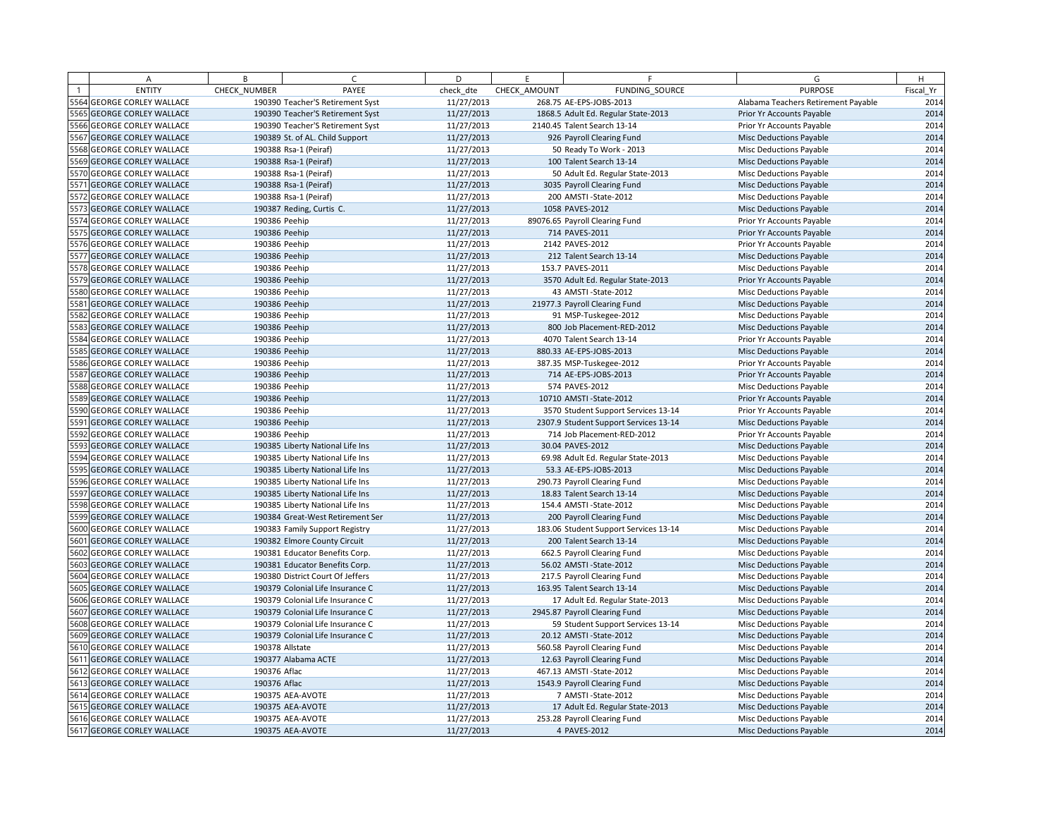| A                          | B             | $\epsilon$                       | D          | F.           | F                                     | G                                   | H         |
|----------------------------|---------------|----------------------------------|------------|--------------|---------------------------------------|-------------------------------------|-----------|
| <b>ENTITY</b>              | CHECK NUMBER  | PAYEE                            | check dte  | CHECK AMOUNT | FUNDING SOURCE                        | <b>PURPOSE</b>                      | Fiscal Yr |
| 5564 GEORGE CORLEY WALLACE |               | 190390 Teacher'S Retirement Syst | 11/27/2013 |              | 268.75 AE-EPS-JOBS-2013               | Alabama Teachers Retirement Payable | 2014      |
| 5565 GEORGE CORLEY WALLACE |               | 190390 Teacher'S Retirement Syst | 11/27/2013 |              | 1868.5 Adult Ed. Regular State-2013   | Prior Yr Accounts Payable           | 2014      |
| 5566 GEORGE CORLEY WALLACE |               | 190390 Teacher'S Retirement Syst | 11/27/2013 |              | 2140.45 Talent Search 13-14           | Prior Yr Accounts Payable           | 2014      |
| 5567 GEORGE CORLEY WALLACE |               | 190389 St. of AL. Child Support  | 11/27/2013 |              | 926 Payroll Clearing Fund             | <b>Misc Deductions Payable</b>      | 2014      |
| 5568 GEORGE CORLEY WALLACE |               | 190388 Rsa-1 (Peiraf)            | 11/27/2013 |              | 50 Ready To Work - 2013               | Misc Deductions Payable             | 2014      |
| 5569 GEORGE CORLEY WALLACE |               | 190388 Rsa-1 (Peiraf)            | 11/27/2013 |              | 100 Talent Search 13-14               | <b>Misc Deductions Payable</b>      | 2014      |
| 5570 GEORGE CORLEY WALLACE |               | 190388 Rsa-1 (Peiraf)            | 11/27/2013 |              | 50 Adult Ed. Regular State-2013       | <b>Misc Deductions Payable</b>      | 2014      |
| 5571 GEORGE CORLEY WALLACE |               | 190388 Rsa-1 (Peiraf)            | 11/27/2013 |              | 3035 Payroll Clearing Fund            | <b>Misc Deductions Payable</b>      | 2014      |
| 5572 GEORGE CORLEY WALLACE |               | 190388 Rsa-1 (Peiraf)            | 11/27/2013 |              | 200 AMSTI - State - 2012              | Misc Deductions Payable             | 2014      |
| 5573 GEORGE CORLEY WALLACE |               | 190387 Reding, Curtis C.         | 11/27/2013 |              | 1058 PAVES-2012                       | <b>Misc Deductions Payable</b>      | 2014      |
| 5574 GEORGE CORLEY WALLACE | 190386 Peehip |                                  | 11/27/2013 |              | 89076.65 Payroll Clearing Fund        | Prior Yr Accounts Payable           | 2014      |
| 5575 GEORGE CORLEY WALLACE | 190386 Peehip |                                  | 11/27/2013 |              | 714 PAVES-2011                        | Prior Yr Accounts Payable           | 2014      |
| 5576 GEORGE CORLEY WALLACE | 190386 Peehip |                                  | 11/27/2013 |              | 2142 PAVES-2012                       | Prior Yr Accounts Payable           | 2014      |
| 5577 GEORGE CORLEY WALLACE | 190386 Peehip |                                  | 11/27/2013 |              | 212 Talent Search 13-14               | <b>Misc Deductions Payable</b>      | 2014      |
| 5578 GEORGE CORLEY WALLACE | 190386 Peehip |                                  | 11/27/2013 |              | 153.7 PAVES-2011                      | <b>Misc Deductions Payable</b>      | 2014      |
| 5579 GEORGE CORLEY WALLACE | 190386 Peehip |                                  | 11/27/2013 |              | 3570 Adult Ed. Regular State-2013     | Prior Yr Accounts Payable           | 2014      |
| 5580 GEORGE CORLEY WALLACE | 190386 Peehip |                                  | 11/27/2013 |              | 43 AMSTI-State-2012                   | Misc Deductions Payable             | 2014      |
| 5581 GEORGE CORLEY WALLACE | 190386 Peehip |                                  | 11/27/2013 |              | 21977.3 Payroll Clearing Fund         | <b>Misc Deductions Payable</b>      | 2014      |
| 5582 GEORGE CORLEY WALLACE | 190386 Peehip |                                  | 11/27/2013 |              | 91 MSP-Tuskegee-2012                  | <b>Misc Deductions Payable</b>      | 2014      |
| 5583 GEORGE CORLEY WALLACE | 190386 Peehip |                                  | 11/27/2013 |              | 800 Job Placement-RED-2012            | <b>Misc Deductions Payable</b>      | 2014      |
| 5584 GEORGE CORLEY WALLACE | 190386 Peehip |                                  | 11/27/2013 |              | 4070 Talent Search 13-14              | Prior Yr Accounts Payable           | 2014      |
| 5585 GEORGE CORLEY WALLACE | 190386 Peehip |                                  | 11/27/2013 |              | 880.33 AE-EPS-JOBS-2013               | <b>Misc Deductions Payable</b>      | 2014      |
| 5586 GEORGE CORLEY WALLACE | 190386 Peehip |                                  | 11/27/2013 |              | 387.35 MSP-Tuskegee-2012              | Prior Yr Accounts Payable           | 2014      |
| 5587 GEORGE CORLEY WALLACE | 190386 Peehip |                                  | 11/27/2013 |              | 714 AE-EPS-JOBS-2013                  | Prior Yr Accounts Payable           | 2014      |
| 5588 GEORGE CORLEY WALLACE | 190386 Peehip |                                  | 11/27/2013 |              | 574 PAVES-2012                        | <b>Misc Deductions Payable</b>      | 2014      |
| 5589 GEORGE CORLEY WALLACE | 190386 Peehip |                                  | 11/27/2013 |              | 10710 AMSTI-State-2012                | Prior Yr Accounts Payable           | 2014      |
| 5590 GEORGE CORLEY WALLACE | 190386 Peehip |                                  | 11/27/2013 |              | 3570 Student Support Services 13-14   | Prior Yr Accounts Payable           | 2014      |
| 5591 GEORGE CORLEY WALLACE | 190386 Peehip |                                  | 11/27/2013 |              | 2307.9 Student Support Services 13-14 | <b>Misc Deductions Payable</b>      | 2014      |
| 5592 GEORGE CORLEY WALLACE | 190386 Peehip |                                  | 11/27/2013 |              | 714 Job Placement-RED-2012            | Prior Yr Accounts Payable           | 2014      |
| 5593 GEORGE CORLEY WALLACE |               | 190385 Liberty National Life Ins | 11/27/2013 |              | 30.04 PAVES-2012                      | <b>Misc Deductions Payable</b>      | 2014      |
| 5594 GEORGE CORLEY WALLACE |               | 190385 Liberty National Life Ins | 11/27/2013 |              | 69.98 Adult Ed. Regular State-2013    | Misc Deductions Payable             | 2014      |
| 5595 GEORGE CORLEY WALLACE |               | 190385 Liberty National Life Ins | 11/27/2013 |              | 53.3 AE-EPS-JOBS-2013                 | <b>Misc Deductions Payable</b>      | 2014      |
| 5596 GEORGE CORLEY WALLACE |               | 190385 Liberty National Life Ins | 11/27/2013 |              | 290.73 Payroll Clearing Fund          | Misc Deductions Payable             | 2014      |
| 5597 GEORGE CORLEY WALLACE |               | 190385 Liberty National Life Ins | 11/27/2013 |              | 18.83 Talent Search 13-14             | Misc Deductions Payable             | 2014      |
| 5598 GEORGE CORLEY WALLACE |               | 190385 Liberty National Life Ins | 11/27/2013 |              | 154.4 AMSTI - State-2012              | Misc Deductions Payable             | 2014      |
| 599 GEORGE CORLEY WALLACE  |               | 190384 Great-West Retirement Ser | 11/27/2013 |              | 200 Payroll Clearing Fund             | <b>Misc Deductions Payable</b>      | 2014      |
| 5600 GEORGE CORLEY WALLACE |               | 190383 Family Support Registry   | 11/27/2013 |              | 183.06 Student Support Services 13-14 | Misc Deductions Payable             | 2014      |
| 5601 GEORGE CORLEY WALLACE |               | 190382 Elmore County Circuit     | 11/27/2013 |              | 200 Talent Search 13-14               | <b>Misc Deductions Payable</b>      | 2014      |
| 5602 GEORGE CORLEY WALLACE |               | 190381 Educator Benefits Corp.   | 11/27/2013 |              | 662.5 Payroll Clearing Fund           | Misc Deductions Payable             | 2014      |
| 5603 GEORGE CORLEY WALLACE |               | 190381 Educator Benefits Corp.   | 11/27/2013 |              | 56.02 AMSTI-State-2012                | <b>Misc Deductions Payable</b>      | 2014      |
| 5604 GEORGE CORLEY WALLACE |               | 190380 District Court Of Jeffers | 11/27/2013 |              | 217.5 Payroll Clearing Fund           | Misc Deductions Payable             | 2014      |
| 5605 GEORGE CORLEY WALLACE |               | 190379 Colonial Life Insurance C | 11/27/2013 |              | 163.95 Talent Search 13-14            | <b>Misc Deductions Payable</b>      | 2014      |
| 5606 GEORGE CORLEY WALLACE |               | 190379 Colonial Life Insurance C | 11/27/2013 |              | 17 Adult Ed. Regular State-2013       | Misc Deductions Payable             | 2014      |
| 5607 GEORGE CORLEY WALLACE |               | 190379 Colonial Life Insurance C | 11/27/2013 |              | 2945.87 Payroll Clearing Fund         | <b>Misc Deductions Payable</b>      | 2014      |
| 5608 GEORGE CORLEY WALLACE |               | 190379 Colonial Life Insurance C | 11/27/2013 |              | 59 Student Support Services 13-14     | Misc Deductions Payable             | 2014      |
| 5609 GEORGE CORLEY WALLACE |               | 190379 Colonial Life Insurance C | 11/27/2013 |              | 20.12 AMSTI-State-2012                | <b>Misc Deductions Payable</b>      | 2014      |
| 5610 GEORGE CORLEY WALLACE |               | 190378 Allstate                  | 11/27/2013 |              | 560.58 Payroll Clearing Fund          | Misc Deductions Payable             | 2014      |
| 5611 GEORGE CORLEY WALLACE |               | 190377 Alabama ACTE              | 11/27/2013 |              | 12.63 Payroll Clearing Fund           | <b>Misc Deductions Payable</b>      | 2014      |
| 5612 GEORGE CORLEY WALLACE | 190376 Aflac  |                                  | 11/27/2013 |              | 467.13 AMSTI-State-2012               | Misc Deductions Payable             | 2014      |
| 5613 GEORGE CORLEY WALLACE | 190376 Aflac  |                                  | 11/27/2013 |              | 1543.9 Payroll Clearing Fund          | <b>Misc Deductions Payable</b>      | 2014      |
| 5614 GEORGE CORLEY WALLACE |               | 190375 AEA-AVOTE                 | 11/27/2013 |              | 7 AMSTI-State-2012                    | <b>Misc Deductions Payable</b>      | 2014      |
| 5615 GEORGE CORLEY WALLACE |               | 190375 AEA-AVOTE                 | 11/27/2013 |              | 17 Adult Ed. Regular State-2013       | <b>Misc Deductions Payable</b>      | 2014      |
| 5616 GEORGE CORLEY WALLACE |               | 190375 AEA-AVOTE                 | 11/27/2013 |              | 253.28 Payroll Clearing Fund          | <b>Misc Deductions Payable</b>      | 2014      |
| 5617 GEORGE CORLEY WALLACE |               | 190375 AEA-AVOTE                 | 11/27/2013 |              | 4 PAVES-2012                          | <b>Misc Deductions Payable</b>      | 2014      |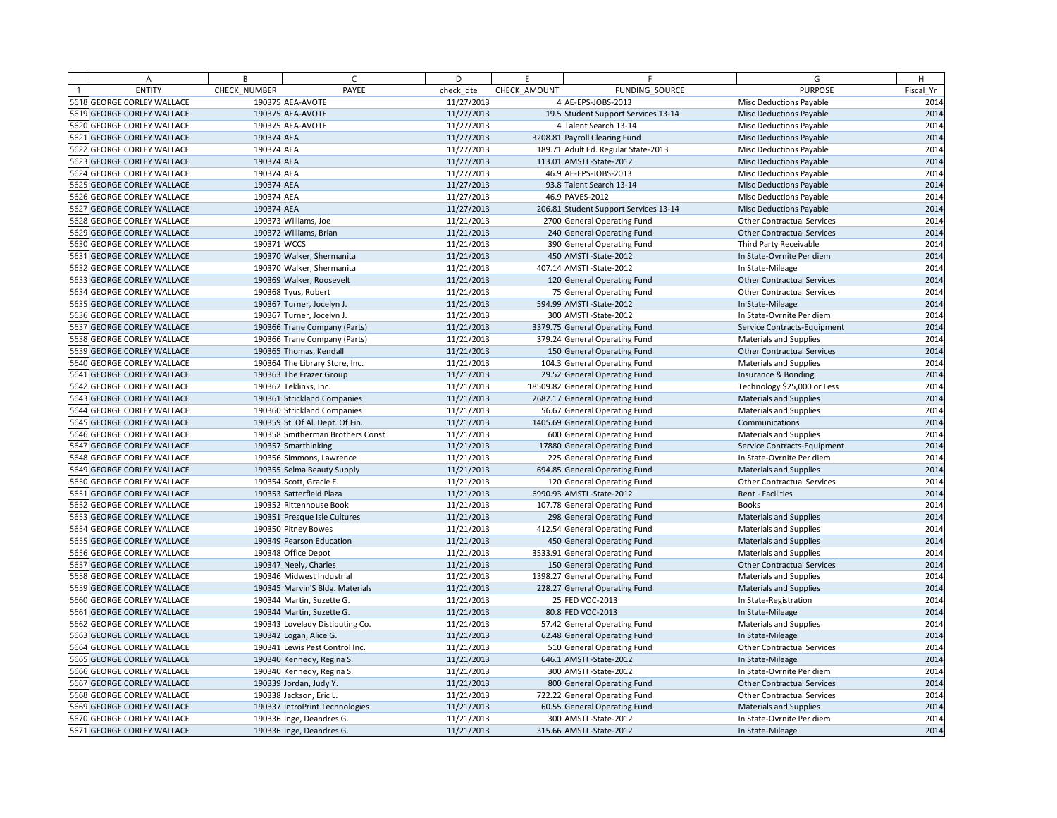| A                                 | B            | $\epsilon$                       | D          | E            | F.                                    | G                                 | H         |
|-----------------------------------|--------------|----------------------------------|------------|--------------|---------------------------------------|-----------------------------------|-----------|
| <b>ENTITY</b>                     | CHECK NUMBER | PAYEE                            | check dte  | CHECK AMOUNT | FUNDING SOURCE                        | <b>PURPOSE</b>                    | Fiscal Yr |
| 5618 GEORGE CORLEY WALLACE        |              | 190375 AEA-AVOTE                 | 11/27/2013 |              | 4 AE-EPS-JOBS-2013                    | <b>Misc Deductions Payable</b>    | 2014      |
| 5619 GEORGE CORLEY WALLACE        |              | 190375 AEA-AVOTE                 | 11/27/2013 |              | 19.5 Student Support Services 13-14   | <b>Misc Deductions Payable</b>    | 2014      |
| 5620 GEORGE CORLEY WALLACE        |              | 190375 AEA-AVOTE                 | 11/27/2013 |              | 4 Talent Search 13-14                 | Misc Deductions Payable           | 2014      |
| 5621 GEORGE CORLEY WALLACE        | 190374 AEA   |                                  | 11/27/2013 |              | 3208.81 Payroll Clearing Fund         | <b>Misc Deductions Payable</b>    | 2014      |
| 5622 GEORGE CORLEY WALLACE        | 190374 AEA   |                                  | 11/27/2013 |              | 189.71 Adult Ed. Regular State-2013   | Misc Deductions Payable           | 2014      |
| 5623 GEORGE CORLEY WALLACE        | 190374 AEA   |                                  | 11/27/2013 |              | 113.01 AMSTI-State-2012               | <b>Misc Deductions Payable</b>    | 2014      |
| 5624 GEORGE CORLEY WALLACE        | 190374 AEA   |                                  | 11/27/2013 |              | 46.9 AE-EPS-JOBS-2013                 | <b>Misc Deductions Payable</b>    | 2014      |
| 5625 GEORGE CORLEY WALLACE        | 190374 AEA   |                                  | 11/27/2013 |              | 93.8 Talent Search 13-14              | Misc Deductions Payable           | 2014      |
| 5626 GEORGE CORLEY WALLACE        | 190374 AEA   |                                  | 11/27/2013 |              | 46.9 PAVES-2012                       | Misc Deductions Payable           | 2014      |
| 5627 GEORGE CORLEY WALLACE        | 190374 AEA   |                                  | 11/27/2013 |              | 206.81 Student Support Services 13-14 | <b>Misc Deductions Payable</b>    | 2014      |
| 5628 GEORGE CORLEY WALLACE        |              | 190373 Williams, Joe             | 11/21/2013 |              | 2700 General Operating Fund           | <b>Other Contractual Services</b> | 2014      |
| 5629 GEORGE CORLEY WALLACE        |              | 190372 Williams, Brian           | 11/21/2013 |              | 240 General Operating Fund            | <b>Other Contractual Services</b> | 2014      |
| 5630 GEORGE CORLEY WALLACE        | 190371 WCCS  |                                  | 11/21/2013 |              | 390 General Operating Fund            | Third Party Receivable            | 2014      |
| 5631 GEORGE CORLEY WALLACE        |              | 190370 Walker, Shermanita        | 11/21/2013 |              | 450 AMSTI-State-2012                  | In State-Ovrnite Per diem         | 2014      |
| 5632 GEORGE CORLEY WALLACE        |              | 190370 Walker, Shermanita        | 11/21/2013 |              | 407.14 AMSTI-State-2012               | In State-Mileage                  | 2014      |
| 5633 GEORGE CORLEY WALLACE        |              | 190369 Walker, Roosevelt         | 11/21/2013 |              | 120 General Operating Fund            | <b>Other Contractual Services</b> | 2014      |
| 5634 GEORGE CORLEY WALLACE        |              | 190368 Tyus, Robert              | 11/21/2013 |              | 75 General Operating Fund             | <b>Other Contractual Services</b> | 2014      |
| 5635 GEORGE CORLEY WALLACE        |              | 190367 Turner, Jocelyn J.        | 11/21/2013 |              | 594.99 AMSTI - State-2012             | In State-Mileage                  | 2014      |
| 5636 GEORGE CORLEY WALLACE        |              | 190367 Turner, Jocelyn J.        | 11/21/2013 |              | 300 AMSTI - State-2012                | In State-Ovrnite Per diem         | 2014      |
| 5637 GEORGE CORLEY WALLACE        |              | 190366 Trane Company (Parts)     | 11/21/2013 |              | 3379.75 General Operating Fund        | Service Contracts-Equipment       | 2014      |
| 5638 GEORGE CORLEY WALLACE        |              | 190366 Trane Company (Parts)     | 11/21/2013 |              | 379.24 General Operating Fund         | <b>Materials and Supplies</b>     | 2014      |
| 5639 GEORGE CORLEY WALLACE        |              | 190365 Thomas, Kendall           | 11/21/2013 |              | 150 General Operating Fund            | <b>Other Contractual Services</b> | 2014      |
| 5640 GEORGE CORLEY WALLACE        |              | 190364 The Library Store, Inc.   | 11/21/2013 |              | 104.3 General Operating Fund          | <b>Materials and Supplies</b>     | 2014      |
| 5641 GEORGE CORLEY WALLACE        |              | 190363 The Frazer Group          | 11/21/2013 |              | 29.52 General Operating Fund          | Insurance & Bonding               | 2014      |
| 5642 GEORGE CORLEY WALLACE        |              | 190362 Teklinks, Inc.            | 11/21/2013 |              | 18509.82 General Operating Fund       | Technology \$25,000 or Less       | 2014      |
| 5643 GEORGE CORLEY WALLACE        |              | 190361 Strickland Companies      | 11/21/2013 |              | 2682.17 General Operating Fund        | <b>Materials and Supplies</b>     | 2014      |
| <b>5644 GEORGE CORLEY WALLACE</b> |              | 190360 Strickland Companies      | 11/21/2013 |              | 56.67 General Operating Fund          | Materials and Supplies            | 2014      |
| 5645 GEORGE CORLEY WALLACE        |              | 190359 St. Of Al. Dept. Of Fin.  | 11/21/2013 |              | 1405.69 General Operating Fund        | Communications                    | 2014      |
| 5646 GEORGE CORLEY WALLACE        |              | 190358 Smitherman Brothers Const | 11/21/2013 |              | 600 General Operating Fund            | <b>Materials and Supplies</b>     | 2014      |
| <b>5647 GEORGE CORLEY WALLACE</b> |              | 190357 Smarthinking              | 11/21/2013 |              | 17880 General Operating Fund          | Service Contracts-Equipment       | 2014      |
| 5648 GEORGE CORLEY WALLACE        |              | 190356 Simmons, Lawrence         | 11/21/2013 |              | 225 General Operating Fund            | In State-Ovrnite Per diem         | 2014      |
| 5649 GEORGE CORLEY WALLACE        |              | 190355 Selma Beauty Supply       | 11/21/2013 |              | 694.85 General Operating Fund         | <b>Materials and Supplies</b>     | 2014      |
| 5650 GEORGE CORLEY WALLACE        |              | 190354 Scott, Gracie E.          | 11/21/2013 |              | 120 General Operating Fund            | Other Contractual Services        | 2014      |
| 5651 GEORGE CORLEY WALLACE        |              | 190353 Satterfield Plaza         | 11/21/2013 |              | 6990.93 AMSTI-State-2012              | Rent - Facilities                 | 2014      |
| 5652 GEORGE CORLEY WALLACE        |              | 190352 Rittenhouse Book          | 11/21/2013 |              | 107.78 General Operating Fund         | <b>Books</b>                      | 2014      |
| 5653 GEORGE CORLEY WALLACE        |              | 190351 Presque Isle Cultures     | 11/21/2013 |              | 298 General Operating Fund            | <b>Materials and Supplies</b>     | 2014      |
| 5654 GEORGE CORLEY WALLACE        |              | 190350 Pitney Bowes              | 11/21/2013 |              | 412.54 General Operating Fund         | <b>Materials and Supplies</b>     | 2014      |
| 5655 GEORGE CORLEY WALLACE        |              | 190349 Pearson Education         | 11/21/2013 |              | 450 General Operating Fund            | <b>Materials and Supplies</b>     | 2014      |
| 5656 GEORGE CORLEY WALLACE        |              | 190348 Office Depot              | 11/21/2013 |              | 3533.91 General Operating Fund        | <b>Materials and Supplies</b>     | 2014      |
| 5657 GEORGE CORLEY WALLACE        |              | 190347 Neely, Charles            | 11/21/2013 |              | 150 General Operating Fund            | <b>Other Contractual Services</b> | 2014      |
| 5658 GEORGE CORLEY WALLACE        |              | 190346 Midwest Industrial        | 11/21/2013 |              | 1398.27 General Operating Fund        | <b>Materials and Supplies</b>     | 2014      |
| 5659 GEORGE CORLEY WALLACE        |              | 190345 Marvin'S Bldg. Materials  | 11/21/2013 |              | 228.27 General Operating Fund         | <b>Materials and Supplies</b>     | 2014      |
| 5660 GEORGE CORLEY WALLACE        |              | 190344 Martin, Suzette G.        | 11/21/2013 |              | 25 FED VOC-2013                       | In State-Registration             | 2014      |
| 5661 GEORGE CORLEY WALLACE        |              | 190344 Martin, Suzette G.        | 11/21/2013 |              | 80.8 FED VOC-2013                     | In State-Mileage                  | 2014      |
| 5662 GEORGE CORLEY WALLACE        |              | 190343 Lovelady Distibuting Co.  | 11/21/2013 |              | 57.42 General Operating Fund          | Materials and Supplies            | 2014      |
| 5663 GEORGE CORLEY WALLACE        |              | 190342 Logan, Alice G.           | 11/21/2013 |              | 62.48 General Operating Fund          | In State-Mileage                  | 2014      |
| 5664 GEORGE CORLEY WALLACE        |              | 190341 Lewis Pest Control Inc.   | 11/21/2013 |              | 510 General Operating Fund            | Other Contractual Services        | 2014      |
| 5665 GEORGE CORLEY WALLACE        |              | 190340 Kennedy, Regina S.        | 11/21/2013 |              | 646.1 AMSTI - State-2012              | In State-Mileage                  | 2014      |
| 5666 GEORGE CORLEY WALLACE        |              | 190340 Kennedy, Regina S.        | 11/21/2013 |              | 300 AMSTI-State-2012                  | In State-Ovrnite Per diem         | 2014      |
| 5667 GEORGE CORLEY WALLACE        |              | 190339 Jordan, Judy Y.           | 11/21/2013 |              | 800 General Operating Fund            | <b>Other Contractual Services</b> | 2014      |
| 5668 GEORGE CORLEY WALLACE        |              | 190338 Jackson, Eric L.          | 11/21/2013 |              | 722.22 General Operating Fund         | <b>Other Contractual Services</b> | 2014      |
| 5669 GEORGE CORLEY WALLACE        |              | 190337 IntroPrint Technologies   | 11/21/2013 |              | 60.55 General Operating Fund          | <b>Materials and Supplies</b>     | 2014      |
| 5670 GEORGE CORLEY WALLACE        |              | 190336 Inge, Deandres G.         | 11/21/2013 |              | 300 AMSTI-State-2012                  | In State-Ovrnite Per diem         | 2014      |
| 5671 GEORGE CORLEY WALLACE        |              | 190336 Inge, Deandres G.         | 11/21/2013 |              | 315.66 AMSTI-State-2012               | In State-Mileage                  | 2014      |
|                                   |              |                                  |            |              |                                       |                                   |           |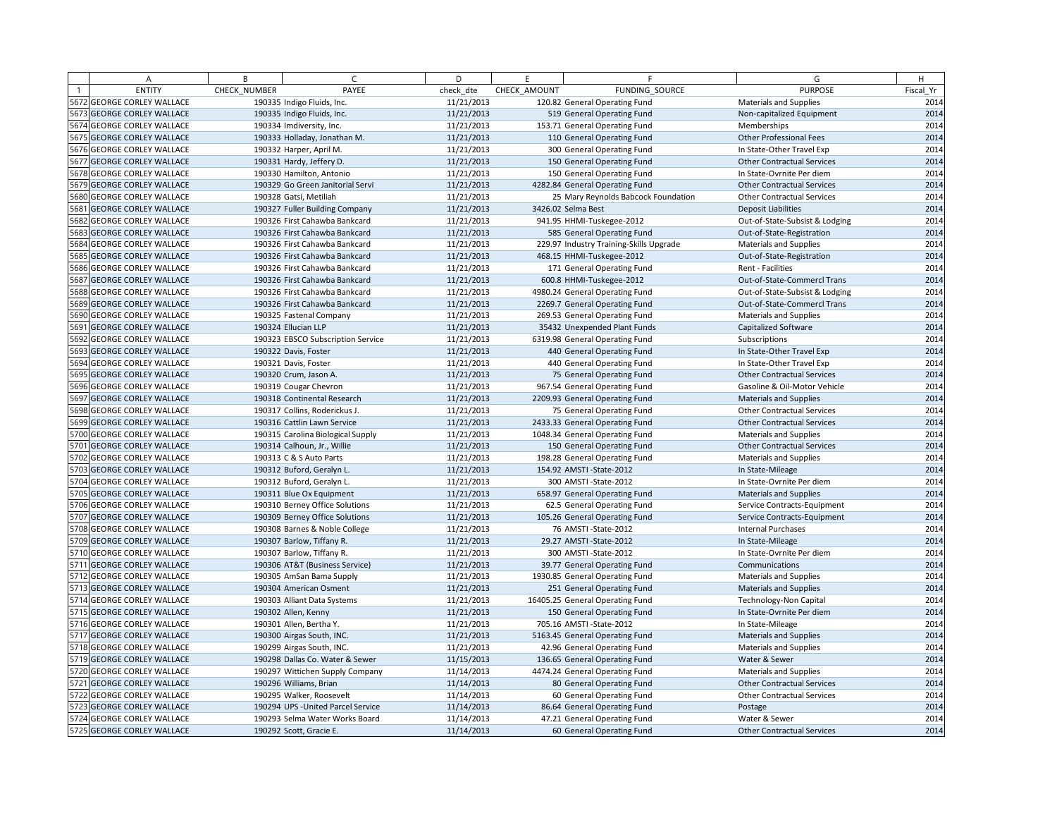| A                          | B            | $\epsilon$                         | D          | E            | F.                                      | G                                 | H         |
|----------------------------|--------------|------------------------------------|------------|--------------|-----------------------------------------|-----------------------------------|-----------|
| <b>ENTITY</b>              | CHECK NUMBER | PAYEE                              | check dte  | CHECK AMOUNT | FUNDING SOURCE                          | <b>PURPOSE</b>                    | Fiscal Yr |
| 5672 GEORGE CORLEY WALLACE |              | 190335 Indigo Fluids, Inc.         | 11/21/2013 |              | 120.82 General Operating Fund           | <b>Materials and Supplies</b>     | 2014      |
| 5673 GEORGE CORLEY WALLACE |              | 190335 Indigo Fluids, Inc.         | 11/21/2013 |              | 519 General Operating Fund              | Non-capitalized Equipment         | 2014      |
| 5674 GEORGE CORLEY WALLACE |              | 190334 Imdiversity, Inc.           | 11/21/2013 |              | 153.71 General Operating Fund           | Memberships                       | 2014      |
| 5675 GEORGE CORLEY WALLACE |              | 190333 Holladay, Jonathan M.       | 11/21/2013 |              | 110 General Operating Fund              | <b>Other Professional Fees</b>    | 2014      |
| 5676 GEORGE CORLEY WALLACE |              | 190332 Harper, April M.            | 11/21/2013 |              | 300 General Operating Fund              | In State-Other Travel Exp         | 2014      |
| 5677 GEORGE CORLEY WALLACE |              | 190331 Hardy, Jeffery D.           | 11/21/2013 |              | 150 General Operating Fund              | <b>Other Contractual Services</b> | 2014      |
| 5678 GEORGE CORLEY WALLACE |              | 190330 Hamilton, Antonio           | 11/21/2013 |              | 150 General Operating Fund              | In State-Ovrnite Per diem         | 2014      |
| 5679 GEORGE CORLEY WALLACE |              | 190329 Go Green Janitorial Servi   | 11/21/2013 |              | 4282.84 General Operating Fund          | <b>Other Contractual Services</b> | 2014      |
| 5680 GEORGE CORLEY WALLACE |              | 190328 Gatsi, Metiliah             | 11/21/2013 |              | 25 Mary Reynolds Babcock Foundation     | <b>Other Contractual Services</b> | 2014      |
| 5681 GEORGE CORLEY WALLACE |              | 190327 Fuller Building Company     | 11/21/2013 |              | 3426.02 Selma Best                      | <b>Deposit Liabilities</b>        | 2014      |
| 5682 GEORGE CORLEY WALLACE |              | 190326 First Cahawba Bankcard      | 11/21/2013 |              | 941.95 HHMI-Tuskegee-2012               | Out-of-State-Subsist & Lodging    | 2014      |
| 5683 GEORGE CORLEY WALLACE |              | 190326 First Cahawba Bankcard      | 11/21/2013 |              | 585 General Operating Fund              | Out-of-State-Registration         | 2014      |
| 5684 GEORGE CORLEY WALLACE |              | 190326 First Cahawba Bankcard      | 11/21/2013 |              | 229.97 Industry Training-Skills Upgrade | <b>Materials and Supplies</b>     | 2014      |
| 5685 GEORGE CORLEY WALLACE |              | 190326 First Cahawba Bankcard      | 11/21/2013 |              | 468.15 HHMI-Tuskegee-2012               | Out-of-State-Registration         | 2014      |
| 5686 GEORGE CORLEY WALLACE |              | 190326 First Cahawba Bankcard      | 11/21/2013 |              | 171 General Operating Fund              | Rent - Facilities                 | 2014      |
| 5687 GEORGE CORLEY WALLACE |              | 190326 First Cahawba Bankcard      | 11/21/2013 |              | 600.8 HHMI-Tuskegee-2012                | Out-of-State-Commercl Trans       | 2014      |
| 5688 GEORGE CORLEY WALLACE |              | 190326 First Cahawba Bankcard      | 11/21/2013 |              | 4980.24 General Operating Fund          | Out-of-State-Subsist & Lodging    | 2014      |
| 5689 GEORGE CORLEY WALLACE |              | 190326 First Cahawba Bankcard      | 11/21/2013 |              | 2269.7 General Operating Fund           | Out-of-State-Commercl Trans       | 2014      |
| 5690 GEORGE CORLEY WALLACE |              | 190325 Fastenal Company            | 11/21/2013 |              | 269.53 General Operating Fund           | <b>Materials and Supplies</b>     | 2014      |
| 5691 GEORGE CORLEY WALLACE |              | 190324 Ellucian LLP                | 11/21/2013 |              | 35432 Unexpended Plant Funds            | Capitalized Software              | 2014      |
| 5692 GEORGE CORLEY WALLACE |              | 190323 EBSCO Subscription Service  | 11/21/2013 |              | 6319.98 General Operating Fund          | Subscriptions                     | 2014      |
| 5693 GEORGE CORLEY WALLACE |              | 190322 Davis, Foster               | 11/21/2013 |              | 440 General Operating Fund              | In State-Other Travel Exp         | 2014      |
| 5694 GEORGE CORLEY WALLACE |              | 190321 Davis, Foster               | 11/21/2013 |              | 440 General Operating Fund              | In State-Other Travel Exp         | 2014      |
| 5695 GEORGE CORLEY WALLACE |              | 190320 Crum, Jason A.              | 11/21/2013 |              | 75 General Operating Fund               | <b>Other Contractual Services</b> | 2014      |
| 5696 GEORGE CORLEY WALLACE |              | 190319 Cougar Chevron              | 11/21/2013 |              | 967.54 General Operating Fund           | Gasoline & Oil-Motor Vehicle      | 2014      |
| 5697 GEORGE CORLEY WALLACE |              | 190318 Continental Research        | 11/21/2013 |              | 2209.93 General Operating Fund          | <b>Materials and Supplies</b>     | 2014      |
| 5698 GEORGE CORLEY WALLACE |              | 190317 Collins, Roderickus J.      | 11/21/2013 |              | 75 General Operating Fund               | <b>Other Contractual Services</b> | 2014      |
| 5699 GEORGE CORLEY WALLACE |              | 190316 Cattlin Lawn Service        | 11/21/2013 |              | 2433.33 General Operating Fund          | <b>Other Contractual Services</b> | 2014      |
| 5700 GEORGE CORLEY WALLACE |              | 190315 Carolina Biological Supply  | 11/21/2013 |              | 1048.34 General Operating Fund          | <b>Materials and Supplies</b>     | 2014      |
| 5701 GEORGE CORLEY WALLACE |              | 190314 Calhoun, Jr., Willie        | 11/21/2013 |              | 150 General Operating Fund              | <b>Other Contractual Services</b> | 2014      |
| 5702 GEORGE CORLEY WALLACE |              | 190313 C & S Auto Parts            | 11/21/2013 |              | 198.28 General Operating Fund           | <b>Materials and Supplies</b>     | 2014      |
| 5703 GEORGE CORLEY WALLACE |              | 190312 Buford, Geralyn L.          | 11/21/2013 |              | 154.92 AMSTI-State-2012                 | In State-Mileage                  | 2014      |
| 5704 GEORGE CORLEY WALLACE |              | 190312 Buford, Geralyn L.          | 11/21/2013 |              | 300 AMSTI-State-2012                    | In State-Ovrnite Per diem         | 2014      |
| 5705 GEORGE CORLEY WALLACE |              | 190311 Blue Ox Equipment           | 11/21/2013 |              | 658.97 General Operating Fund           | <b>Materials and Supplies</b>     | 2014      |
| 5706 GEORGE CORLEY WALLACE |              | 190310 Berney Office Solutions     | 11/21/2013 |              | 62.5 General Operating Fund             | Service Contracts-Equipment       | 2014      |
| 5707 GEORGE CORLEY WALLACE |              | 190309 Berney Office Solutions     | 11/21/2013 |              | 105.26 General Operating Fund           | Service Contracts-Equipment       | 2014      |
| 5708 GEORGE CORLEY WALLACE |              | 190308 Barnes & Noble College      | 11/21/2013 |              | 76 AMSTI-State-2012                     | <b>Internal Purchases</b>         | 2014      |
| 5709 GEORGE CORLEY WALLACE |              | 190307 Barlow, Tiffany R.          | 11/21/2013 |              | 29.27 AMSTI-State-2012                  | In State-Mileage                  | 2014      |
| 5710 GEORGE CORLEY WALLACE |              | 190307 Barlow, Tiffany R.          | 11/21/2013 |              | 300 AMSTI-State-2012                    | In State-Ovrnite Per diem         | 2014      |
| 5711 GEORGE CORLEY WALLACE |              | 190306 AT&T (Business Service)     | 11/21/2013 |              | 39.77 General Operating Fund            | Communications                    | 2014      |
| 5712 GEORGE CORLEY WALLACE |              | 190305 AmSan Bama Supply           | 11/21/2013 |              | 1930.85 General Operating Fund          | <b>Materials and Supplies</b>     | 2014      |
| 5713 GEORGE CORLEY WALLACE |              | 190304 American Osment             | 11/21/2013 |              | 251 General Operating Fund              | <b>Materials and Supplies</b>     | 2014      |
| 5714 GEORGE CORLEY WALLACE |              | 190303 Alliant Data Systems        | 11/21/2013 |              | 16405.25 General Operating Fund         | <b>Technology-Non Capital</b>     | 2014      |
| 5715 GEORGE CORLEY WALLACE |              | 190302 Allen, Kenny                | 11/21/2013 |              | 150 General Operating Fund              | In State-Ovrnite Per diem         | 2014      |
| 5716 GEORGE CORLEY WALLACE |              | 190301 Allen, Bertha Y.            | 11/21/2013 |              | 705.16 AMSTI-State-2012                 | In State-Mileage                  | 2014      |
| 5717 GEORGE CORLEY WALLACE |              | 190300 Airgas South, INC.          | 11/21/2013 |              | 5163.45 General Operating Fund          | <b>Materials and Supplies</b>     | 2014      |
| 5718 GEORGE CORLEY WALLACE |              | 190299 Airgas South, INC.          | 11/21/2013 |              | 42.96 General Operating Fund            | <b>Materials and Supplies</b>     | 2014      |
| 5719 GEORGE CORLEY WALLACE |              | 190298 Dallas Co. Water & Sewer    | 11/15/2013 |              | 136.65 General Operating Fund           | Water & Sewer                     | 2014      |
| 5720 GEORGE CORLEY WALLACE |              | 190297 Wittichen Supply Company    | 11/14/2013 |              | 4474.24 General Operating Fund          | <b>Materials and Supplies</b>     | 2014      |
| 5721 GEORGE CORLEY WALLACE |              | 190296 Williams, Brian             | 11/14/2013 |              | 80 General Operating Fund               | <b>Other Contractual Services</b> | 2014      |
| 5722 GEORGE CORLEY WALLACE |              | 190295 Walker, Roosevelt           | 11/14/2013 |              | 60 General Operating Fund               | <b>Other Contractual Services</b> | 2014      |
| 5723 GEORGE CORLEY WALLACE |              | 190294 UPS - United Parcel Service | 11/14/2013 |              | 86.64 General Operating Fund            | Postage                           | 2014      |
| 5724 GEORGE CORLEY WALLACE |              | 190293 Selma Water Works Board     | 11/14/2013 |              | 47.21 General Operating Fund            | Water & Sewer                     | 2014      |
| 5725 GEORGE CORLEY WALLACE |              | 190292 Scott, Gracie E.            | 11/14/2013 |              | 60 General Operating Fund               | <b>Other Contractual Services</b> | 2014      |
|                            |              |                                    |            |              |                                         |                                   |           |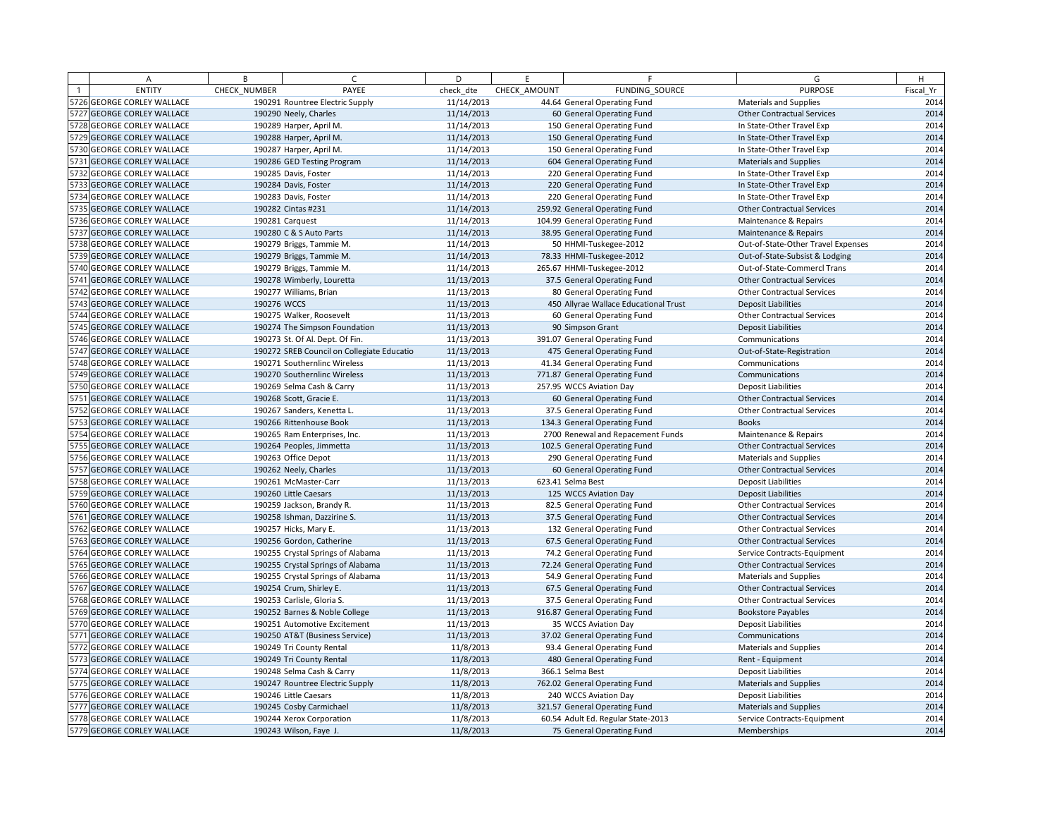| A                          | B            | $\sqrt{ }$                                         | D          | E            | F.                                                              | G                                  | H         |
|----------------------------|--------------|----------------------------------------------------|------------|--------------|-----------------------------------------------------------------|------------------------------------|-----------|
| <b>ENTITY</b>              | CHECK NUMBER | PAYEE                                              | check dte  | CHECK AMOUNT | FUNDING SOURCE                                                  | <b>PURPOSE</b>                     | Fiscal Yr |
| 5726 GEORGE CORLEY WALLACE |              | 190291 Rountree Electric Supply                    | 11/14/2013 |              | 44.64 General Operating Fund                                    | <b>Materials and Supplies</b>      | 2014      |
| 5727 GEORGE CORLEY WALLACE |              | 190290 Neely, Charles                              | 11/14/2013 |              | 60 General Operating Fund                                       | <b>Other Contractual Services</b>  | 2014      |
| 5728 GEORGE CORLEY WALLACE |              | 190289 Harper, April M.                            | 11/14/2013 |              | 150 General Operating Fund                                      | In State-Other Travel Exp          | 2014      |
| 5729 GEORGE CORLEY WALLACE |              | 190288 Harper, April M.                            | 11/14/2013 |              | 150 General Operating Fund                                      | In State-Other Travel Exp          | 2014      |
| 5730 GEORGE CORLEY WALLACE |              | 190287 Harper, April M                             | 11/14/2013 |              | 150 General Operating Fund                                      | In State-Other Travel Exp          | 2014      |
| 5731 GEORGE CORLEY WALLACE |              | 190286 GED Testing Program                         | 11/14/2013 |              | 604 General Operating Fund                                      | Materials and Supplies             | 2014      |
| 5732 GEORGE CORLEY WALLACE |              | 190285 Davis, Foster                               | 11/14/2013 |              | 220 General Operating Fund                                      | In State-Other Travel Exp          | 2014      |
| 5733 GEORGE CORLEY WALLACE |              | 190284 Davis, Foster                               | 11/14/2013 |              | 220 General Operating Fund                                      | In State-Other Travel Exp          | 2014      |
| 5734 GEORGE CORLEY WALLACE |              | 190283 Davis, Foster                               | 11/14/2013 |              | 220 General Operating Fund                                      | In State-Other Travel Exp          | 2014      |
| 5735 GEORGE CORLEY WALLACE |              | 190282 Cintas #231                                 | 11/14/2013 |              | 259.92 General Operating Fund                                   | <b>Other Contractual Services</b>  | 2014      |
| 5736 GEORGE CORLEY WALLACE |              | 190281 Carquest                                    | 11/14/2013 |              | 104.99 General Operating Fund                                   | Maintenance & Repairs              | 2014      |
| 5737 GEORGE CORLEY WALLACE |              | 190280 C & S Auto Parts                            | 11/14/2013 |              | 38.95 General Operating Fund                                    | Maintenance & Repairs              | 2014      |
| 5738 GEORGE CORLEY WALLACE |              | 190279 Briggs, Tammie M.                           | 11/14/2013 |              | 50 HHMI-Tuskegee-2012                                           | Out-of-State-Other Travel Expenses | 2014      |
| 5739 GEORGE CORLEY WALLACE |              | 190279 Briggs, Tammie M.                           | 11/14/2013 |              | 78.33 HHMI-Tuskegee-2012                                        | Out-of-State-Subsist & Lodging     | 2014      |
| 5740 GEORGE CORLEY WALLACE |              | 190279 Briggs, Tammie M.                           | 11/14/2013 |              | 265.67 HHMI-Tuskegee-2012                                       | Out-of-State-Commercl Trans        | 2014      |
| 5741 GEORGE CORLEY WALLACE |              | 190278 Wimberly, Louretta                          | 11/13/2013 |              | 37.5 General Operating Fund                                     | <b>Other Contractual Services</b>  | 2014      |
| 5742 GEORGE CORLEY WALLACE |              | 190277 Williams, Brian                             | 11/13/2013 |              | 80 General Operating Fund                                       | <b>Other Contractual Services</b>  | 2014      |
| 5743 GEORGE CORLEY WALLACE | 190276 WCCS  |                                                    | 11/13/2013 |              | 450 Allyrae Wallace Educational Trust                           | <b>Deposit Liabilities</b>         | 2014      |
| 5744 GEORGE CORLEY WALLACE |              | 190275 Walker, Roosevelt                           | 11/13/2013 |              | 60 General Operating Fund                                       | <b>Other Contractual Services</b>  | 2014      |
| 5745 GEORGE CORLEY WALLACE |              | 190274 The Simpson Foundation                      | 11/13/2013 |              | 90 Simpson Grant                                                | <b>Deposit Liabilities</b>         | 2014      |
| 5746 GEORGE CORLEY WALLACE |              | 190273 St. Of Al. Dept. Of Fin.                    | 11/13/2013 |              | 391.07 General Operating Fund                                   | Communications                     | 2014      |
| 5747 GEORGE CORLEY WALLACE |              | 190272 SREB Council on Collegiate Educatio         | 11/13/2013 |              | 475 General Operating Fund                                      | Out-of-State-Registration          | 2014      |
| 5748 GEORGE CORLEY WALLACE |              | 190271 Southernlinc Wireless                       | 11/13/2013 |              | 41.34 General Operating Fund                                    | Communications                     | 2014      |
| 5749 GEORGE CORLEY WALLACE |              | 190270 Southernlinc Wireless                       | 11/13/2013 |              | 771.87 General Operating Fund                                   | Communications                     | 2014      |
| 5750 GEORGE CORLEY WALLACE |              | 190269 Selma Cash & Carry                          | 11/13/2013 |              | 257.95 WCCS Aviation Day                                        | <b>Deposit Liabilities</b>         | 2014      |
| 5751 GEORGE CORLEY WALLACE |              | 190268 Scott, Gracie E.                            | 11/13/2013 |              | 60 General Operating Fund                                       | <b>Other Contractual Services</b>  | 2014      |
| 5752 GEORGE CORLEY WALLACE |              | 190267 Sanders, Kenetta L.                         | 11/13/2013 |              | 37.5 General Operating Fund                                     | <b>Other Contractual Services</b>  | 2014      |
| 5753 GEORGE CORLEY WALLACE |              | 190266 Rittenhouse Book                            | 11/13/2013 |              | 134.3 General Operating Fund                                    | <b>Books</b>                       | 2014      |
| 5754 GEORGE CORLEY WALLACE |              | 190265 Ram Enterprises, Inc.                       | 11/13/2013 |              | 2700 Renewal and Repacement Funds                               | Maintenance & Repairs              | 2014      |
| 5755 GEORGE CORLEY WALLACE |              | 190264 Peoples, Jimmetta                           | 11/13/2013 |              | 102.5 General Operating Fund                                    | <b>Other Contractual Services</b>  | 2014      |
| 5756 GEORGE CORLEY WALLACE |              | 190263 Office Depot                                | 11/13/2013 |              | 290 General Operating Fund                                      | <b>Materials and Supplies</b>      | 2014      |
| 5757 GEORGE CORLEY WALLACE |              | 190262 Neely, Charles                              | 11/13/2013 |              | 60 General Operating Fund                                       | <b>Other Contractual Services</b>  | 2014      |
| 5758 GEORGE CORLEY WALLACE |              | 190261 McMaster-Carr                               | 11/13/2013 |              | 623.41 Selma Best                                               | <b>Deposit Liabilities</b>         | 2014      |
| 5759 GEORGE CORLEY WALLACE |              | 190260 Little Caesars                              | 11/13/2013 |              | 125 WCCS Aviation Day                                           | <b>Deposit Liabilities</b>         | 2014      |
| 5760 GEORGE CORLEY WALLACE |              | 190259 Jackson, Brandy R.                          | 11/13/2013 |              | 82.5 General Operating Fund                                     | <b>Other Contractual Services</b>  | 2014      |
| 5761 GEORGE CORLEY WALLACE |              | 190258 Ishman, Dazzirine S.                        | 11/13/2013 |              | 37.5 General Operating Fund                                     | <b>Other Contractual Services</b>  | 2014      |
| 5762 GEORGE CORLEY WALLACE |              | 190257 Hicks, Mary E.                              | 11/13/2013 |              | 132 General Operating Fund                                      | <b>Other Contractual Services</b>  | 2014      |
| 5763 GEORGE CORLEY WALLACE |              | 190256 Gordon, Catherine                           | 11/13/2013 |              | 67.5 General Operating Fund                                     | <b>Other Contractual Services</b>  | 2014      |
| 5764 GEORGE CORLEY WALLACE |              | 190255 Crystal Springs of Alabama                  | 11/13/2013 |              | 74.2 General Operating Fund                                     | Service Contracts-Equipment        | 2014      |
| 5765 GEORGE CORLEY WALLACE |              | 190255 Crystal Springs of Alabama                  | 11/13/2013 |              | 72.24 General Operating Fund                                    | <b>Other Contractual Services</b>  | 2014      |
| 5766 GEORGE CORLEY WALLACE |              | 190255 Crystal Springs of Alabama                  | 11/13/2013 |              | 54.9 General Operating Fund                                     | <b>Materials and Supplies</b>      | 2014      |
| 5767 GEORGE CORLEY WALLACE |              | 190254 Crum, Shirley E.                            | 11/13/2013 |              | 67.5 General Operating Fund                                     | <b>Other Contractual Services</b>  | 2014      |
| 5768 GEORGE CORLEY WALLACE |              | 190253 Carlisle, Gloria S.                         | 11/13/2013 |              | 37.5 General Operating Fund                                     | <b>Other Contractual Services</b>  | 2014      |
| 5769 GEORGE CORLEY WALLACE |              | 190252 Barnes & Noble College                      | 11/13/2013 |              | 916.87 General Operating Fund                                   | <b>Bookstore Payables</b>          | 2014      |
| 5770 GEORGE CORLEY WALLACE |              | 190251 Automotive Excitement                       | 11/13/2013 |              | 35 WCCS Aviation Day                                            | <b>Deposit Liabilities</b>         | 2014      |
| 5771 GEORGE CORLEY WALLACE |              | 190250 AT&T (Business Service)                     | 11/13/2013 |              | 37.02 General Operating Fund                                    | Communications                     | 2014      |
| 5772 GEORGE CORLEY WALLACE |              | 190249 Tri County Rental                           | 11/8/2013  |              | 93.4 General Operating Fund                                     | <b>Materials and Supplies</b>      | 2014      |
| 5773 GEORGE CORLEY WALLACE |              | 190249 Tri County Rental                           | 11/8/2013  |              | 480 General Operating Fund                                      | Rent - Equipment                   | 2014      |
| 5774 GEORGE CORLEY WALLACE |              | 190248 Selma Cash & Carry                          | 11/8/2013  |              | 366.1 Selma Best                                                | <b>Deposit Liabilities</b>         | 2014      |
| 5775 GEORGE CORLEY WALLACE |              | 190247 Rountree Electric Supply                    | 11/8/2013  |              | 762.02 General Operating Fund                                   | Materials and Supplies             | 2014      |
| 5776 GEORGE CORLEY WALLACE |              | 190246 Little Caesars                              | 11/8/2013  |              | 240 WCCS Aviation Day                                           | <b>Deposit Liabilities</b>         | 2014      |
| 5777 GEORGE CORLEY WALLACE |              | 190245 Cosby Carmichael                            | 11/8/2013  |              | 321.57 General Operating Fund                                   | <b>Materials and Supplies</b>      | 2014      |
| 5778 GEORGE CORLEY WALLACE |              |                                                    | 11/8/2013  |              |                                                                 |                                    | 2014      |
| 5779 GEORGE CORLEY WALLACE |              | 190244 Xerox Corporation<br>190243 Wilson, Faye J. | 11/8/2013  |              | 60.54 Adult Ed. Regular State-2013<br>75 General Operating Fund | Service Contracts-Equipment        | 2014      |
|                            |              |                                                    |            |              |                                                                 | Memberships                        |           |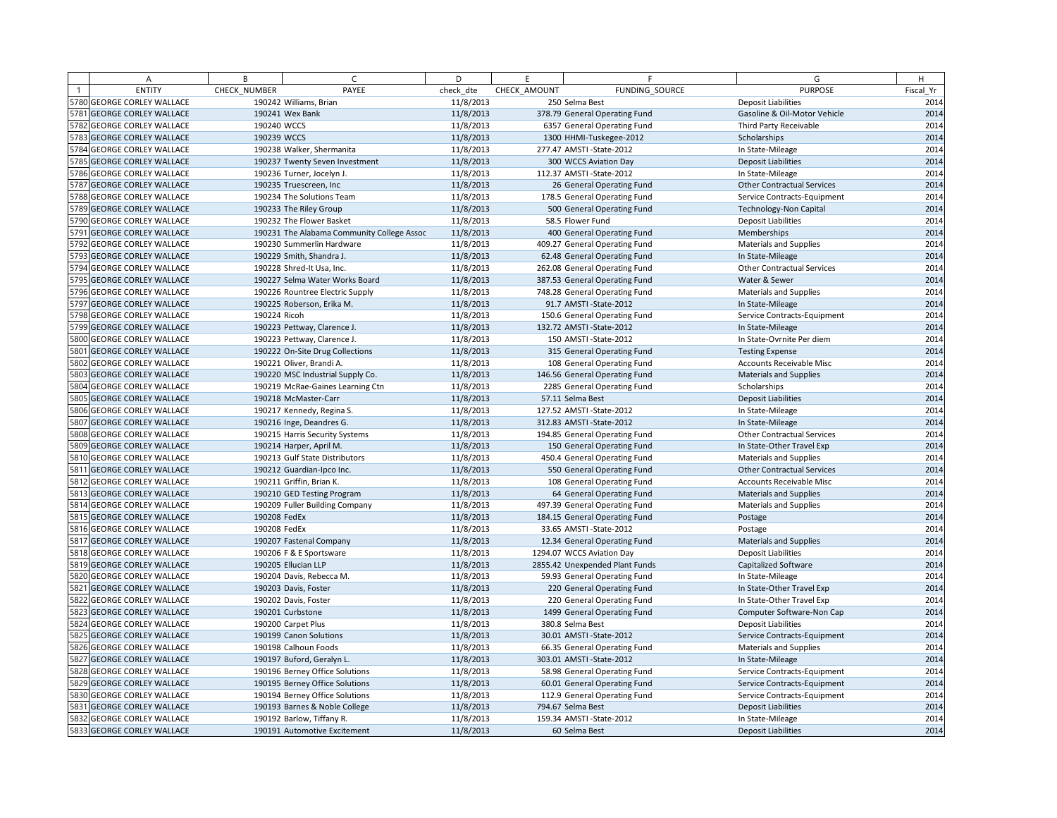| A                          | B            | $\epsilon$                                 | D         | E            | F.                             | G                                 | H         |
|----------------------------|--------------|--------------------------------------------|-----------|--------------|--------------------------------|-----------------------------------|-----------|
| <b>ENTITY</b>              | CHECK NUMBER | PAYEE                                      | check dte | CHECK AMOUNT | FUNDING SOURCE                 | <b>PURPOSE</b>                    | Fiscal Yr |
| 5780 GEORGE CORLEY WALLACE |              | 190242 Williams, Brian                     | 11/8/2013 |              | 250 Selma Best                 | <b>Deposit Liabilities</b>        | 2014      |
| 5781 GEORGE CORLEY WALLACE |              | 190241 Wex Bank                            | 11/8/2013 |              | 378.79 General Operating Fund  | Gasoline & Oil-Motor Vehicle      | 2014      |
| 5782 GEORGE CORLEY WALLACE | 190240 WCCS  |                                            | 11/8/2013 |              | 6357 General Operating Fund    | Third Party Receivable            | 2014      |
| 5783 GEORGE CORLEY WALLACE | 190239 WCCS  |                                            | 11/8/2013 |              | 1300 HHMI-Tuskegee-2012        | Scholarships                      | 2014      |
| 5784 GEORGE CORLEY WALLACE |              | 190238 Walker, Shermanita                  | 11/8/2013 |              | 277.47 AMSTI-State-2012        | In State-Mileage                  | 2014      |
| 5785 GEORGE CORLEY WALLACE |              | 190237 Twenty Seven Investment             | 11/8/2013 |              | 300 WCCS Aviation Day          | <b>Deposit Liabilities</b>        | 2014      |
| 5786 GEORGE CORLEY WALLACE |              | 190236 Turner, Jocelyn J.                  | 11/8/2013 |              | 112.37 AMSTI-State-2012        | In State-Mileage                  | 2014      |
| 5787 GEORGE CORLEY WALLACE |              | 190235 Truescreen, Inc                     | 11/8/2013 |              | 26 General Operating Fund      | <b>Other Contractual Services</b> | 2014      |
| 5788 GEORGE CORLEY WALLACE |              | 190234 The Solutions Team                  | 11/8/2013 |              | 178.5 General Operating Fund   | Service Contracts-Equipment       | 2014      |
| 5789 GEORGE CORLEY WALLACE |              | 190233 The Riley Group                     | 11/8/2013 |              | 500 General Operating Fund     | <b>Technology-Non Capital</b>     | 2014      |
| 5790 GEORGE CORLEY WALLACE |              | 190232 The Flower Basket                   | 11/8/2013 |              | 58.5 Flower Fund               | <b>Deposit Liabilities</b>        | 2014      |
| 5791 GEORGE CORLEY WALLACE |              | 190231 The Alabama Community College Assoc | 11/8/2013 |              | 400 General Operating Fund     | Memberships                       | 2014      |
| 5792 GEORGE CORLEY WALLACE |              | 190230 Summerlin Hardware                  | 11/8/2013 |              | 409.27 General Operating Fund  | <b>Materials and Supplies</b>     | 2014      |
| 5793 GEORGE CORLEY WALLACE |              | 190229 Smith, Shandra J.                   | 11/8/2013 |              | 62.48 General Operating Fund   | In State-Mileage                  | 2014      |
| 5794 GEORGE CORLEY WALLACE |              | 190228 Shred-It Usa, Inc.                  | 11/8/2013 |              | 262.08 General Operating Fund  | <b>Other Contractual Services</b> | 2014      |
| 5795 GEORGE CORLEY WALLACE |              | 190227 Selma Water Works Board             | 11/8/2013 |              | 387.53 General Operating Fund  | Water & Sewer                     | 2014      |
| 5796 GEORGE CORLEY WALLACE |              | 190226 Rountree Electric Supply            | 11/8/2013 |              | 748.28 General Operating Fund  | Materials and Supplies            | 2014      |
| 5797 GEORGE CORLEY WALLACE |              | 190225 Roberson, Erika M.                  | 11/8/2013 |              | 91.7 AMSTI - State-2012        | In State-Mileage                  | 2014      |
| 5798 GEORGE CORLEY WALLACE | 190224 Ricoh |                                            | 11/8/2013 |              | 150.6 General Operating Fund   | Service Contracts-Equipment       | 2014      |
| 5799 GEORGE CORLEY WALLACE |              | 190223 Pettway, Clarence J.                | 11/8/2013 |              | 132.72 AMSTI-State-2012        | In State-Mileage                  | 2014      |
| 5800 GEORGE CORLEY WALLACE |              | 190223 Pettway, Clarence J.                | 11/8/2013 |              | 150 AMSTI - State-2012         | In State-Ovrnite Per diem         | 2014      |
| 5801 GEORGE CORLEY WALLACE |              | 190222 On-Site Drug Collections            | 11/8/2013 |              | 315 General Operating Fund     | <b>Testing Expense</b>            | 2014      |
| 5802 GEORGE CORLEY WALLACE |              | 190221 Oliver, Brandi A.                   | 11/8/2013 |              | 108 General Operating Fund     | Accounts Receivable Misc          | 2014      |
| 5803 GEORGE CORLEY WALLACE |              | 190220 MSC Industrial Supply Co.           | 11/8/2013 |              | 146.56 General Operating Fund  | <b>Materials and Supplies</b>     | 2014      |
| 5804 GEORGE CORLEY WALLACE |              | 190219 McRae-Gaines Learning Ctn           | 11/8/2013 |              | 2285 General Operating Fund    | Scholarships                      | 2014      |
| 5805 GEORGE CORLEY WALLACE |              | 190218 McMaster-Carr                       | 11/8/2013 |              | 57.11 Selma Best               | <b>Deposit Liabilities</b>        | 2014      |
| 5806 GEORGE CORLEY WALLACE |              | 190217 Kennedy, Regina S.                  | 11/8/2013 |              | 127.52 AMSTI-State-2012        | In State-Mileage                  | 2014      |
| 5807 GEORGE CORLEY WALLACE |              | 190216 Inge, Deandres G.                   | 11/8/2013 |              | 312.83 AMSTI-State-2012        | In State-Mileage                  | 2014      |
| 5808 GEORGE CORLEY WALLACE |              | 190215 Harris Security Systems             | 11/8/2013 |              | 194.85 General Operating Fund  | <b>Other Contractual Services</b> | 2014      |
| 5809 GEORGE CORLEY WALLACE |              | 190214 Harper, April M.                    | 11/8/2013 |              | 150 General Operating Fund     | In State-Other Travel Exp         | 2014      |
| 5810 GEORGE CORLEY WALLACE |              | 190213 Gulf State Distributors             | 11/8/2013 |              | 450.4 General Operating Fund   | <b>Materials and Supplies</b>     | 2014      |
| 5811 GEORGE CORLEY WALLACE |              | 190212 Guardian-Ipco Inc.                  | 11/8/2013 |              | 550 General Operating Fund     | <b>Other Contractual Services</b> | 2014      |
| 5812 GEORGE CORLEY WALLACE |              | 190211 Griffin, Brian K.                   | 11/8/2013 |              | 108 General Operating Fund     | <b>Accounts Receivable Misc</b>   | 2014      |
| 5813 GEORGE CORLEY WALLACE |              | 190210 GED Testing Program                 | 11/8/2013 |              | 64 General Operating Fund      | <b>Materials and Supplies</b>     | 2014      |
| 5814 GEORGE CORLEY WALLACE |              | 190209 Fuller Building Company             | 11/8/2013 |              | 497.39 General Operating Fund  | <b>Materials and Supplies</b>     | 2014      |
| 5815 GEORGE CORLEY WALLACE | 190208 FedEx |                                            | 11/8/2013 |              | 184.15 General Operating Fund  | Postage                           | 2014      |
| 5816 GEORGE CORLEY WALLACE | 190208 FedEx |                                            | 11/8/2013 |              | 33.65 AMSTI-State-2012         | Postage                           | 2014      |
| 5817 GEORGE CORLEY WALLACE |              | 190207 Fastenal Company                    | 11/8/2013 |              | 12.34 General Operating Fund   | <b>Materials and Supplies</b>     | 2014      |
| 5818 GEORGE CORLEY WALLACE |              | 190206 F & E Sportsware                    | 11/8/2013 |              | 1294.07 WCCS Aviation Day      | <b>Deposit Liabilities</b>        | 2014      |
| 5819 GEORGE CORLEY WALLACE |              | 190205 Ellucian LLP                        | 11/8/2013 |              | 2855.42 Unexpended Plant Funds | Capitalized Software              | 2014      |
| 5820 GEORGE CORLEY WALLACE |              | 190204 Davis, Rebecca M.                   | 11/8/2013 |              | 59.93 General Operating Fund   | In State-Mileage                  | 2014      |
| 5821 GEORGE CORLEY WALLACE |              | 190203 Davis, Foster                       | 11/8/2013 |              | 220 General Operating Fund     | In State-Other Travel Exp         | 2014      |
| 5822 GEORGE CORLEY WALLACE |              | 190202 Davis, Foster                       | 11/8/2013 |              | 220 General Operating Fund     | In State-Other Travel Exp         | 2014      |
| 5823 GEORGE CORLEY WALLACE |              | 190201 Curbstone                           | 11/8/2013 |              | 1499 General Operating Fund    | Computer Software-Non Cap         | 2014      |
| 5824 GEORGE CORLEY WALLACE |              | 190200 Carpet Plus                         | 11/8/2013 |              | 380.8 Selma Best               | <b>Deposit Liabilities</b>        | 2014      |
| 5825 GEORGE CORLEY WALLACE |              | 190199 Canon Solutions                     | 11/8/2013 |              | 30.01 AMSTI-State-2012         | Service Contracts-Equipment       | 2014      |
| 5826 GEORGE CORLEY WALLACE |              | 190198 Calhoun Foods                       | 11/8/2013 |              | 66.35 General Operating Fund   | <b>Materials and Supplies</b>     | 2014      |
| 5827 GEORGE CORLEY WALLACE |              | 190197 Buford, Geralyn L.                  | 11/8/2013 |              | 303.01 AMSTI-State-2012        | In State-Mileage                  | 2014      |
| 5828 GEORGE CORLEY WALLACE |              | 190196 Berney Office Solutions             | 11/8/2013 |              | 58.98 General Operating Fund   | Service Contracts-Equipment       | 2014      |
| 5829 GEORGE CORLEY WALLACE |              | 190195 Berney Office Solutions             | 11/8/2013 |              | 60.01 General Operating Fund   | Service Contracts-Equipment       | 2014      |
| 5830 GEORGE CORLEY WALLACE |              | 190194 Berney Office Solutions             | 11/8/2013 |              | 112.9 General Operating Fund   | Service Contracts-Equipment       | 2014      |
| 5831 GEORGE CORLEY WALLACE |              | 190193 Barnes & Noble College              | 11/8/2013 |              | 794.67 Selma Best              | <b>Deposit Liabilities</b>        | 2014      |
| 5832 GEORGE CORLEY WALLACE |              | 190192 Barlow, Tiffany R.                  | 11/8/2013 |              | 159.34 AMSTI-State-2012        | In State-Mileage                  | 2014      |
| 5833 GEORGE CORLEY WALLACE |              | 190191 Automotive Excitement               | 11/8/2013 |              | 60 Selma Best                  | <b>Deposit Liabilities</b>        | 2014      |
|                            |              |                                            |           |              |                                |                                   |           |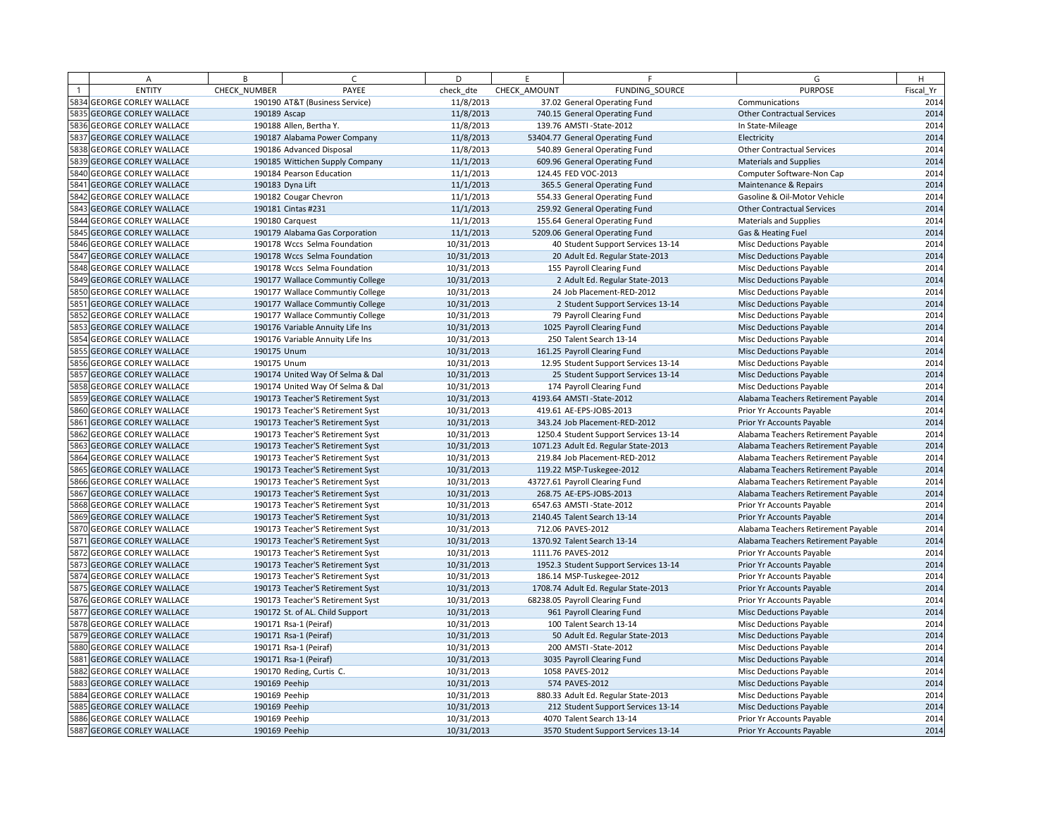|      | Α                            | B             | $\epsilon$                       | D          | F.           | F                                     | G                                   | H         |
|------|------------------------------|---------------|----------------------------------|------------|--------------|---------------------------------------|-------------------------------------|-----------|
|      | <b>ENTITY</b>                | CHECK NUMBER  | PAYEE                            | check dte  | CHECK AMOUNT | FUNDING SOURCE                        | <b>PURPOSE</b>                      | Fiscal Yr |
|      | 5834 GEORGE CORLEY WALLACE   |               | 190190 AT&T (Business Service)   | 11/8/2013  |              | 37.02 General Operating Fund          | Communications                      | 2014      |
|      | 5835 GEORGE CORLEY WALLACE   | 190189 Ascap  |                                  | 11/8/2013  |              | 740.15 General Operating Fund         | <b>Other Contractual Services</b>   | 2014      |
|      | 5836 GEORGE CORLEY WALLACE   |               | 190188 Allen, Bertha Y.          | 11/8/2013  |              | 139.76 AMSTI-State-2012               | In State-Mileage                    | 2014      |
|      | 5837 GEORGE CORLEY WALLACE   |               | 190187 Alabama Power Company     | 11/8/2013  |              | 53404.77 General Operating Fund       | Electricity                         | 2014      |
|      | 5838 GEORGE CORLEY WALLACE   |               | 190186 Advanced Disposal         | 11/8/2013  |              | 540.89 General Operating Fund         | <b>Other Contractual Services</b>   | 2014      |
|      | 5839 GEORGE CORLEY WALLACE   |               | 190185 Wittichen Supply Company  | 11/1/2013  |              | 609.96 General Operating Fund         | <b>Materials and Supplies</b>       | 2014      |
|      | 5840 GEORGE CORLEY WALLACE   |               | 190184 Pearson Education         | 11/1/2013  |              | 124.45 FED VOC-2013                   | Computer Software-Non Cap           | 2014      |
| 5841 | <b>GEORGE CORLEY WALLACE</b> |               | 190183 Dyna Lift                 | 11/1/2013  |              | 365.5 General Operating Fund          | Maintenance & Repairs               | 2014      |
|      | 5842 GEORGE CORLEY WALLACE   |               | 190182 Cougar Chevron            | 11/1/2013  |              | 554.33 General Operating Fund         | Gasoline & Oil-Motor Vehicle        | 2014      |
|      | 5843 GEORGE CORLEY WALLACE   |               | 190181 Cintas #231               | 11/1/2013  |              | 259.92 General Operating Fund         | <b>Other Contractual Services</b>   | 2014      |
|      | 5844 GEORGE CORLEY WALLACE   |               | 190180 Carquest                  | 11/1/2013  |              | 155.64 General Operating Fund         | Materials and Supplies              | 2014      |
|      | 5845 GEORGE CORLEY WALLACE   |               | 190179 Alabama Gas Corporation   | 11/1/2013  |              | 5209.06 General Operating Fund        | Gas & Heating Fuel                  | 2014      |
|      | 5846 GEORGE CORLEY WALLACE   |               | 190178 Wccs Selma Foundation     | 10/31/2013 |              | 40 Student Support Services 13-14     | <b>Misc Deductions Payable</b>      | 2014      |
|      | 5847 GEORGE CORLEY WALLACE   |               | 190178 Wccs Selma Foundation     | 10/31/2013 |              | 20 Adult Ed. Regular State-2013       | <b>Misc Deductions Payable</b>      | 2014      |
|      | 5848 GEORGE CORLEY WALLACE   |               | 190178 Wccs Selma Foundation     | 10/31/2013 |              | 155 Payroll Clearing Fund             | Misc Deductions Payable             | 2014      |
|      | 5849 GEORGE CORLEY WALLACE   |               | 190177 Wallace Communtiy College | 10/31/2013 |              | 2 Adult Ed. Regular State-2013        | <b>Misc Deductions Payable</b>      | 2014      |
|      | 5850 GEORGE CORLEY WALLACE   |               | 190177 Wallace Communtiy College | 10/31/2013 |              | 24 Job Placement-RED-2012             | Misc Deductions Payable             | 2014      |
|      | 5851 GEORGE CORLEY WALLACE   |               | 190177 Wallace Communtiy College | 10/31/2013 |              | 2 Student Support Services 13-14      | Misc Deductions Payable             | 2014      |
|      | 5852 GEORGE CORLEY WALLACE   |               | 190177 Wallace Communtiy College | 10/31/2013 |              | 79 Payroll Clearing Fund              | <b>Misc Deductions Payable</b>      | 2014      |
|      | 5853 GEORGE CORLEY WALLACE   |               | 190176 Variable Annuity Life Ins | 10/31/2013 |              | 1025 Payroll Clearing Fund            | <b>Misc Deductions Payable</b>      | 2014      |
|      | 5854 GEORGE CORLEY WALLACE   |               | 190176 Variable Annuity Life Ins | 10/31/2013 |              | 250 Talent Search 13-14               | Misc Deductions Payable             | 2014      |
|      | 5855 GEORGE CORLEY WALLACE   | 190175 Unum   |                                  | 10/31/2013 |              | 161.25 Payroll Clearing Fund          | <b>Misc Deductions Payable</b>      | 2014      |
|      | 5856 GEORGE CORLEY WALLACE   | 190175 Unum   |                                  | 10/31/2013 |              | 12.95 Student Support Services 13-14  | Misc Deductions Payable             | 2014      |
|      | 5857 GEORGE CORLEY WALLACE   |               | 190174 United Way Of Selma & Dal | 10/31/2013 |              | 25 Student Support Services 13-14     | <b>Misc Deductions Payable</b>      | 2014      |
|      | 5858 GEORGE CORLEY WALLACE   |               | 190174 United Way Of Selma & Dal | 10/31/2013 |              | 174 Payroll Clearing Fund             | <b>Misc Deductions Payable</b>      | 2014      |
|      | 5859 GEORGE CORLEY WALLACE   |               | 190173 Teacher'S Retirement Syst | 10/31/2013 |              | 4193.64 AMSTI-State-2012              | Alabama Teachers Retirement Payable | 2014      |
|      | 5860 GEORGE CORLEY WALLACE   |               | 190173 Teacher'S Retirement Syst | 10/31/2013 |              | 419.61 AE-EPS-JOBS-2013               | Prior Yr Accounts Payable           | 2014      |
|      | 5861 GEORGE CORLEY WALLACE   |               | 190173 Teacher'S Retirement Syst | 10/31/2013 |              | 343.24 Job Placement-RED-2012         | Prior Yr Accounts Payable           | 2014      |
|      | 5862 GEORGE CORLEY WALLACE   |               | 190173 Teacher'S Retirement Syst | 10/31/2013 |              | 1250.4 Student Support Services 13-14 | Alabama Teachers Retirement Payable | 2014      |
|      | 5863 GEORGE CORLEY WALLACE   |               | 190173 Teacher'S Retirement Syst | 10/31/2013 |              | 1071.23 Adult Ed. Regular State-2013  | Alabama Teachers Retirement Payable | 2014      |
|      | 5864 GEORGE CORLEY WALLACE   |               | 190173 Teacher'S Retirement Syst | 10/31/2013 |              | 219.84 Job Placement-RED-2012         | Alabama Teachers Retirement Payable | 2014      |
|      | 5865 GEORGE CORLEY WALLACE   |               | 190173 Teacher'S Retirement Syst | 10/31/2013 |              | 119.22 MSP-Tuskegee-2012              | Alabama Teachers Retirement Payable | 2014      |
|      | 5866 GEORGE CORLEY WALLACE   |               | 190173 Teacher'S Retirement Syst | 10/31/2013 |              | 43727.61 Payroll Clearing Fund        | Alabama Teachers Retirement Payable | 2014      |
|      | 5867 GEORGE CORLEY WALLACE   |               | 190173 Teacher'S Retirement Syst | 10/31/2013 |              | 268.75 AE-EPS-JOBS-2013               | Alabama Teachers Retirement Payable | 2014      |
|      | 5868 GEORGE CORLEY WALLACE   |               | 190173 Teacher'S Retirement Syst | 10/31/2013 |              | 6547.63 AMSTI-State-2012              | Prior Yr Accounts Payable           | 2014      |
|      | 5869 GEORGE CORLEY WALLACE   |               | 190173 Teacher'S Retirement Syst | 10/31/2013 |              | 2140.45 Talent Search 13-14           | Prior Yr Accounts Payable           | 2014      |
|      | 5870 GEORGE CORLEY WALLACE   |               | 190173 Teacher'S Retirement Syst | 10/31/2013 |              | 712.06 PAVES-2012                     | Alabama Teachers Retirement Payable | 2014      |
|      | 5871 GEORGE CORLEY WALLACE   |               | 190173 Teacher'S Retirement Syst | 10/31/2013 |              | 1370.92 Talent Search 13-14           | Alabama Teachers Retirement Payable | 2014      |
|      | 5872 GEORGE CORLEY WALLACE   |               | 190173 Teacher'S Retirement Syst | 10/31/2013 |              | 1111.76 PAVES-2012                    | Prior Yr Accounts Payable           | 2014      |
|      | 5873 GEORGE CORLEY WALLACE   |               | 190173 Teacher'S Retirement Syst | 10/31/2013 |              | 1952.3 Student Support Services 13-14 | Prior Yr Accounts Payable           | 2014      |
|      | 5874 GEORGE CORLEY WALLACE   |               | 190173 Teacher'S Retirement Syst | 10/31/2013 |              | 186.14 MSP-Tuskegee-2012              | Prior Yr Accounts Payable           | 2014      |
|      | 5875 GEORGE CORLEY WALLACE   |               | 190173 Teacher'S Retirement Syst | 10/31/2013 |              | 1708.74 Adult Ed. Regular State-2013  | Prior Yr Accounts Payable           | 2014      |
|      | 5876 GEORGE CORLEY WALLACE   |               | 190173 Teacher'S Retirement Syst | 10/31/2013 |              | 68238.05 Payroll Clearing Fund        | Prior Yr Accounts Payable           | 2014      |
|      | 5877 GEORGE CORLEY WALLACE   |               | 190172 St. of AL. Child Support  | 10/31/2013 |              | 961 Payroll Clearing Fund             | <b>Misc Deductions Payable</b>      | 2014      |
|      | 5878 GEORGE CORLEY WALLACE   |               | 190171 Rsa-1 (Peiraf)            | 10/31/2013 |              | 100 Talent Search 13-14               | Misc Deductions Payable             | 2014      |
|      | 5879 GEORGE CORLEY WALLACE   |               | 190171 Rsa-1 (Peiraf)            | 10/31/2013 |              | 50 Adult Ed. Regular State-2013       | <b>Misc Deductions Payable</b>      | 2014      |
|      | 5880 GEORGE CORLEY WALLACE   |               | 190171 Rsa-1 (Peiraf)            | 10/31/2013 |              | 200 AMSTI - State - 2012              | Misc Deductions Payable             | 2014      |
|      | 5881 GEORGE CORLEY WALLACE   |               | 190171 Rsa-1 (Peiraf)            | 10/31/2013 |              | 3035 Payroll Clearing Fund            | Misc Deductions Payable             | 2014      |
|      | 5882 GEORGE CORLEY WALLACE   |               | 190170 Reding, Curtis C.         | 10/31/2013 |              | 1058 PAVES-2012                       | <b>Misc Deductions Payable</b>      | 2014      |
|      | 5883 GEORGE CORLEY WALLACE   | 190169 Peehip |                                  | 10/31/2013 |              | 574 PAVES-2012                        | <b>Misc Deductions Payable</b>      | 2014      |
|      | 5884 GEORGE CORLEY WALLACE   | 190169 Peehip |                                  | 10/31/2013 |              | 880.33 Adult Ed. Regular State-2013   | Misc Deductions Payable             | 2014      |
|      | 5885 GEORGE CORLEY WALLACE   | 190169 Peehip |                                  | 10/31/2013 |              | 212 Student Support Services 13-14    | Misc Deductions Payable             | 2014      |
|      | 5886 GEORGE CORLEY WALLACE   | 190169 Peehip |                                  | 10/31/2013 |              | 4070 Talent Search 13-14              | Prior Yr Accounts Payable           | 2014      |
|      | 5887 GEORGE CORLEY WALLACE   | 190169 Peehip |                                  | 10/31/2013 |              | 3570 Student Support Services 13-14   | Prior Yr Accounts Payable           | 2014      |
|      |                              |               |                                  |            |              |                                       |                                     |           |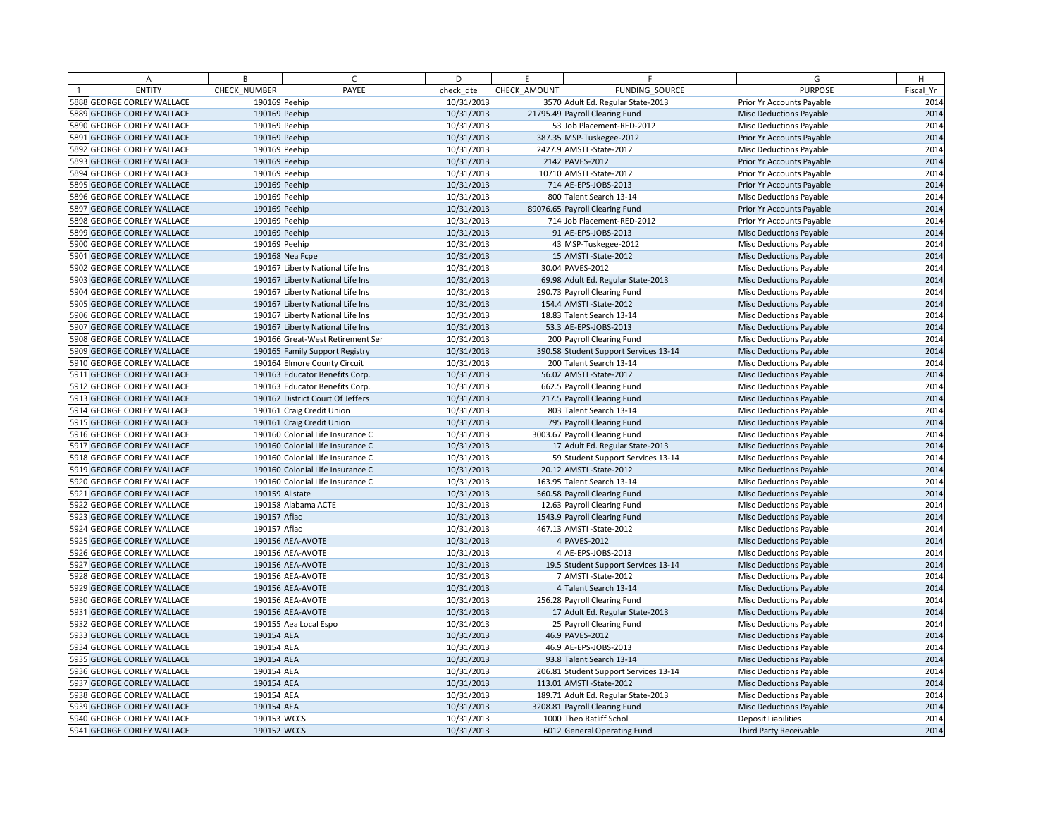| A                          | B             | $\epsilon$                       | D          | F.           | F                                     | G                              | H         |
|----------------------------|---------------|----------------------------------|------------|--------------|---------------------------------------|--------------------------------|-----------|
| <b>ENTITY</b>              | CHECK NUMBER  | PAYEE                            | check dte  | CHECK AMOUNT | FUNDING SOURCE                        | <b>PURPOSE</b>                 | Fiscal Yr |
| 5888 GEORGE CORLEY WALLACE | 190169 Peehip |                                  | 10/31/2013 |              | 3570 Adult Ed. Regular State-2013     | Prior Yr Accounts Payable      | 2014      |
| 5889 GEORGE CORLEY WALLACE | 190169 Peehip |                                  | 10/31/2013 |              | 21795.49 Payroll Clearing Fund        | <b>Misc Deductions Payable</b> | 2014      |
| 5890 GEORGE CORLEY WALLACE | 190169 Peehip |                                  | 10/31/2013 |              | 53 Job Placement-RED-2012             | Misc Deductions Payable        | 2014      |
| 5891 GEORGE CORLEY WALLACE | 190169 Peehip |                                  | 10/31/2013 |              | 387.35 MSP-Tuskegee-2012              | Prior Yr Accounts Payable      | 2014      |
| 5892 GEORGE CORLEY WALLACE | 190169 Peehip |                                  | 10/31/2013 |              | 2427.9 AMSTI - State-2012             | <b>Misc Deductions Payable</b> | 2014      |
| 5893 GEORGE CORLEY WALLACE | 190169 Peehip |                                  | 10/31/2013 |              | 2142 PAVES-2012                       | Prior Yr Accounts Payable      | 2014      |
| 5894 GEORGE CORLEY WALLACE | 190169 Peehip |                                  | 10/31/2013 |              | 10710 AMSTI-State-2012                | Prior Yr Accounts Payable      | 2014      |
| 5895 GEORGE CORLEY WALLACE | 190169 Peehip |                                  | 10/31/2013 |              | 714 AE-EPS-JOBS-2013                  | Prior Yr Accounts Payable      | 2014      |
| 5896 GEORGE CORLEY WALLACE | 190169 Peehip |                                  | 10/31/2013 |              | 800 Talent Search 13-14               | Misc Deductions Payable        | 2014      |
| 5897 GEORGE CORLEY WALLACE | 190169 Peehip |                                  | 10/31/2013 |              | 89076.65 Payroll Clearing Fund        | Prior Yr Accounts Payable      | 2014      |
| 5898 GEORGE CORLEY WALLACE | 190169 Peehip |                                  | 10/31/2013 |              | 714 Job Placement-RED-2012            | Prior Yr Accounts Payable      | 2014      |
| 5899 GEORGE CORLEY WALLACE | 190169 Peehip |                                  | 10/31/2013 |              | 91 AE-EPS-JOBS-2013                   | <b>Misc Deductions Payable</b> | 2014      |
| 5900 GEORGE CORLEY WALLACE | 190169 Peehip |                                  | 10/31/2013 |              | 43 MSP-Tuskegee-2012                  | <b>Misc Deductions Payable</b> | 2014      |
| 5901 GEORGE CORLEY WALLACE |               | 190168 Nea Fcpe                  | 10/31/2013 |              | 15 AMSTI-State-2012                   | <b>Misc Deductions Payable</b> | 2014      |
| 5902 GEORGE CORLEY WALLACE |               | 190167 Liberty National Life Ins | 10/31/2013 |              | 30.04 PAVES-2012                      | Misc Deductions Payable        | 2014      |
| 5903 GEORGE CORLEY WALLACE |               | 190167 Liberty National Life Ins | 10/31/2013 |              | 69.98 Adult Ed. Regular State-2013    | <b>Misc Deductions Payable</b> | 2014      |
| 5904 GEORGE CORLEY WALLACE |               | 190167 Liberty National Life Ins | 10/31/2013 |              | 290.73 Payroll Clearing Fund          | Misc Deductions Payable        | 2014      |
| 5905 GEORGE CORLEY WALLACE |               | 190167 Liberty National Life Ins | 10/31/2013 |              | 154.4 AMSTI-State-2012                | <b>Misc Deductions Payable</b> | 2014      |
| 5906 GEORGE CORLEY WALLACE |               | 190167 Liberty National Life Ins | 10/31/2013 |              | 18.83 Talent Search 13-14             | Misc Deductions Payable        | 2014      |
| 5907 GEORGE CORLEY WALLACE |               | 190167 Liberty National Life Ins | 10/31/2013 |              | 53.3 AE-EPS-JOBS-2013                 | <b>Misc Deductions Payable</b> | 2014      |
| 5908 GEORGE CORLEY WALLACE |               | 190166 Great-West Retirement Ser | 10/31/2013 |              | 200 Payroll Clearing Fund             | Misc Deductions Payable        | 2014      |
| 5909 GEORGE CORLEY WALLACE |               | 190165 Family Support Registry   | 10/31/2013 |              | 390.58 Student Support Services 13-14 | <b>Misc Deductions Payable</b> | 2014      |
| 5910 GEORGE CORLEY WALLACE |               | 190164 Elmore County Circuit     | 10/31/2013 |              | 200 Talent Search 13-14               | Misc Deductions Payable        | 2014      |
| 5911 GEORGE CORLEY WALLACE |               | 190163 Educator Benefits Corp.   | 10/31/2013 |              | 56.02 AMSTI-State-2012                | Misc Deductions Payable        | 2014      |
| 5912 GEORGE CORLEY WALLACE |               | 190163 Educator Benefits Corp.   | 10/31/2013 |              | 662.5 Payroll Clearing Fund           | <b>Misc Deductions Payable</b> | 2014      |
| 5913 GEORGE CORLEY WALLACE |               | 190162 District Court Of Jeffers | 10/31/2013 |              | 217.5 Payroll Clearing Fund           | <b>Misc Deductions Payable</b> | 2014      |
| 5914 GEORGE CORLEY WALLACE |               | 190161 Craig Credit Union        | 10/31/2013 |              | 803 Talent Search 13-14               | Misc Deductions Payable        | 2014      |
| 5915 GEORGE CORLEY WALLACE |               | 190161 Craig Credit Union        | 10/31/2013 |              | 795 Payroll Clearing Fund             | <b>Misc Deductions Payable</b> | 2014      |
| 5916 GEORGE CORLEY WALLACE |               | 190160 Colonial Life Insurance C | 10/31/2013 |              | 3003.67 Payroll Clearing Fund         | Misc Deductions Payable        | 2014      |
| 5917 GEORGE CORLEY WALLACE |               | 190160 Colonial Life Insurance C | 10/31/2013 |              | 17 Adult Ed. Regular State-2013       | <b>Misc Deductions Payable</b> | 2014      |
| 5918 GEORGE CORLEY WALLACE |               | 190160 Colonial Life Insurance C | 10/31/2013 |              | 59 Student Support Services 13-14     | Misc Deductions Payable        | 2014      |
| 5919 GEORGE CORLEY WALLACE |               | 190160 Colonial Life Insurance C | 10/31/2013 |              | 20.12 AMSTI-State-2012                | <b>Misc Deductions Payable</b> | 2014      |
| 5920 GEORGE CORLEY WALLACE |               | 190160 Colonial Life Insurance C | 10/31/2013 |              | 163.95 Talent Search 13-14            | Misc Deductions Payable        | 2014      |
| 5921 GEORGE CORLEY WALLACE |               | 190159 Allstate                  | 10/31/2013 |              | 560.58 Payroll Clearing Fund          | <b>Misc Deductions Payable</b> | 2014      |
| 5922 GEORGE CORLEY WALLACE |               | 190158 Alabama ACTE              | 10/31/2013 |              | 12.63 Payroll Clearing Fund           | <b>Misc Deductions Payable</b> | 2014      |
| 5923 GEORGE CORLEY WALLACE | 190157 Aflac  |                                  | 10/31/2013 |              | 1543.9 Payroll Clearing Fund          | <b>Misc Deductions Payable</b> | 2014      |
| 5924 GEORGE CORLEY WALLACE | 190157 Aflac  |                                  | 10/31/2013 |              | 467.13 AMSTI-State-2012               | Misc Deductions Payable        | 2014      |
| 5925 GEORGE CORLEY WALLACE |               | 190156 AEA-AVOTE                 | 10/31/2013 |              | 4 PAVES-2012                          | <b>Misc Deductions Payable</b> | 2014      |
| 5926 GEORGE CORLEY WALLACE |               | 190156 AEA-AVOTE                 | 10/31/2013 |              | 4 AE-EPS-JOBS-2013                    | <b>Misc Deductions Payable</b> | 2014      |
| 5927 GEORGE CORLEY WALLACE |               | 190156 AEA-AVOTE                 | 10/31/2013 |              | 19.5 Student Support Services 13-14   | <b>Misc Deductions Payable</b> | 2014      |
| 5928 GEORGE CORLEY WALLACE |               | 190156 AEA-AVOTE                 | 10/31/2013 |              | 7 AMSTI-State-2012                    | Misc Deductions Payable        | 2014      |
| 5929 GEORGE CORLEY WALLACE |               | 190156 AEA-AVOTE                 | 10/31/2013 |              | 4 Talent Search 13-14                 | <b>Misc Deductions Payable</b> | 2014      |
| 5930 GEORGE CORLEY WALLACE |               | 190156 AEA-AVOTE                 | 10/31/2013 |              | 256.28 Payroll Clearing Fund          | Misc Deductions Payable        | 2014      |
| 5931 GEORGE CORLEY WALLACE |               | 190156 AEA-AVOTE                 | 10/31/2013 |              | 17 Adult Ed. Regular State-2013       | <b>Misc Deductions Payable</b> | 2014      |
| 5932 GEORGE CORLEY WALLACE |               | 190155 Aea Local Espo            | 10/31/2013 |              | 25 Payroll Clearing Fund              | Misc Deductions Payable        | 2014      |
| 5933 GEORGE CORLEY WALLACE | 190154 AEA    |                                  | 10/31/2013 |              | 46.9 PAVES-2012                       | <b>Misc Deductions Payable</b> | 2014      |
| 5934 GEORGE CORLEY WALLACE | 190154 AEA    |                                  | 10/31/2013 |              | 46.9 AE-EPS-JOBS-2013                 | Misc Deductions Payable        | 2014      |
| 5935 GEORGE CORLEY WALLACE | 190154 AEA    |                                  | 10/31/2013 |              | 93.8 Talent Search 13-14              | <b>Misc Deductions Payable</b> | 2014      |
| 5936 GEORGE CORLEY WALLACE | 190154 AEA    |                                  | 10/31/2013 |              | 206.81 Student Support Services 13-14 | Misc Deductions Payable        | 2014      |
| 5937 GEORGE CORLEY WALLACE | 190154 AEA    |                                  | 10/31/2013 |              | 113.01 AMSTI-State-2012               | <b>Misc Deductions Payable</b> | 2014      |
| 5938 GEORGE CORLEY WALLACE | 190154 AEA    |                                  | 10/31/2013 |              | 189.71 Adult Ed. Regular State-2013   | <b>Misc Deductions Payable</b> | 2014      |
| 5939 GEORGE CORLEY WALLACE | 190154 AEA    |                                  | 10/31/2013 |              | 3208.81 Payroll Clearing Fund         | <b>Misc Deductions Payable</b> | 2014      |
| 5940 GEORGE CORLEY WALLACE | 190153 WCCS   |                                  | 10/31/2013 |              | 1000 Theo Ratliff Schol               | <b>Deposit Liabilities</b>     | 2014      |
| 5941 GEORGE CORLEY WALLACE | 190152 WCCS   |                                  | 10/31/2013 |              | 6012 General Operating Fund           | Third Party Receivable         | 2014      |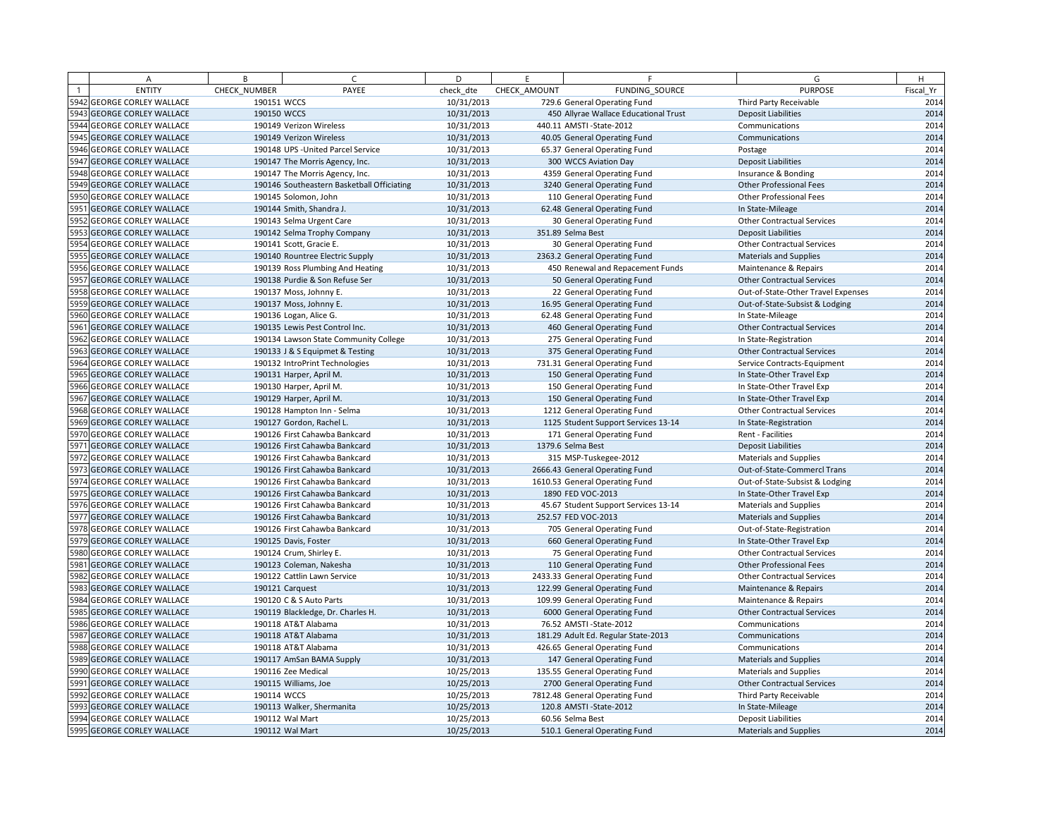|      | Α                            | B            | $\epsilon$                                 | D          | E            | F                                     | G                                  | H         |
|------|------------------------------|--------------|--------------------------------------------|------------|--------------|---------------------------------------|------------------------------------|-----------|
|      | <b>ENTITY</b>                | CHECK NUMBER | PAYEE                                      | check dte  | CHECK AMOUNT | FUNDING SOURCE                        | <b>PURPOSE</b>                     | Fiscal Yr |
|      | 5942 GEORGE CORLEY WALLACE   | 190151 WCCS  |                                            | 10/31/2013 |              | 729.6 General Operating Fund          | Third Party Receivable             | 2014      |
|      | 5943 GEORGE CORLEY WALLACE   | 190150 WCCS  |                                            | 10/31/2013 |              | 450 Allyrae Wallace Educational Trust | <b>Deposit Liabilities</b>         | 2014      |
|      | 5944 GEORGE CORLEY WALLACE   |              | 190149 Verizon Wireless                    | 10/31/2013 |              | 440.11 AMSTI-State-2012               | Communications                     | 2014      |
|      | 5945 GEORGE CORLEY WALLACE   |              | 190149 Verizon Wireless                    | 10/31/2013 |              | 40.05 General Operating Fund          | Communications                     | 2014      |
|      | 5946 GEORGE CORLEY WALLACE   |              | 190148 UPS - United Parcel Service         | 10/31/2013 |              | 65.37 General Operating Fund          | Postage                            | 2014      |
|      | 5947 GEORGE CORLEY WALLACE   |              | 190147 The Morris Agency, Inc.             | 10/31/2013 |              | 300 WCCS Aviation Day                 | <b>Deposit Liabilities</b>         | 2014      |
|      | 5948 GEORGE CORLEY WALLACE   |              | 190147 The Morris Agency, Inc.             | 10/31/2013 |              | 4359 General Operating Fund           | Insurance & Bonding                | 2014      |
|      | 5949 GEORGE CORLEY WALLACE   |              | 190146 Southeastern Basketball Officiating | 10/31/2013 |              | 3240 General Operating Fund           | <b>Other Professional Fees</b>     | 2014      |
|      | 5950 GEORGE CORLEY WALLACE   |              | 190145 Solomon, John                       | 10/31/2013 |              | 110 General Operating Fund            | <b>Other Professional Fees</b>     | 2014      |
|      | 5951 GEORGE CORLEY WALLACE   |              | 190144 Smith, Shandra J.                   | 10/31/2013 |              | 62.48 General Operating Fund          | In State-Mileage                   | 2014      |
|      | 5952 GEORGE CORLEY WALLACE   |              | 190143 Selma Urgent Care                   | 10/31/2013 |              | 30 General Operating Fund             | <b>Other Contractual Services</b>  | 2014      |
|      | 5953 GEORGE CORLEY WALLACE   |              | 190142 Selma Trophy Company                | 10/31/2013 |              | 351.89 Selma Best                     | <b>Deposit Liabilities</b>         | 2014      |
|      | 5954 GEORGE CORLEY WALLACE   |              | 190141 Scott, Gracie E.                    | 10/31/2013 |              | 30 General Operating Fund             | <b>Other Contractual Services</b>  | 2014      |
|      | 5955 GEORGE CORLEY WALLACE   |              | 190140 Rountree Electric Supply            | 10/31/2013 |              | 2363.2 General Operating Fund         | <b>Materials and Supplies</b>      | 2014      |
|      | 5956 GEORGE CORLEY WALLACE   |              | 190139 Ross Plumbing And Heating           | 10/31/2013 |              | 450 Renewal and Repacement Funds      | Maintenance & Repairs              | 2014      |
|      | 5957 GEORGE CORLEY WALLACE   |              | 190138 Purdie & Son Refuse Ser             | 10/31/2013 |              | 50 General Operating Fund             | <b>Other Contractual Services</b>  | 2014      |
|      | 5958 GEORGE CORLEY WALLACE   |              | 190137 Moss, Johnny E.                     | 10/31/2013 |              | 22 General Operating Fund             | Out-of-State-Other Travel Expenses | 2014      |
|      | 5959 GEORGE CORLEY WALLACE   |              | 190137 Moss, Johnny E.                     | 10/31/2013 |              | 16.95 General Operating Fund          | Out-of-State-Subsist & Lodging     | 2014      |
|      | 5960 GEORGE CORLEY WALLACE   |              | 190136 Logan, Alice G.                     | 10/31/2013 |              | 62.48 General Operating Fund          | In State-Mileage                   | 2014      |
| 5961 | <b>GEORGE CORLEY WALLACE</b> |              | 190135 Lewis Pest Control Inc.             | 10/31/2013 |              | 460 General Operating Fund            | <b>Other Contractual Services</b>  | 2014      |
|      | 5962 GEORGE CORLEY WALLACE   |              | 190134 Lawson State Community College      | 10/31/2013 |              | 275 General Operating Fund            | In State-Registration              | 2014      |
|      | 5963 GEORGE CORLEY WALLACE   |              | 190133 J & S Equipmet & Testing            | 10/31/2013 |              | 375 General Operating Fund            | <b>Other Contractual Services</b>  | 2014      |
|      | 5964 GEORGE CORLEY WALLACE   |              | 190132 IntroPrint Technologies             | 10/31/2013 |              | 731.31 General Operating Fund         | Service Contracts-Equipment        | 2014      |
|      | 5965 GEORGE CORLEY WALLACE   |              | 190131 Harper, April M.                    | 10/31/2013 |              | 150 General Operating Fund            | In State-Other Travel Exp          | 2014      |
|      | 5966 GEORGE CORLEY WALLACE   |              | 190130 Harper, April M.                    | 10/31/2013 |              | 150 General Operating Fund            | In State-Other Travel Exp          | 2014      |
|      | 5967 GEORGE CORLEY WALLACE   |              | 190129 Harper, April M.                    | 10/31/2013 |              | 150 General Operating Fund            | In State-Other Travel Exp          | 2014      |
|      | 5968 GEORGE CORLEY WALLACE   |              | 190128 Hampton Inn - Selma                 | 10/31/2013 |              | 1212 General Operating Fund           | <b>Other Contractual Services</b>  | 2014      |
|      | 5969 GEORGE CORLEY WALLACE   |              | 190127 Gordon, Rachel L                    | 10/31/2013 |              | 1125 Student Support Services 13-14   | In State-Registration              | 2014      |
|      | 5970 GEORGE CORLEY WALLACE   |              | 190126 First Cahawba Bankcard              | 10/31/2013 |              | 171 General Operating Fund            | Rent - Facilities                  | 2014      |
|      | 5971 GEORGE CORLEY WALLACE   |              | 190126 First Cahawba Bankcard              | 10/31/2013 |              | 1379.6 Selma Best                     | <b>Deposit Liabilities</b>         | 2014      |
|      | 5972 GEORGE CORLEY WALLACE   |              | 190126 First Cahawba Bankcard              | 10/31/2013 |              | 315 MSP-Tuskegee-2012                 | <b>Materials and Supplies</b>      | 2014      |
|      | 5973 GEORGE CORLEY WALLACE   |              | 190126 First Cahawba Bankcard              | 10/31/2013 |              | 2666.43 General Operating Fund        | Out-of-State-Commercl Trans        | 2014      |
|      | 5974 GEORGE CORLEY WALLACE   |              | 190126 First Cahawba Bankcard              | 10/31/2013 |              | 1610.53 General Operating Fund        | Out-of-State-Subsist & Lodging     | 2014      |
|      | 5975 GEORGE CORLEY WALLACE   |              | 190126 First Cahawba Bankcard              | 10/31/2013 |              | 1890 FED VOC-2013                     | In State-Other Travel Exp          | 2014      |
|      | 5976 GEORGE CORLEY WALLACE   |              | 190126 First Cahawba Bankcard              | 10/31/2013 |              | 45.67 Student Support Services 13-14  | Materials and Supplies             | 2014      |
|      | 5977 GEORGE CORLEY WALLACE   |              | 190126 First Cahawba Bankcard              | 10/31/2013 |              | 252.57 FED VOC-2013                   | Materials and Supplies             | 2014      |
|      | 5978 GEORGE CORLEY WALLACE   |              | 190126 First Cahawba Bankcard              | 10/31/2013 |              | 705 General Operating Fund            | Out-of-State-Registration          | 2014      |
|      | 5979 GEORGE CORLEY WALLACE   |              | 190125 Davis, Foster                       | 10/31/2013 |              | 660 General Operating Fund            | In State-Other Travel Exp          | 2014      |
|      | 5980 GEORGE CORLEY WALLACE   |              | 190124 Crum, Shirley E.                    | 10/31/2013 |              | 75 General Operating Fund             | <b>Other Contractual Services</b>  | 2014      |
|      | 5981 GEORGE CORLEY WALLACE   |              | 190123 Coleman, Nakesha                    | 10/31/2013 |              | 110 General Operating Fund            | <b>Other Professional Fees</b>     | 2014      |
|      | 5982 GEORGE CORLEY WALLACE   |              | 190122 Cattlin Lawn Service                | 10/31/2013 |              | 2433.33 General Operating Fund        | <b>Other Contractual Services</b>  | 2014      |
|      | 5983 GEORGE CORLEY WALLACE   |              | 190121 Carquest                            | 10/31/2013 |              | 122.99 General Operating Fund         | Maintenance & Repairs              | 2014      |
|      | 5984 GEORGE CORLEY WALLACE   |              | 190120 C & S Auto Parts                    | 10/31/2013 |              | 109.99 General Operating Fund         | Maintenance & Repairs              | 2014      |
|      | 5985 GEORGE CORLEY WALLACE   |              | 190119 Blackledge, Dr. Charles H.          | 10/31/2013 |              | 6000 General Operating Fund           | <b>Other Contractual Services</b>  | 2014      |
|      | 5986 GEORGE CORLEY WALLACE   |              | 190118 AT&T Alabama                        | 10/31/2013 |              | 76.52 AMSTI-State-2012                | Communications                     | 2014      |
|      | 5987 GEORGE CORLEY WALLACE   |              | 190118 AT&T Alabama                        | 10/31/2013 |              | 181.29 Adult Ed. Regular State-2013   | Communications                     | 2014      |
|      | 5988 GEORGE CORLEY WALLACE   |              | 190118 AT&T Alabama                        | 10/31/2013 |              | 426.65 General Operating Fund         | Communications                     | 2014      |
|      | 5989 GEORGE CORLEY WALLACE   |              | 190117 AmSan BAMA Supply                   | 10/31/2013 |              | 147 General Operating Fund            | Materials and Supplies             | 2014      |
|      | 5990 GEORGE CORLEY WALLACE   |              | 190116 Zee Medical                         | 10/25/2013 |              | 135.55 General Operating Fund         | <b>Materials and Supplies</b>      | 2014      |
| 5991 | <b>GEORGE CORLEY WALLACE</b> |              | 190115 Williams, Joe                       | 10/25/2013 |              | 2700 General Operating Fund           | <b>Other Contractual Services</b>  | 2014      |
|      | 5992 GEORGE CORLEY WALLACE   | 190114 WCCS  |                                            | 10/25/2013 |              | 7812.48 General Operating Fund        | Third Party Receivable             | 2014      |
|      | 5993 GEORGE CORLEY WALLACE   |              | 190113 Walker, Shermanita                  | 10/25/2013 |              | 120.8 AMSTI-State-2012                | In State-Mileage                   | 2014      |
|      | 5994 GEORGE CORLEY WALLACE   |              | 190112 Wal Mart                            | 10/25/2013 |              | 60.56 Selma Best                      | <b>Deposit Liabilities</b>         | 2014      |
|      | 5995 GEORGE CORLEY WALLACE   |              | 190112 Wal Mart                            | 10/25/2013 |              | 510.1 General Operating Fund          | <b>Materials and Supplies</b>      | 2014      |
|      |                              |              |                                            |            |              |                                       |                                    |           |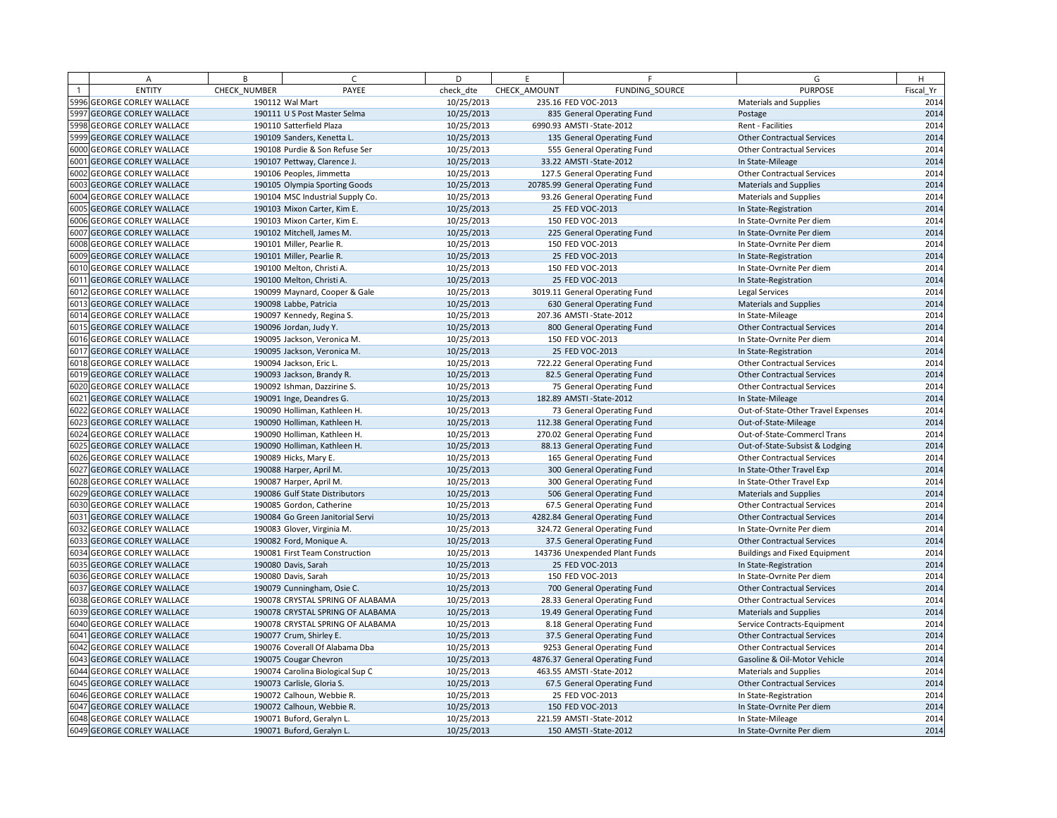| A                          | B            | $\epsilon$                       | D          | E            | F                               | G                                    | H         |
|----------------------------|--------------|----------------------------------|------------|--------------|---------------------------------|--------------------------------------|-----------|
| <b>ENTITY</b>              | CHECK NUMBER | PAYEE                            | check dte  | CHECK AMOUNT | FUNDING SOURCE                  | <b>PURPOSE</b>                       | Fiscal Yr |
| 5996 GEORGE CORLEY WALLACE |              | 190112 Wal Mart                  | 10/25/2013 |              | 235.16 FED VOC-2013             | <b>Materials and Supplies</b>        | 2014      |
| 5997 GEORGE CORLEY WALLACE |              | 190111 U S Post Master Selma     | 10/25/2013 |              | 835 General Operating Fund      | Postage                              | 2014      |
| 5998 GEORGE CORLEY WALLACE |              | 190110 Satterfield Plaza         | 10/25/2013 |              | 6990.93 AMSTI-State-2012        | Rent - Facilities                    | 2014      |
| 5999 GEORGE CORLEY WALLACE |              | 190109 Sanders, Kenetta L.       | 10/25/2013 |              | 135 General Operating Fund      | <b>Other Contractual Services</b>    | 2014      |
| 6000 GEORGE CORLEY WALLACE |              | 190108 Purdie & Son Refuse Ser   | 10/25/2013 |              | 555 General Operating Fund      | <b>Other Contractual Services</b>    | 2014      |
| 6001 GEORGE CORLEY WALLACE |              | 190107 Pettway, Clarence J.      | 10/25/2013 |              | 33.22 AMSTI-State-2012          | In State-Mileage                     | 2014      |
| 6002 GEORGE CORLEY WALLACE |              | 190106 Peoples, Jimmetta         | 10/25/2013 |              | 127.5 General Operating Fund    | <b>Other Contractual Services</b>    | 2014      |
| 6003 GEORGE CORLEY WALLACE |              | 190105 Olympia Sporting Goods    | 10/25/2013 |              | 20785.99 General Operating Fund | Materials and Supplies               | 2014      |
| 6004 GEORGE CORLEY WALLACE |              | 190104 MSC Industrial Supply Co. | 10/25/2013 |              | 93.26 General Operating Fund    | <b>Materials and Supplies</b>        | 2014      |
| 6005 GEORGE CORLEY WALLACE |              | 190103 Mixon Carter, Kim E.      | 10/25/2013 |              | 25 FED VOC-2013                 | In State-Registration                | 2014      |
| 6006 GEORGE CORLEY WALLACE |              | 190103 Mixon Carter, Kim E.      | 10/25/2013 |              | 150 FED VOC-2013                | In State-Ovrnite Per diem            | 2014      |
| 6007 GEORGE CORLEY WALLACE |              | 190102 Mitchell, James M.        | 10/25/2013 |              | 225 General Operating Fund      | In State-Ovrnite Per diem            | 2014      |
| 6008 GEORGE CORLEY WALLACE |              | 190101 Miller, Pearlie R.        | 10/25/2013 |              | 150 FED VOC-2013                | In State-Ovrnite Per diem            | 2014      |
| 6009 GEORGE CORLEY WALLACE |              | 190101 Miller, Pearlie R.        | 10/25/2013 |              | 25 FED VOC-2013                 | In State-Registration                | 2014      |
| 6010 GEORGE CORLEY WALLACE |              | 190100 Melton, Christi A.        | 10/25/2013 |              | 150 FED VOC-2013                | In State-Ovrnite Per diem            | 2014      |
| 6011 GEORGE CORLEY WALLACE |              | 190100 Melton, Christi A.        | 10/25/2013 |              | 25 FED VOC-2013                 | In State-Registration                | 2014      |
| 6012 GEORGE CORLEY WALLACE |              | 190099 Maynard, Cooper & Gale    | 10/25/2013 |              | 3019.11 General Operating Fund  | Legal Services                       | 2014      |
| 6013 GEORGE CORLEY WALLACE |              | 190098 Labbe, Patricia           | 10/25/2013 |              | 630 General Operating Fund      | Materials and Supplies               | 2014      |
| 6014 GEORGE CORLEY WALLACE |              | 190097 Kennedy, Regina S.        | 10/25/2013 |              | 207.36 AMSTI-State-2012         | In State-Mileage                     | 2014      |
| 6015 GEORGE CORLEY WALLACE |              | 190096 Jordan, Judy Y.           | 10/25/2013 |              | 800 General Operating Fund      | <b>Other Contractual Services</b>    | 2014      |
| 6016 GEORGE CORLEY WALLACE |              | 190095 Jackson, Veronica M       | 10/25/2013 |              | 150 FED VOC-2013                | In State-Ovrnite Per diem            | 2014      |
| 6017 GEORGE CORLEY WALLACE |              | 190095 Jackson, Veronica M.      | 10/25/2013 |              | 25 FED VOC-2013                 | In State-Registration                | 2014      |
| 6018 GEORGE CORLEY WALLACE |              | 190094 Jackson, Eric L           | 10/25/2013 |              | 722.22 General Operating Fund   | <b>Other Contractual Services</b>    | 2014      |
| 6019 GEORGE CORLEY WALLACE |              | 190093 Jackson, Brandy R.        | 10/25/2013 |              | 82.5 General Operating Fund     | <b>Other Contractual Services</b>    | 2014      |
| 6020 GEORGE CORLEY WALLACE |              | 190092 Ishman, Dazzirine S.      | 10/25/2013 |              | 75 General Operating Fund       | <b>Other Contractual Services</b>    | 2014      |
| 6021 GEORGE CORLEY WALLACE |              | 190091 Inge, Deandres G.         | 10/25/2013 |              | 182.89 AMSTI-State-2012         | In State-Mileage                     | 2014      |
| 6022 GEORGE CORLEY WALLACE |              | 190090 Holliman, Kathleen H.     | 10/25/2013 |              | 73 General Operating Fund       | Out-of-State-Other Travel Expenses   | 2014      |
| 6023 GEORGE CORLEY WALLACE |              | 190090 Holliman, Kathleen H.     | 10/25/2013 |              | 112.38 General Operating Fund   | Out-of-State-Mileage                 | 2014      |
| 6024 GEORGE CORLEY WALLACE |              | 190090 Holliman, Kathleen H.     | 10/25/2013 |              | 270.02 General Operating Fund   | Out-of-State-Commercl Trans          | 2014      |
| 6025 GEORGE CORLEY WALLACE |              | 190090 Holliman, Kathleen H.     | 10/25/2013 |              | 88.13 General Operating Fund    | Out-of-State-Subsist & Lodging       | 2014      |
| 6026 GEORGE CORLEY WALLACE |              | 190089 Hicks, Mary E.            | 10/25/2013 |              | 165 General Operating Fund      | <b>Other Contractual Services</b>    | 2014      |
| 6027 GEORGE CORLEY WALLACE |              | 190088 Harper, April M.          | 10/25/2013 |              | 300 General Operating Fund      | In State-Other Travel Exp            | 2014      |
| 6028 GEORGE CORLEY WALLACE |              | 190087 Harper, April M.          | 10/25/2013 |              | 300 General Operating Fund      | In State-Other Travel Exp            | 2014      |
| 6029 GEORGE CORLEY WALLACE |              | 190086 Gulf State Distributors   | 10/25/2013 |              | 506 General Operating Fund      | <b>Materials and Supplies</b>        | 2014      |
| 6030 GEORGE CORLEY WALLACE |              | 190085 Gordon, Catherine         | 10/25/2013 |              | 67.5 General Operating Fund     | <b>Other Contractual Services</b>    | 2014      |
| 6031 GEORGE CORLEY WALLACE |              | 190084 Go Green Janitorial Servi | 10/25/2013 |              | 4282.84 General Operating Fund  | <b>Other Contractual Services</b>    | 2014      |
| 6032 GEORGE CORLEY WALLACE |              | 190083 Glover, Virginia M.       | 10/25/2013 |              | 324.72 General Operating Fund   | In State-Ovrnite Per diem            | 2014      |
| 6033 GEORGE CORLEY WALLACE |              | 190082 Ford, Monique A.          | 10/25/2013 |              | 37.5 General Operating Fund     | <b>Other Contractual Services</b>    | 2014      |
| 6034 GEORGE CORLEY WALLACE |              | 190081 First Team Construction   | 10/25/2013 |              | 143736 Unexpended Plant Funds   | <b>Buildings and Fixed Equipment</b> | 2014      |
| 6035 GEORGE CORLEY WALLACE |              | 190080 Davis, Sarah              | 10/25/2013 |              | 25 FED VOC-2013                 | In State-Registration                | 2014      |
| 6036 GEORGE CORLEY WALLACE |              | 190080 Davis, Sarah              | 10/25/2013 |              | 150 FED VOC-2013                | In State-Ovrnite Per diem            | 2014      |
| 6037 GEORGE CORLEY WALLACE |              | 190079 Cunningham, Osie C.       | 10/25/2013 |              | 700 General Operating Fund      | <b>Other Contractual Services</b>    | 2014      |
| 6038 GEORGE CORLEY WALLACE |              | 190078 CRYSTAL SPRING OF ALABAMA | 10/25/2013 |              | 28.33 General Operating Fund    | <b>Other Contractual Services</b>    | 2014      |
| 6039 GEORGE CORLEY WALLACE |              | 190078 CRYSTAL SPRING OF ALABAMA | 10/25/2013 |              | 19.49 General Operating Fund    | <b>Materials and Supplies</b>        | 2014      |
| 6040 GEORGE CORLEY WALLACE |              | 190078 CRYSTAL SPRING OF ALABAMA | 10/25/2013 |              | 8.18 General Operating Fund     | Service Contracts-Equipment          | 2014      |
| 6041 GEORGE CORLEY WALLACE |              | 190077 Crum, Shirley E.          | 10/25/2013 |              | 37.5 General Operating Fund     | <b>Other Contractual Services</b>    | 2014      |
| 6042 GEORGE CORLEY WALLACE |              | 190076 Coverall Of Alabama Dba   | 10/25/2013 |              | 9253 General Operating Fund     | <b>Other Contractual Services</b>    | 2014      |
| 6043 GEORGE CORLEY WALLACE |              | 190075 Cougar Chevron            | 10/25/2013 |              | 4876.37 General Operating Fund  | Gasoline & Oil-Motor Vehicle         | 2014      |
| 6044 GEORGE CORLEY WALLACE |              | 190074 Carolina Biological Sup C | 10/25/2013 |              | 463.55 AMSTI-State-2012         | <b>Materials and Supplies</b>        | 2014      |
| 6045 GEORGE CORLEY WALLACE |              | 190073 Carlisle, Gloria S.       | 10/25/2013 |              | 67.5 General Operating Fund     | <b>Other Contractual Services</b>    | 2014      |
| 6046 GEORGE CORLEY WALLACE |              | 190072 Calhoun, Webbie R.        | 10/25/2013 |              | 25 FED VOC-2013                 | In State-Registration                | 2014      |
| 6047 GEORGE CORLEY WALLACE |              | 190072 Calhoun, Webbie R.        | 10/25/2013 |              | 150 FED VOC-2013                | In State-Ovrnite Per diem            | 2014      |
| 6048 GEORGE CORLEY WALLACE |              | 190071 Buford, Geralyn L.        | 10/25/2013 |              | 221.59 AMSTI-State-2012         | In State-Mileage                     | 2014      |
| 6049 GEORGE CORLEY WALLACE |              | 190071 Buford, Geralyn L.        | 10/25/2013 |              | 150 AMSTI-State-2012            | In State-Ovrnite Per diem            | 2014      |
|                            |              |                                  |            |              |                                 |                                      |           |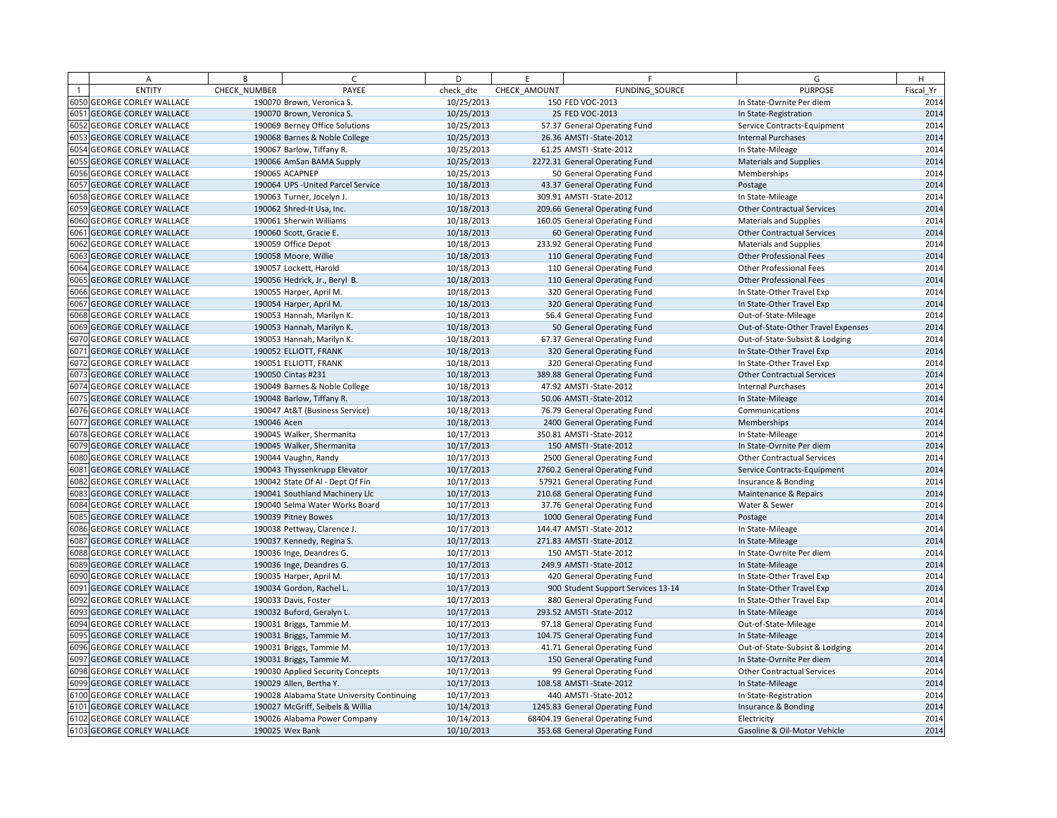|      | Α                            | B            | $\epsilon$                                 | D          | F.           | F                                  | G                                  | H         |
|------|------------------------------|--------------|--------------------------------------------|------------|--------------|------------------------------------|------------------------------------|-----------|
|      | <b>ENTITY</b>                | CHECK_NUMBER | PAYEE                                      | check dte  | CHECK AMOUNT | FUNDING SOURCE                     | <b>PURPOSE</b>                     | Fiscal Yr |
|      | 6050 GEORGE CORLEY WALLACE   |              | 190070 Brown, Veronica S.                  | 10/25/2013 |              | 150 FED VOC-2013                   | In State-Ovrnite Per diem          | 2014      |
|      | 6051 GEORGE CORLEY WALLACE   |              | 190070 Brown, Veronica S.                  | 10/25/2013 |              | 25 FED VOC-2013                    | In State-Registration              | 2014      |
|      | 6052 GEORGE CORLEY WALLACE   |              | 190069 Berney Office Solutions             | 10/25/2013 |              | 57.37 General Operating Fund       | Service Contracts-Equipment        | 2014      |
|      | 6053 GEORGE CORLEY WALLACE   |              | 190068 Barnes & Noble College              | 10/25/2013 |              | 26.36 AMSTI-State-2012             | <b>Internal Purchases</b>          | 2014      |
|      | 6054 GEORGE CORLEY WALLACE   |              | 190067 Barlow, Tiffany R.                  | 10/25/2013 |              | 61.25 AMSTI - State-2012           | In State-Mileage                   | 2014      |
|      | 6055 GEORGE CORLEY WALLACE   |              | 190066 AmSan BAMA Supply                   | 10/25/2013 |              | 2272.31 General Operating Fund     | <b>Materials and Supplies</b>      | 2014      |
|      | 6056 GEORGE CORLEY WALLACE   |              | 190065 ACAPNEP                             | 10/25/2013 |              | 50 General Operating Fund          | Memberships                        | 2014      |
| 6057 | <b>GEORGE CORLEY WALLACE</b> |              | 190064 UPS - United Parcel Service         | 10/18/2013 |              | 43.37 General Operating Fund       | Postage                            | 2014      |
|      | 6058 GEORGE CORLEY WALLACE   |              | 190063 Turner, Jocelyn J.                  | 10/18/2013 |              | 309.91 AMSTI-State-2012            | In State-Mileage                   | 2014      |
|      | 6059 GEORGE CORLEY WALLACE   |              | 190062 Shred-It Usa, Inc.                  | 10/18/2013 |              | 209.66 General Operating Fund      | <b>Other Contractual Services</b>  | 2014      |
|      | 6060 GEORGE CORLEY WALLACE   |              | 190061 Sherwin Williams                    | 10/18/2013 |              | 160.05 General Operating Fund      | <b>Materials and Supplies</b>      | 2014      |
|      | 6061 GEORGE CORLEY WALLACE   |              | 190060 Scott, Gracie E.                    | 10/18/2013 |              | 60 General Operating Fund          | <b>Other Contractual Services</b>  | 2014      |
|      | 6062 GEORGE CORLEY WALLACE   |              | 190059 Office Depot                        | 10/18/2013 |              | 233.92 General Operating Fund      | <b>Materials and Supplies</b>      | 2014      |
|      | 6063 GEORGE CORLEY WALLACE   |              | 190058 Moore, Willie                       | 10/18/2013 |              | 110 General Operating Fund         | Other Professional Fees            | 2014      |
|      | 6064 GEORGE CORLEY WALLACE   |              | 190057 Lockett, Harold                     | 10/18/2013 |              | 110 General Operating Fund         | <b>Other Professional Fees</b>     | 2014      |
|      | 6065 GEORGE CORLEY WALLACE   |              | 190056 Hedrick, Jr., Beryl B.              | 10/18/2013 |              | 110 General Operating Fund         | <b>Other Professional Fees</b>     | 2014      |
|      | 6066 GEORGE CORLEY WALLACE   |              | 190055 Harper, April M.                    | 10/18/2013 |              | 320 General Operating Fund         | In State-Other Travel Exp          | 2014      |
|      | 6067 GEORGE CORLEY WALLACE   |              | 190054 Harper, April M.                    | 10/18/2013 |              | 320 General Operating Fund         | In State-Other Travel Exp          | 2014      |
|      | 6068 GEORGE CORLEY WALLACE   |              | 190053 Hannah, Marilyn K.                  | 10/18/2013 |              | 56.4 General Operating Fund        | Out-of-State-Mileage               | 2014      |
|      | 6069 GEORGE CORLEY WALLACE   |              | 190053 Hannah, Marilyn K.                  | 10/18/2013 |              | 50 General Operating Fund          | Out-of-State-Other Travel Expenses | 2014      |
|      | 6070 GEORGE CORLEY WALLACE   |              | 190053 Hannah, Marilyn K.                  | 10/18/2013 |              | 67.37 General Operating Fund       | Out-of-State-Subsist & Lodging     | 2014      |
|      | 6071 GEORGE CORLEY WALLACE   |              | 190052 ELLIOTT, FRANK                      | 10/18/2013 |              | 320 General Operating Fund         | In State-Other Travel Exp          | 2014      |
|      | 6072 GEORGE CORLEY WALLACE   |              | 190051 ELLIOTT, FRANK                      | 10/18/2013 |              | 320 General Operating Fund         | In State-Other Travel Exp          | 2014      |
|      | 6073 GEORGE CORLEY WALLACE   |              | 190050 Cintas #231                         | 10/18/2013 |              | 389.88 General Operating Fund      | <b>Other Contractual Services</b>  | 2014      |
|      | 6074 GEORGE CORLEY WALLACE   |              | 190049 Barnes & Noble College              | 10/18/2013 |              | 47.92 AMSTI-State-2012             | <b>Internal Purchases</b>          | 2014      |
|      | 6075 GEORGE CORLEY WALLACE   |              | 190048 Barlow, Tiffany R.                  | 10/18/2013 |              | 50.06 AMSTI-State-2012             | In State-Mileage                   | 2014      |
|      | 6076 GEORGE CORLEY WALLACE   |              | 190047 At&T (Business Service)             | 10/18/2013 |              | 76.79 General Operating Fund       | Communications                     | 2014      |
|      | 6077 GEORGE CORLEY WALLACE   | 190046 Acen  |                                            | 10/18/2013 |              | 2400 General Operating Fund        | Memberships                        | 2014      |
|      | 6078 GEORGE CORLEY WALLACE   |              | 190045 Walker, Shermanita                  | 10/17/2013 |              | 350.81 AMSTI-State-2012            | In State-Mileage                   | 2014      |
|      | 6079 GEORGE CORLEY WALLACE   |              | 190045 Walker, Shermanita                  | 10/17/2013 |              | 150 AMSTI-State-2012               | In State-Ovrnite Per diem          | 2014      |
|      | 6080 GEORGE CORLEY WALLACE   |              | 190044 Vaughn, Randy                       | 10/17/2013 |              | 2500 General Operating Fund        | <b>Other Contractual Services</b>  | 2014      |
| 6081 | <b>GEORGE CORLEY WALLACE</b> |              | 190043 Thyssenkrupp Elevator               | 10/17/2013 |              | 2760.2 General Operating Fund      | Service Contracts-Equipment        | 2014      |
|      | 6082 GEORGE CORLEY WALLACE   |              | 190042 State Of Al - Dept Of Fin           | 10/17/2013 |              | 57921 General Operating Fund       | Insurance & Bonding                | 2014      |
|      | 6083 GEORGE CORLEY WALLACE   |              | 190041 Southland Machinery Llc             | 10/17/2013 |              | 210.68 General Operating Fund      | Maintenance & Repairs              | 2014      |
|      | 6084 GEORGE CORLEY WALLACE   |              | 190040 Selma Water Works Board             | 10/17/2013 |              | 37.76 General Operating Fund       | Water & Sewer                      | 2014      |
|      | 6085 GEORGE CORLEY WALLACE   |              | 190039 Pitney Bowes                        | 10/17/2013 |              | 1000 General Operating Fund        | Postage                            | 2014      |
|      | 6086 GEORGE CORLEY WALLACE   |              | 190038 Pettway, Clarence J.                | 10/17/2013 |              | 144.47 AMSTI-State-2012            | In State-Mileage                   | 2014      |
|      | 6087 GEORGE CORLEY WALLACE   |              | 190037 Kennedy, Regina S.                  | 10/17/2013 |              | 271.83 AMSTI-State-2012            | In State-Mileage                   | 2014      |
|      | 6088 GEORGE CORLEY WALLACE   |              | 190036 Inge, Deandres G.                   | 10/17/2013 |              | 150 AMSTI-State-2012               | In State-Ovrnite Per diem          | 2014      |
|      | 6089 GEORGE CORLEY WALLACE   |              | 190036 Inge, Deandres G.                   | 10/17/2013 |              | 249.9 AMSTI-State-2012             | In State-Mileage                   | 2014      |
|      | 6090 GEORGE CORLEY WALLACE   |              | 190035 Harper, April M.                    | 10/17/2013 |              | 420 General Operating Fund         | In State-Other Travel Exp          | 2014      |
|      | 6091 GEORGE CORLEY WALLACE   |              | 190034 Gordon, Rachel L.                   | 10/17/2013 |              | 900 Student Support Services 13-14 | In State-Other Travel Exp          | 2014      |
|      | 6092 GEORGE CORLEY WALLACE   |              | 190033 Davis, Foster                       | 10/17/2013 |              | 880 General Operating Fund         | In State-Other Travel Exp          | 2014      |
|      | 6093 GEORGE CORLEY WALLACE   |              | 190032 Buford, Geralyn L.                  | 10/17/2013 |              | 293.52 AMSTI-State-2012            | In State-Mileage                   | 2014      |
|      | 6094 GEORGE CORLEY WALLACE   |              | 190031 Briggs, Tammie M.                   | 10/17/2013 |              | 97.18 General Operating Fund       | Out-of-State-Mileage               | 2014      |
|      | 6095 GEORGE CORLEY WALLACE   |              | 190031 Briggs, Tammie M.                   | 10/17/2013 |              | 104.75 General Operating Fund      | In State-Mileage                   | 2014      |
|      | 6096 GEORGE CORLEY WALLACE   |              | 190031 Briggs, Tammie M.                   | 10/17/2013 |              | 41.71 General Operating Fund       | Out-of-State-Subsist & Lodging     | 2014      |
|      | 6097 GEORGE CORLEY WALLACE   |              | 190031 Briggs, Tammie M.                   | 10/17/2013 |              | 150 General Operating Fund         | In State-Ovrnite Per diem          | 2014      |
|      | 6098 GEORGE CORLEY WALLACE   |              | 190030 Applied Security Concepts           | 10/17/2013 |              | 99 General Operating Fund          | <b>Other Contractual Services</b>  | 2014      |
|      | 6099 GEORGE CORLEY WALLACE   |              | 190029 Allen, Bertha Y.                    | 10/17/2013 |              | 108.58 AMSTI-State-2012            | In State-Mileage                   | 2014      |
|      | 6100 GEORGE CORLEY WALLACE   |              | 190028 Alabama State University Continuing | 10/17/2013 |              | 440 AMSTI-State-2012               | In State-Registration              | 2014      |
|      | 6101 GEORGE CORLEY WALLACE   |              | 190027 McGriff, Seibels & Willia           | 10/14/2013 |              | 1245.83 General Operating Fund     | Insurance & Bonding                | 2014      |
|      | 6102 GEORGE CORLEY WALLACE   |              | 190026 Alabama Power Company               | 10/14/2013 |              | 68404.19 General Operating Fund    | Electricity                        | 2014      |
|      | 6103 GEORGE CORLEY WALLACE   |              | 190025 Wex Bank                            | 10/10/2013 |              | 353.68 General Operating Fund      | Gasoline & Oil-Motor Vehicle       | 2014      |
|      |                              |              |                                            |            |              |                                    |                                    |           |